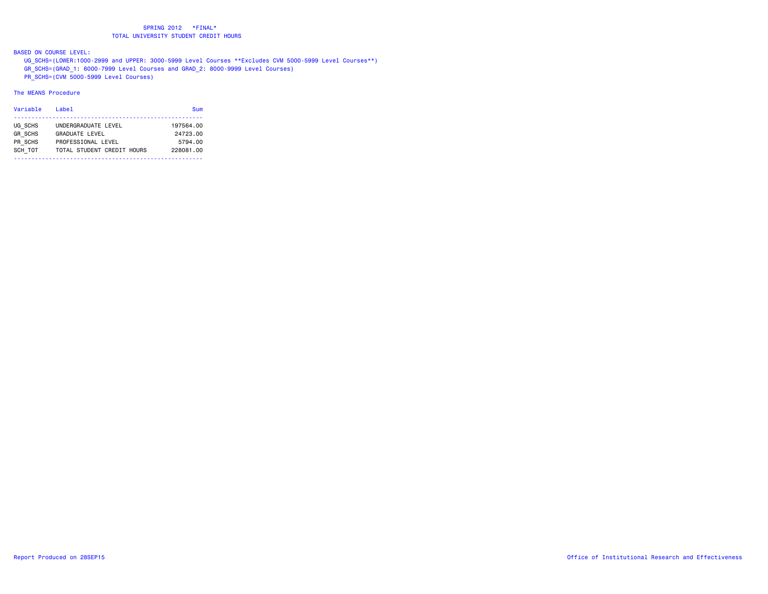BASED ON COURSE LEVEL:

 UG\_SCHS=(LOWER:1000-2999 and UPPER: 3000-5999 Level Courses \*\*Excludes CVM 5000-5999 Level Courses\*\*) GR\_SCHS=(GRAD\_1: 6000-7999 Level Courses and GRAD\_2: 8000-9999 Level Courses) PR\_SCHS=(CVM 5000-5999 Level Courses)

The MEANS Procedure

| Variable                  | Label                                        | Sum                   |  |
|---------------------------|----------------------------------------------|-----------------------|--|
| UG SCHS<br><b>GR SCHS</b> | UNDERGRADUATE LEVEL<br><b>GRADUATE LEVEL</b> | 197564.00<br>24723.00 |  |
| PR SCHS                   | PROFESSIONAL LEVEL                           | 5794.00               |  |
| SCH TOT                   | TOTAL STUDENT CREDIT HOURS                   | 228081.00             |  |
|                           |                                              |                       |  |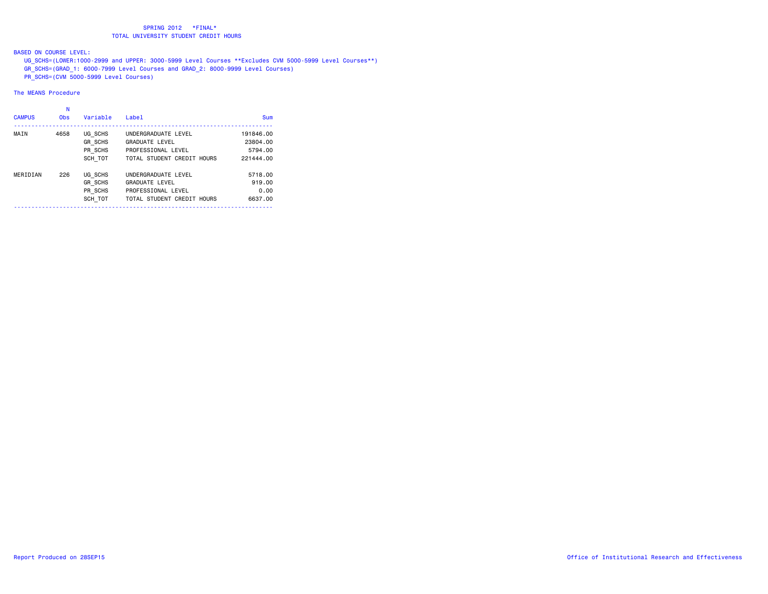BASED ON COURSE LEVEL:

 UG\_SCHS=(LOWER:1000-2999 and UPPER: 3000-5999 Level Courses \*\*Excludes CVM 5000-5999 Level Courses\*\*) GR\_SCHS=(GRAD\_1: 6000-7999 Level Courses and GRAD\_2: 8000-9999 Level Courses) PR\_SCHS=(CVM 5000-5999 Level Courses)

The MEANS Procedure

|               | N          |                |                            |            |
|---------------|------------|----------------|----------------------------|------------|
| <b>CAMPUS</b> | <b>Obs</b> | Variable       | Label                      | <b>Sum</b> |
| MAIN          | 4658       | UG SCHS        | UNDERGRADUATE LEVEL        | 191846.00  |
|               |            | <b>GR SCHS</b> | <b>GRADUATE LEVEL</b>      | 23804.00   |
|               |            | PR SCHS        | PROFESSIONAL LEVEL         | 5794.00    |
|               |            | SCH TOT        | TOTAL STUDENT CREDIT HOURS | 221444.00  |
| MERIDIAN      | 226        | UG SCHS        | UNDERGRADUATE LEVEL        | 5718.00    |
|               |            | <b>GR SCHS</b> | <b>GRADUATE LEVEL</b>      | 919.00     |
|               |            | PR SCHS        | PROFESSIONAL LEVEL         | 0.00       |
|               |            | SCH TOT        | TOTAL STUDENT CREDIT HOURS | 6637.00    |
|               |            |                |                            |            |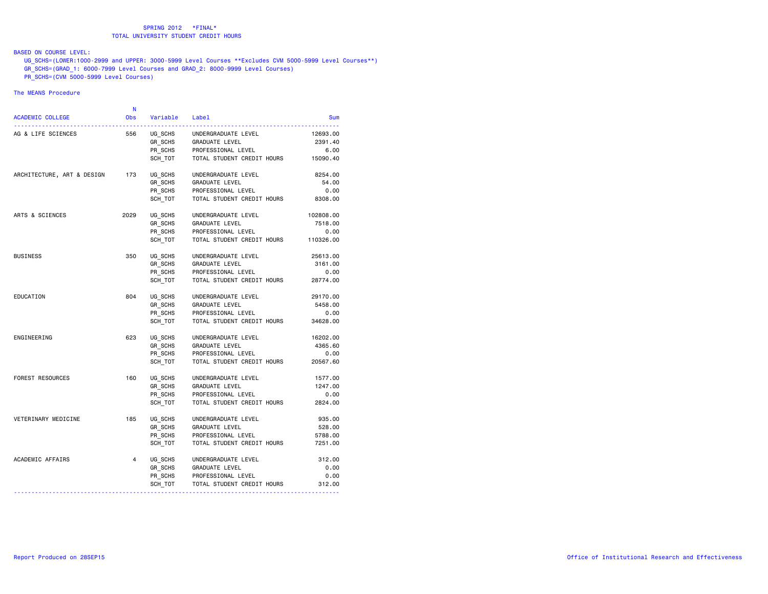# BASED ON COURSE LEVEL:

 UG\_SCHS=(LOWER:1000-2999 and UPPER: 3000-5999 Level Courses \*\*Excludes CVM 5000-5999 Level Courses\*\*) GR\_SCHS=(GRAD\_1: 6000-7999 Level Courses and GRAD\_2: 8000-9999 Level Courses) PR\_SCHS=(CVM\_5000-5999\_Level Courses)

#### The MEANS Procedure

| <b>ACADEMIC COLLEGE</b>    | N<br><b>Obs</b> | Variable | Label                      | Sum       |
|----------------------------|-----------------|----------|----------------------------|-----------|
| AG & LIFE SCIENCES         | 556             | UG SCHS  | UNDERGRADUATE LEVEL        | 12693.00  |
|                            |                 | GR_SCHS  | GRADUATE LEVEL             | 2391.40   |
|                            |                 | PR_SCHS  | PROFESSIONAL LEVEL         | 6.00      |
|                            |                 | SCH TOT  | TOTAL STUDENT CREDIT HOURS | 15090.40  |
| ARCHITECTURE, ART & DESIGN | 173             | UG SCHS  | UNDERGRADUATE LEVEL        | 8254.00   |
|                            |                 | GR SCHS  | <b>GRADUATE LEVEL</b>      | 54.00     |
|                            |                 | PR SCHS  | PROFESSIONAL LEVEL         | 0.00      |
|                            |                 | SCH TOT  | TOTAL STUDENT CREDIT HOURS | 8308.00   |
| ARTS & SCIENCES            | 2029            | UG SCHS  | UNDERGRADUATE LEVEL        | 102808.00 |
|                            |                 | GR SCHS  | GRADUATE LEVEL             | 7518.00   |
|                            |                 | PR SCHS  | PROFESSIONAL LEVEL         | 0.00      |
|                            |                 | SCH TOT  | TOTAL STUDENT CREDIT HOURS | 110326.00 |
| <b>BUSINESS</b>            | 350             | UG SCHS  | UNDERGRADUATE LEVEL        | 25613.00  |
|                            |                 | GR SCHS  | GRADUATE LEVEL             | 3161.00   |
|                            |                 | PR_SCHS  | PROFESSIONAL LEVEL         | 0.00      |
|                            |                 | SCH TOT  | TOTAL STUDENT CREDIT HOURS | 28774.00  |
| EDUCATION                  | 804             | UG SCHS  | UNDERGRADUATE LEVEL        | 29170.00  |
|                            |                 | GR_SCHS  | GRADUATE LEVEL             | 5458.00   |
|                            |                 | PR SCHS  | PROFESSIONAL LEVEL         | 0.00      |
|                            |                 | SCH TOT  | TOTAL STUDENT CREDIT HOURS | 34628.00  |
| ENGINEERING                | 623             | UG SCHS  | UNDERGRADUATE LEVEL        | 16202.00  |
|                            |                 | GR_SCHS  | GRADUATE LEVEL             | 4365.60   |
|                            |                 | PR_SCHS  | PROFESSIONAL LEVEL         | 0.00      |
|                            |                 | SCH TOT  | TOTAL STUDENT CREDIT HOURS | 20567.60  |
| FOREST RESOURCES           | 160             | UG SCHS  | UNDERGRADUATE LEVEL        | 1577.00   |
|                            |                 | GR_SCHS  | <b>GRADUATE LEVEL</b>      | 1247.00   |
|                            |                 | PR SCHS  | PROFESSIONAL LEVEL         | 0.00      |
|                            |                 | SCH TOT  | TOTAL STUDENT CREDIT HOURS | 2824.00   |
| VETERINARY MEDICINE        | 185             | UG SCHS  | UNDERGRADUATE LEVEL        | 935.00    |
|                            |                 | GR SCHS  | GRADUATE LEVEL             | 528.00    |
|                            |                 | PR SCHS  | PROFESSIONAL LEVEL         | 5788.00   |
|                            |                 | SCH TOT  | TOTAL STUDENT CREDIT HOURS | 7251.00   |
| ACADEMIC AFFAIRS           | $\overline{4}$  | UG SCHS  | UNDERGRADUATE LEVEL        | 312.00    |
|                            |                 | GR_SCHS  | GRADUATE LEVEL             | 0.00      |
|                            |                 | PR SCHS  | PROFESSIONAL LEVEL         | 0.00      |
|                            |                 | SCH_TOT  | TOTAL STUDENT CREDIT HOURS | 312.00    |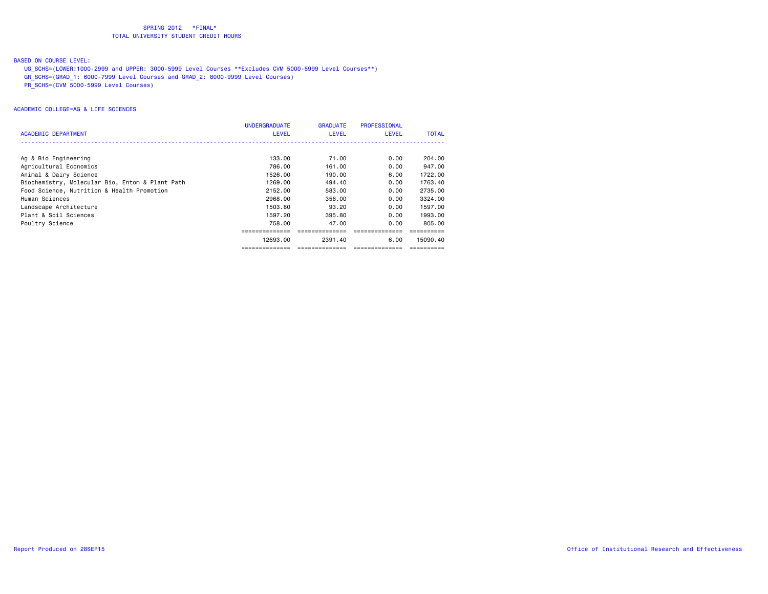BASED ON COURSE LEVEL:

- UG\_SCHS=(LOWER:1000-2999 and UPPER: 3000-5999 Level Courses \*\*Excludes CVM 5000-5999 Level Courses\*\*)
- GR\_SCHS=(GRAD\_1: 6000-7999 Level Courses and GRAD\_2: 8000-9999 Level Courses)
- PR\_SCHS=(CVM 5000-5999 Level Courses)

|                                                 | <b>UNDERGRADUATE</b> | <b>GRADUATE</b> | <b>PROFESSIONAL</b> |              |
|-------------------------------------------------|----------------------|-----------------|---------------------|--------------|
| <b>ACADEMIC DEPARTMENT</b>                      | LEVEL                | <b>LEVEL</b>    | <b>LEVEL</b>        | <b>TOTAL</b> |
|                                                 |                      |                 |                     |              |
| Ag & Bio Engineering                            | 133.00               | 71.00           | 0.00                | 204.00       |
| Agricultural Economics                          | 786.00               | 161.00          | 0.00                | 947,00       |
| Animal & Dairy Science                          | 1526.00              | 190.00          | 6.00                | 1722.00      |
| Biochemistry, Molecular Bio, Entom & Plant Path | 1269.00              | 494.40          | 0.00                | 1763.40      |
| Food Science, Nutrition & Health Promotion      | 2152.00              | 583.00          | 0.00                | 2735.00      |
| Human Sciences                                  | 2968,00              | 356,00          | 0.00                | 3324.00      |
| Landscape Architecture                          | 1503.80              | 93.20           | 0.00                | 1597.00      |
| Plant & Soil Sciences                           | 1597.20              | 395,80          | 0.00                | 1993.00      |
| Poultry Science                                 | 758.00               | 47.00           | 0.00                | 805,00       |
|                                                 |                      |                 |                     |              |
|                                                 | 12693.00             | 2391.40         | 6.00                | 15090.40     |
|                                                 |                      |                 |                     |              |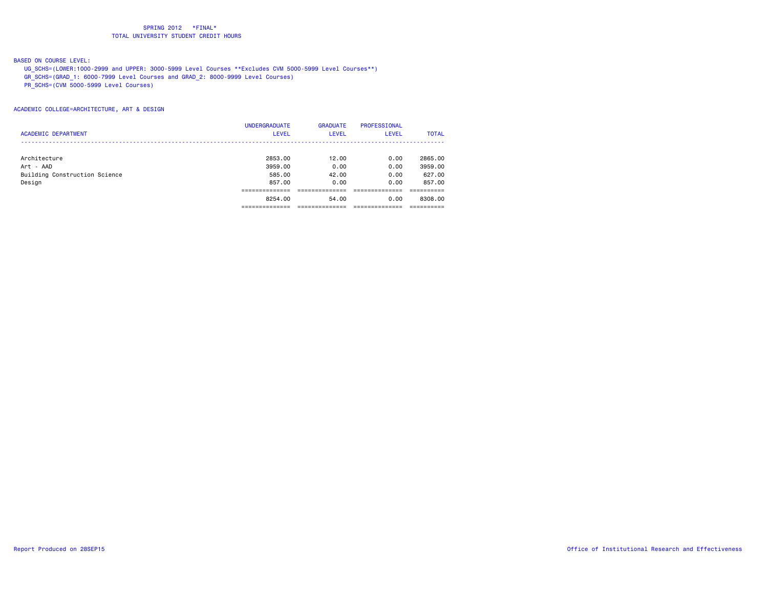BASED ON COURSE LEVEL:

- UG\_SCHS=(LOWER:1000-2999 and UPPER: 3000-5999 Level Courses \*\*Excludes CVM 5000-5999 Level Courses\*\*)
- GR\_SCHS=(GRAD\_1: 6000-7999 Level Courses and GRAD\_2: 8000-9999 Level Courses)

PR\_SCHS=(CVM 5000-5999 Level Courses)

ACADEMIC COLLEGE=ARCHITECTURE, ART & DESIGN

|                               | <b>UNDERGRADUATE</b> | <b>GRADUATE</b> | <b>PROFESSIONAL</b> |              |
|-------------------------------|----------------------|-----------------|---------------------|--------------|
| <b>ACADEMIC DEPARTMENT</b>    | <b>LEVEL</b>         | <b>LEVEL</b>    | <b>LEVEL</b>        | <b>TOTAL</b> |
|                               |                      |                 |                     |              |
| Architecture                  | 2853.00              | 12.00           | 0.00                | 2865,00      |
| Art - AAD                     | 3959,00              | 0.00            | 0.00                | 3959.00      |
| Building Construction Science | 585,00               | 42.00           | 0.00                | 627.00       |
| Design                        | 857,00               | 0.00            | 0.00                | 857,00       |
|                               |                      |                 |                     |              |
|                               | 8254.00              | 54.00           | 0.00                | 8308,00      |
|                               |                      |                 |                     |              |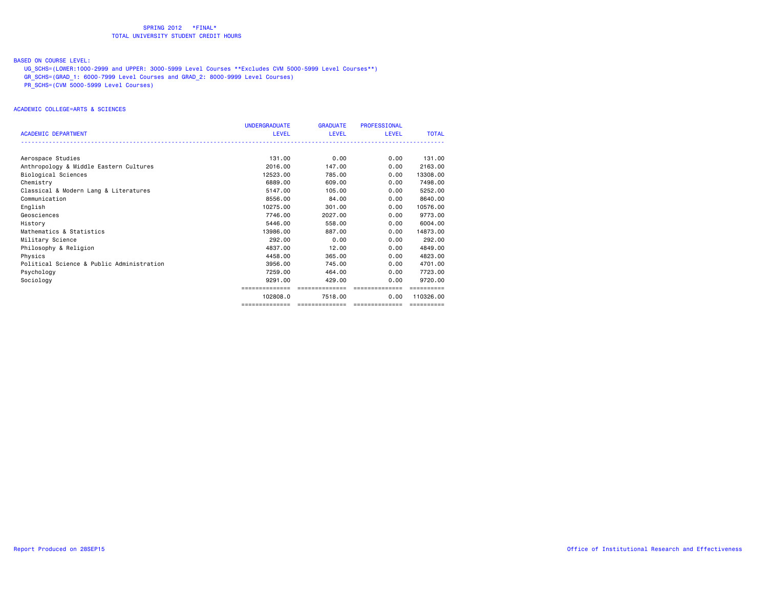BASED ON COURSE LEVEL:

- UG\_SCHS=(LOWER:1000-2999 and UPPER: 3000-5999 Level Courses \*\*Excludes CVM 5000-5999 Level Courses\*\*)
- GR\_SCHS=(GRAD\_1: 6000-7999 Level Courses and GRAD\_2: 8000-9999 Level Courses)

PR\_SCHS=(CVM 5000-5999 Level Courses)

#### ACADEMIC COLLEGE=ARTS & SCIENCES

|                                           | <b>UNDERGRADUATE</b> | <b>GRADUATE</b> | <b>PROFESSIONAL</b> |              |
|-------------------------------------------|----------------------|-----------------|---------------------|--------------|
| <b>ACADEMIC DEPARTMENT</b>                | LEVEL                | LEVEL           | <b>LEVEL</b>        | <b>TOTAL</b> |
|                                           |                      |                 |                     |              |
| Aerospace Studies                         | 131.00               | 0.00            | 0.00                | 131.00       |
| Anthropology & Middle Eastern Cultures    | 2016,00              | 147.00          | 0.00                | 2163.00      |
| Biological Sciences                       | 12523.00             | 785,00          | 0.00                | 13308,00     |
| Chemistry                                 | 6889,00              | 609,00          | 0.00                | 7498.00      |
| Classical & Modern Lang & Literatures     | 5147.00              | 105,00          | 0.00                | 5252.00      |
| Communication                             | 8556.00              | 84.00           | 0.00                | 8640.00      |
| English                                   | 10275.00             | 301,00          | 0.00                | 10576.00     |
| Geosciences                               | 7746.00              | 2027,00         | 0.00                | 9773.00      |
| History                                   | 5446.00              | 558,00          | 0.00                | 6004.00      |
| Mathematics & Statistics                  | 13986.00             | 887.00          | 0.00                | 14873.00     |
| Military Science                          | 292.00               | 0.00            | 0.00                | 292.00       |
| Philosophy & Religion                     | 4837.00              | 12.00           | 0.00                | 4849.00      |
| Physics                                   | 4458.00              | 365,00          | 0.00                | 4823.00      |
| Political Science & Public Administration | 3956.00              | 745.00          | 0.00                | 4701.00      |
| Psychology                                | 7259.00              | 464.00          | 0.00                | 7723.00      |
| Sociology                                 | 9291.00              | 429,00          | 0.00                | 9720.00      |
|                                           | ==============       | ==============  | ==============      |              |
|                                           | 102808.0             | 7518.00         | 0.00                | 110326.00    |
|                                           | ==============       | --------------- | ---------------     | ==========   |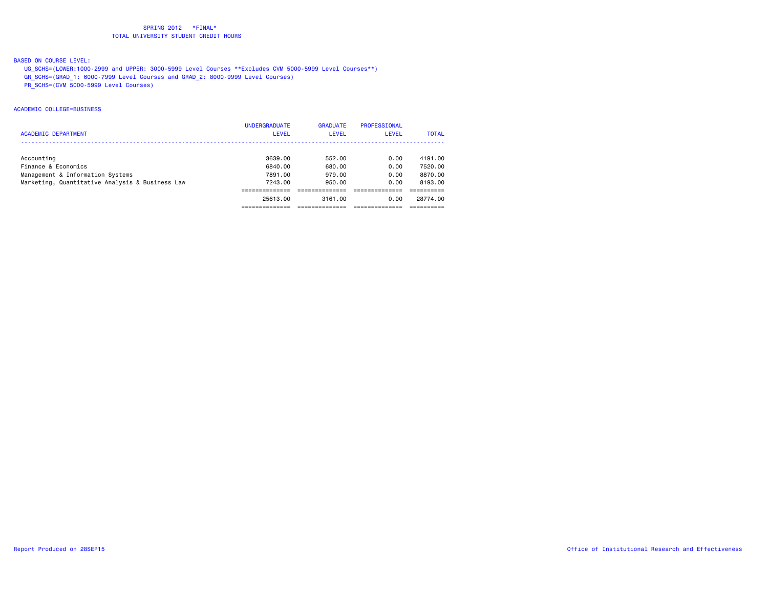# BASED ON COURSE LEVEL:

- UG\_SCHS=(LOWER:1000-2999 and UPPER: 3000-5999 Level Courses \*\*Excludes CVM 5000-5999 Level Courses\*\*)
- GR\_SCHS=(GRAD\_1: 6000-7999 Level Courses and GRAD\_2: 8000-9999 Level Courses)
- PR\_SCHS=(CVM 5000-5999 Level Courses)

#### ACADEMIC COLLEGE=BUSINESS

|                                                 | <b>UNDERGRADUATE</b> | <b>GRADUATE</b> | PROFESSIONAL |              |
|-------------------------------------------------|----------------------|-----------------|--------------|--------------|
| <b>ACADEMIC DEPARTMENT</b>                      | <b>LEVEL</b>         | <b>LEVEL</b>    | LEVEL        | <b>TOTAL</b> |
|                                                 |                      |                 |              |              |
| Accounting                                      | 3639.00              | 552.00          | 0.00         | 4191.00      |
| Finance & Economics                             | 6840.00              | 680.00          | 0.00         | 7520.00      |
| Management & Information Systems                | 7891.00              | 979.00          | 0.00         | 8870.00      |
| Marketing, Quantitative Analysis & Business Law | 7243.00              | 950.00          | 0.00         | 8193.00      |
|                                                 |                      |                 |              |              |
|                                                 | 25613.00             | 3161.00         | 0.00         | 28774.00     |
|                                                 |                      |                 |              |              |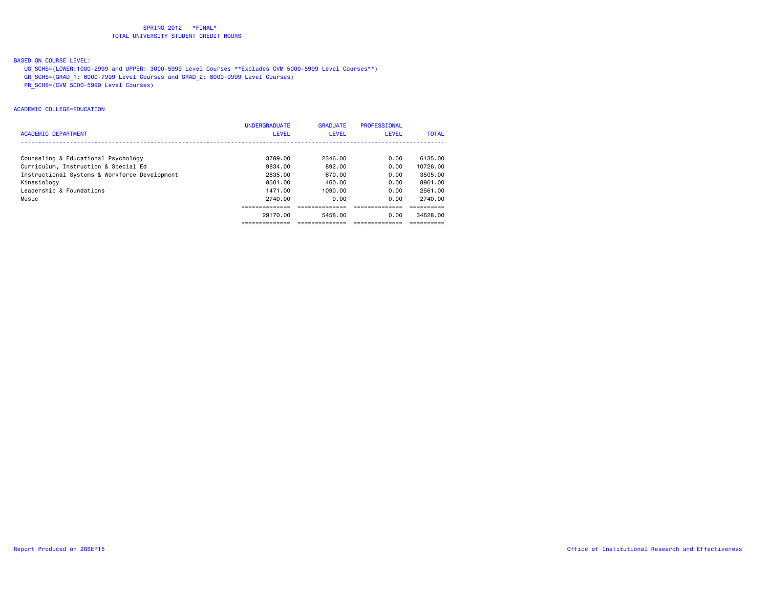# BASED ON COURSE LEVEL:

- UG\_SCHS=(LOWER:1000-2999 and UPPER: 3000-5999 Level Courses \*\*Excludes CVM 5000-5999 Level Courses\*\*)
- GR\_SCHS=(GRAD\_1: 6000-7999 Level Courses and GRAD\_2: 8000-9999 Level Courses)
- PR\_SCHS=(CVM 5000-5999 Level Courses)

#### ACADEMIC COLLEGE=EDUCATION

|                                               | <b>UNDERGRADUATE</b> | <b>GRADUATE</b> | PROFESSIONAL |              |
|-----------------------------------------------|----------------------|-----------------|--------------|--------------|
| <b>ACADEMIC DEPARTMENT</b>                    | <b>LEVEL</b>         | <b>LEVEL</b>    | <b>LEVEL</b> | <b>TOTAL</b> |
|                                               |                      |                 |              |              |
| Counseling & Educational Psychology           | 3789.00              | 2346.00         | 0.00         | 6135.00      |
| Curriculum, Instruction & Special Ed          | 9834.00              | 892.00          | 0.00         | 10726.00     |
| Instructional Systems & Workforce Development | 2835.00              | 670.00          | 0.00         | 3505.00      |
| Kinesiology                                   | 8501.00              | 460.00          | 0.00         | 8961.00      |
| Leadership & Foundations                      | 1471.00              | 1090.00         | 0.00         | 2561.00      |
| Music                                         | 2740.00              | 0.00            | 0.00         | 2740.00      |
|                                               |                      |                 |              |              |
|                                               | 29170.00             | 5458.00         | 0.00         | 34628.00     |
|                                               |                      |                 |              |              |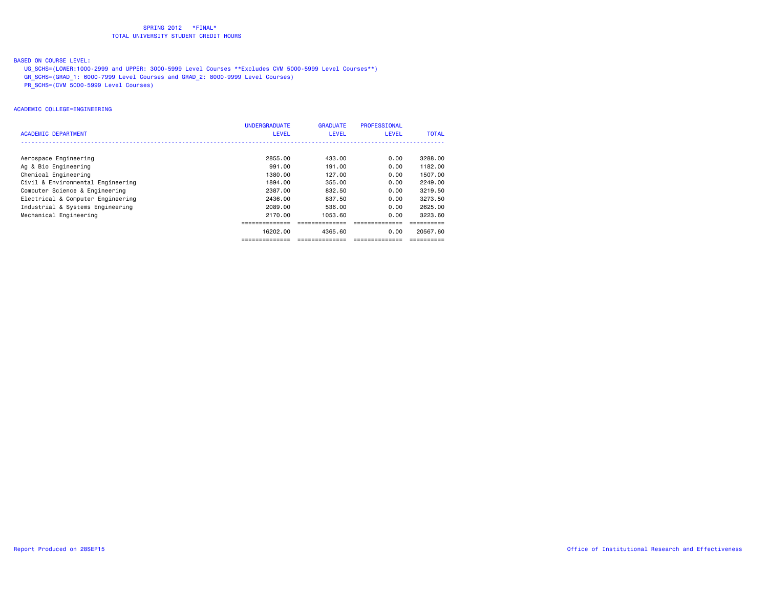BASED ON COURSE LEVEL:

- UG\_SCHS=(LOWER:1000-2999 and UPPER: 3000-5999 Level Courses \*\*Excludes CVM 5000-5999 Level Courses\*\*)
- GR\_SCHS=(GRAD\_1: 6000-7999 Level Courses and GRAD\_2: 8000-9999 Level Courses)
- PR\_SCHS=(CVM 5000-5999 Level Courses)

#### ACADEMIC COLLEGE=ENGINEERING

|                                   | <b>UNDERGRADUATE</b> | <b>GRADUATE</b> | PROFESSIONAL |              |
|-----------------------------------|----------------------|-----------------|--------------|--------------|
| ACADEMIC DEPARTMENT               | <b>LEVEL</b>         | <b>LEVEL</b>    | <b>LEVEL</b> | <b>TOTAL</b> |
|                                   |                      |                 |              |              |
| Aerospace Engineering             | 2855.00              | 433.00          | 0.00         | 3288.00      |
| Ag & Bio Engineering              | 991,00               | 191.00          | 0.00         | 1182.00      |
| Chemical Engineering              | 1380.00              | 127.00          | 0.00         | 1507.00      |
| Civil & Environmental Engineering | 1894.00              | 355,00          | 0.00         | 2249.00      |
| Computer Science & Engineering    | 2387.00              | 832.50          | 0.00         | 3219.50      |
| Electrical & Computer Engineering | 2436.00              | 837.50          | 0.00         | 3273.50      |
| Industrial & Systems Engineering  | 2089.00              | 536,00          | 0.00         | 2625,00      |
| Mechanical Engineering            | 2170.00              | 1053.60         | 0.00         | 3223.60      |
|                                   |                      |                 |              |              |
|                                   | 16202.00             | 4365.60         | 0.00         | 20567.60     |
|                                   |                      |                 |              |              |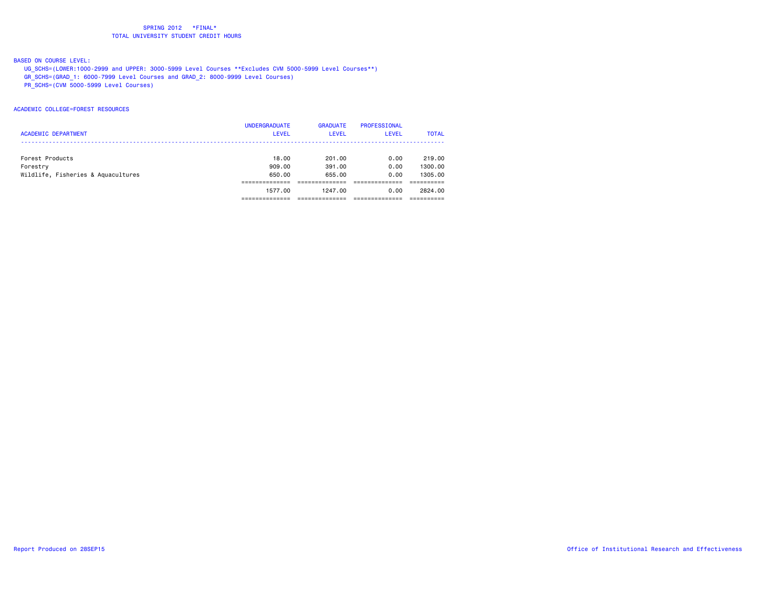# BASED ON COURSE LEVEL:

- UG\_SCHS=(LOWER:1000-2999 and UPPER: 3000-5999 Level Courses \*\*Excludes CVM 5000-5999 Level Courses\*\*)
- GR\_SCHS=(GRAD\_1: 6000-7999 Level Courses and GRAD\_2: 8000-9999 Level Courses)
- PR\_SCHS=(CVM 5000-5999 Level Courses)

#### ACADEMIC COLLEGE=FOREST RESOURCES

|                                    | <b>UNDERGRADUATE</b> | <b>GRADUATE</b> | PROFESSIONAL |              |
|------------------------------------|----------------------|-----------------|--------------|--------------|
| <b>ACADEMIC DEPARTMENT</b>         | <b>LEVEL</b>         | <b>LEVEL</b>    | <b>LEVEL</b> | <b>TOTAL</b> |
|                                    |                      |                 |              |              |
| Forest Products                    | 18,00                | 201.00          | 0.00         | 219,00       |
| Forestry                           | 909,00               | 391,00          | 0.00         | 1300.00      |
| Wildlife, Fisheries & Aquacultures | 650.00               | 655.00          | 0.00         | 1305.00      |
|                                    |                      |                 |              |              |
|                                    | 1577.00              | 1247.00         | 0.00         | 2824.00      |
|                                    |                      |                 |              |              |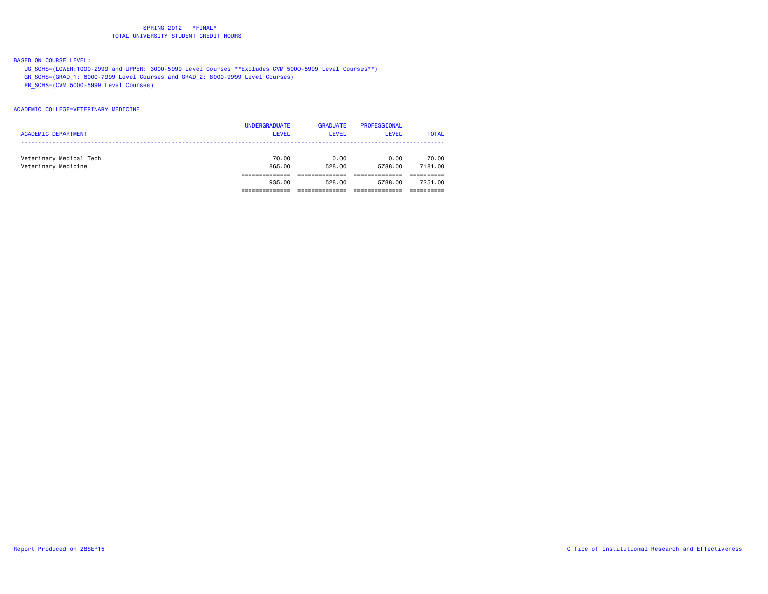BASED ON COURSE LEVEL:

- UG\_SCHS=(LOWER:1000-2999 and UPPER: 3000-5999 Level Courses \*\*Excludes CVM 5000-5999 Level Courses\*\*)
- GR\_SCHS=(GRAD\_1: 6000-7999 Level Courses and GRAD\_2: 8000-9999 Level Courses)
- PR\_SCHS=(CVM 5000-5999 Level Courses)

#### ACADEMIC COLLEGE=VETERINARY MEDICINE

|                            | <b>UNDERGRADUATE</b> | <b>GRADUATE</b> | <b>PROFESSIONAL</b> |              |
|----------------------------|----------------------|-----------------|---------------------|--------------|
| <b>ACADEMIC DEPARTMENT</b> | <b>LEVEL</b>         | <b>LEVEL</b>    | LEVEL               | <b>TOTAL</b> |
|                            |                      |                 |                     |              |
| Veterinary Medical Tech    | 70.00                | 0.00            | 0.00                | 70.00        |
| Veterinary Medicine        | 865.00               | 528.00          | 5788.00             | 7181.00      |
|                            |                      |                 |                     |              |
|                            | 935.00               | 528.00          | 5788.00             | 7251.00      |
|                            |                      |                 |                     |              |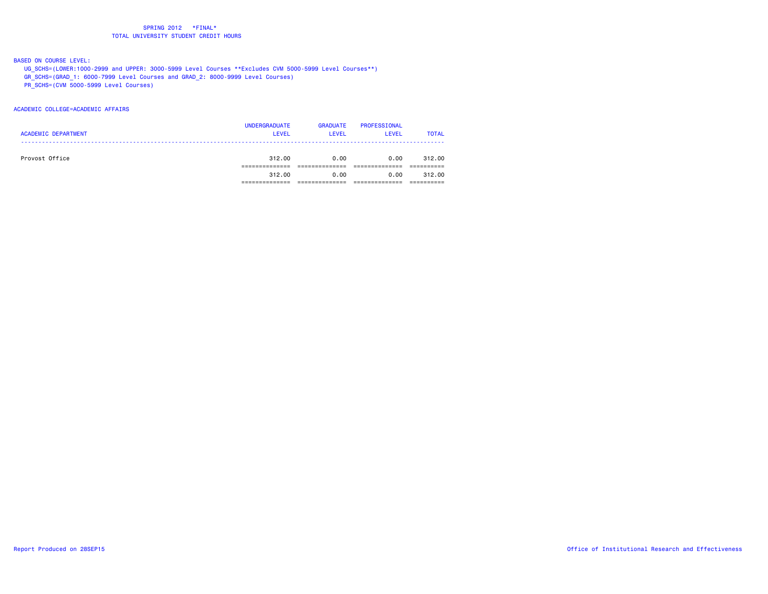BASED ON COURSE LEVEL:

- UG\_SCHS=(LOWER:1000-2999 and UPPER: 3000-5999 Level Courses \*\*Excludes CVM 5000-5999 Level Courses\*\*)
- GR\_SCHS=(GRAD\_1: 6000-7999 Level Courses and GRAD\_2: 8000-9999 Level Courses)
- PR\_SCHS=(CVM 5000-5999 Level Courses)

#### ACADEMIC COLLEGE=ACADEMIC AFFAIRS

|                            | <b>UNDERGRADUATE</b> | <b>GRADUATE</b> | PROFESSIONAL |              |
|----------------------------|----------------------|-----------------|--------------|--------------|
| <b>ACADEMIC DEPARTMENT</b> | <b>LEVEL</b>         | <b>LEVEL</b>    | <b>LEVEL</b> | <b>TOTAL</b> |
|                            |                      |                 |              |              |
| Provost Office             | 312.00               | 0.00            | 0.00         | 312.00       |
|                            |                      |                 |              |              |
|                            | 312.00               | 0.00            | 0.00         | 312.00       |
|                            |                      |                 |              |              |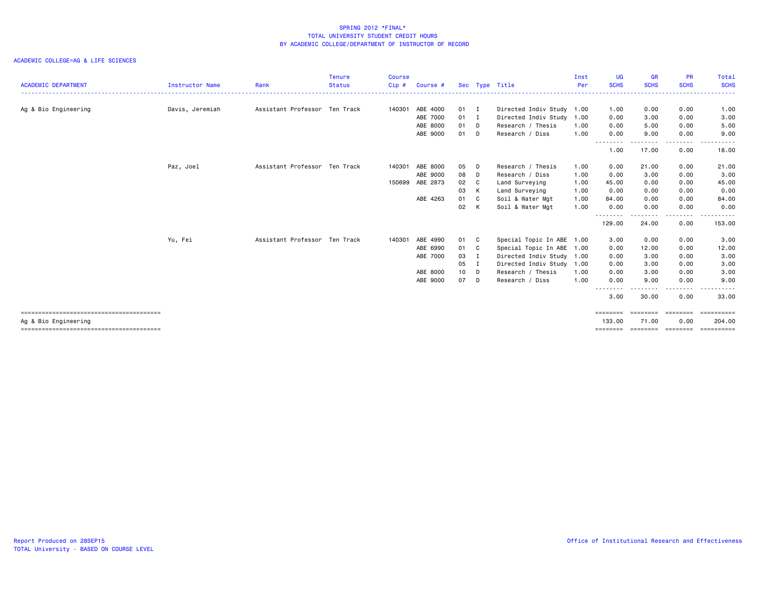# ACADEMIC COLLEGE=AG & LIFE SCIENCES

| <b>ACADEMIC DEPARTMENT</b> | Instructor Name | Rank                          | <b>Tenure</b><br><b>Status</b> | <b>Course</b><br>Cip # | Course #        |      |          | Sec Type Title            | Inst<br>Per | <b>UG</b><br><b>SCHS</b> | <b>GR</b><br><b>SCHS</b> | <b>PR</b><br><b>SCHS</b> | Total<br><b>SCHS</b> |
|----------------------------|-----------------|-------------------------------|--------------------------------|------------------------|-----------------|------|----------|---------------------------|-------------|--------------------------|--------------------------|--------------------------|----------------------|
|                            |                 |                               |                                |                        |                 |      |          |                           |             |                          |                          |                          |                      |
| Ag & Bio Engineering       | Davis, Jeremiah | Assistant Professor Ten Track |                                | 140301                 | ABE 4000        | 01 I |          | Directed Indiv Study 1.00 |             | 1.00                     | 0.00                     | 0.00                     | 1.00                 |
|                            |                 |                               |                                |                        | ABE 7000        | 01 I |          | Directed Indiv Study 1.00 |             | 0.00                     | 3.00                     | 0.00                     | 3.00                 |
|                            |                 |                               |                                |                        | ABE 8000        | 01 D |          | Research / Thesis         | 1.00        | 0.00                     | 5.00                     | 0.00                     | 5.00                 |
|                            |                 |                               |                                |                        | ABE 9000        | 01 D |          | Research / Diss           | 1.00        | 0.00                     | 9.00                     | 0.00                     | 9.00                 |
|                            |                 |                               |                                |                        |                 |      |          |                           |             | ----<br>1.00             | 17.00                    | . <b>.</b><br>0.00       | 18.00                |
|                            | Paz, Joel       | Assistant Professor Ten Track |                                | 140301                 | ABE 8000        | 05   | D        | Research / Thesis         | 1.00        | 0.00                     | 21.00                    | 0.00                     | 21.00                |
|                            |                 |                               |                                |                        | ABE 9000        | 08 D |          | Research / Diss           | 1.00        | 0.00                     | 3.00                     | 0.00                     | 3.00                 |
|                            |                 |                               |                                |                        | 150699 ABE 2873 | 02 C |          | Land Surveying            | 1.00        | 45.00                    | 0.00                     | 0.00                     | 45.00                |
|                            |                 |                               |                                |                        |                 | 03   | K        | Land Surveying            | 1.00        | 0.00                     | 0.00                     | 0.00                     | 0.00                 |
|                            |                 |                               |                                |                        | ABE 4263        | 01   | C.       | Soil & Water Mgt          | 1.00        | 84.00                    | 0.00                     | 0.00                     | 84.00                |
|                            |                 |                               |                                |                        |                 | 02   | K        | Soil & Water Mgt          | 1.00        | 0.00                     | 0.00                     | 0.00                     | 0.00                 |
|                            |                 |                               |                                |                        |                 |      |          |                           |             | .<br>129.00              | --------<br>24.00        | .<br>0.00                | 153.00               |
|                            | Yu, Fei         | Assistant Professor Ten Track |                                | 140301                 | ABE 4990        | 01 C |          | Special Topic In ABE 1.00 |             | 3.00                     | 0.00                     | 0.00                     | 3.00                 |
|                            |                 |                               |                                |                        | ABE 6990        | 01 C |          | Special Topic In ABE 1.00 |             | 0.00                     | 12.00                    | 0.00                     | 12.00                |
|                            |                 |                               |                                |                        | ABE 7000        | 03   | <b>I</b> | Directed Indiv Study 1.00 |             | 0.00                     | 3.00                     | 0.00                     | 3.00                 |
|                            |                 |                               |                                |                        |                 | 05   | I        | Directed Indiv Study 1.00 |             | 0.00                     | 3.00                     | 0.00                     | 3.00                 |
|                            |                 |                               |                                |                        | ABE 8000        | 10 D |          | Research / Thesis         | 1.00        | 0.00                     | 3.00                     | 0.00                     | 3.00                 |
|                            |                 |                               |                                |                        | ABE 9000        | 07   | D        | Research / Diss           | 1.00        | 0.00                     | 9.00                     | 0.00                     | 9.00                 |
|                            |                 |                               |                                |                        |                 |      |          |                           |             | 3.00                     | 30.00                    | .<br>0.00                | .<br>33.00           |
|                            |                 |                               |                                |                        |                 |      |          |                           |             | ========                 | ========                 |                          | ==========           |
| Ag & Bio Engineering       |                 |                               |                                |                        |                 |      |          |                           |             | 133,00                   | 71.00                    | 0.00                     | 204.00               |

======================================== ======== ======== ======== ==========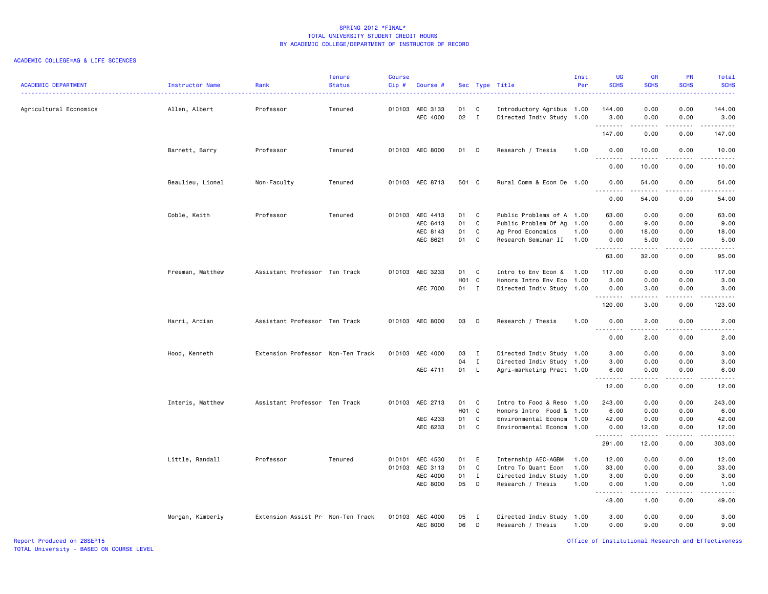# ACADEMIC COLLEGE=AG & LIFE SCIENCES

| <b>ACADEMIC DEPARTMENT</b> | Instructor Name  | Rank                              | <b>Tenure</b><br><b>Status</b> | <b>Course</b><br>$Cip$ # | Course #                                            |                                   |                                  | Sec Type Title<br>.                                                                                             | Inst<br>Per                  | <b>UG</b><br><b>SCHS</b>                | <b>GR</b><br><b>SCHS</b>                                                                                                                                                              | PR<br><b>SCHS</b>                    | Total<br><b>SCHS</b>                                                                                                                                          |
|----------------------------|------------------|-----------------------------------|--------------------------------|--------------------------|-----------------------------------------------------|-----------------------------------|----------------------------------|-----------------------------------------------------------------------------------------------------------------|------------------------------|-----------------------------------------|---------------------------------------------------------------------------------------------------------------------------------------------------------------------------------------|--------------------------------------|---------------------------------------------------------------------------------------------------------------------------------------------------------------|
| Agricultural Economics     | Allen, Albert    | Professor                         | Tenured                        |                          | 010103 AEC 3133<br>AEC 4000                         | 01<br>02                          | C<br>$\mathbf{I}$                | Introductory Agribus 1.00<br>Directed Indiv Study 1.00                                                          |                              | 144.00<br>3.00                          | 0.00<br>0.00                                                                                                                                                                          | 0.00<br>0.00                         | 144.00<br>3.00                                                                                                                                                |
|                            |                  |                                   |                                |                          |                                                     |                                   |                                  |                                                                                                                 |                              | .<br>147.00                             | .<br>0.00                                                                                                                                                                             | والأمام<br>0.00                      | المستملة المناسب<br>147.00                                                                                                                                    |
|                            | Barnett, Barry   | Professor                         | Tenured                        |                          | 010103 AEC 8000                                     | 01 D                              |                                  | Research / Thesis                                                                                               | 1.00                         | 0.00                                    | 10.00                                                                                                                                                                                 | 0.00                                 | 10.00                                                                                                                                                         |
|                            |                  |                                   |                                |                          |                                                     |                                   |                                  |                                                                                                                 |                              | .<br>0.00                               | 10.00                                                                                                                                                                                 | 0.00                                 | .<br>10.00                                                                                                                                                    |
|                            | Beaulieu, Lionel | Non-Faculty                       | Tenured                        |                          | 010103 AEC 8713                                     | 501 C                             |                                  | Rural Comm & Econ De 1.00                                                                                       |                              | 0.00<br>.                               | 54.00<br>$- - - - -$                                                                                                                                                                  | 0.00<br>.                            | 54.00<br>$\frac{1}{2} \left( \frac{1}{2} \right) \left( \frac{1}{2} \right) \left( \frac{1}{2} \right) \left( \frac{1}{2} \right) \left( \frac{1}{2} \right)$ |
|                            |                  |                                   |                                |                          |                                                     |                                   |                                  |                                                                                                                 |                              | 0.00                                    | 54.00                                                                                                                                                                                 | 0.00                                 | 54.00                                                                                                                                                         |
|                            | Coble, Keith     | Professor                         | Tenured                        |                          | 010103 AEC 4413<br>AEC 6413<br>AEC 8143             | 01<br>01<br>01                    | $\mathbf{C}$<br>C<br>C           | Public Problems of A 1.00<br>Public Problem Of Ag                                                               | 1.00                         | 63.00<br>0.00                           | 0.00<br>9.00                                                                                                                                                                          | 0.00<br>0.00<br>0.00                 | 63.00<br>9.00<br>18.00                                                                                                                                        |
|                            |                  |                                   |                                |                          | AEC 8621                                            | 01                                | C                                | Ag Prod Economics<br>Research Seminar II                                                                        | 1.00<br>1.00                 | 0.00<br>0.00<br>.                       | 18.00<br>5.00<br>.                                                                                                                                                                    | 0.00<br>.                            | 5.00<br>د د د د د                                                                                                                                             |
|                            |                  |                                   |                                |                          |                                                     |                                   |                                  |                                                                                                                 |                              | 63.00                                   | 32.00                                                                                                                                                                                 | 0.00                                 | 95.00                                                                                                                                                         |
|                            | Freeman, Matthew | Assistant Professor Ten Track     |                                |                          | 010103 AEC 3233<br>AEC 7000                         | 01<br>H <sub>01</sub> C<br>$01$ I | C                                | Intro to Env Econ &<br>Honors Intro Env Eco<br>Directed Indiv Study 1.00                                        | 1.00<br>1.00                 | 117.00<br>3.00<br>0.00                  | 0.00<br>0.00<br>3.00                                                                                                                                                                  | 0.00<br>0.00<br>0.00                 | 117.00<br>3.00<br>3.00                                                                                                                                        |
|                            |                  |                                   |                                |                          |                                                     |                                   |                                  |                                                                                                                 |                              | .<br>120.00                             | $\frac{1}{2} \left( \frac{1}{2} \right) \left( \frac{1}{2} \right) \left( \frac{1}{2} \right) \left( \frac{1}{2} \right) \left( \frac{1}{2} \right)$<br>3.00                          | .<br>0.00                            | .<br>123.00                                                                                                                                                   |
|                            | Harri, Ardian    | Assistant Professor Ten Track     |                                |                          | 010103 AEC 8000                                     | 03                                | D                                | Research / Thesis                                                                                               | 1.00                         | 0.00                                    | 2.00                                                                                                                                                                                  | 0.00                                 | 2.00                                                                                                                                                          |
|                            |                  |                                   |                                |                          |                                                     |                                   |                                  |                                                                                                                 |                              | --------<br>0.00                        | $\frac{1}{2}$<br>2.00                                                                                                                                                                 | $- - - -$<br>0.00                    | .<br>2.00                                                                                                                                                     |
|                            | Hood, Kenneth    | Extension Professor Non-Ten Track |                                | 010103                   | AEC 4000                                            | 03                                | $\mathbf{I}$                     | Directed Indiv Study 1.00                                                                                       |                              | 3.00                                    | 0.00                                                                                                                                                                                  | 0.00                                 | 3.00                                                                                                                                                          |
|                            |                  |                                   |                                |                          | AEC 4711                                            | 04<br>01 L                        | $\mathbf{I}$                     | Directed Indiv Study 1.00<br>Agri-marketing Pract 1.00                                                          |                              | 3.00<br>6.00                            | 0.00<br>0.00                                                                                                                                                                          | 0.00<br>0.00                         | 3.00<br>6.00                                                                                                                                                  |
|                            |                  |                                   |                                |                          |                                                     |                                   |                                  |                                                                                                                 |                              | .<br>12.00                              | .<br>0.00                                                                                                                                                                             | $\frac{1}{2}$<br>0.00                | .<br>12.00                                                                                                                                                    |
|                            | Interis, Matthew | Assistant Professor Ten Track     |                                |                          | 010103 AEC 2713<br>AEC 4233<br>AEC 6233             | 01<br>H01 C<br>01<br>01           | $\mathbf{C}$<br>C<br>$\mathbf c$ | Intro to Food & Reso 1.00<br>Honors Intro Food & 1.00<br>Environmental Econom 1.00<br>Environmental Econom 1.00 |                              | 243.00<br>6.00<br>42.00<br>0.00<br>.    | 0.00<br>0.00<br>0.00<br>12.00<br>$\frac{1}{2} \left( \frac{1}{2} \right) \left( \frac{1}{2} \right) \left( \frac{1}{2} \right) \left( \frac{1}{2} \right) \left( \frac{1}{2} \right)$ | 0.00<br>0.00<br>0.00<br>0.00<br>.    | 243.00<br>6.00<br>42.00<br>12.00<br>.                                                                                                                         |
|                            |                  |                                   |                                |                          |                                                     |                                   |                                  |                                                                                                                 |                              | 291.00                                  | 12.00                                                                                                                                                                                 | 0.00                                 | 303.00                                                                                                                                                        |
|                            | Little, Randall  | Professor                         | Tenured                        | 010103                   | 010101 AEC 4530<br>AEC 3113<br>AEC 4000<br>AEC 8000 | 01<br>01<br>01<br>05              | E<br>C<br>$\mathbf{I}$<br>D      | Internship AEC-AGBM<br>Intro To Quant Econ<br>Directed Indiv Study<br>Research / Thesis                         | 1.00<br>1.00<br>1.00<br>1.00 | 12.00<br>33.00<br>3.00<br>0.00<br>48.00 | 0.00<br>0.00<br>0.00<br>1.00<br>1.00                                                                                                                                                  | 0.00<br>0.00<br>0.00<br>0.00<br>0.00 | 12.00<br>33.00<br>3.00<br>1.00<br>49.00                                                                                                                       |
|                            | Morgan, Kimberly | Extension Assist Pr Non-Ten Track |                                | 010103                   | AEC 4000<br>AEC 8000                                | 05<br>06                          | $\mathbf{I}$<br>D                | Directed Indiv Study 1.00<br>Research / Thesis                                                                  | 1.00                         | 3.00<br>0.00                            | 0.00<br>9.00                                                                                                                                                                          | 0.00<br>0.00                         | 3.00<br>9.00                                                                                                                                                  |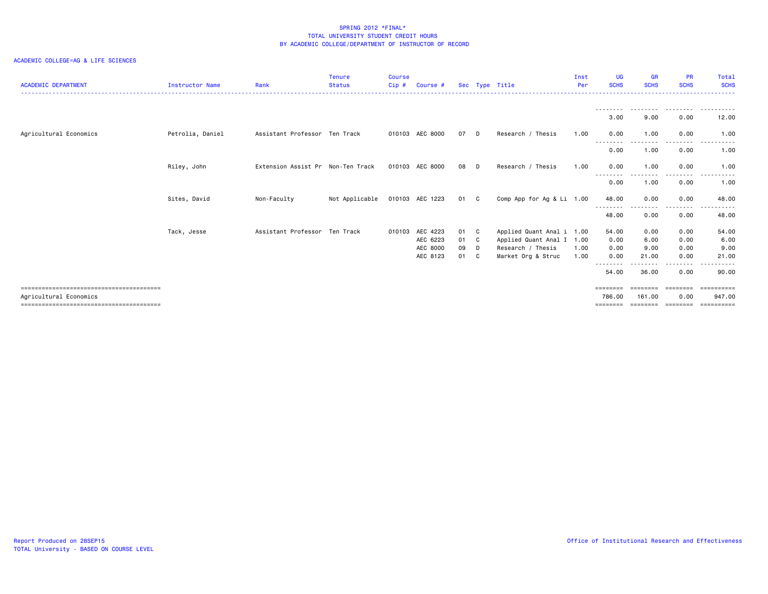| <b>ACADEMIC DEPARTMENT</b> | <b>Instructor Name</b> | Rank                              | <b>Tenure</b><br><b>Status</b> | <b>Course</b><br>Cip# | Course #                                     |                      |                               | Sec Type Title                                                                                    | Inst<br>Per  | <b>UG</b><br><b>SCHS</b>      | <b>GR</b><br><b>SCHS</b>      | <b>PR</b><br><b>SCHS</b>           | Total<br><b>SCHS</b>           |
|----------------------------|------------------------|-----------------------------------|--------------------------------|-----------------------|----------------------------------------------|----------------------|-------------------------------|---------------------------------------------------------------------------------------------------|--------------|-------------------------------|-------------------------------|------------------------------------|--------------------------------|
|                            |                        |                                   |                                |                       |                                              |                      |                               |                                                                                                   |              | 3.00                          | 9.00                          | 0.00                               | 12.00                          |
| Agricultural Economics     | Petrolia, Daniel       | Assistant Professor Ten Track     |                                | 010103                | AEC 8000                                     | 07                   |                               | Research / Thesis                                                                                 | 1.00         | 0.00                          | 1.00                          | 0.00                               | 1.00                           |
|                            |                        |                                   |                                |                       |                                              |                      |                               |                                                                                                   |              | --------<br>0.00              | ---------<br>1.00             | .<br>0.00                          | ----------<br>1.00             |
|                            | Riley, John            | Extension Assist Pr Non-Ten Track |                                |                       | 010103 AEC 8000                              | 08                   | - D                           | Research / Thesis                                                                                 | 1.00         | 0.00                          | 1.00                          | 0.00                               | 1.00                           |
|                            |                        |                                   |                                |                       |                                              |                      |                               |                                                                                                   |              | 0.00                          | ---------<br>1.00             | ---------<br>0.00                  | ------<br>$\cdots$<br>1.00     |
|                            | Sites, David           | Non-Faculty                       | Not Applicable                 |                       | 010103 AEC 1223                              | 01 C                 |                               | Comp App for Ag & Li 1.00                                                                         |              | 48.00<br>- - - - - - - -      | 0.00<br>--------              | 0.00<br>.                          | 48.00                          |
|                            |                        |                                   |                                |                       |                                              |                      |                               |                                                                                                   |              | 48.00                         | 0.00                          | 0.00                               | 48.00                          |
|                            | Tack, Jesse            | Assistant Professor Ten Track     |                                | 010103                | AEC 4223<br>AEC 6223<br>AEC 8000<br>AEC 8123 | 01<br>01<br>09<br>01 | C.<br>$\mathbf{C}$<br>D<br>C. | Applied Quant Anal i 1.00<br>Applied Quant Anal I 1.00<br>Research / Thesis<br>Market Org & Struc | 1.00<br>1.00 | 54.00<br>0.00<br>0.00<br>0.00 | 0.00<br>6.00<br>9.00<br>21.00 | 0.00<br>0.00<br>0.00<br>0.00       | 54.00<br>6.00<br>9.00<br>21,00 |
|                            |                        |                                   |                                |                       |                                              |                      |                               |                                                                                                   |              | --------<br>54.00             | . <b>.</b><br>36.00           | ------<br>0.00                     | .<br>90.00                     |
| Agricultural Economics     |                        |                                   |                                |                       |                                              |                      |                               |                                                                                                   |              | ========<br>786.00<br>------  | 161.00                        | <b>EEEEEEE</b><br>0.00<br>======== | 947.00<br>==========           |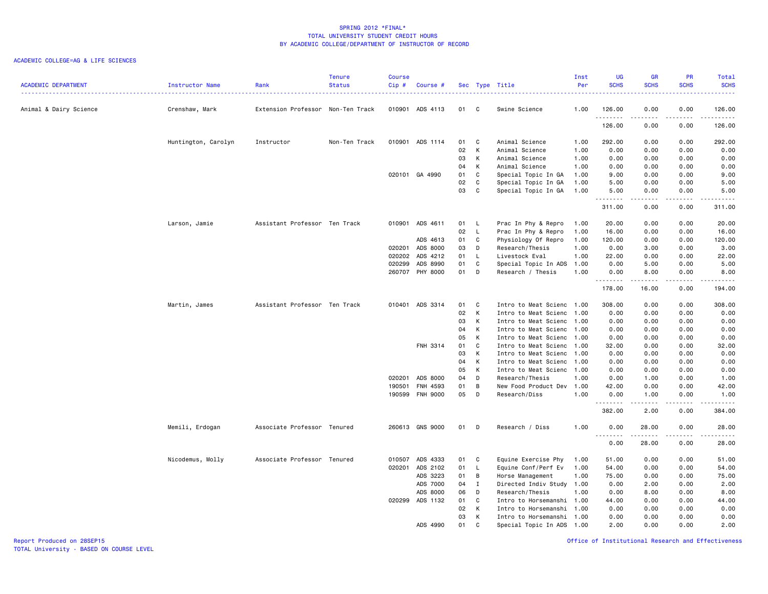## ACADEMIC COLLEGE=AG & LIFE SCIENCES

| <b>ACADEMIC DEPARTMENT</b> | Instructor Name     | Rank                              | <b>Tenure</b><br><b>Status</b> | <b>Course</b><br>Cip# | Course #        |    |              | Sec Type Title            | Inst<br>Per | UG<br><b>SCHS</b> | <b>GR</b><br><b>SCHS</b>     | PR<br><b>SCHS</b> | Total<br><b>SCHS</b>                                                                                                                                           |
|----------------------------|---------------------|-----------------------------------|--------------------------------|-----------------------|-----------------|----|--------------|---------------------------|-------------|-------------------|------------------------------|-------------------|----------------------------------------------------------------------------------------------------------------------------------------------------------------|
|                            |                     |                                   |                                |                       |                 |    |              |                           |             |                   |                              |                   |                                                                                                                                                                |
| Animal & Dairy Science     | Crenshaw, Mark      | Extension Professor Non-Ten Track |                                | 010901                | ADS 4113        | 01 | C            | Swine Science             | 1.00        | 126.00<br>.       | 0.00<br>$\sim$ $\sim$ $\sim$ | 0.00<br>.         | 126.00<br>.                                                                                                                                                    |
|                            |                     |                                   |                                |                       |                 |    |              |                           |             | 126.00            | 0.00                         | 0.00              | 126.00                                                                                                                                                         |
|                            | Huntington, Carolyn | Instructor                        | Non-Ten Track                  | 010901                | ADS 1114        | 01 | C            | Animal Science            | 1.00        | 292.00            | 0.00                         | 0.00              | 292.00                                                                                                                                                         |
|                            |                     |                                   |                                |                       |                 | 02 | К            | Animal Science            | 1.00        | 0.00              | 0.00                         | 0.00              | 0.00                                                                                                                                                           |
|                            |                     |                                   |                                |                       |                 | 03 | К            | Animal Science            | 1.00        | 0.00              | 0.00                         | 0.00              | 0.00                                                                                                                                                           |
|                            |                     |                                   |                                |                       |                 | 04 | К            | Animal Science            | 1.00        | 0.00              | 0.00                         | 0.00              | 0.00                                                                                                                                                           |
|                            |                     |                                   |                                |                       | 020101 GA 4990  | 01 | C            | Special Topic In GA       | 1.00        | 9.00              | 0.00                         | 0.00              | 9.00                                                                                                                                                           |
|                            |                     |                                   |                                |                       |                 | 02 | $\mathtt{C}$ | Special Topic In GA       | 1.00        | 5.00              | 0.00                         | 0.00              | 5.00                                                                                                                                                           |
|                            |                     |                                   |                                |                       |                 | 03 | $\mathbf{C}$ | Special Topic In GA       | 1.00        | 5.00<br>.         | 0.00<br>.                    | 0.00<br>.         | 5.00                                                                                                                                                           |
|                            |                     |                                   |                                |                       |                 |    |              |                           |             | 311.00            | 0.00                         | 0.00              | 311.00                                                                                                                                                         |
|                            | Larson, Jamie       | Assistant Professor Ten Track     |                                | 010901                | ADS 4611        | 01 | - L          | Prac In Phy & Repro       | 1.00        | 20.00             | 0.00                         | 0.00              | 20.00                                                                                                                                                          |
|                            |                     |                                   |                                |                       |                 | 02 | $\mathsf{L}$ | Prac In Phy & Repro       | 1.00        | 16.00             | 0.00                         | 0.00              | 16.00                                                                                                                                                          |
|                            |                     |                                   |                                |                       | ADS 4613        | 01 | C            | Physiology Of Repro       | 1.00        | 120.00            | 0.00                         | 0.00              | 120.00                                                                                                                                                         |
|                            |                     |                                   |                                | 020201                | ADS 8000        | 03 | D            | Research/Thesis           | 1.00        | 0.00              | 3.00                         | 0.00              | 3.00                                                                                                                                                           |
|                            |                     |                                   |                                | 020202                | ADS 4212        | 01 | - L          | Livestock Eval            | 1.00        | 22.00             | 0.00                         | 0.00              | 22.00                                                                                                                                                          |
|                            |                     |                                   |                                | 020299                | ADS 8990        | 01 | C            | Special Topic In ADS      | 1.00        | 0.00              | 5.00                         | 0.00              | 5.00                                                                                                                                                           |
|                            |                     |                                   |                                |                       | 260707 PHY 8000 | 01 | D            | Research / Thesis         | 1.00        | 0.00              | 8.00                         | 0.00              | 8.00                                                                                                                                                           |
|                            |                     |                                   |                                |                       |                 |    |              |                           |             | .<br>178.00       | -----<br>16.00               | .<br>0.00         | $\frac{1}{2} \left( \frac{1}{2} \right) \left( \frac{1}{2} \right) \left( \frac{1}{2} \right) \left( \frac{1}{2} \right) \left( \frac{1}{2} \right)$<br>194.00 |
|                            | Martin, James       | Assistant Professor Ten Track     |                                | 010401                | ADS 3314        | 01 | C            | Intro to Meat Scienc      | 1.00        | 308.00            | 0.00                         | 0.00              | 308.00                                                                                                                                                         |
|                            |                     |                                   |                                |                       |                 | 02 | К            | Intro to Meat Scienc      | 1.00        | 0.00              | 0.00                         | 0.00              | 0.00                                                                                                                                                           |
|                            |                     |                                   |                                |                       |                 | 03 | К            | Intro to Meat Scienc      | 1.00        | 0.00              | 0.00                         | 0.00              | 0.00                                                                                                                                                           |
|                            |                     |                                   |                                |                       |                 | 04 | К            | Intro to Meat Scienc 1.00 |             | 0.00              | 0.00                         | 0.00              | 0.00                                                                                                                                                           |
|                            |                     |                                   |                                |                       |                 | 05 | К            | Intro to Meat Scienc      | 1.00        | 0.00              | 0.00                         | 0.00              | 0.00                                                                                                                                                           |
|                            |                     |                                   |                                |                       | FNH 3314        | 01 | C            | Intro to Meat Scienc      | 1.00        | 32.00             | 0.00                         | 0.00              | 32.00                                                                                                                                                          |
|                            |                     |                                   |                                |                       |                 | 03 | К            | Intro to Meat Scienc      | 1.00        | 0.00              | 0.00                         | 0.00              | 0.00                                                                                                                                                           |
|                            |                     |                                   |                                |                       |                 | 04 | К            | Intro to Meat Scienc      | 1.00        | 0.00              | 0.00                         | 0.00              | 0.00                                                                                                                                                           |
|                            |                     |                                   |                                |                       |                 | 05 | К            | Intro to Meat Scienc 1.00 |             | 0.00              | 0.00                         | 0.00              | 0.00                                                                                                                                                           |
|                            |                     |                                   |                                | 020201                | ADS 8000        | 04 | D            | Research/Thesis           | 1.00        | 0.00              | 1.00                         | 0.00              | 1.00                                                                                                                                                           |
|                            |                     |                                   |                                | 190501                | FNH 4593        | 01 | B            | New Food Product Dev      | 1.00        | 42.00             | 0.00                         | 0.00              | 42.00                                                                                                                                                          |
|                            |                     |                                   |                                |                       | 190599 FNH 9000 | 05 | D            | Research/Diss             | 1.00        | 0.00              | 1.00                         | 0.00              | 1.00                                                                                                                                                           |
|                            |                     |                                   |                                |                       |                 |    |              |                           |             | .<br>382.00       | .<br>2.00                    | .<br>0.00         | $\frac{1}{2} \left( \frac{1}{2} \right) \left( \frac{1}{2} \right) \left( \frac{1}{2} \right) \left( \frac{1}{2} \right) \left( \frac{1}{2} \right)$<br>384.00 |
|                            | Memili, Erdogan     | Associate Professor Tenured       |                                |                       | 260613 GNS 9000 | 01 | D            | Research / Diss           | 1.00        | 0.00              | 28.00                        | 0.00              | 28.00                                                                                                                                                          |
|                            |                     |                                   |                                |                       |                 |    |              |                           |             | .<br>0.00         | .<br>28.00                   | .<br>0.00         | د د د د د<br>28.00                                                                                                                                             |
|                            | Nicodemus, Molly    | Associate Professor Tenured       |                                |                       | 010507 ADS 4333 | 01 | C            | Equine Exercise Phy       | 1.00        | 51.00             | 0.00                         | 0.00              | 51.00                                                                                                                                                          |
|                            |                     |                                   |                                | 020201                | ADS 2102        | 01 | - L          | Equine Conf/Perf Ev       | 1.00        | 54.00             | 0.00                         | 0.00              | 54.00                                                                                                                                                          |
|                            |                     |                                   |                                |                       | ADS 3223        | 01 | B            | Horse Management          | 1.00        | 75.00             | 0.00                         | 0.00              | 75.00                                                                                                                                                          |
|                            |                     |                                   |                                |                       | ADS 7000        | 04 | $\mathbf{I}$ | Directed Indiv Study      | 1.00        | 0.00              | 2.00                         | 0.00              | 2.00                                                                                                                                                           |
|                            |                     |                                   |                                |                       | ADS 8000        | 06 | D            | Research/Thesis           | 1.00        | 0.00              | 8.00                         | 0.00              | 8.00                                                                                                                                                           |
|                            |                     |                                   |                                |                       | 020299 ADS 1132 | 01 | C            | Intro to Horsemanshi 1.00 |             | 44.00             | 0.00                         | 0.00              | 44.00                                                                                                                                                          |
|                            |                     |                                   |                                |                       |                 | 02 | К            | Intro to Horsemanshi      | 1.00        | 0.00              | 0.00                         | 0.00              | 0.00                                                                                                                                                           |
|                            |                     |                                   |                                |                       |                 | 03 | К            | Intro to Horsemanshi 1.00 |             | 0.00              | 0.00                         | 0.00              | 0.00                                                                                                                                                           |
|                            |                     |                                   |                                |                       | ADS 4990        | 01 | C.           | Special Topic In ADS 1.00 |             | 2.00              | 0.00                         | 0.00              | 2.00                                                                                                                                                           |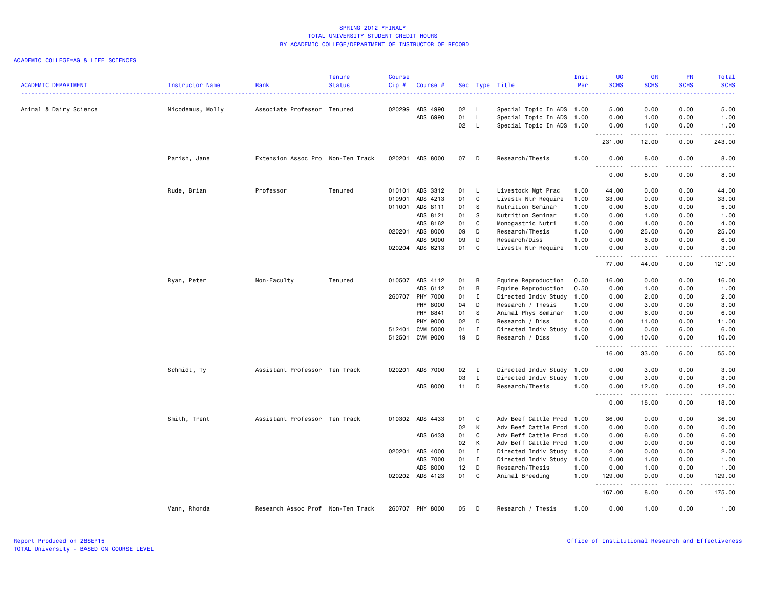| <b>ACADEMIC DEPARTMENT</b> | Instructor Name  | Rank                              | <b>Tenure</b><br><b>Status</b> | <b>Course</b><br>Cip# | Course #        |    |                | Sec Type Title            | Inst<br>Per | <b>UG</b><br><b>SCHS</b> | <b>GR</b><br><b>SCHS</b>                                                                                                                                      | PR<br><b>SCHS</b>            | Total<br><b>SCHS</b>                                                                                                                                                                    |
|----------------------------|------------------|-----------------------------------|--------------------------------|-----------------------|-----------------|----|----------------|---------------------------|-------------|--------------------------|---------------------------------------------------------------------------------------------------------------------------------------------------------------|------------------------------|-----------------------------------------------------------------------------------------------------------------------------------------------------------------------------------------|
| Animal & Dairy Science     | Nicodemus, Molly | Associate Professor Tenured       |                                |                       | 020299 ADS 4990 | 02 | $\mathsf{L}$   | Special Topic In ADS 1.00 |             | 5.00                     | 0.00                                                                                                                                                          | 0.00                         | 5.00                                                                                                                                                                                    |
|                            |                  |                                   |                                |                       | ADS 6990        | 01 | L.             | Special Topic In ADS      | 1.00        | 0.00                     | 1.00                                                                                                                                                          | 0.00                         | 1.00                                                                                                                                                                                    |
|                            |                  |                                   |                                |                       |                 | 02 | - L            | Special Topic In ADS 1.00 |             | 0.00<br>.                | 1.00<br>$- - - - -$                                                                                                                                           | 0.00<br>.                    | 1.00<br>$\frac{1}{2} \left( \frac{1}{2} \right) \left( \frac{1}{2} \right) \left( \frac{1}{2} \right) \left( \frac{1}{2} \right) \left( \frac{1}{2} \right) \left( \frac{1}{2} \right)$ |
|                            |                  |                                   |                                |                       |                 |    |                |                           |             | 231.00                   | 12.00                                                                                                                                                         | 0.00                         | 243.00                                                                                                                                                                                  |
|                            | Parish, Jane     | Extension Assoc Pro Non-Ten Track |                                |                       | 020201 ADS 8000 | 07 | D              | Research/Thesis           | 1.00        | 0.00<br>.                | 8.00<br>.                                                                                                                                                     | 0.00<br>.                    | 8.00<br><u>.</u>                                                                                                                                                                        |
|                            |                  |                                   |                                |                       |                 |    |                |                           |             | 0.00                     | 8.00                                                                                                                                                          | 0.00                         | 8.00                                                                                                                                                                                    |
|                            | Rude, Brian      | Professor                         | Tenured                        | 010101                | ADS 3312        | 01 | $\mathsf{L}$   | Livestock Mgt Prac        | 1.00        | 44.00                    | 0.00                                                                                                                                                          | 0.00                         | 44.00                                                                                                                                                                                   |
|                            |                  |                                   |                                | 010901                | ADS 4213        | 01 | C              | Livestk Ntr Require       | 1.00        | 33.00                    | 0.00                                                                                                                                                          | 0.00                         | 33.00                                                                                                                                                                                   |
|                            |                  |                                   |                                | 011001                | ADS 8111        | 01 | - S            | Nutrition Seminar         | 1.00        | 0.00                     | 5.00                                                                                                                                                          | 0.00                         | 5.00                                                                                                                                                                                    |
|                            |                  |                                   |                                |                       | ADS 8121        | 01 | -S             | Nutrition Seminar         | 1.00        | 0.00                     | 1.00                                                                                                                                                          | 0.00                         | 1.00                                                                                                                                                                                    |
|                            |                  |                                   |                                |                       | ADS 8162        | 01 | C              | Monogastric Nutri         | 1.00        | 0.00                     | 4.00                                                                                                                                                          | 0.00                         | 4.00                                                                                                                                                                                    |
|                            |                  |                                   |                                |                       | 020201 ADS 8000 | 09 | D              | Research/Thesis           | 1.00        | 0.00                     | 25.00                                                                                                                                                         | 0.00                         | 25.00                                                                                                                                                                                   |
|                            |                  |                                   |                                |                       | ADS 9000        | 09 | D              | Research/Diss             | 1.00        | 0.00                     | 6.00                                                                                                                                                          | 0.00                         | 6.00                                                                                                                                                                                    |
|                            |                  |                                   |                                |                       | 020204 ADS 6213 | 01 | C              | Livestk Ntr Require       | 1.00        | 0.00<br>.                | 3.00                                                                                                                                                          | 0.00<br>$\sim$ $\sim$ $\sim$ | 3.00<br>$\frac{1}{2} \left( \frac{1}{2} \right) \left( \frac{1}{2} \right) \left( \frac{1}{2} \right) \left( \frac{1}{2} \right) \left( \frac{1}{2} \right)$                            |
|                            |                  |                                   |                                |                       |                 |    |                |                           |             | 77.00                    | 44.00                                                                                                                                                         | 0.00                         | 121.00                                                                                                                                                                                  |
|                            | Ryan, Peter      | Non-Faculty                       | Tenured                        |                       | 010507 ADS 4112 | 01 | В              | Equine Reproduction       | 0.50        | 16.00                    | 0.00                                                                                                                                                          | 0.00                         | 16.00                                                                                                                                                                                   |
|                            |                  |                                   |                                |                       | ADS 6112        | 01 | B              | Equine Reproduction       | 0.50        | 0.00                     | 1.00                                                                                                                                                          | 0.00                         | 1.00                                                                                                                                                                                    |
|                            |                  |                                   |                                | 260707                | PHY 7000        | 01 | $\mathbf{I}$   | Directed Indiv Study      | 1.00        | 0.00                     | 2.00                                                                                                                                                          | 0.00                         | 2.00                                                                                                                                                                                    |
|                            |                  |                                   |                                |                       | PHY 8000        | 04 | D              | Research / Thesis         | 1.00        | 0.00                     | 3.00                                                                                                                                                          | 0.00                         | 3.00                                                                                                                                                                                    |
|                            |                  |                                   |                                |                       | PHY 8841        | 01 | s              | Animal Phys Seminar       | 1.00        | 0.00                     | 6.00                                                                                                                                                          | 0.00                         | 6.00                                                                                                                                                                                    |
|                            |                  |                                   |                                |                       | PHY 9000        | 02 | D              | Research / Diss           | 1.00        | 0.00                     | 11.00                                                                                                                                                         | 0.00                         | 11.00                                                                                                                                                                                   |
|                            |                  |                                   |                                |                       | 512401 CVM 5000 | 01 | $\mathbf{I}$   | Directed Indiv Study      | 1.00        | 0.00                     | 0.00                                                                                                                                                          | 6.00                         | 6.00                                                                                                                                                                                    |
|                            |                  |                                   |                                |                       | 512501 CVM 9000 | 19 | D              | Research / Diss           | 1.00        | 0.00<br>.                | 10.00<br>$\frac{1}{2} \left( \frac{1}{2} \right) \left( \frac{1}{2} \right) \left( \frac{1}{2} \right) \left( \frac{1}{2} \right) \left( \frac{1}{2} \right)$ | 0.00<br>.                    | 10.00<br>$\frac{1}{2} \left( \frac{1}{2} \right) \left( \frac{1}{2} \right) \left( \frac{1}{2} \right) \left( \frac{1}{2} \right) \left( \frac{1}{2} \right)$                           |
|                            |                  |                                   |                                |                       |                 |    |                |                           |             | 16.00                    | 33.00                                                                                                                                                         | 6.00                         | 55.00                                                                                                                                                                                   |
|                            | Schmidt, Ty      | Assistant Professor Ten Track     |                                | 020201                | ADS 7000        | 02 | $\blacksquare$ | Directed Indiv Study      | 1.00        | 0.00                     | 3.00                                                                                                                                                          | 0.00                         | 3.00                                                                                                                                                                                    |
|                            |                  |                                   |                                |                       |                 | 03 | $\mathbf{I}$   | Directed Indiv Study      | 1.00        | 0.00                     | 3.00                                                                                                                                                          | 0.00                         | 3.00                                                                                                                                                                                    |
|                            |                  |                                   |                                |                       | ADS 8000        | 11 | D              | Research/Thesis           | 1.00        | 0.00<br>.                | 12.00<br>$\frac{1}{2} \left( \frac{1}{2} \right) \left( \frac{1}{2} \right) \left( \frac{1}{2} \right) \left( \frac{1}{2} \right) \left( \frac{1}{2} \right)$ | 0.00<br>د د د د              | 12.00<br>.                                                                                                                                                                              |
|                            |                  |                                   |                                |                       |                 |    |                |                           |             | 0.00                     | 18.00                                                                                                                                                         | 0.00                         | 18.00                                                                                                                                                                                   |
|                            | Smith, Trent     | Assistant Professor Ten Track     |                                |                       | 010302 ADS 4433 | 01 | C              | Adv Beef Cattle Prod      | 1.00        | 36.00                    | 0.00                                                                                                                                                          | 0.00                         | 36.00                                                                                                                                                                                   |
|                            |                  |                                   |                                |                       |                 | 02 | К              | Adv Beef Cattle Prod      | 1.00        | 0.00                     | 0.00                                                                                                                                                          | 0.00                         | 0.00                                                                                                                                                                                    |
|                            |                  |                                   |                                |                       | ADS 6433        | 01 | C              | Adv Beff Cattle Prod      | 1.00        | 0.00                     | 6.00                                                                                                                                                          | 0.00                         | 6.00                                                                                                                                                                                    |
|                            |                  |                                   |                                |                       |                 | 02 | К              | Adv Beff Cattle Prod      | 1.00        | 0.00                     | 0.00                                                                                                                                                          | 0.00                         | 0.00                                                                                                                                                                                    |
|                            |                  |                                   |                                |                       | 020201 ADS 4000 | 01 | $\mathbf{I}$   | Directed Indiv Study 1.00 |             | 2.00                     | 0.00                                                                                                                                                          | 0.00                         | 2.00                                                                                                                                                                                    |
|                            |                  |                                   |                                |                       | ADS 7000        | 01 | $\mathbf{I}$   | Directed Indiv Study      | 1.00        | 0.00                     | 1.00                                                                                                                                                          | 0.00                         | 1.00                                                                                                                                                                                    |
|                            |                  |                                   |                                |                       | ADS 8000        | 12 | D              | Research/Thesis           | 1.00        | 0.00                     | 1.00                                                                                                                                                          | 0.00                         | 1.00                                                                                                                                                                                    |
|                            |                  |                                   |                                |                       | 020202 ADS 4123 | 01 | C              | Animal Breeding           | 1.00        | 129.00                   | 0.00                                                                                                                                                          | 0.00<br>.                    | 129.00                                                                                                                                                                                  |
|                            |                  |                                   |                                |                       |                 |    |                |                           |             | 167.00                   | 8.00                                                                                                                                                          | 0.00                         | 175.00                                                                                                                                                                                  |
|                            | Vann, Rhonda     | Research Assoc Prof Non-Ten Track |                                |                       | 260707 PHY 8000 | 05 | D              | Research / Thesis         | 1.00        | 0.00                     | 1.00                                                                                                                                                          | 0.00                         | 1.00                                                                                                                                                                                    |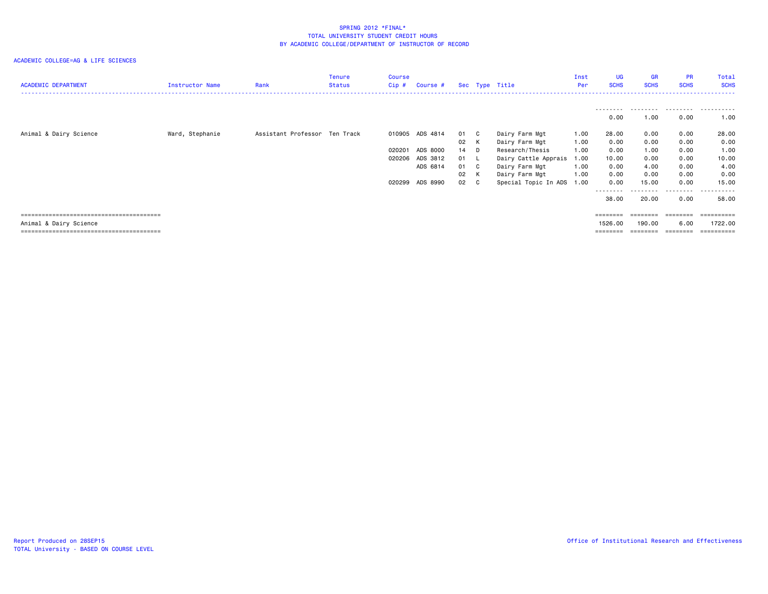#### ACADEMIC COLLEGE=AG & LIFE SCIENCES

| <b>ACADEMIC DEPARTMENT</b> | Instructor Name | Rank                          | <b>Tenure</b><br><b>Status</b> | <b>Course</b><br>Cip # | Course #        |      | Sec Type Title            | Inst<br>Per | <b>UG</b><br><b>SCHS</b> | <b>GR</b><br><b>SCHS</b> | <b>PR</b><br><b>SCHS</b> | Total<br><b>SCHS</b> |
|----------------------------|-----------------|-------------------------------|--------------------------------|------------------------|-----------------|------|---------------------------|-------------|--------------------------|--------------------------|--------------------------|----------------------|
|                            |                 |                               |                                |                        |                 |      |                           |             |                          |                          |                          |                      |
|                            |                 |                               |                                |                        |                 |      |                           |             | --------<br>0.00         | .<br>1.00                | .<br>0.00                | .<br>1.00            |
| Animal & Dairy Science     | Ward, Stephanie | Assistant Professor Ten Track |                                |                        | 010905 ADS 4814 | 01 C | Dairy Farm Mgt            | 1.00        | 28.00                    | 0.00                     | 0.00                     | 28.00                |
|                            |                 |                               |                                |                        |                 | 02 K | Dairy Farm Mgt            | 1.00        | 0.00                     | 0.00                     | 0.00                     | 0.00                 |
|                            |                 |                               |                                |                        | 020201 ADS 8000 | 14 D | Research/Thesis           | 1.00        | 0.00                     | 1.00                     | 0.00                     | 1.00                 |
|                            |                 |                               |                                |                        | 020206 ADS 3812 | 01 L | Dairy Cattle Apprais      | 1.00        | 10.00                    | 0.00                     | 0.00                     | 10.00                |
|                            |                 |                               |                                |                        | ADS 6814        | 01 C | Dairy Farm Mgt            | 1.00        | 0.00                     | 4.00                     | 0.00                     | 4.00                 |
|                            |                 |                               |                                |                        |                 | 02 K | Dairy Farm Mgt            | 1.00        | 0.00                     | 0.00                     | 0.00                     | 0.00                 |
|                            |                 |                               |                                |                        | 020299 ADS 8990 | 02 C | Special Topic In ADS 1.00 |             | 0.00                     | 15.00                    | 0.00                     | 15.00                |
|                            |                 |                               |                                |                        |                 |      |                           |             |                          |                          | ---------                | .                    |
|                            |                 |                               |                                |                        |                 |      |                           |             | 38.00                    | 20.00                    | 0.00                     | 58.00                |
|                            |                 |                               |                                |                        |                 |      |                           |             | ========                 | ========                 |                          | -------------------- |
| Animal & Dairy Science     |                 |                               |                                |                        |                 |      |                           |             | 1526.00                  | 190.00                   | 6.00                     | 1722.00              |

======================================== ======== ======== ======== ==========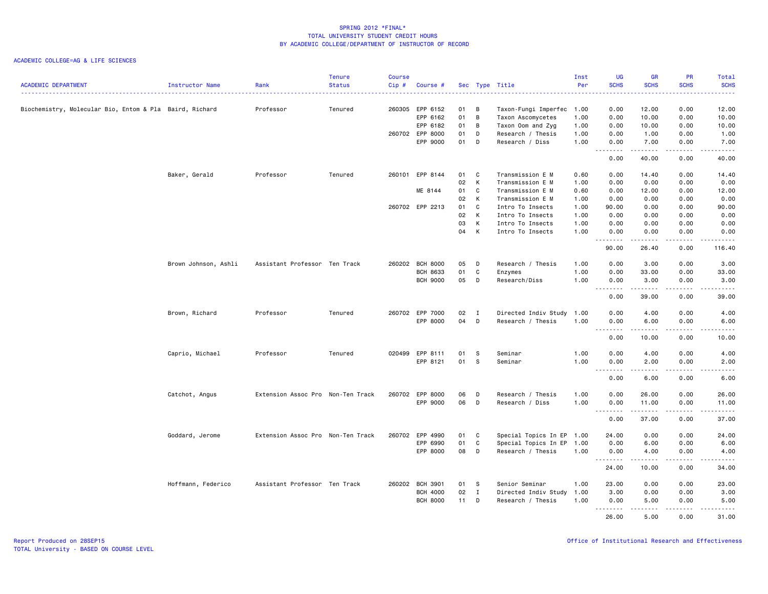| <b>ACADEMIC DEPARTMENT</b>                              | <b>Instructor Name</b> | Rank                              | <b>Tenure</b><br><b>Status</b> | <b>Course</b><br>$Cip$ # | Course #                    |          |              | Sec Type Title                         | Inst<br>Per  | <b>UG</b><br><b>SCHS</b> | <b>GR</b><br><b>SCHS</b>                                                                                                                                     | <b>PR</b><br><b>SCHS</b> | Total<br><b>SCHS</b>                                                                                                                                                                     |
|---------------------------------------------------------|------------------------|-----------------------------------|--------------------------------|--------------------------|-----------------------------|----------|--------------|----------------------------------------|--------------|--------------------------|--------------------------------------------------------------------------------------------------------------------------------------------------------------|--------------------------|------------------------------------------------------------------------------------------------------------------------------------------------------------------------------------------|
|                                                         |                        |                                   |                                |                          |                             |          |              |                                        |              |                          |                                                                                                                                                              |                          | .                                                                                                                                                                                        |
| Biochemistry, Molecular Bio, Entom & Pla Baird, Richard |                        | Professor                         | Tenured                        |                          | 260305 EPP 6152             | 01<br>01 | B<br>B       | Taxon-Fungi Imperfec                   | 1.00         | 0.00                     | 12.00                                                                                                                                                        | 0.00                     | 12.00                                                                                                                                                                                    |
|                                                         |                        |                                   |                                |                          | EPP 6162<br>EPP 6182        | 01       | B            | Taxon Ascomycetes                      | 1.00         | 0.00                     | 10.00                                                                                                                                                        | 0.00<br>0.00             | 10.00                                                                                                                                                                                    |
|                                                         |                        |                                   |                                |                          | 260702 EPP 8000             | 01       | D            | Taxon Oom and Zyg<br>Research / Thesis | 1.00<br>1.00 | 0.00<br>0.00             | 10.00<br>1.00                                                                                                                                                | 0.00                     | 10.00<br>1.00                                                                                                                                                                            |
|                                                         |                        |                                   |                                |                          | EPP 9000                    | 01       | D            | Research / Diss                        | 1.00         | 0.00                     | 7.00                                                                                                                                                         | 0.00                     | 7.00                                                                                                                                                                                     |
|                                                         |                        |                                   |                                |                          |                             |          |              |                                        |              | .<br>0.00                | .<br>40.00                                                                                                                                                   | .<br>0.00                | $\frac{1}{2} \left( \frac{1}{2} \right) \left( \frac{1}{2} \right) \left( \frac{1}{2} \right) \left( \frac{1}{2} \right) \left( \frac{1}{2} \right) \left( \frac{1}{2} \right)$<br>40.00 |
|                                                         | Baker, Gerald          | Professor                         | Tenured                        |                          | 260101 EPP 8144             | 01       | C            | Transmission E M                       | 0.60         | 0.00                     | 14.40                                                                                                                                                        | 0.00                     | 14.40                                                                                                                                                                                    |
|                                                         |                        |                                   |                                |                          |                             | 02       | К            | Transmission E M                       | 1.00         | 0.00                     | 0.00                                                                                                                                                         | 0.00                     | 0.00                                                                                                                                                                                     |
|                                                         |                        |                                   |                                |                          | ME 8144                     | 01       | C            | Transmission E M                       | 0.60         | 0.00                     | 12.00                                                                                                                                                        | 0.00                     | 12.00                                                                                                                                                                                    |
|                                                         |                        |                                   |                                |                          |                             | 02       | К            | Transmission E M                       | 1.00         | 0.00                     | 0.00                                                                                                                                                         | 0.00                     | 0.00                                                                                                                                                                                     |
|                                                         |                        |                                   |                                |                          | 260702 EPP 2213             | 01       | C            | Intro To Insects                       | 1.00         | 90.00                    | 0.00                                                                                                                                                         | 0.00                     | 90.00                                                                                                                                                                                    |
|                                                         |                        |                                   |                                |                          |                             | 02       | К            | Intro To Insects                       | 1.00         | 0.00                     | 0.00                                                                                                                                                         | 0.00                     | 0.00                                                                                                                                                                                     |
|                                                         |                        |                                   |                                |                          |                             | 03       | К            | Intro To Insects                       | 1.00         | 0.00                     | 0.00                                                                                                                                                         | 0.00                     | 0.00                                                                                                                                                                                     |
|                                                         |                        |                                   |                                |                          |                             | 04       | K            | Intro To Insects                       | 1.00         | 0.00<br>.                | 0.00<br>$\frac{1}{2} \left( \frac{1}{2} \right) \left( \frac{1}{2} \right) \left( \frac{1}{2} \right) \left( \frac{1}{2} \right) \left( \frac{1}{2} \right)$ | 0.00<br>.                | 0.00<br>$\frac{1}{2} \left( \frac{1}{2} \right) \left( \frac{1}{2} \right) \left( \frac{1}{2} \right) \left( \frac{1}{2} \right) \left( \frac{1}{2} \right) \left( \frac{1}{2} \right)$  |
|                                                         |                        |                                   |                                |                          |                             |          |              |                                        |              | 90.00                    | 26.40                                                                                                                                                        | 0.00                     | 116.40                                                                                                                                                                                   |
|                                                         | Brown Johnson, Ashli   | Assistant Professor Ten Track     |                                |                          | 260202 BCH 8000             | 05       | D            | Research / Thesis                      | 1.00         | 0.00                     | 3.00                                                                                                                                                         | 0.00                     | 3.00                                                                                                                                                                                     |
|                                                         |                        |                                   |                                |                          | <b>BCH 8633</b>             | 01       | C            | Enzymes                                | 1.00         | 0.00                     | 33.00                                                                                                                                                        | 0.00                     | 33.00                                                                                                                                                                                    |
|                                                         |                        |                                   |                                |                          | <b>BCH 9000</b>             | 05       | D            | Research/Diss                          | 1.00         | 0.00<br><u>.</u>         | 3.00<br>.                                                                                                                                                    | 0.00<br>$- - - - -$      | 3.00<br>.                                                                                                                                                                                |
|                                                         |                        |                                   |                                |                          |                             |          |              |                                        |              | 0.00                     | 39.00                                                                                                                                                        | 0.00                     | 39.00                                                                                                                                                                                    |
|                                                         | Brown, Richard         | Professor                         | Tenured                        |                          | 260702 EPP 7000             | 02       | I            | Directed Indiv Study                   | 1.00         | 0.00                     | 4.00                                                                                                                                                         | 0.00                     | 4.00                                                                                                                                                                                     |
|                                                         |                        |                                   |                                |                          | EPP 8000                    | 04       | D            | Research / Thesis                      | 1.00         | 0.00                     | 6.00                                                                                                                                                         | 0.00                     | 6.00                                                                                                                                                                                     |
|                                                         |                        |                                   |                                |                          |                             |          |              |                                        |              | .<br>0.00                | <u>.</u><br>10.00                                                                                                                                            | .<br>0.00                | -----<br>10.00                                                                                                                                                                           |
|                                                         |                        | Professor                         |                                |                          |                             |          |              | Seminar                                | 1.00         | 0.00                     |                                                                                                                                                              |                          |                                                                                                                                                                                          |
|                                                         | Caprio, Michael        |                                   | Tenured                        |                          | 020499 EPP 8111<br>EPP 8121 | 01<br>01 | S<br>S       | Seminar                                | 1.00         | 0.00                     | 4.00<br>2.00                                                                                                                                                 | 0.00<br>0.00             | 4.00<br>2.00                                                                                                                                                                             |
|                                                         |                        |                                   |                                |                          |                             |          |              |                                        |              | <u>.</u>                 | .                                                                                                                                                            | .                        | .                                                                                                                                                                                        |
|                                                         |                        |                                   |                                |                          |                             |          |              |                                        |              | 0.00                     | 6.00                                                                                                                                                         | 0.00                     | 6.00                                                                                                                                                                                     |
|                                                         | Catchot, Angus         | Extension Assoc Pro Non-Ten Track |                                |                          | 260702 EPP 8000             | 06       | D            | Research / Thesis                      | 1.00         | 0.00                     | 26.00                                                                                                                                                        | 0.00                     | 26.00                                                                                                                                                                                    |
|                                                         |                        |                                   |                                |                          | EPP 9000                    | 06       | D            | Research / Diss                        | 1.00         | 0.00<br><u>.</u>         | 11.00<br>.                                                                                                                                                   | 0.00<br>.                | 11.00<br>.                                                                                                                                                                               |
|                                                         |                        |                                   |                                |                          |                             |          |              |                                        |              | 0.00                     | 37.00                                                                                                                                                        | 0.00                     | 37.00                                                                                                                                                                                    |
|                                                         | Goddard, Jerome        | Extension Assoc Pro Non-Ten Track |                                |                          | 260702 EPP 4990             | 01       | C            | Special Topics In EP 1.00              |              | 24.00                    | 0.00                                                                                                                                                         | 0.00                     | 24.00                                                                                                                                                                                    |
|                                                         |                        |                                   |                                |                          | EPP 6990                    | 01       | $\mathtt{C}$ | Special Topics In EP                   | 1.00         | 0.00                     | 6.00                                                                                                                                                         | 0.00                     | 6.00                                                                                                                                                                                     |
|                                                         |                        |                                   |                                |                          | EPP 8000                    | 08       | D            | Research / Thesis                      | 1.00         | 0.00<br><u>.</u>         | 4.00<br>.                                                                                                                                                    | 0.00<br>.                | 4.00<br>$    -$                                                                                                                                                                          |
|                                                         |                        |                                   |                                |                          |                             |          |              |                                        |              | 24.00                    | 10.00                                                                                                                                                        | 0.00                     | 34.00                                                                                                                                                                                    |
|                                                         | Hoffmann, Federico     | Assistant Professor Ten Track     |                                |                          | 260202 BCH 3901             | 01       | -S           | Senior Seminar                         | 1.00         | 23.00                    | 0.00                                                                                                                                                         | 0.00                     | 23.00                                                                                                                                                                                    |
|                                                         |                        |                                   |                                |                          | <b>BCH 4000</b>             | 02       | $\mathbf{I}$ | Directed Indiv Study                   | 1.00         | 3.00                     | 0.00                                                                                                                                                         | 0.00                     | 3.00                                                                                                                                                                                     |
|                                                         |                        |                                   |                                |                          | <b>BCH 8000</b>             | 11       | D            | Research / Thesis                      | 1.00         | 0.00<br>.                | 5.00                                                                                                                                                         | 0.00                     | 5.00                                                                                                                                                                                     |
|                                                         |                        |                                   |                                |                          |                             |          |              |                                        |              | 26.00                    | 5.00                                                                                                                                                         | 0.00                     | 31.00                                                                                                                                                                                    |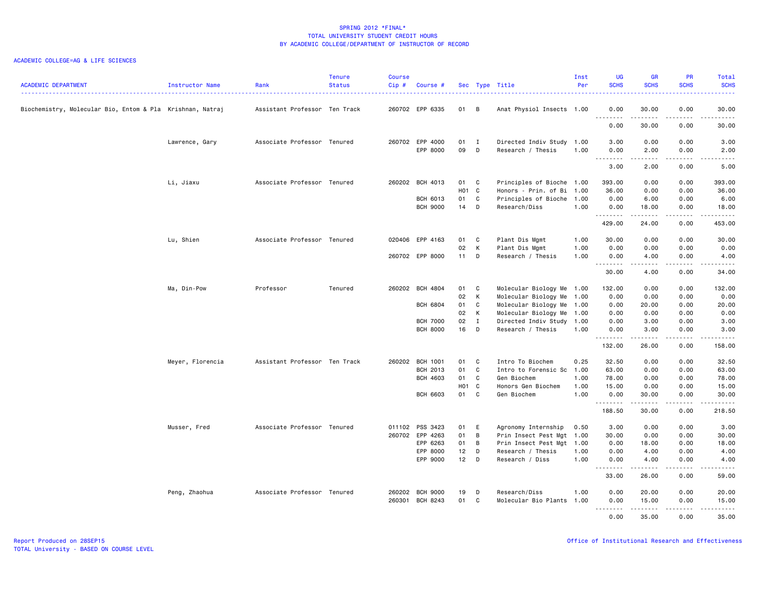| <b>ACADEMIC DEPARTMENT</b>                                | Instructor Name  | Rank                          | <b>Tenure</b><br><b>Status</b> | <b>Course</b><br>Cip# | Course #        |                   |              | Sec Type Title            | Inst<br>Per | <b>UG</b><br><b>SCHS</b> | <b>GR</b><br><b>SCHS</b> | <b>PR</b><br><b>SCHS</b> | Total<br><b>SCHS</b>                                                                                                                                                                    |
|-----------------------------------------------------------|------------------|-------------------------------|--------------------------------|-----------------------|-----------------|-------------------|--------------|---------------------------|-------------|--------------------------|--------------------------|--------------------------|-----------------------------------------------------------------------------------------------------------------------------------------------------------------------------------------|
| Biochemistry, Molecular Bio, Entom & Pla Krishnan, Natraj |                  | Assistant Professor Ten Track |                                |                       | 260702 EPP 6335 | 01 B              |              | Anat Physiol Insects 1.00 |             | 0.00<br><u>.</u>         | 30.00<br>.               | 0.00<br>.                | 30.00<br>$    -$                                                                                                                                                                        |
|                                                           |                  |                               |                                |                       |                 |                   |              |                           |             | 0.00                     | 30.00                    | 0.00                     | 30.00                                                                                                                                                                                   |
|                                                           | Lawrence, Gary   | Associate Professor Tenured   |                                |                       | 260702 EPP 4000 | 01                | I            | Directed Indiv Study      | 1.00        | 3.00                     | 0.00                     | 0.00                     | 3.00                                                                                                                                                                                    |
|                                                           |                  |                               |                                |                       | EPP 8000        | 09                | D            | Research / Thesis         | 1.00        | 0.00<br><u>.</u>         | 2.00<br>.                | 0.00<br>.                | 2.00<br>.                                                                                                                                                                               |
|                                                           |                  |                               |                                |                       |                 |                   |              |                           |             | 3.00                     | 2.00                     | 0.00                     | 5.00                                                                                                                                                                                    |
|                                                           | Li, Jiaxu        | Associate Professor Tenured   |                                |                       | 260202 BCH 4013 | 01                | C            | Principles of Bioche 1.00 |             | 393.00                   | 0.00                     | 0.00                     | 393.00                                                                                                                                                                                  |
|                                                           |                  |                               |                                |                       |                 | HO1 C             |              | Honors - Prin. of Bi 1.00 |             | 36.00                    | 0.00                     | 0.00                     | 36.00                                                                                                                                                                                   |
|                                                           |                  |                               |                                |                       | BCH 6013        | 01                | C            | Principles of Bioche 1.00 |             | 0.00                     | 6.00                     | 0.00                     | 6.00                                                                                                                                                                                    |
|                                                           |                  |                               |                                |                       | <b>BCH 9000</b> | 14                | D            | Research/Diss             | 1.00        | 0.00<br>.                | 18.00                    | 0.00                     | 18.00<br>وبالمحام                                                                                                                                                                       |
|                                                           |                  |                               |                                |                       |                 |                   |              |                           |             | 429.00                   | 24.00                    | 0.00                     | 453.00                                                                                                                                                                                  |
|                                                           | Lu, Shien        | Associate Professor Tenured   |                                |                       | 020406 EPP 4163 | 01                | C            | Plant Dis Mgmt            | 1.00        | 30.00                    | 0.00                     | 0.00                     | 30.00                                                                                                                                                                                   |
|                                                           |                  |                               |                                |                       |                 | 02                | К            | Plant Dis Mgmt            | 1.00        | 0.00                     | 0.00                     | 0.00                     | 0.00                                                                                                                                                                                    |
|                                                           |                  |                               |                                |                       | 260702 EPP 8000 | $11$ D            |              | Research / Thesis         | 1.00        | 0.00<br>.                | 4.00<br>-----            | 0.00<br>-----            | 4.00<br>$\frac{1}{2} \left( \frac{1}{2} \right) \left( \frac{1}{2} \right) \left( \frac{1}{2} \right) \left( \frac{1}{2} \right) \left( \frac{1}{2} \right) \left( \frac{1}{2} \right)$ |
|                                                           |                  |                               |                                |                       |                 |                   |              |                           |             | 30.00                    | 4.00                     | 0.00                     | 34.00                                                                                                                                                                                   |
|                                                           | Ma, Din-Pow      | Professor                     | Tenured                        | 260202                | <b>BCH 4804</b> | 01                | C            | Molecular Biology Me 1.00 |             | 132.00                   | 0.00                     | 0.00                     | 132.00                                                                                                                                                                                  |
|                                                           |                  |                               |                                |                       |                 | 02                | К            | Molecular Biology Me      | 1.00        | 0.00                     | 0.00                     | 0.00                     | 0.00                                                                                                                                                                                    |
|                                                           |                  |                               |                                |                       | <b>BCH 6804</b> | 01                | C            | Molecular Biology Me 1.00 |             | 0.00                     | 20.00                    | 0.00                     | 20.00                                                                                                                                                                                   |
|                                                           |                  |                               |                                |                       |                 | 02                | К            | Molecular Biology Me 1.00 |             | 0.00                     | 0.00                     | 0.00                     | 0.00                                                                                                                                                                                    |
|                                                           |                  |                               |                                |                       | <b>BCH 7000</b> | 02<br>16          | $\mathbf{I}$ | Directed Indiv Study      | 1.00        | 0.00                     | 3.00                     | 0.00                     | 3.00                                                                                                                                                                                    |
|                                                           |                  |                               |                                |                       | <b>BCH 8000</b> |                   | D            | Research / Thesis         | 1.00        | 0.00<br>.                | 3.00<br>$- - - - -$      | 0.00<br>.                | 3.00<br>.                                                                                                                                                                               |
|                                                           |                  |                               |                                |                       |                 |                   |              |                           |             | 132.00                   | 26.00                    | 0.00                     | 158.00                                                                                                                                                                                  |
|                                                           | Meyer, Florencia | Assistant Professor Ten Track |                                |                       | 260202 BCH 1001 | 01                | C            | Intro To Biochem          | 0.25        | 32.50                    | 0.00                     | 0.00                     | 32.50                                                                                                                                                                                   |
|                                                           |                  |                               |                                |                       | BCH 2013        | 01                | C            | Intro to Forensic Sc 1.00 |             | 63.00                    | 0.00                     | 0.00                     | 63.00                                                                                                                                                                                   |
|                                                           |                  |                               |                                |                       | <b>BCH 4603</b> | 01                | C            | Gen Biochem               | 1.00        | 78.00                    | 0.00                     | 0.00                     | 78.00                                                                                                                                                                                   |
|                                                           |                  |                               |                                |                       |                 | H <sub>01</sub> C |              | Honors Gen Biochem        | 1.00        | 15.00                    | 0.00                     | 0.00                     | 15.00                                                                                                                                                                                   |
|                                                           |                  |                               |                                |                       | <b>BCH 6603</b> | 01                | C            | Gen Biochem               | 1.00        | 0.00<br>.                | 30.00<br>.               | 0.00<br>. <b>.</b>       | 30.00<br><u>.</u>                                                                                                                                                                       |
|                                                           |                  |                               |                                |                       |                 |                   |              |                           |             | 188.50                   | 30.00                    | 0.00                     | 218.50                                                                                                                                                                                  |
|                                                           | Musser, Fred     | Associate Professor Tenured   |                                |                       | 011102 PSS 3423 | 01                | - E          | Agronomy Internship       | 0.50        | 3.00                     | 0.00                     | 0.00                     | 3.00                                                                                                                                                                                    |
|                                                           |                  |                               |                                |                       | 260702 EPP 4263 | 01                | B            | Prin Insect Pest Mgt      | 1.00        | 30.00                    | 0.00                     | 0.00                     | 30.00                                                                                                                                                                                   |
|                                                           |                  |                               |                                |                       | EPP 6263        | 01                | B            | Prin Insect Pest Mgt 1.00 |             | 0.00                     | 18.00                    | 0.00                     | 18.00                                                                                                                                                                                   |
|                                                           |                  |                               |                                |                       | EPP 8000        | 12                | D            | Research / Thesis         | 1.00        | 0.00                     | 4.00                     | 0.00                     | 4.00                                                                                                                                                                                    |
|                                                           |                  |                               |                                |                       | EPP 9000        | 12                | D            | Research / Diss           | 1.00        | 0.00<br>.                | 4.00<br>.                | 0.00<br>-----            | 4.00<br>$\frac{1}{2} \left( \frac{1}{2} \right) \left( \frac{1}{2} \right) \left( \frac{1}{2} \right) \left( \frac{1}{2} \right) \left( \frac{1}{2} \right) \left( \frac{1}{2} \right)$ |
|                                                           |                  |                               |                                |                       |                 |                   |              |                           |             | 33.00                    | 26.00                    | 0.00                     | 59.00                                                                                                                                                                                   |
|                                                           | Peng, Zhaohua    | Associate Professor Tenured   |                                |                       | 260202 BCH 9000 | 19                | D            | Research/Diss             | 1.00        | 0.00                     | 20.00                    | 0.00                     | 20.00                                                                                                                                                                                   |
|                                                           |                  |                               |                                | 260301                | BCH 8243        | 01                | C            | Molecular Bio Plants      | 1.00        | 0.00                     | 15.00                    | 0.00                     | 15.00                                                                                                                                                                                   |
|                                                           |                  |                               |                                |                       |                 |                   |              |                           |             | .<br>0.00                | 35.00                    | 0.00                     | د د د د د<br>35.00                                                                                                                                                                      |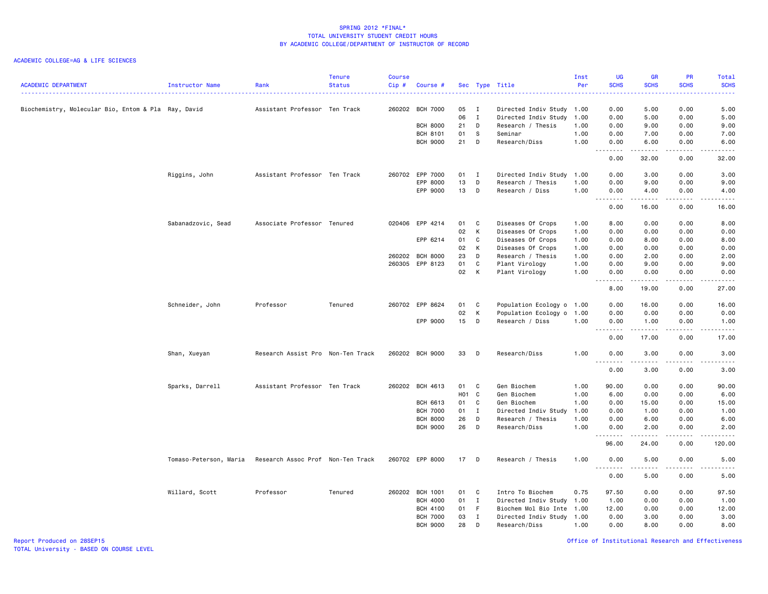## ACADEMIC COLLEGE=AG & LIFE SCIENCES

| <b>ACADEMIC DEPARTMENT</b>                           | Instructor Name        | Rank                              | <b>Tenure</b><br><b>Status</b> | <b>Course</b><br>Cip# | Course #        |        |              | Sec Type Title            | Inst<br>Per | <b>UG</b><br><b>SCHS</b> | <b>GR</b><br><b>SCHS</b> | PR<br><b>SCHS</b>     | Total<br><b>SCHS</b>                                                                                                                                         |
|------------------------------------------------------|------------------------|-----------------------------------|--------------------------------|-----------------------|-----------------|--------|--------------|---------------------------|-------------|--------------------------|--------------------------|-----------------------|--------------------------------------------------------------------------------------------------------------------------------------------------------------|
|                                                      |                        |                                   |                                |                       |                 |        |              |                           |             |                          |                          |                       | المتما                                                                                                                                                       |
| Biochemistry, Molecular Bio, Entom & Pla  Ray, David |                        | Assistant Professor Ten Track     |                                | 260202                | <b>BCH 7000</b> | 05     | $\mathbf{I}$ | Directed Indiv Study 1.00 |             | 0.00                     | 5.00                     | 0.00                  | 5.00                                                                                                                                                         |
|                                                      |                        |                                   |                                |                       |                 | 06     | $\mathbf{I}$ | Directed Indiv Study      | 1.00        | 0.00                     | 5.00                     | 0.00                  | 5.00                                                                                                                                                         |
|                                                      |                        |                                   |                                |                       | <b>BCH 8000</b> | 21     | D            | Research / Thesis         | 1.00        | 0.00                     | 9.00                     | 0.00                  | 9.00                                                                                                                                                         |
|                                                      |                        |                                   |                                |                       | <b>BCH 8101</b> | 01     | S            | Seminar                   | 1.00        | 0.00                     | 7.00                     | 0.00                  | 7.00                                                                                                                                                         |
|                                                      |                        |                                   |                                |                       | <b>BCH 9000</b> | 21     | D            | Research/Diss             | 1.00        | 0.00<br>.                | 6.00<br>$- - - - -$      | 0.00<br>.             | 6.00<br>.                                                                                                                                                    |
|                                                      |                        |                                   |                                |                       |                 |        |              |                           |             | 0.00                     | 32.00                    | 0.00                  | 32.00                                                                                                                                                        |
|                                                      | Riggins, John          | Assistant Professor Ten Track     |                                |                       | 260702 EPP 7000 | $01$ I |              | Directed Indiv Study      | 1.00        | 0.00                     | 3.00                     | 0.00                  | 3.00                                                                                                                                                         |
|                                                      |                        |                                   |                                |                       | EPP 8000        | 13     | D            | Research / Thesis         | 1.00        | 0.00                     | 9.00                     | 0.00                  | 9.00                                                                                                                                                         |
|                                                      |                        |                                   |                                |                       | EPP 9000        | 13     | D            | Research / Diss           | 1.00        | 0.00<br>.                | 4.00<br>.                | 0.00<br>.             | 4.00<br>-----                                                                                                                                                |
|                                                      |                        |                                   |                                |                       |                 |        |              |                           |             | 0.00                     | 16.00                    | 0.00                  | 16.00                                                                                                                                                        |
|                                                      | Sabanadzovic, Sead     | Associate Professor Tenured       |                                |                       | 020406 EPP 4214 | 01     | C            | Diseases Of Crops         | 1.00        | 8.00                     | 0.00                     | 0.00                  | 8.00                                                                                                                                                         |
|                                                      |                        |                                   |                                |                       |                 | 02     | K            | Diseases Of Crops         | 1.00        | 0.00                     | 0.00                     | 0.00                  | 0.00                                                                                                                                                         |
|                                                      |                        |                                   |                                |                       | EPP 6214        | 01     | $\mathbf c$  | Diseases Of Crops         | 1.00        | 0.00                     | 8.00                     | 0.00                  | 8.00                                                                                                                                                         |
|                                                      |                        |                                   |                                |                       |                 | 02     | к            | Diseases Of Crops         | 1.00        | 0.00                     | 0.00                     | 0.00                  | 0.00                                                                                                                                                         |
|                                                      |                        |                                   |                                | 260202                | <b>BCH 8000</b> | 23     | D            | Research / Thesis         | 1.00        | 0.00                     | 2.00                     | 0.00                  | 2.00                                                                                                                                                         |
|                                                      |                        |                                   |                                |                       | 260305 EPP 8123 | 01     | $\mathbf c$  | Plant Virology            | 1.00        | 0.00                     | 9.00                     | 0.00                  | 9.00                                                                                                                                                         |
|                                                      |                        |                                   |                                |                       |                 | 02     | K            | Plant Virology            | 1.00        | 0.00<br>- - - - - - - -  | 0.00<br>-----            | 0.00<br>.             | 0.00<br>$\frac{1}{2} \left( \frac{1}{2} \right) \left( \frac{1}{2} \right) \left( \frac{1}{2} \right) \left( \frac{1}{2} \right) \left( \frac{1}{2} \right)$ |
|                                                      |                        |                                   |                                |                       |                 |        |              |                           |             | 8.00                     | 19.00                    | 0.00                  | 27.00                                                                                                                                                        |
|                                                      | Schneider, John        | Professor                         | Tenured                        |                       | 260702 EPP 8624 | 01     | C            | Population Ecology o 1.00 |             | 0.00                     | 16.00                    | 0.00                  | 16.00                                                                                                                                                        |
|                                                      |                        |                                   |                                |                       |                 | 02     | K            | Population Ecology o      | 1.00        | 0.00                     | 0.00                     | 0.00                  | 0.00                                                                                                                                                         |
|                                                      |                        |                                   |                                |                       | EPP 9000        | 15     | D            | Research / Diss           | 1.00        | 0.00<br>.                | 1.00                     | 0.00<br>د د د د       | 1.00<br>$\frac{1}{2} \left( \frac{1}{2} \right) \left( \frac{1}{2} \right) \left( \frac{1}{2} \right) \left( \frac{1}{2} \right) \left( \frac{1}{2} \right)$ |
|                                                      |                        |                                   |                                |                       |                 |        |              |                           |             | 0.00                     | 17.00                    | 0.00                  | 17.00                                                                                                                                                        |
|                                                      | Shan, Xueyan           | Research Assist Pro Non-Ten Track |                                |                       | 260202 BCH 9000 | 33     | D            | Research/Diss             | 1.00        | 0.00<br><u>.</u>         | 3.00<br>.                | 0.00<br>$\frac{1}{2}$ | 3.00<br>.                                                                                                                                                    |
|                                                      |                        |                                   |                                |                       |                 |        |              |                           |             | 0.00                     | 3.00                     | 0.00                  | 3.00                                                                                                                                                         |
|                                                      | Sparks, Darrell        | Assistant Professor Ten Track     |                                |                       | 260202 BCH 4613 | 01 C   |              | Gen Biochem               | 1.00        | 90.00                    | 0.00                     | 0.00                  | 90.00                                                                                                                                                        |
|                                                      |                        |                                   |                                |                       |                 | HO1 C  |              | Gen Biochem               | 1.00        | 6.00                     | 0.00                     | 0.00                  | 6.00                                                                                                                                                         |
|                                                      |                        |                                   |                                |                       | <b>BCH 6613</b> | 01     | C            | Gen Biochem               | 1.00        | 0.00                     | 15.00                    | 0.00                  | 15.00                                                                                                                                                        |
|                                                      |                        |                                   |                                |                       | <b>BCH 7000</b> | 01     | $\mathbf{I}$ | Directed Indiv Study      | 1.00        | 0.00                     | 1.00                     | 0.00                  | 1.00                                                                                                                                                         |
|                                                      |                        |                                   |                                |                       | <b>BCH 8000</b> | 26     | D            | Research / Thesis         | 1.00        | 0.00                     | 6.00                     | 0.00                  | 6.00                                                                                                                                                         |
|                                                      |                        |                                   |                                |                       | <b>BCH 9000</b> | 26     | D            | Research/Diss             | 1.00        | 0.00<br><u>.</u>         | 2.00<br>.                | 0.00<br>.             | 2.00<br>-----                                                                                                                                                |
|                                                      |                        |                                   |                                |                       |                 |        |              |                           |             | 96.00                    | 24.00                    | 0.00                  | 120.00                                                                                                                                                       |
|                                                      | Tomaso-Peterson, Maria | Research Assoc Prof Non-Ten Track |                                |                       | 260702 EPP 8000 | 17     | D            | Research / Thesis         | 1.00        | 0.00<br>.                | 5.00<br>.                | 0.00<br>.             | 5.00<br>.                                                                                                                                                    |
|                                                      |                        |                                   |                                |                       |                 |        |              |                           |             | 0.00                     | 5.00                     | 0.00                  | 5.00                                                                                                                                                         |
|                                                      | Willard, Scott         | Professor                         | Tenured                        | 260202                | <b>BCH 1001</b> | 01     | C            | Intro To Biochem          | 0.75        | 97.50                    | 0.00                     | 0.00                  | 97.50                                                                                                                                                        |
|                                                      |                        |                                   |                                |                       | <b>BCH 4000</b> | 01     | $\mathbf{I}$ | Directed Indiv Study      | 1.00        | 1.00                     | 0.00                     | 0.00                  | 1.00                                                                                                                                                         |
|                                                      |                        |                                   |                                |                       | <b>BCH 4100</b> | 01     | $-F$         | Biochem Mol Bio Inte      | 1.00        | 12.00                    | 0.00                     | 0.00                  | 12.00                                                                                                                                                        |
|                                                      |                        |                                   |                                |                       | <b>BCH 7000</b> | 03     | $\mathbf{I}$ | Directed Indiv Study      | 1.00        | 0.00                     | 3.00                     | 0.00                  | 3.00                                                                                                                                                         |
|                                                      |                        |                                   |                                |                       | <b>BCH 9000</b> | 28     | D            | Research/Diss             | 1.00        | 0.00                     | 8.00                     | 0.00                  | 8.00                                                                                                                                                         |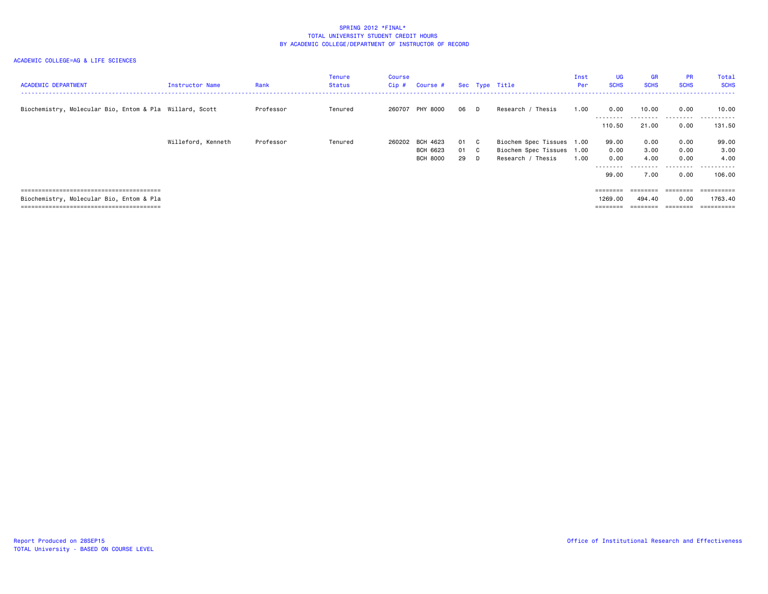| <b>ACADEMIC DEPARTMENT</b>                              | Instructor Name    | Rank      | Tenure<br>Status | Course<br>Cip # | Course #                    |            |   | Sec Type Title                                 | Inst<br>Per | <b>UG</b><br><b>SCHS</b>     | <b>GR</b><br><b>SCHS</b>   | <b>PR</b><br><b>SCHS</b>  | Total<br><b>SCHS</b>                 |
|---------------------------------------------------------|--------------------|-----------|------------------|-----------------|-----------------------------|------------|---|------------------------------------------------|-------------|------------------------------|----------------------------|---------------------------|--------------------------------------|
| Biochemistry, Molecular Bio, Entom & Pla Willard, Scott |                    | Professor | Tenured          | 260707          | PHY 8000                    | 06 D       |   | Research / Thesis                              | 1.00        | 0.00<br>---------            | 10.00<br>- - - - - - - - - | 0.00<br>.                 | 10.00<br>- - - - - - -<br>---        |
|                                                         | Willeford, Kenneth | Professor | Tenured          | 260202          | BCH 4623                    | 01 C       |   | Biochem Spec Tissues 1.00                      |             | 110.50<br>99.00              | 21.00<br>0.00              | 0.00<br>0.00              | 131.50<br>99.00                      |
|                                                         |                    |           |                  |                 | BCH 6623<br><b>BCH 8000</b> | 01 C<br>29 | D | Biochem Spec Tissues 1.00<br>Research / Thesis | 1.00        | 0.00<br>0.00<br>---------    | 3.00<br>4.00<br>---------  | 0.00<br>0.00<br>--------- | 3.00<br>4.00<br>- - - - - - -<br>--- |
|                                                         |                    |           |                  |                 |                             |            |   |                                                |             | 99.00<br>========            | 7.00<br>========           | 0.00<br>eeeeeee           | 106.00<br>eeeeeeee                   |
| Biochemistry, Molecular Bio, Entom & Pla                |                    |           |                  |                 |                             |            |   |                                                |             | 1269.00<br>$=$ = = = = = = = | 494.40                     | 0.00<br>========          | 1763.40<br>==========                |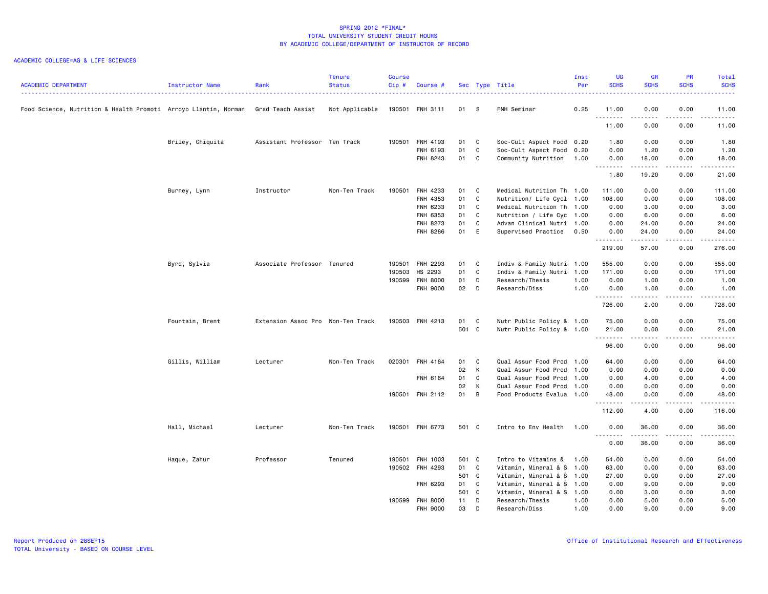| <b>ACADEMIC DEPARTMENT</b>                                      | <b>Instructor Name</b> | Rank<br>. <b>.</b> .              | <b>Tenure</b><br><b>Status</b><br>. | <b>Course</b><br>$Cip$ # | Course #        |       |              | Sec Type Title            | Inst<br>Per<br>. | <b>UG</b><br><b>SCHS</b> | <b>GR</b><br><b>SCHS</b> | <b>PR</b><br><b>SCHS</b> | Total<br><b>SCHS</b><br>22222                                                                                                                                 |
|-----------------------------------------------------------------|------------------------|-----------------------------------|-------------------------------------|--------------------------|-----------------|-------|--------------|---------------------------|------------------|--------------------------|--------------------------|--------------------------|---------------------------------------------------------------------------------------------------------------------------------------------------------------|
| Food Science, Nutrition & Health Promoti Arroyo Llantin, Norman |                        | Grad Teach Assist                 | Not Applicable                      |                          | 190501 FNH 3111 | 01    | $^{\circ}$ s | FNH Seminar               | 0.25             | 11.00<br>.               | 0.00<br>.                | 0.00<br>.                | 11.00<br>.                                                                                                                                                    |
|                                                                 |                        |                                   |                                     |                          |                 |       |              |                           |                  | 11.00                    | 0.00                     | 0.00                     | 11.00                                                                                                                                                         |
|                                                                 | Briley, Chiquita       | Assistant Professor Ten Track     |                                     |                          | 190501 FNH 4193 | 01    | C            | Soc-Cult Aspect Food 0.20 |                  | 1.80                     | 0.00                     | 0.00                     | 1.80                                                                                                                                                          |
|                                                                 |                        |                                   |                                     |                          | FNH 6193        | 01    | C            | Soc-Cult Aspect Food 0.20 |                  | 0.00                     | 1.20                     | 0.00                     | 1.20                                                                                                                                                          |
|                                                                 |                        |                                   |                                     |                          | FNH 8243        | 01    | C            | Community Nutrition       | 1.00             | 0.00<br><u>.</u>         | 18.00<br>.               | 0.00<br>.                | 18.00<br>$\frac{1}{2} \left( \frac{1}{2} \right) \left( \frac{1}{2} \right) \left( \frac{1}{2} \right) \left( \frac{1}{2} \right) \left( \frac{1}{2} \right)$ |
|                                                                 |                        |                                   |                                     |                          |                 |       |              |                           |                  | 1.80                     | 19.20                    | 0.00                     | 21.00                                                                                                                                                         |
|                                                                 | Burney, Lynn           | Instructor                        | Non-Ten Track                       | 190501                   | FNH 4233        | 01    | C            | Medical Nutrition Th 1.00 |                  | 111.00                   | 0.00                     | 0.00                     | 111.00                                                                                                                                                        |
|                                                                 |                        |                                   |                                     |                          | FNH 4353        | 01    | C            | Nutrition/ Life Cycl 1.00 |                  | 108.00                   | 0.00                     | 0.00                     | 108.00                                                                                                                                                        |
|                                                                 |                        |                                   |                                     |                          | FNH 6233        | 01    | C            | Medical Nutrition Th 1.00 |                  | 0.00                     | 3.00                     | 0.00                     | 3.00                                                                                                                                                          |
|                                                                 |                        |                                   |                                     |                          | FNH 6353        | 01    | $\mathbf c$  | Nutrition / Life Cyc 1.00 |                  | 0.00                     | 6.00                     | 0.00                     | 6.00                                                                                                                                                          |
|                                                                 |                        |                                   |                                     |                          | FNH 8273        | 01    | C            | Advan Clinical Nutri 1.00 |                  | 0.00                     | 24.00                    | 0.00                     | 24.00                                                                                                                                                         |
|                                                                 |                        |                                   |                                     |                          | FNH 8286        | 01    | E            | Supervised Practice       | 0.50             | 0.00<br>--------         | 24.00<br>.               | 0.00<br>د د د د          | 24.00<br>.                                                                                                                                                    |
|                                                                 |                        |                                   |                                     |                          |                 |       |              |                           |                  | 219.00                   | 57.00                    | 0.00                     | 276.00                                                                                                                                                        |
|                                                                 | Byrd, Sylvia           | Associate Professor Tenured       |                                     | 190501                   | FNH 2293        | 01    | C            | Indiv & Family Nutri 1.00 |                  | 555.00                   | 0.00                     | 0.00                     | 555.00                                                                                                                                                        |
|                                                                 |                        |                                   |                                     | 190503                   | HS 2293         | 01    | C            | Indiv & Family Nutri      | 1.00             | 171.00                   | 0.00                     | 0.00                     | 171.00                                                                                                                                                        |
|                                                                 |                        |                                   |                                     | 190599                   | <b>FNH 8000</b> | 01    | D            | Research/Thesis           | 1.00             | 0.00                     | 1.00                     | 0.00                     | 1.00                                                                                                                                                          |
|                                                                 |                        |                                   |                                     |                          | FNH 9000        | 02    | $\Box$       | Research/Diss             | 1.00             | 0.00                     | 1.00                     | 0.00                     | 1.00                                                                                                                                                          |
|                                                                 |                        |                                   |                                     |                          |                 |       |              |                           |                  | .<br>726.00              | .<br>2.00                | .<br>0.00                | $\begin{array}{cccccccccc} \bullet & \bullet & \bullet & \bullet & \bullet & \bullet & \bullet \end{array}$<br>728.00                                         |
|                                                                 | Fountain, Brent        | Extension Assoc Pro Non-Ten Track |                                     |                          | 190503 FNH 4213 | 01    | C            | Nutr Public Policy & 1.00 |                  | 75.00                    | 0.00                     | 0.00                     | 75.00                                                                                                                                                         |
|                                                                 |                        |                                   |                                     |                          |                 | 501 C |              | Nutr Public Policy & 1.00 |                  | 21.00                    | 0.00                     | 0.00                     | 21.00                                                                                                                                                         |
|                                                                 |                        |                                   |                                     |                          |                 |       |              |                           |                  |                          |                          |                          | $\frac{1}{2} \left( \frac{1}{2} \right) \left( \frac{1}{2} \right) \left( \frac{1}{2} \right) \left( \frac{1}{2} \right) \left( \frac{1}{2} \right)$          |
|                                                                 |                        |                                   |                                     |                          |                 |       |              |                           |                  | 96.00                    | 0.00                     | 0.00                     | 96.00                                                                                                                                                         |
|                                                                 | Gillis, William        | Lecturer                          | Non-Ten Track                       | 020301                   | FNH 4164        | 01    | C            | Qual Assur Food Prod 1.00 |                  | 64.00                    | 0.00                     | 0.00                     | 64.00                                                                                                                                                         |
|                                                                 |                        |                                   |                                     |                          |                 | 02    | К            | Qual Assur Food Prod      | 1.00             | 0.00                     | 0.00                     | 0.00                     | 0.00                                                                                                                                                          |
|                                                                 |                        |                                   |                                     |                          | FNH 6164        | 01    | C            | Qual Assur Food Prod 1.00 |                  | 0.00                     | 4.00                     | 0.00                     | 4.00                                                                                                                                                          |
|                                                                 |                        |                                   |                                     |                          |                 | 02    | К            | Qual Assur Food Prod 1.00 |                  | 0.00                     | 0.00                     | 0.00                     | 0.00                                                                                                                                                          |
|                                                                 |                        |                                   |                                     |                          | 190501 FNH 2112 | 01    | B            | Food Products Evalua 1.00 |                  | 48.00<br>- - - - - - - - | 0.00<br>.                | 0.00<br>.                | 48.00<br>د د د د د                                                                                                                                            |
|                                                                 |                        |                                   |                                     |                          |                 |       |              |                           |                  | 112.00                   | 4.00                     | 0.00                     | 116.00                                                                                                                                                        |
|                                                                 | Hall, Michael          | Lecturer                          | Non-Ten Track                       |                          | 190501 FNH 6773 | 501 C |              | Intro to Env Health       | 1.00             | 0.00                     | 36.00                    | 0.00                     | 36.00                                                                                                                                                         |
|                                                                 |                        |                                   |                                     |                          |                 |       |              |                           |                  | .<br>0.00                | ------<br>36.00          | .<br>0.00                | د د د د د<br>36.00                                                                                                                                            |
|                                                                 | Haque, Zahur           | Professor                         | Tenured                             | 190501                   | FNH 1003        | 501 C |              | Intro to Vitamins &       | 1.00             | 54.00                    | 0.00                     | 0.00                     | 54.00                                                                                                                                                         |
|                                                                 |                        |                                   |                                     |                          | 190502 FNH 4293 | 01    | C            | Vitamin, Mineral & S 1.00 |                  | 63.00                    | 0.00                     | 0.00                     | 63.00                                                                                                                                                         |
|                                                                 |                        |                                   |                                     |                          |                 | 501 C |              | Vitamin, Mineral & S 1.00 |                  | 27.00                    | 0.00                     | 0.00                     | 27.00                                                                                                                                                         |
|                                                                 |                        |                                   |                                     |                          | FNH 6293        | 01    | C            | Vitamin, Mineral & S 1.00 |                  | 0.00                     | 9.00                     | 0.00                     | 9.00                                                                                                                                                          |
|                                                                 |                        |                                   |                                     |                          |                 | 501 C |              | Vitamin, Mineral & S 1.00 |                  | 0.00                     | 3.00                     | 0.00                     | 3.00                                                                                                                                                          |
|                                                                 |                        |                                   |                                     | 190599                   | <b>FNH 8000</b> | 11    | D            | Research/Thesis           | 1.00             | 0.00                     | 5.00                     | 0.00                     | 5.00                                                                                                                                                          |
|                                                                 |                        |                                   |                                     |                          | FNH 9000        | 03    | D            | Research/Diss             | 1.00             | 0.00                     | 9.00                     | 0.00                     | 9.00                                                                                                                                                          |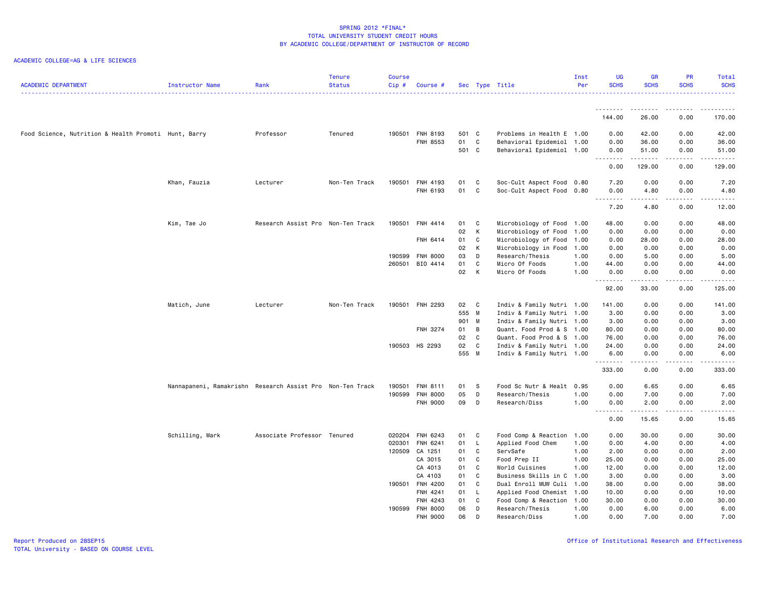| <b>ACADEMIC DEPARTMENT</b>                           | Instructor Name                                           | Rank                              | <b>Tenure</b><br><b>Status</b> | <b>Course</b><br>Cip# | Course #             |             |              | Sec Type Title                                         | Inst<br>Per | UG<br><b>SCHS</b> | <b>GR</b><br><b>SCHS</b> | PR<br><b>SCHS</b>                   | Total<br><b>SCHS</b> |
|------------------------------------------------------|-----------------------------------------------------------|-----------------------------------|--------------------------------|-----------------------|----------------------|-------------|--------------|--------------------------------------------------------|-------------|-------------------|--------------------------|-------------------------------------|----------------------|
|                                                      |                                                           |                                   |                                |                       |                      |             |              |                                                        |             | .                 | <u>.</u>                 | .                                   |                      |
|                                                      |                                                           |                                   |                                |                       |                      |             |              |                                                        |             | 144.00            | 26.00                    | 0.00                                | 170.00               |
| Food Science, Nutrition & Health Promoti Hunt, Barry |                                                           | Professor                         | Tenured                        | 190501                | FNH 8193<br>FNH 8553 | 501 C<br>01 | C            | Problems in Health E 1.00<br>Behavioral Epidemiol 1.00 |             | 0.00<br>0.00      | 42.00<br>36.00           | 0.00<br>0.00                        | 42.00<br>36.00       |
|                                                      |                                                           |                                   |                                |                       |                      | 501 C       |              | Behavioral Epidemiol 1.00                              |             | 0.00<br>.         | 51.00                    | 0.00<br>$\sim$ $\sim$ $\sim$ $\sim$ | 51.00<br>.           |
|                                                      |                                                           |                                   |                                |                       |                      |             |              |                                                        |             | 0.00              | 129.00                   | 0.00                                | 129.00               |
|                                                      | Khan, Fauzia                                              | Lecturer                          | Non-Ten Track                  | 190501                | FNH 4193             | 01          | C            | Soc-Cult Aspect Food 0.80                              |             | 7.20              | 0.00                     | 0.00                                | 7.20                 |
|                                                      |                                                           |                                   |                                |                       | FNH 6193             | 01          | C            | Soc-Cult Aspect Food 0.80                              |             | 0.00<br>.         | 4.80<br>.                | 0.00<br>.                           | 4.80<br>$\sim$       |
|                                                      |                                                           |                                   |                                |                       |                      |             |              |                                                        |             | 7.20              | 4.80                     | 0.00                                | 12.00                |
|                                                      | Kim, Tae Jo                                               | Research Assist Pro Non-Ten Track |                                | 190501                | FNH 4414             | 01          | $\mathbf{C}$ | Microbiology of Food 1.00                              |             | 48.00             | 0.00                     | 0.00                                | 48.00                |
|                                                      |                                                           |                                   |                                |                       |                      | 02          | К            | Microbiology of Food                                   | 1.00        | 0.00              | 0.00                     | 0.00                                | 0.00                 |
|                                                      |                                                           |                                   |                                |                       | FNH 6414             | 01          | C            | Microbiology of Food                                   | 1.00        | 0.00              | 28.00                    | 0.00                                | 28.00                |
|                                                      |                                                           |                                   |                                |                       |                      | 02          | К            | Microbiology in Food                                   | 1.00        | 0.00              | 0.00                     | 0.00                                | 0.00                 |
|                                                      |                                                           |                                   |                                | 190599                | <b>FNH 8000</b>      | 03          | D            | Research/Thesis                                        | 1.00        | 0.00              | 5.00                     | 0.00                                | 5.00                 |
|                                                      |                                                           |                                   |                                | 260501                | BIO 4414             | 01          | C            | Micro Of Foods                                         | 1.00        | 44.00             | 0.00                     | 0.00                                | 44.00                |
|                                                      |                                                           |                                   |                                |                       |                      | 02          | К            | Micro Of Foods                                         | 1.00        | 0.00<br><u>.</u>  | 0.00<br>.                | 0.00<br>.                           | 0.00<br>.            |
|                                                      |                                                           |                                   |                                |                       |                      |             |              |                                                        |             | 92.00             | 33.00                    | 0.00                                | 125.00               |
|                                                      | Matich, June                                              | Lecturer                          | Non-Ten Track                  | 190501                | FNH 2293             | 02          | C            | Indiv & Family Nutri 1.00                              |             | 141.00            | 0.00                     | 0.00                                | 141.00               |
|                                                      |                                                           |                                   |                                |                       |                      | 555 M       |              | Indiv & Family Nutri 1.00                              |             | 3.00              | 0.00                     | 0.00                                | 3.00                 |
|                                                      |                                                           |                                   |                                |                       |                      | 901         | M            | Indiv & Family Nutri 1.00                              |             | 3.00              | 0.00                     | 0.00                                | 3.00                 |
|                                                      |                                                           |                                   |                                |                       | FNH 3274             | 01          | В            | Quant. Food Prod & S 1.00                              |             | 80.00             | 0.00                     | 0.00                                | 80.00                |
|                                                      |                                                           |                                   |                                |                       |                      | 02          | C            | Quant. Food Prod & S 1.00                              |             | 76.00             | 0.00                     | 0.00                                | 76.00                |
|                                                      |                                                           |                                   |                                |                       | 190503 HS 2293       | 02          | C            | Indiv & Family Nutri 1.00                              |             | 24.00             | 0.00                     | 0.00                                | 24.00                |
|                                                      |                                                           |                                   |                                |                       |                      | 555 M       |              | Indiv & Family Nutri 1.00                              |             | 6.00              | 0.00                     | 0.00                                | 6.00                 |
|                                                      |                                                           |                                   |                                |                       |                      |             |              |                                                        |             | 333.00            | 0.00                     | 0.00                                | 333.00               |
|                                                      | Nannapaneni, Ramakrishn Research Assist Pro Non-Ten Track |                                   |                                | 190501                | <b>FNH 8111</b>      | 01          | S            | Food Sc Nutr & Healt 0.95                              |             | 0.00              | 6.65                     | 0.00                                | 6.65                 |
|                                                      |                                                           |                                   |                                | 190599                | <b>FNH 8000</b>      | 05          | D            | Research/Thesis                                        | 1.00        | 0.00              | 7.00                     | 0.00                                | 7.00                 |
|                                                      |                                                           |                                   |                                |                       | <b>FNH 9000</b>      | 09          | D            | Research/Diss                                          | 1.00        | 0.00<br><u>.</u>  | 2.00<br>.                | 0.00<br>.                           | 2.00<br>-----        |
|                                                      |                                                           |                                   |                                |                       |                      |             |              |                                                        |             | 0.00              | 15.65                    | 0.00                                | 15.65                |
|                                                      | Schilling, Mark                                           | Associate Professor Tenured       |                                | 020204                | FNH 6243             | 01          | C.           | Food Comp & Reaction                                   | 1.00        | 0.00              | 30.00                    | 0.00                                | 30.00                |
|                                                      |                                                           |                                   |                                | 020301                | FNH 6241             | 01          | L            | Applied Food Chem                                      | 1.00        | 0.00              | 4.00                     | 0.00                                | 4.00                 |
|                                                      |                                                           |                                   |                                | 120509                | CA 1251              | 01          | C            | ServSafe                                               | 1.00        | 2.00              | 0.00                     | 0.00                                | 2.00                 |
|                                                      |                                                           |                                   |                                |                       | CA 3015              | 01          | C            | Food Prep II                                           | 1.00        | 25.00             | 0.00                     | 0.00                                | 25.00                |
|                                                      |                                                           |                                   |                                |                       | CA 4013              | 01          | C            | World Cuisines                                         | 1.00        | 12.00             | 0.00                     | 0.00                                | 12.00                |
|                                                      |                                                           |                                   |                                |                       | CA 4103              | 01          | C            | Business Skills in C                                   | 1.00        | 3.00              | 0.00                     | 0.00                                | 3.00                 |
|                                                      |                                                           |                                   |                                | 190501                | <b>FNH 4200</b>      | 01          | C            | Dual Enroll MUW Culi                                   | 1.00        | 38.00             | 0.00                     | 0.00                                | 38.00                |
|                                                      |                                                           |                                   |                                |                       | FNH 4241             | 01          | $\mathsf{L}$ | Applied Food Chemist 1.00                              |             | 10.00             | 0.00                     | 0.00                                | 10.00                |
|                                                      |                                                           |                                   |                                |                       | FNH 4243             | 01          | C            | Food Comp & Reaction                                   | 1.00        | 30.00             | 0.00                     | 0.00                                | 30.00                |
|                                                      |                                                           |                                   |                                |                       | 190599 FNH 8000      | 06          | D            | Research/Thesis                                        | 1.00        | 0.00              | 6.00                     | 0.00                                | 6.00                 |
|                                                      |                                                           |                                   |                                |                       | FNH 9000             | 06          | D            | Research/Diss                                          | 1.00        | 0.00              | 7.00                     | 0.00                                | 7.00                 |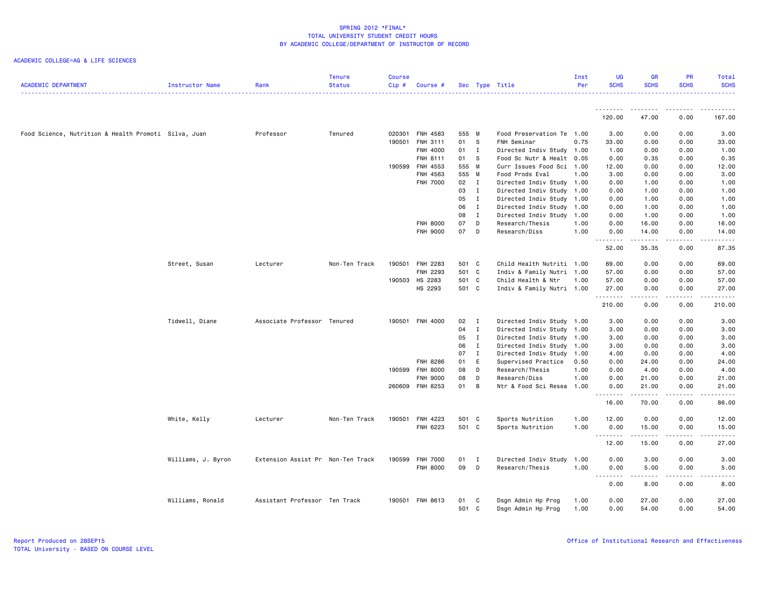| <b>ACADEMIC DEPARTMENT</b>                           | <b>Instructor Name</b> | Rank                              | <b>Tenure</b><br><b>Status</b> | <b>Course</b><br>Cip# | Course #        |          |              | Sec Type Title            | Inst<br>Per  | <b>UG</b><br><b>SCHS</b> | <b>GR</b><br><b>SCHS</b> | <b>PR</b><br><b>SCHS</b>            | Total<br><b>SCHS</b> |
|------------------------------------------------------|------------------------|-----------------------------------|--------------------------------|-----------------------|-----------------|----------|--------------|---------------------------|--------------|--------------------------|--------------------------|-------------------------------------|----------------------|
|                                                      |                        |                                   |                                |                       |                 |          |              |                           |              | 120.00                   | 47.00                    | 0.00                                | 167.00               |
| Food Science, Nutrition & Health Promoti Silva, Juan |                        | Professor                         | Tenured                        | 020301                | FNH 4583        | 555 M    |              | Food Preservation Te      | 1.00         | 3.00                     | 0.00                     | 0.00                                | 3.00                 |
|                                                      |                        |                                   |                                | 190501                | FNH 3111        | 01       | - S          | FNH Seminar               | 0.75         | 33.00                    | 0.00                     | 0.00                                | 33.00                |
|                                                      |                        |                                   |                                |                       | FNH 4000        | 01 I     |              | Directed Indiv Study 1.00 |              | 1.00                     | 0.00                     | 0.00                                | 1.00                 |
|                                                      |                        |                                   |                                |                       | FNH 8111        | 01       | - S          | Food Sc Nutr & Healt 0.05 |              | 0.00                     | 0.35                     | 0.00                                | 0.35                 |
|                                                      |                        |                                   |                                | 190599                | FNH 4553        | 555 M    |              | Curr Issues Food Sci 1.00 |              | 12.00                    | 0.00                     | 0.00                                | 12.00                |
|                                                      |                        |                                   |                                |                       | FNH 4563        | 555 M    |              | Food Prods Eval           | 1.00         | 3.00                     | 0.00                     | 0.00                                | 3.00                 |
|                                                      |                        |                                   |                                |                       | <b>FNH 7000</b> | 02       | $\mathbf{I}$ | Directed Indiv Study      | 1.00         | 0.00                     | 1.00                     | 0.00                                | 1.00                 |
|                                                      |                        |                                   |                                |                       |                 | 03       | $\mathbf{I}$ | Directed Indiv Study 1.00 |              | 0.00                     | 1.00                     | 0.00                                | 1.00                 |
|                                                      |                        |                                   |                                |                       |                 | 05       | $\mathbf{I}$ | Directed Indiv Study 1.00 |              | 0.00                     | 1.00                     | 0.00                                | 1.00                 |
|                                                      |                        |                                   |                                |                       |                 | 06       | $\mathbf{I}$ | Directed Indiv Study 1.00 |              | 0.00                     | 1.00                     | 0.00                                | 1.00                 |
|                                                      |                        |                                   |                                |                       |                 | 08       | $\mathbf{I}$ | Directed Indiv Study      | 1.00         | 0.00                     | 1.00                     | 0.00                                | 1.00                 |
|                                                      |                        |                                   |                                |                       | <b>FNH 8000</b> | 07<br>07 | D            | Research/Thesis           | 1.00<br>1.00 | 0.00                     | 16.00                    | 0.00                                | 16.00                |
|                                                      |                        |                                   |                                |                       | <b>FNH 9000</b> |          | D            | Research/Diss             |              | 0.00<br>.                | 14.00<br>.               | 0.00<br>.                           | 14.00<br>المتمالين   |
|                                                      |                        |                                   |                                |                       |                 |          |              |                           |              | 52.00                    | 35.35                    | 0.00                                | 87.35                |
|                                                      | Street, Susan          | Lecturer                          | Non-Ten Track                  | 190501                | FNH 2283        | 501 C    |              | Child Health Nutriti 1.00 |              | 69.00                    | 0.00                     | 0.00                                | 69.00                |
|                                                      |                        |                                   |                                |                       | FNH 2293        | 501 C    |              | Indiv & Family Nutri 1.00 |              | 57.00                    | 0.00                     | 0.00                                | 57.00                |
|                                                      |                        |                                   |                                |                       | 190503 HS 2283  | 501 C    |              | Child Health & Ntr        | 1.00         | 57.00                    | 0.00                     | 0.00                                | 57.00                |
|                                                      |                        |                                   |                                |                       | HS 2293         | 501 C    |              | Indiv & Family Nutri 1.00 |              | 27.00                    | 0.00                     | 0.00                                | 27.00                |
|                                                      |                        |                                   |                                |                       |                 |          |              |                           |              | .                        | .                        | المتماما                            | .                    |
|                                                      |                        |                                   |                                |                       |                 |          |              |                           |              | 210.00                   | 0.00                     | 0.00                                | 210.00               |
|                                                      | Tidwell, Diane         | Associate Professor Tenured       |                                | 190501                | <b>FNH 4000</b> | 02       | I            | Directed Indiv Study 1.00 |              | 3.00                     | 0.00                     | 0.00                                | 3.00                 |
|                                                      |                        |                                   |                                |                       |                 | 04       | $\mathbf{I}$ | Directed Indiv Study 1.00 |              | 3.00                     | 0.00                     | 0.00                                | 3.00                 |
|                                                      |                        |                                   |                                |                       |                 | 05       | $\mathbf{I}$ | Directed Indiv Study      | 1.00         | 3.00                     | 0.00                     | 0.00                                | 3.00                 |
|                                                      |                        |                                   |                                |                       |                 | 06       | $\mathbf{I}$ | Directed Indiv Study 1.00 |              | 3.00                     | 0.00                     | 0.00                                | 3.00                 |
|                                                      |                        |                                   |                                |                       |                 | 07       | $\mathbf{I}$ | Directed Indiv Study      | 1.00         | 4.00                     | 0.00                     | 0.00                                | 4.00                 |
|                                                      |                        |                                   |                                |                       | <b>FNH 8286</b> | 01       | E            | Supervised Practice       | 0.50         | 0.00                     | 24.00                    | 0.00                                | 24.00                |
|                                                      |                        |                                   |                                | 190599                | <b>FNH 8000</b> | 08       | D            | Research/Thesis           | 1.00         | 0.00                     | 4.00                     | 0.00                                | 4.00                 |
|                                                      |                        |                                   |                                |                       | <b>FNH 9000</b> | 08       | $\mathsf{D}$ | Research/Diss             | 1.00         | 0.00                     | 21.00                    | 0.00                                | 21.00                |
|                                                      |                        |                                   |                                |                       | 260609 FNH 8253 | 01       | B            | Ntr & Food Sci Resea      | 1.00         | 0.00<br>.                | 21.00<br>.               | 0.00<br>.                           | 21.00<br>المتمالين   |
|                                                      |                        |                                   |                                |                       |                 |          |              |                           |              | 16.00                    | 70.00                    | 0.00                                | 86.00                |
|                                                      | White, Kelly           | Lecturer                          | Non-Ten Track                  | 190501                | FNH 4223        | 501 C    |              | Sports Nutrition          | 1.00         | 12.00                    | 0.00                     | 0.00                                | 12.00                |
|                                                      |                        |                                   |                                |                       | FNH 6223        | 501 C    |              | Sports Nutrition          | 1.00         | 0.00                     | 15.00                    | 0.00                                | 15.00                |
|                                                      |                        |                                   |                                |                       |                 |          |              |                           |              | . <b>.</b><br>12.00      | .<br>15.00               | .<br>0.00                           | .<br>27.00           |
|                                                      | Williams, J. Byron     | Extension Assist Pr Non-Ten Track |                                |                       | 190599 FNH 7000 | 01       | I            | Directed Indiv Study      | 1.00         | 0.00                     | 3.00                     | 0.00                                | 3.00                 |
|                                                      |                        |                                   |                                |                       | <b>FNH 8000</b> | 09       | D            | Research/Thesis           | 1.00         | 0.00                     | 5.00                     | 0.00                                | 5.00                 |
|                                                      |                        |                                   |                                |                       |                 |          |              |                           |              | .<br>0.00                | 8.00                     | $\sim$ $\sim$ $\sim$ $\sim$<br>0.00 | 8.00                 |
|                                                      |                        |                                   |                                |                       |                 |          |              |                           |              |                          |                          |                                     |                      |
|                                                      | Williams, Ronald       | Assistant Professor Ten Track     |                                |                       | 190501 FNH 8613 | 01       | C            | Dsgn Admin Hp Prog        | 1.00         | 0.00                     | 27.00                    | 0.00                                | 27.00                |
|                                                      |                        |                                   |                                |                       |                 | 501 C    |              | Dsgn Admin Hp Prog        | 1.00         | 0.00                     | 54.00                    | 0.00                                | 54.00                |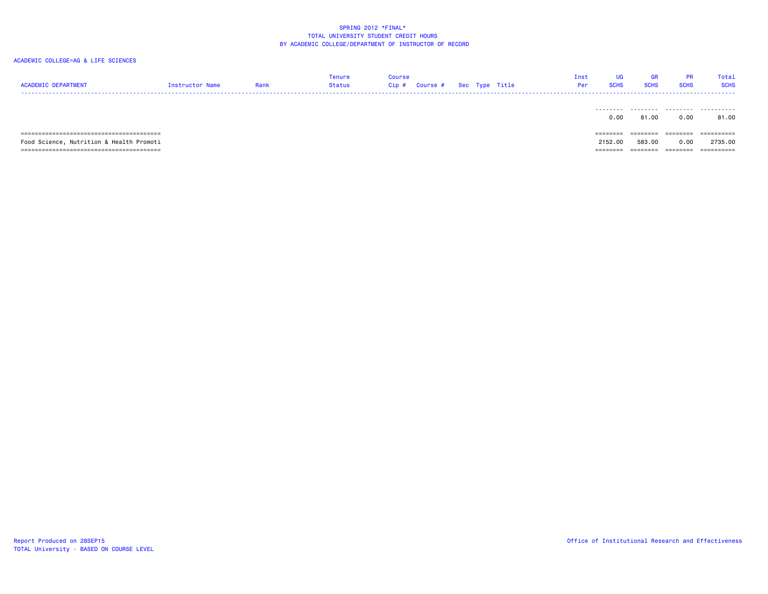| <b>ACADEMIC DEPARTMENT</b>               | Instructor Name | Rank | Tenure<br>Status | <b>Course</b><br>Cip# | <b>Course #</b> | Sec Type Title | Inst<br>Per | <b>UG</b><br><b>SCHS</b> | GR<br><b>SCHS</b> | <b>PR</b><br><b>SCHS</b> | Total<br><b>SCHS</b> |
|------------------------------------------|-----------------|------|------------------|-----------------------|-----------------|----------------|-------------|--------------------------|-------------------|--------------------------|----------------------|
|                                          |                 |      |                  |                       |                 |                |             | 0.00                     | <br>81.00         | 0.00                     | 81.00                |
|                                          |                 |      |                  |                       |                 |                |             | ========                 | ========          | ========                 | ==========           |
| Food Science, Nutrition & Health Promoti |                 |      |                  |                       |                 |                |             | 2152.00                  | 583.00            | 0.00                     | 2735.00              |
|                                          |                 |      |                  |                       |                 |                |             | --------<br>--------     | --------          | ========                 | ==========           |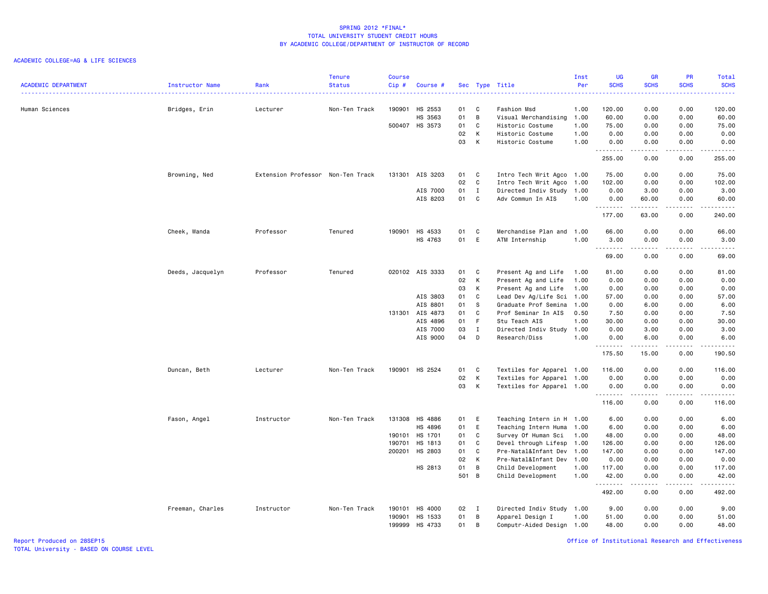## ACADEMIC COLLEGE=AG & LIFE SCIENCES

|                            |                  |                                   | <b>Tenure</b> | <b>Course</b> |                 |       |                |                           | Inst | UG          | <b>GR</b>        | PR                                  | Total       |
|----------------------------|------------------|-----------------------------------|---------------|---------------|-----------------|-------|----------------|---------------------------|------|-------------|------------------|-------------------------------------|-------------|
| <b>ACADEMIC DEPARTMENT</b> | Instructor Name  | Rank                              | <b>Status</b> | Cip#          | Course #        |       |                | Sec Type Title            | Per  | <b>SCHS</b> | <b>SCHS</b>      | <b>SCHS</b>                         | <b>SCHS</b> |
| Human Sciences             |                  | Lecturer                          | Non-Ten Track | 190901        | HS 2553         | 01    | C              | Fashion Msd               | 1.00 | 120.00      | 0.00             | 0.00                                | 120.00      |
|                            | Bridges, Erin    |                                   |               |               | HS 3563         | 01    | B              | Visual Merchandising      | 1.00 | 60.00       | 0.00             | 0.00                                | 60.00       |
|                            |                  |                                   |               |               | 500407 HS 3573  | 01    | C              | Historic Costume          | 1.00 | 75.00       | 0.00             | 0.00                                | 75.00       |
|                            |                  |                                   |               |               |                 | 02    | K              | Historic Costume          | 1.00 | 0.00        | 0.00             | 0.00                                | 0.00        |
|                            |                  |                                   |               |               |                 | 03    | K              | Historic Costume          | 1.00 | 0.00        | 0.00             | 0.00                                | 0.00        |
|                            |                  |                                   |               |               |                 |       |                |                           |      | .           | .                | .                                   | <u>.</u>    |
|                            |                  |                                   |               |               |                 |       |                |                           |      | 255.00      | 0.00             | 0.00                                | 255.00      |
|                            | Browning, Ned    | Extension Professor Non-Ten Track |               | 131301        | AIS 3203        | 01    | C              | Intro Tech Writ Agco 1.00 |      | 75.00       | 0.00             | 0.00                                | 75.00       |
|                            |                  |                                   |               |               |                 | 02    | C              | Intro Tech Writ Agco      | 1.00 | 102.00      | 0.00             | 0.00                                | 102.00      |
|                            |                  |                                   |               |               | AIS 7000        | 01    | $\mathbf{I}$   | Directed Indiv Study      | 1.00 | 0.00        | 3.00             | 0.00                                | 3.00        |
|                            |                  |                                   |               |               | AIS 8203        | 01    | C.             | Adv Commun In AIS         | 1.00 | 0.00        | 60.00            | 0.00                                | 60.00       |
|                            |                  |                                   |               |               |                 |       |                |                           |      | .<br>177.00 | -----<br>63.00   | .<br>0.00                           | .<br>240.00 |
|                            | Cheek, Wanda     | Professor                         | Tenured       | 190901        | HS 4533         | 01    | C              | Merchandise Plan and      | 1.00 | 66.00       | 0.00             | 0.00                                | 66.00       |
|                            |                  |                                   |               |               | HS 4763         | 01    | E              | ATM Internship            | 1.00 | 3.00        | 0.00             | 0.00                                | 3.00        |
|                            |                  |                                   |               |               |                 |       |                |                           |      | .           | .                | .                                   | .           |
|                            |                  |                                   |               |               |                 |       |                |                           |      | 69.00       | 0.00             | 0.00                                | 69.00       |
|                            | Deeds, Jacquelyn | Professor                         | Tenured       |               | 020102 AIS 3333 | 01    | C              | Present Ag and Life       | 1.00 | 81.00       | 0.00             | 0.00                                | 81.00       |
|                            |                  |                                   |               |               |                 | 02    | K              | Present Ag and Life       | 1.00 | 0.00        | 0.00             | 0.00                                | 0.00        |
|                            |                  |                                   |               |               |                 | 03    | K              | Present Ag and Life       | 1.00 | 0.00        | 0.00             | 0.00                                | 0.00        |
|                            |                  |                                   |               |               | AIS 3803        | 01    | C.             | Lead Dev Ag/Life Sci      | 1.00 | 57.00       | 0.00             | 0.00                                | 57.00       |
|                            |                  |                                   |               |               | AIS 8801        | 01    | s              | Graduate Prof Semina      | 1.00 | 0.00        | 6.00             | 0.00                                | 6.00        |
|                            |                  |                                   |               |               | 131301 AIS 4873 | 01    | C              | Prof Seminar In AIS       | 0.50 | 7.50        | 0.00             | 0.00                                | 7.50        |
|                            |                  |                                   |               |               | AIS 4896        | 01    | - F            | Stu Teach AIS             | 1.00 | 30.00       | 0.00             | 0.00                                | 30.00       |
|                            |                  |                                   |               |               | AIS 7000        | 03    | $\mathbf{I}$   | Directed Indiv Study      | 1.00 | 0.00        | 3.00             | 0.00                                | 3.00        |
|                            |                  |                                   |               |               | AIS 9000        | 04    | D              | Research/Diss             | 1.00 | 0.00<br>.   | 6.00<br><u>.</u> | 0.00<br>.                           | 6.00<br>.   |
|                            |                  |                                   |               |               |                 |       |                |                           |      | 175.50      | 15.00            | 0.00                                | 190.50      |
|                            | Duncan, Beth     | Lecturer                          | Non-Ten Track | 190901        | HS 2524         | 01    | C              | Textiles for Apparel 1.00 |      | 116.00      | 0.00             | 0.00                                | 116.00      |
|                            |                  |                                   |               |               |                 | 02    | К              | Textiles for Apparel 1.00 |      | 0.00        | 0.00             | 0.00                                | 0.00        |
|                            |                  |                                   |               |               |                 | 03    | K              | Textiles for Apparel 1.00 |      | 0.00        | 0.00             | 0.00                                | 0.00        |
|                            |                  |                                   |               |               |                 |       |                |                           |      | .<br>116.00 | .<br>0.00        | .<br>0.00                           | .<br>116.00 |
|                            |                  |                                   |               |               |                 |       |                |                           |      |             |                  |                                     |             |
|                            | Fason, Angel     | Instructor                        | Non-Ten Track |               | 131308 HS 4886  | 01    | E              | Teaching Intern in H 1.00 |      | 6.00        | 0.00             | 0.00                                | 6.00        |
|                            |                  |                                   |               |               | HS 4896         | 01    | E              | Teaching Intern Huma      | 1.00 | 6.00        | 0.00             | 0.00                                | 6.00        |
|                            |                  |                                   |               | 190101        | HS 1701         | 01    | C              | Survey Of Human Sci       | 1.00 | 48.00       | 0.00             | 0.00                                | 48.00       |
|                            |                  |                                   |               | 190701        | HS 1813         | 01    | C              | Devel through Lifesp      | 1.00 | 126.00      | 0.00             | 0.00                                | 126.00      |
|                            |                  |                                   |               | 200201        | HS 2803         | 01    | $\mathbf c$    | Pre-Natal&Infant Dev      | 1.00 | 147.00      | 0.00             | 0.00                                | 147.00      |
|                            |                  |                                   |               |               |                 | 02    | $\mathsf{K}$   | Pre-Natal&Infant Dev      | 1.00 | 0.00        | 0.00             | 0.00                                | 0.00        |
|                            |                  |                                   |               |               | HS 2813         | 01    | $\overline{B}$ | Child Development         | 1.00 | 117.00      | 0.00             | 0.00                                | 117.00      |
|                            |                  |                                   |               |               |                 | 501 B |                | Child Development         | 1.00 | 42.00<br>.  | 0.00             | 0.00<br>$\sim$ $\sim$ $\sim$ $\sim$ | 42.00<br>.  |
|                            |                  |                                   |               |               |                 |       |                |                           |      | 492.00      | 0.00             | 0.00                                | 492.00      |
|                            | Freeman, Charles | Instructor                        | Non-Ten Track | 190101        | <b>HS 4000</b>  | 02    | I              | Directed Indiv Study 1.00 |      | 9.00        | 0.00             | 0.00                                | 9.00        |
|                            |                  |                                   |               | 190901        | HS 1533         | 01    | B              | Apparel Design I          | 1.00 | 51.00       | 0.00             | 0.00                                | 51.00       |
|                            |                  |                                   |               | 199999        | HS 4733         | 01    | B              | Computr-Aided Design 1.00 |      | 48.00       | 0.00             | 0.00                                | 48.00       |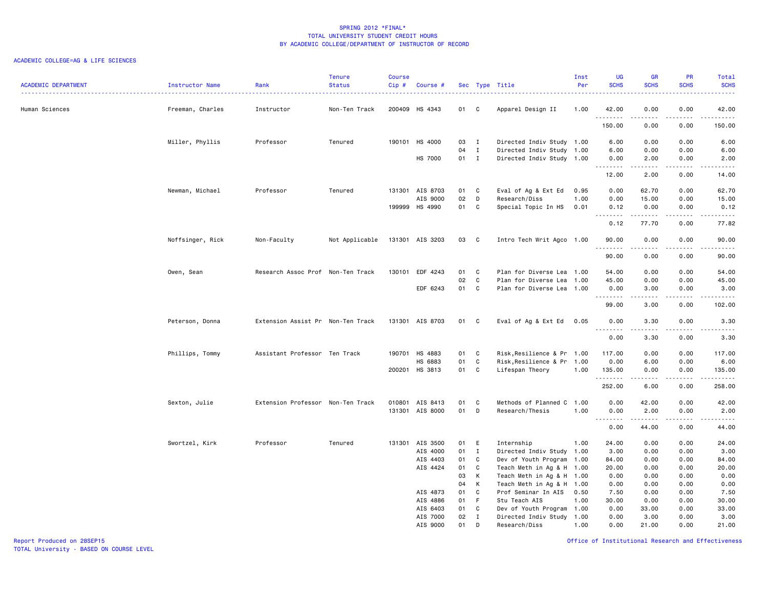#### ACADEMIC COLLEGE=AG & LIFE SCIENCES

| <b>ACADEMIC DEPARTMENT</b> | Instructor Name  | Rank                              | <b>Tenure</b><br><b>Status</b> | Course<br>$Cip \#$ | Course #        |              |              | Sec Type Title                                         | Inst<br>Per | UG<br><b>SCHS</b> | <b>GR</b><br><b>SCHS</b> | PR<br><b>SCHS</b>                                                                                                         | Total<br><b>SCHS</b>                 |
|----------------------------|------------------|-----------------------------------|--------------------------------|--------------------|-----------------|--------------|--------------|--------------------------------------------------------|-------------|-------------------|--------------------------|---------------------------------------------------------------------------------------------------------------------------|--------------------------------------|
| Human Sciences             | Freeman, Charles | Instructor                        | Non-Ten Track                  |                    | 200409 HS 4343  | 01 C         |              | Apparel Design II                                      | 1.00        | 42.00<br>.        | 0.00<br>.                | 0.00<br>.                                                                                                                 | 42.00<br>$\sim$ $\sim$ $\sim$ $\sim$ |
|                            |                  |                                   |                                |                    |                 |              |              |                                                        |             | 150.00            | 0.00                     | 0.00                                                                                                                      | 150.00                               |
|                            | Miller, Phyllis  | Professor                         | Tenured                        |                    | 190101 HS 4000  | 03           | $\mathbf{I}$ | Directed Indiv Study 1.00                              |             | 6.00              | 0.00                     | 0.00                                                                                                                      | 6.00                                 |
|                            |                  |                                   |                                |                    | <b>HS 7000</b>  | 04<br>$01$ I | $\mathbf{I}$ | Directed Indiv Study 1.00<br>Directed Indiv Study 1.00 |             | 6.00<br>0.00      | 0.00<br>2.00             | 0.00<br>0.00                                                                                                              | 6.00<br>2.00                         |
|                            |                  |                                   |                                |                    |                 |              |              |                                                        |             | .                 |                          | $\frac{1}{2} \left( \frac{1}{2} \right) \left( \frac{1}{2} \right) \left( \frac{1}{2} \right) \left( \frac{1}{2} \right)$ | .                                    |
|                            |                  |                                   |                                |                    |                 |              |              |                                                        |             | 12.00             | 2.00                     | 0.00                                                                                                                      | 14.00                                |
|                            | Newman, Michael  | Professor                         | Tenured                        |                    | 131301 AIS 8703 | 01           | C            | Eval of Ag & Ext Ed                                    | 0.95        | 0.00              | 62.70                    | 0.00                                                                                                                      | 62.70                                |
|                            |                  |                                   |                                |                    | AIS 9000        | 02           | D            | Research/Diss                                          | 1.00        | 0.00              | 15.00                    | 0.00                                                                                                                      | 15.00                                |
|                            |                  |                                   |                                |                    | 199999 HS 4990  | 01           | C            | Special Topic In HS                                    | 0.01        | 0.12<br><u>.</u>  | 0.00<br>.                | 0.00<br>.                                                                                                                 | 0.12<br>.                            |
|                            |                  |                                   |                                |                    |                 |              |              |                                                        |             | 0.12              | 77.70                    | 0.00                                                                                                                      | 77.82                                |
|                            | Noffsinger, Rick | Non-Faculty                       | Not Applicable                 |                    | 131301 AIS 3203 | 03 C         |              | Intro Tech Writ Agco 1.00                              |             | 90.00<br>.        | 0.00<br>.                | 0.00<br>.                                                                                                                 | 90.00<br>.                           |
|                            |                  |                                   |                                |                    |                 |              |              |                                                        |             | 90.00             | 0.00                     | 0.00                                                                                                                      | 90.00                                |
|                            | Owen, Sean       | Research Assoc Prof Non-Ten Track |                                |                    | 130101 EDF 4243 | 01           | C            | Plan for Diverse Lea 1.00                              |             | 54.00             | 0.00                     | 0.00                                                                                                                      | 54.00                                |
|                            |                  |                                   |                                |                    |                 | 02           | C            | Plan for Diverse Lea 1.00                              |             | 45.00             | 0.00                     | 0.00                                                                                                                      | 45.00                                |
|                            |                  |                                   |                                |                    | EDF 6243        | 01           | $\mathbf{C}$ | Plan for Diverse Lea 1.00                              |             | 0.00<br>.         | 3.00<br>$\frac{1}{2}$    | 0.00<br>$- - - -$                                                                                                         | 3.00<br>.                            |
|                            |                  |                                   |                                |                    |                 |              |              |                                                        |             | 99.00             | 3.00                     | 0.00                                                                                                                      | 102.00                               |
|                            | Peterson, Donna  | Extension Assist Pr Non-Ten Track |                                |                    | 131301 AIS 8703 | 01           | $\mathbf{C}$ | Eval of Ag & Ext Ed                                    | 0.05        | 0.00              | 3.30                     | 0.00                                                                                                                      | 3.30<br>المتمامين                    |
|                            |                  |                                   |                                |                    |                 |              |              |                                                        |             | 0.00              | 3.30                     | 0.00                                                                                                                      | 3.30                                 |
|                            | Phillips, Tommy  | Assistant Professor Ten Track     |                                |                    | 190701 HS 4883  | 01 C         |              | Risk, Resilience & Pr 1.00                             |             | 117.00            | 0.00                     | 0.00                                                                                                                      | 117.00                               |
|                            |                  |                                   |                                |                    | HS 6883         | 01           | C            | Risk, Resilience & Pr 1.00                             |             | 0.00              | 6.00                     | 0.00                                                                                                                      | 6.00                                 |
|                            |                  |                                   |                                |                    | 200201 HS 3813  | 01           | $\mathbf{C}$ | Lifespan Theory                                        | 1.00        | 135.00<br>.       | 0.00<br>.                | 0.00<br>.                                                                                                                 | 135.00<br>.                          |
|                            |                  |                                   |                                |                    |                 |              |              |                                                        |             | 252.00            | 6.00                     | 0.00                                                                                                                      | 258.00                               |
|                            | Sexton, Julie    | Extension Professor Non-Ten Track |                                |                    | 010801 AIS 8413 | 01           | C            | Methods of Planned C 1.00                              |             | 0.00              | 42.00                    | 0.00                                                                                                                      | 42.00                                |
|                            |                  |                                   |                                |                    | 131301 AIS 8000 | 01           | D            | Research/Thesis                                        | 1.00        | 0.00              | 2.00                     | 0.00                                                                                                                      | 2.00<br>.                            |
|                            |                  |                                   |                                |                    |                 |              |              |                                                        |             | 0.00              | 44.00                    | 0.00                                                                                                                      | 44.00                                |
|                            | Swortzel, Kirk   | Professor                         | Tenured                        |                    | 131301 AIS 3500 | 01           | E            | Internship                                             | 1.00        | 24.00             | 0.00                     | 0.00                                                                                                                      | 24.00                                |
|                            |                  |                                   |                                |                    | AIS 4000        | 01           | $\mathbf{I}$ | Directed Indiv Study 1.00                              |             | 3.00              | 0.00                     | 0.00                                                                                                                      | 3.00                                 |
|                            |                  |                                   |                                |                    | AIS 4403        | 01           | C            | Dev of Youth Program 1.00                              |             | 84.00             | 0.00                     | 0.00                                                                                                                      | 84.00                                |
|                            |                  |                                   |                                |                    | AIS 4424        | 01           | C            | Teach Meth in Ag & H 1.00                              |             | 20.00             | 0.00                     | 0.00                                                                                                                      | 20.00                                |
|                            |                  |                                   |                                |                    |                 | 03           | K            | Teach Meth in Ag & H 1.00                              |             | 0.00              | 0.00                     | 0.00                                                                                                                      | 0.00                                 |
|                            |                  |                                   |                                |                    | AIS 4873        | 04<br>01     | K<br>C.      | Teach Meth in Ag & H 1.00<br>Prof Seminar In AIS       | 0.50        | 0.00<br>7.50      | 0.00<br>0.00             | 0.00<br>0.00                                                                                                              | 0.00<br>7.50                         |
|                            |                  |                                   |                                |                    | AIS 4886        | 01           | - F          | Stu Teach AIS                                          | 1.00        | 30.00             | 0.00                     | 0.00                                                                                                                      | 30.00                                |
|                            |                  |                                   |                                |                    | AIS 6403        | 01           | C            | Dev of Youth Program 1.00                              |             | 0.00              | 33.00                    | 0.00                                                                                                                      | 33.00                                |
|                            |                  |                                   |                                |                    | AIS 7000        | 02           | $\mathbf{I}$ | Directed Indiv Study 1.00                              |             | 0.00              | 3.00                     | 0.00                                                                                                                      | 3.00                                 |
|                            |                  |                                   |                                |                    | AIS 9000        | 01           | D            | Research/Diss                                          | 1.00        | 0.00              | 21.00                    | 0.00                                                                                                                      | 21.00                                |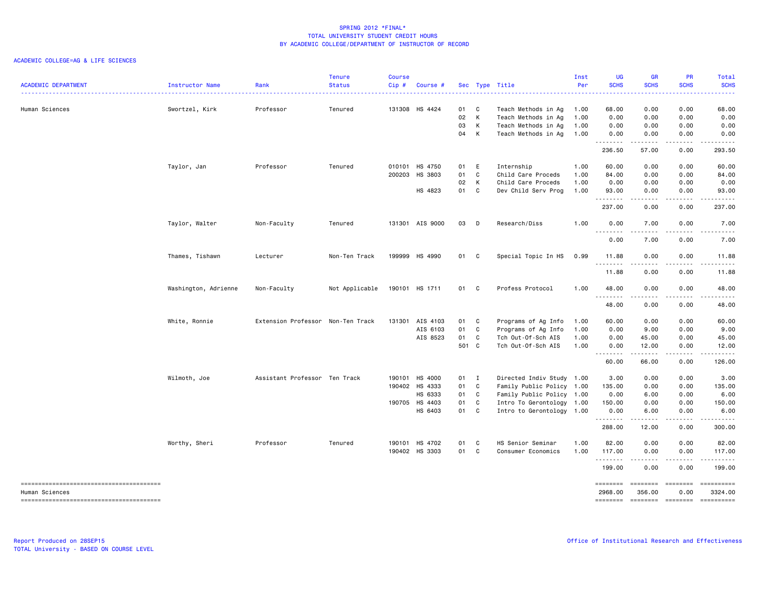| <b>ACADEMIC DEPARTMENT</b> | Instructor Name      | Rank                              | <b>Tenure</b><br><b>Status</b> | <b>Course</b><br>$Cip$ # | Course #        |                  |                   | Sec Type Title                                                    | Inst<br>Per          | <b>UG</b><br><b>SCHS</b> | <b>GR</b><br><b>SCHS</b> | <b>PR</b><br><b>SCHS</b> | Total<br><b>SCHS</b>   |
|----------------------------|----------------------|-----------------------------------|--------------------------------|--------------------------|-----------------|------------------|-------------------|-------------------------------------------------------------------|----------------------|--------------------------|--------------------------|--------------------------|------------------------|
| Human Sciences             | Swortzel, Kirk       | Professor                         | Tenured                        |                          | 131308 HS 4424  | 01 C<br>02<br>03 | $\mathsf{K}$<br>K | Teach Methods in Ag<br>Teach Methods in Ag<br>Teach Methods in Ag | 1.00<br>1.00<br>1.00 | 68.00<br>0.00<br>0.00    | 0.00<br>0.00<br>0.00     | 0.00<br>0.00<br>0.00     | 68.00<br>0.00<br>0.00  |
|                            |                      |                                   |                                |                          |                 | 04 K             |                   | Teach Methods in Ag                                               | 1.00                 | 0.00<br>.                | 0.00<br>.                | 0.00<br>.                | 0.00<br>.              |
|                            |                      |                                   |                                |                          |                 |                  |                   |                                                                   |                      | 236.50                   | 57.00                    | 0.00                     | 293.50                 |
|                            | Taylor, Jan          | Professor                         | Tenured                        |                          | 010101 HS 4750  | 01 E             |                   | Internship                                                        | 1.00                 | 60.00                    | 0.00                     | 0.00                     | 60.00                  |
|                            |                      |                                   |                                | 200203                   | HS 3803         | 01               | $\mathbf{C}$      | Child Care Proceds                                                | 1.00                 | 84.00                    | 0.00                     | 0.00                     | 84.00                  |
|                            |                      |                                   |                                |                          |                 | 02               | K                 | Child Care Proceds                                                | 1.00                 | 0.00                     | 0.00                     | 0.00                     | 0.00                   |
|                            |                      |                                   |                                |                          | HS 4823         | 01 C             |                   | Dev Child Serv Prog                                               | 1.00                 | 93.00<br><u>.</u>        | 0.00<br>-----            | 0.00<br>.                | 93.00<br>.             |
|                            |                      |                                   |                                |                          |                 |                  |                   |                                                                   |                      | 237.00                   | 0.00                     | 0.00                     | 237.00                 |
|                            | Taylor, Walter       | Non-Faculty                       | Tenured                        |                          | 131301 AIS 9000 | 03 D             |                   | Research/Diss                                                     | 1.00                 | 0.00                     | 7.00                     | 0.00                     | 7.00                   |
|                            |                      |                                   |                                |                          |                 |                  |                   |                                                                   |                      | .<br>0.00                | 7.00                     | 0.00                     | 7.00                   |
|                            | Thames, Tishawn      | Lecturer                          | Non-Ten Track                  |                          | 199999 HS 4990  | 01               | C.                | Special Topic In HS                                               | 0.99                 | 11.88                    | 0.00                     | 0.00                     | 11.88                  |
|                            |                      |                                   |                                |                          |                 |                  |                   |                                                                   |                      | .<br>11.88               | -----<br>0.00            | .<br>0.00                | .<br>11.88             |
|                            | Washington, Adrienne | Non-Faculty                       | Not Applicable                 |                          | 190101 HS 1711  | 01 C             |                   | Profess Protocol                                                  | 1.00                 | 48.00                    | 0.00                     | 0.00                     | 48.00                  |
|                            |                      |                                   |                                |                          |                 |                  |                   |                                                                   |                      | .<br>48.00               | $\frac{1}{2}$<br>0.00    | $\frac{1}{2}$<br>0.00    | $\frac{1}{2}$<br>48.00 |
|                            | White, Ronnie        | Extension Professor Non-Ten Track |                                |                          | 131301 AIS 4103 | 01 C             |                   | Programs of Ag Info                                               | 1.00                 | 60.00                    | 0.00                     | 0.00                     | 60.00                  |
|                            |                      |                                   |                                |                          | AIS 6103        | 01               | C                 | Programs of Ag Info                                               | 1.00                 | 0.00                     | 9.00                     | 0.00                     | 9.00                   |
|                            |                      |                                   |                                |                          | AIS 8523        | 01               | $\mathbf{C}$      | Tch Out-Of-Sch AIS                                                | 1.00                 | 0.00                     | 45.00                    | 0.00                     | 45.00                  |
|                            |                      |                                   |                                |                          |                 | 501 C            |                   | Tch Out-Of-Sch AIS                                                | 1.00                 | 0.00                     | 12.00                    | 0.00                     | 12.00                  |
|                            |                      |                                   |                                |                          |                 |                  |                   |                                                                   |                      | .<br>60.00               | .<br>66.00               | .<br>0.00                | ------<br>126.00       |
|                            | Wilmoth, Joe         | Assistant Professor Ten Track     |                                |                          | 190101 HS 4000  | 01 I             |                   | Directed Indiv Study 1.00                                         |                      | 3.00                     | 0.00                     | 0.00                     | 3.00                   |
|                            |                      |                                   |                                |                          | 190402 HS 4333  | 01 C             |                   | Family Public Policy 1.00                                         |                      | 135.00                   | 0.00                     | 0.00                     | 135.00                 |
|                            |                      |                                   |                                |                          | HS 6333         | 01               | $\mathbf{C}$      | Family Public Policy 1.00                                         |                      | 0.00                     | 6.00                     | 0.00                     | 6.00                   |
|                            |                      |                                   |                                |                          | 190705 HS 4403  | 01 C             |                   | Intro To Gerontology 1.00                                         |                      | 150.00                   | 0.00                     | 0.00                     | 150.00                 |
|                            |                      |                                   |                                |                          | HS 6403         | 01 C             |                   | Intro to Gerontology 1.00                                         |                      | 0.00<br>.                | 6.00<br>-----            | 0.00<br>.                | 6.00<br>.              |
|                            |                      |                                   |                                |                          |                 |                  |                   |                                                                   |                      | 288.00                   | 12.00                    | 0.00                     | 300.00                 |
|                            | Worthy, Sheri        | Professor                         | Tenured                        | 190101                   | HS 4702         | 01               | $\mathbf{C}$      | HS Senior Seminar                                                 | 1.00                 | 82.00                    | 0.00                     | 0.00                     | 82.00                  |
|                            |                      |                                   |                                |                          | 190402 HS 3303  | 01 C             |                   | Consumer Economics                                                | 1.00                 | 117.00                   | 0.00                     | 0.00                     | 117.00                 |
|                            |                      |                                   |                                |                          |                 |                  |                   |                                                                   |                      | .<br>199.00              | .<br>0.00                | .<br>0.00                | <u>.</u><br>199.00     |
|                            |                      |                                   |                                |                          |                 |                  |                   |                                                                   |                      | --------                 | <b>SEESSEES</b>          | $= 222222222$            | ==========             |
| Human Sciences             |                      |                                   |                                |                          |                 |                  |                   |                                                                   |                      | 2968.00                  | 356.00                   | 0.00                     | 3324.00                |
|                            |                      |                                   |                                |                          |                 |                  |                   |                                                                   |                      |                          |                          |                          |                        |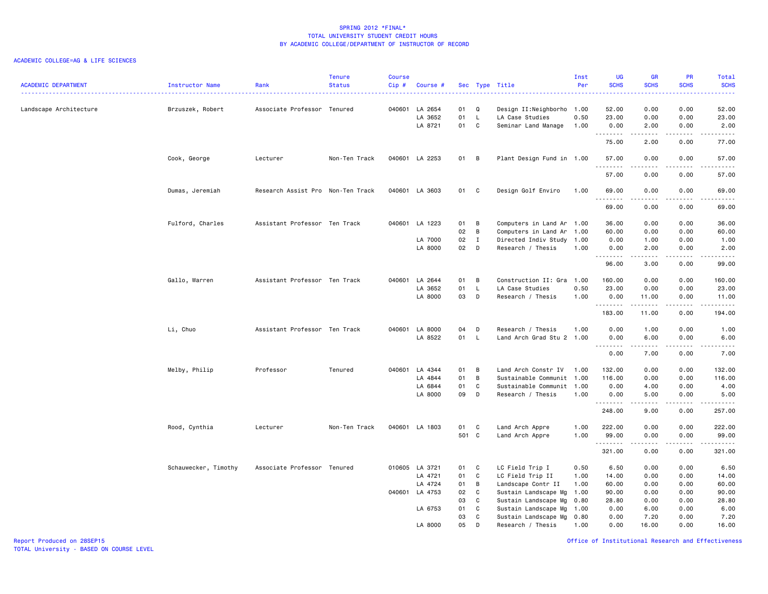## ACADEMIC COLLEGE=AG & LIFE SCIENCES

| <b>ACADEMIC DEPARTMENT</b> | Instructor Name      | Rank                              | <b>Tenure</b><br><b>Status</b> | Course<br>$Cip$ # | Course #       |       |              | Sec Type Title            | Inst<br>Per | <b>UG</b><br><b>SCHS</b> | <b>GR</b><br><b>SCHS</b> | PR<br><b>SCHS</b> | Total<br><b>SCHS</b>                |
|----------------------------|----------------------|-----------------------------------|--------------------------------|-------------------|----------------|-------|--------------|---------------------------|-------------|--------------------------|--------------------------|-------------------|-------------------------------------|
|                            |                      |                                   |                                |                   |                |       |              |                           |             |                          |                          |                   |                                     |
| Landscape Architecture     | Brzuszek, Robert     | Associate Professor Tenured       |                                |                   | 040601 LA 2654 | 01    | Q            | Design II:Neighborho 1.00 |             | 52.00                    | 0.00                     | 0.00              | 52.00                               |
|                            |                      |                                   |                                |                   | LA 3652        | 01    | $\mathsf{L}$ | LA Case Studies           | 0.50        | 23.00                    | 0.00                     | 0.00              | 23.00                               |
|                            |                      |                                   |                                |                   | LA 8721        | 01 C  |              | Seminar Land Manage       | 1.00        | 0.00<br>.                | 2.00<br>.                | 0.00<br>.         | 2.00<br>$\sim$ $\sim$ $\sim$ $\sim$ |
|                            |                      |                                   |                                |                   |                |       |              |                           |             | 75.00                    | 2.00                     | 0.00              | 77.00                               |
|                            | Cook, George         | Lecturer                          | Non-Ten Track                  |                   | 040601 LA 2253 | 01 B  |              | Plant Design Fund in 1.00 |             | 57.00                    | 0.00                     | 0.00              | 57.00<br>.                          |
|                            |                      |                                   |                                |                   |                |       |              |                           |             | 57.00                    | 0.00                     | 0.00              | 57.00                               |
|                            | Dumas, Jeremiah      | Research Assist Pro Non-Ten Track |                                |                   | 040601 LA 3603 | 01    | C            | Design Golf Enviro        | 1.00        | 69.00<br>.               | 0.00<br>.                | 0.00<br>الداعات   | 69.00<br>.                          |
|                            |                      |                                   |                                |                   |                |       |              |                           |             | 69.00                    | 0.00                     | 0.00              | 69.00                               |
|                            | Fulford, Charles     | Assistant Professor Ten Track     |                                |                   | 040601 LA 1223 | 01    | B            | Computers in Land Ar 1.00 |             | 36.00                    | 0.00                     | 0.00              | 36.00                               |
|                            |                      |                                   |                                |                   |                | 02    | B            | Computers in Land Ar      | 1.00        | 60.00                    | 0.00                     | 0.00              | 60.00                               |
|                            |                      |                                   |                                |                   | LA 7000        | 02    | $\mathbf{I}$ | Directed Indiv Study      | 1.00        | 0.00                     | 1.00                     | 0.00              | 1.00                                |
|                            |                      |                                   |                                |                   | LA 8000        | 02    | D            | Research / Thesis         | 1.00        | 0.00<br>.                | 2.00<br>.                | 0.00<br>.         | 2.00<br>المتمالين                   |
|                            |                      |                                   |                                |                   |                |       |              |                           |             | 96.00                    | 3.00                     | 0.00              | 99.00                               |
|                            | Gallo, Warren        | Assistant Professor Ten Track     |                                | 040601            | LA 2644        | 01    | B            | Construction II: Gra 1.00 |             | 160.00                   | 0.00                     | 0.00              | 160.00                              |
|                            |                      |                                   |                                |                   | LA 3652        | 01    | $\mathsf{L}$ | LA Case Studies           | 0.50        | 23.00                    | 0.00                     | 0.00              | 23.00                               |
|                            |                      |                                   |                                |                   | LA 8000        | 03    | D            | Research / Thesis         | 1.00        | 0.00<br>.                | 11.00<br>.               | 0.00<br>.         | 11.00<br>.                          |
|                            |                      |                                   |                                |                   |                |       |              |                           |             | 183.00                   | 11.00                    | 0.00              | 194.00                              |
|                            | Li, Chuo             | Assistant Professor Ten Track     |                                |                   | 040601 LA 8000 | 04    | D            | Research / Thesis         | 1.00        | 0.00                     | 1.00                     | 0.00              | 1.00                                |
|                            |                      |                                   |                                |                   | LA 8522        | 01 L  |              | Land Arch Grad Stu 2 1.00 |             | 0.00                     | 6.00                     | 0.00              | 6.00                                |
|                            |                      |                                   |                                |                   |                |       |              |                           |             | <u>.</u><br>0.00         | .<br>7.00                | .<br>0.00         | <b>.</b><br>7.00                    |
|                            | Melby, Philip        | Professor                         | Tenured                        |                   | 040601 LA 4344 | 01    | B            | Land Arch Constr IV       | 1.00        | 132.00                   | 0.00                     | 0.00              | 132.00                              |
|                            |                      |                                   |                                |                   | LA 4844        | 01    | B            | Sustainable Communit      | 1.00        | 116.00                   | 0.00                     | 0.00              | 116.00                              |
|                            |                      |                                   |                                |                   | LA 6844        | 01    | C            | Sustainable Communit 1.00 |             | 0.00                     | 4.00                     | 0.00              | 4.00                                |
|                            |                      |                                   |                                |                   | LA 8000        | 09    | D            | Research / Thesis         | 1.00        | 0.00                     | 5.00                     | 0.00              | 5.00                                |
|                            |                      |                                   |                                |                   |                |       |              |                           |             | .<br>248.00              | .<br>9.00                | .<br>0.00         | .<br>257.00                         |
|                            | Rood, Cynthia        | Lecturer                          | Non-Ten Track                  |                   | 040601 LA 1803 | 01    | C            | Land Arch Appre           | 1.00        | 222.00                   | 0.00                     | 0.00              | 222.00                              |
|                            |                      |                                   |                                |                   |                | 501 C |              | Land Arch Appre           | 1.00        | 99.00<br>.               | 0.00<br>$\frac{1}{2}$    | 0.00<br>$- - - -$ | 99.00<br>------                     |
|                            |                      |                                   |                                |                   |                |       |              |                           |             | 321.00                   | 0.00                     | 0.00              | 321.00                              |
|                            | Schauwecker, Timothy | Associate Professor Tenured       |                                |                   | 010605 LA 3721 | 01    | C            | LC Field Trip I           | 0.50        | 6.50                     | 0.00                     | 0.00              | 6.50                                |
|                            |                      |                                   |                                |                   | LA 4721        | 01    | C            | LC Field Trip II          | 1.00        | 14.00                    | 0.00                     | 0.00              | 14.00                               |
|                            |                      |                                   |                                |                   | LA 4724        | 01    | B            | Landscape Contr II        | 1.00        | 60.00                    | 0.00                     | 0.00              | 60.00                               |
|                            |                      |                                   |                                |                   | 040601 LA 4753 | 02    | C            | Sustain Landscape Mg      | 1.00        | 90.00                    | 0.00                     | 0.00              | 90.00                               |
|                            |                      |                                   |                                |                   |                | 03    | C            | Sustain Landscape Mg      | 0.80        | 28.80                    | 0.00                     | 0.00              | 28.80                               |
|                            |                      |                                   |                                |                   | LA 6753        | 01    | C            | Sustain Landscape Mg      | 1.00        | 0.00                     | 6.00                     | 0.00              | 6.00                                |
|                            |                      |                                   |                                |                   |                | 03    | C            | Sustain Landscape Mg 0.80 |             | 0.00                     | 7.20                     | 0.00              | 7.20                                |
|                            |                      |                                   |                                |                   | LA 8000        | 05    | D            | Research / Thesis         | 1.00        | 0.00                     | 16.00                    | 0.00              | 16.00                               |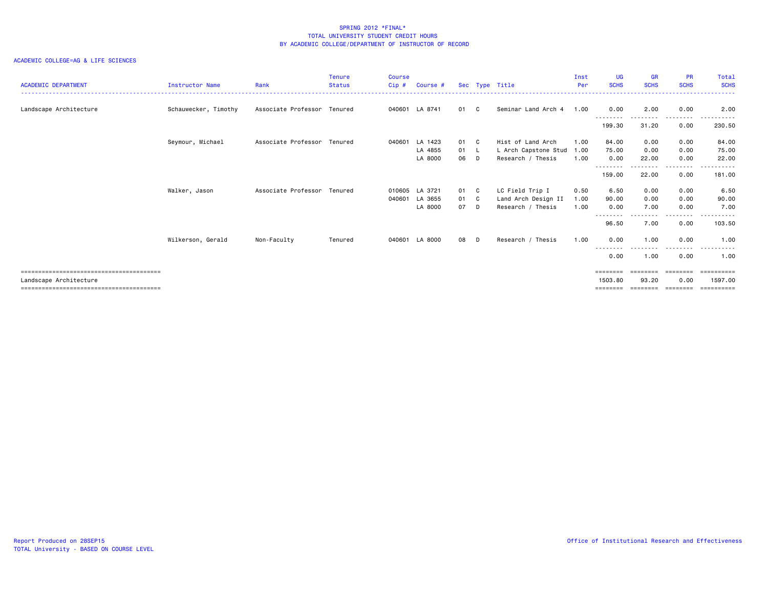| <b>ACADEMIC DEPARTMENT</b> | <b>Instructor Name</b> | Rank                        | <b>Tenure</b><br><b>Status</b> | <b>Course</b><br>Cip# | Course #                  |            |                | Sec Type Title                            | Inst<br>Per  | <b>UG</b><br><b>SCHS</b> | <b>GR</b><br><b>SCHS</b> | <b>PR</b><br><b>SCHS</b>                                                        | Total<br><b>SCHS</b>  |
|----------------------------|------------------------|-----------------------------|--------------------------------|-----------------------|---------------------------|------------|----------------|-------------------------------------------|--------------|--------------------------|--------------------------|---------------------------------------------------------------------------------|-----------------------|
| Landscape Architecture     | Schauwecker, Timothy   | Associate Professor Tenured |                                |                       | 040601 LA 8741            | 01         | C <sub>c</sub> | Seminar Land Arch 4                       | 1.00         | 0.00                     | 2.00                     | 0.00                                                                            | .<br>2.00             |
|                            |                        |                             |                                |                       |                           |            |                |                                           |              | <u>.</u><br>199.30       | 31.20                    | .<br>0.00                                                                       | .<br>230.50           |
|                            | Seymour, Michael       | Associate Professor Tenured |                                |                       | 040601 LA 1423            | 01         | - C            | Hist of Land Arch                         | 1.00         | 84.00                    | 0.00                     | 0.00                                                                            | 84.00                 |
|                            |                        |                             |                                |                       | LA 4855<br>LA 8000        | 01 L<br>06 | D.             | L Arch Capstone Stud<br>Research / Thesis | 1.00<br>1.00 | 75.00<br>0.00            | 0.00<br>22.00            | 0.00<br>0.00                                                                    | 75.00<br>22.00        |
|                            |                        |                             |                                |                       |                           |            |                |                                           |              | --------<br>159.00       | 22.00                    | .<br>0.00                                                                       | 181.00                |
|                            | Walker, Jason          | Associate Professor Tenured |                                | 040601                | 010605 LA 3721<br>LA 3655 | 01<br>01 C | - C            | LC Field Trip I<br>Land Arch Design II    | 0.50<br>1.00 | 6.50<br>90.00            | 0.00<br>0.00             | 0.00<br>0.00                                                                    | 6.50<br>90.00         |
|                            |                        |                             |                                |                       | LA 8000                   | 07         | - D            | Research / Thesis                         | 1.00         | 0.00<br>----             | 7.00                     | 0.00                                                                            | 7.00                  |
|                            |                        |                             |                                |                       |                           |            |                |                                           |              | 96.50                    | 7.00                     | 0.00                                                                            | 103.50                |
|                            | Wilkerson, Gerald      | Non-Faculty                 | Tenured                        | 040601                | LA 8000                   | 08         | D.             | Research / Thesis                         | 1.00         | 0.00<br>--------         | 1.00                     | 0.00<br>.                                                                       | 1.00<br>.             |
|                            |                        |                             |                                |                       |                           |            |                |                                           |              | 0.00                     | 1.00                     | 0.00                                                                            | 1.00                  |
| Landscape Architecture     |                        |                             |                                |                       |                           |            |                |                                           |              | ========<br>1503.80      | 93.20                    | $\begin{array}{cccccccccc} = & = & = & = & = & = & = & = & \end{array}$<br>0.00 | ==========<br>1597.00 |
|                            |                        |                             |                                |                       |                           |            |                |                                           |              | ========                 |                          | eeeeeee                                                                         | eeeeeeee              |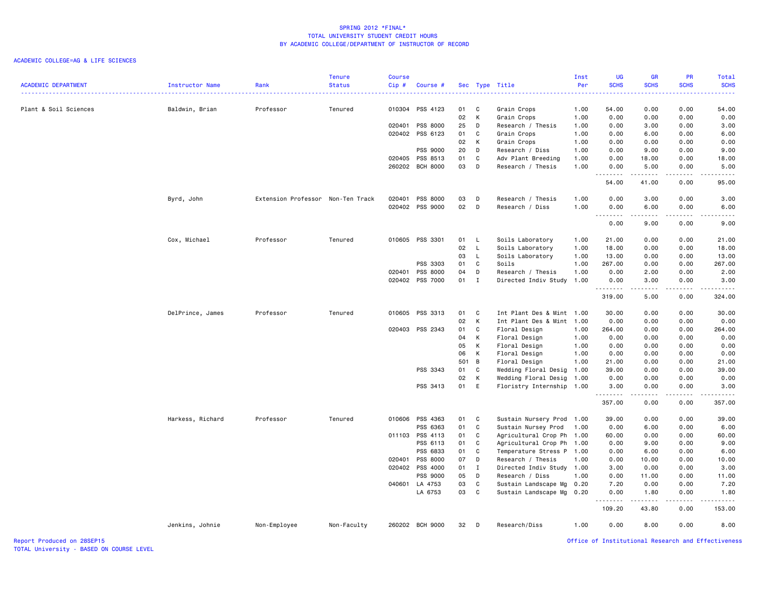# ACADEMIC COLLEGE=AG & LIFE SCIENCES

|                            |                  |                                   | <b>Tenure</b> | Course |                      |          |                              |                                                  | Inst         | UG                 | <b>GR</b>     | PR                                  | Total                                                                                                                              |
|----------------------------|------------------|-----------------------------------|---------------|--------|----------------------|----------|------------------------------|--------------------------------------------------|--------------|--------------------|---------------|-------------------------------------|------------------------------------------------------------------------------------------------------------------------------------|
| <b>ACADEMIC DEPARTMENT</b> | Instructor Name  | Rank                              | <b>Status</b> | Cip#   | Course #             |          |                              | Sec Type Title                                   | Per          | <b>SCHS</b>        | <b>SCHS</b>   | <b>SCHS</b>                         | <b>SCHS</b><br>.                                                                                                                   |
| Plant & Soil Sciences      | Baldwin, Brian   | Professor                         | Tenured       | 010304 | PSS 4123             | 01       | $\mathbf{C}$                 | Grain Crops                                      | 1.00         | 54.00              | 0.00          | 0.00                                | 54.00                                                                                                                              |
|                            |                  |                                   |               |        |                      | 02       | K                            | Grain Crops                                      | 1.00         | 0.00               | 0.00          | 0.00                                | 0.00                                                                                                                               |
|                            |                  |                                   |               | 020401 | PSS 8000             | 25       | D                            | Research / Thesis                                | 1.00         | 0.00               | 3.00          | 0.00                                | 3.00                                                                                                                               |
|                            |                  |                                   |               | 020402 | PSS 6123             | 01       | C                            | Grain Crops                                      | 1.00         | 0.00               | 6.00          | 0.00                                | 6.00                                                                                                                               |
|                            |                  |                                   |               |        |                      | 02       | K                            | Grain Crops                                      | 1.00         | 0.00               | 0.00          | 0.00                                | 0.00                                                                                                                               |
|                            |                  |                                   |               |        |                      |          | D                            |                                                  |              |                    |               |                                     |                                                                                                                                    |
|                            |                  |                                   |               | 020405 | PSS 9000<br>PSS 8513 | 20<br>01 | C                            | Research / Diss                                  | 1.00         | 0.00<br>0.00       | 9.00<br>18.00 | 0.00                                | 9.00                                                                                                                               |
|                            |                  |                                   |               |        | 260202 BCH 8000      | 03       | D                            | Adv Plant Breeding<br>Research / Thesis          | 1.00<br>1.00 | 0.00               | 5.00          | 0.00<br>0.00                        | 18.00<br>5.00                                                                                                                      |
|                            |                  |                                   |               |        |                      |          |                              |                                                  |              | .                  | .             | .                                   | $\frac{1}{2} \left( \frac{1}{2} \right) \left( \frac{1}{2} \right) \left( \frac{1}{2} \right) \left( \frac{1}{2} \right)$<br>95.00 |
|                            |                  |                                   |               |        |                      |          |                              |                                                  |              | 54.00              | 41.00         | 0.00                                |                                                                                                                                    |
|                            | Byrd, John       | Extension Professor Non-Ten Track |               | 020401 | <b>PSS 8000</b>      | 03       | D                            | Research / Thesis                                | 1.00         | 0.00               | 3.00          | 0.00                                | 3.00                                                                                                                               |
|                            |                  |                                   |               |        | 020402 PSS 9000      | 02 D     |                              | Research / Diss                                  | 1.00         | 0.00<br>. <b>.</b> | 6.00          | 0.00                                | 6.00                                                                                                                               |
|                            |                  |                                   |               |        |                      |          |                              |                                                  |              | 0.00               | 9.00          | 0.00                                | 9.00                                                                                                                               |
|                            | Cox, Michael     | Professor                         | Tenured       |        | 010605 PSS 3301      | 01 L     |                              | Soils Laboratory                                 | 1.00         | 21.00              | 0.00          | 0.00                                | 21.00                                                                                                                              |
|                            |                  |                                   |               |        |                      | 02       | $\mathsf{L}$                 | Soils Laboratory                                 | 1.00         | 18.00              | 0.00          | 0.00                                | 18.00                                                                                                                              |
|                            |                  |                                   |               |        |                      | 03       | $\mathsf{L}$                 | Soils Laboratory                                 | 1.00         | 13.00              | 0.00          | 0.00                                | 13,00                                                                                                                              |
|                            |                  |                                   |               |        | PSS 3303             | 01       | C                            | Soils                                            | 1.00         | 267.00             | 0.00          | 0.00                                | 267.00                                                                                                                             |
|                            |                  |                                   |               | 020401 | PSS 8000             | 04       | D                            | Research / Thesis                                | 1.00         | 0.00               | 2.00          | 0.00                                | 2.00                                                                                                                               |
|                            |                  |                                   |               |        | 020402 PSS 7000      | 01       | I                            | Directed Indiv Study                             | 1.00         | 0.00               | 3.00          | 0.00                                | 3.00                                                                                                                               |
|                            |                  |                                   |               |        |                      |          |                              |                                                  |              | .<br>319.00        | .<br>5.00     | $\sim$ $\sim$ $\sim$ $\sim$<br>0.00 | .<br>324.00                                                                                                                        |
|                            | DelPrince, James | Professor                         | Tenured       |        | 010605 PSS 3313      | 01       | C                            | Int Plant Des & Mint 1.00                        |              | 30.00              | 0.00          | 0.00                                | 30.00                                                                                                                              |
|                            |                  |                                   |               |        |                      | 02       | K                            | Int Plant Des & Mint 1.00                        |              | 0.00               | 0.00          | 0.00                                | 0.00                                                                                                                               |
|                            |                  |                                   |               | 020403 | PSS 2343             | 01       | $\mathbf{C}$                 | Floral Design                                    | 1.00         | 264.00             | 0.00          | 0.00                                | 264.00                                                                                                                             |
|                            |                  |                                   |               |        |                      | 04       | K                            | Floral Design                                    | 1.00         | 0.00               | 0.00          | 0.00                                | 0.00                                                                                                                               |
|                            |                  |                                   |               |        |                      | 05       | K                            | Floral Design                                    | 1.00         | 0.00               | 0.00          | 0.00                                | 0.00                                                                                                                               |
|                            |                  |                                   |               |        |                      | 06       | K                            | Floral Design                                    | 1.00         | 0.00               | 0.00          | 0.00                                | 0.00                                                                                                                               |
|                            |                  |                                   |               |        |                      | 501 B    |                              | Floral Design                                    | 1.00         | 21.00              | 0.00          | 0.00                                | 21.00                                                                                                                              |
|                            |                  |                                   |               |        | PSS 3343             | 01       | C                            | Wedding Floral Desig                             | 1.00         | 39.00              | 0.00          | 0.00                                | 39.00                                                                                                                              |
|                            |                  |                                   |               |        |                      | 02       | K                            | Wedding Floral Desig                             | 1.00         | 0.00               | 0.00          | 0.00                                | 0.00                                                                                                                               |
|                            |                  |                                   |               |        | PSS 3413             | 01 E     |                              | Floristry Internship 1.00                        |              | 3.00               | 0.00          | 0.00                                | 3.00                                                                                                                               |
|                            |                  |                                   |               |        |                      |          |                              |                                                  |              | .<br>357.00        | -----<br>0.00 | .<br>0.00                           | .<br>357.00                                                                                                                        |
|                            |                  |                                   |               |        |                      |          |                              |                                                  |              |                    |               |                                     |                                                                                                                                    |
|                            | Harkess, Richard | Professor                         | Tenured       | 010606 | PSS 4363<br>PSS 6363 | 01<br>01 | $\mathbf{C}$<br>$\mathbf{C}$ | Sustain Nursery Prod 1.00<br>Sustain Nursey Prod | 1.00         | 39.00<br>0.00      | 0.00<br>6.00  | 0.00<br>0.00                        | 39.00<br>6.00                                                                                                                      |
|                            |                  |                                   |               | 011103 | PSS 4113             | 01       | $\mathbf{C}$                 |                                                  | 1.00         | 60.00              | 0.00          | 0.00                                | 60.00                                                                                                                              |
|                            |                  |                                   |               |        | PSS 6113             | 01       | C                            | Agricultural Crop Ph                             |              |                    |               |                                     | 9.00                                                                                                                               |
|                            |                  |                                   |               |        |                      | 01       | C                            | Agricultural Crop Ph 1.00                        |              | 0.00               | 9.00          | 0.00                                |                                                                                                                                    |
|                            |                  |                                   |               |        | PSS 6833             |          |                              | Temperature Stress P 1.00                        |              | 0.00               | 6.00          | 0.00                                | 6.00                                                                                                                               |
|                            |                  |                                   |               | 020401 | PSS 8000             | 07       | D                            | Research / Thesis                                | 1.00         | 0.00               | 10.00         | 0.00                                | 10.00                                                                                                                              |
|                            |                  |                                   |               | 020402 | PSS 4000             | 01       | I                            | Directed Indiv Study 1.00                        |              | 3.00               | 0.00          | 0.00                                | 3.00                                                                                                                               |
|                            |                  |                                   |               |        | PSS 9000             | 05       | D                            | Research / Diss                                  | 1.00         | 0.00               | 11.00         | 0.00                                | 11.00                                                                                                                              |
|                            |                  |                                   |               | 040601 | LA 4753              | 03       | C                            | Sustain Landscape Mg                             | 0.20         | 7.20               | 0.00          | 0.00                                | 7.20                                                                                                                               |
|                            |                  |                                   |               |        | LA 6753              | 03       | $\mathbf{C}$                 | Sustain Landscape Mg 0.20                        |              | 0.00<br>.          | 1.80<br>.     | 0.00<br>.                           | 1.80<br>.                                                                                                                          |
|                            |                  |                                   |               |        |                      |          |                              |                                                  |              | 109.20             | 43.80         | 0.00                                | 153.00                                                                                                                             |
|                            | Jenkins, Johnie  | Non-Employee                      | Non-Faculty   |        | 260202 BCH 9000      | 32 D     |                              | Research/Diss                                    | 1.00         | 0.00               | 8.00          | 0.00                                | 8.00                                                                                                                               |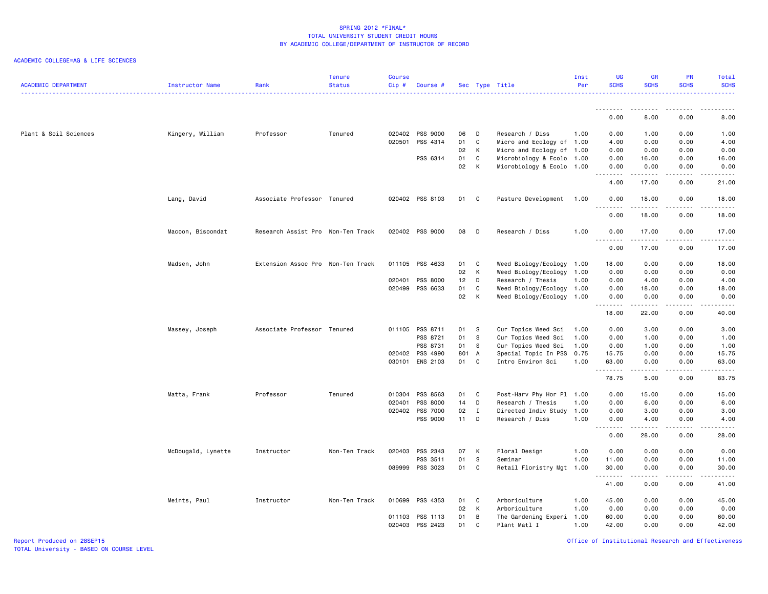#### ACADEMIC COLLEGE=AG & LIFE SCIENCES

| <b>ACADEMIC DEPARTMENT</b> | Instructor Name    | Rank                              | <b>Tenure</b><br><b>Status</b> | <b>Course</b><br>Cip# | Course #        |        |              | Sec Type Title            | Inst<br>Per | <b>UG</b><br><b>SCHS</b> | <b>GR</b><br><b>SCHS</b>                                                                                                                                      | PR<br><b>SCHS</b>     | Total<br><b>SCHS</b>                                                                                                                                          |
|----------------------------|--------------------|-----------------------------------|--------------------------------|-----------------------|-----------------|--------|--------------|---------------------------|-------------|--------------------------|---------------------------------------------------------------------------------------------------------------------------------------------------------------|-----------------------|---------------------------------------------------------------------------------------------------------------------------------------------------------------|
|                            |                    |                                   |                                |                       |                 |        |              |                           |             |                          |                                                                                                                                                               |                       |                                                                                                                                                               |
|                            |                    |                                   |                                |                       |                 |        |              |                           |             | 0.00                     | 8.00                                                                                                                                                          | 0.00                  | 8.00                                                                                                                                                          |
| Plant & Soil Sciences      | Kingery, William   | Professor                         | Tenured                        |                       | 020402 PSS 9000 | 06     | D            | Research / Diss           | 1.00        | 0.00                     | 1.00                                                                                                                                                          | 0.00                  | 1.00                                                                                                                                                          |
|                            |                    |                                   |                                | 020501                | PSS 4314        | 01     | C            | Micro and Ecology of 1.00 |             | 4.00                     | 0.00                                                                                                                                                          | 0.00                  | 4.00                                                                                                                                                          |
|                            |                    |                                   |                                |                       |                 | 02     | K            | Micro and Ecology of 1.00 |             | 0.00                     | 0.00                                                                                                                                                          | 0.00                  | 0.00                                                                                                                                                          |
|                            |                    |                                   |                                |                       | PSS 6314        | 01     | C            | Microbiology & Ecolo 1.00 |             | 0.00                     | 16.00                                                                                                                                                         | 0.00                  | 16.00                                                                                                                                                         |
|                            |                    |                                   |                                |                       |                 | 02     | K            | Microbiology & Ecolo 1.00 |             | 0.00<br><u>.</u>         | 0.00<br>$\frac{1}{2} \left( \frac{1}{2} \right) \left( \frac{1}{2} \right) \left( \frac{1}{2} \right) \left( \frac{1}{2} \right) \left( \frac{1}{2} \right)$  | 0.00<br>.             | 0.00<br>$\frac{1}{2} \left( \frac{1}{2} \right) \left( \frac{1}{2} \right) \left( \frac{1}{2} \right) \left( \frac{1}{2} \right) \left( \frac{1}{2} \right)$  |
|                            |                    |                                   |                                |                       |                 |        |              |                           |             | 4.00                     | 17.00                                                                                                                                                         | 0.00                  | 21.00                                                                                                                                                         |
|                            | Lang, David        | Associate Professor Tenured       |                                |                       | 020402 PSS 8103 | 01 C   |              | Pasture Development 1.00  |             | 0.00<br><u>.</u>         | 18.00<br>.                                                                                                                                                    | 0.00<br>.             | 18.00<br>.                                                                                                                                                    |
|                            |                    |                                   |                                |                       |                 |        |              |                           |             | 0.00                     | 18.00                                                                                                                                                         | 0.00                  | 18.00                                                                                                                                                         |
|                            | Macoon, Bisoondat  | Research Assist Pro Non-Ten Track |                                |                       | 020402 PSS 9000 | 08     | <b>D</b>     | Research / Diss           | 1.00        | 0.00<br>- - - -          | 17.00<br>$\frac{1}{2} \left( \frac{1}{2} \right) \left( \frac{1}{2} \right) \left( \frac{1}{2} \right) \left( \frac{1}{2} \right) \left( \frac{1}{2} \right)$ | 0.00<br>$\frac{1}{2}$ | 17.00<br>$\frac{1}{2}$                                                                                                                                        |
|                            |                    |                                   |                                |                       |                 |        |              |                           |             | 0.00                     | 17.00                                                                                                                                                         | 0.00                  | 17.00                                                                                                                                                         |
|                            | Madsen, John       | Extension Assoc Pro Non-Ten Track |                                |                       | 011105 PSS 4633 | 01     | $\mathbf{C}$ | Weed Biology/Ecology      | 1.00        | 18.00                    | 0.00                                                                                                                                                          | 0.00                  | 18.00                                                                                                                                                         |
|                            |                    |                                   |                                |                       |                 | 02     | $\mathsf{K}$ | Weed Biology/Ecology      | 1.00        | 0.00                     | 0.00                                                                                                                                                          | 0.00                  | 0.00                                                                                                                                                          |
|                            |                    |                                   |                                |                       | 020401 PSS 8000 | 12     | D            | Research / Thesis         | 1.00        | 0.00                     | 4.00                                                                                                                                                          | 0.00                  | 4.00                                                                                                                                                          |
|                            |                    |                                   |                                |                       | 020499 PSS 6633 | 01     | C            | Weed Biology/Ecology 1.00 |             | 0.00                     | 18.00                                                                                                                                                         | 0.00                  | 18.00                                                                                                                                                         |
|                            |                    |                                   |                                |                       |                 | 02     | $\mathsf{K}$ | Weed Biology/Ecology      | 1.00        | 0.00<br>.                | 0.00<br>.                                                                                                                                                     | 0.00<br>.             | 0.00<br>$\frac{1}{2} \left( \frac{1}{2} \right) \left( \frac{1}{2} \right) \left( \frac{1}{2} \right) \left( \frac{1}{2} \right) \left( \frac{1}{2} \right)$  |
|                            |                    |                                   |                                |                       |                 |        |              |                           |             | 18.00                    | 22.00                                                                                                                                                         | 0.00                  | 40.00                                                                                                                                                         |
|                            | Massey, Joseph     | Associate Professor Tenured       |                                |                       | 011105 PSS 8711 | 01     | S            | Cur Topics Weed Sci       | 1.00        | 0.00                     | 3.00                                                                                                                                                          | 0.00                  | 3.00                                                                                                                                                          |
|                            |                    |                                   |                                |                       | PSS 8721        | 01     | <b>S</b>     | Cur Topics Weed Sci       | 1.00        | 0.00                     | 1.00                                                                                                                                                          | 0.00                  | 1.00                                                                                                                                                          |
|                            |                    |                                   |                                |                       | PSS 8731        | 01     | - S          | Cur Topics Weed Sci       | 1.00        | 0.00                     | 1.00                                                                                                                                                          | 0.00                  | 1.00                                                                                                                                                          |
|                            |                    |                                   |                                |                       | 020402 PSS 4990 | 801 A  |              | Special Topic In PSS      | 0.75        | 15.75                    | 0.00                                                                                                                                                          | 0.00                  | 15.75                                                                                                                                                         |
|                            |                    |                                   |                                |                       | 030101 ENS 2103 | 01     | C            | Intro Environ Sci         | 1.00        | 63.00                    | 0.00                                                                                                                                                          | 0.00                  | 63.00                                                                                                                                                         |
|                            |                    |                                   |                                |                       |                 |        |              |                           |             | .<br>78.75               | .<br>5.00                                                                                                                                                     | .<br>0.00             | .<br>83.75                                                                                                                                                    |
|                            | Matta, Frank       | Professor                         | Tenured                        | 010304                | PSS 8563        | 01     | $\mathbf{C}$ | Post-Harv Phy Hor Pl 1.00 |             | 0.00                     | 15.00                                                                                                                                                         | 0.00                  | 15.00                                                                                                                                                         |
|                            |                    |                                   |                                | 020401                | PSS 8000        | 14     | D            | Research / Thesis         | 1.00        | 0.00                     | 6.00                                                                                                                                                          | 0.00                  | 6.00                                                                                                                                                          |
|                            |                    |                                   |                                |                       | 020402 PSS 7000 | 02     | $\mathbf{I}$ | Directed Indiv Study      | 1.00        | 0.00                     | 3.00                                                                                                                                                          | 0.00                  | 3.00                                                                                                                                                          |
|                            |                    |                                   |                                |                       | PSS 9000        | $11$ D |              | Research / Diss           | 1.00        | 0.00                     | 4.00                                                                                                                                                          | 0.00                  | 4.00                                                                                                                                                          |
|                            |                    |                                   |                                |                       |                 |        |              |                           |             | .<br>0.00                | .<br>28.00                                                                                                                                                    | $- - - -$<br>0.00     | .<br>28.00                                                                                                                                                    |
|                            | McDougald, Lynette | Instructor                        | Non-Ten Track                  |                       | 020403 PSS 2343 | 07     | K            | Floral Design             | 1.00        | 0.00                     | 0.00                                                                                                                                                          | 0.00                  | 0.00                                                                                                                                                          |
|                            |                    |                                   |                                |                       | PSS 3511        | 01     | s            | Seminar                   | 1.00        | 11.00                    | 0.00                                                                                                                                                          | 0.00                  | 11.00                                                                                                                                                         |
|                            |                    |                                   |                                |                       | 089999 PSS 3023 | 01     | C            | Retail Floristry Mgt      | 1.00        | 30.00                    | 0.00                                                                                                                                                          | 0.00                  | 30.00                                                                                                                                                         |
|                            |                    |                                   |                                |                       |                 |        |              |                           |             | .<br>41.00               | .<br>0.00                                                                                                                                                     | $- - - -$<br>0.00     | $\frac{1}{2} \left( \frac{1}{2} \right) \left( \frac{1}{2} \right) \left( \frac{1}{2} \right) \left( \frac{1}{2} \right) \left( \frac{1}{2} \right)$<br>41.00 |
|                            | Meints, Paul       | Instructor                        | Non-Ten Track                  |                       | 010699 PSS 4353 | 01     | C            | Arboriculture             | 1.00        | 45.00                    | 0.00                                                                                                                                                          | 0.00                  | 45.00                                                                                                                                                         |
|                            |                    |                                   |                                |                       |                 | 02     | K            | Arboriculture             | 1.00        | 0.00                     | 0.00                                                                                                                                                          | 0.00                  | 0.00                                                                                                                                                          |
|                            |                    |                                   |                                |                       | 011103 PSS 1113 | 01     | B            | The Gardening Experi      | 1.00        | 60.00                    | 0.00                                                                                                                                                          | 0.00                  | 60.00                                                                                                                                                         |
|                            |                    |                                   |                                |                       | 020403 PSS 2423 | 01     | C            | Plant Matl I              | 1.00        | 42.00                    | 0.00                                                                                                                                                          | 0.00                  | 42.00                                                                                                                                                         |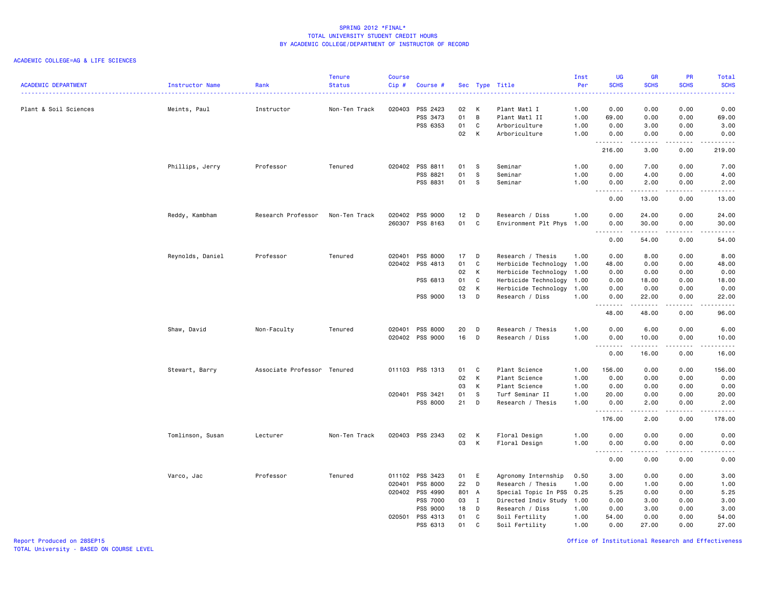## ACADEMIC COLLEGE=AG & LIFE SCIENCES

|                            |                  |                             | <b>Tenure</b> | <b>Course</b> |                 |       |              |                           | Inst | <b>UG</b>   | <b>GR</b>                            | PR                             | Total                                                                                                                                                         |
|----------------------------|------------------|-----------------------------|---------------|---------------|-----------------|-------|--------------|---------------------------|------|-------------|--------------------------------------|--------------------------------|---------------------------------------------------------------------------------------------------------------------------------------------------------------|
| <b>ACADEMIC DEPARTMENT</b> | Instructor Name  | Rank                        | <b>Status</b> | Cip#          | Course #        |       |              | Sec Type Title            | Per  | <b>SCHS</b> | <b>SCHS</b>                          | <b>SCHS</b>                    | <b>SCHS</b><br>وعاعات                                                                                                                                         |
| Plant & Soil Sciences      | Meints, Paul     | Instructor                  | Non-Ten Track | 020403        | PSS 2423        | 02    | К            | Plant Matl I              | 1.00 | 0.00        | 0.00                                 | 0.00                           | 0.00                                                                                                                                                          |
|                            |                  |                             |               |               | PSS 3473        | 01    | B            | Plant Matl II             | 1.00 | 69.00       | 0.00                                 | 0.00                           | 69.00                                                                                                                                                         |
|                            |                  |                             |               |               | PSS 6353        | 01    | C            | Arboriculture             | 1.00 | 0.00        | 3.00                                 | 0.00                           | 3.00                                                                                                                                                          |
|                            |                  |                             |               |               |                 | 02    | K            | Arboriculture             | 1.00 | 0.00        | 0.00                                 | 0.00                           | 0.00                                                                                                                                                          |
|                            |                  |                             |               |               |                 |       |              |                           |      | .<br>216.00 | $\frac{1}{2}$<br>3.00                | $\frac{1}{2}$<br>0.00          | د د د د د<br>219.00                                                                                                                                           |
|                            | Phillips, Jerry  | Professor                   | Tenured       |               | 020402 PSS 8811 | 01    | - S          | Seminar                   | 1.00 | 0.00        | 7.00                                 | 0.00                           | 7.00                                                                                                                                                          |
|                            |                  |                             |               |               | PSS 8821        | 01    | S            | Seminar                   | 1.00 | 0.00        | 4.00                                 | 0.00                           | 4.00                                                                                                                                                          |
|                            |                  |                             |               |               | PSS 8831        | 01    | s            | Seminar                   | 1.00 | 0.00        | 2.00                                 | 0.00                           | 2.00                                                                                                                                                          |
|                            |                  |                             |               |               |                 |       |              |                           |      | .<br>0.00   | $\sim$ $\sim$ $\sim$ $\sim$<br>13.00 | $\omega$ is a $\omega$<br>0.00 | .<br>13.00                                                                                                                                                    |
|                            | Reddy, Kambham   | Research Professor          | Non-Ten Track | 020402        | PSS 9000        | 12    | D            | Research / Diss           | 1.00 | 0.00        | 24.00                                | 0.00                           | 24.00                                                                                                                                                         |
|                            |                  |                             |               |               | 260307 PSS 8163 | 01    | C            | Environment Plt Phys      | 1.00 | 0.00        | 30.00                                | 0.00                           | 30.00                                                                                                                                                         |
|                            |                  |                             |               |               |                 |       |              |                           |      | .<br>0.00   | .<br>54.00                           | .<br>0.00                      | $\frac{1}{2} \left( \frac{1}{2} \right) \left( \frac{1}{2} \right) \left( \frac{1}{2} \right) \left( \frac{1}{2} \right) \left( \frac{1}{2} \right)$<br>54.00 |
|                            | Reynolds, Daniel | Professor                   | Tenured       | 020401        | PSS 8000        | 17    | D            | Research / Thesis         | 1.00 | 0.00        | 8.00                                 | 0.00                           | 8.00                                                                                                                                                          |
|                            |                  |                             |               |               | 020402 PSS 4813 | 01    | C            | Herbicide Technology 1.00 |      | 48.00       | 0.00                                 | 0.00                           | 48.00                                                                                                                                                         |
|                            |                  |                             |               |               |                 | 02    | К            | Herbicide Technology      | 1.00 | 0.00        | 0.00                                 | 0.00                           | 0.00                                                                                                                                                          |
|                            |                  |                             |               |               | PSS 6813        | 01    | C            | Herbicide Technology      | 1.00 | 0.00        | 18.00                                | 0.00                           | 18.00                                                                                                                                                         |
|                            |                  |                             |               |               |                 | 02    | К            | Herbicide Technology      | 1.00 | 0.00        | 0.00                                 | 0.00                           | 0.00                                                                                                                                                          |
|                            |                  |                             |               |               | PSS 9000        | 13    | D            | Research / Diss           | 1.00 | 0.00<br>.   | 22.00<br>$\frac{1}{2}$               | 0.00<br>.                      | 22.00<br>.                                                                                                                                                    |
|                            |                  |                             |               |               |                 |       |              |                           |      | 48.00       | 48.00                                | 0.00                           | 96.00                                                                                                                                                         |
|                            | Shaw, David      | Non-Faculty                 | Tenured       | 020401        | PSS 8000        | 20    | D            | Research / Thesis         | 1.00 | 0.00        | 6.00                                 | 0.00                           | 6.00                                                                                                                                                          |
|                            |                  |                             |               |               | 020402 PSS 9000 | 16    | D            | Research / Diss           | 1.00 | 0.00<br>.   | 10.00<br>$\omega$ is a set of        | 0.00<br>المتماما               | 10.00<br>.                                                                                                                                                    |
|                            |                  |                             |               |               |                 |       |              |                           |      | 0.00        | 16.00                                | 0.00                           | 16.00                                                                                                                                                         |
|                            | Stewart, Barry   | Associate Professor Tenured |               |               | 011103 PSS 1313 | 01    | C            | Plant Science             | 1.00 | 156.00      | 0.00                                 | 0.00                           | 156.00                                                                                                                                                        |
|                            |                  |                             |               |               |                 | 02    | К            | Plant Science             | 1.00 | 0.00        | 0.00                                 | 0.00                           | 0.00                                                                                                                                                          |
|                            |                  |                             |               |               |                 | 03    | К            | Plant Science             | 1.00 | 0.00        | 0.00                                 | 0.00                           | 0.00                                                                                                                                                          |
|                            |                  |                             |               | 020401        | PSS 3421        | 01    | s            | Turf Seminar II           | 1.00 | 20.00       | 0.00                                 | 0.00                           | 20.00                                                                                                                                                         |
|                            |                  |                             |               |               | PSS 8000        | 21    | D            | Research / Thesis         | 1.00 | 0.00<br>.   | 2.00<br>$\frac{1}{2}$                | 0.00<br>$\cdots$               | 2.00<br>.                                                                                                                                                     |
|                            |                  |                             |               |               |                 |       |              |                           |      | 176.00      | 2.00                                 | 0.00                           | 178.00                                                                                                                                                        |
|                            | Tomlinson, Susan | Lecturer                    | Non-Ten Track |               | 020403 PSS 2343 | 02    | К            | Floral Design             | 1.00 | 0.00        | 0.00                                 | 0.00                           | 0.00                                                                                                                                                          |
|                            |                  |                             |               |               |                 | 03    | К            | Floral Design             | 1.00 | 0.00<br>.   | 0.00                                 | 0.00<br>.                      | 0.00<br>.                                                                                                                                                     |
|                            |                  |                             |               |               |                 |       |              |                           |      | 0.00        | 0.00                                 | 0.00                           | 0.00                                                                                                                                                          |
|                            | Varco, Jac       | Professor                   | Tenured       | 011102        | PSS 3423        | 01    | Ε            | Agronomy Internship       | 0.50 | 3.00        | 0.00                                 | 0.00                           | 3.00                                                                                                                                                          |
|                            |                  |                             |               | 020401        | PSS 8000        | 22    | D            | Research / Thesis         | 1.00 | 0.00        | 1.00                                 | 0.00                           | 1.00                                                                                                                                                          |
|                            |                  |                             |               |               | 020402 PSS 4990 | 801 A |              | Special Topic In PSS      | 0.25 | 5.25        | 0.00                                 | 0.00                           | 5.25                                                                                                                                                          |
|                            |                  |                             |               |               | PSS 7000        | 03    | $\mathbf{I}$ | Directed Indiv Study      | 1.00 | 0.00        | 3.00                                 | 0.00                           | 3.00                                                                                                                                                          |
|                            |                  |                             |               |               | PSS 9000        | 18    | D            | Research / Diss           | 1.00 | 0.00        | 3.00                                 | 0.00                           | 3.00                                                                                                                                                          |
|                            |                  |                             |               | 020501        | PSS 4313        | 01    | C            | Soil Fertility            | 1.00 | 54.00       | 0.00                                 | 0.00                           | 54.00                                                                                                                                                         |
|                            |                  |                             |               |               | PSS 6313        | 01    | C            | Soil Fertility            | 1.00 | 0.00        | 27.00                                | 0.00                           | 27.00                                                                                                                                                         |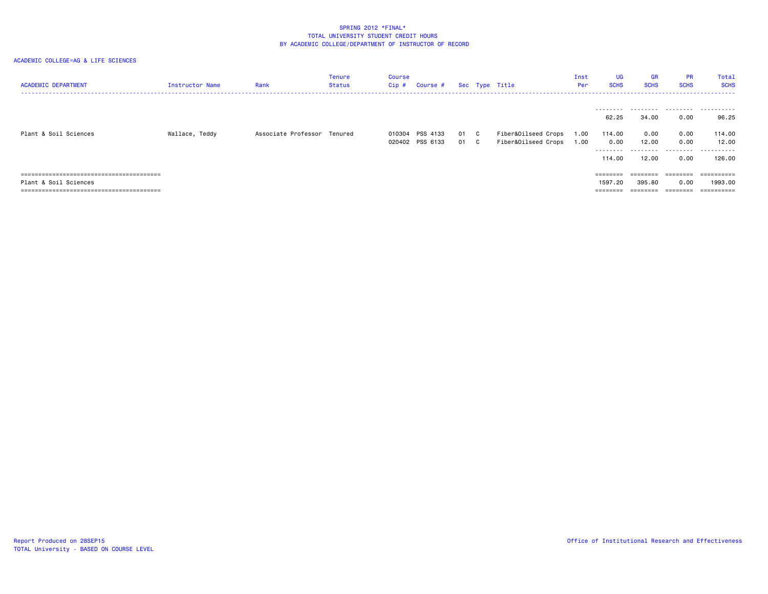| <b>ACADEMIC DEPARTMENT</b> | Instructor Name | Rank                        | Tenure<br>Status | Course<br>Cip # | Course #                           |              | Sec Type Title                             | Inst<br>Per  | UG<br><b>SCHS</b>                     | <b>GR</b><br><b>SCHS</b>            | <b>PR</b><br><b>SCHS</b>  | Total<br><b>SCHS</b>                |
|----------------------------|-----------------|-----------------------------|------------------|-----------------|------------------------------------|--------------|--------------------------------------------|--------------|---------------------------------------|-------------------------------------|---------------------------|-------------------------------------|
|                            |                 |                             |                  |                 |                                    |              |                                            |              | 62.25                                 | 34.00                               | 0.00                      | 96.25                               |
| Plant & Soil Sciences      | Wallace, Teddy  | Associate Professor Tenured |                  |                 | 010304 PSS 4133<br>020402 PSS 6133 | 01 C<br>01 C | Fiber&Oilseed Crops<br>Fiber&Oilseed Crops | 1.00<br>1.00 | 114,00<br>0.00<br>---------<br>114,00 | 0.00<br>12.00<br>---------<br>12.00 | 0.00<br>0.00<br>.<br>0.00 | 114.00<br>12.00<br>.<br>126.00      |
| Plant & Soil Sciences      |                 |                             |                  |                 |                                    |              |                                            |              | ========<br>1597.20                   | $=$ = = = = = = =<br>395.80         | ========<br>0.00          | ==========<br>1993.00<br>========== |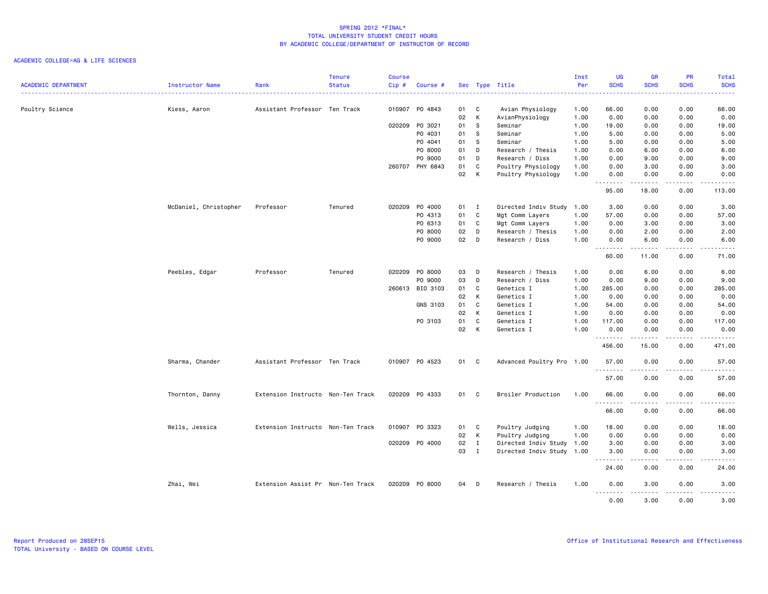| <b>ACADEMIC DEPARTMENT</b> | Instructor Name       | Rank                              | <b>Tenure</b><br><b>Status</b> | <b>Course</b><br>Cip# | Course #        |      | Sec Type Title |                           | Inst<br>Per | <b>UG</b><br><b>SCHS</b> | <b>GR</b><br><b>SCHS</b> | <b>PR</b><br><b>SCHS</b>                                                                                                          | Total<br><b>SCHS</b>                                                                                                                                          |
|----------------------------|-----------------------|-----------------------------------|--------------------------------|-----------------------|-----------------|------|----------------|---------------------------|-------------|--------------------------|--------------------------|-----------------------------------------------------------------------------------------------------------------------------------|---------------------------------------------------------------------------------------------------------------------------------------------------------------|
|                            |                       |                                   |                                |                       |                 |      |                |                           |             | .                        | .                        | 2.2.2.2.2.2                                                                                                                       | .                                                                                                                                                             |
| Poultry Science            | Kiess, Aaron          | Assistant Professor Ten Track     |                                |                       | 010907 PO 4843  | 01   | $\mathbf{C}$   | Avian Physiology          | 1.00        | 66.00                    | 0.00                     | 0.00                                                                                                                              | 66.00                                                                                                                                                         |
|                            |                       |                                   |                                |                       |                 | 02   | $\mathsf{K}$   | AvianPhysiology           | 1.00        | 0.00                     | 0.00                     | 0.00                                                                                                                              | 0.00                                                                                                                                                          |
|                            |                       |                                   |                                |                       | 020209 P0 3021  | 01   | $\mathbf{s}$   | Seminar                   | 1.00        | 19.00                    | 0.00                     | 0.00                                                                                                                              | 19.00                                                                                                                                                         |
|                            |                       |                                   |                                |                       | P0 4031         | 01   | - S            | Seminar                   | 1.00        | 5.00                     | 0.00                     | 0.00                                                                                                                              | 5.00                                                                                                                                                          |
|                            |                       |                                   |                                |                       | P0 4041         | 01   | s              | Seminar                   | 1.00        | 5.00                     | 0.00                     | 0.00                                                                                                                              | 5.00                                                                                                                                                          |
|                            |                       |                                   |                                |                       | P0 8000         | 01   | D              | Research / Thesis         | 1.00        | 0.00                     | 6.00                     | 0.00                                                                                                                              | 6.00                                                                                                                                                          |
|                            |                       |                                   |                                |                       | P0 9000         | 01   | D              | Research / Diss           | 1.00        | 0.00                     | 9.00                     | 0.00                                                                                                                              | 9.00                                                                                                                                                          |
|                            |                       |                                   |                                |                       | 260707 PHY 6843 | 01   | C              | Poultry Physiology        | 1.00        | 0.00                     | 3.00                     | 0.00                                                                                                                              | 3.00                                                                                                                                                          |
|                            |                       |                                   |                                |                       |                 | 02   | $\mathsf{K}$   | Poultry Physiology        | 1.00        | 0.00<br>.                | 0.00<br><u>.</u>         | 0.00<br>.                                                                                                                         | 0.00<br>د د د د د                                                                                                                                             |
|                            |                       |                                   |                                |                       |                 |      |                |                           |             | 95.00                    | 18.00                    | 0.00                                                                                                                              | 113.00                                                                                                                                                        |
|                            | McDaniel, Christopher | Professor                         | Tenured                        |                       | 020209 P0 4000  | 01 I |                | Directed Indiv Study 1.00 |             | 3.00                     | 0.00                     | 0.00                                                                                                                              | 3.00                                                                                                                                                          |
|                            |                       |                                   |                                |                       | PO 4313         | 01   | C              | Mgt Comm Layers           | 1.00        | 57.00                    | 0.00                     | 0.00                                                                                                                              | 57.00                                                                                                                                                         |
|                            |                       |                                   |                                |                       | PO 6313         | 01   | C              | Mgt Comm Layers           | 1.00        | 0.00                     | 3.00                     | 0.00                                                                                                                              | 3.00                                                                                                                                                          |
|                            |                       |                                   |                                |                       | PO 8000         | 02   | D              | Research / Thesis         | 1.00        | 0.00                     | 2.00                     | 0.00                                                                                                                              | 2.00                                                                                                                                                          |
|                            |                       |                                   |                                |                       | PO 9000         | 02   | D              | Research / Diss           | 1.00        | 0.00<br>.                | 6.00<br>.                | 0.00<br>.                                                                                                                         | 6.00<br>المتمامين                                                                                                                                             |
|                            |                       |                                   |                                |                       |                 |      |                |                           |             | 60.00                    | 11.00                    | 0.00                                                                                                                              | 71.00                                                                                                                                                         |
|                            | Peebles, Edgar        | Professor                         | Tenured                        | 020209                | PO 8000         | 03   | D              | Research / Thesis         | 1.00        | 0.00                     | 6.00                     | 0.00                                                                                                                              | 6.00                                                                                                                                                          |
|                            |                       |                                   |                                |                       | PO 9000         | 03   | D              | Research / Diss           | 1.00        | 0.00                     | 9.00                     | 0.00                                                                                                                              | 9.00                                                                                                                                                          |
|                            |                       |                                   |                                |                       | 260613 BIO 3103 | 01   | C              | Genetics I                | 1.00        | 285.00                   | 0.00                     | 0.00                                                                                                                              | 285.00                                                                                                                                                        |
|                            |                       |                                   |                                |                       |                 | 02   | K              | Genetics I                | 1.00        | 0.00                     | 0.00                     | 0.00                                                                                                                              | 0.00                                                                                                                                                          |
|                            |                       |                                   |                                |                       | GNS 3103        | 01   | C              | Genetics I                | 1.00        | 54.00                    | 0.00                     | 0.00                                                                                                                              | 54.00                                                                                                                                                         |
|                            |                       |                                   |                                |                       |                 | 02   | K              | Genetics I                | 1.00        | 0.00                     | 0.00                     | 0.00                                                                                                                              | 0.00                                                                                                                                                          |
|                            |                       |                                   |                                |                       | PO 3103         | 01   | C              | Genetics I                | 1.00        | 117.00                   | 0.00                     | 0.00                                                                                                                              | 117.00                                                                                                                                                        |
|                            |                       |                                   |                                |                       |                 | 02   | K              | Genetics I                | 1.00        | 0.00                     | 0.00                     | 0.00                                                                                                                              | 0.00                                                                                                                                                          |
|                            |                       |                                   |                                |                       |                 |      |                |                           |             | .<br>456.00              | .<br>15.00               | $\omega$ is a set<br>0.00                                                                                                         | .<br>471.00                                                                                                                                                   |
|                            | Sharma, Chander       | Assistant Professor Ten Track     |                                |                       | 010907 PO 4523  | 01 C |                | Advanced Poultry Pro 1.00 |             | 57.00<br><u>.</u>        | 0.00<br>.                | 0.00<br>.                                                                                                                         | 57.00<br>.                                                                                                                                                    |
|                            |                       |                                   |                                |                       |                 |      |                |                           |             | 57.00                    | 0.00                     | 0.00                                                                                                                              | 57.00                                                                                                                                                         |
|                            | Thornton, Danny       | Extension Instructo Non-Ten Track |                                |                       | 020209 PO 4333  | 01 C |                | Broiler Production        | 1.00        | 66.00<br>.               | 0.00                     | 0.00                                                                                                                              | 66.00<br>$\frac{1}{2} \left( \frac{1}{2} \right) \left( \frac{1}{2} \right) \left( \frac{1}{2} \right) \left( \frac{1}{2} \right) \left( \frac{1}{2} \right)$ |
|                            |                       |                                   |                                |                       |                 |      |                |                           |             | 66.00                    | 0.00                     | 0.00                                                                                                                              | 66.00                                                                                                                                                         |
|                            | Wells, Jessica        | Extension Instructo Non-Ten Track |                                |                       | 010907 PO 3323  | 01 C |                | Poultry Judging           | 1.00        | 18.00                    | 0.00                     | 0.00                                                                                                                              | 18.00                                                                                                                                                         |
|                            |                       |                                   |                                |                       |                 | 02   | K              | Poultry Judging           | 1.00        | 0.00                     | 0.00                     | 0.00                                                                                                                              | 0.00                                                                                                                                                          |
|                            |                       |                                   |                                |                       | 020209 P0 4000  | 02   | $\mathbf{I}$   | Directed Indiv Study      | 1.00        | 3.00                     | 0.00                     | 0.00                                                                                                                              | 3.00                                                                                                                                                          |
|                            |                       |                                   |                                |                       |                 | 03   | $\mathbf{I}$   | Directed Indiv Study 1.00 |             | 3.00<br>.                | 0.00<br>.                | 0.00<br>.                                                                                                                         | 3.00<br>.                                                                                                                                                     |
|                            |                       |                                   |                                |                       |                 |      |                |                           |             | 24.00                    | 0.00                     | 0.00                                                                                                                              | 24.00                                                                                                                                                         |
|                            | Zhai, Wei             | Extension Assist Pr Non-Ten Track |                                |                       | 020209 PO 8000  | 04 D |                | Research / Thesis         | 1.00        | 0.00<br>.                | 3.00<br>.                | 0.00<br>$\frac{1}{2} \left( \frac{1}{2} \right) \left( \frac{1}{2} \right) \left( \frac{1}{2} \right) \left( \frac{1}{2} \right)$ | 3.00<br>.                                                                                                                                                     |
|                            |                       |                                   |                                |                       |                 |      |                |                           |             | 0.00                     | 3.00                     | 0.00                                                                                                                              | 3.00                                                                                                                                                          |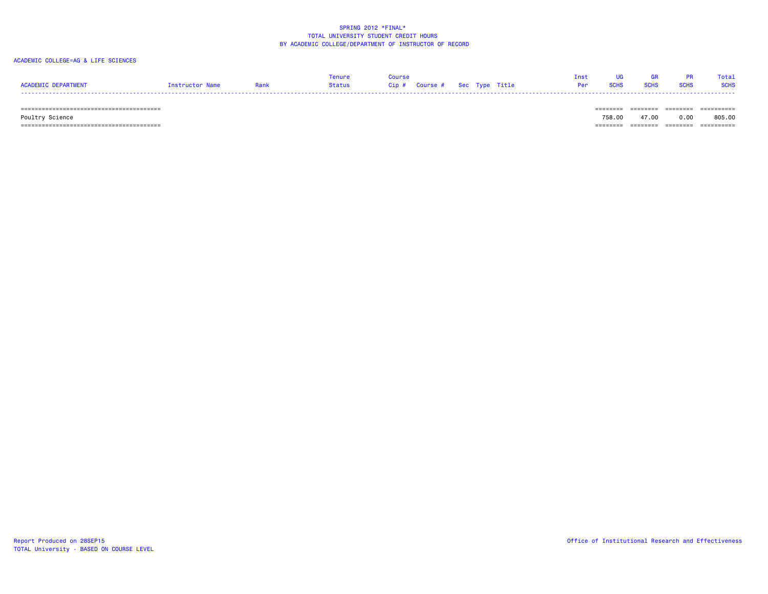# ACADEMIC COLLEGE=AG & LIFE SCIENCES

|                     |                 |       |        |                               | Inst |  |             | Total       |
|---------------------|-----------------|-------|--------|-------------------------------|------|--|-------------|-------------|
| ACADEMIC DEPARTMENT | Instructor Name | lank. | Status | Cip # Course # Sec Type Title | Per  |  | <b>SCHS</b> | <b>SCHS</b> |
|                     |                 |       |        |                               |      |  |             |             |

======================================== ======== ======== ======== ==========

======================================== ======== ======== ======== ==========

Poultry Science 758.00 47.00 0.00 805.00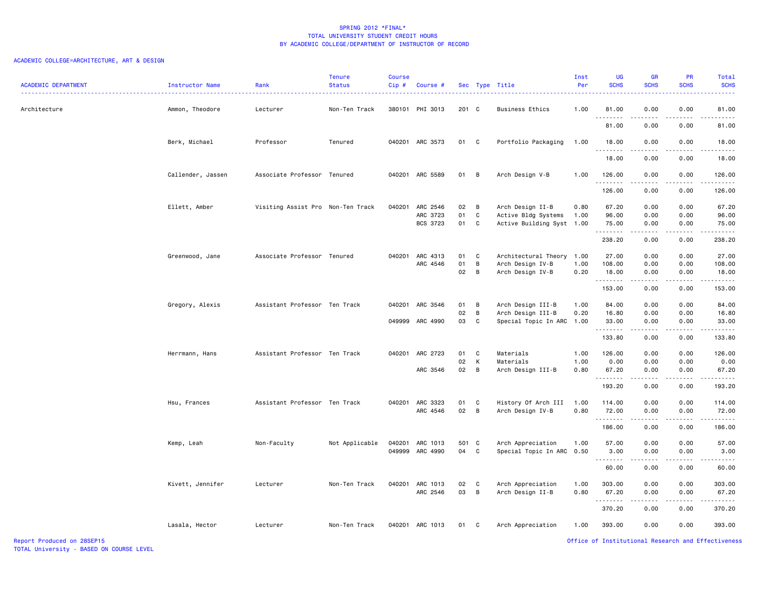# ACADEMIC COLLEGE=ARCHITECTURE, ART & DESIGN

| <b>ACADEMIC DEPARTMENT</b> | Instructor Name   | Rank                              | <b>Tenure</b><br><b>Status</b> | Course<br>Cip# | Course #        |       |                | Sec Type Title       | Inst<br>Per | <b>UG</b><br><b>SCHS</b> | <b>GR</b><br><b>SCHS</b> | PR<br><b>SCHS</b>     | Total<br><b>SCHS</b>           |
|----------------------------|-------------------|-----------------------------------|--------------------------------|----------------|-----------------|-------|----------------|----------------------|-------------|--------------------------|--------------------------|-----------------------|--------------------------------|
| Architecture               | Ammon, Theodore   | Lecturer                          | Non-Ten Track                  |                | 380101 PHI 3013 | 201 C |                | Business Ethics      | 1.00        | 81.00<br>.               | 0.00<br>.                | 0.00<br>$\frac{1}{2}$ | 81.00<br>.                     |
|                            |                   |                                   |                                |                |                 |       |                |                      |             | 81.00                    | 0.00                     | 0.00                  | 81.00                          |
|                            | Berk, Michael     | Professor                         | Tenured                        |                | 040201 ARC 3573 | 01 C  |                | Portfolio Packaging  | 1.00        | 18.00<br>.               | 0.00<br>.                | 0.00<br>.             | 18.00<br>.                     |
|                            |                   |                                   |                                |                |                 |       |                |                      |             | 18.00                    | 0.00                     | 0.00                  | 18.00                          |
|                            | Callender, Jassen | Associate Professor Tenured       |                                |                | 040201 ARC 5589 | 01    | B              | Arch Design V-B      | 1.00        | 126.00<br>.              | 0.00<br>.                | 0.00<br>.             | 126.00<br>$\omega$ is a single |
|                            |                   |                                   |                                |                |                 |       |                |                      |             | 126.00                   | 0.00                     | 0.00                  | 126.00                         |
|                            | Ellett, Amber     | Visiting Assist Pro Non-Ten Track |                                | 040201         | ARC 2546        | 02    | B              | Arch Design II-B     | 0.80        | 67.20                    | 0.00                     | 0.00                  | 67.20                          |
|                            |                   |                                   |                                |                | ARC 3723        | 01    | C              | Active Bldg Systems  | 1.00        | 96.00                    | 0.00                     | 0.00                  | 96.00                          |
|                            |                   |                                   |                                |                | BCS 3723        | 01    | C              | Active Building Syst | 1.00        | 75.00<br>.               | 0.00<br>.                | 0.00<br>.             | 75.00<br>------                |
|                            |                   |                                   |                                |                |                 |       |                |                      |             | 238.20                   | 0.00                     | 0.00                  | 238.20                         |
|                            | Greenwood, Jane   | Associate Professor Tenured       |                                | 040201         | ARC 4313        | 01    | C              | Architectural Theory | 1.00        | 27.00                    | 0.00                     | 0.00                  | 27.00                          |
|                            |                   |                                   |                                |                | ARC 4546        | 01    | $\overline{B}$ | Arch Design IV-B     | 1.00        | 108.00                   | 0.00                     | 0.00                  | 108.00                         |
|                            |                   |                                   |                                |                |                 | 02    | $\overline{B}$ | Arch Design IV-B     | 0.20        | 18.00<br>.               | 0.00<br>.                | 0.00<br>د د د د       | 18.00<br>.                     |
|                            |                   |                                   |                                |                |                 |       |                |                      |             | 153.00                   | 0.00                     | 0.00                  | 153.00                         |
|                            | Gregory, Alexis   | Assistant Professor Ten Track     |                                | 040201         | ARC 3546        | 01    | B              | Arch Design III-B    | 1.00        | 84.00                    | 0.00                     | 0.00                  | 84.00                          |
|                            |                   |                                   |                                |                |                 | 02    | $\overline{B}$ | Arch Design III-B    | 0.20        | 16.80                    | 0.00                     | 0.00                  | 16.80                          |
|                            |                   |                                   |                                |                | 049999 ARC 4990 | 03    | C              | Special Topic In ARC | 1.00        | 33.00<br>.               | 0.00<br>.                | 0.00<br>.             | 33.00<br><u>.</u>              |
|                            |                   |                                   |                                |                |                 |       |                |                      |             | 133.80                   | 0.00                     | 0.00                  | 133.80                         |
|                            | Herrmann, Hans    | Assistant Professor Ten Track     |                                |                | 040201 ARC 2723 | 01    | C              | Materials            | 1.00        | 126.00                   | 0.00                     | 0.00                  | 126.00                         |
|                            |                   |                                   |                                |                |                 | 02    | K              | Materials            | 1.00        | 0.00                     | 0.00                     | 0.00                  | 0.00                           |
|                            |                   |                                   |                                |                | ARC 3546        | 02    | $\overline{B}$ | Arch Design III-B    | 0.80        | 67.20<br>.               | 0.00<br>.                | 0.00<br>د د د د       | 67.20<br>.                     |
|                            |                   |                                   |                                |                |                 |       |                |                      |             | 193.20                   | 0.00                     | 0.00                  | 193.20                         |
|                            | Hsu, Frances      | Assistant Professor Ten Track     |                                |                | 040201 ARC 3323 | 01    | C              | History Of Arch III  | 1.00        | 114.00                   | 0.00                     | 0.00                  | 114.00                         |
|                            |                   |                                   |                                |                | ARC 4546        | 02    | $\overline{B}$ | Arch Design IV-B     | 0.80        | 72.00<br>.               | 0.00                     | 0.00<br>.             | 72.00<br><u>.</u>              |
|                            |                   |                                   |                                |                |                 |       |                |                      |             | 186.00                   | .<br>0.00                | 0.00                  | 186.00                         |
|                            | Kemp, Leah        | Non-Faculty                       | Not Applicable                 | 040201         | ARC 1013        | 501 C |                | Arch Appreciation    | 1.00        | 57.00                    | 0.00                     | 0.00                  | 57.00                          |
|                            |                   |                                   |                                | 049999         | ARC 4990        | 04    | C              | Special Topic In ARC | 0.50        | 3.00                     | 0.00                     | 0.00                  | 3.00                           |
|                            |                   |                                   |                                |                |                 |       |                |                      |             | .<br>60.00               | .<br>0.00                | .<br>0.00             | .<br>60.00                     |
|                            | Kivett, Jennifer  | Lecturer                          | Non-Ten Track                  | 040201         | ARC 1013        | 02    | C.             | Arch Appreciation    | 1.00        | 303.00                   | 0.00                     | 0.00                  | 303.00                         |
|                            |                   |                                   |                                |                | ARC 2546        | 03    | $\overline{B}$ | Arch Design II-B     | 0.80        | 67.20<br>.               | 0.00<br>.                | 0.00<br>.             | 67.20<br>.                     |
|                            |                   |                                   |                                |                |                 |       |                |                      |             | 370.20                   | 0.00                     | 0.00                  | 370.20                         |
|                            | Lasala, Hector    | Lecturer                          | Non-Ten Track                  |                | 040201 ARC 1013 | 01 C  |                | Arch Appreciation    | 1.00        | 393.00                   | 0.00                     | 0.00                  | 393.00                         |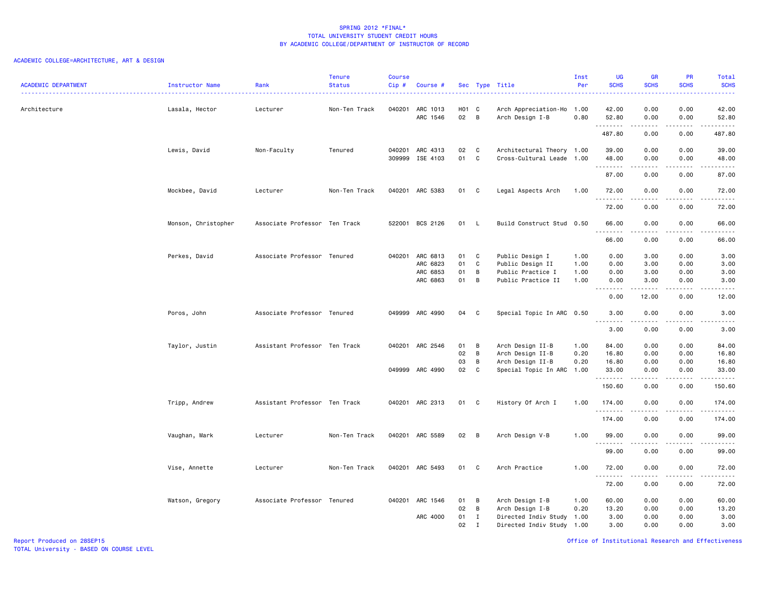# ACADEMIC COLLEGE=ARCHITECTURE, ART & DESIGN

| <b>ACADEMIC DEPARTMENT</b> | Instructor Name     | Rank                          | <b>Tenure</b><br><b>Status</b> | <b>Course</b><br>Cip# | Course #                                            |                      |                                         | Sec Type Title<br>.                                                                     | Inst<br>Per                  | <b>UG</b><br><b>SCHS</b>       | <b>GR</b><br><b>SCHS</b>     | PR<br><b>SCHS</b>                   | Total<br><b>SCHS</b><br>$\frac{1}{2} \left( \frac{1}{2} \right) \left( \frac{1}{2} \right) \left( \frac{1}{2} \right) \left( \frac{1}{2} \right)$ |
|----------------------------|---------------------|-------------------------------|--------------------------------|-----------------------|-----------------------------------------------------|----------------------|-----------------------------------------|-----------------------------------------------------------------------------------------|------------------------------|--------------------------------|------------------------------|-------------------------------------|---------------------------------------------------------------------------------------------------------------------------------------------------|
| Architecture               | Lasala, Hector      | Lecturer                      | Non-Ten Track                  |                       | 040201 ARC 1013<br>ARC 1546                         | H01 C<br>02 B        |                                         | Arch Appreciation-Ho<br>Arch Design I-B                                                 | 1.00<br>0.80                 | 42.00<br>52.80<br>.            | 0.00<br>0.00<br>.            | 0.00<br>0.00<br>.                   | 42.00<br>52.80<br>.                                                                                                                               |
|                            |                     |                               |                                |                       |                                                     |                      |                                         |                                                                                         |                              | 487.80                         | 0.00                         | 0.00                                | 487.80                                                                                                                                            |
|                            | Lewis, David        | Non-Faculty                   | Tenured                        | 040201                | ARC 4313<br>309999 ISE 4103                         | 02<br>01             | $\mathbf{C}$<br>C                       | Architectural Theory 1.00<br>Cross-Cultural Leade 1.00                                  |                              | 39.00<br>48.00                 | 0.00<br>0.00                 | 0.00<br>0.00                        | 39.00<br>48.00                                                                                                                                    |
|                            |                     |                               |                                |                       |                                                     |                      |                                         |                                                                                         |                              | 87.00                          | .<br>0.00                    | .<br>0.00                           | .<br>87.00                                                                                                                                        |
|                            | Mockbee, David      | Lecturer                      | Non-Ten Track                  |                       | 040201 ARC 5383                                     | 01 C                 |                                         | Legal Aspects Arch                                                                      | 1.00                         | 72.00                          | 0.00<br>.                    | 0.00<br>$\sim$ $\sim$ $\sim$ $\sim$ | 72.00                                                                                                                                             |
|                            |                     |                               |                                |                       |                                                     |                      |                                         |                                                                                         |                              | .<br>72.00                     | 0.00                         | 0.00                                | .<br>72.00                                                                                                                                        |
|                            | Monson, Christopher | Associate Professor Ten Track |                                |                       | 522001 BCS 2126                                     | 01 L                 |                                         | Build Construct Stud 0.50                                                               |                              | 66.00<br><u>.</u>              | 0.00                         | 0.00<br>----                        | 66.00<br>$\frac{1}{2}$                                                                                                                            |
|                            |                     |                               |                                |                       |                                                     |                      |                                         |                                                                                         |                              | 66.00                          | 0.00                         | 0.00                                | 66.00                                                                                                                                             |
|                            | Perkes, David       | Associate Professor Tenured   |                                |                       | 040201 ARC 6813<br>ARC 6823<br>ARC 6853<br>ARC 6863 | 01<br>01<br>01<br>01 | $\mathbf{C}$<br>C<br>B<br>B             | Public Design I<br>Public Design II<br>Public Practice I<br>Public Practice II          | 1.00<br>1.00<br>1.00<br>1.00 | 0.00<br>0.00<br>0.00<br>0.00   | 3.00<br>3.00<br>3.00<br>3.00 | 0.00<br>0.00<br>0.00<br>0.00        | 3.00<br>3.00<br>3.00<br>3.00                                                                                                                      |
|                            |                     |                               |                                |                       |                                                     |                      |                                         |                                                                                         |                              | <u>.</u><br>0.00               | .<br>12.00                   | .<br>0.00                           | <u>.</u><br>12.00                                                                                                                                 |
|                            | Poros, John         | Associate Professor Tenured   |                                |                       | 049999 ARC 4990                                     | 04                   | C.                                      | Special Topic In ARC 0.50                                                               |                              | 3.00<br>.                      | 0.00<br>.                    | 0.00<br>$\sim$ $\sim$ $\sim$ $\sim$ | 3.00<br>.                                                                                                                                         |
|                            |                     |                               |                                |                       |                                                     |                      |                                         |                                                                                         |                              | 3.00                           | 0.00                         | 0.00                                | 3.00                                                                                                                                              |
|                            | Taylor, Justin      | Assistant Professor Ten Track |                                |                       | 040201 ARC 2546                                     | 01<br>02<br>03       | B<br>B<br>B                             | Arch Design II-B<br>Arch Design II-B<br>Arch Design II-B                                | 1.00<br>0.20<br>0.20         | 84.00<br>16.80<br>16.80        | 0.00<br>0.00<br>0.00         | 0.00<br>0.00<br>0.00                | 84.00<br>16.80<br>16.80                                                                                                                           |
|                            |                     |                               |                                |                       | 049999 ARC 4990                                     | 02 C                 |                                         | Special Topic In ARC                                                                    | 1.00                         | 33.00<br>.                     | 0.00<br>.                    | 0.00<br>.                           | 33.00<br>.                                                                                                                                        |
|                            |                     |                               |                                |                       |                                                     |                      |                                         |                                                                                         |                              | 150.60                         | 0.00                         | 0.00                                | 150.60                                                                                                                                            |
|                            | Tripp, Andrew       | Assistant Professor Ten Track |                                |                       | 040201 ARC 2313                                     | 01 C                 |                                         | History Of Arch I                                                                       | 1.00                         | 174.00<br>--------             | 0.00<br>.                    | 0.00<br>$\frac{1}{2}$               | 174.00                                                                                                                                            |
|                            |                     |                               |                                |                       |                                                     |                      |                                         |                                                                                         |                              | 174.00                         | 0.00                         | 0.00                                | 174.00                                                                                                                                            |
|                            | Vaughan, Mark       | Lecturer                      | Non-Ten Track                  |                       | 040201 ARC 5589                                     | 02                   | B                                       | Arch Design V-B                                                                         | 1.00                         | 99.00<br>.                     | 0.00<br>.                    | 0.00<br>.                           | 99.00<br>.                                                                                                                                        |
|                            |                     |                               |                                |                       |                                                     |                      |                                         |                                                                                         |                              | 99.00                          | 0.00                         | 0.00                                | 99.00                                                                                                                                             |
|                            | Vise, Annette       | Lecturer                      | Non-Ten Track                  |                       | 040201 ARC 5493                                     | 01 C                 |                                         | Arch Practice                                                                           | 1.00                         | 72.00<br>.                     | 0.00<br>.                    | 0.00<br>$- - - -$                   | 72.00<br>.                                                                                                                                        |
|                            |                     |                               |                                |                       |                                                     |                      |                                         |                                                                                         |                              | 72.00                          | 0.00                         | 0.00                                | 72.00                                                                                                                                             |
|                            | Watson, Gregory     | Associate Professor Tenured   |                                |                       | 040201 ARC 1546<br>ARC 4000                         | 01<br>02<br>01<br>02 | B<br>B<br>$\blacksquare$<br>$\mathbf I$ | Arch Design I-B<br>Arch Design I-B<br>Directed Indiv Study<br>Directed Indiv Study 1.00 | 1.00<br>0.20<br>1.00         | 60.00<br>13.20<br>3.00<br>3.00 | 0.00<br>0.00<br>0.00<br>0.00 | 0.00<br>0.00<br>0.00<br>0.00        | 60.00<br>13.20<br>3.00<br>3.00                                                                                                                    |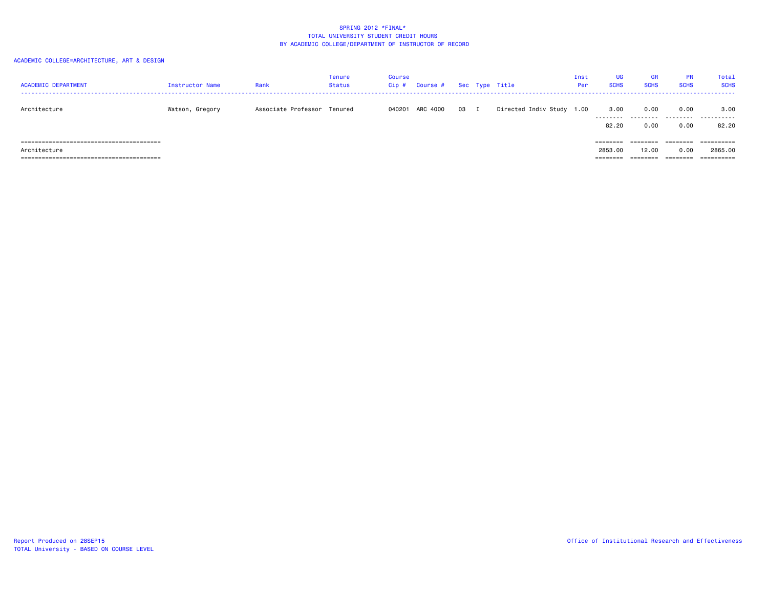| <b>ACADEMIC DEPARTMENT</b> | Instructor Name | Rank                        | Tenure<br>Status | Course<br>Cip# | Course # |      | Sec Type Title            | Inst<br>Per | <b>UG</b><br><b>SCHS</b>        | <b>GR</b><br><b>SCHS</b>      | <b>PR</b><br><b>SCHS</b>     | Total<br><b>SCHS</b>                |
|----------------------------|-----------------|-----------------------------|------------------|----------------|----------|------|---------------------------|-------------|---------------------------------|-------------------------------|------------------------------|-------------------------------------|
| Architecture               | Watson, Gregory | Associate Professor Tenured |                  | 040201         | ARC 4000 | 03 I | Directed Indiv Study 1.00 |             | 3.00<br>.<br>82.20              | 0.00<br>.<br>0.00             | 0.00<br>.<br>0.00            | 3.00<br>.<br>82.20                  |
| Architecture               |                 |                             |                  |                |          |      |                           |             | ========<br>2853.00<br>======== | ========<br>12.00<br>======== | ========<br>0.00<br>======== | ==========<br>2865,00<br>========== |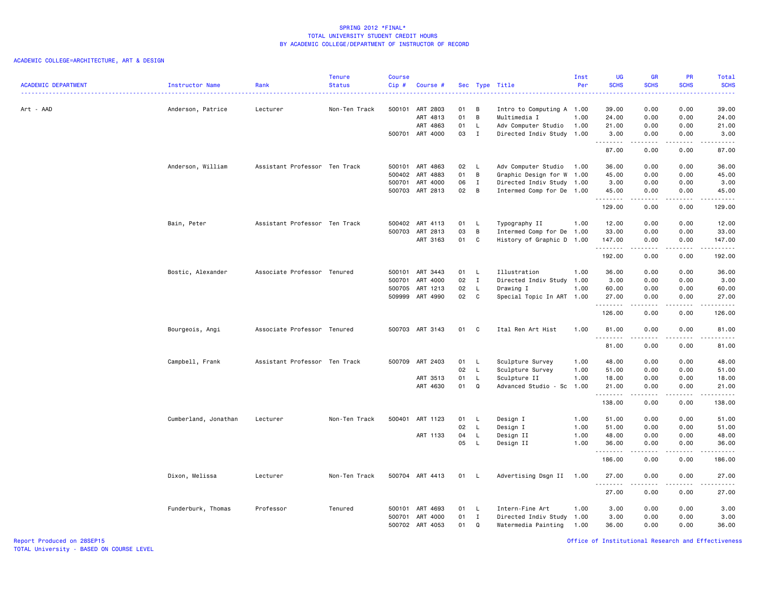# ACADEMIC COLLEGE=ARCHITECTURE, ART & DESIGN

| <b>ACADEMIC DEPARTMENT</b> | Instructor Name      | Rank                          | <b>Tenure</b><br><b>Status</b> | <b>Course</b><br>Cip# | Course #        |      |                | Sec Type Title            | Inst<br>Per | <b>UG</b><br><b>SCHS</b> | <b>GR</b><br><b>SCHS</b> | PR<br><b>SCHS</b>              | Total<br><b>SCHS</b> |
|----------------------------|----------------------|-------------------------------|--------------------------------|-----------------------|-----------------|------|----------------|---------------------------|-------------|--------------------------|--------------------------|--------------------------------|----------------------|
|                            | .                    |                               |                                |                       |                 |      |                |                           |             |                          |                          |                                |                      |
| Art - AAD                  | Anderson, Patrice    | Lecturer                      | Non-Ten Track                  |                       | 500101 ART 2803 | 01   | B              | Intro to Computing A 1.00 |             | 39.00                    | 0.00                     | 0.00                           | 39.00                |
|                            |                      |                               |                                |                       | ART 4813        | 01   | B              | Multimedia I              | 1.00        | 24.00                    | 0.00                     | 0.00                           | 24.00                |
|                            |                      |                               |                                |                       | ART 4863        | 01   | L.             | Adv Computer Studio       | 1.00        | 21.00                    | 0.00                     | 0.00                           | 21.00                |
|                            |                      |                               |                                |                       | 500701 ART 4000 | 03   | $\mathbf{I}$   | Directed Indiv Study 1.00 |             | 3.00<br>.                | 0.00<br>.                | 0.00<br>.                      | 3.00<br>$- - - - -$  |
|                            |                      |                               |                                |                       |                 |      |                |                           |             | 87.00                    | 0.00                     | 0.00                           | 87.00                |
|                            | Anderson, William    | Assistant Professor Ten Track |                                |                       | 500101 ART 4863 | 02 L |                | Adv Computer Studio       | 1.00        | 36.00                    | 0.00                     | 0.00                           | 36.00                |
|                            |                      |                               |                                |                       | 500402 ART 4883 | 01   | $\overline{B}$ | Graphic Design for W      | 1.00        | 45.00                    | 0.00                     | 0.00                           | 45.00                |
|                            |                      |                               |                                |                       | 500701 ART 4000 | 06   | $\mathbf{I}$   | Directed Indiv Study 1.00 |             | 3.00                     | 0.00                     | 0.00                           | 3.00                 |
|                            |                      |                               |                                |                       | 500703 ART 2813 | 02   | B              | Intermed Comp for De 1.00 |             | 45.00                    | 0.00                     | 0.00                           | 45.00                |
|                            |                      |                               |                                |                       |                 |      |                |                           |             | .<br>129.00              | <b>.</b><br>0.00         | .<br>0.00                      | .<br>129.00          |
|                            | Bain, Peter          | Assistant Professor Ten Track |                                |                       | 500402 ART 4113 | 01   | - L            | Typography II             | 1.00        | 12.00                    | 0.00                     | 0.00                           | 12.00                |
|                            |                      |                               |                                |                       | 500703 ART 2813 | 03   | B              | Intermed Comp for De      | 1.00        | 33.00                    | 0.00                     | 0.00                           | 33.00                |
|                            |                      |                               |                                |                       | ART 3163        | 01   | $\mathbf c$    | History of Graphic D 1.00 |             | 147.00                   | 0.00                     | 0.00                           | 147.00               |
|                            |                      |                               |                                |                       |                 |      |                |                           |             | 192.00                   | <b>.</b><br>0.00         | .<br>0.00                      | .<br>192.00          |
|                            | Bostic, Alexander    | Associate Professor Tenured   |                                |                       | 500101 ART 3443 | 01   | - L            | Illustration              | 1.00        | 36.00                    | 0.00                     | 0.00                           | 36.00                |
|                            |                      |                               |                                | 500701                | ART 4000        | 02   | $\mathbf{I}$   | Directed Indiv Study 1.00 |             | 3.00                     | 0.00                     | 0.00                           | 3.00                 |
|                            |                      |                               |                                |                       | 500705 ART 1213 | 02   | $\mathsf{L}$   | Drawing I                 | 1.00        | 60.00                    | 0.00                     | 0.00                           | 60.00                |
|                            |                      |                               |                                |                       | 509999 ART 4990 | 02 C |                | Special Topic In ART 1.00 |             | 27.00                    | 0.00                     | 0.00                           | 27.00                |
|                            |                      |                               |                                |                       |                 |      |                |                           |             | .<br>126.00              | .<br>0.00                | .<br>0.00                      | .<br>126.00          |
|                            | Bourgeois, Angi      | Associate Professor Tenured   |                                |                       | 500703 ART 3143 | 01   | C              | Ital Ren Art Hist         | 1.00        | 81.00<br><b></b>         | 0.00                     | 0.00<br>.                      | 81.00<br>.           |
|                            |                      |                               |                                |                       |                 |      |                |                           |             | 81.00                    | .<br>0.00                | 0.00                           | 81.00                |
|                            | Campbell, Frank      | Assistant Professor Ten Track |                                |                       | 500709 ART 2403 | 01 L |                | Sculpture Survey          | 1.00        | 48.00                    | 0.00                     | 0.00                           | 48.00                |
|                            |                      |                               |                                |                       |                 | 02   | L              | Sculpture Survey          | 1.00        | 51.00                    | 0.00                     | 0.00                           | 51.00                |
|                            |                      |                               |                                |                       | ART 3513        | 01   | L              | Sculpture II              | 1.00        | 18.00                    | 0.00                     | 0.00                           | 18.00                |
|                            |                      |                               |                                |                       | ART 4630        | 01   | $\Omega$       | Advanced Studio - Sc      | 1.00        | 21.00                    | 0.00<br>.                | 0.00<br>.                      | 21.00                |
|                            |                      |                               |                                |                       |                 |      |                |                           |             | .<br>138.00              | 0.00                     | 0.00                           | .<br>138.00          |
|                            | Cumberland, Jonathan | Lecturer                      | Non-Ten Track                  | 500401                | ART 1123        | 01   | L,             | Design I                  | 1.00        | 51.00                    | 0.00                     | 0.00                           | 51.00                |
|                            |                      |                               |                                |                       |                 | 02   | L              | Design I                  | 1.00        | 51.00                    | 0.00                     | 0.00                           | 51.00                |
|                            |                      |                               |                                |                       | ART 1133        | 04   | L              | Design II                 | 1.00        | 48.00                    | 0.00                     | 0.00                           | 48.00                |
|                            |                      |                               |                                |                       |                 | 05   | L.             | Design II                 | 1.00        | 36.00<br>.               | 0.00<br>.                | 0.00<br>$\omega$ is a $\omega$ | 36.00<br>د د د د د   |
|                            |                      |                               |                                |                       |                 |      |                |                           |             | 186.00                   | 0.00                     | 0.00                           | 186.00               |
|                            | Dixon, Melissa       | Lecturer                      | Non-Ten Track                  |                       | 500704 ART 4413 | 01   | - L            | Advertising Dsgn II       | 1.00        | 27.00<br>.               | 0.00<br>.                | 0.00<br>.                      | 27.00<br>.           |
|                            |                      |                               |                                |                       |                 |      |                |                           |             | 27.00                    | 0.00                     | 0.00                           | 27.00                |
|                            | Funderburk, Thomas   | Professor                     | Tenured                        |                       | 500101 ART 4693 | 01   | - L            | Intern-Fine Art           | 1.00        | 3.00                     | 0.00                     | 0.00                           | 3.00                 |
|                            |                      |                               |                                | 500701                | ART 4000        | 01   | $\mathbf{I}$   | Directed Indiv Study 1.00 |             | 3.00                     | 0.00                     | 0.00                           | 3.00                 |
|                            |                      |                               |                                |                       | 500702 ART 4053 | 01   | Q              | Watermedia Painting       | 1.00        | 36,00                    | 0.00                     | 0.00                           | 36.00                |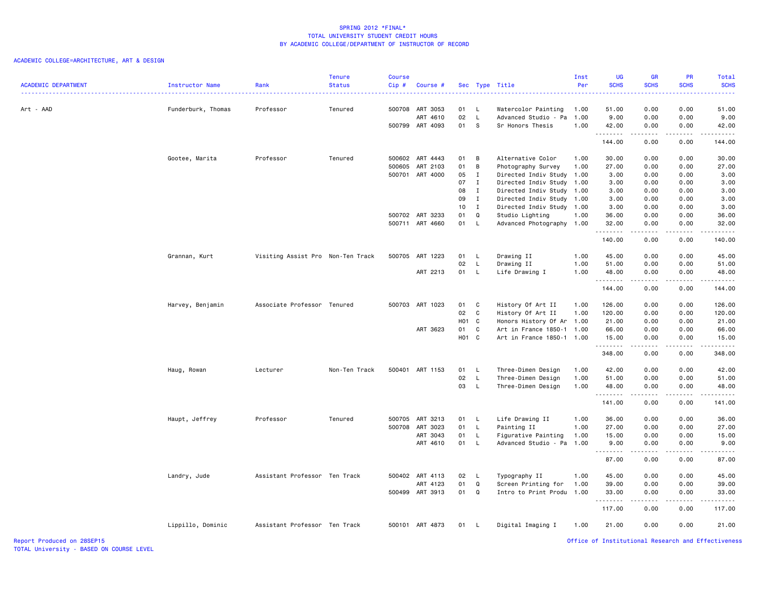| <b>ACADEMIC DEPARTMENT</b> | Instructor Name    | Rank                              | <b>Tenure</b><br><b>Status</b> | <b>Course</b><br>Cip# | Course #                           |                   |                   | Sec Type Title                               | Inst<br>Per | <b>UG</b><br><b>SCHS</b>                           | <b>GR</b><br><b>SCHS</b>                                                                                                          | <b>PR</b><br><b>SCHS</b> | Total<br><b>SCHS</b><br>$\frac{1}{2} \left( \frac{1}{2} \right) \left( \frac{1}{2} \right) \left( \frac{1}{2} \right) \left( \frac{1}{2} \right)$ |
|----------------------------|--------------------|-----------------------------------|--------------------------------|-----------------------|------------------------------------|-------------------|-------------------|----------------------------------------------|-------------|----------------------------------------------------|-----------------------------------------------------------------------------------------------------------------------------------|--------------------------|---------------------------------------------------------------------------------------------------------------------------------------------------|
| Art - AAD                  | Funderburk, Thomas | Professor                         | Tenured                        |                       | 500708 ART 3053                    | 01                | $\mathsf{L}$      | Watercolor Painting                          | 1.00        | 51.00                                              | 0.00                                                                                                                              | 0.00                     | 51.00                                                                                                                                             |
|                            |                    |                                   |                                |                       | ART 4610                           | 02                | L                 | Advanced Studio - Pa                         | 1.00        | 9.00                                               | 0.00                                                                                                                              | 0.00                     | 9.00                                                                                                                                              |
|                            |                    |                                   |                                |                       | 500799 ART 4093                    | 01                | S                 | Sr Honors Thesis                             | 1.00        | 42.00                                              | 0.00                                                                                                                              | 0.00                     | 42.00                                                                                                                                             |
|                            |                    |                                   |                                |                       |                                    |                   |                   |                                              |             | .<br>144.00                                        | .<br>0.00                                                                                                                         | .<br>0.00                | .<br>144.00                                                                                                                                       |
|                            | Gootee, Marita     | Professor                         | Tenured                        |                       | 500602 ART 4443                    | 01                | B                 | Alternative Color                            | 1.00        | 30.00                                              | 0.00                                                                                                                              | 0.00                     | 30.00                                                                                                                                             |
|                            |                    |                                   |                                |                       | 500605 ART 2103                    | 01                | B                 | Photography Survey                           | 1.00        | 27.00                                              | 0.00                                                                                                                              | 0.00                     | 27.00                                                                                                                                             |
|                            |                    |                                   |                                |                       | 500701 ART 4000                    | 05                | I                 | Directed Indiv Study                         | 1.00        | 3.00                                               | 0.00                                                                                                                              | 0.00                     | 3.00                                                                                                                                              |
|                            |                    |                                   |                                |                       |                                    | 07                | $\mathbf{I}$      | Directed Indiv Study                         | 1.00        | 3.00                                               | 0.00                                                                                                                              | 0.00                     | 3.00                                                                                                                                              |
|                            |                    |                                   |                                |                       |                                    | 08                | $\mathbf{I}$      | Directed Indiv Study                         | 1.00        | 3.00                                               | 0.00                                                                                                                              | 0.00                     | 3.00                                                                                                                                              |
|                            |                    |                                   |                                |                       |                                    | 09                | $\mathbf{I}$      | Directed Indiv Study                         | 1.00        | 3.00                                               | 0.00                                                                                                                              | 0.00                     | 3.00                                                                                                                                              |
|                            |                    |                                   |                                |                       |                                    | 10 <sub>1</sub>   | $\mathbf{I}$      | Directed Indiv Study 1.00                    |             | 3.00                                               | 0.00                                                                                                                              | 0.00                     | 3.00                                                                                                                                              |
|                            |                    |                                   |                                |                       | 500702 ART 3233<br>500711 ART 4660 | 01<br>01          | Q<br>$\mathsf{L}$ | Studio Lighting<br>Advanced Photography 1.00 | 1.00        | 36.00<br>32.00                                     | 0.00<br>0.00                                                                                                                      | 0.00<br>0.00             | 36.00<br>32.00                                                                                                                                    |
|                            |                    |                                   |                                |                       |                                    |                   |                   |                                              |             | .<br>140.00                                        | .<br>0.00                                                                                                                         | 22222<br>0.00            | .<br>140.00                                                                                                                                       |
|                            |                    |                                   |                                |                       |                                    |                   |                   |                                              |             |                                                    |                                                                                                                                   |                          |                                                                                                                                                   |
|                            | Grannan, Kurt      | Visiting Assist Pro Non-Ten Track |                                |                       | 500705 ART 1223                    | 01                | L.                | Drawing II                                   | 1.00        | 45.00                                              | 0.00                                                                                                                              | 0.00                     | 45.00                                                                                                                                             |
|                            |                    |                                   |                                |                       |                                    | 02                | L.                | Drawing II                                   | 1.00        | 51.00                                              | 0.00                                                                                                                              | 0.00                     | 51.00                                                                                                                                             |
|                            |                    |                                   |                                |                       | ART 2213                           | 01                | L.                | Life Drawing I                               | 1.00        | 48.00<br>.                                         | 0.00<br>ولايات                                                                                                                    | 0.00<br>.                | 48.00<br>.                                                                                                                                        |
|                            |                    |                                   |                                |                       |                                    |                   |                   |                                              |             | 144.00                                             | 0.00                                                                                                                              | 0.00                     | 144.00                                                                                                                                            |
|                            | Harvey, Benjamin   | Associate Professor Tenured       |                                |                       | 500703 ART 1023                    | 01                | $\mathbf{C}$      | History Of Art II                            | 1.00        | 126.00                                             | 0.00                                                                                                                              | 0.00                     | 126.00                                                                                                                                            |
|                            |                    |                                   |                                |                       |                                    | 02                | C                 | History Of Art II                            | 1.00        | 120.00                                             | 0.00                                                                                                                              | 0.00                     | 120.00                                                                                                                                            |
|                            |                    |                                   |                                |                       |                                    | H <sub>01</sub> C |                   | Honors History Of Ar 1.00                    |             | 21.00                                              | 0.00                                                                                                                              | 0.00                     | 21.00                                                                                                                                             |
|                            |                    |                                   |                                |                       | ART 3623                           | 01                | C                 | Art in France 1850-1 1.00                    |             | 66.00                                              | 0.00                                                                                                                              | 0.00                     | 66.00                                                                                                                                             |
|                            |                    |                                   |                                |                       |                                    | H <sub>01</sub> C |                   | Art in France 1850-1 1.00                    |             | 15.00<br>.                                         | 0.00                                                                                                                              | 0.00<br>.                | 15.00<br>.                                                                                                                                        |
|                            |                    |                                   |                                |                       |                                    |                   |                   |                                              |             | 348.00                                             | 0.00                                                                                                                              | 0.00                     | 348.00                                                                                                                                            |
|                            | Haug, Rowan        | Lecturer                          | Non-Ten Track                  |                       | 500401 ART 1153                    | 01                | L.                | Three-Dimen Design                           | 1.00        | 42.00                                              | 0.00                                                                                                                              | 0.00                     | 42.00                                                                                                                                             |
|                            |                    |                                   |                                |                       |                                    | 02                | $\mathsf{L}$      | Three-Dimen Design                           | 1.00        | 51.00                                              | 0.00                                                                                                                              | 0.00                     | 51.00                                                                                                                                             |
|                            |                    |                                   |                                |                       |                                    | 03                | L.                | Three-Dimen Design                           | 1.00        | 48.00<br>.                                         | 0.00<br>.                                                                                                                         | 0.00<br>.                | 48.00<br>.                                                                                                                                        |
|                            |                    |                                   |                                |                       |                                    |                   |                   |                                              |             | 141.00                                             | 0.00                                                                                                                              | 0.00                     | 141.00                                                                                                                                            |
|                            | Haupt, Jeffrey     | Professor                         | Tenured                        |                       | 500705 ART 3213                    | 01 L              |                   | Life Drawing II                              | 1.00        | 36.00                                              | 0.00                                                                                                                              | 0.00                     | 36.00                                                                                                                                             |
|                            |                    |                                   |                                | 500708                | ART 3023                           | 01                | L                 | Painting II                                  | 1.00        | 27.00                                              | 0.00                                                                                                                              | 0.00                     | 27.00                                                                                                                                             |
|                            |                    |                                   |                                |                       | ART 3043                           | 01                | L                 | Figurative Painting                          | 1.00        | 15.00                                              | 0.00                                                                                                                              | 0.00                     | 15.00                                                                                                                                             |
|                            |                    |                                   |                                |                       | ART 4610                           | 01                | L.                | Advanced Studio - Pa                         | 1.00        | 9.00<br>.                                          | 0.00                                                                                                                              | 0.00                     | 9.00<br>.                                                                                                                                         |
|                            |                    |                                   |                                |                       |                                    |                   |                   |                                              |             | 87.00                                              | $\frac{1}{2} \left( \frac{1}{2} \right) \left( \frac{1}{2} \right) \left( \frac{1}{2} \right) \left( \frac{1}{2} \right)$<br>0.00 | 0.00                     | 87.00                                                                                                                                             |
|                            | Landry, Jude       | Assistant Professor Ten Track     |                                |                       | 500402 ART 4113                    | 02                | $\mathsf{L}$      | Typography II                                | 1.00        | 45.00                                              | 0.00                                                                                                                              | 0.00                     | 45.00                                                                                                                                             |
|                            |                    |                                   |                                |                       | ART 4123                           | 01                | Q                 | Screen Printing for                          | 1.00        | 39.00                                              | 0.00                                                                                                                              | 0.00                     | 39.00                                                                                                                                             |
|                            |                    |                                   |                                |                       | 500499 ART 3913                    | 01                | Q                 | Intro to Print Produ 1.00                    |             | 33.00                                              | 0.00                                                                                                                              | 0.00                     | 33.00                                                                                                                                             |
|                            |                    |                                   |                                |                       |                                    |                   |                   |                                              |             | .<br>117.00                                        | د د د د<br>0.00                                                                                                                   | الدامات ب<br>0.00        | .<br>117.00                                                                                                                                       |
|                            | Lippillo, Dominic  | Assistant Professor Ten Track     |                                |                       | 500101 ART 4873                    | 01                | - L               | Digital Imaging I                            | 1.00        | 21.00                                              | 0.00                                                                                                                              | 0.00                     | 21.00                                                                                                                                             |
| Report Produced on 28SEP15 |                    |                                   |                                |                       |                                    |                   |                   |                                              |             | Office of Institutional Research and Effectiveness |                                                                                                                                   |                          |                                                                                                                                                   |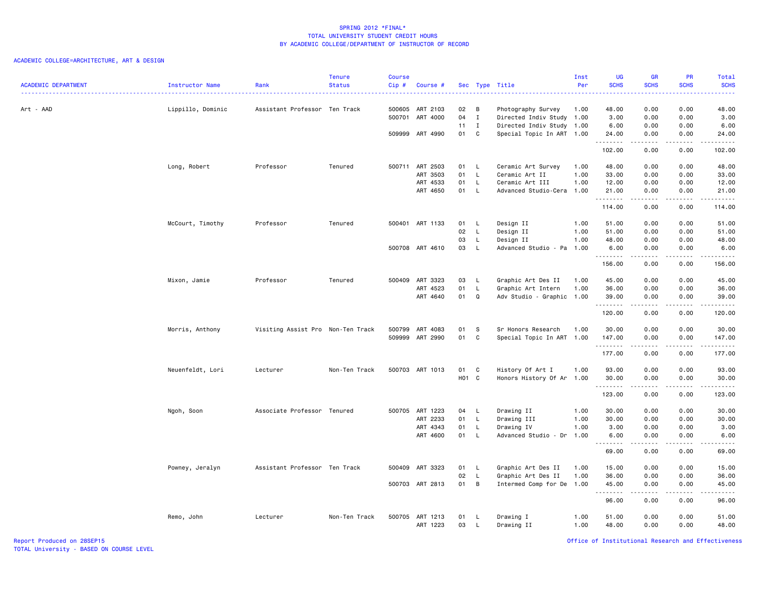# ACADEMIC COLLEGE=ARCHITECTURE, ART & DESIGN

|                            |                      |                                   | <b>Tenure</b> | Course |                 |       |                |                           | Inst | <b>UG</b>   | <b>GR</b>                                                                                                                                                    | PR          | Total                                                                                                                                                         |
|----------------------------|----------------------|-----------------------------------|---------------|--------|-----------------|-------|----------------|---------------------------|------|-------------|--------------------------------------------------------------------------------------------------------------------------------------------------------------|-------------|---------------------------------------------------------------------------------------------------------------------------------------------------------------|
| <b>ACADEMIC DEPARTMENT</b> | Instructor Name<br>. | Rank                              | <b>Status</b> | Cip#   | Course #        |       |                | Sec Type Title            | Per  | <b>SCHS</b> | <b>SCHS</b>                                                                                                                                                  | <b>SCHS</b> | <b>SCHS</b><br>.                                                                                                                                              |
| Art - AAD                  | Lippillo, Dominic    | Assistant Professor Ten Track     |               |        | 500605 ART 2103 | 02    | B              | Photography Survey        | 1.00 | 48.00       | 0.00                                                                                                                                                         | 0.00        | 48.00                                                                                                                                                         |
|                            |                      |                                   |               |        | 500701 ART 4000 | 04    | $\mathbf{I}$   | Directed Indiv Study 1.00 |      | 3.00        | 0.00                                                                                                                                                         | 0.00        | 3.00                                                                                                                                                          |
|                            |                      |                                   |               |        |                 | 11    | $\blacksquare$ | Directed Indiv Study 1.00 |      | 6.00        | 0.00                                                                                                                                                         | 0.00        | 6.00                                                                                                                                                          |
|                            |                      |                                   |               |        | 509999 ART 4990 | 01    | $\mathbf{C}$   | Special Topic In ART 1.00 |      | 24.00<br>.  | 0.00                                                                                                                                                         | 0.00<br>.   | 24.00<br>.                                                                                                                                                    |
|                            |                      |                                   |               |        |                 |       |                |                           |      | 102.00      | .<br>0.00                                                                                                                                                    | 0.00        | 102.00                                                                                                                                                        |
|                            | Long, Robert         | Professor                         | Tenured       |        | 500711 ART 2503 | 01 L  |                | Ceramic Art Survey        | 1.00 | 48.00       | 0.00                                                                                                                                                         | 0.00        | 48.00                                                                                                                                                         |
|                            |                      |                                   |               |        | ART 3503        | 01    | L              | Ceramic Art II            | 1.00 | 33.00       | 0.00                                                                                                                                                         | 0.00        | 33.00                                                                                                                                                         |
|                            |                      |                                   |               |        | ART 4533        | 01    | L              | Ceramic Art III           | 1.00 | 12.00       | 0.00                                                                                                                                                         | 0.00        | 12.00                                                                                                                                                         |
|                            |                      |                                   |               |        | ART 4650        | 01    | $\mathsf{L}$   | Advanced Studio-Cera 1.00 |      | 21.00       | 0.00                                                                                                                                                         | 0.00        | 21.00                                                                                                                                                         |
|                            |                      |                                   |               |        |                 |       |                |                           |      | 114.00      | <b>.</b><br>0.00                                                                                                                                             | .<br>0.00   | .<br>114.00                                                                                                                                                   |
|                            | McCourt, Timothy     | Professor                         | Tenured       |        | 500401 ART 1133 | 01    | -L             | Design II                 | 1.00 | 51.00       | 0.00                                                                                                                                                         | 0.00        | 51.00                                                                                                                                                         |
|                            |                      |                                   |               |        |                 | 02    | $\mathsf{L}$   | Design II                 | 1.00 | 51.00       | 0.00                                                                                                                                                         | 0.00        | 51.00                                                                                                                                                         |
|                            |                      |                                   |               |        |                 | 03    | L              | Design II                 | 1.00 | 48.00       | 0.00                                                                                                                                                         | 0.00        | 48.00                                                                                                                                                         |
|                            |                      |                                   |               |        | 500708 ART 4610 | 03    | L.             | Advanced Studio - Pa      | 1.00 | 6.00        | 0.00                                                                                                                                                         | 0.00        | 6.00                                                                                                                                                          |
|                            |                      |                                   |               |        |                 |       |                |                           |      | .<br>156.00 | .<br>0.00                                                                                                                                                    | .<br>0.00   | د د د د د<br>156.00                                                                                                                                           |
|                            |                      |                                   |               |        |                 |       |                |                           |      |             |                                                                                                                                                              |             |                                                                                                                                                               |
|                            | Mixon, Jamie         | Professor                         | Tenured       |        | 500409 ART 3323 | 03    | -L             | Graphic Art Des II        | 1.00 | 45.00       | 0.00                                                                                                                                                         | 0.00        | 45.00                                                                                                                                                         |
|                            |                      |                                   |               |        | ART 4523        | 01    | $\mathsf{L}$   | Graphic Art Intern        | 1.00 | 36.00       | 0.00                                                                                                                                                         | 0.00        | 36.00                                                                                                                                                         |
|                            |                      |                                   |               |        | ART 4640        | 01    | Q              | Adv Studio - Graphic      | 1.00 | 39.00<br>.  | 0.00<br>.                                                                                                                                                    | 0.00<br>.   | 39.00<br>.                                                                                                                                                    |
|                            |                      |                                   |               |        |                 |       |                |                           |      | 120.00      | 0.00                                                                                                                                                         | 0.00        | 120.00                                                                                                                                                        |
|                            | Morris, Anthony      | Visiting Assist Pro Non-Ten Track |               | 500799 | ART 4083        | 01    | -S             | Sr Honors Research        | 1.00 | 30.00       | 0.00                                                                                                                                                         | 0.00        | 30.00                                                                                                                                                         |
|                            |                      |                                   |               |        | 509999 ART 2990 | 01    | $\mathbf{C}$   | Special Topic In ART 1.00 |      | 147.00      | 0.00                                                                                                                                                         | 0.00        | 147.00                                                                                                                                                        |
|                            |                      |                                   |               |        |                 |       |                |                           |      | .           | <b>.</b>                                                                                                                                                     | .           |                                                                                                                                                               |
|                            |                      |                                   |               |        |                 |       |                |                           |      | 177.00      | 0.00                                                                                                                                                         | 0.00        | 177.00                                                                                                                                                        |
|                            | Neuenfeldt, Lori     | Lecturer                          | Non-Ten Track |        | 500703 ART 1013 | 01    | $\mathbf{C}$   | History Of Art I          | 1.00 | 93.00       | 0.00                                                                                                                                                         | 0.00        | 93.00                                                                                                                                                         |
|                            |                      |                                   |               |        |                 | HO1 C |                | Honors History Of Ar 1.00 |      | 30.00       | 0.00                                                                                                                                                         | 0.00        | 30.00                                                                                                                                                         |
|                            |                      |                                   |               |        |                 |       |                |                           |      | .           | .                                                                                                                                                            | .           | .                                                                                                                                                             |
|                            |                      |                                   |               |        |                 |       |                |                           |      | 123.00      | 0.00                                                                                                                                                         | 0.00        | 123.00                                                                                                                                                        |
|                            | Ngoh, Soon           | Associate Professor Tenured       |               |        | 500705 ART 1223 | 04    | - L            | Drawing II                | 1.00 | 30.00       | 0.00                                                                                                                                                         | 0.00        | 30.00                                                                                                                                                         |
|                            |                      |                                   |               |        | ART 2233        | 01    | L              | Drawing III               | 1.00 | 30.00       | 0.00                                                                                                                                                         | 0.00        | 30.00                                                                                                                                                         |
|                            |                      |                                   |               |        | ART 4343        | 01    | L              | Drawing IV                | 1.00 | 3.00        | 0.00                                                                                                                                                         | 0.00        | 3.00                                                                                                                                                          |
|                            |                      |                                   |               |        | ART 4600        | 01    | <b>L</b>       | Advanced Studio - Dr      | 1.00 | 6.00        | 0.00                                                                                                                                                         | 0.00        | 6.00                                                                                                                                                          |
|                            |                      |                                   |               |        |                 |       |                |                           |      | .<br>69.00  | -----<br>0.00                                                                                                                                                | .<br>0.00   | $\frac{1}{2} \left( \frac{1}{2} \right) \left( \frac{1}{2} \right) \left( \frac{1}{2} \right) \left( \frac{1}{2} \right) \left( \frac{1}{2} \right)$<br>69.00 |
|                            | Powney, Jeralyn      | Assistant Professor Ten Track     |               | 500409 | ART 3323        | 01    | - L            | Graphic Art Des II        | 1.00 | 15.00       | 0.00                                                                                                                                                         | 0.00        | 15.00                                                                                                                                                         |
|                            |                      |                                   |               |        |                 | 02    | L              | Graphic Art Des II        | 1.00 | 36.00       | 0.00                                                                                                                                                         | 0.00        | 36.00                                                                                                                                                         |
|                            |                      |                                   |               |        | 500703 ART 2813 | 01    | $\overline{B}$ | Intermed Comp for De      | 1.00 | 45.00       | 0.00                                                                                                                                                         | 0.00        | 45.00                                                                                                                                                         |
|                            |                      |                                   |               |        |                 |       |                |                           |      | .<br>96.00  | $\frac{1}{2} \left( \frac{1}{2} \right) \left( \frac{1}{2} \right) \left( \frac{1}{2} \right) \left( \frac{1}{2} \right) \left( \frac{1}{2} \right)$<br>0.00 | .<br>0.00   | .<br>96.00                                                                                                                                                    |
|                            |                      |                                   |               |        |                 |       |                |                           |      |             |                                                                                                                                                              |             |                                                                                                                                                               |
|                            | Remo, John           | Lecturer                          | Non-Ten Track |        | 500705 ART 1213 | 01    | -L             | Drawing I                 | 1.00 | 51.00       | 0.00                                                                                                                                                         | 0.00        | 51.00                                                                                                                                                         |
|                            |                      |                                   |               |        | ART 1223        | 03    | <b>L</b>       | Drawing II                | 1.00 | 48.00       | 0.00                                                                                                                                                         | 0.00        | 48.00                                                                                                                                                         |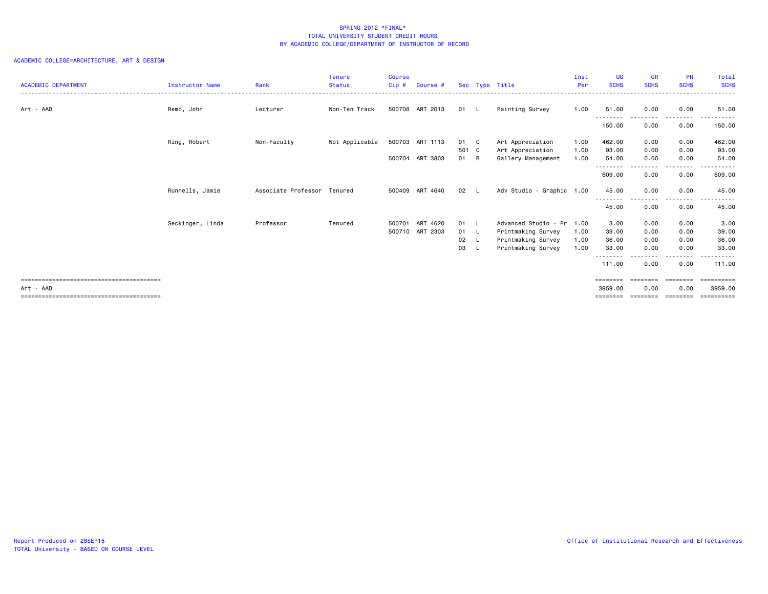| <b>ACADEMIC DEPARTMENT</b> | Instructor Name  | Rank                | <b>Tenure</b><br><b>Status</b> | Course<br>$Cip$ # | Course #        |               |     | Sec Type Title                         | Inst<br>Per  | <b>UG</b><br><b>SCHS</b>     | <b>GR</b><br><b>SCHS</b>       | <b>PR</b><br><b>SCHS</b> | Total<br><b>SCHS</b>            |
|----------------------------|------------------|---------------------|--------------------------------|-------------------|-----------------|---------------|-----|----------------------------------------|--------------|------------------------------|--------------------------------|--------------------------|---------------------------------|
| Art - AAD                  | Remo, John       | Lecturer            | Non-Ten Track                  |                   | 500708 ART 2013 | 01 L          |     | Painting Survey                        | 1.00         | 51.00                        | 0.00                           | 0.00                     | 51.00                           |
|                            |                  |                     |                                |                   |                 |               |     |                                        |              | .<br>150.00                  | --------<br>0.00               | .<br>0.00                | - - - - - - - - - - -<br>150.00 |
|                            | Ring, Robert     | Non-Faculty         | Not Applicable                 |                   | 500703 ART 1113 | 01 C          |     | Art Appreciation                       | 1.00         | 462.00                       | 0.00                           | 0.00                     | 462.00                          |
|                            |                  |                     |                                |                   | 500704 ART 3803 | 501 C<br>01 B |     | Art Appreciation<br>Gallery Management | 1.00<br>1.00 | 93.00<br>54.00               | 0.00<br>0.00                   | 0.00<br>0.00             | 93.00<br>54.00                  |
|                            |                  |                     |                                |                   |                 |               |     |                                        |              | .<br>609,00                  | <u>- - - - - - - -</u><br>0.00 | .<br>0.00                | ------<br>609,00                |
|                            | Runnells, Jamie  | Associate Professor | Tenured                        |                   | 500409 ART 4640 | $02 \quad L$  |     | Adv Studio - Graphic 1.00              |              | 45.00<br>--------            | 0.00                           | 0.00                     | 45.00<br>. <b>.</b> .           |
|                            |                  |                     |                                |                   |                 |               |     |                                        |              | 45.00                        | 0.00                           | 0.00                     | 45.00                           |
|                            | Seckinger, Linda | Professor           | Tenured                        | 500701            | ART 4620        | 01 L          |     | Advanced Studio - Pr 1.00              |              | 3.00                         | 0.00                           | 0.00                     | 3.00                            |
|                            |                  |                     |                                |                   | 500710 ART 2303 | 01 L          |     | Printmaking Survey                     | 1.00         | 39.00                        | 0.00                           | 0.00                     | 39.00                           |
|                            |                  |                     |                                |                   |                 | 02            | - L | Printmaking Survey                     | 1.00         | 36.00                        | 0.00                           | 0.00                     | 36.00                           |
|                            |                  |                     |                                |                   |                 | 03            |     | Printmaking Survey                     | 1.00         | 33.00<br><u>.</u>            | 0.00                           | 0.00<br>.                | 33.00<br>. <u>.</u>             |
|                            |                  |                     |                                |                   |                 |               |     |                                        |              | 111.00                       | 0.00                           | 0.00                     | 111.00                          |
| Art - AAD                  |                  |                     |                                |                   |                 |               |     |                                        |              | $=$ = = = = = = =<br>3959.00 | 0.00                           | 0.00                     | ==========<br>3959.00           |
|                            |                  |                     |                                |                   |                 |               |     |                                        |              | ========                     | ========                       | ========                 | ==========                      |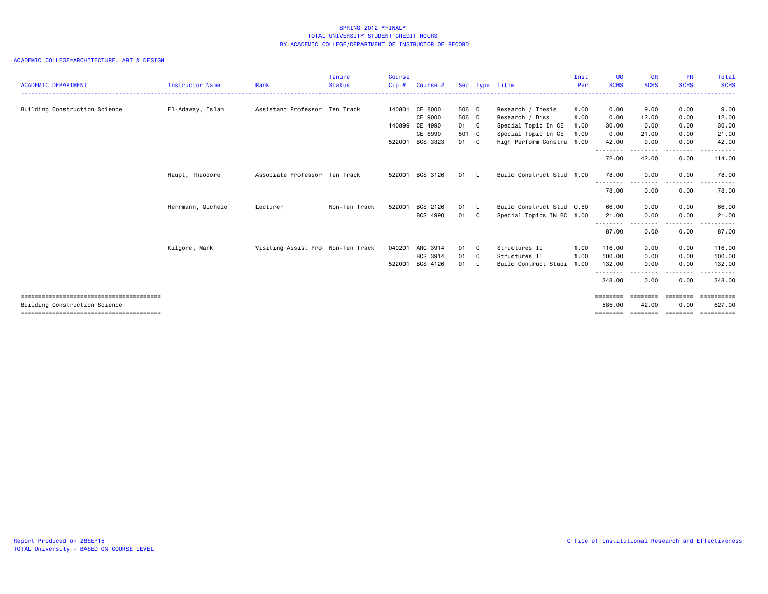| <b>ACADEMIC DEPARTMENT</b>    | Instructor Name   | Rank                              | <b>Tenure</b><br><b>Status</b> | Course<br>$Cip$ # | Course #       |              | Sec Type Title            | Inst<br>Per | <b>UG</b><br><b>SCHS</b>           | <b>GR</b><br><b>SCHS</b> | <b>PR</b><br><b>SCHS</b>                                                                                                          | Total<br><b>SCHS</b>  |
|-------------------------------|-------------------|-----------------------------------|--------------------------------|-------------------|----------------|--------------|---------------------------|-------------|------------------------------------|--------------------------|-----------------------------------------------------------------------------------------------------------------------------------|-----------------------|
| Building Construction Science | El-Adaway, Islam  | Assistant Professor Ten Track     |                                |                   | 140801 CE 8000 | 506 D        | Research / Thesis         | 1.00        | 0.00                               | 9.00                     | 0.00                                                                                                                              | 9.00                  |
|                               |                   |                                   |                                |                   | CE 9000        | 506 D        | Research / Diss           | 1.00        | 0.00                               | 12.00                    | 0.00                                                                                                                              | 12.00                 |
|                               |                   |                                   |                                |                   | 140899 CE 4990 | 01 C         | Special Topic In CE       | 1.00        | 30.00                              | 0.00                     | 0.00                                                                                                                              | 30.00                 |
|                               |                   |                                   |                                |                   | CE 6990        | 501 C        | Special Topic In CE       | 1.00        | 0.00                               | 21.00                    | 0.00                                                                                                                              | 21.00                 |
|                               |                   |                                   |                                | 522001            | BCS 3323       | 01 C         | High Perform Constru 1.00 |             | 42.00                              | 0.00                     | 0.00                                                                                                                              | 42.00                 |
|                               |                   |                                   |                                |                   |                |              |                           |             | --------<br>72.00                  | 42.00                    | $\frac{1}{2} \left( \frac{1}{2} \right) \left( \frac{1}{2} \right) \left( \frac{1}{2} \right) \left( \frac{1}{2} \right)$<br>0.00 | -----<br>114.00       |
|                               | Haupt, Theodore   | Associate Professor Ten Track     |                                | 522001            | BCS 3126       | 01 L         | Build Construct Stud 1.00 |             | 78.00                              | 0.00<br>--------         | 0.00<br>--------                                                                                                                  | 78.00<br>.            |
|                               |                   |                                   |                                |                   |                |              |                           |             | --------<br>78.00                  | 0.00                     | 0.00                                                                                                                              | 78.00                 |
|                               | Herrmann, Michele | Lecturer                          | Non-Ten Track                  | 522001            | BCS 2126       | 01 L         | Build Construct Stud 0.50 |             | 66.00                              | 0.00                     | 0.00                                                                                                                              | 66.00                 |
|                               |                   |                                   |                                |                   | BCS 4990       | 01 C         | Special Topics IN BC 1.00 |             | 21.00                              | 0.00                     | 0.00                                                                                                                              | 21.00                 |
|                               |                   |                                   |                                |                   |                |              |                           |             | ---------<br>87.00                 | --------<br>0.00         | - - - - - - - - <b>-</b><br>0.00                                                                                                  | . <u>.</u> .<br>87.00 |
|                               | Kilgore, Mark     | Visiting Assist Pro Non-Ten Track |                                | 040201            | ARC 3914       | 01 C         | Structures II             | 1.00        | 116,00                             | 0.00                     | 0.00                                                                                                                              | 116.00                |
|                               |                   |                                   |                                |                   | BCS 3914       | 01 C         | Structures II             | 1.00        | 100.00                             | 0.00                     | 0.00                                                                                                                              | 100.00                |
|                               |                   |                                   |                                | 522001            | BCS 4126       | $01 \quad L$ | Build Contruct Studi      | 1.00        | 132.00                             | 0.00                     | 0.00                                                                                                                              | 132.00                |
|                               |                   |                                   |                                |                   |                |              |                           |             | - - - - - - - - <b>-</b><br>348.00 | 0.00                     | . <b>.</b><br>0.00                                                                                                                | .<br>348,00           |
| Building Construction Science |                   |                                   |                                |                   |                |              |                           |             | ========<br>585.00                 | ========<br>42.00        | ========<br>0.00                                                                                                                  | essessesse<br>627.00  |
|                               |                   |                                   |                                |                   |                |              |                           |             | ========                           | --------                 | <b>EBBEERE</b>                                                                                                                    | essessesse            |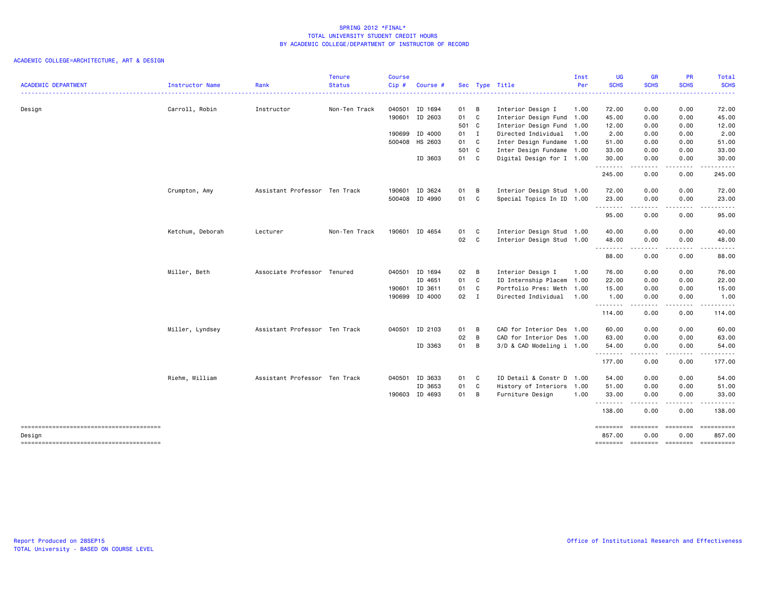|                                                  |                  |                               | <b>Tenure</b> | <b>Course</b> |                |              |   |                           | Inst | <b>UG</b>          | <b>GR</b>       | <b>PR</b>                                                                                                                                                    | Total                |
|--------------------------------------------------|------------------|-------------------------------|---------------|---------------|----------------|--------------|---|---------------------------|------|--------------------|-----------------|--------------------------------------------------------------------------------------------------------------------------------------------------------------|----------------------|
| <b>ACADEMIC DEPARTMENT</b>                       | Instructor Name  | Rank                          | Status        | Cip#          | Course #       |              |   | Sec Type Title            | Per  | <b>SCHS</b>        | <b>SCHS</b>     | <b>SCHS</b>                                                                                                                                                  | <b>SCHS</b><br>.     |
| Design                                           | Carroll, Robin   | Instructor                    | Non-Ten Track |               | 040501 ID 1694 | 01 B         |   | Interior Design I         | 1.00 | 72.00              | 0.00            | 0.00                                                                                                                                                         | 72.00                |
|                                                  |                  |                               |               |               | 190601 ID 2603 | 01 C         |   | Interior Design Fund 1.00 |      | 45.00              | 0.00            | 0.00                                                                                                                                                         | 45.00                |
|                                                  |                  |                               |               |               |                | 501 C        |   | Interior Design Fund 1.00 |      | 12.00              | 0.00            | 0.00                                                                                                                                                         | 12.00                |
|                                                  |                  |                               |               | 190699        | ID 4000        | $01$ I       |   | Directed Individual       | 1.00 | 2.00               | 0.00            | 0.00                                                                                                                                                         | 2.00                 |
|                                                  |                  |                               |               |               | 500408 HS 2603 | 01 C         |   | Inter Design Fundame 1.00 |      | 51.00              | 0.00            | 0.00                                                                                                                                                         | 51.00                |
|                                                  |                  |                               |               |               |                | 501 C        |   | Inter Design Fundame 1.00 |      | 33.00              | 0.00            | 0.00                                                                                                                                                         | 33.00                |
|                                                  |                  |                               |               |               | ID 3603        | 01 C         |   | Digital Design for I 1.00 |      | 30.00<br>.         | 0.00<br>.       | 0.00<br>.                                                                                                                                                    | 30.00<br>.           |
|                                                  |                  |                               |               |               |                |              |   |                           |      | 245.00             | 0.00            | 0.00                                                                                                                                                         | 245.00               |
|                                                  | Crumpton, Amy    | Assistant Professor Ten Track |               |               | 190601 ID 3624 | 01           | B | Interior Design Stud 1.00 |      | 72.00              | 0.00            | 0.00                                                                                                                                                         | 72.00                |
|                                                  |                  |                               |               |               | 500408 ID 4990 | 01           | C | Special Topics In ID 1.00 |      | 23.00<br>--------- | 0.00<br>.       | 0.00<br>-----                                                                                                                                                | 23.00<br>.           |
|                                                  |                  |                               |               |               |                |              |   |                           |      | 95.00              | 0.00            | 0.00                                                                                                                                                         | 95.00                |
|                                                  | Ketchum, Deborah | Lecturer                      | Non-Ten Track |               | 190601 ID 4654 | 01 C         |   | Interior Design Stud 1.00 |      | 40.00              | 0.00            | 0.00                                                                                                                                                         | 40.00                |
|                                                  |                  |                               |               |               |                | 02 C         |   | Interior Design Stud 1.00 |      | 48.00<br>.         | 0.00<br>.       | 0.00<br>المتماما                                                                                                                                             | 48.00<br>.           |
|                                                  |                  |                               |               |               |                |              |   |                           |      | 88.00              | 0.00            | 0.00                                                                                                                                                         | 88.00                |
|                                                  | Miller, Beth     | Associate Professor Tenured   |               |               | 040501 ID 1694 | 02           | B | Interior Design I         | 1.00 | 76.00              | 0.00            | 0.00                                                                                                                                                         | 76.00                |
|                                                  |                  |                               |               |               | ID 4651        | 01 C         |   | ID Internship Placem 1.00 |      | 22.00              | 0.00            | 0.00                                                                                                                                                         | 22.00                |
|                                                  |                  |                               |               |               | 190601 ID 3611 | 01           | C | Portfolio Pres: Meth 1.00 |      | 15.00              | 0.00            | 0.00                                                                                                                                                         | 15.00                |
|                                                  |                  |                               |               |               | 190699 ID 4000 | $02 \quad I$ |   | Directed Individual       | 1.00 | 1.00<br>.          | 0.00<br>.       | 0.00<br>$\frac{1}{2} \left( \frac{1}{2} \right) \left( \frac{1}{2} \right) \left( \frac{1}{2} \right) \left( \frac{1}{2} \right) \left( \frac{1}{2} \right)$ | 1.00<br>.            |
|                                                  |                  |                               |               |               |                |              |   |                           |      | 114.00             | 0.00            | 0.00                                                                                                                                                         | 114.00               |
|                                                  | Miller, Lyndsey  | Assistant Professor Ten Track |               |               | 040501 ID 2103 | 01           | B | CAD for Interior Des 1.00 |      | 60.00              | 0.00            | 0.00                                                                                                                                                         | 60.00                |
|                                                  |                  |                               |               |               |                | 02           | B | CAD for Interior Des 1.00 |      | 63.00              | 0.00            | 0.00                                                                                                                                                         | 63.00                |
|                                                  |                  |                               |               |               | ID 3363        | 01           | B | 3/D & CAD Modeling i 1.00 |      | 54.00<br>.         | 0.00            | 0.00<br>$\frac{1}{2}$                                                                                                                                        | 54.00<br>.           |
|                                                  |                  |                               |               |               |                |              |   |                           |      | 177.00             | 0.00            | 0.00                                                                                                                                                         | 177.00               |
|                                                  | Riehm, William   | Assistant Professor Ten Track |               |               | 040501 ID 3633 | 01 C         |   | ID Detail & Constr D 1.00 |      | 54.00              | 0.00            | 0.00                                                                                                                                                         | 54.00                |
|                                                  |                  |                               |               |               | ID 3653        | 01           | C | History of Interiors 1.00 |      | 51.00              | 0.00            | 0.00                                                                                                                                                         | 51.00                |
|                                                  |                  |                               |               |               | 190603 ID 4693 | 01 B         |   | Furniture Design          | 1.00 | 33.00<br>.         | 0.00<br>.       | 0.00<br>.                                                                                                                                                    | 33.00<br><u>.</u>    |
|                                                  |                  |                               |               |               |                |              |   |                           |      | 138.00             | 0.00            | 0.00                                                                                                                                                         | 138.00               |
| --------------------------------------           |                  |                               |               |               |                |              |   |                           |      | <b>EEEEEEE</b>     | <b>EBBBBBBB</b> | ========                                                                                                                                                     | ----------           |
| Design<br>-------------------------------------- |                  |                               |               |               |                |              |   |                           |      | 857.00<br>======== | 0.00            | 0.00<br>--------- -------                                                                                                                                    | 857.00<br>========== |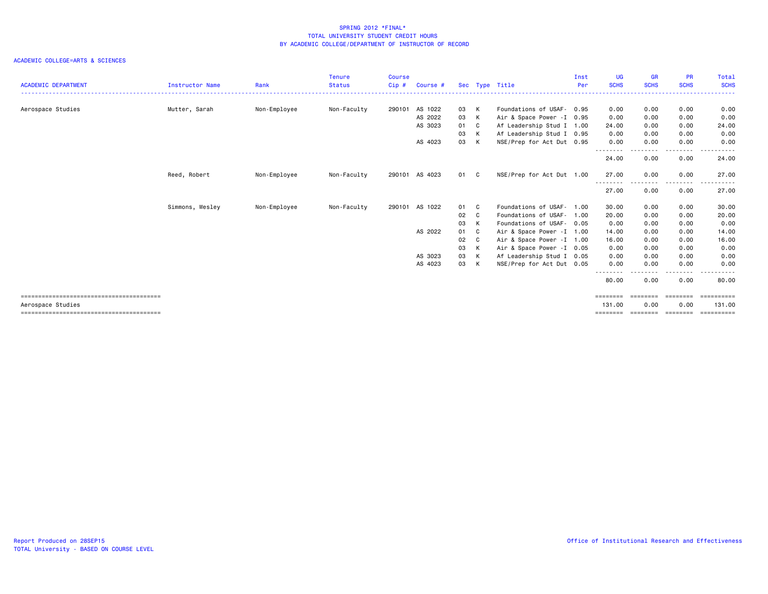| <b>ACADEMIC DEPARTMENT</b> | Instructor Name | Rank         | <b>Tenure</b><br><b>Status</b> | Course<br>$Cip$ # | Course # |      |    | Sec Type Title             | Inst<br>Per | <b>UG</b><br><b>SCHS</b>          | <b>GR</b><br><b>SCHS</b> | <b>PR</b><br><b>SCHS</b> | Total<br><b>SCHS</b> |
|----------------------------|-----------------|--------------|--------------------------------|-------------------|----------|------|----|----------------------------|-------------|-----------------------------------|--------------------------|--------------------------|----------------------|
| Aerospace Studies          | Mutter, Sarah   | Non-Employee | Non-Faculty                    | 290101            | AS 1022  | 03   | K  | Foundations of USAF- 0.95  |             | 0.00                              | 0.00                     | 0.00                     | 0.00                 |
|                            |                 |              |                                |                   | AS 2022  | 03   | K  | Air & Space Power - I 0.95 |             | 0.00                              | 0.00                     | 0.00                     | 0.00                 |
|                            |                 |              |                                |                   | AS 3023  | 01   | C. | Af Leadership Stud I 1.00  |             | 24.00                             | 0.00                     | 0.00                     | 24.00                |
|                            |                 |              |                                |                   |          | 03   | K  | Af Leadership Stud I 0.95  |             | 0.00                              | 0.00                     | 0.00                     | 0.00                 |
|                            |                 |              |                                |                   | AS 4023  | 03   | K  | NSE/Prep for Act Dut 0.95  |             | 0.00                              | 0.00                     | 0.00                     | 0.00                 |
|                            |                 |              |                                |                   |          |      |    |                            |             | --------<br>24.00                 | 0.00                     | .<br>0.00                | 24.00                |
|                            | Reed, Robert    | Non-Employee | Non-Faculty                    | 290101            | AS 4023  | 01 C |    | NSE/Prep for Act Dut 1.00  |             | 27.00                             | 0.00                     | 0.00<br>$\frac{1}{2}$    | 27,00                |
|                            |                 |              |                                |                   |          |      |    |                            |             | - - - - - - - - <b>-</b><br>27.00 | 0.00                     | 0.00                     | 27.00                |
|                            | Simmons, Wesley | Non-Employee | Non-Faculty                    | 290101            | AS 1022  | 01   | C. | Foundations of USAF- 1.00  |             | 30.00                             | 0.00                     | 0.00                     | 30.00                |
|                            |                 |              |                                |                   |          | 02 C |    | Foundations of USAF-       | 1.00        | 20.00                             | 0.00                     | 0.00                     | 20.00                |
|                            |                 |              |                                |                   |          | 03   | K  | Foundations of USAF- 0.05  |             | 0.00                              | 0.00                     | 0.00                     | 0.00                 |
|                            |                 |              |                                |                   | AS 2022  | 01   | C. | Air & Space Power - I 1.00 |             | 14.00                             | 0.00                     | 0.00                     | 14.00                |
|                            |                 |              |                                |                   |          | 02   | C. | Air & Space Power -I 1.00  |             | 16.00                             | 0.00                     | 0.00                     | 16.00                |
|                            |                 |              |                                |                   |          | 03   | K  | Air & Space Power - I 0.05 |             | 0.00                              | 0.00                     | 0.00                     | 0.00                 |
|                            |                 |              |                                |                   | AS 3023  | 03   | K  | Af Leadership Stud I 0.05  |             | 0.00                              | 0.00                     | 0.00                     | 0.00                 |
|                            |                 |              |                                |                   | AS 4023  | 03   | K  | NSE/Prep for Act Dut 0.05  |             | 0.00                              | 0.00                     | 0.00                     | 0.00                 |
|                            |                 |              |                                |                   |          |      |    |                            |             | 80.00                             | 0.00                     | 0.00                     | 80.00                |
|                            |                 |              |                                |                   |          |      |    |                            |             | ========                          | <b>EBBEERE</b>           | <b>EEEEEEE</b>           | <b>ESSESSESS</b>     |
| Aerospace Studies          |                 |              |                                |                   |          |      |    |                            |             | 131.00                            | 0.00                     | 0.00                     | 131.00               |
|                            |                 |              |                                |                   |          |      |    |                            |             | ========                          | ========                 | ========                 | ==========           |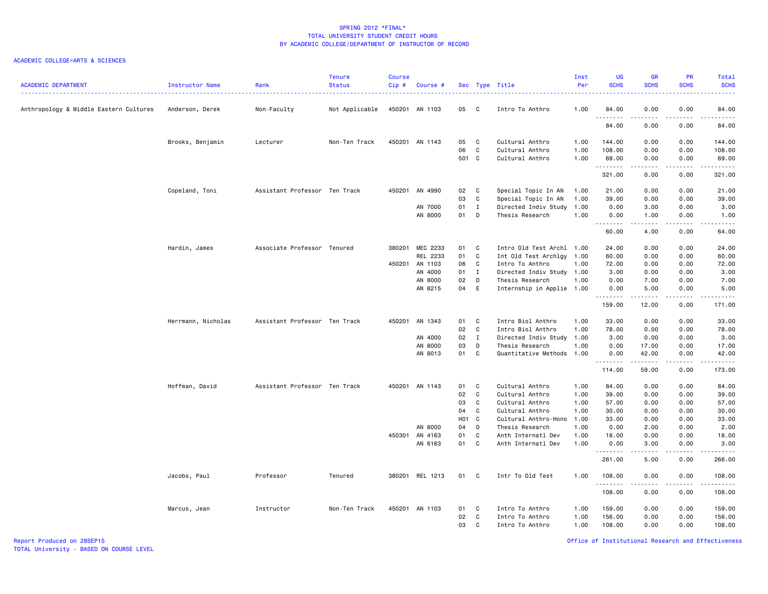### ACADEMIC COLLEGE=ARTS & SCIENCES

| <b>ACADEMIC DEPARTMENT</b>             | Instructor Name    | Rank                          | <b>Tenure</b><br><b>Status</b> | Course<br>Cip# | Course #        |             |                | Sec Type Title                     | Inst<br>Per  | <b>UG</b><br><b>SCHS</b> | <b>GR</b><br><b>SCHS</b> | <b>PR</b><br><b>SCHS</b>            | Total<br><b>SCHS</b>                                                                                                                                                                    |
|----------------------------------------|--------------------|-------------------------------|--------------------------------|----------------|-----------------|-------------|----------------|------------------------------------|--------------|--------------------------|--------------------------|-------------------------------------|-----------------------------------------------------------------------------------------------------------------------------------------------------------------------------------------|
| Anthropology & Middle Eastern Cultures | Anderson, Derek    | Non-Faculty                   | Not Applicable                 |                | 450201 AN 1103  | 05          | $\mathbf{C}$   | Intro To Anthro                    | 1.00         | 84.00                    | 0.00<br>.                | 0.00<br>$\sim$ $\sim$ $\sim$        | 84.00                                                                                                                                                                                   |
|                                        |                    |                               |                                |                |                 |             |                |                                    |              | .<br>84.00               | 0.00                     | 0.00                                | د د د د د<br>84.00                                                                                                                                                                      |
|                                        | Brooks, Benjamin   | Lecturer                      | Non-Ten Track                  |                | 450201 AN 1143  | 05          | C.             | Cultural Anthro                    | 1.00         | 144.00                   | 0.00                     | 0.00                                | 144.00                                                                                                                                                                                  |
|                                        |                    |                               |                                |                |                 | 06<br>501 C | C              | Cultural Anthro<br>Cultural Anthro | 1.00<br>1.00 | 108.00<br>69.00          | 0.00<br>0.00             | 0.00<br>0.00                        | 108.00<br>69.00                                                                                                                                                                         |
|                                        |                    |                               |                                |                |                 |             |                |                                    |              | <u>.</u>                 | .                        | .                                   | .                                                                                                                                                                                       |
|                                        |                    |                               |                                |                |                 |             |                |                                    |              | 321.00                   | 0.00                     | 0.00                                | 321.00                                                                                                                                                                                  |
|                                        | Copeland, Toni     | Assistant Professor Ten Track |                                |                | 450201 AN 4990  | 02          | $\mathbf{C}$   | Special Topic In AN                | 1.00         | 21.00                    | 0.00                     | 0.00                                | 21.00                                                                                                                                                                                   |
|                                        |                    |                               |                                |                |                 | 03          | C              | Special Topic In AN                | 1.00         | 39.00                    | 0.00                     | 0.00                                | 39.00                                                                                                                                                                                   |
|                                        |                    |                               |                                |                | AN 7000         | 01          | $\mathbf{I}$   | Directed Indiv Study               | 1.00         | 0.00                     | 3.00                     | 0.00                                | 3.00                                                                                                                                                                                    |
|                                        |                    |                               |                                |                | AN 8000         | 01          | D              | Thesis Research                    | 1.00         | 0.00<br>.                | 1.00<br>.                | 0.00<br>$\sim$ $\sim$ $\sim$ $\sim$ | 1.00<br>$\frac{1}{2} \left( \frac{1}{2} \right) \left( \frac{1}{2} \right) \left( \frac{1}{2} \right) \left( \frac{1}{2} \right) \left( \frac{1}{2} \right) \left( \frac{1}{2} \right)$ |
|                                        |                    |                               |                                |                |                 |             |                |                                    |              | 60.00                    | 4.00                     | 0.00                                | 64.00                                                                                                                                                                                   |
|                                        | Hardin, James      | Associate Professor Tenured   |                                | 380201         | MEC 2233        | 01          | C              | Intro Old Test Archl               | 1.00         | 24.00                    | 0.00                     | 0.00                                | 24.00                                                                                                                                                                                   |
|                                        |                    |                               |                                |                | REL 2233        | 01          | C              | Int Old Test Archlgy 1.00          |              | 60.00                    | 0.00                     | 0.00                                | 60.00                                                                                                                                                                                   |
|                                        |                    |                               |                                |                | 450201 AN 1103  | 06          | $\mathbf{C}$   | Intro To Anthro                    | 1.00         | 72.00                    | 0.00                     | 0.00                                | 72.00                                                                                                                                                                                   |
|                                        |                    |                               |                                |                | AN 4000         | 01          | $\mathbf{I}$   | Directed Indiv Study               | 1.00         | 3.00                     | 0.00                     | 0.00                                | 3.00                                                                                                                                                                                    |
|                                        |                    |                               |                                |                | AN 8000         | 02          | D              | Thesis Research                    | 1.00         | 0.00                     | 7.00                     | 0.00                                | 7.00                                                                                                                                                                                    |
|                                        |                    |                               |                                |                | AN 8215         | 04          | E              | Internship in Applie 1.00          |              | 0.00                     | 5.00                     | 0.00                                | 5.00                                                                                                                                                                                    |
|                                        |                    |                               |                                |                |                 |             |                |                                    |              | .<br>159.00              | .<br>12.00               | .<br>0.00                           | 171.00                                                                                                                                                                                  |
|                                        | Herrmann, Nicholas | Assistant Professor Ten Track |                                | 450201         | AN 1343         | 01          | C              | Intro Biol Anthro                  | 1.00         | 33.00                    | 0.00                     | 0.00                                | 33.00                                                                                                                                                                                   |
|                                        |                    |                               |                                |                |                 | 02          | C              | Intro Biol Anthro                  | 1.00         | 78.00                    | 0.00                     | 0.00                                | 78.00                                                                                                                                                                                   |
|                                        |                    |                               |                                |                | AN 4000         | 02          | $\mathbf{I}$   | Directed Indiv Study               | 1.00         | 3.00                     | 0.00                     | 0.00                                | 3.00                                                                                                                                                                                    |
|                                        |                    |                               |                                |                | AN 8000         | 03          | D              | Thesis Research                    | 1.00         | 0.00                     | 17.00                    | 0.00                                | 17.00                                                                                                                                                                                   |
|                                        |                    |                               |                                |                | AN 8013         | 01          | C <sub>1</sub> | Quantitative Methods               | 1.00         | 0.00                     | 42.00                    | 0.00                                | 42.00                                                                                                                                                                                   |
|                                        |                    |                               |                                |                |                 |             |                |                                    |              | .<br>114.00              | .<br>59.00               | .<br>0.00                           | .<br>173.00                                                                                                                                                                             |
|                                        | Hoffman, David     | Assistant Professor Ten Track |                                |                | 450201 AN 1143  | 01          | $\mathbf{C}$   | Cultural Anthro                    | 1.00         | 84.00                    | 0.00                     | 0.00                                | 84.00                                                                                                                                                                                   |
|                                        |                    |                               |                                |                |                 | 02          | $\mathbf c$    | Cultural Anthro                    | 1.00         | 39.00                    | 0.00                     | 0.00                                | 39.00                                                                                                                                                                                   |
|                                        |                    |                               |                                |                |                 | 03          | C              | Cultural Anthro                    | 1.00         | 57.00                    | 0.00                     | 0.00                                | 57.00                                                                                                                                                                                   |
|                                        |                    |                               |                                |                |                 | 04          | $\mathbf c$    | Cultural Anthro                    | 1.00         | 30.00                    | 0.00                     | 0.00                                | 30.00                                                                                                                                                                                   |
|                                        |                    |                               |                                |                |                 | HO1 C       |                | Cultural Anthro-Hono               | 1.00         | 33.00                    | 0.00                     | 0.00                                | 33.00                                                                                                                                                                                   |
|                                        |                    |                               |                                |                | AN 8000         | 04          | D              | Thesis Research                    | 1.00         | 0.00                     | 2.00                     | 0.00                                | 2.00                                                                                                                                                                                    |
|                                        |                    |                               |                                |                | 450301 AN 4163  | 01          | C              | Anth Internatl Dev                 | 1.00         | 18.00                    | 0.00                     | 0.00                                | 18.00                                                                                                                                                                                   |
|                                        |                    |                               |                                |                | AN 6163         | 01 C        |                | Anth Internatl Dev                 | 1.00         | 0.00<br>.                | 3.00                     | 0.00                                | 3.00<br>.                                                                                                                                                                               |
|                                        |                    |                               |                                |                |                 |             |                |                                    |              | 261.00                   | 5.00                     | 0.00                                | 266.00                                                                                                                                                                                  |
|                                        | Jacobs, Paul       | Professor                     | Tenured                        |                | 380201 REL 1213 | 01          | $\mathbf{C}$   | Intr To Old Test                   | 1.00         | 108.00<br>.              | 0.00                     | 0.00                                | 108.00<br>.                                                                                                                                                                             |
|                                        |                    |                               |                                |                |                 |             |                |                                    |              | 108.00                   | .<br>0.00                | $   -$<br>0.00                      | 108.00                                                                                                                                                                                  |
|                                        | Marcus, Jean       | Instructor                    | Non-Ten Track                  |                | 450201 AN 1103  | 01          | C              | Intro To Anthro                    | 1.00         | 159.00                   | 0.00                     | 0.00                                | 159.00                                                                                                                                                                                  |
|                                        |                    |                               |                                |                |                 | 02          | C              | Intro To Anthro                    | 1.00         | 156.00                   | 0.00                     | 0.00                                | 156.00                                                                                                                                                                                  |
|                                        |                    |                               |                                |                |                 | 03          | C              | Intro To Anthro                    | 1.00         | 108.00                   | 0.00                     | 0.00                                | 108.00                                                                                                                                                                                  |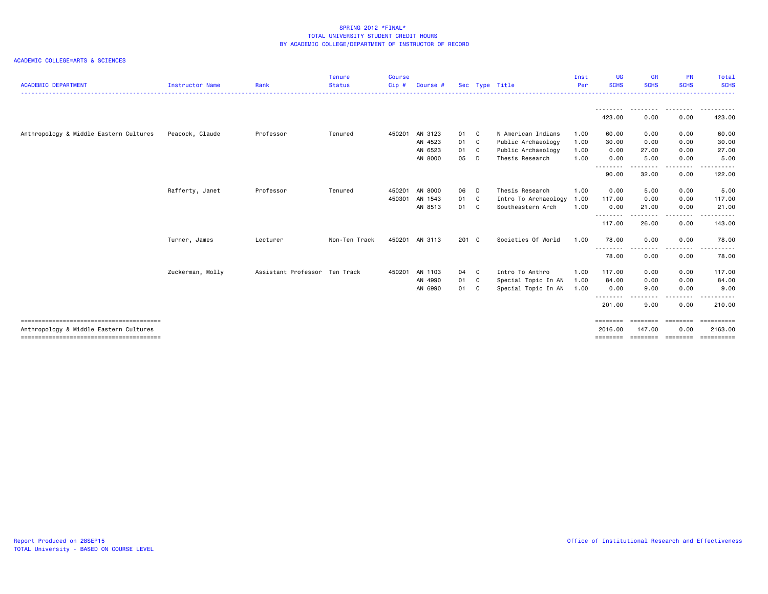| <b>ACADEMIC DEPARTMENT</b>             | <b>Instructor Name</b> | Rank                          | <b>Tenure</b><br><b>Status</b> | <b>Course</b><br>$Cip$ # | Course #       |       |    | Sec Type Title       | Inst<br>Per | <b>UG</b><br><b>SCHS</b> | <b>GR</b><br><b>SCHS</b>        | <b>PR</b><br><b>SCHS</b> | Total<br><b>SCHS</b> |
|----------------------------------------|------------------------|-------------------------------|--------------------------------|--------------------------|----------------|-------|----|----------------------|-------------|--------------------------|---------------------------------|--------------------------|----------------------|
|                                        |                        |                               |                                |                          |                |       |    |                      |             |                          |                                 |                          |                      |
|                                        |                        |                               |                                |                          |                |       |    |                      |             | 423.00                   | --------<br>0.00                | .<br>0.00                | ----------<br>423.00 |
| Anthropology & Middle Eastern Cultures | Peacock, Claude        | Professor                     | Tenured                        | 450201                   | AN 3123        | 01 C  |    | N American Indians   | 1.00        | 60.00                    | 0.00                            | 0.00                     | 60.00                |
|                                        |                        |                               |                                |                          | AN 4523        | 01 C  |    | Public Archaeology   | 1.00        | 30.00                    | 0.00                            | 0.00                     | 30.00                |
|                                        |                        |                               |                                |                          | AN 6523        | 01 C  |    | Public Archaeology   | 1.00        | 0.00                     | 27.00                           | 0.00                     | 27.00                |
|                                        |                        |                               |                                |                          | AN 8000        | 05    | D  | Thesis Research      | 1.00        | 0.00                     | 5.00                            | 0.00<br>.                | 5.00                 |
|                                        |                        |                               |                                |                          |                |       |    |                      |             | --------<br>90.00        | 32.00                           | 0.00                     | 122.00               |
|                                        | Rafferty, Janet        | Professor                     | Tenured                        | 450201                   | AN 8000        | 06 D  |    | Thesis Research      | 1.00        | 0.00                     | 5.00                            | 0.00                     | 5.00                 |
|                                        |                        |                               |                                | 450301                   | AN 1543        | 01 C  |    | Intro To Archaeology | 1.00        | 117.00                   | 0.00                            | 0.00                     | 117.00               |
|                                        |                        |                               |                                |                          | AN 8513        | 01 C  |    | Southeastern Arch    | 1.00        | 0.00                     | 21.00                           | 0.00                     | 21.00                |
|                                        |                        |                               |                                |                          |                |       |    |                      |             | .<br>117.00              | --------<br>26.00               | --------<br>0.00         | .<br>143.00          |
|                                        | Turner, James          | Lecturer                      | Non-Ten Track                  |                          | 450201 AN 3113 | 201 C |    | Societies Of World   | 1.00        | 78.00                    | 0.00                            | 0.00                     | 78.00                |
|                                        |                        |                               |                                |                          |                |       |    |                      |             | 78.00                    | 0.00                            | 0.00                     | 78.00                |
|                                        | Zuckerman, Molly       | Assistant Professor Ten Track |                                | 450201                   | AN 1103        | 04 C  |    | Intro To Anthro      | 1.00        | 117.00                   | 0.00                            | 0.00                     | 117.00               |
|                                        |                        |                               |                                |                          | AN 4990        | 01 C  |    | Special Topic In AN  | 1.00        | 84.00                    | 0.00                            | 0.00                     | 84.00                |
|                                        |                        |                               |                                |                          | AN 6990        | 01    | C. | Special Topic In AN  | 1.00        | 0.00                     | 9.00                            | 0.00                     | 9.00                 |
|                                        |                        |                               |                                |                          |                |       |    |                      |             | .<br>201.00              | <u> - - - - - - - -</u><br>9.00 | --------<br>0.00         | .<br>210.00          |
|                                        |                        |                               |                                |                          |                |       |    |                      |             | ========                 | ========                        | ========                 | ==========           |
| Anthropology & Middle Eastern Cultures |                        |                               |                                |                          |                |       |    |                      |             | 2016,00                  | 147.00                          | 0.00                     | 2163.00              |
|                                        |                        |                               |                                |                          |                |       |    |                      |             | ========                 | ========                        | ========                 | ==========           |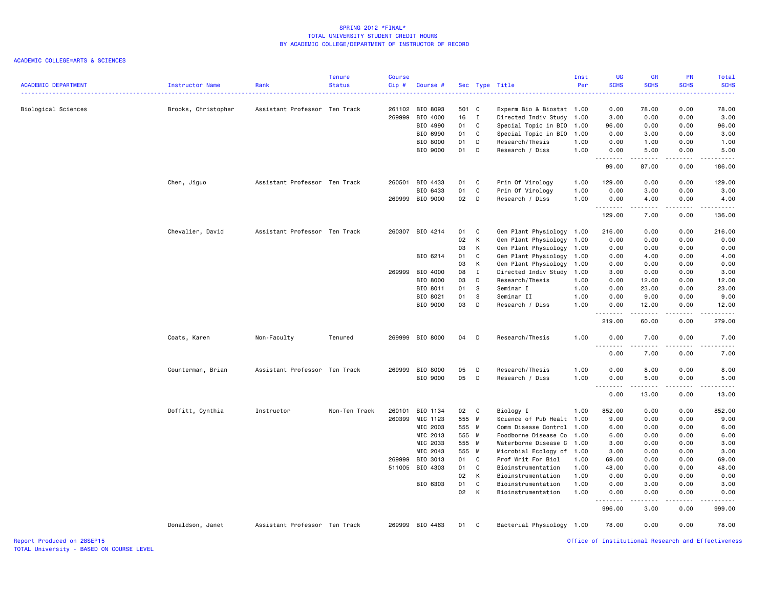## ACADEMIC COLLEGE=ARTS & SCIENCES

| <b>ACADEMIC DEPARTMENT</b> | <b>Instructor Name</b> | Rank                          | <b>Tenure</b><br><b>Status</b> | <b>Course</b><br>Cip# | Course #             |          |              | Sec Type Title                           | Inst<br>Per  | <b>UG</b><br><b>SCHS</b> | <b>GR</b><br><b>SCHS</b> | PR<br><b>SCHS</b>           | Total<br><b>SCHS</b> |
|----------------------------|------------------------|-------------------------------|--------------------------------|-----------------------|----------------------|----------|--------------|------------------------------------------|--------------|--------------------------|--------------------------|-----------------------------|----------------------|
| Biological Sciences        | Brooks, Christopher    | Assistant Professor Ten Track |                                |                       | 261102 BIO 8093      | 501 C    |              | Experm Bio & Biostat 1.00                |              | 0.00                     | 78.00                    | 0.00                        | 78.00                |
|                            |                        |                               |                                | 269999                | BIO 4000             | 16 I     |              | Directed Indiv Study                     | 1.00         | 3.00                     | 0.00                     | 0.00                        | 3.00                 |
|                            |                        |                               |                                |                       | BIO 4990             | 01       | C            | Special Topic in BIO                     | 1.00         | 96.00                    | 0.00                     | 0.00                        | 96.00                |
|                            |                        |                               |                                |                       | BIO 6990             | 01       | C            | Special Topic in BIO                     | 1.00         | 0.00                     | 3.00                     | 0.00                        | 3.00                 |
|                            |                        |                               |                                |                       | BIO 8000<br>BIO 9000 | 01<br>01 | D<br>D       | Research/Thesis<br>Research / Diss       | 1.00<br>1.00 | 0.00<br>0.00             | 1.00<br>5.00             | 0.00<br>0.00                | 1.00<br>5.00         |
|                            |                        |                               |                                |                       |                      |          |              |                                          |              | .<br>99.00               | .<br>87.00               | .<br>0.00                   | والمستبدات<br>186.00 |
|                            |                        | Assistant Professor Ten Track |                                |                       | 260501 BIO 4433      | 01       | C            | Prin Of Virology                         | 1.00         | 129.00                   | 0.00                     | 0.00                        | 129.00               |
|                            | Chen, Jiguo            |                               |                                |                       | BIO 6433             | 01       | C            | Prin Of Virology                         | 1.00         | 0.00                     | 3.00                     | 0.00                        | 3.00                 |
|                            |                        |                               |                                |                       | 269999 BIO 9000      | 02       | D            | Research / Diss                          | 1.00         | 0.00                     | 4.00                     | 0.00                        | 4.00                 |
|                            |                        |                               |                                |                       |                      |          |              |                                          |              | .                        | .                        | $\sim$ $\sim$ $\sim$ $\sim$ | .                    |
|                            |                        |                               |                                |                       |                      |          |              |                                          |              | 129.00                   | 7.00                     | 0.00                        | 136.00               |
|                            | Chevalier, David       | Assistant Professor Ten Track |                                |                       | 260307 BIO 4214      | 01       | C            | Gen Plant Physiology                     | 1.00         | 216.00                   | 0.00                     | 0.00                        | 216.00               |
|                            |                        |                               |                                |                       |                      | 02       | К            | Gen Plant Physiology                     | 1.00         | 0.00                     | 0.00                     | 0.00                        | 0.00                 |
|                            |                        |                               |                                |                       |                      | 03       | K            | Gen Plant Physiology                     | 1.00         | 0.00                     | 0.00                     | 0.00                        | 0.00                 |
|                            |                        |                               |                                |                       | BIO 6214             | 01       | C            | Gen Plant Physiology                     | 1.00         | 0.00                     | 4.00                     | 0.00                        | 4.00                 |
|                            |                        |                               |                                |                       |                      | 03       | Κ            | Gen Plant Physiology                     | 1.00         | 0.00                     | 0.00                     | 0.00                        | 0.00                 |
|                            |                        |                               |                                |                       | 269999 BIO 4000      | 08       | $\mathbf{I}$ | Directed Indiv Study                     | 1.00         | 3.00                     | 0.00                     | 0.00                        | 3.00                 |
|                            |                        |                               |                                |                       | BIO 8000             | 03       | D            | Research/Thesis                          | 1.00         | 0.00                     | 12.00                    | 0.00                        | 12.00                |
|                            |                        |                               |                                |                       | BIO 8011             | 01       | S            | Seminar I                                | 1.00         | 0.00                     | 23.00                    | 0.00                        | 23.00                |
|                            |                        |                               |                                |                       | BIO 8021             | 01       | S            | Seminar II                               | 1.00         | 0.00                     | 9.00                     | 0.00                        | 9.00                 |
|                            |                        |                               |                                |                       | BIO 9000             | 03       | D            | Research / Diss                          | 1.00         | 0.00<br>.                | 12.00                    | 0.00<br>$   -$              | 12.00<br>.           |
|                            |                        |                               |                                |                       |                      |          |              |                                          |              | 219.00                   | 60.00                    | 0.00                        | 279.00               |
|                            | Coats, Karen           | Non-Faculty                   | Tenured                        |                       | 269999 BIO 8000      | 04       | D            | Research/Thesis                          | 1.00         | 0.00                     | 7.00                     | 0.00                        | 7.00<br>.            |
|                            |                        |                               |                                |                       |                      |          |              |                                          |              | 0.00                     | 7.00                     | 0.00                        | 7.00                 |
|                            | Counterman, Brian      | Assistant Professor Ten Track |                                | 269999                | BIO 8000             | 05       | D            | Research/Thesis                          | 1.00         | 0.00                     | 8.00                     | 0.00                        | 8.00                 |
|                            |                        |                               |                                |                       | BIO 9000             | 05       | D            | Research / Diss                          | 1.00         | 0.00                     | 5.00                     | 0.00                        | 5.00                 |
|                            |                        |                               |                                |                       |                      |          |              |                                          |              | .                        | .                        | $\frac{1}{2}$               | $\frac{1}{2}$        |
|                            |                        |                               |                                |                       |                      |          |              |                                          |              | 0.00                     | 13.00                    | 0.00                        | 13.00                |
|                            | Doffitt, Cynthia       | Instructor                    | Non-Ten Track                  | 260101                | BIO 1134             | 02 C     |              | Biology I                                | 1.00         | 852.00                   | 0.00                     | 0.00                        | 852.00               |
|                            |                        |                               |                                | 260399                | MIC 1123             | 555 M    |              | Science of Pub Healt 1.00                |              | 9.00                     | 0.00                     | 0.00                        | 9.00                 |
|                            |                        |                               |                                |                       | MIC 2003             | 555 M    |              | Comm Disease Control                     | 1.00         | 6.00                     | 0.00                     | 0.00                        | 6.00                 |
|                            |                        |                               |                                |                       | MIC 2013             | 555 M    |              | Foodborne Disease Co                     | 1.00         | 6.00                     | 0.00                     | 0.00                        | 6.00                 |
|                            |                        |                               |                                |                       | MIC 2033             | 555 M    |              | Waterborne Disease C                     | 1.00         | 3.00                     | 0.00                     | 0.00                        | 3.00                 |
|                            |                        |                               |                                |                       | MIC 2043             | 555 M    |              | Microbial Ecology of                     | 1.00         | 3.00                     | 0.00                     | 0.00                        | 3.00                 |
|                            |                        |                               |                                | 269999                | BIO 3013             | 01       | C.           | Prof Writ For Biol                       | 1.00         | 69.00                    | 0.00                     | 0.00                        | 69.00                |
|                            |                        |                               |                                | 511005                | BIO 4303             | 01       | C            | Bioinstrumentation                       | 1.00         | 48.00                    | 0.00                     | 0.00                        | 48.00                |
|                            |                        |                               |                                |                       |                      | 02       | К            | Bioinstrumentation                       | 1.00         | 0.00                     | 0.00                     | 0.00                        | 0.00                 |
|                            |                        |                               |                                |                       | BIO 6303             | 01<br>02 | C<br>K       | Bioinstrumentation<br>Bioinstrumentation | 1.00<br>1.00 | 0.00<br>0.00             | 3.00<br>0.00             | 0.00<br>0.00                | 3.00<br>0.00         |
|                            |                        |                               |                                |                       |                      |          |              |                                          |              | <u>.</u>                 | .                        | $\frac{1}{2}$               | .                    |
|                            |                        |                               |                                |                       |                      |          |              |                                          |              | 996.00                   | 3.00                     | 0.00                        | 999.00               |
|                            | Donaldson, Janet       | Assistant Professor Ten Track |                                |                       | 269999 BIO 4463      | 01 C     |              | Bacterial Physiology 1.00                |              | 78.00                    | 0.00                     | 0.00                        | 78.00                |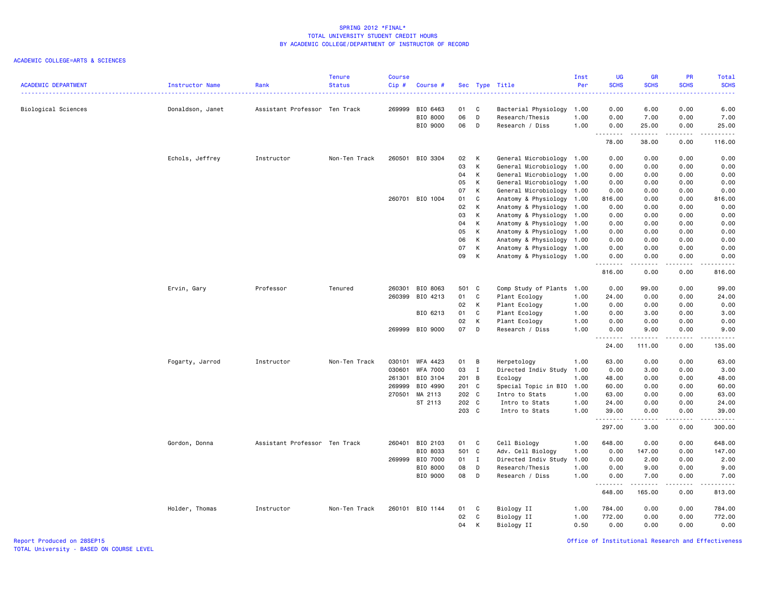## ACADEMIC COLLEGE=ARTS & SCIENCES

|                            |                        |                               | <b>Tenure</b> | <b>Course</b> |                 |        |                |                           | Inst | <b>UG</b>        | <b>GR</b>        | PR              | Total               |
|----------------------------|------------------------|-------------------------------|---------------|---------------|-----------------|--------|----------------|---------------------------|------|------------------|------------------|-----------------|---------------------|
| <b>ACADEMIC DEPARTMENT</b> | <b>Instructor Name</b> | Rank                          | <b>Status</b> | Cip#          | Course #        |        |                | Sec Type Title            | Per  | <b>SCHS</b>      | <b>SCHS</b>      | <b>SCHS</b>     | <b>SCHS</b>         |
| Biological Sciences        | Donaldson, Janet       | Assistant Professor Ten Track |               | 269999        | BIO 6463        | 01     | C              | Bacterial Physiology      | 1.00 | 0.00             | 6.00             | 0.00            | 6.00                |
|                            |                        |                               |               |               | BIO 8000        | 06     | D              | Research/Thesis           | 1.00 | 0.00             | 7.00             | 0.00            | 7.00                |
|                            |                        |                               |               |               | BIO 9000        | 06     | D              | Research / Diss           | 1.00 | 0.00             | 25.00            | 0.00            | 25.00               |
|                            |                        |                               |               |               |                 |        |                |                           |      | .<br>78.00       | -----<br>38.00   | .<br>0.00       | د د د د د<br>116.00 |
|                            | Echols, Jeffrey        | Instructor                    | Non-Ten Track |               | 260501 BIO 3304 | 02     | К              | General Microbiology 1.00 |      | 0.00             | 0.00             | 0.00            | 0.00                |
|                            |                        |                               |               |               |                 | 03     | К              | General Microbiology      | 1.00 | 0.00             | 0.00             | 0.00            | 0.00                |
|                            |                        |                               |               |               |                 | 04     | К              | General Microbiology      | 1.00 | 0.00             | 0.00             | 0.00            | 0.00                |
|                            |                        |                               |               |               |                 | 05     | К              | General Microbiology 1.00 |      | 0.00             | 0.00             | 0.00            | 0.00                |
|                            |                        |                               |               |               |                 | 07     | K              | General Microbiology      | 1.00 | 0.00             | 0.00             | 0.00            | 0.00                |
|                            |                        |                               |               |               | 260701 BIO 1004 | 01     | C              | Anatomy & Physiology      | 1.00 | 816.00           | 0.00             | 0.00            | 816.00              |
|                            |                        |                               |               |               |                 | 02     | К              | Anatomy & Physiology      | 1.00 | 0.00             | 0.00             | 0.00            | 0.00                |
|                            |                        |                               |               |               |                 | 03     | K              | Anatomy & Physiology      | 1.00 | 0.00             | 0.00             | 0.00            | 0.00                |
|                            |                        |                               |               |               |                 | 04     | к              | Anatomy & Physiology      | 1.00 | 0.00             | 0.00             | 0.00            | 0.00                |
|                            |                        |                               |               |               |                 | 05     | К              | Anatomy & Physiology      | 1.00 | 0.00             | 0.00             | 0.00            | 0.00                |
|                            |                        |                               |               |               |                 | 06     | K              | Anatomy & Physiology      | 1.00 | 0.00             | 0.00             | 0.00            | 0.00                |
|                            |                        |                               |               |               |                 | 07     | K              | Anatomy & Physiology      | 1.00 | 0.00             | 0.00             | 0.00            | 0.00                |
|                            |                        |                               |               |               |                 | 09     | К              | Anatomy & Physiology 1.00 |      | 0.00<br><u>.</u> | 0.00<br>.        | 0.00<br>.       | 0.00<br>.           |
|                            |                        |                               |               |               |                 |        |                |                           |      | 816.00           | 0.00             | 0.00            | 816.00              |
|                            | Ervin, Gary            | Professor                     | Tenured       |               | 260301 BIO 8063 | 501 C  |                | Comp Study of Plants 1.00 |      | 0.00             | 99.00            | 0.00            | 99.00               |
|                            |                        |                               |               | 260399        | BIO 4213        | 01     | C              | Plant Ecology             | 1.00 | 24.00            | 0.00             | 0.00            | 24.00               |
|                            |                        |                               |               |               |                 | 02     | К              | Plant Ecology             | 1.00 | 0.00             | 0.00             | 0.00            | 0.00                |
|                            |                        |                               |               |               | BIO 6213        | 01     | $\mathbf c$    | Plant Ecology             | 1.00 | 0.00             | 3.00             | 0.00            | 3.00                |
|                            |                        |                               |               |               |                 | 02     | К              | Plant Ecology             | 1.00 | 0.00             | 0.00             | 0.00            | 0.00                |
|                            |                        |                               |               |               | 269999 BIO 9000 | 07     | D              | Research / Diss           | 1.00 | 0.00<br>.        | 9.00<br><u>.</u> | 0.00<br>د د د د | 9.00<br>.           |
|                            |                        |                               |               |               |                 |        |                |                           |      | 24.00            | 111.00           | 0.00            | 135.00              |
|                            | Fogarty, Jarrod        | Instructor                    | Non-Ten Track |               | 030101 WFA 4423 | 01     | $\overline{B}$ | Herpetology               | 1.00 | 63.00            | 0.00             | 0.00            | 63.00               |
|                            |                        |                               |               | 030601        | <b>WFA 7000</b> | 03     | $\mathbf{I}$   | Directed Indiv Study      | 1.00 | 0.00             | 3.00             | 0.00            | 3.00                |
|                            |                        |                               |               | 261301        | BIO 3104        | 201 B  |                | Ecology                   | 1.00 | 48.00            | 0.00             | 0.00            | 48.00               |
|                            |                        |                               |               | 269999        | BIO 4990        | 201 C  |                | Special Topic in BIO 1.00 |      | 60.00            | 0.00             | 0.00            | 60.00               |
|                            |                        |                               |               | 270501        | MA 2113         | 202 C  |                | Intro to Stats            | 1.00 | 63.00            | 0.00             | 0.00            | 63.00               |
|                            |                        |                               |               |               | ST 2113         | 202 C  |                | Intro to Stats            | 1.00 | 24.00            | 0.00             | 0.00            | 24.00               |
|                            |                        |                               |               |               |                 | 203 C  |                | Intro to Stats            | 1.00 | 39.00<br>.       | 0.00<br>.        | 0.00<br>.       | 39.00<br><b></b>    |
|                            |                        |                               |               |               |                 |        |                |                           |      | 297.00           | 3.00             | 0.00            | 300.00              |
|                            | Gordon, Donna          | Assistant Professor Ten Track |               | 260401        | BIO 2103        | 01     | C              | Cell Biology              | 1.00 | 648.00           | 0.00             | 0.00            | 648.00              |
|                            |                        |                               |               |               | BIO 8033        | 501 C  |                | Adv. Cell Biology         | 1.00 | 0.00             | 147.00           | 0.00            | 147.00              |
|                            |                        |                               |               |               | 269999 BIO 7000 | $01$ I |                | Directed Indiv Study      | 1.00 | 0.00             | 2.00             | 0.00            | 2.00                |
|                            |                        |                               |               |               | BIO 8000        | 08     | D              | Research/Thesis           | 1.00 | 0.00             | 9.00             | 0.00            | 9.00                |
|                            |                        |                               |               |               | BIO 9000        | 08     | D              | Research / Diss           | 1.00 | 0.00<br><u>.</u> | 7.00<br>.        | 0.00<br>.       | 7.00<br>.           |
|                            |                        |                               |               |               |                 |        |                |                           |      | 648.00           | 165.00           | 0.00            | 813.00              |
|                            | Holder, Thomas         | Instructor                    | Non-Ten Track |               | 260101 BIO 1144 | 01     | C              | Biology II                | 1.00 | 784.00           | 0.00             | 0.00            | 784.00              |
|                            |                        |                               |               |               |                 | 02     | C              | Biology II                | 1.00 | 772.00           | 0.00             | 0.00            | 772.00              |
|                            |                        |                               |               |               |                 | 04     | K              | Biology II                | 0.50 | 0.00             | 0.00             | 0.00            | 0.00                |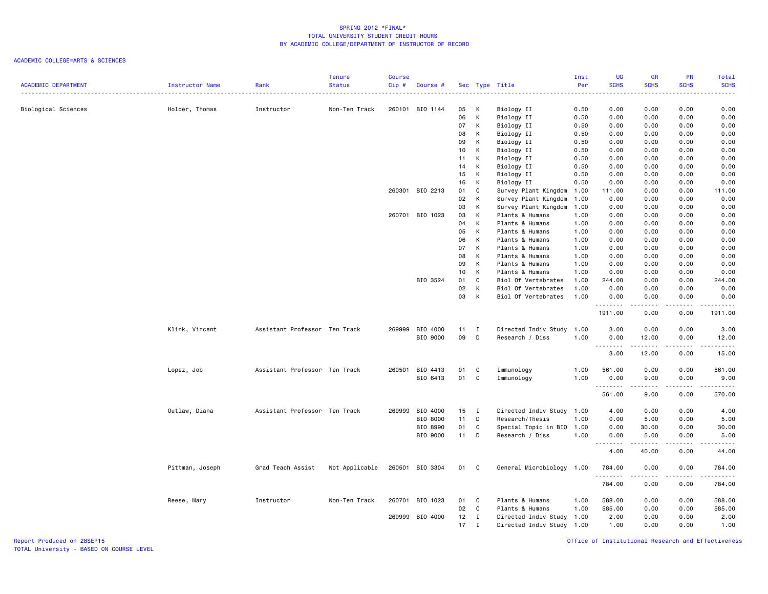# ACADEMIC COLLEGE=ARTS & SCIENCES

|                            |                 |                               | <b>Tenure</b>  | <b>Course</b> |                 |                 |              |                           | Inst | UG           | <b>GR</b>          | PR            | Total                                       |
|----------------------------|-----------------|-------------------------------|----------------|---------------|-----------------|-----------------|--------------|---------------------------|------|--------------|--------------------|---------------|---------------------------------------------|
| <b>ACADEMIC DEPARTMENT</b> | Instructor Name | Rank                          | <b>Status</b>  | Cip#          | Course #        |                 |              | Sec Type Title            | Per  | <b>SCHS</b>  | <b>SCHS</b>        | <b>SCHS</b>   | <b>SCHS</b>                                 |
|                            |                 |                               |                |               |                 |                 |              |                           |      |              |                    |               |                                             |
| Biological Sciences        | Holder, Thomas  | Instructor                    | Non-Ten Track  |               | 260101 BIO 1144 | 05              | К            | Biology II                | 0.50 | 0.00         | 0.00               | 0.00          | 0.00                                        |
|                            |                 |                               |                |               |                 | 06              | К            | Biology II                | 0.50 | 0.00         | 0.00               | 0.00          | 0.00                                        |
|                            |                 |                               |                |               |                 | 07              | К            | Biology II                | 0.50 | 0.00         | 0.00               | 0.00          | 0.00                                        |
|                            |                 |                               |                |               |                 | 08              | K            | Biology II                | 0.50 | 0.00         | 0.00               | 0.00          | 0.00                                        |
|                            |                 |                               |                |               |                 | 09              | K            | Biology II                | 0.50 | 0.00         | 0.00               | 0.00          | 0.00                                        |
|                            |                 |                               |                |               |                 | 10              | K            | Biology II                | 0.50 | 0.00         | 0.00               | 0.00          | 0.00                                        |
|                            |                 |                               |                |               |                 | 11              | К            | Biology II                | 0.50 | 0.00         | 0.00               | 0.00          | 0.00                                        |
|                            |                 |                               |                |               |                 | 14              | K            | Biology II                | 0.50 | 0.00         | 0.00               | 0.00          | 0.00                                        |
|                            |                 |                               |                |               |                 | 15              | K            | Biology II                | 0.50 | 0.00         | 0.00               | 0.00          | 0.00                                        |
|                            |                 |                               |                |               |                 | 16              | К            | Biology II                | 0.50 | 0.00         | 0.00               | 0.00          | 0.00                                        |
|                            |                 |                               |                |               | 260301 BIO 2213 | 01              | C            | Survey Plant Kingdom      | 1.00 | 111.00       | 0.00               | 0.00          | 111.00                                      |
|                            |                 |                               |                |               |                 | 02              | K            | Survey Plant Kingdom      | 1.00 | 0.00         | 0.00               | 0.00          | 0.00                                        |
|                            |                 |                               |                |               |                 | 03              | к            | Survey Plant Kingdom      | 1.00 | 0.00         | 0.00               | 0.00          | 0.00                                        |
|                            |                 |                               |                |               | 260701 BIO 1023 | 03              | K            | Plants & Humans           | 1.00 | 0.00         | 0.00               | 0.00          | 0.00                                        |
|                            |                 |                               |                |               |                 | 04              | K            | Plants & Humans           | 1.00 | 0.00         | 0.00               | 0.00          | 0.00                                        |
|                            |                 |                               |                |               |                 | 05              | K            | Plants & Humans           | 1.00 | 0.00         | 0.00               | 0.00          | 0.00                                        |
|                            |                 |                               |                |               |                 | 06              | K            | Plants & Humans           | 1.00 | 0.00         | 0.00               | 0.00          | 0.00                                        |
|                            |                 |                               |                |               |                 | 07              | к            | Plants & Humans           | 1.00 | 0.00         | 0.00               | 0.00          | 0.00                                        |
|                            |                 |                               |                |               |                 | 08              | K            | Plants & Humans           | 1.00 | 0.00         | 0.00               | 0.00          | 0.00                                        |
|                            |                 |                               |                |               |                 | 09              | K            | Plants & Humans           | 1.00 | 0.00         | 0.00               | 0.00          | 0.00                                        |
|                            |                 |                               |                |               |                 | 10 <sub>1</sub> | K            | Plants & Humans           | 1.00 | 0.00         | 0.00               | 0.00          | 0.00                                        |
|                            |                 |                               |                |               | BIO 3524        | 01              | C            | Biol Of Vertebrates       | 1.00 | 244.00       | 0.00               | 0.00          | 244.00                                      |
|                            |                 |                               |                |               |                 | 02              | K            | Biol Of Vertebrates       | 1.00 | 0.00         | 0.00               | 0.00          | 0.00                                        |
|                            |                 |                               |                |               |                 | 03              | K            | Biol Of Vertebrates       | 1.00 | 0.00         | 0.00               | 0.00          | 0.00                                        |
|                            |                 |                               |                |               |                 |                 |              |                           |      | .<br>1911.00 | -----<br>0.00      | -----<br>0.00 | 1911.00                                     |
|                            | Klink, Vincent  | Assistant Professor Ten Track |                |               | 269999 BIO 4000 | 11              | $\mathbf{I}$ | Directed Indiv Study      | 1.00 | 3.00         | 0.00               | 0.00          | 3.00                                        |
|                            |                 |                               |                |               | BIO 9000        | 09              | D            | Research / Diss           | 1.00 | 0.00         | 12.00              | 0.00          | 12.00                                       |
|                            |                 |                               |                |               |                 |                 |              |                           |      |              | .                  | .             | .                                           |
|                            |                 |                               |                |               |                 |                 |              |                           |      | 3.00         | 12.00              | 0.00          | 15.00                                       |
|                            | Lopez, Job      | Assistant Professor Ten Track |                |               | 260501 BIO 4413 | 01              | C            | Immunology                | 1.00 | 561,00       | 0.00               | 0.00          | 561.00                                      |
|                            |                 |                               |                |               | BIO 6413        | 01              | $\mathbf{C}$ | Immunology                | 1.00 | 0.00         | 9.00               | 0.00          | 9.00                                        |
|                            |                 |                               |                |               |                 |                 |              |                           |      | <u>.</u>     |                    | .             | .                                           |
|                            |                 |                               |                |               |                 |                 |              |                           |      | 561.00       | 9.00               | 0.00          | 570.00                                      |
|                            | Outlaw, Diana   | Assistant Professor Ten Track |                |               | 269999 BIO 4000 | $15$ I          |              | Directed Indiv Study 1.00 |      | 4.00         | 0.00               | 0.00          | 4.00                                        |
|                            |                 |                               |                |               | BIO 8000        | 11              | D            | Research/Thesis           | 1.00 | 0.00         | 5.00               | 0.00          | 5.00                                        |
|                            |                 |                               |                |               | BIO 8990        | 01              | C            | Special Topic in BIO      | 1.00 | 0.00         | 30.00              | 0.00          | 30.00                                       |
|                            |                 |                               |                |               | BIO 9000        | 11              | D            | Research / Diss           | 1.00 | 0.00         | 5.00               | 0.00          | 5.00                                        |
|                            |                 |                               |                |               |                 |                 |              |                           |      | .<br>4.00    | المتمامين<br>40.00 | .<br>0.00     | $\sim$ $\sim$ $\sim$ $\sim$ $\sim$<br>44.00 |
|                            | Pittman, Joseph | Grad Teach Assist             | Not Applicable |               | 260501 BIO 3304 | 01 C            |              | General Microbiology      | 1.00 | 784.00       | 0.00               | 0.00          | 784.00                                      |
|                            |                 |                               |                |               |                 |                 |              |                           |      | .<br>784.00  | .<br>0.00          | .<br>0.00     | ------<br>784.00                            |
|                            | Reese, Mary     | Instructor                    | Non-Ten Track  |               | 260701 BIO 1023 | 01              | C            | Plants & Humans           | 1.00 | 588.00       | 0.00               | 0.00          | 588.00                                      |
|                            |                 |                               |                |               |                 | 02              | $\mathbf{C}$ | Plants & Humans           | 1.00 | 585.00       | 0.00               | 0.00          | 585.00                                      |
|                            |                 |                               |                |               | 269999 BIO 4000 | $12 \quad I$    |              | Directed Indiv Study      | 1.00 | 2.00         | 0.00               | 0.00          | 2.00                                        |
|                            |                 |                               |                |               |                 | 17              | $\mathbf{I}$ | Directed Indiv Study 1.00 |      | 1.00         | 0.00               | 0.00          | 1.00                                        |
|                            |                 |                               |                |               |                 |                 |              |                           |      |              |                    |               |                                             |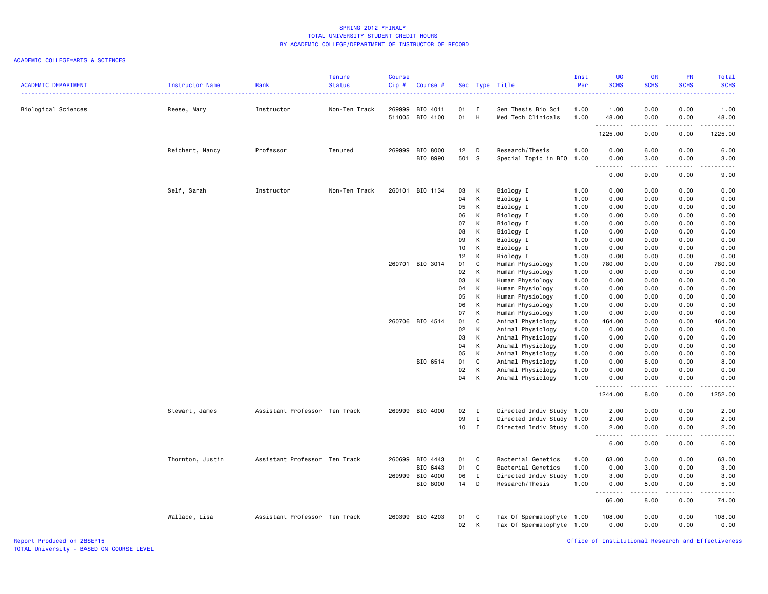# ACADEMIC COLLEGE=ARTS & SCIENCES

| <b>ACADEMIC DEPARTMENT</b> | Instructor Name  | Rank                          | <b>Tenure</b><br><b>Status</b> | <b>Course</b><br>Cip# | Course #                    |                 |              | Sec Type Title                           | Inst<br>Per  | UG<br><b>SCHS</b> | <b>GR</b><br><b>SCHS</b> | PR<br><b>SCHS</b> | Total<br><b>SCHS</b> |
|----------------------------|------------------|-------------------------------|--------------------------------|-----------------------|-----------------------------|-----------------|--------------|------------------------------------------|--------------|-------------------|--------------------------|-------------------|----------------------|
| Biological Sciences        | Reese, Mary      | Instructor                    | Non-Ten Track                  | 269999                | BIO 4011<br>511005 BIO 4100 | 01<br>01        | I<br>H       | Sen Thesis Bio Sci<br>Med Tech Clinicals | 1.00<br>1.00 | 1.00<br>48.00     | 0.00<br>0.00             | 0.00<br>0.00      | 1.00<br>48.00        |
|                            |                  |                               |                                |                       |                             |                 |              |                                          |              | .                 | .                        | -----             | .                    |
|                            |                  |                               |                                |                       |                             |                 |              |                                          |              | 1225.00           | 0.00                     | 0.00              | 1225.00              |
|                            | Reichert, Nancy  | Professor                     | Tenured                        | 269999                | BIO 8000                    | 12              | D            | Research/Thesis                          | 1.00         | 0.00              | 6.00                     | 0.00              | 6.00                 |
|                            |                  |                               |                                |                       | BIO 8990                    | 501 S           |              | Special Topic in BIO 1.00                |              | 0.00<br>.         | 3.00<br>.                | 0.00<br>.         | 3.00<br>.            |
|                            |                  |                               |                                |                       |                             |                 |              |                                          |              | 0.00              | 9.00                     | 0.00              | 9.00                 |
|                            | Self, Sarah      | Instructor                    | Non-Ten Track                  |                       | 260101 BIO 1134             | 03              | К            | Biology I                                | 1.00         | 0.00              | 0.00                     | 0.00              | 0.00                 |
|                            |                  |                               |                                |                       |                             | 04              | K            | Biology I                                | 1.00         | 0.00              | 0.00                     | 0.00              | 0.00                 |
|                            |                  |                               |                                |                       |                             | 05              | $\sf K$      | Biology I                                | 1.00         | 0.00              | 0.00                     | 0.00              | 0.00                 |
|                            |                  |                               |                                |                       |                             | 06              | K            | Biology I                                | 1.00         | 0.00              | 0.00                     | 0.00              | 0.00                 |
|                            |                  |                               |                                |                       |                             | 07              | K            | Biology I                                | 1.00         | 0.00              | 0.00                     | 0.00              | 0.00                 |
|                            |                  |                               |                                |                       |                             | 08              | K            | Biology I                                | 1.00         | 0.00              | 0.00                     | 0.00              | 0.00                 |
|                            |                  |                               |                                |                       |                             | 09              | К            | Biology I                                | 1.00         | 0.00              | 0.00                     | 0.00              | 0.00                 |
|                            |                  |                               |                                |                       |                             | 10              | К            | Biology I                                | 1.00         | 0.00              | 0.00                     | 0.00              | 0.00                 |
|                            |                  |                               |                                |                       |                             | 12              | K            | Biology I                                | 1.00         | 0.00              | 0.00                     | 0.00              | 0.00                 |
|                            |                  |                               |                                |                       | 260701 BIO 3014             | 01              | $\mathbf c$  | Human Physiology                         | 1.00         | 780.00            | 0.00                     | 0.00              | 780.00               |
|                            |                  |                               |                                |                       |                             | 02              | K            | Human Physiology                         | 1.00         | 0.00              | 0.00                     | 0.00              | 0.00                 |
|                            |                  |                               |                                |                       |                             | 03              | K            | Human Physiology                         | 1.00         | 0.00              | 0.00                     | 0.00              | 0.00                 |
|                            |                  |                               |                                |                       |                             | 04              | K            | Human Physiology                         | 1.00         | 0.00              | 0.00                     | 0.00              | 0.00                 |
|                            |                  |                               |                                |                       |                             | 05              | K            | Human Physiology                         | 1.00         | 0.00              | 0.00                     | 0.00              | 0.00                 |
|                            |                  |                               |                                |                       |                             | 06              | К            | Human Physiology                         | 1.00         | 0.00              | 0.00                     | 0.00              | 0.00                 |
|                            |                  |                               |                                |                       |                             | 07              | K            | Human Physiology                         | 1.00         | 0.00              | 0.00                     | 0.00              | 0.00                 |
|                            |                  |                               |                                |                       | 260706 BIO 4514             | 01              | C            | Animal Physiology                        | 1.00         | 464.00            | 0.00                     | 0.00              | 464.00               |
|                            |                  |                               |                                |                       |                             | 02              | K            | Animal Physiology                        | 1.00         | 0.00              | 0.00                     | 0.00              | 0.00                 |
|                            |                  |                               |                                |                       |                             | 03              | К            | Animal Physiology                        | 1.00         | 0.00              | 0.00                     | 0.00              | 0.00                 |
|                            |                  |                               |                                |                       |                             | 04              | К            | Animal Physiology                        | 1.00         | 0.00              | 0.00                     | 0.00              | 0.00                 |
|                            |                  |                               |                                |                       |                             | 05              | K            | Animal Physiology                        | 1.00         | 0.00              | 0.00                     | 0.00              | 0.00                 |
|                            |                  |                               |                                |                       | BIO 6514                    | 01              | $\mathbf c$  | Animal Physiology                        | 1.00         | 0.00              | 8.00                     | 0.00              | 8.00                 |
|                            |                  |                               |                                |                       |                             | 02              | K            | Animal Physiology                        | 1.00         | 0.00              | 0.00                     | 0.00              | 0.00                 |
|                            |                  |                               |                                |                       |                             | 04              | К            | Animal Physiology                        | 1.00         | 0.00<br>.         | 0.00<br>.                | 0.00<br>.         | 0.00<br><u>.</u>     |
|                            |                  |                               |                                |                       |                             |                 |              |                                          |              | 1244.00           | 8.00                     | 0.00              | 1252.00              |
|                            | Stewart, James   | Assistant Professor Ten Track |                                |                       | 269999 BIO 4000             | 02              | $\mathbf{I}$ | Directed Indiv Study 1.00                |              | 2.00              | 0.00                     | 0.00              | 2.00                 |
|                            |                  |                               |                                |                       |                             | 09              | $\mathbf{I}$ | Directed Indiv Study 1.00                |              | 2.00              | 0.00                     | 0.00              | 2.00                 |
|                            |                  |                               |                                |                       |                             | 10 <sub>1</sub> | $\mathbf{I}$ | Directed Indiv Study 1.00                |              | 2.00<br><u>.</u>  | 0.00<br>.                | 0.00<br>.         | 2.00<br>.            |
|                            |                  |                               |                                |                       |                             |                 |              |                                          |              | 6.00              | 0.00                     | 0.00              | 6.00                 |
|                            | Thornton, Justin | Assistant Professor Ten Track |                                |                       | 260699 BIO 4443             | 01              | C            | Bacterial Genetics                       | 1.00         | 63.00             | 0.00                     | 0.00              | 63.00                |
|                            |                  |                               |                                |                       | BIO 6443                    | 01              | C            | Bacterial Genetics                       | 1.00         | 0.00              | 3.00                     | 0.00              | 3.00                 |
|                            |                  |                               |                                | 269999                | BIO 4000                    | 06              | $\mathbf I$  | Directed Indiv Study 1.00                |              | 3.00              | 0.00                     | 0.00              | 3.00                 |
|                            |                  |                               |                                |                       | BIO 8000                    | 14              | D            | Research/Thesis                          | 1.00         | 0.00              | 5.00<br>.                | 0.00<br>.         | 5.00                 |
|                            |                  |                               |                                |                       |                             |                 |              |                                          |              | .<br>66.00        | 8.00                     | 0.00              | .<br>74.00           |
|                            | Wallace, Lisa    | Assistant Professor Ten Track |                                |                       | 260399 BIO 4203             | 01              | C            | Tax Of Spermatophyte 1.00                |              | 108.00            | 0.00                     | 0.00              | 108.00               |
|                            |                  |                               |                                |                       |                             | 02 <sub>2</sub> | K            | Tax Of Spermatophyte 1.00                |              | 0.00              | 0.00                     | 0.00              | 0.00                 |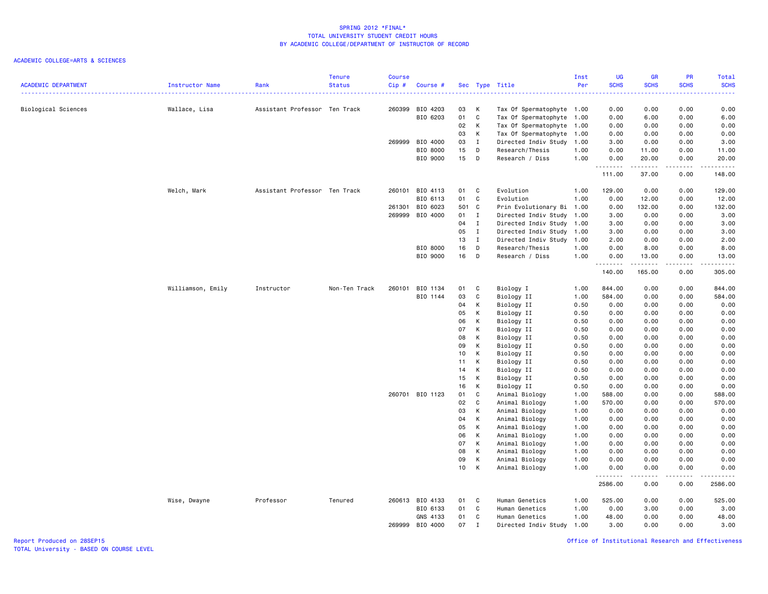## ACADEMIC COLLEGE=ARTS & SCIENCES

| <b>ACADEMIC DEPARTMENT</b> | Instructor Name   | Rank                          | <b>Tenure</b><br><b>Status</b> | Course<br>Cip# | Course #        |                 |              | Sec Type Title            | Inst<br>Per | <b>UG</b><br><b>SCHS</b> | <b>GR</b><br><b>SCHS</b> | PR<br><b>SCHS</b> | Total<br><b>SCHS</b> |
|----------------------------|-------------------|-------------------------------|--------------------------------|----------------|-----------------|-----------------|--------------|---------------------------|-------------|--------------------------|--------------------------|-------------------|----------------------|
|                            |                   |                               |                                |                |                 |                 |              |                           |             |                          |                          |                   |                      |
| Biological Sciences        | Wallace, Lisa     | Assistant Professor Ten Track |                                | 260399         | BIO 4203        | 03              | K            | Tax Of Spermatophyte 1.00 |             | 0.00                     | 0.00                     | 0.00              | 0.00                 |
|                            |                   |                               |                                |                | BIO 6203        | 01              | C            | Tax Of Spermatophyte 1.00 |             | 0.00                     | 6.00                     | 0.00              | 6.00                 |
|                            |                   |                               |                                |                |                 | 02              | K            | Tax Of Spermatophyte 1.00 |             | 0.00                     | 0.00                     | 0.00              | 0.00                 |
|                            |                   |                               |                                |                |                 | 03              | K            | Tax Of Spermatophyte 1.00 |             | 0.00                     | 0.00                     | 0.00              | 0.00                 |
|                            |                   |                               |                                |                | 269999 BIO 4000 | 03              | $\mathbf{I}$ | Directed Indiv Study      | 1.00        | 3.00                     | 0.00                     | 0.00              | 3.00                 |
|                            |                   |                               |                                |                | BIO 8000        | 15              | D            | Research/Thesis           | 1.00        | 0.00                     | 11.00                    | 0.00              | 11.00                |
|                            |                   |                               |                                |                | BIO 9000        | 15              | $\mathsf{D}$ | Research / Diss           | 1.00        | 0.00<br>.                | 20.00<br>.               | 0.00<br>د د د د   | 20.00<br>.           |
|                            |                   |                               |                                |                |                 |                 |              |                           |             | 111.00                   | 37.00                    | 0.00              | 148.00               |
|                            | Welch, Mark       | Assistant Professor Ten Track |                                |                | 260101 BIO 4113 | 01 C            |              | Evolution                 | 1.00        | 129.00                   | 0.00                     | 0.00              | 129.00               |
|                            |                   |                               |                                |                | BIO 6113        | 01              | C.           | Evolution                 | 1.00        | 0.00                     | 12.00                    | 0.00              | 12.00                |
|                            |                   |                               |                                | 261301         | BIO 6023        | 501 C           |              | Prin Evolutionary Bi 1.00 |             | 0.00                     | 132.00                   | 0.00              | 132.00               |
|                            |                   |                               |                                |                | 269999 BIO 4000 | 01              | $\mathbf{I}$ | Directed Indiv Study 1.00 |             | 3.00                     | 0.00                     | 0.00              | 3.00                 |
|                            |                   |                               |                                |                |                 | 04              | $\mathbf I$  | Directed Indiv Study 1.00 |             | 3.00                     | 0.00                     | 0.00              | 3.00                 |
|                            |                   |                               |                                |                |                 | 05              | $\mathbf{I}$ | Directed Indiv Study 1.00 |             | 3.00                     | 0.00                     | 0.00              | 3.00                 |
|                            |                   |                               |                                |                |                 | 13              | $\mathbf{I}$ | Directed Indiv Study      | 1.00        | 2.00                     | 0.00                     | 0.00              | 2.00                 |
|                            |                   |                               |                                |                | BIO 8000        | 16              | $\mathsf{D}$ | Research/Thesis           | 1.00        | 0.00                     | 8.00                     | 0.00              | 8.00                 |
|                            |                   |                               |                                |                | BIO 9000        | 16              | $\Box$       | Research / Diss           | 1.00        | 0.00<br>.                | 13.00<br>. <u>.</u>      | 0.00<br>.         | 13.00<br>.           |
|                            |                   |                               |                                |                |                 |                 |              |                           |             | 140.00                   | 165.00                   | 0.00              | 305.00               |
|                            | Williamson, Emily | Instructor                    | Non-Ten Track                  |                | 260101 BIO 1134 | 01 C            |              | Biology I                 | 1.00        | 844.00                   | 0.00                     | 0.00              | 844.00               |
|                            |                   |                               |                                |                | BIO 1144        | 03              | $\mathtt{C}$ | Biology II                | 1.00        | 584.00                   | 0.00                     | 0.00              | 584.00               |
|                            |                   |                               |                                |                |                 | 04              | К            | Biology II                | 0.50        | 0.00                     | 0.00                     | 0.00              | 0.00                 |
|                            |                   |                               |                                |                |                 | 05              | К            | Biology II                | 0.50        | 0.00                     | 0.00                     | 0.00              | 0.00                 |
|                            |                   |                               |                                |                |                 | 06              | К            | Biology II                | 0.50        | 0.00                     | 0.00                     | 0.00              | 0.00                 |
|                            |                   |                               |                                |                |                 | 07              | К            | Biology II                | 0.50        | 0.00                     | 0.00                     | 0.00              | 0.00                 |
|                            |                   |                               |                                |                |                 | 08              | К            | Biology II                | 0.50        | 0.00                     | 0.00                     | 0.00              | 0.00                 |
|                            |                   |                               |                                |                |                 | 09              | К            | Biology II                | 0.50        | 0.00                     | 0.00                     | 0.00              | 0.00                 |
|                            |                   |                               |                                |                |                 | 10              | К            | Biology II                | 0.50        | 0.00                     | 0.00                     | 0.00              | 0.00                 |
|                            |                   |                               |                                |                |                 | 11              | K            | Biology II                | 0.50        | 0.00                     | 0.00                     | 0.00              | 0.00                 |
|                            |                   |                               |                                |                |                 | 14              | К            | Biology II                | 0.50        | 0.00                     | 0.00                     | 0.00              | 0.00                 |
|                            |                   |                               |                                |                |                 | 15              | К            | Biology II                | 0.50        | 0.00                     | 0.00                     | 0.00              | 0.00                 |
|                            |                   |                               |                                |                |                 | 16              | K            | Biology II                | 0.50        | 0.00                     | 0.00                     | 0.00              | 0.00                 |
|                            |                   |                               |                                |                | 260701 BIO 1123 | 01              | C            | Animal Biology            | 1.00        | 588.00                   | 0.00                     | 0.00              | 588.00               |
|                            |                   |                               |                                |                |                 | 02              | C            | Animal Biology            | 1.00        | 570.00                   | 0.00                     | 0.00              | 570.00               |
|                            |                   |                               |                                |                |                 | 03              | K            | Animal Biology            | 1.00        | 0.00                     | 0.00                     | 0.00              | 0.00                 |
|                            |                   |                               |                                |                |                 | 04              | К            | Animal Biology            | 1.00        | 0.00                     | 0.00                     | 0.00              | 0.00                 |
|                            |                   |                               |                                |                |                 | 05              | К            | Animal Biology            | 1.00        | 0.00                     | 0.00                     | 0.00              | 0.00                 |
|                            |                   |                               |                                |                |                 | 06              | К            | Animal Biology            | 1.00        | 0.00                     | 0.00                     | 0.00              | 0.00                 |
|                            |                   |                               |                                |                |                 | 07              | К            | Animal Biology            | 1.00        | 0.00                     | 0.00                     | 0.00              | 0.00                 |
|                            |                   |                               |                                |                |                 | 08              | К            | Animal Biology            | 1.00        | 0.00                     | 0.00                     | 0.00              | 0.00                 |
|                            |                   |                               |                                |                |                 | 09              | К            | Animal Biology            | 1.00        | 0.00                     | 0.00                     | 0.00              | 0.00                 |
|                            |                   |                               |                                |                |                 | 10 <sup>1</sup> | K            | Animal Biology            | 1.00        | 0.00<br>.                | 0.00<br>.                | 0.00<br>د د د د   | 0.00<br>د د د د د    |
|                            |                   |                               |                                |                |                 |                 |              |                           |             | 2586.00                  | 0.00                     | 0.00              | 2586.00              |
|                            | Wise, Dwayne      | Professor                     | Tenured                        |                | 260613 BIO 4133 | 01              | $\mathbf{C}$ | Human Genetics            | 1.00        | 525.00                   | 0.00                     | 0.00              | 525.00               |
|                            |                   |                               |                                |                | BIO 6133        | 01              | $\mathbf{C}$ | Human Genetics            | 1.00        | 0.00                     | 3.00                     | 0.00              | 3.00                 |
|                            |                   |                               |                                |                | GNS 4133        | 01              | C            | Human Genetics            | 1.00        | 48.00                    | 0.00                     | 0.00              | 48.00                |
|                            |                   |                               |                                | 269999         | BIO 4000        | 07              | $\mathbf I$  | Directed Indiv Study      | 1.00        | 3.00                     | 0.00                     | 0.00              | 3.00                 |

Office of Institutional Research and Effectiveness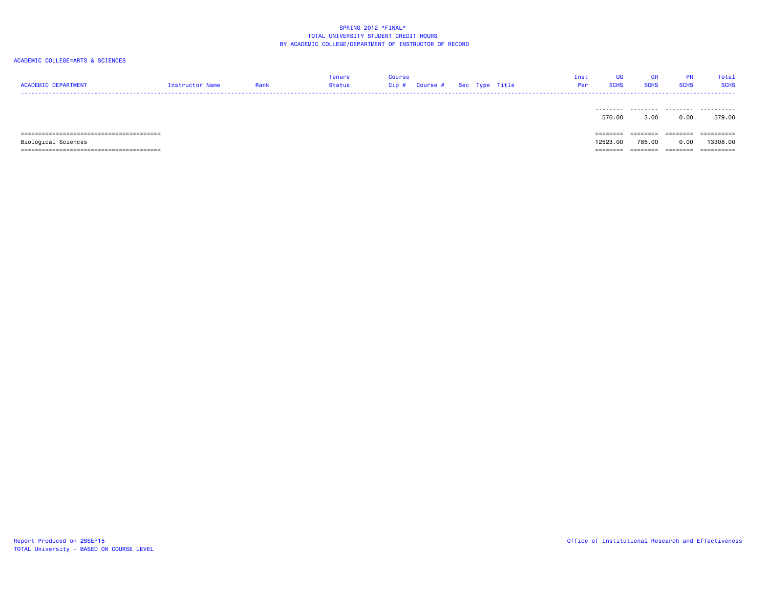| <b>ACADEMIC DEPARTMENT</b> | Instructor Name | Rank | Tenure<br>Status | Course<br>Course # Sec Type Title<br>Cip# |  |  | Inst | UG<br><b>SCHS</b><br>Per | <b>GR</b><br><b>SCHS</b> | PR<br><b>SCHS</b> | Total<br><b>SCHS</b> |
|----------------------------|-----------------|------|------------------|-------------------------------------------|--|--|------|--------------------------|--------------------------|-------------------|----------------------|
|                            |                 |      |                  |                                           |  |  |      | .<br>576.00              | .<br>3.00                | .<br>0.00         | .<br>579.00          |
|                            |                 |      |                  |                                           |  |  |      | ========                 | ========                 | ========          | ==========           |
| Biological Sciences        |                 |      |                  |                                           |  |  |      | 12523.00                 | 785.00                   | 0.00              | 13308.00             |
|                            |                 |      |                  |                                           |  |  |      | ========                 | ========                 | ========          | ==========           |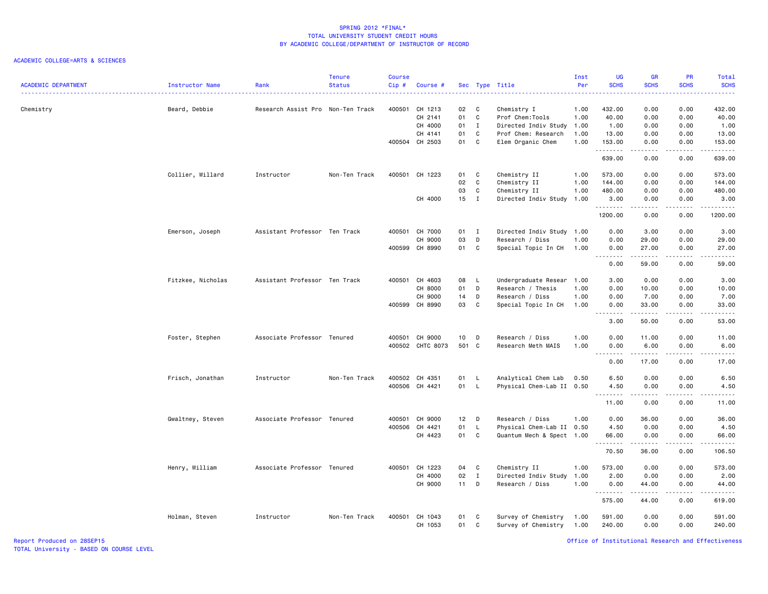## ACADEMIC COLLEGE=ARTS & SCIENCES

| <b>ACADEMIC DEPARTMENT</b> | Instructor Name   | Rank                              | <b>Tenure</b><br><b>Status</b> | <b>Course</b><br>Cip# | Course #         |        |              | Sec Type Title            | Inst<br>Per | <b>UG</b><br><b>SCHS</b> | <b>GR</b><br><b>SCHS</b>                                                                                                                                      | PR<br><b>SCHS</b> | Total<br><b>SCHS</b>                                                                                                                                          |
|----------------------------|-------------------|-----------------------------------|--------------------------------|-----------------------|------------------|--------|--------------|---------------------------|-------------|--------------------------|---------------------------------------------------------------------------------------------------------------------------------------------------------------|-------------------|---------------------------------------------------------------------------------------------------------------------------------------------------------------|
|                            |                   |                                   |                                |                       |                  |        |              |                           |             |                          |                                                                                                                                                               |                   |                                                                                                                                                               |
| Chemistry                  | Beard, Debbie     | Research Assist Pro Non-Ten Track |                                |                       | 400501 CH 1213   | 02     | C            | Chemistry I               | 1.00        | 432.00                   | 0.00                                                                                                                                                          | 0.00              | 432.00                                                                                                                                                        |
|                            |                   |                                   |                                |                       | CH 2141          | 01     | $\mathbf{C}$ | Prof Chem:Tools           | 1.00        | 40.00                    | 0.00                                                                                                                                                          | 0.00              | 40.00                                                                                                                                                         |
|                            |                   |                                   |                                |                       | CH 4000          | 01 I   |              | Directed Indiv Study      | 1.00        | 1.00                     | 0.00                                                                                                                                                          | 0.00              | 1.00                                                                                                                                                          |
|                            |                   |                                   |                                |                       | CH 4141          | 01     | C            | Prof Chem: Research       | 1.00        | 13.00                    | 0.00                                                                                                                                                          | 0.00              | 13.00                                                                                                                                                         |
|                            |                   |                                   |                                |                       | 400504 CH 2503   | 01     | C            | Elem Organic Chem         | 1.00        | 153.00<br>.              | 0.00<br>.                                                                                                                                                     | 0.00<br>.         | 153.00<br>$\omega$ is a single                                                                                                                                |
|                            |                   |                                   |                                |                       |                  |        |              |                           |             | 639.00                   | 0.00                                                                                                                                                          | 0.00              | 639.00                                                                                                                                                        |
|                            | Collier, Willard  | Instructor                        | Non-Ten Track                  | 400501                | CH 1223          | 01 C   |              | Chemistry II              | 1.00        | 573.00                   | 0.00                                                                                                                                                          | 0.00              | 573.00                                                                                                                                                        |
|                            |                   |                                   |                                |                       |                  | 02     | $\mathbf{C}$ | Chemistry II              | 1.00        | 144.00                   | 0.00                                                                                                                                                          | 0.00              | 144.00                                                                                                                                                        |
|                            |                   |                                   |                                |                       |                  | 03     | C            | Chemistry II              | 1.00        | 480.00                   | 0.00                                                                                                                                                          | 0.00              | 480.00                                                                                                                                                        |
|                            |                   |                                   |                                |                       | CH 4000          | 15 I   |              | Directed Indiv Study      | 1.00        | 3.00<br>.                | 0.00<br>.                                                                                                                                                     | 0.00<br>.         | 3.00<br>.                                                                                                                                                     |
|                            |                   |                                   |                                |                       |                  |        |              |                           |             | 1200.00                  | 0.00                                                                                                                                                          | 0.00              | 1200.00                                                                                                                                                       |
|                            | Emerson, Joseph   | Assistant Professor Ten Track     |                                |                       | 400501 CH 7000   | 01 I   |              | Directed Indiv Study 1.00 |             | 0.00                     | 3.00                                                                                                                                                          | 0.00              | 3.00                                                                                                                                                          |
|                            |                   |                                   |                                |                       | CH 9000          | 03     | D            | Research / Diss           | 1.00        | 0.00                     | 29.00                                                                                                                                                         | 0.00              | 29.00                                                                                                                                                         |
|                            |                   |                                   |                                |                       | 400599 CH 8990   | 01 C   |              | Special Topic In CH       | 1.00        | 0.00<br>.                | 27.00<br>.                                                                                                                                                    | 0.00<br>.         | 27.00<br>$\frac{1}{2} \left( \frac{1}{2} \right) \left( \frac{1}{2} \right) \left( \frac{1}{2} \right) \left( \frac{1}{2} \right) \left( \frac{1}{2} \right)$ |
|                            |                   |                                   |                                |                       |                  |        |              |                           |             | 0.00                     | 59.00                                                                                                                                                         | 0.00              | 59.00                                                                                                                                                         |
|                            | Fitzkee, Nicholas | Assistant Professor Ten Track     |                                |                       | 400501 CH 4603   | 08     | $\mathsf{L}$ | Undergraduate Resear      | 1.00        | 3.00                     | 0.00                                                                                                                                                          | 0.00              | 3.00                                                                                                                                                          |
|                            |                   |                                   |                                |                       | CH 8000          | 01     | D            | Research / Thesis         | 1.00        | 0.00                     | 10.00                                                                                                                                                         | 0.00              | 10.00                                                                                                                                                         |
|                            |                   |                                   |                                |                       | CH 9000          | 14 D   |              | Research / Diss           | 1.00        | 0.00                     | 7.00                                                                                                                                                          | 0.00              | 7.00                                                                                                                                                          |
|                            |                   |                                   |                                |                       | 400599 CH 8990   | 03     | C            | Special Topic In CH       | 1.00        | 0.00<br>.                | 33.00<br>.                                                                                                                                                    | 0.00<br>$- - - -$ | 33.00<br>$- - - - -$                                                                                                                                          |
|                            |                   |                                   |                                |                       |                  |        |              |                           |             | 3.00                     | 50.00                                                                                                                                                         | 0.00              | 53.00                                                                                                                                                         |
|                            | Foster, Stephen   | Associate Professor Tenured       |                                |                       | 400501 CH 9000   | 10     | D            | Research / Diss           | 1.00        | 0.00                     | 11.00                                                                                                                                                         | 0.00              | 11.00                                                                                                                                                         |
|                            |                   |                                   |                                |                       | 400502 CHTC 8073 | 501 C  |              | Research Meth MAIS        | 1.00        | 0.00                     | 6.00                                                                                                                                                          | 0.00              | 6.00                                                                                                                                                          |
|                            |                   |                                   |                                |                       |                  |        |              |                           |             | --------<br>0.00         | .<br>17.00                                                                                                                                                    | .<br>0.00         | .<br>17.00                                                                                                                                                    |
|                            | Frisch, Jonathan  | Instructor                        | Non-Ten Track                  |                       | 400502 CH 4351   | 01 L   |              | Analytical Chem Lab       | 0.50        | 6.50                     | 0.00                                                                                                                                                          | 0.00              | 6.50                                                                                                                                                          |
|                            |                   |                                   |                                |                       | 400506 CH 4421   | 01 L   |              | Physical Chem-Lab II 0.50 |             | 4.50                     | 0.00                                                                                                                                                          | 0.00              | 4.50                                                                                                                                                          |
|                            |                   |                                   |                                |                       |                  |        |              |                           |             | .<br>11.00               | .<br>0.00                                                                                                                                                     | .<br>0.00         | $\sim$ $\sim$ $\sim$ $\sim$ $\sim$<br>11.00                                                                                                                   |
|                            | Gwaltney, Steven  | Associate Professor Tenured       |                                | 400501                | CH 9000          | 12     | $\Box$       | Research / Diss           | 1.00        | 0.00                     | 36.00                                                                                                                                                         | 0.00              | 36.00                                                                                                                                                         |
|                            |                   |                                   |                                |                       | 400506 CH 4421   | 01     | $\mathsf{L}$ | Physical Chem-Lab II 0.50 |             | 4.50                     | 0.00                                                                                                                                                          | 0.00              | 4.50                                                                                                                                                          |
|                            |                   |                                   |                                |                       | CH 4423          | 01 C   |              | Quantum Mech & Spect 1.00 |             | 66.00                    | 0.00                                                                                                                                                          | 0.00              | 66.00                                                                                                                                                         |
|                            |                   |                                   |                                |                       |                  |        |              |                           |             | .<br>70.50               | $\frac{1}{2} \left( \frac{1}{2} \right) \left( \frac{1}{2} \right) \left( \frac{1}{2} \right) \left( \frac{1}{2} \right) \left( \frac{1}{2} \right)$<br>36.00 | .<br>0.00         | .<br>106.50                                                                                                                                                   |
|                            | Henry, William    | Associate Professor Tenured       |                                | 400501                | CH 1223          | 04 C   |              | Chemistry II              | 1.00        | 573.00                   | 0.00                                                                                                                                                          | 0.00              | 573.00                                                                                                                                                        |
|                            |                   |                                   |                                |                       | CH 4000          | 02     | $\mathbf{I}$ | Directed Indiv Study      | 1.00        | 2.00                     | 0.00                                                                                                                                                          | 0.00              | 2.00                                                                                                                                                          |
|                            |                   |                                   |                                |                       | CH 9000          | $11 -$ | D            | Research / Diss           | 1.00        | 0.00                     | 44.00                                                                                                                                                         | 0.00              | 44.00                                                                                                                                                         |
|                            |                   |                                   |                                |                       |                  |        |              |                           |             | --------<br>575.00       | .<br>44.00                                                                                                                                                    | .<br>0.00         | .<br>619.00                                                                                                                                                   |
|                            | Holman, Steven    | Instructor                        | Non-Ten Track                  | 400501                | CH 1043          | 01     | - C          | Survey of Chemistry       | 1.00        | 591.00                   | 0.00                                                                                                                                                          | 0.00              | 591.00                                                                                                                                                        |
|                            |                   |                                   |                                |                       | CH 1053          | 01     | C            | Survey of Chemistry       | 1.00        | 240.00                   | 0.00                                                                                                                                                          | 0.00              | 240.00                                                                                                                                                        |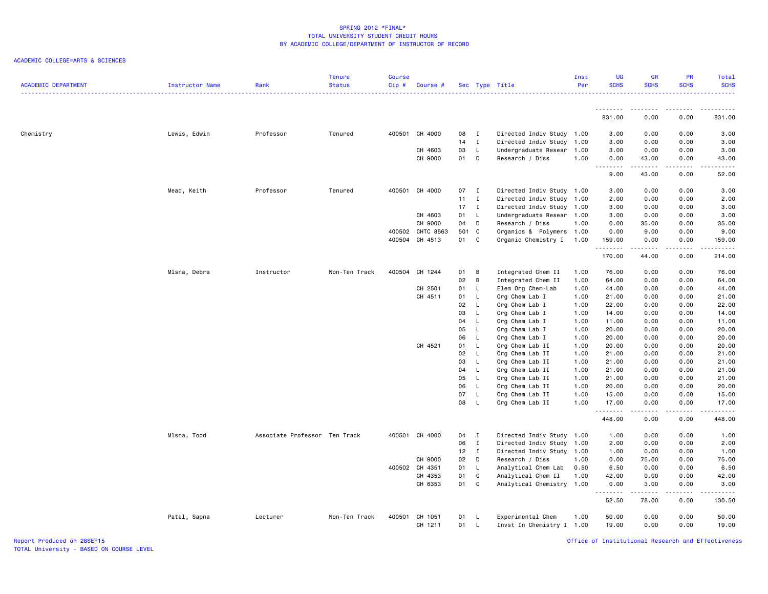### ACADEMIC COLLEGE=ARTS & SCIENCES

| <b>ACADEMIC DEPARTMENT</b> | Instructor Name | Rank                          | <b>Tenure</b><br><b>Status</b> | <b>Course</b><br>Cip# | Course #       |              |                | Sec Type Title            | Inst<br>Per | UG<br><b>SCHS</b> | <b>GR</b><br><b>SCHS</b>                                                                                                                                      | <b>PR</b><br><b>SCHS</b> | Total<br><b>SCHS</b>   |
|----------------------------|-----------------|-------------------------------|--------------------------------|-----------------------|----------------|--------------|----------------|---------------------------|-------------|-------------------|---------------------------------------------------------------------------------------------------------------------------------------------------------------|--------------------------|------------------------|
|                            |                 |                               |                                |                       |                |              |                |                           |             | .                 |                                                                                                                                                               |                          |                        |
|                            |                 |                               |                                |                       |                |              |                |                           |             | 831.00            | 0.00                                                                                                                                                          | 0.00                     | 831.00                 |
| Chemistry                  | Lewis, Edwin    | Professor                     | Tenured                        |                       | 400501 CH 4000 | 08           | $\mathbf{I}$   | Directed Indiv Study 1.00 |             | 3.00              | 0.00                                                                                                                                                          | 0.00                     | 3.00                   |
|                            |                 |                               |                                |                       |                | $14$ I       |                | Directed Indiv Study 1.00 |             | 3.00              | 0.00                                                                                                                                                          | 0.00                     | 3.00                   |
|                            |                 |                               |                                |                       | CH 4603        | 03           | $\mathsf{L}$   | Undergraduate Resear 1.00 |             | 3.00              | 0.00                                                                                                                                                          | 0.00                     | 3.00                   |
|                            |                 |                               |                                |                       | CH 9000        | 01 D         |                | Research / Diss           | 1.00        | 0.00<br>.         | 43.00<br><b>.</b>                                                                                                                                             | 0.00<br>$   -$           | 43.00<br>$\frac{1}{2}$ |
|                            |                 |                               |                                |                       |                |              |                |                           |             | 9.00              | 43.00                                                                                                                                                         | 0.00                     | 52.00                  |
|                            | Mead, Keith     | Professor                     | Tenured                        |                       | 400501 CH 4000 | 07 I         |                | Directed Indiv Study 1.00 |             | 3.00              | 0.00                                                                                                                                                          | 0.00                     | 3.00                   |
|                            |                 |                               |                                |                       |                | 11           | $\mathbf{I}$   | Directed Indiv Study 1.00 |             | 2.00              | 0.00                                                                                                                                                          | 0.00                     | 2.00                   |
|                            |                 |                               |                                |                       |                | $17$ I       |                | Directed Indiv Study 1.00 |             | 3.00              | 0.00                                                                                                                                                          | 0.00                     | 3.00                   |
|                            |                 |                               |                                |                       | CH 4603        | 01           | $\mathsf{L}$   | Undergraduate Resear 1.00 |             | 3.00              | 0.00                                                                                                                                                          | 0.00                     | 3.00                   |
|                            |                 |                               |                                |                       | CH 9000        | 04           | D              | Research / Diss           | 1.00        | 0.00              | 35.00                                                                                                                                                         | 0.00                     | 35.00                  |
|                            |                 |                               |                                | 400502                | CHTC 8563      | 501 C        |                | Organics & Polymers 1.00  |             | 0.00              | 9.00                                                                                                                                                          | 0.00                     | 9.00                   |
|                            |                 |                               |                                |                       | 400504 CH 4513 | 01           | C.             | Organic Chemistry I       | 1.00        | 159.00<br>.       | 0.00<br>.                                                                                                                                                     | 0.00<br>.                | 159.00                 |
|                            |                 |                               |                                |                       |                |              |                |                           |             | 170.00            | 44.00                                                                                                                                                         | 0.00                     | 214.00                 |
|                            | Mlsna, Debra    | Instructor                    | Non-Ten Track                  | 400504                | CH 1244        | 01           | $\overline{B}$ | Integrated Chem II        | 1.00        | 76.00             | 0.00                                                                                                                                                          | 0.00                     | 76.00                  |
|                            |                 |                               |                                |                       |                | 02           | B              | Integrated Chem II        | 1.00        | 64.00             | 0.00                                                                                                                                                          | 0.00                     | 64.00                  |
|                            |                 |                               |                                |                       | CH 2501        | 01 L         |                | Elem Org Chem-Lab         | 1.00        | 44.00             | 0.00                                                                                                                                                          | 0.00                     | 44.00                  |
|                            |                 |                               |                                |                       | CH 4511        | 01           | $\mathsf{L}$   | Org Chem Lab I            | 1.00        | 21.00             | 0.00                                                                                                                                                          | 0.00                     | 21.00                  |
|                            |                 |                               |                                |                       |                | 02           | $\mathsf{L}$   | Org Chem Lab I            | 1.00        | 22.00             | 0.00                                                                                                                                                          | 0.00                     | 22.00                  |
|                            |                 |                               |                                |                       |                | 03           | $\mathsf{L}$   | Org Chem Lab I            | 1.00        | 14.00             | 0.00                                                                                                                                                          | 0.00                     | 14.00                  |
|                            |                 |                               |                                |                       |                | 04           | - L            | Org Chem Lab I            | 1.00        | 11.00             | 0.00                                                                                                                                                          | 0.00                     | 11.00                  |
|                            |                 |                               |                                |                       |                | 05           | - L            | Org Chem Lab I            | 1.00        | 20.00             | 0.00                                                                                                                                                          | 0.00                     | 20.00                  |
|                            |                 |                               |                                |                       |                | 06           | - L            | Org Chem Lab I            | 1.00        | 20.00             | 0.00                                                                                                                                                          | 0.00                     | 20.00                  |
|                            |                 |                               |                                |                       | CH 4521        | 01           | - L            | Org Chem Lab II           | 1.00        | 20.00             | 0.00                                                                                                                                                          | 0.00                     | 20.00                  |
|                            |                 |                               |                                |                       |                | 02           | <b>L</b>       | Org Chem Lab II           | 1.00        | 21.00             | 0.00                                                                                                                                                          | 0.00                     | 21.00                  |
|                            |                 |                               |                                |                       |                | 03           | $\mathsf{L}$   | Org Chem Lab II           | 1.00        | 21.00             | 0.00                                                                                                                                                          | 0.00                     | 21.00                  |
|                            |                 |                               |                                |                       |                | 04           | L.             | Org Chem Lab II           | 1.00        | 21.00             | 0.00                                                                                                                                                          | 0.00                     | 21.00                  |
|                            |                 |                               |                                |                       |                | 05           | <b>L</b>       | Org Chem Lab II           | 1.00        | 21.00             | 0.00                                                                                                                                                          | 0.00                     | 21.00                  |
|                            |                 |                               |                                |                       |                | 06           | L.             | Org Chem Lab II           | 1.00        | 20.00             | 0.00                                                                                                                                                          | 0.00                     | 20.00                  |
|                            |                 |                               |                                |                       |                | 07           | $\mathsf{L}$   | Org Chem Lab II           | 1.00        | 15.00             | 0.00                                                                                                                                                          | 0.00                     | 15.00                  |
|                            |                 |                               |                                |                       |                | 08           | - L            | Org Chem Lab II           | 1.00        | 17.00             | 0.00                                                                                                                                                          | 0.00                     | 17.00                  |
|                            |                 |                               |                                |                       |                |              |                |                           |             | .<br>448.00       | .<br>0.00                                                                                                                                                     | .<br>0.00                | .<br>448.00            |
|                            | Mlsna, Todd     | Associate Professor Ten Track |                                |                       | 400501 CH 4000 | 04 I         |                | Directed Indiv Study 1.00 |             | 1.00              | 0.00                                                                                                                                                          | 0.00                     | 1.00                   |
|                            |                 |                               |                                |                       |                | 06           | $\mathbf{I}$   | Directed Indiv Study 1.00 |             | 2.00              | 0.00                                                                                                                                                          | 0.00                     | 2.00                   |
|                            |                 |                               |                                |                       |                | $12 \quad I$ |                | Directed Indiv Study 1.00 |             | 1.00              | 0.00                                                                                                                                                          | 0.00                     | 1.00                   |
|                            |                 |                               |                                |                       | CH 9000        | 02           | D              | Research / Diss           | 1.00        | 0.00              | 75.00                                                                                                                                                         | 0.00                     | 75.00                  |
|                            |                 |                               |                                | 400502                | CH 4351        | 01           | - L            | Analytical Chem Lab       | 0.50        | 6.50              | 0.00                                                                                                                                                          | 0.00                     | 6.50                   |
|                            |                 |                               |                                |                       | CH 4353        | 01           | C              | Analytical Chem II        | 1.00        | 42.00             | 0.00                                                                                                                                                          | 0.00                     | 42.00                  |
|                            |                 |                               |                                |                       | CH 6353        | 01           | $\mathtt{C}$   | Analytical Chemistry 1.00 |             | 0.00              | 3.00                                                                                                                                                          | 0.00                     | 3.00                   |
|                            |                 |                               |                                |                       |                |              |                |                           |             | .<br>52.50        | $\frac{1}{2} \left( \frac{1}{2} \right) \left( \frac{1}{2} \right) \left( \frac{1}{2} \right) \left( \frac{1}{2} \right) \left( \frac{1}{2} \right)$<br>78.00 | .<br>0.00                | .<br>130.50            |
|                            | Patel, Sapna    | Lecturer                      | Non-Ten Track                  | 400501                | CH 1051        | 01 L         |                | Experimental Chem         | 1.00        | 50.00             | 0.00                                                                                                                                                          | 0.00                     | 50.00                  |
|                            |                 |                               |                                |                       | CH 1211        | 01           | - L            | Invst In Chemistry I 1.00 |             | 19.00             | 0.00                                                                                                                                                          | 0.00                     | 19.00                  |
|                            |                 |                               |                                |                       |                |              |                |                           |             |                   |                                                                                                                                                               |                          |                        |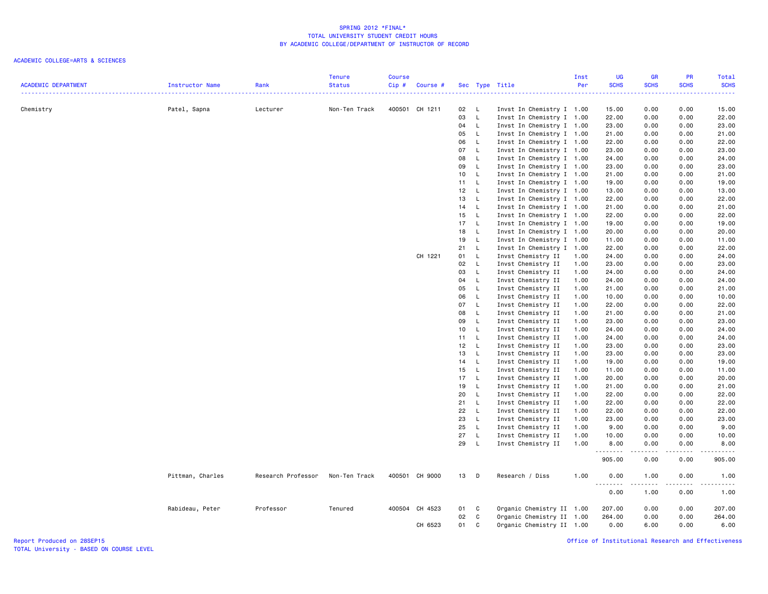# ACADEMIC COLLEGE=ARTS & SCIENCES

|                            |                  |                    | Tenure        | <b>Course</b> |                |      |                              |                           | Inst | <b>UG</b>   | <b>GR</b>     | PR                                                                                                                                                           | Total               |
|----------------------------|------------------|--------------------|---------------|---------------|----------------|------|------------------------------|---------------------------|------|-------------|---------------|--------------------------------------------------------------------------------------------------------------------------------------------------------------|---------------------|
| <b>ACADEMIC DEPARTMENT</b> | Instructor Name  | Rank               | <b>Status</b> | Cip#          | Course #       |      |                              | Sec Type Title            | Per  | <b>SCHS</b> | <b>SCHS</b>   | <b>SCHS</b>                                                                                                                                                  | <b>SCHS</b>         |
|                            |                  |                    |               |               |                |      |                              |                           |      |             |               |                                                                                                                                                              | بالأباء             |
| Chemistry                  | Patel, Sapna     | Lecturer           | Non-Ten Track |               | 400501 CH 1211 | 02   | $\mathsf{L}$                 | Invst In Chemistry I 1.00 |      | 15.00       | 0.00          | 0.00                                                                                                                                                         | 15.00               |
|                            |                  |                    |               |               |                | 03   | $\mathsf{L}$                 | Invst In Chemistry I 1.00 |      | 22.00       | 0.00          | 0.00                                                                                                                                                         | 22.00               |
|                            |                  |                    |               |               |                | 04   | $\mathsf{L}$                 | Invst In Chemistry I 1.00 |      | 23.00       | 0.00          | 0.00                                                                                                                                                         | 23.00               |
|                            |                  |                    |               |               |                | 05   | - L                          | Invst In Chemistry I 1.00 |      | 21.00       | 0.00          | 0.00                                                                                                                                                         | 21.00               |
|                            |                  |                    |               |               |                | 06   | $\mathsf{L}$                 | Invst In Chemistry I 1.00 |      | 22.00       | 0.00          | 0.00                                                                                                                                                         | 22.00               |
|                            |                  |                    |               |               |                | 07   | $\mathsf{L}$                 | Invst In Chemistry I 1.00 |      | 23.00       | 0.00          | 0.00                                                                                                                                                         | 23.00               |
|                            |                  |                    |               |               |                | 08   | <b>L</b>                     | Invst In Chemistry I 1.00 |      | 24.00       | 0.00          | 0.00                                                                                                                                                         | 24.00               |
|                            |                  |                    |               |               |                | 09   | $\mathsf{L}$                 | Invst In Chemistry I 1.00 |      | 23.00       | 0.00          | 0.00                                                                                                                                                         | 23.00               |
|                            |                  |                    |               |               |                | 10   | $\mathsf{L}$                 | Invst In Chemistry I 1.00 |      | 21.00       | 0.00          | 0.00                                                                                                                                                         | 21.00               |
|                            |                  |                    |               |               |                | 11 L |                              | Invst In Chemistry I 1.00 |      | 19.00       | 0.00          | 0.00                                                                                                                                                         | 19.00               |
|                            |                  |                    |               |               |                | 12   | $\mathsf{L}$                 | Invst In Chemistry I 1.00 |      | 13.00       | 0.00          | 0.00                                                                                                                                                         | 13.00               |
|                            |                  |                    |               |               |                | 13   | $\mathsf{L}$                 | Invst In Chemistry I 1.00 |      | 22.00       | 0.00          | 0.00                                                                                                                                                         | 22.00               |
|                            |                  |                    |               |               |                | 14 L |                              | Invst In Chemistry I 1.00 |      | 21.00       | 0.00          | 0.00                                                                                                                                                         | 21.00               |
|                            |                  |                    |               |               |                | 15   | $\mathsf{L}$                 | Invst In Chemistry I 1.00 |      | 22.00       | 0.00          | 0.00                                                                                                                                                         | 22.00               |
|                            |                  |                    |               |               |                | 17   | - L                          | Invst In Chemistry I 1.00 |      | 19.00       | 0.00          | 0.00                                                                                                                                                         | 19.00               |
|                            |                  |                    |               |               |                | 18   | $\mathsf{L}$                 | Invst In Chemistry I 1.00 |      | 20.00       | 0.00          | 0.00                                                                                                                                                         | 20.00               |
|                            |                  |                    |               |               |                | 19   | $\mathsf{L}$                 | Invst In Chemistry I 1.00 |      | 11.00       | 0.00          | 0.00                                                                                                                                                         | 11.00               |
|                            |                  |                    |               |               |                | 21   | $\mathsf{L}$                 | Invst In Chemistry I 1.00 |      | 22.00       | 0.00          | 0.00                                                                                                                                                         | 22.00               |
|                            |                  |                    |               |               | CH 1221        | 01   | $\mathsf{L}$                 | Invst Chemistry II        | 1.00 | 24.00       | 0.00          | 0.00                                                                                                                                                         | 24.00               |
|                            |                  |                    |               |               |                | 02   | $\mathsf{L}$                 | Invst Chemistry II        | 1.00 | 23.00       | 0.00          | 0.00                                                                                                                                                         | 23.00               |
|                            |                  |                    |               |               |                | 03   | $\mathsf{L}$                 | Invst Chemistry II        | 1.00 | 24.00       | 0.00          | 0.00                                                                                                                                                         | 24.00               |
|                            |                  |                    |               |               |                | 04   | $\mathsf{L}$                 | Invst Chemistry II        | 1.00 | 24.00       | 0.00          | 0.00                                                                                                                                                         | 24.00               |
|                            |                  |                    |               |               |                | 05   | $\mathsf{L}$                 | Invst Chemistry II        | 1.00 | 21.00       | 0.00          | 0.00                                                                                                                                                         | 21.00               |
|                            |                  |                    |               |               |                | 06   | $\mathsf{L}$                 | Invst Chemistry II        | 1.00 | 10.00       | 0.00          | 0.00                                                                                                                                                         | 10.00               |
|                            |                  |                    |               |               |                | 07   | $\mathsf{L}$                 | Invst Chemistry II        | 1.00 | 22.00       | 0.00          | 0.00                                                                                                                                                         | 22.00               |
|                            |                  |                    |               |               |                | 08   | $\mathsf{L}$                 | Invst Chemistry II        | 1.00 | 21.00       | 0.00          | 0.00                                                                                                                                                         | 21.00               |
|                            |                  |                    |               |               |                | 09   | $\mathsf{L}$                 | Invst Chemistry II        | 1.00 | 23.00       | 0.00          | 0.00                                                                                                                                                         | 23.00               |
|                            |                  |                    |               |               |                | 10   | $\mathsf{L}$                 | Invst Chemistry II        | 1.00 | 24.00       | 0.00          | 0.00                                                                                                                                                         | 24.00               |
|                            |                  |                    |               |               |                | 11   | $\mathsf{L}$                 | Invst Chemistry II        | 1.00 | 24.00       | 0.00          | 0.00                                                                                                                                                         | 24.00               |
|                            |                  |                    |               |               |                | 12   | $\mathsf{L}$                 | Invst Chemistry II        | 1.00 | 23.00       | 0.00          | 0.00                                                                                                                                                         | 23.00               |
|                            |                  |                    |               |               |                | 13   | $\mathsf{L}$                 | Invst Chemistry II        | 1.00 | 23.00       | 0.00          | 0.00                                                                                                                                                         | 23.00               |
|                            |                  |                    |               |               |                | 14   | $\mathsf{L}$                 | Invst Chemistry II        | 1.00 | 19.00       | 0.00          | 0.00                                                                                                                                                         | 19.00               |
|                            |                  |                    |               |               |                | 15   | $\mathsf{L}$                 | Invst Chemistry II        | 1.00 | 11.00       | 0.00          | 0.00                                                                                                                                                         | 11.00               |
|                            |                  |                    |               |               |                | 17   | $\mathsf{L}$                 | Invst Chemistry II        | 1.00 | 20.00       | 0.00          | 0.00                                                                                                                                                         | 20.00               |
|                            |                  |                    |               |               |                | 19   | $\mathsf{L}$                 | Invst Chemistry II        | 1.00 | 21.00       | 0.00          | 0.00                                                                                                                                                         | 21.00               |
|                            |                  |                    |               |               |                |      |                              |                           |      |             |               |                                                                                                                                                              |                     |
|                            |                  |                    |               |               |                | 20   | $\mathsf{L}$                 | Invst Chemistry II        | 1.00 | 22.00       | 0.00          | 0.00                                                                                                                                                         | 22.00               |
|                            |                  |                    |               |               |                | 21   | $\mathsf{L}$<br>$\mathsf{L}$ | Invst Chemistry II        | 1.00 | 22.00       | 0.00          | 0.00                                                                                                                                                         | 22.00               |
|                            |                  |                    |               |               |                | 22   |                              | Invst Chemistry II        | 1.00 | 22.00       | 0.00          | 0.00                                                                                                                                                         | 22.00               |
|                            |                  |                    |               |               |                | 23   | $\mathsf{L}$                 | Invst Chemistry II        | 1.00 | 23.00       | 0.00          | 0.00                                                                                                                                                         | 23.00               |
|                            |                  |                    |               |               |                | 25   | $\mathsf{L}$                 | Invst Chemistry II        | 1.00 | 9.00        | 0.00          | 0.00                                                                                                                                                         | 9.00                |
|                            |                  |                    |               |               |                | 27   | $\mathsf{L}$                 | Invst Chemistry II        | 1.00 | 10.00       | 0.00          | 0.00                                                                                                                                                         | 10.00               |
|                            |                  |                    |               |               |                | 29   | $\mathsf{L}$                 | Invst Chemistry II        | 1.00 | 8.00<br>.   | 0.00<br>----- | 0.00<br>$\frac{1}{2} \left( \frac{1}{2} \right) \left( \frac{1}{2} \right) \left( \frac{1}{2} \right) \left( \frac{1}{2} \right) \left( \frac{1}{2} \right)$ | 8.00<br>.           |
|                            |                  |                    |               |               |                |      |                              |                           |      | 905.00      | 0.00          | 0.00                                                                                                                                                         | 905.00              |
|                            | Pittman, Charles | Research Professor | Non-Ten Track |               | 400501 CH 9000 | 13   | $\Box$                       | Research / Diss           | 1.00 | 0.00<br>.   | 1.00<br>.     | 0.00<br>.                                                                                                                                                    | 1.00<br>$- - - - -$ |
|                            |                  |                    |               |               |                |      |                              |                           |      | 0.00        | 1.00          | 0.00                                                                                                                                                         | 1.00                |
|                            | Rabideau, Peter  | Professor          | Tenured       |               | 400504 CH 4523 | 01   | C                            | Organic Chemistry II 1.00 |      | 207.00      | 0.00          | 0.00                                                                                                                                                         | 207.00              |
|                            |                  |                    |               |               |                | 02   | C                            | Organic Chemistry II 1.00 |      | 264.00      | 0.00          | 0.00                                                                                                                                                         | 264.00              |
|                            |                  |                    |               |               | CH 6523        | 01   | C                            | Organic Chemistry II 1.00 |      | 0.00        | 6.00          | 0.00                                                                                                                                                         | 6.00                |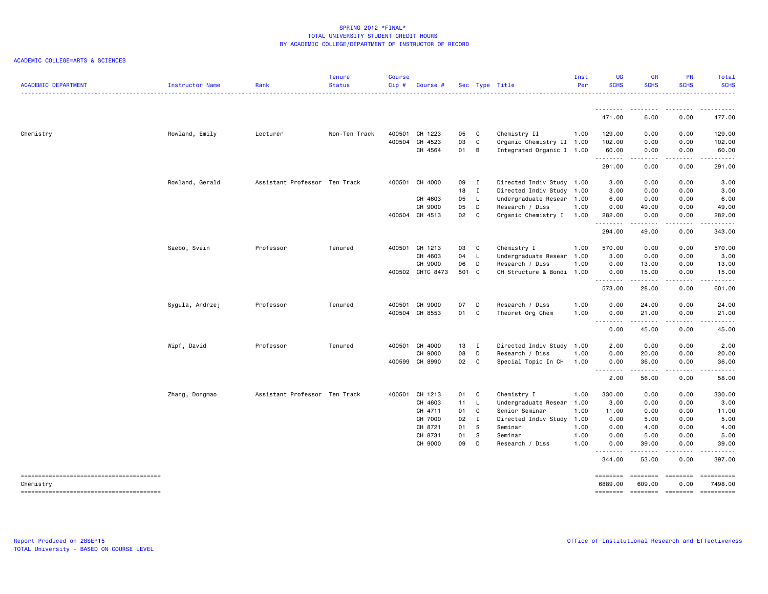| <b>ACADEMIC DEPARTMENT</b> | Instructor Name | Rank                          | <b>Tenure</b><br><b>Status</b><br><u> 222222222</u> | <b>Course</b><br>$Cip$ # | Course #         |       |              | Sec Type Title            | Inst<br>Per | <b>UG</b><br><b>SCHS</b>          | <b>GR</b><br><b>SCHS</b>  | <b>PR</b><br><b>SCHS</b>                                                                                                                                                                                                                                                                                                                                                                                                                                                                                                    | Total<br><b>SCHS</b>  |
|----------------------------|-----------------|-------------------------------|-----------------------------------------------------|--------------------------|------------------|-------|--------------|---------------------------|-------------|-----------------------------------|---------------------------|-----------------------------------------------------------------------------------------------------------------------------------------------------------------------------------------------------------------------------------------------------------------------------------------------------------------------------------------------------------------------------------------------------------------------------------------------------------------------------------------------------------------------------|-----------------------|
|                            |                 |                               |                                                     |                          |                  |       |              |                           |             |                                   |                           |                                                                                                                                                                                                                                                                                                                                                                                                                                                                                                                             |                       |
|                            |                 |                               |                                                     |                          |                  |       |              |                           |             | 471.00                            | 6.00                      | 0.00                                                                                                                                                                                                                                                                                                                                                                                                                                                                                                                        | 477.00                |
| Chemistry                  | Rowland, Emily  | Lecturer                      | Non-Ten Track                                       | 400501                   | CH 1223          | 05    | C            | Chemistry II              | 1.00        | 129.00                            | 0.00                      | 0.00                                                                                                                                                                                                                                                                                                                                                                                                                                                                                                                        | 129.00                |
|                            |                 |                               |                                                     |                          | 400504 CH 4523   | 03    | $\mathbf c$  | Organic Chemistry II 1.00 |             | 102.00                            | 0.00                      | 0.00                                                                                                                                                                                                                                                                                                                                                                                                                                                                                                                        | 102.00                |
|                            |                 |                               |                                                     |                          | CH 4564          | 01 B  |              | Integrated Organic I 1.00 |             | 60.00<br>.                        | 0.00<br>.                 | 0.00                                                                                                                                                                                                                                                                                                                                                                                                                                                                                                                        | 60.00                 |
|                            |                 |                               |                                                     |                          |                  |       |              |                           |             | 291.00                            | 0.00                      | 0.00                                                                                                                                                                                                                                                                                                                                                                                                                                                                                                                        | 291.00                |
|                            | Rowland, Gerald | Assistant Professor Ten Track |                                                     |                          | 400501 CH 4000   | 09 I  |              | Directed Indiv Study 1.00 |             | 3.00                              | 0.00                      | 0.00                                                                                                                                                                                                                                                                                                                                                                                                                                                                                                                        | 3.00                  |
|                            |                 |                               |                                                     |                          |                  | 18 I  |              | Directed Indiv Study 1.00 |             | 3.00                              | 0.00                      | 0.00                                                                                                                                                                                                                                                                                                                                                                                                                                                                                                                        | 3.00                  |
|                            |                 |                               |                                                     |                          | CH 4603          | 05    | $\mathsf{L}$ | Undergraduate Resear 1.00 |             | 6.00                              | 0.00                      | 0.00                                                                                                                                                                                                                                                                                                                                                                                                                                                                                                                        | 6.00                  |
|                            |                 |                               |                                                     |                          | CH 9000          | 05    | D            | Research / Diss           | 1.00        | 0.00                              | 49.00                     | 0.00                                                                                                                                                                                                                                                                                                                                                                                                                                                                                                                        | 49.00                 |
|                            |                 |                               |                                                     |                          | 400504 CH 4513   | 02    | C.           | Organic Chemistry I       | 1.00        | 282.00<br>.                       | 0.00<br>.                 | 0.00<br>.                                                                                                                                                                                                                                                                                                                                                                                                                                                                                                                   | 282.00                |
|                            |                 |                               |                                                     |                          |                  |       |              |                           |             | 294.00                            | 49.00                     | 0.00                                                                                                                                                                                                                                                                                                                                                                                                                                                                                                                        | 343.00                |
|                            | Saebo, Svein    | Professor                     | Tenured                                             |                          | 400501 CH 1213   | 03    | C            | Chemistry I               | 1.00        | 570.00                            | 0.00                      | 0.00                                                                                                                                                                                                                                                                                                                                                                                                                                                                                                                        | 570.00                |
|                            |                 |                               |                                                     |                          | CH 4603          | 04 L  |              | Undergraduate Resear 1.00 |             | 3.00                              | 0.00                      | 0.00                                                                                                                                                                                                                                                                                                                                                                                                                                                                                                                        | 3.00                  |
|                            |                 |                               |                                                     |                          | CH 9000          | 06    | D            | Research / Diss           | 1.00        | 0.00                              | 13.00                     | 0.00                                                                                                                                                                                                                                                                                                                                                                                                                                                                                                                        | 13.00                 |
|                            |                 |                               |                                                     |                          | 400502 CHTC 8473 | 501 C |              | CH Structure & Bondi 1.00 |             | 0.00                              | 15.00                     | 0.00                                                                                                                                                                                                                                                                                                                                                                                                                                                                                                                        | 15.00                 |
|                            |                 |                               |                                                     |                          |                  |       |              |                           |             |                                   | .                         | .                                                                                                                                                                                                                                                                                                                                                                                                                                                                                                                           | .                     |
|                            |                 |                               |                                                     |                          |                  |       |              |                           |             | 573.00                            | 28,00                     | 0.00                                                                                                                                                                                                                                                                                                                                                                                                                                                                                                                        | 601.00                |
|                            | Sygula, Andrzej | Professor                     | Tenured                                             |                          | 400501 CH 9000   | 07    | D            | Research / Diss           | 1.00        | 0.00                              | 24.00                     | 0.00                                                                                                                                                                                                                                                                                                                                                                                                                                                                                                                        | 24.00                 |
|                            |                 |                               |                                                     |                          | 400504 CH 8553   | 01 C  |              | Theoret Org Chem          | 1.00        | 0.00                              | 21.00                     | 0.00                                                                                                                                                                                                                                                                                                                                                                                                                                                                                                                        | 21.00                 |
|                            |                 |                               |                                                     |                          |                  |       |              |                           |             | $\sim$ $\sim$ $\sim$<br>.<br>0.00 | $\frac{1}{2}$<br>45.00    | 0.00                                                                                                                                                                                                                                                                                                                                                                                                                                                                                                                        | 45.00                 |
|                            | Wipf, David     | Professor                     | Tenured                                             |                          | 400501 CH 4000   | 13 I  |              | Directed Indiv Study 1.00 |             | 2.00                              | 0.00                      | 0.00                                                                                                                                                                                                                                                                                                                                                                                                                                                                                                                        | 2.00                  |
|                            |                 |                               |                                                     |                          | CH 9000          | 08    | D            | Research / Diss           | 1.00        | 0.00                              | 20.00                     | 0.00                                                                                                                                                                                                                                                                                                                                                                                                                                                                                                                        | 20.00                 |
|                            |                 |                               |                                                     |                          | 400599 CH 8990   | 02    | C            | Special Topic In CH       | 1.00        | 0.00                              | 36.00                     | 0.00                                                                                                                                                                                                                                                                                                                                                                                                                                                                                                                        | 36.00                 |
|                            |                 |                               |                                                     |                          |                  |       |              |                           |             | .<br>2.00                         | .<br>56.00                | .<br>0.00                                                                                                                                                                                                                                                                                                                                                                                                                                                                                                                   | .<br>58.00            |
|                            | Zhang, Dongmao  | Assistant Professor Ten Track |                                                     |                          | 400501 CH 1213   | 01 C  |              | Chemistry I               | 1.00        | 330.00                            | 0.00                      | 0.00                                                                                                                                                                                                                                                                                                                                                                                                                                                                                                                        | 330.00                |
|                            |                 |                               |                                                     |                          | CH 4603          | 11 L  |              | Undergraduate Resear 1.00 |             | 3.00                              | 0.00                      | 0.00                                                                                                                                                                                                                                                                                                                                                                                                                                                                                                                        | 3.00                  |
|                            |                 |                               |                                                     |                          | CH 4711          | 01    | C            | Senior Seminar            | 1.00        | 11.00                             | 0.00                      | 0.00                                                                                                                                                                                                                                                                                                                                                                                                                                                                                                                        | 11.00                 |
|                            |                 |                               |                                                     |                          | CH 7000          | 02    | $\mathbf{I}$ | Directed Indiv Study      | 1.00        | 0.00                              | 5.00                      | 0.00                                                                                                                                                                                                                                                                                                                                                                                                                                                                                                                        | 5.00                  |
|                            |                 |                               |                                                     |                          | CH 8721          | 01    | s            | Seminar                   | 1.00        | 0.00                              | 4.00                      | 0.00                                                                                                                                                                                                                                                                                                                                                                                                                                                                                                                        | 4.00                  |
|                            |                 |                               |                                                     |                          | CH 8731          | 01    | -S           | Seminar                   | 1.00        | 0.00                              | 5.00                      | 0.00                                                                                                                                                                                                                                                                                                                                                                                                                                                                                                                        | 5.00                  |
|                            |                 |                               |                                                     |                          | CH 9000          | 09    | D            | Research / Diss           | 1.00        | 0.00                              | 39.00                     | 0.00                                                                                                                                                                                                                                                                                                                                                                                                                                                                                                                        | 39.00                 |
|                            |                 |                               |                                                     |                          |                  |       |              |                           |             | .<br>344.00                       | 53.00                     | 0.00                                                                                                                                                                                                                                                                                                                                                                                                                                                                                                                        | 397.00                |
| Chemistry                  |                 |                               |                                                     |                          |                  |       |              |                           |             | ========<br>6889,00               | <b>SEESSEES</b><br>609,00 | $\begin{array}{c} \multicolumn{3}{c} {\color{blue} \textbf{2}} & \multicolumn{3}{c} {\color{blue} \textbf{3}} \\ \multicolumn{3}{c} {\color{blue} \textbf{4}} & \multicolumn{3}{c} {\color{blue} \textbf{5}} & \multicolumn{3}{c} {\color{blue} \textbf{6}} \\ \multicolumn{3}{c} {\color{blue} \textbf{5}} & \multicolumn{3}{c} {\color{blue} \textbf{6}} & \multicolumn{3}{c} {\color{blue} \textbf{6}} \\ \multicolumn{3}{c} {\color{blue} \textbf{6}} & \multicolumn{3}{c} {\color{blue} \textbf{6}} & \multic$<br>0.00 | ==========<br>7498.00 |
|                            |                 |                               |                                                     |                          |                  |       |              |                           |             | <b>EDESSEDE</b>                   | ========                  | $=$ ========                                                                                                                                                                                                                                                                                                                                                                                                                                                                                                                | ==========            |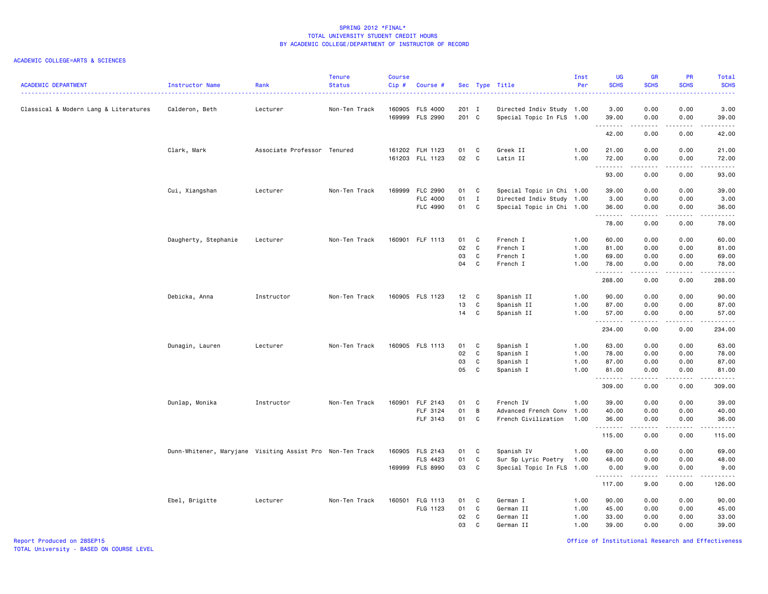| <b>ACADEMIC DEPARTMENT</b>            | Instructor Name                                           | Rank                        | <b>Tenure</b><br><b>Status</b> | <b>Course</b><br>Cip# | Course #                                       |                      |                                        | Sec Type Title                                                                      | Inst<br>Per                  | UG<br><b>SCHS</b>                | <b>GR</b><br><b>SCHS</b>                                                                                                                                     | PR<br><b>SCHS</b>                                   | Total<br><b>SCHS</b>                        |
|---------------------------------------|-----------------------------------------------------------|-----------------------------|--------------------------------|-----------------------|------------------------------------------------|----------------------|----------------------------------------|-------------------------------------------------------------------------------------|------------------------------|----------------------------------|--------------------------------------------------------------------------------------------------------------------------------------------------------------|-----------------------------------------------------|---------------------------------------------|
| Classical & Modern Lang & Literatures | Calderon, Beth                                            | Lecturer                    | Non-Ten Track                  |                       | 160905 FLS 4000<br>169999 FLS 2990             | 201 I<br>201 C       |                                        | Directed Indiv Study 1.00<br>Special Topic In FLS 1.00                              |                              | 3.00<br>39.00                    | 0.00<br>0.00                                                                                                                                                 | 0.00<br>0.00                                        | 3.00<br>39.00                               |
|                                       |                                                           |                             |                                |                       |                                                |                      |                                        |                                                                                     |                              | .<br>42.00                       | $\frac{1}{2} \left( \frac{1}{2} \right) \left( \frac{1}{2} \right) \left( \frac{1}{2} \right) \left( \frac{1}{2} \right) \left( \frac{1}{2} \right)$<br>0.00 | $\omega$ is a set of<br>0.00                        | .<br>42.00                                  |
|                                       | Clark, Mark                                               | Associate Professor Tenured |                                |                       | 161202 FLH 1123<br>161203 FLL 1123             | 01<br>02             | C.<br>C                                | Greek II<br>Latin II                                                                | 1.00<br>1.00                 | 21.00<br>72.00                   | 0.00<br>0.00                                                                                                                                                 | 0.00<br>0.00                                        | 21.00<br>72.00                              |
|                                       |                                                           |                             |                                |                       |                                                |                      |                                        |                                                                                     |                              | . <b>.</b><br>93.00              | $\sim$ $\sim$ $\sim$ $\sim$<br>0.00                                                                                                                          | $\sim$ $\sim$ $\sim$ $\sim$<br>0.00                 | $\sim$ $\sim$ $\sim$ $\sim$ $\sim$<br>93.00 |
|                                       | Cui, Xiangshan                                            | Lecturer                    | Non-Ten Track                  |                       | 169999 FLC 2990<br>FLC 4000<br>FLC 4990        | 01<br>01<br>01       | C<br>$\mathbf{I}$<br>C                 | Special Topic in Chi 1.00<br>Directed Indiv Study 1.00<br>Special Topic in Chi 1.00 |                              | 39.00<br>3.00<br>36.00<br>.      | 0.00<br>0.00<br>0.00<br>.                                                                                                                                    | 0.00<br>0.00<br>0.00<br>$\sim$ $\sim$ $\sim$ $\sim$ | 39.00<br>3.00<br>36.00<br>-----             |
|                                       |                                                           |                             |                                |                       |                                                |                      |                                        |                                                                                     |                              | 78.00                            | 0.00                                                                                                                                                         | 0.00                                                | 78.00                                       |
|                                       | Daugherty, Stephanie                                      | Lecturer                    | Non-Ten Track                  |                       | 160901 FLF 1113                                | 01<br>02<br>03<br>04 | C<br>C<br>$\mathtt{C}$<br>$\mathtt{C}$ | French I<br>French I<br>French I<br>French I                                        | 1.00<br>1.00<br>1.00<br>1.00 | 60.00<br>81.00<br>69.00<br>78.00 | 0.00<br>0.00<br>0.00<br>0.00                                                                                                                                 | 0.00<br>0.00<br>0.00<br>0.00                        | 60.00<br>81.00<br>69.00<br>78.00            |
|                                       |                                                           |                             |                                |                       |                                                |                      |                                        |                                                                                     |                              | .<br>288.00                      | .<br>0.00                                                                                                                                                    | .<br>0.00                                           | 1.1.1.1.1<br>288.00                         |
|                                       | Debicka, Anna                                             | Instructor                  | Non-Ten Track                  |                       | 160905 FLS 1123                                | 12<br>13             | $\mathbf{C}$<br>$\mathtt{C}$           | Spanish II<br>Spanish II                                                            | 1.00<br>1.00                 | 90.00<br>87.00                   | 0.00<br>0.00                                                                                                                                                 | 0.00<br>0.00                                        | 90.00<br>87.00                              |
|                                       |                                                           |                             |                                |                       |                                                | 14                   | $\mathtt{C}$                           | Spanish II                                                                          | 1.00                         | 57.00<br>.<br>234.00             | 0.00<br>.<br>0.00                                                                                                                                            | 0.00<br>.<br>0.00                                   | 57.00<br><b></b><br>234.00                  |
|                                       | Dunagin, Lauren                                           | Lecturer                    | Non-Ten Track                  |                       | 160905 FLS 1113                                | 01<br>02             | C<br>$\mathtt{C}$                      | Spanish I<br>Spanish I                                                              | 1.00<br>1.00                 | 63.00<br>78.00                   | 0.00<br>0.00                                                                                                                                                 | 0.00<br>0.00                                        | 63.00<br>78.00                              |
|                                       |                                                           |                             |                                |                       |                                                | 03<br>05             | $\mathtt{C}$<br>C                      | Spanish I<br>Spanish I                                                              | 1.00<br>1.00                 | 87.00<br>81.00                   | 0.00<br>0.00                                                                                                                                                 | 0.00<br>0.00                                        | 87.00<br>81.00                              |
|                                       |                                                           |                             |                                |                       |                                                |                      |                                        |                                                                                     |                              | .<br>309.00                      | .<br>0.00                                                                                                                                                    | د د د د<br>0.00                                     | $\sim$ $\sim$ $\sim$ $\sim$<br>309.00       |
|                                       | Dunlap, Monika                                            | Instructor                  | Non-Ten Track                  | 160901                | FLF 2143<br>FLF 3124<br>FLF 3143               | 01<br>01<br>01       | C<br>B<br>C                            | French IV<br>Advanced French Conv<br>French Civilization                            | 1.00<br>1.00<br>1.00         | 39.00<br>40.00<br>36.00<br>.     | 0.00<br>0.00<br>0.00<br><u>.</u>                                                                                                                             | 0.00<br>0.00<br>0.00<br>.                           | 39.00<br>40.00<br>36.00<br>.                |
|                                       |                                                           |                             |                                |                       |                                                |                      |                                        |                                                                                     |                              | 115.00                           | 0.00                                                                                                                                                         | 0.00                                                | 115.00                                      |
|                                       | Dunn-Whitener, Maryjane Visiting Assist Pro Non-Ten Track |                             |                                |                       | 160905 FLS 2143<br>FLS 4423<br>169999 FLS 8990 | 01<br>01<br>03       | C<br>C<br>C                            | Spanish IV<br>Sur Sp Lyric Poetry<br>Special Topic In FLS 1.00                      | 1.00<br>1.00                 | 69.00<br>48.00<br>0.00           | 0.00<br>0.00<br>9.00                                                                                                                                         | 0.00<br>0.00<br>0.00                                | 69.00<br>48.00<br>9.00                      |
|                                       |                                                           |                             |                                |                       |                                                |                      |                                        |                                                                                     |                              | .<br>117.00                      | .<br>9.00                                                                                                                                                    | .<br>0.00                                           | .<br>126.00                                 |
|                                       | Ebel, Brigitte                                            | Lecturer                    | Non-Ten Track                  |                       | 160501 FLG 1113<br>FLG 1123                    | 01<br>01<br>02<br>03 | C<br>C<br>C<br>C.                      | German I<br>German II<br>German II<br>German II                                     | 1.00<br>1.00<br>1.00<br>1.00 | 90.00<br>45.00<br>33.00<br>39.00 | 0.00<br>0.00<br>0.00<br>0.00                                                                                                                                 | 0.00<br>0.00<br>0.00<br>0.00                        | 90.00<br>45.00<br>33.00<br>39.00            |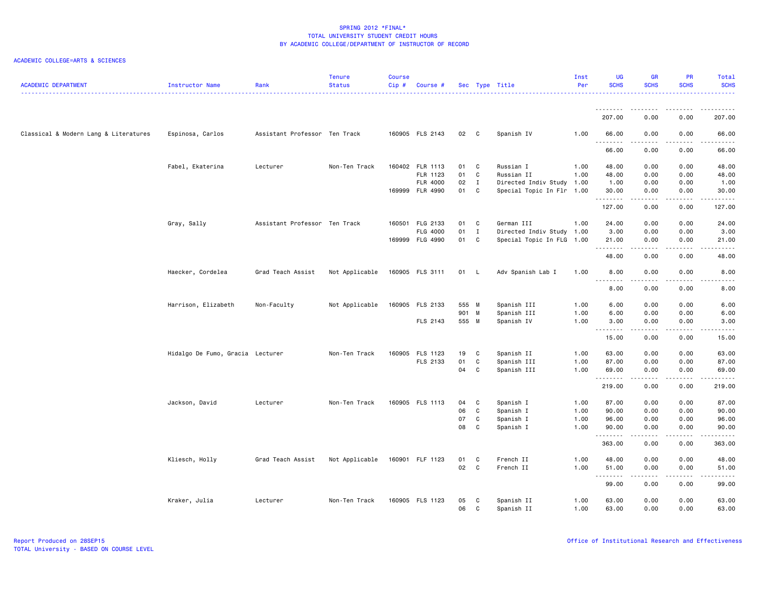| <b>ACADEMIC DEPARTMENT</b>            | Instructor Name                  | Rank                          | <b>Tenure</b><br><b>Status</b> | <b>Course</b><br>Cip# | Course #        |        |              | Sec Type Title            | Inst<br>Per | <b>UG</b><br><b>SCHS</b>                                                                                                                                                                                                                                                                                                                                                                                                                                                                         | <b>GR</b><br><b>SCHS</b> | PR<br><b>SCHS</b>  | Total<br><b>SCHS</b>           |
|---------------------------------------|----------------------------------|-------------------------------|--------------------------------|-----------------------|-----------------|--------|--------------|---------------------------|-------------|--------------------------------------------------------------------------------------------------------------------------------------------------------------------------------------------------------------------------------------------------------------------------------------------------------------------------------------------------------------------------------------------------------------------------------------------------------------------------------------------------|--------------------------|--------------------|--------------------------------|
|                                       |                                  |                               |                                |                       |                 |        |              |                           |             | ---------<br>207.00                                                                                                                                                                                                                                                                                                                                                                                                                                                                              | <u>.</u><br>0.00         | . <b>.</b><br>0.00 | .<br>207.00                    |
| Classical & Modern Lang & Literatures | Espinosa, Carlos                 | Assistant Professor Ten Track |                                |                       | 160905 FLS 2143 | 02 C   |              | Spanish IV                | 1.00        | 66.00                                                                                                                                                                                                                                                                                                                                                                                                                                                                                            | 0.00                     | 0.00               | 66.00                          |
|                                       |                                  |                               |                                |                       |                 |        |              |                           |             | .<br>66.00                                                                                                                                                                                                                                                                                                                                                                                                                                                                                       | .<br>0.00                | .<br>0.00          | المتمامين<br>66.00             |
|                                       | Fabel, Ekaterina                 | Lecturer                      | Non-Ten Track                  |                       | 160402 FLR 1113 | 01     | $\mathbf{C}$ | Russian I                 | 1.00        | 48.00                                                                                                                                                                                                                                                                                                                                                                                                                                                                                            | 0.00                     | 0.00               | 48.00                          |
|                                       |                                  |                               |                                |                       | FLR 1123        | 01 C   |              | Russian II                | 1.00        | 48.00                                                                                                                                                                                                                                                                                                                                                                                                                                                                                            | 0.00                     | 0.00               | 48.00                          |
|                                       |                                  |                               |                                |                       | FLR 4000        | $02$ I |              | Directed Indiv Study 1.00 |             | 1.00                                                                                                                                                                                                                                                                                                                                                                                                                                                                                             | 0.00                     | 0.00               | 1.00                           |
|                                       |                                  |                               |                                |                       | 169999 FLR 4990 | 01 C   |              | Special Topic In Flr 1.00 |             | 30.00                                                                                                                                                                                                                                                                                                                                                                                                                                                                                            | 0.00                     | 0.00               | 30.00                          |
|                                       |                                  |                               |                                |                       |                 |        |              |                           |             | $\begin{array}{cccccccccccccc} \multicolumn{2}{c}{} & \multicolumn{2}{c}{} & \multicolumn{2}{c}{} & \multicolumn{2}{c}{} & \multicolumn{2}{c}{} & \multicolumn{2}{c}{} & \multicolumn{2}{c}{} & \multicolumn{2}{c}{} & \multicolumn{2}{c}{} & \multicolumn{2}{c}{} & \multicolumn{2}{c}{} & \multicolumn{2}{c}{} & \multicolumn{2}{c}{} & \multicolumn{2}{c}{} & \multicolumn{2}{c}{} & \multicolumn{2}{c}{} & \multicolumn{2}{c}{} & \multicolumn{2}{c}{} & \multicolumn{2}{c}{} & \$<br>127.00 | .<br>0.00                | المتمالين<br>0.00  | .<br>127.00                    |
|                                       | Gray, Sally                      | Assistant Professor Ten Track |                                |                       | 160501 FLG 2133 | 01 C   |              | German III                | 1.00        | 24.00                                                                                                                                                                                                                                                                                                                                                                                                                                                                                            | 0.00                     | 0.00               | 24.00                          |
|                                       |                                  |                               |                                |                       | FLG 4000        | 01     | $\mathbf{I}$ | Directed Indiv Study 1.00 |             | 3.00                                                                                                                                                                                                                                                                                                                                                                                                                                                                                             | 0.00                     | 0.00               | 3.00                           |
|                                       |                                  |                               |                                |                       | 169999 FLG 4990 | 01 C   |              | Special Topic In FLG 1.00 |             | 21.00<br>.                                                                                                                                                                                                                                                                                                                                                                                                                                                                                       | 0.00<br>$- - - - -$      | 0.00<br>.          | 21.00<br>د د د د د             |
|                                       |                                  |                               |                                |                       |                 |        |              |                           |             | 48.00                                                                                                                                                                                                                                                                                                                                                                                                                                                                                            | 0.00                     | 0.00               | 48.00                          |
|                                       | Haecker, Cordelea                | Grad Teach Assist             | Not Applicable                 |                       | 160905 FLS 3111 | 01 L   |              | Adv Spanish Lab I         | 1.00        | 8.00                                                                                                                                                                                                                                                                                                                                                                                                                                                                                             | 0.00                     | 0.00               | 8.00                           |
|                                       |                                  |                               |                                |                       |                 |        |              |                           |             | <u>.</u><br>8.00                                                                                                                                                                                                                                                                                                                                                                                                                                                                                 | 0.00                     | 0.00               | 8.00                           |
|                                       | Harrison, Elizabeth              | Non-Faculty                   | Not Applicable                 |                       | 160905 FLS 2133 | 555 M  |              | Spanish III               | 1.00        | 6.00                                                                                                                                                                                                                                                                                                                                                                                                                                                                                             | 0.00                     | 0.00               | 6.00                           |
|                                       |                                  |                               |                                |                       |                 | 901 M  |              | Spanish III               | 1.00        | 6.00                                                                                                                                                                                                                                                                                                                                                                                                                                                                                             | 0.00                     | 0.00               | 6.00                           |
|                                       |                                  |                               |                                |                       | FLS 2143        | 555 M  |              | Spanish IV                | 1.00        | 3.00                                                                                                                                                                                                                                                                                                                                                                                                                                                                                             | 0.00<br>.                | 0.00<br>.          | 3.00<br><b><i><u>.</u></i></b> |
|                                       |                                  |                               |                                |                       |                 |        |              |                           |             | 15.00                                                                                                                                                                                                                                                                                                                                                                                                                                                                                            | 0.00                     | 0.00               | 15.00                          |
|                                       | Hidalgo De Fumo, Gracia Lecturer |                               | Non-Ten Track                  |                       | 160905 FLS 1123 | 19     | $\mathbf{C}$ | Spanish II                | 1.00        | 63.00                                                                                                                                                                                                                                                                                                                                                                                                                                                                                            | 0.00                     | 0.00               | 63.00                          |
|                                       |                                  |                               |                                |                       | FLS 2133        | 01     | C            | Spanish III               | 1.00        | 87.00                                                                                                                                                                                                                                                                                                                                                                                                                                                                                            | 0.00                     | 0.00               | 87.00                          |
|                                       |                                  |                               |                                |                       |                 | 04     | C            | Spanish III               | 1.00        | 69.00<br>.                                                                                                                                                                                                                                                                                                                                                                                                                                                                                       | 0.00<br>.                | 0.00<br>.          | 69.00<br>.                     |
|                                       |                                  |                               |                                |                       |                 |        |              |                           |             | 219.00                                                                                                                                                                                                                                                                                                                                                                                                                                                                                           | 0.00                     | 0.00               | 219.00                         |
|                                       | Jackson, David                   | Lecturer                      | Non-Ten Track                  |                       | 160905 FLS 1113 | 04     | C            | Spanish I                 | 1.00        | 87.00                                                                                                                                                                                                                                                                                                                                                                                                                                                                                            | 0.00                     | 0.00               | 87.00                          |
|                                       |                                  |                               |                                |                       |                 | 06     | <b>C</b>     | Spanish I                 | 1.00        | 90.00                                                                                                                                                                                                                                                                                                                                                                                                                                                                                            | 0.00                     | 0.00               | 90.00                          |
|                                       |                                  |                               |                                |                       |                 | 07     | C            | Spanish I                 | 1.00        | 96.00                                                                                                                                                                                                                                                                                                                                                                                                                                                                                            | 0.00                     | 0.00               | 96.00                          |
|                                       |                                  |                               |                                |                       |                 | 08     | $\mathbf{C}$ | Spanish I                 | 1.00        | 90.00                                                                                                                                                                                                                                                                                                                                                                                                                                                                                            | 0.00<br>.                | 0.00<br>.          | 90.00<br>.                     |
|                                       |                                  |                               |                                |                       |                 |        |              |                           |             | 363.00                                                                                                                                                                                                                                                                                                                                                                                                                                                                                           | 0.00                     | 0.00               | 363.00                         |
|                                       | Kliesch, Holly                   | Grad Teach Assist             | Not Applicable                 |                       | 160901 FLF 1123 | 01 C   |              | French II                 | 1.00        | 48.00                                                                                                                                                                                                                                                                                                                                                                                                                                                                                            | 0.00                     | 0.00               | 48.00                          |
|                                       |                                  |                               |                                |                       |                 | 02     | $\mathbf{C}$ | French II                 | 1.00        | 51.00<br><u>.</u>                                                                                                                                                                                                                                                                                                                                                                                                                                                                                | 0.00<br>$- - - - -$      | 0.00<br>.          | 51.00<br>.                     |
|                                       |                                  |                               |                                |                       |                 |        |              |                           |             | 99.00                                                                                                                                                                                                                                                                                                                                                                                                                                                                                            | 0.00                     | 0.00               | 99.00                          |
|                                       | Kraker, Julia                    | Lecturer                      | Non-Ten Track                  |                       | 160905 FLS 1123 | 05     | - C          | Spanish II                | 1.00        | 63.00                                                                                                                                                                                                                                                                                                                                                                                                                                                                                            | 0.00                     | 0.00               | 63.00                          |
|                                       |                                  |                               |                                |                       |                 | 06     | C            | Spanish II                | 1.00        | 63.00                                                                                                                                                                                                                                                                                                                                                                                                                                                                                            | 0.00                     | 0.00               | 63.00                          |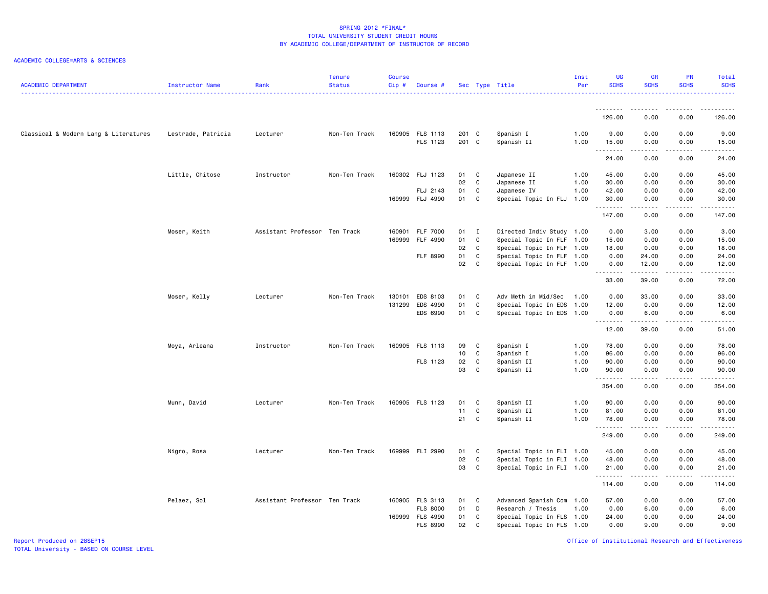## ACADEMIC COLLEGE=ARTS & SCIENCES

| <b>ACADEMIC DEPARTMENT</b>            | Instructor Name    | Rank                          | <b>Tenure</b><br><b>Status</b> | <b>Course</b><br>Cip# | Course #        |                 |              | Sec Type Title            | Inst<br>Per | <b>UG</b><br><b>SCHS</b> | <b>GR</b><br><b>SCHS</b> | PR<br><b>SCHS</b>                   | Total<br><b>SCHS</b>                  |
|---------------------------------------|--------------------|-------------------------------|--------------------------------|-----------------------|-----------------|-----------------|--------------|---------------------------|-------------|--------------------------|--------------------------|-------------------------------------|---------------------------------------|
|                                       |                    |                               |                                |                       |                 |                 |              |                           |             | <u>.</u>                 |                          |                                     |                                       |
|                                       |                    |                               |                                |                       |                 |                 |              |                           |             | 126.00                   | 0.00                     | 0.00                                | 126.00                                |
| Classical & Modern Lang & Literatures | Lestrade, Patricia | Lecturer                      | Non-Ten Track                  |                       | 160905 FLS 1113 | 201 C           |              | Spanish I                 | 1.00        | 9.00                     | 0.00                     | 0.00                                | 9.00                                  |
|                                       |                    |                               |                                |                       | FLS 1123        | 201 C           |              | Spanish II                | 1.00        | 15.00<br>.               | 0.00<br>.                | 0.00<br>.                           | 15.00<br>د د د د د                    |
|                                       |                    |                               |                                |                       |                 |                 |              |                           |             | 24.00                    | 0.00                     | 0.00                                | 24.00                                 |
|                                       | Little, Chitose    | Instructor                    | Non-Ten Track                  |                       | 160302 FLJ 1123 | 01              | <b>C</b>     | Japanese II               | 1.00        | 45.00                    | 0.00                     | 0.00                                | 45.00                                 |
|                                       |                    |                               |                                |                       |                 | 02              | $\mathbf{C}$ | Japanese II               | 1.00        | 30.00                    | 0.00                     | 0.00                                | 30.00                                 |
|                                       |                    |                               |                                |                       | FLJ 2143        | 01              | C            | Japanese IV               | 1.00        | 42.00                    | 0.00                     | 0.00                                | 42.00                                 |
|                                       |                    |                               |                                |                       | 169999 FLJ 4990 | 01 C            |              | Special Topic In FLJ      | 1.00        | 30.00<br>.               | 0.00<br>.                | 0.00<br>.                           | 30.00<br>.                            |
|                                       |                    |                               |                                |                       |                 |                 |              |                           |             | 147.00                   | 0.00                     | 0.00                                | 147.00                                |
|                                       | Moser, Keith       | Assistant Professor Ten Track |                                |                       | 160901 FLF 7000 | 01              | $\mathbf{I}$ | Directed Indiv Study 1.00 |             | 0.00                     | 3.00                     | 0.00                                | 3.00                                  |
|                                       |                    |                               |                                |                       | 169999 FLF 4990 | 01              | $\mathbf c$  | Special Topic In FLF 1.00 |             | 15.00                    | 0.00                     | 0.00                                | 15.00                                 |
|                                       |                    |                               |                                |                       |                 | 02              | C            | Special Topic In FLF 1.00 |             | 18.00                    | 0.00                     | 0.00                                | 18.00                                 |
|                                       |                    |                               |                                |                       | FLF 8990        | 01              | C            | Special Topic In FLF 1.00 |             | 0.00                     | 24.00                    | 0.00                                | 24.00                                 |
|                                       |                    |                               |                                |                       |                 | 02              | C            | Special Topic In FLF 1.00 |             | 0.00<br>.                | 12.00<br>.               | 0.00<br>.                           | 12.00<br>المتمام المتمار              |
|                                       |                    |                               |                                |                       |                 |                 |              |                           |             | 33.00                    | 39.00                    | 0.00                                | 72.00                                 |
|                                       | Moser, Kelly       | Lecturer                      | Non-Ten Track                  | 130101                | EDS 8103        | 01              | C            | Adv Meth in Mid/Sec       | 1.00        | 0.00                     | 33.00                    | 0.00                                | 33.00                                 |
|                                       |                    |                               |                                | 131299                | EDS 4990        | 01              | C            | Special Topic In EDS 1.00 |             | 12.00                    | 0.00                     | 0.00                                | 12.00                                 |
|                                       |                    |                               |                                |                       | EDS 6990        | 01              | $\mathbf c$  | Special Topic In EDS 1.00 |             | 0.00                     | 6.00<br>.                | 0.00<br>-----                       | 6.00<br>.                             |
|                                       |                    |                               |                                |                       |                 |                 |              |                           |             | 12.00                    | 39.00                    | 0.00                                | 51.00                                 |
|                                       | Moya, Arleana      | Instructor                    | Non-Ten Track                  |                       | 160905 FLS 1113 | 09              | <b>C</b>     | Spanish I                 | 1.00        | 78.00                    | 0.00                     | 0.00                                | 78.00                                 |
|                                       |                    |                               |                                |                       |                 | 10 <sub>1</sub> | C            | Spanish I                 | 1.00        | 96.00                    | 0.00                     | 0.00                                | 96.00                                 |
|                                       |                    |                               |                                |                       | FLS 1123        | 02              | C            | Spanish II                | 1.00        | 90.00                    | 0.00                     | 0.00                                | 90.00                                 |
|                                       |                    |                               |                                |                       |                 | 03              | C            | Spanish II                | 1.00        | 90.00<br>.               | 0.00<br>.                | 0.00<br>.                           | 90.00<br>د د د د د                    |
|                                       |                    |                               |                                |                       |                 |                 |              |                           |             | 354.00                   | 0.00                     | 0.00                                | 354.00                                |
|                                       | Munn, David        | Lecturer                      | Non-Ten Track                  |                       | 160905 FLS 1123 | 01              | C            | Spanish II                | 1.00        | 90.00                    | 0.00                     | 0.00                                | 90.00                                 |
|                                       |                    |                               |                                |                       |                 | 11              | C            | Spanish II                | 1.00        | 81.00                    | 0.00                     | 0.00                                | 81.00                                 |
|                                       |                    |                               |                                |                       |                 | 21              | C            | Spanish II                | 1.00        | 78.00                    | 0.00                     | 0.00                                | 78.00                                 |
|                                       |                    |                               |                                |                       |                 |                 |              |                           |             | .<br>249.00              | 0.00                     | $\sim$ $\sim$ $\sim$ $\sim$<br>0.00 | $\sim$ $\sim$ $\sim$ $\sim$<br>249.00 |
|                                       | Nigro, Rosa        | Lecturer                      | Non-Ten Track                  |                       | 169999 FLI 2990 | 01              | <b>C</b>     | Special Topic in FLI 1.00 |             | 45.00                    | 0.00                     | 0.00                                | 45.00                                 |
|                                       |                    |                               |                                |                       |                 | 02              | C            | Special Topic in FLI 1.00 |             | 48.00                    | 0.00                     | 0.00                                | 48.00                                 |
|                                       |                    |                               |                                |                       |                 | 03              | C            | Special Topic in FLI 1.00 |             | 21.00                    | 0.00                     | 0.00                                | 21.00                                 |
|                                       |                    |                               |                                |                       |                 |                 |              |                           |             | .<br>114.00              | .<br>0.00                | .<br>0.00                           | .<br>114.00                           |
|                                       | Pelaez, Sol        | Assistant Professor Ten Track |                                |                       | 160905 FLS 3113 | 01              | $\mathbf{C}$ | Advanced Spanish Com 1.00 |             | 57.00                    | 0.00                     | 0.00                                | 57.00                                 |
|                                       |                    |                               |                                |                       | <b>FLS 8000</b> | 01              | D            | Research / Thesis         | 1.00        | 0.00                     | 6.00                     | 0.00                                | 6.00                                  |
|                                       |                    |                               |                                |                       | 169999 FLS 4990 | 01              | C            | Special Topic In FLS 1.00 |             | 24.00                    | 0.00                     | 0.00                                | 24.00                                 |
|                                       |                    |                               |                                |                       | FLS 8990        | 02              | C            | Special Topic In FLS 1.00 |             | 0.00                     | 9.00                     | 0.00                                | 9.00                                  |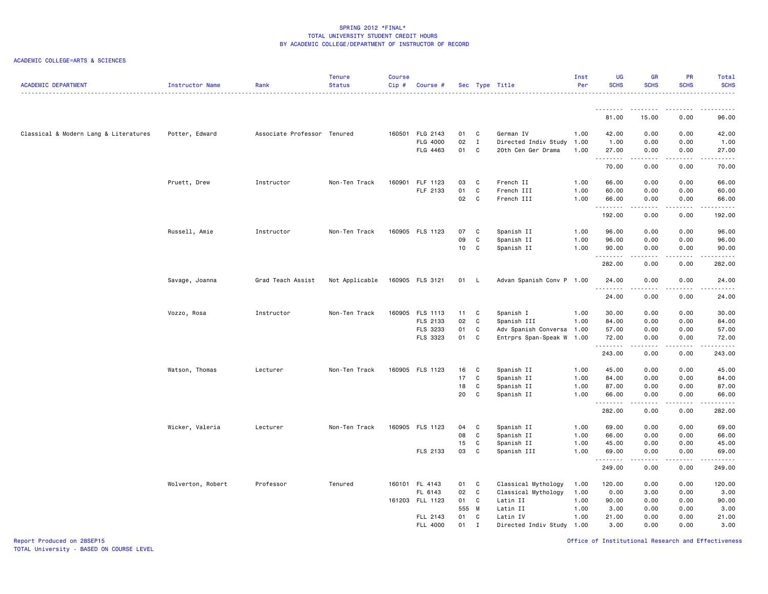## ACADEMIC COLLEGE=ARTS & SCIENCES

| <b>ACADEMIC DEPARTMENT</b>            | Instructor Name   | Rank                        | <b>Tenure</b><br><b>Status</b> | <b>Course</b><br>$Cip$ # | Course #        |       |              | Sec Type Title            | Inst<br>Per | <b>UG</b><br><b>SCHS</b> | <b>GR</b><br><b>SCHS</b> | PR<br><b>SCHS</b>              | <b>Total</b><br><b>SCHS</b>                                                                                                                                    |
|---------------------------------------|-------------------|-----------------------------|--------------------------------|--------------------------|-----------------|-------|--------------|---------------------------|-------------|--------------------------|--------------------------|--------------------------------|----------------------------------------------------------------------------------------------------------------------------------------------------------------|
|                                       |                   |                             |                                |                          |                 |       |              |                           |             | .                        | .                        | .                              |                                                                                                                                                                |
|                                       |                   |                             |                                |                          |                 |       |              |                           |             | 81.00                    | 15.00                    | 0.00                           | 96.00                                                                                                                                                          |
| Classical & Modern Lang & Literatures | Potter, Edward    | Associate Professor Tenured |                                |                          | 160501 FLG 2143 | 01 C  |              | German IV                 | 1.00        | 42.00                    | 0.00                     | 0.00                           | 42.00                                                                                                                                                          |
|                                       |                   |                             |                                |                          | FLG 4000        | 02    | $\mathbf{I}$ | Directed Indiv Study      | 1.00        | 1.00                     | 0.00                     | 0.00                           | 1.00                                                                                                                                                           |
|                                       |                   |                             |                                |                          | FLG 4463        | 01    | $\mathbf{C}$ | 20th Cen Ger Drama        | 1.00        | 27.00<br>.               | 0.00<br>.                | 0.00<br>.                      | 27.00<br>.                                                                                                                                                     |
|                                       |                   |                             |                                |                          |                 |       |              |                           |             | 70.00                    | 0.00                     | 0.00                           | 70.00                                                                                                                                                          |
|                                       | Pruett, Drew      | Instructor                  | Non-Ten Track                  |                          | 160901 FLF 1123 | 03    | C            | French II                 | 1.00        | 66.00                    | 0.00                     | 0.00                           | 66.00                                                                                                                                                          |
|                                       |                   |                             |                                |                          | FLF 2133        | 01    | C            | French III                | 1.00        | 60.00                    | 0.00                     | 0.00                           | 60.00                                                                                                                                                          |
|                                       |                   |                             |                                |                          |                 | 02 C  |              | French III                | 1.00        | 66.00<br>.               | 0.00<br>. <b>.</b>       | 0.00<br>.                      | 66.00<br>.                                                                                                                                                     |
|                                       |                   |                             |                                |                          |                 |       |              |                           |             | 192.00                   | 0.00                     | 0.00                           | 192.00                                                                                                                                                         |
|                                       | Russell, Amie     | Instructor                  | Non-Ten Track                  |                          | 160905 FLS 1123 | 07    | <b>C</b>     | Spanish II                | 1.00        | 96.00                    | 0.00                     | 0.00                           | 96.00                                                                                                                                                          |
|                                       |                   |                             |                                |                          |                 | 09    | C            | Spanish II                | 1.00        | 96.00                    | 0.00                     | 0.00                           | 96.00                                                                                                                                                          |
|                                       |                   |                             |                                |                          |                 | 10    | $\mathbf{C}$ | Spanish II                | 1.00        | 90.00<br>.               | 0.00<br>.                | 0.00<br>.                      | 90.00                                                                                                                                                          |
|                                       |                   |                             |                                |                          |                 |       |              |                           |             | 282.00                   | 0.00                     | 0.00                           | .<br>282.00                                                                                                                                                    |
|                                       | Savage, Joanna    | Grad Teach Assist           | Not Applicable                 |                          | 160905 FLS 3121 | 01 L  |              | Advan Spanish Conv P 1.00 |             | 24.00<br>.               | 0.00<br>.                | 0.00<br>$\omega$ is a $\omega$ | 24.00<br>$\frac{1}{2} \left( \frac{1}{2} \right) \left( \frac{1}{2} \right) \left( \frac{1}{2} \right) \left( \frac{1}{2} \right) \left( \frac{1}{2} \right)$  |
|                                       |                   |                             |                                |                          |                 |       |              |                           |             | 24.00                    | 0.00                     | 0.00                           | 24.00                                                                                                                                                          |
|                                       | Vozzo, Rosa       | Instructor                  | Non-Ten Track                  |                          | 160905 FLS 1113 | 11 C  |              | Spanish I                 | 1.00        | 30.00                    | 0.00                     | 0.00                           | 30.00                                                                                                                                                          |
|                                       |                   |                             |                                |                          | FLS 2133        | 02    | $\mathbf{C}$ | Spanish III               | 1.00        | 84.00                    | 0.00                     | 0.00                           | 84.00                                                                                                                                                          |
|                                       |                   |                             |                                |                          | FLS 3233        | 01    | C            | Adv Spanish Conversa 1.00 |             | 57.00                    | 0.00                     | 0.00                           | 57.00                                                                                                                                                          |
|                                       |                   |                             |                                |                          | FLS 3323        | 01    | C            | Entrprs Span-Speak W 1.00 |             | 72.00<br>.               | 0.00<br>.                | 0.00<br>.                      | 72.00                                                                                                                                                          |
|                                       |                   |                             |                                |                          |                 |       |              |                           |             | 243.00                   | 0.00                     | 0.00                           | 243.00                                                                                                                                                         |
|                                       | Watson, Thomas    | Lecturer                    | Non-Ten Track                  |                          | 160905 FLS 1123 | 16    | $\mathbf{C}$ | Spanish II                | 1.00        | 45.00                    | 0.00                     | 0.00                           | 45.00                                                                                                                                                          |
|                                       |                   |                             |                                |                          |                 | 17    | C            | Spanish II                | 1.00        | 84.00                    | 0.00                     | 0.00                           | 84.00                                                                                                                                                          |
|                                       |                   |                             |                                |                          |                 | 18    | C            | Spanish II                | 1.00        | 87.00                    | 0.00                     | 0.00                           | 87.00                                                                                                                                                          |
|                                       |                   |                             |                                |                          |                 | 20    | C            | Spanish II                | 1.00        | 66.00<br>.               | 0.00                     | 0.00<br>.                      | 66.00<br>.                                                                                                                                                     |
|                                       |                   |                             |                                |                          |                 |       |              |                           |             | 282.00                   | 0.00                     | 0.00                           | 282.00                                                                                                                                                         |
|                                       | Wicker, Valeria   | Lecturer                    | Non-Ten Track                  |                          | 160905 FLS 1123 | 04    | $\mathbf{C}$ | Spanish II                | 1.00        | 69.00                    | 0.00                     | 0.00                           | 69.00                                                                                                                                                          |
|                                       |                   |                             |                                |                          |                 | 08    | $\mathbf{C}$ | Spanish II                | 1.00        | 66.00                    | 0.00                     | 0.00                           | 66.00                                                                                                                                                          |
|                                       |                   |                             |                                |                          |                 | 15    | $\mathbf{C}$ | Spanish II                | 1.00        | 45.00                    | 0.00                     | 0.00                           | 45.00                                                                                                                                                          |
|                                       |                   |                             |                                |                          | FLS 2133        | 03    | C            | Spanish III               | 1.00        | 69.00                    | 0.00                     | 0.00                           | 69.00                                                                                                                                                          |
|                                       |                   |                             |                                |                          |                 |       |              |                           |             | .<br>249.00              | 0.00                     | ----<br>0.00                   | $\frac{1}{2} \left( \frac{1}{2} \right) \left( \frac{1}{2} \right) \left( \frac{1}{2} \right) \left( \frac{1}{2} \right) \left( \frac{1}{2} \right)$<br>249.00 |
|                                       | Wolverton, Robert | Professor                   | Tenured                        |                          | 160101 FL 4143  | 01 C  |              | Classical Mythology       | 1.00        | 120.00                   | 0.00                     | 0.00                           | 120.00                                                                                                                                                         |
|                                       |                   |                             |                                |                          | FL 6143         | 02 C  |              | Classical Mythology       | 1.00        | 0.00                     | 3.00                     | 0.00                           | 3.00                                                                                                                                                           |
|                                       |                   |                             |                                |                          | 161203 FLL 1123 | 01 C  |              | Latin II                  | 1.00        | 90.00                    | 0.00                     | 0.00                           | 90.00                                                                                                                                                          |
|                                       |                   |                             |                                |                          |                 | 555 M |              | Latin II                  | 1.00        | 3.00                     | 0.00                     | 0.00                           | 3.00                                                                                                                                                           |
|                                       |                   |                             |                                |                          | FLL 2143        | 01 C  |              | Latin IV                  | 1.00        | 21.00                    | 0.00                     | 0.00                           | 21.00                                                                                                                                                          |
|                                       |                   |                             |                                |                          | FLL 4000        | 01    | $\mathbf I$  | Directed Indiv Study 1.00 |             | 3.00                     | 0.00                     | 0.00                           | 3.00                                                                                                                                                           |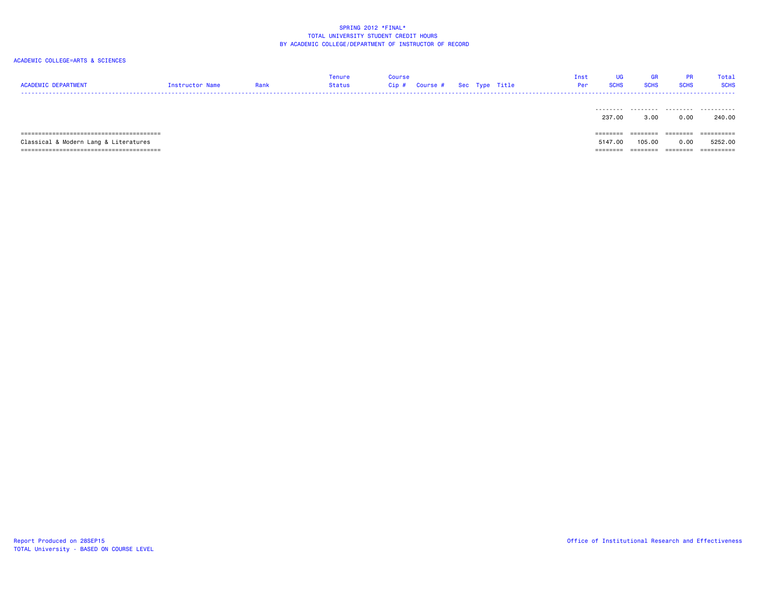| <b>ACADEMIC DEPARTMENT</b>            | Instructor Name | Rank | Tenure<br>Status | Course<br>Cip# |  | Course # Sec Type Title | Inst<br>Per | UG<br><b>SCHS</b> | GR<br><b>SCHS</b> | PR<br><b>SCHS</b> | Total<br><b>SCHS</b> |
|---------------------------------------|-----------------|------|------------------|----------------|--|-------------------------|-------------|-------------------|-------------------|-------------------|----------------------|
|                                       |                 |      |                  |                |  |                         |             | .<br>237.00       | .<br>3.00         | .<br>0.00         | .<br>240.00          |
|                                       |                 |      |                  |                |  |                         |             | $=$ = = = = = = = | ========          | ========          | ==========           |
| Classical & Modern Lang & Literatures |                 |      |                  |                |  |                         |             | 5147.00           | 105.00            | 0.00              | 5252.00              |
|                                       |                 |      |                  |                |  |                         |             | ========          | ========          | ========          | ==========           |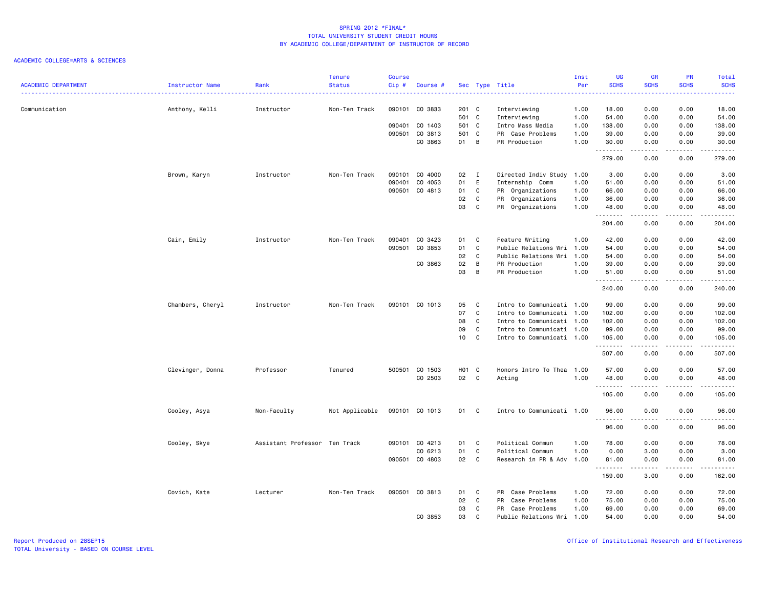|                            |                  |                               | <b>Tenure</b>  | <b>Course</b> |                |                   |                            |                           | Inst | <b>UG</b>   | <b>GR</b>        | PR                                  | Total                                                                                                                                    |
|----------------------------|------------------|-------------------------------|----------------|---------------|----------------|-------------------|----------------------------|---------------------------|------|-------------|------------------|-------------------------------------|------------------------------------------------------------------------------------------------------------------------------------------|
| <b>ACADEMIC DEPARTMENT</b> | Instructor Name  | Rank                          | <b>Status</b>  | Cip#          | Course #       |                   |                            | Sec Type Title            | Per  | <b>SCHS</b> | <b>SCHS</b>      | <b>SCHS</b>                         | <b>SCHS</b><br>$\frac{1}{2} \left( \frac{1}{2} \right) \left( \frac{1}{2} \right) \left( \frac{1}{2} \right) \left( \frac{1}{2} \right)$ |
| Communication              | Anthony, Kelli   | Instructor                    | Non-Ten Track  |               | 090101 CO 3833 | 201 C             |                            | Interviewing              | 1.00 | 18.00       | 0.00             | 0.00                                | 18.00                                                                                                                                    |
|                            |                  |                               |                |               |                | 501 C             |                            | Interviewing              | 1.00 | 54.00       | 0.00             | 0.00                                | 54.00                                                                                                                                    |
|                            |                  |                               |                |               | 090401 CO 1403 | 501 C             |                            | Intro Mass Media          | 1.00 | 138.00      | 0.00             | 0.00                                | 138.00                                                                                                                                   |
|                            |                  |                               |                |               | 090501 CO 3813 | 501 C             |                            | PR Case Problems          | 1.00 | 39.00       | 0.00             | 0.00                                | 39.00                                                                                                                                    |
|                            |                  |                               |                |               | CO 3863        | 01 B              |                            | PR Production             | 1.00 | 30.00       | 0.00             | 0.00                                | 30.00                                                                                                                                    |
|                            |                  |                               |                |               |                |                   |                            |                           |      | .<br>279.00 | د د د د<br>0.00  | $\sim$ $\sim$ $\sim$ $\sim$<br>0.00 | ------<br>279.00                                                                                                                         |
|                            | Brown, Karyn     | Instructor                    | Non-Ten Track  |               | 090101 CO 4000 | 02                | $\blacksquare$             | Directed Indiv Study 1.00 |      | 3.00        | 0.00             | 0.00                                | 3.00                                                                                                                                     |
|                            |                  |                               |                |               | 090401 CO 4053 | 01                | E                          | Internship Comm           | 1.00 | 51.00       | 0.00             | 0.00                                | 51.00                                                                                                                                    |
|                            |                  |                               |                |               | 090501 CO 4813 | 01 C              |                            | PR Organizations          | 1.00 | 66.00       | 0.00             | 0.00                                | 66.00                                                                                                                                    |
|                            |                  |                               |                |               |                | 02                | C                          | PR Organizations          | 1.00 | 36.00       | 0.00             | 0.00                                | 36.00                                                                                                                                    |
|                            |                  |                               |                |               |                | 03                | C                          | PR Organizations          | 1.00 | 48.00<br>.  | 0.00<br>.        | 0.00<br>.                           | 48.00<br>.                                                                                                                               |
|                            |                  |                               |                |               |                |                   |                            |                           |      | 204.00      | 0.00             | 0.00                                | 204.00                                                                                                                                   |
|                            | Cain, Emily      | Instructor                    | Non-Ten Track  |               | 090401 CO 3423 | 01                | $\mathbf{C}$               | Feature Writing           | 1.00 | 42.00       | 0.00             | 0.00                                | 42.00                                                                                                                                    |
|                            |                  |                               |                |               | 090501 CO 3853 | 01 C              |                            | Public Relations Wri      | 1.00 | 54.00       | 0.00             | 0.00                                | 54.00                                                                                                                                    |
|                            |                  |                               |                |               |                | 02                | $\mathbf{C}$               | Public Relations Wri      | 1.00 | 54.00       | 0.00             | 0.00                                | 54.00                                                                                                                                    |
|                            |                  |                               |                |               | CO 3863        | 02                | B                          | PR Production             | 1.00 | 39.00       | 0.00             | 0.00                                | 39.00                                                                                                                                    |
|                            |                  |                               |                |               |                | 03                | B                          | PR Production             | 1.00 | 51.00<br>.  | 0.00<br>.        | 0.00<br>.                           | 51.00                                                                                                                                    |
|                            |                  |                               |                |               |                |                   |                            |                           |      | 240.00      | 0.00             | 0.00                                | 240.00                                                                                                                                   |
|                            | Chambers, Cheryl | Instructor                    | Non-Ten Track  |               | 090101 CO 1013 | 05                | $\mathbf{C}$               | Intro to Communicati 1.00 |      | 99.00       | 0.00             | 0.00                                | 99.00                                                                                                                                    |
|                            |                  |                               |                |               |                | 07                | $\mathbf{C}$               | Intro to Communicati 1.00 |      | 102.00      | 0.00             | 0.00                                | 102.00                                                                                                                                   |
|                            |                  |                               |                |               |                | 08                | $\mathbf{C}$               | Intro to Communicati 1.00 |      | 102.00      | 0.00             | 0.00                                | 102.00                                                                                                                                   |
|                            |                  |                               |                |               |                | 09                | $\mathbf{C}$               | Intro to Communicati 1.00 |      | 99.00       | 0.00             | 0.00                                | 99.00                                                                                                                                    |
|                            |                  |                               |                |               |                | 10                | $\overline{\phantom{a}}$ c | Intro to Communicati 1.00 |      | 105.00<br>. | 0.00<br><b>.</b> | 0.00<br>.                           | 105.00<br>$\begin{array}{cccccccccc} \bullet & \bullet & \bullet & \bullet & \bullet & \bullet & \bullet & \bullet \end{array}$          |
|                            |                  |                               |                |               |                |                   |                            |                           |      | 507.00      | 0.00             | 0.00                                | 507.00                                                                                                                                   |
|                            | Clevinger, Donna | Professor                     | Tenured        |               | 500501 CO 1503 | H <sub>01</sub> C |                            | Honors Intro To Thea 1.00 |      | 57.00       | 0.00             | 0.00                                | 57.00                                                                                                                                    |
|                            |                  |                               |                |               | CO 2503        | 02 C              |                            | Acting                    | 1.00 | 48.00       | 0.00             | 0.00                                | 48.00                                                                                                                                    |
|                            |                  |                               |                |               |                |                   |                            |                           |      | 105.00      | .<br>0.00        | .<br>0.00                           | .<br>105.00                                                                                                                              |
|                            | Cooley, Asya     | Non-Faculty                   | Not Applicable |               | 090101 CO 1013 | 01 C              |                            | Intro to Communicati 1.00 |      | 96.00       | 0.00             | 0.00                                | 96.00                                                                                                                                    |
|                            |                  |                               |                |               |                |                   |                            |                           |      | .<br>96.00  | .<br>0.00        | .<br>0.00                           | .<br>96.00                                                                                                                               |
|                            | Cooley, Skye     | Assistant Professor Ten Track |                |               | 090101 CO 4213 | 01                | $\overline{\phantom{a}}$ C | Political Commun          | 1.00 | 78.00       | 0.00             | 0.00                                | 78.00                                                                                                                                    |
|                            |                  |                               |                |               | CO 6213        | 01 C              |                            | Political Commun          | 1.00 | 0.00        | 3.00             | 0.00                                | 3.00                                                                                                                                     |
|                            |                  |                               |                |               | 090501 CO 4803 | 02 C              |                            | Research in PR & Adv      | 1.00 | 81.00       | 0.00             | 0.00                                | 81.00                                                                                                                                    |
|                            |                  |                               |                |               |                |                   |                            |                           |      | .<br>159.00 | .<br>3.00        | .<br>0.00                           | .<br>162.00                                                                                                                              |
|                            | Covich, Kate     | Lecturer                      | Non-Ten Track  |               | 090501 CO 3813 | 01                | $\mathbf{C}$               | PR Case Problems          | 1.00 | 72.00       | 0.00             | 0.00                                | 72.00                                                                                                                                    |
|                            |                  |                               |                |               |                | 02                | $\mathbf{C}$               | PR Case Problems          | 1.00 | 75.00       | 0.00             | 0.00                                | 75.00                                                                                                                                    |
|                            |                  |                               |                |               |                | 03                | C                          | PR Case Problems          | 1.00 | 69.00       | 0.00             | 0.00                                | 69.00                                                                                                                                    |
|                            |                  |                               |                |               | CO 3853        | 03                | $\mathbf{C}$               | Public Relations Wri      | 1.00 | 54.00       | 0.00             | 0.00                                | 54.00                                                                                                                                    |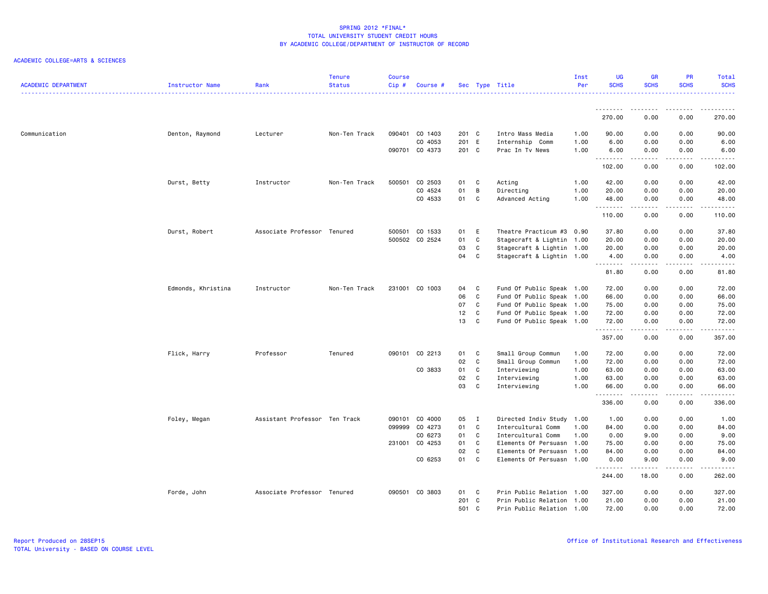| <b>ACADEMIC DEPARTMENT</b> | Instructor Name    | Rank                          | <b>Tenure</b><br><b>Status</b> | <b>Course</b><br>$Cip$ # | Course #       |       |              | Sec Type Title            | Inst<br>Per | <b>UG</b><br><b>SCHS</b> | <b>GR</b><br><b>SCHS</b> | PR<br><b>SCHS</b>                   | Total<br><b>SCHS</b>                                                                                                                                                                    |
|----------------------------|--------------------|-------------------------------|--------------------------------|--------------------------|----------------|-------|--------------|---------------------------|-------------|--------------------------|--------------------------|-------------------------------------|-----------------------------------------------------------------------------------------------------------------------------------------------------------------------------------------|
|                            |                    |                               |                                |                          |                |       |              |                           |             | <u>.</u>                 | .                        |                                     |                                                                                                                                                                                         |
|                            |                    |                               |                                |                          |                |       |              |                           |             | 270.00                   | 0.00                     | 0.00                                | 270.00                                                                                                                                                                                  |
| Communication              | Denton, Raymond    | Lecturer                      | Non-Ten Track                  |                          | 090401 CO 1403 | 201 C |              | Intro Mass Media          | 1.00        | 90.00                    | 0.00                     | 0.00                                | 90.00                                                                                                                                                                                   |
|                            |                    |                               |                                |                          | CO 4053        | 201 E |              | Internship Comm           | 1.00        | 6.00                     | 0.00                     | 0.00                                | 6.00                                                                                                                                                                                    |
|                            |                    |                               |                                |                          | 090701 CO 4373 | 201 C |              | Prac In Tv News           | 1.00        | 6.00<br>.                | 0.00<br>د د د د          | 0.00<br>$\sim$ $\sim$ $\sim$ $\sim$ | 6.00<br>$\frac{1}{2} \left( \frac{1}{2} \right) \left( \frac{1}{2} \right) \left( \frac{1}{2} \right) \left( \frac{1}{2} \right) \left( \frac{1}{2} \right) \left( \frac{1}{2} \right)$ |
|                            |                    |                               |                                |                          |                |       |              |                           |             | 102.00                   | 0.00                     | 0.00                                | 102.00                                                                                                                                                                                  |
|                            | Durst, Betty       | Instructor                    | Non-Ten Track                  | 500501                   | CO 2503        | 01    | C            | Acting                    | 1.00        | 42.00                    | 0.00                     | 0.00                                | 42.00                                                                                                                                                                                   |
|                            |                    |                               |                                |                          | CO 4524        | 01    | B            | Directing                 | 1.00        | 20.00                    | 0.00                     | 0.00                                | 20.00                                                                                                                                                                                   |
|                            |                    |                               |                                |                          | CO 4533        | 01    | $\mathbf c$  | Advanced Acting           | 1.00        | 48.00<br>.               | 0.00<br>-----            | 0.00<br>.                           | 48.00<br>.                                                                                                                                                                              |
|                            |                    |                               |                                |                          |                |       |              |                           |             | 110.00                   | 0.00                     | 0.00                                | 110.00                                                                                                                                                                                  |
|                            | Durst, Robert      | Associate Professor Tenured   |                                |                          | 500501 CO 1533 | 01    | E            | Theatre Practicum #3 0.90 |             | 37.80                    | 0.00                     | 0.00                                | 37.80                                                                                                                                                                                   |
|                            |                    |                               |                                |                          | 500502 CO 2524 | 01    | C            | Stagecraft & Lightin 1.00 |             | 20.00                    | 0.00                     | 0.00                                | 20.00                                                                                                                                                                                   |
|                            |                    |                               |                                |                          |                | 03    | C            | Stagecraft & Lightin 1.00 |             | 20.00                    | 0.00                     | 0.00                                | 20.00                                                                                                                                                                                   |
|                            |                    |                               |                                |                          |                | 04    | C            | Stagecraft & Lightin 1.00 |             | 4.00<br><u>.</u>         | 0.00<br>.                | 0.00<br>.                           | 4.00<br>.                                                                                                                                                                               |
|                            |                    |                               |                                |                          |                |       |              |                           |             | 81.80                    | 0.00                     | 0.00                                | 81.80                                                                                                                                                                                   |
|                            | Edmonds, Khristina | Instructor                    | Non-Ten Track                  |                          | 231001 CO 1003 | 04    | C            | Fund Of Public Speak 1.00 |             | 72.00                    | 0.00                     | 0.00                                | 72.00                                                                                                                                                                                   |
|                            |                    |                               |                                |                          |                | 06    | C            | Fund Of Public Speak 1.00 |             | 66.00                    | 0.00                     | 0.00                                | 66.00                                                                                                                                                                                   |
|                            |                    |                               |                                |                          |                | 07    | C            | Fund Of Public Speak 1.00 |             | 75.00                    | 0.00                     | 0.00                                | 75.00                                                                                                                                                                                   |
|                            |                    |                               |                                |                          |                | 12    | $\mathbf{C}$ | Fund Of Public Speak 1.00 |             | 72.00                    | 0.00                     | 0.00                                | 72.00                                                                                                                                                                                   |
|                            |                    |                               |                                |                          |                | 13    | C            | Fund Of Public Speak 1.00 |             | 72.00<br>.               | 0.00<br>.                | 0.00<br>$   -$                      | 72.00<br>.                                                                                                                                                                              |
|                            |                    |                               |                                |                          |                |       |              |                           |             | 357.00                   | 0.00                     | 0.00                                | 357.00                                                                                                                                                                                  |
|                            | Flick, Harry       | Professor                     | Tenured                        |                          | 090101 CO 2213 | 01    | C            | Small Group Commun        | 1.00        | 72.00                    | 0.00                     | 0.00                                | 72.00                                                                                                                                                                                   |
|                            |                    |                               |                                |                          |                | 02    | C            | Small Group Commun        | 1.00        | 72.00                    | 0.00                     | 0.00                                | 72.00                                                                                                                                                                                   |
|                            |                    |                               |                                |                          | CO 3833        | 01    | C            | Interviewing              | 1.00        | 63.00                    | 0.00                     | 0.00                                | 63.00                                                                                                                                                                                   |
|                            |                    |                               |                                |                          |                | 02    | C            | Interviewing              | 1.00        | 63.00                    | 0.00                     | 0.00                                | 63.00                                                                                                                                                                                   |
|                            |                    |                               |                                |                          |                | 03    | C            | Interviewing              | 1.00        | 66.00<br>.               | 0.00<br>د د د د          | 0.00<br>.                           | 66.00<br>$\frac{1}{2} \left( \frac{1}{2} \right) \left( \frac{1}{2} \right) \left( \frac{1}{2} \right) \left( \frac{1}{2} \right) \left( \frac{1}{2} \right)$                           |
|                            |                    |                               |                                |                          |                |       |              |                           |             | 336.00                   | 0.00                     | 0.00                                | 336.00                                                                                                                                                                                  |
|                            | Foley, Megan       | Assistant Professor Ten Track |                                | 090101                   | CO 4000        | 05    | $\mathbf{I}$ | Directed Indiv Study      | 1.00        | 1.00                     | 0.00                     | 0.00                                | 1.00                                                                                                                                                                                    |
|                            |                    |                               |                                | 099999                   | CO 4273        | 01    | C            | Intercultural Comm        | 1.00        | 84.00                    | 0.00                     | 0.00                                | 84.00                                                                                                                                                                                   |
|                            |                    |                               |                                |                          | CO 6273        | 01    | C            | Intercultural Comm        | 1.00        | 0.00                     | 9.00                     | 0.00                                | 9.00                                                                                                                                                                                    |
|                            |                    |                               |                                |                          | 231001 CO 4253 | 01    | C            | Elements Of Persuasn      | 1.00        | 75.00                    | 0.00                     | 0.00                                | 75.00                                                                                                                                                                                   |
|                            |                    |                               |                                |                          |                | 02    | C            | Elements Of Persuasn      | 1.00        | 84.00                    | 0.00                     | 0.00                                | 84.00                                                                                                                                                                                   |
|                            |                    |                               |                                |                          | CO 6253        | 01    | C            | Elements Of Persuasn      | 1.00        | 0.00<br>.                | 9.00<br>.                | 0.00<br>.                           | 9.00<br>.                                                                                                                                                                               |
|                            |                    |                               |                                |                          |                |       |              |                           |             | 244.00                   | 18.00                    | 0.00                                | 262.00                                                                                                                                                                                  |
|                            | Forde, John        | Associate Professor Tenured   |                                |                          | 090501 CO 3803 | 01    | C            | Prin Public Relation 1.00 |             | 327.00                   | 0.00                     | 0.00                                | 327.00                                                                                                                                                                                  |
|                            |                    |                               |                                |                          |                | 201 C |              | Prin Public Relation      | 1.00        | 21.00                    | 0.00                     | 0.00                                | 21.00                                                                                                                                                                                   |
|                            |                    |                               |                                |                          |                | 501 C |              | Prin Public Relation 1.00 |             | 72.00                    | 0.00                     | 0.00                                | 72.00                                                                                                                                                                                   |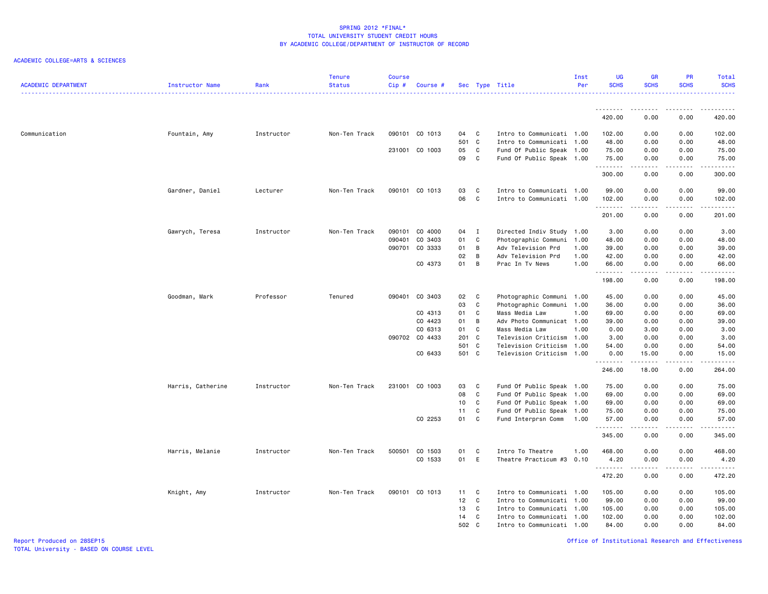## ACADEMIC COLLEGE=ARTS & SCIENCES

| <b>ACADEMIC DEPARTMENT</b> | Instructor Name   | Rank       | <b>Tenure</b><br><b>Status</b> | <b>Course</b><br>Cip# | Course #       |                |              | Sec Type Title            | Inst<br>Per | <b>UG</b><br><b>SCHS</b> | <b>GR</b><br><b>SCHS</b> | PR<br><b>SCHS</b>                   | Total<br><b>SCHS</b>                        |
|----------------------------|-------------------|------------|--------------------------------|-----------------------|----------------|----------------|--------------|---------------------------|-------------|--------------------------|--------------------------|-------------------------------------|---------------------------------------------|
|                            |                   |            |                                |                       |                |                |              |                           |             | .                        |                          | .                                   |                                             |
|                            |                   |            |                                |                       |                |                |              |                           |             | 420.00                   | 0.00                     | 0.00                                | 420.00                                      |
| Communication              | Fountain, Amy     | Instructor | Non-Ten Track                  |                       | 090101 CO 1013 | 04             | C            | Intro to Communicati 1.00 |             | 102.00                   | 0.00                     | 0.00                                | 102.00                                      |
|                            |                   |            |                                |                       |                | 501 C          |              | Intro to Communicati 1.00 |             | 48.00                    | 0.00                     | 0.00                                | 48.00                                       |
|                            |                   |            |                                |                       | 231001 CO 1003 | 05             | $\mathbf{C}$ | Fund Of Public Speak 1.00 |             | 75.00                    | 0.00                     | 0.00                                | 75.00                                       |
|                            |                   |            |                                |                       |                | 09             | C            | Fund Of Public Speak 1.00 |             | 75.00<br>.               | 0.00                     | 0.00<br>.                           | 75.00<br>$\sim$ $\sim$ $\sim$ $\sim$ $\sim$ |
|                            |                   |            |                                |                       |                |                |              |                           |             | 300.00                   | 0.00                     | 0.00                                | 300.00                                      |
|                            | Gardner, Daniel   | Lecturer   | Non-Ten Track                  |                       | 090101 CO 1013 | 03             | C            | Intro to Communicati 1.00 |             | 99.00                    | 0.00                     | 0.00                                | 99.00                                       |
|                            |                   |            |                                |                       |                | 06             | C.           | Intro to Communicati 1.00 |             | 102.00                   | 0.00                     | 0.00                                | 102.00                                      |
|                            |                   |            |                                |                       |                |                |              |                           |             | .<br>201.00              | .<br>0.00                | .<br>0.00                           | .<br>201.00                                 |
|                            | Gawrych, Teresa   | Instructor | Non-Ten Track                  | 090101                | CO 4000        | 04             | $\mathbf{I}$ | Directed Indiv Study      | 1.00        | 3.00                     | 0.00                     | 0.00                                | 3.00                                        |
|                            |                   |            |                                | 090401                | CO 3403        | 01             | $\mathbf c$  | Photographic Communi      | 1.00        | 48.00                    | 0.00                     | 0.00                                | 48.00                                       |
|                            |                   |            |                                |                       | 090701 CO 3333 | 01             | B            | Adv Television Prd        | 1.00        | 39.00                    | 0.00                     | 0.00                                | 39.00                                       |
|                            |                   |            |                                |                       |                | 02             | B            | Adv Television Prd        | 1.00        | 42.00                    | 0.00                     | 0.00                                | 42.00                                       |
|                            |                   |            |                                |                       | CO 4373        | 01             | B            | Prac In Tv News           | 1.00        | 66.00<br>.               | 0.00<br>.                | 0.00<br>المتماما                    | 66.00<br>.                                  |
|                            |                   |            |                                |                       |                |                |              |                           |             | 198.00                   | 0.00                     | 0.00                                | 198.00                                      |
|                            | Goodman, Mark     | Professor  | Tenured                        |                       | 090401 CO 3403 | 02             | $\mathbf{C}$ | Photographic Communi 1.00 |             | 45.00                    | 0.00                     | 0.00                                | 45.00                                       |
|                            |                   |            |                                |                       |                | 03             | C            | Photographic Communi 1.00 |             | 36.00                    | 0.00                     | 0.00                                | 36.00                                       |
|                            |                   |            |                                |                       | CO 4313        | 01             | C            | Mass Media Law            | 1.00        | 69.00                    | 0.00                     | 0.00                                | 69.00                                       |
|                            |                   |            |                                |                       | CO 4423        | 01             | B            | Adv Photo Communicat 1.00 |             | 39.00                    | 0.00                     | 0.00                                | 39.00                                       |
|                            |                   |            |                                |                       | CO 6313        | 01             | C            | Mass Media Law            | 1.00        | 0.00                     | 3.00                     | 0.00                                | 3.00                                        |
|                            |                   |            |                                |                       | 090702 CO 4433 | 201 C          |              | Television Criticism 1.00 |             | 3.00                     | 0.00                     | 0.00                                | 3.00                                        |
|                            |                   |            |                                |                       | CO 6433        | 501 C<br>501 C |              | Television Criticism      | 1.00        | 54.00                    | 0.00                     | 0.00                                | 54.00<br>15.00                              |
|                            |                   |            |                                |                       |                |                |              | Television Criticism 1.00 |             | 0.00<br><u>.</u>         | 15.00<br>.               | 0.00<br>$\sim$ $\sim$ $\sim$ $\sim$ | د د د د د                                   |
|                            |                   |            |                                |                       |                |                |              |                           |             | 246.00                   | 18.00                    | 0.00                                | 264.00                                      |
|                            | Harris, Catherine | Instructor | Non-Ten Track                  |                       | 231001 CO 1003 | 03             | C            | Fund Of Public Speak 1.00 |             | 75.00                    | 0.00                     | 0.00                                | 75.00                                       |
|                            |                   |            |                                |                       |                | 08             | C            | Fund Of Public Speak 1.00 |             | 69.00                    | 0.00                     | 0.00                                | 69.00                                       |
|                            |                   |            |                                |                       |                | 10             | C            | Fund Of Public Speak 1.00 |             | 69.00                    | 0.00                     | 0.00                                | 69.00                                       |
|                            |                   |            |                                |                       |                | 11             | C            | Fund Of Public Speak      | 1.00        | 75.00                    | 0.00                     | 0.00                                | 75.00                                       |
|                            |                   |            |                                |                       | CO 2253        | 01             | $\mathbf{C}$ | Fund Interprsn Comm       | 1.00        | 57.00<br><u>.</u>        | 0.00<br>.                | 0.00<br>.                           | 57.00<br>.                                  |
|                            |                   |            |                                |                       |                |                |              |                           |             | 345.00                   | 0.00                     | 0.00                                | 345.00                                      |
|                            | Harris, Melanie   | Instructor | Non-Ten Track                  | 500501                | CO 1503        | 01             | C            | Intro To Theatre          | 1.00        | 468.00                   | 0.00                     | 0.00                                | 468.00                                      |
|                            |                   |            |                                |                       | CO 1533        | 01             | E            | Theatre Practicum #3      | 0.10        | 4.20<br>.                | 0.00<br>.                | 0.00<br>الأعامات                    | 4.20<br>المتمالين                           |
|                            |                   |            |                                |                       |                |                |              |                           |             | 472.20                   | 0.00                     | 0.00                                | 472.20                                      |
|                            | Knight, Amy       | Instructor | Non-Ten Track                  |                       | 090101 CO 1013 | 11             | C            | Intro to Communicati 1.00 |             | 105.00                   | 0.00                     | 0.00                                | 105.00                                      |
|                            |                   |            |                                |                       |                | 12             | $\mathbf c$  | Intro to Communicati 1.00 |             | 99.00                    | 0.00                     | 0.00                                | 99.00                                       |
|                            |                   |            |                                |                       |                | 13             | C            | Intro to Communicati      | 1.00        | 105.00                   | 0.00                     | 0.00                                | 105.00                                      |
|                            |                   |            |                                |                       |                | 14             | C            | Intro to Communicati 1.00 |             | 102.00                   | 0.00                     | 0.00                                | 102.00                                      |
|                            |                   |            |                                |                       |                | 502 C          |              | Intro to Communicati 1.00 |             | 84.00                    | 0.00                     | 0.00                                | 84.00                                       |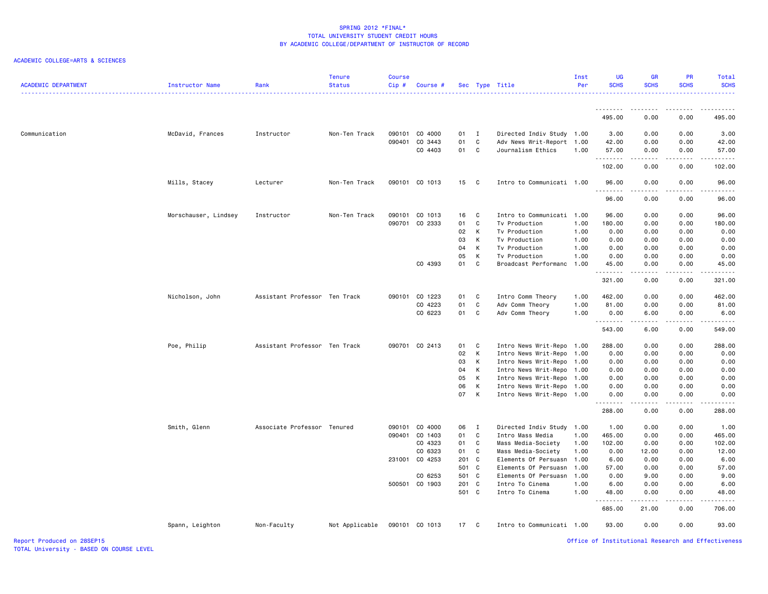# ACADEMIC COLLEGE=ARTS & SCIENCES

| <b>ACADEMIC DEPARTMENT</b> | Instructor Name      | Rank                          | <b>Tenure</b><br><b>Status</b> | Course<br>Cip# | Course #       |                |                | Sec Type Title                                    | Inst<br>Per  | UG<br><b>SCHS</b> | <b>GR</b><br><b>SCHS</b> | PR<br><b>SCHS</b>     | Total<br><b>SCHS</b> |
|----------------------------|----------------------|-------------------------------|--------------------------------|----------------|----------------|----------------|----------------|---------------------------------------------------|--------------|-------------------|--------------------------|-----------------------|----------------------|
|                            |                      |                               |                                |                |                |                |                |                                                   |              | .                 |                          |                       |                      |
|                            |                      |                               |                                |                |                |                |                |                                                   |              | 495.00            | 0.00                     | 0.00                  | 495.00               |
| Communication              | McDavid, Frances     | Instructor                    | Non-Ten Track                  |                | 090101 CO 4000 | 01 I           |                | Directed Indiv Study 1.00                         |              | 3.00              | 0.00                     | 0.00                  | 3.00                 |
|                            |                      |                               |                                | 090401         | CO 3443        | 01             | C              | Adv News Writ-Report                              | 1.00         | 42.00             | 0.00                     | 0.00                  | 42.00                |
|                            |                      |                               |                                |                | CO 4403        | 01 C           |                | Journalism Ethics                                 | 1.00         | 57.00<br>.        | 0.00<br>.                | 0.00<br>$\frac{1}{2}$ | 57.00<br>.           |
|                            |                      |                               |                                |                |                |                |                |                                                   |              | 102.00            | 0.00                     | 0.00                  | 102.00               |
|                            | Mills, Stacey        | Lecturer                      | Non-Ten Track                  |                | 090101 CO 1013 | 15             | $\mathbf{C}$   | Intro to Communicati 1.00                         |              | 96.00             | 0.00                     | 0.00                  | 96.00<br>.           |
|                            |                      |                               |                                |                |                |                |                |                                                   |              | 96.00             | 0.00                     | 0.00                  | 96.00                |
|                            | Morschauser, Lindsey | Instructor                    | Non-Ten Track                  | 090101         | CO 1013        | 16             | C              | Intro to Communicati 1.00                         |              | 96.00             | 0.00                     | 0.00                  | 96.00                |
|                            |                      |                               |                                |                | 090701 CO 2333 | 01             | C              | Tv Production                                     | 1.00         | 180.00            | 0.00                     | 0.00                  | 180.00               |
|                            |                      |                               |                                |                |                | 02             | K              | Tv Production                                     | 1.00         | 0.00              | 0.00                     | 0.00                  | 0.00                 |
|                            |                      |                               |                                |                |                | 03             | К              | Tv Production                                     | 1.00         | 0.00              | 0.00                     | 0.00                  | 0.00                 |
|                            |                      |                               |                                |                |                | 04             | K              | Tv Production                                     | 1.00         | 0.00              | 0.00                     | 0.00                  | 0.00                 |
|                            |                      |                               |                                |                |                | 05             | K              | Tv Production                                     | 1.00         | 0.00              | 0.00                     | 0.00                  | 0.00                 |
|                            |                      |                               |                                |                | CO 4393        | 01             | C              | Broadcast Performanc                              | 1.00         | 45.00<br>.        | 0.00<br>.                | 0.00<br>.             | 45.00<br>.           |
|                            |                      |                               |                                |                |                |                |                |                                                   |              | 321.00            | 0.00                     | 0.00                  | 321.00               |
|                            | Nicholson, John      | Assistant Professor Ten Track |                                |                | 090101 CO 1223 | 01             | $\mathbf{C}$   | Intro Comm Theory                                 | 1.00         | 462.00            | 0.00                     | 0.00                  | 462.00               |
|                            |                      |                               |                                |                | CO 4223        | 01             | $\mathbf{C}$   | Adv Comm Theory                                   | 1.00         | 81.00             | 0.00                     | 0.00                  | 81.00                |
|                            |                      |                               |                                |                | CO 6223        | 01             | C              | Adv Comm Theory                                   | 1.00         | 0.00<br>.         | 6.00<br>.                | 0.00<br>.             | 6.00<br>.            |
|                            |                      |                               |                                |                |                |                |                |                                                   |              | 543.00            | 6.00                     | 0.00                  | 549.00               |
|                            | Poe, Philip          | Assistant Professor Ten Track |                                |                | 090701 CO 2413 | 01             | C              | Intro News Writ-Repo                              | 1.00         | 288.00            | 0.00                     | 0.00                  | 288.00               |
|                            |                      |                               |                                |                |                | 02             | K              | Intro News Writ-Repo                              | 1.00         | 0.00              | 0.00                     | 0.00                  | 0.00                 |
|                            |                      |                               |                                |                |                | 03             | К              | Intro News Writ-Repo                              | 1.00         | 0.00              | 0.00                     | 0.00                  | 0.00                 |
|                            |                      |                               |                                |                |                | 04             | К              | Intro News Writ-Repo                              | 1.00         | 0.00              | 0.00                     | 0.00                  | 0.00                 |
|                            |                      |                               |                                |                |                | 05             | K              | Intro News Writ-Repo                              | 1.00         | 0.00              | 0.00                     | 0.00                  | 0.00                 |
|                            |                      |                               |                                |                |                | 06<br>07       | K<br>К         | Intro News Writ-Repo<br>Intro News Writ-Repo 1.00 | 1.00         | 0.00<br>0.00      | 0.00<br>0.00             | 0.00<br>0.00          | 0.00<br>0.00         |
|                            |                      |                               |                                |                |                |                |                |                                                   |              | 288.00            | 0.00                     | 0.00                  | -----<br>288.00      |
|                            |                      |                               |                                |                |                |                |                |                                                   |              |                   |                          |                       |                      |
|                            | Smith, Glenn         | Associate Professor Tenured   |                                |                | 090101 CO 4000 | 06             | $\blacksquare$ | Directed Indiv Study                              | 1.00         | 1.00              | 0.00                     | 0.00                  | 1.00                 |
|                            |                      |                               |                                | 090401         | CO 1403        | 01             | C.             | Intro Mass Media                                  | 1.00         | 465.00            | 0.00                     | 0.00                  | 465.00               |
|                            |                      |                               |                                |                | CO 4323        | 01             | C              | Mass Media-Society                                | 1.00         | 102.00            | 0.00                     | 0.00                  | 102.00               |
|                            |                      |                               |                                |                | CO 6323        | 01             | C              | Mass Media-Society                                | 1.00         | 0.00              | 12.00                    | 0.00                  | 12.00                |
|                            |                      |                               |                                |                | 231001 CO 4253 | 201 C          |                | Elements Of Persuasn                              | 1.00         | 6.00              | 0.00                     | 0.00                  | 6.00                 |
|                            |                      |                               |                                |                |                | 501 C          |                | Elements Of Persuasn                              | 1.00         | 57.00             | 0.00                     | 0.00                  | 57.00                |
|                            |                      |                               |                                |                | CO 6253        | 501 C          |                | Elements Of Persuasn                              | 1.00         | 0.00              | 9.00                     | 0.00                  | 9.00                 |
|                            |                      |                               |                                |                | 500501 CO 1903 | 201 C<br>501 C |                | Intro To Cinema<br>Intro To Cinema                | 1.00<br>1.00 | 6.00<br>48.00     | 0.00<br>0.00             | 0.00<br>0.00          | 6.00<br>48.00        |
|                            |                      |                               |                                |                |                |                |                |                                                   |              | .                 | <u>.</u>                 | .                     | .                    |
|                            |                      |                               |                                |                |                |                |                |                                                   |              | 685.00            | 21.00                    | 0.00                  | 706.00               |
|                            | Spann, Leighton      | Non-Faculty                   | Not Applicable                 |                | 090101 CO 1013 | 17 C           |                | Intro to Communicati 1.00                         |              | 93.00             | 0.00                     | 0.00                  | 93.00                |

Office of Institutional Research and Effectiveness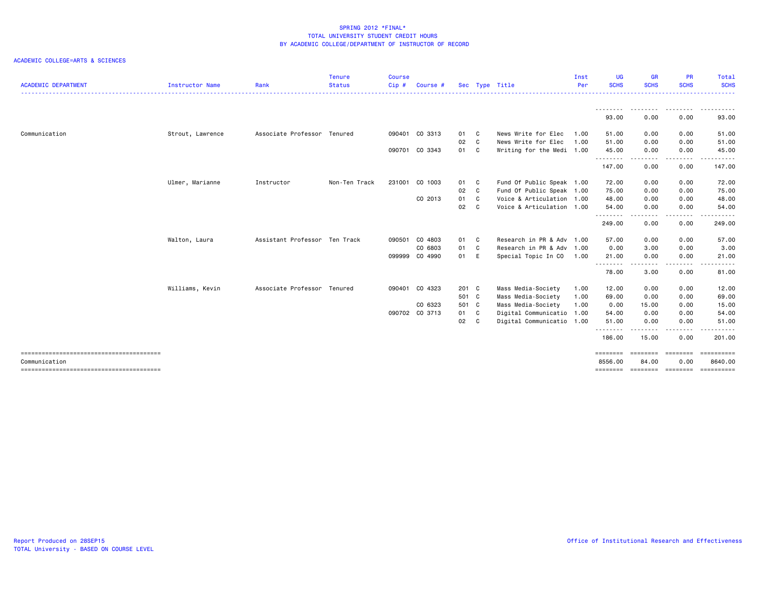| <b>ACADEMIC DEPARTMENT</b> | <b>Instructor Name</b> | Rank                          | <b>Tenure</b><br><b>Status</b> | Course<br>$Cip$ # | Course #       |       |              | Sec Type Title            | Inst<br>Per | <b>UG</b><br><b>SCHS</b> | <b>GR</b><br><b>SCHS</b> | <b>PR</b><br><b>SCHS</b>                                                                                                                                     | Total<br><b>SCHS</b>           |
|----------------------------|------------------------|-------------------------------|--------------------------------|-------------------|----------------|-------|--------------|---------------------------|-------------|--------------------------|--------------------------|--------------------------------------------------------------------------------------------------------------------------------------------------------------|--------------------------------|
|                            |                        |                               |                                |                   |                |       |              |                           |             |                          |                          |                                                                                                                                                              | .                              |
|                            |                        |                               |                                |                   |                |       |              |                           |             | ---------<br>93,00       | .<br>0.00                | .<br>0.00                                                                                                                                                    | والمرابط المرابط<br>.<br>93.00 |
| Communication              | Strout, Lawrence       | Associate Professor Tenured   |                                |                   | 090401 CO 3313 | 01 C  |              | News Write for Elec       | 1.00        | 51.00                    | 0.00                     | 0.00                                                                                                                                                         | 51.00                          |
|                            |                        |                               |                                |                   |                | 02    | $\mathbf{C}$ | News Write for Elec       | 1.00        | 51.00                    | 0.00                     | 0.00                                                                                                                                                         | 51.00                          |
|                            |                        |                               |                                |                   | 090701 CO 3343 | 01 C  |              | Writing for the Medi 1.00 |             | 45.00<br>.               | 0.00                     | 0.00<br>$\cdots$                                                                                                                                             | 45.00                          |
|                            |                        |                               |                                |                   |                |       |              |                           |             | 147.00                   | 0.00                     | 0.00                                                                                                                                                         | 147.00                         |
|                            | Ulmer, Marianne        | Instructor                    | Non-Ten Track                  | 231001            | CO 1003        | 01 C  |              | Fund Of Public Speak 1.00 |             | 72.00                    | 0.00                     | 0.00                                                                                                                                                         | 72.00                          |
|                            |                        |                               |                                |                   |                | 02 C  |              | Fund Of Public Speak 1.00 |             | 75.00                    | 0.00                     | 0.00                                                                                                                                                         | 75.00                          |
|                            |                        |                               |                                |                   | CO 2013        | 01 C  |              | Voice & Articulation 1.00 |             | 48.00                    | 0.00                     | 0.00                                                                                                                                                         | 48.00                          |
|                            |                        |                               |                                |                   |                | 02    | $\mathbf{C}$ | Voice & Articulation 1.00 |             | 54.00                    | 0.00                     | 0.00                                                                                                                                                         | 54.00                          |
|                            |                        |                               |                                |                   |                |       |              |                           |             | .<br>249.00              | 0.00                     | $\frac{1}{2}$<br>0.00                                                                                                                                        | .<br>249.00                    |
|                            | Walton, Laura          | Assistant Professor Ten Track |                                |                   | 090501 CO 4803 | 01 C  |              | Research in PR & Adv 1.00 |             | 57.00                    | 0.00                     | 0.00                                                                                                                                                         | 57.00                          |
|                            |                        |                               |                                |                   | CO 6803        | 01 C  |              | Research in PR & Adv 1.00 |             | 0.00                     | 3.00                     | 0.00                                                                                                                                                         | 3.00                           |
|                            |                        |                               |                                |                   | 099999 CO 4990 | 01 E  |              | Special Topic In CO       | 1.00        | 21.00                    | 0.00                     | 0.00                                                                                                                                                         | 21.00                          |
|                            |                        |                               |                                |                   |                |       |              |                           |             | .<br>78.00               | -----<br>3.00            | $\frac{1}{2} \left( \frac{1}{2} \right) \left( \frac{1}{2} \right) \left( \frac{1}{2} \right) \left( \frac{1}{2} \right) \left( \frac{1}{2} \right)$<br>0.00 | .<br>81.00                     |
|                            | Williams, Kevin        | Associate Professor Tenured   |                                |                   | 090401 CO 4323 | 201 C |              | Mass Media-Society        | 1.00        | 12.00                    | 0.00                     | 0.00                                                                                                                                                         | 12.00                          |
|                            |                        |                               |                                |                   |                | 501 C |              | Mass Media-Society        | 1.00        | 69.00                    | 0.00                     | 0.00                                                                                                                                                         | 69.00                          |
|                            |                        |                               |                                |                   | CO 6323        | 501 C |              | Mass Media-Society        | 1.00        | 0.00                     | 15.00                    | 0.00                                                                                                                                                         | 15.00                          |
|                            |                        |                               |                                |                   | 090702 CO 3713 | 01 C  |              | Digital Communicatio 1.00 |             | 54.00                    | 0.00                     | 0.00                                                                                                                                                         | 54.00                          |
|                            |                        |                               |                                |                   |                | 02 C  |              | Digital Communicatio 1.00 |             | 51.00                    | 0.00                     | 0.00                                                                                                                                                         | 51.00                          |
|                            |                        |                               |                                |                   |                |       |              |                           |             | .<br>186,00              | 15.00                    | . <b>.</b><br>0.00                                                                                                                                           | .<br>201.00                    |
|                            |                        |                               |                                |                   |                |       |              |                           |             | ========                 | ---------                | ========                                                                                                                                                     | ==========                     |
| Communication              |                        |                               |                                |                   |                |       |              |                           |             | 8556.00                  | 84.00                    | 0.00                                                                                                                                                         | 8640.00                        |
|                            |                        |                               |                                |                   |                |       |              |                           |             | ========                 | sococce coccocc          |                                                                                                                                                              | ==========                     |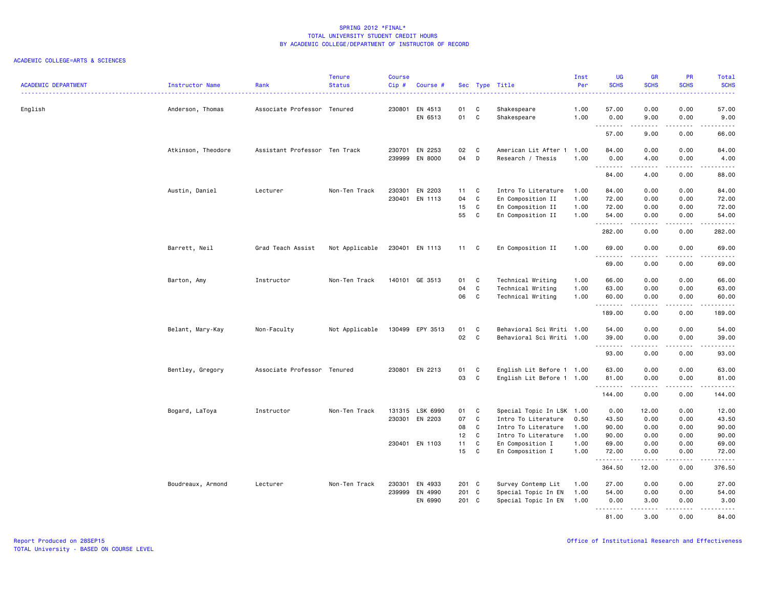| <b>ACADEMIC DEPARTMENT</b> | Instructor Name    | Rank                          | <b>Tenure</b><br><b>Status</b> | <b>Course</b><br>Cip# | Course #                         |                |                         | Sec Type Title                                                | Inst<br>Per          | <b>UG</b><br><b>SCHS</b>                                                                                                       | <b>GR</b><br><b>SCHS</b>                                                                                                                             | PR<br><b>SCHS</b>                                                                                                                                            | Total<br><b>SCHS</b>                                                                                                                                                  |
|----------------------------|--------------------|-------------------------------|--------------------------------|-----------------------|----------------------------------|----------------|-------------------------|---------------------------------------------------------------|----------------------|--------------------------------------------------------------------------------------------------------------------------------|------------------------------------------------------------------------------------------------------------------------------------------------------|--------------------------------------------------------------------------------------------------------------------------------------------------------------|-----------------------------------------------------------------------------------------------------------------------------------------------------------------------|
| English                    | Anderson, Thomas   | Associate Professor Tenured   |                                |                       | 230801 EN 4513<br>EN 6513        | 01<br>01       | C<br>C                  | Shakespeare<br>Shakespeare                                    | 1.00<br>1.00         | 57.00<br>0.00                                                                                                                  | 0.00<br>9.00                                                                                                                                         | 0.00<br>0.00                                                                                                                                                 | 57.00<br>9.00                                                                                                                                                         |
|                            |                    |                               |                                |                       |                                  |                |                         |                                                               |                      | .<br>57.00                                                                                                                     | .<br>9.00                                                                                                                                            | .<br>0.00                                                                                                                                                    | $\cdots \cdots$<br>66.00                                                                                                                                              |
|                            | Atkinson, Theodore | Assistant Professor Ten Track |                                |                       | 230701 EN 2253<br>239999 EN 8000 | 02<br>04       | C<br>D                  | American Lit After 1 1.00<br>Research / Thesis                | 1.00                 | 84.00<br>0.00<br>.                                                                                                             | 0.00<br>4.00<br>.                                                                                                                                    | 0.00<br>0.00<br>.                                                                                                                                            | 84.00<br>4.00<br>$\omega$ is $\omega$ in $\omega$                                                                                                                     |
|                            |                    |                               |                                |                       |                                  |                |                         |                                                               |                      | 84.00                                                                                                                          | 4.00                                                                                                                                                 | 0.00                                                                                                                                                         | 88.00                                                                                                                                                                 |
|                            | Austin, Daniel     | Lecturer                      | Non-Ten Track                  |                       | 230301 EN 2203<br>230401 EN 1113 | 11<br>04<br>15 | C.<br>C<br>$\mathbf{C}$ | Intro To Literature<br>En Composition II<br>En Composition II | 1.00<br>1.00<br>1.00 | 84.00<br>72.00<br>72.00                                                                                                        | 0.00<br>0.00<br>0.00                                                                                                                                 | 0.00<br>0.00<br>0.00                                                                                                                                         | 84.00<br>72.00<br>72.00                                                                                                                                               |
|                            |                    |                               |                                |                       |                                  | 55             | <b>C</b>                | En Composition II                                             | 1.00                 | 54.00<br>.                                                                                                                     | 0.00<br>.                                                                                                                                            | 0.00<br>.                                                                                                                                                    | 54.00<br>.                                                                                                                                                            |
|                            |                    |                               |                                |                       |                                  |                |                         |                                                               |                      | 282.00                                                                                                                         | 0.00                                                                                                                                                 | 0.00                                                                                                                                                         | 282.00                                                                                                                                                                |
|                            | Barrett, Neil      | Grad Teach Assist             | Not Applicable                 |                       | 230401 EN 1113                   | 11 C           |                         | En Composition II                                             | 1.00                 | 69.00<br>$\begin{array}{cccccccccc} \bullet & \bullet & \bullet & \bullet & \bullet & \bullet & \bullet & \bullet \end{array}$ | 0.00<br>.                                                                                                                                            | 0.00<br>.                                                                                                                                                    | 69.00<br>المستمد                                                                                                                                                      |
|                            |                    |                               |                                |                       |                                  |                |                         |                                                               |                      | 69.00                                                                                                                          | 0.00                                                                                                                                                 | 0.00                                                                                                                                                         | 69.00                                                                                                                                                                 |
|                            | Barton, Amy        | Instructor                    | Non-Ten Track                  |                       | 140101 GE 3513                   | 01             | C                       | Technical Writing                                             | 1.00                 | 66.00                                                                                                                          | 0.00                                                                                                                                                 | 0.00                                                                                                                                                         | 66.00                                                                                                                                                                 |
|                            |                    |                               |                                |                       |                                  | 04<br>06       | C<br>$\mathbf{C}$       | Technical Writing<br>Technical Writing                        | 1.00<br>1.00         | 63.00<br>60.00                                                                                                                 | 0.00<br>0.00                                                                                                                                         | 0.00<br>0.00                                                                                                                                                 | 63.00<br>60.00                                                                                                                                                        |
|                            |                    |                               |                                |                       |                                  |                |                         |                                                               |                      | .<br>189.00                                                                                                                    | .<br>0.00                                                                                                                                            | .<br>0.00                                                                                                                                                    | .<br>189.00                                                                                                                                                           |
|                            | Belant, Mary-Kay   | Non-Faculty                   | Not Applicable                 |                       | 130499 EPY 3513                  | 01             | C                       | Behavioral Sci Writi 1.00                                     |                      | 54.00                                                                                                                          | 0.00                                                                                                                                                 | 0.00                                                                                                                                                         | 54.00                                                                                                                                                                 |
|                            |                    |                               |                                |                       |                                  | 02             | C                       | Behavioral Sci Writi 1.00                                     |                      | 39.00<br>.                                                                                                                     | 0.00<br>.                                                                                                                                            | 0.00<br>.                                                                                                                                                    | 39.00<br>.                                                                                                                                                            |
|                            |                    |                               |                                |                       |                                  |                |                         |                                                               |                      | 93.00                                                                                                                          | 0.00                                                                                                                                                 | 0.00                                                                                                                                                         | 93.00                                                                                                                                                                 |
|                            | Bentley, Gregory   | Associate Professor Tenured   |                                |                       | 230801 EN 2213                   | 01<br>03       | $\mathbf{C}$<br>C       | English Lit Before 1 1.00<br>English Lit Before 1 1.00        |                      | 63.00<br>81.00                                                                                                                 | 0.00<br>0.00                                                                                                                                         | 0.00<br>0.00                                                                                                                                                 | 63.00<br>81.00                                                                                                                                                        |
|                            |                    |                               |                                |                       |                                  |                |                         |                                                               |                      | .<br>144.00                                                                                                                    | -----<br>0.00                                                                                                                                        | $\frac{1}{2} \left( \frac{1}{2} \right) \left( \frac{1}{2} \right) \left( \frac{1}{2} \right) \left( \frac{1}{2} \right) \left( \frac{1}{2} \right)$<br>0.00 | $\begin{array}{cccccccccc} \bullet & \bullet & \bullet & \bullet & \bullet & \bullet & \bullet & \bullet \end{array}$<br>144.00                                       |
|                            | Bogard, LaToya     | Instructor                    | Non-Ten Track                  |                       | 131315 LSK 6990                  | 01             | C                       | Special Topic In LSK 1.00                                     |                      | 0.00                                                                                                                           | 12.00                                                                                                                                                | 0.00                                                                                                                                                         | 12.00                                                                                                                                                                 |
|                            |                    |                               |                                |                       | 230301 EN 2203                   | 07             | C                       | Intro To Literature                                           | 0.50                 | 43.50                                                                                                                          | 0.00                                                                                                                                                 | 0.00                                                                                                                                                         | 43.50                                                                                                                                                                 |
|                            |                    |                               |                                |                       |                                  | 08             | $\mathbf{C}$            | Intro To Literature                                           | 1.00                 | 90.00                                                                                                                          | 0.00                                                                                                                                                 | 0.00                                                                                                                                                         | 90.00                                                                                                                                                                 |
|                            |                    |                               |                                |                       |                                  | 12             | $\mathbf{C}$            | Intro To Literature                                           | 1.00                 | 90.00                                                                                                                          | 0.00                                                                                                                                                 | 0.00                                                                                                                                                         | 90.00                                                                                                                                                                 |
|                            |                    |                               |                                |                       | 230401 EN 1103                   | 11<br>15       | C<br>C                  | En Composition I<br>En Composition I                          | 1.00<br>1.00         | 69.00<br>72.00                                                                                                                 | 0.00<br>0.00                                                                                                                                         | 0.00<br>0.00                                                                                                                                                 | 69.00<br>72.00                                                                                                                                                        |
|                            |                    |                               |                                |                       |                                  |                |                         |                                                               |                      | . <b>.</b>                                                                                                                     | $\frac{1}{2} \left( \frac{1}{2} \right) \left( \frac{1}{2} \right) \left( \frac{1}{2} \right) \left( \frac{1}{2} \right) \left( \frac{1}{2} \right)$ | $- - - - -$                                                                                                                                                  |                                                                                                                                                                       |
|                            |                    |                               |                                |                       |                                  |                |                         |                                                               |                      | 364.50                                                                                                                         | 12.00                                                                                                                                                | 0.00                                                                                                                                                         | 376.50                                                                                                                                                                |
|                            | Boudreaux, Armond  | Lecturer                      | Non-Ten Track                  |                       | 230301 EN 4933                   | 201 C          |                         | Survey Contemp Lit                                            | 1.00                 | 27.00                                                                                                                          | 0.00                                                                                                                                                 | 0.00                                                                                                                                                         | 27.00                                                                                                                                                                 |
|                            |                    |                               |                                |                       | 239999 EN 4990<br>EN 6990        | 201 C<br>201 C |                         | Special Topic In EN<br>Special Topic In EN                    | 1.00<br>1.00         | 54.00<br>0.00<br>.                                                                                                             | 0.00<br>3.00                                                                                                                                         | 0.00<br>0.00<br>.                                                                                                                                            | 54.00<br>3.00<br>$\frac{1}{2} \left( \frac{1}{2} \right) \left( \frac{1}{2} \right) \left( \frac{1}{2} \right) \left( \frac{1}{2} \right) \left( \frac{1}{2} \right)$ |
|                            |                    |                               |                                |                       |                                  |                |                         |                                                               |                      | 81.00                                                                                                                          | 3.00                                                                                                                                                 | 0.00                                                                                                                                                         | 84.00                                                                                                                                                                 |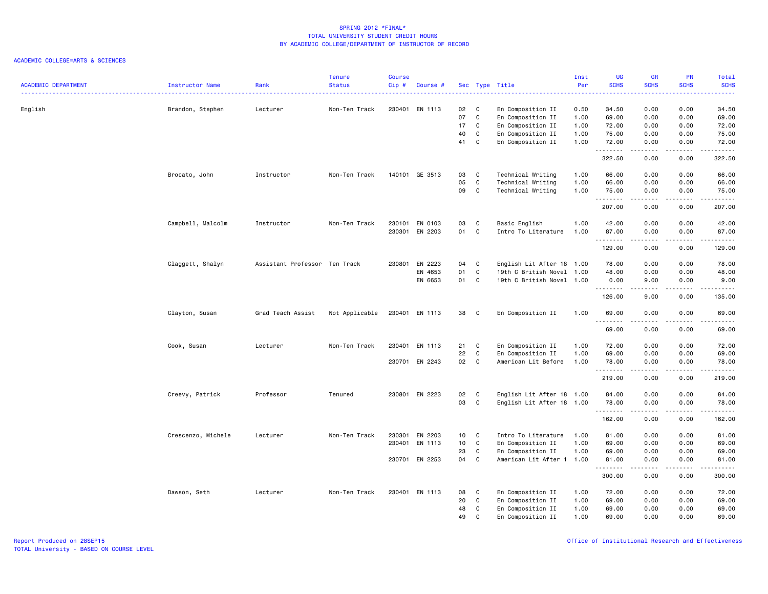|                            |                    |                               | <b>Tenure</b>  | <b>Course</b> |                |                 |              |                           | Inst | <b>UG</b>   | <b>GR</b>       | PR                                  | Total                                                                                                                                                         |
|----------------------------|--------------------|-------------------------------|----------------|---------------|----------------|-----------------|--------------|---------------------------|------|-------------|-----------------|-------------------------------------|---------------------------------------------------------------------------------------------------------------------------------------------------------------|
| <b>ACADEMIC DEPARTMENT</b> | Instructor Name    | Rank                          | <b>Status</b>  | Cip#          | Course #       |                 |              | Sec Type Title            | Per  | <b>SCHS</b> | <b>SCHS</b>     | <b>SCHS</b>                         | <b>SCHS</b><br>.                                                                                                                                              |
| English                    | Brandon, Stephen   | Lecturer                      | Non-Ten Track  |               | 230401 EN 1113 | 02              | C            | En Composition II         | 0.50 | 34.50       | 0.00            | 0.00                                | 34.50                                                                                                                                                         |
|                            |                    |                               |                |               |                | 07              | C            | En Composition II         | 1.00 | 69.00       | 0.00            | 0.00                                | 69.00                                                                                                                                                         |
|                            |                    |                               |                |               |                | 17              | $\mathbf{C}$ | En Composition II         | 1.00 | 72.00       | 0.00            | 0.00                                | 72.00                                                                                                                                                         |
|                            |                    |                               |                |               |                | 40              | C            | En Composition II         | 1.00 | 75.00       | 0.00            | 0.00                                | 75.00                                                                                                                                                         |
|                            |                    |                               |                |               |                | 41              | C            | En Composition II         | 1.00 | 72.00       | 0.00            | 0.00                                | 72.00                                                                                                                                                         |
|                            |                    |                               |                |               |                |                 |              |                           |      | .<br>322.50 | د د د د<br>0.00 | $\sim$ $\sim$ $\sim$ $\sim$<br>0.00 | .<br>322.50                                                                                                                                                   |
|                            | Brocato, John      | Instructor                    | Non-Ten Track  |               | 140101 GE 3513 | 03              | C            | Technical Writing         | 1.00 | 66.00       | 0.00            | 0.00                                | 66.00                                                                                                                                                         |
|                            |                    |                               |                |               |                | 05              | C            | Technical Writing         | 1.00 | 66.00       | 0.00            | 0.00                                | 66.00                                                                                                                                                         |
|                            |                    |                               |                |               |                | 09              | $\mathbf{C}$ | Technical Writing         | 1.00 | 75.00       | 0.00            | 0.00                                | 75.00<br>.                                                                                                                                                    |
|                            |                    |                               |                |               |                |                 |              |                           |      | 207.00      | 0.00            | 0.00                                | 207.00                                                                                                                                                        |
|                            | Campbell, Malcolm  | Instructor                    | Non-Ten Track  |               | 230101 EN 0103 | 03              | C            | Basic English             | 1.00 | 42.00       | 0.00            | 0.00                                | 42.00                                                                                                                                                         |
|                            |                    |                               |                |               | 230301 EN 2203 | 01              | C            | Intro To Literature       | 1.00 | 87.00<br>.  | 0.00<br>.       | 0.00<br>$- - - -$                   | 87.00<br>.                                                                                                                                                    |
|                            |                    |                               |                |               |                |                 |              |                           |      | 129.00      | 0.00            | 0.00                                | 129.00                                                                                                                                                        |
|                            | Claggett, Shalyn   | Assistant Professor Ten Track |                |               | 230801 EN 2223 | 04              | C            | English Lit After 18 1.00 |      | 78.00       | 0.00            | 0.00                                | 78.00                                                                                                                                                         |
|                            |                    |                               |                |               | EN 4653        | 01              | C            | 19th C British Novel 1.00 |      | 48.00       | 0.00            | 0.00                                | 48.00                                                                                                                                                         |
|                            |                    |                               |                |               | EN 6653        | 01              | $\mathbf{C}$ | 19th C British Novel 1.00 |      | 0.00        | 9.00            | 0.00                                | 9.00                                                                                                                                                          |
|                            |                    |                               |                |               |                |                 |              |                           |      | .<br>126.00 | .<br>9.00       | .<br>0.00                           | .<br>135.00                                                                                                                                                   |
|                            | Clayton, Susan     | Grad Teach Assist             | Not Applicable |               | 230401 EN 1113 | 38              | C.           | En Composition II         | 1.00 | 69.00<br>.  | 0.00<br>.       | 0.00<br>$\sim$ $\sim$ $\sim$ $\sim$ | 69.00<br>$\frac{1}{2} \left( \frac{1}{2} \right) \left( \frac{1}{2} \right) \left( \frac{1}{2} \right) \left( \frac{1}{2} \right) \left( \frac{1}{2} \right)$ |
|                            |                    |                               |                |               |                |                 |              |                           |      | 69.00       | 0.00            | 0.00                                | 69.00                                                                                                                                                         |
|                            | Cook, Susan        | Lecturer                      | Non-Ten Track  |               | 230401 EN 1113 | 21              | C            | En Composition II         | 1.00 | 72.00       | 0.00            | 0.00                                | 72.00                                                                                                                                                         |
|                            |                    |                               |                |               |                | 22              | C            | En Composition II         | 1.00 | 69.00       | 0.00            | 0.00                                | 69.00                                                                                                                                                         |
|                            |                    |                               |                |               | 230701 EN 2243 | 02              | $\mathbf{C}$ | American Lit Before       | 1.00 | 78.00       | 0.00            | 0.00                                | 78.00                                                                                                                                                         |
|                            |                    |                               |                |               |                |                 |              |                           |      | .<br>219.00 | .<br>0.00       | .<br>0.00                           | .<br>219.00                                                                                                                                                   |
|                            | Creevy, Patrick    | Professor                     | Tenured        |               | 230801 EN 2223 | 02              | $\mathbf{C}$ | English Lit After 18 1.00 |      | 84.00       | 0.00            | 0.00                                | 84.00                                                                                                                                                         |
|                            |                    |                               |                |               |                | 03              | C            | English Lit After 18 1.00 |      | 78.00       | 0.00            | 0.00                                | 78.00                                                                                                                                                         |
|                            |                    |                               |                |               |                |                 |              |                           |      | 162.00      | 0.00            | 0.00                                | .<br>162.00                                                                                                                                                   |
|                            | Crescenzo, Michele | Lecturer                      | Non-Ten Track  | 230301        | EN 2203        | 10 <sub>1</sub> | <b>C</b>     | Intro To Literature       | 1.00 | 81.00       | 0.00            | 0.00                                | 81.00                                                                                                                                                         |
|                            |                    |                               |                | 230401        | EN 1113        | 10              | C            | En Composition II         | 1.00 | 69.00       | 0.00            | 0.00                                | 69.00                                                                                                                                                         |
|                            |                    |                               |                |               |                | 23              | C            | En Composition II         | 1.00 | 69.00       | 0.00            | 0.00                                | 69.00                                                                                                                                                         |
|                            |                    |                               |                |               | 230701 EN 2253 | 04              | $\mathbf{C}$ | American Lit After 1 1.00 |      | 81.00<br>.  | 0.00            | 0.00                                | 81.00<br>.                                                                                                                                                    |
|                            |                    |                               |                |               |                |                 |              |                           |      | 300.00      | 0.00            | 0.00                                | 300.00                                                                                                                                                        |
|                            | Dawson, Seth       | Lecturer                      | Non-Ten Track  |               | 230401 EN 1113 | 08              | C            | En Composition II         | 1.00 | 72.00       | 0.00            | 0.00                                | 72.00                                                                                                                                                         |
|                            |                    |                               |                |               |                | 20              | C            | En Composition II         | 1.00 | 69.00       | 0.00            | 0.00                                | 69.00                                                                                                                                                         |
|                            |                    |                               |                |               |                | 48              | $\mathbf c$  | En Composition II         | 1.00 | 69.00       | 0.00            | 0.00                                | 69.00                                                                                                                                                         |
|                            |                    |                               |                |               |                | 49              | $\mathbf{C}$ | En Composition II         | 1.00 | 69.00       | 0.00            | 0.00                                | 69.00                                                                                                                                                         |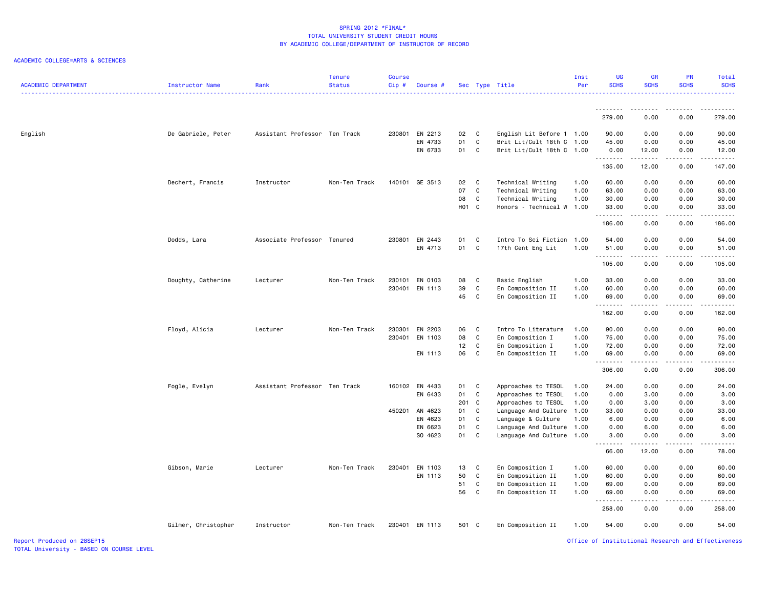### ACADEMIC COLLEGE=ARTS & SCIENCES

| <b>ACADEMIC DEPARTMENT</b> | Instructor Name     | Rank                          | <b>Tenure</b><br><b>Status</b> | Course<br>Cip# | Course #           |                   |                         | Sec Type Title            | Inst<br>Per  | <b>UG</b><br><b>SCHS</b> | <b>GR</b><br><b>SCHS</b> | PR<br><b>SCHS</b>                   | Total<br><b>SCHS</b> |
|----------------------------|---------------------|-------------------------------|--------------------------------|----------------|--------------------|-------------------|-------------------------|---------------------------|--------------|--------------------------|--------------------------|-------------------------------------|----------------------|
|                            |                     |                               |                                |                |                    |                   |                         |                           |              | <u>.</u><br>279.00       | -----<br>0.00            | $   -$<br>0.00                      | .<br>279.00          |
|                            |                     |                               |                                |                |                    |                   |                         |                           |              |                          |                          |                                     |                      |
| English                    | De Gabriele, Peter  | Assistant Professor Ten Track |                                |                | 230801 EN 2213     | 02                | C                       | English Lit Before 1 1.00 |              | 90.00                    | 0.00                     | 0.00                                | 90.00                |
|                            |                     |                               |                                |                | EN 4733            | 01                | C                       | Brit Lit/Cult 18th C 1.00 |              | 45.00                    | 0.00                     | 0.00                                | 45.00                |
|                            |                     |                               |                                |                | EN 6733            | 01                | C                       | Brit Lit/Cult 18th C 1.00 |              | 0.00<br>.                | 12.00<br>.               | 0.00<br>$\sim$ $\sim$ $\sim$        | 12.00<br>.           |
|                            |                     |                               |                                |                |                    |                   |                         |                           |              | 135.00                   | 12.00                    | 0.00                                | 147.00               |
|                            | Dechert, Francis    | Instructor                    | Non-Ten Track                  |                | 140101 GE 3513     | 02                | $\mathbf{C}$            | Technical Writing         | 1.00         | 60.00                    | 0.00                     | 0.00                                | 60.00                |
|                            |                     |                               |                                |                |                    | 07                | C                       | Technical Writing         | 1.00         | 63.00                    | 0.00                     | 0.00                                | 63.00                |
|                            |                     |                               |                                |                |                    | 08                | C                       | Technical Writing         | 1.00         | 30.00                    | 0.00                     | 0.00                                | 30.00                |
|                            |                     |                               |                                |                |                    | H <sub>01</sub> C |                         | Honors - Technical W      | 1.00         | 33.00<br>.               | 0.00                     | 0.00<br>$\frac{1}{2}$               | 33.00<br>.           |
|                            |                     |                               |                                |                |                    |                   |                         |                           |              | 186.00                   | 0.00                     | 0.00                                | 186.00               |
|                            | Dodds, Lara         | Associate Professor Tenured   |                                |                | 230801 EN 2443     | 01                | C                       | Intro To Sci Fiction      | 1.00         | 54.00                    | 0.00                     | 0.00                                | 54.00                |
|                            |                     |                               |                                |                | EN 4713            | 01                | C                       | 17th Cent Eng Lit         | 1.00         | 51.00                    | 0.00                     | 0.00                                | 51.00                |
|                            |                     |                               |                                |                |                    |                   |                         |                           |              | .<br>105.00              | 2.2.2.2.2<br>0.00        | .<br>0.00                           | .<br>105.00          |
|                            |                     |                               | Non-Ten Track                  | 230101         | EN 0103            | 08                | C                       | Basic English             | 1.00         | 33.00                    | 0.00                     | 0.00                                | 33.00                |
|                            | Doughty, Catherine  | Lecturer                      |                                | 230401         | EN 1113            | 39                | C                       | En Composition II         | 1.00         | 60.00                    | 0.00                     | 0.00                                | 60.00                |
|                            |                     |                               |                                |                |                    | 45                | C                       | En Composition II         | 1.00         | 69.00                    | 0.00                     | 0.00                                | 69.00                |
|                            |                     |                               |                                |                |                    |                   |                         |                           |              | <u>.</u>                 | <b>.</b>                 | .                                   | .                    |
|                            |                     |                               |                                |                |                    |                   |                         |                           |              | 162.00                   | 0.00                     | 0.00                                | 162.00               |
|                            | Floyd, Alicia       | Lecturer                      | Non-Ten Track                  | 230301         | EN 2203            | 06                | C                       | Intro To Literature       | 1.00         | 90.00                    | 0.00                     | 0.00                                | 90.00                |
|                            |                     |                               |                                | 230401         | EN 1103            | 08                | C                       | En Composition I          | 1.00         | 75.00                    | 0.00                     | 0.00                                | 75.00                |
|                            |                     |                               |                                |                |                    | 12                | C                       | En Composition I          | 1.00         | 72.00                    | 0.00                     | 0.00                                | 72.00                |
|                            |                     |                               |                                |                | EN 1113            | 06                | C                       | En Composition II         | 1.00         | 69.00<br>.               | 0.00<br>.                | 0.00<br>الدامات ب                   | 69.00<br>.           |
|                            |                     |                               |                                |                |                    |                   |                         |                           |              | 306.00                   | 0.00                     | 0.00                                | 306.00               |
|                            | Fogle, Evelyn       | Assistant Professor Ten Track |                                |                | 160102 EN 4433     | 01                | $\overline{\mathbf{C}}$ | Approaches to TESOL       | 1.00         | 24.00                    | 0.00                     | 0.00                                | 24.00                |
|                            |                     |                               |                                |                | EN 6433            | 01                | C                       | Approaches to TESOL       | 1.00         | 0.00                     | 3.00                     | 0.00                                | 3.00                 |
|                            |                     |                               |                                |                |                    | 201 C             |                         | Approaches to TESOL       | 1.00         | 0.00                     | 3.00                     | 0.00                                | 3.00                 |
|                            |                     |                               |                                | 450201         | AN 4623            | 01                | C                       | Language And Culture      | 1.00         | 33.00                    | 0.00                     | 0.00                                | 33.00                |
|                            |                     |                               |                                |                | EN 4623            | 01                | C.                      | Language & Culture        | 1.00         | 6.00                     | 0.00                     | 0.00                                | 6.00                 |
|                            |                     |                               |                                |                | EN 6623<br>SO 4623 | 01<br>01 C        | C                       | Language And Culture      | 1.00<br>1.00 | 0.00<br>3.00             | 6.00<br>0.00             | 0.00<br>0.00                        | 6.00<br>3.00         |
|                            |                     |                               |                                |                |                    |                   |                         | Language And Culture      |              | .                        |                          | ----                                | .                    |
|                            |                     |                               |                                |                |                    |                   |                         |                           |              | 66.00                    | 12.00                    | 0.00                                | 78.00                |
|                            | Gibson, Marie       | Lecturer                      | Non-Ten Track                  | 230401         | EN 1103            | 13                | C                       | En Composition I          | 1.00         | 60.00                    | 0.00                     | 0.00                                | 60.00                |
|                            |                     |                               |                                |                | EN 1113            | 50                | C                       | En Composition II         | 1.00         | 60.00                    | 0.00                     | 0.00                                | 60.00                |
|                            |                     |                               |                                |                |                    | 51                | C                       | En Composition II         | 1.00         | 69.00                    | 0.00                     | 0.00                                | 69.00                |
|                            |                     |                               |                                |                |                    | 56                | C                       | En Composition II         | 1.00         | 69.00<br>.               | 0.00                     | 0.00<br>$\sim$ $\sim$ $\sim$ $\sim$ | 69.00<br>------      |
|                            |                     |                               |                                |                |                    |                   |                         |                           |              | 258.00                   | 0.00                     | 0.00                                | 258.00               |
|                            | Gilmer, Christopher | Instructor                    | Non-Ten Track                  |                | 230401 EN 1113     | 501 C             |                         | En Composition II         | 1.00         | 54.00                    | 0.00                     | 0.00                                | 54.00                |

Office of Institutional Research and Effectiveness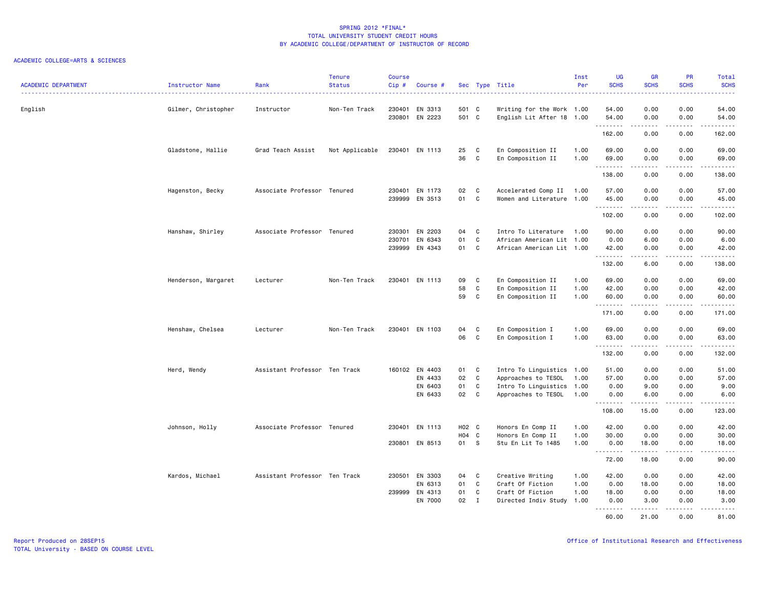### ACADEMIC COLLEGE=ARTS & SCIENCES

| <b>ACADEMIC DEPARTMENT</b> | <b>Instructor Name</b> | Rank                          | <b>Tenure</b><br><b>Status</b> | <b>Course</b><br>Cip# | Course #                  |               |                              |                                                  | Inst<br>Per  | UG<br><b>SCHS</b>   | <b>GR</b><br><b>SCHS</b> | PR<br><b>SCHS</b>                                                                                                                 | Total<br><b>SCHS</b>                                                                                                                                                                                                                                                                                                                                                                                                                                                                            |
|----------------------------|------------------------|-------------------------------|--------------------------------|-----------------------|---------------------------|---------------|------------------------------|--------------------------------------------------|--------------|---------------------|--------------------------|-----------------------------------------------------------------------------------------------------------------------------------|-------------------------------------------------------------------------------------------------------------------------------------------------------------------------------------------------------------------------------------------------------------------------------------------------------------------------------------------------------------------------------------------------------------------------------------------------------------------------------------------------|
|                            |                        |                               |                                |                       |                           |               |                              | Sec Type Title<br>.                              |              |                     |                          |                                                                                                                                   | .                                                                                                                                                                                                                                                                                                                                                                                                                                                                                               |
| English                    | Gilmer, Christopher    | Instructor                    | Non-Ten Track                  | 230401                | EN 3313                   | 501 C         |                              | Writing for the Work 1.00                        |              | 54.00               | 0.00                     | 0.00                                                                                                                              | 54.00                                                                                                                                                                                                                                                                                                                                                                                                                                                                                           |
|                            |                        |                               |                                |                       | 230801 EN 2223            | 501 C         |                              | English Lit After 18 1.00                        |              | 54.00<br>.          | 0.00<br>.                | 0.00<br>2.2.2.2.2                                                                                                                 | 54.00<br>1.1.1.1.1                                                                                                                                                                                                                                                                                                                                                                                                                                                                              |
|                            |                        |                               |                                |                       |                           |               |                              |                                                  |              | 162.00              | 0.00                     | 0.00                                                                                                                              | 162.00                                                                                                                                                                                                                                                                                                                                                                                                                                                                                          |
|                            | Gladstone, Hallie      | Grad Teach Assist             | Not Applicable                 |                       | 230401 EN 1113            | 25            | C                            | En Composition II                                | 1.00         | 69.00               | 0.00                     | 0.00                                                                                                                              | 69.00                                                                                                                                                                                                                                                                                                                                                                                                                                                                                           |
|                            |                        |                               |                                |                       |                           | 36            | C                            | En Composition II                                | 1.00         | 69.00<br><u>.</u>   | 0.00<br><u>.</u>         | 0.00<br>.                                                                                                                         | 69.00<br>.                                                                                                                                                                                                                                                                                                                                                                                                                                                                                      |
|                            |                        |                               |                                |                       |                           |               |                              |                                                  |              | 138.00              | 0.00                     | 0.00                                                                                                                              | 138.00                                                                                                                                                                                                                                                                                                                                                                                                                                                                                          |
|                            | Hagenston, Becky       | Associate Professor Tenured   |                                |                       | 230401 EN 1173            | 02            | $\mathbf{C}$                 | Accelerated Comp II                              | 1.00         | 57.00               | 0.00                     | 0.00                                                                                                                              | 57.00                                                                                                                                                                                                                                                                                                                                                                                                                                                                                           |
|                            |                        |                               |                                |                       | 239999 EN 3513            | 01            | C                            | Women and Literature 1.00                        |              | 45.00<br>.          | 0.00<br>د د د د          | 0.00<br>$\frac{1}{2} \left( \frac{1}{2} \right) \left( \frac{1}{2} \right) \left( \frac{1}{2} \right) \left( \frac{1}{2} \right)$ | 45.00<br>د د د د د                                                                                                                                                                                                                                                                                                                                                                                                                                                                              |
|                            |                        |                               |                                |                       |                           |               |                              |                                                  |              | 102.00              | 0.00                     | 0.00                                                                                                                              | 102.00                                                                                                                                                                                                                                                                                                                                                                                                                                                                                          |
|                            | Hanshaw, Shirley       | Associate Professor Tenured   |                                | 230301                | EN 2203                   | 04            | C                            | Intro To Literature                              | 1.00         | 90.00               | 0.00                     | 0.00                                                                                                                              | 90.00                                                                                                                                                                                                                                                                                                                                                                                                                                                                                           |
|                            |                        |                               |                                | 230701                | EN 6343                   | 01            | C                            | African American Lit 1.00                        |              | 0.00                | 6.00                     | 0.00                                                                                                                              | 6.00                                                                                                                                                                                                                                                                                                                                                                                                                                                                                            |
|                            |                        |                               |                                |                       | 239999 EN 4343            | 01            | C                            | African American Lit 1.00                        |              | 42.00<br>. <b>.</b> | 0.00<br>.                | 0.00<br>.                                                                                                                         | 42.00<br><u>.</u>                                                                                                                                                                                                                                                                                                                                                                                                                                                                               |
|                            |                        |                               |                                |                       |                           |               |                              |                                                  |              | 132.00              | 6.00                     | 0.00                                                                                                                              | 138.00                                                                                                                                                                                                                                                                                                                                                                                                                                                                                          |
|                            | Henderson, Margaret    | Lecturer                      | Non-Ten Track                  | 230401                | EN 1113                   | 09            | C                            | En Composition II                                | 1.00         | 69.00               | 0.00                     | 0.00                                                                                                                              | 69.00                                                                                                                                                                                                                                                                                                                                                                                                                                                                                           |
|                            |                        |                               |                                |                       |                           | 58            | C                            | En Composition II                                | 1.00         | 42.00               | 0.00                     | 0.00                                                                                                                              | 42.00                                                                                                                                                                                                                                                                                                                                                                                                                                                                                           |
|                            |                        |                               |                                |                       |                           | 59            | $\mathtt{C}$                 | En Composition II                                | 1.00         | 60.00<br>.          | 0.00<br>.                | 0.00<br>$\frac{1}{2} \left( \frac{1}{2} \right) \left( \frac{1}{2} \right) \left( \frac{1}{2} \right) \left( \frac{1}{2} \right)$ | 60.00<br>.                                                                                                                                                                                                                                                                                                                                                                                                                                                                                      |
|                            |                        |                               |                                |                       |                           |               |                              |                                                  |              | 171.00              | 0.00                     | 0.00                                                                                                                              | 171.00                                                                                                                                                                                                                                                                                                                                                                                                                                                                                          |
|                            | Henshaw, Chelsea       | Lecturer                      | Non-Ten Track                  |                       | 230401 EN 1103            | 04            | C                            | En Composition I                                 | 1.00         | 69.00               | 0.00                     | 0.00                                                                                                                              | 69.00                                                                                                                                                                                                                                                                                                                                                                                                                                                                                           |
|                            |                        |                               |                                |                       |                           | 06            | C                            | En Composition I                                 | 1.00         | 63.00<br>.          | 0.00<br>$- - - - -$      | 0.00<br>.                                                                                                                         | 63.00<br>$\begin{array}{cccccccccccccc} \multicolumn{2}{c}{} & \multicolumn{2}{c}{} & \multicolumn{2}{c}{} & \multicolumn{2}{c}{} & \multicolumn{2}{c}{} & \multicolumn{2}{c}{} & \multicolumn{2}{c}{} & \multicolumn{2}{c}{} & \multicolumn{2}{c}{} & \multicolumn{2}{c}{} & \multicolumn{2}{c}{} & \multicolumn{2}{c}{} & \multicolumn{2}{c}{} & \multicolumn{2}{c}{} & \multicolumn{2}{c}{} & \multicolumn{2}{c}{} & \multicolumn{2}{c}{} & \multicolumn{2}{c}{} & \multicolumn{2}{c}{} & \$ |
|                            |                        |                               |                                |                       |                           |               |                              |                                                  |              | 132.00              | 0.00                     | 0.00                                                                                                                              | 132.00                                                                                                                                                                                                                                                                                                                                                                                                                                                                                          |
|                            | Herd, Wendy            | Assistant Professor Ten Track |                                |                       | 160102 EN 4403            | 01            | C                            | Intro To Linguistics 1.00                        |              | 51.00               | 0.00                     | 0.00                                                                                                                              | 51.00                                                                                                                                                                                                                                                                                                                                                                                                                                                                                           |
|                            |                        |                               |                                |                       | EN 4433                   | 02            | C                            | Approaches to TESOL                              | 1.00         | 57.00               | 0.00                     | 0.00                                                                                                                              | 57.00                                                                                                                                                                                                                                                                                                                                                                                                                                                                                           |
|                            |                        |                               |                                |                       | EN 6403<br>EN 6433        | 01<br>02      | $\mathtt{C}$<br>$\mathbf{C}$ | Intro To Linguistics 1.00<br>Approaches to TESOL | 1.00         | 0.00<br>0.00        | 9.00<br>6.00             | 0.00<br>0.00                                                                                                                      | 9.00<br>6.00                                                                                                                                                                                                                                                                                                                                                                                                                                                                                    |
|                            |                        |                               |                                |                       |                           |               |                              |                                                  |              | .                   |                          |                                                                                                                                   | $\frac{1}{2} \left( \frac{1}{2} \right) \left( \frac{1}{2} \right) \left( \frac{1}{2} \right) \left( \frac{1}{2} \right) \left( \frac{1}{2} \right)$                                                                                                                                                                                                                                                                                                                                            |
|                            |                        |                               |                                |                       |                           |               |                              |                                                  |              | 108.00              | 15.00                    | 0.00                                                                                                                              | 123.00                                                                                                                                                                                                                                                                                                                                                                                                                                                                                          |
|                            | Johnson, Holly         | Associate Professor Tenured   |                                |                       | 230401 EN 1113            | H02 C         |                              | Honors En Comp II                                | 1.00         | 42.00               | 0.00                     | 0.00                                                                                                                              | 42.00                                                                                                                                                                                                                                                                                                                                                                                                                                                                                           |
|                            |                        |                               |                                |                       |                           | H04 C<br>01 S |                              | Honors En Comp II                                | 1.00         | 30.00               | 0.00                     | 0.00                                                                                                                              | 30.00                                                                                                                                                                                                                                                                                                                                                                                                                                                                                           |
|                            |                        |                               |                                |                       | 230801 EN 8513            |               |                              | Stu En Lit To 1485                               | 1.00         | 0.00<br>.           | 18.00<br>.               | 0.00<br>.                                                                                                                         | 18.00<br>.                                                                                                                                                                                                                                                                                                                                                                                                                                                                                      |
|                            |                        |                               |                                |                       |                           |               |                              |                                                  |              | 72.00               | 18.00                    | 0.00                                                                                                                              | 90.00                                                                                                                                                                                                                                                                                                                                                                                                                                                                                           |
|                            | Kardos, Michael        | Assistant Professor Ten Track |                                |                       | 230501 EN 3303            | 04            | C                            | Creative Writing                                 | 1.00         | 42.00               | 0.00                     | 0.00                                                                                                                              | 42.00                                                                                                                                                                                                                                                                                                                                                                                                                                                                                           |
|                            |                        |                               |                                |                       | EN 6313                   | 01            | C                            | Craft Of Fiction                                 | 1.00         | 0.00                | 18.00                    | 0.00                                                                                                                              | 18.00                                                                                                                                                                                                                                                                                                                                                                                                                                                                                           |
|                            |                        |                               |                                |                       | 239999 EN 4313<br>EN 7000 | 01<br>02      | C<br>$\mathbf{I}$            | Craft Of Fiction<br>Directed Indiv Study         | 1.00<br>1.00 | 18.00<br>0.00       | 0.00<br>3.00             | 0.00<br>0.00                                                                                                                      | 18.00<br>3.00                                                                                                                                                                                                                                                                                                                                                                                                                                                                                   |
|                            |                        |                               |                                |                       |                           |               |                              |                                                  |              | .<br>60.00          | .<br>21.00               | <u>.</u><br>0.00                                                                                                                  | .<br>81.00                                                                                                                                                                                                                                                                                                                                                                                                                                                                                      |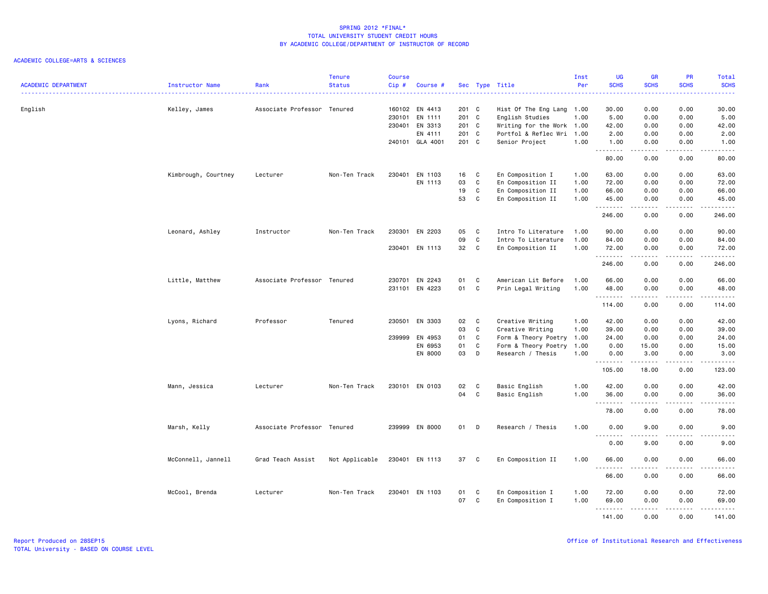|                            |                        |                             | <b>Tenure</b>  | <b>Course</b> |                 |       |              |                           | Inst | UG                | <b>GR</b>       | PR                                                                                                                                | Total                                                                                                                   |
|----------------------------|------------------------|-----------------------------|----------------|---------------|-----------------|-------|--------------|---------------------------|------|-------------------|-----------------|-----------------------------------------------------------------------------------------------------------------------------------|-------------------------------------------------------------------------------------------------------------------------|
| <b>ACADEMIC DEPARTMENT</b> | <b>Instructor Name</b> | Rank                        | <b>Status</b>  | Cip#          | Course #        |       |              | Sec Type Title<br>.       | Per  | <b>SCHS</b>       | <b>SCHS</b>     | <b>SCHS</b>                                                                                                                       | <b>SCHS</b><br>.                                                                                                        |
| English                    | Kelley, James          | Associate Professor Tenured |                |               | 160102 EN 4413  | 201 C |              | Hist Of The Eng Lang 1.00 |      | 30.00             | 0.00            | 0.00                                                                                                                              | 30.00                                                                                                                   |
|                            |                        |                             |                | 230101        | EN 1111         | 201 C |              | English Studies           | 1.00 | 5.00              | 0.00            | 0.00                                                                                                                              | 5.00                                                                                                                    |
|                            |                        |                             |                |               | 230401 EN 3313  | 201 C |              | Writing for the Work 1.00 |      | 42.00             | 0.00            | 0.00                                                                                                                              | 42.00                                                                                                                   |
|                            |                        |                             |                |               | EN 4111         | 201 C |              | Portfol & Reflec Wri      | 1.00 | 2.00              | 0.00            | 0.00                                                                                                                              | 2.00                                                                                                                    |
|                            |                        |                             |                |               | 240101 GLA 4001 | 201 C |              | Senior Project            | 1.00 | 1.00              | 0.00            | 0.00                                                                                                                              | 1.00                                                                                                                    |
|                            |                        |                             |                |               |                 |       |              |                           |      | .<br>80.00        | .<br>0.00       | المتمالين<br>0.00                                                                                                                 | $\sim$ $\sim$ $\sim$ $\sim$<br>80.00                                                                                    |
|                            | Kimbrough, Courtney    | Lecturer                    | Non-Ten Track  | 230401        | EN 1103         | 16    | C            | En Composition I          | 1.00 | 63.00             | 0.00            | 0.00                                                                                                                              | 63.00                                                                                                                   |
|                            |                        |                             |                |               | EN 1113         | 03    | $\mathtt{C}$ | En Composition II         | 1.00 | 72.00             | 0.00            | 0.00                                                                                                                              | 72.00                                                                                                                   |
|                            |                        |                             |                |               |                 | 19    | C            | En Composition II         | 1.00 | 66.00             | 0.00            | 0.00                                                                                                                              | 66.00                                                                                                                   |
|                            |                        |                             |                |               |                 | 53    | C            | En Composition II         | 1.00 | 45.00             | 0.00<br>د د د د | 0.00                                                                                                                              | 45.00<br>د د د د د                                                                                                      |
|                            |                        |                             |                |               |                 |       |              |                           |      | 246.00            | 0.00            | 0.00                                                                                                                              | 246.00                                                                                                                  |
|                            | Leonard, Ashley        | Instructor                  | Non-Ten Track  | 230301        | EN 2203         | 05    | C            | Intro To Literature       | 1.00 | 90.00             | 0.00            | 0.00                                                                                                                              | 90.00                                                                                                                   |
|                            |                        |                             |                |               |                 | 09    | C            | Intro To Literature       | 1.00 | 84,00             | 0.00            | 0.00                                                                                                                              | 84.00                                                                                                                   |
|                            |                        |                             |                |               | 230401 EN 1113  | 32    | C            | En Composition II         | 1.00 | 72.00<br>.        | 0.00<br>.       | 0.00<br>.                                                                                                                         | 72.00<br>$\begin{array}{cccccccccc} \bullet & \bullet & \bullet & \bullet & \bullet & \bullet & \bullet \end{array}$    |
|                            |                        |                             |                |               |                 |       |              |                           |      | 246.00            | 0.00            | 0.00                                                                                                                              | 246.00                                                                                                                  |
|                            | Little, Matthew        | Associate Professor Tenured |                | 230701        | EN 2243         | 01    | C            | American Lit Before       | 1.00 | 66.00             | 0.00            | 0.00                                                                                                                              | 66.00                                                                                                                   |
|                            |                        |                             |                |               | 231101 EN 4223  | 01    | C            | Prin Legal Writing        | 1.00 | 48.00<br><u>.</u> | 0.00<br>.       | 0.00<br>.                                                                                                                         | 48.00<br>.                                                                                                              |
|                            |                        |                             |                |               |                 |       |              |                           |      | 114.00            | 0.00            | 0.00                                                                                                                              | 114.00                                                                                                                  |
|                            | Lyons, Richard         | Professor                   | Tenured        | 230501        | EN 3303         | 02    | C            | Creative Writing          | 1.00 | 42.00             | 0.00            | 0.00                                                                                                                              | 42.00                                                                                                                   |
|                            |                        |                             |                |               |                 | 03    | $\mathtt{C}$ | Creative Writing          | 1.00 | 39.00             | 0.00            | 0.00                                                                                                                              | 39.00                                                                                                                   |
|                            |                        |                             |                |               | 239999 EN 4953  | 01    | C            | Form & Theory Poetry 1.00 |      | 24.00             | 0.00            | 0.00                                                                                                                              | 24.00                                                                                                                   |
|                            |                        |                             |                |               | EN 6953         | 01    | C            | Form & Theory Poetry      | 1.00 | 0.00              | 15.00           | 0.00                                                                                                                              | 15.00                                                                                                                   |
|                            |                        |                             |                |               | EN 8000         | 03    | D            | Research / Thesis         | 1.00 | 0.00<br>.         | 3.00<br>.       | 0.00<br>$\frac{1}{2} \left( \frac{1}{2} \right) \left( \frac{1}{2} \right) \left( \frac{1}{2} \right) \left( \frac{1}{2} \right)$ | 3.00<br>$\begin{array}{cccccccccccccc} \bullet & \bullet & \bullet & \bullet & \bullet & \bullet & \bullet \end{array}$ |
|                            |                        |                             |                |               |                 |       |              |                           |      | 105.00            | 18.00           | 0.00                                                                                                                              | 123.00                                                                                                                  |
|                            | Mann, Jessica          | Lecturer                    | Non-Ten Track  |               | 230101 EN 0103  | 02    | C            | Basic English             | 1.00 | 42.00             | 0.00            | 0.00                                                                                                                              | 42.00                                                                                                                   |
|                            |                        |                             |                |               |                 | 04    | C            | Basic English             | 1.00 | 36.00             | 0.00<br>.       | 0.00<br>.                                                                                                                         | 36.00                                                                                                                   |
|                            |                        |                             |                |               |                 |       |              |                           |      | .<br>78.00        | 0.00            | 0.00                                                                                                                              | .<br>78.00                                                                                                              |
|                            | Marsh, Kelly           | Associate Professor Tenured |                |               | 239999 EN 8000  | 01    | D            | Research / Thesis         | 1.00 | 0.00<br>.         | 9.00<br>.       | 0.00<br>.                                                                                                                         | 9.00<br>.                                                                                                               |
|                            |                        |                             |                |               |                 |       |              |                           |      | 0.00              | 9.00            | 0.00                                                                                                                              | 9.00                                                                                                                    |
|                            | McConnell, Jannell     | Grad Teach Assist           | Not Applicable |               | 230401 EN 1113  | 37    | $\mathbf{C}$ | En Composition II         | 1.00 | 66.00             | 0.00            | 0.00                                                                                                                              | 66.00<br>.                                                                                                              |
|                            |                        |                             |                |               |                 |       |              |                           |      | 66.00             | 0.00            | 0.00                                                                                                                              | 66.00                                                                                                                   |
|                            | McCool, Brenda         | Lecturer                    | Non-Ten Track  |               | 230401 EN 1103  | 01    | C            | En Composition I          | 1.00 | 72.00             | 0.00            | 0.00                                                                                                                              | 72.00                                                                                                                   |
|                            |                        |                             |                |               |                 | 07    | C            | En Composition I          | 1.00 | 69.00<br>.        | 0.00            | 0.00                                                                                                                              | 69.00<br>$\frac{1}{2}$                                                                                                  |
|                            |                        |                             |                |               |                 |       |              |                           |      | 141.00            | 0.00            | 0.00                                                                                                                              | 141.00                                                                                                                  |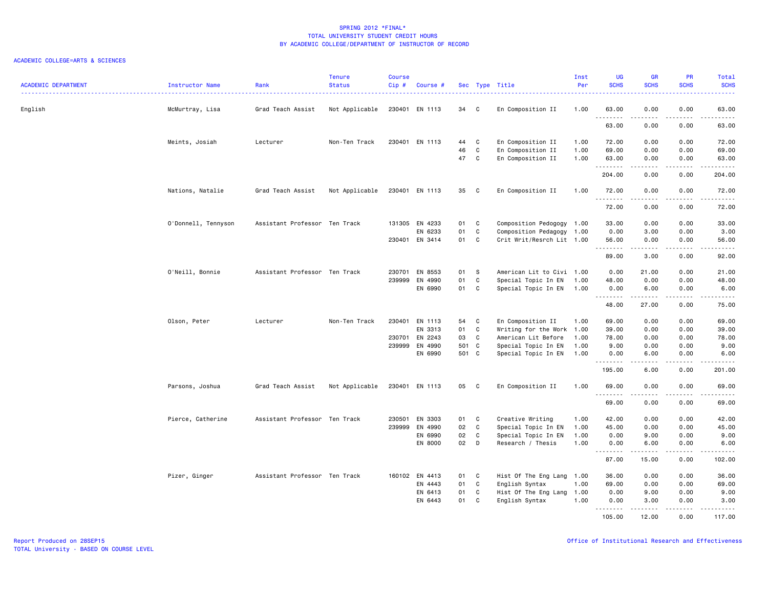| <b>ACADEMIC DEPARTMENT</b> | Instructor Name     | Rank                          | <b>Tenure</b><br><b>Status</b> | <b>Course</b><br>Cip# | Course #       |       |              | Sec Type Title            | Inst<br>Per | <b>UG</b><br><b>SCHS</b> | <b>GR</b><br><b>SCHS</b> | <b>PR</b><br><b>SCHS</b> | Total<br><b>SCHS</b><br>22222 |
|----------------------------|---------------------|-------------------------------|--------------------------------|-----------------------|----------------|-------|--------------|---------------------------|-------------|--------------------------|--------------------------|--------------------------|-------------------------------|
| English                    | McMurtray, Lisa     | Grad Teach Assist             | Not Applicable                 |                       | 230401 EN 1113 | 34    | $\mathbf{C}$ | En Composition II         | 1.00        | 63.00                    | 0.00                     | 0.00                     | 63.00                         |
|                            |                     |                               |                                |                       |                |       |              |                           |             | <u>.</u><br>63.00        | .<br>0.00                | .<br>0.00                | $\frac{1}{2}$<br>63.00        |
|                            | Meints, Josiah      | Lecturer                      | Non-Ten Track                  | 230401                | EN 1113        | 44    | C            | En Composition II         | 1.00        | 72.00                    | 0.00                     | 0.00                     | 72.00                         |
|                            |                     |                               |                                |                       |                | 46    | $\mathbf C$  | En Composition II         | 1.00        | 69.00                    | 0.00                     | 0.00                     | 69.00                         |
|                            |                     |                               |                                |                       |                | 47    | C            | En Composition II         | 1.00        | 63.00<br>.               | 0.00<br>.                | 0.00<br>.                | 63.00<br>.                    |
|                            |                     |                               |                                |                       |                |       |              |                           |             | 204.00                   | 0.00                     | 0.00                     | 204.00                        |
|                            | Nations, Natalie    | Grad Teach Assist             | Not Applicable                 |                       | 230401 EN 1113 | 35    | $\mathbf{C}$ | En Composition II         | 1.00        | 72.00<br>.               | 0.00                     | 0.00<br>.                | 72.00<br>.                    |
|                            |                     |                               |                                |                       |                |       |              |                           |             | 72.00                    | 0.00                     | 0.00                     | 72.00                         |
|                            | O'Donnell, Tennyson | Assistant Professor Ten Track |                                |                       | 131305 EN 4233 | 01    | $\mathbf{C}$ | Composition Pedogogy 1.00 |             | 33.00                    | 0.00                     | 0.00                     | 33.00                         |
|                            |                     |                               |                                |                       | EN 6233        | 01    | C            | Composition Pedagogy 1.00 |             | 0.00                     | 3.00                     | 0.00                     | 3.00                          |
|                            |                     |                               |                                |                       | 230401 EN 3414 | 01    | <b>C</b>     | Crit Writ/Resrch Lit 1.00 |             | 56.00<br>. <b>.</b>      | 0.00<br>.                | 0.00<br>.                | 56.00<br>.                    |
|                            |                     |                               |                                |                       |                |       |              |                           |             | 89.00                    | 3.00                     | 0.00                     | 92.00                         |
|                            | O'Neill, Bonnie     | Assistant Professor Ten Track |                                | 230701                | EN 8553        | 01    | -S           | American Lit to Civi 1.00 |             | 0.00                     | 21.00                    | 0.00                     | 21.00                         |
|                            |                     |                               |                                | 239999                | EN 4990        | 01    | C            | Special Topic In EN       | 1.00        | 48.00                    | 0.00                     | 0.00                     | 48.00                         |
|                            |                     |                               |                                |                       | EN 6990        | 01    | C            | Special Topic In EN 1.00  |             | 0.00                     | 6.00                     | 0.00                     | 6.00                          |
|                            |                     |                               |                                |                       |                |       |              |                           |             | .<br>48.00               | .<br>27.00               | .<br>0.00                | د د د د د<br>75.00            |
|                            | Olson, Peter        | Lecturer                      | Non-Ten Track                  | 230401                | EN 1113        | 54    | C            | En Composition II         | 1.00        | 69.00                    | 0.00                     | 0.00                     | 69.00                         |
|                            |                     |                               |                                |                       | EN 3313        | 01    | C            | Writing for the Work 1.00 |             | 39.00                    | 0.00                     | 0.00                     | 39.00                         |
|                            |                     |                               |                                |                       | 230701 EN 2243 | 03    | C            | American Lit Before       | 1.00        | 78.00                    | 0.00                     | 0.00                     | 78.00                         |
|                            |                     |                               |                                | 239999                | EN 4990        | 501 C |              | Special Topic In EN       | 1.00        | 9.00                     | 0.00                     | 0.00                     | 9.00                          |
|                            |                     |                               |                                |                       | EN 6990        | 501 C |              | Special Topic In EN       | 1.00        | 0.00<br>.                | 6.00                     | 0.00                     | 6.00                          |
|                            |                     |                               |                                |                       |                |       |              |                           |             | 195.00                   | 6.00                     | 0.00                     | 201.00                        |
|                            | Parsons, Joshua     | Grad Teach Assist             | Not Applicable                 |                       | 230401 EN 1113 | 05    | C            | En Composition II         | 1.00        | 69.00<br>.               | 0.00<br>$   -$           | 0.00                     | 69.00<br><u>.</u>             |
|                            |                     |                               |                                |                       |                |       |              |                           |             | 69.00                    | 0.00                     | 0.00                     | 69.00                         |
|                            | Pierce, Catherine   | Assistant Professor Ten Track |                                | 230501                | EN 3303        | 01    | C            | Creative Writing          | 1.00        | 42.00                    | 0.00                     | 0.00                     | 42.00                         |
|                            |                     |                               |                                |                       | 239999 EN 4990 | 02    | $\mathtt{C}$ | Special Topic In EN       | 1.00        | 45.00                    | 0.00                     | 0.00                     | 45.00                         |
|                            |                     |                               |                                |                       | EN 6990        | 02    | C            | Special Topic In EN       | 1.00        | 0.00                     | 9.00                     | 0.00                     | 9.00                          |
|                            |                     |                               |                                |                       | EN 8000        | 02    | D            | Research / Thesis         | 1.00        | 0.00<br>.                | 6.00<br>.                | 0.00<br>.                | 6.00<br>د د د د د             |
|                            |                     |                               |                                |                       |                |       |              |                           |             | 87.00                    | 15.00                    | 0.00                     | 102.00                        |
|                            | Pizer, Ginger       | Assistant Professor Ten Track |                                |                       | 160102 EN 4413 | 01    | C            | Hist Of The Eng Lang 1.00 |             | 36.00                    | 0.00                     | 0.00                     | 36.00                         |
|                            |                     |                               |                                |                       | EN 4443        | 01    | C            | English Syntax            | 1.00        | 69.00                    | 0.00                     | 0.00                     | 69.00                         |
|                            |                     |                               |                                |                       | EN 6413        | 01    | C            | Hist Of The Eng Lang 1.00 |             | 0.00                     | 9.00                     | 0.00                     | 9.00                          |
|                            |                     |                               |                                |                       | EN 6443        | 01    | C            | English Syntax            | 1.00        | 0.00<br>.                | 3.00<br>.                | 0.00<br>.                | 3.00<br>.                     |
|                            |                     |                               |                                |                       |                |       |              |                           |             | 105.00                   | 12.00                    | 0.00                     | 117.00                        |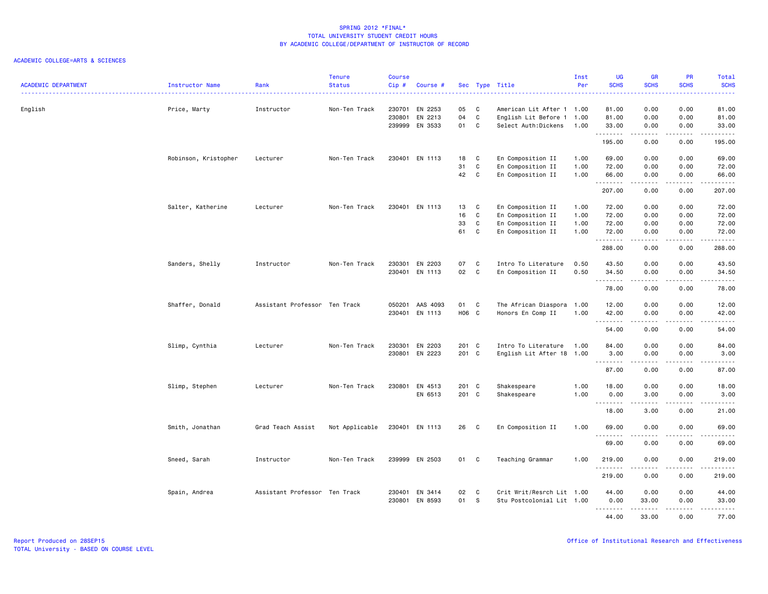| <b>ACADEMIC DEPARTMENT</b> | Instructor Name      | Rank                          | <b>Tenure</b><br><b>Status</b> | <b>Course</b><br>Cip# | Course #        |       |              | Sec Type Title            | Inst<br>Per | <b>UG</b><br><b>SCHS</b> | <b>GR</b><br><b>SCHS</b> | PR<br><b>SCHS</b>                                                                                                                                            | Total<br><b>SCHS</b>                                                                                                                                          |
|----------------------------|----------------------|-------------------------------|--------------------------------|-----------------------|-----------------|-------|--------------|---------------------------|-------------|--------------------------|--------------------------|--------------------------------------------------------------------------------------------------------------------------------------------------------------|---------------------------------------------------------------------------------------------------------------------------------------------------------------|
|                            |                      |                               |                                |                       |                 |       |              | .                         |             |                          |                          |                                                                                                                                                              | .                                                                                                                                                             |
| English                    | Price, Marty         | Instructor                    | Non-Ten Track                  | 230701                | EN 2253         | 05    | C            | American Lit After 1 1.00 |             | 81.00                    | 0.00                     | 0.00                                                                                                                                                         | 81.00                                                                                                                                                         |
|                            |                      |                               |                                | 230801                | EN 2213         | 04    | C            | English Lit Before 1      | 1.00        | 81.00                    | 0.00                     | 0.00                                                                                                                                                         | 81.00                                                                                                                                                         |
|                            |                      |                               |                                |                       | 239999 EN 3533  | 01 C  |              | Select Auth:Dickens       | 1.00        | 33.00<br>.               | 0.00<br>.                | 0.00<br>.                                                                                                                                                    | 33.00<br>.                                                                                                                                                    |
|                            |                      |                               |                                |                       |                 |       |              |                           |             | 195.00                   | 0.00                     | 0.00                                                                                                                                                         | 195.00                                                                                                                                                        |
|                            | Robinson, Kristopher | Lecturer                      | Non-Ten Track                  |                       | 230401 EN 1113  | 18    | $\mathbf{C}$ | En Composition II         | 1.00        | 69.00                    | 0.00                     | 0.00                                                                                                                                                         | 69.00                                                                                                                                                         |
|                            |                      |                               |                                |                       |                 | 31    | C            | En Composition II         | 1.00        | 72.00                    | 0.00                     | 0.00                                                                                                                                                         | 72.00                                                                                                                                                         |
|                            |                      |                               |                                |                       |                 | 42    | $\mathbf{C}$ | En Composition II         | 1.00        | 66.00<br>.               | 0.00<br>.                | 0.00<br>.                                                                                                                                                    | 66.00<br>.                                                                                                                                                    |
|                            |                      |                               |                                |                       |                 |       |              |                           |             | 207.00                   | 0.00                     | 0.00                                                                                                                                                         | 207.00                                                                                                                                                        |
|                            | Salter, Katherine    | Lecturer                      | Non-Ten Track                  |                       | 230401 EN 1113  | 13    | C            | En Composition II         | 1.00        | 72.00                    | 0.00                     | 0.00                                                                                                                                                         | 72.00                                                                                                                                                         |
|                            |                      |                               |                                |                       |                 | 16    | C            | En Composition II         | 1.00        | 72.00                    | 0.00                     | 0.00                                                                                                                                                         | 72.00                                                                                                                                                         |
|                            |                      |                               |                                |                       |                 | 33    | C            | En Composition II         | 1.00        | 72.00                    | 0.00                     | 0.00                                                                                                                                                         | 72.00                                                                                                                                                         |
|                            |                      |                               |                                |                       |                 | 61    | C            | En Composition II         | 1.00        | 72.00<br><u>.</u>        | 0.00                     | 0.00                                                                                                                                                         | 72.00<br>$\sim$ $\sim$ $\sim$ $\sim$                                                                                                                          |
|                            |                      |                               |                                |                       |                 |       |              |                           |             | 288.00                   | 0.00                     | 0.00                                                                                                                                                         | 288.00                                                                                                                                                        |
|                            | Sanders, Shelly      | Instructor                    | Non-Ten Track                  |                       | 230301 EN 2203  | 07    | C            | Intro To Literature       | 0.50        | 43.50                    | 0.00                     | 0.00                                                                                                                                                         | 43.50                                                                                                                                                         |
|                            |                      |                               |                                |                       | 230401 EN 1113  | 02    | C            | En Composition II         | 0.50        | 34.50                    | 0.00                     | 0.00                                                                                                                                                         | 34.50                                                                                                                                                         |
|                            |                      |                               |                                |                       |                 |       |              |                           |             | .                        | .                        | .                                                                                                                                                            | .                                                                                                                                                             |
|                            |                      |                               |                                |                       |                 |       |              |                           |             | 78.00                    | 0.00                     | 0.00                                                                                                                                                         | 78.00                                                                                                                                                         |
|                            | Shaffer, Donald      | Assistant Professor Ten Track |                                |                       | 050201 AAS 4093 | 01 C  |              | The African Diaspora      | 1.00        | 12.00                    | 0.00                     | 0.00                                                                                                                                                         | 12.00                                                                                                                                                         |
|                            |                      |                               |                                |                       | 230401 EN 1113  | H06 C |              | Honors En Comp II         | 1.00        | 42.00                    | 0.00<br>.                | 0.00<br>.                                                                                                                                                    | 42.00<br>.                                                                                                                                                    |
|                            |                      |                               |                                |                       |                 |       |              |                           |             | <u>.</u><br>54.00        | 0.00                     | 0.00                                                                                                                                                         | 54.00                                                                                                                                                         |
|                            | Slimp, Cynthia       | Lecturer                      | Non-Ten Track                  | 230301                | EN 2203         | 201 C |              | Intro To Literature       | 1.00        | 84.00                    | 0.00                     | 0.00                                                                                                                                                         | 84.00                                                                                                                                                         |
|                            |                      |                               |                                |                       | 230801 EN 2223  | 201 C |              | English Lit After 18 1.00 |             | 3.00                     | 0.00                     | 0.00                                                                                                                                                         | 3.00                                                                                                                                                          |
|                            |                      |                               |                                |                       |                 |       |              |                           |             | .                        | .                        | $\frac{1}{2}$                                                                                                                                                | .                                                                                                                                                             |
|                            |                      |                               |                                |                       |                 |       |              |                           |             | 87.00                    | 0.00                     | 0.00                                                                                                                                                         | 87.00                                                                                                                                                         |
|                            | Slimp, Stephen       | Lecturer                      | Non-Ten Track                  | 230801                | EN 4513         | 201 C |              | Shakespeare               | 1.00        | 18.00                    | 0.00                     | 0.00                                                                                                                                                         | 18.00                                                                                                                                                         |
|                            |                      |                               |                                |                       | EN 6513         | 201 C |              | Shakespeare               | 1.00        | 0.00                     | 3.00                     | 0.00                                                                                                                                                         | 3.00                                                                                                                                                          |
|                            |                      |                               |                                |                       |                 |       |              |                           |             | .<br>18.00               | 3.00                     | .<br>0.00                                                                                                                                                    | $\frac{1}{2} \left( \frac{1}{2} \right) \left( \frac{1}{2} \right) \left( \frac{1}{2} \right) \left( \frac{1}{2} \right) \left( \frac{1}{2} \right)$<br>21.00 |
|                            | Smith, Jonathan      | Grad Teach Assist             | Not Applicable                 |                       | 230401 EN 1113  | 26    | $\mathbf{C}$ | En Composition II         | 1.00        | 69.00                    | 0.00                     | 0.00                                                                                                                                                         | 69.00                                                                                                                                                         |
|                            |                      |                               |                                |                       |                 |       |              |                           |             | .<br>69.00               | .<br>0.00                | د د د د<br>0.00                                                                                                                                              | المتمالين<br>69.00                                                                                                                                            |
|                            | Sneed, Sarah         | Instructor                    | Non-Ten Track                  |                       | 239999 EN 2503  | 01 C  |              | Teaching Grammar          | 1.00        | 219.00                   | 0.00                     | 0.00                                                                                                                                                         | 219.00                                                                                                                                                        |
|                            |                      |                               |                                |                       |                 |       |              |                           |             | .                        |                          |                                                                                                                                                              | .                                                                                                                                                             |
|                            |                      |                               |                                |                       |                 |       |              |                           |             | 219.00                   | 0.00                     | 0.00                                                                                                                                                         | 219.00                                                                                                                                                        |
|                            | Spain, Andrea        | Assistant Professor Ten Track |                                | 230401                | EN 3414         | 02    | C            | Crit Writ/Resrch Lit 1.00 |             | 44.00                    | 0.00                     | 0.00                                                                                                                                                         | 44.00                                                                                                                                                         |
|                            |                      |                               |                                | 230801                | EN 8593         | 01    | $^{\circ}$ s | Stu Postcolonial Lit 1.00 |             | 0.00                     | 33.00                    | 0.00                                                                                                                                                         | 33.00                                                                                                                                                         |
|                            |                      |                               |                                |                       |                 |       |              |                           |             | .<br>44.00               | .<br>33.00               | $\frac{1}{2} \left( \frac{1}{2} \right) \left( \frac{1}{2} \right) \left( \frac{1}{2} \right) \left( \frac{1}{2} \right) \left( \frac{1}{2} \right)$<br>0.00 | .<br>77.00                                                                                                                                                    |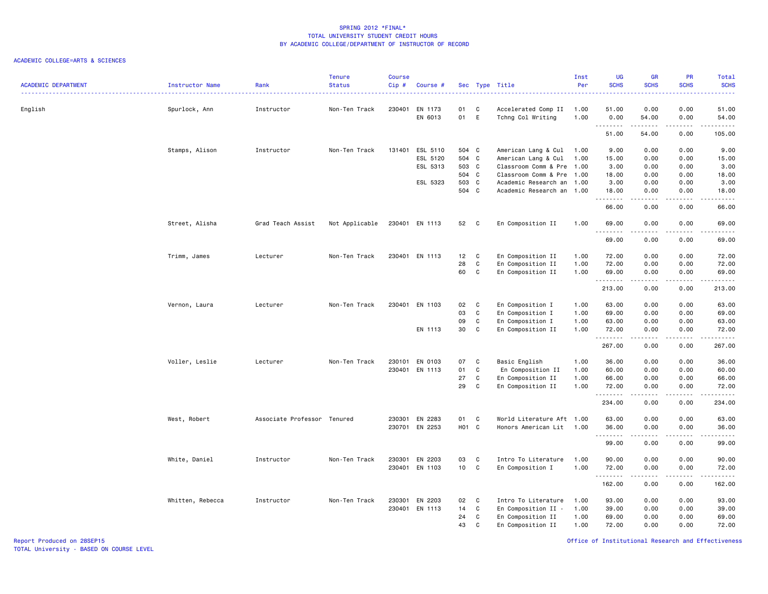### ACADEMIC COLLEGE=ARTS & SCIENCES

| ACADEMIC DEPARTMENT | Instructor Name  | Rank<br>.                   | <b>Tenure</b><br><b>Status</b> | <b>Course</b><br>Cip# | Course #                  |                |              | Sec Type Title                              | Inst<br>Per  | UG<br><b>SCHS</b> | <b>GR</b><br><b>SCHS</b> | PR<br><b>SCHS</b><br>. | Total<br><b>SCHS</b><br>$\frac{1}{2} \left( \frac{1}{2} \right) \left( \frac{1}{2} \right) \left( \frac{1}{2} \right) \left( \frac{1}{2} \right)$ |
|---------------------|------------------|-----------------------------|--------------------------------|-----------------------|---------------------------|----------------|--------------|---------------------------------------------|--------------|-------------------|--------------------------|------------------------|---------------------------------------------------------------------------------------------------------------------------------------------------|
| English             | Spurlock, Ann    | Instructor                  | Non-Ten Track                  |                       | 230401 EN 1173<br>EN 6013 | 01<br>01 E     | $\mathbf{C}$ | Accelerated Comp II<br>Tchng Col Writing    | 1.00<br>1.00 | 51.00<br>0.00     | 0.00<br>54.00            | 0.00<br>0.00           | 51.00<br>54.00                                                                                                                                    |
|                     |                  |                             |                                |                       |                           |                |              |                                             |              | <u>.</u><br>51.00 | .<br>54.00               | .<br>0.00              | .<br>105.00                                                                                                                                       |
|                     |                  |                             |                                |                       |                           |                |              |                                             |              |                   |                          |                        |                                                                                                                                                   |
|                     | Stamps, Alison   | Instructor                  | Non-Ten Track                  | 131401                | ESL 5110                  | 504 C          |              | American Lang & Cul                         | 1.00         | 9.00              | 0.00                     | 0.00                   | 9.00                                                                                                                                              |
|                     |                  |                             |                                |                       | ESL 5120<br>ESL 5313      | 504 C<br>503 C |              | American Lang & Cul<br>Classroom Comm & Pre | 1.00         | 15.00<br>3.00     | 0.00<br>0.00             | 0.00<br>0.00           | 15.00<br>3.00                                                                                                                                     |
|                     |                  |                             |                                |                       |                           | 504 C          |              | Classroom Comm & Pre                        | 1.00<br>1.00 | 18.00             | 0.00                     | 0.00                   | 18,00                                                                                                                                             |
|                     |                  |                             |                                |                       | ESL 5323                  | 503 C          |              | Academic Research an 1.00                   |              | 3.00              | 0.00                     | 0.00                   | 3.00                                                                                                                                              |
|                     |                  |                             |                                |                       |                           | 504 C          |              | Academic Research an 1.00                   |              | 18.00             | 0.00                     | 0.00                   | 18.00                                                                                                                                             |
|                     |                  |                             |                                |                       |                           |                |              |                                             |              | .<br>66.00        | .<br>0.00                | .<br>0.00              | $\omega$ is a set of<br>66.00                                                                                                                     |
|                     | Street, Alisha   | Grad Teach Assist           | Not Applicable                 |                       | 230401 EN 1113            | 52 C           |              | En Composition II                           | 1.00         | 69.00<br><u>.</u> | 0.00                     | 0.00                   | 69.00<br>$- - - - -$                                                                                                                              |
|                     |                  |                             |                                |                       |                           |                |              |                                             |              | 69.00             | 0.00                     | 0.00                   | 69.00                                                                                                                                             |
|                     | Trimm, James     | Lecturer                    | Non-Ten Track                  |                       | 230401 EN 1113            | 12             | C            | En Composition II                           | 1.00         | 72.00             | 0.00                     | 0.00                   | 72.00                                                                                                                                             |
|                     |                  |                             |                                |                       |                           | 28             | C            | En Composition II                           | 1.00         | 72.00             | 0.00                     | 0.00                   | 72.00                                                                                                                                             |
|                     |                  |                             |                                |                       |                           | 60             | $\mathbf{C}$ | En Composition II                           | 1.00         | 69.00             | 0.00                     | 0.00                   | 69.00                                                                                                                                             |
|                     |                  |                             |                                |                       |                           |                |              |                                             |              | .<br>213.00       | .<br>0.00                | .<br>0.00              | .<br>213.00                                                                                                                                       |
|                     | Vernon, Laura    | Lecturer                    | Non-Ten Track                  |                       | 230401 EN 1103            | 02             | C            | En Composition I                            | 1.00         | 63.00             | 0.00                     | 0.00                   | 63.00                                                                                                                                             |
|                     |                  |                             |                                |                       |                           | 03             | $\mathbf{C}$ | En Composition I                            | 1.00         | 69.00             | 0.00                     | 0.00                   | 69.00                                                                                                                                             |
|                     |                  |                             |                                |                       |                           | 09             | $\mathbf{C}$ | En Composition I                            | 1.00         | 63.00             | 0.00                     | 0.00                   | 63.00                                                                                                                                             |
|                     |                  |                             |                                |                       | EN 1113                   | 30             | C            | En Composition II                           | 1.00         | 72.00<br>.        | 0.00                     | 0.00<br>.              | 72.00<br>د د د د د .                                                                                                                              |
|                     |                  |                             |                                |                       |                           |                |              |                                             |              | 267.00            | 0.00                     | 0.00                   | 267.00                                                                                                                                            |
|                     | Voller, Leslie   | Lecturer                    | Non-Ten Track                  |                       | 230101 EN 0103            | 07             | C            | Basic English                               | 1.00         | 36.00             | 0.00                     | 0.00                   | 36.00                                                                                                                                             |
|                     |                  |                             |                                |                       | 230401 EN 1113            | 01             | C            | En Composition II                           | 1.00         | 60.00             | 0.00                     | 0.00                   | 60.00                                                                                                                                             |
|                     |                  |                             |                                |                       |                           | 27             | C            | En Composition II                           | 1.00         | 66.00             | 0.00                     | 0.00                   | 66.00                                                                                                                                             |
|                     |                  |                             |                                |                       |                           | 29             | C            | En Composition II                           | 1.00         | 72.00<br>.        | 0.00<br>.                | 0.00<br>.              | 72.00<br>. <b>.</b>                                                                                                                               |
|                     |                  |                             |                                |                       |                           |                |              |                                             |              | 234.00            | 0.00                     | 0.00                   | 234.00                                                                                                                                            |
|                     | West, Robert     | Associate Professor Tenured |                                |                       | 230301 EN 2283            | 01 C           |              | World Literature Aft 1.00                   |              | 63.00             | 0.00                     | 0.00                   | 63.00                                                                                                                                             |
|                     |                  |                             |                                |                       | 230701 EN 2253            | H01 C          |              | Honors American Lit 1.00                    |              | 36.00             | 0.00                     | 0.00                   | 36.00                                                                                                                                             |
|                     |                  |                             |                                |                       |                           |                |              |                                             |              | .<br>99.00        | .<br>0.00                | .<br>0.00              | .<br>99.00                                                                                                                                        |
|                     | White, Daniel    | Instructor                  | Non-Ten Track                  |                       | 230301 EN 2203            | 03             | C            | Intro To Literature                         | 1.00         | 90.00             | 0.00                     | 0.00                   | 90.00                                                                                                                                             |
|                     |                  |                             |                                |                       | 230401 EN 1103            | 10             | $\mathbf{C}$ | En Composition I                            | 1.00         | 72.00             | 0.00                     | 0.00                   | 72.00                                                                                                                                             |
|                     |                  |                             |                                |                       |                           |                |              |                                             |              | <b></b><br>162.00 | .<br>0.00                | .<br>0.00              | $\begin{array}{cccccccccc} \bullet & \bullet & \bullet & \bullet & \bullet & \bullet & \bullet & \bullet \end{array}$<br>162.00                   |
|                     | Whitten, Rebecca | Instructor                  | Non-Ten Track                  |                       | 230301 EN 2203            | 02             | $\mathbf{C}$ | Intro To Literature                         | 1.00         | 93.00             | 0.00                     | 0.00                   | 93.00                                                                                                                                             |
|                     |                  |                             |                                |                       | 230401 EN 1113            | 14             | $\mathbf{C}$ | En Composition II -                         | 1.00         | 39.00             | 0.00                     | 0.00                   | 39.00                                                                                                                                             |
|                     |                  |                             |                                |                       |                           | 24             | C.           | En Composition II                           | 1.00         | 69.00             | 0.00                     | 0.00                   | 69.00                                                                                                                                             |
|                     |                  |                             |                                |                       |                           | 43             | C            | En Composition II                           | 1.00         | 72.00             | 0.00                     | 0.00                   | 72.00                                                                                                                                             |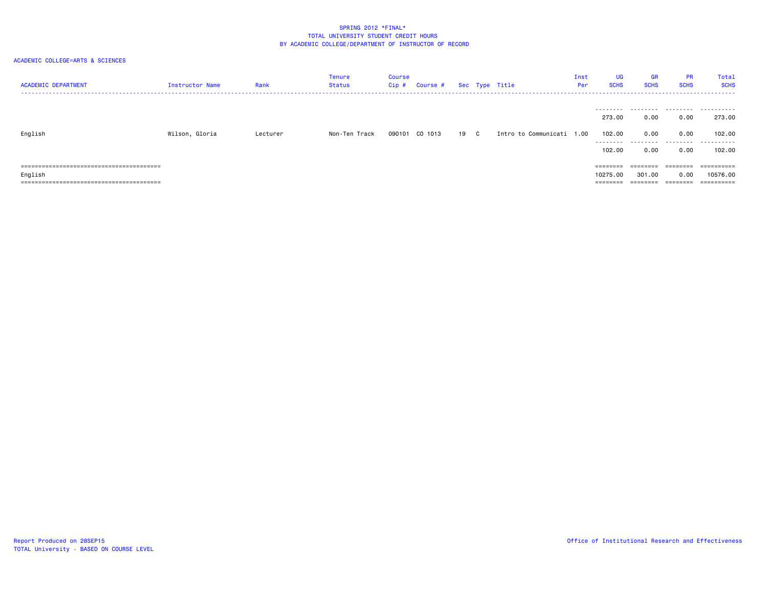| <b>ACADEMIC DEPARTMENT</b> | <b>Instructor Name</b> | Rank     | Tenure<br>Status | Course<br>Cip # | Course #       |      | Sec Type Title            | Inst<br>Per | UG<br><b>SCHS</b> | <b>GR</b><br><b>SCHS</b> | <b>PR</b><br><b>SCHS</b> | Total<br><b>SCHS</b>  |
|----------------------------|------------------------|----------|------------------|-----------------|----------------|------|---------------------------|-------------|-------------------|--------------------------|--------------------------|-----------------------|
|                            |                        |          |                  |                 |                |      |                           |             | .<br>273.00       | .<br>0.00                | 0.00                     | .<br>273.00           |
| English                    | Wilson, Gloria         | Lecturer | Non-Ten Track    |                 | 090101 CO 1013 | 19 C | Intro to Communicati 1.00 |             | 102.00            | 0.00                     | 0.00                     | 102.00                |
|                            |                        |          |                  |                 |                |      |                           |             | 102.00            | 0.00                     | 0.00                     | 102.00                |
|                            |                        |          |                  |                 |                |      |                           |             | $=$ = = = = = = = | ========                 | ---------                |                       |
| English                    |                        |          |                  |                 |                |      |                           |             | 10275.00          | 301.00                   | 0.00                     | 10576.00              |
|                            |                        |          |                  |                 |                |      |                           |             | ========          | =====                    | $=$ = = = = = = =        | $=$ = = = = = = = = = |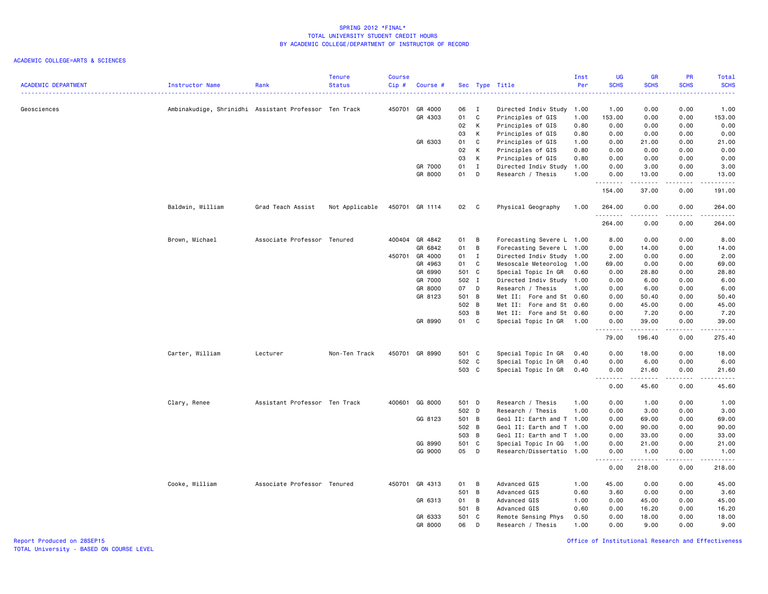#### ACADEMIC COLLEGE=ARTS & SCIENCES

| <b>ACADEMIC DEPARTMENT</b> | Instructor Name                                       | Rank                          | <b>Tenure</b><br><b>Status</b> | Course<br>Cip# | Course #       |       |              | Sec Type Title            | Inst<br>Per | <b>UG</b><br><b>SCHS</b> | <b>GR</b><br><b>SCHS</b>                                                                                                                                      | PR<br><b>SCHS</b>            | Total<br><b>SCHS</b> |
|----------------------------|-------------------------------------------------------|-------------------------------|--------------------------------|----------------|----------------|-------|--------------|---------------------------|-------------|--------------------------|---------------------------------------------------------------------------------------------------------------------------------------------------------------|------------------------------|----------------------|
|                            |                                                       |                               |                                |                |                |       |              |                           |             |                          |                                                                                                                                                               |                              |                      |
| Geosciences                | Ambinakudige, Shrinidhi Assistant Professor Ten Track |                               |                                |                | 450701 GR 4000 | 06    | $\mathbf{I}$ | Directed Indiv Study 1.00 |             | 1.00                     | 0.00                                                                                                                                                          | 0.00                         | 1.00                 |
|                            |                                                       |                               |                                |                | GR 4303        | 01    | C            | Principles of GIS         | 1.00        | 153.00                   | 0.00                                                                                                                                                          | 0.00                         | 153.00               |
|                            |                                                       |                               |                                |                |                | 02    | K            | Principles of GIS         | 0.80        | 0.00                     | 0.00                                                                                                                                                          | 0.00                         | 0.00                 |
|                            |                                                       |                               |                                |                |                | 03    | K            | Principles of GIS         | 0.80        | 0.00                     | 0.00                                                                                                                                                          | 0.00                         | 0.00                 |
|                            |                                                       |                               |                                |                | GR 6303        | 01    | C            | Principles of GIS         | 1.00        | 0.00                     | 21.00                                                                                                                                                         | 0.00                         | 21.00                |
|                            |                                                       |                               |                                |                |                | 02    | K            | Principles of GIS         | 0.80        | 0.00                     | 0.00                                                                                                                                                          | 0.00                         | 0.00                 |
|                            |                                                       |                               |                                |                |                | 03    | K            | Principles of GIS         | 0.80        | 0.00                     | 0.00                                                                                                                                                          | 0.00                         | 0.00                 |
|                            |                                                       |                               |                                |                | GR 7000        | 01    | $\mathbf{I}$ | Directed Indiv Study      | 1.00        | 0.00                     | 3.00                                                                                                                                                          | 0.00                         | 3.00                 |
|                            |                                                       |                               |                                |                | GR 8000        | 01    | D            | Research / Thesis         | 1.00        | 0.00<br>.                | 13.00<br>$\frac{1}{2} \left( \frac{1}{2} \right) \left( \frac{1}{2} \right) \left( \frac{1}{2} \right) \left( \frac{1}{2} \right) \left( \frac{1}{2} \right)$ | 0.00<br>.                    | 13.00<br>$\sim$      |
|                            |                                                       |                               |                                |                |                |       |              |                           |             | 154.00                   | 37.00                                                                                                                                                         | 0.00                         | 191.00               |
|                            | Baldwin, William                                      | Grad Teach Assist             | Not Applicable                 |                | 450701 GR 1114 | 02 C  |              | Physical Geography        | 1.00        | 264.00<br>.              | 0.00                                                                                                                                                          | 0.00<br>$\sim$ $\sim$ $\sim$ | 264.00<br>.          |
|                            |                                                       |                               |                                |                |                |       |              |                           |             | 264.00                   | 0.00                                                                                                                                                          | 0.00                         | 264.00               |
|                            | Brown, Michael                                        | Associate Professor Tenured   |                                |                | 400404 GR 4842 | 01    | B            | Forecasting Severe L 1.00 |             | 8.00                     | 0.00                                                                                                                                                          | 0.00                         | 8.00                 |
|                            |                                                       |                               |                                |                | GR 6842        | 01    | B            | Forecasting Severe L      | 1.00        | 0.00                     | 14.00                                                                                                                                                         | 0.00                         | 14.00                |
|                            |                                                       |                               |                                | 450701         | GR 4000        | 01    | $\mathbf{I}$ | Directed Indiv Study 1.00 |             | 2.00                     | 0.00                                                                                                                                                          | 0.00                         | 2.00                 |
|                            |                                                       |                               |                                |                | GR 4963        | 01    | <b>C</b>     | Mesoscale Meteorolog      | 1.00        | 69.00                    | 0.00                                                                                                                                                          | 0.00                         | 69.00                |
|                            |                                                       |                               |                                |                | GR 6990        | 501 C |              | Special Topic In GR       | 0.60        | 0.00                     | 28.80                                                                                                                                                         | 0.00                         | 28.80                |
|                            |                                                       |                               |                                |                | GR 7000        | 502 I |              | Directed Indiv Study      | 1.00        | 0.00                     | 6.00                                                                                                                                                          | 0.00                         | 6.00                 |
|                            |                                                       |                               |                                |                | GR 8000        | 07 D  |              | Research / Thesis         | 1.00        | 0.00                     | 6.00                                                                                                                                                          | 0.00                         | 6.00                 |
|                            |                                                       |                               |                                |                | GR 8123        | 501 B |              | Met II: Fore and St 0.60  |             | 0.00                     | 50.40                                                                                                                                                         | 0.00                         | 50.40                |
|                            |                                                       |                               |                                |                |                | 502 B |              | Met II: Fore and St 0.60  |             | 0.00                     | 45.00                                                                                                                                                         | 0.00                         | 45.00                |
|                            |                                                       |                               |                                |                |                | 503 B |              | Met II: Fore and St 0.60  |             | 0.00                     | 7.20                                                                                                                                                          | 0.00                         | 7.20                 |
|                            |                                                       |                               |                                |                | GR 8990        | 01 C  |              | Special Topic In GR       | 1.00        | 0.00<br>.                | 39.00<br>.                                                                                                                                                    | 0.00<br>.                    | 39.00<br>.           |
|                            |                                                       |                               |                                |                |                |       |              |                           |             | 79.00                    | 196.40                                                                                                                                                        | 0.00                         | 275.40               |
|                            | Carter, William                                       | Lecturer                      | Non-Ten Track                  |                | 450701 GR 8990 | 501 C |              | Special Topic In GR       | 0.40        | 0.00                     | 18.00                                                                                                                                                         | 0.00                         | 18.00                |
|                            |                                                       |                               |                                |                |                | 502 C |              | Special Topic In GR       | 0.40        | 0.00                     | 6.00                                                                                                                                                          | 0.00                         | 6.00                 |
|                            |                                                       |                               |                                |                |                | 503 C |              | Special Topic In GR       | 0.40        | 0.00                     | 21.60                                                                                                                                                         | 0.00                         | 21.60                |
|                            |                                                       |                               |                                |                |                |       |              |                           |             | .<br>0.00                | د د د د د<br>45.60                                                                                                                                            | .<br>0.00                    | $\sim$<br>45.60      |
|                            | Clary, Renee                                          | Assistant Professor Ten Track |                                |                | 400601 GG 8000 | 501 D |              | Research / Thesis         | 1.00        | 0.00                     | 1.00                                                                                                                                                          | 0.00                         | 1.00                 |
|                            |                                                       |                               |                                |                |                | 502 D |              | Research / Thesis         | 1.00        | 0.00                     | 3.00                                                                                                                                                          | 0.00                         | 3.00                 |
|                            |                                                       |                               |                                |                | GG 8123        | 501 B |              | Geol II: Earth and T 1.00 |             | 0.00                     | 69.00                                                                                                                                                         | 0.00                         | 69.00                |
|                            |                                                       |                               |                                |                |                | 502 B |              | Geol II: Earth and T 1.00 |             | 0.00                     | 90.00                                                                                                                                                         | 0.00                         | 90.00                |
|                            |                                                       |                               |                                |                |                | 503 B |              | Geol II: Earth and T 1.00 |             | 0.00                     | 33.00                                                                                                                                                         | 0.00                         | 33.00                |
|                            |                                                       |                               |                                |                | GG 8990        | 501 C |              | Special Topic In GG       | 1.00        | 0.00                     | 21.00                                                                                                                                                         | 0.00                         | 21.00                |
|                            |                                                       |                               |                                |                | GG 9000        | 05 D  |              | Research/Dissertatio 1.00 |             | 0.00<br>.                | 1.00<br>-------                                                                                                                                               | 0.00<br>.                    | 1.00<br>.            |
|                            |                                                       |                               |                                |                |                |       |              |                           |             | 0.00                     | 218.00                                                                                                                                                        | 0.00                         | 218.00               |
|                            | Cooke, William                                        | Associate Professor Tenured   |                                |                | 450701 GR 4313 | 01    | B            | Advanced GIS              | 1.00        | 45.00                    | 0.00                                                                                                                                                          | 0.00                         | 45.00                |
|                            |                                                       |                               |                                |                |                | 501 B |              | Advanced GIS              | 0.60        | 3.60                     | 0.00                                                                                                                                                          | 0.00                         | 3.60                 |
|                            |                                                       |                               |                                |                | GR 6313        | 01    | B            | Advanced GIS              | 1.00        | 0.00                     | 45.00                                                                                                                                                         | 0.00                         | 45.00                |
|                            |                                                       |                               |                                |                |                | 501 B |              | Advanced GIS              | 0.60        | 0.00                     | 16.20                                                                                                                                                         | 0.00                         | 16.20                |
|                            |                                                       |                               |                                |                | GR 6333        | 501 C |              | Remote Sensing Phys       | 0.50        | 0.00                     | 18.00                                                                                                                                                         | 0.00                         | 18.00                |
|                            |                                                       |                               |                                |                | GR 8000        | 06    | D            | Research / Thesis         | 1.00        | 0.00                     | 9.00                                                                                                                                                          | 0.00                         | 9.00                 |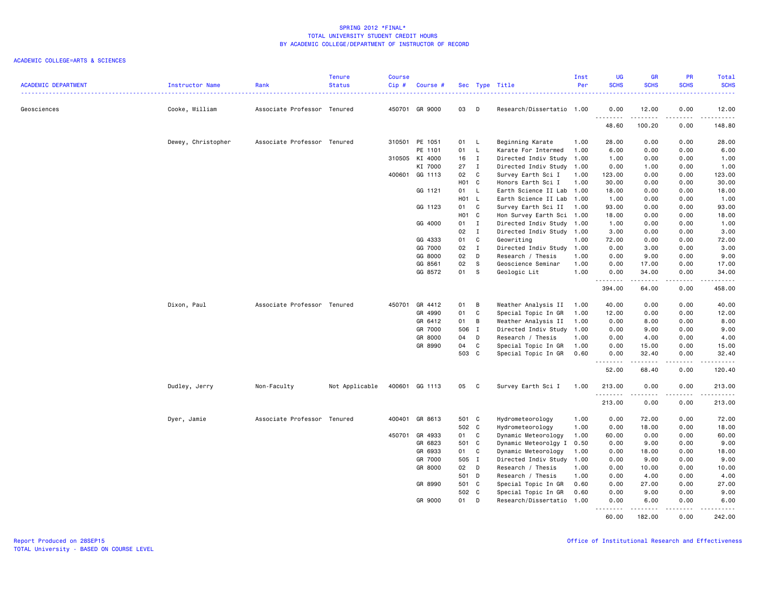| <b>ACADEMIC DEPARTMENT</b> | Instructor Name    | Rank                        | <b>Tenure</b><br><b>Status</b> | <b>Course</b><br>$Cip \#$ | Course #       |                   |                | Sec Type Title            | Inst<br>Per | <b>UG</b><br><b>SCHS</b>               | <b>GR</b><br><b>SCHS</b>       | <b>PR</b><br><b>SCHS</b> | Total<br><b>SCHS</b><br>$\frac{1}{2} \left( \frac{1}{2} \right) \left( \frac{1}{2} \right) \left( \frac{1}{2} \right) \left( \frac{1}{2} \right) \left( \frac{1}{2} \right)$ |
|----------------------------|--------------------|-----------------------------|--------------------------------|---------------------------|----------------|-------------------|----------------|---------------------------|-------------|----------------------------------------|--------------------------------|--------------------------|------------------------------------------------------------------------------------------------------------------------------------------------------------------------------|
| Geosciences                | Cooke, William     | Associate Professor Tenured |                                |                           | 450701 GR 9000 | 03                | $\Box$         | Research/Dissertatio 1.00 |             | 0.00                                   | 12.00                          | 0.00                     | 12.00                                                                                                                                                                        |
|                            |                    |                             |                                |                           |                |                   |                |                           |             | .<br>48.60                             | .<br>100.20                    | .<br>0.00                | .<br>148.80                                                                                                                                                                  |
|                            | Dewey, Christopher | Associate Professor Tenured |                                | 310501                    | PE 1051        | 01 L              |                | Beginning Karate          | 1.00        | 28.00                                  | 0.00                           | 0.00                     | 28.00                                                                                                                                                                        |
|                            |                    |                             |                                |                           | PE 1101        | 01                | $\mathsf{L}$   | Karate For Intermed       | 1.00        | 6.00                                   | 0.00                           | 0.00                     | 6.00                                                                                                                                                                         |
|                            |                    |                             |                                |                           | 310505 KI 4000 | 16                | $\mathbf{I}$   | Directed Indiv Study      | 1.00        | 1.00                                   | 0.00                           | 0.00                     | 1.00                                                                                                                                                                         |
|                            |                    |                             |                                |                           | KI 7000        | 27                | $\mathbf{I}$   | Directed Indiv Study      | 1.00        | 0.00                                   | 1.00                           | 0.00                     | 1.00                                                                                                                                                                         |
|                            |                    |                             |                                |                           | 400601 GG 1113 | 02                | C              | Survey Earth Sci I        | 1.00        | 123.00                                 | 0.00                           | 0.00                     | 123.00                                                                                                                                                                       |
|                            |                    |                             |                                |                           |                | H <sub>01</sub> C |                | Honors Earth Sci I        | 1.00        | 30.00                                  | 0.00                           | 0.00                     | 30.00                                                                                                                                                                        |
|                            |                    |                             |                                |                           | GG 1121        | 01 L              |                | Earth Science II Lab      | 1.00        | 18.00                                  | 0.00                           | 0.00                     | 18.00                                                                                                                                                                        |
|                            |                    |                             |                                |                           |                | H01 L             |                | Earth Science II Lab      | 1.00        | 1.00                                   | 0.00                           | 0.00                     | 1.00                                                                                                                                                                         |
|                            |                    |                             |                                |                           | GG 1123        | 01 C              |                | Survey Earth Sci II       | 1.00        | 93.00                                  | 0.00                           | 0.00                     | 93.00                                                                                                                                                                        |
|                            |                    |                             |                                |                           |                | H <sub>01</sub> C |                | Hon Survey Earth Sci      | 1.00        | 18.00                                  | 0.00                           | 0.00                     | 18.00                                                                                                                                                                        |
|                            |                    |                             |                                |                           | GG 4000        | 01 I              |                | Directed Indiv Study      | 1.00        | 1.00                                   | 0.00                           | 0.00                     | 1.00                                                                                                                                                                         |
|                            |                    |                             |                                |                           |                | 02                | $\mathbf{I}$   | Directed Indiv Study      | 1.00        | 3.00                                   | 0.00                           | 0.00                     | 3.00                                                                                                                                                                         |
|                            |                    |                             |                                |                           | GG 4333        | 01                | C              | Geowriting                | 1.00        | 72.00                                  | 0.00                           | 0.00                     | 72.00                                                                                                                                                                        |
|                            |                    |                             |                                |                           | GG 7000        | 02                | $\mathbf{I}$   | Directed Indiv Study      | 1.00        | 0.00                                   | 3.00                           | 0.00                     | 3.00                                                                                                                                                                         |
|                            |                    |                             |                                |                           | GG 8000        | 02                | D              | Research / Thesis         | 1.00        | 0.00                                   | 9.00                           | 0.00                     | 9.00                                                                                                                                                                         |
|                            |                    |                             |                                |                           | GG 8561        | 02                | -S             | Geoscience Seminar        | 1.00        | 0.00                                   | 17.00                          | 0.00                     | 17.00                                                                                                                                                                        |
|                            |                    |                             |                                |                           | GG 8572        | 01                | S              | Geologic Lit              | 1.00        | 0.00<br>.                              | 34.00<br>$\frac{1}{2}$         | 0.00<br>.                | 34.00<br>.                                                                                                                                                                   |
|                            |                    |                             |                                |                           |                |                   |                |                           |             | 394.00                                 | 64.00                          | 0.00                     | 458.00                                                                                                                                                                       |
|                            | Dixon, Paul        | Associate Professor Tenured |                                |                           | 450701 GR 4412 | 01                | $\overline{B}$ | Weather Analysis II       | 1.00        | 40.00                                  | 0.00                           | 0.00                     | 40.00                                                                                                                                                                        |
|                            |                    |                             |                                |                           | GR 4990        | 01                | C              | Special Topic In GR       | 1.00        | 12.00                                  | 0.00                           | 0.00                     | 12.00                                                                                                                                                                        |
|                            |                    |                             |                                |                           | GR 6412        | 01                | $\mathsf B$    | Weather Analysis II       | 1.00        | 0.00                                   | 8.00                           | 0.00                     | 8.00                                                                                                                                                                         |
|                            |                    |                             |                                |                           | GR 7000        | 506 I             |                | Directed Indiv Study      | 1.00        | 0.00                                   | 9.00                           | 0.00                     | 9.00                                                                                                                                                                         |
|                            |                    |                             |                                |                           | GR 8000        | 04                | D              | Research / Thesis         | 1.00        | 0.00                                   | 4.00                           | 0.00                     | 4.00                                                                                                                                                                         |
|                            |                    |                             |                                |                           | GR 8990        | 04                | C              | Special Topic In GR       | 1.00        | 0.00                                   | 15.00                          | 0.00                     | 15.00                                                                                                                                                                        |
|                            |                    |                             |                                |                           |                | 503 C             |                | Special Topic In GR       | 0.60        | 0.00                                   | 32.40                          | 0.00                     | 32.40                                                                                                                                                                        |
|                            |                    |                             |                                |                           |                |                   |                |                           |             | <u>.</u><br>52.00                      | .<br>68.40                     | .<br>0.00                | .<br>120.40                                                                                                                                                                  |
|                            | Dudley, Jerry      | Non-Faculty                 | Not Applicable                 |                           | 400601 GG 1113 | 05                | $\mathbf{C}$   | Survey Earth Sci I        | 1.00        | 213.00                                 | 0.00                           | 0.00                     | 213.00                                                                                                                                                                       |
|                            |                    |                             |                                |                           |                |                   |                |                           |             | <b></b><br>213.00                      | <b><i><u>.</u></i></b><br>0.00 | .<br>0.00                | المتمالين<br>213.00                                                                                                                                                          |
|                            | Dyer, Jamie        | Associate Professor Tenured |                                |                           | 400401 GR 8613 | 501 C             |                | Hydrometeorology          | 1.00        | 0.00                                   | 72.00                          | 0.00                     | 72.00                                                                                                                                                                        |
|                            |                    |                             |                                |                           |                | 502 C             |                | Hydrometeorology          | 1.00        | 0.00                                   | 18.00                          | 0.00                     | 18.00                                                                                                                                                                        |
|                            |                    |                             |                                | 450701                    | GR 4933        | 01 C              |                | Dynamic Meteorology       | 1.00        | 60.00                                  | 0.00                           | 0.00                     | 60.00                                                                                                                                                                        |
|                            |                    |                             |                                |                           | GR 6823        | 501 C             |                | Dynamic Meteorolgy I      | 0.50        | 0.00                                   | 9.00                           | 0.00                     | 9.00                                                                                                                                                                         |
|                            |                    |                             |                                |                           | GR 6933        | 01                | C              | Dynamic Meteorology       | 1.00        | 0.00                                   | 18.00                          | 0.00                     | 18.00                                                                                                                                                                        |
|                            |                    |                             |                                |                           | GR 7000        | 505 I             |                | Directed Indiv Study      | 1.00        | 0.00                                   | 9.00                           | 0.00                     | 9.00                                                                                                                                                                         |
|                            |                    |                             |                                |                           | GR 8000        | 02                | D              | Research / Thesis         | 1.00        | 0.00                                   | 10.00                          | 0.00                     | 10.00                                                                                                                                                                        |
|                            |                    |                             |                                |                           |                | 501 D             |                | Research / Thesis         | 1.00        | 0.00                                   | 4.00                           | 0.00                     | 4.00                                                                                                                                                                         |
|                            |                    |                             |                                |                           | GR 8990        | 501 C             |                | Special Topic In GR       | 0.60        | 0.00                                   | 27.00                          | 0.00                     | 27.00                                                                                                                                                                        |
|                            |                    |                             |                                |                           |                | 502 C             |                | Special Topic In GR       | 0.60        | 0.00                                   | 9.00                           | 0.00                     | 9.00                                                                                                                                                                         |
|                            |                    |                             |                                |                           | GR 9000        | 01                | D              | Research/Dissertatio      | 1.00        | 0.00                                   | 6.00                           | 0.00                     | 6.00                                                                                                                                                                         |
|                            |                    |                             |                                |                           |                |                   |                |                           |             | <b><i><u><u>.</u></u></i></b><br>60.00 | .<br>182.00                    | .<br>0.00                | .<br>242.00                                                                                                                                                                  |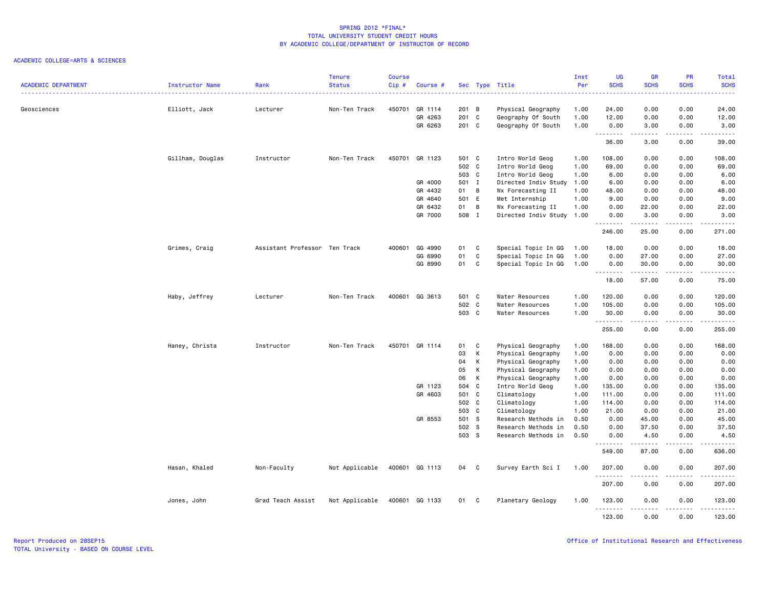|                            |                        |                               | <b>Tenure</b>  | <b>Course</b> |                    |                |              |                                          | Inst         | <b>UG</b>         | <b>GR</b>     | PR                             | Total                       |
|----------------------------|------------------------|-------------------------------|----------------|---------------|--------------------|----------------|--------------|------------------------------------------|--------------|-------------------|---------------|--------------------------------|-----------------------------|
| <b>ACADEMIC DEPARTMENT</b> | <b>Instructor Name</b> | Rank                          | <b>Status</b>  | Cip#          | Course #           |                |              | Sec Type Title                           | Per          | <b>SCHS</b>       | <b>SCHS</b>   | <b>SCHS</b>                    | <b>SCHS</b><br>22222        |
|                            |                        |                               |                |               |                    |                |              |                                          |              |                   |               |                                |                             |
| Geosciences                | Elliott, Jack          | Lecturer                      | Non-Ten Track  | 450701        | GR 1114<br>GR 4263 | 201 B<br>201 C |              | Physical Geography                       | 1.00<br>1.00 | 24.00<br>12.00    | 0.00<br>0.00  | 0.00<br>0.00                   | 24.00<br>12.00              |
|                            |                        |                               |                |               | GR 6263            | 201 C          |              | Geography Of South<br>Geography Of South | 1.00         | 0.00              | 3.00          | 0.00                           | 3.00                        |
|                            |                        |                               |                |               |                    |                |              |                                          |              | .                 | .             | .                              | .                           |
|                            |                        |                               |                |               |                    |                |              |                                          |              | 36.00             | 3.00          | 0.00                           | 39.00                       |
|                            | Gillham, Douglas       | Instructor                    | Non-Ten Track  |               | 450701 GR 1123     | 501 C          |              | Intro World Geog                         | 1.00         | 108.00            | 0.00          | 0.00                           | 108.00                      |
|                            |                        |                               |                |               |                    | 502 C          |              | Intro World Geog                         | 1.00         | 69.00             | 0.00          | 0.00                           | 69.00                       |
|                            |                        |                               |                |               |                    | 503 C          |              | Intro World Geog                         | 1.00         | 6.00              | 0.00          | 0.00                           | 6.00                        |
|                            |                        |                               |                |               | GR 4000            | 501 I          |              | Directed Indiv Study                     | 1.00         | 6.00              | 0.00          | 0.00                           | 6.00                        |
|                            |                        |                               |                |               | GR 4432            | 01 B           |              | Wx Forecasting II                        | 1.00         | 48.00             | 0.00          | 0.00                           | 48.00                       |
|                            |                        |                               |                |               | GR 4640            | 501 E          |              | Met Internship                           | 1.00         | 9.00              | 0.00          | 0.00                           | 9.00                        |
|                            |                        |                               |                |               | GR 6432            | 01 B           |              | Wx Forecasting II                        | 1.00         | 0.00              | 22.00         | 0.00                           | 22.00                       |
|                            |                        |                               |                |               | GR 7000            | 508 I          |              | Directed Indiv Study                     | 1.00         | 0.00<br><u>.</u>  | 3.00          | 0.00                           | 3.00<br>.                   |
|                            |                        |                               |                |               |                    |                |              |                                          |              | 246.00            | 25.00         | 0.00                           | 271.00                      |
|                            | Grimes, Craig          | Assistant Professor Ten Track |                | 400601        | GG 4990            | 01             | $\mathbf{C}$ | Special Topic In GG                      | 1.00         | 18.00             | 0.00          | 0.00                           | 18.00                       |
|                            |                        |                               |                |               | GG 6990            | 01             | C            | Special Topic In GG                      | 1.00         | 0.00              | 27.00         | 0.00                           | 27.00                       |
|                            |                        |                               |                |               | GG 8990            | 01 C           |              | Special Topic In GG                      | 1.00         | 0.00              | 30.00         | 0.00                           | 30.00                       |
|                            |                        |                               |                |               |                    |                |              |                                          |              | <u>.</u><br>18.00 | 57.00         | .<br>0.00                      | .<br>75.00                  |
|                            | Haby, Jeffrey          | Lecturer                      | Non-Ten Track  |               | 400601 GG 3613     | 501 C          |              | Water Resources                          | 1.00         | 120.00            | 0.00          | 0.00                           | 120.00                      |
|                            |                        |                               |                |               |                    | 502 C          |              | Water Resources                          | 1.00         | 105.00            | 0.00          | 0.00                           | 105.00                      |
|                            |                        |                               |                |               |                    | 503 C          |              | Water Resources                          | 1.00         | 30.00             | 0.00          | 0.00                           | 30.00                       |
|                            |                        |                               |                |               |                    |                |              |                                          |              | <b></b><br>255.00 | .<br>0.00     | $- - - -$<br>0.00              | <b></b><br>255.00           |
|                            | Haney, Christa         | Instructor                    | Non-Ten Track  |               | 450701 GR 1114     | 01 C           |              | Physical Geography                       | 1.00         | 168.00            | 0.00          | 0.00                           | 168.00                      |
|                            |                        |                               |                |               |                    | 03             | K            | Physical Geography                       | 1.00         | 0.00              | 0.00          | 0.00                           | 0.00                        |
|                            |                        |                               |                |               |                    | 04             | K            | Physical Geography                       | 1.00         | 0.00              | 0.00          | 0.00                           | 0.00                        |
|                            |                        |                               |                |               |                    | 05             | $\mathsf{K}$ | Physical Geography                       | 1.00         | 0.00              | 0.00          | 0.00                           | 0.00                        |
|                            |                        |                               |                |               |                    | 06             | $\mathsf{K}$ | Physical Geography                       | 1.00         | 0.00              | 0.00          | 0.00                           | 0.00                        |
|                            |                        |                               |                |               | GR 1123            | 504 C          |              | Intro World Geog                         | 1.00         | 135.00            | 0.00          | 0.00                           | 135.00                      |
|                            |                        |                               |                |               | GR 4603            | 501 C          |              | Climatology                              | 1.00         | 111.00            | 0.00          | 0.00                           | 111.00                      |
|                            |                        |                               |                |               |                    | 502 C          |              | Climatology                              | 1.00         | 114.00            | 0.00          | 0.00                           | 114.00                      |
|                            |                        |                               |                |               |                    | 503 C          |              | Climatology                              | 1.00         | 21.00             | 0.00          | 0.00                           | 21.00                       |
|                            |                        |                               |                |               | GR 8553            | 501 S          |              | Research Methods in                      | 0.50         | 0.00              | 45.00         | 0.00                           | 45.00                       |
|                            |                        |                               |                |               |                    | 502 S          |              | Research Methods in                      | 0.50         | 0.00              | 37.50         | 0.00                           | 37.50                       |
|                            |                        |                               |                |               |                    | 503 S          |              | Research Methods in                      | 0.50         | 0.00<br>.         | 4.50<br>22222 | 0.00<br>$\omega$ is a $\omega$ | 4.50<br>الداليات الدالية ال |
|                            |                        |                               |                |               |                    |                |              |                                          |              | 549.00            | 87.00         | 0.00                           | 636.00                      |
|                            | Hasan, Khaled          | Non-Faculty                   | Not Applicable |               | 400601 GG 1113     | 04 C           |              | Survey Earth Sci I                       | 1.00         | 207.00            | 0.00          | 0.00                           | 207.00                      |
|                            |                        |                               |                |               |                    |                |              |                                          |              | .<br>207.00       | 0.00          | 0.00                           | .<br>207.00                 |
|                            | Jones, John            | Grad Teach Assist             | Not Applicable |               | 400601 GG 1133     | 01 C           |              | Planetary Geology                        | 1.00         | 123.00<br>.       | 0.00<br>----- | 0.00<br>.                      | 123.00<br>.                 |
|                            |                        |                               |                |               |                    |                |              |                                          |              | 123.00            | 0.00          | 0.00                           | 123.00                      |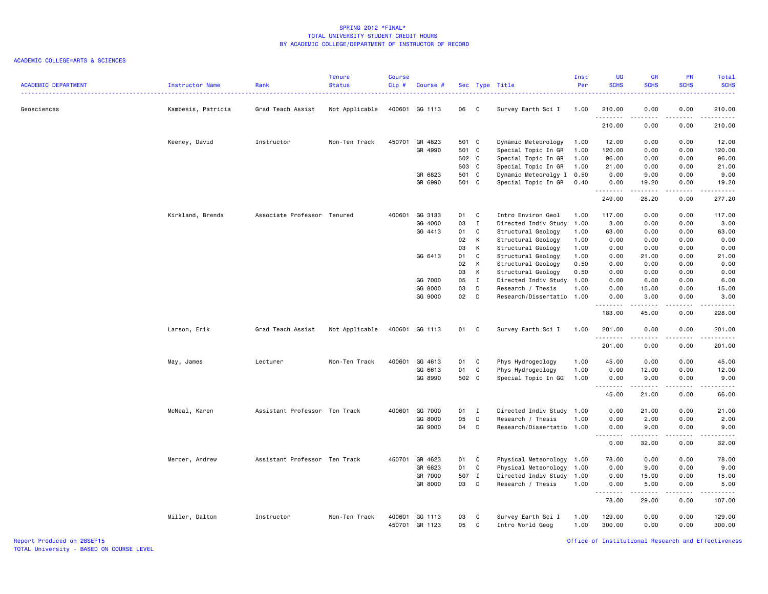### ACADEMIC COLLEGE=ARTS & SCIENCES

| 400601 GG 1113<br>0.00<br>Geosciences<br>Kambesis, Patricia<br>Grad Teach Assist<br>Not Applicable<br>06 C<br>Survey Earth Sci I<br>1.00<br>210.00<br>0.00<br>210.00<br>.<br>.<br>.<br>.<br>210.00<br>0.00<br>0.00<br>210.00<br>450701 GR 4823<br>Keeney, David<br>Instructor<br>Non-Ten Track<br>501 C<br>Dynamic Meteorology<br>12.00<br>0.00<br>0.00<br>12.00<br>1.00<br>501 C<br>Special Topic In GR<br>GR 4990<br>1.00<br>120.00<br>0.00<br>0.00<br>120.00<br>502 C<br>Special Topic In GR<br>96.00<br>1.00<br>96.00<br>0.00<br>0.00<br>503 C<br>Special Topic In GR<br>1.00<br>21.00<br>0.00<br>0.00<br>21.00<br>GR 6823<br>501 C<br>Dynamic Meteorolgy I<br>0.00<br>9.00<br>0.50<br>9.00<br>0.00<br>GR 6990<br>501 C<br>Special Topic In GR<br>0.40<br>19.20<br>0.00<br>19.20<br>0.00<br>.<br>.<br>$- - - -$<br>.<br>249.00<br>277.20<br>28.20<br>0.00<br>Kirkland, Brenda<br>Associate Professor Tenured<br>400601 GG 3133<br>01 C<br>Intro Environ Geol<br>117.00<br>0.00<br>0.00<br>117.00<br>1.00<br>GG 4000<br>03<br>$\mathbf{I}$<br>3.00<br>Directed Indiv Study<br>1.00<br>0.00<br>0.00<br>3.00<br>GG 4413<br>01<br>C<br>Structural Geology<br>1.00<br>63.00<br>0.00<br>0.00<br>63.00<br>02<br>K<br>Structural Geology<br>0.00<br>0.00<br>0.00<br>0.00<br>1.00<br>03<br>K<br>Structural Geology<br>1.00<br>0.00<br>0.00<br>0.00<br>0.00<br>$\mathtt{C}$<br>GG 6413<br>01<br>Structural Geology<br>1.00<br>0.00<br>21.00<br>0.00<br>21.00<br>02<br>к<br>Structural Geology<br>0.50<br>0.00<br>0.00<br>0.00<br>0.00<br>03<br>К<br>Structural Geology<br>0.50<br>0.00<br>0.00<br>0.00<br>0.00<br>05<br>GG 7000<br>$\mathbf I$<br>Directed Indiv Study<br>1.00<br>0.00<br>6.00<br>0.00<br>6.00<br>GG 8000<br>03<br>D<br>1.00<br>0.00<br>15.00<br>Research / Thesis<br>0.00<br>15.00<br>02<br>GG 9000<br>$\Box$<br>Research/Dissertatio 1.00<br>0.00<br>3.00<br>0.00<br>3.00<br>.<br>.<br>.<br>.<br>183.00<br>45.00<br>0.00<br>228.00<br>Larson, Erik<br>Grad Teach Assist<br>Not Applicable<br>400601 GG 1113<br>01 C<br>Survey Earth Sci I<br>1.00<br>201.00<br>0.00<br>0.00<br>201.00<br>.<br>.<br>.<br>201.00<br>0.00<br>0.00<br>201.00<br>400601<br>GG 4613<br>Phys Hydrogeology<br>1.00<br>45.00<br>0.00<br>0.00<br>45.00<br>Lecturer<br>Non-Ten Track<br>01<br>$\mathbf{C}$<br>May, James<br>GG 6613<br>01<br>C<br>Phys Hydrogeology<br>0.00<br>0.00<br>1.00<br>12.00<br>12.00<br>502 C<br>GG 8990<br>Special Topic In GG<br>1.00<br>9.00<br>0.00<br>9.00<br>0.00<br>.<br>45.00<br>21.00<br>0.00<br>66.00<br>McNeal, Karen<br>Assistant Professor Ten Track<br>400601<br>GG 7000<br>Directed Indiv Study 1.00<br>0.00<br>21.00<br>0.00<br>21.00<br>$01 \qquad I$<br>05<br>D<br>GG 8000<br>Research / Thesis<br>1.00<br>0.00<br>2.00<br>0.00<br>2.00<br>GG 9000<br>04 D<br>Research/Dissertatio 1.00<br>0.00<br>9.00<br>0.00<br>9.00<br>.<br>.<br>$\frac{1}{2} \left( \frac{1}{2} \right) \left( \frac{1}{2} \right) \left( \frac{1}{2} \right) \left( \frac{1}{2} \right) \left( \frac{1}{2} \right)$<br>32.00<br>0.00<br>0.00<br>32.00<br>Mercer, Andrew<br>Assistant Professor Ten Track<br>450701<br>GR 4623<br>01 C<br>Physical Meteorology 1.00<br>78.00<br>0.00<br>0.00<br>78.00<br>GR 6623<br>01 C<br>Physical Meteorology 1.00<br>0.00<br>9.00<br>0.00<br>9.00<br>507 I<br>GR 7000<br>Directed Indiv Study<br>1.00<br>0.00<br>0.00<br>15.00<br>15.00<br>03 D<br>GR 8000<br>Research / Thesis<br>1.00<br>0.00<br>5.00<br>0.00<br>5.00<br>.<br>د د د د د<br>د د د د<br>.<br>78.00<br>29.00<br>0.00<br>107.00<br>Miller, Dalton<br>Non-Ten Track<br>03<br>1.00<br>129.00<br>0.00<br>0.00<br>129.00<br>Instructor<br>400601 GG 1113<br>C<br>Survey Earth Sci I<br>450701<br>GR 1123<br>05<br>C<br>Intro World Geog<br>1.00<br>300.00<br>0.00<br>0.00<br>300.00 | <b>ACADEMIC DEPARTMENT</b> | Instructor Name | Rank | <b>Tenure</b><br><b>Status</b> | Course<br>Cip# | Course # |  | Sec Type Title | Inst<br>Per | UG<br><b>SCHS</b> | <b>GR</b><br><b>SCHS</b> | PR<br><b>SCHS</b> | Total<br><b>SCHS</b> |
|------------------------------------------------------------------------------------------------------------------------------------------------------------------------------------------------------------------------------------------------------------------------------------------------------------------------------------------------------------------------------------------------------------------------------------------------------------------------------------------------------------------------------------------------------------------------------------------------------------------------------------------------------------------------------------------------------------------------------------------------------------------------------------------------------------------------------------------------------------------------------------------------------------------------------------------------------------------------------------------------------------------------------------------------------------------------------------------------------------------------------------------------------------------------------------------------------------------------------------------------------------------------------------------------------------------------------------------------------------------------------------------------------------------------------------------------------------------------------------------------------------------------------------------------------------------------------------------------------------------------------------------------------------------------------------------------------------------------------------------------------------------------------------------------------------------------------------------------------------------------------------------------------------------------------------------------------------------------------------------------------------------------------------------------------------------------------------------------------------------------------------------------------------------------------------------------------------------------------------------------------------------------------------------------------------------------------------------------------------------------------------------------------------------------------------------------------------------------------------------------------------------------------------------------------------------------------------------------------------------------------------------------------------------------------------------------------------------------------------------------------------------------------------------------------------------------------------------------------------------------------------------------------------------------------------------------------------------------------------------------------------------------------------------------------------------------------------------------------------------------------------------------------------------------------------------------------------------------------------------------------------------------------------------------------------------------------------------------------------------------------------------------------------------------------------------------------------------------------------------------------------------------------------------------------------------------------------------------------------------------------------------------------------------------------------------------------------------------------------------------------------------------------------|----------------------------|-----------------|------|--------------------------------|----------------|----------|--|----------------|-------------|-------------------|--------------------------|-------------------|----------------------|
|                                                                                                                                                                                                                                                                                                                                                                                                                                                                                                                                                                                                                                                                                                                                                                                                                                                                                                                                                                                                                                                                                                                                                                                                                                                                                                                                                                                                                                                                                                                                                                                                                                                                                                                                                                                                                                                                                                                                                                                                                                                                                                                                                                                                                                                                                                                                                                                                                                                                                                                                                                                                                                                                                                                                                                                                                                                                                                                                                                                                                                                                                                                                                                                                                                                                                                                                                                                                                                                                                                                                                                                                                                                                                                                                                                                    |                            |                 |      |                                |                |          |  |                |             |                   |                          |                   |                      |
|                                                                                                                                                                                                                                                                                                                                                                                                                                                                                                                                                                                                                                                                                                                                                                                                                                                                                                                                                                                                                                                                                                                                                                                                                                                                                                                                                                                                                                                                                                                                                                                                                                                                                                                                                                                                                                                                                                                                                                                                                                                                                                                                                                                                                                                                                                                                                                                                                                                                                                                                                                                                                                                                                                                                                                                                                                                                                                                                                                                                                                                                                                                                                                                                                                                                                                                                                                                                                                                                                                                                                                                                                                                                                                                                                                                    |                            |                 |      |                                |                |          |  |                |             |                   |                          |                   |                      |
|                                                                                                                                                                                                                                                                                                                                                                                                                                                                                                                                                                                                                                                                                                                                                                                                                                                                                                                                                                                                                                                                                                                                                                                                                                                                                                                                                                                                                                                                                                                                                                                                                                                                                                                                                                                                                                                                                                                                                                                                                                                                                                                                                                                                                                                                                                                                                                                                                                                                                                                                                                                                                                                                                                                                                                                                                                                                                                                                                                                                                                                                                                                                                                                                                                                                                                                                                                                                                                                                                                                                                                                                                                                                                                                                                                                    |                            |                 |      |                                |                |          |  |                |             |                   |                          |                   |                      |
|                                                                                                                                                                                                                                                                                                                                                                                                                                                                                                                                                                                                                                                                                                                                                                                                                                                                                                                                                                                                                                                                                                                                                                                                                                                                                                                                                                                                                                                                                                                                                                                                                                                                                                                                                                                                                                                                                                                                                                                                                                                                                                                                                                                                                                                                                                                                                                                                                                                                                                                                                                                                                                                                                                                                                                                                                                                                                                                                                                                                                                                                                                                                                                                                                                                                                                                                                                                                                                                                                                                                                                                                                                                                                                                                                                                    |                            |                 |      |                                |                |          |  |                |             |                   |                          |                   |                      |
|                                                                                                                                                                                                                                                                                                                                                                                                                                                                                                                                                                                                                                                                                                                                                                                                                                                                                                                                                                                                                                                                                                                                                                                                                                                                                                                                                                                                                                                                                                                                                                                                                                                                                                                                                                                                                                                                                                                                                                                                                                                                                                                                                                                                                                                                                                                                                                                                                                                                                                                                                                                                                                                                                                                                                                                                                                                                                                                                                                                                                                                                                                                                                                                                                                                                                                                                                                                                                                                                                                                                                                                                                                                                                                                                                                                    |                            |                 |      |                                |                |          |  |                |             |                   |                          |                   |                      |
|                                                                                                                                                                                                                                                                                                                                                                                                                                                                                                                                                                                                                                                                                                                                                                                                                                                                                                                                                                                                                                                                                                                                                                                                                                                                                                                                                                                                                                                                                                                                                                                                                                                                                                                                                                                                                                                                                                                                                                                                                                                                                                                                                                                                                                                                                                                                                                                                                                                                                                                                                                                                                                                                                                                                                                                                                                                                                                                                                                                                                                                                                                                                                                                                                                                                                                                                                                                                                                                                                                                                                                                                                                                                                                                                                                                    |                            |                 |      |                                |                |          |  |                |             |                   |                          |                   |                      |
|                                                                                                                                                                                                                                                                                                                                                                                                                                                                                                                                                                                                                                                                                                                                                                                                                                                                                                                                                                                                                                                                                                                                                                                                                                                                                                                                                                                                                                                                                                                                                                                                                                                                                                                                                                                                                                                                                                                                                                                                                                                                                                                                                                                                                                                                                                                                                                                                                                                                                                                                                                                                                                                                                                                                                                                                                                                                                                                                                                                                                                                                                                                                                                                                                                                                                                                                                                                                                                                                                                                                                                                                                                                                                                                                                                                    |                            |                 |      |                                |                |          |  |                |             |                   |                          |                   |                      |
|                                                                                                                                                                                                                                                                                                                                                                                                                                                                                                                                                                                                                                                                                                                                                                                                                                                                                                                                                                                                                                                                                                                                                                                                                                                                                                                                                                                                                                                                                                                                                                                                                                                                                                                                                                                                                                                                                                                                                                                                                                                                                                                                                                                                                                                                                                                                                                                                                                                                                                                                                                                                                                                                                                                                                                                                                                                                                                                                                                                                                                                                                                                                                                                                                                                                                                                                                                                                                                                                                                                                                                                                                                                                                                                                                                                    |                            |                 |      |                                |                |          |  |                |             |                   |                          |                   |                      |
|                                                                                                                                                                                                                                                                                                                                                                                                                                                                                                                                                                                                                                                                                                                                                                                                                                                                                                                                                                                                                                                                                                                                                                                                                                                                                                                                                                                                                                                                                                                                                                                                                                                                                                                                                                                                                                                                                                                                                                                                                                                                                                                                                                                                                                                                                                                                                                                                                                                                                                                                                                                                                                                                                                                                                                                                                                                                                                                                                                                                                                                                                                                                                                                                                                                                                                                                                                                                                                                                                                                                                                                                                                                                                                                                                                                    |                            |                 |      |                                |                |          |  |                |             |                   |                          |                   |                      |
|                                                                                                                                                                                                                                                                                                                                                                                                                                                                                                                                                                                                                                                                                                                                                                                                                                                                                                                                                                                                                                                                                                                                                                                                                                                                                                                                                                                                                                                                                                                                                                                                                                                                                                                                                                                                                                                                                                                                                                                                                                                                                                                                                                                                                                                                                                                                                                                                                                                                                                                                                                                                                                                                                                                                                                                                                                                                                                                                                                                                                                                                                                                                                                                                                                                                                                                                                                                                                                                                                                                                                                                                                                                                                                                                                                                    |                            |                 |      |                                |                |          |  |                |             |                   |                          |                   |                      |
|                                                                                                                                                                                                                                                                                                                                                                                                                                                                                                                                                                                                                                                                                                                                                                                                                                                                                                                                                                                                                                                                                                                                                                                                                                                                                                                                                                                                                                                                                                                                                                                                                                                                                                                                                                                                                                                                                                                                                                                                                                                                                                                                                                                                                                                                                                                                                                                                                                                                                                                                                                                                                                                                                                                                                                                                                                                                                                                                                                                                                                                                                                                                                                                                                                                                                                                                                                                                                                                                                                                                                                                                                                                                                                                                                                                    |                            |                 |      |                                |                |          |  |                |             |                   |                          |                   |                      |
|                                                                                                                                                                                                                                                                                                                                                                                                                                                                                                                                                                                                                                                                                                                                                                                                                                                                                                                                                                                                                                                                                                                                                                                                                                                                                                                                                                                                                                                                                                                                                                                                                                                                                                                                                                                                                                                                                                                                                                                                                                                                                                                                                                                                                                                                                                                                                                                                                                                                                                                                                                                                                                                                                                                                                                                                                                                                                                                                                                                                                                                                                                                                                                                                                                                                                                                                                                                                                                                                                                                                                                                                                                                                                                                                                                                    |                            |                 |      |                                |                |          |  |                |             |                   |                          |                   |                      |
|                                                                                                                                                                                                                                                                                                                                                                                                                                                                                                                                                                                                                                                                                                                                                                                                                                                                                                                                                                                                                                                                                                                                                                                                                                                                                                                                                                                                                                                                                                                                                                                                                                                                                                                                                                                                                                                                                                                                                                                                                                                                                                                                                                                                                                                                                                                                                                                                                                                                                                                                                                                                                                                                                                                                                                                                                                                                                                                                                                                                                                                                                                                                                                                                                                                                                                                                                                                                                                                                                                                                                                                                                                                                                                                                                                                    |                            |                 |      |                                |                |          |  |                |             |                   |                          |                   |                      |
|                                                                                                                                                                                                                                                                                                                                                                                                                                                                                                                                                                                                                                                                                                                                                                                                                                                                                                                                                                                                                                                                                                                                                                                                                                                                                                                                                                                                                                                                                                                                                                                                                                                                                                                                                                                                                                                                                                                                                                                                                                                                                                                                                                                                                                                                                                                                                                                                                                                                                                                                                                                                                                                                                                                                                                                                                                                                                                                                                                                                                                                                                                                                                                                                                                                                                                                                                                                                                                                                                                                                                                                                                                                                                                                                                                                    |                            |                 |      |                                |                |          |  |                |             |                   |                          |                   |                      |
|                                                                                                                                                                                                                                                                                                                                                                                                                                                                                                                                                                                                                                                                                                                                                                                                                                                                                                                                                                                                                                                                                                                                                                                                                                                                                                                                                                                                                                                                                                                                                                                                                                                                                                                                                                                                                                                                                                                                                                                                                                                                                                                                                                                                                                                                                                                                                                                                                                                                                                                                                                                                                                                                                                                                                                                                                                                                                                                                                                                                                                                                                                                                                                                                                                                                                                                                                                                                                                                                                                                                                                                                                                                                                                                                                                                    |                            |                 |      |                                |                |          |  |                |             |                   |                          |                   |                      |
|                                                                                                                                                                                                                                                                                                                                                                                                                                                                                                                                                                                                                                                                                                                                                                                                                                                                                                                                                                                                                                                                                                                                                                                                                                                                                                                                                                                                                                                                                                                                                                                                                                                                                                                                                                                                                                                                                                                                                                                                                                                                                                                                                                                                                                                                                                                                                                                                                                                                                                                                                                                                                                                                                                                                                                                                                                                                                                                                                                                                                                                                                                                                                                                                                                                                                                                                                                                                                                                                                                                                                                                                                                                                                                                                                                                    |                            |                 |      |                                |                |          |  |                |             |                   |                          |                   |                      |
|                                                                                                                                                                                                                                                                                                                                                                                                                                                                                                                                                                                                                                                                                                                                                                                                                                                                                                                                                                                                                                                                                                                                                                                                                                                                                                                                                                                                                                                                                                                                                                                                                                                                                                                                                                                                                                                                                                                                                                                                                                                                                                                                                                                                                                                                                                                                                                                                                                                                                                                                                                                                                                                                                                                                                                                                                                                                                                                                                                                                                                                                                                                                                                                                                                                                                                                                                                                                                                                                                                                                                                                                                                                                                                                                                                                    |                            |                 |      |                                |                |          |  |                |             |                   |                          |                   |                      |
|                                                                                                                                                                                                                                                                                                                                                                                                                                                                                                                                                                                                                                                                                                                                                                                                                                                                                                                                                                                                                                                                                                                                                                                                                                                                                                                                                                                                                                                                                                                                                                                                                                                                                                                                                                                                                                                                                                                                                                                                                                                                                                                                                                                                                                                                                                                                                                                                                                                                                                                                                                                                                                                                                                                                                                                                                                                                                                                                                                                                                                                                                                                                                                                                                                                                                                                                                                                                                                                                                                                                                                                                                                                                                                                                                                                    |                            |                 |      |                                |                |          |  |                |             |                   |                          |                   |                      |
|                                                                                                                                                                                                                                                                                                                                                                                                                                                                                                                                                                                                                                                                                                                                                                                                                                                                                                                                                                                                                                                                                                                                                                                                                                                                                                                                                                                                                                                                                                                                                                                                                                                                                                                                                                                                                                                                                                                                                                                                                                                                                                                                                                                                                                                                                                                                                                                                                                                                                                                                                                                                                                                                                                                                                                                                                                                                                                                                                                                                                                                                                                                                                                                                                                                                                                                                                                                                                                                                                                                                                                                                                                                                                                                                                                                    |                            |                 |      |                                |                |          |  |                |             |                   |                          |                   |                      |
|                                                                                                                                                                                                                                                                                                                                                                                                                                                                                                                                                                                                                                                                                                                                                                                                                                                                                                                                                                                                                                                                                                                                                                                                                                                                                                                                                                                                                                                                                                                                                                                                                                                                                                                                                                                                                                                                                                                                                                                                                                                                                                                                                                                                                                                                                                                                                                                                                                                                                                                                                                                                                                                                                                                                                                                                                                                                                                                                                                                                                                                                                                                                                                                                                                                                                                                                                                                                                                                                                                                                                                                                                                                                                                                                                                                    |                            |                 |      |                                |                |          |  |                |             |                   |                          |                   |                      |
|                                                                                                                                                                                                                                                                                                                                                                                                                                                                                                                                                                                                                                                                                                                                                                                                                                                                                                                                                                                                                                                                                                                                                                                                                                                                                                                                                                                                                                                                                                                                                                                                                                                                                                                                                                                                                                                                                                                                                                                                                                                                                                                                                                                                                                                                                                                                                                                                                                                                                                                                                                                                                                                                                                                                                                                                                                                                                                                                                                                                                                                                                                                                                                                                                                                                                                                                                                                                                                                                                                                                                                                                                                                                                                                                                                                    |                            |                 |      |                                |                |          |  |                |             |                   |                          |                   |                      |
|                                                                                                                                                                                                                                                                                                                                                                                                                                                                                                                                                                                                                                                                                                                                                                                                                                                                                                                                                                                                                                                                                                                                                                                                                                                                                                                                                                                                                                                                                                                                                                                                                                                                                                                                                                                                                                                                                                                                                                                                                                                                                                                                                                                                                                                                                                                                                                                                                                                                                                                                                                                                                                                                                                                                                                                                                                                                                                                                                                                                                                                                                                                                                                                                                                                                                                                                                                                                                                                                                                                                                                                                                                                                                                                                                                                    |                            |                 |      |                                |                |          |  |                |             |                   |                          |                   |                      |
|                                                                                                                                                                                                                                                                                                                                                                                                                                                                                                                                                                                                                                                                                                                                                                                                                                                                                                                                                                                                                                                                                                                                                                                                                                                                                                                                                                                                                                                                                                                                                                                                                                                                                                                                                                                                                                                                                                                                                                                                                                                                                                                                                                                                                                                                                                                                                                                                                                                                                                                                                                                                                                                                                                                                                                                                                                                                                                                                                                                                                                                                                                                                                                                                                                                                                                                                                                                                                                                                                                                                                                                                                                                                                                                                                                                    |                            |                 |      |                                |                |          |  |                |             |                   |                          |                   |                      |
|                                                                                                                                                                                                                                                                                                                                                                                                                                                                                                                                                                                                                                                                                                                                                                                                                                                                                                                                                                                                                                                                                                                                                                                                                                                                                                                                                                                                                                                                                                                                                                                                                                                                                                                                                                                                                                                                                                                                                                                                                                                                                                                                                                                                                                                                                                                                                                                                                                                                                                                                                                                                                                                                                                                                                                                                                                                                                                                                                                                                                                                                                                                                                                                                                                                                                                                                                                                                                                                                                                                                                                                                                                                                                                                                                                                    |                            |                 |      |                                |                |          |  |                |             |                   |                          |                   |                      |
|                                                                                                                                                                                                                                                                                                                                                                                                                                                                                                                                                                                                                                                                                                                                                                                                                                                                                                                                                                                                                                                                                                                                                                                                                                                                                                                                                                                                                                                                                                                                                                                                                                                                                                                                                                                                                                                                                                                                                                                                                                                                                                                                                                                                                                                                                                                                                                                                                                                                                                                                                                                                                                                                                                                                                                                                                                                                                                                                                                                                                                                                                                                                                                                                                                                                                                                                                                                                                                                                                                                                                                                                                                                                                                                                                                                    |                            |                 |      |                                |                |          |  |                |             |                   |                          |                   |                      |
|                                                                                                                                                                                                                                                                                                                                                                                                                                                                                                                                                                                                                                                                                                                                                                                                                                                                                                                                                                                                                                                                                                                                                                                                                                                                                                                                                                                                                                                                                                                                                                                                                                                                                                                                                                                                                                                                                                                                                                                                                                                                                                                                                                                                                                                                                                                                                                                                                                                                                                                                                                                                                                                                                                                                                                                                                                                                                                                                                                                                                                                                                                                                                                                                                                                                                                                                                                                                                                                                                                                                                                                                                                                                                                                                                                                    |                            |                 |      |                                |                |          |  |                |             |                   |                          |                   |                      |
|                                                                                                                                                                                                                                                                                                                                                                                                                                                                                                                                                                                                                                                                                                                                                                                                                                                                                                                                                                                                                                                                                                                                                                                                                                                                                                                                                                                                                                                                                                                                                                                                                                                                                                                                                                                                                                                                                                                                                                                                                                                                                                                                                                                                                                                                                                                                                                                                                                                                                                                                                                                                                                                                                                                                                                                                                                                                                                                                                                                                                                                                                                                                                                                                                                                                                                                                                                                                                                                                                                                                                                                                                                                                                                                                                                                    |                            |                 |      |                                |                |          |  |                |             |                   |                          |                   |                      |
|                                                                                                                                                                                                                                                                                                                                                                                                                                                                                                                                                                                                                                                                                                                                                                                                                                                                                                                                                                                                                                                                                                                                                                                                                                                                                                                                                                                                                                                                                                                                                                                                                                                                                                                                                                                                                                                                                                                                                                                                                                                                                                                                                                                                                                                                                                                                                                                                                                                                                                                                                                                                                                                                                                                                                                                                                                                                                                                                                                                                                                                                                                                                                                                                                                                                                                                                                                                                                                                                                                                                                                                                                                                                                                                                                                                    |                            |                 |      |                                |                |          |  |                |             |                   |                          |                   |                      |
|                                                                                                                                                                                                                                                                                                                                                                                                                                                                                                                                                                                                                                                                                                                                                                                                                                                                                                                                                                                                                                                                                                                                                                                                                                                                                                                                                                                                                                                                                                                                                                                                                                                                                                                                                                                                                                                                                                                                                                                                                                                                                                                                                                                                                                                                                                                                                                                                                                                                                                                                                                                                                                                                                                                                                                                                                                                                                                                                                                                                                                                                                                                                                                                                                                                                                                                                                                                                                                                                                                                                                                                                                                                                                                                                                                                    |                            |                 |      |                                |                |          |  |                |             |                   |                          |                   |                      |
|                                                                                                                                                                                                                                                                                                                                                                                                                                                                                                                                                                                                                                                                                                                                                                                                                                                                                                                                                                                                                                                                                                                                                                                                                                                                                                                                                                                                                                                                                                                                                                                                                                                                                                                                                                                                                                                                                                                                                                                                                                                                                                                                                                                                                                                                                                                                                                                                                                                                                                                                                                                                                                                                                                                                                                                                                                                                                                                                                                                                                                                                                                                                                                                                                                                                                                                                                                                                                                                                                                                                                                                                                                                                                                                                                                                    |                            |                 |      |                                |                |          |  |                |             |                   |                          |                   |                      |
|                                                                                                                                                                                                                                                                                                                                                                                                                                                                                                                                                                                                                                                                                                                                                                                                                                                                                                                                                                                                                                                                                                                                                                                                                                                                                                                                                                                                                                                                                                                                                                                                                                                                                                                                                                                                                                                                                                                                                                                                                                                                                                                                                                                                                                                                                                                                                                                                                                                                                                                                                                                                                                                                                                                                                                                                                                                                                                                                                                                                                                                                                                                                                                                                                                                                                                                                                                                                                                                                                                                                                                                                                                                                                                                                                                                    |                            |                 |      |                                |                |          |  |                |             |                   |                          |                   |                      |
|                                                                                                                                                                                                                                                                                                                                                                                                                                                                                                                                                                                                                                                                                                                                                                                                                                                                                                                                                                                                                                                                                                                                                                                                                                                                                                                                                                                                                                                                                                                                                                                                                                                                                                                                                                                                                                                                                                                                                                                                                                                                                                                                                                                                                                                                                                                                                                                                                                                                                                                                                                                                                                                                                                                                                                                                                                                                                                                                                                                                                                                                                                                                                                                                                                                                                                                                                                                                                                                                                                                                                                                                                                                                                                                                                                                    |                            |                 |      |                                |                |          |  |                |             |                   |                          |                   |                      |
|                                                                                                                                                                                                                                                                                                                                                                                                                                                                                                                                                                                                                                                                                                                                                                                                                                                                                                                                                                                                                                                                                                                                                                                                                                                                                                                                                                                                                                                                                                                                                                                                                                                                                                                                                                                                                                                                                                                                                                                                                                                                                                                                                                                                                                                                                                                                                                                                                                                                                                                                                                                                                                                                                                                                                                                                                                                                                                                                                                                                                                                                                                                                                                                                                                                                                                                                                                                                                                                                                                                                                                                                                                                                                                                                                                                    |                            |                 |      |                                |                |          |  |                |             |                   |                          |                   |                      |
|                                                                                                                                                                                                                                                                                                                                                                                                                                                                                                                                                                                                                                                                                                                                                                                                                                                                                                                                                                                                                                                                                                                                                                                                                                                                                                                                                                                                                                                                                                                                                                                                                                                                                                                                                                                                                                                                                                                                                                                                                                                                                                                                                                                                                                                                                                                                                                                                                                                                                                                                                                                                                                                                                                                                                                                                                                                                                                                                                                                                                                                                                                                                                                                                                                                                                                                                                                                                                                                                                                                                                                                                                                                                                                                                                                                    |                            |                 |      |                                |                |          |  |                |             |                   |                          |                   |                      |
|                                                                                                                                                                                                                                                                                                                                                                                                                                                                                                                                                                                                                                                                                                                                                                                                                                                                                                                                                                                                                                                                                                                                                                                                                                                                                                                                                                                                                                                                                                                                                                                                                                                                                                                                                                                                                                                                                                                                                                                                                                                                                                                                                                                                                                                                                                                                                                                                                                                                                                                                                                                                                                                                                                                                                                                                                                                                                                                                                                                                                                                                                                                                                                                                                                                                                                                                                                                                                                                                                                                                                                                                                                                                                                                                                                                    |                            |                 |      |                                |                |          |  |                |             |                   |                          |                   |                      |
|                                                                                                                                                                                                                                                                                                                                                                                                                                                                                                                                                                                                                                                                                                                                                                                                                                                                                                                                                                                                                                                                                                                                                                                                                                                                                                                                                                                                                                                                                                                                                                                                                                                                                                                                                                                                                                                                                                                                                                                                                                                                                                                                                                                                                                                                                                                                                                                                                                                                                                                                                                                                                                                                                                                                                                                                                                                                                                                                                                                                                                                                                                                                                                                                                                                                                                                                                                                                                                                                                                                                                                                                                                                                                                                                                                                    |                            |                 |      |                                |                |          |  |                |             |                   |                          |                   |                      |
|                                                                                                                                                                                                                                                                                                                                                                                                                                                                                                                                                                                                                                                                                                                                                                                                                                                                                                                                                                                                                                                                                                                                                                                                                                                                                                                                                                                                                                                                                                                                                                                                                                                                                                                                                                                                                                                                                                                                                                                                                                                                                                                                                                                                                                                                                                                                                                                                                                                                                                                                                                                                                                                                                                                                                                                                                                                                                                                                                                                                                                                                                                                                                                                                                                                                                                                                                                                                                                                                                                                                                                                                                                                                                                                                                                                    |                            |                 |      |                                |                |          |  |                |             |                   |                          |                   |                      |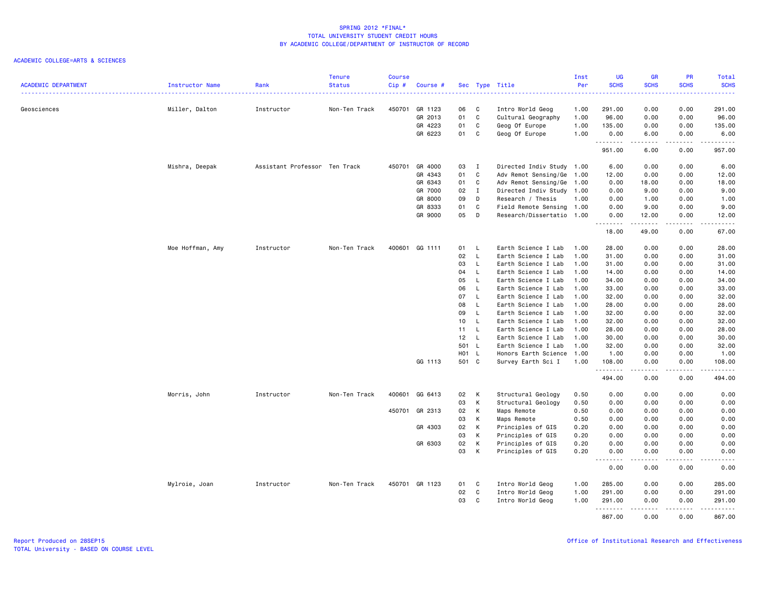|                            |                  |                               | <b>Tenure</b> | <b>Course</b> |                |       |                |                           | Inst | UG               | <b>GR</b>   | PR                          | Total                                                                                                                                                         |
|----------------------------|------------------|-------------------------------|---------------|---------------|----------------|-------|----------------|---------------------------|------|------------------|-------------|-----------------------------|---------------------------------------------------------------------------------------------------------------------------------------------------------------|
| <b>ACADEMIC DEPARTMENT</b> | Instructor Name  | Rank                          | <b>Status</b> | Cip#          | Course #       |       |                | Sec Type Title            | Per  | <b>SCHS</b>      | <b>SCHS</b> | <b>SCHS</b>                 | <b>SCHS</b><br>بالأبالات                                                                                                                                      |
| Geosciences                | Miller, Dalton   | Instructor                    | Non-Ten Track | 450701        | GR 1123        | 06    | C              | Intro World Geog          | 1.00 | 291.00           | 0.00        | 0.00                        | 291.00                                                                                                                                                        |
|                            |                  |                               |               |               | GR 2013        | 01    | $\mathtt{C}$   | Cultural Geography        | 1.00 | 96.00            | 0.00        | 0.00                        | 96.00                                                                                                                                                         |
|                            |                  |                               |               |               | GR 4223        | 01    | C              | Geog Of Europe            | 1.00 | 135.00           | 0.00        | 0.00                        | 135.00                                                                                                                                                        |
|                            |                  |                               |               |               | GR 6223        | 01    | C              | Geog Of Europe            | 1.00 | 0.00             | 6.00        | 0.00                        | 6.00                                                                                                                                                          |
|                            |                  |                               |               |               |                |       |                |                           |      | .                | .           | $\sim$ $\sim$ $\sim$ $\sim$ | <u>.</u>                                                                                                                                                      |
|                            |                  |                               |               |               |                |       |                |                           |      | 951.00           | 6.00        | 0.00                        | 957.00                                                                                                                                                        |
|                            | Mishra, Deepak   | Assistant Professor Ten Track |               | 450701        | GR 4000        | 03    | $\mathbf{I}$   | Directed Indiv Study 1.00 |      | 6.00             | 0.00        | 0.00                        | 6.00                                                                                                                                                          |
|                            |                  |                               |               |               | GR 4343        | 01    | C              | Adv Remot Sensing/Ge      | 1.00 | 12.00            | 0.00        | 0.00                        | 12.00                                                                                                                                                         |
|                            |                  |                               |               |               | GR 6343        | 01    | C              | Adv Remot Sensing/Ge 1.00 |      | 0.00             | 18.00       | 0.00                        | 18.00                                                                                                                                                         |
|                            |                  |                               |               |               | GR 7000        | 02    | $\blacksquare$ | Directed Indiv Study 1.00 |      | 0.00             | 9.00        | 0.00                        | 9.00                                                                                                                                                          |
|                            |                  |                               |               |               | GR 8000        | 09    | D              | Research / Thesis         | 1.00 | 0.00             | 1.00        | 0.00                        | 1.00                                                                                                                                                          |
|                            |                  |                               |               |               | GR 8333        | 01    | $\mathtt{C}$   | Field Remote Sensing 1.00 |      | 0.00             | 9.00        | 0.00                        | 9.00                                                                                                                                                          |
|                            |                  |                               |               |               | GR 9000        | 05    | D              | Research/Dissertatio 1.00 |      | 0.00<br><u>.</u> | 12.00       | 0.00<br>.                   | 12.00<br>$\frac{1}{2} \left( \frac{1}{2} \right) \left( \frac{1}{2} \right) \left( \frac{1}{2} \right) \left( \frac{1}{2} \right) \left( \frac{1}{2} \right)$ |
|                            |                  |                               |               |               |                |       |                |                           |      | 18.00            | 49.00       | 0.00                        | 67.00                                                                                                                                                         |
|                            | Moe Hoffman, Amy | Instructor                    | Non-Ten Track | 400601        | GG 1111        | 01    | - L            | Earth Science I Lab       | 1.00 | 28.00            | 0.00        | 0.00                        | 28.00                                                                                                                                                         |
|                            |                  |                               |               |               |                | 02    | $\mathsf{L}$   | Earth Science I Lab       | 1.00 | 31.00            | 0.00        | 0.00                        | 31.00                                                                                                                                                         |
|                            |                  |                               |               |               |                | 03    | L.             | Earth Science I Lab       | 1.00 | 31.00            | 0.00        | 0.00                        | 31.00                                                                                                                                                         |
|                            |                  |                               |               |               |                | 04    | $\mathsf{L}$   | Earth Science I Lab       | 1.00 | 14.00            | 0.00        | 0.00                        | 14.00                                                                                                                                                         |
|                            |                  |                               |               |               |                | 05    | $\mathsf{L}$   | Earth Science I Lab       | 1.00 | 34.00            | 0.00        | 0.00                        | 34.00                                                                                                                                                         |
|                            |                  |                               |               |               |                | 06    | L.             | Earth Science I Lab       | 1.00 | 33.00            | 0.00        | 0.00                        | 33.00                                                                                                                                                         |
|                            |                  |                               |               |               |                | 07    | L.             | Earth Science I Lab       | 1.00 | 32.00            | 0.00        | 0.00                        | 32.00                                                                                                                                                         |
|                            |                  |                               |               |               |                | 08    | $\mathsf{L}$   | Earth Science I Lab       | 1.00 | 28.00            | 0.00        | 0.00                        | 28.00                                                                                                                                                         |
|                            |                  |                               |               |               |                | 09    | L.             | Earth Science I Lab       | 1.00 | 32.00            | 0.00        | 0.00                        | 32.00                                                                                                                                                         |
|                            |                  |                               |               |               |                | 10    | L.             | Earth Science I Lab       | 1.00 | 32.00            | 0.00        | 0.00                        | 32.00                                                                                                                                                         |
|                            |                  |                               |               |               |                | 11    | $\mathsf{L}$   | Earth Science I Lab       | 1.00 | 28.00            | 0.00        | 0.00                        | 28.00                                                                                                                                                         |
|                            |                  |                               |               |               |                | 12    | $\mathsf{L}$   | Earth Science I Lab       | 1.00 | 30.00            | 0.00        | 0.00                        | 30.00                                                                                                                                                         |
|                            |                  |                               |               |               |                | 501 L |                | Earth Science I Lab       | 1.00 | 32.00            | 0.00        | 0.00                        | 32.00                                                                                                                                                         |
|                            |                  |                               |               |               |                | H01 L |                | Honors Earth Science      | 1.00 | 1.00             | 0.00        | 0.00                        | 1.00                                                                                                                                                          |
|                            |                  |                               |               |               | GG 1113        | 501 C |                | Survey Earth Sci I        | 1.00 | 108.00           | 0.00        | 0.00                        | 108.00                                                                                                                                                        |
|                            |                  |                               |               |               |                |       |                |                           |      | .<br>494.00      | .<br>0.00   | .<br>0.00                   | $\begin{array}{cccccccccc} \bullet & \bullet & \bullet & \bullet & \bullet & \bullet & \bullet & \bullet \end{array}$<br>494.00                               |
|                            | Morris, John     | Instructor                    | Non-Ten Track | 400601        | GG 6413        | 02    | К              | Structural Geology        | 0.50 | 0.00             | 0.00        | 0.00                        | 0.00                                                                                                                                                          |
|                            |                  |                               |               |               |                | 03    | К              | Structural Geology        | 0.50 | 0.00             | 0.00        | 0.00                        | 0.00                                                                                                                                                          |
|                            |                  |                               |               | 450701        | GR 2313        | 02    | K              | Maps Remote               | 0.50 | 0.00             | 0.00        | 0.00                        | 0.00                                                                                                                                                          |
|                            |                  |                               |               |               |                | 03    | К              | Maps Remote               | 0.50 | 0.00             | 0.00        | 0.00                        | 0.00                                                                                                                                                          |
|                            |                  |                               |               |               | GR 4303        | 02    | К              | Principles of GIS         | 0.20 | 0.00             | 0.00        | 0.00                        | 0.00                                                                                                                                                          |
|                            |                  |                               |               |               |                | 03    | К              | Principles of GIS         | 0.20 | 0.00             | 0.00        | 0.00                        | 0.00                                                                                                                                                          |
|                            |                  |                               |               |               | GR 6303        | 02    | К              | Principles of GIS         | 0.20 | 0.00             | 0.00        | 0.00                        | 0.00                                                                                                                                                          |
|                            |                  |                               |               |               |                | 03    | К              | Principles of GIS         | 0.20 | 0.00             | 0.00        | 0.00                        | 0.00                                                                                                                                                          |
|                            |                  |                               |               |               |                |       |                |                           |      | .<br>0.00        | .<br>0.00   | .<br>0.00                   | .<br>0.00                                                                                                                                                     |
|                            | Mylroie, Joan    | Instructor                    | Non-Ten Track |               | 450701 GR 1123 | 01    | C              | Intro World Geog          | 1.00 | 285.00           | 0.00        | 0.00                        | 285.00                                                                                                                                                        |
|                            |                  |                               |               |               |                | 02    | C              | Intro World Geog          | 1.00 | 291.00           | 0.00        | 0.00                        | 291.00                                                                                                                                                        |
|                            |                  |                               |               |               |                | 03    | C              | Intro World Geog          | 1.00 | 291.00<br>.      | 0.00        | 0.00                        | 291.00<br>.                                                                                                                                                   |
|                            |                  |                               |               |               |                |       |                |                           |      | 867.00           | 0.00        | 0.00                        | 867.00                                                                                                                                                        |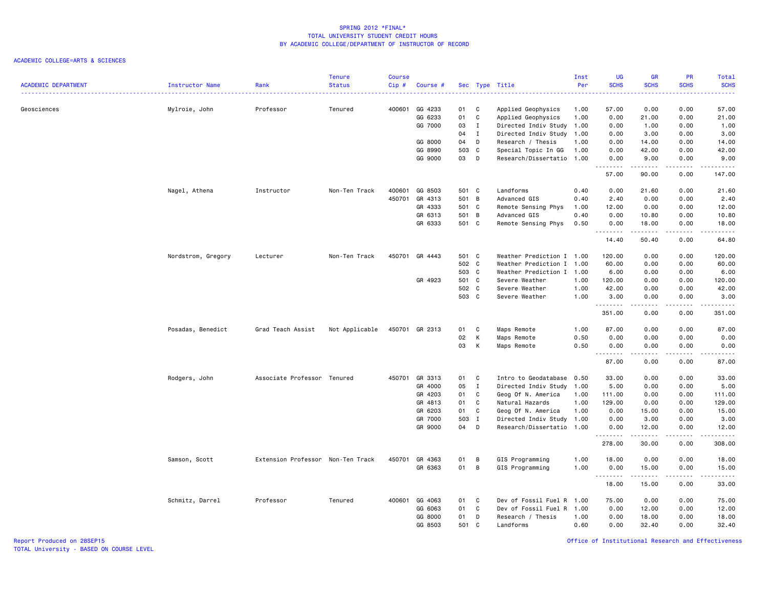### ACADEMIC COLLEGE=ARTS & SCIENCES

| <b>ACADEMIC DEPARTMENT</b> | Instructor Name    | Rank                              | <b>Tenure</b><br><b>Status</b> | <b>Course</b><br>Cip# | Course #       |       |              | Sec Type Title            | Inst<br>Per | <b>UG</b><br><b>SCHS</b> | <b>GR</b><br><b>SCHS</b> | PR<br><b>SCHS</b>                   | Total<br><b>SCHS</b>                                                                                                                                          |
|----------------------------|--------------------|-----------------------------------|--------------------------------|-----------------------|----------------|-------|--------------|---------------------------|-------------|--------------------------|--------------------------|-------------------------------------|---------------------------------------------------------------------------------------------------------------------------------------------------------------|
|                            |                    |                                   |                                |                       |                |       |              |                           | .           |                          |                          | 22222                               | $\frac{1}{2} \left( \frac{1}{2} \right) \left( \frac{1}{2} \right) \left( \frac{1}{2} \right) \left( \frac{1}{2} \right)$                                     |
| Geosciences                | Mylroie, John      | Professor                         | Tenured                        | 400601                | GG 4233        | 01    | C            | Applied Geophysics        | 1.00        | 57.00                    | 0.00                     | 0.00                                | 57.00                                                                                                                                                         |
|                            |                    |                                   |                                |                       | GG 6233        | 01    | C            | Applied Geophysics        | 1.00        | 0.00                     | 21.00                    | 0.00                                | 21.00                                                                                                                                                         |
|                            |                    |                                   |                                |                       | GG 7000        | 03    | $\mathbf{I}$ | Directed Indiv Study      | 1.00        | 0.00                     | 1.00                     | 0.00                                | 1.00                                                                                                                                                          |
|                            |                    |                                   |                                |                       |                | 04    | I            | Directed Indiv Study 1.00 |             | 0.00                     | 3.00                     | 0.00                                | 3.00                                                                                                                                                          |
|                            |                    |                                   |                                |                       | GG 8000        | 04    | D            | Research / Thesis         | 1.00        | 0.00                     | 14.00                    | 0.00                                | 14.00                                                                                                                                                         |
|                            |                    |                                   |                                |                       | GG 8990        | 503 C |              | Special Topic In GG       | 1.00        | 0.00                     | 42.00                    | 0.00                                | 42.00                                                                                                                                                         |
|                            |                    |                                   |                                |                       | GG 9000        | 03    | D            | Research/Dissertatio 1.00 |             | 0.00<br>.                | 9.00<br>.                | 0.00<br>.                           | 9.00<br>.                                                                                                                                                     |
|                            |                    |                                   |                                |                       |                |       |              |                           |             | 57.00                    | 90.00                    | 0.00                                | 147.00                                                                                                                                                        |
|                            | Nagel, Athena      | Instructor                        | Non-Ten Track                  | 400601                | GG 8503        | 501 C |              | Landforms                 | 0.40        | 0.00                     | 21.60                    | 0.00                                | 21.60                                                                                                                                                         |
|                            |                    |                                   |                                | 450701                | GR 4313        | 501 B |              | Advanced GIS              | 0.40        | 2.40                     | 0.00                     | 0.00                                | 2.40                                                                                                                                                          |
|                            |                    |                                   |                                |                       | GR 4333        | 501 C |              | Remote Sensing Phys       | 1.00        | 12.00                    | 0.00                     | 0.00                                | 12.00                                                                                                                                                         |
|                            |                    |                                   |                                |                       | GR 6313        | 501 B |              | Advanced GIS              | 0.40        | 0.00                     | 10.80                    | 0.00                                | 10.80                                                                                                                                                         |
|                            |                    |                                   |                                |                       | GR 6333        | 501 C |              | Remote Sensing Phys       | 0.50        | 0.00<br>.                | 18.00<br>.               | 0.00<br>د د د د                     | 18.00<br>.                                                                                                                                                    |
|                            |                    |                                   |                                |                       |                |       |              |                           |             | 14.40                    | 50.40                    | 0.00                                | 64.80                                                                                                                                                         |
|                            | Nordstrom, Gregory | Lecturer                          | Non-Ten Track                  |                       | 450701 GR 4443 | 501 C |              | Weather Prediction I 1.00 |             | 120.00                   | 0.00                     | 0.00                                | 120.00                                                                                                                                                        |
|                            |                    |                                   |                                |                       |                | 502 C |              | Weather Prediction I 1.00 |             | 60.00                    | 0.00                     | 0.00                                | 60.00                                                                                                                                                         |
|                            |                    |                                   |                                |                       |                | 503 C |              | Weather Prediction I      | 1.00        | 6.00                     | 0.00                     | 0.00                                | 6.00                                                                                                                                                          |
|                            |                    |                                   |                                |                       | GR 4923        | 501 C |              | Severe Weather            | 1.00        | 120.00                   | 0.00                     | 0.00                                | 120.00                                                                                                                                                        |
|                            |                    |                                   |                                |                       |                | 502 C |              | Severe Weather            | 1.00        | 42.00                    | 0.00                     | 0.00                                | 42.00                                                                                                                                                         |
|                            |                    |                                   |                                |                       |                | 503 C |              | Severe Weather            | 1.00        | 3.00<br>.                | 0.00<br>د د د د          | 0.00<br>----                        | 3.00<br>$\frac{1}{2} \left( \frac{1}{2} \right) \left( \frac{1}{2} \right) \left( \frac{1}{2} \right) \left( \frac{1}{2} \right) \left( \frac{1}{2} \right)$  |
|                            |                    |                                   |                                |                       |                |       |              |                           |             | 351.00                   | 0.00                     | 0.00                                | 351.00                                                                                                                                                        |
|                            | Posadas, Benedict  | Grad Teach Assist                 | Not Applicable                 |                       | 450701 GR 2313 | 01    | C            | Maps Remote               | 1.00        | 87.00                    | 0.00                     | 0.00                                | 87.00                                                                                                                                                         |
|                            |                    |                                   |                                |                       |                | 02    | К            | Maps Remote               | 0.50        | 0.00                     | 0.00                     | 0.00                                | 0.00                                                                                                                                                          |
|                            |                    |                                   |                                |                       |                | 03    | К            | Maps Remote               | 0.50        | 0.00<br>.                | 0.00                     | 0.00                                | 0.00<br>.                                                                                                                                                     |
|                            |                    |                                   |                                |                       |                |       |              |                           |             | 87.00                    | 0.00                     | 0.00                                | 87.00                                                                                                                                                         |
|                            | Rodgers, John      | Associate Professor Tenured       |                                | 450701                | GR 3313        | 01    | C            | Intro to Geodatabase 0.50 |             | 33.00                    | 0.00                     | 0.00                                | 33.00                                                                                                                                                         |
|                            |                    |                                   |                                |                       | GR 4000        | 05    | $\mathbf{I}$ | Directed Indiv Study      | 1.00        | 5.00                     | 0.00                     | 0.00                                | 5.00                                                                                                                                                          |
|                            |                    |                                   |                                |                       | GR 4203        | 01    | C            | Geog Of N. America        | 1.00        | 111.00                   | 0.00                     | 0.00                                | 111.00                                                                                                                                                        |
|                            |                    |                                   |                                |                       | GR 4813        | 01    | C            | Natural Hazards           | 1.00        | 129.00                   | 0.00                     | 0.00                                | 129.00                                                                                                                                                        |
|                            |                    |                                   |                                |                       | GR 6203        | 01    | C            | Geog Of N. America        | 1.00        | 0.00                     | 15.00                    | 0.00                                | 15.00                                                                                                                                                         |
|                            |                    |                                   |                                |                       | GR 7000        | 503 I |              | Directed Indiv Study      | 1.00        | 0.00                     | 3.00                     | 0.00                                | 3.00                                                                                                                                                          |
|                            |                    |                                   |                                |                       | GR 9000        | 04    | D            | Research/Dissertatio 1.00 |             | 0.00<br>.                | 12.00<br>.               | 0.00<br>.                           | 12.00<br>.                                                                                                                                                    |
|                            |                    |                                   |                                |                       |                |       |              |                           |             | 278.00                   | 30.00                    | 0.00                                | 308.00                                                                                                                                                        |
|                            | Samson, Scott      | Extension Professor Non-Ten Track |                                |                       | 450701 GR 4363 | 01    | В            | GIS Programming           | 1.00        | 18.00                    | 0.00                     | 0.00                                | 18.00                                                                                                                                                         |
|                            |                    |                                   |                                |                       | GR 6363        | 01    | B            | GIS Programming           | 1.00        | 0.00<br>.                | 15.00<br>-----           | 0.00<br>$\sim$ $\sim$ $\sim$ $\sim$ | 15.00<br>$\frac{1}{2} \left( \frac{1}{2} \right) \left( \frac{1}{2} \right) \left( \frac{1}{2} \right) \left( \frac{1}{2} \right) \left( \frac{1}{2} \right)$ |
|                            |                    |                                   |                                |                       |                |       |              |                           |             | 18.00                    | 15.00                    | 0.00                                | 33.00                                                                                                                                                         |
|                            | Schmitz, Darrel    | Professor                         | Tenured                        |                       | 400601 GG 4063 | 01    | C            | Dev of Fossil Fuel R      | 1.00        | 75.00                    | 0.00                     | 0.00                                | 75.00                                                                                                                                                         |
|                            |                    |                                   |                                |                       | GG 6063        | 01    | C            | Dev of Fossil Fuel R      | 1.00        | 0.00                     | 12.00                    | 0.00                                | 12.00                                                                                                                                                         |
|                            |                    |                                   |                                |                       | GG 8000        | 01    | D            | Research / Thesis         | 1.00        | 0.00                     | 18.00                    | 0.00                                | 18.00                                                                                                                                                         |
|                            |                    |                                   |                                |                       | GG 8503        | 501 C |              | Landforms                 | 0.60        | 0.00                     | 32.40                    | 0.00                                | 32.40                                                                                                                                                         |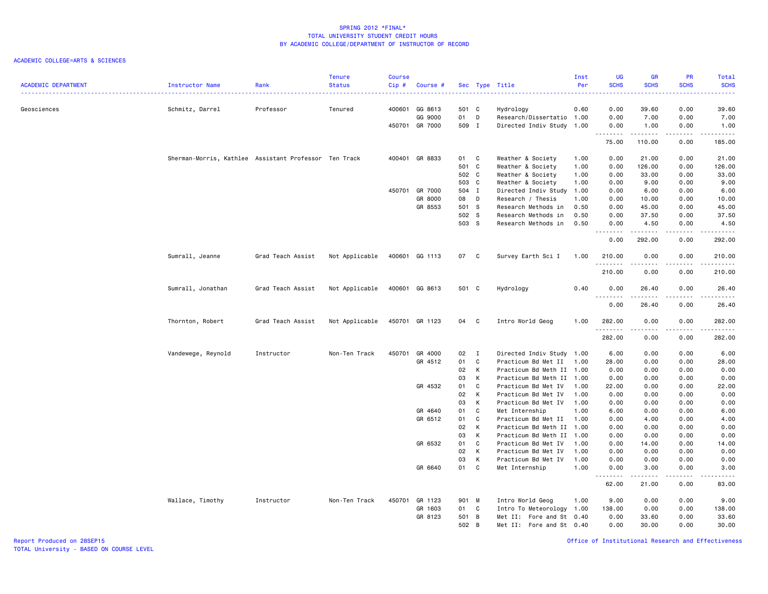### ACADEMIC COLLEGE=ARTS & SCIENCES

|                            |                                                       |                   | <b>Tenure</b>  | <b>Course</b> |                |       |              |                           | Inst | <b>UG</b>        | <b>GR</b>         | PR              | Total                                                                                                                                                        |
|----------------------------|-------------------------------------------------------|-------------------|----------------|---------------|----------------|-------|--------------|---------------------------|------|------------------|-------------------|-----------------|--------------------------------------------------------------------------------------------------------------------------------------------------------------|
| <b>ACADEMIC DEPARTMENT</b> | Instructor Name                                       | Rank              | <b>Status</b>  | $Cip$ #       | Course #       |       |              | Sec Type Title            | Per  | <b>SCHS</b>      | <b>SCHS</b>       | <b>SCHS</b>     | <b>SCHS</b><br>.                                                                                                                                             |
|                            |                                                       |                   |                |               |                |       |              |                           |      |                  |                   |                 |                                                                                                                                                              |
| Geosciences                | Schmitz, Darrel                                       | Professor         | Tenured        |               | 400601 GG 8613 | 501 C |              | Hydrology                 | 0.60 | 0.00             | 39.60             | 0.00            | 39.60                                                                                                                                                        |
|                            |                                                       |                   |                |               | GG 9000        | 01    | D            | Research/Dissertatio 1.00 |      | 0.00             | 7.00              | 0.00            | 7.00                                                                                                                                                         |
|                            |                                                       |                   |                |               | 450701 GR 7000 | 509 I |              | Directed Indiv Study      | 1.00 | 0.00             | 1.00<br>.         | 0.00<br>د د د د | 1.00<br>.                                                                                                                                                    |
|                            |                                                       |                   |                |               |                |       |              |                           |      | 75.00            | 110.00            | 0.00            | 185.00                                                                                                                                                       |
|                            | Sherman-Morris, Kathlee Assistant Professor Ten Track |                   |                |               | 400401 GR 8833 | 01    | C            | Weather & Society         | 1.00 | 0.00             | 21.00             | 0.00            | 21.00                                                                                                                                                        |
|                            |                                                       |                   |                |               |                | 501 C |              | Weather & Society         | 1.00 | 0.00             | 126.00            | 0.00            | 126.00                                                                                                                                                       |
|                            |                                                       |                   |                |               |                | 502 C |              | Weather & Society         | 1.00 | 0.00             | 33.00             | 0.00            | 33.00                                                                                                                                                        |
|                            |                                                       |                   |                |               |                | 503 C |              | Weather & Society         | 1.00 | 0.00             | 9.00              | 0.00            | 9.00                                                                                                                                                         |
|                            |                                                       |                   |                |               | 450701 GR 7000 | 504 I |              | Directed Indiv Study      | 1.00 | 0.00             | 6.00              | 0.00            | 6.00                                                                                                                                                         |
|                            |                                                       |                   |                |               | GR 8000        | 08    | D            | Research / Thesis         | 1.00 | 0.00             | 10.00             | 0.00            | 10.00                                                                                                                                                        |
|                            |                                                       |                   |                |               | GR 8553        | 501 S |              | Research Methods in       | 0.50 | 0.00             | 45.00             | 0.00            | 45.00                                                                                                                                                        |
|                            |                                                       |                   |                |               |                | 502 S |              | Research Methods in       | 0.50 | 0.00             | 37.50             | 0.00            | 37.50                                                                                                                                                        |
|                            |                                                       |                   |                |               |                | 503 S |              | Research Methods in       | 0.50 | 0.00<br><u>.</u> | 4.50<br>.         | 0.00<br>.       | 4.50<br>.                                                                                                                                                    |
|                            |                                                       |                   |                |               |                |       |              |                           |      | 0.00             | 292.00            | 0.00            | 292.00                                                                                                                                                       |
|                            | Sumrall, Jeanne                                       | Grad Teach Assist | Not Applicable |               | 400601 GG 1113 | 07 C  |              | Survey Earth Sci I        | 1.00 | 210.00           | 0.00              | 0.00            | 210.00                                                                                                                                                       |
|                            |                                                       |                   |                |               |                |       |              |                           |      | .<br>210.00      | 0.00              | ----<br>0.00    | .<br>210.00                                                                                                                                                  |
|                            | Sumrall, Jonathan                                     | Grad Teach Assist | Not Applicable |               | 400601 GG 8613 | 501 C |              | Hydrology                 | 0.40 | 0.00             | 26.40             | 0.00            | 26.40                                                                                                                                                        |
|                            |                                                       |                   |                |               |                |       |              |                           |      | .<br>0.00        | .<br>26.40        | .<br>0.00       | .<br>26.40                                                                                                                                                   |
|                            | Thornton, Robert                                      | Grad Teach Assist | Not Applicable |               | 450701 GR 1123 | 04    | $\mathbf{C}$ | Intro World Geog          | 1.00 | 282.00           | 0.00              | 0.00            | 282.00                                                                                                                                                       |
|                            |                                                       |                   |                |               |                |       |              |                           |      | .                | .                 | .               |                                                                                                                                                              |
|                            |                                                       |                   |                |               |                |       |              |                           |      | 282.00           | 0.00              | 0.00            | 282.00                                                                                                                                                       |
|                            | Vandewege, Reynold                                    | Instructor        | Non-Ten Track  | 450701        | GR 4000        | 02    | I            | Directed Indiv Study 1.00 |      | 6.00             | 0.00              | 0.00            | 6.00                                                                                                                                                         |
|                            |                                                       |                   |                |               | GR 4512        | 01    | C            | Practicum Bd Met II       | 1.00 | 28.00            | 0.00              | 0.00            | 28.00                                                                                                                                                        |
|                            |                                                       |                   |                |               |                | 02    | К            | Practicum Bd Meth II 1.00 |      | 0.00             | 0.00              | 0.00            | 0.00                                                                                                                                                         |
|                            |                                                       |                   |                |               |                | 03    | K            | Practicum Bd Meth II 1.00 |      | 0.00             | 0.00              | 0.00            | 0.00                                                                                                                                                         |
|                            |                                                       |                   |                |               | GR 4532        | 01    | C            | Practicum Bd Met IV       | 1.00 | 22.00            | 0.00              | 0.00            | 22.00                                                                                                                                                        |
|                            |                                                       |                   |                |               |                | 02    | К            | Practicum Bd Met IV       | 1.00 | 0.00             | 0.00              | 0.00            | 0.00                                                                                                                                                         |
|                            |                                                       |                   |                |               |                | 03    | K            | Practicum Bd Met IV       | 1.00 | 0.00             | 0.00              | 0.00            | 0.00                                                                                                                                                         |
|                            |                                                       |                   |                |               | GR 4640        | 01    | C            | Met Internship            | 1.00 | 6.00             | 0.00              | 0.00            | 6.00                                                                                                                                                         |
|                            |                                                       |                   |                |               | GR 6512        | 01    | C            | Practicum Bd Met II       | 1.00 | 0.00             | 4.00              | 0.00            | 4.00                                                                                                                                                         |
|                            |                                                       |                   |                |               |                | 02    | K            | Practicum Bd Meth II 1.00 |      | 0.00             | 0.00              | 0.00            | 0.00                                                                                                                                                         |
|                            |                                                       |                   |                |               |                | 03    | К            | Practicum Bd Meth II 1.00 |      | 0.00             | 0.00              | 0.00            | 0.00                                                                                                                                                         |
|                            |                                                       |                   |                |               | GR 6532        | 01    | C            | Practicum Bd Met IV       | 1.00 | 0.00             | 14.00             | 0.00            | 14.00                                                                                                                                                        |
|                            |                                                       |                   |                |               |                | 02    | К            | Practicum Bd Met IV       | 1.00 | 0.00             | 0.00              | 0.00            | 0.00                                                                                                                                                         |
|                            |                                                       |                   |                |               |                | 03    | K            | Practicum Bd Met IV       | 1.00 | 0.00             | 0.00              | 0.00            | 0.00                                                                                                                                                         |
|                            |                                                       |                   |                |               | GR 6640        | 01    | C            | Met Internship            | 1.00 | 0.00<br>.        | 3.00<br>المتمامين | 0.00<br>.       | 3.00<br>$\frac{1}{2} \left( \frac{1}{2} \right) \left( \frac{1}{2} \right) \left( \frac{1}{2} \right) \left( \frac{1}{2} \right) \left( \frac{1}{2} \right)$ |
|                            |                                                       |                   |                |               |                |       |              |                           |      | 62.00            | 21.00             | 0.00            | 83.00                                                                                                                                                        |
|                            | Wallace, Timothy                                      | Instructor        | Non-Ten Track  |               | 450701 GR 1123 | 901 M |              | Intro World Geog          | 1.00 | 9.00             | 0.00              | 0.00            | 9.00                                                                                                                                                         |
|                            |                                                       |                   |                |               | GR 1603        | 01    | C            | Intro To Meteorology 1.00 |      | 138.00           | 0.00              | 0.00            | 138.00                                                                                                                                                       |
|                            |                                                       |                   |                |               | GR 8123        | 501 B |              | Met II: Fore and St 0.40  |      | 0.00             | 33.60             | 0.00            | 33.60                                                                                                                                                        |
|                            |                                                       |                   |                |               |                | 502 B |              | Met II: Fore and St 0.40  |      | 0.00             | 30.00             | 0.00            | 30.00                                                                                                                                                        |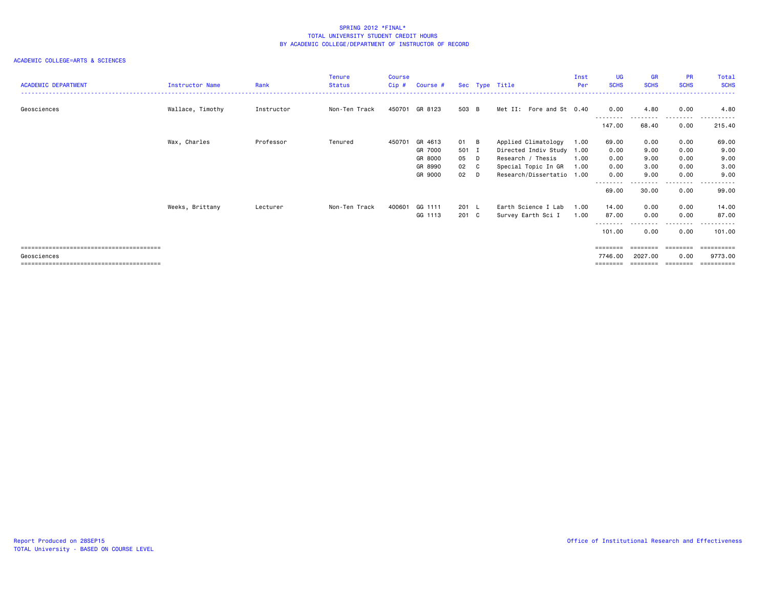| <b>ACADEMIC DEPARTMENT</b> | Instructor Name  | Rank       | Tenure<br><b>Status</b> | <b>Course</b><br>Cip# | Course #       |       | Sec Type Title            | Inst<br>Per | <b>UG</b><br><b>SCHS</b> | <b>GR</b><br><b>SCHS</b> | <b>PR</b><br><b>SCHS</b> | Total<br><b>SCHS</b> |
|----------------------------|------------------|------------|-------------------------|-----------------------|----------------|-------|---------------------------|-------------|--------------------------|--------------------------|--------------------------|----------------------|
| Geosciences                | Wallace, Timothy | Instructor | Non-Ten Track           |                       | 450701 GR 8123 | 503 B | Met II: Fore and St 0.40  |             | 0.00                     | 4.80                     | 0.00                     | 4.80                 |
|                            |                  |            |                         |                       |                |       |                           |             | --------<br>147.00       | 68.40                    | --------<br>0.00         | .<br>215.40          |
|                            | Wax, Charles     | Professor  | Tenured                 | 450701                | GR 4613        | 01 B  | Applied Climatology       | 1.00        | 69.00                    | 0.00                     | 0.00                     | 69.00                |
|                            |                  |            |                         |                       | GR 7000        | 501 I | Directed Indiv Study      | 1.00        | 0.00                     | 9.00                     | 0.00                     | 9.00                 |
|                            |                  |            |                         |                       | GR 8000        | 05 D  | Research / Thesis         | 1.00        | 0.00                     | 9.00                     | 0.00                     | 9.00                 |
|                            |                  |            |                         |                       | GR 8990        | 02 C  | Special Topic In GR       | 1.00        | 0.00                     | 3.00                     | 0.00                     | 3.00                 |
|                            |                  |            |                         |                       | GR 9000        | 02 D  | Research/Dissertatio 1.00 |             | 0.00                     | 9.00                     | 0.00                     | 9.00                 |
|                            |                  |            |                         |                       |                |       |                           |             | --------<br>69.00        | 30.00                    | .<br>0.00                | 99.00                |
|                            | Weeks, Brittany  | Lecturer   | Non-Ten Track           | 400601                | GG 1111        | 201 L | Earth Science I Lab       | 1.00        | 14.00                    | 0.00                     | 0.00                     | 14.00                |
|                            |                  |            |                         |                       | GG 1113        | 201 C | Survey Earth Sci I        | 1.00        | 87.00                    | 0.00                     | 0.00                     | 87.00                |
|                            |                  |            |                         |                       |                |       |                           |             | --------<br>101.00       | --------<br>0.00         | ---------<br>0.00        | .<br>101.00          |
|                            |                  |            |                         |                       |                |       |                           |             |                          |                          |                          | ==========           |
| Geosciences                |                  |            |                         |                       |                |       |                           |             | 7746.00                  | 2027,00                  | 0.00                     | 9773.00              |
|                            |                  |            |                         |                       |                |       |                           |             |                          |                          |                          |                      |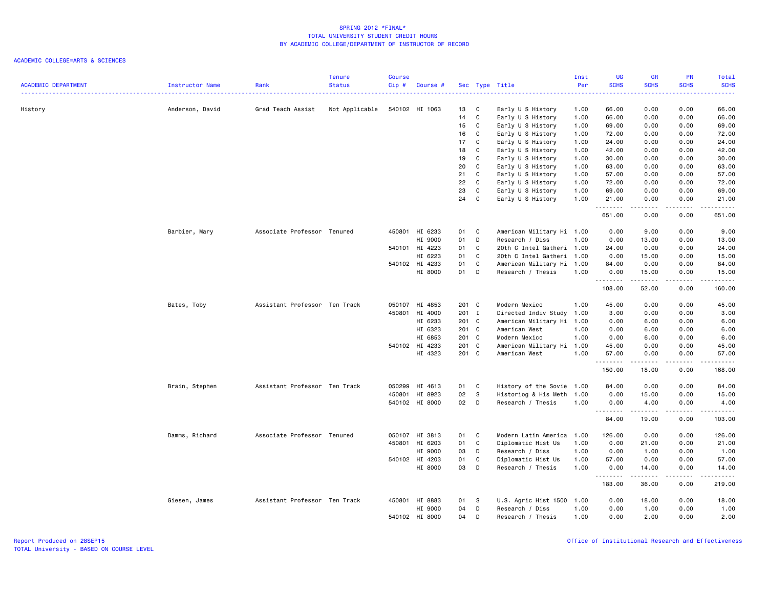| <b>ACADEMIC DEPARTMENT</b> | Instructor Name | Rank                          | <b>Tenure</b><br>Status | <b>Course</b><br>$Cip$ # | Course # |          |                | Sec Type Title                         | Inst<br>Per  | <b>UG</b><br><b>SCHS</b> | <b>GR</b><br><b>SCHS</b> | PR<br><b>SCHS</b> | Total<br><b>SCHS</b>                                                                                                                                           |
|----------------------------|-----------------|-------------------------------|-------------------------|--------------------------|----------|----------|----------------|----------------------------------------|--------------|--------------------------|--------------------------|-------------------|----------------------------------------------------------------------------------------------------------------------------------------------------------------|
|                            |                 |                               |                         |                          |          |          |                |                                        | .            |                          |                          |                   | $\frac{1}{2} \left( \frac{1}{2} \right) \left( \frac{1}{2} \right) \left( \frac{1}{2} \right) \left( \frac{1}{2} \right) \left( \frac{1}{2} \right)$           |
| History                    | Anderson, David | Grad Teach Assist             | Not Applicable          | 540102 HI 1063           |          | 13<br>14 | C<br>C         | Early U S History<br>Early U S History | 1.00<br>1.00 | 66.00<br>66.00           | 0.00<br>0.00             | 0.00<br>0.00      | 66.00<br>66.00                                                                                                                                                 |
|                            |                 |                               |                         |                          |          | 15       | C              | Early U S History                      | 1.00         | 69.00                    | 0.00                     | 0.00              | 69.00                                                                                                                                                          |
|                            |                 |                               |                         |                          |          | 16       | $\mathbf c$    | Early U S History                      | 1.00         | 72.00                    | 0.00                     | 0.00              | 72.00                                                                                                                                                          |
|                            |                 |                               |                         |                          |          | 17       | $\mathbf c$    | Early U S History                      | 1.00         | 24.00                    | 0.00                     | 0.00              | 24.00                                                                                                                                                          |
|                            |                 |                               |                         |                          |          | 18       | C              | Early U S History                      | 1.00         | 42.00                    | 0.00                     | 0.00              | 42.00                                                                                                                                                          |
|                            |                 |                               |                         |                          |          | 19       | C              | Early U S History                      | 1.00         | 30.00                    | 0.00                     | 0.00              | 30.00                                                                                                                                                          |
|                            |                 |                               |                         |                          |          | 20       | C              | Early U S History                      | 1.00         | 63.00                    | 0.00                     | 0.00              | 63.00                                                                                                                                                          |
|                            |                 |                               |                         |                          |          | 21       | C              | Early U S History                      | 1.00         | 57.00                    | 0.00                     | 0.00              | 57.00                                                                                                                                                          |
|                            |                 |                               |                         |                          |          | 22       | C              | Early U S History                      | 1.00         | 72.00                    | 0.00                     | 0.00              | 72.00                                                                                                                                                          |
|                            |                 |                               |                         |                          |          | 23       | C              | Early U S History                      | 1.00         | 69.00                    | 0.00                     | 0.00              | 69.00                                                                                                                                                          |
|                            |                 |                               |                         |                          |          | 24       | C              | Early U S History                      | 1.00         | 21.00                    | 0.00                     | 0.00              | 21.00                                                                                                                                                          |
|                            |                 |                               |                         |                          |          |          |                |                                        |              | 651.00                   | 0.00                     | .<br>0.00         | $\frac{1}{2} \left( \frac{1}{2} \right) \left( \frac{1}{2} \right) \left( \frac{1}{2} \right) \left( \frac{1}{2} \right) \left( \frac{1}{2} \right)$<br>651.00 |
|                            | Barbier, Mary   | Associate Professor Tenured   |                         | 450801 HI 6233           |          | 01       | C              | American Military Hi 1.00              |              | 0.00                     | 9.00                     | 0.00              | 9.00                                                                                                                                                           |
|                            |                 |                               |                         |                          | HI 9000  | 01       | D              | Research / Diss                        | 1.00         | 0.00                     | 13.00                    | 0.00              | 13.00                                                                                                                                                          |
|                            |                 |                               |                         | 540101 HI 4223           |          | 01       | C              | 20th C Intel Gatheri 1.00              |              | 24.00                    | 0.00                     | 0.00              | 24.00                                                                                                                                                          |
|                            |                 |                               |                         |                          | HI 6223  | 01       | C              | 20th C Intel Gatheri 1.00              |              | 0.00                     | 15.00                    | 0.00              | 15.00                                                                                                                                                          |
|                            |                 |                               |                         | 540102 HI 4233           |          | 01       | C              | American Military Hi                   | 1.00         | 84.00                    | 0.00                     | 0.00              | 84.00                                                                                                                                                          |
|                            |                 |                               |                         |                          | HI 8000  | 01       | D              | Research / Thesis                      | 1.00         | 0.00                     | 15.00                    | 0.00              | 15.00                                                                                                                                                          |
|                            |                 |                               |                         |                          |          |          |                |                                        |              | .<br>108.00              | .<br>52.00               | .<br>0.00         | ------<br>160.00                                                                                                                                               |
|                            | Bates, Toby     | Assistant Professor Ten Track |                         | 050107                   | HI 4853  | 201 C    |                | Modern Mexico                          | 1.00         | 45.00                    | 0.00                     | 0.00              | 45.00                                                                                                                                                          |
|                            |                 |                               |                         | 450801                   | HI 4000  | 201 I    |                | Directed Indiv Study                   | 1.00         | 3.00                     | 0.00                     | 0.00              | 3.00                                                                                                                                                           |
|                            |                 |                               |                         |                          | HI 6233  | 201 C    |                | American Military Hi                   | 1.00         | 0.00                     | 6.00                     | 0.00              | 6.00                                                                                                                                                           |
|                            |                 |                               |                         |                          | HI 6323  | 201 C    |                | American West                          | 1.00         | 0.00                     | 6.00                     | 0.00              | 6.00                                                                                                                                                           |
|                            |                 |                               |                         |                          | HI 6853  | 201 C    |                | Modern Mexico                          | 1.00         | 0.00                     | 6.00                     | 0.00              | 6.00                                                                                                                                                           |
|                            |                 |                               |                         | 540102 HI 4233           |          | 201 C    |                | American Military Hi                   | 1.00         | 45.00                    | 0.00                     | 0.00              | 45.00                                                                                                                                                          |
|                            |                 |                               |                         |                          | HI 4323  | 201 C    |                | American West                          | 1.00         | 57.00                    | 0.00<br>$- - - - -$      | 0.00              | 57.00                                                                                                                                                          |
|                            |                 |                               |                         |                          |          |          |                |                                        |              | .<br>150.00              | 18.00                    | .<br>0.00         | د د د د د<br>168.00                                                                                                                                            |
|                            | Brain, Stephen  | Assistant Professor Ten Track |                         | 050299                   | HI 4613  | 01       | C              | History of the Sovie                   | 1.00         | 84.00                    | 0.00                     | 0.00              | 84.00                                                                                                                                                          |
|                            |                 |                               |                         | 450801 HI 8923           |          | 02       | $\mathbf{s}$   | Historiog & His Meth                   | 1.00         | 0.00                     | 15.00                    | 0.00              | 15.00                                                                                                                                                          |
|                            |                 |                               |                         | 540102 HI 8000           |          | 02       | D              | Research / Thesis                      | 1.00         | 0.00                     | 4.00                     | 0.00              | 4.00                                                                                                                                                           |
|                            |                 |                               |                         |                          |          |          |                |                                        |              | .<br>84.00               | .<br>19.00               | -----<br>0.00     | .<br>103.00                                                                                                                                                    |
|                            | Damms, Richard  | Associate Professor Tenured   |                         | 050107 HI 3813           |          | 01       | C <sub>1</sub> | Modern Latin America                   | 1.00         | 126.00                   | 0.00                     | 0.00              | 126.00                                                                                                                                                         |
|                            |                 |                               |                         | 450801                   | HI 6203  | 01       | C              | Diplomatic Hist Us                     | 1.00         | 0.00                     | 21.00                    | 0.00              | 21.00                                                                                                                                                          |
|                            |                 |                               |                         |                          | HI 9000  | 03       | D              | Research / Diss                        | 1.00         | 0.00                     | 1.00                     | 0.00              | 1.00                                                                                                                                                           |
|                            |                 |                               |                         | 540102 HI 4203           |          | 01       | $\mathbf c$    | Diplomatic Hist Us                     | 1.00         | 57.00                    | 0.00                     | 0.00              | 57.00                                                                                                                                                          |
|                            |                 |                               |                         |                          | HI 8000  | 03       | D              | Research / Thesis                      | 1.00         | 0.00<br><u>.</u>         | 14.00                    | 0.00              | 14.00<br>.                                                                                                                                                     |
|                            |                 |                               |                         |                          |          |          |                |                                        |              | 183.00                   | 36.00                    | 0.00              | 219.00                                                                                                                                                         |
|                            | Giesen, James   | Assistant Professor Ten Track |                         | 450801 HI 8883           |          | 01       | -S             | U.S. Agric Hist 1500 1.00              |              | 0.00                     | 18.00                    | 0.00              | 18.00                                                                                                                                                          |
|                            |                 |                               |                         |                          | HI 9000  | 04       | D              | Research / Diss                        | 1.00         | 0.00                     | 1.00                     | 0.00              | 1.00                                                                                                                                                           |
|                            |                 |                               |                         | 540102 HI 8000           |          | 04       | D              | Research / Thesis                      | 1.00         | 0.00                     | 2.00                     | 0.00              | 2.00                                                                                                                                                           |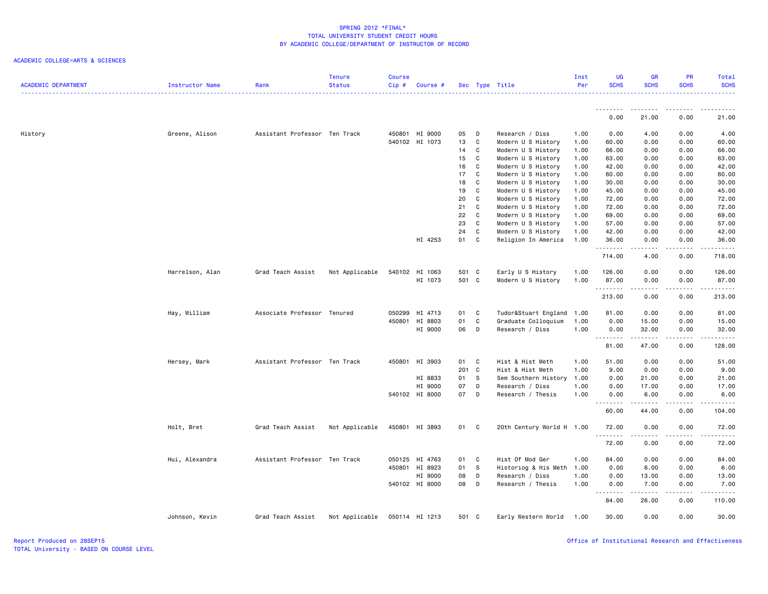| <b>ACADEMIC DEPARTMENT</b> | Instructor Name | Rank                          | <b>Tenure</b><br><b>Status</b> | <b>Course</b><br>Cip# | Course #       |       |              | Sec Type Title            | Inst<br>Per | <b>UG</b><br><b>SCHS</b> | <b>GR</b><br><b>SCHS</b> | <b>PR</b><br><b>SCHS</b>           | Total<br><b>SCHS</b> |
|----------------------------|-----------------|-------------------------------|--------------------------------|-----------------------|----------------|-------|--------------|---------------------------|-------------|--------------------------|--------------------------|------------------------------------|----------------------|
|                            |                 |                               |                                |                       |                |       |              |                           |             | .                        |                          | $\sim$ $\sim$ $\sim$ $\sim$ $\sim$ |                      |
|                            |                 |                               |                                |                       |                |       |              |                           |             | 0.00                     | 21.00                    | 0.00                               | 21.00                |
| History                    | Greene, Alison  | Assistant Professor Ten Track |                                |                       | 450801 HI 9000 | 05    | D            | Research / Diss           | 1.00        | 0.00                     | 4.00                     | 0.00                               | 4.00                 |
|                            |                 |                               |                                |                       | 540102 HI 1073 | 13    | $\mathbf{C}$ | Modern U S History        | 1.00        | 60.00                    | 0.00                     | 0.00                               | 60.00                |
|                            |                 |                               |                                |                       |                | 14    | C.           | Modern U S History        | 1.00        | 66.00                    | 0.00                     | 0.00                               | 66.00                |
|                            |                 |                               |                                |                       |                | 15    | C            | Modern U S History        | 1.00        | 63.00                    | 0.00                     | 0.00                               | 63.00                |
|                            |                 |                               |                                |                       |                | 16    | C            | Modern U S History        | 1.00        | 42.00                    | 0.00                     | 0.00                               | 42.00                |
|                            |                 |                               |                                |                       |                | 17    | <b>C</b>     | Modern U S History        | 1.00        | 60.00                    | 0.00                     | 0.00                               | 60.00                |
|                            |                 |                               |                                |                       |                | 18    | C            | Modern U S History        | 1.00        | 30.00                    | 0.00                     | 0.00                               | 30.00                |
|                            |                 |                               |                                |                       |                | 19    | C            | Modern U S History        | 1.00        | 45.00                    | 0.00                     | 0.00                               | 45.00                |
|                            |                 |                               |                                |                       |                | 20    | C            | Modern U S History        | 1.00        | 72.00                    | 0.00                     | 0.00                               | 72.00                |
|                            |                 |                               |                                |                       |                | 21    | C            | Modern U S History        | 1.00        | 72.00                    | 0.00                     | 0.00                               | 72.00                |
|                            |                 |                               |                                |                       |                | 22    | C            | Modern U S History        | 1.00        | 69.00                    | 0.00                     | 0.00                               | 69.00                |
|                            |                 |                               |                                |                       |                | 23    | C            | Modern U S History        | 1.00        | 57.00                    | 0.00                     | 0.00                               | 57.00                |
|                            |                 |                               |                                |                       |                | 24    | C            | Modern U S History        | 1.00        | 42.00                    | 0.00                     | 0.00                               | 42.00                |
|                            |                 |                               |                                |                       | HI 4253        | 01 C  |              | Religion In America       | 1.00        | 36.00<br><u>.</u>        | 0.00                     | 0.00<br>.                          | 36.00<br>.           |
|                            |                 |                               |                                |                       |                |       |              |                           |             | 714.00                   | 4.00                     | 0.00                               | 718.00               |
|                            | Harrelson, Alan | Grad Teach Assist             | Not Applicable                 |                       | 540102 HI 1063 | 501 C |              | Early U S History         | 1.00        | 126.00                   | 0.00                     | 0.00                               | 126.00               |
|                            |                 |                               |                                |                       | HI 1073        | 501 C |              | Modern U S History        | 1.00        | 87.00                    | 0.00                     | 0.00                               | 87.00                |
|                            |                 |                               |                                |                       |                |       |              |                           |             | --------                 | .                        | .                                  | .                    |
|                            |                 |                               |                                |                       |                |       |              |                           |             | 213.00                   | 0.00                     | 0.00                               | 213.00               |
|                            | Hay, William    | Associate Professor Tenured   |                                |                       | 050299 HI 4713 | 01    | C            | Tudor&Stuart England      | 1.00        | 81.00                    | 0.00                     | 0.00                               | 81.00                |
|                            |                 |                               |                                |                       | 450801 HI 8803 | 01    | C            | Graduate Colloquium       | 1.00        | 0.00                     | 15.00                    | 0.00                               | 15.00                |
|                            |                 |                               |                                |                       | HI 9000        | 06    | D            | Research / Diss           | 1.00        | 0.00                     | 32.00                    | 0.00                               | 32.00                |
|                            |                 |                               |                                |                       |                |       |              |                           |             | .<br>81.00               | .<br>47.00               | .<br>0.00                          | .<br>128.00          |
|                            | Hersey, Mark    | Assistant Professor Ten Track |                                |                       | 450801 HI 3903 | 01 C  |              | Hist & Hist Meth          | 1.00        | 51.00                    | 0.00                     | 0.00                               | 51.00                |
|                            |                 |                               |                                |                       |                | 201 C |              | Hist & Hist Meth          | 1.00        | 9.00                     | 0.00                     | 0.00                               | 9.00                 |
|                            |                 |                               |                                |                       | HI 8833        | 01 S  |              | Sem Southern History      | 1.00        | 0.00                     | 21.00                    | 0.00                               | 21.00                |
|                            |                 |                               |                                |                       | HI 9000        | 07    | D            | Research / Diss           | 1.00        | 0.00                     | 17.00                    | 0.00                               | 17.00                |
|                            |                 |                               |                                |                       | 540102 HI 8000 | 07 D  |              | Research / Thesis         | 1.00        | 0.00                     | 6.00                     | 0.00                               | 6.00                 |
|                            |                 |                               |                                |                       |                |       |              |                           |             | .<br>60.00               | المتمامين<br>44.00       | -----<br>0.00                      | . <b>.</b><br>104.00 |
|                            | Holt, Bret      | Grad Teach Assist             | Not Applicable                 |                       | 450801 HI 3893 | 01 C  |              | 20th Century World H 1.00 |             | 72.00                    | 0.00                     | 0.00                               | 72.00                |
|                            |                 |                               |                                |                       |                |       |              |                           |             | .<br>72.00               | .<br>0.00                | .<br>0.00                          | .<br>72.00           |
|                            | Hui, Alexandra  | Assistant Professor Ten Track |                                |                       | 050125 HI 4763 | 01 C  |              | Hist Of Mod Ger           | 1.00        | 84.00                    | 0.00                     | 0.00                               | 84.00                |
|                            |                 |                               |                                |                       | 450801 HI 8923 | 01    | $^{\circ}$ s | Historiog & His Meth      | 1.00        | 0.00                     | 6.00                     | 0.00                               | 6.00                 |
|                            |                 |                               |                                |                       | HI 9000        | 08    | D            | Research / Diss           | 1.00        | 0.00                     | 13.00                    | 0.00                               | 13.00                |
|                            |                 |                               |                                |                       | 540102 HI 8000 | 08 D  |              | Research / Thesis         | 1.00        | 0.00                     | 7.00                     | 0.00                               | 7.00                 |
|                            |                 |                               |                                |                       |                |       |              |                           |             | .<br>84.00               | د د د د د<br>26.00       | .<br>0.00                          | .<br>110.00          |
|                            | Johnson, Kevin  | Grad Teach Assist             | Not Applicable                 |                       | 050114 HI 1213 | 501 C |              | Early Western World       | 1.00        | 30.00                    | 0.00                     | 0.00                               | 30.00                |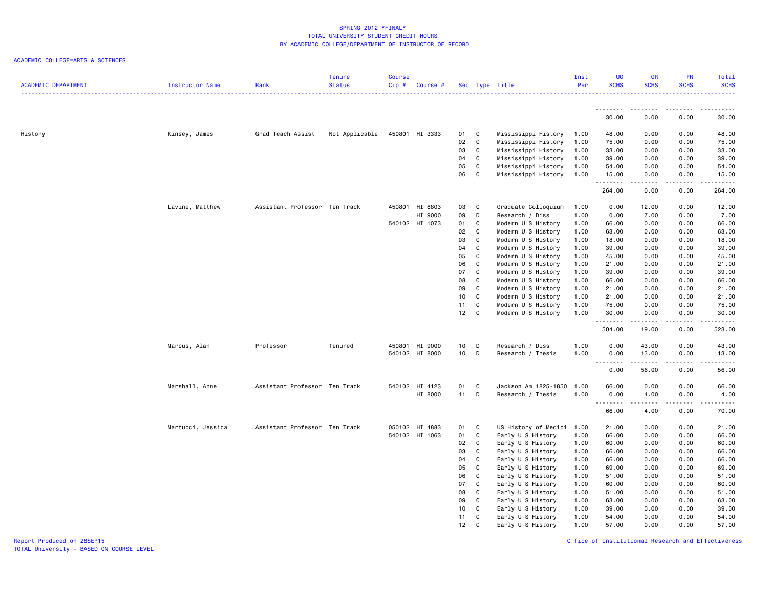| <b>ACADEMIC DEPARTMENT</b> | Instructor Name   | Rank                          | <b>Tenure</b><br><b>Status</b> | <b>Course</b><br>Cip# | Course #       |          |                  | Sec Type Title                           | Inst<br>Per  | <b>UG</b><br><b>SCHS</b> | <b>GR</b><br><b>SCHS</b> | PR<br><b>SCHS</b>  | Total<br><b>SCHS</b>                                                                                                                                 |
|----------------------------|-------------------|-------------------------------|--------------------------------|-----------------------|----------------|----------|------------------|------------------------------------------|--------------|--------------------------|--------------------------|--------------------|------------------------------------------------------------------------------------------------------------------------------------------------------|
|                            |                   |                               |                                |                       |                |          |                  |                                          |              |                          |                          |                    |                                                                                                                                                      |
|                            |                   |                               |                                |                       |                |          |                  |                                          |              | .<br>30.00               | .<br>0.00                | -----<br>0.00      | 30.00                                                                                                                                                |
| History                    | Kinsey, James     | Grad Teach Assist             | Not Applicable                 |                       | 450801 HI 3333 | 01       | C                | Mississippi History                      | 1.00         | 48.00                    | 0.00                     | 0.00               | 48.00                                                                                                                                                |
|                            |                   |                               |                                |                       |                | 02       | C                | Mississippi History                      | 1.00         | 75.00                    | 0.00                     | 0.00               | 75.00                                                                                                                                                |
|                            |                   |                               |                                |                       |                | 03       | C                | Mississippi History                      | 1.00         | 33.00                    | 0.00                     | 0.00               | 33.00                                                                                                                                                |
|                            |                   |                               |                                |                       |                | 04       | C                | Mississippi History                      | 1.00         | 39.00                    | 0.00                     | 0.00               | 39.00                                                                                                                                                |
|                            |                   |                               |                                |                       |                | 05       | C                | Mississippi History                      | 1.00         | 54.00                    | 0.00                     | 0.00               | 54.00                                                                                                                                                |
|                            |                   |                               |                                |                       |                | 06       | $\mathbf c$      | Mississippi History                      | 1.00         | 15.00<br>.               | 0.00<br>-----            | 0.00<br>. <b>.</b> | 15.00<br>.                                                                                                                                           |
|                            |                   |                               |                                |                       |                |          |                  |                                          |              | 264.00                   | 0.00                     | 0.00               | 264.00                                                                                                                                               |
|                            | Lavine, Matthew   | Assistant Professor Ten Track |                                | 450801                | HI 8803        | 03       | C                | Graduate Colloquium                      | 1.00         | 0.00                     | 12.00                    | 0.00               | 12.00                                                                                                                                                |
|                            |                   |                               |                                |                       | HI 9000        | 09       | D                | Research / Diss                          | 1.00         | 0.00                     | 7.00                     | 0.00               | 7.00                                                                                                                                                 |
|                            |                   |                               |                                |                       | 540102 HI 1073 | 01       | C                | Modern U S History                       | 1.00         | 66.00                    | 0.00                     | 0.00               | 66.00                                                                                                                                                |
|                            |                   |                               |                                |                       |                | 02<br>03 | C<br>$\mathbf c$ | Modern U S History                       | 1.00         | 63.00                    | 0.00                     | 0.00               | 63.00                                                                                                                                                |
|                            |                   |                               |                                |                       |                | 04       | C                | Modern U S History<br>Modern U S History | 1.00<br>1.00 | 18.00<br>39.00           | 0.00<br>0.00             | 0.00<br>0.00       | 18.00<br>39.00                                                                                                                                       |
|                            |                   |                               |                                |                       |                | 05       | C                | Modern U S History                       | 1.00         | 45.00                    | 0.00                     | 0.00               | 45.00                                                                                                                                                |
|                            |                   |                               |                                |                       |                | 06       | C                | Modern U S History                       | 1.00         | 21.00                    | 0.00                     | 0.00               | 21.00                                                                                                                                                |
|                            |                   |                               |                                |                       |                | 07       | C                | Modern U S History                       | 1.00         | 39.00                    | 0.00                     | 0.00               | 39.00                                                                                                                                                |
|                            |                   |                               |                                |                       |                | 08       | C                | Modern U S History                       | 1.00         | 66.00                    | 0.00                     | 0.00               | 66.00                                                                                                                                                |
|                            |                   |                               |                                |                       |                | 09       | C                | Modern U S History                       | 1.00         | 21.00                    | 0.00                     | 0.00               | 21.00                                                                                                                                                |
|                            |                   |                               |                                |                       |                | 10       | C                | Modern U S History                       | 1.00         | 21.00                    | 0.00                     | 0.00               | 21.00                                                                                                                                                |
|                            |                   |                               |                                |                       |                | 11       | C                | Modern U S History                       | 1.00         | 75.00                    | 0.00                     | 0.00               | 75.00                                                                                                                                                |
|                            |                   |                               |                                |                       |                | 12       | C                | Modern U S History                       | 1.00         | 30.00<br>.               | 0.00<br>المتماما         | 0.00<br>د د د د    | 30.00<br>.                                                                                                                                           |
|                            |                   |                               |                                |                       |                |          |                  |                                          |              | 504.00                   | 19.00                    | 0.00               | 523.00                                                                                                                                               |
|                            | Marcus, Alan      | Professor                     | Tenured                        |                       | 450801 HI 9000 | 10       | D                | Research / Diss                          | 1.00         | 0.00                     | 43.00                    | 0.00               | 43.00                                                                                                                                                |
|                            |                   |                               |                                |                       | 540102 HI 8000 | 10       | D                | Research / Thesis                        | 1.00         | 0.00                     | 13.00                    | 0.00               | 13.00                                                                                                                                                |
|                            |                   |                               |                                |                       |                |          |                  |                                          |              | .                        | .                        | المستمات           | $\frac{1}{2} \left( \frac{1}{2} \right) \left( \frac{1}{2} \right) \left( \frac{1}{2} \right) \left( \frac{1}{2} \right) \left( \frac{1}{2} \right)$ |
|                            |                   |                               |                                |                       |                |          |                  |                                          |              | 0.00                     | 56.00                    | 0.00               | 56.00                                                                                                                                                |
|                            | Marshall, Anne    | Assistant Professor Ten Track |                                |                       | 540102 HI 4123 | 01       | C                | Jackson Am 1825-1850                     | 1.00         | 66.00                    | 0.00                     | 0.00               | 66.00                                                                                                                                                |
|                            |                   |                               |                                |                       | HI 8000        | 11       | D                | Research / Thesis                        | 1.00         | 0.00<br>.                | 4.00<br>.                | 0.00<br>-----      | 4.00<br>.                                                                                                                                            |
|                            |                   |                               |                                |                       |                |          |                  |                                          |              | 66.00                    | 4.00                     | 0.00               | 70.00                                                                                                                                                |
|                            | Martucci, Jessica | Assistant Professor Ten Track |                                |                       | 050102 HI 4883 | 01       | C                | US History of Medici 1.00                |              | 21.00                    | 0.00                     | 0.00               | 21.00                                                                                                                                                |
|                            |                   |                               |                                |                       | 540102 HI 1063 | 01       | C                | Early U S History                        | 1.00         | 66.00                    | 0.00                     | 0.00               | 66.00                                                                                                                                                |
|                            |                   |                               |                                |                       |                | 02       | C                | Early U S History                        | 1.00         | 60.00                    | 0.00                     | 0.00               | 60.00                                                                                                                                                |
|                            |                   |                               |                                |                       |                | 03       | C                | Early U S History                        | 1.00         | 66.00                    | 0.00                     | 0.00               | 66.00                                                                                                                                                |
|                            |                   |                               |                                |                       |                | 04       | $\mathbf c$      | Early U S History                        | 1.00         | 66.00                    | 0.00                     | 0.00               | 66.00                                                                                                                                                |
|                            |                   |                               |                                |                       |                | 05       | C                | Early U S History                        | 1.00         | 69.00                    | 0.00                     | 0.00               | 69.00                                                                                                                                                |
|                            |                   |                               |                                |                       |                | 06       | C                | Early U S History                        | 1.00         | 51.00                    | 0.00                     | 0.00               | 51.00                                                                                                                                                |
|                            |                   |                               |                                |                       |                | 07<br>08 | $\mathbf c$<br>C | Early U S History                        | 1.00         | 60.00                    | 0.00                     | 0.00               | 60.00<br>51.00                                                                                                                                       |
|                            |                   |                               |                                |                       |                | 09       | C                | Early U S History<br>Early U S History   | 1.00<br>1.00 | 51.00<br>63.00           | 0.00<br>0.00             | 0.00<br>0.00       | 63.00                                                                                                                                                |
|                            |                   |                               |                                |                       |                | 10       | C                | Early U S History                        | 1.00         | 39.00                    | 0.00                     | 0.00               | 39.00                                                                                                                                                |
|                            |                   |                               |                                |                       |                | 11       | C                | Early U S History                        | 1.00         | 54.00                    | 0.00                     | 0.00               | 54.00                                                                                                                                                |
|                            |                   |                               |                                |                       |                | 12       | C                | Early U S History                        | 1.00         | 57.00                    | 0.00                     | 0.00               | 57.00                                                                                                                                                |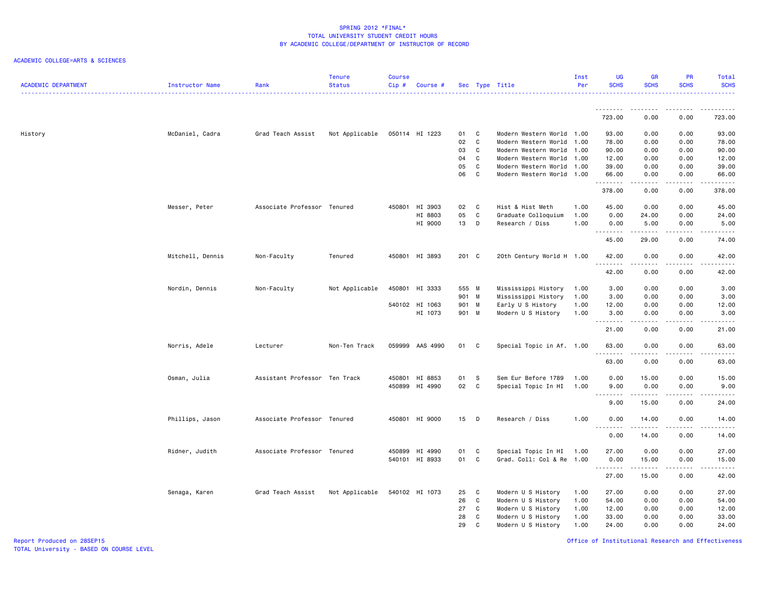### ACADEMIC COLLEGE=ARTS & SCIENCES

| <b>ACADEMIC DEPARTMENT</b> | Instructor Name  | Rank                          | <b>Tenure</b><br><b>Status</b> | <b>Course</b><br>Cip# | Course #        |                |              | Sec Type Title                             | Inst<br>Per  | <b>UG</b><br><b>SCHS</b> | <b>GR</b><br><b>SCHS</b> | PR<br><b>SCHS</b> | Total<br><b>SCHS</b>                                   |
|----------------------------|------------------|-------------------------------|--------------------------------|-----------------------|-----------------|----------------|--------------|--------------------------------------------|--------------|--------------------------|--------------------------|-------------------|--------------------------------------------------------|
|                            |                  |                               |                                |                       |                 |                |              |                                            |              |                          |                          |                   |                                                        |
|                            |                  |                               |                                |                       |                 |                |              |                                            |              | 723.00                   | 0.00                     | 0.00              | 723.00                                                 |
| History                    | McDaniel, Cadra  | Grad Teach Assist             | Not Applicable                 |                       | 050114 HI 1223  | 01             | C            | Modern Western World 1.00                  |              | 93.00                    | 0.00                     | 0.00              | 93.00                                                  |
|                            |                  |                               |                                |                       |                 | 02             | C            | Modern Western World                       | 1.00         | 78.00                    | 0.00                     | 0.00              | 78.00                                                  |
|                            |                  |                               |                                |                       |                 | 03             | C            | Modern Western World                       | 1.00         | 90.00                    | 0.00                     | 0.00              | 90.00                                                  |
|                            |                  |                               |                                |                       |                 | 04             | C            | Modern Western World 1.00                  |              | 12.00                    | 0.00                     | 0.00              | 12.00                                                  |
|                            |                  |                               |                                |                       |                 | 05<br>06       | C<br>C       | Modern Western World                       | 1.00         | 39.00                    | 0.00                     | 0.00              | 39.00<br>66.00                                         |
|                            |                  |                               |                                |                       |                 |                |              | Modern Western World 1.00                  |              | 66.00<br>.               | 0.00<br>.                | 0.00<br>.         | .                                                      |
|                            |                  |                               |                                |                       |                 |                |              |                                            |              | 378.00                   | 0.00                     | 0.00              | 378.00                                                 |
|                            | Messer, Peter    | Associate Professor Tenured   |                                |                       | 450801 HI 3903  | 02             | C            | Hist & Hist Meth                           | 1.00         | 45.00                    | 0.00                     | 0.00              | 45.00                                                  |
|                            |                  |                               |                                |                       | HI 8803         | 05             | $\mathbf c$  | Graduate Colloquium                        | 1.00         | 0.00                     | 24.00                    | 0.00              | 24.00                                                  |
|                            |                  |                               |                                |                       | HI 9000         | 13             | D            | Research / Diss                            | 1.00         | 0.00<br>.                | 5.00<br>.                | 0.00<br>.         | 5.00<br>.                                              |
|                            |                  |                               |                                |                       |                 |                |              |                                            |              | 45.00                    | 29.00                    | 0.00              | 74.00                                                  |
|                            | Mitchell, Dennis | Non-Faculty                   | Tenured                        |                       | 450801 HI 3893  | 201 C          |              | 20th Century World H 1.00                  |              | 42.00                    | 0.00                     | 0.00              | 42.00                                                  |
|                            |                  |                               |                                |                       |                 |                |              |                                            |              | <u>.</u><br>42.00        | .<br>0.00                | .<br>0.00         | $- - - - -$<br>42.00                                   |
|                            |                  |                               |                                |                       |                 |                |              |                                            |              |                          |                          |                   |                                                        |
|                            | Nordin, Dennis   | Non-Faculty                   | Not Applicable                 |                       | 450801 HI 3333  | 555 M<br>901 M |              | Mississippi History<br>Mississippi History | 1.00<br>1.00 | 3.00<br>3.00             | 0.00<br>0.00             | 0.00<br>0.00      | 3.00<br>3.00                                           |
|                            |                  |                               |                                |                       | 540102 HI 1063  | 901 M          |              | Early U S History                          | 1.00         | 12.00                    | 0.00                     | 0.00              | 12.00                                                  |
|                            |                  |                               |                                |                       | HI 1073         | 901 M          |              | Modern U S History                         | 1.00         | 3.00                     | 0.00                     | 0.00              | 3.00                                                   |
|                            |                  |                               |                                |                       |                 |                |              |                                            |              | $- - - - - - -$          | $\frac{1}{2}$            | $\frac{1}{2}$     | .                                                      |
|                            |                  |                               |                                |                       |                 |                |              |                                            |              | 21.00                    | 0.00                     | 0.00              | 21.00                                                  |
|                            | Norris, Adele    | Lecturer                      | Non-Ten Track                  |                       | 059999 AAS 4990 | 01             | C            | Special Topic in Af. 1.00                  |              | 63.00                    | 0.00                     | 0.00              | 63.00<br>$\frac{1}{2}$ . $\frac{1}{2}$ . $\frac{1}{2}$ |
|                            |                  |                               |                                |                       |                 |                |              |                                            |              | 63.00                    | 0.00                     | 0.00              | 63.00                                                  |
|                            | Osman, Julia     | Assistant Professor Ten Track |                                |                       | 450801 HI 8853  | 01             | -S           | Sem Eur Before 1789                        | 1.00         | 0.00                     | 15.00                    | 0.00              | 15.00                                                  |
|                            |                  |                               |                                |                       | 450899 HI 4990  | 02             | C            | Special Topic In HI                        | 1.00         | 9.00                     | 0.00                     | 0.00              | 9.00                                                   |
|                            |                  |                               |                                |                       |                 |                |              |                                            |              | .<br>9.00                | .<br>15.00               | .<br>0.00         | .<br>24.00                                             |
|                            | Phillips, Jason  | Associate Professor Tenured   |                                |                       | 450801 HI 9000  | 15             | D            | Research / Diss                            | 1.00         | 0.00                     | 14.00                    | 0.00              | 14.00                                                  |
|                            |                  |                               |                                |                       |                 |                |              |                                            |              | .                        | .                        | .                 | .                                                      |
|                            |                  |                               |                                |                       |                 |                |              |                                            |              | 0.00                     | 14.00                    | 0.00              | 14.00                                                  |
|                            | Ridner, Judith   | Associate Professor Tenured   |                                | 450899                | HI 4990         | 01             | C            | Special Topic In HI                        | 1.00         | 27.00                    | 0.00                     | 0.00              | 27.00                                                  |
|                            |                  |                               |                                |                       | 540101 HI 8933  | 01             | C            | Grad. Coll: Col & Re                       | 1.00         | 0.00<br><u>.</u>         | 15.00<br>.               | 0.00<br>.         | 15.00<br>د د د د د                                     |
|                            |                  |                               |                                |                       |                 |                |              |                                            |              | 27.00                    | 15.00                    | 0.00              | 42.00                                                  |
|                            | Senaga, Karen    | Grad Teach Assist             | Not Applicable                 |                       | 540102 HI 1073  | 25             | $\mathbf{C}$ | Modern U S History                         | 1.00         | 27.00                    | 0.00                     | 0.00              | 27.00                                                  |
|                            |                  |                               |                                |                       |                 | 26             | C            | Modern U S History                         | 1.00         | 54.00                    | 0.00                     | 0.00              | 54.00                                                  |
|                            |                  |                               |                                |                       |                 | 27             | C            | Modern U S History                         | 1.00         | 12.00                    | 0.00                     | 0.00              | 12.00                                                  |
|                            |                  |                               |                                |                       |                 | 28             | C            | Modern U S History                         | 1.00         | 33.00                    | 0.00                     | 0.00              | 33.00                                                  |
|                            |                  |                               |                                |                       |                 | 29             | C            | Modern U S History                         | 1.00         | 24.00                    | 0.00                     | 0.00              | 24,00                                                  |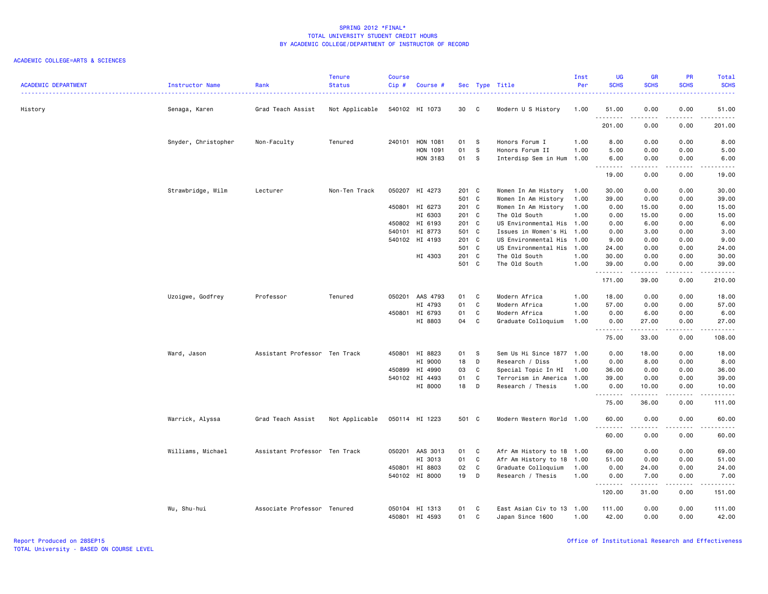| <b>ACADEMIC DEPARTMENT</b> | <b>Instructor Name</b> | Rank                          | <b>Tenure</b><br><b>Status</b> | <b>Course</b><br>$Cip$ # | Course #        |       |              | Sec Type Title            | Inst<br>Per | <b>UG</b><br><b>SCHS</b> | <b>GR</b><br><b>SCHS</b> | PR<br><b>SCHS</b>  | Total<br><b>SCHS</b>                                                                                                                                         |
|----------------------------|------------------------|-------------------------------|--------------------------------|--------------------------|-----------------|-------|--------------|---------------------------|-------------|--------------------------|--------------------------|--------------------|--------------------------------------------------------------------------------------------------------------------------------------------------------------|
| History                    | Senaga, Karen          | Grad Teach Assist             | Not Applicable                 |                          | 540102 HI 1073  | 30    | C            | Modern U S History        | 1.00        | 51.00<br>.               | 0.00<br>.                | 0.00<br>.          | 51.00<br>.                                                                                                                                                   |
|                            |                        |                               |                                |                          |                 |       |              |                           |             | 201.00                   | 0.00                     | 0.00               | 201.00                                                                                                                                                       |
|                            | Snyder, Christopher    | Non-Faculty                   | Tenured                        | 240101                   | HON 1081        | 01    | s            | Honors Forum I            | 1.00        | 8.00                     | 0.00                     | 0.00               | 8.00                                                                                                                                                         |
|                            |                        |                               |                                |                          | HON 1091        | 01    | S            | Honors Forum II           | 1.00        | 5.00                     | 0.00                     | 0.00               | 5.00                                                                                                                                                         |
|                            |                        |                               |                                |                          | HON 3183        | 01    | <b>S</b>     | Interdisp Sem in Hum      | 1.00        | 6.00<br>.                | 0.00<br>.                | 0.00<br>.          | 6.00<br>$\frac{1}{2} \left( \frac{1}{2} \right) \left( \frac{1}{2} \right) \left( \frac{1}{2} \right) \left( \frac{1}{2} \right) \left( \frac{1}{2} \right)$ |
|                            |                        |                               |                                |                          |                 |       |              |                           |             | 19.00                    | 0.00                     | 0.00               | 19.00                                                                                                                                                        |
|                            | Strawbridge, Wilm      | Lecturer                      | Non-Ten Track                  |                          | 050207 HI 4273  | 201 C |              | Women In Am History       | 1.00        | 30.00                    | 0.00                     | 0.00               | 30.00                                                                                                                                                        |
|                            |                        |                               |                                |                          |                 | 501 C |              | Women In Am History       | 1.00        | 39.00                    | 0.00                     | 0.00               | 39.00                                                                                                                                                        |
|                            |                        |                               |                                |                          | 450801 HI 6273  | 201 C |              | Women In Am History       | 1.00        | 0.00                     | 15.00                    | 0.00               | 15.00                                                                                                                                                        |
|                            |                        |                               |                                |                          | HI 6303         | 201 C |              | The Old South             | 1.00        | 0.00                     | 15.00                    | 0.00               | 15.00                                                                                                                                                        |
|                            |                        |                               |                                |                          | 450802 HI 6193  | 201 C |              | US Environmental His 1.00 |             | 0.00                     | 6.00                     | 0.00               | 6.00                                                                                                                                                         |
|                            |                        |                               |                                |                          | 540101 HI 8773  | 501 C |              | Issues in Women's Hi      | 1.00        | 0.00                     | 3.00                     | 0.00               | 3.00                                                                                                                                                         |
|                            |                        |                               |                                |                          | 540102 HI 4193  | 201 C |              | US Environmental His      | 1.00        | 9.00                     | 0.00                     | 0.00               | 9.00                                                                                                                                                         |
|                            |                        |                               |                                |                          |                 | 501 C |              | US Environmental His      | 1.00        | 24.00                    | 0.00                     | 0.00               | 24.00                                                                                                                                                        |
|                            |                        |                               |                                |                          | HI 4303         | 201 C |              | The Old South             | 1.00        | 30.00                    | 0.00                     | 0.00               | 30.00                                                                                                                                                        |
|                            |                        |                               |                                |                          |                 | 501 C |              | The Old South             | 1.00        | 39.00<br>.               | 0.00<br>.                | 0.00<br>. <b>.</b> | 39.00<br><u>.</u>                                                                                                                                            |
|                            |                        |                               |                                |                          |                 |       |              |                           |             | 171.00                   | 39.00                    | 0.00               | 210.00                                                                                                                                                       |
|                            | Uzoigwe, Godfrey       | Professor                     | Tenured                        |                          | 050201 AAS 4793 | 01    | C            | Modern Africa             | 1.00        | 18.00                    | 0.00                     | 0.00               | 18.00                                                                                                                                                        |
|                            |                        |                               |                                |                          | HI 4793         | 01    | C            | Modern Africa             | 1.00        | 57.00                    | 0.00                     | 0.00               | 57.00                                                                                                                                                        |
|                            |                        |                               |                                | 450801                   | HI 6793         | 01    | $\mathtt{C}$ | Modern Africa             | 1.00        | 0.00                     | 6.00                     | 0.00               | 6.00                                                                                                                                                         |
|                            |                        |                               |                                |                          | HI 8803         | 04    | C            | Graduate Colloquium       | 1.00        | 0.00                     | 27.00                    | 0.00               | 27.00                                                                                                                                                        |
|                            |                        |                               |                                |                          |                 |       |              |                           |             | .<br>75.00               | .<br>33.00               | .<br>0.00          | $\begin{array}{cccccccccc} \bullet & \bullet & \bullet & \bullet & \bullet & \bullet & \bullet & \bullet \end{array}$<br>108.00                              |
|                            | Ward, Jason            | Assistant Professor Ten Track |                                | 450801                   | HI 8823         | 01    | - S          | Sem Us Hi Since 1877 1.00 |             | 0.00                     | 18.00                    | 0.00               | 18.00                                                                                                                                                        |
|                            |                        |                               |                                |                          | HI 9000         | 18    | D            | Research / Diss           | 1.00        | 0.00                     | 8.00                     | 0.00               | 8.00                                                                                                                                                         |
|                            |                        |                               |                                | 450899                   | HI 4990         | 03    | C            | Special Topic In HI       | 1.00        | 36.00                    | 0.00                     | 0.00               | 36.00                                                                                                                                                        |
|                            |                        |                               |                                |                          | 540102 HI 4493  | 01    | C            | Terrorism in America      | 1.00        | 39.00                    | 0.00                     | 0.00               | 39.00                                                                                                                                                        |
|                            |                        |                               |                                |                          | HI 8000         | 18    | D            | Research / Thesis         | 1.00        | 0.00                     | 10.00                    | 0.00               | 10.00                                                                                                                                                        |
|                            |                        |                               |                                |                          |                 |       |              |                           |             | <u>.</u><br>75.00        | .<br>36.00               | .<br>0.00          | .<br>111.00                                                                                                                                                  |
|                            | Warrick, Alyssa        | Grad Teach Assist             | Not Applicable                 |                          | 050114 HI 1223  | 501 C |              | Modern Western World 1.00 |             | 60.00<br><u>.</u>        | 0.00                     | 0.00               | 60.00                                                                                                                                                        |
|                            |                        |                               |                                |                          |                 |       |              |                           |             | 60.00                    | 0.00                     | 0.00               | .<br>60.00                                                                                                                                                   |
|                            | Williams, Michael      | Assistant Professor Ten Track |                                |                          | 050201 AAS 3013 | 01    | C            | Afr Am History to 18 1.00 |             | 69.00                    | 0.00                     | 0.00               | 69.00                                                                                                                                                        |
|                            |                        |                               |                                |                          | HI 3013         | 01    | C            | Afr Am History to 18      | 1.00        | 51.00                    | 0.00                     | 0.00               | 51.00                                                                                                                                                        |
|                            |                        |                               |                                | 450801                   | HI 8803         | 02    | C            | Graduate Colloquium       | 1.00        | 0.00                     | 24.00                    | 0.00               | 24.00                                                                                                                                                        |
|                            |                        |                               |                                |                          | 540102 HI 8000  | 19    | D            | Research / Thesis         | 1.00        | 0.00                     | 7.00                     | 0.00               | 7.00                                                                                                                                                         |
|                            |                        |                               |                                |                          |                 |       |              |                           |             | <u>.</u><br>120.00       | .<br>31.00               | .<br>0.00          | <u>.</u><br>151.00                                                                                                                                           |
|                            | Wu, Shu-hui            | Associate Professor Tenured   |                                |                          | 050104 HI 1313  | 01    | C            | East Asian Civ to 13 1.00 |             | 111.00                   | 0.00                     | 0.00               | 111.00                                                                                                                                                       |
|                            |                        |                               |                                | 450801                   | HI 4593         | 01    | C            | Japan Since 1600          | 1.00        | 42.00                    | 0.00                     | 0.00               | 42.00                                                                                                                                                        |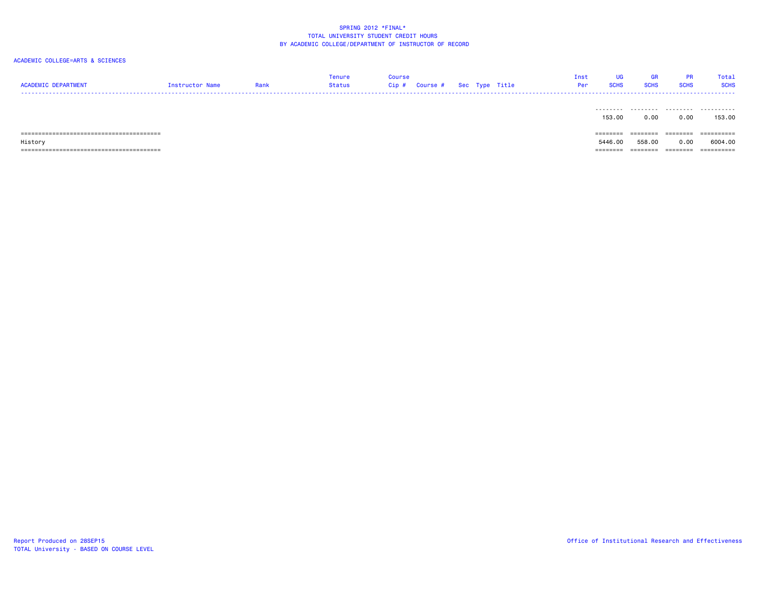| <b>ACADEMIC DEPARTMENT</b> | Instructor Name | Rank | Tenure<br>Status | <b>Course</b><br>$Cip \#$ Course $#$ Sec Type Title |  | Inst<br>Per           | <b>UG</b><br><b>SCHS</b> | <b>GR</b><br><b>SCHS</b> | PR<br><b>SCHS</b> | Total<br><b>SCHS</b> |
|----------------------------|-----------------|------|------------------|-----------------------------------------------------|--|-----------------------|--------------------------|--------------------------|-------------------|----------------------|
|                            |                 |      |                  |                                                     |  | .                     | 153,00                   | .<br>0.00                | .<br>0.00         | .<br>153.00          |
|                            |                 |      |                  |                                                     |  | ---------<br>-------- |                          | ========                 | ========          | ==========           |
| History                    |                 |      |                  |                                                     |  |                       | 5446.00                  | 558.00                   | 0.00              | 6004.00              |
|                            |                 |      |                  |                                                     |  | --------<br>--------  |                          | --------                 | ========          | ==========           |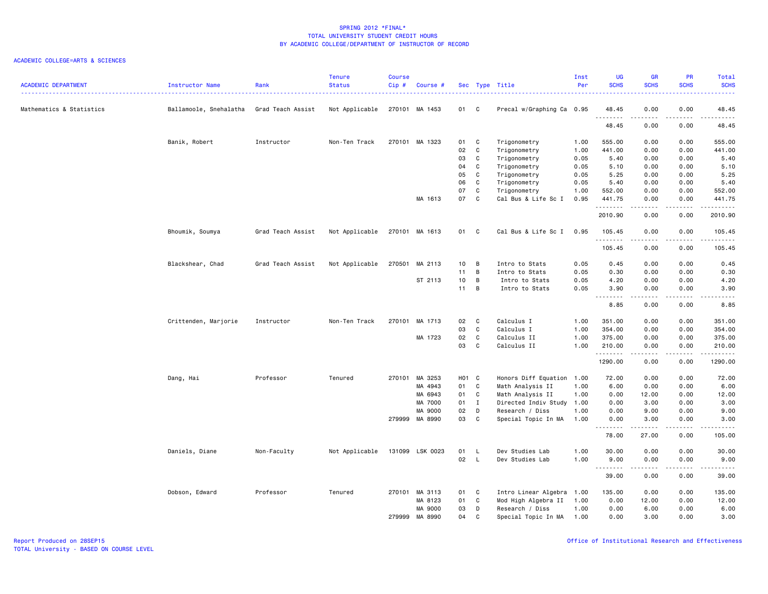### ACADEMIC COLLEGE=ARTS & SCIENCES

| Mathematics & Statistics<br>Not Applicable<br>270101 MA 1453<br>01 C<br>0.00<br>0.00<br>Ballamoole, Snehalatha<br>Grad Teach Assist<br>Precal w/Graphing Ca 0.95<br>48.45<br>48.45<br><b></b><br>.<br>.<br>48.45<br>0.00<br>0.00<br>48.45<br>Banik, Robert<br>Instructor<br>Non-Ten Track<br>270101 MA 1323<br>01 C<br>Trigonometry<br>1.00<br>555.00<br>0.00<br>0.00<br>555.00<br>02<br>$\mathbf{C}$<br>Trigonometry<br>1.00<br>441.00<br>0.00<br>0.00<br>441.00<br>03<br>$\mathbf c$<br>5.40<br>Trigonometry<br>0.05<br>5.40<br>0.00<br>0.00<br>$\mathbf{C}$<br>04<br>Trigonometry<br>0.05<br>5.10<br>0.00<br>0.00<br>5.10<br>05<br>$\mathbf{C}$<br>Trigonometry<br>0.05<br>5.25<br>5.25<br>0.00<br>0.00<br>06<br>$\mathbf c$<br>5.40<br>Trigonometry<br>0.05<br>5.40<br>0.00<br>0.00<br>07<br>C<br>Trigonometry<br>1.00<br>552.00<br>0.00<br>0.00<br>552.00<br>MA 1613<br>07<br>$\mathbf{C}$<br>Cal Bus & Life Sc I<br>0.95<br>441.75<br>441.75<br>0.00<br>0.00<br>$\begin{array}{cccccccccccccc} \bullet & \bullet & \bullet & \bullet & \bullet & \bullet & \bullet & \bullet \end{array}$<br>.<br>.<br>.<br>2010.90<br>2010.90<br>0.00<br>0.00<br>Cal Bus & Life Sc I<br>Bhoumik, Soumya<br>Grad Teach Assist<br>Not Applicable<br>270101 MA 1613<br>01 C<br>0.95<br>105.45<br>0.00<br>0.00<br>105.45<br>.<br>.<br>.<br>105.45<br>0.00<br>0.00<br>105.45<br>Blackshear, Chad<br>Grad Teach Assist<br>Not Applicable<br>270501<br>MA 2113<br>$10 \quad B$<br>Intro to Stats<br>0.05<br>0.45<br>0.00<br>0.00<br>0.45<br>$11 \quad B$<br>Intro to Stats<br>0.05<br>0.30<br>0.00<br>0.00<br>0.30<br>ST 2113<br>10<br>$\overline{B}$<br>0.05<br>4.20<br>0.00<br>0.00<br>4.20<br>Intro to Stats<br>11<br>B<br>0.05<br>0.00<br>0.00<br>3.90<br>Intro to Stats<br>3.90<br><u>.</u><br>$- - - -$<br>.<br>.<br>8.85<br>8.85<br>0.00<br>0.00<br>Crittenden, Marjorie<br>270101 MA 1713<br>02<br>$\mathbf{C}$<br>Calculus I<br>1.00<br>351.00<br>0.00<br>Instructor<br>Non-Ten Track<br>0.00<br>351.00<br>03<br>C<br>Calculus I<br>354.00<br>1.00<br>354.00<br>0.00<br>0.00<br>MA 1723<br>02<br>$\mathbf C$<br>Calculus II<br>375.00<br>375.00<br>1.00<br>0.00<br>0.00<br>C<br>03<br>Calculus II<br>1.00<br>210.00<br>0.00<br>0.00<br>210.00<br>.<br>.<br>.<br>$\frac{1}{2}$<br>1290.00<br>1290.00<br>0.00<br>0.00<br>Dang, Hai<br>Professor<br>Tenured<br>270101 MA 3253<br>H01 C<br>Honors Diff Equation 1.00<br>72.00<br>0.00<br>72.00<br>0.00<br>MA 4943<br>01 C<br>Math Analysis II<br>1.00<br>6.00<br>0.00<br>0.00<br>6.00<br>MA 6943<br>01<br>$\mathbf{C}$<br>Math Analysis II<br>12.00<br>1.00<br>0.00<br>12.00<br>0.00<br>3.00<br>MA 7000<br>01<br>$\mathbf{I}$<br>Directed Indiv Study<br>1.00<br>0.00<br>3.00<br>0.00<br>MA 9000<br>02<br>D<br>Research / Diss<br>1.00<br>0.00<br>9.00<br>0.00<br>9.00<br>03<br>279999 MA 8990<br>$\overline{\mathbf{C}}$<br>1.00<br>Special Topic In MA<br>0.00<br>3.00<br>0.00<br>3.00<br>$\frac{1}{2}$<br><u>.</u><br>105.00<br>78.00<br>27.00<br>0.00<br>Not Applicable<br>131099 LSK 0023<br>01<br>Dev Studies Lab<br>1.00<br>30.00<br>0.00<br>0.00<br>30.00<br>Daniels, Diane<br>Non-Faculty<br>- L<br>02<br>$\mathsf{L}$<br>Dev Studies Lab<br>1.00<br>9.00<br>0.00<br>0.00<br>9.00<br>.<br>.<br>.<br>$\frac{1}{2} \left( \frac{1}{2} \right) \left( \frac{1}{2} \right) \left( \frac{1}{2} \right) \left( \frac{1}{2} \right) \left( \frac{1}{2} \right)$<br>39.00<br>0.00<br>0.00<br>39.00<br>Intro Linear Algebra<br>Dobson, Edward<br>Professor<br>Tenured<br>270101 MA 3113<br>01<br>$\mathbf{C}$<br>1.00<br>135.00<br>0.00<br>0.00<br>135.00<br>MA 8123<br>01<br>$\mathbf{C}$<br>Mod High Algebra II<br>0.00<br>1.00<br>0.00<br>12.00<br>12.00<br>MA 9000<br>03<br>D<br>Research / Diss<br>1.00<br>0.00<br>6.00<br>0.00<br>6.00<br>279999<br>MA 8990<br>04<br>C<br>Special Topic In MA<br>1.00<br>0.00<br>3.00<br>0.00<br>3.00 | <b>ACADEMIC DEPARTMENT</b> | <b>Instructor Name</b> | Rank | <b>Tenure</b><br><b>Status</b> | <b>Course</b><br>Cip# | Course # |  | Sec Type Title | Inst<br>Per | <b>UG</b><br><b>SCHS</b> | <b>GR</b><br><b>SCHS</b> | PR<br><b>SCHS</b> | Total<br><b>SCHS</b><br>$- - - -$ |
|----------------------------------------------------------------------------------------------------------------------------------------------------------------------------------------------------------------------------------------------------------------------------------------------------------------------------------------------------------------------------------------------------------------------------------------------------------------------------------------------------------------------------------------------------------------------------------------------------------------------------------------------------------------------------------------------------------------------------------------------------------------------------------------------------------------------------------------------------------------------------------------------------------------------------------------------------------------------------------------------------------------------------------------------------------------------------------------------------------------------------------------------------------------------------------------------------------------------------------------------------------------------------------------------------------------------------------------------------------------------------------------------------------------------------------------------------------------------------------------------------------------------------------------------------------------------------------------------------------------------------------------------------------------------------------------------------------------------------------------------------------------------------------------------------------------------------------------------------------------------------------------------------------------------------------------------------------------------------------------------------------------------------------------------------------------------------------------------------------------------------------------------------------------------------------------------------------------------------------------------------------------------------------------------------------------------------------------------------------------------------------------------------------------------------------------------------------------------------------------------------------------------------------------------------------------------------------------------------------------------------------------------------------------------------------------------------------------------------------------------------------------------------------------------------------------------------------------------------------------------------------------------------------------------------------------------------------------------------------------------------------------------------------------------------------------------------------------------------------------------------------------------------------------------------------------------------------------------------------------------------------------------------------------------------------------------------------------------------------------------------------------------------------------------------------------------------------------------------------------------------------------------------------------------------------------------------------------------------------------------------------------------------------------------------------------------------------------------------------------------------------------------------------------------------------------------------------------------------------------------------------|----------------------------|------------------------|------|--------------------------------|-----------------------|----------|--|----------------|-------------|--------------------------|--------------------------|-------------------|-----------------------------------|
|                                                                                                                                                                                                                                                                                                                                                                                                                                                                                                                                                                                                                                                                                                                                                                                                                                                                                                                                                                                                                                                                                                                                                                                                                                                                                                                                                                                                                                                                                                                                                                                                                                                                                                                                                                                                                                                                                                                                                                                                                                                                                                                                                                                                                                                                                                                                                                                                                                                                                                                                                                                                                                                                                                                                                                                                                                                                                                                                                                                                                                                                                                                                                                                                                                                                                                                                                                                                                                                                                                                                                                                                                                                                                                                                                                                                                                                                                  |                            |                        |      |                                |                       |          |  |                |             |                          |                          |                   |                                   |
|                                                                                                                                                                                                                                                                                                                                                                                                                                                                                                                                                                                                                                                                                                                                                                                                                                                                                                                                                                                                                                                                                                                                                                                                                                                                                                                                                                                                                                                                                                                                                                                                                                                                                                                                                                                                                                                                                                                                                                                                                                                                                                                                                                                                                                                                                                                                                                                                                                                                                                                                                                                                                                                                                                                                                                                                                                                                                                                                                                                                                                                                                                                                                                                                                                                                                                                                                                                                                                                                                                                                                                                                                                                                                                                                                                                                                                                                                  |                            |                        |      |                                |                       |          |  |                |             |                          |                          |                   |                                   |
|                                                                                                                                                                                                                                                                                                                                                                                                                                                                                                                                                                                                                                                                                                                                                                                                                                                                                                                                                                                                                                                                                                                                                                                                                                                                                                                                                                                                                                                                                                                                                                                                                                                                                                                                                                                                                                                                                                                                                                                                                                                                                                                                                                                                                                                                                                                                                                                                                                                                                                                                                                                                                                                                                                                                                                                                                                                                                                                                                                                                                                                                                                                                                                                                                                                                                                                                                                                                                                                                                                                                                                                                                                                                                                                                                                                                                                                                                  |                            |                        |      |                                |                       |          |  |                |             |                          |                          |                   |                                   |
|                                                                                                                                                                                                                                                                                                                                                                                                                                                                                                                                                                                                                                                                                                                                                                                                                                                                                                                                                                                                                                                                                                                                                                                                                                                                                                                                                                                                                                                                                                                                                                                                                                                                                                                                                                                                                                                                                                                                                                                                                                                                                                                                                                                                                                                                                                                                                                                                                                                                                                                                                                                                                                                                                                                                                                                                                                                                                                                                                                                                                                                                                                                                                                                                                                                                                                                                                                                                                                                                                                                                                                                                                                                                                                                                                                                                                                                                                  |                            |                        |      |                                |                       |          |  |                |             |                          |                          |                   |                                   |
|                                                                                                                                                                                                                                                                                                                                                                                                                                                                                                                                                                                                                                                                                                                                                                                                                                                                                                                                                                                                                                                                                                                                                                                                                                                                                                                                                                                                                                                                                                                                                                                                                                                                                                                                                                                                                                                                                                                                                                                                                                                                                                                                                                                                                                                                                                                                                                                                                                                                                                                                                                                                                                                                                                                                                                                                                                                                                                                                                                                                                                                                                                                                                                                                                                                                                                                                                                                                                                                                                                                                                                                                                                                                                                                                                                                                                                                                                  |                            |                        |      |                                |                       |          |  |                |             |                          |                          |                   |                                   |
|                                                                                                                                                                                                                                                                                                                                                                                                                                                                                                                                                                                                                                                                                                                                                                                                                                                                                                                                                                                                                                                                                                                                                                                                                                                                                                                                                                                                                                                                                                                                                                                                                                                                                                                                                                                                                                                                                                                                                                                                                                                                                                                                                                                                                                                                                                                                                                                                                                                                                                                                                                                                                                                                                                                                                                                                                                                                                                                                                                                                                                                                                                                                                                                                                                                                                                                                                                                                                                                                                                                                                                                                                                                                                                                                                                                                                                                                                  |                            |                        |      |                                |                       |          |  |                |             |                          |                          |                   |                                   |
|                                                                                                                                                                                                                                                                                                                                                                                                                                                                                                                                                                                                                                                                                                                                                                                                                                                                                                                                                                                                                                                                                                                                                                                                                                                                                                                                                                                                                                                                                                                                                                                                                                                                                                                                                                                                                                                                                                                                                                                                                                                                                                                                                                                                                                                                                                                                                                                                                                                                                                                                                                                                                                                                                                                                                                                                                                                                                                                                                                                                                                                                                                                                                                                                                                                                                                                                                                                                                                                                                                                                                                                                                                                                                                                                                                                                                                                                                  |                            |                        |      |                                |                       |          |  |                |             |                          |                          |                   |                                   |
|                                                                                                                                                                                                                                                                                                                                                                                                                                                                                                                                                                                                                                                                                                                                                                                                                                                                                                                                                                                                                                                                                                                                                                                                                                                                                                                                                                                                                                                                                                                                                                                                                                                                                                                                                                                                                                                                                                                                                                                                                                                                                                                                                                                                                                                                                                                                                                                                                                                                                                                                                                                                                                                                                                                                                                                                                                                                                                                                                                                                                                                                                                                                                                                                                                                                                                                                                                                                                                                                                                                                                                                                                                                                                                                                                                                                                                                                                  |                            |                        |      |                                |                       |          |  |                |             |                          |                          |                   |                                   |
|                                                                                                                                                                                                                                                                                                                                                                                                                                                                                                                                                                                                                                                                                                                                                                                                                                                                                                                                                                                                                                                                                                                                                                                                                                                                                                                                                                                                                                                                                                                                                                                                                                                                                                                                                                                                                                                                                                                                                                                                                                                                                                                                                                                                                                                                                                                                                                                                                                                                                                                                                                                                                                                                                                                                                                                                                                                                                                                                                                                                                                                                                                                                                                                                                                                                                                                                                                                                                                                                                                                                                                                                                                                                                                                                                                                                                                                                                  |                            |                        |      |                                |                       |          |  |                |             |                          |                          |                   |                                   |
|                                                                                                                                                                                                                                                                                                                                                                                                                                                                                                                                                                                                                                                                                                                                                                                                                                                                                                                                                                                                                                                                                                                                                                                                                                                                                                                                                                                                                                                                                                                                                                                                                                                                                                                                                                                                                                                                                                                                                                                                                                                                                                                                                                                                                                                                                                                                                                                                                                                                                                                                                                                                                                                                                                                                                                                                                                                                                                                                                                                                                                                                                                                                                                                                                                                                                                                                                                                                                                                                                                                                                                                                                                                                                                                                                                                                                                                                                  |                            |                        |      |                                |                       |          |  |                |             |                          |                          |                   |                                   |
|                                                                                                                                                                                                                                                                                                                                                                                                                                                                                                                                                                                                                                                                                                                                                                                                                                                                                                                                                                                                                                                                                                                                                                                                                                                                                                                                                                                                                                                                                                                                                                                                                                                                                                                                                                                                                                                                                                                                                                                                                                                                                                                                                                                                                                                                                                                                                                                                                                                                                                                                                                                                                                                                                                                                                                                                                                                                                                                                                                                                                                                                                                                                                                                                                                                                                                                                                                                                                                                                                                                                                                                                                                                                                                                                                                                                                                                                                  |                            |                        |      |                                |                       |          |  |                |             |                          |                          |                   |                                   |
|                                                                                                                                                                                                                                                                                                                                                                                                                                                                                                                                                                                                                                                                                                                                                                                                                                                                                                                                                                                                                                                                                                                                                                                                                                                                                                                                                                                                                                                                                                                                                                                                                                                                                                                                                                                                                                                                                                                                                                                                                                                                                                                                                                                                                                                                                                                                                                                                                                                                                                                                                                                                                                                                                                                                                                                                                                                                                                                                                                                                                                                                                                                                                                                                                                                                                                                                                                                                                                                                                                                                                                                                                                                                                                                                                                                                                                                                                  |                            |                        |      |                                |                       |          |  |                |             |                          |                          |                   |                                   |
|                                                                                                                                                                                                                                                                                                                                                                                                                                                                                                                                                                                                                                                                                                                                                                                                                                                                                                                                                                                                                                                                                                                                                                                                                                                                                                                                                                                                                                                                                                                                                                                                                                                                                                                                                                                                                                                                                                                                                                                                                                                                                                                                                                                                                                                                                                                                                                                                                                                                                                                                                                                                                                                                                                                                                                                                                                                                                                                                                                                                                                                                                                                                                                                                                                                                                                                                                                                                                                                                                                                                                                                                                                                                                                                                                                                                                                                                                  |                            |                        |      |                                |                       |          |  |                |             |                          |                          |                   |                                   |
|                                                                                                                                                                                                                                                                                                                                                                                                                                                                                                                                                                                                                                                                                                                                                                                                                                                                                                                                                                                                                                                                                                                                                                                                                                                                                                                                                                                                                                                                                                                                                                                                                                                                                                                                                                                                                                                                                                                                                                                                                                                                                                                                                                                                                                                                                                                                                                                                                                                                                                                                                                                                                                                                                                                                                                                                                                                                                                                                                                                                                                                                                                                                                                                                                                                                                                                                                                                                                                                                                                                                                                                                                                                                                                                                                                                                                                                                                  |                            |                        |      |                                |                       |          |  |                |             |                          |                          |                   |                                   |
|                                                                                                                                                                                                                                                                                                                                                                                                                                                                                                                                                                                                                                                                                                                                                                                                                                                                                                                                                                                                                                                                                                                                                                                                                                                                                                                                                                                                                                                                                                                                                                                                                                                                                                                                                                                                                                                                                                                                                                                                                                                                                                                                                                                                                                                                                                                                                                                                                                                                                                                                                                                                                                                                                                                                                                                                                                                                                                                                                                                                                                                                                                                                                                                                                                                                                                                                                                                                                                                                                                                                                                                                                                                                                                                                                                                                                                                                                  |                            |                        |      |                                |                       |          |  |                |             |                          |                          |                   |                                   |
|                                                                                                                                                                                                                                                                                                                                                                                                                                                                                                                                                                                                                                                                                                                                                                                                                                                                                                                                                                                                                                                                                                                                                                                                                                                                                                                                                                                                                                                                                                                                                                                                                                                                                                                                                                                                                                                                                                                                                                                                                                                                                                                                                                                                                                                                                                                                                                                                                                                                                                                                                                                                                                                                                                                                                                                                                                                                                                                                                                                                                                                                                                                                                                                                                                                                                                                                                                                                                                                                                                                                                                                                                                                                                                                                                                                                                                                                                  |                            |                        |      |                                |                       |          |  |                |             |                          |                          |                   |                                   |
|                                                                                                                                                                                                                                                                                                                                                                                                                                                                                                                                                                                                                                                                                                                                                                                                                                                                                                                                                                                                                                                                                                                                                                                                                                                                                                                                                                                                                                                                                                                                                                                                                                                                                                                                                                                                                                                                                                                                                                                                                                                                                                                                                                                                                                                                                                                                                                                                                                                                                                                                                                                                                                                                                                                                                                                                                                                                                                                                                                                                                                                                                                                                                                                                                                                                                                                                                                                                                                                                                                                                                                                                                                                                                                                                                                                                                                                                                  |                            |                        |      |                                |                       |          |  |                |             |                          |                          |                   |                                   |
|                                                                                                                                                                                                                                                                                                                                                                                                                                                                                                                                                                                                                                                                                                                                                                                                                                                                                                                                                                                                                                                                                                                                                                                                                                                                                                                                                                                                                                                                                                                                                                                                                                                                                                                                                                                                                                                                                                                                                                                                                                                                                                                                                                                                                                                                                                                                                                                                                                                                                                                                                                                                                                                                                                                                                                                                                                                                                                                                                                                                                                                                                                                                                                                                                                                                                                                                                                                                                                                                                                                                                                                                                                                                                                                                                                                                                                                                                  |                            |                        |      |                                |                       |          |  |                |             |                          |                          |                   |                                   |
|                                                                                                                                                                                                                                                                                                                                                                                                                                                                                                                                                                                                                                                                                                                                                                                                                                                                                                                                                                                                                                                                                                                                                                                                                                                                                                                                                                                                                                                                                                                                                                                                                                                                                                                                                                                                                                                                                                                                                                                                                                                                                                                                                                                                                                                                                                                                                                                                                                                                                                                                                                                                                                                                                                                                                                                                                                                                                                                                                                                                                                                                                                                                                                                                                                                                                                                                                                                                                                                                                                                                                                                                                                                                                                                                                                                                                                                                                  |                            |                        |      |                                |                       |          |  |                |             |                          |                          |                   |                                   |
|                                                                                                                                                                                                                                                                                                                                                                                                                                                                                                                                                                                                                                                                                                                                                                                                                                                                                                                                                                                                                                                                                                                                                                                                                                                                                                                                                                                                                                                                                                                                                                                                                                                                                                                                                                                                                                                                                                                                                                                                                                                                                                                                                                                                                                                                                                                                                                                                                                                                                                                                                                                                                                                                                                                                                                                                                                                                                                                                                                                                                                                                                                                                                                                                                                                                                                                                                                                                                                                                                                                                                                                                                                                                                                                                                                                                                                                                                  |                            |                        |      |                                |                       |          |  |                |             |                          |                          |                   |                                   |
|                                                                                                                                                                                                                                                                                                                                                                                                                                                                                                                                                                                                                                                                                                                                                                                                                                                                                                                                                                                                                                                                                                                                                                                                                                                                                                                                                                                                                                                                                                                                                                                                                                                                                                                                                                                                                                                                                                                                                                                                                                                                                                                                                                                                                                                                                                                                                                                                                                                                                                                                                                                                                                                                                                                                                                                                                                                                                                                                                                                                                                                                                                                                                                                                                                                                                                                                                                                                                                                                                                                                                                                                                                                                                                                                                                                                                                                                                  |                            |                        |      |                                |                       |          |  |                |             |                          |                          |                   |                                   |
|                                                                                                                                                                                                                                                                                                                                                                                                                                                                                                                                                                                                                                                                                                                                                                                                                                                                                                                                                                                                                                                                                                                                                                                                                                                                                                                                                                                                                                                                                                                                                                                                                                                                                                                                                                                                                                                                                                                                                                                                                                                                                                                                                                                                                                                                                                                                                                                                                                                                                                                                                                                                                                                                                                                                                                                                                                                                                                                                                                                                                                                                                                                                                                                                                                                                                                                                                                                                                                                                                                                                                                                                                                                                                                                                                                                                                                                                                  |                            |                        |      |                                |                       |          |  |                |             |                          |                          |                   |                                   |
|                                                                                                                                                                                                                                                                                                                                                                                                                                                                                                                                                                                                                                                                                                                                                                                                                                                                                                                                                                                                                                                                                                                                                                                                                                                                                                                                                                                                                                                                                                                                                                                                                                                                                                                                                                                                                                                                                                                                                                                                                                                                                                                                                                                                                                                                                                                                                                                                                                                                                                                                                                                                                                                                                                                                                                                                                                                                                                                                                                                                                                                                                                                                                                                                                                                                                                                                                                                                                                                                                                                                                                                                                                                                                                                                                                                                                                                                                  |                            |                        |      |                                |                       |          |  |                |             |                          |                          |                   |                                   |
|                                                                                                                                                                                                                                                                                                                                                                                                                                                                                                                                                                                                                                                                                                                                                                                                                                                                                                                                                                                                                                                                                                                                                                                                                                                                                                                                                                                                                                                                                                                                                                                                                                                                                                                                                                                                                                                                                                                                                                                                                                                                                                                                                                                                                                                                                                                                                                                                                                                                                                                                                                                                                                                                                                                                                                                                                                                                                                                                                                                                                                                                                                                                                                                                                                                                                                                                                                                                                                                                                                                                                                                                                                                                                                                                                                                                                                                                                  |                            |                        |      |                                |                       |          |  |                |             |                          |                          |                   |                                   |
|                                                                                                                                                                                                                                                                                                                                                                                                                                                                                                                                                                                                                                                                                                                                                                                                                                                                                                                                                                                                                                                                                                                                                                                                                                                                                                                                                                                                                                                                                                                                                                                                                                                                                                                                                                                                                                                                                                                                                                                                                                                                                                                                                                                                                                                                                                                                                                                                                                                                                                                                                                                                                                                                                                                                                                                                                                                                                                                                                                                                                                                                                                                                                                                                                                                                                                                                                                                                                                                                                                                                                                                                                                                                                                                                                                                                                                                                                  |                            |                        |      |                                |                       |          |  |                |             |                          |                          |                   |                                   |
|                                                                                                                                                                                                                                                                                                                                                                                                                                                                                                                                                                                                                                                                                                                                                                                                                                                                                                                                                                                                                                                                                                                                                                                                                                                                                                                                                                                                                                                                                                                                                                                                                                                                                                                                                                                                                                                                                                                                                                                                                                                                                                                                                                                                                                                                                                                                                                                                                                                                                                                                                                                                                                                                                                                                                                                                                                                                                                                                                                                                                                                                                                                                                                                                                                                                                                                                                                                                                                                                                                                                                                                                                                                                                                                                                                                                                                                                                  |                            |                        |      |                                |                       |          |  |                |             |                          |                          |                   |                                   |
|                                                                                                                                                                                                                                                                                                                                                                                                                                                                                                                                                                                                                                                                                                                                                                                                                                                                                                                                                                                                                                                                                                                                                                                                                                                                                                                                                                                                                                                                                                                                                                                                                                                                                                                                                                                                                                                                                                                                                                                                                                                                                                                                                                                                                                                                                                                                                                                                                                                                                                                                                                                                                                                                                                                                                                                                                                                                                                                                                                                                                                                                                                                                                                                                                                                                                                                                                                                                                                                                                                                                                                                                                                                                                                                                                                                                                                                                                  |                            |                        |      |                                |                       |          |  |                |             |                          |                          |                   |                                   |
|                                                                                                                                                                                                                                                                                                                                                                                                                                                                                                                                                                                                                                                                                                                                                                                                                                                                                                                                                                                                                                                                                                                                                                                                                                                                                                                                                                                                                                                                                                                                                                                                                                                                                                                                                                                                                                                                                                                                                                                                                                                                                                                                                                                                                                                                                                                                                                                                                                                                                                                                                                                                                                                                                                                                                                                                                                                                                                                                                                                                                                                                                                                                                                                                                                                                                                                                                                                                                                                                                                                                                                                                                                                                                                                                                                                                                                                                                  |                            |                        |      |                                |                       |          |  |                |             |                          |                          |                   |                                   |
|                                                                                                                                                                                                                                                                                                                                                                                                                                                                                                                                                                                                                                                                                                                                                                                                                                                                                                                                                                                                                                                                                                                                                                                                                                                                                                                                                                                                                                                                                                                                                                                                                                                                                                                                                                                                                                                                                                                                                                                                                                                                                                                                                                                                                                                                                                                                                                                                                                                                                                                                                                                                                                                                                                                                                                                                                                                                                                                                                                                                                                                                                                                                                                                                                                                                                                                                                                                                                                                                                                                                                                                                                                                                                                                                                                                                                                                                                  |                            |                        |      |                                |                       |          |  |                |             |                          |                          |                   |                                   |
|                                                                                                                                                                                                                                                                                                                                                                                                                                                                                                                                                                                                                                                                                                                                                                                                                                                                                                                                                                                                                                                                                                                                                                                                                                                                                                                                                                                                                                                                                                                                                                                                                                                                                                                                                                                                                                                                                                                                                                                                                                                                                                                                                                                                                                                                                                                                                                                                                                                                                                                                                                                                                                                                                                                                                                                                                                                                                                                                                                                                                                                                                                                                                                                                                                                                                                                                                                                                                                                                                                                                                                                                                                                                                                                                                                                                                                                                                  |                            |                        |      |                                |                       |          |  |                |             |                          |                          |                   |                                   |
|                                                                                                                                                                                                                                                                                                                                                                                                                                                                                                                                                                                                                                                                                                                                                                                                                                                                                                                                                                                                                                                                                                                                                                                                                                                                                                                                                                                                                                                                                                                                                                                                                                                                                                                                                                                                                                                                                                                                                                                                                                                                                                                                                                                                                                                                                                                                                                                                                                                                                                                                                                                                                                                                                                                                                                                                                                                                                                                                                                                                                                                                                                                                                                                                                                                                                                                                                                                                                                                                                                                                                                                                                                                                                                                                                                                                                                                                                  |                            |                        |      |                                |                       |          |  |                |             |                          |                          |                   |                                   |
|                                                                                                                                                                                                                                                                                                                                                                                                                                                                                                                                                                                                                                                                                                                                                                                                                                                                                                                                                                                                                                                                                                                                                                                                                                                                                                                                                                                                                                                                                                                                                                                                                                                                                                                                                                                                                                                                                                                                                                                                                                                                                                                                                                                                                                                                                                                                                                                                                                                                                                                                                                                                                                                                                                                                                                                                                                                                                                                                                                                                                                                                                                                                                                                                                                                                                                                                                                                                                                                                                                                                                                                                                                                                                                                                                                                                                                                                                  |                            |                        |      |                                |                       |          |  |                |             |                          |                          |                   |                                   |
|                                                                                                                                                                                                                                                                                                                                                                                                                                                                                                                                                                                                                                                                                                                                                                                                                                                                                                                                                                                                                                                                                                                                                                                                                                                                                                                                                                                                                                                                                                                                                                                                                                                                                                                                                                                                                                                                                                                                                                                                                                                                                                                                                                                                                                                                                                                                                                                                                                                                                                                                                                                                                                                                                                                                                                                                                                                                                                                                                                                                                                                                                                                                                                                                                                                                                                                                                                                                                                                                                                                                                                                                                                                                                                                                                                                                                                                                                  |                            |                        |      |                                |                       |          |  |                |             |                          |                          |                   |                                   |
|                                                                                                                                                                                                                                                                                                                                                                                                                                                                                                                                                                                                                                                                                                                                                                                                                                                                                                                                                                                                                                                                                                                                                                                                                                                                                                                                                                                                                                                                                                                                                                                                                                                                                                                                                                                                                                                                                                                                                                                                                                                                                                                                                                                                                                                                                                                                                                                                                                                                                                                                                                                                                                                                                                                                                                                                                                                                                                                                                                                                                                                                                                                                                                                                                                                                                                                                                                                                                                                                                                                                                                                                                                                                                                                                                                                                                                                                                  |                            |                        |      |                                |                       |          |  |                |             |                          |                          |                   |                                   |
|                                                                                                                                                                                                                                                                                                                                                                                                                                                                                                                                                                                                                                                                                                                                                                                                                                                                                                                                                                                                                                                                                                                                                                                                                                                                                                                                                                                                                                                                                                                                                                                                                                                                                                                                                                                                                                                                                                                                                                                                                                                                                                                                                                                                                                                                                                                                                                                                                                                                                                                                                                                                                                                                                                                                                                                                                                                                                                                                                                                                                                                                                                                                                                                                                                                                                                                                                                                                                                                                                                                                                                                                                                                                                                                                                                                                                                                                                  |                            |                        |      |                                |                       |          |  |                |             |                          |                          |                   |                                   |
|                                                                                                                                                                                                                                                                                                                                                                                                                                                                                                                                                                                                                                                                                                                                                                                                                                                                                                                                                                                                                                                                                                                                                                                                                                                                                                                                                                                                                                                                                                                                                                                                                                                                                                                                                                                                                                                                                                                                                                                                                                                                                                                                                                                                                                                                                                                                                                                                                                                                                                                                                                                                                                                                                                                                                                                                                                                                                                                                                                                                                                                                                                                                                                                                                                                                                                                                                                                                                                                                                                                                                                                                                                                                                                                                                                                                                                                                                  |                            |                        |      |                                |                       |          |  |                |             |                          |                          |                   |                                   |
|                                                                                                                                                                                                                                                                                                                                                                                                                                                                                                                                                                                                                                                                                                                                                                                                                                                                                                                                                                                                                                                                                                                                                                                                                                                                                                                                                                                                                                                                                                                                                                                                                                                                                                                                                                                                                                                                                                                                                                                                                                                                                                                                                                                                                                                                                                                                                                                                                                                                                                                                                                                                                                                                                                                                                                                                                                                                                                                                                                                                                                                                                                                                                                                                                                                                                                                                                                                                                                                                                                                                                                                                                                                                                                                                                                                                                                                                                  |                            |                        |      |                                |                       |          |  |                |             |                          |                          |                   |                                   |
|                                                                                                                                                                                                                                                                                                                                                                                                                                                                                                                                                                                                                                                                                                                                                                                                                                                                                                                                                                                                                                                                                                                                                                                                                                                                                                                                                                                                                                                                                                                                                                                                                                                                                                                                                                                                                                                                                                                                                                                                                                                                                                                                                                                                                                                                                                                                                                                                                                                                                                                                                                                                                                                                                                                                                                                                                                                                                                                                                                                                                                                                                                                                                                                                                                                                                                                                                                                                                                                                                                                                                                                                                                                                                                                                                                                                                                                                                  |                            |                        |      |                                |                       |          |  |                |             |                          |                          |                   |                                   |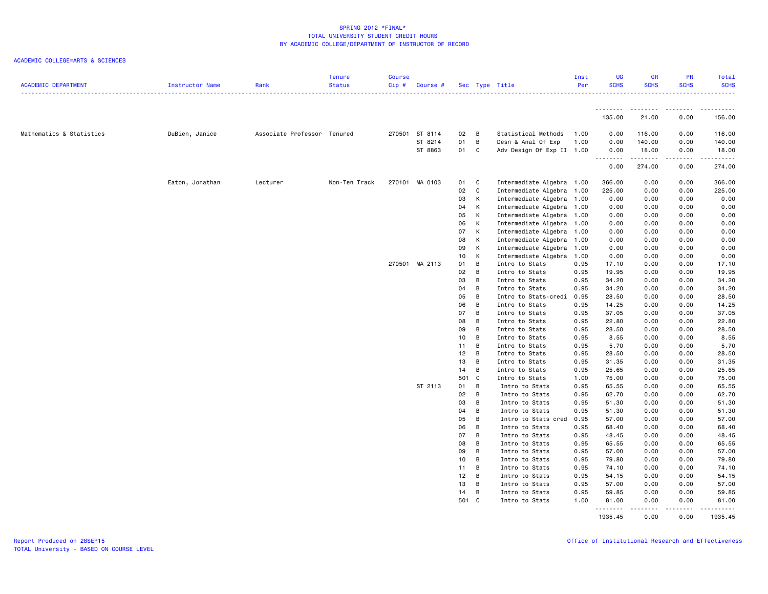| <b>ACADEMIC DEPARTMENT</b> | Instructor Name | Rank                        | <b>Tenure</b><br><b>Status</b> | <b>Course</b><br>$Cip$ # | Course #       |                 |                | Sec Type Title            | Inst<br>Per | UG<br><b>SCHS</b> | <b>GR</b><br><b>SCHS</b>                                                                                                                                     | <b>PR</b><br><b>SCHS</b> | Total<br><b>SCHS</b><br>.                                                                                                                                      |
|----------------------------|-----------------|-----------------------------|--------------------------------|--------------------------|----------------|-----------------|----------------|---------------------------|-------------|-------------------|--------------------------------------------------------------------------------------------------------------------------------------------------------------|--------------------------|----------------------------------------------------------------------------------------------------------------------------------------------------------------|
|                            |                 |                             |                                |                          |                |                 |                |                           |             | .<br>135.00       | .<br>21.00                                                                                                                                                   | .<br>0.00                | .<br>156.00                                                                                                                                                    |
| Mathematics & Statistics   | DuBien, Janice  | Associate Professor Tenured |                                |                          | 270501 ST 8114 | 02 B            |                | Statistical Methods       | 1.00        | 0.00              | 116.00                                                                                                                                                       | 0.00                     | 116.00                                                                                                                                                         |
|                            |                 |                             |                                |                          | ST 8214        | 01              | $\overline{B}$ | Desn & Anal Of Exp        | 1.00        | 0.00              | 140.00                                                                                                                                                       | 0.00                     | 140.00                                                                                                                                                         |
|                            |                 |                             |                                |                          | ST 8863        | 01 C            |                | Adv Design Of Exp II 1.00 |             | 0.00              | 18.00                                                                                                                                                        | 0.00                     | 18.00                                                                                                                                                          |
|                            |                 |                             |                                |                          |                |                 |                |                           |             | .<br>0.00         | .<br>274.00                                                                                                                                                  | د د د د<br>0.00          | $\frac{1}{2} \left( \frac{1}{2} \right) \left( \frac{1}{2} \right) \left( \frac{1}{2} \right) \left( \frac{1}{2} \right) \left( \frac{1}{2} \right)$<br>274.00 |
|                            |                 |                             | Non-Ten Track                  |                          | 270101 MA 0103 |                 | $\mathbf{C}$   | Intermediate Algebra 1.00 |             | 366.00            |                                                                                                                                                              |                          |                                                                                                                                                                |
|                            | Eaton, Jonathan | Lecturer                    |                                |                          |                | 01<br>02        | $\mathbf{C}$   | Intermediate Algebra 1.00 |             |                   | 0.00                                                                                                                                                         | 0.00<br>0.00             | 366.00<br>225.00                                                                                                                                               |
|                            |                 |                             |                                |                          |                |                 |                |                           |             | 225.00            | 0.00                                                                                                                                                         |                          |                                                                                                                                                                |
|                            |                 |                             |                                |                          |                | 03              | K              | Intermediate Algebra 1.00 |             | 0.00              | 0.00                                                                                                                                                         | 0.00                     | 0.00                                                                                                                                                           |
|                            |                 |                             |                                |                          |                | 04              | K              | Intermediate Algebra 1.00 |             | 0.00              | 0.00                                                                                                                                                         | 0.00                     | 0.00                                                                                                                                                           |
|                            |                 |                             |                                |                          |                | 05              | K              | Intermediate Algebra 1.00 |             | 0.00              | 0.00                                                                                                                                                         | 0.00                     | 0.00                                                                                                                                                           |
|                            |                 |                             |                                |                          |                | 06              | K              | Intermediate Algebra 1.00 |             | 0.00              | 0.00                                                                                                                                                         | 0.00                     | 0.00                                                                                                                                                           |
|                            |                 |                             |                                |                          |                | 07              | K              | Intermediate Algebra 1.00 |             | 0.00              | 0.00                                                                                                                                                         | 0.00                     | 0.00                                                                                                                                                           |
|                            |                 |                             |                                |                          |                | 08              | К              | Intermediate Algebra 1.00 |             | 0.00              | 0.00                                                                                                                                                         | 0.00                     | 0.00                                                                                                                                                           |
|                            |                 |                             |                                |                          |                | 09              | K              | Intermediate Algebra      | 1.00        | 0.00              | 0.00                                                                                                                                                         | 0.00                     | 0.00                                                                                                                                                           |
|                            |                 |                             |                                |                          |                | 10 <sub>1</sub> | K              | Intermediate Algebra      | 1.00        | 0.00              | 0.00                                                                                                                                                         | 0.00                     | 0.00                                                                                                                                                           |
|                            |                 |                             |                                |                          | 270501 MA 2113 | 01              | B              | Intro to Stats            | 0.95        | 17.10             | 0.00                                                                                                                                                         | 0.00                     | 17.10                                                                                                                                                          |
|                            |                 |                             |                                |                          |                | 02              | B              | Intro to Stats            | 0.95        | 19.95             | 0.00                                                                                                                                                         | 0.00                     | 19.95                                                                                                                                                          |
|                            |                 |                             |                                |                          |                | 03              | B              | Intro to Stats            | 0.95        | 34.20             | 0.00                                                                                                                                                         | 0.00                     | 34.20                                                                                                                                                          |
|                            |                 |                             |                                |                          |                | 04              | B              | Intro to Stats            | 0.95        | 34.20             | 0.00                                                                                                                                                         | 0.00                     | 34.20                                                                                                                                                          |
|                            |                 |                             |                                |                          |                | 05              | $\overline{B}$ | Intro to Stats-credi      | 0.95        | 28.50             | 0.00                                                                                                                                                         | 0.00                     | 28.50                                                                                                                                                          |
|                            |                 |                             |                                |                          |                | 06              | B              | Intro to Stats            | 0.95        | 14.25             | 0.00                                                                                                                                                         | 0.00                     | 14.25                                                                                                                                                          |
|                            |                 |                             |                                |                          |                | 07              | B              | Intro to Stats            | 0.95        | 37.05             | 0.00                                                                                                                                                         | 0.00                     | 37.05                                                                                                                                                          |
|                            |                 |                             |                                |                          |                | 08              | B              | Intro to Stats            | 0.95        | 22.80             | 0.00                                                                                                                                                         | 0.00                     | 22.80                                                                                                                                                          |
|                            |                 |                             |                                |                          |                | 09              | B              | Intro to Stats            | 0.95        | 28.50             | 0.00                                                                                                                                                         | 0.00                     | 28.50                                                                                                                                                          |
|                            |                 |                             |                                |                          |                | 10 <sub>1</sub> | B              | Intro to Stats            | 0.95        | 8.55              | 0.00                                                                                                                                                         | 0.00                     | 8.55                                                                                                                                                           |
|                            |                 |                             |                                |                          |                | 11              | B              | Intro to Stats            | 0.95        | 5.70              | 0.00                                                                                                                                                         | 0.00                     | 5.70                                                                                                                                                           |
|                            |                 |                             |                                |                          |                | 12              | $\overline{B}$ | Intro to Stats            | 0.95        | 28.50             | 0.00                                                                                                                                                         | 0.00                     | 28.50                                                                                                                                                          |
|                            |                 |                             |                                |                          |                | 13              | B              | Intro to Stats            | 0.95        | 31.35             | 0.00                                                                                                                                                         | 0.00                     | 31.35                                                                                                                                                          |
|                            |                 |                             |                                |                          |                | 14              | B              | Intro to Stats            | 0.95        | 25.65             | 0.00                                                                                                                                                         | 0.00                     | 25.65                                                                                                                                                          |
|                            |                 |                             |                                |                          |                | 501 C           |                | Intro to Stats            | 1.00        | 75.00             | 0.00                                                                                                                                                         | 0.00                     | 75.00                                                                                                                                                          |
|                            |                 |                             |                                |                          | ST 2113        | 01              | B              | Intro to Stats            | 0.95        | 65.55             | 0.00                                                                                                                                                         | 0.00                     | 65.55                                                                                                                                                          |
|                            |                 |                             |                                |                          |                | 02              | B              | Intro to Stats            | 0.95        | 62.70             | 0.00                                                                                                                                                         | 0.00                     | 62.70                                                                                                                                                          |
|                            |                 |                             |                                |                          |                | 03              | B              | Intro to Stats            | 0.95        | 51.30             | 0.00                                                                                                                                                         | 0.00                     | 51.30                                                                                                                                                          |
|                            |                 |                             |                                |                          |                | 04              | B              | Intro to Stats            | 0.95        | 51.30             | 0.00                                                                                                                                                         | 0.00                     | 51.30                                                                                                                                                          |
|                            |                 |                             |                                |                          |                | 05              | B              | Intro to Stats cred       | 0.95        | 57.00             | 0.00                                                                                                                                                         | 0.00                     | 57.00                                                                                                                                                          |
|                            |                 |                             |                                |                          |                | 06              | B              | Intro to Stats            | 0.95        | 68.40             | 0.00                                                                                                                                                         | 0.00                     | 68.40                                                                                                                                                          |
|                            |                 |                             |                                |                          |                | 07              | B              | Intro to Stats            | 0.95        | 48.45             | 0.00                                                                                                                                                         | 0.00                     | 48.45                                                                                                                                                          |
|                            |                 |                             |                                |                          |                | 08              | B              | Intro to Stats            | 0.95        | 65.55             | 0.00                                                                                                                                                         | 0.00                     | 65.55                                                                                                                                                          |
|                            |                 |                             |                                |                          |                | 09              | B              | Intro to Stats            | 0.95        | 57.00             | 0.00                                                                                                                                                         | 0.00                     | 57.00                                                                                                                                                          |
|                            |                 |                             |                                |                          |                | 10              | B              | Intro to Stats            | 0.95        | 79.80             | 0.00                                                                                                                                                         | 0.00                     | 79.80                                                                                                                                                          |
|                            |                 |                             |                                |                          |                | 11              | B              | Intro to Stats            | 0.95        | 74.10             | 0.00                                                                                                                                                         | 0.00                     | 74.10                                                                                                                                                          |
|                            |                 |                             |                                |                          |                | 12 <sub>2</sub> | $\overline{B}$ | Intro to Stats            | 0.95        | 54.15             | 0.00                                                                                                                                                         | 0.00                     | 54.15                                                                                                                                                          |
|                            |                 |                             |                                |                          |                | 13              | $\overline{B}$ | Intro to Stats            | 0.95        | 57.00             | 0.00                                                                                                                                                         | 0.00                     | 57.00                                                                                                                                                          |
|                            |                 |                             |                                |                          |                | 14 B            |                | Intro to Stats            | 0.95        | 59.85             | 0.00                                                                                                                                                         | 0.00                     | 59.85                                                                                                                                                          |
|                            |                 |                             |                                |                          |                | 501 C           |                | Intro to Stats            | 1.00        | 81.00<br>.        | 0.00<br>$\frac{1}{2} \left( \frac{1}{2} \right) \left( \frac{1}{2} \right) \left( \frac{1}{2} \right) \left( \frac{1}{2} \right) \left( \frac{1}{2} \right)$ | 0.00<br>.                | 81.00<br>.                                                                                                                                                     |
|                            |                 |                             |                                |                          |                |                 |                |                           |             | 1935.45           | 0.00                                                                                                                                                         | 0.00                     | 1935.45                                                                                                                                                        |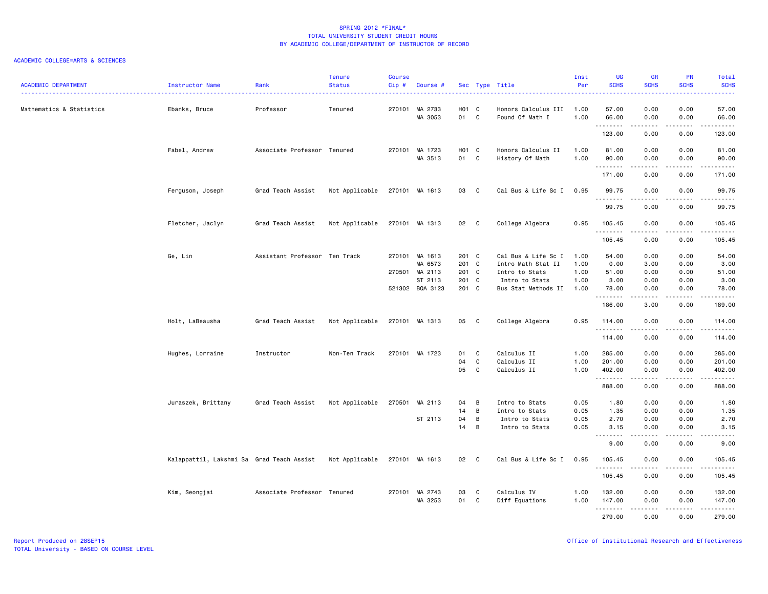| <b>ACADEMIC DEPARTMENT</b> | Instructor Name                           | Rank                          | <b>Tenure</b><br><b>Status</b> | <b>Course</b><br>Cip# | Course #                  |                           |                | Sec Type Title<br>.                    | Inst<br>Per  | UG<br><b>SCHS</b> | <b>GR</b><br><b>SCHS</b> | <b>PR</b><br><b>SCHS</b>                                                                                                          | Total<br><b>SCHS</b><br>2222.                |
|----------------------------|-------------------------------------------|-------------------------------|--------------------------------|-----------------------|---------------------------|---------------------------|----------------|----------------------------------------|--------------|-------------------|--------------------------|-----------------------------------------------------------------------------------------------------------------------------------|----------------------------------------------|
| Mathematics & Statistics   | Ebanks, Bruce                             | Professor                     | Tenured                        |                       | 270101 MA 2733<br>MA 3053 | H <sub>01</sub> C<br>01 C |                | Honors Calculus III<br>Found Of Math I | 1.00<br>1.00 | 57.00<br>66.00    | 0.00<br>0.00             | 0.00<br>0.00                                                                                                                      | 57.00<br>66.00                               |
|                            |                                           |                               |                                |                       |                           |                           |                |                                        |              | .                 | .                        | . <b>.</b>                                                                                                                        | .                                            |
|                            |                                           |                               |                                |                       |                           |                           |                |                                        |              | 123.00            | 0.00                     | 0.00                                                                                                                              | 123.00                                       |
|                            | Fabel, Andrew                             | Associate Professor Tenured   |                                |                       | 270101 MA 1723            | H01 C                     |                | Honors Calculus II                     | 1.00         | 81.00             | 0.00                     | 0.00                                                                                                                              | 81.00                                        |
|                            |                                           |                               |                                |                       | MA 3513                   | 01 C                      |                | History Of Math                        | 1.00         | 90.00<br>.        | 0.00<br>.                | 0.00<br>.                                                                                                                         | 90.00<br>المتمالين                           |
|                            |                                           |                               |                                |                       |                           |                           |                |                                        |              | 171.00            | 0.00                     | 0.00                                                                                                                              | 171.00                                       |
|                            | Ferguson, Joseph                          | Grad Teach Assist             | Not Applicable                 |                       | 270101 MA 1613            | 03 C                      |                | Cal Bus & Life Sc I                    | 0.95         | 99.75             | 0.00                     | 0.00                                                                                                                              | 99.75                                        |
|                            |                                           |                               |                                |                       |                           |                           |                |                                        |              | .<br>99.75        | 0.00                     | 0.00                                                                                                                              | 99.75                                        |
|                            | Fletcher, Jaclyn                          | Grad Teach Assist             | Not Applicable                 |                       | 270101 MA 1313            | 02 C                      |                | College Algebra                        | 0.95         | 105.45            | 0.00                     | 0.00                                                                                                                              | 105.45                                       |
|                            |                                           |                               |                                |                       |                           |                           |                |                                        |              | .<br>105.45       | <u>.</u><br>0.00         | .<br>0.00                                                                                                                         | .<br>105.45                                  |
|                            | Ge, Lin                                   | Assistant Professor Ten Track |                                |                       | 270101 MA 1613            | 201 C                     |                | Cal Bus & Life Sc I                    | 1.00         | 54.00             | 0.00                     | 0.00                                                                                                                              | 54.00                                        |
|                            |                                           |                               |                                |                       | MA 6573                   | 201 C                     |                | Intro Math Stat II                     | 1.00         | 0.00              | 3.00                     | 0.00                                                                                                                              | 3.00                                         |
|                            |                                           |                               |                                |                       | 270501 MA 2113            | 201 C                     |                | Intro to Stats                         | 1.00         | 51.00             | 0.00                     | 0.00                                                                                                                              | 51.00                                        |
|                            |                                           |                               |                                |                       | ST 2113                   | 201 C                     |                | Intro to Stats                         | 1.00         | 3.00              | 0.00                     | 0.00                                                                                                                              | 3.00                                         |
|                            |                                           |                               |                                |                       | 521302 BQA 3123           | 201 C                     |                | Bus Stat Methods II                    | 1.00         | 78.00             | 0.00                     | 0.00                                                                                                                              | 78.00                                        |
|                            |                                           |                               |                                |                       |                           |                           |                |                                        |              | .<br>186.00       | د د د د<br>3.00          | $\frac{1}{2} \left( \frac{1}{2} \right) \left( \frac{1}{2} \right) \left( \frac{1}{2} \right) \left( \frac{1}{2} \right)$<br>0.00 | $\sim$ $\sim$ $\sim$ $\sim$ $\sim$<br>189.00 |
|                            | Holt, LaBeausha                           | Grad Teach Assist             | Not Applicable                 |                       | 270101 MA 1313            | 05 C                      |                | College Algebra                        | 0.95         | 114.00<br>.       | 0.00                     | 0.00                                                                                                                              | 114.00<br>.                                  |
|                            |                                           |                               |                                |                       |                           |                           |                |                                        |              | 114.00            | 0.00                     | 0.00                                                                                                                              | 114.00                                       |
|                            | Hughes, Lorraine                          | Instructor                    | Non-Ten Track                  |                       | 270101 MA 1723            | 01                        | $\mathbf{C}$   | Calculus II                            | 1.00         | 285.00            | 0.00                     | 0.00                                                                                                                              | 285.00                                       |
|                            |                                           |                               |                                |                       |                           | 04                        | C              | Calculus II                            | 1.00         | 201.00            | 0.00                     | 0.00                                                                                                                              | 201.00                                       |
|                            |                                           |                               |                                |                       |                           | 05                        | $\mathbf{C}$   | Calculus II                            | 1.00         | 402.00<br>.       | 0.00                     | 0.00                                                                                                                              | 402.00<br>.                                  |
|                            |                                           |                               |                                |                       |                           |                           |                |                                        |              | 888.00            | 0.00                     | 0.00                                                                                                                              | 888.00                                       |
|                            | Juraszek, Brittany                        | Grad Teach Assist             | Not Applicable                 |                       | 270501 MA 2113            | 04                        | $\overline{B}$ | Intro to Stats                         | 0.05         | 1.80              | 0.00                     | 0.00                                                                                                                              | 1.80                                         |
|                            |                                           |                               |                                |                       |                           | 14                        | B              | Intro to Stats                         | 0.05         | 1.35              | 0.00                     | 0.00                                                                                                                              | 1.35                                         |
|                            |                                           |                               |                                |                       | ST 2113                   | 04                        | $\overline{B}$ | Intro to Stats                         | 0.05         | 2.70              | 0.00                     | 0.00                                                                                                                              | 2.70                                         |
|                            |                                           |                               |                                |                       |                           | 14                        | $\overline{B}$ | Intro to Stats                         | 0.05         | 3.15<br>.         | 0.00<br>د د د د          | 0.00<br>د د د د                                                                                                                   | 3.15<br>.                                    |
|                            |                                           |                               |                                |                       |                           |                           |                |                                        |              | 9.00              | 0.00                     | 0.00                                                                                                                              | 9.00                                         |
|                            | Kalappattil, Lakshmi Sa Grad Teach Assist |                               | Not Applicable                 |                       | 270101 MA 1613            | 02 C                      |                | Cal Bus & Life Sc I                    | 0.95         | 105.45<br>.       | 0.00<br>.                | 0.00<br>.                                                                                                                         | 105.45<br>.                                  |
|                            |                                           |                               |                                |                       |                           |                           |                |                                        |              | 105.45            | 0.00                     | 0.00                                                                                                                              | 105.45                                       |
|                            | Kim, Seongjai                             | Associate Professor Tenured   |                                |                       | 270101 MA 2743            | 03                        | C              | Calculus IV                            | 1.00         | 132.00            | 0.00                     | 0.00                                                                                                                              | 132.00                                       |
|                            |                                           |                               |                                |                       | MA 3253                   | 01 C                      |                |                                        |              | 147.00            | 0.00                     | 0.00                                                                                                                              | 147.00                                       |
|                            |                                           |                               |                                |                       |                           |                           |                | Diff Equations                         | 1.00         | .                 | .                        | .                                                                                                                                 | .                                            |
|                            |                                           |                               |                                |                       |                           |                           |                |                                        |              | 279.00            | 0.00                     | 0.00                                                                                                                              | 279.00                                       |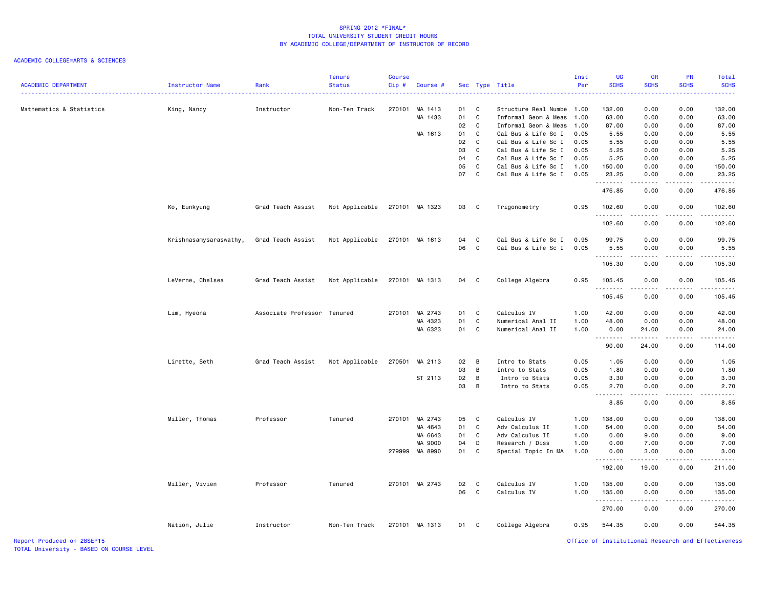### ACADEMIC COLLEGE=ARTS & SCIENCES

| .<br>Mathematics & Statistics<br>King, Nancy<br>Instructor<br>Non-Ten Track<br>270101<br>MA 1413<br>01<br>C.<br>Structure Real Numbe<br>1.00<br>MA 1433<br>01<br>C<br>Informal Geom & Meas<br>1.00<br>02<br>$\mathbf{C}$<br>Informal Geom & Meas<br>1.00<br>01<br>C<br>MA 1613<br>Cal Bus & Life Sc I<br>0.05<br>02<br>C<br>Cal Bus & Life Sc I<br>0.05<br>03<br><b>C</b><br>Cal Bus & Life Sc I<br>0.05 | 132.00<br>63.00<br>87.00<br>5.55<br>5.55<br>5.25<br>5.25<br>150.00<br>23.25<br>.<br>476.85 | 0.00<br>0.00<br>0.00<br>0.00<br>0.00<br>0.00<br>0.00<br>0.00<br>0.00<br>.<br>0.00                                              | 0.00<br>0.00<br>0.00<br>0.00<br>0.00<br>0.00<br>0.00<br>0.00<br>0.00<br>.<br>0.00 | $\frac{1}{2} \left( \frac{1}{2} \right) \left( \frac{1}{2} \right) \left( \frac{1}{2} \right) \left( \frac{1}{2} \right) \left( \frac{1}{2} \right)$<br>132.00<br>63.00<br>87.00<br>5.55<br>5.55<br>5.25<br>5.25<br>150.00<br>23.25<br>$\begin{array}{cccccccccc} \bullet & \bullet & \bullet & \bullet & \bullet & \bullet & \bullet \end{array}$ |
|----------------------------------------------------------------------------------------------------------------------------------------------------------------------------------------------------------------------------------------------------------------------------------------------------------------------------------------------------------------------------------------------------------|--------------------------------------------------------------------------------------------|--------------------------------------------------------------------------------------------------------------------------------|-----------------------------------------------------------------------------------|----------------------------------------------------------------------------------------------------------------------------------------------------------------------------------------------------------------------------------------------------------------------------------------------------------------------------------------------------|
|                                                                                                                                                                                                                                                                                                                                                                                                          |                                                                                            |                                                                                                                                |                                                                                   |                                                                                                                                                                                                                                                                                                                                                    |
|                                                                                                                                                                                                                                                                                                                                                                                                          |                                                                                            |                                                                                                                                |                                                                                   |                                                                                                                                                                                                                                                                                                                                                    |
|                                                                                                                                                                                                                                                                                                                                                                                                          |                                                                                            |                                                                                                                                |                                                                                   |                                                                                                                                                                                                                                                                                                                                                    |
|                                                                                                                                                                                                                                                                                                                                                                                                          |                                                                                            |                                                                                                                                |                                                                                   |                                                                                                                                                                                                                                                                                                                                                    |
|                                                                                                                                                                                                                                                                                                                                                                                                          |                                                                                            |                                                                                                                                |                                                                                   |                                                                                                                                                                                                                                                                                                                                                    |
|                                                                                                                                                                                                                                                                                                                                                                                                          |                                                                                            |                                                                                                                                |                                                                                   |                                                                                                                                                                                                                                                                                                                                                    |
| 04<br>C<br>Cal Bus & Life Sc I<br>0.05                                                                                                                                                                                                                                                                                                                                                                   |                                                                                            |                                                                                                                                |                                                                                   |                                                                                                                                                                                                                                                                                                                                                    |
| 05<br>C<br>Cal Bus & Life Sc I<br>1.00                                                                                                                                                                                                                                                                                                                                                                   |                                                                                            |                                                                                                                                |                                                                                   |                                                                                                                                                                                                                                                                                                                                                    |
| 07<br>C<br>0.05<br>Cal Bus & Life Sc I                                                                                                                                                                                                                                                                                                                                                                   |                                                                                            |                                                                                                                                |                                                                                   |                                                                                                                                                                                                                                                                                                                                                    |
|                                                                                                                                                                                                                                                                                                                                                                                                          |                                                                                            |                                                                                                                                |                                                                                   | 476.85                                                                                                                                                                                                                                                                                                                                             |
| Ko, Eunkyung<br>Grad Teach Assist<br>Not Applicable<br>270101 MA 1323<br>Trigonometry<br>03<br>$\mathbf{C}$<br>0.95                                                                                                                                                                                                                                                                                      | 102.60<br>.                                                                                | 0.00                                                                                                                           | 0.00                                                                              | 102.60<br>.                                                                                                                                                                                                                                                                                                                                        |
|                                                                                                                                                                                                                                                                                                                                                                                                          | 102.60                                                                                     | 0.00                                                                                                                           | 0.00                                                                              | 102.60                                                                                                                                                                                                                                                                                                                                             |
| Cal Bus & Life Sc I<br>Krishnasamysaraswathy,<br>Grad Teach Assist<br>Not Applicable<br>270101 MA 1613<br>04<br>C<br>0.95                                                                                                                                                                                                                                                                                | 99.75                                                                                      | 0.00                                                                                                                           | 0.00                                                                              | 99.75                                                                                                                                                                                                                                                                                                                                              |
| 06<br>C<br>Cal Bus & Life Sc I<br>0.05                                                                                                                                                                                                                                                                                                                                                                   | 5.55                                                                                       | 0.00                                                                                                                           | 0.00                                                                              | 5.55                                                                                                                                                                                                                                                                                                                                               |
|                                                                                                                                                                                                                                                                                                                                                                                                          | <b></b>                                                                                    | -----                                                                                                                          | .                                                                                 | $- - - - - - -$                                                                                                                                                                                                                                                                                                                                    |
|                                                                                                                                                                                                                                                                                                                                                                                                          | 105.30                                                                                     | 0.00                                                                                                                           | 0.00                                                                              | 105.30                                                                                                                                                                                                                                                                                                                                             |
| LeVerne, Chelsea<br>Not Applicable<br>College Algebra<br>Grad Teach Assist<br>270101 MA 1313<br>04 C<br>0.95                                                                                                                                                                                                                                                                                             | 105.45<br>.                                                                                | 0.00<br>-----                                                                                                                  | 0.00<br>22222                                                                     | 105.45<br>.                                                                                                                                                                                                                                                                                                                                        |
|                                                                                                                                                                                                                                                                                                                                                                                                          | 105.45                                                                                     | 0.00                                                                                                                           | 0.00                                                                              | 105.45                                                                                                                                                                                                                                                                                                                                             |
| Calculus IV<br>Lim, Hyeona<br>Associate Professor Tenured<br>270101 MA 2743<br>01<br>$\mathbf{C}$<br>1.00                                                                                                                                                                                                                                                                                                | 42.00                                                                                      | 0.00                                                                                                                           | 0.00                                                                              | 42.00                                                                                                                                                                                                                                                                                                                                              |
| MA 4323<br>01<br>C<br>Numerical Anal II<br>1.00                                                                                                                                                                                                                                                                                                                                                          | 48.00                                                                                      | 0.00                                                                                                                           | 0.00                                                                              | 48.00                                                                                                                                                                                                                                                                                                                                              |
| MA 6323<br>01<br>C<br>Numerical Anal II<br>1.00                                                                                                                                                                                                                                                                                                                                                          | 0.00                                                                                       | 24.00<br>$\begin{array}{cccccccccc} \bullet & \bullet & \bullet & \bullet & \bullet & \bullet & \bullet & \bullet \end{array}$ | 0.00<br>.                                                                         | 24.00<br>$\omega$ is a single                                                                                                                                                                                                                                                                                                                      |
|                                                                                                                                                                                                                                                                                                                                                                                                          | 90.00                                                                                      | 24.00                                                                                                                          | 0.00                                                                              | 114.00                                                                                                                                                                                                                                                                                                                                             |
| 02<br>Lirette, Seth<br>Grad Teach Assist<br>Not Applicable<br>270501<br>MA 2113<br>B<br>Intro to Stats<br>0.05                                                                                                                                                                                                                                                                                           | 1.05                                                                                       | 0.00                                                                                                                           | 0.00                                                                              | 1.05                                                                                                                                                                                                                                                                                                                                               |
| 03<br>B<br>0.05<br>Intro to Stats                                                                                                                                                                                                                                                                                                                                                                        | 1.80                                                                                       | 0.00                                                                                                                           | 0.00                                                                              | 1.80                                                                                                                                                                                                                                                                                                                                               |
| ST 2113<br>02<br>$\overline{B}$<br>0.05<br>Intro to Stats                                                                                                                                                                                                                                                                                                                                                | 3.30                                                                                       | 0.00                                                                                                                           | 0.00                                                                              | 3.30                                                                                                                                                                                                                                                                                                                                               |
| 03<br>B<br>0.05<br>Intro to Stats                                                                                                                                                                                                                                                                                                                                                                        | 2.70<br>.                                                                                  | 0.00<br>.                                                                                                                      | 0.00<br>$\sim$ $\sim$ $\sim$ $\sim$                                               | 2.70<br>.                                                                                                                                                                                                                                                                                                                                          |
|                                                                                                                                                                                                                                                                                                                                                                                                          | 8.85                                                                                       | 0.00                                                                                                                           | 0.00                                                                              | 8.85                                                                                                                                                                                                                                                                                                                                               |
| Calculus IV<br>Miller, Thomas<br>Professor<br>Tenured<br>270101 MA 2743<br>05<br><b>C</b><br>1.00                                                                                                                                                                                                                                                                                                        | 138.00                                                                                     | 0.00                                                                                                                           | 0.00                                                                              | 138.00                                                                                                                                                                                                                                                                                                                                             |
| 01<br>C<br>Adv Calculus II<br>MA 4643<br>1.00                                                                                                                                                                                                                                                                                                                                                            | 54.00                                                                                      | 0.00                                                                                                                           | 0.00                                                                              | 54.00                                                                                                                                                                                                                                                                                                                                              |
| MA 6643<br>01<br>C<br>Adv Calculus II<br>1.00                                                                                                                                                                                                                                                                                                                                                            | 0.00                                                                                       | 9.00                                                                                                                           | 0.00                                                                              | 9.00                                                                                                                                                                                                                                                                                                                                               |
| 04<br>MA 9000<br>D<br>Research / Diss<br>1.00                                                                                                                                                                                                                                                                                                                                                            | 0.00                                                                                       | 7.00                                                                                                                           | 0.00                                                                              | 7.00                                                                                                                                                                                                                                                                                                                                               |
| 279999 MA 8990<br>01<br>C<br>Special Topic In MA<br>1.00                                                                                                                                                                                                                                                                                                                                                 | 0.00<br>.                                                                                  | 3.00                                                                                                                           | 0.00<br>$\sim$ $\sim$ $\sim$ $\sim$                                               | 3.00<br>د د د د د                                                                                                                                                                                                                                                                                                                                  |
|                                                                                                                                                                                                                                                                                                                                                                                                          | 192.00                                                                                     | 19.00                                                                                                                          | 0.00                                                                              | 211.00                                                                                                                                                                                                                                                                                                                                             |
| Miller, Vivien<br>270101 MA 2743<br>02<br>$\mathbf{C}$<br>Calculus IV<br>1.00<br>Professor<br>Tenured                                                                                                                                                                                                                                                                                                    | 135.00                                                                                     | 0.00                                                                                                                           | 0.00                                                                              | 135.00                                                                                                                                                                                                                                                                                                                                             |
| 06<br>C<br>Calculus IV<br>1.00                                                                                                                                                                                                                                                                                                                                                                           | 135.00                                                                                     | 0.00                                                                                                                           | 0.00                                                                              | 135.00                                                                                                                                                                                                                                                                                                                                             |
|                                                                                                                                                                                                                                                                                                                                                                                                          | .<br>270.00                                                                                | .<br>0.00                                                                                                                      | .<br>0.00                                                                         | <u>.</u><br>270.00                                                                                                                                                                                                                                                                                                                                 |
| Nation, Julie<br>270101 MA 1313<br>College Algebra<br>0.95<br>Instructor<br>Non-Ten Track<br>01<br>$\mathbf{C}$                                                                                                                                                                                                                                                                                          | 544.35                                                                                     | 0.00                                                                                                                           | 0.00                                                                              | 544.35                                                                                                                                                                                                                                                                                                                                             |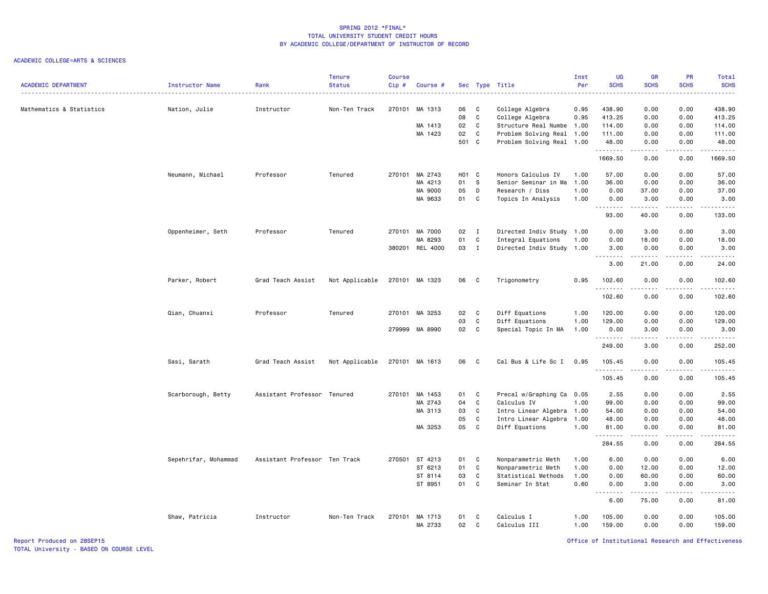### ACADEMIC COLLEGE=ARTS & SCIENCES

| <b>ACADEMIC DEPARTMENT</b> | Instructor Name      | Rank                          | <b>Tenure</b><br><b>Status</b> | <b>Course</b><br>Cip# | Course #           |          |                  | Sec Type Title                        | Inst<br>Per<br>. | <b>UG</b><br><b>SCHS</b> | <b>GR</b><br><b>SCHS</b> | PR<br><b>SCHS</b><br>22222 | Total<br><b>SCHS</b><br>.                    |
|----------------------------|----------------------|-------------------------------|--------------------------------|-----------------------|--------------------|----------|------------------|---------------------------------------|------------------|--------------------------|--------------------------|----------------------------|----------------------------------------------|
| Mathematics & Statistics   | Nation, Julie        | Instructor                    | Non-Ten Track                  |                       | 270101 MA 1313     | 06<br>08 | C<br>$\mathbf c$ | College Algebra<br>College Algebra    | 0.95<br>0.95     | 438.90<br>413.25         | 0.00<br>0.00             | 0.00<br>0.00               | 438.90<br>413.25                             |
|                            |                      |                               |                                |                       | MA 1413            | 02       | C                | Structure Real Numbe                  | 1.00             | 114.00                   | 0.00                     | 0.00                       | 114.00                                       |
|                            |                      |                               |                                |                       | MA 1423            | 02       | C                | Problem Solving Real                  | 1.00             | 111.00                   | 0.00                     | 0.00                       | 111.00                                       |
|                            |                      |                               |                                |                       |                    | 501 C    |                  | Problem Solving Real 1.00             |                  | 48.00<br>.               | 0.00<br>.                | 0.00<br>.                  | 48.00<br><b></b>                             |
|                            |                      |                               |                                |                       |                    |          |                  |                                       |                  | 1669.50                  | 0.00                     | 0.00                       | 1669.50                                      |
|                            | Neumann, Michael     | Professor                     | Tenured                        | 270101                | MA 2743            | HO1 C    |                  | Honors Calculus IV                    | 1.00             | 57.00                    | 0.00                     | 0.00                       | 57.00                                        |
|                            |                      |                               |                                |                       | MA 4213            | 01       | s                | Senior Seminar in Ma                  | 1.00             | 36.00                    | 0.00                     | 0.00                       | 36.00                                        |
|                            |                      |                               |                                |                       | MA 9000<br>MA 9633 | 05<br>01 | D<br>C           | Research / Diss<br>Topics In Analysis | 1.00<br>1.00     | 0.00<br>0.00             | 37.00<br>3.00            | 0.00<br>0.00               | 37.00<br>3.00                                |
|                            |                      |                               |                                |                       |                    |          |                  |                                       |                  | .<br>93.00               | بالمحام<br>40.00         | .<br>0.00                  | $\sim$ $\sim$ $\sim$ $\sim$ $\sim$<br>133.00 |
|                            | Oppenheimer, Seth    | Professor                     | Tenured                        |                       | 270101 MA 7000     | 02       | $\mathbf{I}$     | Directed Indiv Study 1.00             |                  | 0.00                     | 3.00                     | 0.00                       | 3.00                                         |
|                            |                      |                               |                                |                       | MA 8293            | 01       | C                | Integral Equations                    | 1.00             | 0.00                     | 18.00                    | 0.00                       | 18.00                                        |
|                            |                      |                               |                                |                       | 380201 REL 4000    | 03       | $\mathbf{I}$     | Directed Indiv Study                  | 1.00             | 3.00                     | 0.00                     | 0.00                       | 3.00                                         |
|                            |                      |                               |                                |                       |                    |          |                  |                                       |                  | .<br>3.00                | .<br>21.00               | د د د د<br>0.00            | .<br>24.00                                   |
|                            | Parker, Robert       | Grad Teach Assist             | Not Applicable                 |                       | 270101 MA 1323     | 06       | C                | Trigonometry                          | 0.95             | 102.60<br>.              | 0.00                     | 0.00                       | 102.60<br><b>.</b>                           |
|                            |                      |                               |                                |                       |                    |          |                  |                                       |                  | 102.60                   | 0.00                     | 0.00                       | 102.60                                       |
|                            | Qian, Chuanxi        | Professor                     | Tenured                        |                       | 270101 MA 3253     | 02       | C                | Diff Equations                        | 1.00             | 120.00                   | 0.00                     | 0.00                       | 120.00                                       |
|                            |                      |                               |                                |                       |                    | 03       | C                | Diff Equations                        | 1.00             | 129.00                   | 0.00                     | 0.00                       | 129.00                                       |
|                            |                      |                               |                                |                       | 279999 MA 8990     | 02       | $\mathbf c$      | Special Topic In MA                   | 1.00             | 0.00<br>.                | 3.00<br>.                | 0.00<br>.                  | 3.00<br>.                                    |
|                            |                      |                               |                                |                       |                    |          |                  |                                       |                  | 249.00                   | 3.00                     | 0.00                       | 252.00                                       |
|                            | Sasi, Sarath         | Grad Teach Assist             | Not Applicable                 |                       | 270101 MA 1613     | 06       | C.               | Cal Bus & Life Sc I                   | 0.95             | 105.45<br><u>.</u>       | 0.00<br>.                | 0.00<br>.                  | 105.45<br>.                                  |
|                            |                      |                               |                                |                       |                    |          |                  |                                       |                  | 105.45                   | 0.00                     | 0.00                       | 105.45                                       |
|                            | Scarborough, Betty   | Assistant Professor Tenured   |                                | 270101                | MA 1453            | 01       | C                | Precal w/Graphing Ca 0.05             |                  | 2.55                     | 0.00                     | 0.00                       | 2.55                                         |
|                            |                      |                               |                                |                       | MA 2743            | 04       | C                | Calculus IV                           | 1.00             | 99.00                    | 0.00                     | 0.00                       | 99.00                                        |
|                            |                      |                               |                                |                       | MA 3113            | 03       | C                | Intro Linear Algebra                  | 1.00             | 54.00                    | 0.00                     | 0.00                       | 54.00                                        |
|                            |                      |                               |                                |                       |                    | 05       | $\mathbf c$      | Intro Linear Algebra                  | 1.00             | 48.00                    | 0.00                     | 0.00                       | 48.00                                        |
|                            |                      |                               |                                |                       | MA 3253            | 05       | C                | Diff Equations                        | 1.00             | 81.00<br>.               | 0.00<br>.                | 0.00<br>.                  | 81.00<br>.                                   |
|                            |                      |                               |                                |                       |                    |          |                  |                                       |                  | 284.55                   | 0.00                     | 0.00                       | 284.55                                       |
|                            | Sepehrifar, Mohammad | Assistant Professor Ten Track |                                |                       | 270501 ST 4213     | 01       | C                | Nonparametric Meth                    | 1.00             | 6.00                     | 0.00                     | 0.00                       | 6.00                                         |
|                            |                      |                               |                                |                       | ST 6213            | 01       | C                | Nonparametric Meth                    | 1.00             | 0.00                     | 12.00                    | 0.00                       | 12.00                                        |
|                            |                      |                               |                                |                       | ST 8114            | 03       | C                | Statistical Methods                   | 1.00             | 0.00                     | 60.00                    | 0.00                       | 60.00                                        |
|                            |                      |                               |                                |                       | ST 8951            | 01       | C                | Seminar In Stat                       | 0.60             | 0.00<br>.                | 3.00<br>.                | 0.00<br>.                  | 3.00<br>.                                    |
|                            |                      |                               |                                |                       |                    |          |                  |                                       |                  | 6.00                     | 75.00                    | 0.00                       | 81.00                                        |
|                            | Shaw, Patricia       | Instructor                    | Non-Ten Track                  | 270101                | MA 1713<br>MA 2733 | 01<br>02 | C<br>C           | Calculus I<br>Calculus III            | 1.00<br>1.00     | 105.00<br>159.00         | 0.00<br>0.00             | 0.00<br>0.00               | 105.00<br>159.00                             |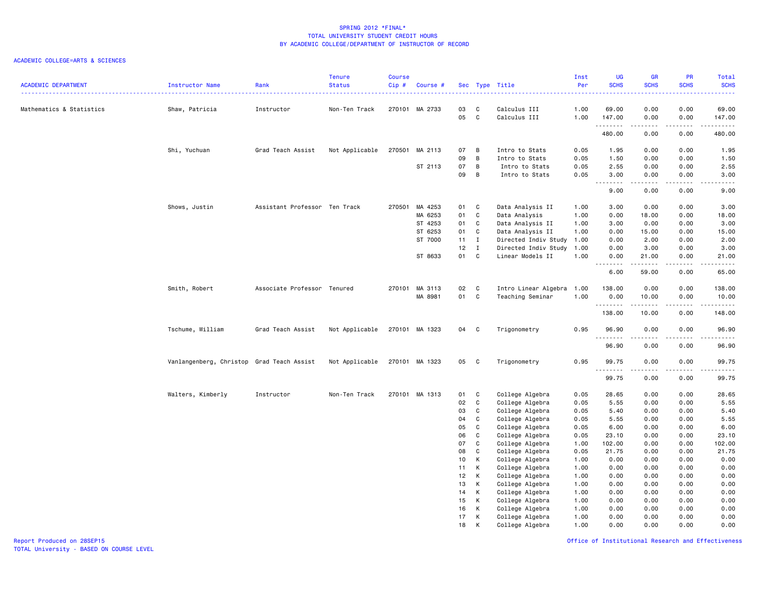|                            |                                           |                               | <b>Tenure</b>  | <b>Course</b> |                |          |                   |                              | Inst         | UG               | <b>GR</b>              | PR                                                                                                                                | Total                                                                                                                 |
|----------------------------|-------------------------------------------|-------------------------------|----------------|---------------|----------------|----------|-------------------|------------------------------|--------------|------------------|------------------------|-----------------------------------------------------------------------------------------------------------------------------------|-----------------------------------------------------------------------------------------------------------------------|
| <b>ACADEMIC DEPARTMENT</b> | Instructor Name                           | Rank                          | <b>Status</b>  | $Cip$ #       | Course #       |          |                   | Sec Type Title               | Per          | <b>SCHS</b>      | <b>SCHS</b>            | <b>SCHS</b>                                                                                                                       | <b>SCHS</b><br>.                                                                                                      |
|                            |                                           |                               |                |               |                |          |                   |                              |              |                  |                        |                                                                                                                                   |                                                                                                                       |
| Mathematics & Statistics   | Shaw, Patricia                            | Instructor                    | Non-Ten Track  | 270101        | MA 2733        | 03<br>05 | C<br>$\mathtt{C}$ | Calculus III<br>Calculus III | 1.00<br>1.00 | 69.00<br>147.00  | 0.00<br>0.00           | 0.00<br>0.00                                                                                                                      | 69.00<br>147.00                                                                                                       |
|                            |                                           |                               |                |               |                |          |                   |                              |              | .<br>480.00      | .<br>0.00              | .<br>0.00                                                                                                                         | $\begin{array}{cccccccccc} \bullet & \bullet & \bullet & \bullet & \bullet & \bullet & \bullet \end{array}$<br>480.00 |
|                            | Shi, Yuchuan                              | Grad Teach Assist             | Not Applicable | 270501        | MA 2113        | 07       | В                 | Intro to Stats               | 0.05         | 1.95             | 0.00                   | 0.00                                                                                                                              | 1.95                                                                                                                  |
|                            |                                           |                               |                |               |                | 09       | B                 | Intro to Stats               | 0.05         | 1.50             | 0.00                   | 0.00                                                                                                                              | 1.50                                                                                                                  |
|                            |                                           |                               |                |               | ST 2113        | 07       | B                 | Intro to Stats               | 0.05         | 2.55             | 0.00                   | 0.00                                                                                                                              | 2.55                                                                                                                  |
|                            |                                           |                               |                |               |                | 09       | B                 | Intro to Stats               | 0.05         | 3.00             | 0.00                   | 0.00                                                                                                                              | 3.00                                                                                                                  |
|                            |                                           |                               |                |               |                |          |                   |                              |              | <u>.</u><br>9.00 | 0.00                   | $\frac{1}{2}$<br>0.00                                                                                                             | .<br>9.00                                                                                                             |
|                            | Shows, Justin                             | Assistant Professor Ten Track |                | 270501        | MA 4253        | 01       | C                 | Data Analysis II             | 1.00         | 3.00             | 0.00                   | 0.00                                                                                                                              | 3.00                                                                                                                  |
|                            |                                           |                               |                |               | MA 6253        | 01       | $\mathtt{C}$      | Data Analysis                | 1.00         | 0.00             | 18.00                  | 0.00                                                                                                                              | 18.00                                                                                                                 |
|                            |                                           |                               |                |               | ST 4253        | 01       | C                 | Data Analysis II             | 1.00         | 3.00             | 0.00                   | 0.00                                                                                                                              | 3.00                                                                                                                  |
|                            |                                           |                               |                |               | ST 6253        | 01       | C                 | Data Analysis II             | 1.00         | 0.00             | 15.00                  | 0.00                                                                                                                              | 15.00                                                                                                                 |
|                            |                                           |                               |                |               | ST 7000        | 11       | $\mathbf{I}$      | Directed Indiv Study         | 1.00         | 0.00             | 2.00                   | 0.00                                                                                                                              | 2.00                                                                                                                  |
|                            |                                           |                               |                |               |                | 12       | $\mathbf{I}$      | Directed Indiv Study         | 1.00         | 0.00             | 3.00                   | 0.00                                                                                                                              | 3.00                                                                                                                  |
|                            |                                           |                               |                |               | ST 8633        | 01       | C                 | Linear Models II             | 1.00         | 0.00<br>-------- | 21.00<br>$\frac{1}{2}$ | 0.00<br>$\frac{1}{2} \left( \frac{1}{2} \right) \left( \frac{1}{2} \right) \left( \frac{1}{2} \right) \left( \frac{1}{2} \right)$ | 21.00<br>.                                                                                                            |
|                            |                                           |                               |                |               |                |          |                   |                              |              | 6.00             | 59.00                  | 0.00                                                                                                                              | 65.00                                                                                                                 |
|                            | Smith, Robert                             | Associate Professor Tenured   |                |               | 270101 MA 3113 | 02       | C                 | Intro Linear Algebra         | 1.00         | 138.00           | 0.00                   | 0.00                                                                                                                              | 138.00                                                                                                                |
|                            |                                           |                               |                |               | MA 8981        | 01       | $\mathbf{C}$      | Teaching Seminar             | 1.00         | 0.00<br>.        | 10.00<br>.             | 0.00<br>.                                                                                                                         | 10.00                                                                                                                 |
|                            |                                           |                               |                |               |                |          |                   |                              |              | 138.00           | 10.00                  | 0.00                                                                                                                              | .<br>148.00                                                                                                           |
|                            | Tschume, William                          | Grad Teach Assist             | Not Applicable |               | 270101 MA 1323 | 04       | C                 | Trigonometry                 | 0.95         | 96.90            | 0.00                   | 0.00                                                                                                                              | 96.90                                                                                                                 |
|                            |                                           |                               |                |               |                |          |                   |                              |              | -----<br>96.90   | 0.00                   | 0.00                                                                                                                              | .<br>96.90                                                                                                            |
|                            | Vanlangenberg, Christop Grad Teach Assist |                               | Not Applicable |               | 270101 MA 1323 | 05       | C                 | Trigonometry                 | 0.95         | 99.75<br>.       | 0.00<br>.              | 0.00<br>.                                                                                                                         | 99.75<br>.                                                                                                            |
|                            |                                           |                               |                |               |                |          |                   |                              |              | 99.75            | 0.00                   | 0.00                                                                                                                              | 99.75                                                                                                                 |
|                            | Walters, Kimberly                         | Instructor                    | Non-Ten Track  | 270101        | MA 1313        | 01       | C                 | College Algebra              | 0.05         | 28.65            | 0.00                   | 0.00                                                                                                                              | 28.65                                                                                                                 |
|                            |                                           |                               |                |               |                | 02       | C                 | College Algebra              | 0.05         | 5.55             | 0.00                   | 0.00                                                                                                                              | 5.55                                                                                                                  |
|                            |                                           |                               |                |               |                | 03       | C                 | College Algebra              | 0.05         | 5.40             | 0.00                   | 0.00                                                                                                                              | 5.40                                                                                                                  |
|                            |                                           |                               |                |               |                | 04       | C                 | College Algebra              | 0.05         | 5.55             | 0.00                   | 0.00                                                                                                                              | 5.55                                                                                                                  |
|                            |                                           |                               |                |               |                | 05       | C                 | College Algebra              | 0.05         | 6.00             | 0.00                   | 0.00                                                                                                                              | 6.00                                                                                                                  |
|                            |                                           |                               |                |               |                | 06       | $\mathtt{C}$      | College Algebra              | 0.05         | 23.10            | 0.00                   | 0.00                                                                                                                              | 23.10                                                                                                                 |
|                            |                                           |                               |                |               |                | 07       | C                 | College Algebra              | 1.00         | 102.00           | 0.00                   | 0.00                                                                                                                              | 102.00                                                                                                                |
|                            |                                           |                               |                |               |                | 08       | $\mathtt{C}$      | College Algebra              | 0.05         | 21.75            | 0.00                   | 0.00                                                                                                                              | 21.75                                                                                                                 |
|                            |                                           |                               |                |               |                | 10       | К                 | College Algebra              | 1.00         | 0.00             | 0.00                   | 0.00                                                                                                                              | 0.00                                                                                                                  |
|                            |                                           |                               |                |               |                | 11       | К                 | College Algebra              | 1.00         | 0.00             | 0.00                   | 0.00                                                                                                                              | 0.00                                                                                                                  |
|                            |                                           |                               |                |               |                | 12       | К                 | College Algebra              | 1.00         | 0.00             | 0.00                   | 0.00                                                                                                                              | 0.00                                                                                                                  |
|                            |                                           |                               |                |               |                | 13       | К                 | College Algebra              | 1.00         | 0.00             | 0.00                   | 0.00                                                                                                                              | 0.00                                                                                                                  |
|                            |                                           |                               |                |               |                | 14       | К                 | College Algebra              | 1.00         | 0.00             | 0.00                   | 0.00                                                                                                                              | 0.00                                                                                                                  |
|                            |                                           |                               |                |               |                | 15       | К                 | College Algebra              | 1.00         | 0.00             | 0.00                   | 0.00                                                                                                                              | 0.00                                                                                                                  |
|                            |                                           |                               |                |               |                | 16       | К                 | College Algebra              | 1.00         | 0.00             | 0.00                   | 0.00                                                                                                                              | 0.00                                                                                                                  |
|                            |                                           |                               |                |               |                | 17       | К                 | College Algebra              | 1.00         | 0.00             | 0.00                   | 0.00                                                                                                                              | 0.00                                                                                                                  |
|                            |                                           |                               |                |               |                | 18       | K                 | College Algebra              | 1.00         | 0.00             | 0.00                   | 0.00                                                                                                                              | 0.00                                                                                                                  |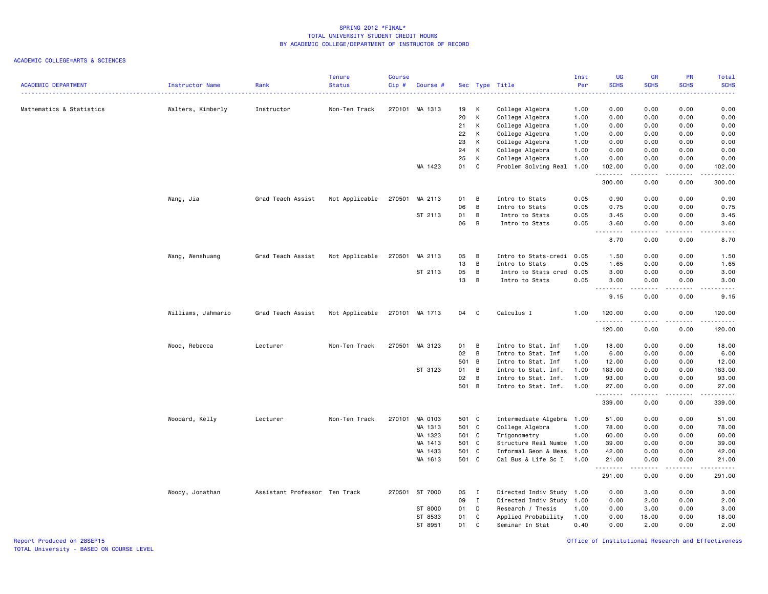### ACADEMIC COLLEGE=ARTS & SCIENCES

| <b>SCHS</b><br><b>SCHS</b><br><b>SCHS</b><br><b>SCHS</b><br>ACADEMIC DEPARTMENT<br>Instructor Name<br>Rank<br><b>Status</b><br>Cip#<br>Sec Type Title<br>Per<br>Course #<br>.<br>.<br>.<br>.<br>College Algebra<br>0.00<br>Mathematics & Statistics<br>Walters, Kimberly<br>Instructor<br>Non-Ten Track<br>270101 MA 1313<br>19<br>к<br>1.00<br>0.00<br>0.00<br>0.00<br>20<br>K<br>College Algebra<br>1.00<br>0.00<br>0.00<br>0.00<br>0.00<br>21<br>К<br>College Algebra<br>0.00<br>1.00<br>0.00<br>0.00<br>0.00<br>22<br>К<br>College Algebra<br>1.00<br>0.00<br>0.00<br>0.00<br>0.00<br>23<br>К<br>College Algebra<br>1.00<br>0.00<br>0.00<br>0.00<br>0.00<br>24<br>К<br>College Algebra<br>0.00<br>1.00<br>0.00<br>0.00<br>0.00<br>25<br>К<br>College Algebra<br>1.00<br>0.00<br>0.00<br>0.00<br>0.00<br>MA 1423<br>01<br>C<br>Problem Solving Real 1.00<br>102.00<br>0.00<br>102.00<br>0.00<br><b>.</b> .<br>.<br>الأعامات<br>$\begin{array}{cccccccccc} \bullet & \bullet & \bullet & \bullet & \bullet & \bullet & \bullet & \bullet \end{array}$<br>300.00<br>0.00<br>0.00<br>300.00<br>Wang, Jia<br>Grad Teach Assist<br>Not Applicable<br>270501<br>MA 2113<br>01<br>В<br>Intro to Stats<br>0.05<br>0.90<br>0.00<br>0.00<br>0.90<br>06<br>B<br>0.05<br>0.75<br>Intro to Stats<br>0.75<br>0.00<br>0.00<br>ST 2113<br>01<br>B<br>0.05<br>3.45<br>3.45<br>Intro to Stats<br>0.00<br>0.00<br>06<br>B<br>Intro to Stats<br>0.05<br>3.60<br>0.00<br>0.00<br>3.60<br>.<br><u>.</u><br>.<br>8.70<br>0.00<br>0.00<br>8.70<br>05<br>1.50<br>0.00<br>0.00<br>1.50<br>Wang, Wenshuang<br>Grad Teach Assist<br>Not Applicable<br>270501 MA 2113<br>B<br>Intro to Stats-credi 0.05<br>13<br>B<br>0.05<br>1.65<br>1.65<br>Intro to Stats<br>0.00<br>0.00<br>ST 2113<br>05<br>B<br>0.05<br>3.00<br>3.00<br>Intro to Stats cred<br>0.00<br>0.00<br>13<br>B<br>0.05<br>3.00<br>0.00<br>0.00<br>3.00<br>Intro to Stats<br><u>.</u><br>$- - - -$<br>. <u>.</u> .<br>9.15<br>0.00<br>0.00<br>9.15<br>Williams, Jahmario<br>Grad Teach Assist<br>Not Applicable<br>270101 MA 1713<br>04<br>C<br>Calculus I<br>1.00<br>120.00<br>0.00<br>0.00<br>120.00<br>.<br>.<br>.<br>.<br>120.00<br>0.00<br>0.00<br>120.00<br>Non-Ten Track<br>270501 MA 3123<br>Intro to Stat. Inf<br>1.00<br>Wood, Rebecca<br>Lecturer<br>01<br>B<br>18.00<br>0.00<br>0.00<br>18.00<br>02<br>B<br>Intro to Stat. Inf<br>1.00<br>6.00<br>0.00<br>0.00<br>6.00<br>501 B<br>Intro to Stat. Inf<br>1.00<br>12.00<br>0.00<br>0.00<br>12.00<br>ST 3123<br>01<br>B<br>183.00<br>Intro to Stat. Inf.<br>1.00<br>183.00<br>0.00<br>0.00<br>02<br>B<br>1.00<br>93.00<br>0.00<br>0.00<br>93.00<br>Intro to Stat. Inf.<br>501 B<br>Intro to Stat. Inf.<br>1.00<br>27.00<br>0.00<br>0.00<br>27.00<br><u>.</u><br>.<br>.<br>.<br>339.00<br>0.00<br>0.00<br>339.00<br>270101<br>501 C<br>Intermediate Algebra 1.00<br>51.00<br>Woodard, Kelly<br>Lecturer<br>Non-Ten Track<br>MA 0103<br>51.00<br>0.00<br>0.00<br>501 C<br>College Algebra<br>78.00<br>MA 1313<br>1.00<br>78.00<br>0.00<br>0.00<br>501 C<br>Trigonometry<br>1.00<br>60.00<br>60.00<br>MA 1323<br>0.00<br>0.00<br>501 C<br>1.00<br>39.00<br>0.00<br>39.00<br>MA 1413<br>Structure Real Numbe<br>0.00<br>MA 1433<br>501 C<br>0.00<br>42.00<br>Informal Geom & Meas<br>1.00<br>42.00<br>0.00<br>MA 1613<br>501 C<br>Cal Bus & Life Sc I<br>1.00<br>21.00<br>0.00<br>0.00<br>21.00<br><u>.</u><br><u>.</u><br>.<br>.<br>291.00<br>0.00<br>0.00<br>291.00<br>Assistant Professor Ten Track<br>270501 ST 7000<br>05<br>Directed Indiv Study 1.00<br>0.00<br>3.00<br>3.00<br>Woody, Jonathan<br>$\blacksquare$<br>0.00<br>09<br>$\mathbf{I}$<br>Directed Indiv Study<br>2.00<br>0.00<br>2.00<br>1.00<br>0.00<br>ST 8000<br>01<br>D<br>Research / Thesis<br>0.00<br>3.00<br>0.00<br>3.00<br>1.00<br>ST 8533<br>01<br>C<br>Applied Probability<br>1.00<br>0.00<br>18.00<br>0.00<br>18.00 |  | <b>Tenure</b> | <b>Course</b> |  |  | Inst | UG | <b>GR</b> | PR | Total |
|-------------------------------------------------------------------------------------------------------------------------------------------------------------------------------------------------------------------------------------------------------------------------------------------------------------------------------------------------------------------------------------------------------------------------------------------------------------------------------------------------------------------------------------------------------------------------------------------------------------------------------------------------------------------------------------------------------------------------------------------------------------------------------------------------------------------------------------------------------------------------------------------------------------------------------------------------------------------------------------------------------------------------------------------------------------------------------------------------------------------------------------------------------------------------------------------------------------------------------------------------------------------------------------------------------------------------------------------------------------------------------------------------------------------------------------------------------------------------------------------------------------------------------------------------------------------------------------------------------------------------------------------------------------------------------------------------------------------------------------------------------------------------------------------------------------------------------------------------------------------------------------------------------------------------------------------------------------------------------------------------------------------------------------------------------------------------------------------------------------------------------------------------------------------------------------------------------------------------------------------------------------------------------------------------------------------------------------------------------------------------------------------------------------------------------------------------------------------------------------------------------------------------------------------------------------------------------------------------------------------------------------------------------------------------------------------------------------------------------------------------------------------------------------------------------------------------------------------------------------------------------------------------------------------------------------------------------------------------------------------------------------------------------------------------------------------------------------------------------------------------------------------------------------------------------------------------------------------------------------------------------------------------------------------------------------------------------------------------------------------------------------------------------------------------------------------------------------------------------------------------------------------------------------------------------------------------------------------------------------------------------------------------------------------------------------------------------------------------------------------------------------------------------------------------------------------------------------------------------------------------------------------|--|---------------|---------------|--|--|------|----|-----------|----|-------|
|                                                                                                                                                                                                                                                                                                                                                                                                                                                                                                                                                                                                                                                                                                                                                                                                                                                                                                                                                                                                                                                                                                                                                                                                                                                                                                                                                                                                                                                                                                                                                                                                                                                                                                                                                                                                                                                                                                                                                                                                                                                                                                                                                                                                                                                                                                                                                                                                                                                                                                                                                                                                                                                                                                                                                                                                                                                                                                                                                                                                                                                                                                                                                                                                                                                                                                                                                                                                                                                                                                                                                                                                                                                                                                                                                                                                                                                                                           |  |               |               |  |  |      |    |           |    |       |
|                                                                                                                                                                                                                                                                                                                                                                                                                                                                                                                                                                                                                                                                                                                                                                                                                                                                                                                                                                                                                                                                                                                                                                                                                                                                                                                                                                                                                                                                                                                                                                                                                                                                                                                                                                                                                                                                                                                                                                                                                                                                                                                                                                                                                                                                                                                                                                                                                                                                                                                                                                                                                                                                                                                                                                                                                                                                                                                                                                                                                                                                                                                                                                                                                                                                                                                                                                                                                                                                                                                                                                                                                                                                                                                                                                                                                                                                                           |  |               |               |  |  |      |    |           |    |       |
|                                                                                                                                                                                                                                                                                                                                                                                                                                                                                                                                                                                                                                                                                                                                                                                                                                                                                                                                                                                                                                                                                                                                                                                                                                                                                                                                                                                                                                                                                                                                                                                                                                                                                                                                                                                                                                                                                                                                                                                                                                                                                                                                                                                                                                                                                                                                                                                                                                                                                                                                                                                                                                                                                                                                                                                                                                                                                                                                                                                                                                                                                                                                                                                                                                                                                                                                                                                                                                                                                                                                                                                                                                                                                                                                                                                                                                                                                           |  |               |               |  |  |      |    |           |    |       |
|                                                                                                                                                                                                                                                                                                                                                                                                                                                                                                                                                                                                                                                                                                                                                                                                                                                                                                                                                                                                                                                                                                                                                                                                                                                                                                                                                                                                                                                                                                                                                                                                                                                                                                                                                                                                                                                                                                                                                                                                                                                                                                                                                                                                                                                                                                                                                                                                                                                                                                                                                                                                                                                                                                                                                                                                                                                                                                                                                                                                                                                                                                                                                                                                                                                                                                                                                                                                                                                                                                                                                                                                                                                                                                                                                                                                                                                                                           |  |               |               |  |  |      |    |           |    |       |
|                                                                                                                                                                                                                                                                                                                                                                                                                                                                                                                                                                                                                                                                                                                                                                                                                                                                                                                                                                                                                                                                                                                                                                                                                                                                                                                                                                                                                                                                                                                                                                                                                                                                                                                                                                                                                                                                                                                                                                                                                                                                                                                                                                                                                                                                                                                                                                                                                                                                                                                                                                                                                                                                                                                                                                                                                                                                                                                                                                                                                                                                                                                                                                                                                                                                                                                                                                                                                                                                                                                                                                                                                                                                                                                                                                                                                                                                                           |  |               |               |  |  |      |    |           |    |       |
|                                                                                                                                                                                                                                                                                                                                                                                                                                                                                                                                                                                                                                                                                                                                                                                                                                                                                                                                                                                                                                                                                                                                                                                                                                                                                                                                                                                                                                                                                                                                                                                                                                                                                                                                                                                                                                                                                                                                                                                                                                                                                                                                                                                                                                                                                                                                                                                                                                                                                                                                                                                                                                                                                                                                                                                                                                                                                                                                                                                                                                                                                                                                                                                                                                                                                                                                                                                                                                                                                                                                                                                                                                                                                                                                                                                                                                                                                           |  |               |               |  |  |      |    |           |    |       |
|                                                                                                                                                                                                                                                                                                                                                                                                                                                                                                                                                                                                                                                                                                                                                                                                                                                                                                                                                                                                                                                                                                                                                                                                                                                                                                                                                                                                                                                                                                                                                                                                                                                                                                                                                                                                                                                                                                                                                                                                                                                                                                                                                                                                                                                                                                                                                                                                                                                                                                                                                                                                                                                                                                                                                                                                                                                                                                                                                                                                                                                                                                                                                                                                                                                                                                                                                                                                                                                                                                                                                                                                                                                                                                                                                                                                                                                                                           |  |               |               |  |  |      |    |           |    |       |
|                                                                                                                                                                                                                                                                                                                                                                                                                                                                                                                                                                                                                                                                                                                                                                                                                                                                                                                                                                                                                                                                                                                                                                                                                                                                                                                                                                                                                                                                                                                                                                                                                                                                                                                                                                                                                                                                                                                                                                                                                                                                                                                                                                                                                                                                                                                                                                                                                                                                                                                                                                                                                                                                                                                                                                                                                                                                                                                                                                                                                                                                                                                                                                                                                                                                                                                                                                                                                                                                                                                                                                                                                                                                                                                                                                                                                                                                                           |  |               |               |  |  |      |    |           |    |       |
|                                                                                                                                                                                                                                                                                                                                                                                                                                                                                                                                                                                                                                                                                                                                                                                                                                                                                                                                                                                                                                                                                                                                                                                                                                                                                                                                                                                                                                                                                                                                                                                                                                                                                                                                                                                                                                                                                                                                                                                                                                                                                                                                                                                                                                                                                                                                                                                                                                                                                                                                                                                                                                                                                                                                                                                                                                                                                                                                                                                                                                                                                                                                                                                                                                                                                                                                                                                                                                                                                                                                                                                                                                                                                                                                                                                                                                                                                           |  |               |               |  |  |      |    |           |    |       |
|                                                                                                                                                                                                                                                                                                                                                                                                                                                                                                                                                                                                                                                                                                                                                                                                                                                                                                                                                                                                                                                                                                                                                                                                                                                                                                                                                                                                                                                                                                                                                                                                                                                                                                                                                                                                                                                                                                                                                                                                                                                                                                                                                                                                                                                                                                                                                                                                                                                                                                                                                                                                                                                                                                                                                                                                                                                                                                                                                                                                                                                                                                                                                                                                                                                                                                                                                                                                                                                                                                                                                                                                                                                                                                                                                                                                                                                                                           |  |               |               |  |  |      |    |           |    |       |
|                                                                                                                                                                                                                                                                                                                                                                                                                                                                                                                                                                                                                                                                                                                                                                                                                                                                                                                                                                                                                                                                                                                                                                                                                                                                                                                                                                                                                                                                                                                                                                                                                                                                                                                                                                                                                                                                                                                                                                                                                                                                                                                                                                                                                                                                                                                                                                                                                                                                                                                                                                                                                                                                                                                                                                                                                                                                                                                                                                                                                                                                                                                                                                                                                                                                                                                                                                                                                                                                                                                                                                                                                                                                                                                                                                                                                                                                                           |  |               |               |  |  |      |    |           |    |       |
|                                                                                                                                                                                                                                                                                                                                                                                                                                                                                                                                                                                                                                                                                                                                                                                                                                                                                                                                                                                                                                                                                                                                                                                                                                                                                                                                                                                                                                                                                                                                                                                                                                                                                                                                                                                                                                                                                                                                                                                                                                                                                                                                                                                                                                                                                                                                                                                                                                                                                                                                                                                                                                                                                                                                                                                                                                                                                                                                                                                                                                                                                                                                                                                                                                                                                                                                                                                                                                                                                                                                                                                                                                                                                                                                                                                                                                                                                           |  |               |               |  |  |      |    |           |    |       |
|                                                                                                                                                                                                                                                                                                                                                                                                                                                                                                                                                                                                                                                                                                                                                                                                                                                                                                                                                                                                                                                                                                                                                                                                                                                                                                                                                                                                                                                                                                                                                                                                                                                                                                                                                                                                                                                                                                                                                                                                                                                                                                                                                                                                                                                                                                                                                                                                                                                                                                                                                                                                                                                                                                                                                                                                                                                                                                                                                                                                                                                                                                                                                                                                                                                                                                                                                                                                                                                                                                                                                                                                                                                                                                                                                                                                                                                                                           |  |               |               |  |  |      |    |           |    |       |
|                                                                                                                                                                                                                                                                                                                                                                                                                                                                                                                                                                                                                                                                                                                                                                                                                                                                                                                                                                                                                                                                                                                                                                                                                                                                                                                                                                                                                                                                                                                                                                                                                                                                                                                                                                                                                                                                                                                                                                                                                                                                                                                                                                                                                                                                                                                                                                                                                                                                                                                                                                                                                                                                                                                                                                                                                                                                                                                                                                                                                                                                                                                                                                                                                                                                                                                                                                                                                                                                                                                                                                                                                                                                                                                                                                                                                                                                                           |  |               |               |  |  |      |    |           |    |       |
|                                                                                                                                                                                                                                                                                                                                                                                                                                                                                                                                                                                                                                                                                                                                                                                                                                                                                                                                                                                                                                                                                                                                                                                                                                                                                                                                                                                                                                                                                                                                                                                                                                                                                                                                                                                                                                                                                                                                                                                                                                                                                                                                                                                                                                                                                                                                                                                                                                                                                                                                                                                                                                                                                                                                                                                                                                                                                                                                                                                                                                                                                                                                                                                                                                                                                                                                                                                                                                                                                                                                                                                                                                                                                                                                                                                                                                                                                           |  |               |               |  |  |      |    |           |    |       |
|                                                                                                                                                                                                                                                                                                                                                                                                                                                                                                                                                                                                                                                                                                                                                                                                                                                                                                                                                                                                                                                                                                                                                                                                                                                                                                                                                                                                                                                                                                                                                                                                                                                                                                                                                                                                                                                                                                                                                                                                                                                                                                                                                                                                                                                                                                                                                                                                                                                                                                                                                                                                                                                                                                                                                                                                                                                                                                                                                                                                                                                                                                                                                                                                                                                                                                                                                                                                                                                                                                                                                                                                                                                                                                                                                                                                                                                                                           |  |               |               |  |  |      |    |           |    |       |
|                                                                                                                                                                                                                                                                                                                                                                                                                                                                                                                                                                                                                                                                                                                                                                                                                                                                                                                                                                                                                                                                                                                                                                                                                                                                                                                                                                                                                                                                                                                                                                                                                                                                                                                                                                                                                                                                                                                                                                                                                                                                                                                                                                                                                                                                                                                                                                                                                                                                                                                                                                                                                                                                                                                                                                                                                                                                                                                                                                                                                                                                                                                                                                                                                                                                                                                                                                                                                                                                                                                                                                                                                                                                                                                                                                                                                                                                                           |  |               |               |  |  |      |    |           |    |       |
|                                                                                                                                                                                                                                                                                                                                                                                                                                                                                                                                                                                                                                                                                                                                                                                                                                                                                                                                                                                                                                                                                                                                                                                                                                                                                                                                                                                                                                                                                                                                                                                                                                                                                                                                                                                                                                                                                                                                                                                                                                                                                                                                                                                                                                                                                                                                                                                                                                                                                                                                                                                                                                                                                                                                                                                                                                                                                                                                                                                                                                                                                                                                                                                                                                                                                                                                                                                                                                                                                                                                                                                                                                                                                                                                                                                                                                                                                           |  |               |               |  |  |      |    |           |    |       |
|                                                                                                                                                                                                                                                                                                                                                                                                                                                                                                                                                                                                                                                                                                                                                                                                                                                                                                                                                                                                                                                                                                                                                                                                                                                                                                                                                                                                                                                                                                                                                                                                                                                                                                                                                                                                                                                                                                                                                                                                                                                                                                                                                                                                                                                                                                                                                                                                                                                                                                                                                                                                                                                                                                                                                                                                                                                                                                                                                                                                                                                                                                                                                                                                                                                                                                                                                                                                                                                                                                                                                                                                                                                                                                                                                                                                                                                                                           |  |               |               |  |  |      |    |           |    |       |
|                                                                                                                                                                                                                                                                                                                                                                                                                                                                                                                                                                                                                                                                                                                                                                                                                                                                                                                                                                                                                                                                                                                                                                                                                                                                                                                                                                                                                                                                                                                                                                                                                                                                                                                                                                                                                                                                                                                                                                                                                                                                                                                                                                                                                                                                                                                                                                                                                                                                                                                                                                                                                                                                                                                                                                                                                                                                                                                                                                                                                                                                                                                                                                                                                                                                                                                                                                                                                                                                                                                                                                                                                                                                                                                                                                                                                                                                                           |  |               |               |  |  |      |    |           |    |       |
|                                                                                                                                                                                                                                                                                                                                                                                                                                                                                                                                                                                                                                                                                                                                                                                                                                                                                                                                                                                                                                                                                                                                                                                                                                                                                                                                                                                                                                                                                                                                                                                                                                                                                                                                                                                                                                                                                                                                                                                                                                                                                                                                                                                                                                                                                                                                                                                                                                                                                                                                                                                                                                                                                                                                                                                                                                                                                                                                                                                                                                                                                                                                                                                                                                                                                                                                                                                                                                                                                                                                                                                                                                                                                                                                                                                                                                                                                           |  |               |               |  |  |      |    |           |    |       |
|                                                                                                                                                                                                                                                                                                                                                                                                                                                                                                                                                                                                                                                                                                                                                                                                                                                                                                                                                                                                                                                                                                                                                                                                                                                                                                                                                                                                                                                                                                                                                                                                                                                                                                                                                                                                                                                                                                                                                                                                                                                                                                                                                                                                                                                                                                                                                                                                                                                                                                                                                                                                                                                                                                                                                                                                                                                                                                                                                                                                                                                                                                                                                                                                                                                                                                                                                                                                                                                                                                                                                                                                                                                                                                                                                                                                                                                                                           |  |               |               |  |  |      |    |           |    |       |
|                                                                                                                                                                                                                                                                                                                                                                                                                                                                                                                                                                                                                                                                                                                                                                                                                                                                                                                                                                                                                                                                                                                                                                                                                                                                                                                                                                                                                                                                                                                                                                                                                                                                                                                                                                                                                                                                                                                                                                                                                                                                                                                                                                                                                                                                                                                                                                                                                                                                                                                                                                                                                                                                                                                                                                                                                                                                                                                                                                                                                                                                                                                                                                                                                                                                                                                                                                                                                                                                                                                                                                                                                                                                                                                                                                                                                                                                                           |  |               |               |  |  |      |    |           |    |       |
|                                                                                                                                                                                                                                                                                                                                                                                                                                                                                                                                                                                                                                                                                                                                                                                                                                                                                                                                                                                                                                                                                                                                                                                                                                                                                                                                                                                                                                                                                                                                                                                                                                                                                                                                                                                                                                                                                                                                                                                                                                                                                                                                                                                                                                                                                                                                                                                                                                                                                                                                                                                                                                                                                                                                                                                                                                                                                                                                                                                                                                                                                                                                                                                                                                                                                                                                                                                                                                                                                                                                                                                                                                                                                                                                                                                                                                                                                           |  |               |               |  |  |      |    |           |    |       |
|                                                                                                                                                                                                                                                                                                                                                                                                                                                                                                                                                                                                                                                                                                                                                                                                                                                                                                                                                                                                                                                                                                                                                                                                                                                                                                                                                                                                                                                                                                                                                                                                                                                                                                                                                                                                                                                                                                                                                                                                                                                                                                                                                                                                                                                                                                                                                                                                                                                                                                                                                                                                                                                                                                                                                                                                                                                                                                                                                                                                                                                                                                                                                                                                                                                                                                                                                                                                                                                                                                                                                                                                                                                                                                                                                                                                                                                                                           |  |               |               |  |  |      |    |           |    |       |
|                                                                                                                                                                                                                                                                                                                                                                                                                                                                                                                                                                                                                                                                                                                                                                                                                                                                                                                                                                                                                                                                                                                                                                                                                                                                                                                                                                                                                                                                                                                                                                                                                                                                                                                                                                                                                                                                                                                                                                                                                                                                                                                                                                                                                                                                                                                                                                                                                                                                                                                                                                                                                                                                                                                                                                                                                                                                                                                                                                                                                                                                                                                                                                                                                                                                                                                                                                                                                                                                                                                                                                                                                                                                                                                                                                                                                                                                                           |  |               |               |  |  |      |    |           |    |       |
|                                                                                                                                                                                                                                                                                                                                                                                                                                                                                                                                                                                                                                                                                                                                                                                                                                                                                                                                                                                                                                                                                                                                                                                                                                                                                                                                                                                                                                                                                                                                                                                                                                                                                                                                                                                                                                                                                                                                                                                                                                                                                                                                                                                                                                                                                                                                                                                                                                                                                                                                                                                                                                                                                                                                                                                                                                                                                                                                                                                                                                                                                                                                                                                                                                                                                                                                                                                                                                                                                                                                                                                                                                                                                                                                                                                                                                                                                           |  |               |               |  |  |      |    |           |    |       |
|                                                                                                                                                                                                                                                                                                                                                                                                                                                                                                                                                                                                                                                                                                                                                                                                                                                                                                                                                                                                                                                                                                                                                                                                                                                                                                                                                                                                                                                                                                                                                                                                                                                                                                                                                                                                                                                                                                                                                                                                                                                                                                                                                                                                                                                                                                                                                                                                                                                                                                                                                                                                                                                                                                                                                                                                                                                                                                                                                                                                                                                                                                                                                                                                                                                                                                                                                                                                                                                                                                                                                                                                                                                                                                                                                                                                                                                                                           |  |               |               |  |  |      |    |           |    |       |
|                                                                                                                                                                                                                                                                                                                                                                                                                                                                                                                                                                                                                                                                                                                                                                                                                                                                                                                                                                                                                                                                                                                                                                                                                                                                                                                                                                                                                                                                                                                                                                                                                                                                                                                                                                                                                                                                                                                                                                                                                                                                                                                                                                                                                                                                                                                                                                                                                                                                                                                                                                                                                                                                                                                                                                                                                                                                                                                                                                                                                                                                                                                                                                                                                                                                                                                                                                                                                                                                                                                                                                                                                                                                                                                                                                                                                                                                                           |  |               |               |  |  |      |    |           |    |       |
|                                                                                                                                                                                                                                                                                                                                                                                                                                                                                                                                                                                                                                                                                                                                                                                                                                                                                                                                                                                                                                                                                                                                                                                                                                                                                                                                                                                                                                                                                                                                                                                                                                                                                                                                                                                                                                                                                                                                                                                                                                                                                                                                                                                                                                                                                                                                                                                                                                                                                                                                                                                                                                                                                                                                                                                                                                                                                                                                                                                                                                                                                                                                                                                                                                                                                                                                                                                                                                                                                                                                                                                                                                                                                                                                                                                                                                                                                           |  |               |               |  |  |      |    |           |    |       |
|                                                                                                                                                                                                                                                                                                                                                                                                                                                                                                                                                                                                                                                                                                                                                                                                                                                                                                                                                                                                                                                                                                                                                                                                                                                                                                                                                                                                                                                                                                                                                                                                                                                                                                                                                                                                                                                                                                                                                                                                                                                                                                                                                                                                                                                                                                                                                                                                                                                                                                                                                                                                                                                                                                                                                                                                                                                                                                                                                                                                                                                                                                                                                                                                                                                                                                                                                                                                                                                                                                                                                                                                                                                                                                                                                                                                                                                                                           |  |               |               |  |  |      |    |           |    |       |
|                                                                                                                                                                                                                                                                                                                                                                                                                                                                                                                                                                                                                                                                                                                                                                                                                                                                                                                                                                                                                                                                                                                                                                                                                                                                                                                                                                                                                                                                                                                                                                                                                                                                                                                                                                                                                                                                                                                                                                                                                                                                                                                                                                                                                                                                                                                                                                                                                                                                                                                                                                                                                                                                                                                                                                                                                                                                                                                                                                                                                                                                                                                                                                                                                                                                                                                                                                                                                                                                                                                                                                                                                                                                                                                                                                                                                                                                                           |  |               |               |  |  |      |    |           |    |       |
|                                                                                                                                                                                                                                                                                                                                                                                                                                                                                                                                                                                                                                                                                                                                                                                                                                                                                                                                                                                                                                                                                                                                                                                                                                                                                                                                                                                                                                                                                                                                                                                                                                                                                                                                                                                                                                                                                                                                                                                                                                                                                                                                                                                                                                                                                                                                                                                                                                                                                                                                                                                                                                                                                                                                                                                                                                                                                                                                                                                                                                                                                                                                                                                                                                                                                                                                                                                                                                                                                                                                                                                                                                                                                                                                                                                                                                                                                           |  |               |               |  |  |      |    |           |    |       |
|                                                                                                                                                                                                                                                                                                                                                                                                                                                                                                                                                                                                                                                                                                                                                                                                                                                                                                                                                                                                                                                                                                                                                                                                                                                                                                                                                                                                                                                                                                                                                                                                                                                                                                                                                                                                                                                                                                                                                                                                                                                                                                                                                                                                                                                                                                                                                                                                                                                                                                                                                                                                                                                                                                                                                                                                                                                                                                                                                                                                                                                                                                                                                                                                                                                                                                                                                                                                                                                                                                                                                                                                                                                                                                                                                                                                                                                                                           |  |               |               |  |  |      |    |           |    |       |
|                                                                                                                                                                                                                                                                                                                                                                                                                                                                                                                                                                                                                                                                                                                                                                                                                                                                                                                                                                                                                                                                                                                                                                                                                                                                                                                                                                                                                                                                                                                                                                                                                                                                                                                                                                                                                                                                                                                                                                                                                                                                                                                                                                                                                                                                                                                                                                                                                                                                                                                                                                                                                                                                                                                                                                                                                                                                                                                                                                                                                                                                                                                                                                                                                                                                                                                                                                                                                                                                                                                                                                                                                                                                                                                                                                                                                                                                                           |  |               |               |  |  |      |    |           |    |       |
|                                                                                                                                                                                                                                                                                                                                                                                                                                                                                                                                                                                                                                                                                                                                                                                                                                                                                                                                                                                                                                                                                                                                                                                                                                                                                                                                                                                                                                                                                                                                                                                                                                                                                                                                                                                                                                                                                                                                                                                                                                                                                                                                                                                                                                                                                                                                                                                                                                                                                                                                                                                                                                                                                                                                                                                                                                                                                                                                                                                                                                                                                                                                                                                                                                                                                                                                                                                                                                                                                                                                                                                                                                                                                                                                                                                                                                                                                           |  |               |               |  |  |      |    |           |    |       |
|                                                                                                                                                                                                                                                                                                                                                                                                                                                                                                                                                                                                                                                                                                                                                                                                                                                                                                                                                                                                                                                                                                                                                                                                                                                                                                                                                                                                                                                                                                                                                                                                                                                                                                                                                                                                                                                                                                                                                                                                                                                                                                                                                                                                                                                                                                                                                                                                                                                                                                                                                                                                                                                                                                                                                                                                                                                                                                                                                                                                                                                                                                                                                                                                                                                                                                                                                                                                                                                                                                                                                                                                                                                                                                                                                                                                                                                                                           |  |               |               |  |  |      |    |           |    |       |
|                                                                                                                                                                                                                                                                                                                                                                                                                                                                                                                                                                                                                                                                                                                                                                                                                                                                                                                                                                                                                                                                                                                                                                                                                                                                                                                                                                                                                                                                                                                                                                                                                                                                                                                                                                                                                                                                                                                                                                                                                                                                                                                                                                                                                                                                                                                                                                                                                                                                                                                                                                                                                                                                                                                                                                                                                                                                                                                                                                                                                                                                                                                                                                                                                                                                                                                                                                                                                                                                                                                                                                                                                                                                                                                                                                                                                                                                                           |  |               |               |  |  |      |    |           |    |       |
|                                                                                                                                                                                                                                                                                                                                                                                                                                                                                                                                                                                                                                                                                                                                                                                                                                                                                                                                                                                                                                                                                                                                                                                                                                                                                                                                                                                                                                                                                                                                                                                                                                                                                                                                                                                                                                                                                                                                                                                                                                                                                                                                                                                                                                                                                                                                                                                                                                                                                                                                                                                                                                                                                                                                                                                                                                                                                                                                                                                                                                                                                                                                                                                                                                                                                                                                                                                                                                                                                                                                                                                                                                                                                                                                                                                                                                                                                           |  |               |               |  |  |      |    |           |    |       |
|                                                                                                                                                                                                                                                                                                                                                                                                                                                                                                                                                                                                                                                                                                                                                                                                                                                                                                                                                                                                                                                                                                                                                                                                                                                                                                                                                                                                                                                                                                                                                                                                                                                                                                                                                                                                                                                                                                                                                                                                                                                                                                                                                                                                                                                                                                                                                                                                                                                                                                                                                                                                                                                                                                                                                                                                                                                                                                                                                                                                                                                                                                                                                                                                                                                                                                                                                                                                                                                                                                                                                                                                                                                                                                                                                                                                                                                                                           |  |               |               |  |  |      |    |           |    |       |
|                                                                                                                                                                                                                                                                                                                                                                                                                                                                                                                                                                                                                                                                                                                                                                                                                                                                                                                                                                                                                                                                                                                                                                                                                                                                                                                                                                                                                                                                                                                                                                                                                                                                                                                                                                                                                                                                                                                                                                                                                                                                                                                                                                                                                                                                                                                                                                                                                                                                                                                                                                                                                                                                                                                                                                                                                                                                                                                                                                                                                                                                                                                                                                                                                                                                                                                                                                                                                                                                                                                                                                                                                                                                                                                                                                                                                                                                                           |  |               |               |  |  |      |    |           |    |       |
|                                                                                                                                                                                                                                                                                                                                                                                                                                                                                                                                                                                                                                                                                                                                                                                                                                                                                                                                                                                                                                                                                                                                                                                                                                                                                                                                                                                                                                                                                                                                                                                                                                                                                                                                                                                                                                                                                                                                                                                                                                                                                                                                                                                                                                                                                                                                                                                                                                                                                                                                                                                                                                                                                                                                                                                                                                                                                                                                                                                                                                                                                                                                                                                                                                                                                                                                                                                                                                                                                                                                                                                                                                                                                                                                                                                                                                                                                           |  |               |               |  |  |      |    |           |    |       |
| ST 8951<br>01<br>C<br>Seminar In Stat<br>0.40<br>0.00<br>2.00<br>0.00<br>2.00                                                                                                                                                                                                                                                                                                                                                                                                                                                                                                                                                                                                                                                                                                                                                                                                                                                                                                                                                                                                                                                                                                                                                                                                                                                                                                                                                                                                                                                                                                                                                                                                                                                                                                                                                                                                                                                                                                                                                                                                                                                                                                                                                                                                                                                                                                                                                                                                                                                                                                                                                                                                                                                                                                                                                                                                                                                                                                                                                                                                                                                                                                                                                                                                                                                                                                                                                                                                                                                                                                                                                                                                                                                                                                                                                                                                             |  |               |               |  |  |      |    |           |    |       |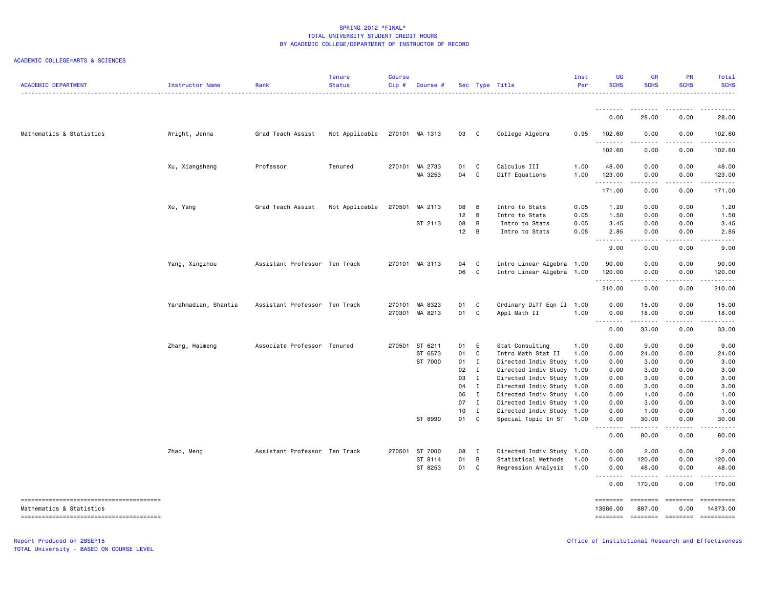### ACADEMIC COLLEGE=ARTS & SCIENCES

| <b>ACADEMIC DEPARTMENT</b> | Instructor Name      | Rank                          | <b>Tenure</b><br><b>Status</b> | <b>Course</b><br>$Cip$ # | <b>Course #</b> |          |                              | Sec Type Title                                         | Inst<br>Per | <b>UG</b><br><b>SCHS</b>                                                                                                                                                                                                                                                                                                                                                                                                                                                                       | <b>GR</b><br><b>SCHS</b>                                                                                                                                     | <b>PR</b><br><b>SCHS</b>                                                                                                                                                                                                                                                  | Total<br><b>SCHS</b>   |
|----------------------------|----------------------|-------------------------------|--------------------------------|--------------------------|-----------------|----------|------------------------------|--------------------------------------------------------|-------------|------------------------------------------------------------------------------------------------------------------------------------------------------------------------------------------------------------------------------------------------------------------------------------------------------------------------------------------------------------------------------------------------------------------------------------------------------------------------------------------------|--------------------------------------------------------------------------------------------------------------------------------------------------------------|---------------------------------------------------------------------------------------------------------------------------------------------------------------------------------------------------------------------------------------------------------------------------|------------------------|
|                            |                      |                               |                                |                          |                 |          |                              |                                                        |             | <u>--------</u>                                                                                                                                                                                                                                                                                                                                                                                                                                                                                | <u>.</u>                                                                                                                                                     | .                                                                                                                                                                                                                                                                         | .                      |
|                            |                      |                               |                                |                          |                 |          |                              |                                                        |             | 0.00                                                                                                                                                                                                                                                                                                                                                                                                                                                                                           | 28.00                                                                                                                                                        | 0.00                                                                                                                                                                                                                                                                      | 28.00                  |
| Mathematics & Statistics   | Wright, Jenna        | Grad Teach Assist             | Not Applicable                 |                          | 270101 MA 1313  | 03 C     |                              | College Algebra                                        | 0.95        | 102.60<br>.                                                                                                                                                                                                                                                                                                                                                                                                                                                                                    | 0.00<br>.                                                                                                                                                    | 0.00<br>.                                                                                                                                                                                                                                                                 | 102.60<br>.            |
|                            |                      |                               |                                |                          |                 |          |                              |                                                        |             | 102.60                                                                                                                                                                                                                                                                                                                                                                                                                                                                                         | 0.00                                                                                                                                                         | 0.00                                                                                                                                                                                                                                                                      | 102.60                 |
|                            | Xu, Xiangsheng       | Professor                     | Tenured                        |                          | 270101 MA 2733  | 01       | C                            | Calculus III                                           | 1.00        | 48.00                                                                                                                                                                                                                                                                                                                                                                                                                                                                                          | 0.00                                                                                                                                                         | 0.00                                                                                                                                                                                                                                                                      | 48.00                  |
|                            |                      |                               |                                |                          | MA 3253         | 04 C     |                              | Diff Equations                                         | 1.00        | 123.00<br>. <b>.</b>                                                                                                                                                                                                                                                                                                                                                                                                                                                                           | 0.00<br>$\frac{1}{2} \left( \frac{1}{2} \right) \left( \frac{1}{2} \right) \left( \frac{1}{2} \right) \left( \frac{1}{2} \right) \left( \frac{1}{2} \right)$ | 0.00<br>.                                                                                                                                                                                                                                                                 | 123.00<br>.            |
|                            |                      |                               |                                |                          |                 |          |                              |                                                        |             | 171.00                                                                                                                                                                                                                                                                                                                                                                                                                                                                                         | 0.00                                                                                                                                                         | 0.00                                                                                                                                                                                                                                                                      | 171.00                 |
|                            | Xu, Yang             | Grad Teach Assist             | Not Applicable                 | 270501                   | MA 2113         | 08       | B                            | Intro to Stats                                         | 0.05        | 1.20                                                                                                                                                                                                                                                                                                                                                                                                                                                                                           | 0.00                                                                                                                                                         | 0.00                                                                                                                                                                                                                                                                      | 1.20                   |
|                            |                      |                               |                                |                          |                 | 12       | B                            | Intro to Stats                                         | 0.05        | 1.50                                                                                                                                                                                                                                                                                                                                                                                                                                                                                           | 0.00                                                                                                                                                         | 0.00                                                                                                                                                                                                                                                                      | 1.50                   |
|                            |                      |                               |                                |                          | ST 2113         | 08       | B                            | Intro to Stats                                         | 0.05        | 3.45                                                                                                                                                                                                                                                                                                                                                                                                                                                                                           | 0.00                                                                                                                                                         | 0.00                                                                                                                                                                                                                                                                      | 3.45                   |
|                            |                      |                               |                                |                          |                 | 12       | B                            | Intro to Stats                                         | 0.05        | 2.85<br>$\sim$ $\sim$ $\sim$<br>$- - - - -$                                                                                                                                                                                                                                                                                                                                                                                                                                                    | 0.00                                                                                                                                                         | 0.00                                                                                                                                                                                                                                                                      | 2.85                   |
|                            |                      |                               |                                |                          |                 |          |                              |                                                        |             | 9.00                                                                                                                                                                                                                                                                                                                                                                                                                                                                                           | 0.00                                                                                                                                                         | 0.00                                                                                                                                                                                                                                                                      | 9.00                   |
|                            | Yang, Xingzhou       | Assistant Professor Ten Track |                                |                          | 270101 MA 3113  | 04       | C                            | Intro Linear Algebra 1.00                              |             | 90.00                                                                                                                                                                                                                                                                                                                                                                                                                                                                                          | 0.00                                                                                                                                                         | 0.00                                                                                                                                                                                                                                                                      | 90.00                  |
|                            |                      |                               |                                |                          |                 | 06       | C                            | Intro Linear Algebra 1.00                              |             | 120.00                                                                                                                                                                                                                                                                                                                                                                                                                                                                                         | 0.00                                                                                                                                                         | 0.00                                                                                                                                                                                                                                                                      | 120.00                 |
|                            |                      |                               |                                |                          |                 |          |                              |                                                        |             | .<br>210.00                                                                                                                                                                                                                                                                                                                                                                                                                                                                                    | .<br>0.00                                                                                                                                                    | $  -$<br>0.00                                                                                                                                                                                                                                                             | .<br>210.00            |
|                            | Yarahmadian, Shantia | Assistant Professor Ten Track |                                |                          | 270101 MA 8323  | 01       | C                            | Ordinary Diff Eqn II 1.00                              |             | 0.00                                                                                                                                                                                                                                                                                                                                                                                                                                                                                           | 15.00                                                                                                                                                        | 0.00                                                                                                                                                                                                                                                                      | 15.00                  |
|                            |                      |                               |                                |                          | 270301 MA 8213  | 01 C     |                              | Appl Math II                                           | 1.00        | 0.00                                                                                                                                                                                                                                                                                                                                                                                                                                                                                           | 18.00                                                                                                                                                        | 0.00                                                                                                                                                                                                                                                                      | 18.00                  |
|                            |                      |                               |                                |                          |                 |          |                              |                                                        |             | $\begin{array}{cccccccccccccc} \multicolumn{2}{c}{} & \multicolumn{2}{c}{} & \multicolumn{2}{c}{} & \multicolumn{2}{c}{} & \multicolumn{2}{c}{} & \multicolumn{2}{c}{} & \multicolumn{2}{c}{} & \multicolumn{2}{c}{} & \multicolumn{2}{c}{} & \multicolumn{2}{c}{} & \multicolumn{2}{c}{} & \multicolumn{2}{c}{} & \multicolumn{2}{c}{} & \multicolumn{2}{c}{} & \multicolumn{2}{c}{} & \multicolumn{2}{c}{} & \multicolumn{2}{c}{} & \multicolumn{2}{c}{} & \multicolumn{2}{c}{} & \$<br>0.00 | .<br>33.00                                                                                                                                                   | .<br>0.00                                                                                                                                                                                                                                                                 | ------<br>33.00        |
|                            | Zhang, Haimeng       | Associate Professor Tenured   |                                | 270501                   | ST 6211         | 01       | E                            | Stat Consulting                                        | 1.00        | 0.00                                                                                                                                                                                                                                                                                                                                                                                                                                                                                           | 9.00                                                                                                                                                         | 0.00                                                                                                                                                                                                                                                                      | 9.00                   |
|                            |                      |                               |                                |                          | ST 6573         | 01       | C                            | Intro Math Stat II                                     | 1.00        | 0.00                                                                                                                                                                                                                                                                                                                                                                                                                                                                                           | 24.00                                                                                                                                                        | 0.00                                                                                                                                                                                                                                                                      | 24.00                  |
|                            |                      |                               |                                |                          | ST 7000         | 01       | $\mathbf{I}$                 | Directed Indiv Study 1.00                              |             | 0.00                                                                                                                                                                                                                                                                                                                                                                                                                                                                                           | 3.00                                                                                                                                                         | 0.00                                                                                                                                                                                                                                                                      | 3.00                   |
|                            |                      |                               |                                |                          |                 | 02       | $\mathbf{I}$                 | Directed Indiv Study 1.00                              |             | 0.00                                                                                                                                                                                                                                                                                                                                                                                                                                                                                           | 3.00                                                                                                                                                         | 0.00                                                                                                                                                                                                                                                                      | 3.00                   |
|                            |                      |                               |                                |                          |                 | 03       | $\mathbf I$                  | Directed Indiv Study 1.00                              |             | 0.00                                                                                                                                                                                                                                                                                                                                                                                                                                                                                           | 3.00                                                                                                                                                         | 0.00                                                                                                                                                                                                                                                                      | 3.00                   |
|                            |                      |                               |                                |                          |                 | 04       | $\mathbf{I}$                 | Directed Indiv Study 1.00                              |             | 0.00                                                                                                                                                                                                                                                                                                                                                                                                                                                                                           | 3.00                                                                                                                                                         | 0.00                                                                                                                                                                                                                                                                      | 3.00                   |
|                            |                      |                               |                                |                          |                 | 06<br>07 | $\mathbf{I}$<br>$\mathbf{I}$ | Directed Indiv Study 1.00<br>Directed Indiv Study 1.00 |             | 0.00<br>0.00                                                                                                                                                                                                                                                                                                                                                                                                                                                                                   | 1.00<br>3.00                                                                                                                                                 | 0.00<br>0.00                                                                                                                                                                                                                                                              | 1.00<br>3.00           |
|                            |                      |                               |                                |                          |                 | 10       | $\mathbf{I}$                 | Directed Indiv Study 1.00                              |             | 0.00                                                                                                                                                                                                                                                                                                                                                                                                                                                                                           | 1.00                                                                                                                                                         | 0.00                                                                                                                                                                                                                                                                      | 1.00                   |
|                            |                      |                               |                                |                          | ST 8990         | 01       | C                            | Special Topic In ST 1.00                               |             | 0.00                                                                                                                                                                                                                                                                                                                                                                                                                                                                                           | 30.00                                                                                                                                                        | 0.00                                                                                                                                                                                                                                                                      | 30.00                  |
|                            |                      |                               |                                |                          |                 |          |                              |                                                        |             | .<br>0.00                                                                                                                                                                                                                                                                                                                                                                                                                                                                                      | $- - - - -$<br>80.00                                                                                                                                         | .<br>0.00                                                                                                                                                                                                                                                                 | .<br>80.00             |
|                            | Zhao, Meng           | Assistant Professor Ten Track |                                |                          | 270501 ST 7000  | 08 I     |                              | Directed Indiv Study 1.00                              |             | 0.00                                                                                                                                                                                                                                                                                                                                                                                                                                                                                           | 2.00                                                                                                                                                         | 0.00                                                                                                                                                                                                                                                                      | 2.00                   |
|                            |                      |                               |                                |                          | ST 8114         | 01       | B                            | Statistical Methods                                    | 1.00        | 0.00                                                                                                                                                                                                                                                                                                                                                                                                                                                                                           | 120.00                                                                                                                                                       | 0.00                                                                                                                                                                                                                                                                      | 120.00                 |
|                            |                      |                               |                                |                          | ST 8253         | 01       | C                            | Regression Analysis                                    | 1.00        | 0.00<br>$\sim$ $\sim$ $\sim$<br>$\frac{1}{2} \left( \frac{1}{2} \right) \left( \frac{1}{2} \right) \left( \frac{1}{2} \right) \left( \frac{1}{2} \right) \left( \frac{1}{2} \right)$                                                                                                                                                                                                                                                                                                           | 48.00<br>.                                                                                                                                                   | 0.00<br><u>.</u>                                                                                                                                                                                                                                                          | 48.00<br>.             |
|                            |                      |                               |                                |                          |                 |          |                              |                                                        |             | 0.00                                                                                                                                                                                                                                                                                                                                                                                                                                                                                           | 170.00                                                                                                                                                       | 0.00                                                                                                                                                                                                                                                                      | 170.00                 |
| Mathematics & Statistics   |                      |                               |                                |                          |                 |          |                              |                                                        |             | ========<br>13986.00                                                                                                                                                                                                                                                                                                                                                                                                                                                                           | ========<br>887.00                                                                                                                                           | <b>EEEEEEE</b>                                                                                                                                                                                                                                                            | ==========<br>14873.00 |
|                            |                      |                               |                                |                          |                 |          |                              |                                                        |             | <b>EDEDEDER</b>                                                                                                                                                                                                                                                                                                                                                                                                                                                                                | <b>ESSESSES</b>                                                                                                                                              | 0.00<br>$\begin{array}{ccc}\n 2.555555567 & 2.555567 & 2.55567 & 2.55567 & 2.55567 & 2.55567 & 2.55567 & 2.55667 & 2.55667 & 2.55667 & 2.55667 & 2.55667 & 2.55667 & 2.55667 & 2.55667 & 2.55667 & 2.55667 & 2.55667 & 2.55667 & 2.55667 & 2.55667 & 2.55667 & 2.55667 &$ |                        |

TOTAL University - BASED ON COURSE LEVEL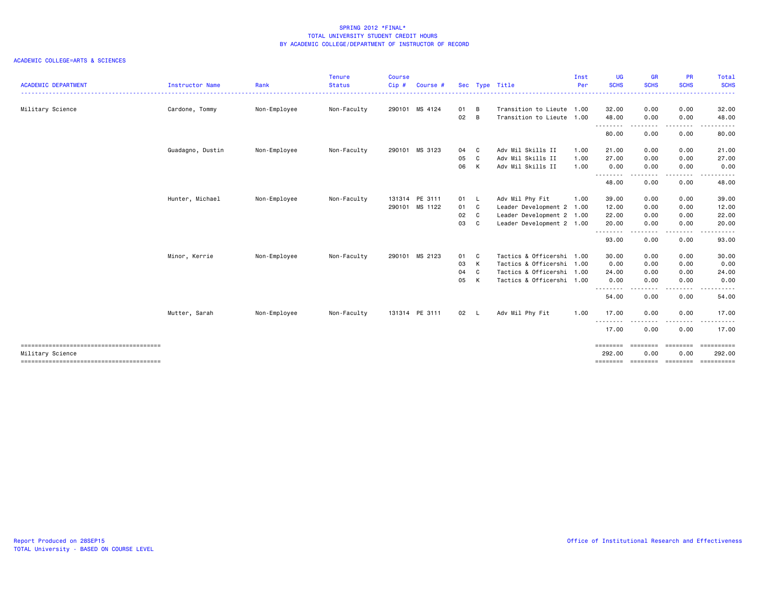|                                                            |                  |              | <b>Tenure</b> | <b>Course</b> |                |      |     |                           | Inst | UG                | <b>GR</b>   | <b>PR</b>                                                                                                                         | Total                                           |
|------------------------------------------------------------|------------------|--------------|---------------|---------------|----------------|------|-----|---------------------------|------|-------------------|-------------|-----------------------------------------------------------------------------------------------------------------------------------|-------------------------------------------------|
| <b>ACADEMIC DEPARTMENT</b>                                 | Instructor Name  | Rank         | <b>Status</b> | Cip#          | Course #       |      |     | Sec Type Title            | Per  | <b>SCHS</b>       | <b>SCHS</b> | <b>SCHS</b>                                                                                                                       | <b>SCHS</b><br>. <b>.</b>                       |
| Military Science                                           | Cardone, Tommy   | Non-Employee | Non-Faculty   |               | 290101 MS 4124 | 01   | B   | Transition to Lieute 1.00 |      | 32.00             | 0.00        | 0.00                                                                                                                              | 32.00                                           |
|                                                            |                  |              |               |               |                | 02   | B   | Transition to Lieute 1.00 |      | 48.00             | 0.00        | 0.00                                                                                                                              | 48.00                                           |
|                                                            |                  |              |               |               |                |      |     |                           |      | .<br>80.00        | 0.00        | ----<br>0.00                                                                                                                      | 80.00                                           |
|                                                            | Guadagno, Dustin | Non-Employee | Non-Faculty   |               | 290101 MS 3123 | 04   | C   | Adv Mil Skills II         | 1.00 | 21.00             | 0.00        | 0.00                                                                                                                              | 21.00                                           |
|                                                            |                  |              |               |               |                | 05   | C   | Adv Mil Skills II         | 1.00 | 27.00             | 0.00        | 0.00                                                                                                                              | 27.00                                           |
|                                                            |                  |              |               |               |                | 06   | К   | Adv Mil Skills II         | 1.00 | 0.00<br>.         | 0.00        | 0.00<br>$\frac{1}{2} \left( \frac{1}{2} \right) \left( \frac{1}{2} \right) \left( \frac{1}{2} \right) \left( \frac{1}{2} \right)$ | 0.00                                            |
|                                                            |                  |              |               |               |                |      |     |                           |      | 48.00             | 0.00        | 0.00                                                                                                                              | 48.00                                           |
|                                                            | Hunter, Michael  | Non-Employee | Non-Faculty   |               | 131314 PE 3111 | 01 L |     | Adv Mil Phy Fit           | 1.00 | 39.00             | 0.00        | 0.00                                                                                                                              | 39.00                                           |
|                                                            |                  |              |               |               | 290101 MS 1122 | 01 C |     | Leader Development 2 1.00 |      | 12.00             | 0.00        | 0.00                                                                                                                              | 12.00                                           |
|                                                            |                  |              |               |               |                | 02   | C.  | Leader Development 2 1.00 |      | 22.00             | 0.00        | 0.00                                                                                                                              | 22.00                                           |
|                                                            |                  |              |               |               |                | 03   | C.  | Leader Development 2 1.00 |      | 20.00             | 0.00        | 0.00                                                                                                                              | 20.00                                           |
|                                                            |                  |              |               |               |                |      |     |                           |      | .<br>93.00        | 0.00        | 0.00                                                                                                                              | 93.00                                           |
|                                                            | Minor, Kerrie    | Non-Employee | Non-Faculty   |               | 290101 MS 2123 | 01   | - C | Tactics & Officershi 1.00 |      | 30.00             | 0.00        | 0.00                                                                                                                              | 30.00                                           |
|                                                            |                  |              |               |               |                | 03   | к   | Tactics & Officershi 1.00 |      | 0.00              | 0.00        | 0.00                                                                                                                              | 0.00                                            |
|                                                            |                  |              |               |               |                | 04   | C.  | Tactics & Officershi 1.00 |      | 24.00             | 0.00        | 0.00                                                                                                                              | 24.00                                           |
|                                                            |                  |              |               |               |                | 05   | к   | Tactics & Officershi 1.00 |      | 0.00              | 0.00        | 0.00                                                                                                                              | 0.00                                            |
|                                                            |                  |              |               |               |                |      |     |                           |      | --------<br>54.00 | 0.00        | - - - -<br>0.00                                                                                                                   | 54.00                                           |
|                                                            | Mutter, Sarah    | Non-Employee | Non-Faculty   |               | 131314 PE 3111 | 02 L |     | Adv Mil Phy Fit           | 1.00 | 17.00             | 0.00        | 0.00                                                                                                                              | 17.00                                           |
|                                                            |                  |              |               |               |                |      |     |                           |      | $\cdots$<br>17.00 | 0.00        | 0.00                                                                                                                              | 17.00                                           |
|                                                            |                  |              |               |               |                |      |     |                           |      | ========          | ========    | ========                                                                                                                          | ==========                                      |
| Military Science<br>-------------------------------------- |                  |              |               |               |                |      |     |                           |      | 292.00            | 0.00        | 0.00                                                                                                                              | 292.00<br>-------- -------- -------- ---------- |
|                                                            |                  |              |               |               |                |      |     |                           |      |                   |             |                                                                                                                                   |                                                 |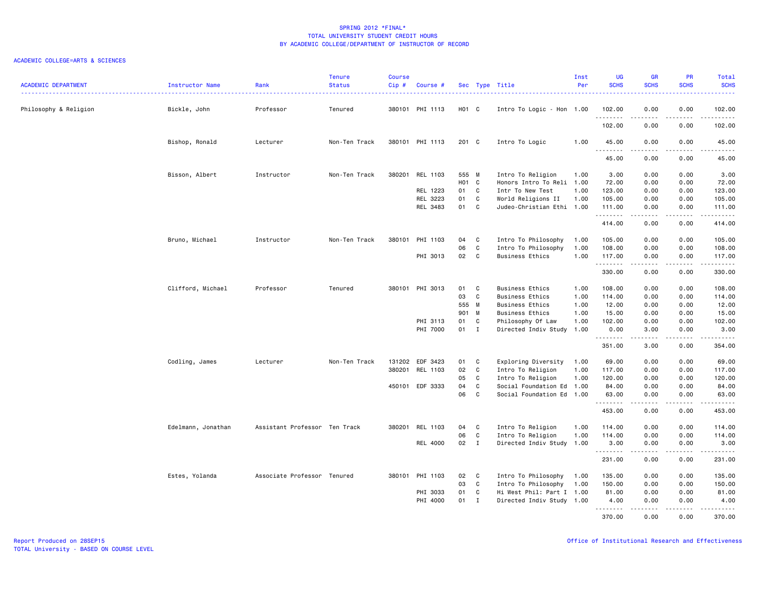| <b>ACADEMIC DEPARTMENT</b> | Instructor Name    | Rank                          | <b>Tenure</b><br><b>Status</b> | <b>Course</b><br>Cip# | Course #        |                   |              | Sec Type Title            | Inst<br>Per | UG<br><b>SCHS</b>                         | <b>GR</b><br><b>SCHS</b>            | <b>PR</b><br><b>SCHS</b>                                                                                                          | Total<br><b>SCHS</b>                                                                                                                |
|----------------------------|--------------------|-------------------------------|--------------------------------|-----------------------|-----------------|-------------------|--------------|---------------------------|-------------|-------------------------------------------|-------------------------------------|-----------------------------------------------------------------------------------------------------------------------------------|-------------------------------------------------------------------------------------------------------------------------------------|
| Philosophy & Religion      | Bickle, John       | Professor                     | Tenured                        |                       | 380101 PHI 1113 | H <sub>01</sub> C |              | Intro To Logic - Hon 1.00 |             | 102.00                                    | 0.00                                | 0.00                                                                                                                              | $\frac{1}{2} \left( \frac{1}{2} \right) \left( \frac{1}{2} \right) \left( \frac{1}{2} \right) \left( \frac{1}{2} \right)$<br>102.00 |
|                            |                    |                               |                                |                       |                 |                   |              |                           |             | .<br>102.00                               | .<br>0.00                           | ----<br>0.00                                                                                                                      | .<br>102.00                                                                                                                         |
|                            | Bishop, Ronald     | Lecturer                      | Non-Ten Track                  |                       | 380101 PHI 1113 | 201 C             |              | Intro To Logic            | 1.00        | 45.00                                     | 0.00                                | 0.00                                                                                                                              | 45.00                                                                                                                               |
|                            |                    |                               |                                |                       |                 |                   |              |                           |             | $\omega$ is $\omega$ in $\omega$<br>45.00 | $\sim$ $\sim$ $\sim$ $\sim$<br>0.00 | 0.00                                                                                                                              | د د د د د<br>45.00                                                                                                                  |
|                            | Bisson, Albert     | Instructor                    | Non-Ten Track                  |                       | 380201 REL 1103 | 555 M             |              | Intro To Religion         | 1.00        | 3.00                                      | 0.00                                | 0.00                                                                                                                              | 3.00                                                                                                                                |
|                            |                    |                               |                                |                       |                 | HO1 C             |              | Honors Intro To Reli 1.00 |             | 72.00                                     | 0.00                                | 0.00                                                                                                                              | 72.00                                                                                                                               |
|                            |                    |                               |                                |                       | REL 1223        | 01                | $\mathbf{C}$ | Intr To New Test          | 1.00        | 123.00                                    | 0.00                                | 0.00                                                                                                                              | 123.00                                                                                                                              |
|                            |                    |                               |                                |                       | REL 3223        | 01                | C            | World Religions II        | 1.00        | 105.00                                    | 0.00                                | 0.00                                                                                                                              | 105.00                                                                                                                              |
|                            |                    |                               |                                |                       | REL 3483        | 01                | $\mathbf{C}$ | Judeo-Christian Ethi      | 1.00        | 111.00<br>.                               | 0.00<br>.                           | 0.00<br>.                                                                                                                         | 111.00<br>.                                                                                                                         |
|                            |                    |                               |                                |                       |                 |                   |              |                           |             | 414.00                                    | 0.00                                | 0.00                                                                                                                              | 414.00                                                                                                                              |
|                            | Bruno, Michael     | Instructor                    | Non-Ten Track                  | 380101                | PHI 1103        | 04                | $\mathbf{C}$ | Intro To Philosophy       | 1.00        | 105.00                                    | 0.00                                | 0.00                                                                                                                              | 105.00                                                                                                                              |
|                            |                    |                               |                                |                       |                 | 06                | C            | Intro To Philosophy       | 1.00        | 108.00                                    | 0.00                                | 0.00                                                                                                                              | 108.00                                                                                                                              |
|                            |                    |                               |                                |                       | PHI 3013        | 02                | $\mathbf{C}$ | <b>Business Ethics</b>    | 1.00        | 117.00<br>.                               | 0.00<br>.                           | 0.00<br>.                                                                                                                         | 117.00<br>$\begin{array}{cccccccccc} \bullet & \bullet & \bullet & \bullet & \bullet & \bullet & \bullet & \bullet \end{array}$     |
|                            |                    |                               |                                |                       |                 |                   |              |                           |             | 330.00                                    | 0.00                                | 0.00                                                                                                                              | 330.00                                                                                                                              |
|                            | Clifford, Michael  | Professor                     | Tenured                        |                       | 380101 PHI 3013 | 01                | $\mathbf{C}$ | <b>Business Ethics</b>    | 1.00        | 108.00                                    | 0.00                                | 0.00                                                                                                                              | 108.00                                                                                                                              |
|                            |                    |                               |                                |                       |                 | 03                | $\mathbf{C}$ | <b>Business Ethics</b>    | 1.00        | 114.00                                    | 0.00                                | 0.00                                                                                                                              | 114.00                                                                                                                              |
|                            |                    |                               |                                |                       |                 | 555 M             |              | <b>Business Ethics</b>    | 1.00        | 12.00                                     | 0.00                                | 0.00                                                                                                                              | 12.00                                                                                                                               |
|                            |                    |                               |                                |                       |                 | 901 M             |              | <b>Business Ethics</b>    | 1.00        | 15.00                                     | 0.00                                | 0.00                                                                                                                              | 15.00                                                                                                                               |
|                            |                    |                               |                                |                       | PHI 3113        | 01                | C            | Philosophy Of Law         | 1.00        | 102.00                                    | 0.00                                | 0.00                                                                                                                              | 102.00                                                                                                                              |
|                            |                    |                               |                                |                       | PHI 7000        | 01                | $\mathbf{I}$ | Directed Indiv Study      | 1.00        | 0.00<br>.                                 | 3.00<br>.                           | 0.00<br>.                                                                                                                         | 3.00<br>.                                                                                                                           |
|                            |                    |                               |                                |                       |                 |                   |              |                           |             | 351.00                                    | 3.00                                | 0.00                                                                                                                              | 354.00                                                                                                                              |
|                            | Codling, James     | Lecturer                      | Non-Ten Track                  |                       | 131202 EDF 3423 | 01                | $\mathbf{C}$ | Exploring Diversity       | 1.00        | 69.00                                     | 0.00                                | 0.00                                                                                                                              | 69.00                                                                                                                               |
|                            |                    |                               |                                | 380201                | REL 1103        | 02                | $\mathbf{C}$ | Intro To Religion         | 1.00        | 117.00                                    | 0.00                                | 0.00                                                                                                                              | 117.00                                                                                                                              |
|                            |                    |                               |                                |                       |                 | 05                | C            | Intro To Religion         | 1.00        | 120.00                                    | 0.00                                | 0.00                                                                                                                              | 120.00                                                                                                                              |
|                            |                    |                               |                                |                       | 450101 EDF 3333 | 04                | C            | Social Foundation Ed 1.00 |             | 84.00                                     | 0.00                                | 0.00                                                                                                                              | 84.00                                                                                                                               |
|                            |                    |                               |                                |                       |                 | 06                | C            | Social Foundation Ed 1.00 |             | 63.00<br>.                                | 0.00                                | 0.00                                                                                                                              | 63.00<br>.                                                                                                                          |
|                            |                    |                               |                                |                       |                 |                   |              |                           |             | 453.00                                    | 0.00                                | 0.00                                                                                                                              | 453.00                                                                                                                              |
|                            | Edelmann, Jonathan | Assistant Professor Ten Track |                                |                       | 380201 REL 1103 | 04                | $\mathbf{C}$ | Intro To Religion         | 1.00        | 114.00                                    | 0.00                                | 0.00                                                                                                                              | 114.00                                                                                                                              |
|                            |                    |                               |                                |                       |                 | 06                | C            | Intro To Religion         | 1.00        | 114.00                                    | 0.00                                | 0.00                                                                                                                              | 114.00                                                                                                                              |
|                            |                    |                               |                                |                       | REL 4000        | 02                | $\mathbf{I}$ | Directed Indiv Study 1.00 |             | 3.00<br>.                                 | 0.00<br>د د د د                     | 0.00<br>$\frac{1}{2} \left( \frac{1}{2} \right) \left( \frac{1}{2} \right) \left( \frac{1}{2} \right) \left( \frac{1}{2} \right)$ | 3.00<br>.                                                                                                                           |
|                            |                    |                               |                                |                       |                 |                   |              |                           |             | 231.00                                    | 0.00                                | 0.00                                                                                                                              | 231.00                                                                                                                              |
|                            | Estes, Yolanda     | Associate Professor Tenured   |                                |                       | 380101 PHI 1103 | 02                | $\mathbf{C}$ | Intro To Philosophy       | 1.00        | 135.00                                    | 0.00                                | 0.00                                                                                                                              | 135.00                                                                                                                              |
|                            |                    |                               |                                |                       |                 | 03                | C            | Intro To Philosophy       | 1.00        | 150.00                                    | 0.00                                | 0.00                                                                                                                              | 150.00                                                                                                                              |
|                            |                    |                               |                                |                       | PHI 3033        | 01                | C            | Hi West Phil: Part I 1.00 |             | 81.00                                     | 0.00                                | 0.00                                                                                                                              | 81.00                                                                                                                               |
|                            |                    |                               |                                |                       | PHI 4000        | 01                | $\mathbf{I}$ | Directed Indiv Study 1.00 |             | 4.00<br>.                                 | 0.00<br>.                           | 0.00<br>$- - - - -$                                                                                                               | 4.00<br>.                                                                                                                           |
|                            |                    |                               |                                |                       |                 |                   |              |                           |             | 370.00                                    | 0.00                                | 0.00                                                                                                                              | 370.00                                                                                                                              |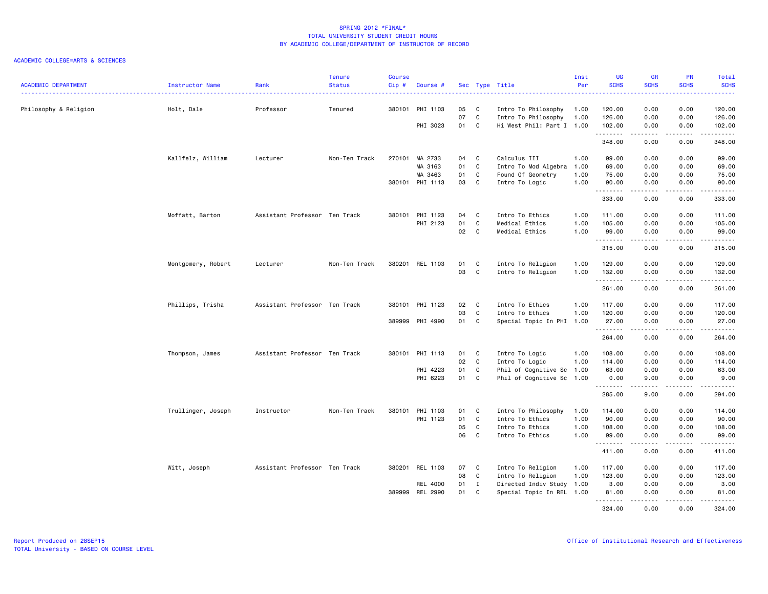|                            |                    |                               | <b>Tenure</b> | <b>Course</b> |                 |    |              |                           | Inst | UG          | <b>GR</b>        | PR              | Total       |
|----------------------------|--------------------|-------------------------------|---------------|---------------|-----------------|----|--------------|---------------------------|------|-------------|------------------|-----------------|-------------|
| <b>ACADEMIC DEPARTMENT</b> | Instructor Name    | Rank                          | <b>Status</b> | Cip#          | Course #        |    |              | Sec Type Title            | Per  | <b>SCHS</b> | <b>SCHS</b>      | <b>SCHS</b>     | <b>SCHS</b> |
|                            |                    |                               |               |               |                 |    |              |                           |      |             |                  |                 |             |
| Philosophy & Religion      | Holt, Dale         | Professor                     | Tenured       | 380101        | PHI 1103        | 05 | C            | Intro To Philosophy       | 1.00 | 120.00      | 0.00             | 0.00            | 120.00      |
|                            |                    |                               |               |               |                 | 07 | C            | Intro To Philosophy       | 1.00 | 126.00      | 0.00             | 0.00            | 126.00      |
|                            |                    |                               |               |               | PHI 3023        | 01 | - C          | Hi West Phil: Part I 1.00 |      | 102.00      | 0.00             | 0.00            | 102.00      |
|                            |                    |                               |               |               |                 |    |              |                           |      | .           | .                | .               | د د د د د د |
|                            |                    |                               |               |               |                 |    |              |                           |      | 348.00      | 0.00             | 0.00            | 348.00      |
|                            | Kallfelz, William  | Lecturer                      | Non-Ten Track | 270101        | MA 2733         | 04 | C            | Calculus III              | 1.00 | 99.00       | 0.00             | 0.00            | 99.00       |
|                            |                    |                               |               |               | MA 3163         | 01 | C            | Intro To Mod Algebra      | 1.00 | 69.00       | 0.00             | 0.00            | 69.00       |
|                            |                    |                               |               |               | MA 3463         | 01 | C            | Found Of Geometry         | 1.00 | 75.00       | 0.00             | 0.00            | 75.00       |
|                            |                    |                               |               |               | 380101 PHI 1113 | 03 | $\mathbf{C}$ | Intro To Logic            | 1.00 | 90.00       | 0.00             | 0.00            | 90.00       |
|                            |                    |                               |               |               |                 |    |              |                           |      | .           | $- - - - -$      | .               | .           |
|                            |                    |                               |               |               |                 |    |              |                           |      | 333.00      | 0.00             | 0.00            | 333.00      |
|                            | Moffatt, Barton    | Assistant Professor Ten Track |               | 380101        | PHI 1123        | 04 | C            | Intro To Ethics           | 1.00 | 111.00      | 0.00             | 0.00            | 111.00      |
|                            |                    |                               |               |               | PHI 2123        | 01 | C            | Medical Ethics            | 1.00 | 105.00      | 0.00             | 0.00            | 105.00      |
|                            |                    |                               |               |               |                 | 02 | C            | Medical Ethics            | 1.00 | 99.00       | 0.00             | 0.00            | 99.00       |
|                            |                    |                               |               |               |                 |    |              |                           |      | .           | .                | .               | .           |
|                            |                    |                               |               |               |                 |    |              |                           |      | 315.00      | 0.00             | 0.00            | 315.00      |
|                            | Montgomery, Robert | Lecturer                      | Non-Ten Track | 380201        | REL 1103        | 01 | C            | Intro To Religion         | 1.00 | 129.00      | 0.00             | 0.00            | 129.00      |
|                            |                    |                               |               |               |                 | 03 | C            |                           | 1.00 |             |                  | 0.00            | 132.00      |
|                            |                    |                               |               |               |                 |    |              | Intro To Religion         |      | 132.00<br>. | 0.00<br>.        | .               | <b></b>     |
|                            |                    |                               |               |               |                 |    |              |                           |      | 261.00      | 0.00             | 0.00            | 261.00      |
|                            |                    |                               |               |               |                 |    |              |                           |      |             |                  |                 |             |
|                            | Phillips, Trisha   | Assistant Professor Ten Track |               | 380101        | PHI 1123        | 02 | C            | Intro To Ethics           | 1.00 | 117.00      | 0.00             | 0.00            | 117.00      |
|                            |                    |                               |               |               |                 | 03 | C            | Intro To Ethics           | 1.00 | 120.00      | 0.00             | 0.00            | 120.00      |
|                            |                    |                               |               |               | 389999 PHI 4990 | 01 | C            | Special Topic In PHI      | 1.00 | 27.00<br>.  | 0.00<br><u>.</u> | 0.00<br>.       | 27.00<br>.  |
|                            |                    |                               |               |               |                 |    |              |                           |      | 264.00      | 0.00             | 0.00            | 264.00      |
|                            |                    |                               |               |               |                 |    |              |                           |      |             |                  |                 |             |
|                            | Thompson, James    | Assistant Professor Ten Track |               | 380101        | PHI 1113        | 01 | C.           | Intro To Logic            | 1.00 | 108.00      | 0.00             | 0.00            | 108.00      |
|                            |                    |                               |               |               |                 | 02 | C            | Intro To Logic            | 1.00 | 114.00      | 0.00             | 0.00            | 114.00      |
|                            |                    |                               |               |               | PHI 4223        | 01 | C            | Phil of Cognitive Sc 1.00 |      | 63.00       | 0.00             | 0.00            | 63.00       |
|                            |                    |                               |               |               | PHI 6223        | 01 | C            | Phil of Cognitive Sc 1.00 |      | 0.00        | 9.00             | 0.00            | 9.00        |
|                            |                    |                               |               |               |                 |    |              |                           |      | .<br>285.00 | .<br>9.00        | .<br>0.00       | .<br>294.00 |
|                            | Trullinger, Joseph | Instructor                    | Non-Ten Track | 380101        | PHI 1103        | 01 |              | Intro To Philosophy       | 1.00 | 114.00      |                  |                 |             |
|                            |                    |                               |               |               |                 |    | C            |                           |      |             | 0.00             | 0.00            | 114.00      |
|                            |                    |                               |               |               | PHI 1123        | 01 | C            | Intro To Ethics           | 1.00 | 90.00       | 0.00             | 0.00            | 90.00       |
|                            |                    |                               |               |               |                 | 05 | C            | Intro To Ethics           | 1.00 | 108.00      | 0.00             | 0.00            | 108.00      |
|                            |                    |                               |               |               |                 | 06 | C            | Intro To Ethics           | 1.00 | 99.00<br>.  | 0.00<br>.        | 0.00<br>د د د د | 99.00<br>.  |
|                            |                    |                               |               |               |                 |    |              |                           |      | 411.00      | 0.00             | 0.00            | 411.00      |
|                            | Witt, Joseph       | Assistant Professor Ten Track |               | 380201        | REL 1103        | 07 | C            | Intro To Religion         | 1.00 | 117.00      | 0.00             | 0.00            | 117.00      |
|                            |                    |                               |               |               |                 | 08 | C            | Intro To Religion         | 1.00 | 123.00      | 0.00             | 0.00            | 123.00      |
|                            |                    |                               |               |               | REL 4000        | 01 | $\mathbf{I}$ | Directed Indiv Study      | 1.00 | 3.00        | 0.00             | 0.00            | 3.00        |
|                            |                    |                               |               |               | 389999 REL 2990 | 01 | C            | Special Topic In REL 1.00 |      | 81.00       | 0.00             | 0.00            | 81.00       |
|                            |                    |                               |               |               |                 |    |              |                           |      | .           | .                | .               | .           |
|                            |                    |                               |               |               |                 |    |              |                           |      | 324.00      | 0.00             | 0.00            | 324.00      |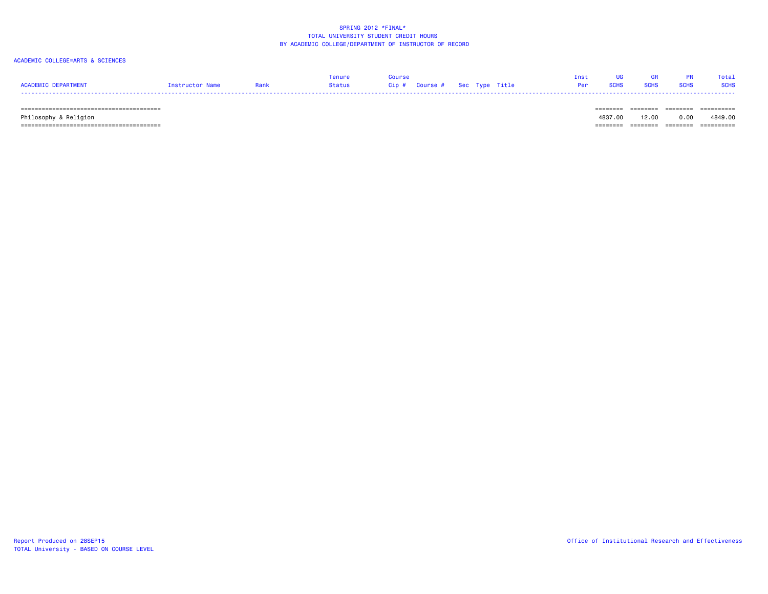### ACADEMIC COLLEGE=ARTS & SCIENCES

|                     |                 | Tenure | Course |                                     |  | Inst UG GR PR Total |  |
|---------------------|-----------------|--------|--------|-------------------------------------|--|---------------------|--|
| ACADEMIC DEPARTMENT | Instructor Name |        |        | <b>Per SCHS SCHS SCHS SCHS SCHS</b> |  |                     |  |
|                     |                 |        |        |                                     |  |                     |  |

======================================== ======== ======== ======== ==========

 Philosophy & Religion 4837.00 12.00 0.00 4849.00 ======================================== ======== ======== ======== ==========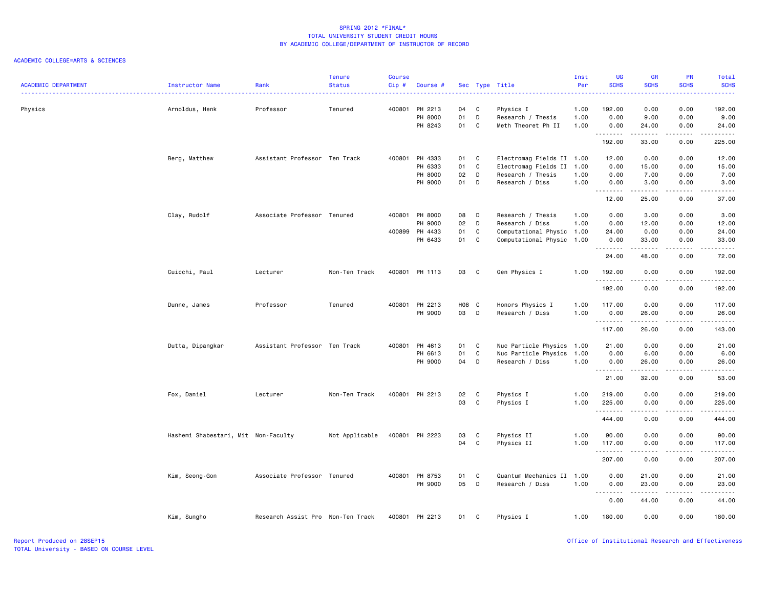| <b>ACADEMIC DEPARTMENT</b> | Instructor Name                     | Rank                              | <b>Tenure</b><br><b>Status</b> | <b>Course</b><br>Cip# | Course #       |       |              | Sec Type Title            | Inst<br>Per | <b>UG</b><br><b>SCHS</b>  | <b>GR</b><br><b>SCHS</b>                                                                                                                                      | PR<br><b>SCHS</b> | Total<br><b>SCHS</b> |
|----------------------------|-------------------------------------|-----------------------------------|--------------------------------|-----------------------|----------------|-------|--------------|---------------------------|-------------|---------------------------|---------------------------------------------------------------------------------------------------------------------------------------------------------------|-------------------|----------------------|
|                            |                                     |                                   |                                |                       |                |       |              |                           |             |                           |                                                                                                                                                               |                   |                      |
| Physics                    | Arnoldus, Henk                      | Professor                         | Tenured                        | 400801                | PH 2213        | 04    | C            | Physics I                 | 1.00        | 192.00                    | 0.00                                                                                                                                                          | 0.00              | 192.00               |
|                            |                                     |                                   |                                |                       | PH 8000        | 01    | D            | Research / Thesis         | 1.00        | 0.00                      | 9.00                                                                                                                                                          | 0.00              | 9.00                 |
|                            |                                     |                                   |                                |                       | PH 8243        | 01    | C            | Meth Theoret Ph II        | 1.00        | 0.00<br>.                 | 24.00<br>.                                                                                                                                                    | 0.00<br>.         | 24.00<br>.           |
|                            |                                     |                                   |                                |                       |                |       |              |                           |             | 192.00                    | 33.00                                                                                                                                                         | 0.00              | 225.00               |
|                            | Berg, Matthew                       | Assistant Professor Ten Track     |                                |                       | 400801 PH 4333 | 01    | C            | Electromag Fields II 1.00 |             | 12.00                     | 0.00                                                                                                                                                          | 0.00              | 12.00                |
|                            |                                     |                                   |                                |                       | PH 6333        | 01    | C            | Electromag Fields II 1.00 |             | 0.00                      | 15.00                                                                                                                                                         | 0.00              | 15.00                |
|                            |                                     |                                   |                                |                       | PH 8000        | 02    | D            | Research / Thesis         | 1.00        | 0.00                      | 7.00                                                                                                                                                          | 0.00              | 7.00                 |
|                            |                                     |                                   |                                |                       | PH 9000        | 01    | D            | Research / Diss           | 1.00        | 0.00<br>.                 | 3.00<br>22222                                                                                                                                                 | 0.00<br>الأعامات  | 3.00<br>-----        |
|                            |                                     |                                   |                                |                       |                |       |              |                           |             | 12.00                     | 25.00                                                                                                                                                         | 0.00              | 37.00                |
|                            | Clay, Rudolf                        | Associate Professor Tenured       |                                | 400801                | PH 8000        | 08    | D            | Research / Thesis         | 1.00        | 0.00                      | 3.00                                                                                                                                                          | 0.00              | 3.00                 |
|                            |                                     |                                   |                                |                       | PH 9000        | 02    | D            | Research / Diss           | 1.00        | 0.00                      | 12.00                                                                                                                                                         | 0.00              | 12.00                |
|                            |                                     |                                   |                                |                       | 400899 PH 4433 | 01    | $\mathbf c$  | Computational Physic 1.00 |             | 24.00                     | 0.00                                                                                                                                                          | 0.00              | 24.00                |
|                            |                                     |                                   |                                |                       | PH 6433        | 01    | $\mathbf{C}$ | Computational Physic 1.00 |             | 0.00<br>--------          | 33.00<br>$\frac{1}{2} \left( \frac{1}{2} \right) \left( \frac{1}{2} \right) \left( \frac{1}{2} \right) \left( \frac{1}{2} \right) \left( \frac{1}{2} \right)$ | 0.00<br>.         | 33.00<br>.           |
|                            |                                     |                                   |                                |                       |                |       |              |                           |             | 24.00                     | 48.00                                                                                                                                                         | 0.00              | 72.00                |
|                            | Cuicchi, Paul                       | Lecturer                          | Non-Ten Track                  |                       | 400801 PH 1113 | 03    | C            | Gen Physics I             | 1.00        | 192.00<br>- - - - - - - - | 0.00<br>-----                                                                                                                                                 | 0.00<br>.         | 192.00<br>.          |
|                            |                                     |                                   |                                |                       |                |       |              |                           |             | 192.00                    | 0.00                                                                                                                                                          | 0.00              | 192.00               |
|                            | Dunne, James                        | Professor                         | Tenured                        |                       | 400801 PH 2213 | H08 C |              | Honors Physics I          | 1.00        | 117.00                    | 0.00                                                                                                                                                          | 0.00              | 117.00               |
|                            |                                     |                                   |                                |                       | PH 9000        | 03    | D            | Research / Diss           | 1.00        | 0.00                      | 26.00                                                                                                                                                         | 0.00              | 26.00                |
|                            |                                     |                                   |                                |                       |                |       |              |                           |             | .<br>117.00               | .<br>26.00                                                                                                                                                    | .<br>0.00         | 143.00               |
|                            | Dutta, Dipangkar                    | Assistant Professor Ten Track     |                                |                       | 400801 PH 4613 | 01 C  |              | Nuc Particle Physics      | 1.00        | 21.00                     | 0.00                                                                                                                                                          | 0.00              | 21.00                |
|                            |                                     |                                   |                                |                       | PH 6613        | 01    | C            | Nuc Particle Physics      | 1.00        | 0.00                      | 6.00                                                                                                                                                          | 0.00              | 6.00                 |
|                            |                                     |                                   |                                |                       | PH 9000        | 04    | D            | Research / Diss           | 1.00        | 0.00<br><u>.</u>          | 26.00<br>$- - - - -$                                                                                                                                          | 0.00<br>.         | 26.00<br>.           |
|                            |                                     |                                   |                                |                       |                |       |              |                           |             | 21.00                     | 32.00                                                                                                                                                         | 0.00              | 53.00                |
|                            | Fox, Daniel                         | Lecturer                          | Non-Ten Track                  |                       | 400801 PH 2213 | 02    | C            | Physics I                 | 1.00        | 219.00                    | 0.00                                                                                                                                                          | 0.00              | 219.00               |
|                            |                                     |                                   |                                |                       |                | 03    | C            | Physics I                 | 1.00        | 225.00                    | 0.00                                                                                                                                                          | 0.00              | 225.00               |
|                            |                                     |                                   |                                |                       |                |       |              |                           |             | .<br>444.00               | .<br>0.00                                                                                                                                                     | .<br>0.00         | 444.00               |
|                            | Hashemi Shabestari, Mit Non-Faculty |                                   | Not Applicable                 |                       | 400801 PH 2223 | 03    | C            | Physics II                | 1.00        | 90.00                     | 0.00                                                                                                                                                          | 0.00              | 90.00                |
|                            |                                     |                                   |                                |                       |                | 04    | C            | Physics II                | 1.00        | 117.00                    | 0.00                                                                                                                                                          | 0.00              | 117.00               |
|                            |                                     |                                   |                                |                       |                |       |              |                           |             | .                         | المتماما                                                                                                                                                      | .                 |                      |
|                            |                                     |                                   |                                |                       |                |       |              |                           |             | 207.00                    | 0.00                                                                                                                                                          | 0.00              | 207.00               |
|                            | Kim, Seong-Gon                      | Associate Professor Tenured       |                                |                       | 400801 PH 8753 | 01    | C            | Quantum Mechanics II 1.00 |             | 0.00                      | 21.00                                                                                                                                                         | 0.00              | 21.00                |
|                            |                                     |                                   |                                |                       | PH 9000        | 05    | D            | Research / Diss           | 1.00        | 0.00<br>.                 | 23.00<br>.                                                                                                                                                    | 0.00<br>.         | 23.00<br>.           |
|                            |                                     |                                   |                                |                       |                |       |              |                           |             | 0.00                      | 44.00                                                                                                                                                         | 0.00              | 44.00                |
|                            | Kim, Sungho                         | Research Assist Pro Non-Ten Track |                                |                       | 400801 PH 2213 | 01    | C            | Physics I                 | 1.00        | 180.00                    | 0.00                                                                                                                                                          | 0.00              | 180.00               |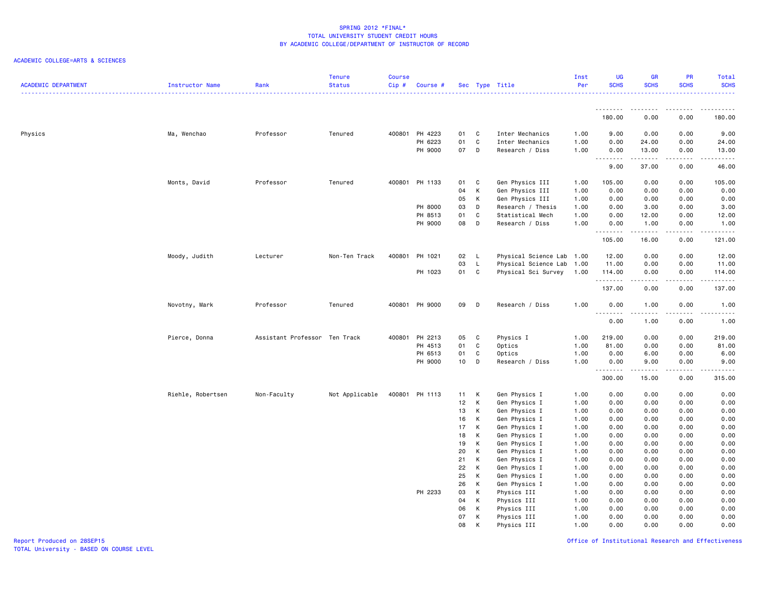| <b>ACADEMIC DEPARTMENT</b> | Instructor Name   | Rank                          | <b>Tenure</b><br><b>Status</b> | <b>Course</b><br>$Cip$ # | Course #       |          |              | Sec Type Title                 | Inst<br>Per  | <b>UG</b><br><b>SCHS</b> | <b>GR</b><br><b>SCHS</b> | PR<br><b>SCHS</b> | Total<br><b>SCHS</b>                        |
|----------------------------|-------------------|-------------------------------|--------------------------------|--------------------------|----------------|----------|--------------|--------------------------------|--------------|--------------------------|--------------------------|-------------------|---------------------------------------------|
|                            |                   |                               |                                |                          |                |          |              |                                |              |                          |                          |                   |                                             |
|                            |                   |                               |                                |                          |                |          |              |                                |              | 180.00                   | 0.00                     | 0.00              | 180.00                                      |
| Physics                    | Ma, Wenchao       | Professor                     | Tenured                        |                          | 400801 PH 4223 | 01       | C            | Inter Mechanics                | 1.00         | 9.00                     | 0.00                     | 0.00              | 9.00                                        |
|                            |                   |                               |                                |                          | PH 6223        | 01       | $\mathbf c$  | Inter Mechanics                | 1.00         | 0.00                     | 24.00                    | 0.00              | 24.00                                       |
|                            |                   |                               |                                |                          | PH 9000        | 07       | $\mathsf{D}$ | Research / Diss                | 1.00         | 0.00<br>.                | 13.00<br>.               | 0.00<br>.         | 13.00<br>$\sim$ $\sim$ $\sim$ $\sim$ $\sim$ |
|                            |                   |                               |                                |                          |                |          |              |                                |              | 9.00                     | 37.00                    | 0.00              | 46.00                                       |
|                            | Monts, David      | Professor                     | Tenured                        |                          | 400801 PH 1133 | 01       | C            | Gen Physics III                | 1.00         | 105.00                   | 0.00                     | 0.00              | 105.00                                      |
|                            |                   |                               |                                |                          |                | 04       | $\,$ K       | Gen Physics III                | 1.00         | 0.00                     | 0.00                     | 0.00              | 0.00                                        |
|                            |                   |                               |                                |                          |                | 05       | К            | Gen Physics III                | 1.00         | 0.00                     | 0.00                     | 0.00              | 0.00                                        |
|                            |                   |                               |                                |                          | PH 8000        | 03       | D            | Research / Thesis              | 1.00         | 0.00                     | 3.00                     | 0.00              | 3.00                                        |
|                            |                   |                               |                                |                          | PH 8513        | 01       | C            | Statistical Mech               | 1.00         | 0.00                     | 12.00                    | 0.00              | 12.00                                       |
|                            |                   |                               |                                |                          | PH 9000        | 08       | D            | Research / Diss                | 1.00         | 0.00<br>.                | 1.00<br>.                | 0.00<br>.         | 1.00<br>.                                   |
|                            |                   |                               |                                |                          |                |          |              |                                |              | 105.00                   | 16.00                    | 0.00              | 121.00                                      |
|                            | Moody, Judith     | Lecturer                      | Non-Ten Track                  | 400801                   | PH 1021        | 02       | L            | Physical Science Lab           | 1.00         | 12.00                    | 0.00                     | 0.00              | 12.00                                       |
|                            |                   |                               |                                |                          |                | 03       | $\mathsf L$  | Physical Science Lab           | 1.00         | 11.00                    | 0.00                     | 0.00              | 11.00                                       |
|                            |                   |                               |                                |                          | PH 1023        | 01       | $\mathbf{C}$ | Physical Sci Survey            | 1.00         | 114.00<br>.              | 0.00                     | 0.00<br>.         | 114.00<br>بالالالالا                        |
|                            |                   |                               |                                |                          |                |          |              |                                |              | 137.00                   | 0.00                     | 0.00              | 137.00                                      |
|                            | Novotny, Mark     | Professor                     | Tenured                        |                          | 400801 PH 9000 | 09       | D            | Research / Diss                | 1.00         | 0.00                     | 1.00                     | 0.00              | 1.00                                        |
|                            |                   |                               |                                |                          |                |          |              |                                |              | 0.00                     | 1.00                     | 0.00              | .<br>1.00                                   |
|                            | Pierce, Donna     | Assistant Professor Ten Track |                                |                          | 400801 PH 2213 | 05       | C            | Physics I                      | 1.00         | 219.00                   | 0.00                     | 0.00              | 219.00                                      |
|                            |                   |                               |                                |                          | PH 4513        | 01       | C            | Optics                         | 1.00         | 81.00                    | 0.00                     | 0.00              | 81.00                                       |
|                            |                   |                               |                                |                          | PH 6513        | 01       | $\mathbf c$  | Optics                         | 1.00         | 0.00                     | 6.00                     | 0.00              | 6.00                                        |
|                            |                   |                               |                                |                          | PH 9000        | 10       | D            | Research / Diss                | 1.00         | 0.00                     | 9.00                     | 0.00              | 9.00                                        |
|                            |                   |                               |                                |                          |                |          |              |                                |              | .<br>300.00              | .<br>15.00               | .<br>0.00         | .<br>315.00                                 |
|                            | Riehle, Robertsen | Non-Faculty                   | Not Applicable                 |                          | 400801 PH 1113 | 11       | K            | Gen Physics I                  | 1.00         | 0.00                     | 0.00                     | 0.00              | 0.00                                        |
|                            |                   |                               |                                |                          |                | 12       | K            | Gen Physics I                  | 1.00         | 0.00                     | 0.00                     | 0.00              | 0.00                                        |
|                            |                   |                               |                                |                          |                | 13       | K            | Gen Physics I                  | 1.00         | 0.00                     | 0.00                     | 0.00              | 0.00                                        |
|                            |                   |                               |                                |                          |                | 16       | К            | Gen Physics I                  | 1.00         | 0.00                     | 0.00                     | 0.00              | 0.00                                        |
|                            |                   |                               |                                |                          |                | 17       | К            | Gen Physics I                  | 1.00         | 0.00                     | 0.00                     | 0.00              | 0.00                                        |
|                            |                   |                               |                                |                          |                | 18       | К            | Gen Physics I                  | 1.00         | 0.00                     | 0.00                     | 0.00              | 0.00                                        |
|                            |                   |                               |                                |                          |                | 19       | К            | Gen Physics I                  | 1.00         | 0.00                     | 0.00                     | 0.00              | 0.00                                        |
|                            |                   |                               |                                |                          |                | 20       | К            | Gen Physics I                  | 1.00         | 0.00                     | 0.00                     | 0.00              | 0.00                                        |
|                            |                   |                               |                                |                          |                | 21<br>22 | K<br>К       | Gen Physics I<br>Gen Physics I | 1.00<br>1.00 | 0.00<br>0.00             | 0.00<br>0.00             | 0.00<br>0.00      | 0.00<br>0.00                                |
|                            |                   |                               |                                |                          |                | 25       | K            | Gen Physics I                  | 1.00         | 0.00                     | 0.00                     | 0.00              | 0.00                                        |
|                            |                   |                               |                                |                          |                | 26       | K            | Gen Physics I                  | 1.00         | 0.00                     | 0.00                     | 0.00              | 0.00                                        |
|                            |                   |                               |                                |                          | PH 2233        | 03       | К            | Physics III                    | 1.00         | 0.00                     | 0.00                     | 0.00              | 0.00                                        |
|                            |                   |                               |                                |                          |                | 04       | К            | Physics III                    | 1.00         | 0.00                     | 0.00                     | 0.00              | 0.00                                        |
|                            |                   |                               |                                |                          |                | 06       | К            | Physics III                    | 1.00         | 0.00                     | 0.00                     | 0.00              | 0.00                                        |
|                            |                   |                               |                                |                          |                | 07       | К            | Physics III                    | 1.00         | 0.00                     | 0.00                     | 0.00              | 0.00                                        |
|                            |                   |                               |                                |                          |                | 08       | K            | Physics III                    | 1.00         | 0.00                     | 0.00                     | 0.00              | 0.00                                        |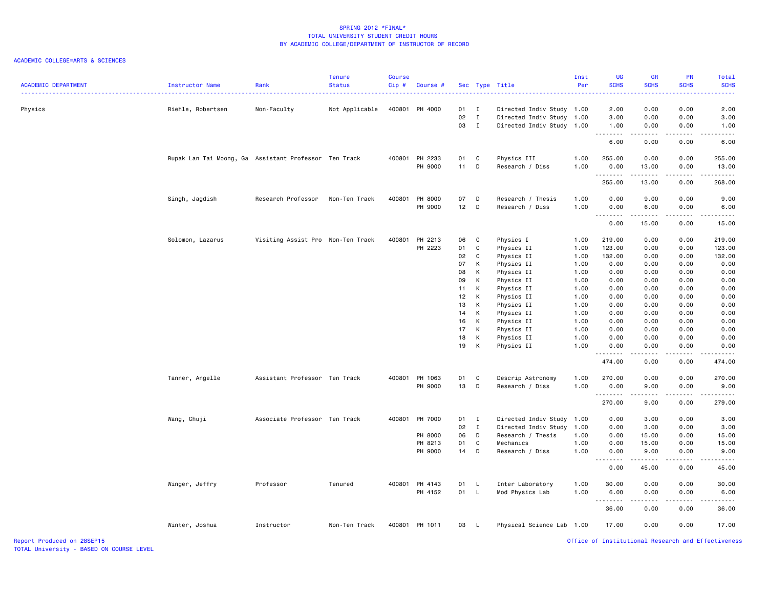| <b>ACADEMIC DEPARTMENT</b> | Instructor Name                                       | Rank                              | <b>Tenure</b><br><b>Status</b> | Course<br>Cip# | Course #       |              |              | Sec Type Title            | Inst<br>Per | UG<br><b>SCHS</b> | <b>GR</b><br><b>SCHS</b> | PR<br><b>SCHS</b> | Total<br><b>SCHS</b>                                                                                                                                           |
|----------------------------|-------------------------------------------------------|-----------------------------------|--------------------------------|----------------|----------------|--------------|--------------|---------------------------|-------------|-------------------|--------------------------|-------------------|----------------------------------------------------------------------------------------------------------------------------------------------------------------|
|                            |                                                       |                                   |                                |                |                |              |              |                           |             |                   |                          |                   | .                                                                                                                                                              |
| Physics                    | Riehle, Robertsen                                     | Non-Faculty                       | Not Applicable                 |                | 400801 PH 4000 | $01 \quad I$ |              | Directed Indiv Study 1.00 |             | 2.00              | 0.00                     | 0.00              | 2.00                                                                                                                                                           |
|                            |                                                       |                                   |                                |                |                | 02           | $\mathbf{I}$ | Directed Indiv Study 1.00 |             | 3.00              | 0.00                     | 0.00              | 3.00                                                                                                                                                           |
|                            |                                                       |                                   |                                |                |                | 03           | $\mathbf{I}$ | Directed Indiv Study 1.00 |             | 1.00<br>.         | 0.00<br>.                | 0.00<br>.         | 1.00<br>$\frac{1}{2} \left( \frac{1}{2} \right) \left( \frac{1}{2} \right) \left( \frac{1}{2} \right) \left( \frac{1}{2} \right) \left( \frac{1}{2} \right)$   |
|                            |                                                       |                                   |                                |                |                |              |              |                           |             | 6.00              | 0.00                     | 0.00              | 6.00                                                                                                                                                           |
|                            | Rupak Lan Tai Moong, Ga Assistant Professor Ten Track |                                   |                                |                | 400801 PH 2233 | 01           | C            | Physics III               | 1.00        | 255.00            | 0.00                     | 0.00              | 255.00                                                                                                                                                         |
|                            |                                                       |                                   |                                |                | PH 9000        | 11           | D            | Research / Diss           | 1.00        | 0.00<br>.         | 13.00<br>.               | 0.00<br>.         | 13.00                                                                                                                                                          |
|                            |                                                       |                                   |                                |                |                |              |              |                           |             | 255.00            | 13.00                    | 0.00              | 268.00                                                                                                                                                         |
|                            | Singh, Jagdish                                        | Research Professor                | Non-Ten Track                  |                | 400801 PH 8000 | 07           | D            | Research / Thesis         | 1.00        | 0.00              | 9.00                     | 0.00              | 9.00                                                                                                                                                           |
|                            |                                                       |                                   |                                |                | PH 9000        | 12           | D            | Research / Diss           | 1.00        | 0.00<br><u>.</u>  | 6.00<br>$\frac{1}{2}$    | 0.00<br><u>.</u>  | 6.00<br>$\frac{1}{2} \left( \frac{1}{2} \right) \left( \frac{1}{2} \right) \left( \frac{1}{2} \right) \left( \frac{1}{2} \right) \left( \frac{1}{2} \right)$   |
|                            |                                                       |                                   |                                |                |                |              |              |                           |             | 0.00              | 15.00                    | 0.00              | 15.00                                                                                                                                                          |
|                            | Solomon, Lazarus                                      | Visiting Assist Pro Non-Ten Track |                                |                | 400801 PH 2213 | 06           | C            | Physics I                 | 1.00        | 219.00            | 0.00                     | 0.00              | 219.00                                                                                                                                                         |
|                            |                                                       |                                   |                                |                | PH 2223        | 01           | C            | Physics II                | 1.00        | 123.00            | 0.00                     | 0.00              | 123.00                                                                                                                                                         |
|                            |                                                       |                                   |                                |                |                | 02           | $\mathbf c$  | Physics II                | 1.00        | 132.00            | 0.00                     | 0.00              | 132.00                                                                                                                                                         |
|                            |                                                       |                                   |                                |                |                | 07           | К            | Physics II                | 1.00        | 0.00              | 0.00                     | 0.00              | 0.00                                                                                                                                                           |
|                            |                                                       |                                   |                                |                |                | 08           | K            | Physics II                | 1.00        | 0.00              | 0.00                     | 0.00              | 0.00                                                                                                                                                           |
|                            |                                                       |                                   |                                |                |                | 09           | К            | Physics II                | 1.00        | 0.00              | 0.00                     | 0.00              | 0.00                                                                                                                                                           |
|                            |                                                       |                                   |                                |                |                | 11           | К            | Physics II                | 1.00        | 0.00              | 0.00                     | 0.00              | 0.00                                                                                                                                                           |
|                            |                                                       |                                   |                                |                |                | 12           | K            | Physics II                | 1.00        | 0.00              | 0.00                     | 0.00              | 0.00                                                                                                                                                           |
|                            |                                                       |                                   |                                |                |                | 13           | К            | Physics II                | 1.00        | 0.00              | 0.00                     | 0.00              | 0.00                                                                                                                                                           |
|                            |                                                       |                                   |                                |                |                | 14           | К            | Physics II                | 1.00        | 0.00              | 0.00                     | 0.00              | 0.00                                                                                                                                                           |
|                            |                                                       |                                   |                                |                |                | 16           | К            | Physics II                | 1.00        | 0.00              | 0.00                     | 0.00              | 0.00                                                                                                                                                           |
|                            |                                                       |                                   |                                |                |                | 17           | К            | Physics II                | 1.00        | 0.00              | 0.00                     | 0.00              | 0.00                                                                                                                                                           |
|                            |                                                       |                                   |                                |                |                | 18           | K            | Physics II                | 1.00        | 0.00              | 0.00                     | 0.00              | 0.00                                                                                                                                                           |
|                            |                                                       |                                   |                                |                |                | 19           | К            | Physics II                | 1.00        | 0.00              | 0.00                     | 0.00              | 0.00                                                                                                                                                           |
|                            |                                                       |                                   |                                |                |                |              |              |                           |             | .<br>474.00       | 0.00                     | 0.00              | $\frac{1}{2} \left( \frac{1}{2} \right) \left( \frac{1}{2} \right) \left( \frac{1}{2} \right) \left( \frac{1}{2} \right) \left( \frac{1}{2} \right)$<br>474.00 |
|                            | Tanner, Angelle                                       | Assistant Professor Ten Track     |                                |                | 400801 PH 1063 | 01           | C            | Descrip Astronomy         | 1.00        | 270.00            | 0.00                     | 0.00              | 270.00                                                                                                                                                         |
|                            |                                                       |                                   |                                |                | PH 9000        | 13           | D            | Research / Diss           | 1.00        | 0.00              | 9.00                     | 0.00              | 9.00                                                                                                                                                           |
|                            |                                                       |                                   |                                |                |                |              |              |                           |             | .<br>270.00       | .<br>9.00                | .<br>0.00         | .<br>279.00                                                                                                                                                    |
|                            | Wang, Chuji                                           | Associate Professor Ten Track     |                                |                | 400801 PH 7000 | $01$ I       |              | Directed Indiv Study      | 1.00        | 0.00              | 3.00                     | 0.00              | 3.00                                                                                                                                                           |
|                            |                                                       |                                   |                                |                |                | 02           | $\mathbf{I}$ | Directed Indiv Study      | 1.00        | 0.00              | 3.00                     | 0.00              | 3.00                                                                                                                                                           |
|                            |                                                       |                                   |                                |                | PH 8000        | 06           | D            | Research / Thesis         | 1.00        | 0.00              | 15.00                    | 0.00              | 15.00                                                                                                                                                          |
|                            |                                                       |                                   |                                |                | PH 8213        | 01           | C            | Mechanics                 | 1.00        | 0.00              | 15.00                    | 0.00              | 15.00                                                                                                                                                          |
|                            |                                                       |                                   |                                |                | PH 9000        | 14           | D            | Research / Diss           | 1.00        | 0.00              | 9.00                     | 0.00              | 9.00                                                                                                                                                           |
|                            |                                                       |                                   |                                |                |                |              |              |                           |             | .<br>0.00         | 45.00                    | 0.00              | .<br>45.00                                                                                                                                                     |
|                            | Winger, Jeffry                                        | Professor                         | Tenured                        |                | 400801 PH 4143 | 01           | L.           | Inter Laboratory          | 1.00        | 30.00             | 0.00                     | 0.00              | 30.00                                                                                                                                                          |
|                            |                                                       |                                   |                                |                | PH 4152        | 01 L         |              | Mod Physics Lab           | 1.00        | 6.00<br><u>.</u>  | 0.00<br>.                | 0.00<br>.         | 6.00<br>.                                                                                                                                                      |
|                            |                                                       |                                   |                                |                |                |              |              |                           |             | 36.00             | 0.00                     | 0.00              | 36.00                                                                                                                                                          |
|                            | Winter, Joshua                                        | Instructor                        | Non-Ten Track                  |                | 400801 PH 1011 | 03           | - L          | Physical Science Lab 1.00 |             | 17.00             | 0.00                     | 0.00              | 17.00                                                                                                                                                          |
| Report Produced on 28SEP15 |                                                       |                                   |                                |                |                |              |              |                           |             |                   |                          |                   | Office of Institutional Research and Effectiveness                                                                                                             |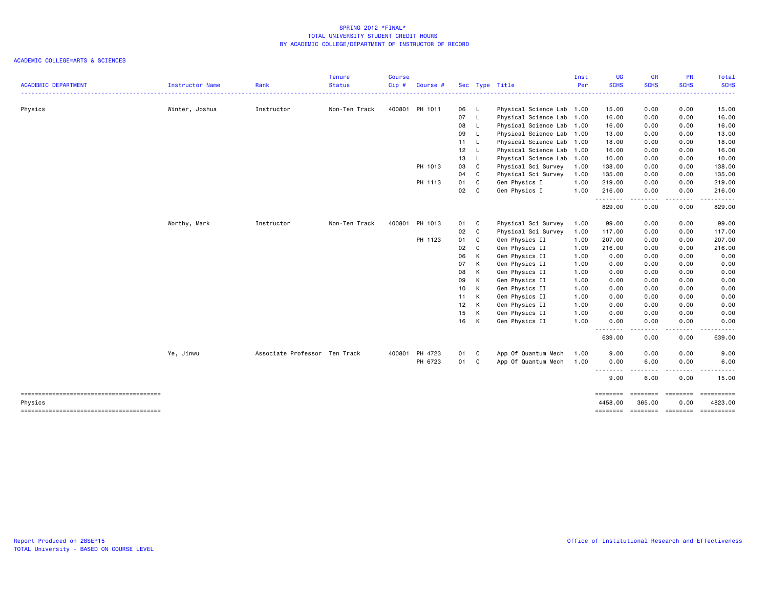|                                        |                        |                               | <b>Tenure</b> | <b>Course</b> |                |      |              |                           | Inst       | <b>UG</b>           | <b>GR</b>                                                                                                                         | PR                    | Total                               |
|----------------------------------------|------------------------|-------------------------------|---------------|---------------|----------------|------|--------------|---------------------------|------------|---------------------|-----------------------------------------------------------------------------------------------------------------------------------|-----------------------|-------------------------------------|
| <b>ACADEMIC DEPARTMENT</b>             | <b>Instructor Name</b> | Rank                          | <b>Status</b> | Cip#          | Course #       |      |              | Sec Type Title            | <b>Per</b> | <b>SCHS</b>         | <b>SCHS</b>                                                                                                                       | <b>SCHS</b>           | <b>SCHS</b>                         |
| Physics                                | Winter, Joshua         | Instructor                    | Non-Ten Track |               | 400801 PH 1011 | 06 L |              | Physical Science Lab 1.00 |            | 15.00               | 0.00                                                                                                                              | 0.00                  | 15.00                               |
|                                        |                        |                               |               |               |                | 07   | $\mathsf{L}$ | Physical Science Lab 1.00 |            | 16.00               | 0.00                                                                                                                              | 0.00                  | 16.00                               |
|                                        |                        |                               |               |               |                | 08   | $\mathsf{L}$ | Physical Science Lab 1.00 |            | 16.00               | 0.00                                                                                                                              | 0.00                  | 16.00                               |
|                                        |                        |                               |               |               |                | 09   | L.           | Physical Science Lab 1.00 |            | 13.00               | 0.00                                                                                                                              | 0.00                  | 13.00                               |
|                                        |                        |                               |               |               |                | 11 L |              | Physical Science Lab 1.00 |            | 18.00               | 0.00                                                                                                                              | 0.00                  | 18.00                               |
|                                        |                        |                               |               |               |                | 12   | <b>L</b>     | Physical Science Lab 1.00 |            | 16.00               | 0.00                                                                                                                              | 0.00                  | 16.00                               |
|                                        |                        |                               |               |               |                | 13   | L.           | Physical Science Lab 1.00 |            | 10.00               | 0.00                                                                                                                              | 0.00                  | 10.00                               |
|                                        |                        |                               |               |               | PH 1013        | 03   | C            | Physical Sci Survey       | 1.00       | 138.00              | 0.00                                                                                                                              | 0.00                  | 138.00                              |
|                                        |                        |                               |               |               |                | 04   | C            | Physical Sci Survey       | 1.00       | 135.00              | 0.00                                                                                                                              | 0.00                  | 135.00                              |
|                                        |                        |                               |               |               | PH 1113        | 01   | C            | Gen Physics I             | 1.00       | 219.00              | 0.00                                                                                                                              | 0.00                  | 219.00                              |
|                                        |                        |                               |               |               |                | 02   | C            | Gen Physics I             | 1.00       | 216.00<br>.         | 0.00<br>$\cdots$                                                                                                                  | 0.00<br>$\frac{1}{2}$ | 216.00<br>.                         |
|                                        |                        |                               |               |               |                |      |              |                           |            | 829.00              | 0.00                                                                                                                              | 0.00                  | 829.00                              |
|                                        | Worthy, Mark           | Instructor                    | Non-Ten Track | 400801        | PH 1013        | 01   | C            | Physical Sci Survey       | 1.00       | 99.00               | 0.00                                                                                                                              | 0.00                  | 99.00                               |
|                                        |                        |                               |               |               |                | 02   | C            | Physical Sci Survey       | 1.00       | 117.00              | 0.00                                                                                                                              | 0.00                  | 117.00                              |
|                                        |                        |                               |               |               | PH 1123        | 01   | C            | Gen Physics II            | 1.00       | 207.00              | 0.00                                                                                                                              | 0.00                  | 207.00                              |
|                                        |                        |                               |               |               |                | 02   | C            | Gen Physics II            | 1.00       | 216.00              | 0.00                                                                                                                              | 0.00                  | 216.00                              |
|                                        |                        |                               |               |               |                | 06   | K            | Gen Physics II            | 1.00       | 0.00                | 0.00                                                                                                                              | 0.00                  | 0.00                                |
|                                        |                        |                               |               |               |                | 07   | K            | Gen Physics II            | 1.00       | 0.00                | 0.00                                                                                                                              | 0.00                  | 0.00                                |
|                                        |                        |                               |               |               |                | 08   | K            | Gen Physics II            | 1.00       | 0.00                | 0.00                                                                                                                              | 0.00                  | 0.00                                |
|                                        |                        |                               |               |               |                | 09   | K            | Gen Physics II            | 1.00       | 0.00                | 0.00                                                                                                                              | 0.00                  | 0.00                                |
|                                        |                        |                               |               |               |                | 10   | К            | Gen Physics II            | 1.00       | 0.00                | 0.00                                                                                                                              | 0.00                  | 0.00                                |
|                                        |                        |                               |               |               |                | 11   | К            | Gen Physics II            | 1.00       | 0.00                | 0.00                                                                                                                              | 0.00                  | 0.00                                |
|                                        |                        |                               |               |               |                | 12   | K            | Gen Physics II            | 1.00       | 0.00                | 0.00                                                                                                                              | 0.00                  | 0.00                                |
|                                        |                        |                               |               |               |                | 15   | K            | Gen Physics II            | 1.00       | 0.00                | 0.00                                                                                                                              | 0.00                  | 0.00                                |
|                                        |                        |                               |               |               |                | 16   | К            | Gen Physics II            | 1.00       | 0.00<br>.           | 0.00<br>$\frac{1}{2} \left( \frac{1}{2} \right) \left( \frac{1}{2} \right) \left( \frac{1}{2} \right) \left( \frac{1}{2} \right)$ | 0.00<br>.             | 0.00                                |
|                                        |                        |                               |               |               |                |      |              |                           |            | 639.00              | 0.00                                                                                                                              | 0.00                  | 639.00                              |
|                                        | Ye, Jinwu              | Associate Professor Ten Track |               |               | 400801 PH 4723 | 01   | C            | App Of Quantum Mech       | 1.00       | 9.00                | 0.00                                                                                                                              | 0.00                  | 9.00                                |
|                                        |                        |                               |               |               | PH 6723        | 01 C |              | App Of Quantum Mech       | 1.00       | 0.00<br>.           | 6.00<br>----                                                                                                                      | 0.00<br>.             | 6.00                                |
|                                        |                        |                               |               |               |                |      |              |                           |            | 9.00                | 6.00                                                                                                                              | 0.00                  | 15.00                               |
| Physics                                |                        |                               |               |               |                |      |              |                           |            | ========<br>4458.00 | ========<br>365.00                                                                                                                | ========<br>0.00      | 4823.00                             |
| -------------------------------------- |                        |                               |               |               |                |      |              |                           |            |                     |                                                                                                                                   |                       | -------- ------- -------- --------- |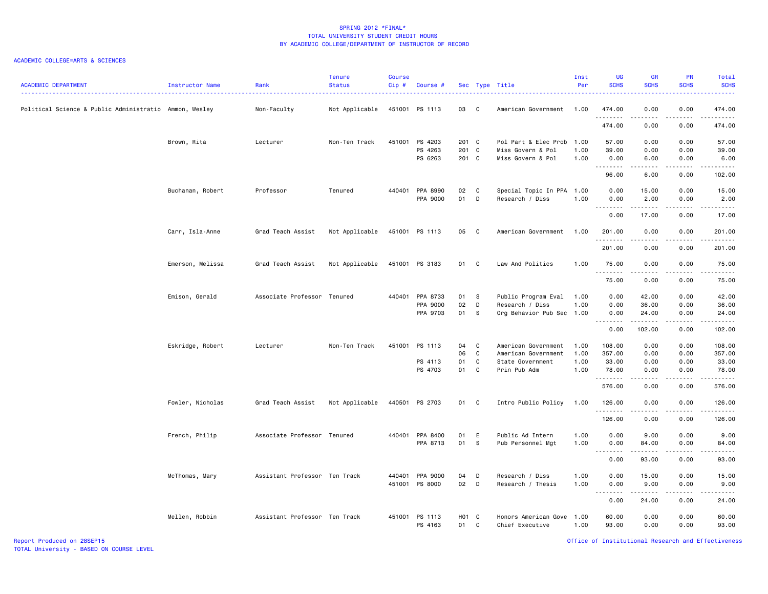### ACADEMIC COLLEGE=ARTS & SCIENCES

| <b>ACADEMIC DEPARTMENT</b>                             | Instructor Name  | Rank                          | <b>Tenure</b><br><b>Status</b> | Course<br>Cip# | Course #                          |                |                            | Sec Type Title                               | Inst<br>Per  | <b>UG</b><br><b>SCHS</b> | <b>GR</b><br><b>SCHS</b>                                                                                                                                     | PR<br><b>SCHS</b>                   | Total<br><b>SCHS</b>     |
|--------------------------------------------------------|------------------|-------------------------------|--------------------------------|----------------|-----------------------------------|----------------|----------------------------|----------------------------------------------|--------------|--------------------------|--------------------------------------------------------------------------------------------------------------------------------------------------------------|-------------------------------------|--------------------------|
| Political Science & Public Administratio Ammon, Wesley |                  | Non-Faculty                   | Not Applicable                 |                | 451001 PS 1113                    | 03             | $\overline{\phantom{a}}$ C | American Government                          | 1.00         | 474.00<br>.              | 0.00                                                                                                                                                         | 0.00<br>----                        | 474.00<br>.              |
|                                                        |                  |                               |                                |                |                                   |                |                            |                                              |              | 474.00                   | 0.00                                                                                                                                                         | 0.00                                | 474.00                   |
|                                                        | Brown, Rita      | Lecturer                      | Non-Ten Track                  |                | 451001 PS 4203                    | 201 C          |                            | Pol Part & Elec Prob 1.00                    |              | 57.00                    | 0.00                                                                                                                                                         | 0.00                                | 57.00                    |
|                                                        |                  |                               |                                |                | PS 4263<br>PS 6263                | 201 C<br>201 C |                            | Miss Govern & Pol<br>Miss Govern & Pol       | 1.00<br>1.00 | 39.00<br>0.00<br>.       | 0.00<br>6.00<br>.                                                                                                                                            | 0.00<br>0.00<br>.                   | 39.00<br>6.00            |
|                                                        |                  |                               |                                |                |                                   |                |                            |                                              |              | 96.00                    | 6.00                                                                                                                                                         | 0.00                                | 102.00                   |
|                                                        | Buchanan, Robert | Professor                     | Tenured                        |                | 440401 PPA 8990<br>PPA 9000       | 02<br>01       | C<br>D                     | Special Topic In PPA 1.00<br>Research / Diss | 1.00         | 0.00<br>0.00             | 15.00<br>2.00                                                                                                                                                | 0.00<br>0.00                        | 15.00<br>2.00            |
|                                                        |                  |                               |                                |                |                                   |                |                            |                                              |              | .<br>0.00                | .<br>17.00                                                                                                                                                   | .<br>0.00                           | .<br>17.00               |
|                                                        | Carr, Isla-Anne  | Grad Teach Assist             | Not Applicable                 |                | 451001 PS 1113                    | 05             | $\overline{\phantom{a}}$ C | American Government                          | 1.00         | 201.00<br><u>.</u>       | 0.00<br>.                                                                                                                                                    | 0.00<br>.                           | 201.00                   |
|                                                        |                  |                               |                                |                |                                   |                |                            |                                              |              | 201.00                   | 0.00                                                                                                                                                         | 0.00                                | 201.00                   |
|                                                        | Emerson, Melissa | Grad Teach Assist             | Not Applicable                 |                | 451001 PS 3183                    | 01 C           |                            | Law And Politics                             | 1.00         | 75.00<br>.               | 0.00<br>$\frac{1}{2} \left( \frac{1}{2} \right) \left( \frac{1}{2} \right) \left( \frac{1}{2} \right) \left( \frac{1}{2} \right) \left( \frac{1}{2} \right)$ | 0.00<br>.                           | 75.00<br>.               |
|                                                        |                  |                               |                                |                |                                   |                |                            |                                              |              | 75.00                    | 0.00                                                                                                                                                         | 0.00                                | 75.00                    |
|                                                        | Emison, Gerald   | Associate Professor Tenured   |                                | 440401         | PPA 8733                          | 01             | <b>S</b>                   | Public Program Eval                          | 1.00         | 0.00                     | 42.00                                                                                                                                                        | 0.00                                | 42.00                    |
|                                                        |                  |                               |                                |                | PPA 9000<br>PPA 9703              | 02<br>01       | D<br>s.                    | Research / Diss<br>Org Behavior Pub Sec 1.00 | 1.00         | 0.00<br>0.00             | 36.00<br>24.00                                                                                                                                               | 0.00<br>0.00                        | 36.00<br>24.00           |
|                                                        |                  |                               |                                |                |                                   |                |                            |                                              |              | .<br>0.00                | $\begin{array}{cccccccccc} \bullet & \bullet & \bullet & \bullet & \bullet & \bullet & \bullet & \bullet \end{array}$<br>102.00                              | .<br>0.00                           | .<br>102.00              |
|                                                        | Eskridge, Robert | Lecturer                      | Non-Ten Track                  | 451001         | PS 1113                           | 04             | <b>C</b>                   | American Government                          | 1.00         | 108.00                   | 0.00                                                                                                                                                         | 0.00                                | 108.00                   |
|                                                        |                  |                               |                                |                |                                   | 06             | C.                         | American Government                          | 1.00         | 357.00                   | 0.00                                                                                                                                                         | 0.00                                | 357.00                   |
|                                                        |                  |                               |                                |                | PS 4113                           | 01             | C                          | State Government                             | 1.00         | 33.00                    | 0.00                                                                                                                                                         | 0.00                                | 33.00                    |
|                                                        |                  |                               |                                |                | PS 4703                           | 01 C           |                            | Prin Pub Adm                                 | 1.00         | 78.00<br>.               | 0.00                                                                                                                                                         | 0.00<br>$\sim$ $\sim$ $\sim$ $\sim$ | 78.00<br>.               |
|                                                        |                  |                               |                                |                |                                   |                |                            |                                              |              | 576.00                   | 0.00                                                                                                                                                         | 0.00                                | 576.00                   |
|                                                        | Fowler, Nicholas | Grad Teach Assist             | Not Applicable                 |                | 440501 PS 2703                    | 01 C           |                            | Intro Public Policy                          | 1.00         | 126.00<br>.              | 0.00                                                                                                                                                         | 0.00                                | 126.00<br>.              |
|                                                        |                  |                               |                                |                |                                   |                |                            |                                              |              | 126.00                   | 0.00                                                                                                                                                         | 0.00                                | 126.00                   |
|                                                        | French, Philip   | Associate Professor Tenured   |                                |                | 440401 PPA 8400                   | 01             | E                          | Public Ad Intern                             | 1.00         | 0.00                     | 9.00                                                                                                                                                         | 0.00                                | 9.00                     |
|                                                        |                  |                               |                                |                | PPA 8713                          | 01             | $\mathbf{s}$               | Pub Personnel Mgt                            | 1.00         | 0.00<br>.                | 84.00<br>.                                                                                                                                                   | 0.00<br>.                           | 84.00<br>المتمام المتحدة |
|                                                        |                  |                               |                                |                |                                   |                |                            |                                              |              | 0.00                     | 93.00                                                                                                                                                        | 0.00                                | 93.00                    |
|                                                        | McThomas, Mary   | Assistant Professor Ten Track |                                |                | 440401 PPA 9000<br>451001 PS 8000 | 04<br>02 D     | D                          | Research / Diss                              | 1.00         | 0.00                     | 15.00                                                                                                                                                        | 0.00                                | 15.00<br>9.00            |
|                                                        |                  |                               |                                |                |                                   |                |                            | Research / Thesis                            | 1.00         | 0.00<br>--------         | 9.00<br>.                                                                                                                                                    | 0.00<br>.                           | د د د د د                |
|                                                        |                  |                               |                                |                |                                   |                |                            |                                              |              | 0.00                     | 24.00                                                                                                                                                        | 0.00                                | 24.00                    |
|                                                        | Mellen, Robbin   | Assistant Professor Ten Track |                                |                | 451001 PS 1113<br>PS 4163         | H01 C<br>01    | C                          | Honors American Gove 1.00<br>Chief Executive | 1.00         | 60.00<br>93.00           | 0.00<br>0.00                                                                                                                                                 | 0.00<br>0.00                        | 60.00<br>93.00           |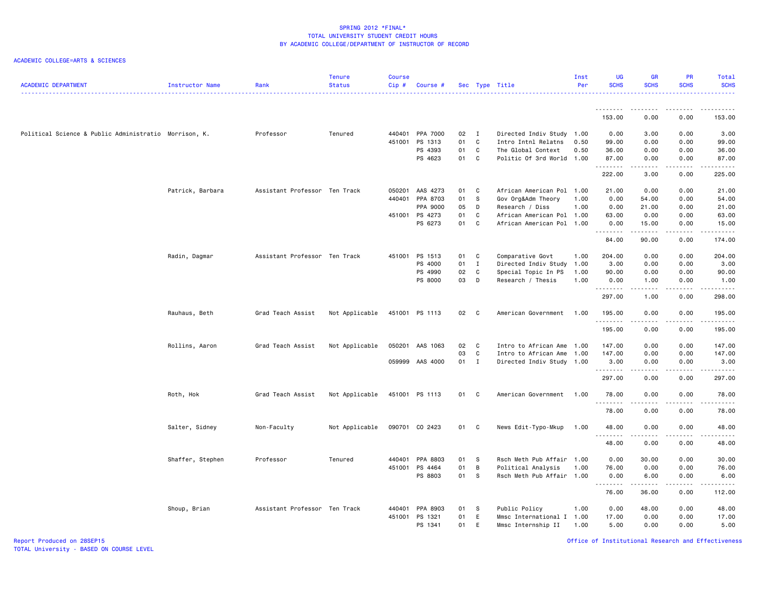### ACADEMIC COLLEGE=ARTS & SCIENCES

| <b>ACADEMIC DEPARTMENT</b>                            | Instructor Name  | Rank                          | <b>Tenure</b><br><b>Status</b> | Course<br>Cip# | Course #        |      |                | Sec Type Title            | Inst<br>Per | UG<br><b>SCHS</b> | GR<br><b>SCHS</b>    | <b>PR</b><br><b>SCHS</b> | Total<br><b>SCHS</b>   |
|-------------------------------------------------------|------------------|-------------------------------|--------------------------------|----------------|-----------------|------|----------------|---------------------------|-------------|-------------------|----------------------|--------------------------|------------------------|
|                                                       |                  |                               |                                |                |                 |      |                |                           |             | <u>.</u>          |                      |                          |                        |
|                                                       |                  |                               |                                |                |                 |      |                |                           |             | 153.00            | 0.00                 | 0.00                     | 153.00                 |
| Political Science & Public Administratio Morrison, K. |                  | Professor                     | Tenured                        | 440401         | PPA 7000        | 02   | $\blacksquare$ | Directed Indiv Study 1.00 |             | 0.00              | 3.00                 | 0.00                     | 3.00                   |
|                                                       |                  |                               |                                | 451001         | PS 1313         | 01   | $\mathbf{C}$   | Intro Intnl Relatns       | 0.50        | 99.00             | 0.00                 | 0.00                     | 99.00                  |
|                                                       |                  |                               |                                |                | PS 4393         | 01   | $\mathbf{C}$   | The Global Context        | 0.50        | 36.00             | 0.00                 | 0.00                     | 36.00                  |
|                                                       |                  |                               |                                |                | PS 4623         | 01 C |                | Politic Of 3rd World 1.00 |             | 87.00<br>.        | 0.00<br>.            | 0.00<br>$   -$           | 87.00<br>.             |
|                                                       |                  |                               |                                |                |                 |      |                |                           |             | 222.00            | 3.00                 | 0.00                     | 225.00                 |
|                                                       | Patrick, Barbara | Assistant Professor Ten Track |                                | 050201         | AAS 4273        | 01 C |                | African American Pol      | 1.00        | 21.00             | 0.00                 | 0.00                     | 21.00                  |
|                                                       |                  |                               |                                | 440401         | PPA 8703        | 01   | - S            | Gov Org&Adm Theory        | 1.00        | 0.00              | 54.00                | 0.00                     | 54.00                  |
|                                                       |                  |                               |                                |                | PPA 9000        | 05   | D              | Research / Diss           | 1.00        | 0.00              | 21.00                | 0.00                     | 21.00                  |
|                                                       |                  |                               |                                |                | 451001 PS 4273  | 01   | C              | African American Pol      | 1.00        | 63.00             | 0.00                 | 0.00                     | 63.00                  |
|                                                       |                  |                               |                                |                | PS 6273         | 01   | $\mathbf{C}$   | African American Pol 1.00 |             | 0.00<br>.         | 15.00<br>$- - - - -$ | 0.00<br>.                | 15.00<br>.             |
|                                                       |                  |                               |                                |                |                 |      |                |                           |             | 84.00             | 90.00                | 0.00                     | 174.00                 |
|                                                       | Radin, Dagmar    | Assistant Professor Ten Track |                                | 451001         | PS 1513         | 01   | $\mathbf{C}$   | Comparative Govt          | 1.00        | 204.00            | 0.00                 | 0.00                     | 204.00                 |
|                                                       |                  |                               |                                |                | PS 4000         | 01 I |                | Directed Indiv Study      | 1.00        | 3.00              | 0.00                 | 0.00                     | 3.00                   |
|                                                       |                  |                               |                                |                | PS 4990         | 02   | $\mathbf{C}$   | Special Topic In PS       | 1.00        | 90.00             | 0.00                 | 0.00                     | 90.00                  |
|                                                       |                  |                               |                                |                | PS 8000         | 03   | D              | Research / Thesis         | 1.00        | 0.00<br>.         | 1.00<br>.            | 0.00<br>$- - - -$        | 1.00<br>.              |
|                                                       |                  |                               |                                |                |                 |      |                |                           |             | 297.00            | 1.00                 | 0.00                     | 298.00                 |
|                                                       | Rauhaus, Beth    | Grad Teach Assist             | Not Applicable                 |                | 451001 PS 1113  | 02 C |                | American Government       | 1.00        | 195.00<br>.       | 0.00<br>.            | 0.00<br>د د د د          | 195.00                 |
|                                                       |                  |                               |                                |                |                 |      |                |                           |             | 195.00            | 0.00                 | 0.00                     | 195.00                 |
|                                                       | Rollins, Aaron   | Grad Teach Assist             | Not Applicable                 |                | 050201 AAS 1063 | 02 C |                | Intro to African Ame      | 1.00        | 147.00            | 0.00                 | 0.00                     | 147.00                 |
|                                                       |                  |                               |                                |                |                 | 03   | $\mathbf{C}$   | Intro to African Ame      | 1.00        | 147.00            | 0.00                 | 0.00                     | 147.00                 |
|                                                       |                  |                               |                                |                | 059999 AAS 4000 | 01 I |                | Directed Indiv Study 1.00 |             | 3.00              | 0.00                 | 0.00                     | 3.00                   |
|                                                       |                  |                               |                                |                |                 |      |                |                           |             | .<br>297.00       | -----<br>0.00        | $\sim$ - - -<br>0.00     | .<br>297.00            |
|                                                       | Roth, Hok        | Grad Teach Assist             | Not Applicable                 |                | 451001 PS 1113  | 01 C |                | American Government       | 1.00        | 78.00<br>.        | 0.00                 | 0.00                     | 78.00<br>.             |
|                                                       |                  |                               |                                |                |                 |      |                |                           |             | 78.00             | 0.00                 | 0.00                     | 78.00                  |
|                                                       | Salter, Sidney   | Non-Faculty                   | Not Applicable                 |                | 090701 CO 2423  | 01 C |                | News Edit-Typo-Mkup       | 1.00        | 48.00             | 0.00                 | 0.00                     | 48.00                  |
|                                                       |                  |                               |                                |                |                 |      |                |                           |             | .<br>48.00        | 0.00                 | ----<br>0.00             | $\frac{1}{2}$<br>48.00 |
|                                                       | Shaffer, Stephen | Professor                     | Tenured                        | 440401         | PPA 8803        | 01 S |                | Rsch Meth Pub Affair      | 1.00        | 0.00              | 30.00                | 0.00                     | 30.00                  |
|                                                       |                  |                               |                                | 451001         | PS 4464         | 01   | $\overline{B}$ | Political Analysis        | 1.00        | 76.00             | 0.00                 | 0.00                     | 76.00                  |
|                                                       |                  |                               |                                |                | PS 8803         | 01 S |                | Rsch Meth Pub Affair 1.00 |             | 0.00<br>.         | 6.00<br>$- - - - -$  | 0.00<br>$- - - -$        | 6.00<br>.              |
|                                                       |                  |                               |                                |                |                 |      |                |                           |             | 76.00             | 36.00                | 0.00                     | 112.00                 |
|                                                       | Shoup, Brian     | Assistant Professor Ten Track |                                | 440401         | PPA 8903        | 01 S |                | Public Policy             | 1.00        | 0.00              | 48.00                | 0.00                     | 48.00                  |
|                                                       |                  |                               |                                | 451001         | PS 1321         | 01   | E              | Mmsc International I      | 1.00        | 17.00             | 0.00                 | 0.00                     | 17.00                  |
|                                                       |                  |                               |                                |                | PS 1341         | 01   | E              | Mmsc Internship II        | 1.00        | 5.00              | 0.00                 | 0.00                     | 5.00                   |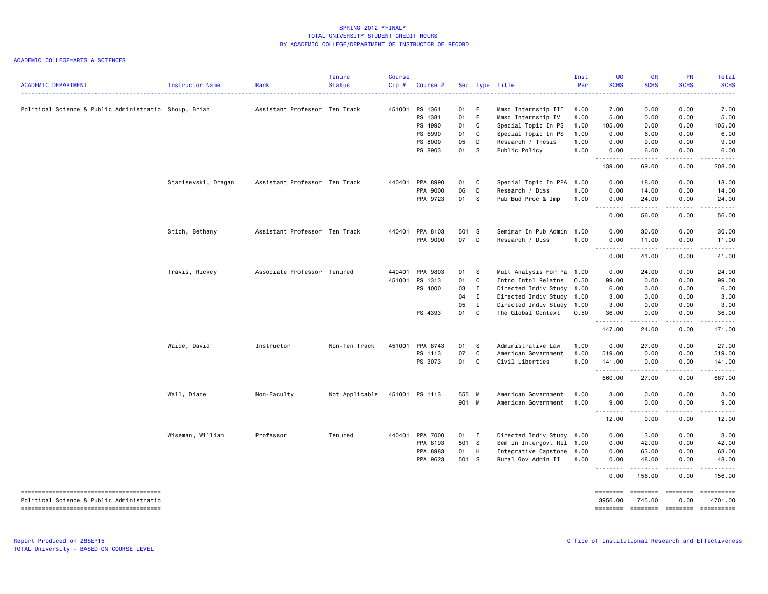| <b>ACADEMIC DEPARTMENT</b>                            | Instructor Name     | Rank                          | <b>Tenure</b><br><b>Status</b> | Course<br>Cip# | Course #        |       |              | Sec Type Title            | Inst<br>Per | UG<br><b>SCHS</b> | <b>GR</b><br><b>SCHS</b>  | <b>PR</b><br><b>SCHS</b>                                                                                                          | Total<br><b>SCHS</b>                                                                                                                                         |
|-------------------------------------------------------|---------------------|-------------------------------|--------------------------------|----------------|-----------------|-------|--------------|---------------------------|-------------|-------------------|---------------------------|-----------------------------------------------------------------------------------------------------------------------------------|--------------------------------------------------------------------------------------------------------------------------------------------------------------|
| Political Science & Public Administratio Shoup, Brian |                     | Assistant Professor Ten Track |                                | 451001         | PS 1361         | 01 E  |              | Mmsc Internship III       | 1.00        | 7.00              | 0.00                      | 0.00                                                                                                                              | 7.00                                                                                                                                                         |
|                                                       |                     |                               |                                |                | PS 1381         | 01 E  |              | Mmsc Internship IV        | 1.00        | 5.00              | 0.00                      | 0.00                                                                                                                              | 5.00                                                                                                                                                         |
|                                                       |                     |                               |                                |                | PS 4990         | 01    | C            | Special Topic In PS       | 1.00        | 105.00            | 0.00                      | 0.00                                                                                                                              | 105.00                                                                                                                                                       |
|                                                       |                     |                               |                                |                | PS 6990         | 01    | C            | Special Topic In PS       | 1.00        | 0.00              | 6.00                      | 0.00                                                                                                                              | 6.00                                                                                                                                                         |
|                                                       |                     |                               |                                |                | PS 8000         | 05    | D            | Research / Thesis         | 1.00        | 0.00              | 9.00                      | 0.00                                                                                                                              | 9.00                                                                                                                                                         |
|                                                       |                     |                               |                                |                | PS 8903         | 01 S  |              | Public Policy             | 1.00        | 0.00<br>.         | 6.00<br>.                 | 0.00<br>$\frac{1}{2} \left( \frac{1}{2} \right) \left( \frac{1}{2} \right) \left( \frac{1}{2} \right) \left( \frac{1}{2} \right)$ | 6.00<br>$\frac{1}{2} \left( \frac{1}{2} \right) \left( \frac{1}{2} \right) \left( \frac{1}{2} \right) \left( \frac{1}{2} \right) \left( \frac{1}{2} \right)$ |
|                                                       |                     |                               |                                |                |                 |       |              |                           |             | 139.00            | 69.00                     | 0.00                                                                                                                              | 208.00                                                                                                                                                       |
|                                                       | Stanisevski, Dragan | Assistant Professor Ten Track |                                | 440401         | PPA 8990        | 01 C  |              | Special Topic In PPA 1.00 |             | 0.00              | 18.00                     | 0.00                                                                                                                              | 18.00                                                                                                                                                        |
|                                                       |                     |                               |                                |                | PPA 9000        | 06    | D            | Research / Diss           | 1.00        | 0.00              | 14.00                     | 0.00                                                                                                                              | 14.00                                                                                                                                                        |
|                                                       |                     |                               |                                |                | PPA 9723        | 01 S  |              | Pub Bud Proc & Imp        | 1.00        | 0.00<br>.         | 24.00<br>.                | 0.00<br>.                                                                                                                         | 24.00<br>.                                                                                                                                                   |
|                                                       |                     |                               |                                |                |                 |       |              |                           |             | 0.00              | 56.00                     | 0.00                                                                                                                              | 56.00                                                                                                                                                        |
|                                                       | Stich, Bethany      | Assistant Professor Ten Track |                                | 440401         | PPA 8103        | 501 S |              | Seminar In Pub Admin      | 1.00        | 0.00              | 30.00                     | 0.00                                                                                                                              | 30.00                                                                                                                                                        |
|                                                       |                     |                               |                                |                | PPA 9000        | 07 D  |              | Research / Diss           | 1.00        | 0.00<br>.         | 11.00<br>.                | 0.00<br>$- - - -$                                                                                                                 | 11.00<br>.                                                                                                                                                   |
|                                                       |                     |                               |                                |                |                 |       |              |                           |             | 0.00              | 41.00                     | 0.00                                                                                                                              | 41.00                                                                                                                                                        |
|                                                       | Travis, Rickey      | Associate Professor Tenured   |                                | 440401         | PPA 9803        | 01 S  |              | Mult Analysis For Pa 1.00 |             | 0.00              | 24.00                     | 0.00                                                                                                                              | 24.00                                                                                                                                                        |
|                                                       |                     |                               |                                | 451001         | PS 1313         | 01    | $\mathbf c$  | Intro Intnl Relatns       | 0.50        | 99.00             | 0.00                      | 0.00                                                                                                                              | 99.00                                                                                                                                                        |
|                                                       |                     |                               |                                |                | PS 4000         | 03    | $\mathbf{I}$ | Directed Indiv Study 1.00 |             | 6.00              | 0.00                      | 0.00                                                                                                                              | 6.00                                                                                                                                                         |
|                                                       |                     |                               |                                |                |                 | 04    | $\mathbf{I}$ | Directed Indiv Study 1.00 |             | 3.00              | 0.00                      | 0.00                                                                                                                              | 3.00                                                                                                                                                         |
|                                                       |                     |                               |                                |                |                 | 05    | $\mathbf{I}$ | Directed Indiv Study 1.00 |             | 3.00              | 0.00                      | 0.00                                                                                                                              | 3.00                                                                                                                                                         |
|                                                       |                     |                               |                                |                | PS 4393         | 01    | C.           | The Global Context        | 0.50        | 36.00             | 0.00                      | 0.00                                                                                                                              | 36.00                                                                                                                                                        |
|                                                       |                     |                               |                                |                |                 |       |              |                           |             | .<br>147.00       | د د د د د<br>24.00        | .<br>0.00                                                                                                                         | .<br>171.00                                                                                                                                                  |
|                                                       | Waide, David        | Instructor                    | Non-Ten Track                  | 451001         | PPA 8743        | 01    | $\mathbf{s}$ | Administrative Law        | 1.00        | 0.00              | 27.00                     | 0.00                                                                                                                              | 27.00                                                                                                                                                        |
|                                                       |                     |                               |                                |                | PS 1113         | 07    | C            | American Government       | 1.00        | 519.00            | 0.00                      | 0.00                                                                                                                              | 519.00                                                                                                                                                       |
|                                                       |                     |                               |                                |                | PS 3073         | 01    | $\mathbf{C}$ | Civil Liberties           | 1.00        | 141.00<br>.       | 0.00<br>.                 | 0.00<br>.                                                                                                                         | 141.00<br>.                                                                                                                                                  |
|                                                       |                     |                               |                                |                |                 |       |              |                           |             | 660.00            | 27.00                     | 0.00                                                                                                                              | 687.00                                                                                                                                                       |
|                                                       | Wall, Diane         | Non-Faculty                   | Not Applicable                 |                | 451001 PS 1113  | 555 M |              | American Government       | 1.00        | 3.00              | 0.00                      | 0.00                                                                                                                              | 3.00                                                                                                                                                         |
|                                                       |                     |                               |                                |                |                 | 901 M |              | American Government       | 1.00        | 9.00<br>.         | 0.00<br>-----             | 0.00<br>د د د د                                                                                                                   | 9.00<br>د د د د د                                                                                                                                            |
|                                                       |                     |                               |                                |                |                 |       |              |                           |             | 12.00             | 0.00                      | 0.00                                                                                                                              | 12.00                                                                                                                                                        |
|                                                       | Wiseman, William    | Professor                     | Tenured                        |                | 440401 PPA 7000 | 01 I  |              | Directed Indiv Study 1.00 |             | 0.00              | 3.00                      | 0.00                                                                                                                              | 3.00                                                                                                                                                         |
|                                                       |                     |                               |                                |                | PPA 8193        | 501 S |              | Sem In Intergovt Rel 1.00 |             | 0.00              | 42.00                     | 0.00                                                                                                                              | 42.00                                                                                                                                                        |
|                                                       |                     |                               |                                |                | PPA 8983        | 01 H  |              | Integrative Capstone 1.00 |             | 0.00              | 63.00                     | 0.00                                                                                                                              | 63.00                                                                                                                                                        |
|                                                       |                     |                               |                                |                | PPA 9623        | 501 S |              | Rural Gov Admin II        | 1.00        | 0.00<br>.         | 48.00<br>.                | 0.00<br>.                                                                                                                         | 48.00<br>.                                                                                                                                                   |
|                                                       |                     |                               |                                |                |                 |       |              |                           |             | 0.00              | 156.00                    | 0.00                                                                                                                              | 156.00                                                                                                                                                       |
|                                                       |                     |                               |                                |                |                 |       |              |                           |             | ========          | <b>ESSESSE</b>            | EEEEEEEE                                                                                                                          | ==========                                                                                                                                                   |
| Political Science & Public Administratio              |                     |                               |                                |                |                 |       |              |                           |             | 3956.00           | 745.00                    | 0.00                                                                                                                              | 4701.00                                                                                                                                                      |
|                                                       |                     |                               |                                |                |                 |       |              |                           |             |                   | ======== ======== ======= |                                                                                                                                   | ==========                                                                                                                                                   |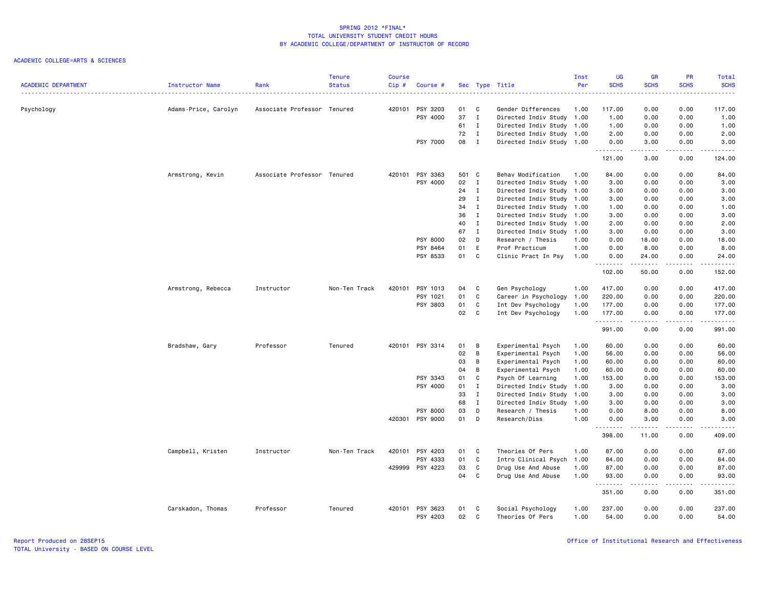| <b>ACADEMIC DEPARTMENT</b> | Instructor Name      | Rank                        | <b>Tenure</b><br><b>Status</b> | <b>Course</b><br>Cip# | Course # |       |              | Sec Type Title            | Inst<br>Per | <b>UG</b><br><b>SCHS</b> | <b>GR</b><br><b>SCHS</b> | PR<br><b>SCHS</b> | Total<br><b>SCHS</b>                                                                                                                                         |
|----------------------------|----------------------|-----------------------------|--------------------------------|-----------------------|----------|-------|--------------|---------------------------|-------------|--------------------------|--------------------------|-------------------|--------------------------------------------------------------------------------------------------------------------------------------------------------------|
|                            |                      |                             |                                |                       |          |       |              |                           |             |                          |                          |                   |                                                                                                                                                              |
| Psychology                 | Adams-Price, Carolyn | Associate Professor Tenured |                                | 420101                | PSY 3203 | 01    | C            | Gender Differences        | 1.00        | 117.00                   | 0.00                     | 0.00              | 117.00                                                                                                                                                       |
|                            |                      |                             |                                |                       | PSY 4000 | 37    | $\mathbf{I}$ | Directed Indiv Study 1.00 |             | 1.00                     | 0.00                     | 0.00              | 1.00                                                                                                                                                         |
|                            |                      |                             |                                |                       |          | 61    | $\mathbf{I}$ | Directed Indiv Study 1.00 |             | 1.00                     | 0.00                     | 0.00              | 1.00                                                                                                                                                         |
|                            |                      |                             |                                |                       |          | 72    | I            | Directed Indiv Study 1.00 |             | 2.00                     | 0.00                     | 0.00              | 2.00                                                                                                                                                         |
|                            |                      |                             |                                |                       | PSY 7000 | 08    | $\mathbf{I}$ | Directed Indiv Study 1.00 |             | 0.00<br>.                | 3.00                     | 0.00<br>$- - - -$ | 3.00<br>.                                                                                                                                                    |
|                            |                      |                             |                                |                       |          |       |              |                           |             | 121.00                   | 3.00                     | 0.00              | 124.00                                                                                                                                                       |
|                            | Armstrong, Kevin     | Associate Professor Tenured |                                | 420101                | PSY 3363 | 501 C |              | Behav Modification        | 1.00        | 84.00                    | 0.00                     | 0.00              | 84.00                                                                                                                                                        |
|                            |                      |                             |                                |                       | PSY 4000 | 02    | $\mathbf{I}$ | Directed Indiv Study      | 1.00        | 3.00                     | 0.00                     | 0.00              | 3.00                                                                                                                                                         |
|                            |                      |                             |                                |                       |          | 24    | $\mathbf{I}$ | Directed Indiv Study      | 1.00        | 3.00                     | 0.00                     | 0.00              | 3.00                                                                                                                                                         |
|                            |                      |                             |                                |                       |          | 29    | $\mathbf I$  | Directed Indiv Study 1.00 |             | 3.00                     | 0.00                     | 0.00              | 3.00                                                                                                                                                         |
|                            |                      |                             |                                |                       |          | 34    | $\mathbf{I}$ | Directed Indiv Study 1.00 |             | 1.00                     | 0.00                     | 0.00              | 1.00                                                                                                                                                         |
|                            |                      |                             |                                |                       |          | 36    | $\mathbf{I}$ | Directed Indiv Study 1.00 |             | 3.00                     | 0.00                     | 0.00              | 3.00                                                                                                                                                         |
|                            |                      |                             |                                |                       |          | 40    | $\mathbf{I}$ | Directed Indiv Study      | 1.00        | 2.00                     | 0.00                     | 0.00              | 2.00                                                                                                                                                         |
|                            |                      |                             |                                |                       |          | 67    | $\mathbf{I}$ | Directed Indiv Study 1.00 |             | 3.00                     | 0.00                     | 0.00              | 3.00                                                                                                                                                         |
|                            |                      |                             |                                |                       | PSY 8000 | 02    | D            | Research / Thesis         | 1.00        | 0.00                     | 18.00                    | 0.00              | 18.00                                                                                                                                                        |
|                            |                      |                             |                                |                       | PSY 8464 | 01    | E            | Prof Practicum            | 1.00        | 0.00                     | 8.00                     | 0.00              | 8.00                                                                                                                                                         |
|                            |                      |                             |                                |                       | PSY 8533 | 01    | C            | Clinic Pract In Psy       | 1.00        | 0.00<br>.                | 24.00<br>.               | 0.00<br>.         | 24.00<br>.                                                                                                                                                   |
|                            |                      |                             |                                |                       |          |       |              |                           |             | 102.00                   | 50.00                    | 0.00              | 152.00                                                                                                                                                       |
|                            | Armstrong, Rebecca   | Instructor                  | Non-Ten Track                  | 420101                | PSY 1013 | 04    | C            | Gen Psychology            | 1.00        | 417.00                   | 0.00                     | 0.00              | 417.00                                                                                                                                                       |
|                            |                      |                             |                                |                       | PSY 1021 | 01    | C            | Career in Psychology      | 1.00        | 220.00                   | 0.00                     | 0.00              | 220.00                                                                                                                                                       |
|                            |                      |                             |                                |                       | PSY 3803 | 01    | C            | Int Dev Psychology        | 1.00        | 177.00                   | 0.00                     | 0.00              | 177.00                                                                                                                                                       |
|                            |                      |                             |                                |                       |          | 02    | C            | Int Dev Psychology        | 1.00        | 177.00<br>.              | 0.00<br>$\frac{1}{2}$    | 0.00<br>$- - - -$ | 177.00<br>.                                                                                                                                                  |
|                            |                      |                             |                                |                       |          |       |              |                           |             | 991.00                   | 0.00                     | 0.00              | 991.00                                                                                                                                                       |
|                            | Bradshaw, Gary       | Professor                   | Tenured                        | 420101                | PSY 3314 | 01    | B            | Experimental Psych        | 1.00        | 60.00                    | 0.00                     | 0.00              | 60.00                                                                                                                                                        |
|                            |                      |                             |                                |                       |          | 02    | B            | Experimental Psych        | 1.00        | 56.00                    | 0.00                     | 0.00              | 56.00                                                                                                                                                        |
|                            |                      |                             |                                |                       |          | 03    | B            | Experimental Psych        | 1.00        | 60.00                    | 0.00                     | 0.00              | 60.00                                                                                                                                                        |
|                            |                      |                             |                                |                       |          | 04    | B            | Experimental Psych        | 1.00        | 60.00                    | 0.00                     | 0.00              | 60.00                                                                                                                                                        |
|                            |                      |                             |                                |                       | PSY 3343 | 01    | C            | Psych Of Learning         | 1.00        | 153.00                   | 0.00                     | 0.00              | 153.00                                                                                                                                                       |
|                            |                      |                             |                                |                       | PSY 4000 | 01    | I            | Directed Indiv Study      | 1.00        | 3.00                     | 0.00                     | 0.00              | 3.00                                                                                                                                                         |
|                            |                      |                             |                                |                       |          | 33    | $\mathbf I$  | Directed Indiv Study      | 1.00        | 3.00                     | 0.00                     | 0.00              | 3.00                                                                                                                                                         |
|                            |                      |                             |                                |                       |          | 68    | $\mathbf{I}$ | Directed Indiv Study      | 1.00        | 3.00                     | 0.00                     | 0.00              | 3.00                                                                                                                                                         |
|                            |                      |                             |                                |                       | PSY 8000 | 03    | D            | Research / Thesis         | 1.00        | 0.00                     | 8.00                     | 0.00              | 8.00                                                                                                                                                         |
|                            |                      |                             |                                | 420301                | PSY 9000 | 01    | D            | Research/Diss             | 1.00        | 0.00<br><u>.</u>         | 3.00<br>.                | 0.00<br>.         | 3.00<br>$\frac{1}{2} \left( \frac{1}{2} \right) \left( \frac{1}{2} \right) \left( \frac{1}{2} \right) \left( \frac{1}{2} \right) \left( \frac{1}{2} \right)$ |
|                            |                      |                             |                                |                       |          |       |              |                           |             | 398.00                   | 11.00                    | 0.00              | 409.00                                                                                                                                                       |
|                            | Campbell, Kristen    | Instructor                  | Non-Ten Track                  | 420101                | PSY 4203 | 01    | C            | Theories Of Pers          | 1.00        | 87.00                    | 0.00                     | 0.00              | 87.00                                                                                                                                                        |
|                            |                      |                             |                                |                       | PSY 4333 | 01    | C            | Intro Clinical Psych      | 1.00        | 84.00                    | 0.00                     | 0.00              | 84.00                                                                                                                                                        |
|                            |                      |                             |                                | 429999                | PSY 4223 | 03    | C            | Drug Use And Abuse        | 1.00        | 87.00                    | 0.00                     | 0.00              | 87.00                                                                                                                                                        |
|                            |                      |                             |                                |                       |          | 04    | C            | Drug Use And Abuse        | 1.00        | 93.00<br>.               | 0.00<br>.                | 0.00<br>.         | 93.00<br>.                                                                                                                                                   |
|                            |                      |                             |                                |                       |          |       |              |                           |             | 351.00                   | 0.00                     | 0.00              | 351.00                                                                                                                                                       |
|                            | Carskadon, Thomas    | Professor                   | Tenured                        | 420101                | PSY 3623 | 01    | C            | Social Psychology         | 1.00        | 237.00                   | 0.00                     | 0.00              | 237.00                                                                                                                                                       |
|                            |                      |                             |                                |                       | PSY 4203 | 02    | C            | Theories Of Pers          | 1.00        | 54.00                    | 0.00                     | 0.00              | 54.00                                                                                                                                                        |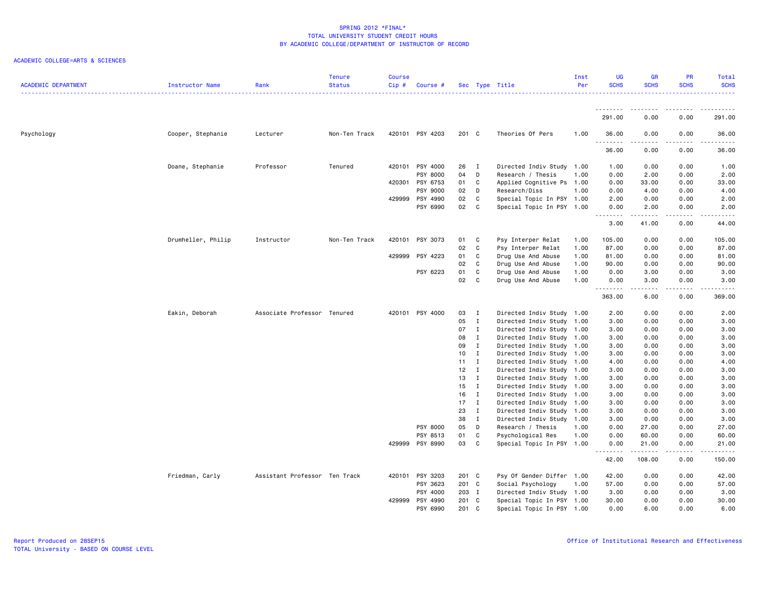| <b>ACADEMIC DEPARTMENT</b> | Instructor Name    | Rank                          | <b>Tenure</b><br><b>Status</b> | Course<br>$Cip$ # | Course #        |                 |                              | Sec Type Title                                         | Inst<br>Per | <b>UG</b><br><b>SCHS</b> | <b>GR</b><br><b>SCHS</b> | <b>PR</b><br><b>SCHS</b> | Total<br><b>SCHS</b> |
|----------------------------|--------------------|-------------------------------|--------------------------------|-------------------|-----------------|-----------------|------------------------------|--------------------------------------------------------|-------------|--------------------------|--------------------------|--------------------------|----------------------|
|                            |                    |                               |                                |                   |                 |                 |                              |                                                        |             | .                        | .                        | .                        |                      |
|                            |                    |                               |                                |                   |                 |                 |                              |                                                        |             | 291.00                   | 0.00                     | 0.00                     | 291.00               |
| Psychology                 | Cooper, Stephanie  | Lecturer                      | Non-Ten Track                  |                   | 420101 PSY 4203 | 201 C           |                              | Theories Of Pers                                       | 1.00        | 36.00<br>.               | 0.00<br>-----            | 0.00<br>.                | 36.00<br>.           |
|                            |                    |                               |                                |                   |                 |                 |                              |                                                        |             | 36.00                    | 0.00                     | 0.00                     | 36.00                |
|                            | Doane, Stephanie   | Professor                     | Tenured                        | 420101            | PSY 4000        | 26              | $\mathbf{I}$                 | Directed Indiv Study 1.00                              |             | 1.00                     | 0.00                     | 0.00                     | 1.00                 |
|                            |                    |                               |                                |                   | PSY 8000        | 04 D            |                              | Research / Thesis                                      | 1.00        | 0.00                     | 2.00                     | 0.00                     | 2.00                 |
|                            |                    |                               |                                | 420301            | PSY 6753        | 01              | C                            | Applied Cognitive Ps                                   | 1.00        | 0.00                     | 33.00                    | 0.00                     | 33.00                |
|                            |                    |                               |                                |                   | PSY 9000        | 02              | D                            | Research/Diss                                          | 1.00        | 0.00                     | 4.00                     | 0.00                     | 4.00                 |
|                            |                    |                               |                                | 429999            | PSY 4990        | 02              | C                            | Special Topic In PSY 1.00                              |             | 2.00                     | 0.00                     | 0.00                     | 2.00                 |
|                            |                    |                               |                                |                   | PSY 6990        | 02              | $\mathbf{C}$                 | Special Topic In PSY 1.00                              |             | 0.00<br>.                | 2.00<br>المتمام المتعاد  | 0.00<br>.                | 2.00<br>.            |
|                            |                    |                               |                                |                   |                 |                 |                              |                                                        |             | 3.00                     | 41.00                    | 0.00                     | 44.00                |
|                            | Drumheller, Philip | Instructor                    | Non-Ten Track                  | 420101            | PSY 3073        | 01              | $\mathbf{C}$                 | Psy Interper Relat                                     | 1.00        | 105.00                   | 0.00                     | 0.00                     | 105.00               |
|                            |                    |                               |                                |                   |                 | 02              | $\mathbf{C}$                 | Psy Interper Relat                                     | 1.00        | 87.00                    | 0.00                     | 0.00                     | 87.00                |
|                            |                    |                               |                                | 429999            | PSY 4223        | 01              | C                            | Drug Use And Abuse                                     | 1.00        | 81.00                    | 0.00                     | 0.00                     | 81.00                |
|                            |                    |                               |                                |                   |                 | 02              | $\mathbf{C}$                 | Drug Use And Abuse                                     | 1.00        | 90.00                    | 0.00                     | 0.00                     | 90.00                |
|                            |                    |                               |                                |                   | PSY 6223        | 01              | C                            | Drug Use And Abuse                                     | 1.00        | 0.00                     | 3.00                     | 0.00                     | 3.00                 |
|                            |                    |                               |                                |                   |                 | 02              | C                            | Drug Use And Abuse                                     | 1.00        | 0.00<br>.                | 3.00<br>.                | 0.00<br>د د د د          | 3.00<br>.            |
|                            |                    |                               |                                |                   |                 |                 |                              |                                                        |             | 363.00                   | 6.00                     | 0.00                     | 369.00               |
|                            | Eakin, Deborah     | Associate Professor Tenured   |                                |                   | 420101 PSY 4000 | 03              | $\blacksquare$               | Directed Indiv Study 1.00                              |             | 2.00                     | 0.00                     | 0.00                     | 2.00                 |
|                            |                    |                               |                                |                   |                 | 05              | $\mathbf{I}$                 | Directed Indiv Study 1.00                              |             | 3.00                     | 0.00                     | 0.00                     | 3.00                 |
|                            |                    |                               |                                |                   |                 | 07              | $\mathbf{I}$                 | Directed Indiv Study 1.00                              |             | 3.00                     | 0.00                     | 0.00                     | 3.00                 |
|                            |                    |                               |                                |                   |                 | 08              | $\mathbf{I}$                 | Directed Indiv Study 1.00                              |             | 3.00                     | 0.00                     | 0.00                     | 3.00                 |
|                            |                    |                               |                                |                   |                 | 09              | $\mathbf{I}$                 | Directed Indiv Study 1.00                              |             | 3.00                     | 0.00                     | 0.00                     | 3.00                 |
|                            |                    |                               |                                |                   |                 | 10 <sub>1</sub> | $\mathbf{I}$                 | Directed Indiv Study 1.00                              |             | 3.00                     | 0.00                     | 0.00                     | 3.00                 |
|                            |                    |                               |                                |                   |                 | 11              | $\mathbf{I}$                 | Directed Indiv Study 1.00                              |             | 4.00                     | 0.00                     | 0.00                     | 4.00                 |
|                            |                    |                               |                                |                   |                 | 12 <sub>2</sub> | $\mathbf{I}$                 | Directed Indiv Study 1.00                              |             | 3.00                     | 0.00                     | 0.00                     | 3.00                 |
|                            |                    |                               |                                |                   |                 | 13              | $\mathbf{I}$<br>$\mathbf{I}$ | Directed Indiv Study 1.00                              |             | 3.00                     | 0.00                     | 0.00                     | 3.00                 |
|                            |                    |                               |                                |                   |                 | 15<br>16        | $\mathbf{I}$                 | Directed Indiv Study 1.00                              |             | 3.00                     | 0.00                     | 0.00<br>0.00             | 3.00<br>3.00         |
|                            |                    |                               |                                |                   |                 | 17              | $\blacksquare$               | Directed Indiv Study 1.00<br>Directed Indiv Study 1.00 |             | 3.00<br>3.00             | 0.00<br>0.00             | 0.00                     | 3.00                 |
|                            |                    |                               |                                |                   |                 | 23              | $\mathbf I$                  | Directed Indiv Study 1.00                              |             | 3.00                     | 0.00                     | 0.00                     | 3.00                 |
|                            |                    |                               |                                |                   |                 | 38              | $\mathbf{I}$                 | Directed Indiv Study 1.00                              |             | 3.00                     | 0.00                     | 0.00                     | 3.00                 |
|                            |                    |                               |                                |                   | PSY 8000        | 05              | D                            | Research / Thesis                                      | 1.00        | 0.00                     | 27.00                    | 0.00                     | 27.00                |
|                            |                    |                               |                                |                   | PSY 8513        | 01              | C                            | Psychological Res                                      | 1.00        | 0.00                     | 60.00                    | 0.00                     | 60.00                |
|                            |                    |                               |                                | 429999            | PSY 8990        | 03              | C                            | Special Topic In PSY 1.00                              |             | 0.00                     | 21.00                    | 0.00                     | 21.00                |
|                            |                    |                               |                                |                   |                 |                 |                              |                                                        |             | .<br>42.00               | .<br>108.00              | .<br>0.00                | .<br>150.00          |
|                            | Friedman, Carly    | Assistant Professor Ten Track |                                | 420101            | PSY 3203        | 201 C           |                              | Psy Of Gender Differ 1.00                              |             | 42.00                    | 0.00                     | 0.00                     | 42.00                |
|                            |                    |                               |                                |                   | PSY 3623        | 201 C           |                              | Social Psychology                                      | 1.00        | 57.00                    | 0.00                     | 0.00                     | 57.00                |
|                            |                    |                               |                                |                   | PSY 4000        | 203 I           |                              | Directed Indiv Study 1.00                              |             | 3.00                     | 0.00                     | 0.00                     | 3.00                 |
|                            |                    |                               |                                | 429999            | PSY 4990        | 201 C           |                              | Special Topic In PSY 1.00                              |             | 30.00                    | 0.00                     | 0.00                     | 30.00                |
|                            |                    |                               |                                |                   | PSY 6990        | 201 C           |                              | Special Topic In PSY 1.00                              |             | 0.00                     | 6.00                     | 0.00                     | 6.00                 |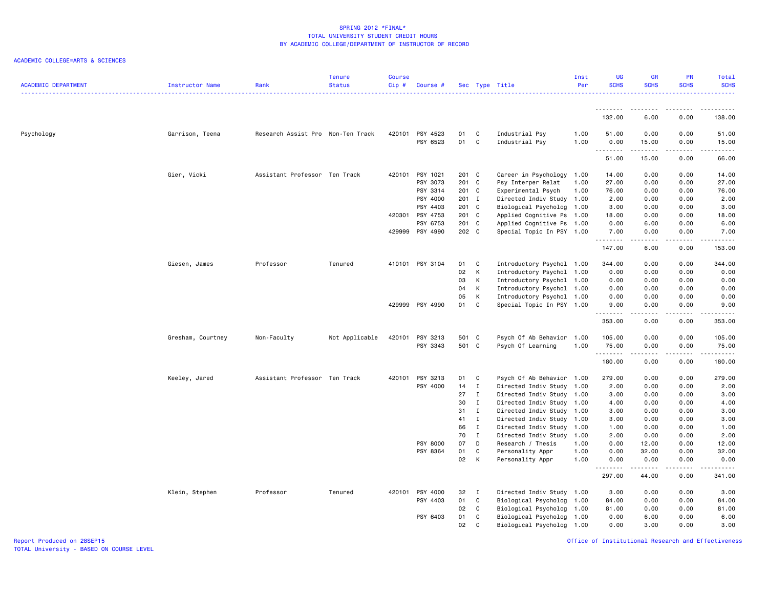### ACADEMIC COLLEGE=ARTS & SCIENCES

| <b>ACADEMIC DEPARTMENT</b> | <b>Instructor Name</b> | Rank                              | <b>Tenure</b><br><b>Status</b> | <b>Course</b><br>Cip# | Course #        |          |              | Sec Type Title            | Inst<br>Per | <b>UG</b><br><b>SCHS</b> | <b>GR</b><br><b>SCHS</b> | PR<br><b>SCHS</b>            | Total<br><b>SCHS</b>                                                                                        |
|----------------------------|------------------------|-----------------------------------|--------------------------------|-----------------------|-----------------|----------|--------------|---------------------------|-------------|--------------------------|--------------------------|------------------------------|-------------------------------------------------------------------------------------------------------------|
|                            |                        |                                   |                                |                       |                 |          |              |                           |             | .                        |                          |                              |                                                                                                             |
|                            |                        |                                   |                                |                       |                 |          |              |                           |             | 132.00                   | 6.00                     | 0.00                         | 138.00                                                                                                      |
| Psychology                 | Garrison, Teena        | Research Assist Pro Non-Ten Track |                                | 420101                | PSY 4523        | 01       | C            | Industrial Psy            | 1.00        | 51.00                    | 0.00                     | 0.00                         | 51.00                                                                                                       |
|                            |                        |                                   |                                |                       | PSY 6523        | 01       | C            | Industrial Psy            | 1.00        | 0.00<br>.                | 15.00<br>.               | 0.00<br>$\frac{1}{2}$        | 15.00<br>$    -$                                                                                            |
|                            |                        |                                   |                                |                       |                 |          |              |                           |             | 51.00                    | 15.00                    | 0.00                         | 66.00                                                                                                       |
|                            | Gier, Vicki            | Assistant Professor Ten Track     |                                | 420101                | PSY 1021        | 201 C    |              | Career in Psychology      | 1.00        | 14.00                    | 0.00                     | 0.00                         | 14.00                                                                                                       |
|                            |                        |                                   |                                |                       | PSY 3073        | 201 C    |              | Psy Interper Relat        | 1.00        | 27.00                    | 0.00                     | 0.00                         | 27.00                                                                                                       |
|                            |                        |                                   |                                |                       | PSY 3314        | 201 C    |              | Experimental Psych        | 1.00        | 76.00                    | 0.00                     | 0.00                         | 76.00                                                                                                       |
|                            |                        |                                   |                                |                       | PSY 4000        | 201 I    |              | Directed Indiv Study      | 1.00        | 2.00                     | 0.00                     | 0.00                         | 2.00                                                                                                        |
|                            |                        |                                   |                                |                       | PSY 4403        | 201 C    |              | Biological Psycholog 1.00 |             | 3.00                     | 0.00                     | 0.00                         | 3.00                                                                                                        |
|                            |                        |                                   |                                | 420301                | PSY 4753        | 201 C    |              | Applied Cognitive Ps 1.00 |             | 18.00                    | 0.00                     | 0.00                         | 18.00                                                                                                       |
|                            |                        |                                   |                                |                       | PSY 6753        | 201 C    |              | Applied Cognitive Ps 1.00 |             | 0.00                     | 6.00                     | 0.00                         | 6.00                                                                                                        |
|                            |                        |                                   |                                |                       | 429999 PSY 4990 | 202 C    |              | Special Topic In PSY 1.00 |             | 7.00<br>.                | 0.00<br>.                | 0.00<br>$\sim$ $\sim$ $\sim$ | 7.00<br>.                                                                                                   |
|                            |                        |                                   |                                |                       |                 |          |              |                           |             | 147.00                   | 6.00                     | 0.00                         | 153.00                                                                                                      |
|                            | Giesen, James          | Professor                         | Tenured                        |                       | 410101 PSY 3104 | 01       | C            | Introductory Psychol 1.00 |             | 344.00                   | 0.00                     | 0.00                         | 344.00                                                                                                      |
|                            |                        |                                   |                                |                       |                 | 02       | K            | Introductory Psychol 1.00 |             | 0.00                     | 0.00                     | 0.00                         | 0.00                                                                                                        |
|                            |                        |                                   |                                |                       |                 | 03       | К            | Introductory Psychol 1.00 |             | 0.00                     | 0.00                     | 0.00                         | 0.00                                                                                                        |
|                            |                        |                                   |                                |                       |                 | 04       | К            | Introductory Psychol 1.00 |             | 0.00                     | 0.00                     | 0.00                         | 0.00                                                                                                        |
|                            |                        |                                   |                                |                       |                 | 05       | К            | Introductory Psychol 1.00 |             | 0.00                     | 0.00                     | 0.00                         | 0.00                                                                                                        |
|                            |                        |                                   |                                |                       | 429999 PSY 4990 | 01       | C            | Special Topic In PSY 1.00 |             | 9.00<br>.                | 0.00<br>.                | 0.00<br>$- - -$              | 9.00<br>. <b>.</b> .                                                                                        |
|                            |                        |                                   |                                |                       |                 |          |              |                           |             | 353.00                   | 0.00                     | 0.00                         | 353.00                                                                                                      |
|                            | Gresham, Courtney      | Non-Faculty                       | Not Applicable                 | 420101                | PSY 3213        | 501 C    |              | Psych Of Ab Behavior      | 1.00        | 105.00                   | 0.00                     | 0.00                         | 105.00                                                                                                      |
|                            |                        |                                   |                                |                       | PSY 3343        | 501 C    |              | Psych Of Learning         | 1.00        | 75.00                    | 0.00                     | 0.00                         | 75.00                                                                                                       |
|                            |                        |                                   |                                |                       |                 |          |              |                           |             | .                        | .                        | .                            | $\begin{array}{cccccccccc} \bullet & \bullet & \bullet & \bullet & \bullet & \bullet & \bullet \end{array}$ |
|                            |                        |                                   |                                |                       |                 |          |              |                           |             | 180.00                   | 0.00                     | 0.00                         | 180.00                                                                                                      |
|                            | Keeley, Jared          | Assistant Professor Ten Track     |                                | 420101                | PSY 3213        | 01       | C            | Psych Of Ab Behavior 1.00 |             | 279.00                   | 0.00                     | 0.00                         | 279.00                                                                                                      |
|                            |                        |                                   |                                |                       | PSY 4000        | 14       | $\mathbf{I}$ | Directed Indiv Study 1.00 |             | 2.00                     | 0.00                     | 0.00                         | 2.00                                                                                                        |
|                            |                        |                                   |                                |                       |                 | 27       | $\mathbf{I}$ | Directed Indiv Study 1.00 |             | 3.00                     | 0.00                     | 0.00                         | 3.00                                                                                                        |
|                            |                        |                                   |                                |                       |                 | 30       | $\mathbf I$  | Directed Indiv Study 1.00 |             | 4.00                     | 0.00                     | 0.00                         | 4.00                                                                                                        |
|                            |                        |                                   |                                |                       |                 | 31       | $\mathbf{I}$ | Directed Indiv Study 1.00 |             | 3.00                     | 0.00                     | 0.00                         | 3.00                                                                                                        |
|                            |                        |                                   |                                |                       |                 | 41       | $\mathbf{I}$ | Directed Indiv Study 1.00 |             | 3.00                     | 0.00                     | 0.00                         | 3.00                                                                                                        |
|                            |                        |                                   |                                |                       |                 | 66       | $\mathbf{I}$ | Directed Indiv Study      | 1.00        | 1.00                     | 0.00                     | 0.00                         | 1.00                                                                                                        |
|                            |                        |                                   |                                |                       |                 | 70       | $\mathbf{I}$ | Directed Indiv Study      | 1.00        | 2.00                     | 0.00                     | 0.00                         | 2.00                                                                                                        |
|                            |                        |                                   |                                |                       | PSY 8000        | 07<br>01 | D<br>C       | Research / Thesis         | 1.00        | 0.00<br>0.00             | 12.00                    | 0.00<br>0.00                 | 12.00<br>32.00                                                                                              |
|                            |                        |                                   |                                |                       | PSY 8364        |          |              | Personality Appr          | 1.00        |                          | 32.00                    |                              |                                                                                                             |
|                            |                        |                                   |                                |                       |                 | 02       | К            | Personality Appr          | 1.00        | 0.00<br>.                | 0.00<br>.                | 0.00<br>$\frac{1}{2}$        | 0.00<br>.                                                                                                   |
|                            |                        |                                   |                                |                       |                 |          |              |                           |             | 297.00                   | 44.00                    | 0.00                         | 341.00                                                                                                      |
|                            | Klein, Stephen         | Professor                         | Tenured                        |                       | 420101 PSY 4000 | 32 I     |              | Directed Indiv Study 1.00 |             | 3.00                     | 0.00                     | 0.00                         | 3.00                                                                                                        |
|                            |                        |                                   |                                |                       | PSY 4403        | 01       | C            | Biological Psycholog      | 1.00        | 84.00                    | 0.00                     | 0.00                         | 84.00                                                                                                       |
|                            |                        |                                   |                                |                       |                 | 02       | $\mathbf{C}$ | Biological Psycholog 1.00 |             | 81.00                    | 0.00                     | 0.00                         | 81.00                                                                                                       |
|                            |                        |                                   |                                |                       | PSY 6403        | 01       | C            | Biological Psycholog 1.00 |             | 0.00                     | 6.00                     | 0.00                         | 6.00                                                                                                        |
|                            |                        |                                   |                                |                       |                 | 02       | C.           | Biological Psycholog 1.00 |             | 0.00                     | 3.00                     | 0.00                         | 3.00                                                                                                        |

Office of Institutional Research and Effectiveness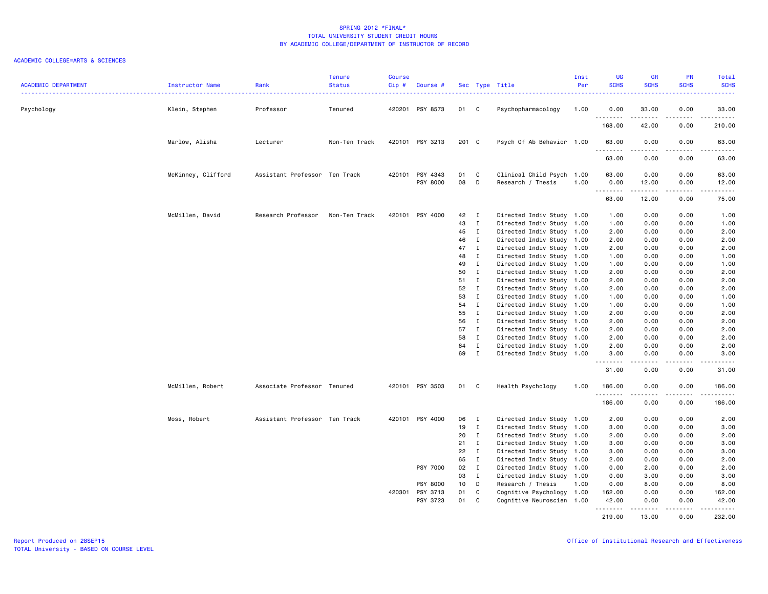| <b>ACADEMIC DEPARTMENT</b> | Instructor Name    | Rank                          | <b>Tenure</b><br><b>Status</b> | <b>Course</b><br>Cip# | Course #                    |                 |                                            | Sec Type Title                                 | Inst<br>Per | <b>UG</b><br><b>SCHS</b> | <b>GR</b><br><b>SCHS</b>                                                                                                                                     | <b>PR</b><br><b>SCHS</b>     | Total<br><b>SCHS</b><br>.                                                                                                                                    |
|----------------------------|--------------------|-------------------------------|--------------------------------|-----------------------|-----------------------------|-----------------|--------------------------------------------|------------------------------------------------|-------------|--------------------------|--------------------------------------------------------------------------------------------------------------------------------------------------------------|------------------------------|--------------------------------------------------------------------------------------------------------------------------------------------------------------|
| Psychology                 | Klein, Stephen     | Professor                     | Tenured                        |                       | 420201 PSY 8573             | 01 C            |                                            | Psychopharmacology                             | 1.00        | 0.00<br>.                | 33.00<br>.                                                                                                                                                   | 0.00<br>-----                | 33.00<br>------                                                                                                                                              |
|                            |                    |                               |                                |                       |                             |                 |                                            |                                                |             | 168.00                   | 42.00                                                                                                                                                        | 0.00                         | 210.00                                                                                                                                                       |
|                            | Marlow, Alisha     | Lecturer                      | Non-Ten Track                  |                       | 420101 PSY 3213             | 201 C           |                                            | Psych Of Ab Behavior 1.00                      |             | 63.00<br>.               | 0.00<br>$\frac{1}{2} \left( \frac{1}{2} \right) \left( \frac{1}{2} \right) \left( \frac{1}{2} \right) \left( \frac{1}{2} \right) \left( \frac{1}{2} \right)$ | 0.00<br>-----                | 63.00<br>.                                                                                                                                                   |
|                            |                    |                               |                                |                       |                             |                 |                                            |                                                |             | 63.00                    | 0.00                                                                                                                                                         | 0.00                         | 63.00                                                                                                                                                        |
|                            |                    |                               |                                |                       |                             |                 |                                            |                                                |             |                          |                                                                                                                                                              |                              |                                                                                                                                                              |
|                            | McKinney, Clifford | Assistant Professor Ten Track |                                |                       | 420101 PSY 4343<br>PSY 8000 | 01<br>08        | $\overline{\phantom{a}}$ C<br>$\mathsf{D}$ | Clinical Child Psych 1.00<br>Research / Thesis | 1.00        | 63.00<br>0.00            | 0.00<br>12.00                                                                                                                                                | 0.00<br>0.00                 | 63.00<br>12.00                                                                                                                                               |
|                            |                    |                               |                                |                       |                             |                 |                                            |                                                |             | .                        | المتمامين                                                                                                                                                    | المتمامين                    | $\frac{1}{2} \left( \frac{1}{2} \right) \left( \frac{1}{2} \right) \left( \frac{1}{2} \right) \left( \frac{1}{2} \right) \left( \frac{1}{2} \right)$         |
|                            |                    |                               |                                |                       |                             |                 |                                            |                                                |             | 63.00                    | 12.00                                                                                                                                                        | 0.00                         | 75.00                                                                                                                                                        |
|                            | McMillen, David    | Research Professor            | Non-Ten Track                  |                       | 420101 PSY 4000             | 42              | $\mathbf{I}$                               | Directed Indiv Study 1.00                      |             | 1.00                     | 0.00                                                                                                                                                         | 0.00                         | 1.00                                                                                                                                                         |
|                            |                    |                               |                                |                       |                             | 43              | $\mathbf{I}$                               | Directed Indiv Study 1.00                      |             | 1.00                     | 0.00                                                                                                                                                         | 0.00                         | 1.00                                                                                                                                                         |
|                            |                    |                               |                                |                       |                             | 45              | $\mathbf{I}$                               | Directed Indiv Study 1.00                      |             | 2.00                     | 0.00                                                                                                                                                         | 0.00                         | 2.00                                                                                                                                                         |
|                            |                    |                               |                                |                       |                             | 46              | $\mathbf{I}$                               | Directed Indiv Study 1.00                      |             | 2.00                     | 0.00                                                                                                                                                         | 0.00                         | 2.00                                                                                                                                                         |
|                            |                    |                               |                                |                       |                             | 47              | $\blacksquare$                             | Directed Indiv Study 1.00                      |             | 2.00                     | 0.00                                                                                                                                                         | 0.00                         | 2.00                                                                                                                                                         |
|                            |                    |                               |                                |                       |                             | 48              | $\mathbf{I}$                               | Directed Indiv Study 1.00                      |             | 1.00                     | 0.00                                                                                                                                                         | 0.00                         | 1.00                                                                                                                                                         |
|                            |                    |                               |                                |                       |                             | 49              | $\mathbf{I}$                               | Directed Indiv Study 1.00                      |             | 1.00                     | 0.00                                                                                                                                                         | 0.00                         | 1.00                                                                                                                                                         |
|                            |                    |                               |                                |                       |                             | 50              | $\mathbf{I}$                               | Directed Indiv Study 1.00                      |             | 2.00                     | 0.00                                                                                                                                                         | 0.00                         | 2.00                                                                                                                                                         |
|                            |                    |                               |                                |                       |                             | 51              | $\mathbf{I}$                               | Directed Indiv Study 1.00                      |             | 2.00                     | 0.00                                                                                                                                                         | 0.00                         | 2.00                                                                                                                                                         |
|                            |                    |                               |                                |                       |                             | 52 I            |                                            | Directed Indiv Study 1.00                      |             | 2.00                     | 0.00                                                                                                                                                         | 0.00                         | 2.00                                                                                                                                                         |
|                            |                    |                               |                                |                       |                             | 53              | $\mathbf{I}$                               | Directed Indiv Study 1.00                      |             | 1.00                     | 0.00                                                                                                                                                         | 0.00                         | 1.00                                                                                                                                                         |
|                            |                    |                               |                                |                       |                             | 54              | $\mathbf{I}$                               | Directed Indiv Study 1.00                      |             | 1.00                     | 0.00                                                                                                                                                         | 0.00                         | 1.00                                                                                                                                                         |
|                            |                    |                               |                                |                       |                             | 55              | $\mathbf{I}$                               | Directed Indiv Study 1.00                      |             | 2.00                     | 0.00                                                                                                                                                         | 0.00                         | 2.00                                                                                                                                                         |
|                            |                    |                               |                                |                       |                             | 56              | $\mathbf{I}$                               | Directed Indiv Study 1.00                      |             | 2.00                     | 0.00                                                                                                                                                         | 0.00                         | 2.00                                                                                                                                                         |
|                            |                    |                               |                                |                       |                             | 57 I            |                                            | Directed Indiv Study 1.00                      |             | 2.00                     | 0.00                                                                                                                                                         | 0.00                         | 2.00                                                                                                                                                         |
|                            |                    |                               |                                |                       |                             | 58              | $\mathbf{I}$                               | Directed Indiv Study 1.00                      |             | 2.00                     | 0.00                                                                                                                                                         | 0.00                         | 2.00                                                                                                                                                         |
|                            |                    |                               |                                |                       |                             | 64              | $\mathbf{I}$                               | Directed Indiv Study 1.00                      |             | 2.00                     | 0.00                                                                                                                                                         | 0.00                         | 2.00                                                                                                                                                         |
|                            |                    |                               |                                |                       |                             | 69 I            |                                            | Directed Indiv Study 1.00                      |             | 3.00<br>.                | 0.00<br>.                                                                                                                                                    | 0.00<br>.                    | 3.00<br>$\frac{1}{2} \left( \frac{1}{2} \right) \left( \frac{1}{2} \right) \left( \frac{1}{2} \right) \left( \frac{1}{2} \right) \left( \frac{1}{2} \right)$ |
|                            |                    |                               |                                |                       |                             |                 |                                            |                                                |             | 31.00                    | 0.00                                                                                                                                                         | 0.00                         | 31.00                                                                                                                                                        |
|                            | McMillen, Robert   | Associate Professor Tenured   |                                |                       | 420101 PSY 3503             | 01 C            |                                            | Health Psychology                              | 1.00        | 186.00                   | 0.00                                                                                                                                                         | 0.00<br>$\sim$ $\sim$ $\sim$ | 186.00<br>.                                                                                                                                                  |
|                            |                    |                               |                                |                       |                             |                 |                                            |                                                |             | 186.00                   | 0.00                                                                                                                                                         | 0.00                         | 186.00                                                                                                                                                       |
|                            | Moss, Robert       | Assistant Professor Ten Track |                                |                       | 420101 PSY 4000             | 06              | $\blacksquare$                             | Directed Indiv Study 1.00                      |             | 2.00                     | 0.00                                                                                                                                                         | 0.00                         | 2.00                                                                                                                                                         |
|                            |                    |                               |                                |                       |                             | 19              | $\mathbf{I}$                               | Directed Indiv Study 1.00                      |             | 3.00                     | 0.00                                                                                                                                                         | 0.00                         | 3.00                                                                                                                                                         |
|                            |                    |                               |                                |                       |                             | 20              | $\mathbf{I}$                               | Directed Indiv Study 1.00                      |             | 2.00                     | 0.00                                                                                                                                                         | 0.00                         | 2.00                                                                                                                                                         |
|                            |                    |                               |                                |                       |                             | 21              | $\mathbf{I}$                               | Directed Indiv Study 1.00                      |             | 3.00                     | 0.00                                                                                                                                                         | 0.00                         | 3.00                                                                                                                                                         |
|                            |                    |                               |                                |                       |                             | 22              | $\mathbf{I}$                               | Directed Indiv Study 1.00                      |             | 3.00                     | 0.00                                                                                                                                                         | 0.00                         | 3.00                                                                                                                                                         |
|                            |                    |                               |                                |                       |                             | 65              | $\mathbf{I}$                               | Directed Indiv Study 1.00                      |             | 2.00                     | 0.00                                                                                                                                                         | 0.00                         | 2.00                                                                                                                                                         |
|                            |                    |                               |                                |                       | PSY 7000                    | 02              | $\mathbf{I}$                               | Directed Indiv Study 1.00                      |             | 0.00                     | 2.00                                                                                                                                                         | 0.00                         | 2.00                                                                                                                                                         |
|                            |                    |                               |                                |                       |                             | 03              | $\mathbf{I}$                               | Directed Indiv Study 1.00                      |             | 0.00                     | 3.00                                                                                                                                                         | 0.00                         | 3.00                                                                                                                                                         |
|                            |                    |                               |                                |                       | <b>PSY 8000</b>             | 10 <sub>1</sub> | $\mathsf{D}$                               | Research / Thesis                              | 1.00        | 0.00                     | 8.00                                                                                                                                                         | 0.00                         | 8.00                                                                                                                                                         |
|                            |                    |                               |                                |                       | 420301 PSY 3713             | 01 C            |                                            | Cognitive Psychology 1.00                      |             | 162.00                   | 0.00                                                                                                                                                         | 0.00                         | 162.00                                                                                                                                                       |
|                            |                    |                               |                                |                       | PSY 3723                    | 01 C            |                                            | Cognitive Neuroscien 1.00                      |             | 42.00                    | 0.00                                                                                                                                                         | 0.00                         | 42.00                                                                                                                                                        |
|                            |                    |                               |                                |                       |                             |                 |                                            |                                                |             | .<br>219.00              | 13.00                                                                                                                                                        | .<br>0.00                    | .<br>232.00                                                                                                                                                  |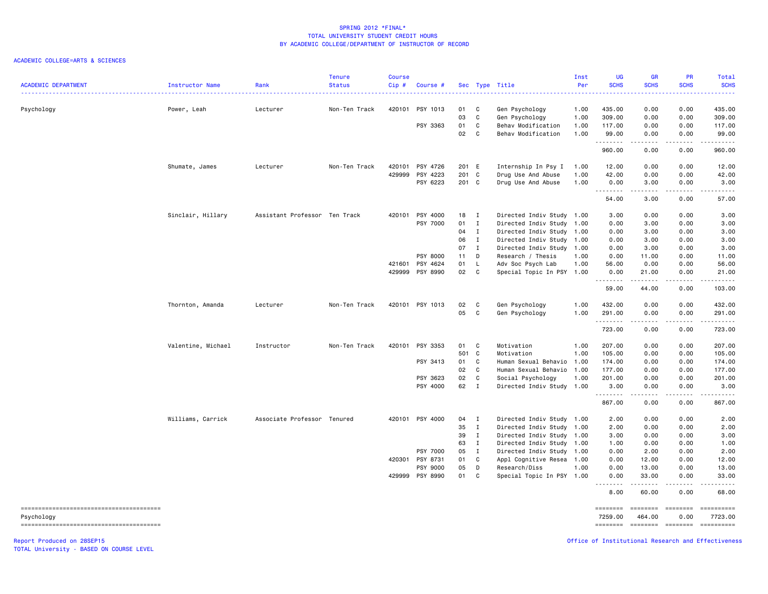### ACADEMIC COLLEGE=ARTS & SCIENCES

| <b>ACADEMIC DEPARTMENT</b> | Instructor Name    | Rank                          | <b>Tenure</b><br><b>Status</b> | Course<br>Cip# | Course #        |       |              | Sec Type Title            | Inst<br>Per | <b>UG</b><br><b>SCHS</b> | <b>GR</b><br><b>SCHS</b> | PR<br><b>SCHS</b>                                                                                                                                                                                                                                                                                                                                                                                                                                                                                                                 | Total<br><b>SCHS</b>                                                                                                                                           |
|----------------------------|--------------------|-------------------------------|--------------------------------|----------------|-----------------|-------|--------------|---------------------------|-------------|--------------------------|--------------------------|-----------------------------------------------------------------------------------------------------------------------------------------------------------------------------------------------------------------------------------------------------------------------------------------------------------------------------------------------------------------------------------------------------------------------------------------------------------------------------------------------------------------------------------|----------------------------------------------------------------------------------------------------------------------------------------------------------------|
| Psychology                 | Power, Leah        | Lecturer                      | Non-Ten Track                  | 420101         | PSY 1013        | 01    | C            | Gen Psychology            | 1.00        | 435.00                   | 0.00                     | 0.00                                                                                                                                                                                                                                                                                                                                                                                                                                                                                                                              | 435.00                                                                                                                                                         |
|                            |                    |                               |                                |                |                 | 03    | $\mathtt{C}$ | Gen Psychology            | 1.00        | 309.00                   | 0.00                     | 0.00                                                                                                                                                                                                                                                                                                                                                                                                                                                                                                                              | 309.00                                                                                                                                                         |
|                            |                    |                               |                                |                | PSY 3363        | 01    | C            | Behav Modification        | 1.00        | 117.00                   | 0.00                     | 0.00                                                                                                                                                                                                                                                                                                                                                                                                                                                                                                                              | 117.00                                                                                                                                                         |
|                            |                    |                               |                                |                |                 | 02    | C            | Behav Modification        | 1.00        | 99.00                    | 0.00                     | 0.00                                                                                                                                                                                                                                                                                                                                                                                                                                                                                                                              | 99.00                                                                                                                                                          |
|                            |                    |                               |                                |                |                 |       |              |                           |             | .<br>960.00              | .<br>0.00                | $\frac{1}{2}$<br>0.00                                                                                                                                                                                                                                                                                                                                                                                                                                                                                                             | <u>.</u><br>960.00                                                                                                                                             |
|                            | Shumate, James     | Lecturer                      | Non-Ten Track                  |                | 420101 PSY 4726 | 201 E |              | Internship In Psy I       | 1.00        | 12.00                    | 0.00                     | 0.00                                                                                                                                                                                                                                                                                                                                                                                                                                                                                                                              | 12.00                                                                                                                                                          |
|                            |                    |                               |                                | 429999         | PSY 4223        | 201 C |              | Drug Use And Abuse        | 1.00        | 42.00                    | 0.00                     | 0.00                                                                                                                                                                                                                                                                                                                                                                                                                                                                                                                              | 42.00                                                                                                                                                          |
|                            |                    |                               |                                |                | PSY 6223        | 201 C |              | Drug Use And Abuse        | 1.00        | 0.00                     | 3.00                     | 0.00                                                                                                                                                                                                                                                                                                                                                                                                                                                                                                                              | 3.00                                                                                                                                                           |
|                            |                    |                               |                                |                |                 |       |              |                           |             | .<br>54.00               | .<br>3.00                | 0.00                                                                                                                                                                                                                                                                                                                                                                                                                                                                                                                              | والموالي الموالي<br>57.00                                                                                                                                      |
|                            | Sinclair, Hillary  | Assistant Professor Ten Track |                                | 420101         | PSY 4000        | 18    | $\mathbf{I}$ | Directed Indiv Study 1.00 |             | 3.00                     | 0.00                     | 0.00                                                                                                                                                                                                                                                                                                                                                                                                                                                                                                                              | 3.00                                                                                                                                                           |
|                            |                    |                               |                                |                | PSY 7000        | 01    | $\mathbf{I}$ | Directed Indiv Study 1.00 |             | 0.00                     | 3.00                     | 0.00                                                                                                                                                                                                                                                                                                                                                                                                                                                                                                                              | 3.00                                                                                                                                                           |
|                            |                    |                               |                                |                |                 | 04    | $\mathbf{I}$ | Directed Indiv Study 1.00 |             | 0.00                     | 3.00                     | 0.00                                                                                                                                                                                                                                                                                                                                                                                                                                                                                                                              | 3.00                                                                                                                                                           |
|                            |                    |                               |                                |                |                 | 06    | $\mathbf{I}$ | Directed Indiv Study 1.00 |             | 0.00                     | 3.00                     | 0.00                                                                                                                                                                                                                                                                                                                                                                                                                                                                                                                              | 3.00                                                                                                                                                           |
|                            |                    |                               |                                |                |                 | 07    | $\mathbf{I}$ | Directed Indiv Study 1.00 |             | 0.00                     | 3.00                     | 0.00                                                                                                                                                                                                                                                                                                                                                                                                                                                                                                                              | 3.00                                                                                                                                                           |
|                            |                    |                               |                                |                | PSY 8000        | 11    | D            | Research / Thesis         | 1.00        | 0.00                     | 11.00                    | 0.00                                                                                                                                                                                                                                                                                                                                                                                                                                                                                                                              | 11.00                                                                                                                                                          |
|                            |                    |                               |                                | 421601         | PSY 4624        | 01    | L            | Adv Soc Psych Lab         | 1.00        | 56.00                    | 0.00                     | 0.00                                                                                                                                                                                                                                                                                                                                                                                                                                                                                                                              | 56.00                                                                                                                                                          |
|                            |                    |                               |                                |                | 429999 PSY 8990 | 02    | $\mathbf{C}$ | Special Topic In PSY 1.00 |             | 0.00<br>.                | 21.00<br>.               | 0.00<br>.                                                                                                                                                                                                                                                                                                                                                                                                                                                                                                                         | 21.00<br>.                                                                                                                                                     |
|                            |                    |                               |                                |                |                 |       |              |                           |             | 59.00                    | 44.00                    | 0.00                                                                                                                                                                                                                                                                                                                                                                                                                                                                                                                              | 103.00                                                                                                                                                         |
|                            | Thornton, Amanda   | Lecturer                      | Non-Ten Track                  |                | 420101 PSY 1013 | 02    | $\mathbf{C}$ | Gen Psychology            | 1.00        | 432.00                   | 0.00                     | 0.00                                                                                                                                                                                                                                                                                                                                                                                                                                                                                                                              | 432.00                                                                                                                                                         |
|                            |                    |                               |                                |                |                 | 05    | $\mathbf{C}$ | Gen Psychology            | 1.00        | 291.00                   | 0.00                     | 0.00                                                                                                                                                                                                                                                                                                                                                                                                                                                                                                                              | 291.00                                                                                                                                                         |
|                            |                    |                               |                                |                |                 |       |              |                           |             | .<br>723.00              | 0.00                     | .<br>0.00                                                                                                                                                                                                                                                                                                                                                                                                                                                                                                                         | 723.00                                                                                                                                                         |
|                            | Valentine, Michael | Instructor                    | Non-Ten Track                  | 420101         | PSY 3353        | 01    | C            | Motivation                | 1.00        | 207.00                   | 0.00                     | 0.00                                                                                                                                                                                                                                                                                                                                                                                                                                                                                                                              | 207.00                                                                                                                                                         |
|                            |                    |                               |                                |                |                 | 501 C |              | Motivation                | 1.00        | 105.00                   | 0.00                     | 0.00                                                                                                                                                                                                                                                                                                                                                                                                                                                                                                                              | 105.00                                                                                                                                                         |
|                            |                    |                               |                                |                | PSY 3413        | 01    | C            | Human Sexual Behavio      | 1.00        | 174.00                   | 0.00                     | 0.00                                                                                                                                                                                                                                                                                                                                                                                                                                                                                                                              | 174.00                                                                                                                                                         |
|                            |                    |                               |                                |                |                 | 02    | C            | Human Sexual Behavio 1.00 |             | 177.00                   | 0.00                     | 0.00                                                                                                                                                                                                                                                                                                                                                                                                                                                                                                                              | 177.00                                                                                                                                                         |
|                            |                    |                               |                                |                | PSY 3623        | 02    | C            | Social Psychology         | 1.00        | 201.00                   | 0.00                     | 0.00                                                                                                                                                                                                                                                                                                                                                                                                                                                                                                                              | 201.00                                                                                                                                                         |
|                            |                    |                               |                                |                | PSY 4000        | 62    | $\mathbf{I}$ | Directed Indiv Study 1.00 |             | 3.00                     | 0.00                     | 0.00                                                                                                                                                                                                                                                                                                                                                                                                                                                                                                                              | 3.00                                                                                                                                                           |
|                            |                    |                               |                                |                |                 |       |              |                           |             | .<br>867.00              | .<br>0.00                | .<br>0.00                                                                                                                                                                                                                                                                                                                                                                                                                                                                                                                         | $\frac{1}{2} \left( \frac{1}{2} \right) \left( \frac{1}{2} \right) \left( \frac{1}{2} \right) \left( \frac{1}{2} \right) \left( \frac{1}{2} \right)$<br>867.00 |
|                            | Williams, Carrick  | Associate Professor Tenured   |                                |                | 420101 PSY 4000 | 04    | $\mathbf{I}$ | Directed Indiv Study 1.00 |             | 2.00                     | 0.00                     | 0.00                                                                                                                                                                                                                                                                                                                                                                                                                                                                                                                              | 2.00                                                                                                                                                           |
|                            |                    |                               |                                |                |                 | 35    | $\mathbf{I}$ | Directed Indiv Study 1.00 |             | 2.00                     | 0.00                     | 0.00                                                                                                                                                                                                                                                                                                                                                                                                                                                                                                                              | 2.00                                                                                                                                                           |
|                            |                    |                               |                                |                |                 | 39    | $\mathbf{I}$ | Directed Indiv Study 1.00 |             | 3.00                     | 0.00                     | 0.00                                                                                                                                                                                                                                                                                                                                                                                                                                                                                                                              | 3.00                                                                                                                                                           |
|                            |                    |                               |                                |                |                 | 63    | $\mathbf{I}$ | Directed Indiv Study 1.00 |             | 1.00                     | 0.00                     | 0.00                                                                                                                                                                                                                                                                                                                                                                                                                                                                                                                              | 1.00                                                                                                                                                           |
|                            |                    |                               |                                |                | PSY 7000        | 05    | $\mathbf{I}$ | Directed Indiv Study 1.00 |             | 0.00                     | 2.00                     | 0.00                                                                                                                                                                                                                                                                                                                                                                                                                                                                                                                              | 2.00                                                                                                                                                           |
|                            |                    |                               |                                | 420301         | PSY 8731        | 01    | C            | Appl Cognitive Resea 1.00 |             | 0.00                     | 12.00                    | 0.00                                                                                                                                                                                                                                                                                                                                                                                                                                                                                                                              | 12.00                                                                                                                                                          |
|                            |                    |                               |                                |                | PSY 9000        | 05    | D            | Research/Diss             | 1.00        | 0.00                     | 13.00                    | 0.00                                                                                                                                                                                                                                                                                                                                                                                                                                                                                                                              | 13.00                                                                                                                                                          |
|                            |                    |                               |                                |                | 429999 PSY 8990 | 01    | C            | Special Topic In PSY 1.00 |             | 0.00                     | 33.00                    | 0.00                                                                                                                                                                                                                                                                                                                                                                                                                                                                                                                              | 33.00                                                                                                                                                          |
|                            |                    |                               |                                |                |                 |       |              |                           |             | .<br>8.00                | .<br>60.00               | د د د د<br>0.00                                                                                                                                                                                                                                                                                                                                                                                                                                                                                                                   | .<br>68.00                                                                                                                                                     |
| Psychology                 |                    |                               |                                |                |                 |       |              |                           |             | ========<br>7259.00      | ========<br>464.00       | $\begin{array}{c} \multicolumn{3}{c} {\small \texttt{m}} = \multicolumn{3}{c} {\small \texttt{m}} = \multicolumn{3}{c} {\small \texttt{m}} = \multicolumn{3}{c} {\small \texttt{m}} = \multicolumn{3}{c} {\small \texttt{m}} = \multicolumn{3}{c} {\small \texttt{m}} = \multicolumn{3}{c} {\small \texttt{m}} = \multicolumn{3}{c} {\small \texttt{m}} = \multicolumn{3}{c} {\small \texttt{m}} = \multicolumn{3}{c} {\small \texttt{m}} = \multicolumn{3}{c} {\small \texttt{m}} = \multicolumn{3}{c} {\small \texttt{$<br>0.00 | 7723.00                                                                                                                                                        |
|                            |                    |                               |                                |                |                 |       |              |                           |             |                          |                          |                                                                                                                                                                                                                                                                                                                                                                                                                                                                                                                                   |                                                                                                                                                                |

Report Produced on 28SEP15 Office of Institutional Research and Effectiveness

TOTAL University - BASED ON COURSE LEVEL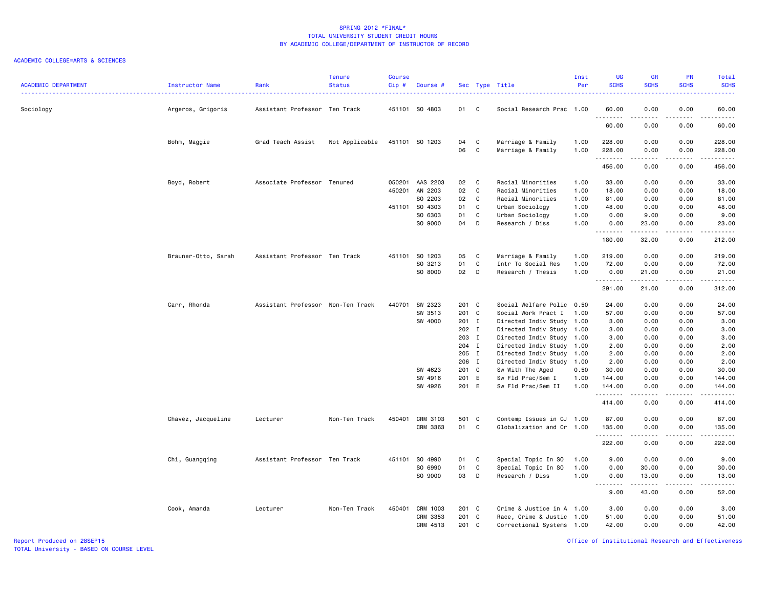### ACADEMIC COLLEGE=ARTS & SCIENCES

| <b>ACADEMIC DEPARTMENT</b> | Instructor Name     | Rank                              | <b>Tenure</b><br><b>Status</b> | <b>Course</b><br>Cip# | Course #        |          |              | Sec Type Title                         | Inst<br>Per  | <b>UG</b><br><b>SCHS</b> | <b>GR</b><br><b>SCHS</b> | PR<br><b>SCHS</b>            | Total<br><b>SCHS</b>                                                                                                            |
|----------------------------|---------------------|-----------------------------------|--------------------------------|-----------------------|-----------------|----------|--------------|----------------------------------------|--------------|--------------------------|--------------------------|------------------------------|---------------------------------------------------------------------------------------------------------------------------------|
| Sociology                  | Argeros, Grigoris   | Assistant Professor Ten Track     |                                |                       | 451101 SO 4803  | 01 C     |              | Social Research Prac 1.00              |              | 60.00                    | 0.00                     | 0.00<br>$\sim$ $\sim$ $\sim$ | 60.00<br>-----                                                                                                                  |
|                            |                     |                                   |                                |                       |                 |          |              |                                        |              | 60.00                    | 0.00                     | 0.00                         | 60.00                                                                                                                           |
|                            | Bohm, Maggie        | Grad Teach Assist                 | Not Applicable                 |                       | 451101 SO 1203  | 04<br>06 | C<br>C       | Marriage & Family<br>Marriage & Family | 1.00<br>1.00 | 228.00<br>228.00         | 0.00<br>0.00             | 0.00<br>0.00                 | 228.00<br>228.00                                                                                                                |
|                            |                     |                                   |                                |                       |                 |          |              |                                        |              | .<br>456.00              | 0.00                     | .<br>0.00                    | .<br>456.00                                                                                                                     |
|                            | Boyd, Robert        | Associate Professor Tenured       |                                |                       | 050201 AAS 2203 | 02       | $\mathbf{C}$ | Racial Minorities                      | 1.00         | 33.00                    | 0.00                     | 0.00                         | 33.00                                                                                                                           |
|                            |                     |                                   |                                |                       | 450201 AN 2203  | 02       | $\mathbf{C}$ | Racial Minorities                      | 1.00         | 18.00                    | 0.00                     | 0.00                         | 18.00                                                                                                                           |
|                            |                     |                                   |                                |                       | SO 2203         | 02       | C.           | Racial Minorities                      | 1.00         | 81.00                    | 0.00                     | 0.00                         | 81.00                                                                                                                           |
|                            |                     |                                   |                                |                       | 451101 S0 4303  | 01       | C            | Urban Sociology                        | 1.00         | 48.00                    | 0.00                     | 0.00                         | 48.00                                                                                                                           |
|                            |                     |                                   |                                |                       | SO 6303         | 01       | C            | Urban Sociology                        | 1.00         | 0.00                     | 9.00                     | 0.00                         | 9.00                                                                                                                            |
|                            |                     |                                   |                                |                       | SO 9000         | 04 D     |              | Research / Diss                        | 1.00         | 0.00<br>.                | 23.00                    | 0.00<br>.                    | 23.00<br>.                                                                                                                      |
|                            |                     |                                   |                                |                       |                 |          |              |                                        |              | 180.00                   | .<br>32.00               | 0.00                         | 212.00                                                                                                                          |
|                            | Brauner-Otto, Sarah | Assistant Professor Ten Track     |                                |                       | 451101 SO 1203  | 05       | $\mathbf{C}$ | Marriage & Family                      | 1.00         | 219.00                   | 0.00                     | 0.00                         | 219.00                                                                                                                          |
|                            |                     |                                   |                                |                       | SO 3213         | 01       | C            | Intr To Social Res                     | 1.00         | 72.00                    | 0.00                     | 0.00                         | 72.00                                                                                                                           |
|                            |                     |                                   |                                |                       | SO 8000         | 02 D     |              | Research / Thesis                      | 1.00         | 0.00<br>.                | 21.00<br>.               | 0.00<br>.                    | 21.00<br>.                                                                                                                      |
|                            |                     |                                   |                                |                       |                 |          |              |                                        |              | 291.00                   | 21.00                    | 0.00                         | 312.00                                                                                                                          |
|                            | Carr, Rhonda        | Assistant Professor Non-Ten Track |                                |                       | 440701 SW 2323  | 201 C    |              | Social Welfare Polic                   | 0.50         | 24.00                    | 0.00                     | 0.00                         | 24.00                                                                                                                           |
|                            |                     |                                   |                                |                       | SW 3513         | 201 C    |              | Social Work Pract I                    | 1.00         | 57.00                    | 0.00                     | 0.00                         | 57.00                                                                                                                           |
|                            |                     |                                   |                                |                       | SW 4000         | 201 I    |              | Directed Indiv Study                   | 1.00         | 3.00                     | 0.00                     | 0.00                         | 3.00                                                                                                                            |
|                            |                     |                                   |                                |                       |                 | 202 I    |              | Directed Indiv Study 1.00              |              | 3.00                     | 0.00                     | 0.00                         | 3.00                                                                                                                            |
|                            |                     |                                   |                                |                       |                 | 203 I    |              | Directed Indiv Study 1.00              |              | 3.00                     | 0.00                     | 0.00                         | 3.00                                                                                                                            |
|                            |                     |                                   |                                |                       |                 | 204 I    |              | Directed Indiv Study 1.00              |              | 2.00                     | 0.00                     | 0.00                         | 2.00                                                                                                                            |
|                            |                     |                                   |                                |                       |                 | 205 I    |              | Directed Indiv Study 1.00              |              | 2.00                     | 0.00                     | 0.00                         | 2.00                                                                                                                            |
|                            |                     |                                   |                                |                       |                 | 206 I    |              | Directed Indiv Study 1.00              |              | 2.00                     | 0.00                     | 0.00                         | 2.00                                                                                                                            |
|                            |                     |                                   |                                |                       | SW 4623         | 201 C    |              | Sw With The Aged                       | 0.50         | 30.00                    | 0.00                     | 0.00                         | 30.00                                                                                                                           |
|                            |                     |                                   |                                |                       | SW 4916         | 201 E    |              | Sw Fld Prac/Sem I                      | 1.00         | 144.00                   | 0.00                     | 0.00                         | 144.00                                                                                                                          |
|                            |                     |                                   |                                |                       | SW 4926         | 201 E    |              | Sw Fld Prac/Sem II                     | 1.00         | 144.00<br>.              | 0.00<br>.                | 0.00<br>.                    | 144.00<br>$\begin{array}{cccccccccc} \bullet & \bullet & \bullet & \bullet & \bullet & \bullet & \bullet & \bullet \end{array}$ |
|                            |                     |                                   |                                |                       |                 |          |              |                                        |              | 414.00                   | 0.00                     | 0.00                         | 414.00                                                                                                                          |
|                            | Chavez, Jacqueline  | Lecturer                          | Non-Ten Track                  | 450401                | CRM 3103        | 501 C    |              | Contemp Issues in CJ 1.00              |              | 87.00                    | 0.00                     | 0.00                         | 87.00                                                                                                                           |
|                            |                     |                                   |                                |                       | CRM 3363        | 01       | C            | Globalization and Cr 1.00              |              | 135.00                   | 0.00                     | 0.00                         | 135.00                                                                                                                          |
|                            |                     |                                   |                                |                       |                 |          |              |                                        |              | .<br>222.00              | .<br>0.00                | .<br>0.00                    | <u>.</u><br>222.00                                                                                                              |
|                            | Chi, Guangqing      | Assistant Professor Ten Track     |                                |                       | 451101 SO 4990  | 01       | C            | Special Topic In SO                    | 1.00         | 9.00                     | 0.00                     | 0.00                         | 9.00                                                                                                                            |
|                            |                     |                                   |                                |                       | SO 6990         | 01       | C            | Special Topic In SO                    | 1.00         | 0.00                     | 30.00                    | 0.00                         | 30.00                                                                                                                           |
|                            |                     |                                   |                                |                       | SO 9000         | 03       | <b>D</b>     | Research / Diss                        | 1.00         | 0.00<br><u>.</u>         | 13.00<br>.               | 0.00<br>.                    | 13.00<br>$\sim$                                                                                                                 |
|                            |                     |                                   |                                |                       |                 |          |              |                                        |              | 9.00                     | 43.00                    | 0.00                         | 52.00                                                                                                                           |
|                            | Cook, Amanda        | Lecturer                          | Non-Ten Track                  |                       | 450401 CRM 1003 | 201 C    |              | Crime & Justice in A 1.00              |              | 3.00                     | 0.00                     | 0.00                         | 3.00                                                                                                                            |
|                            |                     |                                   |                                |                       | CRM 3353        | 201 C    |              | Race, Crime & Justic 1.00              |              | 51.00                    | 0.00                     | 0.00                         | 51.00                                                                                                                           |
|                            |                     |                                   |                                |                       | CRM 4513        | 201 C    |              | Correctional Systems 1.00              |              | 42.00                    | 0.00                     | 0.00                         | 42.00                                                                                                                           |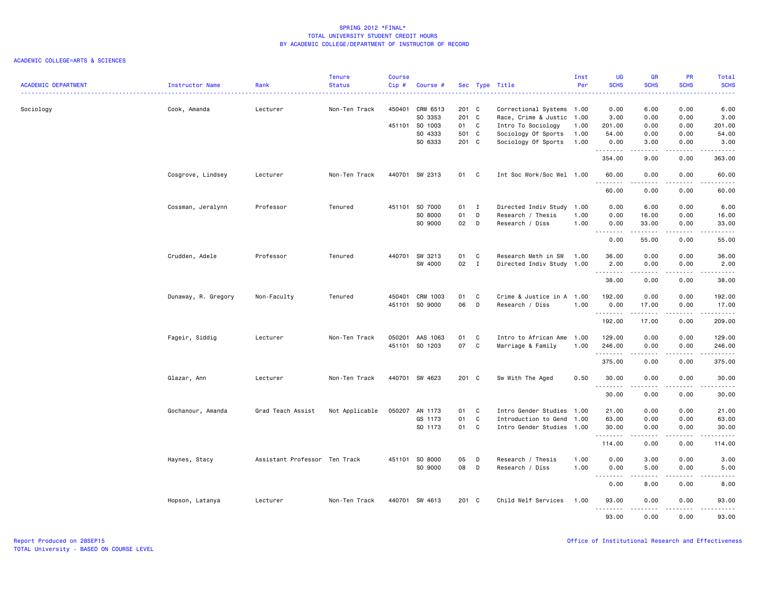| <b>ACADEMIC DEPARTMENT</b> | Instructor Name     | Rank                          | <b>Tenure</b><br><b>Status</b> | <b>Course</b><br>Cip# | Course #        |       |                | Sec Type Title            | Inst<br>Per | <b>UG</b><br><b>SCHS</b> | <b>GR</b><br><b>SCHS</b> | PR<br><b>SCHS</b>                   | Total<br><b>SCHS</b>                                                                                                                                          |
|----------------------------|---------------------|-------------------------------|--------------------------------|-----------------------|-----------------|-------|----------------|---------------------------|-------------|--------------------------|--------------------------|-------------------------------------|---------------------------------------------------------------------------------------------------------------------------------------------------------------|
|                            |                     |                               |                                |                       |                 |       |                |                           |             |                          |                          |                                     | .                                                                                                                                                             |
| Sociology                  | Cook, Amanda        | Lecturer                      | Non-Ten Track                  | 450401                | CRM 6513        | 201 C |                | Correctional Systems 1.00 |             | 0.00                     | 6.00                     | 0.00                                | 6.00                                                                                                                                                          |
|                            |                     |                               |                                |                       | SO 3353         | 201 C |                | Race, Crime & Justic      | 1.00        | 3.00                     | 0.00                     | 0.00                                | 3.00                                                                                                                                                          |
|                            |                     |                               |                                |                       | 451101 SO 1003  | 01 C  |                | Intro To Sociology        | 1.00        | 201.00                   | 0.00                     | 0.00                                | 201.00                                                                                                                                                        |
|                            |                     |                               |                                |                       | SO 4333         | 501 C |                | Sociology Of Sports       | 1.00        | 54.00                    | 0.00                     | 0.00                                | 54.00                                                                                                                                                         |
|                            |                     |                               |                                |                       | SO 6333         | 201 C |                | Sociology Of Sports       | 1.00        | 0.00                     | 3.00<br>.                | 0.00<br>$\sim$ $\sim$ $\sim$ $\sim$ | 3.00                                                                                                                                                          |
|                            |                     |                               |                                |                       |                 |       |                |                           |             | .<br>354.00              | 9.00                     | 0.00                                | ------<br>363.00                                                                                                                                              |
|                            | Cosgrove, Lindsey   | Lecturer                      | Non-Ten Track                  |                       | 440701 SW 2313  | 01 C  |                | Int Soc Work/Soc Wel 1.00 |             | 60.00<br>.               | 0.00<br>.                | 0.00<br>$\frac{1}{2}$               | 60.00<br>$\frac{1}{2} \left( \frac{1}{2} \right) \left( \frac{1}{2} \right) \left( \frac{1}{2} \right) \left( \frac{1}{2} \right) \left( \frac{1}{2} \right)$ |
|                            |                     |                               |                                |                       |                 |       |                |                           |             | 60.00                    | 0.00                     | 0.00                                | 60.00                                                                                                                                                         |
|                            | Cossman, Jeralynn   | Professor                     | Tenured                        |                       | 451101 S0 7000  | 01 I  |                | Directed Indiv Study      | 1.00        | 0.00                     | 6.00                     | 0.00                                | 6.00                                                                                                                                                          |
|                            |                     |                               |                                |                       | SO 8000         | 01    | D              | Research / Thesis         | 1.00        | 0.00                     | 16.00                    | 0.00                                | 16.00                                                                                                                                                         |
|                            |                     |                               |                                |                       | SO 9000         | 02    | D              | Research / Diss           | 1.00        | 0.00                     | 33.00                    | 0.00                                | 33.00                                                                                                                                                         |
|                            |                     |                               |                                |                       |                 |       |                |                           |             | --------<br>0.00         | .<br>55.00               | .<br>0.00                           | $\frac{1}{2} \left( \frac{1}{2} \right) \left( \frac{1}{2} \right) \left( \frac{1}{2} \right) \left( \frac{1}{2} \right) \left( \frac{1}{2} \right)$<br>55.00 |
|                            | Crudden, Adele      | Professor                     | Tenured                        |                       | 440701 SW 3213  | 01    | C              | Research Meth in SW       | 1.00        | 36.00                    | 0.00                     | 0.00                                | 36.00                                                                                                                                                         |
|                            |                     |                               |                                |                       | SW 4000         | 02    | $\mathbf{I}$   | Directed Indiv Study 1.00 |             | 2.00                     | 0.00                     | 0.00                                | 2.00                                                                                                                                                          |
|                            |                     |                               |                                |                       |                 |       |                |                           |             | .<br>38.00               | .<br>0.00                | .<br>0.00                           | $\frac{1}{2} \left( \frac{1}{2} \right) \left( \frac{1}{2} \right) \left( \frac{1}{2} \right) \left( \frac{1}{2} \right) \left( \frac{1}{2} \right)$<br>38.00 |
|                            | Dunaway, R. Gregory | Non-Faculty                   | Tenured                        |                       | 450401 CRM 1003 | 01    | C              | Crime & Justice in A 1.00 |             | 192.00                   | 0.00                     | 0.00                                | 192.00                                                                                                                                                        |
|                            |                     |                               |                                |                       | 451101 SO 9000  | 06    | $\Box$         | Research / Diss           | 1.00        | 0.00                     | 17.00                    | 0.00                                | 17.00                                                                                                                                                         |
|                            |                     |                               |                                |                       |                 |       |                |                           |             | .<br>192.00              | .<br>17.00               | .<br>0.00                           | $\sim$ $\sim$ $\sim$ $\sim$ $\sim$ $\sim$<br>209.00                                                                                                           |
|                            | Fageir, Siddig      | Lecturer                      | Non-Ten Track                  | 050201                | AAS 1063        | 01    | C.             | Intro to African Ame      | 1.00        | 129.00                   | 0.00                     | 0.00                                | 129.00                                                                                                                                                        |
|                            |                     |                               |                                |                       | 451101 S0 1203  | 07 C  |                | Marriage & Family         | 1.00        | 246.00                   | 0.00                     | 0.00                                | 246.00                                                                                                                                                        |
|                            |                     |                               |                                |                       |                 |       |                |                           |             | .<br>375.00              | 0.00                     | $\sim$ $\sim$ $\sim$<br>0.00        | .<br>375.00                                                                                                                                                   |
|                            | Glazar, Ann         | Lecturer                      | Non-Ten Track                  |                       | 440701 SW 4623  | 201 C |                | Sw With The Aged          | 0.50        | 30.00                    | 0.00                     | 0.00                                | 30.00                                                                                                                                                         |
|                            |                     |                               |                                |                       |                 |       |                |                           |             | .<br>30.00               | .<br>0.00                | $\frac{1}{2}$<br>0.00               | .<br>30.00                                                                                                                                                    |
|                            |                     |                               |                                |                       |                 |       |                |                           |             |                          |                          |                                     |                                                                                                                                                               |
|                            | Gochanour, Amanda   | Grad Teach Assist             | Not Applicable                 |                       | 050207 AN 1173  | 01 C  |                | Intro Gender Studies      | 1.00        | 21.00                    | 0.00                     | 0.00                                | 21.00                                                                                                                                                         |
|                            |                     |                               |                                |                       | GS 1173         | 01    | $\mathbf{C}$   | Introduction to Gend      | 1.00        | 63.00                    | 0.00                     | 0.00                                | 63.00                                                                                                                                                         |
|                            |                     |                               |                                |                       | SO 1173         | 01 C  |                | Intro Gender Studies 1.00 |             | 30.00<br>.               | 0.00<br>.                | 0.00<br>.                           | 30.00<br>.                                                                                                                                                    |
|                            |                     |                               |                                |                       |                 |       |                |                           |             | 114.00                   | 0.00                     | 0.00                                | 114.00                                                                                                                                                        |
|                            | Haynes, Stacy       | Assistant Professor Ten Track |                                |                       | 451101 SO 8000  | 05    | D              | Research / Thesis         | 1.00        | 0.00                     | 3.00                     | 0.00                                | 3.00                                                                                                                                                          |
|                            |                     |                               |                                |                       | SO 9000         | 08    | $\overline{D}$ | Research / Diss           | 1.00        | 0.00<br>.                | 5.00<br>.                | 0.00<br>$- - - -$                   | 5.00<br>.                                                                                                                                                     |
|                            |                     |                               |                                |                       |                 |       |                |                           |             | 0.00                     | 8.00                     | 0.00                                | 8.00                                                                                                                                                          |
|                            | Hopson, Latanya     | Lecturer                      | Non-Ten Track                  |                       | 440701 SW 4613  | 201 C |                | Child Welf Services       | 1.00        | 93.00<br>.               | 0.00<br>-----            | 0.00<br>.                           | 93.00<br>.                                                                                                                                                    |
|                            |                     |                               |                                |                       |                 |       |                |                           |             | 93.00                    | 0.00                     | 0.00                                | 93.00                                                                                                                                                         |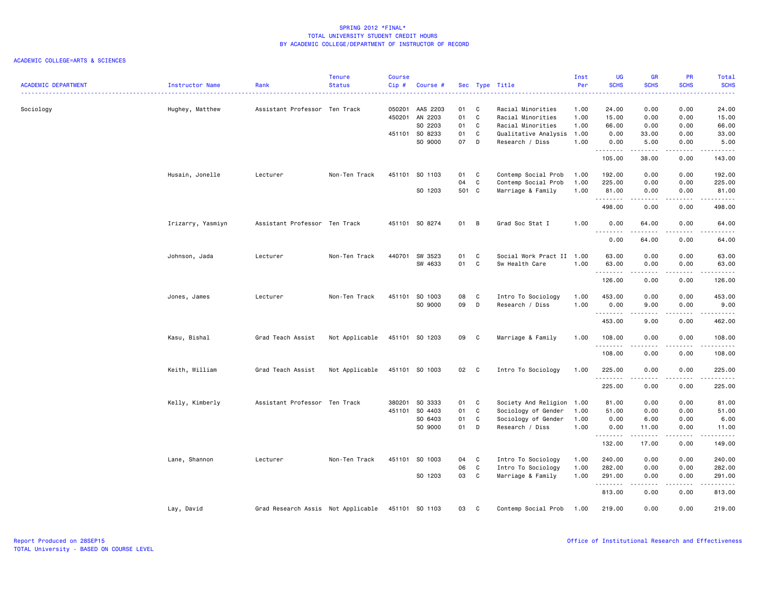| <b>ACADEMIC DEPARTMENT</b> | Instructor Name   | Rank                               | <b>Tenure</b><br><b>Status</b> | Course<br>Cip# | Course #                   |          |                          | Sec Type Title                         | Inst<br>Per  | <b>UG</b><br><b>SCHS</b> | <b>GR</b><br><b>SCHS</b> | PR<br><b>SCHS</b>     | Total<br><b>SCHS</b>                                                                                                                                           |
|----------------------------|-------------------|------------------------------------|--------------------------------|----------------|----------------------------|----------|--------------------------|----------------------------------------|--------------|--------------------------|--------------------------|-----------------------|----------------------------------------------------------------------------------------------------------------------------------------------------------------|
| Sociology                  | Hughey, Matthew   | Assistant Professor Ten Track      |                                | 450201         | 050201 AAS 2203<br>AN 2203 | 01<br>01 | <b>C</b><br>$\mathbf{C}$ | Racial Minorities<br>Racial Minorities | 1.00<br>1.00 | 24.00<br>15.00           | 0.00<br>0.00             | 0.00<br>0.00          | 24.00<br>15.00                                                                                                                                                 |
|                            |                   |                                    |                                |                | SO 2203                    | 01       | C                        | Racial Minorities                      | 1.00         | 66.00                    | 0.00                     | 0.00                  | 66.00                                                                                                                                                          |
|                            |                   |                                    |                                |                | 451101 SO 8233             | 01       | C                        | Qualitative Analysis                   | 1.00         | 0.00                     | 33.00                    | 0.00                  | 33.00                                                                                                                                                          |
|                            |                   |                                    |                                |                | SO 9000                    | 07 D     |                          | Research / Diss                        | 1.00         | 0.00<br>.                | 5.00                     | 0.00<br>.             | 5.00<br>.                                                                                                                                                      |
|                            |                   |                                    |                                |                |                            |          |                          |                                        |              | 105.00                   | 38.00                    | 0.00                  | 143.00                                                                                                                                                         |
|                            | Husain, Jonelle   | Lecturer                           | Non-Ten Track                  |                | 451101 SO 1103             | 01       | C <sub>1</sub>           | Contemp Social Prob                    | 1.00         | 192.00                   | 0.00                     | 0.00                  | 192.00                                                                                                                                                         |
|                            |                   |                                    |                                |                |                            | 04       | $\mathbf{C}$             | Contemp Social Prob                    | 1.00         | 225.00                   | 0.00                     | 0.00                  | 225.00                                                                                                                                                         |
|                            |                   |                                    |                                |                | SO 1203                    | 501 C    |                          | Marriage & Family                      | 1.00         | 81.00<br>.               | 0.00<br>.                | 0.00<br>.             | 81.00<br>.                                                                                                                                                     |
|                            |                   |                                    |                                |                |                            |          |                          |                                        |              | 498.00                   | 0.00                     | 0.00                  | 498.00                                                                                                                                                         |
|                            | Irizarry, Yasmiyn | Assistant Professor Ten Track      |                                |                | 451101 SO 8274             | 01       | B                        | Grad Soc Stat I                        | 1.00         | 0.00<br>.                | 64.00<br>$- - - - -$     | 0.00<br>$\frac{1}{2}$ | 64.00<br>$\frac{1}{2} \left( \frac{1}{2} \right) \left( \frac{1}{2} \right) \left( \frac{1}{2} \right) \left( \frac{1}{2} \right) \left( \frac{1}{2} \right)$  |
|                            |                   |                                    |                                |                |                            |          |                          |                                        |              | 0.00                     | 64.00                    | 0.00                  | 64.00                                                                                                                                                          |
|                            | Johnson, Jada     | Lecturer                           | Non-Ten Track                  |                | 440701 SW 3523             | 01       | C                        | Social Work Pract II                   | 1.00         | 63.00                    | 0.00                     | 0.00                  | 63.00                                                                                                                                                          |
|                            |                   |                                    |                                |                | SW 4633                    | 01       | C                        | Sw Health Care                         | 1.00         | 63.00                    | 0.00                     | 0.00                  | 63.00                                                                                                                                                          |
|                            |                   |                                    |                                |                |                            |          |                          |                                        |              | .                        | -----                    | الأعامات              | .                                                                                                                                                              |
|                            |                   |                                    |                                |                |                            |          |                          |                                        |              | 126.00                   | 0.00                     | 0.00                  | 126.00                                                                                                                                                         |
|                            | Jones, James      | Lecturer                           | Non-Ten Track                  |                | 451101 SO 1003             | 08       | $\mathbf{C}$             | Intro To Sociology                     | 1.00         | 453.00                   | 0.00                     | 0.00                  | 453.00                                                                                                                                                         |
|                            |                   |                                    |                                |                | SO 9000                    | 09       | D                        | Research / Diss                        | 1.00         | 0.00                     | 9.00                     | 0.00                  | 9.00                                                                                                                                                           |
|                            |                   |                                    |                                |                |                            |          |                          |                                        |              | .                        | -----                    | .                     | .                                                                                                                                                              |
|                            |                   |                                    |                                |                |                            |          |                          |                                        |              | 453.00                   | 9.00                     | 0.00                  | 462.00                                                                                                                                                         |
|                            | Kasu, Bishal      | Grad Teach Assist                  | Not Applicable                 |                | 451101 SO 1203             | 09 C     |                          | Marriage & Family                      | 1.00         | 108.00                   | 0.00                     | 0.00                  | 108.00                                                                                                                                                         |
|                            |                   |                                    |                                |                |                            |          |                          |                                        |              | .                        |                          |                       | .                                                                                                                                                              |
|                            |                   |                                    |                                |                |                            |          |                          |                                        |              | 108.00                   | 0.00                     | 0.00                  | 108.00                                                                                                                                                         |
|                            | Keith, William    | Grad Teach Assist                  | Not Applicable                 |                | 451101 SO 1003             | 02 C     |                          | Intro To Sociology                     | 1.00         | 225.00                   | 0.00                     | 0.00                  | 225.00                                                                                                                                                         |
|                            |                   |                                    |                                |                |                            |          |                          |                                        |              | <u>.</u>                 | .                        | .                     | .                                                                                                                                                              |
|                            |                   |                                    |                                |                |                            |          |                          |                                        |              | 225.00                   | 0.00                     | 0.00                  | 225.00                                                                                                                                                         |
|                            | Kelly, Kimberly   | Assistant Professor Ten Track      |                                | 380201         | SO 3333                    | 01       | C                        | Society And Religion                   | 1.00         | 81.00                    | 0.00                     | 0.00                  | 81.00                                                                                                                                                          |
|                            |                   |                                    |                                |                | 451101 S0 4403             | 01       | C                        | Sociology of Gender                    | 1.00         | 51.00                    | 0.00                     | 0.00                  | 51.00                                                                                                                                                          |
|                            |                   |                                    |                                |                | SO 6403                    | 01       | C                        | Sociology of Gender                    | 1.00         | 0.00                     | 6.00                     | 0.00                  | 6.00                                                                                                                                                           |
|                            |                   |                                    |                                |                | SO 9000                    | 01       | $\mathsf{D}$             | Research / Diss                        | 1.00         | 0.00                     | 11.00                    | 0.00                  | 11.00                                                                                                                                                          |
|                            |                   |                                    |                                |                |                            |          |                          |                                        |              | .<br>132.00              | 17.00                    | .<br>0.00             | $\frac{1}{2} \left( \frac{1}{2} \right) \left( \frac{1}{2} \right) \left( \frac{1}{2} \right) \left( \frac{1}{2} \right) \left( \frac{1}{2} \right)$<br>149.00 |
|                            |                   |                                    |                                |                |                            |          |                          |                                        |              |                          |                          |                       |                                                                                                                                                                |
|                            | Lane, Shannon     | Lecturer                           | Non-Ten Track                  |                | 451101 SO 1003             | 04       | $\mathbf{C}$             | Intro To Sociology                     | 1.00         | 240.00                   | 0.00                     | 0.00                  | 240.00                                                                                                                                                         |
|                            |                   |                                    |                                |                |                            | 06       | C                        | Intro To Sociology                     | 1.00         | 282.00                   | 0.00                     | 0.00                  | 282.00                                                                                                                                                         |
|                            |                   |                                    |                                |                | SO 1203                    | 03       | $\mathbf{C}$             | Marriage & Family                      | 1.00         | 291.00<br>.              | 0.00<br>.                | 0.00<br>$\frac{1}{2}$ | 291.00<br>.                                                                                                                                                    |
|                            |                   |                                    |                                |                |                            |          |                          |                                        |              | 813.00                   | 0.00                     | 0.00                  | 813.00                                                                                                                                                         |
|                            | Lay, David        | Grad Research Assis Not Applicable |                                |                | 451101 SO 1103             | 03       | C                        | Contemp Social Prob                    | 1.00         | 219.00                   | 0.00                     | 0.00                  | 219.00                                                                                                                                                         |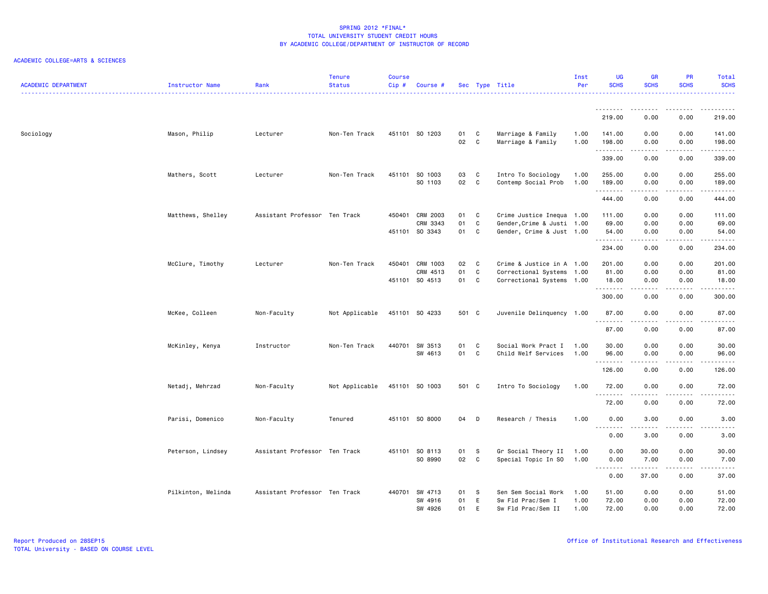| <b>ACADEMIC DEPARTMENT</b> | Instructor Name    | Rank                          | <b>Tenure</b><br><b>Status</b> | <b>Course</b><br>Cip# | Course #                  |            |              | Sec Type Title                            | Inst<br>Per  | <b>UG</b><br><b>SCHS</b> | <b>GR</b><br><b>SCHS</b> | <b>PR</b><br><b>SCHS</b>                                                                                                          | Total<br><b>SCHS</b>                                                                                                                                          |
|----------------------------|--------------------|-------------------------------|--------------------------------|-----------------------|---------------------------|------------|--------------|-------------------------------------------|--------------|--------------------------|--------------------------|-----------------------------------------------------------------------------------------------------------------------------------|---------------------------------------------------------------------------------------------------------------------------------------------------------------|
|                            |                    |                               |                                |                       |                           |            |              |                                           |              | .<br>219.00              | -----<br>0.00            | $\frac{1}{2}$<br>0.00                                                                                                             | 219.00                                                                                                                                                        |
| Sociology                  | Mason, Philip      | Lecturer                      | Non-Ten Track                  |                       | 451101 SO 1203            | 01         | C            | Marriage & Family                         | 1.00         | 141.00                   | 0.00                     | 0.00                                                                                                                              | 141.00                                                                                                                                                        |
|                            |                    |                               |                                |                       |                           | 02         | C            | Marriage & Family                         | 1.00         | 198.00<br>.              | 0.00<br>.                | 0.00<br>.                                                                                                                         | 198.00<br>.                                                                                                                                                   |
|                            |                    |                               |                                |                       |                           |            |              |                                           |              | 339.00                   | 0.00                     | 0.00                                                                                                                              | 339.00                                                                                                                                                        |
|                            | Mathers, Scott     | Lecturer                      | Non-Ten Track                  |                       | 451101 SO 1003<br>SO 1103 | 03<br>02 C | C            | Intro To Sociology<br>Contemp Social Prob | 1.00<br>1.00 | 255.00<br>189.00         | 0.00<br>0.00             | 0.00<br>0.00                                                                                                                      | 255.00<br>189.00                                                                                                                                              |
|                            |                    |                               |                                |                       |                           |            |              |                                           |              | .<br>444.00              | .<br>0.00                | .<br>0.00                                                                                                                         | $\begin{array}{cccccccccccccc} \bullet & \bullet & \bullet & \bullet & \bullet & \bullet & \bullet & \bullet \end{array}$<br>444.00                           |
|                            | Matthews, Shelley  | Assistant Professor Ten Track |                                | 450401                | CRM 2003                  | 01         | C            | Crime Justice Inequa 1.00                 |              | 111.00                   | 0.00                     | 0.00                                                                                                                              | 111.00                                                                                                                                                        |
|                            |                    |                               |                                |                       | CRM 3343                  | 01         | C            | Gender, Crime & Justi 1.00                |              | 69.00                    | 0.00                     | 0.00                                                                                                                              | 69.00                                                                                                                                                         |
|                            |                    |                               |                                |                       | 451101 SO 3343            | 01         | C            | Gender, Crime & Just 1.00                 |              | 54.00<br>.               | 0.00                     | 0.00                                                                                                                              | 54.00<br>$\frac{1}{2} \left( \frac{1}{2} \right) \left( \frac{1}{2} \right) \left( \frac{1}{2} \right) \left( \frac{1}{2} \right) \left( \frac{1}{2} \right)$ |
|                            |                    |                               |                                |                       |                           |            |              |                                           |              | 234.00                   | 0.00                     | 0.00                                                                                                                              | 234.00                                                                                                                                                        |
|                            | McClure, Timothy   | Lecturer                      | Non-Ten Track                  | 450401                | CRM 1003                  | 02         | $\mathbf{C}$ | Crime & Justice in A 1.00                 |              | 201.00                   | 0.00                     | 0.00                                                                                                                              | 201.00                                                                                                                                                        |
|                            |                    |                               |                                |                       | CRM 4513                  | 01         | C            | Correctional Systems                      | 1.00         | 81.00                    | 0.00                     | 0.00                                                                                                                              | 81.00                                                                                                                                                         |
|                            |                    |                               |                                |                       | 451101 SO 4513            | 01         | C            | Correctional Systems 1.00                 |              | 18.00<br>.               | 0.00<br>.                | 0.00<br>.                                                                                                                         | 18.00<br>.                                                                                                                                                    |
|                            |                    |                               |                                |                       |                           |            |              |                                           |              | 300.00                   | 0.00                     | 0.00                                                                                                                              | 300.00                                                                                                                                                        |
|                            | McKee, Colleen     | Non-Faculty                   | Not Applicable                 |                       | 451101 SO 4233            | 501 C      |              | Juvenile Delinquency 1.00                 |              | 87.00<br>.               | 0.00<br>.                | 0.00<br>$\frac{1}{2} \left( \frac{1}{2} \right) \left( \frac{1}{2} \right) \left( \frac{1}{2} \right) \left( \frac{1}{2} \right)$ | 87.00<br>.                                                                                                                                                    |
|                            |                    |                               |                                |                       |                           |            |              |                                           |              | 87.00                    | 0.00                     | 0.00                                                                                                                              | 87.00                                                                                                                                                         |
|                            | McKinley, Kenya    | Instructor                    | Non-Ten Track                  | 440701                | SW 3513                   | 01         | C            | Social Work Pract I                       | 1.00         | 30.00                    | 0.00                     | 0.00                                                                                                                              | 30.00                                                                                                                                                         |
|                            |                    |                               |                                |                       | SW 4613                   | 01         | C            | Child Welf Services                       | 1.00         | 96.00                    | 0.00                     | 0.00                                                                                                                              | 96.00<br>د د د د د                                                                                                                                            |
|                            |                    |                               |                                |                       |                           |            |              |                                           |              | 126.00                   | 0.00                     | 0.00                                                                                                                              | 126.00                                                                                                                                                        |
|                            | Netadj, Mehrzad    | Non-Faculty                   | Not Applicable                 |                       | 451101 SO 1003            | 501 C      |              | Intro To Sociology                        | 1.00         | 72.00<br>.               | 0.00                     | 0.00<br>$\sim$ $\sim$ $\sim$ $\sim$                                                                                               | 72.00<br>د د د د د .                                                                                                                                          |
|                            |                    |                               |                                |                       |                           |            |              |                                           |              | 72.00                    | 0.00                     | 0.00                                                                                                                              | 72.00                                                                                                                                                         |
|                            | Parisi, Domenico   | Non-Faculty                   | Tenured                        |                       | 451101 SO 8000            | 04         | D            | Research / Thesis                         | 1.00         | 0.00<br>.                | 3.00                     | 0.00                                                                                                                              | 3.00<br>$\frac{1}{2} \left( \frac{1}{2} \right) \left( \frac{1}{2} \right) \left( \frac{1}{2} \right) \left( \frac{1}{2} \right) \left( \frac{1}{2} \right)$  |
|                            |                    |                               |                                |                       |                           |            |              |                                           |              | 0.00                     | 3.00                     | 0.00                                                                                                                              | 3.00                                                                                                                                                          |
|                            | Peterson, Lindsey  | Assistant Professor Ten Track |                                |                       | 451101 SO 8113            | 01         | <b>S</b>     | Gr Social Theory II                       | 1.00         | 0.00                     | 30.00                    | 0.00                                                                                                                              | 30.00                                                                                                                                                         |
|                            |                    |                               |                                |                       | SO 8990                   | 02 C       |              | Special Topic In SO                       | 1.00         | 0.00                     | 7.00                     | 0.00                                                                                                                              | 7.00<br>.                                                                                                                                                     |
|                            |                    |                               |                                |                       |                           |            |              |                                           |              | 0.00                     | 37.00                    | 0.00                                                                                                                              | 37.00                                                                                                                                                         |
|                            | Pilkinton, Melinda | Assistant Professor Ten Track |                                |                       | 440701 SW 4713            | 01         | - S          | Sen Sem Social Work                       | 1.00         | 51.00                    | 0.00                     | 0.00                                                                                                                              | 51.00                                                                                                                                                         |
|                            |                    |                               |                                |                       | SW 4916                   | 01         | E            | Sw Fld Prac/Sem I                         | 1.00         | 72.00                    | 0.00                     | 0.00                                                                                                                              | 72.00                                                                                                                                                         |
|                            |                    |                               |                                |                       | SW 4926                   | 01         | E            | Sw Fld Prac/Sem II                        | 1.00         | 72.00                    | 0.00                     | 0.00                                                                                                                              | 72.00                                                                                                                                                         |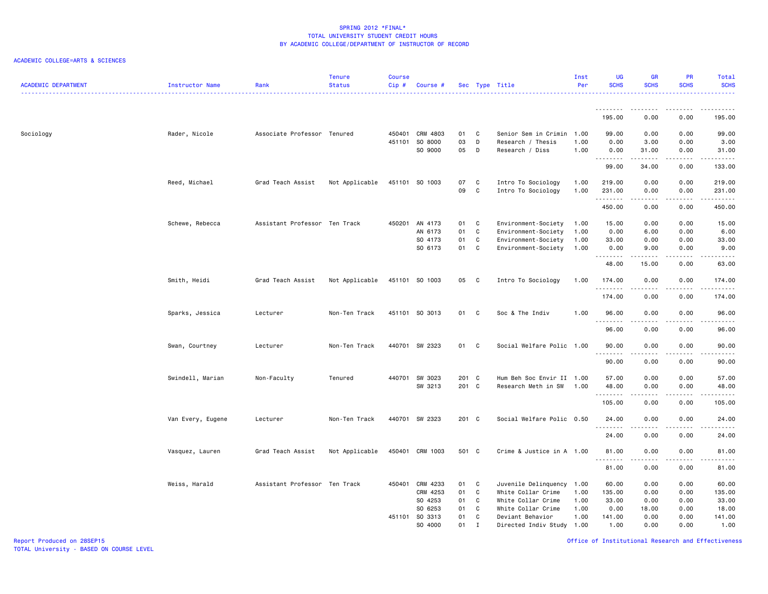### ACADEMIC COLLEGE=ARTS & SCIENCES

| <b>ACADEMIC DEPARTMENT</b> | Instructor Name   | Rank                          | <b>Tenure</b><br><b>Status</b> | <b>Course</b><br>$Cip \#$ | Course #                  |          |                            | Sec Type Title                       | Inst<br>Per  | UG<br><b>SCHS</b>   | <b>GR</b><br><b>SCHS</b>                                                                                                | PR<br><b>SCHS</b>     | Total<br><b>SCHS</b>                                                                                                                                           |
|----------------------------|-------------------|-------------------------------|--------------------------------|---------------------------|---------------------------|----------|----------------------------|--------------------------------------|--------------|---------------------|-------------------------------------------------------------------------------------------------------------------------|-----------------------|----------------------------------------------------------------------------------------------------------------------------------------------------------------|
|                            |                   |                               |                                |                           |                           |          |                            |                                      |              |                     |                                                                                                                         |                       |                                                                                                                                                                |
|                            |                   |                               |                                |                           |                           |          |                            |                                      |              | 195.00              | 0.00                                                                                                                    | 0.00                  | 195.00                                                                                                                                                         |
| Sociology                  | Rader, Nicole     | Associate Professor Tenured   |                                |                           | 450401 CRM 4803           | 01       | C                          | Senior Sem in Crimin                 | 1.00         | 99.00               | 0.00                                                                                                                    | 0.00                  | 99.00                                                                                                                                                          |
|                            |                   |                               |                                |                           | 451101 SO 8000<br>SO 9000 | 03<br>05 | D<br>$\mathsf{D}$          | Research / Thesis<br>Research / Diss | 1.00<br>1.00 | 0.00<br>0.00        | 3.00<br>31.00                                                                                                           | 0.00<br>0.00          | 3.00<br>31.00                                                                                                                                                  |
|                            |                   |                               |                                |                           |                           |          |                            |                                      |              | .                   |                                                                                                                         | .                     | .                                                                                                                                                              |
|                            |                   |                               |                                |                           |                           |          |                            |                                      |              | 99.00               | 34.00                                                                                                                   | 0.00                  | 133.00                                                                                                                                                         |
|                            | Reed, Michael     | Grad Teach Assist             | Not Applicable                 |                           | 451101 SO 1003            | 07       | C                          | Intro To Sociology                   | 1.00         | 219.00              | 0.00                                                                                                                    | 0.00                  | 219.00                                                                                                                                                         |
|                            |                   |                               |                                |                           |                           | 09       | $\mathbf{C}$               | Intro To Sociology                   | 1.00         | 231.00<br>.         | 0.00                                                                                                                    | 0.00<br>.             | 231.00                                                                                                                                                         |
|                            |                   |                               |                                |                           |                           |          |                            |                                      |              | 450.00              | .<br>0.00                                                                                                               | 0.00                  | 450.00                                                                                                                                                         |
|                            | Schewe, Rebecca   | Assistant Professor Ten Track |                                |                           | 450201 AN 4173            | 01 C     |                            | Environment-Society                  | 1.00         | 15.00               | 0.00                                                                                                                    | 0.00                  | 15.00                                                                                                                                                          |
|                            |                   |                               |                                |                           | AN 6173                   | 01       | C                          | Environment-Society                  | 1.00         | 0.00                | 6.00                                                                                                                    | 0.00                  | 6.00                                                                                                                                                           |
|                            |                   |                               |                                |                           | SO 4173                   | 01       | C                          | Environment-Society                  | 1.00         | 33.00               | 0.00                                                                                                                    | 0.00                  | 33.00                                                                                                                                                          |
|                            |                   |                               |                                |                           | SO 6173                   | 01 C     |                            | Environment-Society                  | 1.00         | 0.00<br>. <b>.</b>  | 9.00<br>-----                                                                                                           | 0.00<br>بالمحامر      | 9.00<br>$\sim$ $\sim$ $\sim$ $\sim$ $\sim$                                                                                                                     |
|                            |                   |                               |                                |                           |                           |          |                            |                                      |              | 48.00               | 15.00                                                                                                                   | 0.00                  | 63.00                                                                                                                                                          |
|                            | Smith, Heidi      | Grad Teach Assist             | Not Applicable                 |                           | 451101 SO 1003            | 05       | $\overline{\phantom{a}}$ C | Intro To Sociology                   | 1.00         | 174.00<br>.         | 0.00<br>.                                                                                                               | 0.00<br>د د د د       | 174.00<br>.                                                                                                                                                    |
|                            |                   |                               |                                |                           |                           |          |                            |                                      |              | 174.00              | 0.00                                                                                                                    | 0.00                  | 174.00                                                                                                                                                         |
|                            | Sparks, Jessica   | Lecturer                      | Non-Ten Track                  |                           | 451101 SO 3013            | 01       | - C                        | Soc & The Indiv                      | 1.00         | 96.00               | 0.00                                                                                                                    | 0.00                  | 96.00                                                                                                                                                          |
|                            |                   |                               |                                |                           |                           |          |                            |                                      |              | .<br>96.00          | 0.00                                                                                                                    | ----<br>0.00          | $- - - - -$<br>96.00                                                                                                                                           |
|                            | Swan, Courtney    | Lecturer                      | Non-Ten Track                  |                           | 440701 SW 2323            | 01 C     |                            | Social Welfare Polic 1.00            |              | 90.00               | 0.00                                                                                                                    | 0.00                  | 90.00                                                                                                                                                          |
|                            |                   |                               |                                |                           |                           |          |                            |                                      |              | 90.00               | 0.00                                                                                                                    | 0.00                  | $\frac{1}{2} \left( \frac{1}{2} \right) \left( \frac{1}{2} \right) \left( \frac{1}{2} \right) \left( \frac{1}{2} \right) \left( \frac{1}{2} \right)$<br>90.00  |
|                            | Swindell, Marian  | Non-Faculty                   | Tenured                        |                           | 440701 SW 3023            | 201 C    |                            | Hum Beh Soc Envir II 1.00            |              | 57.00               | 0.00                                                                                                                    | 0.00                  | 57.00                                                                                                                                                          |
|                            |                   |                               |                                |                           | SW 3213                   | 201 C    |                            | Research Meth in SW                  | 1.00         | 48.00               | 0.00                                                                                                                    | 0.00                  | 48.00                                                                                                                                                          |
|                            |                   |                               |                                |                           |                           |          |                            |                                      |              | <u>.</u><br>105.00  | 0.00                                                                                                                    | $\frac{1}{2}$<br>0.00 | $\frac{1}{2} \left( \frac{1}{2} \right) \left( \frac{1}{2} \right) \left( \frac{1}{2} \right) \left( \frac{1}{2} \right) \left( \frac{1}{2} \right)$<br>105.00 |
|                            | Van Every, Eugene | Lecturer                      | Non-Ten Track                  |                           | 440701 SW 2323            | 201 C    |                            | Social Welfare Polic 0.50            |              | 24.00               | 0.00                                                                                                                    | 0.00                  | 24.00                                                                                                                                                          |
|                            |                   |                               |                                |                           |                           |          |                            |                                      |              | . <b>.</b><br>24.00 | 0.00                                                                                                                    | 0.00                  | .<br>24.00                                                                                                                                                     |
|                            | Vasquez, Lauren   | Grad Teach Assist             | Not Applicable                 |                           | 450401 CRM 1003           | 501 C    |                            | Crime & Justice in A 1.00            |              | 81.00               | 0.00                                                                                                                    | 0.00                  | 81.00                                                                                                                                                          |
|                            |                   |                               |                                |                           |                           |          |                            |                                      |              | 81.00               | $\begin{array}{cccccccccccccc} \bullet & \bullet & \bullet & \bullet & \bullet & \bullet & \bullet \end{array}$<br>0.00 | .<br>0.00             | .<br>81.00                                                                                                                                                     |
|                            | Weiss, Harald     | Assistant Professor Ten Track |                                |                           | 450401 CRM 4233           | 01       | $\mathbf{C}$               | Juvenile Delinquency                 | 1.00         | 60.00               | 0.00                                                                                                                    | 0.00                  | 60.00                                                                                                                                                          |
|                            |                   |                               |                                |                           | CRM 4253                  | 01       | C                          | White Collar Crime                   | 1.00         | 135.00              | 0.00                                                                                                                    | 0.00                  | 135.00                                                                                                                                                         |
|                            |                   |                               |                                |                           | SO 4253                   | 01       | C                          | White Collar Crime                   | 1.00         | 33.00               | 0.00                                                                                                                    | 0.00                  | 33.00                                                                                                                                                          |
|                            |                   |                               |                                |                           | SO 6253                   | 01       | $\mathbf{C}$               | White Collar Crime                   | 1.00         | 0.00                | 18.00                                                                                                                   | 0.00                  | 18.00                                                                                                                                                          |
|                            |                   |                               |                                |                           | 451101 SO 3313            | 01       | C                          | Deviant Behavior                     | 1.00         | 141.00              | 0.00                                                                                                                    | 0.00                  | 141.00                                                                                                                                                         |
|                            |                   |                               |                                |                           | SO 4000                   | 01       | I                          | Directed Indiv Study                 | 1.00         | 1.00                | 0.00                                                                                                                    | 0.00                  | 1.00                                                                                                                                                           |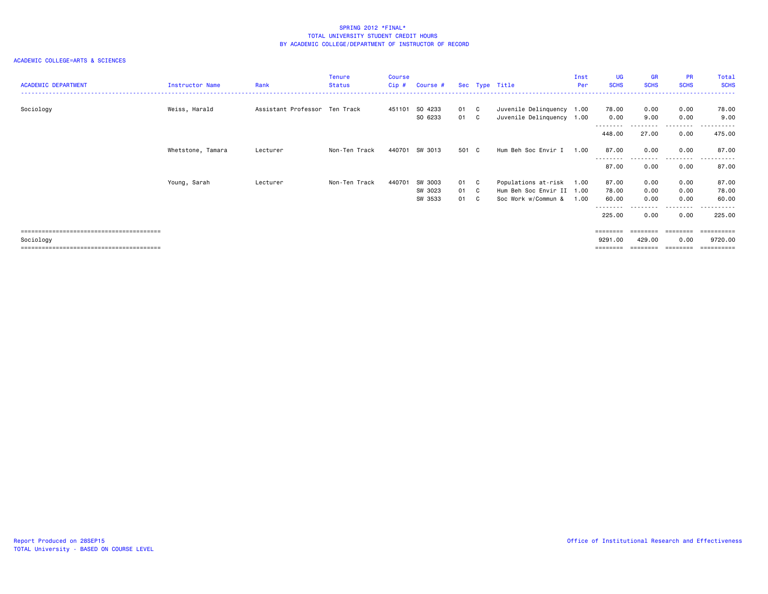|                            |                   |                               | <b>Tenure</b> | <b>Course</b> |          |       |                           | Inst | <b>UG</b>                 | <b>GR</b>   | <b>PR</b>         | Total                 |
|----------------------------|-------------------|-------------------------------|---------------|---------------|----------|-------|---------------------------|------|---------------------------|-------------|-------------------|-----------------------|
| <b>ACADEMIC DEPARTMENT</b> | Instructor Name   | Rank                          | <b>Status</b> | $Cip$ #       | Course # |       | Sec Type Title            | Per  | <b>SCHS</b>               | <b>SCHS</b> | <b>SCHS</b>       | <b>SCHS</b>           |
|                            |                   |                               |               |               |          |       |                           |      |                           |             |                   |                       |
| Sociology                  | Weiss, Harald     | Assistant Professor Ten Track |               | 451101        | SO 4233  | 01 C  | Juvenile Delinquency 1.00 |      | 78.00                     | 0.00        | 0.00              | 78.00                 |
|                            |                   |                               |               |               | SO 6233  | 01 C  | Juvenile Delinquency 1.00 |      | 0.00                      | 9.00        | 0.00              | 9.00                  |
|                            |                   |                               |               |               |          |       |                           |      | - - - - - - - -<br>448.00 | 27.00       | ---------<br>0.00 | .<br>475.00           |
|                            | Whetstone, Tamara | Lecturer                      | Non-Ten Track | 440701        | SW 3013  | 501 C | Hum Beh Soc Envir I       | 1.00 | 87.00                     | 0.00        | 0.00<br>--------  | 87.00<br>.            |
|                            |                   |                               |               |               |          |       |                           |      | 87.00                     | 0.00        | 0.00              | 87.00                 |
|                            | Young, Sarah      | Lecturer                      | Non-Ten Track | 440701        | SW 3003  | 01 C  | Populations at-risk       | 1.00 | 87.00                     | 0.00        | 0.00              | 87.00                 |
|                            |                   |                               |               |               | SW 3023  | 01 C  | Hum Beh Soc Envir II 1.00 |      | 78.00                     | 0.00        | 0.00              | 78.00                 |
|                            |                   |                               |               |               | SW 3533  | 01 C  | Soc Work w/Commun &       | 1.00 | 60.00                     | 0.00        | 0.00              | 60.00                 |
|                            |                   |                               |               |               |          |       |                           |      | - - - - - - - -<br>225.00 | 0.00        | --------<br>0.00  | ------<br>225.00      |
|                            |                   |                               |               |               |          |       |                           |      | ========                  |             |                   | $=$ = = = = = = = = = |
| Sociology                  |                   |                               |               |               |          |       |                           |      | 9291.00                   | 429.00      | 0.00              | 9720.00               |
|                            |                   |                               |               |               |          |       |                           |      | ========                  | ========    | --------          | $=$ = = = = = = = = = |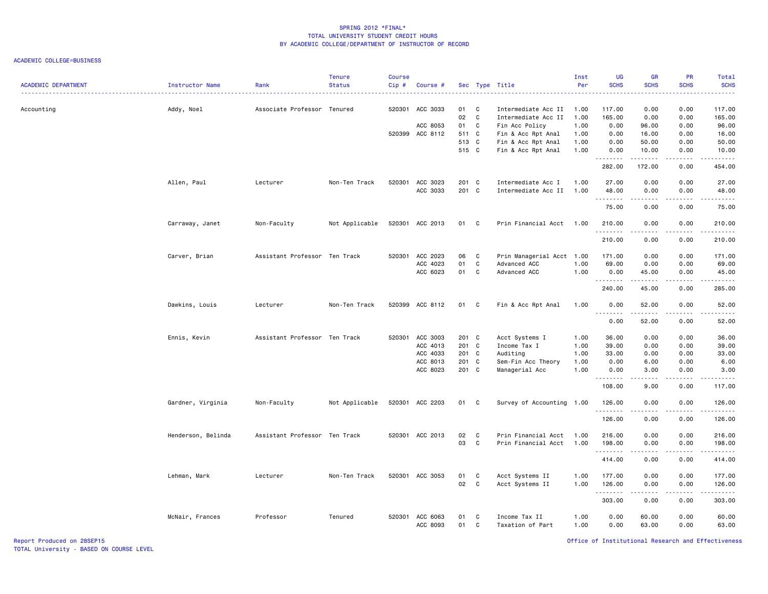#### ACADEMIC COLLEGE=BUSINESS

| <b>ACADEMIC DEPARTMENT</b> | Instructor Name    | Rank                          | <b>Tenure</b><br><b>Status</b> | <b>Course</b><br>$Cip$ # | Course #                    |             |                | Sec Type Title                             | Inst<br>Per  | <b>UG</b><br><b>SCHS</b> | <b>GR</b><br><b>SCHS</b> | PR<br><b>SCHS</b>  | Total<br><b>SCHS</b><br>$\frac{1}{2} \left( \frac{1}{2} \right) \left( \frac{1}{2} \right) \left( \frac{1}{2} \right) \left( \frac{1}{2} \right)$ |
|----------------------------|--------------------|-------------------------------|--------------------------------|--------------------------|-----------------------------|-------------|----------------|--------------------------------------------|--------------|--------------------------|--------------------------|--------------------|---------------------------------------------------------------------------------------------------------------------------------------------------|
| Accounting                 | Addy, Noel         | Associate Professor Tenured   |                                | 520301                   | ACC 3033                    | 01<br>02    | C<br>C         | Intermediate Acc II<br>Intermediate Acc II | 1.00<br>1.00 | 117.00<br>165.00         | 0.00<br>0.00             | 0.00<br>0.00       | 117.00<br>165.00                                                                                                                                  |
|                            |                    |                               |                                |                          | ACC 8053<br>520399 ACC 8112 | 01<br>511 C | C              | Fin Acc Policy<br>Fin & Acc Rpt Anal       | 1.00<br>1.00 | 0.00<br>0.00             | 96.00<br>16.00           | 0.00<br>0.00       | 96.00<br>16.00                                                                                                                                    |
|                            |                    |                               |                                |                          |                             | 513 C       |                | Fin & Acc Rpt Anal                         | 1.00         | 0.00                     | 50.00                    | 0.00               | 50.00                                                                                                                                             |
|                            |                    |                               |                                |                          |                             | 515 C       |                | Fin & Acc Rpt Anal                         | 1.00         | 0.00                     | 10.00                    | 0.00               | 10.00                                                                                                                                             |
|                            |                    |                               |                                |                          |                             |             |                |                                            |              | .                        | .                        | .                  | .                                                                                                                                                 |
|                            |                    |                               |                                |                          |                             |             |                |                                            |              | 282.00                   | 172.00                   | 0.00               | 454.00                                                                                                                                            |
|                            | Allen, Paul        | Lecturer                      | Non-Ten Track                  |                          | 520301 ACC 3023             | 201 C       |                | Intermediate Acc I                         | 1.00         | 27.00                    | 0.00                     | 0.00               | 27.00                                                                                                                                             |
|                            |                    |                               |                                |                          | ACC 3033                    | 201 C       |                | Intermediate Acc II                        | 1.00         | 48.00                    | 0.00                     | 0.00               | 48.00                                                                                                                                             |
|                            |                    |                               |                                |                          |                             |             |                |                                            |              | .<br>75.00               | .<br>0.00                | .<br>0.00          | .<br>75.00                                                                                                                                        |
|                            | Carraway, Janet    | Non-Faculty                   | Not Applicable                 |                          | 520301 ACC 2013             | 01 C        |                | Prin Financial Acct                        | 1.00         | 210.00                   | 0.00                     | 0.00               | 210.00                                                                                                                                            |
|                            |                    |                               |                                |                          |                             |             |                |                                            |              | .<br>210.00              | .<br>0.00                | 0.00               | .<br>210.00                                                                                                                                       |
|                            |                    |                               |                                |                          |                             |             |                |                                            |              |                          |                          |                    |                                                                                                                                                   |
|                            | Carver, Brian      | Assistant Professor Ten Track |                                |                          | 520301 ACC 2023             | 06          | C              | Prin Managerial Acct 1.00                  |              | 171.00                   | 0.00                     | 0.00               | 171.00                                                                                                                                            |
|                            |                    |                               |                                |                          | ACC 4023                    | 01          | C              | Advanced ACC                               | 1.00         | 69.00                    | 0.00                     | 0.00               | 69.00                                                                                                                                             |
|                            |                    |                               |                                |                          | ACC 6023                    | 01 C        |                | Advanced ACC                               | 1.00         | 0.00                     | 45.00                    | 0.00               | 45.00                                                                                                                                             |
|                            |                    |                               |                                |                          |                             |             |                |                                            |              | .<br>240.00              | <u>.</u><br>45.00        | . <b>.</b><br>0.00 | .<br>285.00                                                                                                                                       |
|                            | Dawkins, Louis     | Lecturer                      | Non-Ten Track                  |                          | 520399 ACC 8112             | 01          | C              | Fin & Acc Rpt Anal                         | 1.00         | 0.00                     | 52.00                    | 0.00               | 52.00                                                                                                                                             |
|                            |                    |                               |                                |                          |                             |             |                |                                            |              | --------<br>0.00         | - - - - -<br>52.00       | $   -$<br>0.00     | .<br>52.00                                                                                                                                        |
|                            | Ennis, Kevin       | Assistant Professor Ten Track |                                |                          | 520301 ACC 3003             | 201 C       |                | Acct Systems I                             | 1.00         | 36.00                    | 0.00                     | 0.00               | 36.00                                                                                                                                             |
|                            |                    |                               |                                |                          | ACC 4013                    | 201 C       |                | Income Tax I                               | 1.00         | 39.00                    | 0.00                     | 0.00               | 39.00                                                                                                                                             |
|                            |                    |                               |                                |                          | ACC 4033                    | 201 C       |                | Auditing                                   | 1.00         | 33.00                    | 0.00                     | 0.00               | 33.00                                                                                                                                             |
|                            |                    |                               |                                |                          | ACC 8013                    | 201 C       |                | Sem-Fin Acc Theory                         | 1.00         | 0.00                     | 6.00                     | 0.00               | 6.00                                                                                                                                              |
|                            |                    |                               |                                |                          | ACC 8023                    | 201 C       |                | Managerial Acc                             | 1.00         | 0.00                     | 3.00                     | 0.00               | 3.00                                                                                                                                              |
|                            |                    |                               |                                |                          |                             |             |                |                                            |              | .<br>108.00              | .<br>9.00                | د د د د<br>0.00    | $\sim$ $\sim$ $\sim$ $\sim$<br>117.00                                                                                                             |
|                            | Gardner, Virginia  | Non-Faculty                   | Not Applicable                 |                          | 520301 ACC 2203             | 01          | C <sub>1</sub> | Survey of Accounting 1.00                  |              | 126.00                   | 0.00                     | 0.00               | 126.00                                                                                                                                            |
|                            |                    |                               |                                |                          |                             |             |                |                                            |              | .                        | .                        | .                  | .                                                                                                                                                 |
|                            |                    |                               |                                |                          |                             |             |                |                                            |              | 126.00                   | 0.00                     | 0.00               | 126.00                                                                                                                                            |
|                            | Henderson, Belinda | Assistant Professor Ten Track |                                |                          | 520301 ACC 2013             | 02          | C              | Prin Financial Acct                        | 1.00         | 216.00                   | 0.00                     | 0.00               | 216.00                                                                                                                                            |
|                            |                    |                               |                                |                          |                             | 03          | C              | Prin Financial Acct                        | 1.00         | 198.00                   | 0.00                     | 0.00               | 198.00                                                                                                                                            |
|                            |                    |                               |                                |                          |                             |             |                |                                            |              | .<br>414.00              | 0.00                     | 0.00               | <u>.</u><br>414.00                                                                                                                                |
|                            |                    |                               |                                |                          |                             |             |                |                                            |              |                          |                          |                    |                                                                                                                                                   |
|                            | Lehman, Mark       | Lecturer                      | Non-Ten Track                  |                          | 520301 ACC 3053             | 01          | C              | Acct Systems II                            | 1.00         | 177.00                   | 0.00                     | 0.00               | 177.00                                                                                                                                            |
|                            |                    |                               |                                |                          |                             | 02          | C <sub>1</sub> | Acct Systems II                            | 1.00         | 126.00                   | 0.00                     | 0.00               | 126.00                                                                                                                                            |
|                            |                    |                               |                                |                          |                             |             |                |                                            |              | <u>.</u><br>303.00       | .<br>0.00                | .<br>0.00          | .<br>303.00                                                                                                                                       |
|                            |                    |                               |                                |                          |                             |             |                |                                            |              |                          |                          |                    |                                                                                                                                                   |
|                            | McNair, Frances    | Professor                     | Tenured                        |                          | 520301 ACC 6063<br>ACC 8093 | 01<br>01    | C<br>C         | Income Tax II<br>Taxation of Part          | 1.00<br>1.00 | 0.00<br>0.00             | 60.00<br>63.00           | 0.00<br>0.00       | 60.00<br>63.00                                                                                                                                    |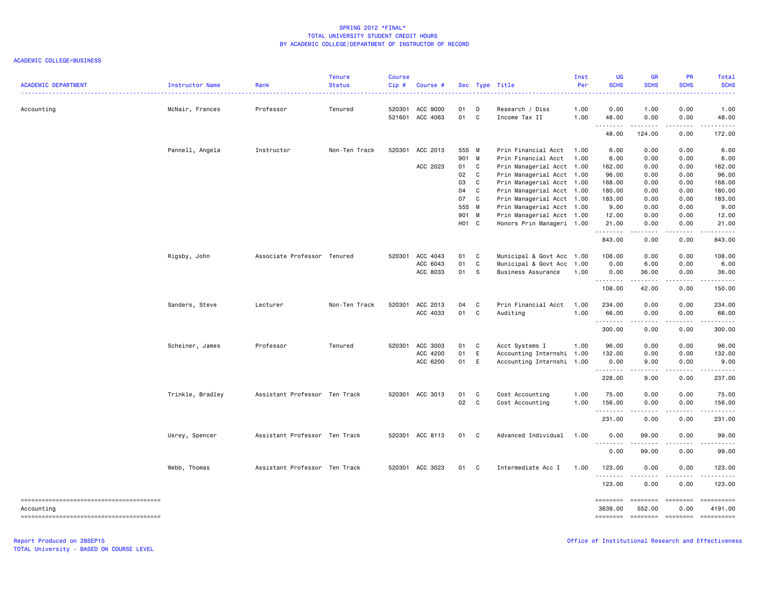#### ACADEMIC COLLEGE=BUSINESS

| <b>ACADEMIC DEPARTMENT</b> | Instructor Name  | Rank                          | <b>Tenure</b><br><b>Status</b> | Course<br>Cip#   | Course #             |          |              | Sec Type Title                   | Inst<br>Per  | UG<br><b>SCHS</b> | <b>GR</b><br><b>SCHS</b>            | PR<br><b>SCHS</b>            | Total<br><b>SCHS</b>   |
|----------------------------|------------------|-------------------------------|--------------------------------|------------------|----------------------|----------|--------------|----------------------------------|--------------|-------------------|-------------------------------------|------------------------------|------------------------|
| Accounting                 | McNair, Frances  | Professor                     | Tenured                        | 520301<br>521601 | ACC 9000<br>ACC 4063 | 01<br>01 | D<br>C.      | Research / Diss<br>Income Tax II | 1.00<br>1.00 | 0.00<br>48.00     | 1.00<br>0.00                        | 0.00<br>0.00                 | 1.00<br>48.00          |
|                            |                  |                               |                                |                  |                      |          |              |                                  |              | .<br>48.00        | .<br>124.00                         | .<br>0.00                    | .<br>172.00            |
|                            | Pannell, Angela  | Instructor                    | Non-Ten Track                  | 520301           | ACC 2013             | 555 M    |              | Prin Financial Acct              | 1.00         | 6.00              | 0.00                                | 0.00                         | 6.00                   |
|                            |                  |                               |                                |                  |                      | 901 M    |              | Prin Financial Acct              | 1.00         | 6.00              | 0.00                                | 0.00                         | 6.00                   |
|                            |                  |                               |                                |                  | ACC 2023             | 01       | $\mathbf{C}$ | Prin Managerial Acct 1.00        |              | 162.00            | 0.00                                | 0.00                         | 162.00                 |
|                            |                  |                               |                                |                  |                      | 02       | $\mathbf{C}$ | Prin Managerial Acct 1.00        |              | 96.00             | 0.00                                | 0.00                         | 96.00                  |
|                            |                  |                               |                                |                  |                      | 03       | C            | Prin Managerial Acct 1.00        |              | 168.00            | 0.00                                | 0.00                         | 168.00                 |
|                            |                  |                               |                                |                  |                      | 04       | C            | Prin Managerial Acct 1.00        |              | 180.00            | 0.00                                | 0.00                         | 180.00                 |
|                            |                  |                               |                                |                  |                      | 07       | C            | Prin Managerial Acct 1.00        |              | 183.00            | 0.00                                | 0.00                         | 183.00                 |
|                            |                  |                               |                                |                  |                      | 555 M    |              | Prin Managerial Acct 1.00        |              | 9.00              | 0.00                                | 0.00                         | 9.00                   |
|                            |                  |                               |                                |                  |                      | 901 M    |              | Prin Managerial Acct 1.00        |              | 12.00             | 0.00                                | 0.00                         | 12.00                  |
|                            |                  |                               |                                |                  |                      | HO1 C    |              |                                  |              |                   |                                     |                              | 21.00                  |
|                            |                  |                               |                                |                  |                      |          |              | Honors Prin Manageri 1.00        |              | 21.00<br>.        | 0.00<br>.                           | 0.00<br>.                    | .                      |
|                            |                  |                               |                                |                  |                      |          |              |                                  |              | 843.00            | 0.00                                | 0.00                         | 843.00                 |
|                            | Rigsby, John     | Associate Professor Tenured   |                                |                  | 520301 ACC 4043      | 01       | $\mathbf{C}$ | Municipal & Govt Acc 1.00        |              | 108.00            | 0.00                                | 0.00                         | 108.00                 |
|                            |                  |                               |                                |                  | ACC 6043             | 01       | C.           | Municipal & Govt Acc 1.00        |              | 0.00              | 6.00                                | 0.00                         | 6.00                   |
|                            |                  |                               |                                |                  | ACC 8033             | 01       | <b>S</b>     | Business Assurance               | 1.00         | 0.00              | 36.00                               | 0.00                         | 36.00                  |
|                            |                  |                               |                                |                  |                      |          |              |                                  |              | .<br>108.00       | <b>.</b><br>42.00                   | $\sim$ $\sim$ $\sim$<br>0.00 | د د د د د<br>150.00    |
|                            |                  |                               |                                |                  |                      |          |              |                                  |              |                   |                                     |                              |                        |
|                            | Sanders, Steve   | Lecturer                      | Non-Ten Track                  |                  | 520301 ACC 2013      | 04       | $\mathbf{C}$ | Prin Financial Acct              | 1.00         | 234.00            | 0.00                                | 0.00                         | 234.00                 |
|                            |                  |                               |                                |                  | ACC 4033             | 01       | $\mathbf{C}$ | Auditing                         | 1.00         | 66.00<br>.        | 0.00<br>-----                       | 0.00<br>.                    | 66.00<br>.             |
|                            |                  |                               |                                |                  |                      |          |              |                                  |              | 300.00            | 0.00                                | 0.00                         | 300.00                 |
|                            | Scheiner, James  | Professor                     | Tenured                        | 520301           | ACC 3003             | 01       | $\mathbf{C}$ | Acct Systems I                   | 1.00         | 96.00             | 0.00                                | 0.00                         | 96.00                  |
|                            |                  |                               |                                |                  | ACC 4200             | 01       | E            | Accounting Internshi             | 1.00         | 132.00            | 0.00                                | 0.00                         | 132.00                 |
|                            |                  |                               |                                |                  | ACC 6200             | 01       | E            | Accounting Internshi 1.00        |              | 0.00              | 9.00                                | 0.00                         | 9.00                   |
|                            |                  |                               |                                |                  |                      |          |              |                                  |              | .                 | .                                   | $\sim$ $\sim$ $\sim$         | .                      |
|                            |                  |                               |                                |                  |                      |          |              |                                  |              | 228.00            | 9.00                                | 0.00                         | 237.00                 |
|                            | Trinkle, Bradley | Assistant Professor Ten Track |                                |                  | 520301 ACC 3013      | 01       | $\mathbf{C}$ | Cost Accounting                  | 1.00         | 75.00             | 0.00                                | 0.00                         | 75.00                  |
|                            |                  |                               |                                |                  |                      | 02 C     |              | Cost Accounting                  | 1.00         | 156.00            | 0.00                                | 0.00                         | 156.00                 |
|                            |                  |                               |                                |                  |                      |          |              |                                  |              | .                 |                                     | .                            | .                      |
|                            |                  |                               |                                |                  |                      |          |              |                                  |              | 231.00            | 0.00                                | 0.00                         | 231.00                 |
|                            | Usrey, Spencer   | Assistant Professor Ten Track |                                |                  | 520301 ACC 8113      | 01       | $\mathbf{C}$ | Advanced Individual              | 1.00         | 0.00<br>- - -     | 99.00                               | 0.00                         | 99.00                  |
|                            |                  |                               |                                |                  |                      |          |              |                                  |              | .<br>0.00         | .<br>99.00                          | ----<br>0.00                 | $\frac{1}{2}$<br>99.00 |
|                            |                  |                               |                                |                  |                      |          |              |                                  |              |                   |                                     |                              |                        |
|                            | Webb, Thomas     | Assistant Professor Ten Track |                                |                  | 520301 ACC 3023      | 01 C     |              | Intermediate Acc I               | 1.00         | 123.00<br>.       | 0.00<br>.                           | 0.00<br>د د د د              | 123.00<br>.            |
|                            |                  |                               |                                |                  |                      |          |              |                                  |              | 123.00            | 0.00                                | 0.00                         | 123.00                 |
|                            |                  |                               |                                |                  |                      |          |              |                                  |              | ========          | <b>ESSESSES</b>                     | eessesse                     | ==========             |
| Accountina                 |                  |                               |                                |                  |                      |          |              |                                  |              | 3639,00           | 552.00                              | 0.00                         | 4191.00                |
|                            |                  |                               |                                |                  |                      |          |              |                                  |              |                   | -------- ------- -------- --------- |                              |                        |

TOTAL University - BASED ON COURSE LEVEL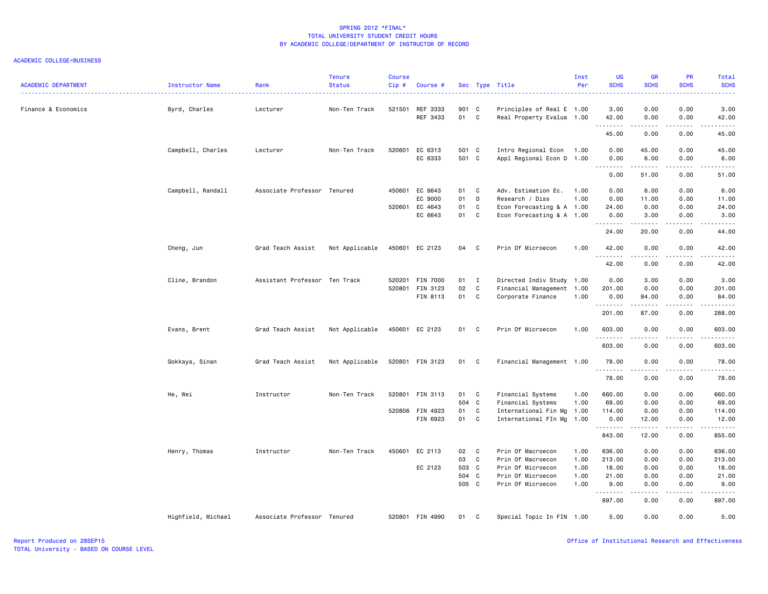| <b>ACADEMIC DEPARTMENT</b> | <b>Instructor Name</b> | Rank                          | <b>Tenure</b><br><b>Status</b> | <b>Course</b><br>Cip# | Course #        |       | Sec Type Title |                           | Inst<br>Per | <b>UG</b><br><b>SCHS</b> | <b>GR</b><br><b>SCHS</b>                                                                                                                                      | PR<br><b>SCHS</b> | Total<br><b>SCHS</b>                                                                                                                                         |
|----------------------------|------------------------|-------------------------------|--------------------------------|-----------------------|-----------------|-------|----------------|---------------------------|-------------|--------------------------|---------------------------------------------------------------------------------------------------------------------------------------------------------------|-------------------|--------------------------------------------------------------------------------------------------------------------------------------------------------------|
| Finance & Economics        | Byrd, Charles          | Lecturer                      | Non-Ten Track                  | 521501                | REF 3333        | 901 C |                | Principles of Real E 1.00 |             | 3.00                     | 0.00                                                                                                                                                          | 0.00              | .<br>3.00                                                                                                                                                    |
|                            |                        |                               |                                |                       | REF 3433        | 01    | C              | Real Property Evalua 1.00 |             | 42.00<br>.               | 0.00<br>.                                                                                                                                                     | 0.00<br>.         | 42.00<br>د د د د د                                                                                                                                           |
|                            |                        |                               |                                |                       |                 |       |                |                           |             | 45.00                    | 0.00                                                                                                                                                          | 0.00              | 45.00                                                                                                                                                        |
|                            | Campbell, Charles      | Lecturer                      | Non-Ten Track                  |                       | 520601 EC 6313  | 501 C |                | Intro Regional Econ       | 1.00        | 0.00                     | 45.00                                                                                                                                                         | 0.00              | 45.00                                                                                                                                                        |
|                            |                        |                               |                                |                       | EC 6333         | 501 C |                | Appl Regional Econ D 1.00 |             | 0.00<br><u>.</u>         | 6.00<br>.                                                                                                                                                     | 0.00<br>.         | 6.00<br>$\frac{1}{2} \left( \frac{1}{2} \right) \left( \frac{1}{2} \right) \left( \frac{1}{2} \right) \left( \frac{1}{2} \right) \left( \frac{1}{2} \right)$ |
|                            |                        |                               |                                |                       |                 |       |                |                           |             | 0.00                     | 51.00                                                                                                                                                         | 0.00              | 51.00                                                                                                                                                        |
|                            | Campbell, Randall      | Associate Professor Tenured   |                                | 450601                | EC 8643         | 01    | C              | Adv. Estimation Ec.       | 1.00        | 0.00                     | 6.00                                                                                                                                                          | 0.00              | 6.00                                                                                                                                                         |
|                            |                        |                               |                                |                       | EC 9000         | 01    | D              | Research / Diss           | 1.00        | 0.00                     | 11.00                                                                                                                                                         | 0.00              | 11.00                                                                                                                                                        |
|                            |                        |                               |                                |                       | 520601 EC 4643  | 01    | C              | Econ Forecasting & A 1.00 |             | 24.00                    | 0.00                                                                                                                                                          | 0.00              | 24.00                                                                                                                                                        |
|                            |                        |                               |                                |                       | EC 6643         | 01 C  |                | Econ Forecasting & A 1.00 |             | 0.00<br><u>.</u>         | 3.00<br>.                                                                                                                                                     | 0.00<br>.         | 3.00<br>$\frac{1}{2} \left( \frac{1}{2} \right) \left( \frac{1}{2} \right) \left( \frac{1}{2} \right) \left( \frac{1}{2} \right) \left( \frac{1}{2} \right)$ |
|                            |                        |                               |                                |                       |                 |       |                |                           |             | 24.00                    | 20.00                                                                                                                                                         | 0.00              | 44.00                                                                                                                                                        |
|                            | Cheng, Jun             | Grad Teach Assist             | Not Applicable                 |                       | 450601 EC 2123  | 04    | $\mathbf{C}$   | Prin Of Microecon         | 1.00        | 42.00<br>.               | 0.00<br><u>.</u>                                                                                                                                              | 0.00<br>.         | 42.00<br>.                                                                                                                                                   |
|                            |                        |                               |                                |                       |                 |       |                |                           |             | 42.00                    | 0.00                                                                                                                                                          | 0.00              | 42.00                                                                                                                                                        |
|                            | Cline, Brandon         | Assistant Professor Ten Track |                                | 520201                | <b>FIN 7000</b> | 01    | $\mathbf{I}$   | Directed Indiv Study 1.00 |             | 0.00                     | 3.00                                                                                                                                                          | 0.00              | 3.00                                                                                                                                                         |
|                            |                        |                               |                                | 520801                | FIN 3123        | 02    | C              | Financial Management      | 1.00        | 201.00                   | 0.00                                                                                                                                                          | 0.00              | 201.00                                                                                                                                                       |
|                            |                        |                               |                                |                       | FIN 8113        | 01    | C              | Corporate Finance         | 1.00        | 0.00<br>.                | 84.00<br>.                                                                                                                                                    | 0.00<br>.         | 84.00<br>.                                                                                                                                                   |
|                            |                        |                               |                                |                       |                 |       |                |                           |             | 201.00                   | 87.00                                                                                                                                                         | 0.00              | 288.00                                                                                                                                                       |
|                            | Evans, Brent           | Grad Teach Assist             | Not Applicable                 |                       | 450601 EC 2123  | 01 C  |                | Prin Of Microecon         | 1.00        | 603.00                   | 0.00                                                                                                                                                          | 0.00              | 603.00                                                                                                                                                       |
|                            |                        |                               |                                |                       |                 |       |                |                           |             | .<br>603.00              | 0.00                                                                                                                                                          | 0.00              | $- - - - - -$<br>603.00                                                                                                                                      |
|                            | Gokkaya, Sinan         | Grad Teach Assist             | Not Applicable                 |                       | 520801 FIN 3123 | 01    | $\mathbf{C}$   | Financial Management 1.00 |             | 78.00                    | 0.00                                                                                                                                                          | 0.00              | 78.00                                                                                                                                                        |
|                            |                        |                               |                                |                       |                 |       |                |                           |             | .                        |                                                                                                                                                               |                   | د د د د د                                                                                                                                                    |
|                            |                        |                               |                                |                       |                 |       |                |                           |             | 78.00                    | 0.00                                                                                                                                                          | 0.00              | 78.00                                                                                                                                                        |
|                            | He, Wei                | Instructor                    | Non-Ten Track                  | 520801                | FIN 3113        | 01    | C              | Financial Systems         | 1.00        | 660.00                   | 0.00                                                                                                                                                          | 0.00              | 660.00                                                                                                                                                       |
|                            |                        |                               |                                |                       |                 | 504 C |                | Financial Systems         | 1.00        | 69.00                    | 0.00                                                                                                                                                          | 0.00              | 69.00                                                                                                                                                        |
|                            |                        |                               |                                |                       | 520806 FIN 4923 | 01    | C              | International Fin Mg      | 1.00        | 114.00                   | 0.00                                                                                                                                                          | 0.00              | 114.00                                                                                                                                                       |
|                            |                        |                               |                                |                       | FIN 6923        | 01    | C              | International FIn Mg      | 1.00        | 0.00<br>.                | 12.00<br>$\frac{1}{2} \left( \frac{1}{2} \right) \left( \frac{1}{2} \right) \left( \frac{1}{2} \right) \left( \frac{1}{2} \right) \left( \frac{1}{2} \right)$ | 0.00<br>د د د د   | 12.00                                                                                                                                                        |
|                            |                        |                               |                                |                       |                 |       |                |                           |             | 843.00                   | 12.00                                                                                                                                                         | 0.00              | 855.00                                                                                                                                                       |
|                            | Henry, Thomas          | Instructor                    | Non-Ten Track                  |                       | 450601 EC 2113  | 02    | - C            | Prin Of Macroecon         | 1.00        | 636.00                   | 0.00                                                                                                                                                          | 0.00              | 636.00                                                                                                                                                       |
|                            |                        |                               |                                |                       |                 | 03    | C              | Prin Of Macroecon         | 1.00        | 213.00                   | 0.00                                                                                                                                                          | 0.00              | 213.00                                                                                                                                                       |
|                            |                        |                               |                                |                       | EC 2123         | 503 C |                | Prin Of Microecon         | 1.00        | 18.00                    | 0.00                                                                                                                                                          | 0.00              | 18.00                                                                                                                                                        |
|                            |                        |                               |                                |                       |                 | 504 C |                | Prin Of Microecon         | 1.00        | 21.00                    | 0.00                                                                                                                                                          | 0.00              | 21.00                                                                                                                                                        |
|                            |                        |                               |                                |                       |                 | 505 C |                | Prin Of Microecon         | 1.00        | 9.00<br>.                | 0.00<br>.                                                                                                                                                     | 0.00<br>.         | 9.00                                                                                                                                                         |
|                            |                        |                               |                                |                       |                 |       |                |                           |             | 897.00                   | 0.00                                                                                                                                                          | 0.00              | 897.00                                                                                                                                                       |
|                            | Highfield, Michael     | Associate Professor Tenured   |                                |                       | 520801 FIN 4990 | 01    | C              | Special Topic In FIN 1.00 |             | 5.00                     | 0.00                                                                                                                                                          | 0.00              | 5.00                                                                                                                                                         |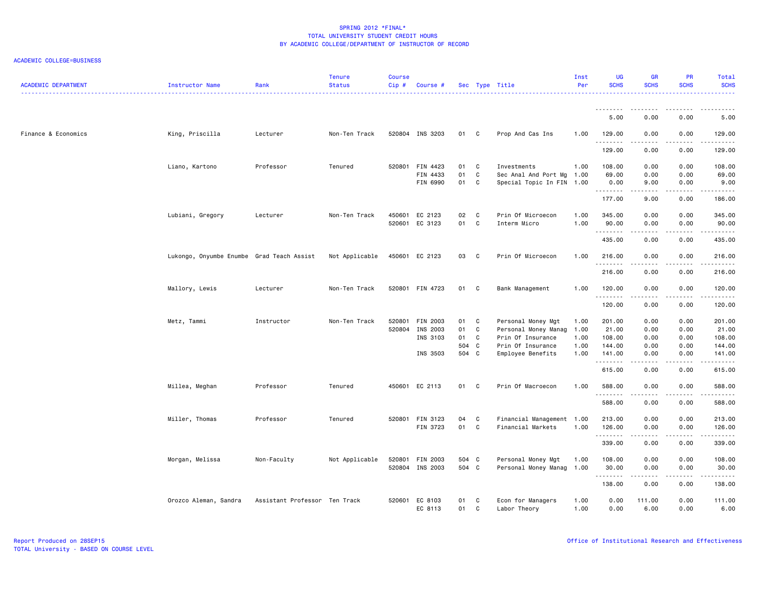| <b>ACADEMIC DEPARTMENT</b> | Instructor Name                           | Rank                          | <b>Tenure</b><br><b>Status</b> | <b>Course</b><br>Cip# | Course #                    |          |                   | Sec Type Title                                    | Inst<br>Per  | <b>UG</b><br><b>SCHS</b> | <b>GR</b><br><b>SCHS</b> | <b>PR</b><br><b>SCHS</b>     | Total<br><b>SCHS</b> |
|----------------------------|-------------------------------------------|-------------------------------|--------------------------------|-----------------------|-----------------------------|----------|-------------------|---------------------------------------------------|--------------|--------------------------|--------------------------|------------------------------|----------------------|
|                            |                                           |                               |                                |                       |                             |          |                   |                                                   |              | <u>.</u><br>5.00         | --------<br>0.00         | .<br>0.00                    | 5.00                 |
| Finance & Economics        | King, Priscilla                           | Lecturer                      | Non-Ten Track                  |                       | 520804 INS 3203             | 01 C     |                   | Prop And Cas Ins                                  | 1.00         | 129.00                   | 0.00                     | 0.00                         | 129.00               |
|                            |                                           |                               |                                |                       |                             |          |                   |                                                   |              | .<br>129.00              | .<br>0.00                | د د د د<br>0.00              | .<br>129.00          |
|                            | Liano, Kartono                            | Professor                     | Tenured                        |                       | 520801 FIN 4423             | 01       | C                 | Investments                                       | 1.00         | 108.00                   | 0.00                     | 0.00                         | 108.00               |
|                            |                                           |                               |                                |                       | FIN 4433<br>FIN 6990        | 01<br>01 | $\mathbf c$<br>C  | Sec Anal And Port Mg<br>Special Topic In FIN 1.00 | 1.00         | 69.00<br>0.00            | 0.00<br>9.00             | 0.00<br>0.00                 | 69.00<br>9.00        |
|                            |                                           |                               |                                |                       |                             |          |                   |                                                   |              | .<br>177.00              | .<br>9.00                | $\sim$ $\sim$ $\sim$<br>0.00 | .<br>186.00          |
|                            | Lubiani, Gregory                          | Lecturer                      | Non-Ten Track                  | 450601<br>520601      | EC 2123<br>EC 3123          | 02<br>01 | C<br>C            | Prin Of Microecon<br>Interm Micro                 | 1.00<br>1.00 | 345.00<br>90.00          | 0.00<br>0.00             | 0.00<br>0.00                 | 345.00<br>90.00      |
|                            |                                           |                               |                                |                       |                             |          |                   |                                                   |              | .<br>435.00              | .<br>0.00                | .<br>0.00                    | .<br>435.00          |
|                            | Lukongo, Onyumbe Enumbe Grad Teach Assist |                               | Not Applicable                 |                       | 450601 EC 2123              | 03 C     |                   | Prin Of Microecon                                 | 1.00         | 216.00                   | 0.00                     | 0.00                         | 216.00               |
|                            |                                           |                               |                                |                       |                             |          |                   |                                                   |              | .<br>216.00              | .<br>0.00                | .<br>0.00                    | 216.00               |
|                            | Mallory, Lewis                            | Lecturer                      | Non-Ten Track                  |                       | 520801 FIN 4723             | 01       | C                 | Bank Management                                   | 1.00         | 120.00                   | 0.00                     | 0.00                         | 120.00               |
|                            |                                           |                               |                                |                       |                             |          |                   |                                                   |              | .<br>120.00              | .<br>0.00                | .<br>0.00                    | .<br>120.00          |
|                            | Metz, Tammi                               | Instructor                    | Non-Ten Track                  | 520801                | FIN 2003<br>520804 INS 2003 | 01<br>01 | C<br>$\mathbf c$  | Personal Money Mgt<br>Personal Money Manag        | 1.00<br>1.00 | 201.00<br>21.00          | 0.00<br>0.00             | 0.00<br>0.00                 | 201.00<br>21.00      |
|                            |                                           |                               |                                |                       | INS 3103                    | 01       | C                 | Prin Of Insurance                                 | 1.00         | 108.00                   | 0.00                     | 0.00                         | 108.00               |
|                            |                                           |                               |                                |                       |                             | 504 C    |                   | Prin Of Insurance                                 | 1.00         | 144.00                   | 0.00                     | 0.00                         | 144.00               |
|                            |                                           |                               |                                |                       | INS 3503                    | 504 C    |                   | Employee Benefits                                 | 1.00         | 141.00<br>.              | 0.00<br>.                | 0.00<br>.                    | 141.00<br>.          |
|                            |                                           |                               |                                |                       |                             |          |                   |                                                   |              | 615.00                   | 0.00                     | 0.00                         | 615.00               |
|                            | Millea, Meghan                            | Professor                     | Tenured                        |                       | 450601 EC 2113              | 01 C     |                   | Prin Of Macroecon                                 | 1.00         | 588.00<br>.              | 0.00<br>.                | 0.00<br>.                    | 588.00<br>.          |
|                            |                                           |                               |                                |                       |                             |          |                   |                                                   |              | 588.00                   | 0.00                     | 0.00                         | 588.00               |
|                            | Miller, Thomas                            | Professor                     | Tenured                        |                       | 520801 FIN 3123<br>FIN 3723 | 04<br>01 | C<br>$\mathbf{C}$ | Financial Management 1.00<br>Financial Markets    | 1.00         | 213.00<br>126.00         | 0.00<br>0.00             | 0.00<br>0.00                 | 213.00<br>126.00     |
|                            |                                           |                               |                                |                       |                             |          |                   |                                                   |              | .<br>339.00              | .<br>0.00                | .<br>0.00                    | 339.00               |
|                            | Morgan, Melissa                           | Non-Faculty                   | Not Applicable                 |                       | 520801 FIN 2003             | 504 C    |                   | Personal Money Mgt                                | 1.00         | 108.00                   | 0.00                     | 0.00                         | 108.00               |
|                            |                                           |                               |                                |                       | 520804 INS 2003             | 504 C    |                   | Personal Money Manag                              | 1.00         | 30.00<br>.               | 0.00                     | 0.00                         | 30.00<br>.           |
|                            |                                           |                               |                                |                       |                             |          |                   |                                                   |              | 138.00                   | 0.00                     | 0.00                         | 138.00               |
|                            | Orozco Aleman, Sandra                     | Assistant Professor Ten Track |                                | 520601                | EC 8103<br>EC 8113          | 01<br>01 | C<br>C            | Econ for Managers<br>Labor Theory                 | 1.00<br>1.00 | 0.00<br>0.00             | 111.00<br>6.00           | 0.00<br>0.00                 | 111.00<br>6.00       |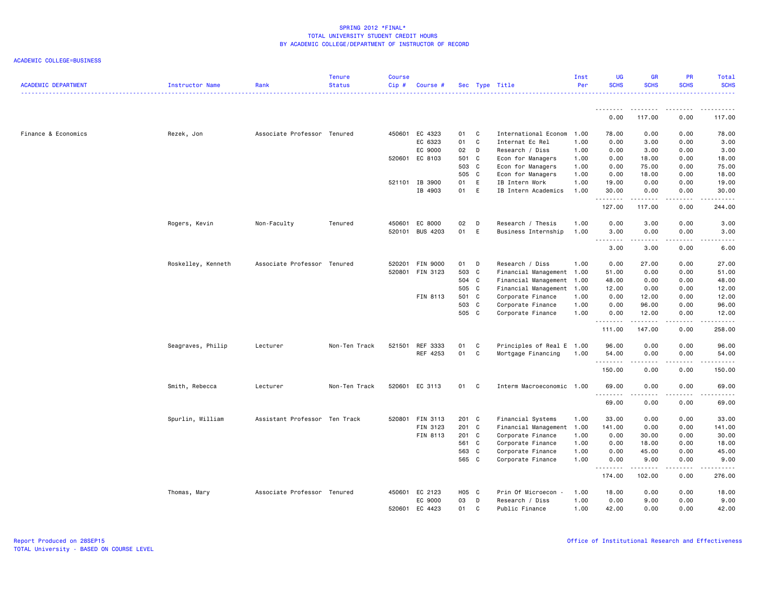| <b>ACADEMIC DEPARTMENT</b> | Instructor Name    | Rank                          | <b>Tenure</b><br><b>Status</b> | <b>Course</b><br>Cip# | Course #           |                |        | Sec Type Title                         | Inst<br>Per  | <b>UG</b><br><b>SCHS</b>     | <b>GR</b><br><b>SCHS</b>  | PR<br><b>SCHS</b>            | Total<br><b>SCHS</b> |
|----------------------------|--------------------|-------------------------------|--------------------------------|-----------------------|--------------------|----------------|--------|----------------------------------------|--------------|------------------------------|---------------------------|------------------------------|----------------------|
|                            |                    |                               |                                |                       |                    |                |        |                                        |              | 0.00                         | - - - - - - - -<br>117.00 | $\sim$ $\sim$ $\sim$<br>0.00 | 117.00               |
|                            |                    |                               |                                |                       |                    |                |        |                                        |              |                              |                           |                              |                      |
| Finance & Economics        | Rezek, Jon         | Associate Professor Tenured   |                                | 450601                | EC 4323            | 01<br>01       | C<br>C | International Econom                   | 1.00         | 78.00                        | 0.00                      | 0.00                         | 78.00                |
|                            |                    |                               |                                |                       | EC 6323<br>EC 9000 |                | D      | Internat Ec Rel                        | 1.00<br>1.00 | 0.00<br>0.00                 | 3.00                      | 0.00<br>0.00                 | 3.00                 |
|                            |                    |                               |                                |                       |                    | 02             |        | Research / Diss                        |              |                              | 3.00                      |                              | 3.00                 |
|                            |                    |                               |                                |                       | 520601 EC 8103     | 501 C<br>503 C |        | Econ for Managers<br>Econ for Managers | 1.00<br>1.00 | 0.00<br>0.00                 | 18.00<br>75.00            | 0.00<br>0.00                 | 18.00<br>75.00       |
|                            |                    |                               |                                |                       |                    |                |        |                                        |              |                              |                           |                              |                      |
|                            |                    |                               |                                |                       |                    | 505 C          |        | Econ for Managers                      | 1.00         | 0.00                         | 18.00                     | 0.00                         | 18.00                |
|                            |                    |                               |                                |                       | 521101 IB 3900     | 01             | E      | IB Intern Work                         | 1.00         | 19.00                        | 0.00                      | 0.00                         | 19.00                |
|                            |                    |                               |                                |                       | IB 4903            | 01             | E      | IB Intern Academics                    | 1.00         | 30.00<br><u>.</u>            | 0.00<br><u>.</u>          | 0.00<br>.                    | 30.00<br>.           |
|                            |                    |                               |                                |                       |                    |                |        |                                        |              | 127.00                       | 117.00                    | 0.00                         | 244.00               |
|                            | Rogers, Kevin      | Non-Faculty                   | Tenured                        | 450601                | EC 8000            | 02             | D      | Research / Thesis                      | 1.00         | 0.00                         | 3.00                      | 0.00                         | 3.00                 |
|                            |                    |                               |                                | 520101                | <b>BUS 4203</b>    | 01             | E      | Business Internship                    | 1.00         | 3.00                         | 0.00                      | 0.00                         | 3.00                 |
|                            |                    |                               |                                |                       |                    |                |        |                                        |              | $\sim$ $\sim$ $\sim$<br>3.00 | 3.00                      | $\sim$ $\sim$ $\sim$<br>0.00 | 6.00                 |
|                            |                    |                               |                                |                       |                    |                |        |                                        |              |                              |                           |                              |                      |
|                            | Roskelley, Kenneth | Associate Professor Tenured   |                                | 520201                | <b>FIN 9000</b>    | 01             | D      | Research / Diss                        | 1.00         | 0.00                         | 27.00                     | 0.00                         | 27.00                |
|                            |                    |                               |                                | 520801                | FIN 3123           | 503 C          |        | Financial Management                   | 1.00         | 51.00                        | 0.00                      | 0.00                         | 51.00                |
|                            |                    |                               |                                |                       |                    | 504 C          |        | Financial Management                   | 1.00         | 48.00                        | 0.00                      | 0.00                         | 48.00                |
|                            |                    |                               |                                |                       |                    | 505 C          |        | Financial Management                   | 1.00         | 12.00                        | 0.00                      | 0.00                         | 12.00                |
|                            |                    |                               |                                |                       | FIN 8113           | 501 C          |        | Corporate Finance                      | 1.00         | 0.00                         | 12.00                     | 0.00                         | 12.00                |
|                            |                    |                               |                                |                       |                    | 503 C          |        | Corporate Finance                      | 1.00         | 0.00                         | 96.00                     | 0.00                         | 96.00                |
|                            |                    |                               |                                |                       |                    | 505 C          |        | Corporate Finance                      | 1.00         | 0.00                         | 12.00                     | 0.00                         | 12.00                |
|                            |                    |                               |                                |                       |                    |                |        |                                        |              | .<br>111.00                  | .<br>147.00               | .<br>0.00                    | .<br>258.00          |
|                            | Seagraves, Philip  | Lecturer                      | Non-Ten Track                  |                       | 521501 REF 3333    | 01             | C      | Principles of Real E                   | 1.00         | 96.00                        | 0.00                      | 0.00                         | 96.00                |
|                            |                    |                               |                                |                       | REF 4253           | 01             | C      | Mortgage Financing                     | 1.00         | 54.00                        | 0.00                      | 0.00                         | 54.00                |
|                            |                    |                               |                                |                       |                    |                |        |                                        |              |                              |                           |                              | $\cdots$             |
|                            |                    |                               |                                |                       |                    |                |        |                                        |              | 150.00                       | 0.00                      | 0.00                         | 150.00               |
|                            | Smith, Rebecca     | Lecturer                      | Non-Ten Track                  |                       | 520601 EC 3113     | 01             | C      | Interm Macroeconomic 1.00              |              | 69.00<br>.                   | 0.00<br>.                 | 0.00<br>$\frac{1}{2}$        | 69.00<br>.           |
|                            |                    |                               |                                |                       |                    |                |        |                                        |              | 69.00                        | 0.00                      | 0.00                         | 69.00                |
|                            | Spurlin, William   | Assistant Professor Ten Track |                                | 520801                | FIN 3113           | 201 C          |        | Financial Systems                      | 1.00         | 33.00                        | 0.00                      | 0.00                         | 33.00                |
|                            |                    |                               |                                |                       | FIN 3123           | 201 C          |        | Financial Management                   | 1.00         | 141.00                       | 0.00                      | 0.00                         | 141.00               |
|                            |                    |                               |                                |                       | FIN 8113           | 201 C          |        | Corporate Finance                      | 1.00         | 0.00                         | 30.00                     | 0.00                         | 30.00                |
|                            |                    |                               |                                |                       |                    | 561 C          |        | Corporate Finance                      | 1.00         | 0.00                         | 18.00                     | 0.00                         | 18.00                |
|                            |                    |                               |                                |                       |                    | 563 C          |        | Corporate Finance                      | 1.00         | 0.00                         | 45.00                     | 0.00                         | 45.00                |
|                            |                    |                               |                                |                       |                    | 565 C          |        | Corporate Finance                      | 1.00         | 0.00                         | 9.00                      | 0.00                         | 9.00                 |
|                            |                    |                               |                                |                       |                    |                |        |                                        |              | 174.00                       | 102.00                    | 0.00                         | 276.00               |
|                            |                    |                               |                                |                       |                    |                |        |                                        |              |                              |                           |                              |                      |
|                            | Thomas, Mary       | Associate Professor Tenured   |                                |                       | 450601 EC 2123     | H05 C          |        | Prin Of Microecon -                    | 1.00         | 18.00                        | 0.00                      | 0.00                         | 18.00                |
|                            |                    |                               |                                |                       | EC 9000            | 03             | D      | Research / Diss                        | 1.00         | 0.00                         | 9.00                      | 0.00                         | 9.00                 |
|                            |                    |                               |                                |                       | 520601 EC 4423     | 01             | C      | Public Finance                         | 1.00         | 42.00                        | 0.00                      | 0.00                         | 42.00                |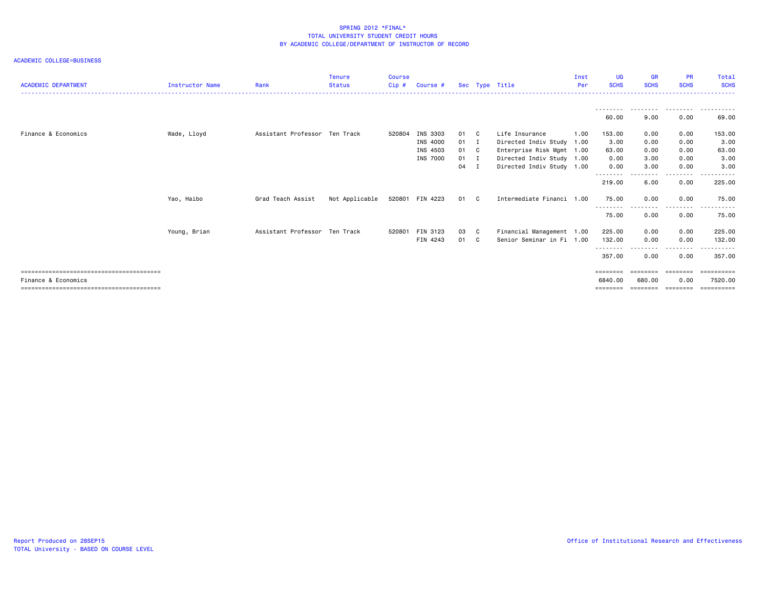|                            |                        |                               | <b>Tenure</b>  | <b>Course</b> |                 |              |                           | Inst | UG                         | <b>GR</b>   | <b>PR</b>        | Total       |
|----------------------------|------------------------|-------------------------------|----------------|---------------|-----------------|--------------|---------------------------|------|----------------------------|-------------|------------------|-------------|
| <b>ACADEMIC DEPARTMENT</b> | <b>Instructor Name</b> | Rank                          | <b>Status</b>  | Cip#          | Course #        |              | Sec Type Title            | Per  | <b>SCHS</b>                | <b>SCHS</b> | <b>SCHS</b>      | <b>SCHS</b> |
|                            |                        |                               |                |               |                 |              |                           |      |                            |             |                  |             |
|                            |                        |                               |                |               |                 |              |                           |      | 60.00                      | 9.00        | 0.00             | 69.00       |
| Finance & Economics        | Wade, Lloyd            | Assistant Professor Ten Track |                | 520804        | INS 3303        | 01 C         | Life Insurance            | 1.00 | 153.00                     | 0.00        | 0.00             | 153.00      |
|                            |                        |                               |                |               | INS 4000        | 01 I         | Directed Indiv Study 1.00 |      | 3.00                       | 0.00        | 0.00             | 3.00        |
|                            |                        |                               |                |               | INS 4503        | 01 C         | Enterprise Risk Mgmt 1.00 |      | 63.00                      | 0.00        | 0.00             | 63.00       |
|                            |                        |                               |                |               | INS 7000        | $01 \quad I$ | Directed Indiv Study 1.00 |      | 0.00                       | 3.00        | 0.00             | 3.00        |
|                            |                        |                               |                |               |                 | 04 I         | Directed Indiv Study 1.00 |      | 0.00                       | 3.00        | 0.00             | 3.00        |
|                            |                        |                               |                |               |                 |              |                           |      | 219.00                     | 6.00        | 0.00             | 225.00      |
|                            | Yao, Haibo             | Grad Teach Assist             | Not Applicable |               | 520801 FIN 4223 | 01 C         | Intermediate Financi 1.00 |      | 75.00                      | 0.00        | 0.00             | 75.00       |
|                            |                        |                               |                |               |                 |              |                           |      | - - - - - - - - -<br>75.00 | 0.00        | --------<br>0.00 | 75.00       |
|                            | Young, Brian           | Assistant Professor Ten Track |                | 520801        | FIN 3123        | 03 C         | Financial Management 1.00 |      | 225.00                     | 0.00        | 0.00             | 225.00      |
|                            |                        |                               |                |               | FIN 4243        | 01 C         | Senior Seminar in Fi 1.00 |      | 132.00                     | 0.00        | 0.00             | 132.00      |
|                            |                        |                               |                |               |                 |              |                           |      | - - - - - - - -<br>357.00  | 0.00        | 0.00             | 357.00      |
|                            |                        |                               |                |               |                 |              |                           |      |                            |             | ========         | eeeeeeee    |
| Finance & Economics        |                        |                               |                |               |                 |              |                           |      | 6840,00                    | 680,00      | 0.00             | 7520.00     |
|                            |                        |                               |                |               |                 |              |                           |      | ========                   |             | --------         | ==========  |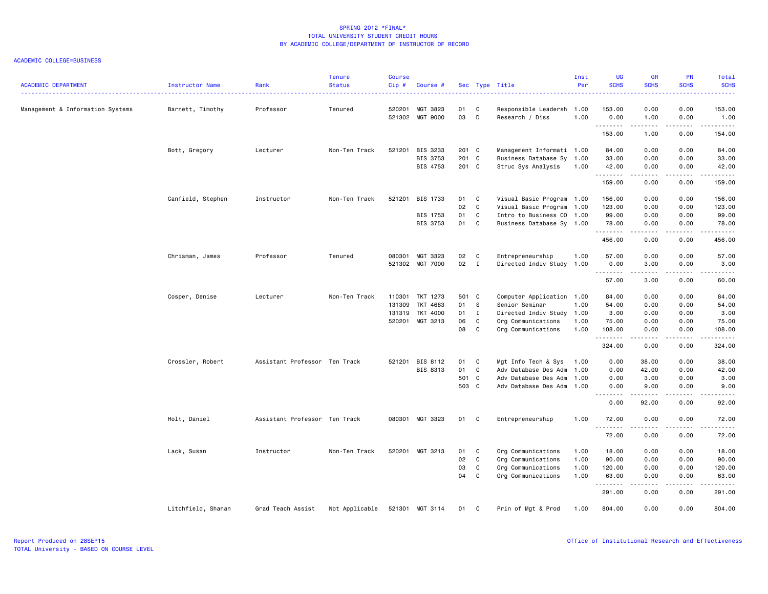| <b>ACADEMIC DEPARTMENT</b>       | Instructor Name    | Rank                          | <b>Tenure</b><br><b>Status</b> | <b>Course</b><br>Cip# | Course #             |                |              | Sec Type Title                                  | Inst<br>Per | UG<br><b>SCHS</b> | <b>GR</b><br><b>SCHS</b> | PR<br><b>SCHS</b>     | Total<br><b>SCHS</b><br>. |
|----------------------------------|--------------------|-------------------------------|--------------------------------|-----------------------|----------------------|----------------|--------------|-------------------------------------------------|-------------|-------------------|--------------------------|-----------------------|---------------------------|
| Management & Information Systems | Barnett, Timothy   | Professor                     | Tenured                        | 520201<br>521302      | MGT 3823<br>MGT 9000 | 01<br>03       | C<br>D       | Responsible Leadersh 1.00<br>Research / Diss    | 1.00        | 153.00<br>0.00    | 0.00<br>1.00             | 0.00<br>0.00          | 153.00<br>1.00            |
|                                  |                    |                               |                                |                       |                      |                |              |                                                 |             | .<br>153.00       | 1.00                     | .<br>0.00             | .<br>154.00               |
|                                  | Bott, Gregory      | Lecturer                      | Non-Ten Track                  | 521201                | BIS 3233             | 201 C          |              | Management Informati 1.00                       |             | 84.00             | 0.00                     | 0.00                  | 84.00                     |
|                                  |                    |                               |                                |                       | BIS 3753<br>BIS 4753 | 201 C<br>201 C |              | Business Database Sy 1.00<br>Struc Sys Analysis | 1.00        | 33.00<br>42.00    | 0.00<br>0.00             | 0.00<br>0.00          | 33.00<br>42.00            |
|                                  |                    |                               |                                |                       |                      |                |              |                                                 |             | .<br>159.00       | .<br>0.00                | .<br>0.00             | .<br>159.00               |
|                                  | Canfield, Stephen  | Instructor                    | Non-Ten Track                  | 521201                | BIS 1733             | 01             | C.           | Visual Basic Program 1.00                       |             | 156.00            | 0.00                     | 0.00                  | 156.00                    |
|                                  |                    |                               |                                |                       |                      | 02             | C            | Visual Basic Program                            | 1.00        | 123.00            | 0.00                     | 0.00                  | 123.00                    |
|                                  |                    |                               |                                |                       | BIS 1753             | 01             | C            | Intro to Business CO 1.00                       |             | 99.00             | 0.00                     | 0.00                  | 99.00                     |
|                                  |                    |                               |                                |                       | BIS 3753             | 01             | $\mathtt{C}$ | Business Database Sy 1.00                       |             | 78.00             | 0.00                     | 0.00                  | 78.00                     |
|                                  |                    |                               |                                |                       |                      |                |              |                                                 |             | .<br>456.00       | $\frac{1}{2}$<br>0.00    | 0.00                  | .<br>456.00               |
|                                  | Chrisman, James    | Professor                     | Tenured                        | 080301                | MGT 3323             | 02             | C            | Entrepreneurship                                | 1.00        | 57.00             | 0.00                     | 0.00                  | 57.00                     |
|                                  |                    |                               |                                |                       | 521302 MGT 7000      | 02             | $\mathbf{I}$ | Directed Indiv Study                            | 1.00        | 0.00              | 3.00                     | 0.00                  | 3.00                      |
|                                  |                    |                               |                                |                       |                      |                |              |                                                 |             | .<br>57.00        | .<br>3.00                | .<br>0.00             | د د د د د<br>60.00        |
|                                  | Cosper, Denise     | Lecturer                      | Non-Ten Track                  | 110301                | TKT 1273             | 501 C          |              | Computer Application 1.00                       |             | 84.00             | 0.00                     | 0.00                  | 84.00                     |
|                                  |                    |                               |                                | 131309                | TKT 4683             | 01             | $\mathbf{s}$ | Senior Seminar                                  | 1.00        | 54.00             | 0.00                     | 0.00                  | 54.00                     |
|                                  |                    |                               |                                | 131319                | TKT 4000             | 01             | $\mathbf{I}$ | Directed Indiv Study                            | 1.00        | 3.00              | 0.00                     | 0.00                  | 3.00                      |
|                                  |                    |                               |                                | 520201                | MGT 3213             | 06             | C            | Org Communications                              | 1.00        | 75.00             | 0.00                     | 0.00                  | 75.00                     |
|                                  |                    |                               |                                |                       |                      | 08             | C            | Org Communications                              | 1.00        | 108.00            | 0.00                     | 0.00                  | 108.00                    |
|                                  |                    |                               |                                |                       |                      |                |              |                                                 |             | .<br>324.00       | .<br>0.00                | .<br>0.00             | <b></b><br>324.00         |
|                                  | Crossler, Robert   | Assistant Professor Ten Track |                                | 521201                | BIS 8112             | 01             | C            | Mgt Info Tech & Sys                             | 1.00        | 0.00              | 38.00                    | 0.00                  | 38.00                     |
|                                  |                    |                               |                                |                       | BIS 8313             | 01             | C            | Adv Database Des Adm                            | 1.00        | 0.00              | 42.00                    | 0.00                  | 42.00                     |
|                                  |                    |                               |                                |                       |                      | 501 C          |              | Adv Database Des Adm                            | 1.00        | 0.00              | 3.00                     | 0.00                  | 3.00                      |
|                                  |                    |                               |                                |                       |                      | 503 C          |              | Adv Database Des Adm                            | 1.00        | 0.00              | 9.00                     | 0.00                  | 9.00                      |
|                                  |                    |                               |                                |                       |                      |                |              |                                                 |             | .<br>0.00         | .<br>92.00               | $\frac{1}{2}$<br>0.00 | .<br>92.00                |
|                                  | Holt, Daniel       | Assistant Professor Ten Track |                                |                       | 080301 MGT 3323      | 01             | C            | Entrepreneurship                                | 1.00        | 72.00<br><u>.</u> | 0.00<br>.                | 0.00<br>.             | 72.00<br>.                |
|                                  |                    |                               |                                |                       |                      |                |              |                                                 |             | 72.00             | 0.00                     | 0.00                  | 72.00                     |
|                                  | Lack, Susan        | Instructor                    | Non-Ten Track                  | 520201                | MGT 3213             | 01             | C            | Org Communications                              | 1.00        | 18.00             | 0.00                     | 0.00                  | 18.00                     |
|                                  |                    |                               |                                |                       |                      | 02             | $\mathtt{C}$ | Org Communications                              | 1.00        | 90.00             | 0.00                     | 0.00                  | 90.00                     |
|                                  |                    |                               |                                |                       |                      | 03             | C            | Org Communications                              | 1.00        | 120.00            | 0.00                     | 0.00                  | 120.00                    |
|                                  |                    |                               |                                |                       |                      | 04             | C            | Org Communications                              | 1.00        | 63.00             | 0.00                     | 0.00<br>----          | 63.00<br>والمناصبات       |
|                                  |                    |                               |                                |                       |                      |                |              |                                                 |             | 291.00            | 0.00                     | 0.00                  | 291.00                    |
|                                  | Litchfield, Shanan | Grad Teach Assist             | Not Applicable                 | 521301                | MGT 3114             | 01             | C            | Prin of Mgt & Prod                              | 1.00        | 804.00            | 0.00                     | 0.00                  | 804.00                    |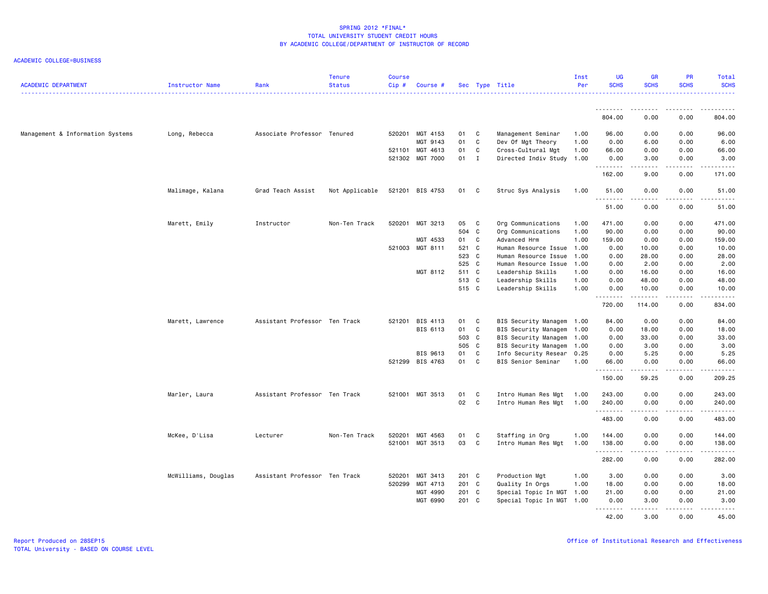#### ACADEMIC COLLEGE=BUSINESS

| <b>ACADEMIC DEPARTMENT</b>       | Instructor Name     | Rank                          | <b>Tenure</b><br><b>Status</b> | <b>Course</b><br>Cip# | Course #        |       |              | Sec Type Title            | Inst<br>Per | <b>UG</b><br><b>SCHS</b> | <b>GR</b><br><b>SCHS</b> | <b>PR</b><br><b>SCHS</b> | Total<br><b>SCHS</b>                                                                                                                |
|----------------------------------|---------------------|-------------------------------|--------------------------------|-----------------------|-----------------|-------|--------------|---------------------------|-------------|--------------------------|--------------------------|--------------------------|-------------------------------------------------------------------------------------------------------------------------------------|
|                                  |                     |                               |                                |                       |                 |       |              |                           |             |                          |                          |                          |                                                                                                                                     |
|                                  |                     |                               |                                |                       |                 |       |              |                           |             | .<br>804.00              | 0.00                     | .<br>0.00                | $\begin{array}{cccccccccccccc} \bullet & \bullet & \bullet & \bullet & \bullet & \bullet & \bullet & \bullet \end{array}$<br>804.00 |
| Management & Information Systems | Long, Rebecca       | Associate Professor Tenured   |                                |                       | 520201 MGT 4153 | 01 C  |              | Management Seminar        | 1.00        | 96.00                    | 0.00                     | 0.00                     | 96.00                                                                                                                               |
|                                  |                     |                               |                                |                       | MGT 9143        | 01    | C            | Dev Of Mgt Theory         | 1.00        | 0.00                     | 6.00                     | 0.00                     | 6.00                                                                                                                                |
|                                  |                     |                               |                                |                       | 521101 MGT 4613 | 01    | C            | Cross-Cultural Mgt        | 1.00        | 66.00                    | 0.00                     | 0.00                     | 66.00                                                                                                                               |
|                                  |                     |                               |                                |                       | 521302 MGT 7000 | 01    | $\mathbf{I}$ | Directed Indiv Study 1.00 |             | 0.00<br>.                | 3.00<br>د د د د          | 0.00<br>د د د د          | 3.00<br>.                                                                                                                           |
|                                  |                     |                               |                                |                       |                 |       |              |                           |             | 162.00                   | 9.00                     | 0.00                     | 171.00                                                                                                                              |
|                                  | Malimage, Kalana    | Grad Teach Assist             | Not Applicable                 |                       | 521201 BIS 4753 | 01 C  |              | Struc Sys Analysis        | 1.00        | 51.00                    | 0.00                     | 0.00                     | 51.00                                                                                                                               |
|                                  |                     |                               |                                |                       |                 |       |              |                           |             | .<br>51.00               | 0.00                     | .<br>0.00                | .<br>51.00                                                                                                                          |
|                                  | Marett, Emily       | Instructor                    | Non-Ten Track                  |                       | 520201 MGT 3213 | 05 C  |              | Org Communications        | 1.00        | 471.00                   | 0.00                     | 0.00                     | 471.00                                                                                                                              |
|                                  |                     |                               |                                |                       |                 | 504 C |              | Org Communications        | 1.00        | 90.00                    | 0.00                     | 0.00                     | 90.00                                                                                                                               |
|                                  |                     |                               |                                |                       | MGT 4533        | 01    | C.           | Advanced Hrm              | 1.00        | 159.00                   | 0.00                     | 0.00                     | 159.00                                                                                                                              |
|                                  |                     |                               |                                |                       | 521003 MGT 8111 | 521 C |              | Human Resource Issue 1.00 |             | 0.00                     | 10.00                    | 0.00                     | 10.00                                                                                                                               |
|                                  |                     |                               |                                |                       |                 | 523 C |              | Human Resource Issue      | 1.00        | 0.00                     | 28.00                    | 0.00                     | 28.00                                                                                                                               |
|                                  |                     |                               |                                |                       |                 | 525 C |              | Human Resource Issue      | 1.00        | 0.00                     | 2.00                     | 0.00                     | 2.00                                                                                                                                |
|                                  |                     |                               |                                |                       | MGT 8112        | 511 C |              | Leadership Skills         | 1.00        | 0.00                     | 16.00                    | 0.00                     | 16.00                                                                                                                               |
|                                  |                     |                               |                                |                       |                 | 513 C |              | Leadership Skills         | 1.00        | 0.00                     | 48.00                    | 0.00                     | 48.00                                                                                                                               |
|                                  |                     |                               |                                |                       |                 | 515 C |              | Leadership Skills         | 1.00        | 0.00                     | 10.00                    | 0.00                     | 10.00                                                                                                                               |
|                                  |                     |                               |                                |                       |                 |       |              |                           |             | .<br>720.00              | <u>.</u><br>114.00       | .<br>0.00                | .<br>834.00                                                                                                                         |
|                                  | Marett, Lawrence    | Assistant Professor Ten Track |                                |                       | 521201 BIS 4113 | 01    | C            | BIS Security Managem      | 1.00        | 84.00                    | 0.00                     | 0.00                     | 84.00                                                                                                                               |
|                                  |                     |                               |                                |                       | BIS 6113        | 01    | C            | BIS Security Managem      | 1.00        | 0.00                     | 18.00                    | 0.00                     | 18.00                                                                                                                               |
|                                  |                     |                               |                                |                       |                 | 503 C |              | BIS Security Managem      | 1.00        | 0.00                     | 33.00                    | 0.00                     | 33.00                                                                                                                               |
|                                  |                     |                               |                                |                       |                 | 505 C |              | BIS Security Managem      | 1.00        | 0.00                     | 3.00                     | 0.00                     | 3.00                                                                                                                                |
|                                  |                     |                               |                                |                       | BIS 9613        | 01    | $\mathbf{C}$ | Info Security Resear      | 0.25        | 0.00                     | 5.25                     | 0.00                     | 5.25                                                                                                                                |
|                                  |                     |                               |                                |                       | 521299 BIS 4763 | 01    | C            | BIS Senior Seminar        | 1.00        | 66.00                    | 0.00                     | 0.00                     | 66.00                                                                                                                               |
|                                  |                     |                               |                                |                       |                 |       |              |                           |             | .<br>150.00              | .<br>59.25               | .<br>0.00                | .<br>209.25                                                                                                                         |
|                                  | Marler, Laura       | Assistant Professor Ten Track |                                |                       | 521001 MGT 3513 | 01    | C            | Intro Human Res Mgt       | 1.00        | 243.00                   | 0.00                     | 0.00                     | 243.00                                                                                                                              |
|                                  |                     |                               |                                |                       |                 | 02    | $\mathbf{C}$ | Intro Human Res Mgt       | 1.00        | 240.00                   | 0.00                     | 0.00                     | 240.00<br>.                                                                                                                         |
|                                  |                     |                               |                                |                       |                 |       |              |                           |             | .<br>483.00              | .<br>0.00                | -----<br>0.00            | 483.00                                                                                                                              |
|                                  | McKee, D'Lisa       | Lecturer                      | Non-Ten Track                  | 520201                | MGT 4563        | 01    | C            | Staffing in Org           | 1.00        | 144.00                   | 0.00                     | 0.00                     | 144.00                                                                                                                              |
|                                  |                     |                               |                                |                       | 521001 MGT 3513 | 03    | $\mathbf{C}$ | Intro Human Res Mgt       | 1.00        | 138.00<br>.              | 0.00<br>.                | 0.00<br>.                | 138.00<br>.                                                                                                                         |
|                                  |                     |                               |                                |                       |                 |       |              |                           |             | 282.00                   | 0.00                     | 0.00                     | 282.00                                                                                                                              |
|                                  | McWilliams, Douglas | Assistant Professor Ten Track |                                | 520201                | MGT 3413        | 201 C |              | Production Mgt            | 1.00        | 3.00                     | 0.00                     | 0.00                     | 3.00                                                                                                                                |
|                                  |                     |                               |                                | 520299                | MGT 4713        | 201 C |              | Quality In Orgs           | 1.00        | 18.00                    | 0.00                     | 0.00                     | 18.00                                                                                                                               |
|                                  |                     |                               |                                |                       | MGT 4990        | 201 C |              | Special Topic In MGT 1.00 |             | 21.00                    | 0.00                     | 0.00                     | 21.00                                                                                                                               |
|                                  |                     |                               |                                |                       | MGT 6990        | 201 C |              | Special Topic In MGT      | 1.00        | 0.00<br>.                | 3.00<br>.                | 0.00<br>. <b>.</b>       | 3.00<br>.                                                                                                                           |
|                                  |                     |                               |                                |                       |                 |       |              |                           |             | 42.00                    | 3.00                     | 0.00                     | 45.00                                                                                                                               |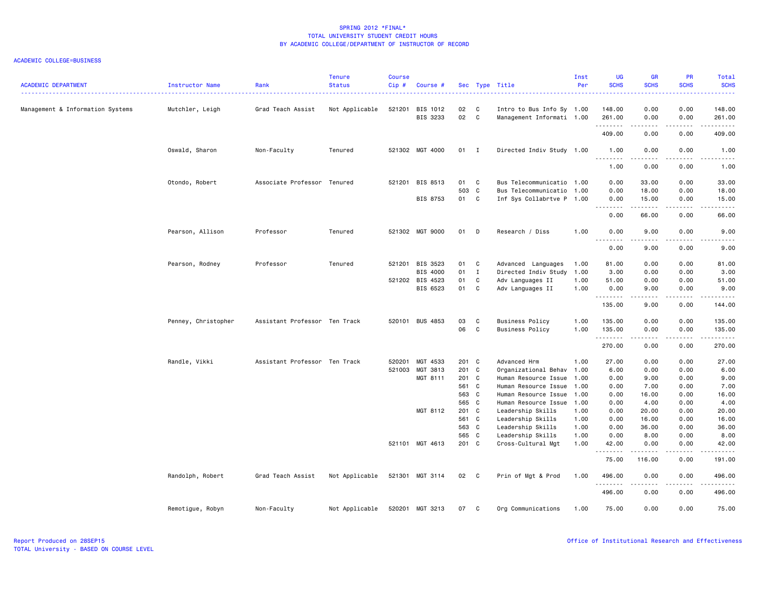| <b>ACADEMIC DEPARTMENT</b>       | Instructor Name     | Rank                          | <b>Tenure</b><br><b>Status</b> | <b>Course</b><br>$Cip$ # | Course #                    |             |                | Sec Type Title                                         | Inst<br>Per | <b>UG</b><br><b>SCHS</b> | <b>GR</b><br><b>SCHS</b> | PR<br><b>SCHS</b>     | Total<br><b>SCHS</b><br>. |
|----------------------------------|---------------------|-------------------------------|--------------------------------|--------------------------|-----------------------------|-------------|----------------|--------------------------------------------------------|-------------|--------------------------|--------------------------|-----------------------|---------------------------|
| Management & Information Systems | Mutchler, Leigh     | Grad Teach Assist             | Not Applicable                 |                          | 521201 BIS 1012<br>BIS 3233 | 02<br>02    | C<br>C         | Intro to Bus Info Sy 1.00<br>Management Informati 1.00 |             | 148.00<br>261.00         | 0.00<br>0.00             | 0.00<br>0.00          | 148.00<br>261.00<br>.     |
|                                  |                     |                               |                                |                          |                             |             |                |                                                        |             | 409.00                   | 0.00                     | 0.00                  | 409.00                    |
|                                  | Oswald, Sharon      | Non-Faculty                   | Tenured                        |                          | 521302 MGT 4000             | $01$ I      |                | Directed Indiv Study 1.00                              |             | 1.00<br>----             | 0.00<br>.                | 0.00<br>.             | 1.00                      |
|                                  |                     |                               |                                |                          |                             |             |                |                                                        |             | 1.00                     | 0.00                     | 0.00                  | 1.00                      |
|                                  | Otondo, Robert      | Associate Professor Tenured   |                                | 521201                   | BIS 8513                    | 01          | C              | Bus Telecommunicatio 1.00                              |             | 0.00                     | 33.00                    | 0.00                  | 33.00                     |
|                                  |                     |                               |                                |                          | BIS 8753                    | 503 C<br>01 | C              | Bus Telecommunicatio 1.00<br>Inf Sys Collabrtve P 1.00 |             | 0.00<br>0.00             | 18.00<br>15.00           | 0.00<br>0.00          | 18.00<br>15.00            |
|                                  |                     |                               |                                |                          |                             |             |                |                                                        |             | .<br>0.00                | .<br>66.00               | .<br>0.00             | .<br>66.00                |
|                                  | Pearson, Allison    | Professor                     | Tenured                        |                          | 521302 MGT 9000             | 01          | D              | Research / Diss                                        | 1.00        | 0.00                     | 9.00                     | 0.00                  | 9.00                      |
|                                  |                     |                               |                                |                          |                             |             |                |                                                        |             | .<br>0.00                | .<br>9.00                | .<br>0.00             | .<br>9.00                 |
|                                  | Pearson, Rodney     | Professor                     | Tenured                        |                          | 521201 BIS 3523             | 01 C        |                | Advanced Languages                                     | 1.00        | 81.00                    | 0.00                     | 0.00                  | 81.00                     |
|                                  |                     |                               |                                |                          | BIS 4000                    | 01          | $\blacksquare$ | Directed Indiv Study                                   | 1.00        | 3.00                     | 0.00                     | 0.00                  | 3.00                      |
|                                  |                     |                               |                                |                          | 521202 BIS 4523             | 01          | C              | Adv Languages II                                       | 1.00        | 51.00                    | 0.00                     | 0.00                  | 51.00                     |
|                                  |                     |                               |                                |                          | BIS 6523                    | 01          | C              | Adv Languages II                                       | 1.00        | 0.00                     | 9.00                     | 0.00                  | 9.00                      |
|                                  |                     |                               |                                |                          |                             |             |                |                                                        |             | <u>.</u><br>135.00       | .<br>9.00                | .<br>0.00             | .<br>144.00               |
|                                  | Penney, Christopher | Assistant Professor Ten Track |                                |                          | 520101 BUS 4853             | 03          | C              | <b>Business Policy</b>                                 | 1.00        | 135.00                   | 0.00                     | 0.00                  | 135.00                    |
|                                  |                     |                               |                                |                          |                             | 06          | C              | <b>Business Policy</b>                                 | 1.00        | 135.00                   | 0.00                     | 0.00                  | 135.00                    |
|                                  |                     |                               |                                |                          |                             |             |                |                                                        |             | .                        | .                        | د د د د               | .                         |
|                                  |                     |                               |                                |                          |                             |             |                |                                                        |             | 270.00                   | 0.00                     | 0.00                  | 270.00                    |
|                                  | Randle, Vikki       | Assistant Professor Ten Track |                                | 520201                   | MGT 4533                    | 201 C       |                | Advanced Hrm                                           | 1.00        | 27.00                    | 0.00                     | 0.00                  | 27.00                     |
|                                  |                     |                               |                                | 521003                   | MGT 3813                    | 201 C       |                | Organizational Behav                                   | 1.00        | 6.00                     | 0.00                     | 0.00                  | 6.00                      |
|                                  |                     |                               |                                |                          | MGT 8111                    | 201 C       |                | Human Resource Issue                                   | 1.00        | 0.00                     | 9.00                     | 0.00                  | 9.00                      |
|                                  |                     |                               |                                |                          |                             | 561 C       |                | Human Resource Issue                                   | 1.00        | 0.00                     | 7.00                     | 0.00                  | 7.00                      |
|                                  |                     |                               |                                |                          |                             | 563 C       |                | Human Resource Issue                                   | 1.00        | 0.00                     | 16.00                    | 0.00                  | 16.00                     |
|                                  |                     |                               |                                |                          |                             | 565 C       |                | Human Resource Issue                                   | 1.00        | 0.00                     | 4.00                     | 0.00                  | 4.00                      |
|                                  |                     |                               |                                |                          | MGT 8112                    | 201 C       |                | Leadership Skills                                      | 1.00        | 0.00                     | 20.00                    | 0.00                  | 20.00                     |
|                                  |                     |                               |                                |                          |                             | 561 C       |                | Leadership Skills                                      | 1.00        | 0.00                     | 16.00                    | 0.00                  | 16.00                     |
|                                  |                     |                               |                                |                          |                             | 563 C       |                | Leadership Skills                                      | 1.00        | 0.00                     | 36.00                    | 0.00                  | 36.00                     |
|                                  |                     |                               |                                |                          |                             | 565 C       |                | Leadership Skills                                      | 1.00        | 0.00                     | 8.00                     | 0.00                  | 8.00                      |
|                                  |                     |                               |                                |                          | 521101 MGT 4613             | 201 C       |                | Cross-Cultural Mgt                                     | 1.00        | 42.00<br><u>.</u>        | 0.00<br>.                | 0.00<br>.             | 42.00<br>.                |
|                                  |                     |                               |                                |                          |                             |             |                |                                                        |             | 75.00                    | 116.00                   | 0.00                  | 191.00                    |
|                                  | Randolph, Robert    | Grad Teach Assist             | Not Applicable                 |                          | 521301 MGT 3114             | 02 C        |                | Prin of Mgt & Prod                                     | 1.00        | 496.00<br><u>.</u>       | 0.00<br>.                | 0.00<br>$\frac{1}{2}$ | 496.00<br>.               |
|                                  |                     |                               |                                |                          |                             |             |                |                                                        |             | 496.00                   | 0.00                     | 0.00                  | 496.00                    |
|                                  | Remotigue, Robyn    | Non-Faculty                   | Not Applicable                 |                          | 520201 MGT 3213             | 07          | C              | Org Communications                                     | 1.00        | 75.00                    | 0.00                     | 0.00                  | 75.00                     |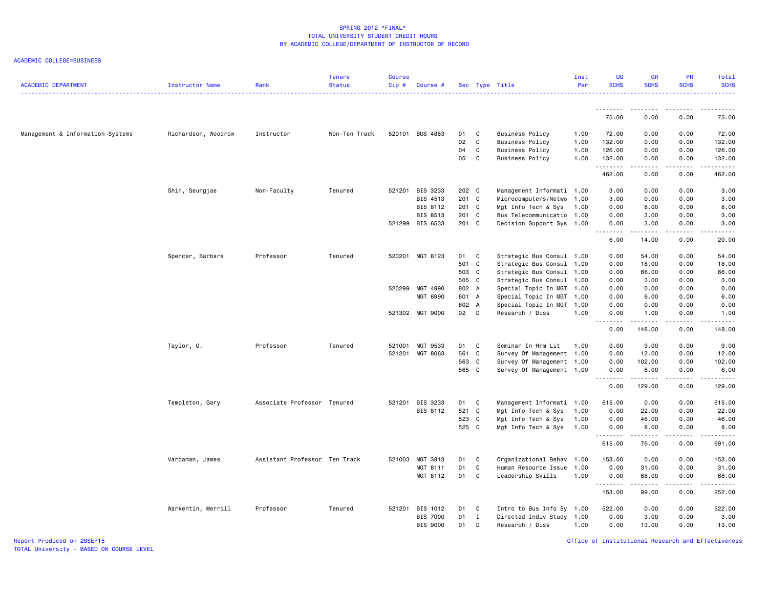ACADEMIC COLLEGE=BUSINESS

| <b>ACADEMIC DEPARTMENT</b>       | Instructor Name     | Rank                          | <b>Tenure</b><br><b>Status</b> | <b>Course</b><br>Cip# | Course #        |       |              | Sec Type Title            | Inst<br>Per | <b>UG</b><br><b>SCHS</b>            | <b>GR</b><br><b>SCHS</b> | <b>PR</b><br><b>SCHS</b>            | Total<br><b>SCHS</b>  |
|----------------------------------|---------------------|-------------------------------|--------------------------------|-----------------------|-----------------|-------|--------------|---------------------------|-------------|-------------------------------------|--------------------------|-------------------------------------|-----------------------|
|                                  |                     |                               |                                |                       |                 |       |              |                           |             | .                                   | .                        |                                     | .                     |
|                                  |                     |                               |                                |                       |                 |       |              |                           |             | 75.00                               | 0.00                     | 0.00                                | 75.00                 |
| Management & Information Systems | Richardson, Woodrow | Instructor                    | Non-Ten Track                  |                       | 520101 BUS 4853 | 01    | C            | Business Policy           | 1.00        | 72.00                               | 0.00                     | 0.00                                | 72.00                 |
|                                  |                     |                               |                                |                       |                 | 02    | C            | <b>Business Policy</b>    | 1.00        | 132.00                              | 0.00                     | 0.00                                | 132.00                |
|                                  |                     |                               |                                |                       |                 | 04    | $\mathbf{C}$ | <b>Business Policy</b>    | 1.00        | 126.00                              | 0.00                     | 0.00                                | 126.00                |
|                                  |                     |                               |                                |                       |                 | 05    | $\mathbf{C}$ | <b>Business Policy</b>    | 1.00        | 132.00<br>.                         | 0.00                     | 0.00<br>$\sim$ $\sim$ $\sim$ $\sim$ | 132.00                |
|                                  |                     |                               |                                |                       |                 |       |              |                           |             | 462.00                              | 0.00                     | 0.00                                | 462.00                |
|                                  | Shin, Seungjae      | Non-Faculty                   | Tenured                        |                       | 521201 BIS 3233 | 202 C |              | Management Informati 1.00 |             | 3.00                                | 0.00                     | 0.00                                | 3.00                  |
|                                  |                     |                               |                                |                       | BIS 4513        | 201 C |              | Microcomputers/Netwo 1.00 |             | 3.00                                | 0.00                     | 0.00                                | 3.00                  |
|                                  |                     |                               |                                |                       | BIS 8112        | 201 C |              | Mgt Info Tech & Sys 1.00  |             | 0.00                                | 8.00                     | 0.00                                | 8.00                  |
|                                  |                     |                               |                                |                       | BIS 8513        | 201 C |              | Bus Telecommunicatio 1.00 |             | 0.00                                | 3.00                     | 0.00                                | 3.00                  |
|                                  |                     |                               |                                |                       | 521299 BIS 6533 | 201 C |              | Decision Support Sys 1.00 |             | 0.00<br>$  -$<br>$- - - - -$        | 3.00<br>. <b>.</b> .     | 0.00<br>.                           | 3.00                  |
|                                  |                     |                               |                                |                       |                 |       |              |                           |             | 6.00                                | 14.00                    | 0.00                                | 20.00                 |
|                                  | Spencer, Barbara    | Professor                     | Tenured                        |                       | 520201 MGT 8123 | 01    | C            | Strategic Bus Consul 1.00 |             | 0.00                                | 54.00                    | 0.00                                | 54.00                 |
|                                  |                     |                               |                                |                       |                 | 501 C |              | Strategic Bus Consul 1.00 |             | 0.00                                | 18.00                    | 0.00                                | 18.00                 |
|                                  |                     |                               |                                |                       |                 | 503 C |              | Strategic Bus Consul 1.00 |             | 0.00                                | 66.00                    | 0.00                                | 66.00                 |
|                                  |                     |                               |                                |                       |                 | 505 C |              | Strategic Bus Consul 1.00 |             | 0.00                                | 3.00                     | 0.00                                | 3.00                  |
|                                  |                     |                               |                                |                       | 520299 MGT 4990 | 802 A |              | Special Topic In MGT 1.00 |             | 0.00                                | 0.00                     | 0.00                                | 0.00                  |
|                                  |                     |                               |                                |                       | MGT 6990        | 801 A |              | Special Topic In MGT 1.00 |             | 0.00                                | 6.00                     | 0.00                                | 6.00                  |
|                                  |                     |                               |                                |                       |                 | 802 A |              | Special Topic In MGT 1.00 |             | 0.00                                | 0.00                     | 0.00                                | 0.00                  |
|                                  |                     |                               |                                |                       | 521302 MGT 9000 | 02 D  |              | Research / Diss           | 1.00        | 0.00<br>د د د د<br>$\sim$ $\sim$    | 1.00<br>.                | 0.00<br>.                           | 1.00<br>$\frac{1}{2}$ |
|                                  |                     |                               |                                |                       |                 |       |              |                           |             | 0.00                                | 148.00                   | 0.00                                | 148.00                |
|                                  | Taylor, G.          | Professor                     | Tenured                        | 521001                | MGT 9533        | 01    | C            | Seminar In Hrm Lit        | 1.00        | 0.00                                | 9.00                     | 0.00                                | 9.00                  |
|                                  |                     |                               |                                |                       | 521201 MGT 8063 | 561 C |              | Survey Of Management 1.00 |             | 0.00                                | 12.00                    | 0.00                                | 12.00                 |
|                                  |                     |                               |                                |                       |                 | 563 C |              | Survey Of Management 1.00 |             | 0.00                                | 102.00                   | 0.00                                | 102.00                |
|                                  |                     |                               |                                |                       |                 | 565 C |              | Survey Of Management 1.00 |             | 0.00<br>$\sim$ $\sim$ $\sim$ $\sim$ | 6.00<br>.                | 0.00<br>.                           | 6.00<br>.             |
|                                  |                     |                               |                                |                       |                 |       |              |                           |             | 0.00                                | 129.00                   | 0.00                                | 129.00                |
|                                  | Templeton, Gary     | Associate Professor Tenured   |                                |                       | 521201 BIS 3233 | 01    | C            | Management Informati 1.00 |             | 615.00                              | 0.00                     | 0.00                                | 615.00                |
|                                  |                     |                               |                                |                       | BIS 8112        | 521   | C            | Mgt Info Tech & Sys       | 1.00        | 0.00                                | 22.00                    | 0.00                                | 22.00                 |
|                                  |                     |                               |                                |                       |                 | 523   | C            | Mgt Info Tech & Sys       | 1.00        | 0.00                                | 46.00                    | 0.00                                | 46.00                 |
|                                  |                     |                               |                                |                       |                 | 525 C |              | Mgt Info Tech & Sys       | 1.00        | 0.00<br>.                           | 8.00<br>.                | 0.00                                | 8.00<br>.             |
|                                  |                     |                               |                                |                       |                 |       |              |                           |             | 615.00                              | 76.00                    | 0.00                                | 691.00                |
|                                  | Vardaman, James     | Assistant Professor Ten Track |                                |                       | 521003 MGT 3813 | 01    | C            | Organizational Behav 1.00 |             | 153.00                              | 0.00                     | 0.00                                | 153.00                |
|                                  |                     |                               |                                |                       | MGT 8111        | 01    | C            | Human Resource Issue      | 1.00        | 0.00                                | 31.00                    | 0.00                                | 31.00                 |
|                                  |                     |                               |                                |                       | MGT 8112        | 01    | C            | Leadership Skills         | 1.00        | 0.00<br>.                           | 68.00                    | 0.00                                | 68.00<br>.            |
|                                  |                     |                               |                                |                       |                 |       |              |                           |             | 153.00                              | 99.00                    | 0.00                                | 252.00                |
|                                  | Warkentin, Merrill  | Professor                     | Tenured                        |                       | 521201 BIS 1012 | 01    | C            | Intro to Bus Info Sy 1.00 |             | 522.00                              | 0.00                     | 0.00                                | 522.00                |
|                                  |                     |                               |                                |                       | <b>BIS 7000</b> | 01    | $\mathbf{I}$ | Directed Indiv Study 1.00 |             | 0.00                                | 3.00                     | 0.00                                | 3.00                  |
|                                  |                     |                               |                                |                       | <b>BIS 9000</b> | 01    | D            | Research / Diss           | 1.00        | 0.00                                | 13.00                    | 0.00                                | 13.00                 |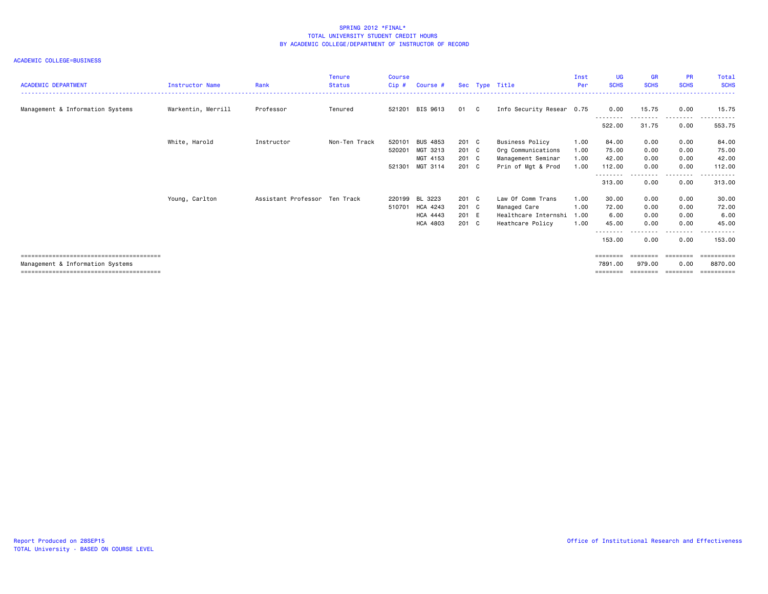| <b>ACADEMIC DEPARTMENT</b>       | <b>Instructor Name</b> | Rank                          | <b>Tenure</b><br><b>Status</b> | Course<br>Cip# | Course #        |       | Sec Type Title            | Inst<br>Per | <b>UG</b><br><b>SCHS</b> | <b>GR</b><br><b>SCHS</b> | <b>PR</b><br><b>SCHS</b> | Total<br><b>SCHS</b> |
|----------------------------------|------------------------|-------------------------------|--------------------------------|----------------|-----------------|-------|---------------------------|-------------|--------------------------|--------------------------|--------------------------|----------------------|
| Management & Information Systems | Warkentin, Merrill     | Professor                     | Tenured                        |                | 521201 BIS 9613 | 01 C  | Info Security Resear 0.75 |             | 0.00                     | 15.75                    | 0.00                     | 15.75                |
|                                  |                        |                               |                                |                |                 |       |                           |             | --------<br>522.00       | <u>.</u><br>31.75        | .<br>0.00                | .<br>553.75          |
|                                  | White, Harold          | Instructor                    | Non-Ten Track                  | 520101         | <b>BUS 4853</b> | 201 C | Business Policy           | 1.00        | 84.00                    | 0.00                     | 0.00                     | 84.00                |
|                                  |                        |                               |                                | 520201         | MGT 3213        | 201 C | Org Communications        | 1.00        | 75.00                    | 0.00                     | 0.00                     | 75.00                |
|                                  |                        |                               |                                |                | MGT 4153        | 201 C | Management Seminar        | 1.00        | 42.00                    | 0.00                     | 0.00                     | 42.00                |
|                                  |                        |                               |                                |                | 521301 MGT 3114 | 201 C | Prin of Mgt & Prod        | 1.00        | 112.00                   | 0.00                     | 0.00                     | 112.00               |
|                                  |                        |                               |                                |                |                 |       |                           |             | 313.00                   | 0.00                     | $\cdots$<br>0.00         | .<br>313,00          |
|                                  | Young, Carlton         | Assistant Professor Ten Track |                                |                | 220199 BL 3223  | 201 C | Law Of Comm Trans         | 1.00        | 30.00                    | 0.00                     | 0.00                     | 30.00                |
|                                  |                        |                               |                                |                | 510701 HCA 4243 | 201 C | Managed Care              | 1.00        | 72.00                    | 0.00                     | 0.00                     | 72.00                |
|                                  |                        |                               |                                |                | <b>HCA 4443</b> | 201 E | Healthcare Internshi      | 1.00        | 6.00                     | 0.00                     | 0.00                     | 6.00                 |
|                                  |                        |                               |                                |                | <b>HCA 4803</b> | 201 C | Heathcare Policy          | 1.00        | 45.00                    | 0.00                     | 0.00                     | 45.00                |
|                                  |                        |                               |                                |                |                 |       |                           |             | 153.00                   | 0.00                     | $\cdots$<br>0.00         | 153.00               |
|                                  |                        |                               |                                |                |                 |       |                           |             | ========                 | ========                 | ---------                | ==========           |
| Management & Information Systems |                        |                               |                                |                |                 |       |                           |             | 7891.00                  | 979.00                   | 0.00                     | 8870.00              |
|                                  |                        |                               |                                |                |                 |       |                           |             | ========                 |                          | ======== ========        |                      |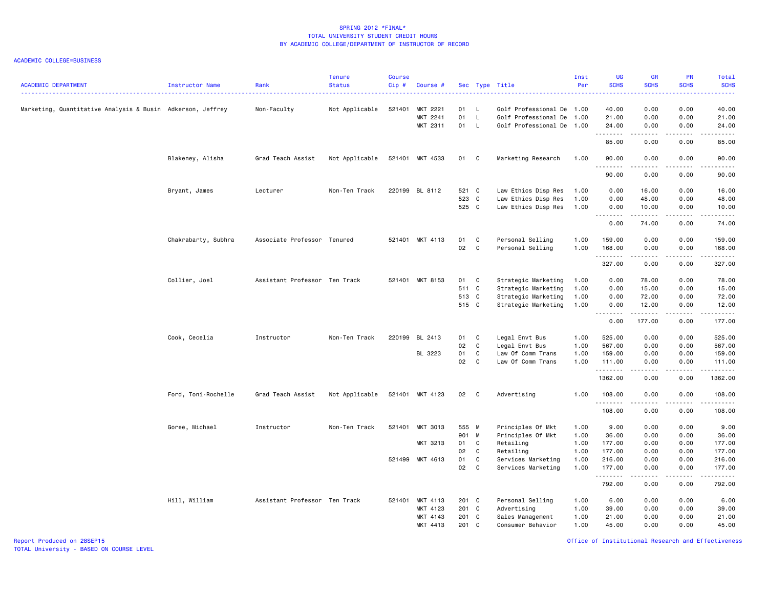| <b>ACADEMIC DEPARTMENT</b>                                 | Instructor Name     | Rank                          | <b>Tenure</b><br><b>Status</b> | <b>Course</b><br>Cip# | Course #                         |                         |                                | Sec Type Title                                                                      | Inst<br>Per                  | <b>UG</b><br><b>SCHS</b>             | <b>GR</b><br><b>SCHS</b>                                                                                                                                      | PR<br><b>SCHS</b>                                                                                                                 | Total<br><b>SCHS</b>                 |
|------------------------------------------------------------|---------------------|-------------------------------|--------------------------------|-----------------------|----------------------------------|-------------------------|--------------------------------|-------------------------------------------------------------------------------------|------------------------------|--------------------------------------|---------------------------------------------------------------------------------------------------------------------------------------------------------------|-----------------------------------------------------------------------------------------------------------------------------------|--------------------------------------|
| Marketing, Quantitative Analysis & Busin Adkerson, Jeffrey |                     | Non-Faculty                   | Not Applicable                 | 521401                | MKT 2221<br>MKT 2241<br>MKT 2311 | 01<br>01<br>01          | L.<br><b>L</b><br>$\mathsf{L}$ | Golf Professional De 1.00<br>Golf Professional De 1.00<br>Golf Professional De 1.00 |                              | 40.00<br>21.00<br>24.00              | 0.00<br>0.00<br>0.00                                                                                                                                          | 0.00<br>0.00<br>0.00                                                                                                              | 40.00<br>21.00<br>24.00              |
|                                                            |                     |                               |                                |                       |                                  |                         |                                |                                                                                     |                              | .<br>85.00                           | $\frac{1}{2} \left( \frac{1}{2} \right) \left( \frac{1}{2} \right) \left( \frac{1}{2} \right) \left( \frac{1}{2} \right) \left( \frac{1}{2} \right)$<br>0.00  | والأمام<br>0.00                                                                                                                   | .<br>85.00                           |
|                                                            | Blakeney, Alisha    | Grad Teach Assist             | Not Applicable                 |                       | 521401 MKT 4533                  | 01                      | - C                            | Marketing Research                                                                  | 1.00                         | 90.00                                | 0.00                                                                                                                                                          | 0.00                                                                                                                              | 90.00                                |
|                                                            |                     |                               |                                |                       |                                  |                         |                                |                                                                                     |                              | 90.00                                | 0.00                                                                                                                                                          | 0.00                                                                                                                              | 90.00                                |
|                                                            | Bryant, James       | Lecturer                      | Non-Ten Track                  |                       | 220199 BL 8112                   | 521 C<br>523 C<br>525 C |                                | Law Ethics Disp Res<br>Law Ethics Disp Res<br>Law Ethics Disp Res                   | 1.00<br>1.00<br>1.00         | 0.00<br>0.00<br>0.00                 | 16.00<br>48.00<br>10.00                                                                                                                                       | 0.00<br>0.00<br>0.00                                                                                                              | 16.00<br>48.00<br>10.00              |
|                                                            |                     |                               |                                |                       |                                  |                         |                                |                                                                                     |                              | .<br>0.00                            | $\frac{1}{2} \left( \frac{1}{2} \right) \left( \frac{1}{2} \right) \left( \frac{1}{2} \right) \left( \frac{1}{2} \right) \left( \frac{1}{2} \right)$<br>74.00 | د د د د<br>0.00                                                                                                                   | .<br>74.00                           |
|                                                            | Chakrabarty, Subhra | Associate Professor Tenured   |                                |                       | 521401 MKT 4113                  | 01<br>02                | C.<br>$\mathbf{C}$             | Personal Selling<br>Personal Selling                                                | 1.00<br>1.00                 | 159.00<br>168.00                     | 0.00<br>0.00                                                                                                                                                  | 0.00<br>0.00                                                                                                                      | 159.00<br>168.00                     |
|                                                            |                     |                               |                                |                       |                                  |                         |                                |                                                                                     |                              | .<br>327.00                          | $- - - - -$<br>0.00                                                                                                                                           | .<br>0.00                                                                                                                         | ------<br>327.00                     |
|                                                            | Collier, Joel       | Assistant Professor Ten Track |                                |                       | 521401 MKT 8153                  | 01<br>511 C<br>513 C    | C <sub>1</sub>                 | Strategic Marketing<br>Strategic Marketing<br>Strategic Marketing                   | 1.00<br>1.00<br>1.00         | 0.00<br>0.00<br>0.00                 | 78.00<br>15.00<br>72.00                                                                                                                                       | 0.00<br>0.00<br>0.00                                                                                                              | 78.00<br>15.00<br>72.00              |
|                                                            |                     |                               |                                |                       |                                  | 515 C                   |                                | Strategic Marketing                                                                 | 1.00                         | 0.00<br>$\sim$ $\sim$ $\sim$<br>.    | 12.00<br>$\frac{1}{2} \left( \frac{1}{2} \right) \left( \frac{1}{2} \right) \left( \frac{1}{2} \right) \left( \frac{1}{2} \right) \left( \frac{1}{2} \right)$ | 0.00<br>----                                                                                                                      | 12.00<br>والموالي الموالي            |
|                                                            |                     |                               |                                |                       |                                  |                         |                                |                                                                                     |                              | 0.00                                 | 177.00                                                                                                                                                        | 0.00                                                                                                                              | 177.00                               |
|                                                            | Cook, Cecelia       | Instructor                    | Non-Ten Track                  |                       | 220199 BL 2413<br>BL 3223        | 01<br>02<br>01<br>02    | C<br>C<br>C<br>C               | Legal Envt Bus<br>Legal Envt Bus<br>Law Of Comm Trans<br>Law Of Comm Trans          | 1.00<br>1.00<br>1.00<br>1.00 | 525.00<br>567.00<br>159.00<br>111.00 | 0.00<br>0.00<br>0.00<br>0.00                                                                                                                                  | 0.00<br>0.00<br>0.00<br>0.00                                                                                                      | 525.00<br>567.00<br>159.00<br>111.00 |
|                                                            |                     |                               |                                |                       |                                  |                         |                                |                                                                                     |                              | .<br>1362.00                         | -----<br>0.00                                                                                                                                                 | .<br>0.00                                                                                                                         | .<br>1362.00                         |
|                                                            | Ford, Toni-Rochelle | Grad Teach Assist             | Not Applicable                 |                       | 521401 MKT 4123                  | 02 C                    |                                | Advertising                                                                         | 1.00                         | 108.00                               | 0.00                                                                                                                                                          | 0.00                                                                                                                              | 108.00                               |
|                                                            |                     |                               |                                |                       |                                  |                         |                                |                                                                                     |                              | .<br>108.00                          | 0.00                                                                                                                                                          | 0.00                                                                                                                              | .<br>108.00                          |
|                                                            | Goree, Michael      | Instructor                    | Non-Ten Track                  | 521401                | MKT 3013                         | 555 M<br>901 M          |                                | Principles Of Mkt<br>Principles Of Mkt                                              | 1.00<br>1.00                 | 9.00<br>36.00                        | 0.00<br>0.00                                                                                                                                                  | 0.00<br>0.00                                                                                                                      | 9.00<br>36.00                        |
|                                                            |                     |                               |                                |                       | MKT 3213                         | 01<br>02                | C<br>C                         | Retailing<br>Retailing                                                              | 1.00<br>1.00                 | 177.00<br>177.00                     | 0.00<br>0.00                                                                                                                                                  | 0.00<br>0.00                                                                                                                      | 177.00<br>177.00                     |
|                                                            |                     |                               |                                |                       | 521499 MKT 4613                  | 01<br>02                | $\mathbf{C}$<br>C              | Services Marketing<br>Services Marketing                                            | 1.00<br>1.00                 | 216.00<br>177.00                     | 0.00<br>0.00                                                                                                                                                  | 0.00<br>0.00                                                                                                                      | 216.00<br>177.00                     |
|                                                            |                     |                               |                                |                       |                                  |                         |                                |                                                                                     |                              | . <u>.</u><br>792.00                 | <u>.</u><br>0.00                                                                                                                                              | $\frac{1}{2} \left( \frac{1}{2} \right) \left( \frac{1}{2} \right) \left( \frac{1}{2} \right) \left( \frac{1}{2} \right)$<br>0.00 | <u>.</u><br>792.00                   |
|                                                            | Hill, William       | Assistant Professor Ten Track |                                | 521401                | MKT 4113<br>MKT 4123             | 201 C<br>201 C          |                                | Personal Selling<br>Advertising                                                     | 1.00<br>1.00                 | 6.00<br>39.00                        | 0.00<br>0.00                                                                                                                                                  | 0.00<br>0.00                                                                                                                      | 6.00<br>39.00                        |
|                                                            |                     |                               |                                |                       | MKT 4143<br>MKT 4413             | 201 C<br>201 C          |                                | Sales Management<br>Consumer Behavior                                               | 1.00<br>1.00                 | 21.00<br>45.00                       | 0.00<br>0.00                                                                                                                                                  | 0.00<br>0.00                                                                                                                      | 21.00<br>45.00                       |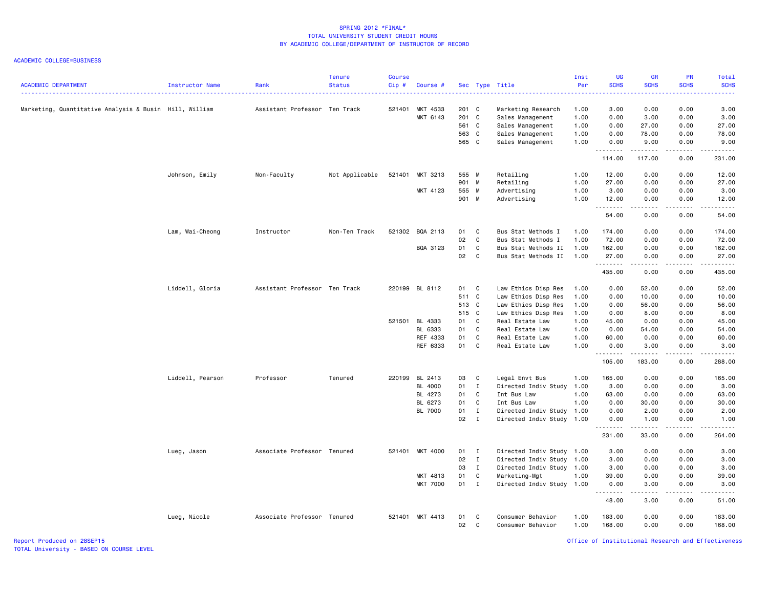### ACADEMIC COLLEGE=BUSINESS

| MKT 4533<br>201 C<br>Marketing, Quantitative Analysis & Busin Hill, William<br>Assistant Professor Ten Track<br>521401<br>Marketing Research<br>1.00<br>3.00<br>0.00<br>MKT 6143<br>201 C<br>Sales Management<br>1.00<br>0.00<br>3.00<br>561 C<br>Sales Management<br>1.00<br>0.00<br>27.00<br>563 C<br>Sales Management<br>1.00<br>0.00<br>78.00<br>565 C<br>Sales Management<br>1.00<br>0.00<br>9.00<br><u>.</u><br>.<br>114.00<br>117.00<br>Retailing<br>Johnson, Emily<br>Non-Faculty<br>Not Applicable<br>521401<br>MKT 3213<br>555 M<br>1.00<br>12.00<br>0.00<br>901 M<br>Retailing<br>1.00<br>27.00<br>0.00<br>MKT 4123<br>555 M<br>Advertising<br>1.00<br>3.00<br>0.00<br>901 M<br>Advertising<br>1.00<br>12.00<br>0.00<br>.<br>. <b>.</b><br>54.00<br>0.00<br>Lam, Wai-Cheong<br>Instructor<br>Non-Ten Track<br>521302 BQA 2113<br>01<br>C<br>Bus Stat Methods I<br>1.00<br>174.00<br>0.00<br>02<br>$\mathbf c$<br>Bus Stat Methods I<br>1.00<br>72.00<br>0.00<br>01<br>BQA 3123<br>$\mathbf{C}$<br>Bus Stat Methods II<br>1.00<br>162.00<br>0.00<br>02<br>$\mathbf{C}$<br>Bus Stat Methods II<br>1.00<br>27.00<br>0.00<br>.<br>.<br>435.00<br>0.00<br>Liddell, Gloria<br>Assistant Professor Ten Track<br>220199 BL 8112<br>01 C<br>Law Ethics Disp Res<br>0.00<br>52.00<br>1.00 | 0.00<br>3.00<br>0.00<br>3.00<br>27.00<br>0.00<br>0.00<br>78.00<br>9.00<br>0.00<br>.<br>0.00<br>231.00                                                                     |
|--------------------------------------------------------------------------------------------------------------------------------------------------------------------------------------------------------------------------------------------------------------------------------------------------------------------------------------------------------------------------------------------------------------------------------------------------------------------------------------------------------------------------------------------------------------------------------------------------------------------------------------------------------------------------------------------------------------------------------------------------------------------------------------------------------------------------------------------------------------------------------------------------------------------------------------------------------------------------------------------------------------------------------------------------------------------------------------------------------------------------------------------------------------------------------------------------------------------------------------------------------------------------------------------|---------------------------------------------------------------------------------------------------------------------------------------------------------------------------|
|                                                                                                                                                                                                                                                                                                                                                                                                                                                                                                                                                                                                                                                                                                                                                                                                                                                                                                                                                                                                                                                                                                                                                                                                                                                                                            |                                                                                                                                                                           |
|                                                                                                                                                                                                                                                                                                                                                                                                                                                                                                                                                                                                                                                                                                                                                                                                                                                                                                                                                                                                                                                                                                                                                                                                                                                                                            |                                                                                                                                                                           |
|                                                                                                                                                                                                                                                                                                                                                                                                                                                                                                                                                                                                                                                                                                                                                                                                                                                                                                                                                                                                                                                                                                                                                                                                                                                                                            |                                                                                                                                                                           |
|                                                                                                                                                                                                                                                                                                                                                                                                                                                                                                                                                                                                                                                                                                                                                                                                                                                                                                                                                                                                                                                                                                                                                                                                                                                                                            |                                                                                                                                                                           |
|                                                                                                                                                                                                                                                                                                                                                                                                                                                                                                                                                                                                                                                                                                                                                                                                                                                                                                                                                                                                                                                                                                                                                                                                                                                                                            |                                                                                                                                                                           |
|                                                                                                                                                                                                                                                                                                                                                                                                                                                                                                                                                                                                                                                                                                                                                                                                                                                                                                                                                                                                                                                                                                                                                                                                                                                                                            |                                                                                                                                                                           |
|                                                                                                                                                                                                                                                                                                                                                                                                                                                                                                                                                                                                                                                                                                                                                                                                                                                                                                                                                                                                                                                                                                                                                                                                                                                                                            | 0.00<br>12.00                                                                                                                                                             |
|                                                                                                                                                                                                                                                                                                                                                                                                                                                                                                                                                                                                                                                                                                                                                                                                                                                                                                                                                                                                                                                                                                                                                                                                                                                                                            | 27.00<br>0.00                                                                                                                                                             |
|                                                                                                                                                                                                                                                                                                                                                                                                                                                                                                                                                                                                                                                                                                                                                                                                                                                                                                                                                                                                                                                                                                                                                                                                                                                                                            | 0.00<br>3.00                                                                                                                                                              |
|                                                                                                                                                                                                                                                                                                                                                                                                                                                                                                                                                                                                                                                                                                                                                                                                                                                                                                                                                                                                                                                                                                                                                                                                                                                                                            | 0.00<br>12.00<br>بالالالالا<br>.                                                                                                                                          |
|                                                                                                                                                                                                                                                                                                                                                                                                                                                                                                                                                                                                                                                                                                                                                                                                                                                                                                                                                                                                                                                                                                                                                                                                                                                                                            | 0.00<br>54.00                                                                                                                                                             |
|                                                                                                                                                                                                                                                                                                                                                                                                                                                                                                                                                                                                                                                                                                                                                                                                                                                                                                                                                                                                                                                                                                                                                                                                                                                                                            | 0.00<br>174.00                                                                                                                                                            |
|                                                                                                                                                                                                                                                                                                                                                                                                                                                                                                                                                                                                                                                                                                                                                                                                                                                                                                                                                                                                                                                                                                                                                                                                                                                                                            | 0.00<br>72.00                                                                                                                                                             |
|                                                                                                                                                                                                                                                                                                                                                                                                                                                                                                                                                                                                                                                                                                                                                                                                                                                                                                                                                                                                                                                                                                                                                                                                                                                                                            | 0.00<br>162.00                                                                                                                                                            |
|                                                                                                                                                                                                                                                                                                                                                                                                                                                                                                                                                                                                                                                                                                                                                                                                                                                                                                                                                                                                                                                                                                                                                                                                                                                                                            | 0.00<br>27.00<br><u>.</u><br>.                                                                                                                                            |
|                                                                                                                                                                                                                                                                                                                                                                                                                                                                                                                                                                                                                                                                                                                                                                                                                                                                                                                                                                                                                                                                                                                                                                                                                                                                                            | 0.00<br>435.00                                                                                                                                                            |
|                                                                                                                                                                                                                                                                                                                                                                                                                                                                                                                                                                                                                                                                                                                                                                                                                                                                                                                                                                                                                                                                                                                                                                                                                                                                                            | 0.00<br>52.00                                                                                                                                                             |
| 511 C<br>Law Ethics Disp Res<br>1.00<br>0.00<br>10.00                                                                                                                                                                                                                                                                                                                                                                                                                                                                                                                                                                                                                                                                                                                                                                                                                                                                                                                                                                                                                                                                                                                                                                                                                                      | 0.00<br>10.00                                                                                                                                                             |
| 513 C<br>Law Ethics Disp Res<br>1.00<br>0.00<br>56.00                                                                                                                                                                                                                                                                                                                                                                                                                                                                                                                                                                                                                                                                                                                                                                                                                                                                                                                                                                                                                                                                                                                                                                                                                                      | 0.00<br>56.00                                                                                                                                                             |
| 515 C<br>1.00<br>0.00<br>Law Ethics Disp Res<br>8.00                                                                                                                                                                                                                                                                                                                                                                                                                                                                                                                                                                                                                                                                                                                                                                                                                                                                                                                                                                                                                                                                                                                                                                                                                                       | 0.00<br>8.00                                                                                                                                                              |
| 521501<br>BL 4333<br>01 C<br>Real Estate Law<br>1.00<br>45.00<br>0.00                                                                                                                                                                                                                                                                                                                                                                                                                                                                                                                                                                                                                                                                                                                                                                                                                                                                                                                                                                                                                                                                                                                                                                                                                      | 45.00<br>0.00                                                                                                                                                             |
| BL 6333<br>01<br>$\mathbf{C}$<br>Real Estate Law<br>1.00<br>0.00<br>54.00                                                                                                                                                                                                                                                                                                                                                                                                                                                                                                                                                                                                                                                                                                                                                                                                                                                                                                                                                                                                                                                                                                                                                                                                                  | 54.00<br>0.00                                                                                                                                                             |
| REF 4333<br>01<br>C<br>1.00<br>60.00<br>0.00<br>Real Estate Law                                                                                                                                                                                                                                                                                                                                                                                                                                                                                                                                                                                                                                                                                                                                                                                                                                                                                                                                                                                                                                                                                                                                                                                                                            | 0.00<br>60.00                                                                                                                                                             |
| REF 6333<br>01 C<br>1.00<br>0.00<br>Real Estate Law<br>3.00<br>.<br>.                                                                                                                                                                                                                                                                                                                                                                                                                                                                                                                                                                                                                                                                                                                                                                                                                                                                                                                                                                                                                                                                                                                                                                                                                      | 3.00<br>0.00<br>$\frac{1}{2} \left( \frac{1}{2} \right) \left( \frac{1}{2} \right) \left( \frac{1}{2} \right) \left( \frac{1}{2} \right) \left( \frac{1}{2} \right)$<br>. |
| 105.00<br>183.00                                                                                                                                                                                                                                                                                                                                                                                                                                                                                                                                                                                                                                                                                                                                                                                                                                                                                                                                                                                                                                                                                                                                                                                                                                                                           | 0.00<br>288.00                                                                                                                                                            |
| Liddell, Pearson<br>Professor<br>Tenured<br>220199 BL 2413<br>03<br>C<br>Legal Envt Bus<br>1.00<br>165.00<br>0.00                                                                                                                                                                                                                                                                                                                                                                                                                                                                                                                                                                                                                                                                                                                                                                                                                                                                                                                                                                                                                                                                                                                                                                          | 0.00<br>165.00                                                                                                                                                            |
| BL 4000<br>01 I<br>Directed Indiv Study<br>1.00<br>3.00<br>0.00                                                                                                                                                                                                                                                                                                                                                                                                                                                                                                                                                                                                                                                                                                                                                                                                                                                                                                                                                                                                                                                                                                                                                                                                                            | 0.00<br>3.00                                                                                                                                                              |
| BL 4273<br>01<br>1.00<br>$\mathbf{C}$<br>Int Bus Law<br>63.00<br>0.00                                                                                                                                                                                                                                                                                                                                                                                                                                                                                                                                                                                                                                                                                                                                                                                                                                                                                                                                                                                                                                                                                                                                                                                                                      | 63.00<br>0.00                                                                                                                                                             |
| 01<br>Int Bus Law<br>BL 6273<br>C<br>1.00<br>0.00<br>30.00                                                                                                                                                                                                                                                                                                                                                                                                                                                                                                                                                                                                                                                                                                                                                                                                                                                                                                                                                                                                                                                                                                                                                                                                                                 | 30.00<br>0.00                                                                                                                                                             |
| BL 7000<br>01 I<br>Directed Indiv Study 1.00<br>0.00<br>2.00                                                                                                                                                                                                                                                                                                                                                                                                                                                                                                                                                                                                                                                                                                                                                                                                                                                                                                                                                                                                                                                                                                                                                                                                                               | 0.00<br>2.00                                                                                                                                                              |
| $02$ I<br>Directed Indiv Study 1.00<br>0.00<br>1.00<br>.<br>-----                                                                                                                                                                                                                                                                                                                                                                                                                                                                                                                                                                                                                                                                                                                                                                                                                                                                                                                                                                                                                                                                                                                                                                                                                          | 0.00<br>1.00<br>$\sim$ $\sim$ $\sim$ $\sim$ $\sim$<br>$\sim$ $\sim$ $\sim$ $\sim$                                                                                         |
| 231.00<br>33.00                                                                                                                                                                                                                                                                                                                                                                                                                                                                                                                                                                                                                                                                                                                                                                                                                                                                                                                                                                                                                                                                                                                                                                                                                                                                            | 0.00<br>264.00                                                                                                                                                            |
| MKT 4000<br>Lueg, Jason<br>Associate Professor Tenured<br>521401<br>01<br>Directed Indiv Study 1.00<br>3.00<br>0.00<br>$\blacksquare$                                                                                                                                                                                                                                                                                                                                                                                                                                                                                                                                                                                                                                                                                                                                                                                                                                                                                                                                                                                                                                                                                                                                                      | 0.00<br>3.00                                                                                                                                                              |
| 02<br>$\mathbf{I}$<br>Directed Indiv Study 1.00<br>3.00<br>0.00                                                                                                                                                                                                                                                                                                                                                                                                                                                                                                                                                                                                                                                                                                                                                                                                                                                                                                                                                                                                                                                                                                                                                                                                                            | 0.00<br>3.00                                                                                                                                                              |
| 03<br>$\mathbf{I}$<br>Directed Indiv Study 1.00<br>3.00<br>0.00                                                                                                                                                                                                                                                                                                                                                                                                                                                                                                                                                                                                                                                                                                                                                                                                                                                                                                                                                                                                                                                                                                                                                                                                                            | 0.00<br>3.00                                                                                                                                                              |
| 01<br>C<br>1.00<br>MKT 4813<br>Marketing-Mgt<br>39.00<br>0.00                                                                                                                                                                                                                                                                                                                                                                                                                                                                                                                                                                                                                                                                                                                                                                                                                                                                                                                                                                                                                                                                                                                                                                                                                              | 39.00<br>0.00                                                                                                                                                             |
| <b>MKT 7000</b><br>01 I<br>Directed Indiv Study 1.00<br>3.00<br>0.00<br>.<br>.                                                                                                                                                                                                                                                                                                                                                                                                                                                                                                                                                                                                                                                                                                                                                                                                                                                                                                                                                                                                                                                                                                                                                                                                             | 0.00<br>3.00<br>.<br>.                                                                                                                                                    |
| 48.00<br>3.00                                                                                                                                                                                                                                                                                                                                                                                                                                                                                                                                                                                                                                                                                                                                                                                                                                                                                                                                                                                                                                                                                                                                                                                                                                                                              | 0.00<br>51.00                                                                                                                                                             |
| 521401 MKT 4413<br>183.00<br>0.00<br>Lueg, Nicole<br>Associate Professor Tenured<br>01<br>Consumer Behavior<br>1.00<br>C<br>02<br>C<br>Consumer Behavior<br>1.00<br>168.00<br>0.00                                                                                                                                                                                                                                                                                                                                                                                                                                                                                                                                                                                                                                                                                                                                                                                                                                                                                                                                                                                                                                                                                                         | 0.00<br>183.00                                                                                                                                                            |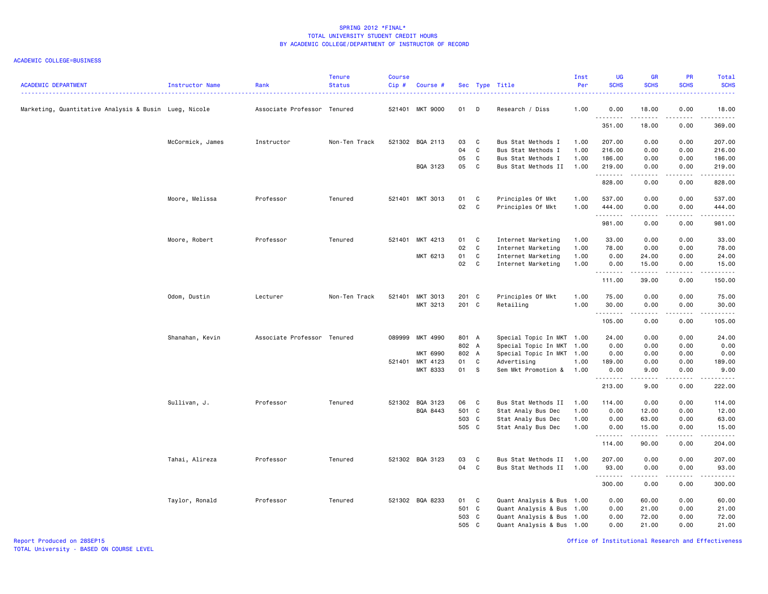### ACADEMIC COLLEGE=BUSINESS

| <b>ACADEMIC DEPARTMENT</b>                            | Instructor Name  | Rank                        | <b>Tenure</b><br><b>Status</b> | <b>Course</b><br>$Cip$ # | Course #        |       |              | Sec Type Title            | Inst<br>Per | <b>UG</b><br><b>SCHS</b> | <b>GR</b><br><b>SCHS</b> | PR<br><b>SCHS</b>            | Total<br><b>SCHS</b> |
|-------------------------------------------------------|------------------|-----------------------------|--------------------------------|--------------------------|-----------------|-------|--------------|---------------------------|-------------|--------------------------|--------------------------|------------------------------|----------------------|
| Marketing, Quantitative Analysis & Busin Lueg, Nicole |                  | Associate Professor Tenured |                                |                          | 521401 MKT 9000 | 01    | D            | Research / Diss           | 1.00        | 0.00<br>.                | 18.00<br>.               | 0.00<br>$\sim$ $\sim$ $\sim$ | 18.00<br>.           |
|                                                       |                  |                             |                                |                          |                 |       |              |                           |             | 351.00                   | 18.00                    | 0.00                         | 369.00               |
|                                                       | McCormick, James | Instructor                  | Non-Ten Track                  |                          | 521302 BQA 2113 | 03    | C            | Bus Stat Methods I        | 1.00        | 207.00                   | 0.00                     | 0.00                         | 207.00               |
|                                                       |                  |                             |                                |                          |                 | 04    | C            | Bus Stat Methods I        | 1.00        | 216.00                   | 0.00                     | 0.00                         | 216.00               |
|                                                       |                  |                             |                                |                          |                 | 05    | C            | Bus Stat Methods I        | 1.00        | 186.00                   | 0.00                     | 0.00                         | 186.00               |
|                                                       |                  |                             |                                |                          | BQA 3123        | 05    | C            | Bus Stat Methods II       | 1.00        | 219.00<br>.              | 0.00<br>.                | 0.00<br>.                    | 219.00<br>.          |
|                                                       |                  |                             |                                |                          |                 |       |              |                           |             | 828.00                   | 0.00                     | 0.00                         | 828.00               |
|                                                       | Moore, Melissa   | Professor                   | Tenured                        |                          | 521401 MKT 3013 | 01    | $\mathbf{C}$ | Principles Of Mkt         | 1.00        | 537.00                   | 0.00                     | 0.00                         | 537.00               |
|                                                       |                  |                             |                                |                          |                 | 02    | C            | Principles Of Mkt         | 1.00        | 444.00                   | 0.00                     | 0.00                         | 444.00               |
|                                                       |                  |                             |                                |                          |                 |       |              |                           |             | <u>.</u><br>981.00       | 0.00                     | $- - - -$<br>0.00            | .<br>981.00          |
|                                                       | Moore, Robert    | Professor                   | Tenured                        |                          | 521401 MKT 4213 | 01    | C            | Internet Marketing        | 1.00        | 33.00                    | 0.00                     | 0.00                         | 33.00                |
|                                                       |                  |                             |                                |                          |                 | 02    | C            | Internet Marketing        | 1.00        | 78.00                    | 0.00                     | 0.00                         | 78.00                |
|                                                       |                  |                             |                                |                          | MKT 6213        | 01    | $\mathbf c$  | Internet Marketing        | 1.00        | 0.00                     | 24.00                    | 0.00                         | 24.00                |
|                                                       |                  |                             |                                |                          |                 | 02    | C            | Internet Marketing        | 1.00        | 0.00                     | 15.00                    | 0.00                         | 15.00                |
|                                                       |                  |                             |                                |                          |                 |       |              |                           |             | .<br>111.00              | المتمامين<br>39.00       | الأعامات<br>0.00             | <b></b><br>150.00    |
|                                                       | Odom, Dustin     | Lecturer                    | Non-Ten Track                  | 521401                   | MKT 3013        | 201 C |              | Principles Of Mkt         | 1.00        | 75.00                    | 0.00                     | 0.00                         | 75.00                |
|                                                       |                  |                             |                                |                          | MKT 3213        | 201 C |              | Retailing                 | 1.00        | 30.00                    | 0.00                     | 0.00                         | 30.00                |
|                                                       |                  |                             |                                |                          |                 |       |              |                           |             | .<br>105.00              | .<br>0.00                | .<br>0.00                    | .<br>105.00          |
|                                                       | Shanahan, Kevin  | Associate Professor Tenured |                                |                          | 089999 MKT 4990 | 801 A |              | Special Topic In MKT 1.00 |             | 24.00                    | 0.00                     | 0.00                         | 24.00                |
|                                                       |                  |                             |                                |                          |                 | 802 A |              | Special Topic In MKT      | 1.00        | 0.00                     | 0.00                     | 0.00                         | 0.00                 |
|                                                       |                  |                             |                                |                          | MKT 6990        | 802 A |              | Special Topic In MKT 1.00 |             | 0.00                     | 0.00                     | 0.00                         | 0.00                 |
|                                                       |                  |                             |                                |                          | 521401 MKT 4123 | 01    | C            | Advertising               | 1.00        | 189.00                   | 0.00                     | 0.00                         | 189.00               |
|                                                       |                  |                             |                                |                          | MKT 8333        | 01 S  |              | Sem Mkt Promotion &       | 1.00        | 0.00                     | 9.00                     | 0.00                         | 9.00                 |
|                                                       |                  |                             |                                |                          |                 |       |              |                           |             | .<br>213.00              | .<br>9.00                | 0.00                         | .<br>222.00          |
|                                                       | Sullivan, J.     | Professor                   | Tenured                        |                          | 521302 BQA 3123 | 06    | C            | Bus Stat Methods II       | 1.00        | 114.00                   | 0.00                     | 0.00                         | 114.00               |
|                                                       |                  |                             |                                |                          | BQA 8443        | 501 C |              | Stat Analy Bus Dec        | 1.00        | 0.00                     | 12.00                    | 0.00                         | 12.00                |
|                                                       |                  |                             |                                |                          |                 | 503 C |              | Stat Analy Bus Dec        | 1.00        | 0.00                     | 63.00                    | 0.00                         | 63.00                |
|                                                       |                  |                             |                                |                          |                 | 505 C |              | Stat Analy Bus Dec        | 1.00        | 0.00                     | 15.00<br>.               | 0.00<br>.                    | 15.00                |
|                                                       |                  |                             |                                |                          |                 |       |              |                           |             | .<br>114.00              | 90.00                    | 0.00                         | .<br>204.00          |
|                                                       | Tahai, Alireza   | Professor                   | Tenured                        |                          | 521302 BQA 3123 | 03    | C            | Bus Stat Methods II       | 1.00        | 207.00                   | 0.00                     | 0.00                         | 207.00               |
|                                                       |                  |                             |                                |                          |                 | 04    | C            | Bus Stat Methods II       | 1.00        | 93.00                    | 0.00                     | 0.00                         | 93.00                |
|                                                       |                  |                             |                                |                          |                 |       |              |                           |             | .<br>300.00              | .<br>0.00                | $- - - -$<br>0.00            | .<br>300.00          |
|                                                       | Taylor, Ronald   | Professor                   | Tenured                        |                          | 521302 BQA 8233 | 01    | C            | Quant Analysis & Bus 1.00 |             | 0.00                     | 60.00                    | 0.00                         | 60.00                |
|                                                       |                  |                             |                                |                          |                 | 501 C |              | Quant Analysis & Bus 1.00 |             | 0.00                     | 21.00                    | 0.00                         | 21.00                |
|                                                       |                  |                             |                                |                          |                 | 503 C |              | Quant Analysis & Bus 1.00 |             | 0.00                     | 72.00                    | 0.00                         | 72.00                |
|                                                       |                  |                             |                                |                          |                 | 505 C |              | Quant Analysis & Bus 1.00 |             | 0.00                     | 21.00                    | 0.00                         | 21.00                |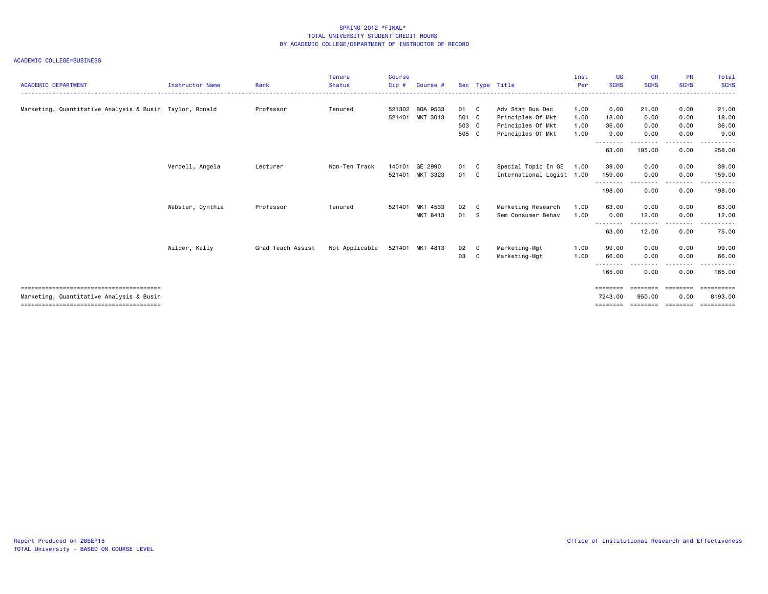| <b>ACADEMIC DEPARTMENT</b>                              | <b>Instructor Name</b> | Rank              | <b>Tenure</b><br><b>Status</b> | <b>Course</b><br>$Cip$ # | Course #        |       |              | Sec Type Title            | Inst<br>Per | <b>UG</b><br><b>SCHS</b> | <b>GR</b><br><b>SCHS</b> | <b>PR</b><br><b>SCHS</b> | Total<br><b>SCHS</b>                                                                                                                                          |
|---------------------------------------------------------|------------------------|-------------------|--------------------------------|--------------------------|-----------------|-------|--------------|---------------------------|-------------|--------------------------|--------------------------|--------------------------|---------------------------------------------------------------------------------------------------------------------------------------------------------------|
| Marketing, Quantitative Analysis & Busin Taylor, Ronald |                        | Professor         | Tenured                        | 521302                   | BQA 9533        | 01 C  |              | Adv Stat Bus Dec          | 1.00        | 0.00                     | 21.00                    | 0.00                     | 21.00                                                                                                                                                         |
|                                                         |                        |                   |                                |                          | 521401 MKT 3013 | 501 C |              | Principles Of Mkt         | 1.00        | 18.00                    | 0.00                     | 0.00                     | 18.00                                                                                                                                                         |
|                                                         |                        |                   |                                |                          |                 | 503 C |              | Principles Of Mkt         | 1.00        | 36.00                    | 0.00                     | 0.00                     | 36.00                                                                                                                                                         |
|                                                         |                        |                   |                                |                          |                 | 505 C |              | Principles Of Mkt         | 1.00        | 9.00<br>--------         | 0.00                     | 0.00                     | 9.00<br>.                                                                                                                                                     |
|                                                         |                        |                   |                                |                          |                 |       |              |                           |             | 63.00                    | .<br>195.00              | 0.00                     | 258.00                                                                                                                                                        |
|                                                         | Verdell, Angela        | Lecturer          | Non-Ten Track                  | 140101                   | GE 2990         | 01    | $\mathbf{C}$ | Special Topic In GE       | 1.00        | 39.00                    | 0.00                     | 0.00                     | 39.00                                                                                                                                                         |
|                                                         |                        |                   |                                | 521401                   | MKT 3323        | 01    | $\mathbf{C}$ | International Logist 1.00 |             | 159.00                   | 0.00                     | 0.00                     | 159.00                                                                                                                                                        |
|                                                         |                        |                   |                                |                          |                 |       |              |                           |             | <u>.</u> .<br>198.00     | .<br>0.00                | --------<br>0.00         | ------<br>198.00                                                                                                                                              |
|                                                         | Webster, Cynthia       | Professor         | Tenured                        | 521401                   | MKT 4533        | 02    | - C          | Marketing Research        | 1.00        | 63.00                    | 0.00                     | 0.00                     | 63.00                                                                                                                                                         |
|                                                         |                        |                   |                                |                          | MKT 8413        | 01 S  |              | Sem Consumer Behav        | 1.00        | 0.00                     | 12.00                    | 0.00                     | 12.00                                                                                                                                                         |
|                                                         |                        |                   |                                |                          |                 |       |              |                           |             | - - - - - - - -<br>63.00 | .<br>12.00               | .<br>0.00                | $\frac{1}{2} \left( \frac{1}{2} \right) \left( \frac{1}{2} \right) \left( \frac{1}{2} \right) \left( \frac{1}{2} \right) \left( \frac{1}{2} \right)$<br>75.00 |
|                                                         | Wilder, Kelly          | Grad Teach Assist | Not Applicable                 |                          | 521401 MKT 4813 | 02 C  |              | Marketing-Mgt             | 1.00        | 99.00                    | 0.00                     | 0.00                     | 99.00                                                                                                                                                         |
|                                                         |                        |                   |                                |                          |                 | 03    | C            | Marketing-Mgt             | 1.00        | 66.00                    | 0.00                     | 0.00                     | 66.00                                                                                                                                                         |
|                                                         |                        |                   |                                |                          |                 |       |              |                           |             | 165.00                   | 0.00                     | 0.00                     | -----<br>165.00                                                                                                                                               |
|                                                         |                        |                   |                                |                          |                 |       |              |                           |             | ========                 | ========                 | ========                 |                                                                                                                                                               |
| Marketing, Quantitative Analysis & Busin                |                        |                   |                                |                          |                 |       |              |                           |             | 7243.00                  | 950.00                   | 0.00                     | 8193.00                                                                                                                                                       |
|                                                         |                        |                   |                                |                          |                 |       |              |                           |             | ========                 | eeeeeee                  | - eeessees               | <b>BEBBEBBBBB</b>                                                                                                                                             |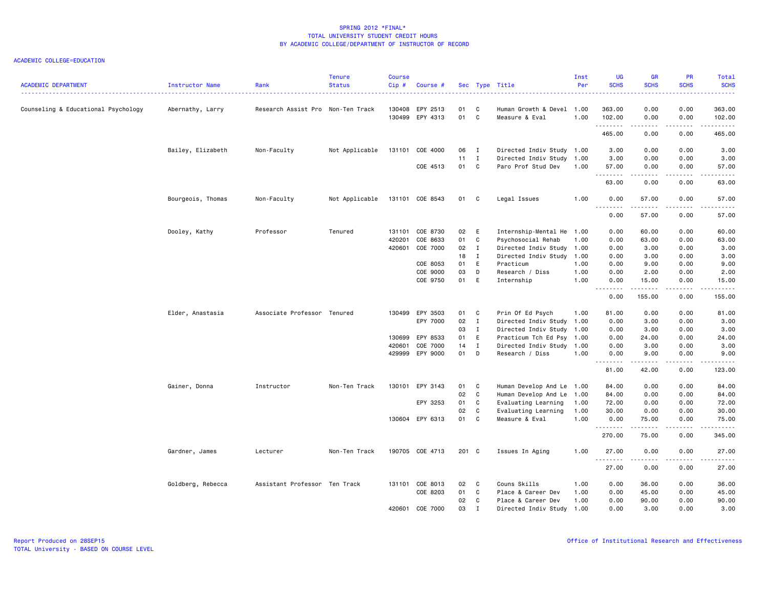| <b>ACADEMIC DEPARTMENT</b>          | Instructor Name   | Rank                              | <b>Tenure</b><br><b>Status</b> | <b>Course</b><br>Cip# | Course #                    |          | Sec Type Title               |                                                   | Inst<br>Per  | UG<br><b>SCHS</b> | <b>GR</b><br><b>SCHS</b>                                                                                                          | <b>PR</b><br><b>SCHS</b> | Total<br><b>SCHS</b><br>$\frac{1}{2} \left( \frac{1}{2} \right) \left( \frac{1}{2} \right) \left( \frac{1}{2} \right) \left( \frac{1}{2} \right)$             |
|-------------------------------------|-------------------|-----------------------------------|--------------------------------|-----------------------|-----------------------------|----------|------------------------------|---------------------------------------------------|--------------|-------------------|-----------------------------------------------------------------------------------------------------------------------------------|--------------------------|---------------------------------------------------------------------------------------------------------------------------------------------------------------|
| Counseling & Educational Psychology | Abernathy, Larry  | Research Assist Pro Non-Ten Track |                                | 130408<br>130499      | EPY 2513<br>EPY 4313        | 01<br>01 | C<br>C                       | Human Growth & Devel 1.00<br>Measure & Eval       | 1.00         | 363.00<br>102.00  | 0.00<br>0.00                                                                                                                      | 0.00<br>0.00             | 363.00<br>102.00                                                                                                                                              |
|                                     |                   |                                   |                                |                       |                             |          |                              |                                                   |              | .<br>465.00       | .<br>0.00                                                                                                                         | .<br>0.00                | .<br>465.00                                                                                                                                                   |
|                                     | Bailey, Elizabeth | Non-Faculty                       | Not Applicable                 |                       | 131101 COE 4000             | 06<br>11 | $\mathbf{I}$<br>$\mathbf{I}$ | Directed Indiv Study 1.00<br>Directed Indiv Study | 1.00         | 3.00<br>3.00      | 0.00<br>0.00                                                                                                                      | 0.00<br>0.00             | 3.00<br>3.00                                                                                                                                                  |
|                                     |                   |                                   |                                |                       | COE 4513                    | 01       | C                            | Paro Prof Stud Dev                                | 1.00         | 57.00<br>.        | 0.00<br>$\frac{1}{2} \left( \frac{1}{2} \right) \left( \frac{1}{2} \right) \left( \frac{1}{2} \right) \left( \frac{1}{2} \right)$ | 0.00<br>----             | 57.00<br>.                                                                                                                                                    |
|                                     |                   |                                   |                                |                       |                             |          |                              |                                                   |              | 63.00             | 0.00                                                                                                                              | 0.00                     | 63.00                                                                                                                                                         |
|                                     | Bourgeois, Thomas | Non-Faculty                       | Not Applicable                 |                       | 131101 COE 8543             | 01       | $\mathbf{C}$                 | Legal Issues                                      | 1.00         | 0.00<br>.         | 57.00<br>.                                                                                                                        | 0.00<br>$   -$           | 57.00<br>$- - - - -$                                                                                                                                          |
|                                     |                   |                                   |                                |                       |                             |          |                              |                                                   |              | 0.00              | 57.00                                                                                                                             | 0.00                     | 57.00                                                                                                                                                         |
|                                     | Dooley, Kathy     | Professor                         | Tenured                        | 420201                | 131101 COE 8730<br>COE 8633 | 02<br>01 | E<br>C                       | Internship-Mental He 1.00<br>Psychosocial Rehab   | 1.00         | 0.00<br>0.00      | 60.00<br>63.00                                                                                                                    | 0.00<br>0.00             | 60.00<br>63.00                                                                                                                                                |
|                                     |                   |                                   |                                | 420601                | COE 7000                    | 02       | $\mathbf{I}$                 | Directed Indiv Study                              | 1.00         | 0.00              | 3.00                                                                                                                              | 0.00                     | 3.00                                                                                                                                                          |
|                                     |                   |                                   |                                |                       |                             | 18       | I                            | Directed Indiv Study                              | 1.00         | 0.00              | 3.00                                                                                                                              | 0.00                     | 3.00                                                                                                                                                          |
|                                     |                   |                                   |                                |                       | COE 8053                    | 01       | E                            | Practicum                                         | 1.00         | 0.00              | 9.00                                                                                                                              | 0.00                     | 9.00                                                                                                                                                          |
|                                     |                   |                                   |                                |                       | COE 9000                    | 03       | D                            | Research / Diss                                   | 1.00         | 0.00              | 2.00                                                                                                                              | 0.00                     | 2.00                                                                                                                                                          |
|                                     |                   |                                   |                                |                       | COE 9750                    | 01       | E                            | Internship                                        | 1.00         | 0.00<br>.         | 15.00<br>.                                                                                                                        | 0.00<br>المتماما         | 15.00<br>.                                                                                                                                                    |
|                                     |                   |                                   |                                |                       |                             |          |                              |                                                   |              | 0.00              | 155.00                                                                                                                            | 0.00                     | 155.00                                                                                                                                                        |
|                                     | Elder, Anastasia  | Associate Professor Tenured       |                                |                       | 130499 EPY 3503             | 01       | C                            | Prin Of Ed Psych                                  | 1.00         | 81.00             | 0.00                                                                                                                              | 0.00                     | 81.00                                                                                                                                                         |
|                                     |                   |                                   |                                |                       | EPY 7000                    | 02       | $\mathbf{I}$                 | Directed Indiv Study                              | 1.00         | 0.00              | 3.00                                                                                                                              | 0.00                     | 3.00                                                                                                                                                          |
|                                     |                   |                                   |                                |                       |                             | 03       | $\mathbf{I}$                 | Directed Indiv Study                              | 1.00         | 0.00              | 3.00                                                                                                                              | 0.00                     | 3.00                                                                                                                                                          |
|                                     |                   |                                   |                                | 130699                | EPY 8533                    | 01       | E                            | Practicum Tch Ed Psy 1.00                         |              | 0.00              | 24.00                                                                                                                             | 0.00                     | 24.00                                                                                                                                                         |
|                                     |                   |                                   |                                | 420601                | COE 7000                    | 14       | $\mathbf{I}$                 | Directed Indiv Study                              | 1.00         | 0.00              | 3.00                                                                                                                              | 0.00                     | 3.00                                                                                                                                                          |
|                                     |                   |                                   |                                | 429999                | EPY 9000                    | 01       | D                            | Research / Diss                                   | 1.00         | 0.00<br>.         | 9.00                                                                                                                              | 0.00                     | 9.00<br>$\frac{1}{2} \left( \frac{1}{2} \right) \left( \frac{1}{2} \right) \left( \frac{1}{2} \right) \left( \frac{1}{2} \right) \left( \frac{1}{2} \right)$  |
|                                     |                   |                                   |                                |                       |                             |          |                              |                                                   |              | 81.00             | 42.00                                                                                                                             | 0.00                     | 123.00                                                                                                                                                        |
|                                     | Gainer, Donna     | Instructor                        | Non-Ten Track                  |                       | 130101 EPY 3143             | 01       | C.                           | Human Develop And Le 1.00                         |              | 84.00             | 0.00                                                                                                                              | 0.00                     | 84.00                                                                                                                                                         |
|                                     |                   |                                   |                                |                       |                             | 02       | $\mathtt{C}$                 | Human Develop And Le                              | 1.00         | 84.00             | 0.00                                                                                                                              | 0.00                     | 84.00                                                                                                                                                         |
|                                     |                   |                                   |                                |                       | EPY 3253                    | 01<br>02 | C<br>C                       | Evaluating Learning<br>Evaluating Learning        | 1.00<br>1.00 | 72.00<br>30.00    | 0.00<br>0.00                                                                                                                      | 0.00<br>0.00             | 72.00<br>30.00                                                                                                                                                |
|                                     |                   |                                   |                                |                       | 130604 EPY 6313             | 01       | $\mathbf{C}$                 | Measure & Eval                                    | 1.00         | 0.00              | 75.00                                                                                                                             | 0.00                     | 75.00                                                                                                                                                         |
|                                     |                   |                                   |                                |                       |                             |          |                              |                                                   |              | .<br>270.00       | $- - - - -$<br>75.00                                                                                                              | 0.00                     | .<br>345.00                                                                                                                                                   |
|                                     | Gardner, James    | Lecturer                          | Non-Ten Track                  |                       | 190705 COE 4713             | 201 C    |                              | Issues In Aging                                   | 1.00         | 27.00             | 0.00                                                                                                                              | 0.00                     | 27.00                                                                                                                                                         |
|                                     |                   |                                   |                                |                       |                             |          |                              |                                                   |              | <u>.</u><br>27.00 | .<br>0.00                                                                                                                         | $   -$<br>0.00           | $\frac{1}{2} \left( \frac{1}{2} \right) \left( \frac{1}{2} \right) \left( \frac{1}{2} \right) \left( \frac{1}{2} \right) \left( \frac{1}{2} \right)$<br>27.00 |
|                                     | Goldberg, Rebecca | Assistant Professor Ten Track     |                                |                       | 131101 COE 8013             | 02       | $\mathbf{C}$                 | Couns Skills                                      | 1.00         | 0.00              | 36.00                                                                                                                             | 0.00                     | 36.00                                                                                                                                                         |
|                                     |                   |                                   |                                |                       | COE 8203                    | 01       | C                            | Place & Career Dev                                | 1.00         | 0.00              | 45.00                                                                                                                             | 0.00                     | 45.00                                                                                                                                                         |
|                                     |                   |                                   |                                |                       |                             | 02       | $\mathbf{C}$                 | Place & Career Dev                                | 1.00         | 0.00              | 90.00                                                                                                                             | 0.00                     | 90.00                                                                                                                                                         |
|                                     |                   |                                   |                                |                       | 420601 COE 7000             | 03       | $\mathbf I$                  | Directed Indiv Study 1.00                         |              | 0.00              | 3,00                                                                                                                              | 0.00                     | 3.00                                                                                                                                                          |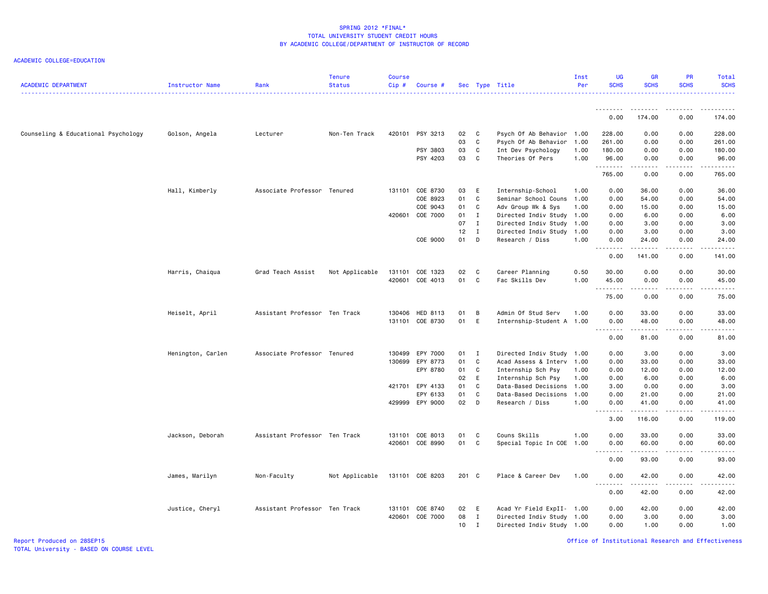ACADEMIC COLLEGE=EDUCATION

| <b>ACADEMIC DEPARTMENT</b>          | Instructor Name   | Rank                          | <b>Tenure</b><br><b>Status</b><br>. | <b>Course</b><br>Cip# | Course #        |       |              | Sec Type Title            | Inst<br>Per | <b>UG</b><br><b>SCHS</b>     | <b>GR</b><br><b>SCHS</b> | <b>PR</b><br><b>SCHS</b> | <b>Total</b><br><b>SCHS</b> |
|-------------------------------------|-------------------|-------------------------------|-------------------------------------|-----------------------|-----------------|-------|--------------|---------------------------|-------------|------------------------------|--------------------------|--------------------------|-----------------------------|
|                                     |                   |                               |                                     |                       |                 |       |              |                           |             | .                            | - - - - - - - -          | .                        | .                           |
|                                     |                   |                               |                                     |                       |                 |       |              |                           |             | 0.00                         | 174.00                   | 0.00                     | 174.00                      |
| Counseling & Educational Psychology | Golson, Angela    | Lecturer                      | Non-Ten Track                       |                       | 420101 PSY 3213 | 02    | C            | Psych Of Ab Behavior 1.00 |             | 228.00                       | 0.00                     | 0.00                     | 228.00                      |
|                                     |                   |                               |                                     |                       |                 | 03    | C            | Psych Of Ab Behavior      | 1.00        | 261.00                       | 0.00                     | 0.00                     | 261.00                      |
|                                     |                   |                               |                                     |                       | PSY 3803        | 03    | C            | Int Dev Psychology        | 1.00        | 180.00                       | 0.00                     | 0.00                     | 180.00                      |
|                                     |                   |                               |                                     |                       | PSY 4203        | 03    | C            | Theories Of Pers          | 1.00        | 96.00<br>.                   | 0.00<br>-----            | 0.00<br>د د د د          | 96.00<br>.                  |
|                                     |                   |                               |                                     |                       |                 |       |              |                           |             | 765.00                       | 0.00                     | 0.00                     | 765.00                      |
|                                     | Hall, Kimberly    | Associate Professor Tenured   |                                     |                       | 131101 COE 8730 | 03    | E            | Internship-School         | 1.00        | 0.00                         | 36.00                    | 0.00                     | 36.00                       |
|                                     |                   |                               |                                     |                       | COE 8923        | 01    | C            | Seminar School Couns      | 1.00        | 0.00                         | 54.00                    | 0.00                     | 54.00                       |
|                                     |                   |                               |                                     |                       | COE 9043        | 01    | C            | Adv Group Wk & Sys        | 1.00        | 0.00                         | 15.00                    | 0.00                     | 15.00                       |
|                                     |                   |                               |                                     |                       | 420601 COE 7000 | 01    | $\mathbf{I}$ | Directed Indiv Study 1.00 |             | 0.00                         | 6.00                     | 0.00                     | 6.00                        |
|                                     |                   |                               |                                     |                       |                 | 07    | Ι.           | Directed Indiv Study 1.00 |             | 0.00                         | 3.00                     | 0.00                     | 3.00                        |
|                                     |                   |                               |                                     |                       |                 | 12    | Ι.           | Directed Indiv Study 1.00 |             | 0.00                         | 3.00                     | 0.00                     | 3.00                        |
|                                     |                   |                               |                                     |                       | COE 9000        | 01    | D            | Research / Diss           | 1.00        | 0.00<br>.                    | 24.00<br><b></b>         | 0.00<br>.                | 24.00<br>.                  |
|                                     |                   |                               |                                     |                       |                 |       |              |                           |             | 0.00                         | 141.00                   | 0.00                     | 141.00                      |
|                                     | Harris, Chaiqua   | Grad Teach Assist             | Not Applicable                      |                       | 131101 COE 1323 | 02    | - C          | Career Planning           | 0.50        | 30.00                        | 0.00                     | 0.00                     | 30.00                       |
|                                     |                   |                               |                                     |                       | 420601 COE 4013 | 01    | C            | Fac Skills Dev            | 1.00        | 45.00                        | 0.00                     | 0.00                     | 45.00                       |
|                                     |                   |                               |                                     |                       |                 |       |              |                           |             | .                            | .                        | $   -$                   | .                           |
|                                     |                   |                               |                                     |                       |                 |       |              |                           |             | 75.00                        | 0.00                     | 0.00                     | 75.00                       |
|                                     | Heiselt, April    | Assistant Professor Ten Track |                                     |                       | 130406 HED 8113 | 01    | B            | Admin Of Stud Serv        | 1.00        | 0.00                         | 33.00                    | 0.00                     | 33.00                       |
|                                     |                   |                               |                                     |                       | 131101 COE 8730 | 01    | E            | Internship-Student A 1.00 |             | 0.00<br>.                    | 48.00<br>.               | 0.00<br>.                | 48.00<br>.                  |
|                                     |                   |                               |                                     |                       |                 |       |              |                           |             | 0.00                         | 81.00                    | 0.00                     | 81.00                       |
|                                     | Henington, Carlen | Associate Professor Tenured   |                                     |                       | 130499 EPY 7000 | 01    | I            | Directed Indiv Study 1.00 |             | 0.00                         | 3.00                     | 0.00                     | 3.00                        |
|                                     |                   |                               |                                     |                       | 130699 EPY 8773 | 01    | C            | Acad Assess & Interv 1.00 |             | 0.00                         | 33.00                    | 0.00                     | 33.00                       |
|                                     |                   |                               |                                     |                       | EPY 8780        | 01    | C            | Internship Sch Psy        | 1.00        | 0.00                         | 12.00                    | 0.00                     | 12.00                       |
|                                     |                   |                               |                                     |                       |                 | 02    | E            | Internship Sch Psy        | 1.00        | 0.00                         | 6.00                     | 0.00                     | 6.00                        |
|                                     |                   |                               |                                     |                       | 421701 EPY 4133 | 01    | C.           | Data-Based Decisions      | 1.00        | 3.00                         | 0.00                     | 0.00                     | 3.00                        |
|                                     |                   |                               |                                     |                       | EPY 6133        | 01    | C            | Data-Based Decisions      | 1.00        | 0.00                         | 21.00                    | 0.00                     | 21.00                       |
|                                     |                   |                               |                                     |                       | 429999 EPY 9000 | 02    | D            | Research / Diss           | 1.00        | 0.00<br>. <b>.</b>           | 41.00<br>.               | 0.00<br>$   -$           | 41.00<br>.                  |
|                                     |                   |                               |                                     |                       |                 |       |              |                           |             | 3.00                         | 116.00                   | 0.00                     | 119.00                      |
|                                     | Jackson, Deborah  | Assistant Professor Ten Track |                                     |                       | 131101 COE 8013 | 01    | C            | Couns Skills              | 1.00        | 0.00                         | 33.00                    | 0.00                     | 33.00                       |
|                                     |                   |                               |                                     |                       | 420601 COE 8990 | 01    | C            | Special Topic In COE 1.00 |             | 0.00                         | 60.00                    | 0.00                     | 60.00                       |
|                                     |                   |                               |                                     |                       |                 |       |              |                           |             | .<br>0.00                    | -----<br>93.00           | .<br>0.00                | .<br>93.00                  |
|                                     | James, Marilyn    | Non-Faculty                   | Not Applicable                      |                       | 131101 COE 8203 | 201 C |              | Place & Career Dev        | 1.00        | 0.00                         | 42.00                    | 0.00                     | 42.00                       |
|                                     |                   |                               |                                     |                       |                 |       |              |                           |             | $\sim$ $\sim$ $\sim$<br>0.00 | 42.00                    | 0.00                     | 42.00                       |
|                                     |                   |                               |                                     |                       |                 |       |              |                           |             |                              |                          |                          |                             |
|                                     | Justice, Cheryl   | Assistant Professor Ten Track |                                     |                       | 131101 COE 8740 | 02    | E            | Acad Yr Field ExpII- 1.00 |             | 0.00                         | 42.00                    | 0.00                     | 42.00                       |
|                                     |                   |                               |                                     |                       | 420601 COE 7000 | 08    | $\mathbf{I}$ | Directed Indiv Study 1.00 |             | 0.00                         | 3.00                     | 0.00                     | 3.00                        |
|                                     |                   |                               |                                     |                       |                 | 10    | $\mathbf{I}$ | Directed Indiv Study 1.00 |             | 0.00                         | 1.00                     | 0.00                     | 1.00                        |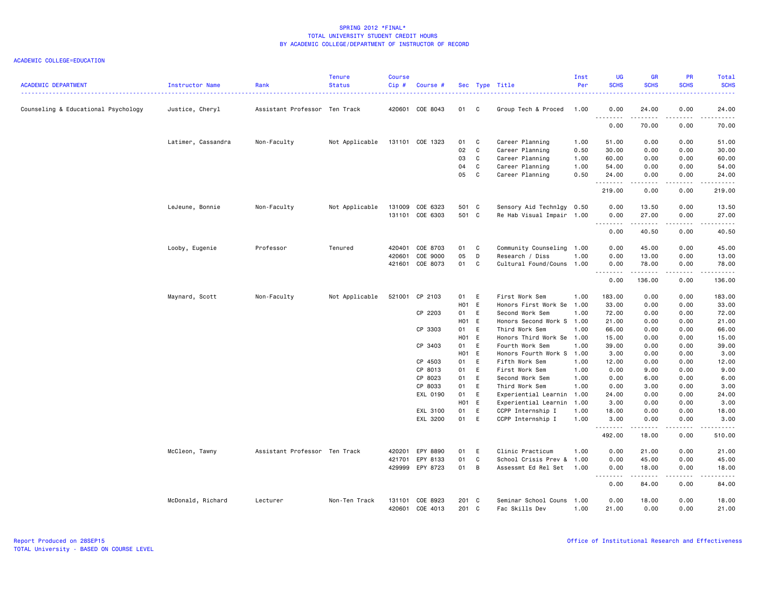| <b>ACADEMIC DEPARTMENT</b>          | Instructor Name    | Rank                          | <b>Tenure</b><br><b>Status</b> | <b>Course</b><br>Cip# | Course #                           |                |              | Sec Type Title                               | Inst<br>Per  | <b>UG</b><br><b>SCHS</b> | <b>GR</b><br><b>SCHS</b> | <b>PR</b><br><b>SCHS</b>                                                                                                                                     | Total<br><b>SCHS</b><br>والمستناب                                                                                                                             |
|-------------------------------------|--------------------|-------------------------------|--------------------------------|-----------------------|------------------------------------|----------------|--------------|----------------------------------------------|--------------|--------------------------|--------------------------|--------------------------------------------------------------------------------------------------------------------------------------------------------------|---------------------------------------------------------------------------------------------------------------------------------------------------------------|
| Counseling & Educational Psychology | Justice, Cheryl    | Assistant Professor Ten Track |                                |                       | 420601 COE 8043                    | 01 C           |              | Group Tech & Proced                          | 1.00         | 0.00                     | 24.00<br><b></b>         | 0.00<br>.                                                                                                                                                    | 24.00<br>المتمامين                                                                                                                                            |
|                                     |                    |                               |                                |                       |                                    |                |              |                                              |              | 0.00                     | 70.00                    | 0.00                                                                                                                                                         | 70.00                                                                                                                                                         |
|                                     | Latimer, Cassandra | Non-Faculty                   | Not Applicable                 |                       | 131101 COE 1323                    | 01 C           |              | Career Planning                              | 1.00         | 51.00                    | 0.00                     | 0.00                                                                                                                                                         | 51.00                                                                                                                                                         |
|                                     |                    |                               |                                |                       |                                    | 02             | C.           | Career Planning                              | 0.50         | 30.00                    | 0.00                     | 0.00                                                                                                                                                         | 30.00                                                                                                                                                         |
|                                     |                    |                               |                                |                       |                                    | 03             | $\mathbf{C}$ | Career Planning                              | 1.00         | 60.00                    | 0.00                     | 0.00                                                                                                                                                         | 60.00                                                                                                                                                         |
|                                     |                    |                               |                                |                       |                                    | 04             | C            | Career Planning                              | 1.00         | 54.00                    | 0.00                     | 0.00                                                                                                                                                         | 54.00                                                                                                                                                         |
|                                     |                    |                               |                                |                       |                                    | 05             | C            | Career Planning                              | 0.50         | 24.00<br>.               | 0.00<br><b>.</b>         | 0.00<br>.                                                                                                                                                    | 24.00<br>.                                                                                                                                                    |
|                                     |                    |                               |                                |                       |                                    |                |              |                                              |              | 219.00                   | 0.00                     | 0.00                                                                                                                                                         | 219.00                                                                                                                                                        |
|                                     | LeJeune, Bonnie    | Non-Faculty                   | Not Applicable                 |                       | 131009 COE 6323                    | 501 C          |              | Sensory Aid Technlgy 0.50                    |              | 0.00                     | 13.50                    | 0.00                                                                                                                                                         | 13.50                                                                                                                                                         |
|                                     |                    |                               |                                |                       | 131101 COE 6303                    | 501 C          |              | Re Hab Visual Impair 1.00                    |              | 0.00                     | 27.00<br>.               | 0.00<br>.                                                                                                                                                    | 27.00<br>د د د د د                                                                                                                                            |
|                                     |                    |                               |                                |                       |                                    |                |              |                                              |              | 0.00                     | 40.50                    | 0.00                                                                                                                                                         | 40.50                                                                                                                                                         |
|                                     | Looby, Eugenie     | Professor                     | Tenured                        |                       | 420401 COE 8703                    | 01             | $\mathbf{C}$ | Community Counseling 1.00                    |              | 0.00                     | 45.00                    | 0.00                                                                                                                                                         | 45.00                                                                                                                                                         |
|                                     |                    |                               |                                | 420601                | COE 9000                           | 05             | D            | Research / Diss                              | 1.00         | 0.00                     | 13.00                    | 0.00                                                                                                                                                         | 13.00                                                                                                                                                         |
|                                     |                    |                               |                                |                       | 421601 COE 8073                    | 01             | C            | Cultural Found/Couns 1.00                    |              | 0.00                     | 78.00                    | 0.00                                                                                                                                                         | 78.00                                                                                                                                                         |
|                                     |                    |                               |                                |                       |                                    |                |              |                                              |              | 0.00                     | .<br>136.00              | $\frac{1}{2} \left( \frac{1}{2} \right) \left( \frac{1}{2} \right) \left( \frac{1}{2} \right) \left( \frac{1}{2} \right) \left( \frac{1}{2} \right)$<br>0.00 | . <b>.</b><br>136.00                                                                                                                                          |
|                                     | Maynard, Scott     | Non-Faculty                   | Not Applicable                 |                       | 521001 CP 2103                     | 01 E           |              | First Work Sem                               | 1.00         | 183.00                   | 0.00                     | 0.00                                                                                                                                                         | 183.00                                                                                                                                                        |
|                                     |                    |                               |                                |                       |                                    | H01 E          |              | Honors First Work Se                         | 1.00         | 33.00                    | 0.00                     | 0.00                                                                                                                                                         | 33.00                                                                                                                                                         |
|                                     |                    |                               |                                |                       | CP 2203                            | 01             | E            | Second Work Sem                              | 1.00         | 72.00                    | 0.00                     | 0.00                                                                                                                                                         | 72.00                                                                                                                                                         |
|                                     |                    |                               |                                |                       |                                    | H01 E          |              | Honors Second Work S 1.00                    |              | 21.00                    | 0.00                     | 0.00                                                                                                                                                         | 21.00                                                                                                                                                         |
|                                     |                    |                               |                                |                       | CP 3303                            | 01             | E            | Third Work Sem                               | 1.00         | 66.00                    | 0.00                     | 0.00                                                                                                                                                         | 66.00                                                                                                                                                         |
|                                     |                    |                               |                                |                       |                                    | H01 E          |              | Honors Third Work Se                         | 1.00         | 15.00                    | 0.00                     | 0.00                                                                                                                                                         | 15.00                                                                                                                                                         |
|                                     |                    |                               |                                |                       | CP 3403                            | 01             | E            | Fourth Work Sem                              | 1.00         | 39.00                    | 0.00                     | 0.00                                                                                                                                                         | 39.00                                                                                                                                                         |
|                                     |                    |                               |                                |                       |                                    | H01 E          |              | Honors Fourth Work S                         | 1.00         | 3.00                     | 0.00                     | 0.00                                                                                                                                                         | 3.00                                                                                                                                                          |
|                                     |                    |                               |                                |                       | CP 4503                            | 01             | E            | Fifth Work Sem                               | 1.00         | 12.00                    | 0.00                     | 0.00                                                                                                                                                         | 12.00                                                                                                                                                         |
|                                     |                    |                               |                                |                       | CP 8013                            | 01             | E            | First Work Sem                               | 1.00         | 0.00                     | 9.00                     | 0.00                                                                                                                                                         | 9.00                                                                                                                                                          |
|                                     |                    |                               |                                |                       | CP 8023                            | 01             | E            | Second Work Sem                              | 1.00         | 0.00                     | 6.00                     | 0.00                                                                                                                                                         | 6.00                                                                                                                                                          |
|                                     |                    |                               |                                |                       | CP 8033                            | 01<br>01       | E            | Third Work Sem                               | 1.00         | 0.00                     | 3.00                     | 0.00                                                                                                                                                         | 3.00                                                                                                                                                          |
|                                     |                    |                               |                                |                       | EXL 0190                           | H01 E          | E            | Experiential Learnin<br>Experiential Learnin | 1.00<br>1.00 | 24.00<br>3.00            | 0.00<br>0.00             | 0.00<br>0.00                                                                                                                                                 | 24.00<br>3.00                                                                                                                                                 |
|                                     |                    |                               |                                |                       | EXL 3100                           | 01             | E            | CCPP Internship I                            | 1.00         | 18.00                    | 0.00                     | 0.00                                                                                                                                                         | 18.00                                                                                                                                                         |
|                                     |                    |                               |                                |                       | EXL 3200                           | 01             | E            | CCPP Internship I                            | 1.00         | 3.00                     | 0.00                     | 0.00                                                                                                                                                         | 3.00                                                                                                                                                          |
|                                     |                    |                               |                                |                       |                                    |                |              |                                              |              | .<br>492.00              | المتمامين<br>18.00       | .<br>0.00                                                                                                                                                    | .<br>510.00                                                                                                                                                   |
|                                     | McCleon, Tawny     | Assistant Professor Ten Track |                                | 420201                | EPY 8890                           | 01             | E            | Clinic Practicum                             | 1.00         | 0.00                     | 21.00                    | 0.00                                                                                                                                                         | 21.00                                                                                                                                                         |
|                                     |                    |                               |                                |                       | 421701 EPY 8133                    | 01             | $\mathbf c$  | School Crisis Prev &                         | 1.00         | 0.00                     | 45.00                    | 0.00                                                                                                                                                         | 45.00                                                                                                                                                         |
|                                     |                    |                               |                                |                       | 429999 EPY 8723                    | 01 B           |              | Assessmt Ed Rel Set                          | 1.00         | 0.00                     | 18.00                    | 0.00                                                                                                                                                         | 18.00                                                                                                                                                         |
|                                     |                    |                               |                                |                       |                                    |                |              |                                              |              | <u>.</u><br>0.00         | .<br>84.00               | .<br>0.00                                                                                                                                                    | $\frac{1}{2} \left( \frac{1}{2} \right) \left( \frac{1}{2} \right) \left( \frac{1}{2} \right) \left( \frac{1}{2} \right) \left( \frac{1}{2} \right)$<br>84.00 |
|                                     | McDonald, Richard  | Lecturer                      | Non-Ten Track                  |                       | 131101 COE 8923<br>420601 COE 4013 | 201 C<br>201 C |              | Seminar School Couns 1.00<br>Fac Skills Dev  | 1.00         | 0.00<br>21.00            | 18.00<br>0.00            | 0.00<br>0.00                                                                                                                                                 | 18.00<br>21.00                                                                                                                                                |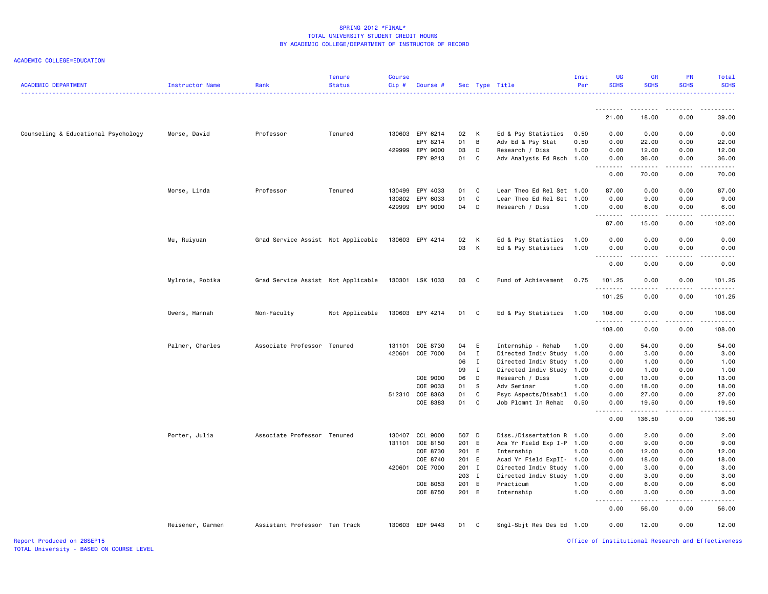ACADEMIC COLLEGE=EDUCATION

| <b>ACADEMIC DEPARTMENT</b>          | Instructor Name  | Rank                               | <b>Tenure</b><br><b>Status</b> | <b>Course</b><br>$Cip$ # | Course #        |       |              | Sec Type Title            | Inst<br>Per | <b>UG</b><br><b>SCHS</b> | <b>GR</b><br><b>SCHS</b> | PR<br><b>SCHS</b> | Total<br><b>SCHS</b>  |
|-------------------------------------|------------------|------------------------------------|--------------------------------|--------------------------|-----------------|-------|--------------|---------------------------|-------------|--------------------------|--------------------------|-------------------|-----------------------|
|                                     |                  |                                    |                                |                          |                 |       |              |                           |             | --------                 |                          |                   |                       |
|                                     |                  |                                    |                                |                          |                 |       |              |                           |             | 21.00                    | 18.00                    | 0.00              | 39.00                 |
| Counseling & Educational Psychology | Morse, David     | Professor                          | Tenured                        |                          | 130603 EPY 6214 | 02    | К            | Ed & Psy Statistics       | 0.50        | 0.00                     | 0.00                     | 0.00              | 0.00                  |
|                                     |                  |                                    |                                |                          | EPY 8214        | 01    | B            | Adv Ed & Psy Stat         | 0.50        | 0.00                     | 22.00                    | 0.00              | 22.00                 |
|                                     |                  |                                    |                                | 429999                   | EPY 9000        | 03    | D            | Research / Diss           | 1.00        | 0.00                     | 12.00                    | 0.00              | 12.00                 |
|                                     |                  |                                    |                                |                          | EPY 9213        | 01    | C            | Adv Analysis Ed Rsch 1.00 |             | 0.00                     | 36.00<br>.               | 0.00<br>.         | 36.00<br>.            |
|                                     |                  |                                    |                                |                          |                 |       |              |                           |             | 0.00                     | 70.00                    | 0.00              | 70.00                 |
|                                     | Morse, Linda     | Professor                          | Tenured                        |                          | 130499 EPY 4033 | 01    | C            | Lear Theo Ed Rel Set 1.00 |             | 87.00                    | 0.00                     | 0.00              | 87.00                 |
|                                     |                  |                                    |                                | 130802                   | EPY 6033        | 01    | C            | Lear Theo Ed Rel Set 1.00 |             | 0.00                     | 9.00                     | 0.00              | 9.00                  |
|                                     |                  |                                    |                                |                          | 429999 EPY 9000 | 04    | D            | Research / Diss           | 1.00        | 0.00<br>.                | 6.00                     | 0.00              | 6.00                  |
|                                     |                  |                                    |                                |                          |                 |       |              |                           |             | 87.00                    | 15.00                    | 0.00              | 102.00                |
|                                     | Mu, Ruiyuan      | Grad Service Assist Not Applicable |                                |                          | 130603 EPY 4214 | 02    | K            | Ed & Psy Statistics       | 1.00        | 0.00                     | 0.00                     | 0.00              | 0.00                  |
|                                     |                  |                                    |                                |                          |                 | 03    | K            | Ed & Psy Statistics       | 1.00        | 0.00                     | 0.00<br>.                | 0.00<br>.         | 0.00<br>$\frac{1}{2}$ |
|                                     |                  |                                    |                                |                          |                 |       |              |                           |             | 0.00                     | 0.00                     | 0.00              | 0.00                  |
|                                     | Mylroie, Robika  | Grad Service Assist Not Applicable |                                |                          | 130301 LSK 1033 | 03 C  |              | Fund of Achievement       | 0.75        | 101.25<br>.              | 0.00                     | 0.00              | 101.25                |
|                                     |                  |                                    |                                |                          |                 |       |              |                           |             | 101.25                   | 0.00                     | 0.00              | 101.25                |
|                                     | Owens, Hannah    | Non-Faculty                        | Not Applicable                 |                          | 130603 EPY 4214 | 01 C  |              | Ed & Psy Statistics       | 1.00        | 108.00                   | 0.00                     | 0.00              | 108.00                |
|                                     |                  |                                    |                                |                          |                 |       |              |                           |             | .<br>108.00              | 0.00                     | .<br>0.00         | <u>.</u><br>108.00    |
|                                     | Palmer, Charles  | Associate Professor Tenured        |                                | 131101                   | COE 8730        | 04    | E            | Internship - Rehab        | 1.00        | 0.00                     | 54.00                    | 0.00              | 54.00                 |
|                                     |                  |                                    |                                | 420601                   | COE 7000        | 04    | $\mathbf{I}$ | Directed Indiv Study 1.00 |             | 0.00                     | 3.00                     | 0.00              | 3.00                  |
|                                     |                  |                                    |                                |                          |                 | 06    | $\mathbf{I}$ | Directed Indiv Study 1.00 |             | 0.00                     | 1.00                     | 0.00              | 1.00                  |
|                                     |                  |                                    |                                |                          |                 | 09    | $\mathbf{I}$ | Directed Indiv Study 1.00 |             | 0.00                     | 1.00                     | 0.00              | 1.00                  |
|                                     |                  |                                    |                                |                          | COE 9000        | 06    | D            | Research / Diss           | 1.00        | 0.00                     | 13.00                    | 0.00              | 13.00                 |
|                                     |                  |                                    |                                |                          | COE 9033        | 01    | S            | Adv Seminar               | 1.00        | 0.00                     | 18.00                    | 0.00              | 18.00                 |
|                                     |                  |                                    |                                |                          | 512310 COE 8363 | 01    | C            | Psyc Aspects/Disabil      | 1.00        | 0.00                     | 27.00                    | 0.00              | 27.00                 |
|                                     |                  |                                    |                                |                          | COE 8383        | 01    | C            | Job Plcmnt In Rehab       | 0.50        | 0.00<br>بالأباد          | 19.50<br>.               | 0.00<br>.         | 19.50<br>.            |
|                                     |                  |                                    |                                |                          |                 |       |              |                           |             | 0.00                     | 136.50                   | 0.00              | 136.50                |
|                                     | Porter, Julia    | Associate Professor Tenured        |                                | 130407                   | CCL 9000        | 507 D |              | Diss./Dissertation R 1.00 |             | 0.00                     | 2.00                     | 0.00              | 2.00                  |
|                                     |                  |                                    |                                | 131101                   | COE 8150        | 201 E |              | Aca Yr Field Exp I-P 1.00 |             | 0.00                     | 9.00                     | 0.00              | 9.00                  |
|                                     |                  |                                    |                                |                          | COE 8730        | 201 E |              | Internship                | 1.00        | 0.00                     | 12.00                    | 0.00              | 12.00                 |
|                                     |                  |                                    |                                |                          | COE 8740        | 201 E |              | Acad Yr Field ExpII- 1.00 |             | 0.00                     | 18.00                    | 0.00              | 18.00                 |
|                                     |                  |                                    |                                | 420601                   | COE 7000        | 201 I |              | Directed Indiv Study 1.00 |             | 0.00                     | 3.00                     | 0.00              | 3.00                  |
|                                     |                  |                                    |                                |                          |                 | 203 I |              | Directed Indiv Study 1.00 |             | 0.00                     | 3.00                     | 0.00              | 3.00                  |
|                                     |                  |                                    |                                |                          | COE 8053        | 201 E |              | Practicum                 | 1.00        | 0.00                     | 6.00                     | 0.00              | 6.00                  |
|                                     |                  |                                    |                                |                          | COE 8750        | 201 E |              | Internship                | 1.00        | 0.00                     | 3.00                     | 0.00              | 3.00                  |
|                                     |                  |                                    |                                |                          |                 |       |              |                           |             | 0.00                     | 56.00                    | 0.00              | 56.00                 |
|                                     | Reisener, Carmen | Assistant Professor Ten Track      |                                |                          | 130603 EDF 9443 | 01    | C            | Sngl-Sbjt Res Des Ed 1.00 |             | 0.00                     | 12.00                    | 0.00              | 12.00                 |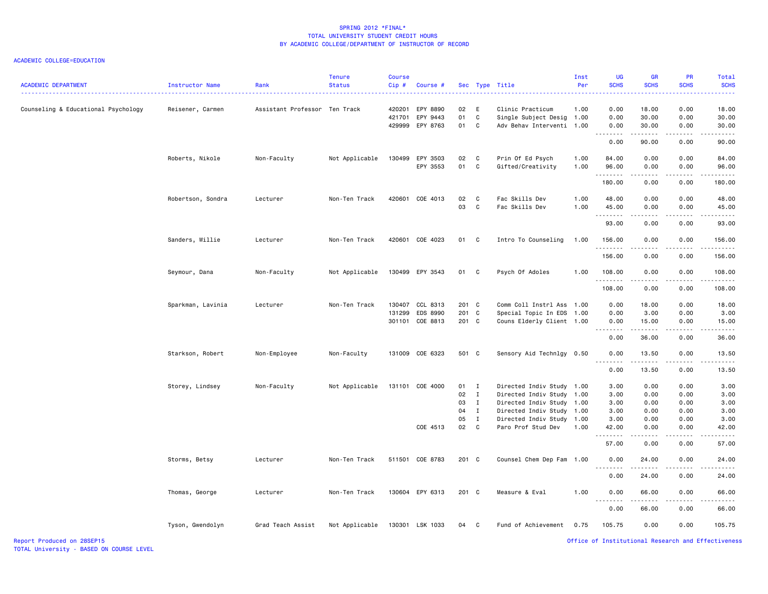| <b>ACADEMIC DEPARTMENT</b>          | Instructor Name   | Rank                          | <b>Tenure</b><br><b>Status</b> | <b>Course</b><br>Cip# | Course #                                              |                |                              | Sec Type Title                                                        | Inst<br>Per  | UG<br><b>SCHS</b>    | <b>GF</b><br><b>SCHS</b> | <b>PR</b><br><b>SCHS</b>            | Total<br><b>SCHS</b>                               |
|-------------------------------------|-------------------|-------------------------------|--------------------------------|-----------------------|-------------------------------------------------------|----------------|------------------------------|-----------------------------------------------------------------------|--------------|----------------------|--------------------------|-------------------------------------|----------------------------------------------------|
| Counseling & Educational Psychology | Reisener, Carmen  | Assistant Professor Ten Track |                                |                       | 420201 EPY 8890<br>421701 EPY 9443<br>429999 EPY 8763 | 02<br>01<br>01 | E<br>C<br>C                  | Clinic Practicum<br>Single Subject Desig 1.00<br>Adv Behav Interventi | 1.00<br>1.00 | 0.00<br>0.00<br>0.00 | 18.00<br>30.00<br>30.00  | 0.00<br>0.00<br>0.00                | 18.00<br>30.00<br>30.00                            |
|                                     |                   |                               |                                |                       |                                                       |                |                              |                                                                       |              | .<br>0.00            | $- - - - -$<br>90.00     | $\sim$ $\sim$ $\sim$ $\sim$<br>0.00 | د د د د د<br>90.00                                 |
|                                     | Roberts, Nikole   | Non-Faculty                   | Not Applicable                 | 130499                | EPY 3503<br>EPY 3553                                  | 02<br>01       | $\mathbf{C}$<br>C            | Prin Of Ed Psych<br>Gifted/Creativity                                 | 1.00<br>1.00 | 84.00<br>96.00       | 0.00<br>0.00             | 0.00<br>0.00                        | 84.00<br>96.00                                     |
|                                     |                   |                               |                                |                       |                                                       |                |                              |                                                                       |              | .<br>180.00          | .<br>0.00                | .<br>0.00                           | .<br>180.00                                        |
|                                     | Robertson, Sondra | Lecturer                      | Non-Ten Track                  |                       | 420601 COE 4013                                       | 02<br>03       | C<br>C                       | Fac Skills Dev<br>Fac Skills Dev                                      | 1.00<br>1.00 | 48.00<br>45.00<br>.  | 0.00<br>0.00<br>د د د د  | 0.00<br>0.00<br>.                   | 48.00<br>45.00<br>.                                |
|                                     |                   |                               |                                |                       |                                                       |                |                              |                                                                       |              | 93.00                | 0.00                     | 0.00                                | 93.00                                              |
|                                     | Sanders, Willie   | Lecturer                      | Non-Ten Track                  |                       | 420601 COE 4023                                       | 01 C           |                              | Intro To Counseling                                                   | 1.00         | 156.00<br>.          | 0.00<br>.                | 0.00<br>.                           | 156.00<br>.                                        |
|                                     |                   |                               |                                |                       |                                                       |                |                              |                                                                       |              | 156.00               | 0.00                     | 0.00                                | 156.00                                             |
|                                     | Seymour, Dana     | Non-Faculty                   | Not Applicable                 |                       | 130499 EPY 3543                                       | 01             | C                            | Psych Of Adoles                                                       | 1.00         | 108.00<br>.          | 0.00                     | 0.00                                | 108.00<br>.                                        |
|                                     |                   |                               |                                |                       |                                                       |                |                              |                                                                       |              | 108.00               | 0.00                     | 0.00                                | 108.00                                             |
|                                     | Sparkman, Lavinia | Lecturer                      | Non-Ten Track                  | 130407                | CCL 8313                                              | 201 C          |                              | Comm Coll Instrl Ass 1.00                                             |              | 0.00                 | 18.00                    | 0.00                                | 18.00                                              |
|                                     |                   |                               |                                | 131299                | EDS 8990<br>301101 COE 8813                           | 201<br>201 C   | C                            | Special Topic In EDS 1.00<br>Couns Elderly Client 1.00                |              | 0.00<br>0.00         | 3.00<br>15.00            | 0.00<br>0.00                        | 3.00<br>15.00                                      |
|                                     |                   |                               |                                |                       |                                                       |                |                              |                                                                       |              | .<br>0.00            | .<br>36.00               | .<br>0.00                           | .<br>36.00                                         |
|                                     |                   |                               |                                |                       |                                                       |                |                              |                                                                       |              |                      |                          |                                     |                                                    |
|                                     | Starkson, Robert  | Non-Employee                  | Non-Faculty                    |                       | 131009 COE 6323                                       | 501 C          |                              | Sensory Aid Technlgy 0.50                                             |              | 0.00<br>.            | 13.50<br>.               | 0.00<br>.                           | 13.50<br>الداليات الدالية ال                       |
|                                     |                   |                               |                                |                       |                                                       |                |                              |                                                                       |              | 0.00                 | 13.50                    | 0.00                                | 13.50                                              |
|                                     | Storey, Lindsey   | Non-Faculty                   | Not Applicable                 |                       | 131101 COE 4000                                       | 01             | $\mathbf{I}$                 | Directed Indiv Study 1.00                                             |              | 3.00                 | 0.00                     | 0.00                                | 3.00                                               |
|                                     |                   |                               |                                |                       |                                                       | 02             | $\mathbf{I}$                 | Directed Indiv Study 1.00                                             |              | 3.00                 | 0.00                     | 0.00                                | 3.00                                               |
|                                     |                   |                               |                                |                       |                                                       | 03             | $\mathbf{I}$                 | Directed Indiv Study 1.00                                             |              | 3.00                 | 0.00                     | 0.00                                | 3.00                                               |
|                                     |                   |                               |                                |                       |                                                       | 04<br>05       | $\mathbf{I}$<br>$\mathbf{I}$ | Directed Indiv Study<br>Directed Indiv Study                          | 1.00<br>1.00 | 3.00<br>3.00         | 0.00<br>0.00             | 0.00<br>0.00                        | 3.00<br>3.00                                       |
|                                     |                   |                               |                                |                       | COE 4513                                              | 02             | $\mathbf{C}$                 | Paro Prof Stud Dev                                                    | 1.00         | 42.00                | 0.00                     | 0.00                                | 42.00                                              |
|                                     |                   |                               |                                |                       |                                                       |                |                              |                                                                       |              | .<br>57.00           | $- - -$<br>0.00          | ----<br>0.00                        | .<br>57.00                                         |
|                                     | Storms, Betsy     | Lecturer                      | Non-Ten Track                  |                       | 511501 COE 8783                                       | $201$ C        |                              | Counsel Chem Dep Fam 1.00                                             |              | 0.00                 | 24.00                    | 0.00                                | 24.00                                              |
|                                     |                   |                               |                                |                       |                                                       |                |                              |                                                                       |              | 0.00                 | 24.00                    | 0.00                                | .<br>24.00                                         |
|                                     | Thomas, George    | Lecturer                      | Non-Ten Track                  |                       | 130604 EPY 6313                                       | 201 C          |                              | Measure & Eval                                                        | 1.00         | 0.00                 | 66.00                    | 0.00                                | 66.00                                              |
|                                     |                   |                               |                                |                       |                                                       |                |                              |                                                                       |              | .<br>0.00            | .<br>66.00               | .<br>0.00                           | .<br>66.00                                         |
|                                     | Tyson, Gwendolyn  | Grad Teach Assist             | Not Applicable                 |                       | 130301 LSK 1033                                       | 04             | C                            | Fund of Achievement                                                   | 0.75         | 105.75               | 0.00                     | 0.00                                | 105.75                                             |
| Report Produced on 28SEP15          |                   |                               |                                |                       |                                                       |                |                              |                                                                       |              |                      |                          |                                     | Office of Institutional Research and Effectiveness |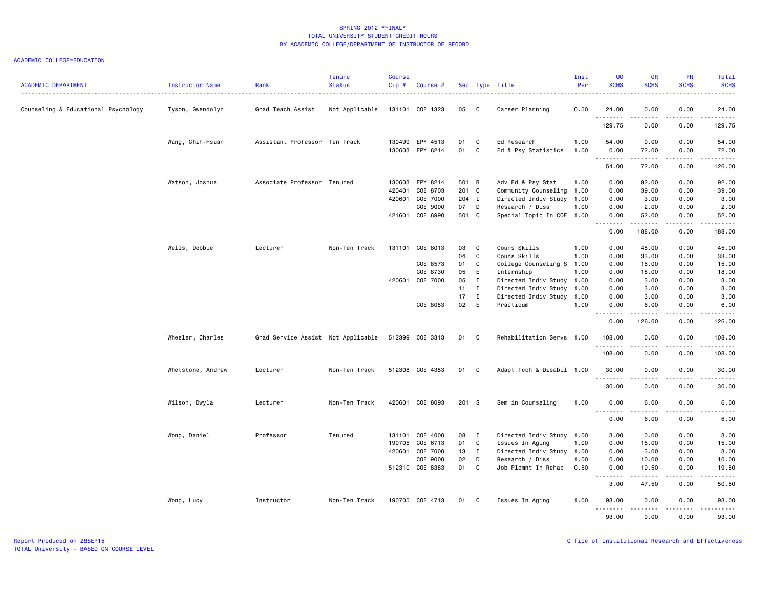| <b>ACADEMIC DEPARTMENT</b>          | Instructor Name   | Rank                               | <b>Tenure</b><br><b>Status</b> | <b>Course</b><br>Cip# | Course #                    |                |                | Sec Type Title                               | Inst<br>Per  | <b>UG</b><br><b>SCHS</b>                 | <b>GR</b><br><b>SCHS</b> | PR<br><b>SCHS</b>                   | Total<br><b>SCHS</b>                                                                                                                                          |
|-------------------------------------|-------------------|------------------------------------|--------------------------------|-----------------------|-----------------------------|----------------|----------------|----------------------------------------------|--------------|------------------------------------------|--------------------------|-------------------------------------|---------------------------------------------------------------------------------------------------------------------------------------------------------------|
| Counseling & Educational Psychology | Tyson, Gwendolyn  | Grad Teach Assist                  | Not Applicable                 |                       | 131101 COE 1323             | 05 C           |                | Career Planning                              | 0.50         | 24.00                                    | 0.00                     | 0.00                                | 24.00                                                                                                                                                         |
|                                     |                   |                                    |                                |                       |                             |                |                |                                              |              | .<br>129.75                              | .<br>0.00                | $\sim$ $\sim$ $\sim$ $\sim$<br>0.00 | .<br>129.75                                                                                                                                                   |
|                                     | Wang, Chih-Hsuan  | Assistant Professor Ten Track      |                                |                       | 130499 EPY 4513             | 01             | C              | Ed Research                                  | 1.00         | 54.00                                    | 0.00                     | 0.00                                | 54.00                                                                                                                                                         |
|                                     |                   |                                    |                                |                       | 130603 EPY 6214             | 01             | C <sub>c</sub> | Ed & Psy Statistics                          | 1.00         | 0.00                                     | 72.00                    | 0.00                                | 72.00                                                                                                                                                         |
|                                     |                   |                                    |                                |                       |                             |                |                |                                              |              | .<br>54.00                               | .<br>72.00               | .<br>0.00                           | .<br>126.00                                                                                                                                                   |
|                                     |                   |                                    |                                |                       |                             |                |                |                                              |              |                                          |                          |                                     |                                                                                                                                                               |
|                                     | Watson, Joshua    | Associate Professor Tenured        |                                |                       | 130603 EPY 8214             | 501 B          |                | Adv Ed & Psy Stat                            | 1.00         | 0.00                                     | 92.00                    | 0.00                                | 92.00                                                                                                                                                         |
|                                     |                   |                                    |                                | 420401                | COE 8703<br>420601 COE 7000 | 201 C<br>204 I |                | Community Counseling<br>Directed Indiv Study | 1.00<br>1.00 | 0.00<br>0.00                             | 39.00<br>3.00            | 0.00<br>0.00                        | 39.00<br>3.00                                                                                                                                                 |
|                                     |                   |                                    |                                |                       | COE 9000                    | 07 D           |                | Research / Diss                              | 1.00         | 0.00                                     | 2.00                     | 0.00                                | 2.00                                                                                                                                                          |
|                                     |                   |                                    |                                |                       | 421601 COE 6990             | 501 C          |                | Special Topic In COE 1.00                    |              | 0.00                                     | 52.00                    | 0.00                                | 52.00                                                                                                                                                         |
|                                     |                   |                                    |                                |                       |                             |                |                |                                              |              | .<br>0.00                                | .<br>188.00              | .<br>0.00                           | .<br>188.00                                                                                                                                                   |
|                                     | Wells, Debbie     | Lecturer                           | Non-Ten Track                  |                       | 131101 COE 8013             | 03             | $\mathbf{C}$   | Couns Skills                                 | 1.00         | 0.00                                     | 45.00                    | 0.00                                | 45.00                                                                                                                                                         |
|                                     |                   |                                    |                                |                       |                             | 04             | C              | Couns Skills                                 | 1.00         | 0.00                                     | 33.00                    | 0.00                                | 33.00                                                                                                                                                         |
|                                     |                   |                                    |                                |                       | COE 8573                    | 01             | C              | College Counseling S                         | 1.00         | 0.00                                     | 15.00                    | 0.00                                | 15.00                                                                                                                                                         |
|                                     |                   |                                    |                                |                       | COE 8730                    | 05             | E.             | Internship                                   | 1.00         | 0.00                                     | 18.00                    | 0.00                                | 18.00                                                                                                                                                         |
|                                     |                   |                                    |                                |                       | 420601 COE 7000             | 05             | $\mathbf{I}$   | Directed Indiv Study 1.00                    |              | 0.00                                     | 3.00                     | 0.00                                | 3.00                                                                                                                                                          |
|                                     |                   |                                    |                                |                       |                             | $11 \quad I$   |                | Directed Indiv Study                         | 1.00         | 0.00                                     | 3.00                     | 0.00                                | 3.00                                                                                                                                                          |
|                                     |                   |                                    |                                |                       |                             | 17             | $\mathbf{I}$   | Directed Indiv Study 1.00                    |              | 0.00                                     | 3.00                     | 0.00                                | 3.00                                                                                                                                                          |
|                                     |                   |                                    |                                |                       | COE 8053                    | 02             | E              | Practicum                                    | 1.00         | 0.00                                     | 6.00                     | 0.00                                | 6.00                                                                                                                                                          |
|                                     |                   |                                    |                                |                       |                             |                |                |                                              |              | .<br>0.00                                | <b></b><br>126.00        | .<br>0.00                           | .<br>126.00                                                                                                                                                   |
|                                     | Wheeler, Charles  | Grad Service Assist Not Applicable |                                |                       | 512399 COE 3313             | 01 C           |                | Rehabilitation Servs 1.00                    |              | 108.00                                   | 0.00                     | 0.00                                | 108.00                                                                                                                                                        |
|                                     |                   |                                    |                                |                       |                             |                |                |                                              |              | .<br>108.00                              | -----<br>0.00            | .<br>0.00                           | $\begin{array}{cccccccccc} \bullet & \bullet & \bullet & \bullet & \bullet & \bullet & \bullet & \bullet \end{array}$<br>108.00                               |
|                                     | Whetstone, Andrew | Lecturer                           | Non-Ten Track                  |                       | 512308 COE 4353             | 01 C           |                | Adapt Tech & Disabil 1.00                    |              | 30.00                                    | 0.00                     | 0.00                                | 30.00                                                                                                                                                         |
|                                     |                   |                                    |                                |                       |                             |                |                |                                              |              | .<br>30.00                               | 0.00                     | 0.00                                | .<br>30.00                                                                                                                                                    |
|                                     | Wilson, Dwyla     | Lecturer                           | Non-Ten Track                  |                       | 420601 COE 8093             | 201 S          |                | Sem in Counseling                            | 1.00         | 0.00                                     | 6.00                     | 0.00                                | 6.00                                                                                                                                                          |
|                                     |                   |                                    |                                |                       |                             |                |                |                                              |              | .<br>0.00                                | .<br>6.00                | .<br>0.00                           | -----<br>6.00                                                                                                                                                 |
|                                     | Wong, Daniel      | Professor                          | Tenured                        | 131101                | COE 4000                    | 08             | $\blacksquare$ | Directed Indiv Study                         | 1.00         | 3.00                                     | 0.00                     | 0.00                                | 3.00                                                                                                                                                          |
|                                     |                   |                                    |                                | 190705                | COE 6713                    | 01             | $\mathbf{C}$   | Issues In Aging                              | 1.00         | 0.00                                     | 15.00                    | 0.00                                | 15.00                                                                                                                                                         |
|                                     |                   |                                    |                                |                       | 420601 COE 7000             | 13 I           |                | Directed Indiv Study 1.00                    |              | 0.00                                     | 3.00                     | 0.00                                | 3.00                                                                                                                                                          |
|                                     |                   |                                    |                                |                       | COE 9000                    | 02             | $\Box$         | Research / Diss                              | 1.00         | 0.00                                     | 10.00                    | 0.00                                | 10.00                                                                                                                                                         |
|                                     |                   |                                    |                                |                       | 512310 COE 8383             | 01 C           |                | Job Plcmnt In Rehab                          | 0.50         | 0.00                                     | 19.50                    | 0.00                                | 19.50                                                                                                                                                         |
|                                     |                   |                                    |                                |                       |                             |                |                |                                              |              | $\sim$ $\sim$ $\sim$ $\sim$<br>.<br>3.00 | 47.50                    | $\sim$ $\sim$ $\sim$<br>0.00        | $\frac{1}{2} \left( \frac{1}{2} \right) \left( \frac{1}{2} \right) \left( \frac{1}{2} \right) \left( \frac{1}{2} \right) \left( \frac{1}{2} \right)$<br>50.50 |
|                                     | Wong, Lucy        | Instructor                         | Non-Ten Track                  |                       | 190705 COE 4713             | 01             | $\mathbf{C}$   | Issues In Aging                              | 1.00         | 93.00<br>.                               | 0.00<br>.                | 0.00<br>.                           | 93.00<br>.                                                                                                                                                    |
|                                     |                   |                                    |                                |                       |                             |                |                |                                              |              | 93.00                                    | 0.00                     | 0.00                                | 93.00                                                                                                                                                         |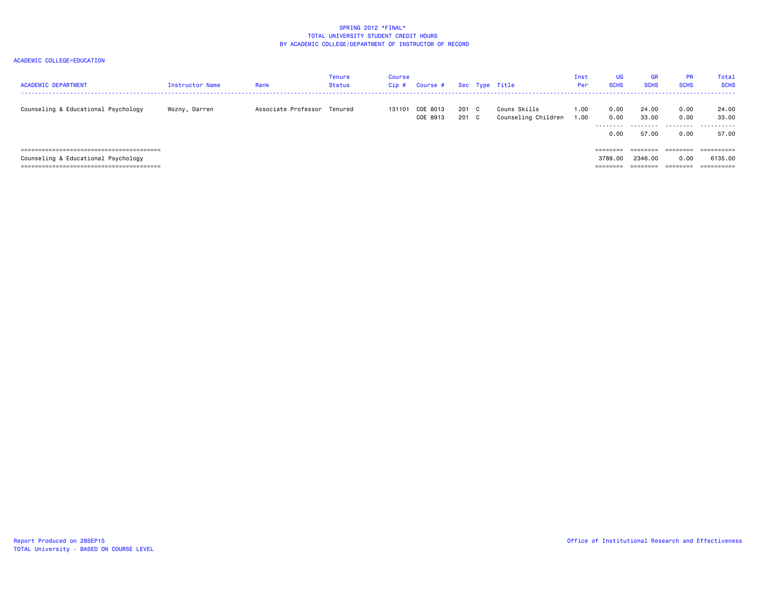| <b>ACADEMIC DEPARTMENT</b>          | Instructor Name | Rank                        | Tenure<br>Status | Course<br>Cip# | Course #             |                | Sec Type Title                      | Inst<br><b>Per</b> | <b>UG</b><br><b>SCHS</b>          | <b>GR</b><br><b>SCHS</b>             | <b>PR</b><br><b>SCHS</b>     | Total<br><b>SCHS</b>              |
|-------------------------------------|-----------------|-----------------------------|------------------|----------------|----------------------|----------------|-------------------------------------|--------------------|-----------------------------------|--------------------------------------|------------------------------|-----------------------------------|
| Counseling & Educational Psychology | Wozny, Darren   | Associate Professor Tenured |                  | 131101         | COE 8013<br>COE 8913 | 201 C<br>201 C | Couns Skills<br>Counseling Children | 1.00<br>1.00       | 0.00<br>0.00<br>---------<br>0.00 | 24.00<br>33.00<br>---------<br>57.00 | 0.00<br>0.00<br>.<br>0.00    | 24.00<br>33.00<br>.<br>57.00      |
| Counseling & Educational Psychology |                 |                             |                  |                |                      |                |                                     |                    | ========<br>3789.00<br>========   | 2346.00<br>========                  | ========<br>0.00<br>======== | eeeeeeee<br>6135.00<br>========== |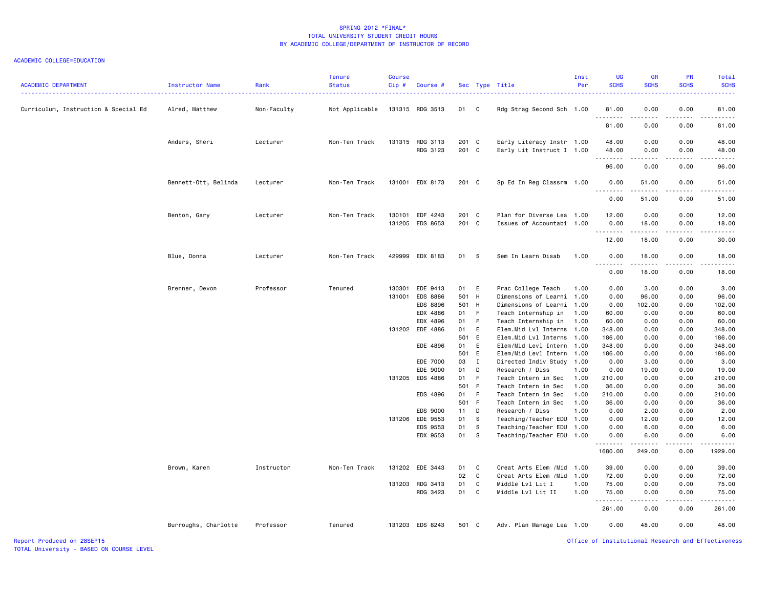### ACADEMIC COLLEGE=EDUCATION

| <b>ACADEMIC DEPARTMENT</b>           | Instructor Name      | Rank        | Tenure<br><b>Status</b> | Course<br>Cip# | Course #                           |                |                            | Sec Type Title                                         | Inst<br>Per | UG<br><b>SCHS</b>         | <b>GR</b><br><b>SCHS</b> | PR<br><b>SCHS</b> | Total<br><b>SCHS</b>                                                                                                               |
|--------------------------------------|----------------------|-------------|-------------------------|----------------|------------------------------------|----------------|----------------------------|--------------------------------------------------------|-------------|---------------------------|--------------------------|-------------------|------------------------------------------------------------------------------------------------------------------------------------|
| Curriculum, Instruction & Special Ed | Alred, Matthew       | Non-Faculty | Not Applicable          |                | 131315 RDG 3513                    | 01             | $\overline{\phantom{a}}$ C | Rdg Strag Second Sch 1.00                              |             | 81.00<br>.                | 0.00                     | 0.00              | 81.00<br>$\frac{1}{2} \left( \frac{1}{2} \right) \left( \frac{1}{2} \right) \left( \frac{1}{2} \right) \left( \frac{1}{2} \right)$ |
|                                      |                      |             |                         |                |                                    |                |                            |                                                        |             | 81.00                     | 0.00                     | 0.00              | 81.00                                                                                                                              |
|                                      | Anders, Sheri        | Lecturer    | Non-Ten Track           |                | 131315 RDG 3113<br>RDG 3123        | 201 C<br>201 C |                            | Early Literacy Instr 1.00<br>Early Lit Instruct I 1.00 |             | 48.00<br>48.00            | 0.00<br>0.00             | 0.00<br>0.00      | 48.00<br>48.00                                                                                                                     |
|                                      |                      |             |                         |                |                                    |                |                            |                                                        |             | .<br>96.00                | 0.00                     | 0.00              | $\sim$ $\sim$ $\sim$ $\sim$ $\sim$<br>96.00                                                                                        |
|                                      | Bennett-Ott, Belinda | Lecturer    | Non-Ten Track           |                | 131001 EDX 8173                    | 201 C          |                            | Sp Ed In Reg Classrm 1.00                              |             | 0.00<br>.                 | 51.00                    | 0.00              | 51.00<br>.                                                                                                                         |
|                                      |                      |             |                         |                |                                    |                |                            |                                                        |             | 0.00                      | 51.00                    | 0.00              | 51.00                                                                                                                              |
|                                      | Benton, Gary         | Lecturer    | Non-Ten Track           |                | 130101 EDF 4243<br>131205 EDS 8653 | 201 C<br>201 C |                            | Plan for Diverse Lea 1.00<br>Issues of Accountabi      | 1.00        | 12.00<br>0.00<br><u>.</u> | 0.00<br>18.00<br>.       | 0.00<br>0.00<br>. | 12.00<br>18.00<br>.                                                                                                                |
|                                      |                      |             |                         |                |                                    |                |                            |                                                        |             | 12.00                     | 18.00                    | 0.00              | 30.00                                                                                                                              |
|                                      | Blue, Donna          | Lecturer    | Non-Ten Track           |                | 429999 EDX 8183                    | 01             | <b>S</b>                   | Sem In Learn Disab                                     | 1.00        | 0.00<br>.                 | 18.00                    | 0.00              | 18.00                                                                                                                              |
|                                      |                      |             |                         |                |                                    |                |                            |                                                        |             | 0.00                      | 18.00                    | 0.00              | 18.00                                                                                                                              |
|                                      | Brenner, Devon       | Professor   | Tenured                 | 130301         | EDE 9413                           | 01             | E                          | Prac College Teach                                     | 1.00        | 0.00                      | 3.00                     | 0.00              | 3.00                                                                                                                               |
|                                      |                      |             |                         | 131001         | <b>EDS 8886</b>                    | 501 H          |                            | Dimensions of Learni 1.00                              |             | 0.00                      | 96.00                    | 0.00              | 96.00                                                                                                                              |
|                                      |                      |             |                         |                | <b>EDS 8896</b>                    | 501 H          |                            | Dimensions of Learni                                   | 1.00        | 0.00                      | 102.00                   | 0.00              | 102.00                                                                                                                             |
|                                      |                      |             |                         |                | EDX 4886                           | 01             | F                          | Teach Internship in                                    | 1.00        | 60.00                     | 0.00                     | 0.00              | 60.00                                                                                                                              |
|                                      |                      |             |                         |                | EDX 4896                           | 01             | F                          | Teach Internship in                                    | 1.00        | 60.00                     | 0.00                     | 0.00              | 60.00                                                                                                                              |
|                                      |                      |             |                         |                | 131202 EDE 4886                    | 01             | E                          | Elem.Mid Lvl Interns 1.00                              |             | 348.00                    | 0.00                     | 0.00              | 348.00                                                                                                                             |
|                                      |                      |             |                         |                | EDE 4896                           | 501<br>01      | E<br>Ε                     | Elem.Mid Lvl Interns 1.00<br>Elem/Mid Levl Intern 1.00 |             | 186.00<br>348.00          | 0.00<br>0.00             | 0.00<br>0.00      | 186.00<br>348.00                                                                                                                   |
|                                      |                      |             |                         |                |                                    | 501 E          |                            | Elem/Mid Levl Intern 1.00                              |             | 186.00                    | 0.00                     | 0.00              | 186.00                                                                                                                             |
|                                      |                      |             |                         |                | EDE 7000                           | 03             | $\mathbf{I}$               | Directed Indiv Study 1.00                              |             | 0.00                      | 3.00                     | 0.00              | 3.00                                                                                                                               |
|                                      |                      |             |                         |                | EDE 9000                           | 01             | D                          | Research / Diss                                        | 1.00        | 0.00                      | 19.00                    | 0.00              | 19.00                                                                                                                              |
|                                      |                      |             |                         |                | 131205 EDS 4886                    | 01             | -F                         | Teach Intern in Sec                                    | 1.00        | 210.00                    | 0.00                     | 0.00              | 210.00                                                                                                                             |
|                                      |                      |             |                         |                |                                    | 501 F          |                            | Teach Intern in Sec                                    | 1.00        | 36.00                     | 0.00                     | 0.00              | 36.00                                                                                                                              |
|                                      |                      |             |                         |                | EDS 4896                           | 01             | F                          | Teach Intern in Sec                                    | 1.00        | 210.00                    | 0.00                     | 0.00              | 210.00                                                                                                                             |
|                                      |                      |             |                         |                |                                    | 501 F          |                            | Teach Intern in Sec                                    | 1.00        | 36.00                     | 0.00                     | 0.00              | 36.00                                                                                                                              |
|                                      |                      |             |                         |                | EDS 9000                           | 11             | D                          | Research / Diss                                        | 1.00        | 0.00                      | 2.00                     | 0.00              | 2.00                                                                                                                               |
|                                      |                      |             |                         |                | 131206 EDE 9553                    | 01             | S                          | Teaching/Teacher EDU 1.00                              |             | 0.00                      | 12.00                    | 0.00              | 12.00                                                                                                                              |
|                                      |                      |             |                         |                | EDS 9553                           | 01             | s                          | Teaching/Teacher EDU 1.00                              |             | 0.00                      | 6.00                     | 0.00              | 6.00                                                                                                                               |
|                                      |                      |             |                         |                | EDX 9553                           | 01             | - S                        | Teaching/Teacher EDU 1.00                              |             | 0.00<br>.                 | 6.00                     | 0.00              | 6.00                                                                                                                               |
|                                      |                      |             |                         |                |                                    |                |                            |                                                        |             | 1680.00                   | 249.00                   | 0.00              | 1929.00                                                                                                                            |
|                                      | Brown, Karen         | Instructor  | Non-Ten Track           |                | 131202 EDE 3443                    | 01             | C                          | Creat Arts Elem / Mid 1.00                             |             | 39.00                     | 0.00                     | 0.00              | 39.00                                                                                                                              |
|                                      |                      |             |                         |                |                                    | 02             | C                          | Creat Arts Elem /Mid                                   | 1.00        | 72.00                     | 0.00                     | 0.00              | 72.00                                                                                                                              |
|                                      |                      |             |                         |                | 131203 RDG 3413                    | 01             | C                          | Middle Lvl Lit I                                       | 1.00        | 75.00                     | 0.00                     | 0.00              | 75.00                                                                                                                              |
|                                      |                      |             |                         |                | RDG 3423                           | 01             | C                          | Middle Lvl Lit II                                      | 1.00        | 75.00<br>.                | 0.00                     | 0.00              | 75.00<br>.                                                                                                                         |
|                                      |                      |             |                         |                |                                    |                |                            |                                                        |             | 261.00                    | 0.00                     | 0.00              | 261.00                                                                                                                             |
|                                      | Burroughs, Charlotte | Professor   | Tenured                 |                | 131203 EDS 8243                    | 501 C          |                            | Adv. Plan Manage Lea 1.00                              |             | 0.00                      | 48.00                    | 0.00              | 48.00                                                                                                                              |

Report Produced on 28SEP15 Office of Institutional Research and Effectiveness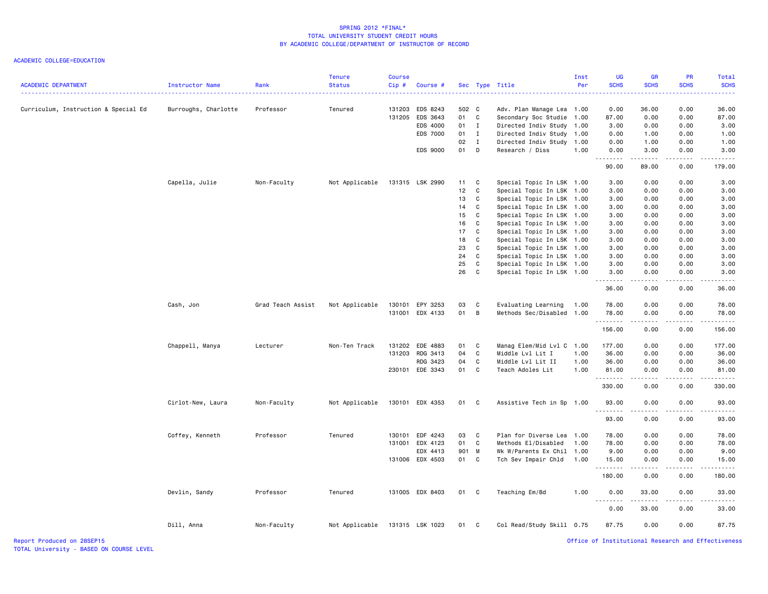| <b>ACADEMIC DEPARTMENT</b>           | Instructor Name      | Rank              | <b>Tenure</b><br><b>Status</b> | <b>Course</b><br>Cip# | Course #                                            |                             |                   | Sec Type Title                                                                               | Inst<br>Per                  | <b>UG</b><br><b>SCHS</b>                                                                                                                                     | <b>GR</b><br><b>SCHS</b>                    | PR<br><b>SCHS</b>            | Total<br><b>SCHS</b><br>$\frac{1}{2} \left( \frac{1}{2} \right) \left( \frac{1}{2} \right) \left( \frac{1}{2} \right) \left( \frac{1}{2} \right)$             |
|--------------------------------------|----------------------|-------------------|--------------------------------|-----------------------|-----------------------------------------------------|-----------------------------|-------------------|----------------------------------------------------------------------------------------------|------------------------------|--------------------------------------------------------------------------------------------------------------------------------------------------------------|---------------------------------------------|------------------------------|---------------------------------------------------------------------------------------------------------------------------------------------------------------|
| Curriculum, Instruction & Special Ed | Burroughs, Charlotte | Professor         | Tenured                        | 131203<br>131205      | EDS 8243<br>EDS 3643<br>EDS 4000<br><b>EDS 7000</b> | 502 C<br>01<br>$01$ I<br>01 | C<br>$\mathbf{I}$ | Adv. Plan Manage Lea<br>Secondary Soc Studie<br>Directed Indiv Study<br>Directed Indiv Study | 1.00<br>1.00<br>1.00<br>1.00 | 0.00<br>87.00<br>3.00<br>0.00                                                                                                                                | 36.00<br>0.00<br>0.00<br>1.00               | 0.00<br>0.00<br>0.00<br>0.00 | 36.00<br>87.00<br>3.00<br>1.00                                                                                                                                |
|                                      |                      |                   |                                |                       |                                                     | 02                          | $\mathbf{I}$      | Directed Indiv Study                                                                         | 1.00                         | 0.00                                                                                                                                                         | 1.00                                        | 0.00                         | 1.00                                                                                                                                                          |
|                                      |                      |                   |                                |                       | EDS 9000                                            | 01                          | D                 | Research / Diss                                                                              | 1.00                         | 0.00<br>.                                                                                                                                                    | 3.00                                        | 0.00<br>.                    | 3.00<br><u>.</u>                                                                                                                                              |
|                                      |                      |                   |                                |                       |                                                     |                             |                   |                                                                                              |                              | 90.00                                                                                                                                                        | 89.00                                       | 0.00                         | 179.00                                                                                                                                                        |
|                                      | Capella, Julie       | Non-Faculty       | Not Applicable                 |                       | 131315 LSK 2990                                     | 11                          | C                 | Special Topic In LSK 1.00                                                                    |                              | 3.00                                                                                                                                                         | 0.00                                        | 0.00                         | 3.00                                                                                                                                                          |
|                                      |                      |                   |                                |                       |                                                     | 12                          | $\mathbf c$       | Special Topic In LSK 1.00                                                                    |                              | 3.00                                                                                                                                                         | 0.00                                        | 0.00                         | 3.00                                                                                                                                                          |
|                                      |                      |                   |                                |                       |                                                     | 13                          | $\mathtt{C}$      | Special Topic In LSK 1.00                                                                    |                              | 3.00                                                                                                                                                         | 0.00                                        | 0.00                         | 3.00                                                                                                                                                          |
|                                      |                      |                   |                                |                       |                                                     | 14                          | C                 | Special Topic In LSK 1.00                                                                    |                              | 3.00                                                                                                                                                         | 0.00                                        | 0.00                         | 3.00                                                                                                                                                          |
|                                      |                      |                   |                                |                       |                                                     | 15                          | C                 | Special Topic In LSK 1.00                                                                    |                              | 3.00                                                                                                                                                         | 0.00                                        | 0.00                         | 3.00                                                                                                                                                          |
|                                      |                      |                   |                                |                       |                                                     | 16                          | C                 | Special Topic In LSK 1.00                                                                    |                              | 3.00                                                                                                                                                         | 0.00                                        | 0.00                         | 3.00                                                                                                                                                          |
|                                      |                      |                   |                                |                       |                                                     | 17                          | C                 | Special Topic In LSK 1.00                                                                    |                              | 3.00                                                                                                                                                         | 0.00                                        | 0.00                         | 3.00                                                                                                                                                          |
|                                      |                      |                   |                                |                       |                                                     | 18                          | C                 | Special Topic In LSK 1.00                                                                    |                              | 3.00                                                                                                                                                         | 0.00                                        | 0.00                         | 3.00                                                                                                                                                          |
|                                      |                      |                   |                                |                       |                                                     | 23                          | $\mathbf c$       | Special Topic In LSK 1.00                                                                    |                              | 3.00                                                                                                                                                         | 0.00                                        | 0.00                         | 3.00                                                                                                                                                          |
|                                      |                      |                   |                                |                       |                                                     | 24                          | C                 | Special Topic In LSK 1.00                                                                    |                              | 3.00                                                                                                                                                         | 0.00                                        | 0.00                         | 3.00                                                                                                                                                          |
|                                      |                      |                   |                                |                       |                                                     | 25                          | $\mathbf C$       | Special Topic In LSK 1.00                                                                    |                              | 3.00                                                                                                                                                         | 0.00                                        | 0.00                         | 3.00                                                                                                                                                          |
|                                      |                      |                   |                                |                       |                                                     | 26                          | $\mathbf C$       | Special Topic In LSK 1.00                                                                    |                              | 3.00<br>.                                                                                                                                                    | 0.00<br>.                                   | 0.00<br>.                    | 3.00<br>.                                                                                                                                                     |
|                                      |                      |                   |                                |                       |                                                     |                             |                   |                                                                                              |                              | 36.00                                                                                                                                                        | 0.00                                        | 0.00                         | 36.00                                                                                                                                                         |
|                                      | Cash, Jon            | Grad Teach Assist | Not Applicable                 | 130101                | EPY 3253                                            | 03                          | C                 | Evaluating Learning                                                                          | 1.00                         | 78.00                                                                                                                                                        | 0.00                                        | 0.00                         | 78.00                                                                                                                                                         |
|                                      |                      |                   |                                |                       | 131001 EDX 4133                                     | 01                          | B                 | Methods Sec/Disabled 1.00                                                                    |                              | 78.00<br>.                                                                                                                                                   | 0.00<br>.                                   | 0.00<br>.                    | 78.00                                                                                                                                                         |
|                                      |                      |                   |                                |                       |                                                     |                             |                   |                                                                                              |                              | 156.00                                                                                                                                                       | 0.00                                        | 0.00                         | .<br>156.00                                                                                                                                                   |
|                                      | Chappell, Manya      | Lecturer          | Non-Ten Track                  | 131202                | EDE 4883                                            | 01                          | C                 | Manag Elem/Mid Lvl C 1.00                                                                    |                              | 177.00                                                                                                                                                       | 0.00                                        | 0.00                         | 177.00                                                                                                                                                        |
|                                      |                      |                   |                                | 131203                | RDG 3413                                            | 04                          | $\mathbf c$       | Middle Lvl Lit I                                                                             | 1.00                         | 36.00                                                                                                                                                        | 0.00                                        | 0.00                         | 36.00                                                                                                                                                         |
|                                      |                      |                   |                                |                       | RDG 3423                                            | 04                          | C                 | Middle Lvl Lit II                                                                            | 1.00                         | 36.00                                                                                                                                                        | 0.00                                        | 0.00                         | 36.00                                                                                                                                                         |
|                                      |                      |                   |                                |                       | 230101 EDE 3343                                     | 01                          | C                 | Teach Adoles Lit                                                                             | 1.00                         | 81.00<br><u>.</u>                                                                                                                                            | 0.00<br>$\omega$ $\omega$ $\omega$ $\omega$ | 0.00<br>.                    | 81.00<br>د د د د د                                                                                                                                            |
|                                      |                      |                   |                                |                       |                                                     |                             |                   |                                                                                              |                              | 330.00                                                                                                                                                       | 0.00                                        | 0.00                         | 330.00                                                                                                                                                        |
|                                      | Cirlot-New, Laura    | Non-Faculty       | Not Applicable                 |                       | 130101 EDX 4353                                     | 01                          | C                 | Assistive Tech in Sp 1.00                                                                    |                              | 93.00                                                                                                                                                        | 0.00                                        | 0.00                         | 93.00                                                                                                                                                         |
|                                      |                      |                   |                                |                       |                                                     |                             |                   |                                                                                              |                              | .<br>93.00                                                                                                                                                   | .<br>0.00                                   | .<br>0.00                    | .<br>93.00                                                                                                                                                    |
|                                      | Coffey, Kenneth      | Professor         | Tenured                        | 130101                | EDF 4243                                            | 03                          | C                 | Plan for Diverse Lea                                                                         | 1.00                         | 78.00                                                                                                                                                        | 0.00                                        | 0.00                         | 78.00                                                                                                                                                         |
|                                      |                      |                   |                                | 131001                | EDX 4123                                            | 01                          | C                 | Methods El/Disabled                                                                          | 1.00                         | 78.00                                                                                                                                                        | 0.00                                        | 0.00                         | 78.00                                                                                                                                                         |
|                                      |                      |                   |                                |                       | EDX 4413                                            | 901 M                       |                   | Wk W/Parents Ex Chil                                                                         | 1.00                         | 9.00                                                                                                                                                         | 0.00                                        | 0.00                         | 9.00                                                                                                                                                          |
|                                      |                      |                   |                                |                       | 131006 EDX 4503                                     | 01 C                        |                   | Tch Sev Impair Chld                                                                          | 1.00                         | 15.00                                                                                                                                                        | 0.00                                        | 0.00                         | 15.00                                                                                                                                                         |
|                                      |                      |                   |                                |                       |                                                     |                             |                   |                                                                                              |                              | .<br>180.00                                                                                                                                                  | .<br>0.00                                   | .<br>0.00                    | .<br>180.00                                                                                                                                                   |
|                                      | Devlin, Sandy        | Professor         | Tenured                        |                       | 131005 EDX 8403                                     | 01                          | - C               | Teaching Em/Bd                                                                               | 1.00                         | 0.00                                                                                                                                                         | 33.00                                       | 0.00                         | 33.00                                                                                                                                                         |
|                                      |                      |                   |                                |                       |                                                     |                             |                   |                                                                                              |                              | $\frac{1}{2} \left( \frac{1}{2} \right) \left( \frac{1}{2} \right) \left( \frac{1}{2} \right) \left( \frac{1}{2} \right) \left( \frac{1}{2} \right)$<br>0.00 | 33.00                                       | 0.00                         | $\frac{1}{2} \left( \frac{1}{2} \right) \left( \frac{1}{2} \right) \left( \frac{1}{2} \right) \left( \frac{1}{2} \right) \left( \frac{1}{2} \right)$<br>33.00 |
|                                      | Dill, Anna           | Non-Faculty       | Not Applicable                 |                       | 131315 LSK 1023                                     | 01                          | C                 | Col Read/Study Skill 0.75                                                                    |                              | 87.75                                                                                                                                                        | 0.00                                        | 0.00                         | 87.75                                                                                                                                                         |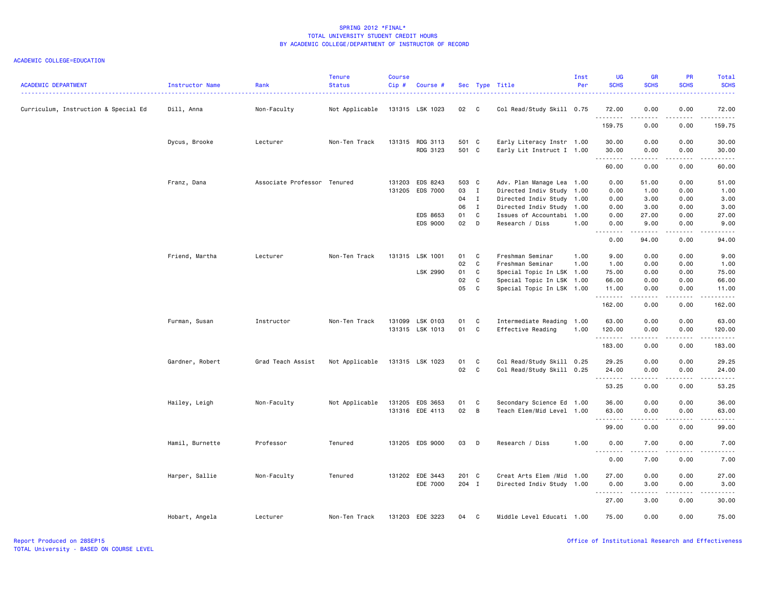| <b>ACADEMIC DEPARTMENT</b>           | Instructor Name | Rank                        | <b>Tenure</b><br><b>Status</b> | Course<br>$Cip \#$ | Course #        |       |              | Sec Type Title             | Inst<br>Per | <b>UG</b><br><b>SCHS</b>            | <b>GR</b><br><b>SCHS</b>                                                                                                                                     | PR<br><b>SCHS</b> | Total<br><b>SCHS</b> |
|--------------------------------------|-----------------|-----------------------------|--------------------------------|--------------------|-----------------|-------|--------------|----------------------------|-------------|-------------------------------------|--------------------------------------------------------------------------------------------------------------------------------------------------------------|-------------------|----------------------|
| Curriculum, Instruction & Special Ed | Dill, Anna      | Non-Faculty                 | Not Applicable                 |                    | 131315 LSK 1023 | 02 C  |              | Col Read/Study Skill 0.75  |             | 72.00                               | 0.00                                                                                                                                                         | 0.00              | 72.00                |
|                                      |                 |                             |                                |                    |                 |       |              |                            |             | .<br>159.75                         | .<br>0.00                                                                                                                                                    | .<br>0.00         | .<br>159.75          |
|                                      | Dycus, Brooke   | Lecturer                    | Non-Ten Track                  |                    | 131315 RDG 3113 | 501 C |              | Early Literacy Instr 1.00  |             | 30.00                               | 0.00                                                                                                                                                         | 0.00              | 30.00                |
|                                      |                 |                             |                                |                    | RDG 3123        | 501 C |              | Early Lit Instruct I 1.00  |             | 30.00<br>.                          | 0.00<br>$- - - - -$                                                                                                                                          | 0.00<br>.         | 30.00<br>.           |
|                                      |                 |                             |                                |                    |                 |       |              |                            |             | 60.00                               | 0.00                                                                                                                                                         | 0.00              | 60.00                |
|                                      | Franz, Dana     | Associate Professor Tenured |                                |                    | 131203 EDS 8243 | 503 C |              | Adv. Plan Manage Lea 1.00  |             | 0.00                                | 51.00                                                                                                                                                        | 0.00              | 51.00                |
|                                      |                 |                             |                                |                    | 131205 EDS 7000 | 03 I  |              | Directed Indiv Study 1.00  |             | 0.00                                | 1.00                                                                                                                                                         | 0.00              | 1.00                 |
|                                      |                 |                             |                                |                    |                 | 04 I  |              | Directed Indiv Study 1.00  |             | 0.00                                | 3.00                                                                                                                                                         | 0.00              | 3.00                 |
|                                      |                 |                             |                                |                    |                 | 06    | $\mathbf{I}$ | Directed Indiv Study 1.00  |             | 0.00                                | 3.00                                                                                                                                                         | 0.00              | 3.00                 |
|                                      |                 |                             |                                |                    | EDS 8653        | 01    | $\mathbf{C}$ | Issues of Accountabi 1.00  |             | 0.00                                | 27.00                                                                                                                                                        | 0.00              | 27.00                |
|                                      |                 |                             |                                |                    | EDS 9000        | 02    | D            | Research / Diss            | 1.00        | 0.00<br>$\sim$ $\sim$ $\sim$ $\sim$ | 9.00<br>.                                                                                                                                                    | 0.00<br>د د د د   | 9.00                 |
|                                      |                 |                             |                                |                    |                 |       |              |                            |             | 0.00                                | 94.00                                                                                                                                                        | 0.00              | 94.00                |
|                                      | Friend, Martha  | Lecturer                    | Non-Ten Track                  |                    | 131315 LSK 1001 | 01    | C            | Freshman Seminar           | 1.00        | 9.00                                | 0.00                                                                                                                                                         | 0.00              | 9.00                 |
|                                      |                 |                             |                                |                    |                 | 02    | $\mathbf{C}$ | Freshman Seminar           | 1.00        | 1.00                                | 0.00                                                                                                                                                         | 0.00              | 1.00                 |
|                                      |                 |                             |                                |                    | LSK 2990        | 01    | C            | Special Topic In LSK 1.00  |             | 75.00                               | 0.00                                                                                                                                                         | 0.00              | 75.00                |
|                                      |                 |                             |                                |                    |                 | 02    | C            | Special Topic In LSK 1.00  |             | 66.00                               | 0.00                                                                                                                                                         | 0.00              | 66.00                |
|                                      |                 |                             |                                |                    |                 | 05    | C            | Special Topic In LSK 1.00  |             | 11.00                               | 0.00                                                                                                                                                         | 0.00<br>.         | 11.00                |
|                                      |                 |                             |                                |                    |                 |       |              |                            |             | .<br>162.00                         | .<br>0.00                                                                                                                                                    | 0.00              | .<br>162.00          |
|                                      | Furman, Susan   | Instructor                  | Non-Ten Track                  |                    | 131099 LSK 0103 | 01    | $\mathbf{C}$ | Intermediate Reading 1.00  |             | 63.00                               | 0.00                                                                                                                                                         | 0.00              | 63.00                |
|                                      |                 |                             |                                |                    | 131315 LSK 1013 | 01    | $\mathbf{C}$ | Effective Reading          | 1.00        | 120.00                              | 0.00                                                                                                                                                         | 0.00              | 120.00               |
|                                      |                 |                             |                                |                    |                 |       |              |                            |             | .<br>183.00                         | <u>.</u><br>0.00                                                                                                                                             | .<br>0.00         | .<br>183.00          |
|                                      | Gardner, Robert | Grad Teach Assist           | Not Applicable                 |                    | 131315 LSK 1023 | 01    | C            | Col Read/Study Skill 0.25  |             | 29.25                               | 0.00                                                                                                                                                         | 0.00              | 29.25                |
|                                      |                 |                             |                                |                    |                 | 02    | $\mathbf{C}$ | Col Read/Study Skill 0.25  |             | 24.00                               | 0.00                                                                                                                                                         | 0.00              | 24.00                |
|                                      |                 |                             |                                |                    |                 |       |              |                            |             | .                                   | .                                                                                                                                                            | .                 | .                    |
|                                      |                 |                             |                                |                    |                 |       |              |                            |             | 53.25                               | 0.00                                                                                                                                                         | 0.00              | 53.25                |
|                                      | Hailey, Leigh   | Non-Faculty                 | Not Applicable                 |                    | 131205 EDS 3653 | 01    | $\mathbf{C}$ | Secondary Science Ed 1.00  |             | 36.00                               | 0.00                                                                                                                                                         | 0.00              | 36.00                |
|                                      |                 |                             |                                |                    | 131316 EDE 4113 | 02 B  |              | Teach Elem/Mid Level 1.00  |             | 63.00                               | 0.00                                                                                                                                                         | 0.00              | 63.00                |
|                                      |                 |                             |                                |                    |                 |       |              |                            |             | .<br>99.00                          | <u>.</u><br>0.00                                                                                                                                             | .<br>0.00         | $- - - - -$<br>99.00 |
|                                      | Hamil, Burnette | Professor                   | Tenured                        |                    | 131205 EDS 9000 | 03    | $\mathsf{D}$ | Research / Diss            | 1.00        | 0.00                                | 7.00                                                                                                                                                         | 0.00              | 7.00                 |
|                                      |                 |                             |                                |                    |                 |       |              |                            |             | .<br>0.00                           | .<br>7.00                                                                                                                                                    | ----<br>0.00      | $   -$<br>7.00       |
|                                      |                 |                             |                                |                    |                 |       |              |                            |             |                                     |                                                                                                                                                              |                   |                      |
|                                      | Harper, Sallie  | Non-Faculty                 | Tenured                        |                    | 131202 EDE 3443 | 201 C |              | Creat Arts Elem / Mid 1.00 |             | 27.00                               | 0.00                                                                                                                                                         | 0.00              | 27.00                |
|                                      |                 |                             |                                |                    | EDE 7000        | 204 I |              | Directed Indiv Study 1.00  |             | 0.00                                | 3.00                                                                                                                                                         | 0.00              | 3.00                 |
|                                      |                 |                             |                                |                    |                 |       |              |                            |             | .<br>27.00                          | $\frac{1}{2} \left( \frac{1}{2} \right) \left( \frac{1}{2} \right) \left( \frac{1}{2} \right) \left( \frac{1}{2} \right) \left( \frac{1}{2} \right)$<br>3.00 | .<br>0.00         | .<br>30.00           |
|                                      | Hobart, Angela  | Lecturer                    | Non-Ten Track                  |                    | 131203 EDE 3223 | 04    | - C          | Middle Level Educati 1.00  |             | 75.00                               | 0.00                                                                                                                                                         | 0.00              | 75.00                |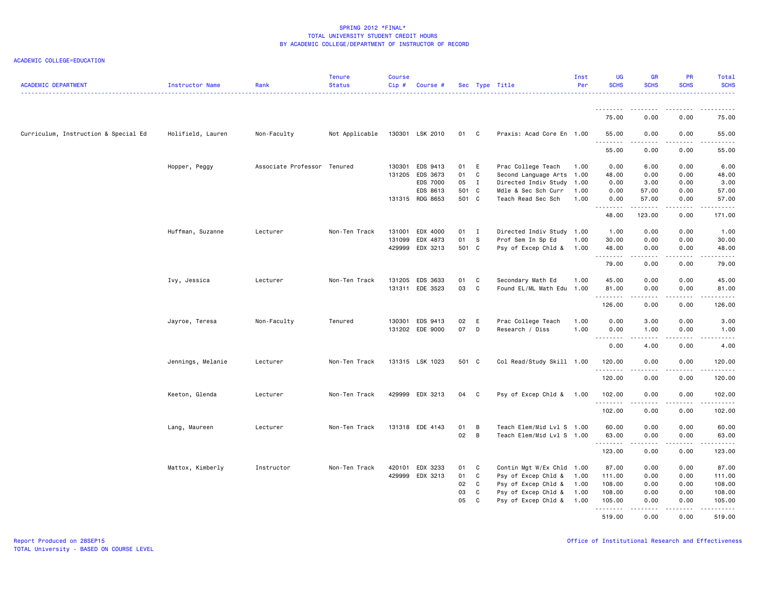| <b>ACADEMIC DEPARTMENT</b>           | Instructor Name   | Rank                        | <b>Tenure</b><br><b>Status</b> | <b>Course</b><br>Cip# | Course #        |       |                | Sec Type Title            | Inst<br>Per | <b>UG</b><br><b>SCHS</b> | <b>GR</b><br><b>SCHS</b>                                                                                                                                     | <b>PR</b><br><b>SCHS</b>            | Total<br><b>SCHS</b>                        |
|--------------------------------------|-------------------|-----------------------------|--------------------------------|-----------------------|-----------------|-------|----------------|---------------------------|-------------|--------------------------|--------------------------------------------------------------------------------------------------------------------------------------------------------------|-------------------------------------|---------------------------------------------|
|                                      |                   |                             |                                |                       |                 |       |                |                           |             | --------<br>75.00        | .<br>0.00                                                                                                                                                    | ----<br>0.00                        | 75.00                                       |
| Curriculum, Instruction & Special Ed | Holifield, Lauren | Non-Faculty                 | Not Applicable                 |                       | 130301 LSK 2010 | 01 C  |                | Praxis: Acad Core En 1.00 |             | 55.00                    | 0.00                                                                                                                                                         | 0.00                                | 55.00                                       |
|                                      |                   |                             |                                |                       |                 |       |                |                           |             | .<br>55.00               | $\frac{1}{2} \left( \frac{1}{2} \right) \left( \frac{1}{2} \right) \left( \frac{1}{2} \right) \left( \frac{1}{2} \right) \left( \frac{1}{2} \right)$<br>0.00 | .<br>0.00                           | $\sim$ $\sim$ $\sim$ $\sim$ $\sim$<br>55.00 |
|                                      | Hopper, Peggy     | Associate Professor Tenured |                                | 130301                | EDS 9413        | 01 E  |                | Prac College Teach        | 1.00        | 0.00                     | 6.00                                                                                                                                                         | 0.00                                | 6.00                                        |
|                                      |                   |                             |                                |                       | 131205 EDS 3673 | 01    | $\mathbf c$    | Second Language Arts      | 1.00        | 48.00                    | 0.00                                                                                                                                                         | 0.00                                | 48.00                                       |
|                                      |                   |                             |                                |                       | <b>EDS 7000</b> | 05    | $\mathbf{I}$   | Directed Indiv Study      | 1.00        | 0.00                     | 3.00                                                                                                                                                         | 0.00                                | 3.00                                        |
|                                      |                   |                             |                                |                       | EDS 8613        | 501 C |                | Mdle & Sec Sch Curr       | 1.00        | 0.00                     | 57.00                                                                                                                                                        | 0.00                                | 57.00                                       |
|                                      |                   |                             |                                |                       | 131315 RDG 8653 | 501 C |                | Teach Read Sec Sch        | 1.00        | 0.00<br><u>.</u>         | 57.00<br>.                                                                                                                                                   | 0.00<br>.                           | 57.00<br>.                                  |
|                                      |                   |                             |                                |                       |                 |       |                |                           |             | 48.00                    | 123.00                                                                                                                                                       | 0.00                                | 171.00                                      |
|                                      | Huffman, Suzanne  | Lecturer                    | Non-Ten Track                  | 131001                | EDX 4000        | 01    | $\blacksquare$ | Directed Indiv Study 1.00 |             | 1.00                     | 0.00                                                                                                                                                         | 0.00                                | 1.00                                        |
|                                      |                   |                             |                                | 131099                | EDX 4873        | 01    | s.             | Prof Sem In Sp Ed         | 1.00        | 30.00                    | 0.00                                                                                                                                                         | 0.00                                | 30.00                                       |
|                                      |                   |                             |                                |                       | 429999 EDX 3213 | 501 C |                | Psy of Excep Chld &       | 1.00        | 48.00<br>.               | 0.00<br>.                                                                                                                                                    | 0.00<br>.                           | 48.00<br>$\sim$                             |
|                                      |                   |                             |                                |                       |                 |       |                |                           |             | 79.00                    | 0.00                                                                                                                                                         | 0.00                                | 79.00                                       |
|                                      | Ivy, Jessica      | Lecturer                    | Non-Ten Track                  |                       | 131205 EDS 3633 | 01    | $\mathbf{C}$   | Secondary Math Ed         | 1.00        | 45.00                    | 0.00                                                                                                                                                         | 0.00                                | 45.00                                       |
|                                      |                   |                             |                                |                       | 131311 EDE 3523 | 03    | <b>C</b>       | Found EL/ML Math Edu 1.00 |             | 81.00                    | 0.00<br>.                                                                                                                                                    | 0.00<br>$\sim$ $\sim$ $\sim$ $\sim$ | 81.00<br>$\sim$ $\sim$ $\sim$ $\sim$ $\sim$ |
|                                      |                   |                             |                                |                       |                 |       |                |                           |             | 126.00                   | 0.00                                                                                                                                                         | 0.00                                | 126.00                                      |
|                                      | Jayroe, Teresa    | Non-Faculty                 | Tenured                        |                       | 130301 EDS 9413 | 02    | E              | Prac College Teach        | 1.00        | 0.00                     | 3.00                                                                                                                                                         | 0.00                                | 3.00                                        |
|                                      |                   |                             |                                |                       | 131202 EDE 9000 | 07    | D              | Research / Diss           | 1.00        | 0.00<br>.                | 1.00<br>.                                                                                                                                                    | 0.00<br>.                           | 1.00<br>.                                   |
|                                      |                   |                             |                                |                       |                 |       |                |                           |             | 0.00                     | 4.00                                                                                                                                                         | 0.00                                | 4.00                                        |
|                                      | Jennings, Melanie | Lecturer                    | Non-Ten Track                  |                       | 131315 LSK 1023 | 501 C |                | Col Read/Study Skill 1.00 |             | 120.00                   | 0.00                                                                                                                                                         | 0.00                                | 120.00                                      |
|                                      |                   |                             |                                |                       |                 |       |                |                           |             | .<br>120.00              | <b>.</b><br>0.00                                                                                                                                             | د د د د<br>0.00                     | .<br>120.00                                 |
|                                      | Keeton, Glenda    | Lecturer                    | Non-Ten Track                  |                       | 429999 EDX 3213 | 04    | $\mathbf{C}$   | Psy of Excep Chld & 1.00  |             | 102.00                   | 0.00                                                                                                                                                         | 0.00                                | 102.00                                      |
|                                      |                   |                             |                                |                       |                 |       |                |                           |             | 102.00                   | 0.00                                                                                                                                                         | 0.00                                | . <u>.</u> .<br>102.00                      |
|                                      |                   |                             |                                |                       |                 |       |                |                           |             |                          |                                                                                                                                                              |                                     |                                             |
|                                      | Lang, Maureen     | Lecturer                    | Non-Ten Track                  |                       | 131318 EDE 4143 | 01    | B              | Teach Elem/Mid Lvl S 1.00 |             | 60.00                    | 0.00                                                                                                                                                         | 0.00                                | 60.00                                       |
|                                      |                   |                             |                                |                       |                 | 02    | $\overline{B}$ | Teach Elem/Mid Lvl S 1.00 |             | 63.00<br>--------        | 0.00<br>.                                                                                                                                                    | 0.00<br>.                           | 63.00<br>.                                  |
|                                      |                   |                             |                                |                       |                 |       |                |                           |             | 123.00                   | 0.00                                                                                                                                                         | 0.00                                | 123.00                                      |
|                                      | Mattox, Kimberly  | Instructor                  | Non-Ten Track                  |                       | 420101 EDX 3233 | 01    | C              | Contin Mgt W/Ex Chld 1.00 |             | 87.00                    | 0.00                                                                                                                                                         | 0.00                                | 87.00                                       |
|                                      |                   |                             |                                |                       | 429999 EDX 3213 | 01    | $\mathbf{C}$   | Psy of Excep Chld &       | 1.00        | 111.00                   | 0.00                                                                                                                                                         | 0.00                                | 111.00                                      |
|                                      |                   |                             |                                |                       |                 | 02    | C              | Psy of Excep Chld &       | 1.00        | 108.00                   | 0.00                                                                                                                                                         | 0.00                                | 108.00                                      |
|                                      |                   |                             |                                |                       |                 | 03    | C              | Psy of Excep Chld &       | 1.00        | 108.00                   | 0.00                                                                                                                                                         | 0.00                                | 108.00                                      |
|                                      |                   |                             |                                |                       |                 | 05    | C              | Psy of Excep Chld &       | 1.00        | 105.00<br>.              | 0.00<br>22222                                                                                                                                                | 0.00<br>.                           | 105.00<br>.                                 |
|                                      |                   |                             |                                |                       |                 |       |                |                           |             | 519.00                   | 0.00                                                                                                                                                         | 0.00                                | 519.00                                      |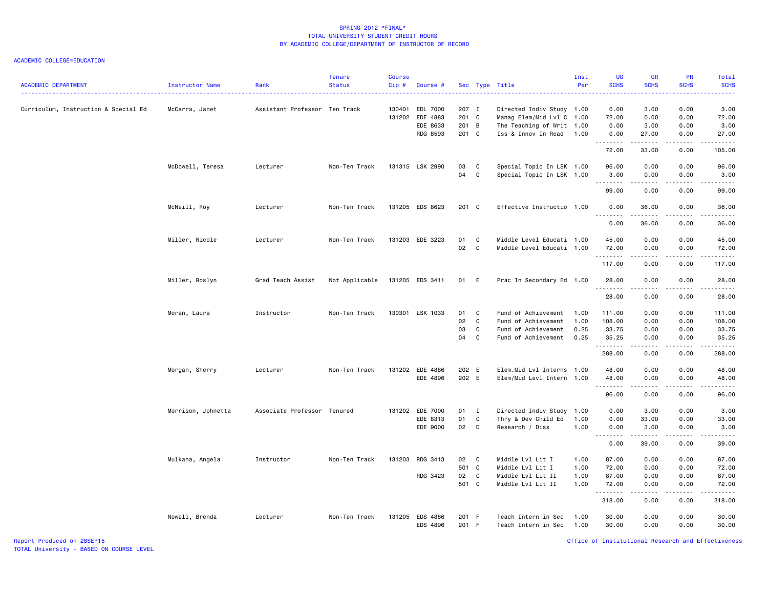| <b>ACADEMIC DEPARTMENT</b>           | Instructor Name    | Rank<br>.                     | <b>Tenure</b><br><b>Status</b> | <b>Course</b><br>Cip# | Course #             |                |                            | Sec Type Title                                         | Inst<br>Per  | UG<br><b>SCHS</b><br>.                                                                                                                                                                                                                                                                                                                                                                                                                                                                           | <b>GR</b><br><b>SCHS</b> | PR<br><b>SCHS</b><br>.                                                                                                                                       | Total<br><b>SCHS</b><br>.                                                                                                                                     |
|--------------------------------------|--------------------|-------------------------------|--------------------------------|-----------------------|----------------------|----------------|----------------------------|--------------------------------------------------------|--------------|--------------------------------------------------------------------------------------------------------------------------------------------------------------------------------------------------------------------------------------------------------------------------------------------------------------------------------------------------------------------------------------------------------------------------------------------------------------------------------------------------|--------------------------|--------------------------------------------------------------------------------------------------------------------------------------------------------------|---------------------------------------------------------------------------------------------------------------------------------------------------------------|
| Curriculum, Instruction & Special Ed | McCarra, Janet     | Assistant Professor Ten Track |                                | 130401<br>131202      | EDL 7000<br>EDE 4883 | 207 I<br>201 C |                            | Directed Indiv Study 1.00<br>Manag Elem/Mid Lvl C 1.00 |              | 0.00<br>72.00                                                                                                                                                                                                                                                                                                                                                                                                                                                                                    | 3.00<br>0.00             | 0.00<br>0.00                                                                                                                                                 | 3.00<br>72.00                                                                                                                                                 |
|                                      |                    |                               |                                |                       | EDE 8633             | 201 B          |                            | The Teaching of Writ 1.00                              |              | 0.00                                                                                                                                                                                                                                                                                                                                                                                                                                                                                             | 3.00                     | 0.00                                                                                                                                                         | 3.00                                                                                                                                                          |
|                                      |                    |                               |                                |                       | RDG 8593             | 201 C          |                            | Iss & Innov In Read                                    | 1.00         | 0.00<br>.                                                                                                                                                                                                                                                                                                                                                                                                                                                                                        | 27.00<br>.               | 0.00<br>.                                                                                                                                                    | 27.00<br>.                                                                                                                                                    |
|                                      |                    |                               |                                |                       |                      |                |                            |                                                        |              | 72.00                                                                                                                                                                                                                                                                                                                                                                                                                                                                                            | 33.00                    | 0.00                                                                                                                                                         | 105.00                                                                                                                                                        |
|                                      | McDowell, Teresa   | Lecturer                      | Non-Ten Track                  |                       | 131315 LSK 2990      | 03             | C                          | Special Topic In LSK 1.00                              |              | 96.00                                                                                                                                                                                                                                                                                                                                                                                                                                                                                            | 0.00                     | 0.00                                                                                                                                                         | 96.00                                                                                                                                                         |
|                                      |                    |                               |                                |                       |                      | 04             | C                          | Special Topic In LSK 1.00                              |              | 3.00<br>$\begin{array}{cccccccccccccc} \multicolumn{2}{c}{} & \multicolumn{2}{c}{} & \multicolumn{2}{c}{} & \multicolumn{2}{c}{} & \multicolumn{2}{c}{} & \multicolumn{2}{c}{} & \multicolumn{2}{c}{} & \multicolumn{2}{c}{} & \multicolumn{2}{c}{} & \multicolumn{2}{c}{} & \multicolumn{2}{c}{} & \multicolumn{2}{c}{} & \multicolumn{2}{c}{} & \multicolumn{2}{c}{} & \multicolumn{2}{c}{} & \multicolumn{2}{c}{} & \multicolumn{2}{c}{} & \multicolumn{2}{c}{} & \multicolumn{2}{c}{} & \$   | 0.00<br>.                | 0.00<br>$\frac{1}{2} \left( \frac{1}{2} \right) \left( \frac{1}{2} \right) \left( \frac{1}{2} \right) \left( \frac{1}{2} \right) \left( \frac{1}{2} \right)$ | 3.00<br>.                                                                                                                                                     |
|                                      |                    |                               |                                |                       |                      |                |                            |                                                        |              | 99.00                                                                                                                                                                                                                                                                                                                                                                                                                                                                                            | 0.00                     | 0.00                                                                                                                                                         | 99.00                                                                                                                                                         |
|                                      | McNeill, Roy       | Lecturer                      | Non-Ten Track                  |                       | 131205 EDS 8623      | 201 C          |                            | Effective Instructio 1.00                              |              | 0.00<br><b></b>                                                                                                                                                                                                                                                                                                                                                                                                                                                                                  | 36.00<br>. <b>.</b>      | 0.00<br>.                                                                                                                                                    | 36.00<br>.                                                                                                                                                    |
|                                      |                    |                               |                                |                       |                      |                |                            |                                                        |              | 0.00                                                                                                                                                                                                                                                                                                                                                                                                                                                                                             | 36.00                    | 0.00                                                                                                                                                         | 36.00                                                                                                                                                         |
|                                      | Miller, Nicole     | Lecturer                      | Non-Ten Track                  |                       | 131203 EDE 3223      | 01             | C                          | Middle Level Educati 1.00                              |              | 45.00                                                                                                                                                                                                                                                                                                                                                                                                                                                                                            | 0.00                     | 0.00                                                                                                                                                         | 45.00                                                                                                                                                         |
|                                      |                    |                               |                                |                       |                      | 02             | $\mathbf{C}$               | Middle Level Educati 1.00                              |              | 72.00<br>.                                                                                                                                                                                                                                                                                                                                                                                                                                                                                       | 0.00<br>.                | 0.00<br>.                                                                                                                                                    | 72.00                                                                                                                                                         |
|                                      |                    |                               |                                |                       |                      |                |                            |                                                        |              | 117.00                                                                                                                                                                                                                                                                                                                                                                                                                                                                                           | 0.00                     | 0.00                                                                                                                                                         | 117.00                                                                                                                                                        |
|                                      | Miller, Roslyn     | Grad Teach Assist             | Not Applicable                 |                       | 131205 EDS 3411      | 01 E           |                            | Prac In Secondary Ed 1.00                              |              | 28.00<br>.                                                                                                                                                                                                                                                                                                                                                                                                                                                                                       | 0.00<br>.                | 0.00<br>$\sim$ $\sim$ $\sim$                                                                                                                                 | 28.00<br>.                                                                                                                                                    |
|                                      |                    |                               |                                |                       |                      |                |                            |                                                        |              | 28.00                                                                                                                                                                                                                                                                                                                                                                                                                                                                                            | 0.00                     | 0.00                                                                                                                                                         | 28.00                                                                                                                                                         |
|                                      | Moran, Laura       | Instructor                    | Non-Ten Track                  |                       | 130301 LSK 1033      | 01             | C                          | Fund of Achievement                                    | 1.00         | 111.00                                                                                                                                                                                                                                                                                                                                                                                                                                                                                           | 0.00                     | 0.00                                                                                                                                                         | 111.00                                                                                                                                                        |
|                                      |                    |                               |                                |                       |                      | 02             | C                          | Fund of Achievement                                    | 1.00         | 108.00                                                                                                                                                                                                                                                                                                                                                                                                                                                                                           | 0.00                     | 0.00                                                                                                                                                         | 108.00                                                                                                                                                        |
|                                      |                    |                               |                                |                       |                      | 03<br>04       | $\mathbf{C}$<br>C          | Fund of Achievement                                    | 0.25         | 33.75                                                                                                                                                                                                                                                                                                                                                                                                                                                                                            | 0.00                     | 0.00                                                                                                                                                         | 33.75                                                                                                                                                         |
|                                      |                    |                               |                                |                       |                      |                |                            | Fund of Achievement                                    | 0.25         | 35.25<br>.                                                                                                                                                                                                                                                                                                                                                                                                                                                                                       | 0.00<br>.                | 0.00<br>.                                                                                                                                                    | 35.25<br>.                                                                                                                                                    |
|                                      |                    |                               |                                |                       |                      |                |                            |                                                        |              | 288.00                                                                                                                                                                                                                                                                                                                                                                                                                                                                                           | 0.00                     | 0.00                                                                                                                                                         | 288.00                                                                                                                                                        |
|                                      | Morgan, Sherry     | Lecturer                      | Non-Ten Track                  |                       | 131202 EDE 4886      | 202 E          |                            | Elem.Mid Lvl Interns 1.00                              |              | 48.00                                                                                                                                                                                                                                                                                                                                                                                                                                                                                            | 0.00                     | 0.00                                                                                                                                                         | 48.00                                                                                                                                                         |
|                                      |                    |                               |                                |                       | EDE 4896             | 202 E          |                            | Elem/Mid Levl Intern 1.00                              |              | 48.00<br>.                                                                                                                                                                                                                                                                                                                                                                                                                                                                                       | 0.00<br>د د د د          | 0.00<br>.                                                                                                                                                    | 48.00<br>$\frac{1}{2} \left( \frac{1}{2} \right) \left( \frac{1}{2} \right) \left( \frac{1}{2} \right) \left( \frac{1}{2} \right) \left( \frac{1}{2} \right)$ |
|                                      |                    |                               |                                |                       |                      |                |                            |                                                        |              | 96.00                                                                                                                                                                                                                                                                                                                                                                                                                                                                                            | 0.00                     | 0.00                                                                                                                                                         | 96.00                                                                                                                                                         |
|                                      | Morrison, Johnetta | Associate Professor Tenured   |                                |                       | 131202 EDE 7000      | 01 I           |                            | Directed Indiv Study                                   | 1.00         | 0.00                                                                                                                                                                                                                                                                                                                                                                                                                                                                                             | 3.00                     | 0.00                                                                                                                                                         | 3.00                                                                                                                                                          |
|                                      |                    |                               |                                |                       | EDE 8313             | 01             | C                          | Thry & Dev Child Ed                                    | 1.00         | 0.00                                                                                                                                                                                                                                                                                                                                                                                                                                                                                             | 33.00                    | 0.00                                                                                                                                                         | 33.00                                                                                                                                                         |
|                                      |                    |                               |                                |                       | EDE 9000             | 02             | D                          | Research / Diss                                        | 1.00         | 0.00<br>.                                                                                                                                                                                                                                                                                                                                                                                                                                                                                        | 3.00<br>-----            | 0.00<br>----                                                                                                                                                 | 3.00<br>$\frac{1}{2} \left( \frac{1}{2} \right) \left( \frac{1}{2} \right) \left( \frac{1}{2} \right) \left( \frac{1}{2} \right) \left( \frac{1}{2} \right)$  |
|                                      |                    |                               |                                |                       |                      |                |                            |                                                        |              | 0.00                                                                                                                                                                                                                                                                                                                                                                                                                                                                                             | 39.00                    | 0.00                                                                                                                                                         | 39.00                                                                                                                                                         |
|                                      | Mulkana, Angela    | Instructor                    | Non-Ten Track                  |                       | 131203 RDG 3413      | 02             | $\overline{\phantom{a}}$ C | Middle Lvl Lit I                                       | 1.00         | 87.00                                                                                                                                                                                                                                                                                                                                                                                                                                                                                            | 0.00                     | 0.00                                                                                                                                                         | 87.00                                                                                                                                                         |
|                                      |                    |                               |                                |                       |                      | 501 C          |                            | Middle Lvl Lit I                                       | 1.00         | 72.00                                                                                                                                                                                                                                                                                                                                                                                                                                                                                            | 0.00                     | 0.00                                                                                                                                                         | 72.00                                                                                                                                                         |
|                                      |                    |                               |                                |                       | RDG 3423             | 02<br>501 C    | C                          | Middle Lvl Lit II<br>Middle Lvl Lit II                 | 1.00<br>1.00 | 87.00<br>72.00                                                                                                                                                                                                                                                                                                                                                                                                                                                                                   | 0.00<br>0.00             | 0.00<br>0.00                                                                                                                                                 | 87.00<br>72.00                                                                                                                                                |
|                                      |                    |                               |                                |                       |                      |                |                            |                                                        |              | $\begin{array}{cccccccccccccc} \multicolumn{2}{c}{} & \multicolumn{2}{c}{} & \multicolumn{2}{c}{} & \multicolumn{2}{c}{} & \multicolumn{2}{c}{} & \multicolumn{2}{c}{} & \multicolumn{2}{c}{} & \multicolumn{2}{c}{} & \multicolumn{2}{c}{} & \multicolumn{2}{c}{} & \multicolumn{2}{c}{} & \multicolumn{2}{c}{} & \multicolumn{2}{c}{} & \multicolumn{2}{c}{} & \multicolumn{2}{c}{} & \multicolumn{2}{c}{} & \multicolumn{2}{c}{} & \multicolumn{2}{c}{} & \multicolumn{2}{c}{} & \$<br>318.00 | .<br>0.00                | .<br>0.00                                                                                                                                                    | 318.00                                                                                                                                                        |
|                                      | Nowell, Brenda     | Lecturer                      | Non-Ten Track                  | 131205                | EDS 4886             | 201 F          |                            | Teach Intern in Sec                                    | 1.00         | 30.00                                                                                                                                                                                                                                                                                                                                                                                                                                                                                            | 0.00                     | 0.00                                                                                                                                                         | 30.00                                                                                                                                                         |
|                                      |                    |                               |                                |                       | EDS 4896             | 201 F          |                            | Teach Intern in Sec                                    | 1.00         | 30.00                                                                                                                                                                                                                                                                                                                                                                                                                                                                                            | 0.00                     | 0.00                                                                                                                                                         | 30.00                                                                                                                                                         |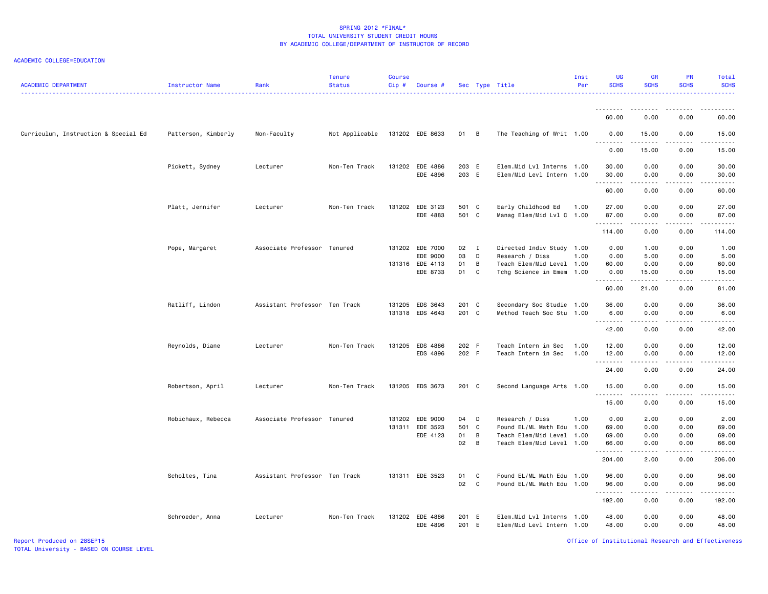### ACADEMIC COLLEGE=EDUCATION

| <b>ACADEMIC DEPARTMENT</b>           | Instructor Name     | Rank                          | <b>Tenure</b><br><b>Status</b> | <b>Course</b><br>$Cip \#$ | Course #                    |                |                | Sec Type Title                                         | Inst<br>Per | UG<br><b>SCHS</b> | <b>GR</b><br><b>SCHS</b>                                                                                                                                     | <b>PR</b><br><b>SCHS</b>            | Total<br><b>SCHS</b>                                                                                                                                          |
|--------------------------------------|---------------------|-------------------------------|--------------------------------|---------------------------|-----------------------------|----------------|----------------|--------------------------------------------------------|-------------|-------------------|--------------------------------------------------------------------------------------------------------------------------------------------------------------|-------------------------------------|---------------------------------------------------------------------------------------------------------------------------------------------------------------|
|                                      |                     |                               |                                |                           |                             |                |                |                                                        |             | 60.00             | 0.00                                                                                                                                                         | 0.00                                | 60.00                                                                                                                                                         |
| Curriculum, Instruction & Special Ed | Patterson, Kimberly | Non-Faculty                   | Not Applicable                 |                           | 131202 EDE 8633             | 01 B           |                | The Teaching of Writ 1.00                              |             | 0.00              | 15.00                                                                                                                                                        | 0.00                                | 15.00                                                                                                                                                         |
|                                      |                     |                               |                                |                           |                             |                |                |                                                        |             | <u>.</u><br>0.00  | $- - - - -$<br>15.00                                                                                                                                         | $\sim$ $\sim$ $\sim$ $\sim$<br>0.00 | $\frac{1}{2} \left( \frac{1}{2} \right) \left( \frac{1}{2} \right) \left( \frac{1}{2} \right) \left( \frac{1}{2} \right) \left( \frac{1}{2} \right)$<br>15.00 |
|                                      | Pickett, Sydney     | Lecturer                      | Non-Ten Track                  |                           | 131202 EDE 4886             | 203 E          |                | Elem.Mid Lvl Interns 1.00                              |             | 30.00             | 0.00                                                                                                                                                         | 0.00                                | 30.00                                                                                                                                                         |
|                                      |                     |                               |                                |                           | EDE 4896                    | 203 E          |                | Elem/Mid Levl Intern 1.00                              |             | 30.00<br>.        | 0.00<br>.                                                                                                                                                    | 0.00<br>.                           | 30.00<br>د د د د د                                                                                                                                            |
|                                      |                     |                               |                                |                           |                             |                |                |                                                        |             | 60.00             | 0.00                                                                                                                                                         | 0.00                                | 60.00                                                                                                                                                         |
|                                      | Platt, Jennifer     | Lecturer                      | Non-Ten Track                  |                           | 131202 EDE 3123<br>EDE 4883 | 501 C<br>501 C |                | Early Childhood Ed<br>Manag Elem/Mid Lvl C 1.00        | 1.00        | 27.00<br>87.00    | 0.00<br>0.00                                                                                                                                                 | 0.00<br>0.00                        | 27.00<br>87.00                                                                                                                                                |
|                                      |                     |                               |                                |                           |                             |                |                |                                                        |             | .<br>114.00       | $\frac{1}{2} \left( \frac{1}{2} \right) \left( \frac{1}{2} \right) \left( \frac{1}{2} \right) \left( \frac{1}{2} \right) \left( \frac{1}{2} \right)$<br>0.00 | .<br>0.00                           | $\begin{array}{cccccccccc} \bullet & \bullet & \bullet & \bullet & \bullet & \bullet & \bullet & \bullet \end{array}$<br>114.00                               |
|                                      | Pope, Margaret      | Associate Professor Tenured   |                                |                           | 131202 EDE 7000             | 02 I           |                | Directed Indiv Study 1.00                              |             | 0.00              | 1.00                                                                                                                                                         | 0.00                                | 1.00                                                                                                                                                          |
|                                      |                     |                               |                                |                           | EDE 9000                    | 03             | $\mathsf{D}$   | Research / Diss                                        | 1.00        | 0.00              | 5.00                                                                                                                                                         | 0.00                                | 5.00                                                                                                                                                          |
|                                      |                     |                               |                                |                           | 131316 EDE 4113             | 01             | B              | Teach Elem/Mid Level 1.00                              |             | 60.00             | 0.00                                                                                                                                                         | 0.00                                | 60.00                                                                                                                                                         |
|                                      |                     |                               |                                |                           | EDE 8733                    | 01 C           |                | Tchg Science in Emem 1.00                              |             | 0.00<br>.         | 15.00<br>.                                                                                                                                                   | 0.00<br>.                           | 15.00<br>د د د د د                                                                                                                                            |
|                                      |                     |                               |                                |                           |                             |                |                |                                                        |             | 60.00             | 21.00                                                                                                                                                        | 0.00                                | 81.00                                                                                                                                                         |
|                                      | Ratliff, Lindon     | Assistant Professor Ten Track |                                |                           | 131205 EDS 3643             | 201 C          |                | Secondary Soc Studie 1.00                              |             | 36.00             | 0.00                                                                                                                                                         | 0.00                                | 36.00                                                                                                                                                         |
|                                      |                     |                               |                                |                           | 131318 EDS 4643             | 201 C          |                | Method Teach Soc Stu 1.00                              |             | 6.00              | 0.00<br>.                                                                                                                                                    | 0.00<br>.                           | 6.00<br>$\sim$ $\sim$ $\sim$ $\sim$ $\sim$                                                                                                                    |
|                                      |                     |                               |                                |                           |                             |                |                |                                                        |             | .<br>42.00        | 0.00                                                                                                                                                         | 0.00                                | 42.00                                                                                                                                                         |
|                                      | Reynolds, Diane     | Lecturer                      | Non-Ten Track                  | 131205                    | EDS 4886                    | 202 F          |                | Teach Intern in Sec                                    | 1.00        | 12.00             | 0.00                                                                                                                                                         | 0.00                                | 12.00                                                                                                                                                         |
|                                      |                     |                               |                                |                           | EDS 4896                    | 202 F          |                | Teach Intern in Sec                                    | 1.00        | 12.00             | 0.00                                                                                                                                                         | 0.00                                | 12.00                                                                                                                                                         |
|                                      |                     |                               |                                |                           |                             |                |                |                                                        |             |                   | .                                                                                                                                                            | .                                   | $\sim$ $\sim$ $\sim$ $\sim$                                                                                                                                   |
|                                      |                     |                               |                                |                           |                             |                |                |                                                        |             | 24.00             | 0.00                                                                                                                                                         | 0.00                                | 24.00                                                                                                                                                         |
|                                      | Robertson, April    | Lecturer                      | Non-Ten Track                  |                           | 131205 EDS 3673             | 201 C          |                | Second Language Arts 1.00                              |             | 15.00<br>.        | 0.00<br>-----                                                                                                                                                | 0.00<br>.                           | 15.00<br>.                                                                                                                                                    |
|                                      |                     |                               |                                |                           |                             |                |                |                                                        |             | 15.00             | 0.00                                                                                                                                                         | 0.00                                | 15.00                                                                                                                                                         |
|                                      | Robichaux, Rebecca  | Associate Professor Tenured   |                                |                           | 131202 EDE 9000             | 04             | $\mathsf{D}$   | Research / Diss                                        | 1.00        | 0.00              | 2.00                                                                                                                                                         | 0.00                                | 2.00                                                                                                                                                          |
|                                      |                     |                               |                                |                           | 131311 EDE 3523             | 501 C          |                | Found EL/ML Math Edu                                   | 1.00        | 69.00             | 0.00                                                                                                                                                         | 0.00                                | 69.00                                                                                                                                                         |
|                                      |                     |                               |                                |                           | EDE 4123                    | 01             | $\overline{B}$ | Teach Elem/Mid Level 1.00                              |             | 69.00             | 0.00                                                                                                                                                         | 0.00                                | 69.00                                                                                                                                                         |
|                                      |                     |                               |                                |                           |                             | 02 B           |                | Teach Elem/Mid Level 1.00                              |             | 66.00<br>.        | 0.00<br>.                                                                                                                                                    | 0.00<br>المتماما                    | 66.00<br>.                                                                                                                                                    |
|                                      |                     |                               |                                |                           |                             |                |                |                                                        |             | 204.00            | 2.00                                                                                                                                                         | 0.00                                | 206.00                                                                                                                                                        |
|                                      | Scholtes, Tina      | Assistant Professor Ten Track |                                |                           | 131311 EDE 3523             | 01             | C              | Found EL/ML Math Edu 1.00                              |             | 96.00             | 0.00                                                                                                                                                         | 0.00                                | 96.00                                                                                                                                                         |
|                                      |                     |                               |                                |                           |                             | 02             | $\mathbf{C}$   | Found EL/ML Math Edu 1.00                              |             | 96.00<br>-------- | 0.00<br>.                                                                                                                                                    | 0.00<br>.                           | 96.00<br>.                                                                                                                                                    |
|                                      |                     |                               |                                |                           |                             |                |                |                                                        |             | 192.00            | 0.00                                                                                                                                                         | 0.00                                | 192.00                                                                                                                                                        |
|                                      | Schroeder, Anna     | Lecturer                      | Non-Ten Track                  |                           | 131202 EDE 4886<br>EDE 4896 | 201 E<br>201 E |                | Elem.Mid Lvl Interns 1.00<br>Elem/Mid Levl Intern 1.00 |             | 48.00<br>48.00    | 0.00<br>0.00                                                                                                                                                 | 0.00<br>0.00                        | 48.00<br>48.00                                                                                                                                                |
|                                      |                     |                               |                                |                           |                             |                |                |                                                        |             |                   |                                                                                                                                                              |                                     |                                                                                                                                                               |

Office of Institutional Research and Effectiveness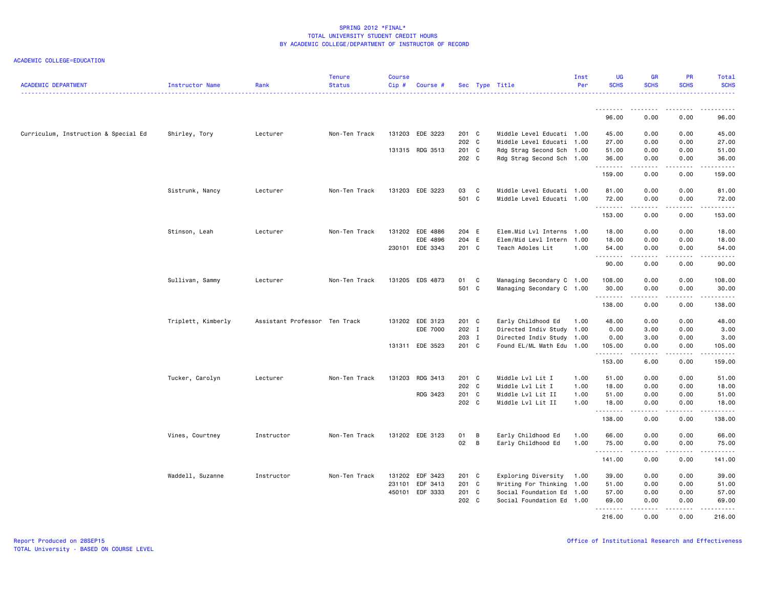| <b>ACADEMIC DEPARTMENT</b>           | Instructor Name    | Rank                          | <b>Tenure</b><br><b>Status</b> | <b>Course</b><br>Cip# | Course #        |                |                            | Sec Type Title                                         | Inst<br>Per | <b>UG</b><br><b>SCHS</b> | <b>GR</b><br><b>SCHS</b> | <b>PR</b><br><b>SCHS</b> | Total<br><b>SCHS</b>                                                                                                            |
|--------------------------------------|--------------------|-------------------------------|--------------------------------|-----------------------|-----------------|----------------|----------------------------|--------------------------------------------------------|-------------|--------------------------|--------------------------|--------------------------|---------------------------------------------------------------------------------------------------------------------------------|
|                                      |                    |                               |                                |                       |                 |                |                            |                                                        |             | .                        | . <b>.</b>               | .                        | .                                                                                                                               |
|                                      |                    |                               |                                |                       |                 |                |                            |                                                        |             | 96.00                    | 0.00                     | 0.00                     | 96.00                                                                                                                           |
| Curriculum, Instruction & Special Ed | Shirley, Tory      | Lecturer                      | Non-Ten Track                  |                       | 131203 EDE 3223 | 201 C          |                            | Middle Level Educati 1.00                              |             | 45.00                    | 0.00                     | 0.00                     | 45.00                                                                                                                           |
|                                      |                    |                               |                                |                       | 131315 RDG 3513 | 202 C<br>201 C |                            | Middle Level Educati 1.00<br>Rdg Strag Second Sch 1.00 |             | 27.00<br>51.00           | 0.00<br>0.00             | 0.00<br>0.00             | 27.00<br>51.00                                                                                                                  |
|                                      |                    |                               |                                |                       |                 | 202 C          |                            | Rdg Strag Second Sch 1.00                              |             | 36.00                    | 0.00                     | 0.00                     | 36.00                                                                                                                           |
|                                      |                    |                               |                                |                       |                 |                |                            |                                                        |             | .<br>159.00              | .<br>0.00                | .<br>0.00                | 159.00                                                                                                                          |
|                                      | Sistrunk, Nancy    | Lecturer                      | Non-Ten Track                  |                       | 131203 EDE 3223 | 03             | $\overline{\phantom{a}}$ C | Middle Level Educati 1.00                              |             | 81.00                    | 0.00                     | 0.00                     | 81.00                                                                                                                           |
|                                      |                    |                               |                                |                       |                 | 501 C          |                            | Middle Level Educati 1.00                              |             | 72.00                    | 0.00                     | 0.00                     | 72.00                                                                                                                           |
|                                      |                    |                               |                                |                       |                 |                |                            |                                                        |             | <u>.</u>                 | .                        | .                        | .                                                                                                                               |
|                                      |                    |                               |                                |                       |                 |                |                            |                                                        |             | 153.00                   | 0.00                     | 0.00                     | 153.00                                                                                                                          |
|                                      | Stinson, Leah      | Lecturer                      | Non-Ten Track                  |                       | 131202 EDE 4886 | 204 E          |                            | Elem.Mid Lvl Interns 1.00                              |             | 18.00                    | 0.00                     | 0.00                     | 18.00                                                                                                                           |
|                                      |                    |                               |                                |                       | EDE 4896        | 204 E          |                            | Elem/Mid Levl Intern 1.00                              |             | 18.00                    | 0.00                     | 0.00                     | 18.00                                                                                                                           |
|                                      |                    |                               |                                |                       | 230101 EDE 3343 | 201 C          |                            | Teach Adoles Lit                                       | 1.00        | 54.00<br>.               | 0.00<br>.                | 0.00<br>.                | 54.00<br>.                                                                                                                      |
|                                      |                    |                               |                                |                       |                 |                |                            |                                                        |             | 90.00                    | 0.00                     | 0.00                     | 90.00                                                                                                                           |
|                                      | Sullivan, Sammy    | Lecturer                      | Non-Ten Track                  |                       | 131205 EDS 4873 | 01 C           |                            | Managing Secondary C 1.00                              |             | 108.00                   | 0.00                     | 0.00                     | 108.00                                                                                                                          |
|                                      |                    |                               |                                |                       |                 | 501 C          |                            | Managing Secondary C 1.00                              |             | 30.00                    | 0.00                     | 0.00                     | 30.00                                                                                                                           |
|                                      |                    |                               |                                |                       |                 |                |                            |                                                        |             | .<br>138.00              | 0.00                     | .<br>0.00                | .<br>138.00                                                                                                                     |
|                                      | Triplett, Kimberly | Assistant Professor Ten Track |                                |                       | 131202 EDE 3123 | 201 C          |                            | Early Childhood Ed                                     | 1.00        | 48.00                    | 0.00                     | 0.00                     | 48.00                                                                                                                           |
|                                      |                    |                               |                                |                       | EDE 7000        | 202 I          |                            | Directed Indiv Study 1.00                              |             | 0.00                     | 3.00                     | 0.00                     | 3.00                                                                                                                            |
|                                      |                    |                               |                                |                       |                 | 203 I          |                            | Directed Indiv Study 1.00                              |             | 0.00                     | 3.00                     | 0.00                     | 3.00                                                                                                                            |
|                                      |                    |                               |                                |                       | 131311 EDE 3523 | 201 C          |                            | Found EL/ML Math Edu 1.00                              |             | 105.00                   | 0.00                     | 0.00                     | 105.00                                                                                                                          |
|                                      |                    |                               |                                |                       |                 |                |                            |                                                        |             | .<br>153.00              | .<br>6.00                | .<br>0.00                | $\begin{array}{cccccccccc} \bullet & \bullet & \bullet & \bullet & \bullet & \bullet & \bullet & \bullet \end{array}$<br>159.00 |
|                                      | Tucker, Carolyn    | Lecturer                      | Non-Ten Track                  |                       | 131203 RDG 3413 | 201 C          |                            | Middle Lvl Lit I                                       | 1.00        | 51.00                    | 0.00                     | 0.00                     | 51.00                                                                                                                           |
|                                      |                    |                               |                                |                       |                 | 202 C          |                            | Middle Lvl Lit I                                       | 1.00        | 18.00                    | 0.00                     | 0.00                     | 18.00                                                                                                                           |
|                                      |                    |                               |                                |                       | RDG 3423        | 201 C          |                            | Middle Lvl Lit II                                      | 1.00        | 51.00                    | 0.00                     | 0.00                     | 51.00                                                                                                                           |
|                                      |                    |                               |                                |                       |                 | 202 C          |                            | Middle Lvl Lit II                                      | 1.00        | 18.00                    | 0.00                     | 0.00                     | 18.00                                                                                                                           |
|                                      |                    |                               |                                |                       |                 |                |                            |                                                        |             | .<br>138.00              | .<br>0.00                | .<br>0.00                | .<br>138.00                                                                                                                     |
|                                      | Vines, Courtney    | Instructor                    | Non-Ten Track                  |                       | 131202 EDE 3123 | 01             | B                          | Early Childhood Ed                                     | 1.00        | 66.00                    | 0.00                     | 0.00                     | 66.00                                                                                                                           |
|                                      |                    |                               |                                |                       |                 | 02             | $\overline{B}$             | Early Childhood Ed                                     | 1.00        | 75.00                    | 0.00                     | 0.00                     | 75.00                                                                                                                           |
|                                      |                    |                               |                                |                       |                 |                |                            |                                                        |             | <u>.</u>                 |                          | .                        | .                                                                                                                               |
|                                      |                    |                               |                                |                       |                 |                |                            |                                                        |             | 141.00                   | 0.00                     | 0.00                     | 141.00                                                                                                                          |
|                                      | Waddell, Suzanne   | Instructor                    | Non-Ten Track                  |                       | 131202 EDF 3423 | 201 C          |                            | Exploring Diversity                                    | 1.00        | 39.00                    | 0.00                     | 0.00                     | 39.00                                                                                                                           |
|                                      |                    |                               |                                | 231101                | EDF 3413        | 201 C          |                            | Writing For Thinking 1.00                              |             | 51.00                    | 0.00                     | 0.00                     | 51.00                                                                                                                           |
|                                      |                    |                               |                                |                       | 450101 EDF 3333 | 201 C          |                            | Social Foundation Ed 1.00                              |             | 57.00                    | 0.00                     | 0.00                     | 57.00                                                                                                                           |
|                                      |                    |                               |                                |                       |                 | 202 C          |                            | Social Foundation Ed 1.00                              |             | 69.00<br><u>.</u>        | 0.00<br>.                | 0.00<br>.                | 69.00<br>.                                                                                                                      |
|                                      |                    |                               |                                |                       |                 |                |                            |                                                        |             | 216.00                   | 0.00                     | 0.00                     | 216,00                                                                                                                          |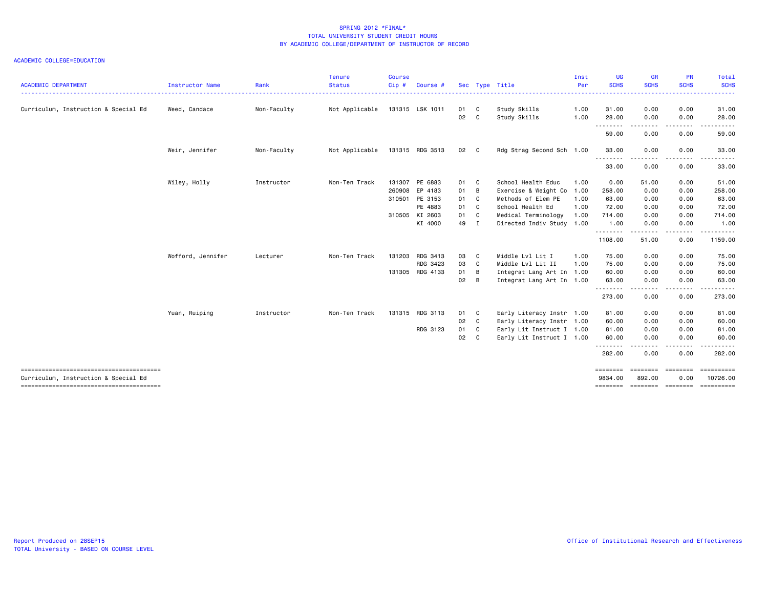| <b>ACADEMIC DEPARTMENT</b>                                                     | Instructor Name   | Rank        | Tenure<br><b>Status</b> | <b>Course</b><br>Cip# | Course #        |      |                         | Sec Type Title            | Inst<br>Per | <b>UG</b><br><b>SCHS</b> | <b>GR</b><br><b>SCHS</b>    | <b>PR</b><br><b>SCHS</b> | Total<br><b>SCHS</b>                                                                                                                                          |
|--------------------------------------------------------------------------------|-------------------|-------------|-------------------------|-----------------------|-----------------|------|-------------------------|---------------------------|-------------|--------------------------|-----------------------------|--------------------------|---------------------------------------------------------------------------------------------------------------------------------------------------------------|
|                                                                                |                   |             |                         |                       |                 |      |                         |                           |             |                          |                             |                          | <u>.</u>                                                                                                                                                      |
| Curriculum, Instruction & Special Ed                                           | Weed, Candace     | Non-Faculty | Not Applicable          |                       | 131315 LSK 1011 | 01   | $\overline{\mathbf{C}}$ | Study Skills              | 1.00        | 31.00                    | 0.00                        | 0.00                     | 31.00                                                                                                                                                         |
|                                                                                |                   |             |                         |                       |                 | 02   | C.                      | Study Skills              | 1.00        | 28.00                    | 0.00                        | 0.00                     | 28.00                                                                                                                                                         |
|                                                                                |                   |             |                         |                       |                 |      |                         |                           |             | .<br>59.00               | -----<br>0.00               | .<br>0.00                | $\frac{1}{2} \left( \frac{1}{2} \right) \left( \frac{1}{2} \right) \left( \frac{1}{2} \right) \left( \frac{1}{2} \right) \left( \frac{1}{2} \right)$<br>59.00 |
|                                                                                | Weir, Jennifer    | Non-Faculty | Not Applicable          |                       | 131315 RDG 3513 | 02 C |                         | Rdg Strag Second Sch 1.00 |             | 33.00<br>--------        | 0.00                        | 0.00<br>.                | 33.00<br>.                                                                                                                                                    |
|                                                                                |                   |             |                         |                       |                 |      |                         |                           |             | 33.00                    | -----<br>0.00               | 0.00                     | 33.00                                                                                                                                                         |
|                                                                                | Wiley, Holly      | Instructor  | Non-Ten Track           |                       | 131307 PE 6883  | 01 C |                         | School Health Educ        | 1.00        | 0.00                     | 51.00                       | 0.00                     | 51.00                                                                                                                                                         |
|                                                                                |                   |             |                         |                       | 260908 EP 4183  | 01   | $\overline{B}$          | Exercise & Weight Co      | 1.00        | 258.00                   | 0.00                        | 0.00                     | 258.00                                                                                                                                                        |
|                                                                                |                   |             |                         | 310501                | PE 3153         | 01   | C                       | Methods of Elem PE        | 1.00        | 63.00                    | 0.00                        | 0.00                     | 63.00                                                                                                                                                         |
|                                                                                |                   |             |                         |                       | PE 4883         | 01 C |                         | School Health Ed          | 1.00        | 72.00                    | 0.00                        | 0.00                     | 72.00                                                                                                                                                         |
|                                                                                |                   |             |                         |                       | 310505 KI 2603  | 01 C |                         | Medical Terminology       | 1.00        | 714.00                   | 0.00                        | 0.00                     | 714.00                                                                                                                                                        |
|                                                                                |                   |             |                         |                       | KI 4000         | 49 I |                         | Directed Indiv Study 1.00 |             | 1.00                     | 0.00                        | 0.00                     | 1.00                                                                                                                                                          |
|                                                                                |                   |             |                         |                       |                 |      |                         |                           |             | <u>.</u><br>1108.00      | 51.00                       | 0.00                     | 1159.00                                                                                                                                                       |
|                                                                                | Wofford, Jennifer | Lecturer    | Non-Ten Track           |                       | 131203 RDG 3413 | 03   | C                       | Middle Lvl Lit I          | 1.00        | 75.00                    | 0.00                        | 0.00                     | 75.00                                                                                                                                                         |
|                                                                                |                   |             |                         |                       | RDG 3423        | 03   | C.                      | Middle Lvl Lit II         | 1.00        | 75.00                    | 0.00                        | 0.00                     | 75.00                                                                                                                                                         |
|                                                                                |                   |             |                         |                       | 131305 RDG 4133 | 01   | B                       | Integrat Lang Art In 1.00 |             | 60.00                    | 0.00                        | 0.00                     | 60.00                                                                                                                                                         |
|                                                                                |                   |             |                         |                       |                 | 02   | B                       | Integrat Lang Art In 1.00 |             | 63.00                    | 0.00                        | 0.00                     | 63.00                                                                                                                                                         |
|                                                                                |                   |             |                         |                       |                 |      |                         |                           |             | .<br>273.00              | -----<br>0.00               | -----<br>0.00            | .<br>273.00                                                                                                                                                   |
|                                                                                | Yuan, Ruiping     | Instructor  | Non-Ten Track           |                       | 131315 RDG 3113 | 01   | C                       | Early Literacy Instr 1.00 |             | 81.00                    | 0.00                        | 0.00                     | 81.00                                                                                                                                                         |
|                                                                                |                   |             |                         |                       |                 | 02 C |                         | Early Literacy Instr 1.00 |             | 60.00                    | 0.00                        | 0.00                     | 60.00                                                                                                                                                         |
|                                                                                |                   |             |                         |                       | RDG 3123        | 01 C |                         | Early Lit Instruct I 1.00 |             | 81.00                    | 0.00                        | 0.00                     | 81.00                                                                                                                                                         |
|                                                                                |                   |             |                         |                       |                 | 02   | C.                      | Early Lit Instruct I 1.00 |             | 60.00                    | 0.00                        | 0.00                     | 60.00                                                                                                                                                         |
|                                                                                |                   |             |                         |                       |                 |      |                         |                           |             | .<br>282.00              | 0.00                        | 0.00                     | 282.00                                                                                                                                                        |
|                                                                                |                   |             |                         |                       |                 |      |                         |                           |             | ========                 | ========                    | ========                 | ==========                                                                                                                                                    |
| Curriculum, Instruction & Special Ed<br>-------------------------------------- |                   |             |                         |                       |                 |      |                         |                           |             | 9834.00<br>========      | 892.00<br>--------- ------- | 0.00                     | 10726.00<br>----------                                                                                                                                        |
|                                                                                |                   |             |                         |                       |                 |      |                         |                           |             |                          |                             |                          |                                                                                                                                                               |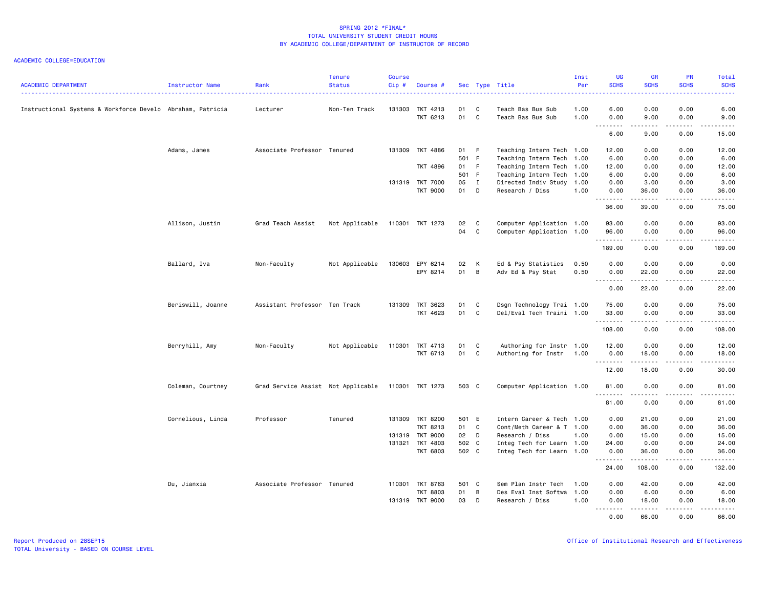| <b>ACADEMIC DEPARTMENT</b>                                 | Instructor Name   | Rank                               | <b>Tenure</b><br><b>Status</b> | <b>Course</b><br>Cip# | Course #        |       |                            | Sec Type Title            | Inst<br>Per | <b>UG</b><br><b>SCHS</b>                                                                                                          | <b>GR</b><br><b>SCHS</b>        | <b>PR</b><br><b>SCHS</b>       | Total<br><b>SCHS</b>                                                                                                                                          |
|------------------------------------------------------------|-------------------|------------------------------------|--------------------------------|-----------------------|-----------------|-------|----------------------------|---------------------------|-------------|-----------------------------------------------------------------------------------------------------------------------------------|---------------------------------|--------------------------------|---------------------------------------------------------------------------------------------------------------------------------------------------------------|
| Instructional Systems & Workforce Develo Abraham, Patricia |                   | Lecturer                           | Non-Ten Track                  |                       | 131303 TKT 4213 | 01    | $\overline{\phantom{a}}$ C | Teach Bas Bus Sub         | .<br>1.00   | 6.00                                                                                                                              | 0.00                            | 0.00                           | .<br>6.00                                                                                                                                                     |
|                                                            |                   |                                    |                                |                       | TKT 6213        | 01 C  |                            | Teach Bas Bus Sub         | 1.00        | 0.00                                                                                                                              | 9.00                            | 0.00                           | 9.00                                                                                                                                                          |
|                                                            |                   |                                    |                                |                       |                 |       |                            |                           |             | $\frac{1}{2} \left( \frac{1}{2} \right) \left( \frac{1}{2} \right) \left( \frac{1}{2} \right) \left( \frac{1}{2} \right)$<br>6.00 | 9.00                            | $\omega$ is a $\omega$<br>0.00 | .<br>15.00                                                                                                                                                    |
|                                                            | Adams, James      | Associate Professor Tenured        |                                |                       | 131309 TKT 4886 | 01 F  |                            | Teaching Intern Tech 1.00 |             | 12.00                                                                                                                             | 0.00                            | 0.00                           | 12.00                                                                                                                                                         |
|                                                            |                   |                                    |                                |                       |                 | 501 F |                            | Teaching Intern Tech 1.00 |             | 6.00                                                                                                                              | 0.00                            | 0.00                           | 6.00                                                                                                                                                          |
|                                                            |                   |                                    |                                |                       | TKT 4896        | 01 F  |                            | Teaching Intern Tech 1.00 |             | 12.00                                                                                                                             | 0.00                            | 0.00                           | 12.00                                                                                                                                                         |
|                                                            |                   |                                    |                                |                       |                 | 501 F |                            | Teaching Intern Tech 1.00 |             | 6.00                                                                                                                              | 0.00                            | 0.00                           | 6.00                                                                                                                                                          |
|                                                            |                   |                                    |                                |                       | 131319 TKT 7000 | 05    | $\blacksquare$             | Directed Indiv Study 1.00 |             | 0.00                                                                                                                              | 3.00                            | 0.00                           | 3.00                                                                                                                                                          |
|                                                            |                   |                                    |                                |                       | <b>TKT 9000</b> | 01    | D                          | Research / Diss           | 1.00        | 0.00<br><b></b>                                                                                                                   | 36.00<br>$\omega$ is a set of   | 0.00<br>.                      | 36.00<br>.                                                                                                                                                    |
|                                                            |                   |                                    |                                |                       |                 |       |                            |                           |             | 36.00                                                                                                                             | 39.00                           | 0.00                           | 75.00                                                                                                                                                         |
|                                                            | Allison, Justin   | Grad Teach Assist                  | Not Applicable                 |                       | 110301 TKT 1273 | 02    | $\mathbf{C}$               | Computer Application 1.00 |             | 93.00                                                                                                                             | 0.00                            | 0.00                           | 93.00                                                                                                                                                         |
|                                                            |                   |                                    |                                |                       |                 | 04    | $\mathbf{C}$               | Computer Application 1.00 |             | 96.00<br>.                                                                                                                        | 0.00<br>.                       | 0.00<br>.                      | 96.00<br>.                                                                                                                                                    |
|                                                            |                   |                                    |                                |                       |                 |       |                            |                           |             | 189.00                                                                                                                            | 0.00                            | 0.00                           | 189.00                                                                                                                                                        |
|                                                            | Ballard, Iva      | Non-Faculty                        | Not Applicable                 |                       | 130603 EPY 6214 | 02    | K                          | Ed & Psy Statistics       | 0.50        | 0.00                                                                                                                              | 0.00                            | 0.00                           | 0.00                                                                                                                                                          |
|                                                            |                   |                                    |                                |                       | EPY 8214        | 01 B  |                            | Adv Ed & Psy Stat         | 0.50        | 0.00                                                                                                                              | 22.00                           | 0.00                           | 22.00                                                                                                                                                         |
|                                                            |                   |                                    |                                |                       |                 |       |                            |                           |             | .                                                                                                                                 | .                               | .                              | .                                                                                                                                                             |
|                                                            |                   |                                    |                                |                       |                 |       |                            |                           |             | 0.00                                                                                                                              | 22.00                           | 0.00                           | 22.00                                                                                                                                                         |
|                                                            | Beriswill, Joanne | Assistant Professor Ten Track      |                                |                       | 131309 TKT 3623 | 01    | $\mathbf{C}$               | Dsgn Technology Trai 1.00 |             | 75.00                                                                                                                             | 0.00                            | 0.00                           | 75.00                                                                                                                                                         |
|                                                            |                   |                                    |                                |                       | TKT 4623        | 01 C  |                            | Del/Eval Tech Traini 1.00 |             | 33.00<br>.                                                                                                                        | 0.00<br><b>.</b>                | 0.00<br>.                      | 33.00<br>.                                                                                                                                                    |
|                                                            |                   |                                    |                                |                       |                 |       |                            |                           |             | 108.00                                                                                                                            | 0.00                            | 0.00                           | 108.00                                                                                                                                                        |
|                                                            | Berryhill, Amy    | Non-Faculty                        | Not Applicable                 | 110301                | TKT 4713        | 01    | $\overline{\phantom{a}}$ C | Authoring for Instr 1.00  |             | 12.00                                                                                                                             | 0.00                            | 0.00                           | 12.00                                                                                                                                                         |
|                                                            |                   |                                    |                                |                       | TKT 6713        | 01 C  |                            | Authoring for Instr       | 1.00        | 0.00<br>.                                                                                                                         | 18.00<br><b><i><u>.</u></i></b> | 0.00<br>$\sim$ $\sim$ $\sim$   | 18.00<br>$\frac{1}{2} \left( \frac{1}{2} \right) \left( \frac{1}{2} \right) \left( \frac{1}{2} \right) \left( \frac{1}{2} \right) \left( \frac{1}{2} \right)$ |
|                                                            |                   |                                    |                                |                       |                 |       |                            |                           |             | 12.00                                                                                                                             | 18.00                           | 0.00                           | 30.00                                                                                                                                                         |
|                                                            | Coleman, Courtney | Grad Service Assist Not Applicable |                                |                       | 110301 TKT 1273 | 503 C |                            | Computer Application 1.00 |             | 81.00<br>.                                                                                                                        | 0.00                            | 0.00<br>.                      | 81.00<br>$\sim$ $\sim$ $\sim$ $\sim$                                                                                                                          |
|                                                            |                   |                                    |                                |                       |                 |       |                            |                           |             | 81.00                                                                                                                             | 0.00                            | 0.00                           | 81.00                                                                                                                                                         |
|                                                            | Cornelious, Linda | Professor                          | Tenured                        |                       | 131309 TKT 8200 | 501 E |                            | Intern Career & Tech 1.00 |             | 0.00                                                                                                                              | 21.00                           | 0.00                           | 21.00                                                                                                                                                         |
|                                                            |                   |                                    |                                |                       | <b>TKT 8213</b> | 01 C  |                            | Cont/Meth Career & T 1.00 |             | 0.00                                                                                                                              | 36.00                           | 0.00                           | 36.00                                                                                                                                                         |
|                                                            |                   |                                    |                                |                       | 131319 TKT 9000 | 02 D  |                            | Research / Diss           | 1.00        | 0.00                                                                                                                              | 15.00                           | 0.00                           | 15.00                                                                                                                                                         |
|                                                            |                   |                                    |                                |                       | 131321 TKT 4803 | 502 C |                            | Integ Tech for Learn 1.00 |             | 24.00                                                                                                                             | 0.00                            | 0.00                           | 24.00                                                                                                                                                         |
|                                                            |                   |                                    |                                |                       | TKT 6803        | 502 C |                            | Integ Tech for Learn 1.00 |             | 0.00<br>.                                                                                                                         | 36.00<br>. <b>.</b>             | 0.00<br>.                      | 36.00                                                                                                                                                         |
|                                                            |                   |                                    |                                |                       |                 |       |                            |                           |             | 24.00                                                                                                                             | 108.00                          | 0.00                           | 132.00                                                                                                                                                        |
|                                                            | Du, Jianxia       | Associate Professor Tenured        |                                |                       | 110301 TKT 8763 | 501 C |                            | Sem Plan Instr Tech       | 1.00        | 0.00                                                                                                                              | 42.00                           | 0.00                           | 42.00                                                                                                                                                         |
|                                                            |                   |                                    |                                |                       | <b>TKT 8803</b> | 01    | B                          | Des Eval Inst Softwa      | 1.00        | 0.00                                                                                                                              | 6.00                            | 0.00                           | 6.00                                                                                                                                                          |
|                                                            |                   |                                    |                                |                       | 131319 TKT 9000 | 03    | $\Box$                     | Research / Diss           | 1.00        | 0.00<br>.                                                                                                                         | 18.00                           | 0.00<br>.                      | 18.00<br>$\frac{1}{2}$                                                                                                                                        |
|                                                            |                   |                                    |                                |                       |                 |       |                            |                           |             | 0.00                                                                                                                              | 66.00                           | 0.00                           | 66.00                                                                                                                                                         |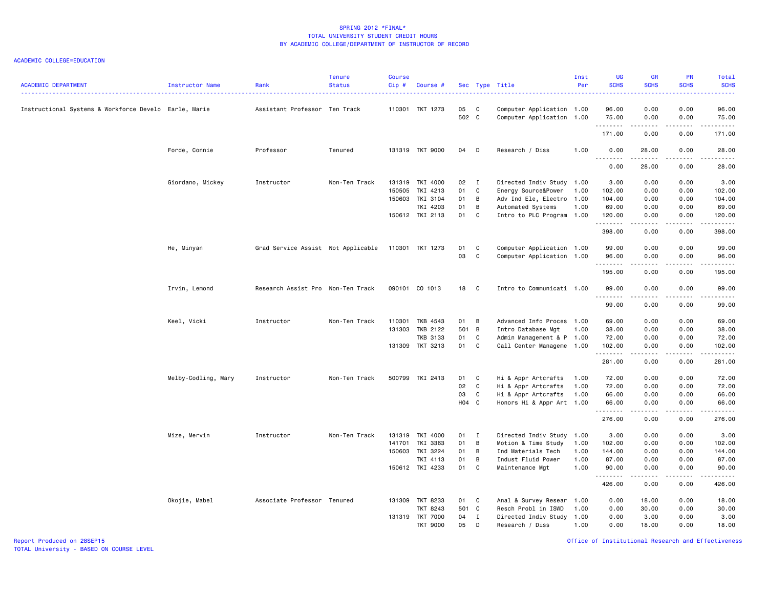### ACADEMIC COLLEGE=EDUCATION

| <b>ACADEMIC DEPARTMENT</b>                            | <b>Instructor Name</b> | Rank                               | <b>Tenure</b><br><b>Status</b> | <b>Course</b><br>Cip# | Course #                    |             |                     | Sec Type Title                                         | Inst<br>Per  | <b>UG</b><br><b>SCHS</b>          | <b>GR</b><br><b>SCHS</b><br>. | PR<br><b>SCHS</b><br>. | Total<br><b>SCHS</b><br>. |
|-------------------------------------------------------|------------------------|------------------------------------|--------------------------------|-----------------------|-----------------------------|-------------|---------------------|--------------------------------------------------------|--------------|-----------------------------------|-------------------------------|------------------------|---------------------------|
| Instructional Systems & Workforce Develo Earle, Marie |                        | Assistant Professor Ten Track      |                                |                       | 110301 TKT 1273             | 05<br>502 C | C                   | Computer Application 1.00<br>Computer Application 1.00 |              | 96.00<br>75.00<br>$- - - - - - -$ | 0.00<br>0.00<br>.             | 0.00<br>0.00<br>.      | 96.00<br>75.00<br>.       |
|                                                       |                        |                                    |                                |                       |                             |             |                     |                                                        |              | 171.00                            | 0.00                          | 0.00                   | 171.00                    |
|                                                       | Forde, Connie          | Professor                          | Tenured                        |                       | 131319 TKT 9000             | 04          | D                   | Research / Diss                                        | 1.00         | 0.00<br>.                         | 28.00                         | 0.00                   | 28.00<br>.                |
|                                                       |                        |                                    |                                |                       |                             |             |                     |                                                        |              | 0.00                              | 28.00                         | 0.00                   | 28.00                     |
|                                                       | Giordano, Mickey       | Instructor                         | Non-Ten Track                  | 150505                | 131319 TKI 4000<br>TKI 4213 | 02<br>01    | $\blacksquare$<br>C | Directed Indiv Study<br>Energy Source&Power            | 1.00<br>1.00 | 3.00<br>102.00                    | 0.00<br>0.00                  | 0.00<br>0.00           | 3.00<br>102.00            |
|                                                       |                        |                                    |                                |                       | 150603 TKI 3104             | 01          | В                   | Adv Ind Ele, Electro                                   | 1.00         | 104.00                            | 0.00                          | 0.00                   | 104.00                    |
|                                                       |                        |                                    |                                |                       | TKI 4203                    | 01          | B                   | Automated Systems                                      | 1.00         | 69.00                             | 0.00                          | 0.00                   | 69.00                     |
|                                                       |                        |                                    |                                |                       | 150612 TKI 2113             | 01          | C                   | Intro to PLC Program 1.00                              |              | 120.00<br>.                       | 0.00<br>المتماما              | 0.00<br>.              | 120.00<br>.               |
|                                                       |                        |                                    |                                |                       |                             |             |                     |                                                        |              | 398.00                            | 0.00                          | 0.00                   | 398.00                    |
|                                                       | He, Minyan             | Grad Service Assist Not Applicable |                                |                       | 110301 TKT 1273             | 01          | C                   | Computer Application 1.00                              |              | 99.00                             | 0.00                          | 0.00                   | 99.00                     |
|                                                       |                        |                                    |                                |                       |                             | 03          | C                   | Computer Application 1.00                              |              | 96.00<br>.                        | 0.00<br>.                     | 0.00<br>.              | 96.00<br>.                |
|                                                       |                        |                                    |                                |                       |                             |             |                     |                                                        |              | 195.00                            | 0.00                          | 0.00                   | 195.00                    |
|                                                       | Irvin, Lemond          | Research Assist Pro Non-Ten Track  |                                |                       | 090101 CO 1013              | 18          | C                   | Intro to Communicati 1.00                              |              | 99.00<br>.                        | 0.00<br>.                     | 0.00<br>.              | 99.00<br>.                |
|                                                       |                        |                                    |                                |                       |                             |             |                     |                                                        |              | 99.00                             | 0.00                          | 0.00                   | 99.00                     |
|                                                       | Keel, Vicki            | Instructor                         | Non-Ten Track                  | 110301                | TKB 4543                    | 01          | B                   | Advanced Info Proces 1.00                              |              | 69.00                             | 0.00                          | 0.00                   | 69.00                     |
|                                                       |                        |                                    |                                |                       | 131303 TKB 2122             | 501 B       |                     | Intro Database Mgt                                     | 1.00         | 38.00                             | 0.00                          | 0.00                   | 38.00                     |
|                                                       |                        |                                    |                                |                       | <b>TKB 3133</b>             | 01          | C                   | Admin Management & P 1.00                              |              | 72.00                             | 0.00                          | 0.00                   | 72.00                     |
|                                                       |                        |                                    |                                |                       | 131309 TKT 3213             | 01          | $\mathbf{C}$        | Call Center Manageme 1.00                              |              | 102.00<br>.                       | 0.00<br>.                     | 0.00<br>.              | 102.00                    |
|                                                       |                        |                                    |                                |                       |                             |             |                     |                                                        |              | 281.00                            | 0.00                          | 0.00                   | 281.00                    |
|                                                       | Melby-Codling, Mary    | Instructor                         | Non-Ten Track                  |                       | 500799 TKI 2413             | 01          | C                   | Hi & Appr Artcrafts                                    | 1.00         | 72.00                             | 0.00                          | 0.00                   | 72.00                     |
|                                                       |                        |                                    |                                |                       |                             | 02          | C                   | Hi & Appr Artcrafts                                    | 1.00         | 72.00                             | 0.00                          | 0.00                   | 72.00                     |
|                                                       |                        |                                    |                                |                       |                             | 03<br>H04 C | C                   | Hi & Appr Artcrafts<br>Honors Hi & Appr Art 1.00       | 1.00         | 66.00<br>66.00                    | 0.00<br>0.00                  | 0.00<br>0.00           | 66.00<br>66.00            |
|                                                       |                        |                                    |                                |                       |                             |             |                     |                                                        |              |                                   |                               |                        | وبالمستريث                |
|                                                       |                        |                                    |                                |                       |                             |             |                     |                                                        |              | 276.00                            | 0.00                          | 0.00                   | 276.00                    |
|                                                       | Mize, Mervin           | Instructor                         | Non-Ten Track                  |                       | 131319 TKI 4000             | 01          | $\blacksquare$      | Directed Indiv Study                                   | 1.00         | 3.00                              | 0.00                          | 0.00                   | 3.00                      |
|                                                       |                        |                                    |                                | 141701                | TKI 3363                    | 01          | B                   | Motion & Time Study                                    | 1.00         | 102.00                            | 0.00                          | 0.00                   | 102.00                    |
|                                                       |                        |                                    |                                |                       | 150603 TKI 3224             | 01          | B                   | Ind Materials Tech                                     | 1.00         | 144.00                            | 0.00                          | 0.00                   | 144.00                    |
|                                                       |                        |                                    |                                |                       | TKI 4113                    | 01          | B                   | Indust Fluid Power                                     | 1.00         | 87.00                             | 0.00                          | 0.00                   | 87.00                     |
|                                                       |                        |                                    |                                |                       | 150612 TKI 4233             | 01          | $\mathbf{C}$        | Maintenance Mgt                                        | 1.00         | 90.00<br>.                        | 0.00<br>.                     | 0.00<br>.              | 90.00<br>.                |
|                                                       |                        |                                    |                                |                       |                             |             |                     |                                                        |              | 426.00                            | 0.00                          | 0.00                   | 426.00                    |
|                                                       | Okojie, Mabel          | Associate Professor Tenured        |                                |                       | 131309 TKT 8233             | 01          | C                   | Anal & Survey Resear                                   | 1.00         | 0.00                              | 18.00                         | 0.00                   | 18.00                     |
|                                                       |                        |                                    |                                |                       | TKT 8243                    | 501 C       |                     | Resch Probl in ISWD                                    | 1.00         | 0.00                              | 30.00                         | 0.00                   | 30.00                     |
|                                                       |                        |                                    |                                |                       | 131319 TKT 7000             | 04          | $\blacksquare$      | Directed Indiv Study                                   | 1.00         | 0.00                              | 3.00                          | 0.00                   | 3.00                      |
|                                                       |                        |                                    |                                |                       | <b>TKT 9000</b>             | 05          | D                   | Research / Diss                                        | 1.00         | 0.00                              | 18.00                         | 0.00                   | 18.00                     |

Office of Institutional Research and Effectiveness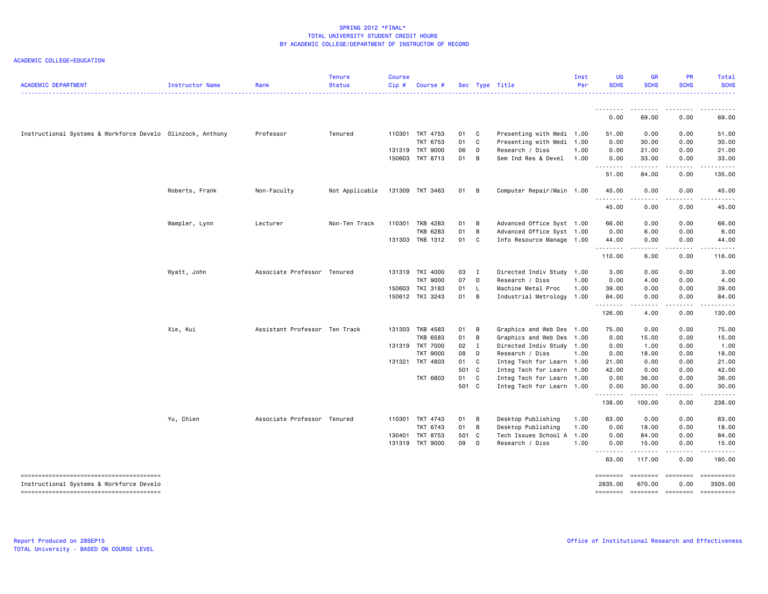| <b>ACADEMIC DEPARTMENT</b>                                 | Instructor Name | Rank                          | <b>Tenure</b><br><b>Status</b> | <b>Course</b><br>Cip# | Course #        |       |                | Sec Type Title            | Inst<br>Per | UG<br><b>SCHS</b> | <b>GR</b><br><b>SCHS</b> | PR<br><b>SCHS</b> | Total<br><b>SCHS</b> |
|------------------------------------------------------------|-----------------|-------------------------------|--------------------------------|-----------------------|-----------------|-------|----------------|---------------------------|-------------|-------------------|--------------------------|-------------------|----------------------|
|                                                            |                 |                               |                                |                       |                 |       |                |                           |             |                   |                          |                   |                      |
|                                                            |                 |                               |                                |                       |                 |       |                |                           |             | --------<br>0.00  | ---------<br>69.00       | <u>.</u><br>0.00  | .<br>69.00           |
| Instructional Systems & Workforce Develo Olinzock, Anthony |                 | Professor                     | Tenured                        |                       | 110301 TKT 4753 | 01    | C              | Presenting with Medi 1.00 |             | 51.00             | 0.00                     | 0.00              | 51.00                |
|                                                            |                 |                               |                                |                       | <b>TKT 6753</b> | 01    | C              | Presenting with Medi 1.00 |             | 0.00              | 30.00                    | 0.00              | 30.00                |
|                                                            |                 |                               |                                | 131319                | <b>TKT 9000</b> | 06    | D              | Research / Diss           | 1.00        | 0.00              | 21.00                    | 0.00              | 21.00                |
|                                                            |                 |                               |                                |                       | 150603 TKT 8713 | 01    | $\overline{B}$ | Sem Ind Res & Devel       | 1.00        | 0.00<br>.         | 33.00<br>.               | 0.00<br>.         | 33.00<br>.           |
|                                                            |                 |                               |                                |                       |                 |       |                |                           |             | 51.00             | 84.00                    | 0.00              | 135.00               |
|                                                            | Roberts, Frank  | Non-Faculty                   | Not Applicable                 |                       | 131309 TKT 3463 | 01 B  |                | Computer Repair/Main 1.00 |             | 45.00             | 0.00                     | 0.00              | 45.00                |
|                                                            |                 |                               |                                |                       |                 |       |                |                           |             | 45.00             | 0.00                     | 0.00              | 45.00                |
|                                                            | Wampler, Lynn   | Lecturer                      | Non-Ten Track                  | 110301                | TKB 4283        | 01    | $\overline{B}$ | Advanced Office Syst 1.00 |             | 66.00             | 0.00                     | 0.00              | 66.00                |
|                                                            |                 |                               |                                |                       | TKB 6283        | 01    | B              | Advanced Office Syst 1.00 |             | 0.00              | 6.00                     | 0.00              | 6.00                 |
|                                                            |                 |                               |                                |                       | 131303 TKB 1312 | 01    | C              | Info Resource Manage 1.00 |             | 44.00<br>.        | 0.00                     | 0.00              | 44.00                |
|                                                            |                 |                               |                                |                       |                 |       |                |                           |             | 110.00            | 6.00                     | 0.00              | 116.00               |
|                                                            | Wyatt, John     | Associate Professor Tenured   |                                |                       | 131319 TKI 4000 | 03 I  |                | Directed Indiv Study 1.00 |             | 3.00              | 0.00                     | 0.00              | 3.00                 |
|                                                            |                 |                               |                                |                       | <b>TKT 9000</b> | 07    | D              | Research / Diss           | 1.00        | 0.00              | 4.00                     | 0.00              | 4.00                 |
|                                                            |                 |                               |                                |                       | 150603 TKI 3183 | 01    | - L            | Machine Metal Proc        | 1.00        | 39.00             | 0.00                     | 0.00              | 39.00                |
|                                                            |                 |                               |                                |                       | 150612 TKI 3243 | 01    | $\overline{B}$ | Industrial Metrology 1.00 |             | 84.00<br>.        | 0.00                     | 0.00              | 84.00                |
|                                                            |                 |                               |                                |                       |                 |       |                |                           |             | 126.00            | 4.00                     | 0.00              | 130.00               |
|                                                            | Xie, Kui        | Assistant Professor Ten Track |                                |                       | 131303 TKB 4583 | 01    | $\overline{B}$ | Graphics and Web Des 1.00 |             | 75.00             | 0.00                     | 0.00              | 75.00                |
|                                                            |                 |                               |                                |                       | <b>TKB 6583</b> | 01    | $\overline{B}$ | Graphics and Web Des 1.00 |             | 0.00              | 15.00                    | 0.00              | 15.00                |
|                                                            |                 |                               |                                |                       | 131319 TKT 7000 | 02    | $\mathbf{I}$   | Directed Indiv Study 1.00 |             | 0.00              | 1.00                     | 0.00              | 1.00                 |
|                                                            |                 |                               |                                |                       | <b>TKT 9000</b> | 08    | D              | Research / Diss           | 1.00        | 0.00              | 18.00                    | 0.00              | 18.00                |
|                                                            |                 |                               |                                |                       | 131321 TKT 4803 | 01    | C.             | Integ Tech for Learn 1.00 |             | 21.00             | 0.00                     | 0.00              | 21.00                |
|                                                            |                 |                               |                                |                       |                 | 501 C |                | Integ Tech for Learn 1.00 |             | 42.00             | 0.00                     | 0.00              | 42.00                |
|                                                            |                 |                               |                                |                       | <b>TKT 6803</b> | 01 C  |                | Integ Tech for Learn 1.00 |             | 0.00              | 36.00                    | 0.00              | 36.00                |
|                                                            |                 |                               |                                |                       |                 | 501 C |                | Integ Tech for Learn 1.00 |             | 0.00<br>.         | 30.00<br>.               | 0.00<br>.         | 30.00<br>.           |
|                                                            |                 |                               |                                |                       |                 |       |                |                           |             | 138.00            | 100.00                   | 0.00              | 238.00               |
|                                                            | Yu, Chien       | Associate Professor Tenured   |                                |                       | 110301 TKT 4743 | 01    | B              | Desktop Publishing        | 1.00        | 63.00             | 0.00                     | 0.00              | 63.00                |
|                                                            |                 |                               |                                |                       | TKT 6743        | 01 B  |                | Desktop Publishing        | 1.00        | 0.00              | 18.00                    | 0.00              | 18.00                |
|                                                            |                 |                               |                                | 130401                | TKT 8753        | 501 C |                | Tech Issues School A 1.00 |             | 0.00              | 84.00                    | 0.00              | 84.00                |
|                                                            |                 |                               |                                |                       | 131319 TKT 9000 | 09 D  |                | Research / Diss           | 1.00        | 0.00<br>.         | 15.00<br><b></b>         | 0.00<br>.         | 15.00<br>.           |
|                                                            |                 |                               |                                |                       |                 |       |                |                           |             | 63.00             | 117.00                   | 0.00              | 180.00               |
| --------------------------------------                     |                 |                               |                                |                       |                 |       |                |                           |             | ========          | ========                 | ========          |                      |
| Instructional Systems & Workforce Develo                   |                 |                               |                                |                       |                 |       |                |                           |             | 2835.00           | 670.00                   | 0.00              | 3505.00              |
|                                                            |                 |                               |                                |                       |                 |       |                |                           |             | ========          | <b>EDESSERS</b>          | $=$ ========      | ==========           |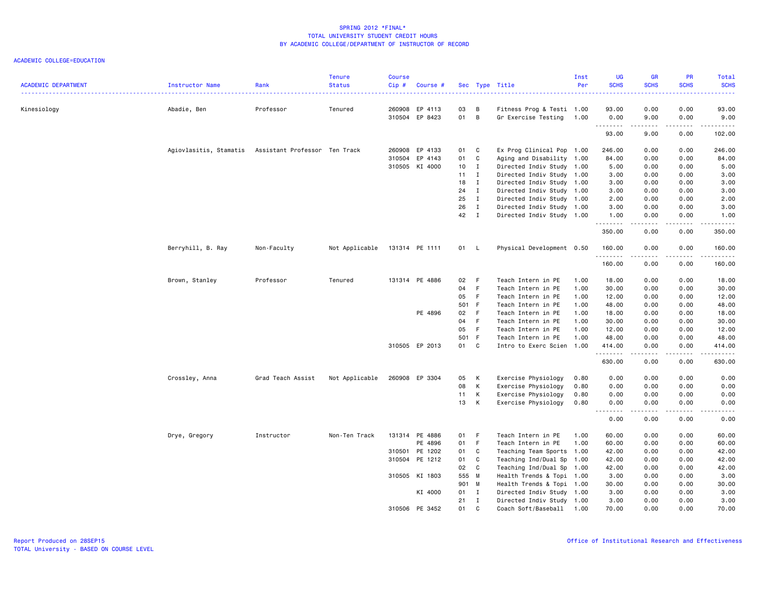| <b>ACADEMIC DEPARTMENT</b> | <b>Instructor Name</b> | Rank                          | <b>Tenure</b><br><b>Status</b> | <b>Course</b><br>Cip# | Course #       |          |              | Sec Type Title            | Inst<br>Per | UG<br><b>SCHS</b> | <b>GR</b><br><b>SCHS</b><br>.                                                                                                                                | PR<br><b>SCHS</b><br>$- - - - - - -$                                                                                                                         | Total<br><b>SCHS</b><br>. |
|----------------------------|------------------------|-------------------------------|--------------------------------|-----------------------|----------------|----------|--------------|---------------------------|-------------|-------------------|--------------------------------------------------------------------------------------------------------------------------------------------------------------|--------------------------------------------------------------------------------------------------------------------------------------------------------------|---------------------------|
| Kinesiology                | Abadie, Ben            | Professor                     | Tenured                        |                       | 260908 EP 4113 | 03<br>01 | B<br>B       | Fitness Prog & Testi 1.00 |             | 93.00             | 0.00                                                                                                                                                         | 0.00                                                                                                                                                         | 93.00<br>9.00             |
|                            |                        |                               |                                |                       | 310504 EP 8423 |          |              | Gr Exercise Testing       | 1.00        | 0.00<br>.         | 9.00<br>.                                                                                                                                                    | 0.00<br>.                                                                                                                                                    | .                         |
|                            |                        |                               |                                |                       |                |          |              |                           |             | 93.00             | 9.00                                                                                                                                                         | 0.00                                                                                                                                                         | 102.00                    |
|                            | Agiovlasitis, Stamatis | Assistant Professor Ten Track |                                |                       | 260908 EP 4133 | 01 C     |              | Ex Prog Clinical Pop 1.00 |             | 246.00            | 0.00                                                                                                                                                         | 0.00                                                                                                                                                         | 246.00                    |
|                            |                        |                               |                                |                       | 310504 EP 4143 | 01       | C            | Aging and Disability 1.00 |             | 84.00             | 0.00                                                                                                                                                         | 0.00                                                                                                                                                         | 84.00                     |
|                            |                        |                               |                                |                       | 310505 KI 4000 | 10       | $\mathbf{I}$ | Directed Indiv Study 1.00 |             | 5.00              | 0.00                                                                                                                                                         | 0.00                                                                                                                                                         | 5.00                      |
|                            |                        |                               |                                |                       |                | 11       | $\mathbf{I}$ | Directed Indiv Study 1.00 |             | 3.00              | 0.00                                                                                                                                                         | 0.00                                                                                                                                                         | 3.00                      |
|                            |                        |                               |                                |                       |                | 18       | $\mathbf{I}$ | Directed Indiv Study 1.00 |             | 3.00              | 0.00                                                                                                                                                         | 0.00                                                                                                                                                         | 3.00                      |
|                            |                        |                               |                                |                       |                | 24       | $\mathbf{I}$ | Directed Indiv Study 1.00 |             | 3.00              | 0.00                                                                                                                                                         | 0.00                                                                                                                                                         | 3.00                      |
|                            |                        |                               |                                |                       |                | 25       | $\mathbf{I}$ | Directed Indiv Study 1.00 |             | 2.00              | 0.00                                                                                                                                                         | 0.00                                                                                                                                                         | 2.00                      |
|                            |                        |                               |                                |                       |                | 26       | $\mathbf{I}$ | Directed Indiv Study 1.00 |             | 3.00              | 0.00                                                                                                                                                         | 0.00                                                                                                                                                         | 3.00                      |
|                            |                        |                               |                                |                       |                | 42       | $\mathbf{I}$ | Directed Indiv Study 1.00 |             | 1.00<br>.         | 0.00<br>.                                                                                                                                                    | 0.00<br>.                                                                                                                                                    | 1.00<br>.                 |
|                            |                        |                               |                                |                       |                |          |              |                           |             | 350.00            | 0.00                                                                                                                                                         | 0.00                                                                                                                                                         | 350.00                    |
|                            | Berryhill, B. Ray      | Non-Faculty                   | Not Applicable                 |                       | 131314 PE 1111 | 01 L     |              | Physical Development 0.50 |             | 160.00            | 0.00                                                                                                                                                         | 0.00                                                                                                                                                         | 160.00                    |
|                            |                        |                               |                                |                       |                |          |              |                           |             | .<br>160.00       | 0.00                                                                                                                                                         | -----<br>0.00                                                                                                                                                | .<br>160.00               |
|                            | Brown, Stanley         | Professor                     | Tenured                        |                       | 131314 PE 4886 | 02       | - F          | Teach Intern in PE        | 1.00        | 18.00             | 0.00                                                                                                                                                         | 0.00                                                                                                                                                         | 18.00                     |
|                            |                        |                               |                                |                       |                | 04       | - F          | Teach Intern in PE        | 1.00        | 30.00             | 0.00                                                                                                                                                         | 0.00                                                                                                                                                         | 30.00                     |
|                            |                        |                               |                                |                       |                | 05       | - F          | Teach Intern in PE        | 1.00        | 12.00             | 0.00                                                                                                                                                         | 0.00                                                                                                                                                         | 12.00                     |
|                            |                        |                               |                                |                       |                | 501 F    |              | Teach Intern in PE        | 1.00        | 48.00             | 0.00                                                                                                                                                         | 0.00                                                                                                                                                         | 48.00                     |
|                            |                        |                               |                                |                       | PE 4896        | 02       | - F          | Teach Intern in PE        | 1.00        | 18.00             | 0.00                                                                                                                                                         | 0.00                                                                                                                                                         | 18.00                     |
|                            |                        |                               |                                |                       |                | 04       | - F          | Teach Intern in PE        | 1.00        | 30.00             | 0.00                                                                                                                                                         | 0.00                                                                                                                                                         | 30.00                     |
|                            |                        |                               |                                |                       |                | 05       | - F          | Teach Intern in PE        | 1.00        | 12.00             | 0.00                                                                                                                                                         | 0.00                                                                                                                                                         | 12.00                     |
|                            |                        |                               |                                |                       |                | 501 F    |              | Teach Intern in PE        | 1.00        | 48.00             | 0.00                                                                                                                                                         | 0.00                                                                                                                                                         | 48.00                     |
|                            |                        |                               |                                |                       | 310505 EP 2013 | 01       | C            | Intro to Exerc Scien 1.00 |             | 414.00<br>.       | 0.00<br>$\frac{1}{2} \left( \frac{1}{2} \right) \left( \frac{1}{2} \right) \left( \frac{1}{2} \right) \left( \frac{1}{2} \right) \left( \frac{1}{2} \right)$ | 0.00<br>$\frac{1}{2} \left( \frac{1}{2} \right) \left( \frac{1}{2} \right) \left( \frac{1}{2} \right) \left( \frac{1}{2} \right) \left( \frac{1}{2} \right)$ | 414.00<br><b></b>         |
|                            |                        |                               |                                |                       |                |          |              |                           |             | 630.00            | 0.00                                                                                                                                                         | 0.00                                                                                                                                                         | 630.00                    |
|                            | Crossley, Anna         | Grad Teach Assist             | Not Applicable                 |                       | 260908 EP 3304 | 05       | K            | Exercise Physiology       | 0.80        | 0.00              | 0.00                                                                                                                                                         | 0.00                                                                                                                                                         | 0.00                      |
|                            |                        |                               |                                |                       |                | 08       | K            | Exercise Physiology       | 0.80        | 0.00              | 0.00                                                                                                                                                         | 0.00                                                                                                                                                         | 0.00                      |
|                            |                        |                               |                                |                       |                | 11       | K            | Exercise Physiology       | 0.80        | 0.00              | 0.00                                                                                                                                                         | 0.00                                                                                                                                                         | 0.00                      |
|                            |                        |                               |                                |                       |                | 13       | К            | Exercise Physiology       | 0.80        | 0.00              | 0.00                                                                                                                                                         | 0.00                                                                                                                                                         | 0.00                      |
|                            |                        |                               |                                |                       |                |          |              |                           |             | .<br>0.00         | $\frac{1}{2}$<br>0.00                                                                                                                                        | .<br>0.00                                                                                                                                                    | .<br>0.00                 |
|                            | Drye, Gregory          | Instructor                    | Non-Ten Track                  |                       | 131314 PE 4886 | 01       | – F          | Teach Intern in PE        | 1.00        | 60.00             | 0.00                                                                                                                                                         | 0.00                                                                                                                                                         | 60.00                     |
|                            |                        |                               |                                |                       | PE 4896        | 01       | - F          | Teach Intern in PE        | 1.00        | 60.00             | 0.00                                                                                                                                                         | 0.00                                                                                                                                                         | 60.00                     |
|                            |                        |                               |                                |                       | 310501 PE 1202 | 01       | $\mathbf{C}$ | Teaching Team Sports      | 1.00        | 42.00             | 0.00                                                                                                                                                         | 0.00                                                                                                                                                         | 42.00                     |
|                            |                        |                               |                                |                       | 310504 PE 1212 | 01       | $\mathbf{C}$ | Teaching Ind/Dual Sp      | 1.00        | 42.00             | 0.00                                                                                                                                                         | 0.00                                                                                                                                                         | 42.00                     |
|                            |                        |                               |                                |                       |                | 02       | C            | Teaching Ind/Dual Sp 1.00 |             | 42.00             | 0.00                                                                                                                                                         | 0.00                                                                                                                                                         | 42.00                     |
|                            |                        |                               |                                |                       | 310505 KI 1803 | 555 M    |              | Health Trends & Topi 1.00 |             | 3.00              | 0.00                                                                                                                                                         | 0.00                                                                                                                                                         | 3.00                      |
|                            |                        |                               |                                |                       |                | 901 M    |              | Health Trends & Topi 1.00 |             | 30.00             | 0.00                                                                                                                                                         | 0.00                                                                                                                                                         | 30.00                     |
|                            |                        |                               |                                |                       | KI 4000        | 01 I     |              | Directed Indiv Study 1.00 |             | 3.00              | 0.00                                                                                                                                                         | 0.00                                                                                                                                                         | 3.00                      |
|                            |                        |                               |                                |                       |                | 21       | $\mathbf{I}$ | Directed Indiv Study 1.00 |             | 3.00              | 0.00                                                                                                                                                         | 0.00                                                                                                                                                         | 3.00                      |
|                            |                        |                               |                                |                       | 310506 PE 3452 | 01       | $\mathbf{C}$ | Coach Soft/Baseball       | 1.00        | 70.00             | 0.00                                                                                                                                                         | 0.00                                                                                                                                                         | 70.00                     |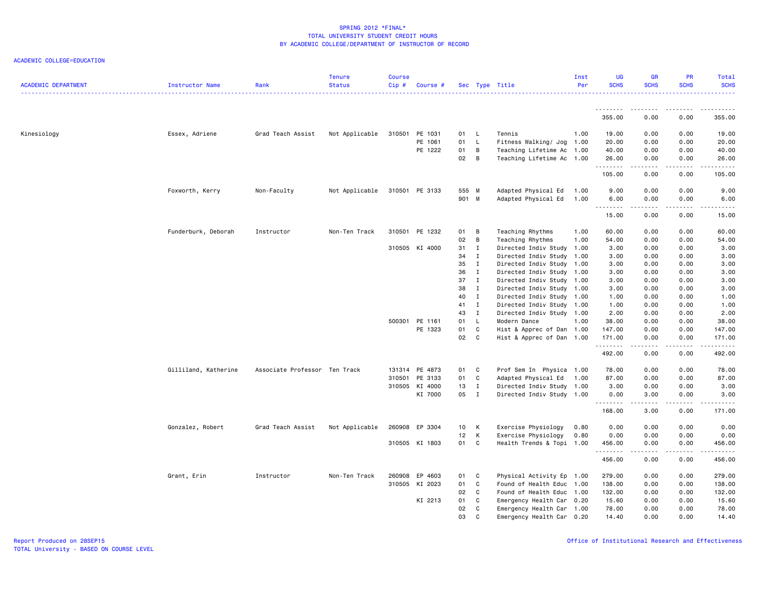| <b>ACADEMIC DEPARTMENT</b> | Instructor Name      | Rank                          | <b>Tenure</b><br>Status | <b>Course</b><br>Cip# | Course #       |       |              | Sec Type Title            | Inst<br>Per | <b>UG</b><br><b>SCHS</b> | <b>GR</b><br><b>SCHS</b> | PR<br><b>SCHS</b> | Total<br><b>SCHS</b> |
|----------------------------|----------------------|-------------------------------|-------------------------|-----------------------|----------------|-------|--------------|---------------------------|-------------|--------------------------|--------------------------|-------------------|----------------------|
|                            |                      |                               |                         |                       |                |       |              |                           |             | .                        | ---------                | $- - - - - -$     | .                    |
|                            |                      |                               |                         |                       |                |       |              |                           |             | 355.00                   | 0.00                     | 0.00              | 355.00               |
| Kinesiology                | Essex, Adriene       | Grad Teach Assist             | Not Applicable          |                       | 310501 PE 1031 | 01 L  |              | Tennis                    | 1.00        | 19.00                    | 0.00                     | 0.00              | 19.00                |
|                            |                      |                               |                         |                       | PE 1061        | 01    | $\mathsf{L}$ | Fitness Walking/ Jog 1.00 |             | 20.00                    | 0.00                     | 0.00              | 20.00                |
|                            |                      |                               |                         |                       | PE 1222        | 01    | B            | Teaching Lifetime Ac 1.00 |             | 40.00                    | 0.00                     | 0.00              | 40.00                |
|                            |                      |                               |                         |                       |                | 02    | B            | Teaching Lifetime Ac 1.00 |             | 26.00<br>.               | 0.00<br>.                | 0.00<br>.         | 26.00<br>.           |
|                            |                      |                               |                         |                       |                |       |              |                           |             | 105.00                   | 0.00                     | 0.00              | 105.00               |
|                            | Foxworth, Kerry      | Non-Faculty                   | Not Applicable          |                       | 310501 PE 3133 | 555 M |              | Adapted Physical Ed       | 1.00        | 9.00                     | 0.00                     | 0.00              | 9.00                 |
|                            |                      |                               |                         |                       |                | 901 M |              | Adapted Physical Ed       | 1.00        | 6.00                     | 0.00                     | 0.00              | 6.00                 |
|                            |                      |                               |                         |                       |                |       |              |                           |             | .<br>15.00               | .<br>0.00                | .<br>0.00         | -----<br>15.00       |
|                            | Funderburk, Deborah  | Instructor                    | Non-Ten Track           | 310501                | PE 1232        | 01    | В            | Teaching Rhythms          | 1.00        | 60.00                    | 0.00                     | 0.00              | 60.00                |
|                            |                      |                               |                         |                       |                | 02    | B            | Teaching Rhythms          | 1.00        | 54.00                    | 0.00                     | 0.00              | 54.00                |
|                            |                      |                               |                         |                       | 310505 KI 4000 | 31    | $\mathbf{I}$ | Directed Indiv Study 1.00 |             | 3.00                     | 0.00                     | 0.00              | 3.00                 |
|                            |                      |                               |                         |                       |                | 34    | $\mathbf{I}$ | Directed Indiv Study      | 1.00        | 3.00                     | 0.00                     | 0.00              | 3.00                 |
|                            |                      |                               |                         |                       |                | 35    | $\mathbf{I}$ | Directed Indiv Study 1.00 |             | 3.00                     | 0.00                     | 0.00              | 3.00                 |
|                            |                      |                               |                         |                       |                | 36    | $\mathbf{I}$ | Directed Indiv Study 1.00 |             | 3.00                     | 0.00                     | 0.00              | 3.00                 |
|                            |                      |                               |                         |                       |                | 37    | $\mathbf{I}$ | Directed Indiv Study 1.00 |             | 3.00                     | 0.00                     | 0.00              | 3.00                 |
|                            |                      |                               |                         |                       |                | 38    | $\mathbf{I}$ | Directed Indiv Study 1.00 |             | 3.00                     | 0.00                     | 0.00              | 3.00                 |
|                            |                      |                               |                         |                       |                | 40    | $\mathbf{I}$ | Directed Indiv Study 1.00 |             | 1.00                     | 0.00                     | 0.00              | 1.00                 |
|                            |                      |                               |                         |                       |                | 41    | $\mathbf{I}$ | Directed Indiv Study 1.00 |             | 1.00                     | 0.00                     | 0.00              | 1.00                 |
|                            |                      |                               |                         |                       |                | 43    | $\mathbf{I}$ | Directed Indiv Study 1.00 |             | 2.00                     | 0.00                     | 0.00              | 2.00                 |
|                            |                      |                               |                         |                       | 500301 PE 1161 | 01    | $\mathsf{L}$ | Modern Dance              | 1.00        | 38.00                    | 0.00                     | 0.00              | 38.00                |
|                            |                      |                               |                         |                       | PE 1323        | 01    | C            | Hist & Apprec of Dan 1.00 |             | 147.00                   | 0.00                     | 0.00              | 147.00               |
|                            |                      |                               |                         |                       |                | 02    | $\mathbf{C}$ | Hist & Apprec of Dan 1.00 |             | 171.00                   | 0.00                     | 0.00              | 171.00               |
|                            |                      |                               |                         |                       |                |       |              |                           |             | .<br>492.00              | .<br>0.00                | .<br>0.00         | المتمالين<br>492.00  |
|                            | Gilliland, Katherine | Associate Professor Ten Track |                         |                       | 131314 PE 4873 | 01    | C            | Prof Sem In Physica 1.00  |             | 78.00                    | 0.00                     | 0.00              | 78.00                |
|                            |                      |                               |                         |                       | 310501 PE 3133 | 01    | C            | Adapted Physical Ed       | 1.00        | 87.00                    | 0.00                     | 0.00              | 87.00                |
|                            |                      |                               |                         |                       | 310505 KI 4000 | 13    | $\mathbf{I}$ | Directed Indiv Study 1.00 |             | 3.00                     | 0.00                     | 0.00              | 3.00                 |
|                            |                      |                               |                         |                       | KI 7000        | 05 I  |              | Directed Indiv Study 1.00 |             | 0.00                     | 3.00                     | 0.00              | 3.00                 |
|                            |                      |                               |                         |                       |                |       |              |                           |             | 168.00                   | 3.00                     | 0.00              | د د د د د<br>171.00  |
|                            | Gonzalez, Robert     | Grad Teach Assist             | Not Applicable          |                       | 260908 EP 3304 | 10    | K            | Exercise Physiology       | 0.80        | 0.00                     | 0.00                     | 0.00              | 0.00                 |
|                            |                      |                               |                         |                       |                | 12    | K            | Exercise Physiology       | 0.80        | 0.00                     | 0.00                     | 0.00              | 0.00                 |
|                            |                      |                               |                         |                       | 310505 KI 1803 | 01    | C            | Health Trends & Topi 1.00 |             | 456.00                   | 0.00                     | 0.00              | 456.00               |
|                            |                      |                               |                         |                       |                |       |              |                           |             | .<br>456.00              | .<br>0.00                | .<br>0.00         | .<br>456.00          |
|                            | Grant, Erin          | Instructor                    | Non-Ten Track           |                       | 260908 EP 4603 | 01    | C            | Physical Activity Ep 1.00 |             | 279.00                   | 0.00                     | 0.00              | 279.00               |
|                            |                      |                               |                         |                       | 310505 KI 2023 | 01    | C            | Found of Health Educ      | 1.00        | 138.00                   | 0.00                     | 0.00              | 138.00               |
|                            |                      |                               |                         |                       |                | 02    | C            | Found of Health Educ 1.00 |             | 132.00                   | 0.00                     | 0.00              | 132.00               |
|                            |                      |                               |                         |                       | KI 2213        | 01    | C            | Emergency Health Car 0.20 |             | 15.60                    | 0.00                     | 0.00              | 15.60                |
|                            |                      |                               |                         |                       |                | 02    | C            | Emergency Health Car 1.00 |             | 78.00                    | 0.00                     | 0.00              | 78.00                |
|                            |                      |                               |                         |                       |                | 03    | $\mathbf{C}$ | Emergency Health Car 0.20 |             | 14,40                    | 0.00                     | 0.00              | 14.40                |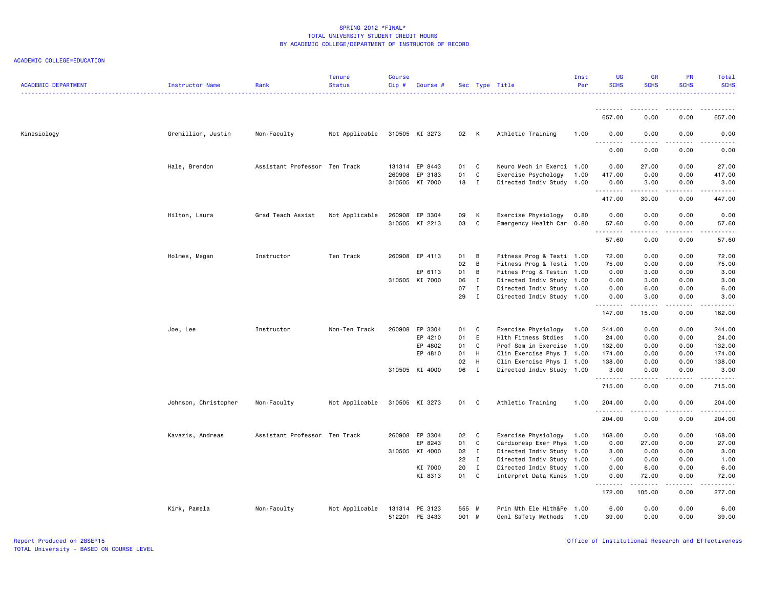| <b>ACADEMIC DEPARTMENT</b> | Instructor Name      | Rank                          | <b>Tenure</b><br><b>Status</b> | <b>Course</b><br>Cip# | Course #       |       |                | Sec Type Title            | Inst<br>Per | <b>UG</b><br><b>SCHS</b> | <b>GR</b><br><b>SCHS</b>                                                                                                                                     | <b>PR</b><br><b>SCHS</b>            | Total<br><b>SCHS</b>             |
|----------------------------|----------------------|-------------------------------|--------------------------------|-----------------------|----------------|-------|----------------|---------------------------|-------------|--------------------------|--------------------------------------------------------------------------------------------------------------------------------------------------------------|-------------------------------------|----------------------------------|
|                            |                      |                               |                                |                       |                |       |                |                           |             | .<br>657.00              | 0.00                                                                                                                                                         | 0.00                                | 657.00                           |
| Kinesiology                | Gremillion, Justin   | Non-Faculty                   | Not Applicable                 |                       | 310505 KI 3273 | 02 K  |                | Athletic Training         | 1.00        | 0.00                     | 0.00                                                                                                                                                         | 0.00                                | 0.00                             |
|                            |                      |                               |                                |                       |                |       |                |                           |             | . <i>.</i>               | .                                                                                                                                                            | .                                   | -----                            |
|                            |                      |                               |                                |                       |                |       |                |                           |             | 0.00                     | 0.00                                                                                                                                                         | 0.00                                | 0.00                             |
|                            | Hale, Brendon        | Assistant Professor Ten Track |                                |                       | 131314 EP 8443 | 01    | $\mathbf{C}$   | Neuro Mech in Exerci 1.00 |             | 0.00                     | 27.00                                                                                                                                                        | 0.00                                | 27.00                            |
|                            |                      |                               |                                |                       | 260908 EP 3183 | 01    | <b>C</b>       | Exercise Psychology       | 1.00        | 417.00                   | 0.00                                                                                                                                                         | 0.00                                | 417.00                           |
|                            |                      |                               |                                |                       | 310505 KI 7000 | 18 I  |                | Directed Indiv Study 1.00 |             | 0.00<br>.                | 3.00<br>.                                                                                                                                                    | 0.00<br>.                           | 3.00<br>.                        |
|                            |                      |                               |                                |                       |                |       |                |                           |             | 417.00                   | 30.00                                                                                                                                                        | 0.00                                | 447.00                           |
|                            | Hilton, Laura        | Grad Teach Assist             | Not Applicable                 |                       | 260908 EP 3304 | 09    | K              | Exercise Physiology       | 0.80        | 0.00                     | 0.00                                                                                                                                                         | 0.00                                | 0.00                             |
|                            |                      |                               |                                |                       | 310505 KI 2213 | 03    | C <sub>c</sub> | Emergency Health Car 0.80 |             | 57.60<br>--------        | 0.00<br>$\frac{1}{2} \left( \frac{1}{2} \right) \left( \frac{1}{2} \right) \left( \frac{1}{2} \right) \left( \frac{1}{2} \right) \left( \frac{1}{2} \right)$ | 0.00<br>.                           | 57.60<br>د د د د د               |
|                            |                      |                               |                                |                       |                |       |                |                           |             | 57.60                    | 0.00                                                                                                                                                         | 0.00                                | 57.60                            |
|                            | Holmes, Megan        | Instructor                    | Ten Track                      |                       | 260908 EP 4113 | 01    | B              | Fitness Prog & Testi 1.00 |             | 72.00                    | 0.00                                                                                                                                                         | 0.00                                | 72.00                            |
|                            |                      |                               |                                |                       |                | 02    | B              | Fitness Prog & Testi 1.00 |             | 75.00                    | 0.00                                                                                                                                                         | 0.00                                | 75.00                            |
|                            |                      |                               |                                |                       | EP 6113        | 01    | $\overline{B}$ | Fitnes Prog & Testin 1.00 |             | 0.00                     | 3.00                                                                                                                                                         | 0.00                                | 3.00                             |
|                            |                      |                               |                                |                       | 310505 KI 7000 | 06    | $\mathbf{I}$   | Directed Indiv Study 1.00 |             | 0.00                     | 3.00                                                                                                                                                         | 0.00                                | 3.00                             |
|                            |                      |                               |                                |                       |                | 07    | $\mathbf{I}$   | Directed Indiv Study 1.00 |             | 0.00                     | 6.00                                                                                                                                                         | 0.00                                | 6.00                             |
|                            |                      |                               |                                |                       |                | 29    | $\mathbf{I}$   | Directed Indiv Study 1.00 |             | 0.00<br>.                | 3.00<br>$\frac{1}{2} \left( \frac{1}{2} \right) \left( \frac{1}{2} \right) \left( \frac{1}{2} \right) \left( \frac{1}{2} \right) \left( \frac{1}{2} \right)$ | 0.00<br>.                           | 3.00<br>.                        |
|                            |                      |                               |                                |                       |                |       |                |                           |             | 147.00                   | 15.00                                                                                                                                                        | 0.00                                | 162.00                           |
|                            | Joe, Lee             | Instructor                    | Non-Ten Track                  |                       | 260908 EP 3304 | 01 C  |                | Exercise Physiology       | 1.00        | 244.00                   | 0.00                                                                                                                                                         | 0.00                                | 244.00                           |
|                            |                      |                               |                                |                       | EP 4210        | 01    | E              | Hlth Fitness Stdies       | 1.00        | 24.00                    | 0.00                                                                                                                                                         | 0.00                                | 24.00                            |
|                            |                      |                               |                                |                       | EP 4802        | 01    | $\mathbf{C}$   | Prof Sem in Exercise 1.00 |             | 132.00                   | 0.00                                                                                                                                                         | 0.00                                | 132.00                           |
|                            |                      |                               |                                |                       | EP 4810        | 01    | H              | Clin Exercise Phys I 1.00 |             | 174.00                   | 0.00                                                                                                                                                         | 0.00                                | 174.00                           |
|                            |                      |                               |                                |                       |                | 02    | H              | Clin Exercise Phys I 1.00 |             | 138.00                   | 0.00                                                                                                                                                         | 0.00                                | 138.00                           |
|                            |                      |                               |                                |                       | 310505 KI 4000 | 06    | $\mathbf{I}$   | Directed Indiv Study 1.00 |             | 3.00<br>.                | 0.00<br>.                                                                                                                                                    | 0.00<br>$\sim$ $\sim$ $\sim$ $\sim$ | 3.00                             |
|                            |                      |                               |                                |                       |                |       |                |                           |             | 715.00                   | 0.00                                                                                                                                                         | 0.00                                | 715.00                           |
|                            | Johnson, Christopher | Non-Faculty                   | Not Applicable                 |                       | 310505 KI 3273 | 01 C  |                | Athletic Training         | 1.00        | 204.00<br>.              | 0.00<br>.                                                                                                                                                    | 0.00<br>المستمات                    | 204.00<br>$\omega$ is a second . |
|                            |                      |                               |                                |                       |                |       |                |                           |             | 204.00                   | 0.00                                                                                                                                                         | 0.00                                | 204.00                           |
|                            | Kavazis, Andreas     | Assistant Professor Ten Track |                                |                       | 260908 EP 3304 | 02 C  |                | Exercise Physiology       | 1.00        | 168.00                   | 0.00                                                                                                                                                         | 0.00                                | 168.00                           |
|                            |                      |                               |                                |                       | EP 8243        | 01    | C              | Cardioresp Exer Phys 1.00 |             | 0.00                     | 27.00                                                                                                                                                        | 0.00                                | 27.00                            |
|                            |                      |                               |                                |                       | 310505 KI 4000 | 02    | $\mathbf{I}$   | Directed Indiv Study 1.00 |             | 3.00                     | 0.00                                                                                                                                                         | 0.00                                | 3.00                             |
|                            |                      |                               |                                |                       |                | 22    | $\mathbf{I}$   | Directed Indiv Study 1.00 |             | 1.00                     | 0.00                                                                                                                                                         | 0.00                                | 1.00                             |
|                            |                      |                               |                                |                       | KI 7000        | 20    | $\mathbf{I}$   | Directed Indiv Study 1.00 |             | 0.00                     | 6.00                                                                                                                                                         | 0.00                                | 6.00                             |
|                            |                      |                               |                                |                       | KI 8313        | 01 C  |                | Interpret Data Kines 1.00 |             | 0.00<br>--------         | 72.00<br>.                                                                                                                                                   | 0.00<br>.                           | 72.00<br>.                       |
|                            |                      |                               |                                |                       |                |       |                |                           |             | 172.00                   | 105.00                                                                                                                                                       | 0.00                                | 277.00                           |
|                            | Kirk, Pamela         | Non-Faculty                   | Not Applicable                 |                       | 131314 PE 3123 | 555 M |                | Prin Mth Ele Hlth&Pe 1.00 |             | 6.00                     | 0.00                                                                                                                                                         | 0.00                                | 6.00                             |
|                            |                      |                               |                                |                       | 512201 PE 3433 | 901 M |                | Genl Safety Methods       | 1.00        | 39,00                    | 0.00                                                                                                                                                         | 0.00                                | 39.00                            |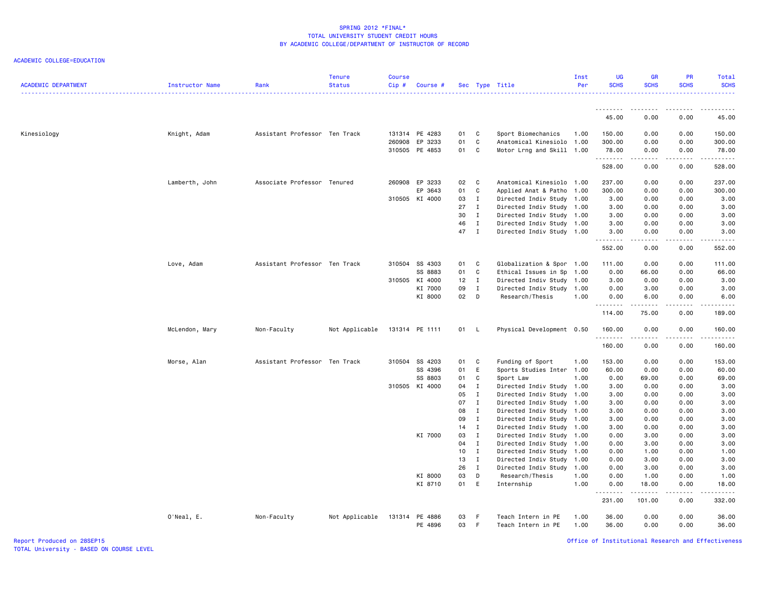| <b>ACADEMIC DEPARTMENT</b> | Instructor Name | Rank                          | Tenure<br><b>Status</b> | <b>Course</b><br>$Cip$ # | <b>Course #</b>    |          |                              | Sec Type Title                                         | Inst<br>Per  | <b>UG</b><br><b>SCHS</b> | <b>GR</b><br><b>SCHS</b>                                                                                                                                     | <b>PR</b><br><b>SCHS</b>                                                                                                  | Total<br><b>SCHS</b> |
|----------------------------|-----------------|-------------------------------|-------------------------|--------------------------|--------------------|----------|------------------------------|--------------------------------------------------------|--------------|--------------------------|--------------------------------------------------------------------------------------------------------------------------------------------------------------|---------------------------------------------------------------------------------------------------------------------------|----------------------|
|                            |                 |                               |                         |                          |                    |          |                              |                                                        |              | .                        | ------                                                                                                                                                       |                                                                                                                           |                      |
|                            |                 |                               |                         |                          |                    |          |                              |                                                        |              | 45.00                    | 0.00                                                                                                                                                         | 0.00                                                                                                                      | 45.00                |
| Kinesiology                | Knight, Adam    | Assistant Professor Ten Track |                         |                          | 131314 PE 4283     | 01       | C                            | Sport Biomechanics                                     | 1.00         | 150.00                   | 0.00                                                                                                                                                         | 0.00                                                                                                                      | 150.00               |
|                            |                 |                               |                         | 260908                   | EP 3233            | 01       | C                            | Anatomical Kinesiolo 1.00                              |              | 300.00                   | 0.00                                                                                                                                                         | 0.00                                                                                                                      | 300.00               |
|                            |                 |                               |                         |                          | 310505 PE 4853     | 01       | $\mathbf c$                  | Motor Lrng and Skill 1.00                              |              | 78.00<br>.               | 0.00<br>$\frac{1}{2} \left( \frac{1}{2} \right) \left( \frac{1}{2} \right) \left( \frac{1}{2} \right) \left( \frac{1}{2} \right) \left( \frac{1}{2} \right)$ | 0.00<br>.                                                                                                                 | 78.00<br>------      |
|                            |                 |                               |                         |                          |                    |          |                              |                                                        |              | 528.00                   | 0.00                                                                                                                                                         | 0.00                                                                                                                      | 528.00               |
|                            | Lamberth, John  | Associate Professor Tenured   |                         |                          | 260908 EP 3233     | 02       | C                            | Anatomical Kinesiolo 1.00                              |              | 237.00                   | 0.00                                                                                                                                                         | 0.00                                                                                                                      | 237.00               |
|                            |                 |                               |                         |                          | EP 3643            | 01       | C                            | Applied Anat & Patho 1.00                              |              | 300.00                   | 0.00                                                                                                                                                         | 0.00                                                                                                                      | 300.00               |
|                            |                 |                               |                         |                          | 310505 KI 4000     | 03       | $\mathbf{I}$                 | Directed Indiv Study 1.00                              |              | 3.00                     | 0.00                                                                                                                                                         | 0.00                                                                                                                      | 3.00                 |
|                            |                 |                               |                         |                          |                    | 27       | $\mathbf{I}$                 | Directed Indiv Study 1.00                              |              | 3.00                     | 0.00                                                                                                                                                         | 0.00                                                                                                                      | 3.00                 |
|                            |                 |                               |                         |                          |                    | 30<br>46 | $\mathbf{I}$<br>$\mathbf{I}$ | Directed Indiv Study 1.00                              |              | 3.00                     | 0.00<br>0.00                                                                                                                                                 | 0.00<br>0.00                                                                                                              | 3.00                 |
|                            |                 |                               |                         |                          |                    | 47 I     |                              | Directed Indiv Study 1.00<br>Directed Indiv Study 1.00 |              | 3.00<br>3.00             | 0.00                                                                                                                                                         | 0.00                                                                                                                      | 3.00<br>3.00         |
|                            |                 |                               |                         |                          |                    |          |                              |                                                        |              | .                        |                                                                                                                                                              |                                                                                                                           |                      |
|                            |                 |                               |                         |                          |                    |          |                              |                                                        |              | 552.00                   | 0.00                                                                                                                                                         | 0.00                                                                                                                      | 552.00               |
|                            | Love, Adam      | Assistant Professor Ten Track |                         |                          | 310504 SS 4303     | 01 C     |                              | Globalization & Spor 1.00                              |              | 111.00                   | 0.00                                                                                                                                                         | 0.00                                                                                                                      | 111.00               |
|                            |                 |                               |                         |                          | SS 8883            | 01       | $\mathbf c$                  | Ethical Issues in Sp 1.00                              |              | 0.00                     | 66.00                                                                                                                                                        | 0.00                                                                                                                      | 66.00                |
|                            |                 |                               |                         |                          | 310505 KI 4000     | 12       | $\mathbf{I}$                 | Directed Indiv Study 1.00                              |              | 3.00                     | 0.00                                                                                                                                                         | 0.00                                                                                                                      | 3.00                 |
|                            |                 |                               |                         |                          | KI 7000            | 09       | $\mathbf{I}$                 | Directed Indiv Study 1.00                              |              | 0.00                     | 3.00                                                                                                                                                         | 0.00                                                                                                                      | 3.00                 |
|                            |                 |                               |                         |                          | KI 8000            | 02       | D                            | Research/Thesis                                        | 1.00         | 0.00<br>.                | 6.00                                                                                                                                                         | 0.00                                                                                                                      | 6.00                 |
|                            |                 |                               |                         |                          |                    |          |                              |                                                        |              | 114.00                   | 75.00                                                                                                                                                        | 0.00                                                                                                                      | 189.00               |
|                            | McLendon, Mary  | Non-Faculty                   | Not Applicable          |                          | 131314 PE 1111     | 01 L     |                              | Physical Development 0.50                              |              | 160.00<br>.              | 0.00<br>$- - - - -$                                                                                                                                          | 0.00<br>المتمامين                                                                                                         | 160.00               |
|                            |                 |                               |                         |                          |                    |          |                              |                                                        |              | 160.00                   | 0.00                                                                                                                                                         | 0.00                                                                                                                      | 160.00               |
|                            | Morse, Alan     | Assistant Professor Ten Track |                         |                          | 310504 SS 4203     | 01       | C                            | Funding of Sport                                       | 1.00         | 153.00                   | 0.00                                                                                                                                                         | 0.00                                                                                                                      | 153.00               |
|                            |                 |                               |                         |                          | SS 4396            | 01       | E                            | Sports Studies Inter 1.00                              |              | 60.00                    | 0.00                                                                                                                                                         | 0.00                                                                                                                      | 60.00                |
|                            |                 |                               |                         |                          | SS 8803            | 01       | C                            | Sport Law                                              | 1.00         | 0.00                     | 69.00                                                                                                                                                        | 0.00                                                                                                                      | 69.00                |
|                            |                 |                               |                         |                          | 310505 KI 4000     | 04       | Ι.                           | Directed Indiv Study 1.00                              |              | 3.00                     | 0.00                                                                                                                                                         | 0.00                                                                                                                      | 3.00                 |
|                            |                 |                               |                         |                          |                    | 05       | $\mathbf{I}$                 | Directed Indiv Study 1.00                              |              | 3.00                     | 0.00                                                                                                                                                         | 0.00                                                                                                                      | 3.00                 |
|                            |                 |                               |                         |                          |                    | 07       | $\mathbf I$                  | Directed Indiv Study 1.00                              |              | 3.00                     | 0.00                                                                                                                                                         | 0.00                                                                                                                      | 3.00                 |
|                            |                 |                               |                         |                          |                    | 08       | $\mathbf{I}$                 | Directed Indiv Study 1.00                              |              | 3.00                     | 0.00                                                                                                                                                         | 0.00                                                                                                                      | 3.00                 |
|                            |                 |                               |                         |                          |                    | 09       | $\mathbf{I}$                 | Directed Indiv Study 1.00                              |              | 3.00                     | 0.00                                                                                                                                                         | 0.00                                                                                                                      | 3.00                 |
|                            |                 |                               |                         |                          |                    | 14       | $\mathbf{I}$                 | Directed Indiv Study 1.00                              |              | 3.00                     | 0.00                                                                                                                                                         | 0.00                                                                                                                      | 3.00                 |
|                            |                 |                               |                         |                          | KI 7000            | 03       | $\mathbf{I}$                 | Directed Indiv Study 1.00                              |              | 0.00                     | 3.00                                                                                                                                                         | 0.00                                                                                                                      | 3.00                 |
|                            |                 |                               |                         |                          |                    | 04       | $\mathbf{I}$                 | Directed Indiv Study 1.00                              |              | 0.00                     | 3.00                                                                                                                                                         | 0.00                                                                                                                      | 3.00                 |
|                            |                 |                               |                         |                          |                    | 10       | $\mathbf I$                  | Directed Indiv Study 1.00                              |              | 0.00                     | 1.00                                                                                                                                                         | 0.00                                                                                                                      | 1.00                 |
|                            |                 |                               |                         |                          |                    | 13       | $\mathbf{I}$                 | Directed Indiv Study 1.00                              |              | 0.00                     | 3.00                                                                                                                                                         | 0.00                                                                                                                      | 3.00                 |
|                            |                 |                               |                         |                          |                    | 26       | $\mathbf{I}$                 | Directed Indiv Study 1.00                              |              | 0.00                     | 3.00                                                                                                                                                         | 0.00                                                                                                                      | 3.00                 |
|                            |                 |                               |                         |                          | KI 8000<br>KI 8710 | 03<br>01 | D<br>E                       | Research/Thesis<br>Internship                          | 1.00<br>1.00 | 0.00<br>0.00             | 1.00<br>18.00                                                                                                                                                | 0.00<br>0.00                                                                                                              | 1.00<br>18.00        |
|                            |                 |                               |                         |                          |                    |          |                              |                                                        |              | .                        |                                                                                                                                                              | $\frac{1}{2} \left( \frac{1}{2} \right) \left( \frac{1}{2} \right) \left( \frac{1}{2} \right) \left( \frac{1}{2} \right)$ |                      |
|                            |                 |                               |                         |                          |                    |          |                              |                                                        |              | 231.00                   | 101.00                                                                                                                                                       | 0.00                                                                                                                      | 332.00               |
|                            | O'Neal, E.      | Non-Faculty                   | Not Applicable          |                          | 131314 PE 4886     | 03       | -F                           | Teach Intern in PE                                     | 1.00         | 36.00                    | 0.00                                                                                                                                                         | 0.00                                                                                                                      | 36.00                |
|                            |                 |                               |                         |                          | PE 4896            | 03       | $-F$                         | Teach Intern in PE                                     | 1.00         | 36.00                    | 0.00                                                                                                                                                         | 0.00                                                                                                                      | 36.00                |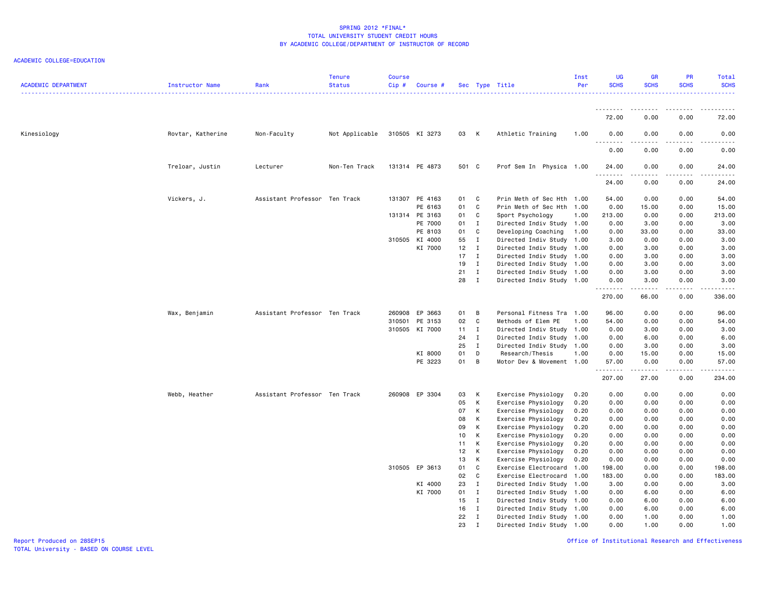### ACADEMIC COLLEGE=EDUCATION

| <b>ACADEMIC DEPARTMENT</b> | Instructor Name   | Rank                          | <b>Tenure</b><br><b>Status</b> | Course<br>Cip# | Course #       |       |                | Sec Type Title            | Inst<br>Per | <b>UG</b><br><b>SCHS</b>           | <b>GR</b><br><b>SCHS</b>                                                                                                                                      | PR<br><b>SCHS</b>            | Total<br><b>SCHS</b>                                                                                                                |
|----------------------------|-------------------|-------------------------------|--------------------------------|----------------|----------------|-------|----------------|---------------------------|-------------|------------------------------------|---------------------------------------------------------------------------------------------------------------------------------------------------------------|------------------------------|-------------------------------------------------------------------------------------------------------------------------------------|
|                            |                   |                               |                                |                |                |       |                |                           |             | <u>.</u>                           |                                                                                                                                                               |                              |                                                                                                                                     |
|                            |                   |                               |                                |                |                |       |                |                           |             | 72.00                              | 0.00                                                                                                                                                          | 0.00                         | 72.00                                                                                                                               |
| Kinesiology                | Rovtar, Katherine | Non-Faculty                   | Not Applicable                 |                | 310505 KI 3273 | 03 K  |                | Athletic Training         | 1.00        | 0.00<br>$\omega$ $\omega$ $\omega$ | 0.00                                                                                                                                                          | 0.00                         | 0.00                                                                                                                                |
|                            |                   |                               |                                |                |                |       |                |                           |             | 0.00                               | 0.00                                                                                                                                                          | 0.00                         | 0.00                                                                                                                                |
|                            | Treloar, Justin   | Lecturer                      | Non-Ten Track                  |                | 131314 PE 4873 | 501 C |                | Prof Sem In Physica 1.00  |             | 24.00<br>.                         | 0.00<br>.                                                                                                                                                     | 0.00<br>.                    | 24.00<br>$\sim$ $\sim$ $\sim$ $\sim$                                                                                                |
|                            |                   |                               |                                |                |                |       |                |                           |             | 24.00                              | 0.00                                                                                                                                                          | 0.00                         | 24.00                                                                                                                               |
|                            | Vickers, J.       | Assistant Professor Ten Track |                                |                | 131307 PE 4163 | 01 C  |                | Prin Meth of Sec Hth 1.00 |             | 54.00                              | 0.00                                                                                                                                                          | 0.00                         | 54.00                                                                                                                               |
|                            |                   |                               |                                |                | PE 6163        | 01    | $\mathbf{C}$   | Prin Meth of Sec Hth 1.00 |             | 0.00                               | 15.00                                                                                                                                                         | 0.00                         | 15.00                                                                                                                               |
|                            |                   |                               |                                |                | 131314 PE 3163 | 01    | $\mathbf{C}$   | Sport Psychology          | 1.00        | 213.00                             | 0.00                                                                                                                                                          | 0.00                         | 213.00                                                                                                                              |
|                            |                   |                               |                                |                | PE 7000        | 01 I  |                | Directed Indiv Study 1.00 |             | 0.00                               | 3.00                                                                                                                                                          | 0.00                         | 3.00                                                                                                                                |
|                            |                   |                               |                                |                | PE 8103        | 01    | $\mathbf{C}$   | Developing Coaching       | 1.00        | 0.00                               | 33.00                                                                                                                                                         | 0.00                         | 33.00                                                                                                                               |
|                            |                   |                               |                                |                | 310505 KI 4000 | 55    | $\mathbf{I}$   | Directed Indiv Study 1.00 |             | 3.00                               | 0.00                                                                                                                                                          | 0.00                         | 3.00                                                                                                                                |
|                            |                   |                               |                                |                | KI 7000        | 12    | $\blacksquare$ | Directed Indiv Study 1.00 |             | 0.00                               | 3.00                                                                                                                                                          | 0.00                         | 3.00                                                                                                                                |
|                            |                   |                               |                                |                |                | 17    | $\mathbf{I}$   | Directed Indiv Study 1.00 |             | 0.00                               | 3.00                                                                                                                                                          | 0.00                         | 3.00                                                                                                                                |
|                            |                   |                               |                                |                |                | 19    | $\mathbf{I}$   | Directed Indiv Study 1.00 |             | 0.00                               | 3.00                                                                                                                                                          | 0.00                         | 3.00                                                                                                                                |
|                            |                   |                               |                                |                |                | 21    | $\mathbf{I}$   | Directed Indiv Study 1.00 |             | 0.00                               | 3.00                                                                                                                                                          | 0.00                         | 3.00                                                                                                                                |
|                            |                   |                               |                                |                |                | 28    | $\mathbf{I}$   | Directed Indiv Study 1.00 |             | 0.00                               | 3.00                                                                                                                                                          | 0.00                         | 3.00                                                                                                                                |
|                            |                   |                               |                                |                |                |       |                |                           |             | .<br>270.00                        | -----<br>66.00                                                                                                                                                | $\sim$ $\sim$ $\sim$<br>0.00 | $\frac{1}{2} \left( \frac{1}{2} \right) \left( \frac{1}{2} \right) \left( \frac{1}{2} \right) \left( \frac{1}{2} \right)$<br>336.00 |
|                            | Wax, Benjamin     | Assistant Professor Ten Track |                                |                | 260908 EP 3663 | 01    | $\overline{B}$ | Personal Fitness Tra 1.00 |             | 96.00                              | 0.00                                                                                                                                                          | 0.00                         | 96.00                                                                                                                               |
|                            |                   |                               |                                |                | 310501 PE 3153 | 02    | $\mathbf{C}$   | Methods of Elem PE        | 1.00        | 54.00                              | 0.00                                                                                                                                                          | 0.00                         | 54.00                                                                                                                               |
|                            |                   |                               |                                |                | 310505 KI 7000 | 11    | $\blacksquare$ | Directed Indiv Study 1.00 |             | 0.00                               | 3.00                                                                                                                                                          | 0.00                         | 3.00                                                                                                                                |
|                            |                   |                               |                                |                |                | 24    | $\mathbf{I}$   | Directed Indiv Study 1.00 |             | 0.00                               | 6.00                                                                                                                                                          | 0.00                         | 6.00                                                                                                                                |
|                            |                   |                               |                                |                |                | 25    | $\mathbf{I}$   | Directed Indiv Study 1.00 |             | 0.00                               | 3.00                                                                                                                                                          | 0.00                         | 3.00                                                                                                                                |
|                            |                   |                               |                                |                | KI 8000        | 01    | D              | Research/Thesis           | 1.00        | 0.00                               | 15.00                                                                                                                                                         | 0.00                         | 15.00                                                                                                                               |
|                            |                   |                               |                                |                | PE 3223        | 01    | B              | Motor Dev & Movement 1.00 |             | 57.00                              | 0.00                                                                                                                                                          | 0.00                         | 57.00                                                                                                                               |
|                            |                   |                               |                                |                |                |       |                |                           |             | .<br>207.00                        | $\frac{1}{2} \left( \frac{1}{2} \right) \left( \frac{1}{2} \right) \left( \frac{1}{2} \right) \left( \frac{1}{2} \right) \left( \frac{1}{2} \right)$<br>27.00 | .<br>0.00                    | .<br>234.00                                                                                                                         |
|                            | Webb, Heather     | Assistant Professor Ten Track |                                |                | 260908 EP 3304 | 03    | K              | Exercise Physiology       | 0.20        | 0.00                               | 0.00                                                                                                                                                          | 0.00                         | 0.00                                                                                                                                |
|                            |                   |                               |                                |                |                | 05    | K              | Exercise Physiology       | 0.20        | 0.00                               | 0.00                                                                                                                                                          | 0.00                         | 0.00                                                                                                                                |
|                            |                   |                               |                                |                |                | 07    | K              | Exercise Physiology       | 0.20        | 0.00                               | 0.00                                                                                                                                                          | 0.00                         | 0.00                                                                                                                                |
|                            |                   |                               |                                |                |                | 08    | K              | Exercise Physiology       | 0.20        | 0.00                               | 0.00                                                                                                                                                          | 0.00                         | 0.00                                                                                                                                |
|                            |                   |                               |                                |                |                | 09    | К              | Exercise Physiology       | 0.20        | 0.00                               | 0.00                                                                                                                                                          | 0.00                         | 0.00                                                                                                                                |
|                            |                   |                               |                                |                |                | 10    | К              | Exercise Physiology       | 0.20        | 0.00                               | 0.00                                                                                                                                                          | 0.00                         | 0.00                                                                                                                                |
|                            |                   |                               |                                |                |                | 11    | K              | Exercise Physiology       | 0.20        | 0.00                               | 0.00                                                                                                                                                          | 0.00                         | 0.00                                                                                                                                |
|                            |                   |                               |                                |                |                | 12    | к              | Exercise Physiology       | 0.20        | 0.00                               | 0.00                                                                                                                                                          | 0.00                         | 0.00                                                                                                                                |
|                            |                   |                               |                                |                |                | 13    | K              | Exercise Physiology       | 0.20        | 0.00                               | 0.00                                                                                                                                                          | 0.00                         | 0.00                                                                                                                                |
|                            |                   |                               |                                |                | 310505 EP 3613 | 01    | C              | Exercise Electrocard      | 1.00        | 198.00                             | 0.00                                                                                                                                                          | 0.00                         | 198.00                                                                                                                              |
|                            |                   |                               |                                |                |                | 02    | C              | Exercise Electrocard      | 1.00        | 183.00                             | 0.00                                                                                                                                                          | 0.00                         | 183.00                                                                                                                              |
|                            |                   |                               |                                |                | KI 4000        | 23    | $\mathbf{I}$   | Directed Indiv Study      | 1.00        | 3.00                               | 0.00                                                                                                                                                          | 0.00                         | 3.00                                                                                                                                |
|                            |                   |                               |                                |                | KI 7000        | 01    | $\mathbf{I}$   | Directed Indiv Study 1.00 |             | 0.00                               | 6.00                                                                                                                                                          | 0.00                         | 6.00                                                                                                                                |
|                            |                   |                               |                                |                |                | 15    | $\mathbf{I}$   | Directed Indiv Study 1.00 |             | 0.00                               | 6.00                                                                                                                                                          | 0.00                         | 6.00                                                                                                                                |
|                            |                   |                               |                                |                |                | 16    | $\blacksquare$ | Directed Indiv Study 1.00 |             | 0.00                               | 6.00                                                                                                                                                          | 0.00                         | 6.00                                                                                                                                |
|                            |                   |                               |                                |                |                | 22    | $\mathbf{I}$   | Directed Indiv Study 1.00 |             | 0.00                               | 1.00                                                                                                                                                          | 0.00                         | 1.00                                                                                                                                |
|                            |                   |                               |                                |                |                | 23    | $\mathbf I$    | Directed Indiv Study 1.00 |             | 0.00                               | 1.00                                                                                                                                                          | 0.00                         | 1.00                                                                                                                                |
|                            |                   |                               |                                |                |                |       |                |                           |             |                                    |                                                                                                                                                               |                              |                                                                                                                                     |

Office of Institutional Research and Effectiveness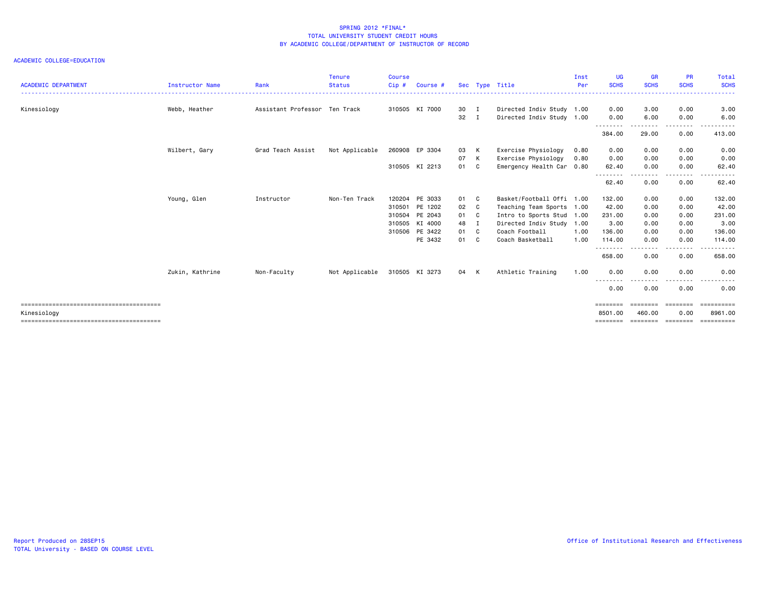| <b>ACADEMIC DEPARTMENT</b> | Instructor Name | Rank                          | <b>Tenure</b><br><b>Status</b> | <b>Course</b><br>Cip# | Course #       |              |    | Sec Type Title            | Inst<br>Per | <b>UG</b><br><b>SCHS</b> | <b>GR</b><br><b>SCHS</b> | <b>PR</b><br><b>SCHS</b> | Total<br><b>SCHS</b><br>. |
|----------------------------|-----------------|-------------------------------|--------------------------------|-----------------------|----------------|--------------|----|---------------------------|-------------|--------------------------|--------------------------|--------------------------|---------------------------|
| Kinesiology                | Webb, Heather   | Assistant Professor Ten Track |                                |                       | 310505 KI 7000 | 30 I         |    | Directed Indiv Study 1.00 |             | 0.00                     | 3.00                     | 0.00                     | 3.00                      |
|                            |                 |                               |                                |                       |                | $32 \quad I$ |    | Directed Indiv Study 1.00 |             | 0.00                     | 6.00                     | 0.00                     | 6.00                      |
|                            |                 |                               |                                |                       |                |              |    |                           |             | --------<br>384.00       | 29.00                    | 0.00                     | 413.00                    |
|                            | Wilbert, Gary   | Grad Teach Assist             | Not Applicable                 |                       | 260908 EP 3304 | 03           | K  | Exercise Physiology       | 0.80        | 0.00                     | 0.00                     | 0.00                     | 0.00                      |
|                            |                 |                               |                                |                       |                | 07           | K  | Exercise Physiology       | 0.80        | 0.00                     | 0.00                     | 0.00                     | 0.00                      |
|                            |                 |                               |                                |                       | 310505 KI 2213 | 01           | C. | Emergency Health Car 0.80 |             | 62.40<br>--------        | 0.00                     | 0.00                     | 62.40                     |
|                            |                 |                               |                                |                       |                |              |    |                           |             | 62.40                    | 0.00                     | 0.00                     | 62.40                     |
|                            | Young, Glen     | Instructor                    | Non-Ten Track                  |                       | 120204 PE 3033 | 01 C         |    | Basket/Football Offi 1.00 |             | 132.00                   | 0.00                     | 0.00                     | 132.00                    |
|                            |                 |                               |                                |                       | 310501 PE 1202 | 02 C         |    | Teaching Team Sports 1.00 |             | 42.00                    | 0.00                     | 0.00                     | 42.00                     |
|                            |                 |                               |                                |                       | 310504 PE 2043 | 01 C         |    | Intro to Sports Stud 1.00 |             | 231.00                   | 0.00                     | 0.00                     | 231.00                    |
|                            |                 |                               |                                |                       | 310505 KI 4000 | 48 I         |    | Directed Indiv Study 1.00 |             | 3.00                     | 0.00                     | 0.00                     | 3.00                      |
|                            |                 |                               |                                |                       | 310506 PE 3422 | 01 C         |    | Coach Football            | 1.00        | 136.00                   | 0.00                     | 0.00                     | 136.00                    |
|                            |                 |                               |                                |                       | PE 3432        | 01 C         |    | Coach Basketball          | 1.00        | 114.00<br>.              | 0.00<br>- - - - -        | 0.00<br>$- - - -$        | 114.00<br>------          |
|                            |                 |                               |                                |                       |                |              |    |                           |             | 658.00                   | 0.00                     | 0.00                     | 658.00                    |
|                            | Zukin, Kathrine | Non-Faculty                   | Not Applicable                 |                       | 310505 KI 3273 | 04 K         |    | Athletic Training         | 1.00        | 0.00                     | 0.00                     | 0.00                     | 0.00                      |
|                            |                 |                               |                                |                       |                |              |    |                           |             | $- - -$<br>0.00          | 0.00                     | 0.00                     | 0.00                      |
|                            |                 |                               |                                |                       |                |              |    |                           |             | ========                 | ========                 | ========                 | ==========                |
| Kinesiology                |                 |                               |                                |                       |                |              |    |                           |             | 8501.00                  | 460.00                   | 0.00                     | 8961.00                   |
|                            |                 |                               |                                |                       |                |              |    |                           |             | ========                 | --------- --------       |                          | ==========                |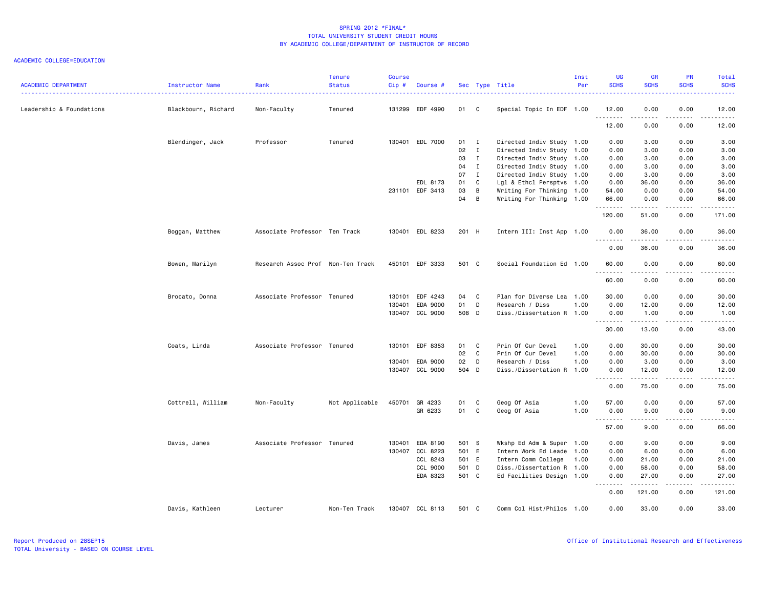| <b>ACADEMIC DEPARTMENT</b> | Instructor Name     | Rank                              | <b>Tenure</b><br><b>Status</b> | <b>Course</b><br>Cip# | Course #        |       |                | Sec Type Title            | Inst<br>Per | UG<br><b>SCHS</b> | <b>GR</b><br><b>SCHS</b> | <b>PR</b><br><b>SCHS</b> | Total<br><b>SCHS</b><br>.                                                                                                      |
|----------------------------|---------------------|-----------------------------------|--------------------------------|-----------------------|-----------------|-------|----------------|---------------------------|-------------|-------------------|--------------------------|--------------------------|--------------------------------------------------------------------------------------------------------------------------------|
| Leadership & Foundations   | Blackbourn, Richard | Non-Faculty                       | Tenured                        |                       | 131299 EDF 4990 | 01 C  |                | Special Topic In EDF 1.00 |             | 12.00<br>.        | 0.00<br>.                | 0.00<br>$   -$           | 12.00<br>.                                                                                                                     |
|                            |                     |                                   |                                |                       |                 |       |                |                           |             | 12.00             | 0.00                     | 0.00                     | 12.00                                                                                                                          |
|                            | Blendinger, Jack    | Professor                         | Tenured                        |                       | 130401 EDL 7000 | 01 I  |                | Directed Indiv Study 1.00 |             | 0.00              | 3.00                     | 0.00                     | 3.00                                                                                                                           |
|                            |                     |                                   |                                |                       |                 | 02    | $\mathbf{I}$   | Directed Indiv Study 1.00 |             | 0.00              | 3.00                     | 0.00                     | 3.00                                                                                                                           |
|                            |                     |                                   |                                |                       |                 | 03    | $\mathbf{I}$   | Directed Indiv Study 1.00 |             | 0.00              | 3.00                     | 0.00                     | 3.00                                                                                                                           |
|                            |                     |                                   |                                |                       |                 | 04    | $\blacksquare$ | Directed Indiv Study 1.00 |             | 0.00              | 3.00                     | 0.00                     | 3.00                                                                                                                           |
|                            |                     |                                   |                                |                       |                 | 07    | $\mathbf{I}$   | Directed Indiv Study 1.00 |             | 0.00              | 3.00                     | 0.00                     | 3.00                                                                                                                           |
|                            |                     |                                   |                                |                       | EDL 8173        | 01    | $\mathbf{C}$   | Lgl & Ethcl Persptvs 1.00 |             | 0.00              | 36.00                    | 0.00                     | 36.00                                                                                                                          |
|                            |                     |                                   |                                |                       | 231101 EDF 3413 | 03    | B              | Writing For Thinking 1.00 |             | 54.00             | 0.00                     | 0.00                     | 54.00                                                                                                                          |
|                            |                     |                                   |                                |                       |                 | 04    | B              | Writing For Thinking 1.00 |             | 66.00<br>.        | 0.00<br>$\frac{1}{2}$    | 0.00<br>.                | 66.00<br>$\begin{array}{cccccccccc} \bullet & \bullet & \bullet & \bullet & \bullet & \bullet & \bullet & \bullet \end{array}$ |
|                            |                     |                                   |                                |                       |                 |       |                |                           |             | 120.00            | 51.00                    | 0.00                     | 171.00                                                                                                                         |
|                            | Boggan, Matthew     | Associate Professor Ten Track     |                                |                       | 130401 EDL 8233 | 201 H |                | Intern III: Inst App 1.00 |             | 0.00              | 36.00                    | 0.00                     | 36.00                                                                                                                          |
|                            |                     |                                   |                                |                       |                 |       |                |                           |             | .<br>0.00         | .<br>36.00               | .<br>0.00                | .<br>36.00                                                                                                                     |
|                            | Bowen, Marilyn      | Research Assoc Prof Non-Ten Track |                                |                       | 450101 EDF 3333 | 501 C |                | Social Foundation Ed 1.00 |             | 60.00             | 0.00                     | 0.00                     | 60.00                                                                                                                          |
|                            |                     |                                   |                                |                       |                 |       |                |                           |             | .<br>60.00        | .<br>0.00                | .<br>0.00                | المتمامين<br>60.00                                                                                                             |
|                            |                     |                                   |                                |                       |                 |       |                |                           |             |                   |                          |                          |                                                                                                                                |
|                            | Brocato, Donna      | Associate Professor Tenured       |                                |                       | 130101 EDF 4243 | 04 C  |                | Plan for Diverse Lea 1.00 |             | 30.00             | 0.00                     | 0.00                     | 30.00                                                                                                                          |
|                            |                     |                                   |                                |                       | 130401 EDA 9000 | 01 D  |                | Research / Diss           | 1.00        | 0.00              | 12.00                    | 0.00                     | 12.00                                                                                                                          |
|                            |                     |                                   |                                |                       | 130407 CCL 9000 | 508 D |                | Diss./Dissertation R 1.00 |             | 0.00<br>--------  | 1.00<br>.                | 0.00<br>.                | 1.00<br>.                                                                                                                      |
|                            |                     |                                   |                                |                       |                 |       |                |                           |             | 30.00             | 13.00                    | 0.00                     | 43.00                                                                                                                          |
|                            | Coats, Linda        | Associate Professor Tenured       |                                |                       | 130101 EDF 8353 | 01 C  |                | Prin Of Cur Devel         | 1.00        | 0.00              | 30.00                    | 0.00                     | 30.00                                                                                                                          |
|                            |                     |                                   |                                |                       |                 | 02    | $\overline{c}$ | Prin Of Cur Devel         | 1.00        | 0.00              | 30.00                    | 0.00                     | 30.00                                                                                                                          |
|                            |                     |                                   |                                |                       | 130401 EDA 9000 | 02 D  |                | Research / Diss           | 1.00        | 0.00              | 3.00                     | 0.00                     | 3.00                                                                                                                           |
|                            |                     |                                   |                                |                       | 130407 CCL 9000 | 504 D |                | Diss./Dissertation R 1.00 |             | 0.00<br>.         | 12.00<br>.               | 0.00<br>.                | 12.00<br>.                                                                                                                     |
|                            |                     |                                   |                                |                       |                 |       |                |                           |             | 0.00              | 75.00                    | 0.00                     | 75.00                                                                                                                          |
|                            | Cottrell, William   | Non-Faculty                       | Not Applicable                 |                       | 450701 GR 4233  | 01 C  |                | Geog Of Asia              | 1.00        | 57.00             | 0.00                     | 0.00                     | 57.00                                                                                                                          |
|                            |                     |                                   |                                |                       | GR 6233         | 01 C  |                | Geog Of Asia              | 1.00        | 0.00              | 9.00                     | 0.00                     | 9.00                                                                                                                           |
|                            |                     |                                   |                                |                       |                 |       |                |                           |             | --------<br>57.00 | -----<br>9.00            | .<br>0.00                | .<br>66.00                                                                                                                     |
|                            |                     |                                   |                                |                       |                 |       |                |                           |             |                   |                          |                          | 9.00                                                                                                                           |
|                            | Davis, James        | Associate Professor Tenured       |                                | 130401                | EDA 8190        | 501 S |                | Wkshp Ed Adm & Super 1.00 |             | 0.00              | 9.00                     | 0.00                     |                                                                                                                                |
|                            |                     |                                   |                                |                       | 130407 CCL 8223 | 501 E |                | Intern Work Ed Leade 1.00 |             | 0.00              | 6.00                     | 0.00                     | 6.00                                                                                                                           |
|                            |                     |                                   |                                |                       | CCL 8243        | 501 E |                | Intern Comm College       | 1.00        | 0.00              | 21.00                    | 0.00                     | 21.00                                                                                                                          |
|                            |                     |                                   |                                |                       | CCL 9000        | 501 D |                | Diss./Dissertation R 1.00 |             | 0.00              | 58.00                    | 0.00                     | 58.00                                                                                                                          |
|                            |                     |                                   |                                |                       | EDA 8323        | 501 C |                | Ed Facilities Design 1.00 |             | 0.00<br><u>.</u>  | 27.00<br>.               | 0.00<br>.                | 27.00<br>.                                                                                                                     |
|                            |                     |                                   |                                |                       |                 |       |                |                           |             | 0.00              | 121.00                   | 0.00                     | 121.00                                                                                                                         |
|                            | Davis, Kathleen     | Lecturer                          | Non-Ten Track                  |                       | 130407 CCL 8113 | 501 C |                | Comm Col Hist/Philos 1.00 |             | 0.00              | 33.00                    | 0.00                     | 33.00                                                                                                                          |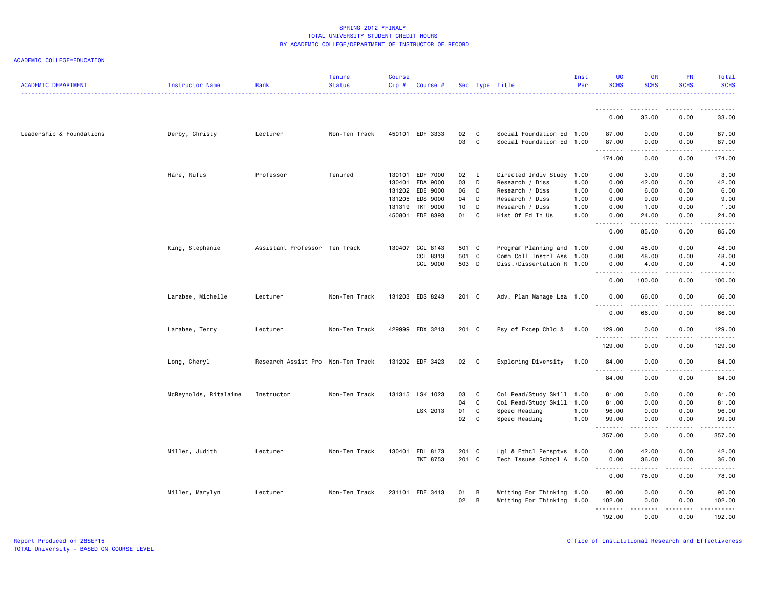| <b>ACADEMIC DEPARTMENT</b> | Instructor Name       | Rank                              | <b>Tenure</b><br><b>Status</b> | <b>Course</b><br>Cip# | Course #        |       |                | Sec Type Title            | Inst<br>Per | <b>UG</b><br><b>SCHS</b> | <b>GR</b><br><b>SCHS</b> | PR<br><b>SCHS</b> | Total<br><b>SCHS</b> |
|----------------------------|-----------------------|-----------------------------------|--------------------------------|-----------------------|-----------------|-------|----------------|---------------------------|-------------|--------------------------|--------------------------|-------------------|----------------------|
|                            |                       |                                   |                                |                       |                 |       |                |                           |             | .                        | -------                  | . <b>.</b>        | $    -$              |
|                            |                       |                                   |                                |                       |                 |       |                |                           |             | 0.00                     | 33.00                    | 0.00              | 33.00                |
| Leadership & Foundations   | Derby, Christy        | Lecturer                          | Non-Ten Track                  |                       | 450101 EDF 3333 | 02    | C              | Social Foundation Ed 1.00 |             | 87.00                    | 0.00                     | 0.00              | 87.00                |
|                            |                       |                                   |                                |                       |                 | 03    | C              | Social Foundation Ed 1.00 |             | 87.00<br>--------        | 0.00<br>.                | 0.00<br>.         | 87.00<br>.           |
|                            |                       |                                   |                                |                       |                 |       |                |                           |             | 174.00                   | 0.00                     | 0.00              | 174.00               |
|                            | Hare, Rufus           | Professor                         | Tenured                        | 130101                | EDF 7000        | 02    | $\blacksquare$ | Directed Indiv Study      | 1.00        | 0.00                     | 3.00                     | 0.00              | 3.00                 |
|                            |                       |                                   |                                | 130401                | EDA 9000        | 03    | D              | Research / Diss           | 1.00        | 0.00                     | 42.00                    | 0.00              | 42.00                |
|                            |                       |                                   |                                |                       | 131202 EDE 9000 | 06    | D              | Research / Diss           | 1.00        | 0.00                     | 6.00                     | 0.00              | 6.00                 |
|                            |                       |                                   |                                | 131205                | EDS 9000        | 04    | D              | Research / Diss           | 1.00        | 0.00                     | 9.00                     | 0.00              | 9.00                 |
|                            |                       |                                   |                                | 131319                | TKT 9000        | 10    | D              | Research / Diss           | 1.00        | 0.00                     | 1.00                     | 0.00              | 1.00                 |
|                            |                       |                                   |                                | 450801                | EDF 8393        | 01    | C              | Hist Of Ed In Us          | 1.00        | 0.00<br>.                | 24.00<br>.               | 0.00<br>.         | 24.00<br>المتمامين   |
|                            |                       |                                   |                                |                       |                 |       |                |                           |             | 0.00                     | 85.00                    | 0.00              | 85.00                |
|                            | King, Stephanie       | Assistant Professor Ten Track     |                                |                       | 130407 CCL 8143 | 501 C |                | Program Planning and 1.00 |             | 0.00                     | 48.00                    | 0.00              | 48.00                |
|                            |                       |                                   |                                |                       | CCL 8313        | 501 C |                | Comm Coll Instrl Ass 1.00 |             | 0.00                     | 48.00                    | 0.00              | 48.00                |
|                            |                       |                                   |                                |                       | CCL 9000        | 503 D |                | Diss./Dissertation R 1.00 |             | 0.00<br>.                | 4.00<br>.                | 0.00<br>د د د د   | 4.00<br>.            |
|                            |                       |                                   |                                |                       |                 |       |                |                           |             | 0.00                     | 100.00                   | 0.00              | 100.00               |
|                            | Larabee, Michelle     | Lecturer                          | Non-Ten Track                  |                       | 131203 EDS 8243 | 201 C |                | Adv. Plan Manage Lea 1.00 |             | 0.00                     | 66.00                    | 0.00              | 66.00                |
|                            |                       |                                   |                                |                       |                 |       |                |                           |             | 0.00                     | 66.00                    | 0.00              | $- - - - -$<br>66.00 |
|                            | Larabee, Terry        | Lecturer                          | Non-Ten Track                  |                       | 429999 EDX 3213 | 201 C |                | Psy of Excep Chld & 1.00  |             | 129.00                   | 0.00                     | 0.00              | 129.00               |
|                            |                       |                                   |                                |                       |                 |       |                |                           |             |                          |                          | - - - -           | .                    |
|                            |                       |                                   |                                |                       |                 |       |                |                           |             | 129.00                   | 0.00                     | 0.00              | 129.00               |
|                            | Long, Cheryl          | Research Assist Pro Non-Ten Track |                                |                       | 131202 EDF 3423 | 02    | C              | Exploring Diversity       | 1.00        | 84.00<br>.               | 0.00<br>.                | 0.00<br>.         | 84.00<br>.           |
|                            |                       |                                   |                                |                       |                 |       |                |                           |             | 84.00                    | 0.00                     | 0.00              | 84.00                |
|                            | McReynolds, Ritalaine | Instructor                        | Non-Ten Track                  |                       | 131315 LSK 1023 | 03    | C              | Col Read/Study Skill 1.00 |             | 81.00                    | 0.00                     | 0.00              | 81.00                |
|                            |                       |                                   |                                |                       |                 | 04    | C              | Col Read/Study Skill 1.00 |             | 81.00                    | 0.00                     | 0.00              | 81.00                |
|                            |                       |                                   |                                |                       | LSK 2013        | 01    | $\mathbf c$    | Speed Reading             | 1.00        | 96.00                    | 0.00                     | 0.00              | 96.00                |
|                            |                       |                                   |                                |                       |                 | 02    | C              | Speed Reading             | 1.00        | 99.00<br><u>.</u>        | 0.00<br>.                | 0.00<br>.         | 99.00<br>.           |
|                            |                       |                                   |                                |                       |                 |       |                |                           |             | 357.00                   | 0.00                     | 0.00              | 357.00               |
|                            | Miller, Judith        | Lecturer                          | Non-Ten Track                  |                       | 130401 EDL 8173 | 201 C |                | Lgl & Ethcl Persptvs 1.00 |             | 0.00                     | 42.00                    | 0.00              | 42.00                |
|                            |                       |                                   |                                |                       | <b>TKT 8753</b> | 201 C |                | Tech Issues School A 1.00 |             | 0.00                     | 36.00                    | 0.00              | 36.00                |
|                            |                       |                                   |                                |                       |                 |       |                |                           |             | .<br>0.00                | .<br>78.00               | .<br>0.00         | ------<br>78.00      |
|                            | Miller, Marylyn       | Lecturer                          | Non-Ten Track                  |                       | 231101 EDF 3413 | 01    | В              | Writing For Thinking 1.00 |             | 90.00                    | 0.00                     | 0.00              | 90.00                |
|                            |                       |                                   |                                |                       |                 | 02    | B              | Writing For Thinking 1.00 |             | 102.00                   | 0.00                     | 0.00              | 102.00               |
|                            |                       |                                   |                                |                       |                 |       |                |                           |             | .<br>192.00              | 0.00                     | 0.00              | 192.00               |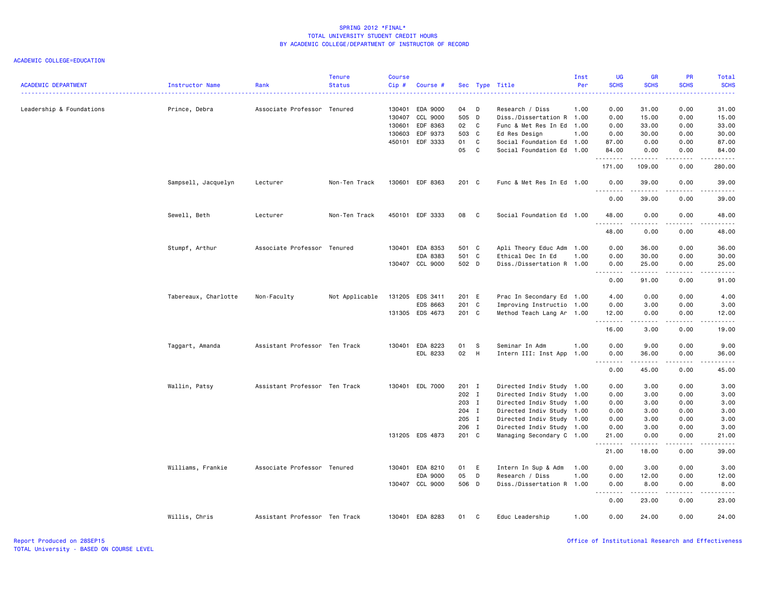| <b>ACADEMIC DEPARTMENT</b> | Instructor Name      | Rank                          | <b>Tenure</b><br><b>Status</b> | <b>Course</b><br>Cip# | Course #        |          |                | Sec Type Title                                         | Inst<br>Per | <b>UG</b><br><b>SCHS</b> | <b>GR</b><br><b>SCHS</b>                                                                                                                                      | PR<br><b>SCHS</b> | Total<br><b>SCHS</b><br>والمستبدات |
|----------------------------|----------------------|-------------------------------|--------------------------------|-----------------------|-----------------|----------|----------------|--------------------------------------------------------|-------------|--------------------------|---------------------------------------------------------------------------------------------------------------------------------------------------------------|-------------------|------------------------------------|
| Leadership & Foundations   | Prince, Debra        | Associate Professor Tenured   |                                | 130401                | EDA 9000        | 04       | D              | Research / Diss                                        | 1.00        | 0.00                     | 31.00                                                                                                                                                         | 0.00              | 31.00                              |
|                            |                      |                               |                                | 130407                | CCL 9000        | 505 D    |                | Diss./Dissertation R 1.00                              |             | 0.00                     | 15.00                                                                                                                                                         | 0.00              | 15.00                              |
|                            |                      |                               |                                | 130601                | EDF 8363        | 02       | C <sub>1</sub> | Func & Met Res In Ed 1.00                              |             | 0.00                     | 33.00                                                                                                                                                         | 0.00              | 33.00                              |
|                            |                      |                               |                                | 130603                | EDF 9373        | 503 C    |                | Ed Res Design                                          | 1.00        | 0.00                     | 30.00                                                                                                                                                         | 0.00              | 30.00                              |
|                            |                      |                               |                                | 450101                | EDF 3333        | 01<br>05 | C<br>C         | Social Foundation Ed 1.00<br>Social Foundation Ed 1.00 |             | 87.00<br>84.00           | 0.00<br>0.00                                                                                                                                                  | 0.00<br>0.00      | 87.00<br>84.00                     |
|                            |                      |                               |                                |                       |                 |          |                |                                                        |             | <u>.</u><br>171.00       | 1.1.1.1.1.1<br>109.00                                                                                                                                         | .<br>0.00         | .<br>280.00                        |
|                            | Sampsell, Jacquelyn  | Lecturer                      | Non-Ten Track                  |                       | 130601 EDF 8363 | 201 C    |                | Func & Met Res In Ed 1.00                              |             | 0.00                     | 39.00                                                                                                                                                         | 0.00              | 39.00                              |
|                            |                      |                               |                                |                       |                 |          |                |                                                        |             | .<br>0.00                | .<br>39.00                                                                                                                                                    | د د د د<br>0.00   | .<br>39.00                         |
|                            | Sewell, Beth         | Lecturer                      | Non-Ten Track                  |                       | 450101 EDF 3333 | 08       | $\mathbf{C}$   | Social Foundation Ed 1.00                              |             | 48.00                    | 0.00                                                                                                                                                          | 0.00              | 48.00                              |
|                            |                      |                               |                                |                       |                 |          |                |                                                        |             | 48.00                    | 0.00                                                                                                                                                          | 0.00              | .<br>48.00                         |
|                            | Stumpf, Arthur       | Associate Professor Tenured   |                                |                       | 130401 EDA 8353 | 501 C    |                | Apli Theory Educ Adm 1.00                              |             | 0.00                     | 36.00                                                                                                                                                         | 0.00              | 36.00                              |
|                            |                      |                               |                                |                       | EDA 8383        | 501 C    |                | Ethical Dec In Ed                                      | 1.00        | 0.00                     | 30.00                                                                                                                                                         | 0.00              | 30.00                              |
|                            |                      |                               |                                |                       | 130407 CCL 9000 | 502 D    |                | Diss./Dissertation R 1.00                              |             | 0.00                     | 25.00                                                                                                                                                         | 0.00              | 25.00                              |
|                            |                      |                               |                                |                       |                 |          |                |                                                        |             | .<br>0.00                | المتمالين<br>91.00                                                                                                                                            | .<br>0.00         | .<br>91.00                         |
|                            | Tabereaux, Charlotte | Non-Faculty                   | Not Applicable                 |                       | 131205 EDS 3411 | 201 E    |                | Prac In Secondary Ed 1.00                              |             | 4.00                     | 0.00                                                                                                                                                          | 0.00              | 4.00                               |
|                            |                      |                               |                                |                       | EDS 8663        | 201 C    |                | Improving Instructio 1.00                              |             | 0.00                     | 3.00                                                                                                                                                          | 0.00              | 3.00                               |
|                            |                      |                               |                                |                       | 131305 EDS 4673 | 201 C    |                | Method Teach Lang Ar 1.00                              |             | 12.00<br>.               | 0.00<br>.                                                                                                                                                     | 0.00<br>.         | 12.00<br>المتمامين                 |
|                            |                      |                               |                                |                       |                 |          |                |                                                        |             | 16.00                    | 3.00                                                                                                                                                          | 0.00              | 19.00                              |
|                            | Taggart, Amanda      | Assistant Professor Ten Track |                                |                       | 130401 EDA 8223 | 01       | - S            | Seminar In Adm                                         | 1.00        | 0.00                     | 9.00                                                                                                                                                          | 0.00              | 9.00                               |
|                            |                      |                               |                                |                       | EDL 8233        | 02       | H              | Intern III: Inst App                                   | 1.00        | 0.00                     | 36.00                                                                                                                                                         | 0.00              | 36.00                              |
|                            |                      |                               |                                |                       |                 |          |                |                                                        |             | <u>.</u><br>0.00         | $\frac{1}{2} \left( \frac{1}{2} \right) \left( \frac{1}{2} \right) \left( \frac{1}{2} \right) \left( \frac{1}{2} \right) \left( \frac{1}{2} \right)$<br>45.00 | .<br>0.00         | $- - - - -$<br>45.00               |
|                            | Wallin, Patsy        | Assistant Professor Ten Track |                                |                       | 130401 EDL 7000 | 201 I    |                | Directed Indiv Study 1.00                              |             | 0.00                     | 3.00                                                                                                                                                          | 0.00              | 3.00                               |
|                            |                      |                               |                                |                       |                 | 202 I    |                | Directed Indiv Study 1.00                              |             | 0.00                     | 3.00                                                                                                                                                          | 0.00              | 3.00                               |
|                            |                      |                               |                                |                       |                 | 203 I    |                | Directed Indiv Study 1.00                              |             | 0.00                     | 3.00                                                                                                                                                          | 0.00              | 3.00                               |
|                            |                      |                               |                                |                       |                 | 204 I    |                | Directed Indiv Study 1.00                              |             | 0.00                     | 3.00                                                                                                                                                          | 0.00              | 3.00                               |
|                            |                      |                               |                                |                       |                 | 205 I    |                | Directed Indiv Study 1.00                              |             | 0.00                     | 3.00                                                                                                                                                          | 0.00              | 3.00                               |
|                            |                      |                               |                                |                       |                 | 206 I    |                | Directed Indiv Study 1.00                              |             | 0.00                     | 3.00                                                                                                                                                          | 0.00              | 3.00                               |
|                            |                      |                               |                                |                       | 131205 EDS 4873 | 201 C    |                | Managing Secondary C 1.00                              |             | 21.00<br>.               | 0.00<br>$\frac{1}{2} \left( \frac{1}{2} \right) \left( \frac{1}{2} \right) \left( \frac{1}{2} \right) \left( \frac{1}{2} \right) \left( \frac{1}{2} \right)$  | 0.00<br>.         | 21.00<br>-----                     |
|                            |                      |                               |                                |                       |                 |          |                |                                                        |             | 21.00                    | 18.00                                                                                                                                                         | 0.00              | 39.00                              |
|                            | Williams, Frankie    | Associate Professor Tenured   |                                |                       | 130401 EDA 8210 | 01       | E              | Intern In Sup & Adm                                    | 1.00        | 0.00                     | 3.00                                                                                                                                                          | 0.00              | 3.00                               |
|                            |                      |                               |                                |                       | EDA 9000        | 05       | D              | Research / Diss                                        | 1.00        | 0.00                     | 12.00                                                                                                                                                         | 0.00              | 12.00                              |
|                            |                      |                               |                                |                       | 130407 CCL 9000 | 506 D    |                | Diss./Dissertation R 1.00                              |             | 0.00<br><u>.</u>         | 8.00<br>2.2.2.2.2.2                                                                                                                                           | 0.00<br>.         | 8.00<br>$    -$                    |
|                            |                      |                               |                                |                       |                 |          |                |                                                        |             | 0.00                     | 23.00                                                                                                                                                         | 0.00              | 23.00                              |
|                            | Willis, Chris        | Assistant Professor Ten Track |                                |                       | 130401 EDA 8283 | 01       | C              | Educ Leadership                                        | 1.00        | 0.00                     | 24.00                                                                                                                                                         | 0.00              | 24.00                              |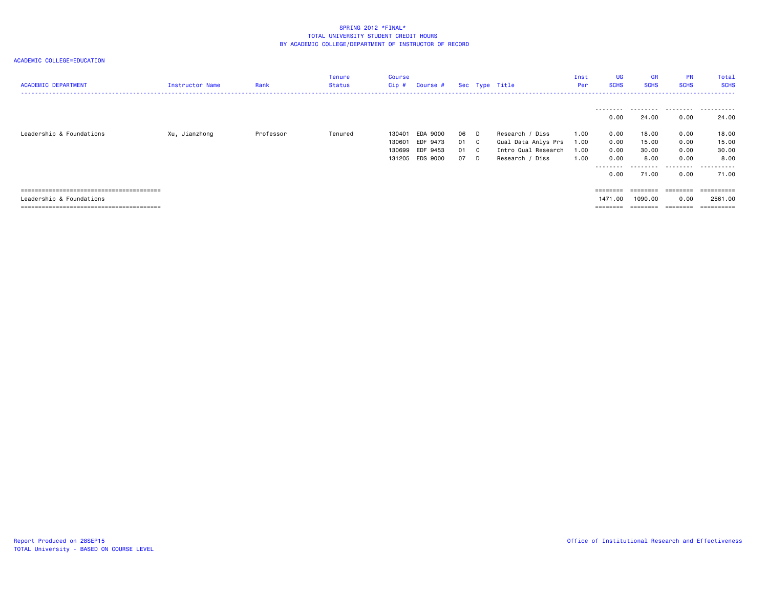| <b>ACADEMIC DEPARTMENT</b> | Instructor Name | Rank      | Tenure<br>Status | Course<br>Cip # | Course #        |      |      | Sec Type Title      | Inst<br>Per | <b>UG</b><br><b>SCHS</b> | <b>GR</b><br><b>SCHS</b> | <b>PR</b><br><b>SCHS</b> | Total<br><b>SCHS</b> |
|----------------------------|-----------------|-----------|------------------|-----------------|-----------------|------|------|---------------------|-------------|--------------------------|--------------------------|--------------------------|----------------------|
|                            |                 |           |                  |                 |                 |      |      |                     |             |                          |                          |                          |                      |
|                            |                 |           |                  |                 |                 |      |      |                     |             | 0.00                     | 24.00                    | 0.00                     | 24.00                |
| Leadership & Foundations   | Xu, Jianzhong   | Professor | Tenured          | 130401          | EDA 9000        | 06 D |      | Research / Diss     | 1.00        | 0.00                     | 18.00                    | 0.00                     | 18.00                |
|                            |                 |           |                  | 130601          | EDF 9473        |      | 01 C | Qual Data Anlys Prs | 1.00        | 0.00                     | 15.00                    | 0.00                     | 15.00                |
|                            |                 |           |                  | 130699          | EDF 9453        | 01 C |      | Intro Qual Research | 1.00        | 0.00                     | 30.00                    | 0.00                     | 30.00                |
|                            |                 |           |                  |                 | 131205 EDS 9000 | 07 D |      | Research / Diss     | 1.00        | 0.00                     | 8.00                     | 0.00                     | 8,00                 |
|                            |                 |           |                  |                 |                 |      |      |                     |             | ---------                | .                        | .                        | .                    |
|                            |                 |           |                  |                 |                 |      |      |                     |             | 0.00                     | 71.00                    | 0.00                     | 71.00                |
|                            |                 |           |                  |                 |                 |      |      |                     |             |                          |                          |                          |                      |
|                            |                 |           |                  |                 |                 |      |      |                     |             | ========                 | $=$ = = = = = = =        | ========                 | -----------          |
| Leadership & Foundations   |                 |           |                  |                 |                 |      |      |                     |             | 1471.00                  | 1090.00                  | 0.00                     | 2561.00              |
|                            |                 |           |                  |                 |                 |      |      |                     |             | $=$ = = = = = = =        | $=$ = = = = = = =        | ========                 | ==========           |
|                            |                 |           |                  |                 |                 |      |      |                     |             |                          |                          |                          |                      |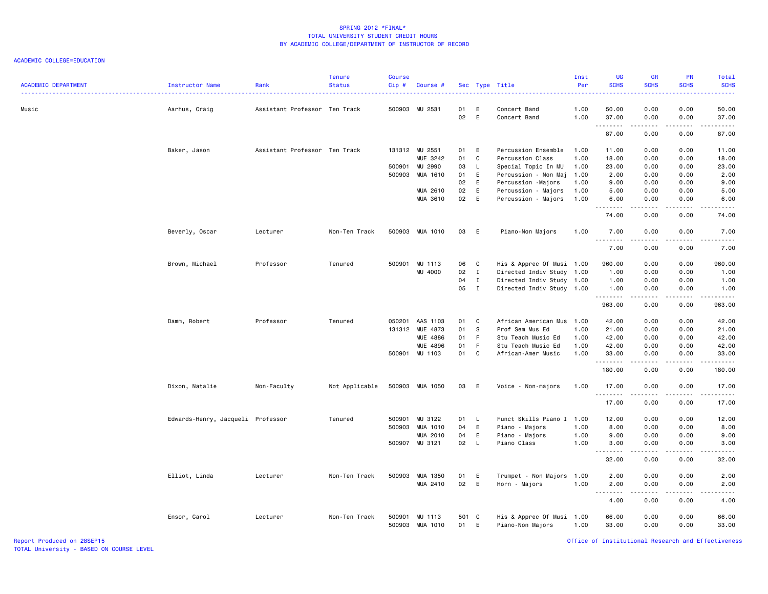### ACADEMIC COLLEGE=EDUCATION

| <b>ACADEMIC DEPARTMENT</b><br>Instructor Name | Rank                          | <b>Tenure</b><br><b>Status</b> | <b>Course</b><br>$Cip$ # | Course #                   |             | Sec Type Title |                                               | Inst<br>Per  | <b>UG</b><br><b>SCHS</b> | <b>GR</b><br><b>SCHS</b>                                                                                                          | PR<br><b>SCHS</b>            | Total<br><b>SCHS</b><br>.          |
|-----------------------------------------------|-------------------------------|--------------------------------|--------------------------|----------------------------|-------------|----------------|-----------------------------------------------|--------------|--------------------------|-----------------------------------------------------------------------------------------------------------------------------------|------------------------------|------------------------------------|
| Music<br>Aarhus, Craig                        | Assistant Professor Ten Track |                                |                          | 500903 MU 2531             | 01<br>02    | E<br>E         | Concert Band<br>Concert Band                  | 1.00<br>1.00 | 50.00<br>37.00           | 0.00<br>0.00                                                                                                                      | 0.00<br>0.00                 | 50.00<br>37.00                     |
|                                               |                               |                                |                          |                            |             |                |                                               |              | .<br>87.00               | 22222<br>0.00                                                                                                                     | .<br>0.00                    | .<br>87.00                         |
| Baker, Jason                                  | Assistant Professor Ten Track |                                |                          | 131312 MU 2551             | 01 E        |                | Percussion Ensemble                           | 1.00         | 11.00                    | 0.00                                                                                                                              | 0.00                         | 11.00                              |
|                                               |                               |                                |                          | MUE 3242                   | 01          | C              | Percussion Class                              | 1.00         | 18.00                    | 0.00                                                                                                                              | 0.00                         | 18.00                              |
|                                               |                               |                                |                          | 500901 MU 2990             | 03          | $\mathsf{L}$   | Special Topic In MU                           | 1.00         | 23.00                    | 0.00                                                                                                                              | 0.00                         | 23.00                              |
|                                               |                               |                                |                          | 500903 MUA 1610            | 01          | E              | Percussion - Non Maj                          | 1.00         | 2.00                     | 0.00                                                                                                                              | 0.00                         | 2.00                               |
|                                               |                               |                                |                          |                            | 02          | E              | Percussion -Majors                            | 1.00         | 9.00                     | 0.00                                                                                                                              | 0.00                         | 9.00                               |
|                                               |                               |                                |                          | MUA 2610                   | 02          | E              | Percussion - Majors                           | 1.00         | 5.00                     | 0.00                                                                                                                              | 0.00                         | 5.00                               |
|                                               |                               |                                |                          | MUA 3610                   | 02          | E              | Percussion - Majors                           | 1.00         | 6.00                     | 0.00                                                                                                                              | 0.00                         | 6.00<br>.                          |
|                                               |                               |                                |                          |                            |             |                |                                               |              | .<br>74.00               | 0.00                                                                                                                              | $\sim$ $\sim$ $\sim$<br>0.00 | 74.00                              |
| Beverly, Oscar                                | Lecturer                      | Non-Ten Track                  |                          | 500903 MUA 1010            | 03          | E              | Piano-Non Majors                              | 1.00         | 7.00<br>.                | 0.00<br>.                                                                                                                         | 0.00<br>.                    | 7.00<br>$- - - - -$                |
|                                               |                               |                                |                          |                            |             |                |                                               |              | 7.00                     | 0.00                                                                                                                              | 0.00                         | 7.00                               |
| Brown, Michael                                | Professor                     | Tenured                        |                          | 500901 MU 1113             | 06          | $\mathbf{C}$   | His & Apprec Of Musi 1.00                     |              | 960.00                   | 0.00                                                                                                                              | 0.00                         | 960.00                             |
|                                               |                               |                                |                          | MU 4000                    | 02          | $\mathbf{I}$   | Directed Indiv Study                          | 1.00         | 1.00                     | 0.00                                                                                                                              | 0.00                         | 1.00                               |
|                                               |                               |                                |                          |                            | 04          | $\mathbf I$    | Directed Indiv Study 1.00                     |              | 1.00                     | 0.00                                                                                                                              | 0.00                         | 1.00                               |
|                                               |                               |                                |                          |                            | 05          | $\mathbf{I}$   | Directed Indiv Study 1.00                     |              | 1.00                     | 0.00                                                                                                                              | 0.00                         | 1.00                               |
|                                               |                               |                                |                          |                            |             |                |                                               |              | .<br>963.00              | .<br>0.00                                                                                                                         | .<br>0.00                    | $\mathbb{Z}$ is a set of<br>963.00 |
|                                               |                               |                                |                          |                            |             |                |                                               |              |                          |                                                                                                                                   |                              |                                    |
| Damm, Robert                                  | Professor                     | Tenured                        | 050201                   | AAS 1103                   | 01          | C              | African American Mus                          | 1.00         | 42.00                    | 0.00                                                                                                                              | 0.00                         | 42.00                              |
|                                               |                               |                                |                          | 131312 MUE 4873            | 01          | S              | Prof Sem Mus Ed                               | 1.00         | 21.00                    | 0.00                                                                                                                              | 0.00                         | 21.00                              |
|                                               |                               |                                |                          | MUE 4886                   | 01          | F              | Stu Teach Music Ed                            | 1.00         | 42.00                    | 0.00                                                                                                                              | 0.00                         | 42.00                              |
|                                               |                               |                                |                          | MUE 4896                   | 01          | $-F$           | Stu Teach Music Ed                            | 1.00         | 42.00                    | 0.00                                                                                                                              | 0.00                         | 42.00                              |
|                                               |                               |                                |                          | 500901 MU 1103             | 01          | C <sub>1</sub> | African-Amer Music                            | 1.00         | 33.00<br>.               | 0.00<br>.                                                                                                                         | 0.00<br>.                    | 33.00<br>.                         |
|                                               |                               |                                |                          |                            |             |                |                                               |              | 180.00                   | 0.00                                                                                                                              | 0.00                         | 180.00                             |
| Dixon, Natalie                                | Non-Faculty                   | Not Applicable                 |                          | 500903 MUA 1050            | 03          | E              | Voice - Non-majors                            | 1.00         | 17.00<br>--------        | 0.00<br>-----                                                                                                                     | 0.00<br>.                    | 17.00<br>.                         |
|                                               |                               |                                |                          |                            |             |                |                                               |              | 17.00                    | 0.00                                                                                                                              | 0.00                         | 17.00                              |
| Edwards-Henry, Jacqueli Professor             |                               | Tenured                        |                          | 500901 MU 3122             | 01          | $\mathsf{L}$   | Funct Skills Piano I 1.00                     |              | 12.00                    | 0.00                                                                                                                              | 0.00                         | 12.00                              |
|                                               |                               |                                |                          | 500903 MUA 1010            | 04          | E              | Piano - Majors                                | 1.00         | 8.00                     | 0.00                                                                                                                              | 0.00                         | 8.00                               |
|                                               |                               |                                |                          | MUA 2010                   | 04          | E              | Piano - Majors                                | 1.00         | 9.00                     | 0.00                                                                                                                              | 0.00                         | 9.00                               |
|                                               |                               |                                |                          | 500907 MU 3121             | 02          | $\mathsf{L}$   | Piano Class                                   | 1.00         | 3.00                     | 0.00                                                                                                                              | 0.00                         | 3.00                               |
|                                               |                               |                                |                          |                            |             |                |                                               |              | .                        | .                                                                                                                                 | .                            | 22222                              |
|                                               |                               |                                |                          |                            |             |                |                                               |              | 32.00                    | 0.00                                                                                                                              | 0.00                         | 32.00                              |
| Elliot, Linda                                 | Lecturer                      | Non-Ten Track                  |                          | 500903 MUA 1350            | 01          | E              | Trumpet - Non Majors                          | 1.00         | 2.00                     | 0.00                                                                                                                              | 0.00                         | 2.00                               |
|                                               |                               |                                |                          | MUA 2410                   | 02          | E              | Horn - Majors                                 | 1.00         | 2.00<br>.                | 0.00<br>$\frac{1}{2} \left( \frac{1}{2} \right) \left( \frac{1}{2} \right) \left( \frac{1}{2} \right) \left( \frac{1}{2} \right)$ | 0.00<br>.                    | 2.00<br>.                          |
|                                               |                               |                                |                          |                            |             |                |                                               |              | 4.00                     | 0.00                                                                                                                              | 0.00                         | 4.00                               |
| Ensor, Carol                                  | Lecturer                      | Non-Ten Track                  | 500901                   | MU 1113<br>500903 MUA 1010 | 501 C<br>01 | E              | His & Apprec Of Musi 1.00<br>Piano-Non Majors | 1.00         | 66.00<br>33.00           | 0.00<br>0.00                                                                                                                      | 0.00<br>0.00                 | 66.00<br>33.00                     |

Report Produced on 28SEP15 Office of Institutional Research and Effectiveness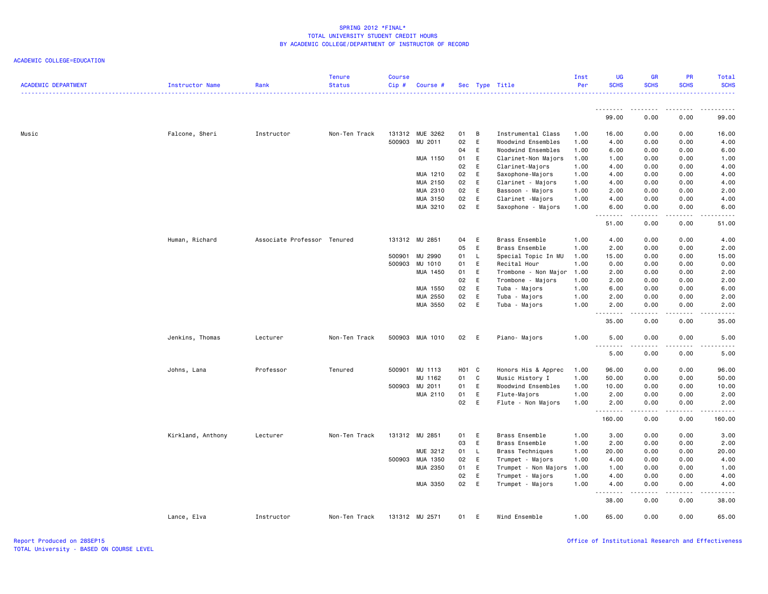| <b>ACADEMIC DEPARTMENT</b> | Instructor Name   | Rank                        | <b>Tenure</b><br><b>Status</b> | <b>Course</b><br>Cip# | Course #        |       |          | Sec Type Title       | Inst<br>Per | <b>UG</b><br><b>SCHS</b> | <b>GR</b><br><b>SCHS</b> | PR<br><b>SCHS</b>                           | Total<br><b>SCHS</b><br>. <u>.</u> . |
|----------------------------|-------------------|-----------------------------|--------------------------------|-----------------------|-----------------|-------|----------|----------------------|-------------|--------------------------|--------------------------|---------------------------------------------|--------------------------------------|
|                            |                   |                             |                                |                       |                 |       |          |                      |             | .<br>99.00               | .<br>0.00                | $- - - - -$<br>0.00                         | .<br>99.00                           |
| Music                      | Falcone, Sheri    | Instructor                  | Non-Ten Track                  |                       | 131312 MUE 3262 | 01    | B        | Instrumental Class   | 1.00        | 16.00                    | 0.00                     | 0.00                                        | 16.00                                |
|                            |                   |                             |                                | 500903                | MU 2011         | 02    | E        | Woodwind Ensembles   | 1.00        | 4.00                     | 0.00                     | 0.00                                        | 4.00                                 |
|                            |                   |                             |                                |                       |                 | 04    | E        | Woodwind Ensembles   | 1.00        | 6.00                     | 0.00                     | 0.00                                        | 6.00                                 |
|                            |                   |                             |                                |                       | MUA 1150        | 01    | E        | Clarinet-Non Majors  | 1.00        | 1.00                     | 0.00                     | 0.00                                        | 1.00                                 |
|                            |                   |                             |                                |                       |                 | 02    | E        | Clarinet-Majors      | 1.00        | 4.00                     | 0.00                     | 0.00                                        | 4.00                                 |
|                            |                   |                             |                                |                       | MUA 1210        | 02    | E        | Saxophone-Majors     | 1.00        | 4.00                     | 0.00                     | 0.00                                        | 4.00                                 |
|                            |                   |                             |                                |                       | MUA 2150        | 02    | E        | Clarinet - Majors    | 1.00        | 4.00                     | 0.00                     | 0.00                                        | 4.00                                 |
|                            |                   |                             |                                |                       | MUA 2310        | 02    | E        | Bassoon - Majors     | 1.00        | 2.00                     | 0.00                     | 0.00                                        | 2.00                                 |
|                            |                   |                             |                                |                       | MUA 3150        | 02    | Ε        | Clarinet -Majors     | 1.00        | 4.00                     | 0.00                     | 0.00                                        | 4.00                                 |
|                            |                   |                             |                                |                       | MUA 3210        | 02    | E        | Saxophone - Majors   | 1.00        | 6.00                     | 0.00                     | 0.00                                        | 6.00                                 |
|                            |                   |                             |                                |                       |                 |       |          |                      |             | .<br>51.00               | .<br>0.00                | $\omega$ $\omega$ $\omega$ $\omega$<br>0.00 | $    -$<br>51.00                     |
|                            | Human, Richard    | Associate Professor Tenured |                                |                       | 131312 MU 2851  | 04    | E        | Brass Ensemble       | 1.00        | 4.00                     | 0.00                     | 0.00                                        | 4.00                                 |
|                            |                   |                             |                                |                       |                 | 05    | E        | Brass Ensemble       | 1.00        | 2.00                     | 0.00                     | 0.00                                        | 2.00                                 |
|                            |                   |                             |                                | 500901                | MU 2990         | 01    | L.       | Special Topic In MU  | 1.00        | 15.00                    | 0.00                     | 0.00                                        | 15.00                                |
|                            |                   |                             |                                | 500903                | MU 1010         | 01    | E        | Recital Hour         | 1.00        | 0.00                     | 0.00                     | 0.00                                        | 0.00                                 |
|                            |                   |                             |                                |                       | MUA 1450        | 01    | E        | Trombone - Non Major | 1.00        | 2.00                     | 0.00                     | 0.00                                        | 2.00                                 |
|                            |                   |                             |                                |                       |                 | 02    | E        | Trombone - Majors    | 1.00        | 2.00                     | 0.00                     | 0.00                                        | 2.00                                 |
|                            |                   |                             |                                |                       | MUA 1550        | 02    | E        | Tuba - Majors        | 1.00        | 6.00                     | 0.00                     | 0.00                                        | 6.00                                 |
|                            |                   |                             |                                |                       | MUA 2550        | 02    | E        | Tuba - Majors        | 1.00        | 2.00                     | 0.00                     | 0.00                                        | 2.00                                 |
|                            |                   |                             |                                |                       | MUA 3550        | 02    | E        | Tuba - Majors        | 1.00        | 2.00<br>.                | 0.00<br>.                | 0.00<br>.                                   | 2.00<br>.                            |
|                            |                   |                             |                                |                       |                 |       |          |                      |             | 35.00                    | 0.00                     | 0.00                                        | 35.00                                |
|                            | Jenkins, Thomas   | Lecturer                    | Non-Ten Track                  |                       | 500903 MUA 1010 | 02    | E        | Piano- Majors        | 1.00        | 5.00<br>.                | 0.00                     | 0.00                                        | 5.00                                 |
|                            |                   |                             |                                |                       |                 |       |          |                      |             | 5.00                     | 0.00                     | 0.00                                        | 5.00                                 |
|                            | Johns, Lana       | Professor                   | Tenured                        |                       | 500901 MU 1113  | H01 C |          | Honors His & Apprec  | 1.00        | 96.00                    | 0.00                     | 0.00                                        | 96.00                                |
|                            |                   |                             |                                |                       | MU 1162         | 01    | C        | Music History I      | 1.00        | 50.00                    | 0.00                     | 0.00                                        | 50.00                                |
|                            |                   |                             |                                |                       | 500903 MU 2011  | 01    | E        | Woodwind Ensembles   | 1.00        | 10.00                    | 0.00                     | 0.00                                        | 10.00                                |
|                            |                   |                             |                                |                       | MUA 2110        | 01    | E        | Flute-Majors         | 1.00        | 2.00                     | 0.00                     | 0.00                                        | 2.00                                 |
|                            |                   |                             |                                |                       |                 | 02    | E        | Flute - Non Majors   | 1.00        | 2.00<br>.                | 0.00<br>-----            | 0.00<br>.                                   | 2.00<br>.                            |
|                            |                   |                             |                                |                       |                 |       |          |                      |             | 160.00                   | 0.00                     | 0.00                                        | 160.00                               |
|                            | Kirkland, Anthony | Lecturer                    | Non-Ten Track                  |                       | 131312 MU 2851  | 01    | E        | Brass Ensemble       | 1.00        | 3.00                     | 0.00                     | 0.00                                        | 3.00                                 |
|                            |                   |                             |                                |                       |                 | 03    | E        | Brass Ensemble       | 1.00        | 2.00                     | 0.00                     | 0.00                                        | 2.00                                 |
|                            |                   |                             |                                |                       | MUE 3212        | 01    | <b>L</b> | Brass Techniques     | 1.00        | 20.00                    | 0.00                     | 0.00                                        | 20.00                                |
|                            |                   |                             |                                | 500903                | MUA 1350        | 02    | E        | Trumpet - Majors     | 1.00        | 4.00                     | 0.00                     | 0.00                                        | 4.00                                 |
|                            |                   |                             |                                |                       | MUA 2350        | 01    | E        | Trumpet - Non Majors | 1.00        | 1.00                     | 0.00                     | 0.00                                        | 1.00                                 |
|                            |                   |                             |                                |                       |                 | 02    | E        | Trumpet - Majors     | 1.00        | 4.00                     | 0.00                     | 0.00                                        | 4.00                                 |
|                            |                   |                             |                                |                       | MUA 3350        | 02    | E        | Trumpet - Majors     | 1.00        | 4.00<br>.                | 0.00<br>.                | 0.00<br>.                                   | 4.00<br>د د د د د                    |
|                            |                   |                             |                                |                       |                 |       |          |                      |             | 38.00                    | 0.00                     | 0.00                                        | 38.00                                |
|                            | Lance, Elva       | Instructor                  | Non-Ten Track                  |                       | 131312 MU 2571  | 01    | E        | Wind Ensemble        | 1.00        | 65.00                    | 0.00                     | 0.00                                        | 65.00                                |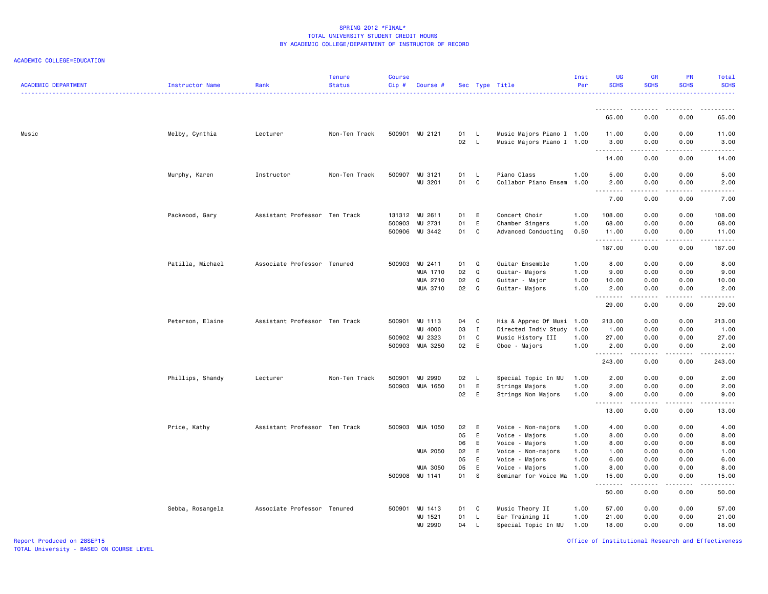### ACADEMIC COLLEGE=EDUCATION

| <b>ACADEMIC DEPARTMENT</b> | Instructor Name  | Rank                          | <b>Tenure</b><br><b>Status</b> | <b>Course</b><br>Cip# | Course #        |      |              | Sec Type Title            | Inst<br>Per | UG<br><b>SCHS</b>                                                                                                                                                                                                                                                                                                                                                                                                                                                                              | <b>GR</b><br><b>SCHS</b> | PR<br><b>SCHS</b>            | Total<br><b>SCHS</b><br><u>.</u>                                                                                                                             |
|----------------------------|------------------|-------------------------------|--------------------------------|-----------------------|-----------------|------|--------------|---------------------------|-------------|------------------------------------------------------------------------------------------------------------------------------------------------------------------------------------------------------------------------------------------------------------------------------------------------------------------------------------------------------------------------------------------------------------------------------------------------------------------------------------------------|--------------------------|------------------------------|--------------------------------------------------------------------------------------------------------------------------------------------------------------|
|                            |                  |                               |                                |                       |                 |      |              |                           |             | .                                                                                                                                                                                                                                                                                                                                                                                                                                                                                              | <u>.</u>                 | .                            | .                                                                                                                                                            |
|                            |                  |                               |                                |                       |                 |      |              |                           |             | 65.00                                                                                                                                                                                                                                                                                                                                                                                                                                                                                          | 0.00                     | 0.00                         | 65.00                                                                                                                                                        |
| Music                      | Melby, Cynthia   | Lecturer                      | Non-Ten Track                  |                       | 500901 MU 2121  | 01 L |              | Music Majors Piano I 1.00 |             | 11.00                                                                                                                                                                                                                                                                                                                                                                                                                                                                                          | 0.00                     | 0.00                         | 11.00                                                                                                                                                        |
|                            |                  |                               |                                |                       |                 | 02   | $\mathsf{L}$ | Music Majors Piano I 1.00 |             | 3.00<br>.                                                                                                                                                                                                                                                                                                                                                                                                                                                                                      | 0.00<br>.                | 0.00<br>$\frac{1}{2}$        | 3.00<br>$- - - - -$                                                                                                                                          |
|                            |                  |                               |                                |                       |                 |      |              |                           |             | 14.00                                                                                                                                                                                                                                                                                                                                                                                                                                                                                          | 0.00                     | 0.00                         | 14.00                                                                                                                                                        |
|                            | Murphy, Karen    | Instructor                    | Non-Ten Track                  |                       | 500907 MU 3121  | 01   | $\mathsf{L}$ | Piano Class               | 1.00        | 5.00                                                                                                                                                                                                                                                                                                                                                                                                                                                                                           | 0.00                     | 0.00                         | 5.00                                                                                                                                                         |
|                            |                  |                               |                                |                       | MU 3201         | 01 C |              | Collabor Piano Ensem      | 1.00        | 2.00                                                                                                                                                                                                                                                                                                                                                                                                                                                                                           | 0.00                     | 0.00                         | 2.00                                                                                                                                                         |
|                            |                  |                               |                                |                       |                 |      |              |                           |             | $\begin{array}{cccccccccccccc} \multicolumn{2}{c}{} & \multicolumn{2}{c}{} & \multicolumn{2}{c}{} & \multicolumn{2}{c}{} & \multicolumn{2}{c}{} & \multicolumn{2}{c}{} & \multicolumn{2}{c}{} & \multicolumn{2}{c}{} & \multicolumn{2}{c}{} & \multicolumn{2}{c}{} & \multicolumn{2}{c}{} & \multicolumn{2}{c}{} & \multicolumn{2}{c}{} & \multicolumn{2}{c}{} & \multicolumn{2}{c}{} & \multicolumn{2}{c}{} & \multicolumn{2}{c}{} & \multicolumn{2}{c}{} & \multicolumn{2}{c}{} & \$<br>7.00 | -----<br>0.00            | .<br>0.00                    | $\frac{1}{2} \left( \frac{1}{2} \right) \left( \frac{1}{2} \right) \left( \frac{1}{2} \right) \left( \frac{1}{2} \right) \left( \frac{1}{2} \right)$<br>7.00 |
|                            | Packwood, Gary   | Assistant Professor Ten Track |                                |                       | 131312 MU 2611  | 01 E |              | Concert Choir             | 1.00        | 108.00                                                                                                                                                                                                                                                                                                                                                                                                                                                                                         | 0.00                     | 0.00                         | 108.00                                                                                                                                                       |
|                            |                  |                               |                                |                       | 500903 MU 2731  | 01   | E            | Chamber Singers           | 1.00        | 68.00                                                                                                                                                                                                                                                                                                                                                                                                                                                                                          | 0.00                     | 0.00                         | 68.00                                                                                                                                                        |
|                            |                  |                               |                                |                       | 500906 MU 3442  | 01 C |              | Advanced Conducting       | 0.50        | 11.00<br>.                                                                                                                                                                                                                                                                                                                                                                                                                                                                                     | 0.00<br>.                | 0.00<br>$\sim$ $\sim$ $\sim$ | 11.00<br>.                                                                                                                                                   |
|                            |                  |                               |                                |                       |                 |      |              |                           |             | 187.00                                                                                                                                                                                                                                                                                                                                                                                                                                                                                         | 0.00                     | 0.00                         | 187.00                                                                                                                                                       |
|                            | Patilla, Michael | Associate Professor Tenured   |                                |                       | 500903 MU 2411  | 01   | Q            | Guitar Ensemble           | 1.00        | 8.00                                                                                                                                                                                                                                                                                                                                                                                                                                                                                           | 0.00                     | 0.00                         | 8.00                                                                                                                                                         |
|                            |                  |                               |                                |                       | MUA 1710        | 02   | Q            | Guitar- Majors            | 1.00        | 9.00                                                                                                                                                                                                                                                                                                                                                                                                                                                                                           | 0.00                     | 0.00                         | 9.00                                                                                                                                                         |
|                            |                  |                               |                                |                       | MUA 2710        | 02   | Q            | Guitar - Major            | 1.00        | 10.00                                                                                                                                                                                                                                                                                                                                                                                                                                                                                          | 0.00                     | 0.00                         | 10.00                                                                                                                                                        |
|                            |                  |                               |                                |                       | MUA 3710        | 02   | Q            | Guitar- Majors            | 1.00        | 2.00<br><b></b>                                                                                                                                                                                                                                                                                                                                                                                                                                                                                | 0.00<br>.                | 0.00<br>.                    | 2.00<br>المتمامين                                                                                                                                            |
|                            |                  |                               |                                |                       |                 |      |              |                           |             | 29.00                                                                                                                                                                                                                                                                                                                                                                                                                                                                                          | 0.00                     | 0.00                         | 29.00                                                                                                                                                        |
|                            | Peterson, Elaine | Assistant Professor Ten Track |                                |                       | 500901 MU 1113  | 04   | $\mathbf{C}$ | His & Apprec Of Musi      | 1.00        | 213.00                                                                                                                                                                                                                                                                                                                                                                                                                                                                                         | 0.00                     | 0.00                         | 213.00                                                                                                                                                       |
|                            |                  |                               |                                |                       | MU 4000         | 03   | $\mathbf{I}$ | Directed Indiv Study      | 1.00        | 1.00                                                                                                                                                                                                                                                                                                                                                                                                                                                                                           | 0.00                     | 0.00                         | 1.00                                                                                                                                                         |
|                            |                  |                               |                                |                       | 500902 MU 2323  | 01   | C            | Music History III         | 1.00        | 27.00                                                                                                                                                                                                                                                                                                                                                                                                                                                                                          | 0.00                     | 0.00                         | 27.00                                                                                                                                                        |
|                            |                  |                               |                                |                       | 500903 MUA 3250 | 02 E |              | Oboe - Majors             | 1.00        | 2.00<br><u>.</u>                                                                                                                                                                                                                                                                                                                                                                                                                                                                               | 0.00<br>-----            | 0.00<br>.                    | 2.00<br>.                                                                                                                                                    |
|                            |                  |                               |                                |                       |                 |      |              |                           |             | 243.00                                                                                                                                                                                                                                                                                                                                                                                                                                                                                         | 0.00                     | 0.00                         | 243.00                                                                                                                                                       |
|                            | Phillips, Shandy | Lecturer                      | Non-Ten Track                  |                       | 500901 MU 2990  | 02   | $\mathsf{L}$ | Special Topic In MU       | 1.00        | 2.00                                                                                                                                                                                                                                                                                                                                                                                                                                                                                           | 0.00                     | 0.00                         | 2.00                                                                                                                                                         |
|                            |                  |                               |                                |                       | 500903 MUA 1650 | 01   | E            | Strings Majors            | 1.00        | 2.00                                                                                                                                                                                                                                                                                                                                                                                                                                                                                           | 0.00                     | 0.00                         | 2.00                                                                                                                                                         |
|                            |                  |                               |                                |                       |                 | 02   | E            | Strings Non Majors        | 1.00        | 9.00<br><u>.</u>                                                                                                                                                                                                                                                                                                                                                                                                                                                                               | 0.00<br>.                | 0.00<br>.                    | 9.00<br>$- - - - -$                                                                                                                                          |
|                            |                  |                               |                                |                       |                 |      |              |                           |             | 13.00                                                                                                                                                                                                                                                                                                                                                                                                                                                                                          | 0.00                     | 0.00                         | 13.00                                                                                                                                                        |
|                            | Price, Kathy     | Assistant Professor Ten Track |                                |                       | 500903 MUA 1050 | 02   | E            | Voice - Non-majors        | 1.00        | 4.00                                                                                                                                                                                                                                                                                                                                                                                                                                                                                           | 0.00                     | 0.00                         | 4.00                                                                                                                                                         |
|                            |                  |                               |                                |                       |                 | 05   | E            | Voice - Majors            | 1.00        | 8.00                                                                                                                                                                                                                                                                                                                                                                                                                                                                                           | 0.00                     | 0.00                         | 8.00                                                                                                                                                         |
|                            |                  |                               |                                |                       |                 | 06   | E            | Voice - Majors            | 1.00        | 8.00                                                                                                                                                                                                                                                                                                                                                                                                                                                                                           | 0.00                     | 0.00                         | 8.00                                                                                                                                                         |
|                            |                  |                               |                                |                       | MUA 2050        | 02   | E            | Voice - Non-majors        | 1.00        | 1.00                                                                                                                                                                                                                                                                                                                                                                                                                                                                                           | 0.00                     | 0.00                         | 1.00                                                                                                                                                         |
|                            |                  |                               |                                |                       |                 | 05   | E            | Voice - Majors            | 1.00        | 6.00                                                                                                                                                                                                                                                                                                                                                                                                                                                                                           | 0.00                     | 0.00                         | 6.00                                                                                                                                                         |
|                            |                  |                               |                                |                       | MUA 3050        | 05   | E            | Voice - Majors            | 1.00        | 8.00                                                                                                                                                                                                                                                                                                                                                                                                                                                                                           | 0.00                     | 0.00                         | 8.00                                                                                                                                                         |
|                            |                  |                               |                                |                       | 500908 MU 1141  | 01   | s            | Seminar for Voice Ma      | 1.00        | 15.00<br>.                                                                                                                                                                                                                                                                                                                                                                                                                                                                                     | 0.00<br>.                | 0.00<br>.                    | 15.00<br>المتمامين                                                                                                                                           |
|                            |                  |                               |                                |                       |                 |      |              |                           |             | 50.00                                                                                                                                                                                                                                                                                                                                                                                                                                                                                          | 0.00                     | 0.00                         | 50.00                                                                                                                                                        |
|                            | Sebba, Rosangela | Associate Professor Tenured   |                                |                       | 500901 MU 1413  | 01   | C.           | Music Theory II           | 1.00        | 57.00                                                                                                                                                                                                                                                                                                                                                                                                                                                                                          | 0.00                     | 0.00                         | 57.00                                                                                                                                                        |
|                            |                  |                               |                                |                       | MU 1521         | 01   | - L          | Ear Training II           | 1.00        | 21.00                                                                                                                                                                                                                                                                                                                                                                                                                                                                                          | 0.00                     | 0.00                         | 21.00                                                                                                                                                        |
|                            |                  |                               |                                |                       | MU 2990         | 04   | L.           | Special Topic In MU       | 1.00        | 18.00                                                                                                                                                                                                                                                                                                                                                                                                                                                                                          | 0.00                     | 0.00                         | 18.00                                                                                                                                                        |

Office of Institutional Research and Effectiveness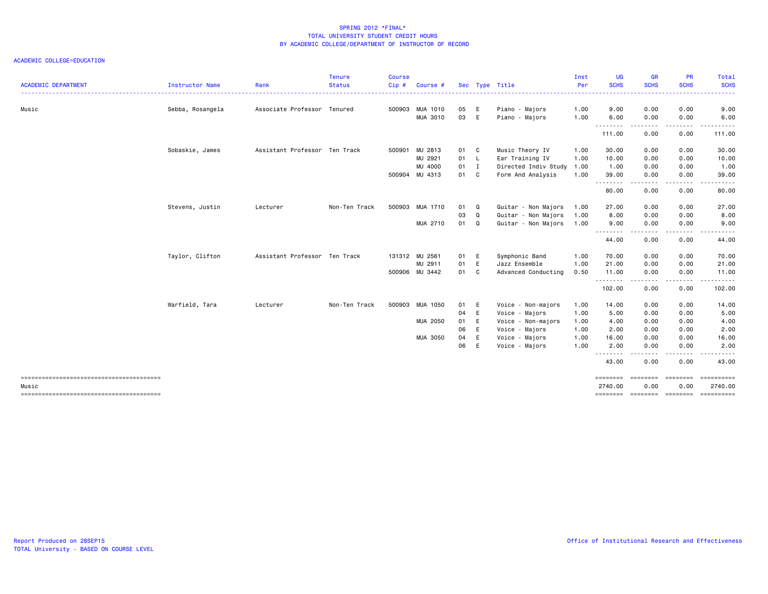|                            |                  |                               | <b>Tenure</b> | Course |                 |    |                |                                             | Inst | <b>UG</b>           | <b>GR</b>                                                                                                                                                    | PR                      | Total            |
|----------------------------|------------------|-------------------------------|---------------|--------|-----------------|----|----------------|---------------------------------------------|------|---------------------|--------------------------------------------------------------------------------------------------------------------------------------------------------------|-------------------------|------------------|
| <b>ACADEMIC DEPARTMENT</b> | Instructor Name  | Rank                          | <b>Status</b> | Cip#   | Course #        |    |                | Sec Type Title                              | Per  | <b>SCHS</b>         | <b>SCHS</b>                                                                                                                                                  | <b>SCHS</b>             | <b>SCHS</b><br>. |
| Music                      | Sebba, Rosangela | Associate Professor Tenured   |               | 500903 | MUA 1010        | 05 | E              | Piano - Majors                              | 1.00 | 9.00                | 0.00                                                                                                                                                         | 0.00                    | 9.00             |
|                            |                  |                               |               |        | MUA 3010        | 03 | E              | Piano - Majors                              | 1.00 | 6.00                | 0.00                                                                                                                                                         | 0.00                    | 6.00             |
|                            |                  |                               |               |        |                 |    |                |                                             |      | <u>.</u><br>111.00  | $\frac{1}{2} \left( \frac{1}{2} \right) \left( \frac{1}{2} \right) \left( \frac{1}{2} \right) \left( \frac{1}{2} \right) \left( \frac{1}{2} \right)$<br>0.00 | .<br>0.00               | .<br>111.00      |
|                            | Sobaskie, James  | Assistant Professor Ten Track |               | 500901 | MU 2813         | 01 | C              | Music Theory IV                             | 1.00 | 30.00               | 0.00                                                                                                                                                         | 0.00                    | 30.00            |
|                            |                  |                               |               |        | MU 2921         | 01 | -L             | Ear Training IV                             | 1.00 | 10.00               | 0.00                                                                                                                                                         | 0.00                    | 10.00            |
|                            |                  |                               |               |        | MU 4000         | 01 | I              | Directed Indiv Study                        | 1.00 | 1.00                | 0.00                                                                                                                                                         | 0.00                    | 1.00             |
|                            |                  |                               |               |        | 500904 MU 4313  | 01 | C <sub>1</sub> | Form And Analysis                           | 1.00 | 39.00               | 0.00                                                                                                                                                         | 0.00                    | 39.00            |
|                            |                  |                               |               |        |                 |    |                |                                             |      | .<br>80.00          | 0.00                                                                                                                                                         | 0.00                    | 80.00            |
|                            | Stevens, Justin  | Lecturer                      | Non-Ten Track |        | 500903 MUA 1710 | 01 | Q              | Guitar - Non Majors                         | 1.00 | 27.00               | 0.00                                                                                                                                                         | 0.00                    | 27.00            |
|                            |                  |                               |               |        |                 | 03 | Q              | Guitar - Non Majors                         | 1.00 | 8.00                | 0.00                                                                                                                                                         | 0.00                    | 8.00             |
|                            |                  |                               |               |        | MUA 2710        | 01 | Q              | Guitar - Non Majors                         | 1.00 | 9.00                | 0.00                                                                                                                                                         | 0.00                    | 9.00             |
|                            |                  |                               |               |        |                 |    |                |                                             |      | .<br>44.00          | .<br>0.00                                                                                                                                                    | .<br>0.00               | .<br>44.00       |
|                            | Taylor, Clifton  | Assistant Professor Ten Track |               |        | 131312 MU 2561  | 01 | E              | Symphonic Band                              | 1.00 | 70.00               | 0.00                                                                                                                                                         | 0.00                    | 70.00            |
|                            |                  |                               |               |        | MU 2911         | 01 | E              | Jazz Ensemble                               | 1.00 | 21.00               | 0.00                                                                                                                                                         | 0.00                    | 21.00            |
|                            |                  |                               |               |        | 500906 MU 3442  | 01 | C              | Advanced Conducting                         | 0.50 | 11.00<br>.          | 0.00<br>.                                                                                                                                                    | 0.00<br>. <b>.</b>      | 11.00<br>.       |
|                            |                  |                               |               |        |                 |    |                |                                             |      | 102.00              | 0.00                                                                                                                                                         | 0.00                    | 102.00           |
|                            | Warfield, Tara   | Lecturer                      | Non-Ten Track | 500903 | MUA 1050        | 01 | E              | Voice - Non-majors                          | 1.00 | 14.00               | 0.00                                                                                                                                                         | 0.00                    | 14.00            |
|                            |                  |                               |               |        |                 | 04 | E              | - Majors<br>Voice                           | 1.00 | 5.00                | 0.00                                                                                                                                                         | 0.00                    | 5.00             |
|                            |                  |                               |               |        | MUA 2050        | 01 | E              | Voice - Non-majors                          | 1.00 | 4.00                | 0.00                                                                                                                                                         | 0.00                    | 4.00             |
|                            |                  |                               |               |        |                 | 06 | E              | Voice - Majors                              | 1.00 | 2.00                | 0.00                                                                                                                                                         | 0.00                    | 2.00             |
|                            |                  |                               |               |        | MUA 3050        | 04 | E              | Majors<br>Voice<br>$\overline{\phantom{a}}$ | 1.00 | 16.00               | 0.00                                                                                                                                                         | 0.00                    | 16.00            |
|                            |                  |                               |               |        |                 | 06 | E              | Voice - Majors                              | 1.00 | 2.00                | 0.00                                                                                                                                                         | 0.00                    | 2.00             |
|                            |                  |                               |               |        |                 |    |                |                                             |      | .<br>43.00          | $\begin{array}{cccccccccccccc} \bullet & \bullet & \bullet & \bullet & \bullet & \bullet & \bullet \end{array}$<br>0.00                                      | .<br>0.00               | .<br>43.00       |
| Music                      |                  |                               |               |        |                 |    |                |                                             |      | ========<br>2740.00 | ========<br>0.00                                                                                                                                             | <b>SERREBER</b><br>0.00 | 2740.00          |
|                            |                  |                               |               |        |                 |    |                |                                             |      | ========            | ========                                                                                                                                                     | ========                |                  |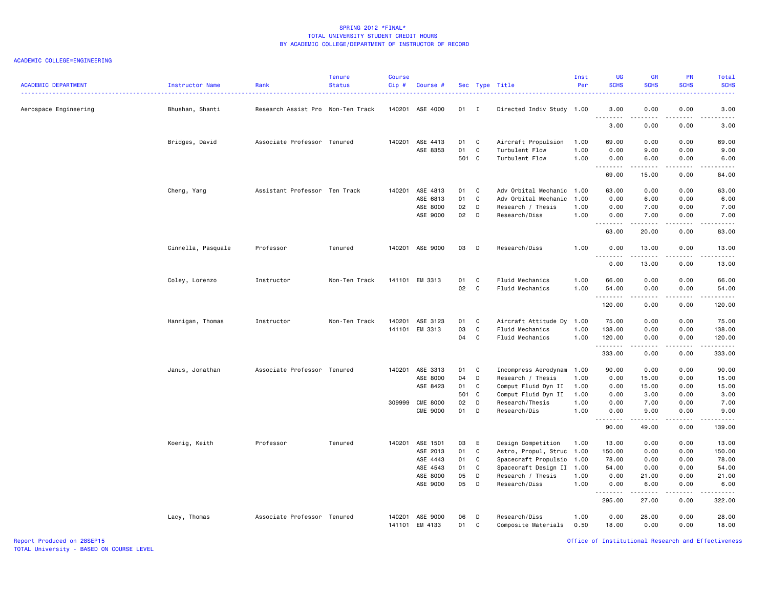#### ACADEMIC COLLEGE=ENGINEERING

| <b>ACADEMIC DEPARTMENT</b> | Instructor Name    | Rank                              | <b>Tenure</b><br><b>Status</b> | <b>Course</b><br>Cip# | Course #        |       |              | Sec Type Title                          | Inst<br>Per | <b>UG</b><br><b>SCHS</b> | <b>GR</b><br><b>SCHS</b>                                                                                                                                     | <b>PR</b><br><b>SCHS</b> | Total<br><b>SCHS</b><br>$\frac{1}{2} \left( \frac{1}{2} \right) \left( \frac{1}{2} \right) \left( \frac{1}{2} \right) \left( \frac{1}{2} \right) \left( \frac{1}{2} \right)$ |
|----------------------------|--------------------|-----------------------------------|--------------------------------|-----------------------|-----------------|-------|--------------|-----------------------------------------|-------------|--------------------------|--------------------------------------------------------------------------------------------------------------------------------------------------------------|--------------------------|------------------------------------------------------------------------------------------------------------------------------------------------------------------------------|
| Aerospace Engineering      | Bhushan, Shanti    | Research Assist Pro Non-Ten Track |                                |                       | 140201 ASE 4000 | 01 I  |              | Directed Indiv Study 1.00               |             | 3.00                     | 0.00<br>$\frac{1}{2} \left( \frac{1}{2} \right) \left( \frac{1}{2} \right) \left( \frac{1}{2} \right) \left( \frac{1}{2} \right) \left( \frac{1}{2} \right)$ | 0.00<br>.                | 3.00<br>-----                                                                                                                                                                |
|                            |                    |                                   |                                |                       |                 |       |              |                                         |             | 3.00                     | 0.00                                                                                                                                                         | 0.00                     | 3.00                                                                                                                                                                         |
|                            | Bridges, David     | Associate Professor Tenured       |                                |                       | 140201 ASE 4413 | 01    | $\mathbf{C}$ | Aircraft Propulsion                     | 1.00        | 69.00                    | 0.00                                                                                                                                                         | 0.00                     | 69.00                                                                                                                                                                        |
|                            |                    |                                   |                                |                       | ASE 8353        | 01    | C            | Turbulent Flow                          | 1.00        | 0.00                     | 9.00                                                                                                                                                         | 0.00                     | 9.00                                                                                                                                                                         |
|                            |                    |                                   |                                |                       |                 | 501 C |              | Turbulent Flow                          | 1.00        | 0.00<br>.                | 6.00<br>.                                                                                                                                                    | 0.00<br>د د د د          | 6.00<br>.                                                                                                                                                                    |
|                            |                    |                                   |                                |                       |                 |       |              |                                         |             | 69.00                    | 15.00                                                                                                                                                        | 0.00                     | 84.00                                                                                                                                                                        |
|                            | Cheng, Yang        | Assistant Professor Ten Track     |                                |                       | 140201 ASE 4813 | 01    | $\mathbf{C}$ | Adv Orbital Mechanic                    | 1.00        | 63.00                    | 0.00                                                                                                                                                         | 0.00                     | 63.00                                                                                                                                                                        |
|                            |                    |                                   |                                |                       | ASE 6813        | 01    | C            | Adv Orbital Mechanic                    | 1.00        | 0.00                     | 6.00                                                                                                                                                         | 0.00                     | 6.00                                                                                                                                                                         |
|                            |                    |                                   |                                |                       | ASE 8000        | 02    | D            | Research / Thesis                       | 1.00        | 0.00                     | 7.00                                                                                                                                                         | 0.00                     | 7.00                                                                                                                                                                         |
|                            |                    |                                   |                                |                       | ASE 9000        | 02    | D            | Research/Diss                           | 1.00        | 0.00<br>.                | 7.00<br>$\frac{1}{2} \left( \frac{1}{2} \right) \left( \frac{1}{2} \right) \left( \frac{1}{2} \right) \left( \frac{1}{2} \right) \left( \frac{1}{2} \right)$ | 0.00<br>.                | 7.00<br>$\omega$ is a set of                                                                                                                                                 |
|                            |                    |                                   |                                |                       |                 |       |              |                                         |             | 63.00                    | 20.00                                                                                                                                                        | 0.00                     | 83.00                                                                                                                                                                        |
|                            | Cinnella, Pasquale | Professor                         | Tenured                        |                       | 140201 ASE 9000 | 03    | $\Box$       | Research/Diss                           | 1.00        | 0.00                     | 13.00<br>.                                                                                                                                                   | 0.00<br>.                | 13.00                                                                                                                                                                        |
|                            |                    |                                   |                                |                       |                 |       |              |                                         |             | . <b>.</b><br>0.00       | 13.00                                                                                                                                                        | 0.00                     | .<br>13.00                                                                                                                                                                   |
|                            | Coley, Lorenzo     | Instructor                        | Non-Ten Track                  |                       | 141101 EM 3313  | 01    | <b>C</b>     | Fluid Mechanics                         | 1.00        | 66.00                    | 0.00                                                                                                                                                         | 0.00                     | 66.00                                                                                                                                                                        |
|                            |                    |                                   |                                |                       |                 | 02    | $\mathbf{C}$ | Fluid Mechanics                         | 1.00        | 54.00                    | 0.00                                                                                                                                                         | 0.00                     | 54.00                                                                                                                                                                        |
|                            |                    |                                   |                                |                       |                 |       |              |                                         |             | .<br>120.00              | <b>.</b><br>0.00                                                                                                                                             | .<br>0.00                | . <b>.</b><br>120.00                                                                                                                                                         |
|                            |                    | Instructor                        | Non-Ten Track                  |                       | 140201 ASE 3123 | 01    | <b>C</b>     |                                         | 1.00        | 75.00                    | 0.00                                                                                                                                                         | 0.00                     | 75.00                                                                                                                                                                        |
|                            | Hannigan, Thomas   |                                   |                                |                       | 141101 EM 3313  | 03    | C            | Aircraft Attitude Dy<br>Fluid Mechanics | 1.00        | 138.00                   | 0.00                                                                                                                                                         | 0.00                     | 138.00                                                                                                                                                                       |
|                            |                    |                                   |                                |                       |                 | 04    | C            | Fluid Mechanics                         | 1.00        | 120.00                   | 0.00                                                                                                                                                         | 0.00                     | 120.00                                                                                                                                                                       |
|                            |                    |                                   |                                |                       |                 |       |              |                                         |             | .                        | .                                                                                                                                                            | .                        | المتمالي لماليا المالي                                                                                                                                                       |
|                            |                    |                                   |                                |                       |                 |       |              |                                         |             | 333.00                   | 0.00                                                                                                                                                         | 0.00                     | 333.00                                                                                                                                                                       |
|                            | Janus, Jonathan    | Associate Professor Tenured       |                                | 140201                | ASE 3313        | 01    | C            | Incompress Aerodynam                    | 1.00        | 90.00                    | 0.00                                                                                                                                                         | 0.00                     | 90.00                                                                                                                                                                        |
|                            |                    |                                   |                                |                       | ASE 8000        | 04    | D            | Research / Thesis                       | 1.00        | 0.00                     | 15.00                                                                                                                                                        | 0.00                     | 15.00                                                                                                                                                                        |
|                            |                    |                                   |                                |                       | ASE 8423        | 01    | C            | Comput Fluid Dyn II                     | 1.00        | 0.00                     | 15.00                                                                                                                                                        | 0.00                     | 15.00                                                                                                                                                                        |
|                            |                    |                                   |                                |                       |                 | 501 C |              | Comput Fluid Dyn II                     | 1.00        | 0.00                     | 3.00                                                                                                                                                         | 0.00                     | 3.00                                                                                                                                                                         |
|                            |                    |                                   |                                |                       | 309999 CME 8000 | 02    | D            | Research/Thesis                         | 1.00        | 0.00                     | 7.00                                                                                                                                                         | 0.00                     | 7.00                                                                                                                                                                         |
|                            |                    |                                   |                                |                       | <b>CME 9000</b> | 01    | D            | Research/Dis                            | 1.00        | 0.00                     | 9.00                                                                                                                                                         | 0.00                     | 9.00                                                                                                                                                                         |
|                            |                    |                                   |                                |                       |                 |       |              |                                         |             | .<br>90.00               | $\sim$ $\sim$ $\sim$ $\sim$<br>49.00                                                                                                                         | .<br>0.00                | .<br>139.00                                                                                                                                                                  |
|                            | Koenig, Keith      | Professor                         | Tenured                        | 140201                | ASE 1501        | 03    | E            | Design Competition                      | 1.00        | 13.00                    | 0.00                                                                                                                                                         | 0.00                     | 13.00                                                                                                                                                                        |
|                            |                    |                                   |                                |                       | ASE 2013        | 01    | C            | Astro, Propul, Struc                    | 1.00        | 150.00                   | 0.00                                                                                                                                                         | 0.00                     | 150.00                                                                                                                                                                       |
|                            |                    |                                   |                                |                       | ASE 4443        | 01    | C            | Spacecraft Propulsio                    | 1.00        | 78.00                    | 0.00                                                                                                                                                         | 0.00                     | 78.00                                                                                                                                                                        |
|                            |                    |                                   |                                |                       | ASE 4543        | 01    | C            | Spacecraft Design II                    | 1.00        | 54.00                    | 0.00                                                                                                                                                         | 0.00                     | 54.00                                                                                                                                                                        |
|                            |                    |                                   |                                |                       | ASE 8000        | 05    | D            | Research / Thesis                       | 1.00        | 0.00                     | 21.00                                                                                                                                                        | 0.00                     | 21.00                                                                                                                                                                        |
|                            |                    |                                   |                                |                       | ASE 9000        | 05    | D            | Research/Diss                           | 1.00        | 0.00                     | 6.00                                                                                                                                                         | 0.00                     | 6.00                                                                                                                                                                         |
|                            |                    |                                   |                                |                       |                 |       |              |                                         |             | <u>.</u><br>295.00       | .<br>27.00                                                                                                                                                   | .<br>0.00                | .<br>322.00                                                                                                                                                                  |
|                            | Lacy, Thomas       | Associate Professor Tenured       |                                | 140201                | ASE 9000        | 06    | D            | Research/Diss                           | 1.00        | 0.00                     | 28.00                                                                                                                                                        | 0.00                     | 28.00                                                                                                                                                                        |
|                            |                    |                                   |                                |                       | 141101 EM 4133  | 01    | C            | Composite Materials                     | 0.50        | 18.00                    | 0.00                                                                                                                                                         | 0.00                     | 18.00                                                                                                                                                                        |

Office of Institutional Research and Effectiveness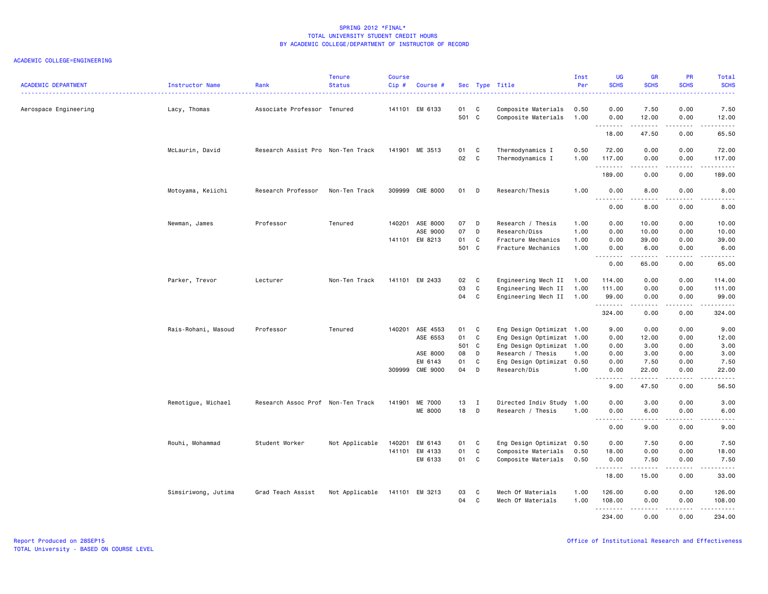| <b>ACADEMIC DEPARTMENT</b> | Instructor Name     | Rank                              | <b>Tenure</b><br><b>Status</b> | <b>Course</b><br>Cip# | Course #                                                              |                                     |                                              | Sec Type Title                                                                                                                                        | Inst<br>Per                  | <b>UG</b><br><b>SCHS</b>                     | <b>GR</b><br><b>SCHS</b>                                                                                                                                      | <b>PR</b><br><b>SCHS</b>                     | Total<br><b>SCHS</b><br>.                                                                                                                                                                |
|----------------------------|---------------------|-----------------------------------|--------------------------------|-----------------------|-----------------------------------------------------------------------|-------------------------------------|----------------------------------------------|-------------------------------------------------------------------------------------------------------------------------------------------------------|------------------------------|----------------------------------------------|---------------------------------------------------------------------------------------------------------------------------------------------------------------|----------------------------------------------|------------------------------------------------------------------------------------------------------------------------------------------------------------------------------------------|
| Aerospace Engineering      | Lacy, Thomas        | Associate Professor Tenured       |                                |                       | 141101 EM 6133                                                        | 01 C<br>501 C                       |                                              | Composite Materials<br>Composite Materials                                                                                                            | 0.50<br>1.00                 | 0.00<br>0.00                                 | 7.50<br>12.00                                                                                                                                                 | 0.00<br>0.00                                 | 7.50<br>12.00                                                                                                                                                                            |
|                            |                     |                                   |                                |                       |                                                                       |                                     |                                              |                                                                                                                                                       |                              | .<br>18.00                                   | .<br>47.50                                                                                                                                                    | 0.00                                         | $\frac{1}{2} \left( \frac{1}{2} \right) \left( \frac{1}{2} \right) \left( \frac{1}{2} \right) \left( \frac{1}{2} \right) \left( \frac{1}{2} \right) \left( \frac{1}{2} \right)$<br>65.50 |
|                            | McLaurin, David     | Research Assist Pro Non-Ten Track |                                |                       | 141901 ME 3513                                                        | 01<br>02                            | C<br>C                                       | Thermodynamics I<br>Thermodynamics I                                                                                                                  | 0.50<br>1.00                 | 72.00<br>117.00<br>.                         | 0.00<br>0.00<br>.                                                                                                                                             | 0.00<br>0.00<br>.                            | 72.00<br>117.00<br>.                                                                                                                                                                     |
|                            |                     |                                   |                                |                       |                                                                       |                                     |                                              |                                                                                                                                                       |                              | 189.00                                       | 0.00                                                                                                                                                          | 0.00                                         | 189.00                                                                                                                                                                                   |
|                            | Motoyama, Keiichi   | Research Professor                | Non-Ten Track                  |                       | 309999 CME 8000                                                       | 01                                  | D                                            | Research/Thesis                                                                                                                                       | 1.00                         | 0.00                                         | 8.00                                                                                                                                                          | 0.00                                         | 8.00<br>.                                                                                                                                                                                |
|                            |                     |                                   |                                |                       |                                                                       |                                     |                                              |                                                                                                                                                       |                              | .<br>0.00                                    | 8.00                                                                                                                                                          | .<br>0.00                                    | المستمين<br>8.00                                                                                                                                                                         |
|                            | Newman, James       | Professor                         | Tenured                        |                       | 140201 ASE 8000<br>ASE 9000<br>141101 EM 8213                         | 07<br>07<br>01<br>501 C             | $\mathsf{D}$<br>D<br>C                       | Research / Thesis<br>Research/Diss<br>Fracture Mechanics<br>Fracture Mechanics                                                                        | 1.00<br>1.00<br>1.00<br>1.00 | 0.00<br>0.00<br>0.00<br>0.00                 | 10.00<br>10.00<br>39.00<br>6.00                                                                                                                               | 0.00<br>0.00<br>0.00<br>0.00                 | 10.00<br>10.00<br>39.00<br>6.00                                                                                                                                                          |
|                            |                     |                                   |                                |                       |                                                                       |                                     |                                              |                                                                                                                                                       |                              | .<br>0.00                                    | .<br>65.00                                                                                                                                                    | د د د د<br>0.00                              | المستسب<br>65.00                                                                                                                                                                         |
|                            | Parker, Trevor      | Lecturer                          | Non-Ten Track                  |                       | 141101 EM 2433                                                        | 02<br>03<br>04                      | $\mathbf{C}$<br>C<br>C                       | Engineering Mech II<br>Engineering Mech II<br>Engineering Mech II                                                                                     | 1.00<br>1.00<br>1.00         | 114.00<br>111.00<br>99.00<br>.               | 0.00<br>0.00<br>0.00<br>.                                                                                                                                     | 0.00<br>0.00<br>0.00<br>. <b>.</b>           | 114.00<br>111.00<br>99.00<br>.                                                                                                                                                           |
|                            |                     |                                   |                                |                       |                                                                       |                                     |                                              |                                                                                                                                                       |                              | 324.00                                       | 0.00                                                                                                                                                          | 0.00                                         | 324.00                                                                                                                                                                                   |
|                            | Rais-Rohani, Masoud | Professor                         | Tenured                        |                       | 140201 ASE 4553<br>ASE 6553<br>ASE 8000<br>EM 6143<br>309999 CME 9000 | 01<br>01<br>501 C<br>08<br>01<br>04 | $\mathbf{C}$<br>$\mathbf{C}$<br>D<br>C<br>D  | Eng Design Optimizat 1.00<br>Eng Design Optimizat 1.00<br>Eng Design Optimizat 1.00<br>Research / Thesis<br>Eng Design Optimizat 0.50<br>Research/Dis | 1.00<br>1.00                 | 9.00<br>0.00<br>0.00<br>0.00<br>0.00<br>0.00 | 0.00<br>12.00<br>3.00<br>3.00<br>7.50<br>22.00                                                                                                                | 0.00<br>0.00<br>0.00<br>0.00<br>0.00<br>0.00 | 9.00<br>12.00<br>3.00<br>3.00<br>7.50<br>22.00                                                                                                                                           |
|                            |                     |                                   |                                |                       |                                                                       |                                     |                                              |                                                                                                                                                       |                              | .<br>9.00                                    | $\frac{1}{2} \left( \frac{1}{2} \right) \left( \frac{1}{2} \right) \left( \frac{1}{2} \right) \left( \frac{1}{2} \right) \left( \frac{1}{2} \right)$<br>47.50 | .<br>0.00                                    | $\frac{1}{2} \left( \frac{1}{2} \right) \left( \frac{1}{2} \right) \left( \frac{1}{2} \right) \left( \frac{1}{2} \right) \left( \frac{1}{2} \right)$<br>56.50                            |
|                            | Remotigue, Michael  | Research Assoc Prof Non-Ten Track |                                |                       | 141901 ME 7000<br><b>ME 8000</b>                                      | 13<br>18                            | $\mathbf{I}$<br>D                            | Directed Indiv Study 1.00<br>Research / Thesis                                                                                                        | 1.00                         | 0.00<br>0.00<br>.                            | 3.00<br>6.00                                                                                                                                                  | 0.00<br>0.00                                 | 3.00<br>6.00                                                                                                                                                                             |
|                            |                     |                                   |                                |                       |                                                                       |                                     |                                              |                                                                                                                                                       |                              | 0.00                                         | .<br>9.00                                                                                                                                                     | .<br>0.00                                    | .<br>9.00                                                                                                                                                                                |
|                            | Rouhi, Mohammad     | Student Worker                    | Not Applicable                 | 140201                | EM 6143<br>141101 EM 4133<br>EM 6133                                  | 01<br>01<br>01                      | $\mathbf{C}$<br>$\mathbf{C}$<br>$\mathbf{C}$ | Eng Design Optimizat 0.50<br>Composite Materials<br>Composite Materials                                                                               | 0.50<br>0.50                 | 0.00<br>18.00<br>0.00                        | 7.50<br>0.00<br>7.50                                                                                                                                          | 0.00<br>0.00<br>0.00                         | 7.50<br>18.00<br>7.50                                                                                                                                                                    |
|                            |                     |                                   |                                |                       |                                                                       |                                     |                                              |                                                                                                                                                       |                              | .<br>18.00                                   | $\frac{1}{2} \left( \frac{1}{2} \right) \left( \frac{1}{2} \right) \left( \frac{1}{2} \right) \left( \frac{1}{2} \right) \left( \frac{1}{2} \right)$<br>15.00 | 0.00                                         | .<br>33.00                                                                                                                                                                               |
|                            | Simsiriwong, Jutima | Grad Teach Assist                 | Not Applicable                 |                       | 141101 EM 3213                                                        | 03<br>04                            | $\mathbf{C}$<br>C                            | Mech Of Materials<br>Mech Of Materials                                                                                                                | 1.00<br>1.00                 | 126.00<br>108.00<br>.                        | 0.00<br>0.00<br>.                                                                                                                                             | 0.00<br>0.00<br>.                            | 126.00<br>108.00<br>.                                                                                                                                                                    |
|                            |                     |                                   |                                |                       |                                                                       |                                     |                                              |                                                                                                                                                       |                              | 234.00                                       | 0.00                                                                                                                                                          | 0.00                                         | 234.00                                                                                                                                                                                   |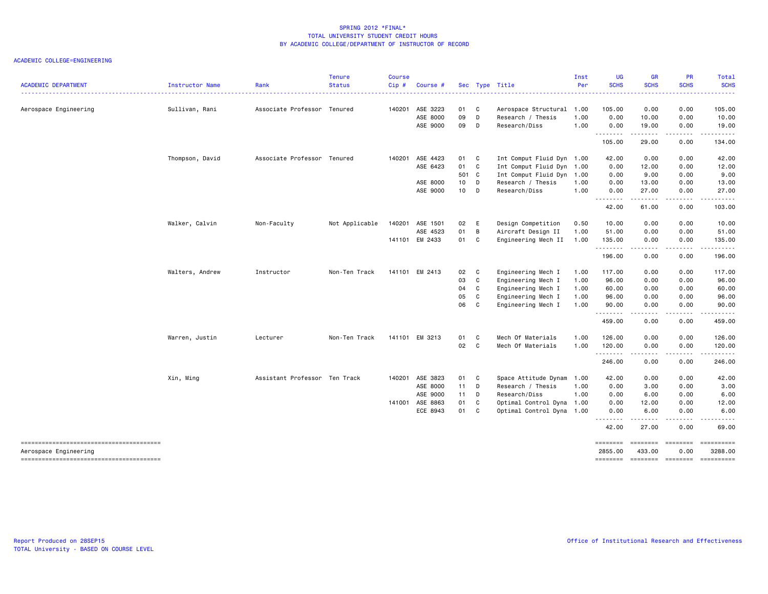| <b>ACADEMIC DEPARTMENT</b>             | <b>Instructor Name</b> | Rank                          | <b>Tenure</b><br><b>Status</b> | <b>Course</b><br>$Cip$ # | Course #        |            |                | Sec Type Title                                 | Inst<br>Per  | <b>UG</b><br><b>SCHS</b> | <b>GR</b><br><b>SCHS</b> | PR<br><b>SCHS</b>  | Total<br><b>SCHS</b>                                                                                                                |
|----------------------------------------|------------------------|-------------------------------|--------------------------------|--------------------------|-----------------|------------|----------------|------------------------------------------------|--------------|--------------------------|--------------------------|--------------------|-------------------------------------------------------------------------------------------------------------------------------------|
|                                        |                        |                               |                                |                          | 140201 ASE 3223 | 01         | $\mathbf{C}$   |                                                |              | 105.00                   | 0.00                     | 0.00               | $\frac{1}{2} \left( \frac{1}{2} \right) \left( \frac{1}{2} \right) \left( \frac{1}{2} \right) \left( \frac{1}{2} \right)$<br>105.00 |
| Aerospace Engineering                  | Sullivan, Rani         | Associate Professor Tenured   |                                |                          | ASE 8000        | 09         | D              | Aerospace Structural 1.00<br>Research / Thesis | 1.00         | 0.00                     | 10.00                    | 0.00               | 10.00                                                                                                                               |
|                                        |                        |                               |                                |                          | ASE 9000        | 09         | D              | Research/Diss                                  | 1.00         | 0.00                     | 19.00                    | 0.00               | 19.00                                                                                                                               |
|                                        |                        |                               |                                |                          |                 |            |                |                                                |              | .<br>105.00              | .<br>29.00               | .<br>0.00          | .<br>134.00                                                                                                                         |
|                                        |                        |                               |                                |                          |                 |            |                |                                                |              |                          |                          |                    |                                                                                                                                     |
|                                        | Thompson, David        | Associate Professor Tenured   |                                | 140201                   | ASE 4423        | 01 C       |                | Int Comput Fluid Dyn 1.00                      |              | 42.00                    | 0.00                     | 0.00               | 42.00                                                                                                                               |
|                                        |                        |                               |                                |                          | ASE 6423        | 01 C       |                | Int Comput Fluid Dyn 1.00                      |              | 0.00                     | 12.00                    | 0.00               | 12.00                                                                                                                               |
|                                        |                        |                               |                                |                          |                 | 501 C      |                | Int Comput Fluid Dyn 1.00                      |              | 0.00                     | 9.00                     | 0.00               | 9.00                                                                                                                                |
|                                        |                        |                               |                                |                          | ASE 8000        | 10 D       |                | Research / Thesis                              | 1.00         | 0.00                     | 13.00                    | 0.00               | 13.00                                                                                                                               |
|                                        |                        |                               |                                |                          | ASE 9000        | 10 D       |                | Research/Diss                                  | 1.00         | 0.00<br>.                | 27.00<br>.               | 0.00<br>المستسلمات | 27.00<br>.                                                                                                                          |
|                                        |                        |                               |                                |                          |                 |            |                |                                                |              | 42.00                    | 61.00                    | 0.00               | 103.00                                                                                                                              |
|                                        | Walker, Calvin         | Non-Faculty                   | Not Applicable                 | 140201                   | ASE 1501        | 02 E       |                | Design Competition                             | 0.50         | 10.00                    | 0.00                     | 0.00               | 10.00                                                                                                                               |
|                                        |                        |                               |                                |                          | ASE 4523        | 01         | $\overline{B}$ | Aircraft Design II                             | 1.00         | 51.00                    | 0.00                     | 0.00               | 51.00                                                                                                                               |
|                                        |                        |                               |                                | 141101                   | EM 2433         | 01 C       |                | Engineering Mech II                            | 1.00         | 135.00                   | 0.00                     | 0.00               | 135.00                                                                                                                              |
|                                        |                        |                               |                                |                          |                 |            |                |                                                |              | .<br>196.00              | -----<br>0.00            | .<br>0.00          | .<br>196.00                                                                                                                         |
|                                        |                        |                               | Non-Ten Track                  |                          | 141101 EM 2413  |            |                |                                                |              |                          |                          |                    |                                                                                                                                     |
|                                        | Walters, Andrew        | Instructor                    |                                |                          |                 | 02 C<br>03 | $\mathbf{C}$   | Engineering Mech I<br>Engineering Mech I       | 1.00<br>1.00 | 117.00<br>96.00          | 0.00<br>0.00             | 0.00<br>0.00       | 117.00<br>96.00                                                                                                                     |
|                                        |                        |                               |                                |                          |                 | 04         | C              | Engineering Mech I                             | 1.00         | 60.00                    | 0.00                     | 0.00               | 60.00                                                                                                                               |
|                                        |                        |                               |                                |                          |                 | 05         | C              |                                                | 1.00         | 96.00                    | 0.00                     | 0.00               | 96.00                                                                                                                               |
|                                        |                        |                               |                                |                          |                 | 06         | C              | Engineering Mech I<br>Engineering Mech I       | 1.00         | 90.00                    | 0.00                     | 0.00               | 90.00                                                                                                                               |
|                                        |                        |                               |                                |                          |                 |            |                |                                                |              | .<br>459.00              | -----<br>0.00            | .<br>0.00          | .<br>459.00                                                                                                                         |
|                                        |                        |                               |                                |                          |                 |            |                |                                                |              |                          |                          |                    |                                                                                                                                     |
|                                        | Warren, Justin         | Lecturer                      | Non-Ten Track                  |                          | 141101 EM 3213  | 01         | $\mathbf{C}$   | Mech Of Materials                              | 1.00         | 126.00                   | 0.00                     | 0.00               | 126.00                                                                                                                              |
|                                        |                        |                               |                                |                          |                 | 02 C       |                | Mech Of Materials                              | 1.00         | 120.00<br>.              | 0.00<br>. <u>.</u>       | 0.00<br>.          | 120.00<br>$- - - - - - -$                                                                                                           |
|                                        |                        |                               |                                |                          |                 |            |                |                                                |              | 246.00                   | 0.00                     | 0.00               | 246.00                                                                                                                              |
|                                        | Xin, Ming              | Assistant Professor Ten Track |                                |                          | 140201 ASE 3823 | 01 C       |                | Space Attitude Dynam                           | 1.00         | 42.00                    | 0.00                     | 0.00               | 42.00                                                                                                                               |
|                                        |                        |                               |                                |                          | ASE 8000        | $11$ D     |                | Research / Thesis                              | 1.00         | 0.00                     | 3.00                     | 0.00               | 3.00                                                                                                                                |
|                                        |                        |                               |                                |                          | ASE 9000        | $11$ D     |                | Research/Diss                                  | 1.00         | 0.00                     | 6.00                     | 0.00               | 6.00                                                                                                                                |
|                                        |                        |                               |                                |                          | 141001 ASE 8863 | 01         | C              | Optimal Control Dyna                           | 1.00         | 0.00                     | 12.00                    | 0.00               | 12.00                                                                                                                               |
|                                        |                        |                               |                                |                          | ECE 8943        | 01         | $\mathbf{C}$   | Optimal Control Dyna 1.00                      |              | 0.00                     | 6.00                     | 0.00               | 6.00                                                                                                                                |
|                                        |                        |                               |                                |                          |                 |            |                |                                                |              | .<br>42.00               | .<br>27.00               | .<br>0.00          | .<br>69.00                                                                                                                          |
|                                        |                        |                               |                                |                          |                 |            |                |                                                |              | ========                 | ========                 | <b>Concocco</b>    | ==========                                                                                                                          |
| Aerospace Engineering                  |                        |                               |                                |                          |                 |            |                |                                                |              | 2855.00                  | 433.00                   | 0.00               | 3288.00                                                                                                                             |
| -------------------------------------- |                        |                               |                                |                          |                 |            |                |                                                |              | ========                 | --------- --------       |                    | ==========                                                                                                                          |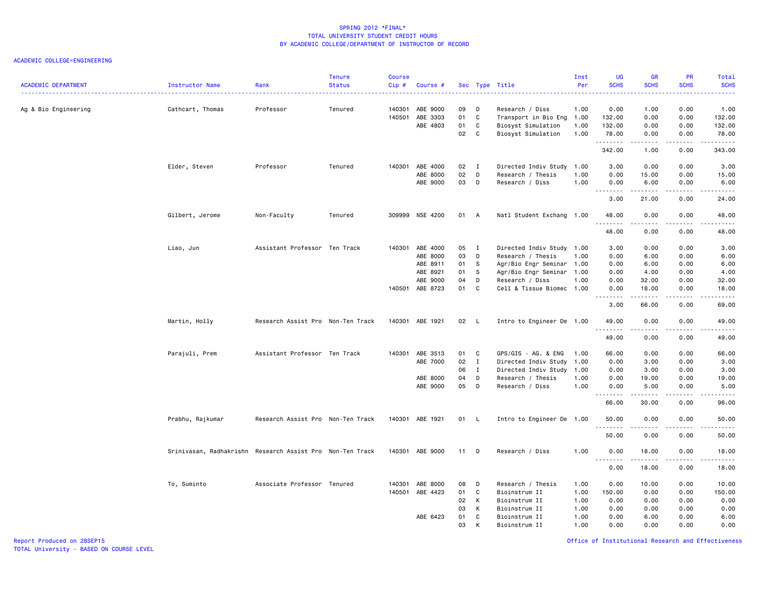#### ACADEMIC COLLEGE=ENGINEERING

| <b>ACADEMIC DEPARTMENT</b> | Instructor Name                                           | Rank                              | <b>Tenure</b><br><b>Status</b> | <b>Course</b><br>Cip# | Course #        |        |              | Sec Type Title            | Inst<br>Per | UG<br><b>SCHS</b>  | <b>GR</b><br><b>SCHS</b>                    | <b>PR</b><br><b>SCHS</b>                                                                                                          | Total<br><b>SCHS</b>                                                                                                                                          |
|----------------------------|-----------------------------------------------------------|-----------------------------------|--------------------------------|-----------------------|-----------------|--------|--------------|---------------------------|-------------|--------------------|---------------------------------------------|-----------------------------------------------------------------------------------------------------------------------------------|---------------------------------------------------------------------------------------------------------------------------------------------------------------|
| Ag & Bio Engineering       | Cathcart, Thomas                                          | Professor                         | Tenured                        | 140301                | ABE 9000        | 09     | D            | Research / Diss           | 1.00        | 0.00               | 1.00                                        | 0.00                                                                                                                              | 1.00                                                                                                                                                          |
|                            |                                                           |                                   |                                |                       | 140501 ABE 3303 | 01     | C            | Transport in Bio Eng 1.00 |             | 132.00             | 0.00                                        | 0.00                                                                                                                              | 132.00                                                                                                                                                        |
|                            |                                                           |                                   |                                |                       | ABE 4803        | 01     | C            | Biosyst Simulation        | 1.00        | 132.00             | 0.00                                        | 0.00                                                                                                                              | 132.00                                                                                                                                                        |
|                            |                                                           |                                   |                                |                       |                 | 02     | C            | Biosyst Simulation        | 1.00        | 78.00<br>.         | 0.00<br>.                                   | 0.00<br>$\sim$ $\sim$ $\sim$                                                                                                      | 78.00<br>.                                                                                                                                                    |
|                            |                                                           |                                   |                                |                       |                 |        |              |                           |             | 342.00             | 1.00                                        | 0.00                                                                                                                              | 343.00                                                                                                                                                        |
|                            | Elder, Steven                                             | Professor                         | Tenured                        |                       | 140301 ABE 4000 | 02 I   |              | Directed Indiv Study      | 1.00        | 3.00               | 0.00                                        | 0.00                                                                                                                              | 3.00                                                                                                                                                          |
|                            |                                                           |                                   |                                |                       | ABE 8000        | 02     | D            | Research / Thesis         | 1.00        | 0.00               | 15.00                                       | 0.00                                                                                                                              | 15.00                                                                                                                                                         |
|                            |                                                           |                                   |                                |                       | ABE 9000        | 03     | D            | Research / Diss           | 1.00        | 0.00               | 6.00                                        | 0.00                                                                                                                              | 6.00                                                                                                                                                          |
|                            |                                                           |                                   |                                |                       |                 |        |              |                           |             | <u>.</u><br>3.00   | .<br>21.00                                  | .<br>0.00                                                                                                                         | $\frac{1}{2} \left( \frac{1}{2} \right) \left( \frac{1}{2} \right) \left( \frac{1}{2} \right) \left( \frac{1}{2} \right) \left( \frac{1}{2} \right)$<br>24.00 |
|                            | Gilbert, Jerome                                           | Non-Faculty                       | Tenured                        |                       | 309999 NSE 4200 | 01 A   |              | Natl Student Exchang 1.00 |             | 48.00              | 0.00                                        | 0.00                                                                                                                              | 48.00                                                                                                                                                         |
|                            |                                                           |                                   |                                |                       |                 |        |              |                           |             | .<br>48.00         | . <u>.</u> .<br>0.00                        | .<br>0.00                                                                                                                         | <b>.</b><br>48.00                                                                                                                                             |
|                            |                                                           |                                   |                                |                       |                 |        |              |                           |             |                    |                                             |                                                                                                                                   |                                                                                                                                                               |
|                            | Liao, Jun                                                 | Assistant Professor Ten Track     |                                |                       | 140301 ABE 4000 | 05 I   |              | Directed Indiv Study 1.00 |             | 3.00               | 0.00                                        | 0.00                                                                                                                              | 3.00                                                                                                                                                          |
|                            |                                                           |                                   |                                |                       | ABE 8000        | 03     | D            | Research / Thesis         | 1.00        | 0.00               | 6.00                                        | 0.00                                                                                                                              | 6.00                                                                                                                                                          |
|                            |                                                           |                                   |                                |                       | ABE 8911        | 01     | <b>S</b>     | Agr/Bio Engr Seminar 1.00 |             | 0.00               | 6.00                                        | 0.00                                                                                                                              | 6.00                                                                                                                                                          |
|                            |                                                           |                                   |                                |                       | ABE 8921        | 01     | -S           | Agr/Bio Engr Seminar 1.00 |             | 0.00               | 4.00                                        | 0.00                                                                                                                              | 4.00                                                                                                                                                          |
|                            |                                                           |                                   |                                |                       | ABE 9000        | 04     | D            | Research / Diss           | 1.00        | 0.00               | 32.00                                       | 0.00                                                                                                                              | 32.00                                                                                                                                                         |
|                            |                                                           |                                   |                                |                       | 140501 ABE 8723 | 01     | C            | Cell & Tissue Biomec 1.00 |             | 0.00<br>.          | 18.00<br>.                                  | 0.00<br>$\frac{1}{2} \left( \frac{1}{2} \right) \left( \frac{1}{2} \right) \left( \frac{1}{2} \right) \left( \frac{1}{2} \right)$ | 18.00<br>-----                                                                                                                                                |
|                            |                                                           |                                   |                                |                       |                 |        |              |                           |             | 3.00               | 66.00                                       | 0.00                                                                                                                              | 69.00                                                                                                                                                         |
|                            | Martin, Holly                                             | Research Assist Pro Non-Ten Track |                                |                       | 140301 ABE 1921 | 02     | - L          | Intro to Engineer De 1.00 |             | 49.00<br>د د د د د | 0.00                                        | 0.00                                                                                                                              | 49.00<br>$\frac{1}{2} \left( \frac{1}{2} \right) \left( \frac{1}{2} \right) \left( \frac{1}{2} \right) \left( \frac{1}{2} \right) \left( \frac{1}{2} \right)$ |
|                            |                                                           |                                   |                                |                       |                 |        |              |                           |             | 49.00              | 0.00                                        | 0.00                                                                                                                              | 49.00                                                                                                                                                         |
|                            | Parajuli, Prem                                            | Assistant Professor Ten Track     |                                |                       | 140301 ABE 3513 | 01     | $\mathbf{C}$ | GPS/GIS - AG. & ENG       | 1.00        | 66.00              | 0.00                                        | 0.00                                                                                                                              | 66.00                                                                                                                                                         |
|                            |                                                           |                                   |                                |                       | ABE 7000        | 02     | $\mathbf{I}$ | Directed Indiv Study      | 1.00        | 0.00               | 3.00                                        | 0.00                                                                                                                              | 3.00                                                                                                                                                          |
|                            |                                                           |                                   |                                |                       |                 | 06     | $\mathbf{I}$ | Directed Indiv Study 1.00 |             | 0.00               | 3.00                                        | 0.00                                                                                                                              | 3.00                                                                                                                                                          |
|                            |                                                           |                                   |                                |                       | ABE 8000        | 04     | D            | Research / Thesis         | 1.00        | 0.00               | 19.00                                       | 0.00                                                                                                                              | 19.00                                                                                                                                                         |
|                            |                                                           |                                   |                                |                       | ABE 9000        | 05     | D            | Research / Diss           | 1.00        | 0.00               | 5.00                                        | 0.00                                                                                                                              | 5.00                                                                                                                                                          |
|                            |                                                           |                                   |                                |                       |                 |        |              |                           |             | .<br>66.00         | .<br>30.00                                  | 0.00                                                                                                                              | .<br>96.00                                                                                                                                                    |
|                            | Prabhu, Rajkumar                                          | Research Assist Pro Non-Ten Track |                                |                       | 140301 ABE 1921 | 01 L   |              | Intro to Engineer De 1.00 |             | 50.00              | 0.00                                        | 0.00                                                                                                                              | 50.00<br>$\omega$ is a set of                                                                                                                                 |
|                            |                                                           |                                   |                                |                       |                 |        |              |                           |             | 50.00              | .<br>0.00                                   | .<br>0.00                                                                                                                         | 50.00                                                                                                                                                         |
|                            | Srinivasan, Radhakrishn Research Assist Pro Non-Ten Track |                                   |                                |                       | 140301 ABE 9000 | $11$ D |              | Research / Diss           | 1.00        | 0.00               | 18.00                                       | 0.00                                                                                                                              | 18.00                                                                                                                                                         |
|                            |                                                           |                                   |                                |                       |                 |        |              |                           |             | .<br>0.00          | $\sim$ $\sim$ $\sim$ $\sim$ $\sim$<br>18.00 | المتماما<br>0.00                                                                                                                  | $\sim$<br>18.00                                                                                                                                               |
|                            | To, Suminto                                               | Associate Professor Tenured       |                                | 140301                | ABE 8000        | 08     | D            | Research / Thesis         | 1.00        | 0.00               | 10.00                                       | 0.00                                                                                                                              | 10.00                                                                                                                                                         |
|                            |                                                           |                                   |                                |                       | 140501 ABE 4423 | 01     | C            | Bioinstrum II             | 1.00        | 150.00             | 0.00                                        | 0.00                                                                                                                              | 150.00                                                                                                                                                        |
|                            |                                                           |                                   |                                |                       |                 | 02     | K            | Bioinstrum II             | 1.00        | 0.00               | 0.00                                        | 0.00                                                                                                                              | 0.00                                                                                                                                                          |
|                            |                                                           |                                   |                                |                       |                 | 03     | K            | Bioinstrum II             | 1.00        | 0.00               | 0.00                                        | 0.00                                                                                                                              | 0.00                                                                                                                                                          |
|                            |                                                           |                                   |                                |                       | ABE 6423        | 01     | C            | Bioinstrum II             | 1.00        | 0.00               | 6.00                                        | 0.00                                                                                                                              | 6.00                                                                                                                                                          |
|                            |                                                           |                                   |                                |                       |                 | 03     | к            | Rioinstrum II             | 1.00        | 0.00               | 0.00                                        | 0.00                                                                                                                              | 0.00                                                                                                                                                          |

Report Produced on 28SEP15 Office of Institutional Research and Effectiveness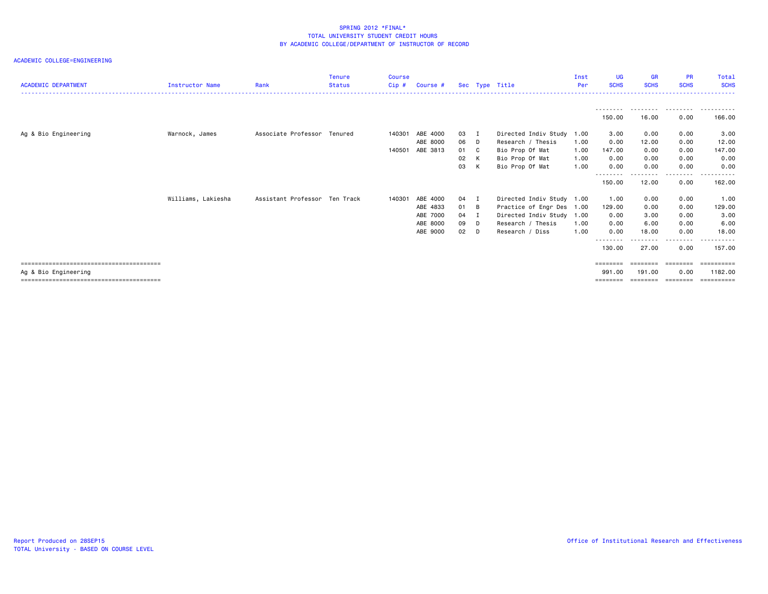|                                     |                    |                               | <b>Tenure</b> | Course |          |        |                |                           | Inst | UG                        | <b>GR</b>   | <b>PR</b>     | Total       |
|-------------------------------------|--------------------|-------------------------------|---------------|--------|----------|--------|----------------|---------------------------|------|---------------------------|-------------|---------------|-------------|
| <b>ACADEMIC DEPARTMENT</b>          | Instructor Name    | Rank                          | <b>Status</b> | Cip#   | Course # |        | Sec Type Title |                           | Per  | <b>SCHS</b>               | <b>SCHS</b> | <b>SCHS</b>   | <b>SCHS</b> |
|                                     |                    |                               |               |        |          |        |                |                           |      |                           |             |               |             |
|                                     |                    |                               |               |        |          |        |                |                           |      |                           | ---------   | .             | .           |
|                                     |                    |                               |               |        |          |        |                |                           |      | 150.00                    | 16.00       | 0.00          | 166.00      |
| Ag & Bio Engineering                | Warnock, James     | Associate Professor Tenured   |               | 140301 | ABE 4000 | 03 I   |                | Directed Indiv Study      | 1.00 | 3.00                      | 0.00        | 0.00          | 3.00        |
|                                     |                    |                               |               |        | ABE 8000 | 06 D   |                | Research / Thesis         | 1.00 | 0.00                      | 12.00       | 0.00          | 12.00       |
|                                     |                    |                               |               | 140501 | ABE 3813 | 01 C   |                | Bio Prop Of Mat           | 1.00 | 147.00                    | 0.00        | 0.00          | 147.00      |
|                                     |                    |                               |               |        |          | 02     | K              | Bio Prop Of Mat           | 1.00 | 0.00                      | 0.00        | 0.00          | 0.00        |
|                                     |                    |                               |               |        |          | 03     | K              | Bio Prop Of Mat           | 1.00 | 0.00                      | 0.00        | 0.00          | 0.00        |
|                                     |                    |                               |               |        |          |        |                |                           |      | - - - - - - - -<br>150.00 | 12.00       | -----<br>0.00 | 162.00      |
|                                     | Williams, Lakiesha | Assistant Professor Ten Track |               | 140301 | ABE 4000 | 04     | - 1            | Directed Indiv Study 1.00 |      | 1.00                      | 0.00        | 0.00          | 1.00        |
|                                     |                    |                               |               |        | ABE 4833 | 01 B   |                | Practice of Engr Des 1.00 |      | 129.00                    | 0.00        | 0.00          | 129.00      |
|                                     |                    |                               |               |        | ABE 7000 | 04     |                | Directed Indiv Study 1.00 |      | 0.00                      | 3.00        | 0.00          | 3.00        |
|                                     |                    |                               |               |        | ABE 8000 | 09 D   |                | Research / Thesis         | 1.00 | 0.00                      | 6.00        | 0.00          | 6.00        |
|                                     |                    |                               |               |        | ABE 9000 | $02$ D |                | Research / Diss           | 1.00 | 0.00                      | 18,00       | 0.00          | 18,00       |
|                                     |                    |                               |               |        |          |        |                |                           |      | - - - - - - - -<br>130.00 | 27.00       | ----<br>0.00  | 157.00      |
| =================================== |                    |                               |               |        |          |        |                |                           |      | ========                  |             |               | ==========  |
| Ag & Bio Engineering                |                    |                               |               |        |          |        |                |                           |      | 991,00                    | 191.00      | 0.00          | 1182.00     |
|                                     |                    |                               |               |        |          |        |                |                           |      | ========                  | ========    | ========      | ==========  |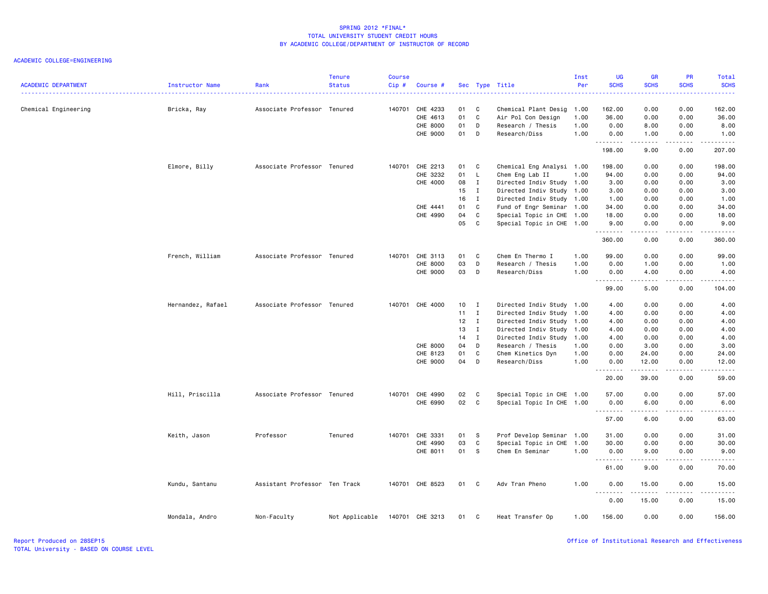|                            |                   |                               | <b>Tenure</b>  | <b>Course</b> |                 |      |              |                           | Inst | <b>UG</b>         | <b>GR</b>   | <b>PR</b>         | Total                                                                                                                                                         |
|----------------------------|-------------------|-------------------------------|----------------|---------------|-----------------|------|--------------|---------------------------|------|-------------------|-------------|-------------------|---------------------------------------------------------------------------------------------------------------------------------------------------------------|
| <b>ACADEMIC DEPARTMENT</b> | Instructor Name   | Rank                          | <b>Status</b>  | $Cip$ #       | Course #        |      |              | Sec Type Title            | Per  | <b>SCHS</b>       | <b>SCHS</b> | <b>SCHS</b>       | <b>SCHS</b><br>$\frac{1}{2} \left( \frac{1}{2} \right) \left( \frac{1}{2} \right) \left( \frac{1}{2} \right) \left( \frac{1}{2} \right)$                      |
| Chemical Engineering       | Bricka, Ray       | Associate Professor Tenured   |                | 140701        | CHE 4233        | 01   | C            | Chemical Plant Desig 1.00 |      | 162.00            | 0.00        | 0.00              | 162.00                                                                                                                                                        |
|                            |                   |                               |                |               | CHE 4613        | 01   | C            | Air Pol Con Design        | 1.00 | 36.00             | 0.00        | 0.00              | 36.00                                                                                                                                                         |
|                            |                   |                               |                |               | CHE 8000        | 01   | D            | Research / Thesis         | 1.00 | 0.00              | 8.00        | 0.00              | 8.00                                                                                                                                                          |
|                            |                   |                               |                |               | CHE 9000        | 01   | D            | Research/Diss             | 1.00 | 0.00              | 1.00        | 0.00              | 1.00                                                                                                                                                          |
|                            |                   |                               |                |               |                 |      |              |                           |      | .<br>198.00       | .<br>9.00   | المتماما<br>0.00  | <u>.</u><br>207.00                                                                                                                                            |
|                            | Elmore, Billy     | Associate Professor Tenured   |                | 140701        | CHE 2213        | 01   | C            | Chemical Eng Analysi 1.00 |      | 198.00            | 0.00        | 0.00              | 198.00                                                                                                                                                        |
|                            |                   |                               |                |               | CHE 3232        | 01   | L            | Chem Eng Lab II           | 1.00 | 94.00             | 0.00        | 0.00              | 94.00                                                                                                                                                         |
|                            |                   |                               |                |               | CHE 4000        | 08   | $\mathbf{I}$ | Directed Indiv Study 1.00 |      | 3.00              | 0.00        | 0.00              | 3.00                                                                                                                                                          |
|                            |                   |                               |                |               |                 | 15   | I            | Directed Indiv Study      | 1.00 | 3.00              | 0.00        | 0.00              | 3.00                                                                                                                                                          |
|                            |                   |                               |                |               |                 | 16   | $\mathbf{I}$ | Directed Indiv Study 1.00 |      | 1.00              | 0.00        | 0.00              | 1.00                                                                                                                                                          |
|                            |                   |                               |                |               | CHE 4441        | 01   | C            | Fund of Engr Seminar 1.00 |      | 34.00             | 0.00        | 0.00              | 34.00                                                                                                                                                         |
|                            |                   |                               |                |               | CHE 4990        | 04   | C            | Special Topic in CHE 1.00 |      | 18.00             | 0.00        | 0.00              | 18.00                                                                                                                                                         |
|                            |                   |                               |                |               |                 | 05   | C            | Special Topic in CHE 1.00 |      | 9.00              | 0.00        | 0.00              | 9.00                                                                                                                                                          |
|                            |                   |                               |                |               |                 |      |              |                           |      | .<br>360.00       | 0.00        | 0.00              | 360.00                                                                                                                                                        |
|                            | French, William   | Associate Professor Tenured   |                | 140701        | CHE 3113        | 01   | C            | Chem En Thermo I          | 1.00 | 99.00             | 0.00        | 0.00              | 99.00                                                                                                                                                         |
|                            |                   |                               |                |               | CHE 8000        | 03   | D            | Research / Thesis         | 1.00 | 0.00              | 1.00        | 0.00              | 1.00                                                                                                                                                          |
|                            |                   |                               |                |               | CHE 9000        | 03   | D            | Research/Diss             | 1.00 | 0.00              | 4.00        | 0.00              | 4.00                                                                                                                                                          |
|                            |                   |                               |                |               |                 |      |              |                           |      | <u>.</u><br>99.00 | .<br>5.00   | .<br>0.00         | .<br>104.00                                                                                                                                                   |
|                            | Hernandez, Rafael | Associate Professor Tenured   |                | 140701        | CHE 4000        | 10   | $\mathbf{I}$ | Directed Indiv Study 1.00 |      | 4.00              | 0.00        | 0.00              | 4.00                                                                                                                                                          |
|                            |                   |                               |                |               |                 | 11   | $\mathbf{I}$ | Directed Indiv Study      | 1.00 | 4.00              | 0.00        | 0.00              | 4.00                                                                                                                                                          |
|                            |                   |                               |                |               |                 | 12   | $\mathbf{I}$ | Directed Indiv Study 1.00 |      | 4.00              | 0.00        | 0.00              | 4.00                                                                                                                                                          |
|                            |                   |                               |                |               |                 | 13   | $\mathbf{I}$ | Directed Indiv Study      | 1.00 | 4.00              | 0.00        | 0.00              | 4.00                                                                                                                                                          |
|                            |                   |                               |                |               |                 | 14   | $\mathbf{I}$ | Directed Indiv Study 1.00 |      | 4.00              | 0.00        | 0.00              | 4.00                                                                                                                                                          |
|                            |                   |                               |                |               | CHE 8000        | 04   | D            | Research / Thesis         | 1.00 | 0.00              | 3.00        | 0.00              | 3.00                                                                                                                                                          |
|                            |                   |                               |                |               | CHE 8123        | 01   | C            | Chem Kinetics Dyn         | 1.00 | 0.00              | 24.00       | 0.00              | 24.00                                                                                                                                                         |
|                            |                   |                               |                |               | CHE 9000        | 04   | D            | Research/Diss             | 1.00 | 0.00              | 12.00       | 0.00              | 12.00                                                                                                                                                         |
|                            |                   |                               |                |               |                 |      |              |                           |      | .<br>20.00        | .<br>39.00  | $- - - -$<br>0.00 | $\frac{1}{2} \left( \frac{1}{2} \right) \left( \frac{1}{2} \right) \left( \frac{1}{2} \right) \left( \frac{1}{2} \right) \left( \frac{1}{2} \right)$<br>59.00 |
|                            | Hill, Priscilla   | Associate Professor Tenured   |                | 140701        | CHE 4990        | 02   | C            | Special Topic in CHE 1.00 |      | 57.00             | 0.00        | 0.00              | 57.00                                                                                                                                                         |
|                            |                   |                               |                |               | CHE 6990        | 02   | C            | Special Topic In CHE 1.00 |      | 0.00              | 6.00        | 0.00              | 6.00                                                                                                                                                          |
|                            |                   |                               |                |               |                 |      |              |                           |      | .<br>57.00        | .<br>6.00   | .<br>0.00         | $\sim$ $\sim$ $\sim$ $\sim$ $\sim$<br>63.00                                                                                                                   |
|                            | Keith, Jason      | Professor                     | Tenured        | 140701        | CHE 3331        | 01   | -S           | Prof Develop Seminar 1.00 |      | 31.00             | 0.00        | 0.00              | 31.00                                                                                                                                                         |
|                            |                   |                               |                |               | CHE 4990        | 03   | C            | Special Topic in CHE      | 1.00 | 30.00             | 0.00        | 0.00              | 30.00                                                                                                                                                         |
|                            |                   |                               |                |               | CHE 8011        | 01   | s            | Chem En Seminar           | 1.00 | 0.00              | 9.00        | 0.00              | 9.00                                                                                                                                                          |
|                            |                   |                               |                |               |                 |      |              |                           |      | .                 | .           | .                 | .                                                                                                                                                             |
|                            |                   |                               |                |               |                 |      |              |                           |      | 61.00             | 9.00        | 0.00              | 70.00                                                                                                                                                         |
|                            | Kundu, Santanu    | Assistant Professor Ten Track |                |               | 140701 CHE 8523 | 01 C |              | Adv Tran Pheno            | 1.00 | 0.00<br>.         | 15.00<br>.  | 0.00<br>.         | 15.00<br>.                                                                                                                                                    |
|                            |                   |                               |                |               |                 |      |              |                           |      | 0.00              | 15.00       | 0.00              | 15.00                                                                                                                                                         |
|                            | Mondala, Andro    | Non-Faculty                   | Not Applicable | 140701        | CHE 3213        | 01   | C            | Heat Transfer Op          | 1.00 | 156.00            | 0.00        | 0.00              | 156.00                                                                                                                                                        |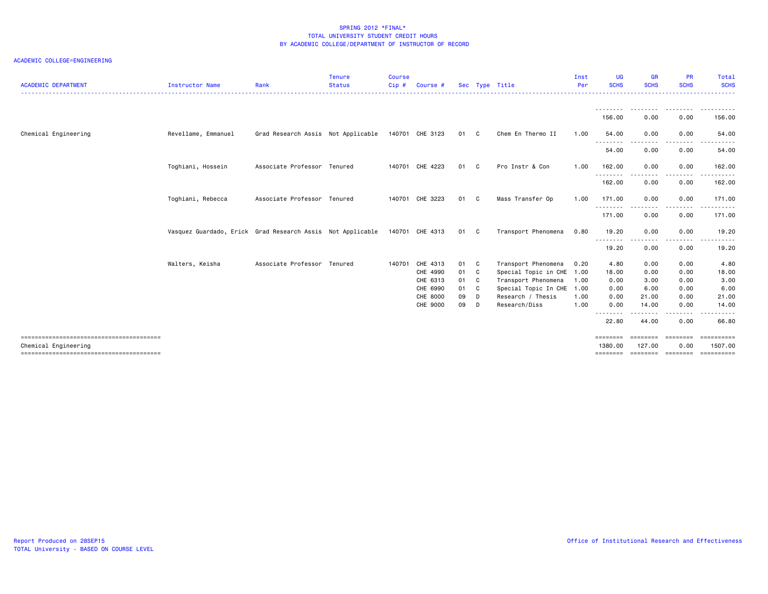| <b>ACADEMIC DEPARTMENT</b> | Instructor Name                                                            | Rank                               | <b>Tenure</b><br><b>Status</b> | Course<br>$Cip$ # | Course #        |      |    | Sec Type Title            | Inst<br>Per | <b>UG</b><br><b>SCHS</b> | <b>GR</b><br><b>SCHS</b> | <b>PR</b><br><b>SCHS</b> | Total<br><b>SCHS</b>  |
|----------------------------|----------------------------------------------------------------------------|------------------------------------|--------------------------------|-------------------|-----------------|------|----|---------------------------|-------------|--------------------------|--------------------------|--------------------------|-----------------------|
|                            |                                                                            |                                    |                                |                   |                 |      |    |                           |             | <u>.</u>                 |                          |                          | .                     |
|                            |                                                                            |                                    |                                |                   |                 |      |    |                           |             | 156.00                   | 0.00                     | 0.00                     | 156.00                |
| Chemical Engineering       | Revellame, Emmanuel                                                        | Grad Research Assis Not Applicable |                                |                   | 140701 CHE 3123 | 01 C |    | Chem En Thermo II         | 1.00        | 54.00                    | 0.00                     | 0.00<br>.                | 54.00                 |
|                            |                                                                            |                                    |                                |                   |                 |      |    |                           |             | <u>.</u><br>54.00        | . <b>.</b><br>0.00       | 0.00                     | 54.00                 |
|                            | Toghiani, Hossein                                                          | Associate Professor Tenured        |                                |                   | 140701 CHE 4223 | 01 C |    | Pro Instr & Con           | 1.00        | 162.00                   | 0.00                     | 0.00                     | 162.00                |
|                            |                                                                            |                                    |                                |                   |                 |      |    |                           |             | 162.00                   | 0.00                     | 0.00                     | 162.00                |
|                            | Toghiani, Rebecca                                                          | Associate Professor Tenured        |                                |                   | 140701 CHE 3223 | 01 C |    | Mass Transfer Op          | 1.00        | 171.00                   | 0.00                     | 0.00                     | 171.00                |
|                            |                                                                            |                                    |                                |                   |                 |      |    |                           |             | .<br>171.00              | 0.00                     | 0.00                     | .<br>171.00           |
|                            | Vasquez Guardado, Erick Grad Research Assis Not Applicable 140701 CHE 4313 |                                    |                                |                   |                 | 01 C |    | Transport Phenomena       | 0.80        | 19.20                    | 0.00                     | 0.00                     | 19.20                 |
|                            |                                                                            |                                    |                                |                   |                 |      |    |                           |             | . <b>. .</b> .<br>19.20  | 0.00                     | 0.00                     | 19.20                 |
|                            | Walters, Keisha                                                            | Associate Professor Tenured        |                                | 140701            | CHE 4313        | 01 C |    | Transport Phenomena       | 0.20        | 4.80                     | 0.00                     | 0.00                     | 4.80                  |
|                            |                                                                            |                                    |                                |                   | CHE 4990        | 01   | C. | Special Topic in CHE 1.00 |             | 18.00                    | 0.00                     | 0.00                     | 18.00                 |
|                            |                                                                            |                                    |                                |                   | CHE 6313        | 01   | C  | Transport Phenomena       | 1.00        | 0.00                     | 3.00                     | 0.00                     | 3.00                  |
|                            |                                                                            |                                    |                                |                   | CHE 6990        | 01   | C  | Special Topic In CHE 1.00 |             | 0.00                     | 6.00                     | 0.00                     | 6.00                  |
|                            |                                                                            |                                    |                                |                   | CHE 8000        | 09   | D  | Research / Thesis         | 1.00        | 0.00                     | 21.00                    | 0.00                     | 21.00                 |
|                            |                                                                            |                                    |                                |                   | CHE 9000        | 09   | n. | Research/Diss             | 1.00        | 0.00<br>.                | 14.00                    | 0.00<br>----             | 14.00                 |
|                            |                                                                            |                                    |                                |                   |                 |      |    |                           |             | 22.80                    | 44.00                    | 0.00                     | 66.80                 |
| Chemical Engineering       |                                                                            |                                    |                                |                   |                 |      |    |                           |             | ========<br>1380.00      | --------<br>127.00       | ========<br>0.00         | ==========<br>1507.00 |
|                            |                                                                            |                                    |                                |                   |                 |      |    |                           |             | ========                 | ========                 | ========                 | ==========            |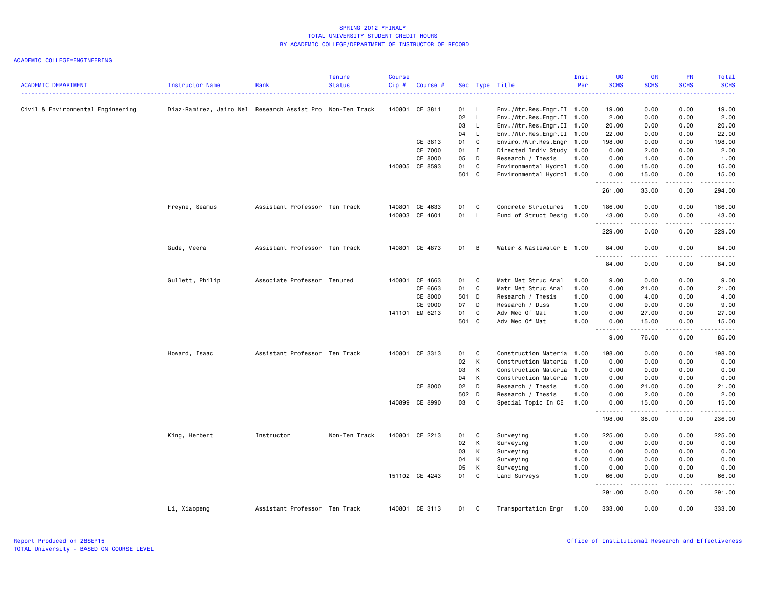| <b>ACADEMIC DEPARTMENT</b>        | Instructor Name                                           | Rank                          | <b>Tenure</b><br><b>Status</b> | <b>Course</b><br>$Cip$ # | Course #       |       |              | Sec Type Title            | Inst<br>Per | <b>UG</b><br><b>SCHS</b> | <b>GR</b><br><b>SCHS</b> | PR<br><b>SCHS</b>     | Total<br><b>SCHS</b> |
|-----------------------------------|-----------------------------------------------------------|-------------------------------|--------------------------------|--------------------------|----------------|-------|--------------|---------------------------|-------------|--------------------------|--------------------------|-----------------------|----------------------|
|                                   |                                                           |                               |                                |                          |                |       |              |                           |             |                          |                          |                       | .                    |
| Civil & Environmental Engineering | Diaz-Ramirez, Jairo Nel Research Assist Pro Non-Ten Track |                               |                                |                          | 140801 CE 3811 | 01    | $\mathsf{L}$ | Env./Wtr.Res.Engr.II 1.00 |             | 19.00                    | 0.00                     | 0.00                  | 19.00                |
|                                   |                                                           |                               |                                |                          |                | 02    | $\mathsf{L}$ | Env./Wtr.Res.Engr.II 1.00 |             | 2.00                     | 0.00                     | 0.00                  | 2.00                 |
|                                   |                                                           |                               |                                |                          |                | 03    | L.           | Env./Wtr.Res.Engr.II 1.00 |             | 20.00                    | 0.00                     | 0.00                  | 20.00                |
|                                   |                                                           |                               |                                |                          |                | 04    | $\mathsf{L}$ | Env./Wtr.Res.Engr.II 1.00 |             | 22.00                    | 0.00                     | 0.00                  | 22.00                |
|                                   |                                                           |                               |                                |                          | CE 3813        | 01    | C            | Enviro./Wtr.Res.Engr 1.00 |             | 198.00                   | 0.00                     | 0.00                  | 198.00               |
|                                   |                                                           |                               |                                |                          | CE 7000        | 01    | $\mathbf I$  | Directed Indiv Study 1.00 |             | 0.00                     | 2.00                     | 0.00                  | 2.00                 |
|                                   |                                                           |                               |                                |                          | CE 8000        | 05    | D            | Research / Thesis         | 1.00        | 0.00                     | 1.00                     | 0.00                  | 1.00                 |
|                                   |                                                           |                               |                                |                          | 140805 CE 8593 | 01    | C            | Environmental Hydrol 1.00 |             | 0.00                     | 15.00                    | 0.00                  | 15.00                |
|                                   |                                                           |                               |                                |                          |                | 501 C |              | Environmental Hydrol 1.00 |             | 0.00<br>.                | 15.00                    | 0.00<br>.             | 15.00<br>المتمالين   |
|                                   |                                                           |                               |                                |                          |                |       |              |                           |             | 261.00                   | 33.00                    | 0.00                  | 294.00               |
|                                   | Freyne, Seamus                                            | Assistant Professor Ten Track |                                |                          | 140801 CE 4633 | 01    | $\mathbf{C}$ | Concrete Structures       | 1.00        | 186.00                   | 0.00                     | 0.00                  | 186.00               |
|                                   |                                                           |                               |                                |                          | 140803 CE 4601 | 01 L  |              | Fund of Struct Desig 1.00 |             | 43.00<br>.               | 0.00<br>.                | 0.00<br>.             | 43.00<br><b></b>     |
|                                   |                                                           |                               |                                |                          |                |       |              |                           |             | 229.00                   | 0.00                     | 0.00                  | 229.00               |
|                                   | Gude, Veera                                               | Assistant Professor Ten Track |                                |                          | 140801 CE 4873 | 01    | B            | Water & Wastewater E 1.00 |             | 84.00<br><u>.</u>        | 0.00                     | 0.00<br>.             | 84.00<br>.           |
|                                   |                                                           |                               |                                |                          |                |       |              |                           |             | 84.00                    | 0.00                     | 0.00                  | 84.00                |
|                                   | Gullett, Philip                                           | Associate Professor Tenured   |                                |                          | 140801 CE 4663 | 01    | C            | Matr Met Struc Anal       | 1.00        | 9.00                     | 0.00                     | 0.00                  | 9.00                 |
|                                   |                                                           |                               |                                |                          | CE 6663        | 01    | C            | Matr Met Struc Anal       | 1.00        | 0.00                     | 21.00                    | 0.00                  | 21.00                |
|                                   |                                                           |                               |                                |                          | CE 8000        | 501 D |              | Research / Thesis         | 1.00        | 0.00                     | 4.00                     | 0.00                  | 4.00                 |
|                                   |                                                           |                               |                                |                          | CE 9000        | 07    | D            | Research / Diss           | 1.00        | 0.00                     | 9.00                     | 0.00                  | 9.00                 |
|                                   |                                                           |                               |                                |                          | 141101 EM 6213 | 01    | C            | Adv Mec Of Mat            | 1.00        | 0.00                     | 27.00                    | 0.00                  | 27.00                |
|                                   |                                                           |                               |                                |                          |                | 501 C |              | Adv Mec Of Mat            | 1.00        | 0.00<br><u>.</u>         | 15.00<br>.               | 0.00<br>$\frac{1}{2}$ | 15.00<br>.           |
|                                   |                                                           |                               |                                |                          |                |       |              |                           |             | 9.00                     | 76.00                    | 0.00                  | 85.00                |
|                                   | Howard, Isaac                                             | Assistant Professor Ten Track |                                |                          | 140801 CE 3313 | 01    | C            | Construction Materia 1.00 |             | 198.00                   | 0.00                     | 0.00                  | 198.00               |
|                                   |                                                           |                               |                                |                          |                | 02    | К            | Construction Materia      | 1.00        | 0.00                     | 0.00                     | 0.00                  | 0.00                 |
|                                   |                                                           |                               |                                |                          |                | 03    | к            | Construction Materia 1.00 |             | 0.00                     | 0.00                     | 0.00                  | 0.00                 |
|                                   |                                                           |                               |                                |                          |                | 04    | К            | Construction Materia      | 1.00        | 0.00                     | 0.00                     | 0.00                  | 0.00                 |
|                                   |                                                           |                               |                                |                          | CE 8000        | 02    | D            | Research / Thesis         | 1.00        | 0.00                     | 21.00                    | 0.00                  | 21.00                |
|                                   |                                                           |                               |                                |                          |                | 502 D |              | Research / Thesis         | 1.00        | 0.00                     | 2.00                     | 0.00                  | 2.00                 |
|                                   |                                                           |                               |                                |                          | 140899 CE 8990 | 03 C  |              | Special Topic In CE       | 1.00        | 0.00<br>.                | 15.00<br>$- - - - -$     | 0.00<br>.             | 15.00<br>.           |
|                                   |                                                           |                               |                                |                          |                |       |              |                           |             | 198.00                   | 38.00                    | 0.00                  | 236.00               |
|                                   | King, Herbert                                             | Instructor                    | Non-Ten Track                  |                          | 140801 CE 2213 | 01    | C            | Surveying                 | 1.00        | 225.00                   | 0.00                     | 0.00                  | 225.00               |
|                                   |                                                           |                               |                                |                          |                | 02    | K            | Surveying                 | 1.00        | 0.00                     | 0.00                     | 0.00                  | 0.00                 |
|                                   |                                                           |                               |                                |                          |                | 03    | К            | Surveying                 | 1.00        | 0.00                     | 0.00                     | 0.00                  | 0.00                 |
|                                   |                                                           |                               |                                |                          |                | 04    | K            | Surveying                 | 1.00        | 0.00                     | 0.00                     | 0.00                  | 0.00                 |
|                                   |                                                           |                               |                                |                          |                | 05    | к            | Surveying                 | 1.00        | 0.00                     | 0.00                     | 0.00                  | 0.00                 |
|                                   |                                                           |                               |                                |                          | 151102 CE 4243 | 01    | C            | Land Surveys              | 1.00        | 66.00                    | 0.00                     | 0.00<br>$- - - -$     | 66.00                |
|                                   |                                                           |                               |                                |                          |                |       |              |                           |             | 291.00                   | 0.00                     | 0.00                  | 291.00               |
|                                   | Li, Xiaopeng                                              | Assistant Professor Ten Track |                                |                          | 140801 CE 3113 | 01    | C            | Transportation Engr       | 1.00        | 333.00                   | 0.00                     | 0.00                  | 333.00               |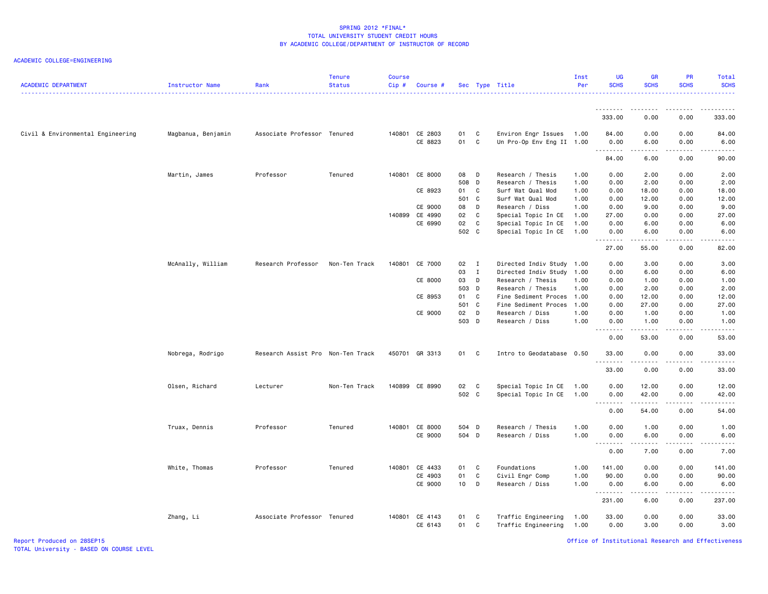| <b>ACADEMIC DEPARTMENT</b>        | Instructor Name    | Rank                              | Tenure<br><b>Status</b> | <b>Course</b><br>Cip# | Course #       |       |              | Sec Type Title            | Inst<br>Per | UG<br><b>SCHS</b>           | <b>GR</b><br><b>SCHS</b> | PR<br><b>SCHS</b>     | <b>Total</b><br><b>SCHS</b>                                                                                                                                   |
|-----------------------------------|--------------------|-----------------------------------|-------------------------|-----------------------|----------------|-------|--------------|---------------------------|-------------|-----------------------------|--------------------------|-----------------------|---------------------------------------------------------------------------------------------------------------------------------------------------------------|
|                                   |                    |                                   |                         |                       |                |       |              |                           |             |                             |                          |                       |                                                                                                                                                               |
|                                   |                    |                                   |                         |                       |                |       |              |                           |             | 333.00                      | 0.00                     | 0.00                  | 333.00                                                                                                                                                        |
| Civil & Environmental Engineering | Magbanua, Benjamin | Associate Professor Tenured       |                         |                       | 140801 CE 2803 | 01    | C.           | Environ Engr Issues       | 1.00        | 84.00                       | 0.00                     | 0.00                  | 84.00                                                                                                                                                         |
|                                   |                    |                                   |                         |                       | CE 8823        | 01    | C            | Un Pro-Op Env Eng II 1.00 |             | 0.00                        | 6.00                     | 0.00                  | 6.00                                                                                                                                                          |
|                                   |                    |                                   |                         |                       |                |       |              |                           |             | .<br>84.00                  | .<br>6.00                | الدامات ب<br>0.00     | $\frac{1}{2} \left( \frac{1}{2} \right) \left( \frac{1}{2} \right) \left( \frac{1}{2} \right) \left( \frac{1}{2} \right) \left( \frac{1}{2} \right)$<br>90.00 |
|                                   | Martin, James      | Professor                         | Tenured                 | 140801                | CE 8000        | 08    | D            | Research / Thesis         | 1.00        | 0.00                        | 2.00                     | 0.00                  | 2.00                                                                                                                                                          |
|                                   |                    |                                   |                         |                       |                | 508 D |              | Research / Thesis         | 1.00        | 0.00                        | 2.00                     | 0.00                  | 2.00                                                                                                                                                          |
|                                   |                    |                                   |                         |                       | CE 8923        | 01    | C            | Surf Wat Qual Mod         | 1.00        | 0.00                        | 18.00                    | 0.00                  | 18.00                                                                                                                                                         |
|                                   |                    |                                   |                         |                       |                | 501 C |              | Surf Wat Qual Mod         | 1.00        | 0.00                        | 12.00                    | 0.00                  | 12.00                                                                                                                                                         |
|                                   |                    |                                   |                         |                       | CE 9000        | 08    | D            | Research / Diss           | 1.00        | 0.00                        | 9.00                     | 0.00                  | 9.00                                                                                                                                                          |
|                                   |                    |                                   |                         |                       | 140899 CE 4990 | 02    | $\mathbf{C}$ | Special Topic In CE       | 1.00        | 27.00                       | 0.00                     | 0.00                  | 27.00                                                                                                                                                         |
|                                   |                    |                                   |                         |                       | CE 6990        | 02    | C            | Special Topic In CE       | 1.00        | 0.00                        | 6.00                     | 0.00                  | 6.00                                                                                                                                                          |
|                                   |                    |                                   |                         |                       |                | 502 C |              | Special Topic In CE       | 1.00        | 0.00<br>.                   | 6.00<br>-----            | 0.00<br>.             | 6.00<br>-----                                                                                                                                                 |
|                                   |                    |                                   |                         |                       |                |       |              |                           |             | 27.00                       | 55.00                    | 0.00                  | 82.00                                                                                                                                                         |
|                                   | McAnally, William  | Research Professor                | Non-Ten Track           |                       | 140801 CE 7000 | 02 I  |              | Directed Indiv Study 1.00 |             | 0.00                        | 3.00                     | 0.00                  | 3.00                                                                                                                                                          |
|                                   |                    |                                   |                         |                       |                | 03    | $\mathbf{I}$ | Directed Indiv Study      | 1.00        | 0.00                        | 6.00                     | 0.00                  | 6.00                                                                                                                                                          |
|                                   |                    |                                   |                         |                       | CE 8000        | 03    | D            | Research / Thesis         | 1.00        | 0.00                        | 1.00                     | 0.00                  | 1.00                                                                                                                                                          |
|                                   |                    |                                   |                         |                       |                | 503 D |              | Research / Thesis         | 1.00        | 0.00                        | 2.00                     | 0.00                  | 2.00                                                                                                                                                          |
|                                   |                    |                                   |                         |                       | CE 8953        | 01    | $\mathbf{C}$ | Fine Sediment Proces      | 1.00        | 0.00                        | 12.00                    | 0.00                  | 12.00                                                                                                                                                         |
|                                   |                    |                                   |                         |                       |                | 501 C |              | Fine Sediment Proces      | 1.00        | 0.00                        | 27.00                    | 0.00                  | 27.00                                                                                                                                                         |
|                                   |                    |                                   |                         |                       | CE 9000        | 02 D  |              | Research / Diss           | 1.00        | 0.00                        | 1.00                     | 0.00                  | 1.00                                                                                                                                                          |
|                                   |                    |                                   |                         |                       |                | 503 D |              | Research / Diss           | 1.00        | 0.00                        | 1.00                     | 0.00                  | 1.00                                                                                                                                                          |
|                                   |                    |                                   |                         |                       |                |       |              |                           |             | .<br>0.00                   | .<br>53.00               | $\frac{1}{2}$<br>0.00 | <u>.</u><br>53.00                                                                                                                                             |
|                                   |                    |                                   |                         |                       |                |       |              |                           |             |                             |                          |                       |                                                                                                                                                               |
|                                   | Nobrega, Rodrigo   | Research Assist Pro Non-Ten Track |                         |                       | 450701 GR 3313 | 01 C  |              | Intro to Geodatabase 0.50 |             | 33.00<br>.                  | 0.00                     | 0.00                  | 33.00<br>د د د د د                                                                                                                                            |
|                                   |                    |                                   |                         |                       |                |       |              |                           |             | 33.00                       | 0.00                     | 0.00                  | 33.00                                                                                                                                                         |
|                                   | Olsen, Richard     | Lecturer                          | Non-Ten Track           |                       | 140899 CE 8990 | 02 C  |              | Special Topic In CE       | 1.00        | 0.00                        | 12.00                    | 0.00                  | 12.00                                                                                                                                                         |
|                                   |                    |                                   |                         |                       |                | 502 C |              | Special Topic In CE       | 1.00        | 0.00                        | 42.00                    | 0.00                  | 42.00                                                                                                                                                         |
|                                   |                    |                                   |                         |                       |                |       |              |                           |             | <b></b>                     | .                        | .                     | .                                                                                                                                                             |
|                                   |                    |                                   |                         |                       |                |       |              |                           |             | 0.00                        | 54.00                    | 0.00                  | 54.00                                                                                                                                                         |
|                                   | Truax, Dennis      | Professor                         | Tenured                 |                       | 140801 CE 8000 | 504 D |              | Research / Thesis         | 1.00        | 0.00                        | 1.00                     | 0.00                  | 1.00                                                                                                                                                          |
|                                   |                    |                                   |                         |                       | CE 9000        | 504 D |              | Research / Diss           | 1.00        | 0.00                        | 6.00                     | 0.00                  | 6.00                                                                                                                                                          |
|                                   |                    |                                   |                         |                       |                |       |              |                           |             | $\sim$ $\sim$ $\sim$ $\sim$ |                          | .                     |                                                                                                                                                               |
|                                   |                    |                                   |                         |                       |                |       |              |                           |             | 0.00                        | 7.00                     | 0.00                  | 7.00                                                                                                                                                          |
|                                   | White, Thomas      | Professor                         | Tenured                 |                       | 140801 CE 4433 | 01    | C            | Foundations               | 1.00        | 141.00                      | 0.00                     | 0.00                  | 141.00                                                                                                                                                        |
|                                   |                    |                                   |                         |                       | CE 4903        | 01    | C            | Civil Engr Comp           | 1.00        | 90.00                       | 0.00                     | 0.00                  | 90.00                                                                                                                                                         |
|                                   |                    |                                   |                         |                       | CE 9000        | 10    | $\mathsf{D}$ | Research / Diss           | 1.00        | 0.00                        | 6.00                     | 0.00                  | 6.00                                                                                                                                                          |
|                                   |                    |                                   |                         |                       |                |       |              |                           |             | .<br>231.00                 | .<br>6.00                | د د د د<br>0.00       | .<br>237.00                                                                                                                                                   |
|                                   | Zhang, Li          | Associate Professor Tenured       |                         |                       | 140801 CE 4143 | 01    | C            | Traffic Engineering       | 1.00        | 33.00                       | 0.00                     | 0.00                  | 33.00                                                                                                                                                         |
|                                   |                    |                                   |                         |                       | CE 6143        | 01    | C            | Traffic Engineering       | 1.00        | 0.00                        | 3.00                     | 0.00                  | 3.00                                                                                                                                                          |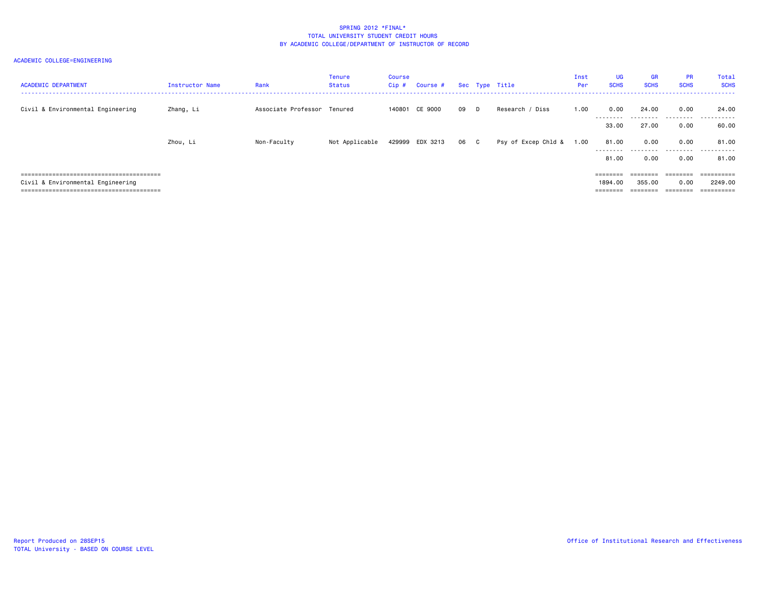| <b>ACADEMIC DEPARTMENT</b>        | <b>Instructor Name</b> | Rank                        | <b>Tenure</b><br>Status | <b>Course</b><br>$Cip$ # | Course #        |      | Sec Type Title |                     | Inst<br>Per | <b>UG</b><br><b>SCHS</b>                 | <b>GR</b><br><b>SCHS</b>       | <b>PR</b><br><b>SCHS</b> | Total<br><b>SCHS</b>                           |
|-----------------------------------|------------------------|-----------------------------|-------------------------|--------------------------|-----------------|------|----------------|---------------------|-------------|------------------------------------------|--------------------------------|--------------------------|------------------------------------------------|
| Civil & Environmental Engineering | Zhang, Li              | Associate Professor Tenured |                         |                          | 140801 CE 9000  | 09 D |                | Research / Diss     | 1.00        | 0.00<br>--------                         | 24.00                          | 0.00<br>.                | 24.00<br>.                                     |
|                                   |                        |                             |                         |                          |                 |      |                |                     |             | 33.00                                    | 27.00                          | 0.00                     | 60.00                                          |
|                                   | Zhou, Li               | Non-Faculty                 | Not Applicable          |                          | 429999 EDX 3213 | 06 C |                | Psy of Excep Chld & | 1.00        | 81.00<br>--------<br>81.00               | 0.00<br>0.00                   | 0.00<br>.<br>0.00        | 81.00<br>. <b>.</b> .<br>$  -$<br>81.00        |
| Civil & Environmental Engineering |                        |                             |                         |                          |                 |      |                |                     |             | $=$ = = = = = = =<br>1894.00<br>======== | ========<br>355.00<br>======== | 0.00<br>========         | $=$ = = = = = = = = =<br>2249.00<br>========== |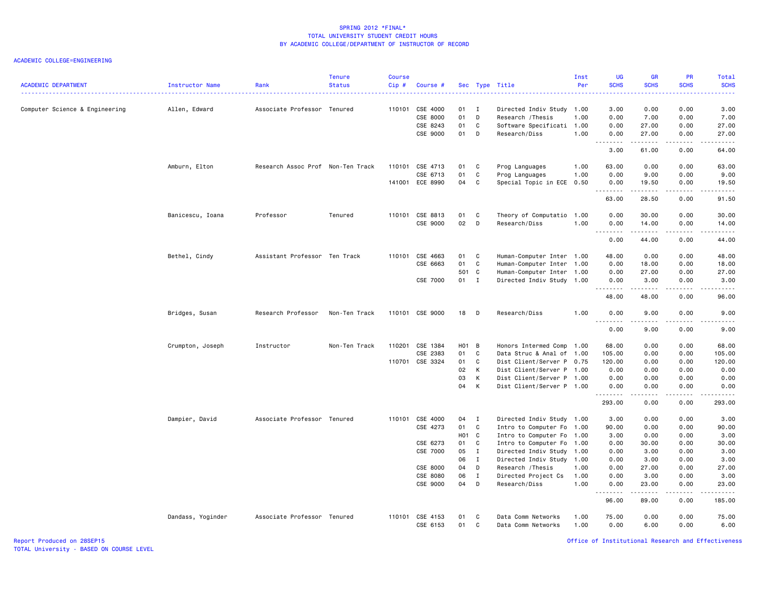#### ACADEMIC COLLEGE=ENGINEERING

| <b>ACADEMIC DEPARTMENT</b>     | Instructor Name   | Rank                              | <b>Tenure</b><br><b>Status</b> | <b>Course</b><br>Cip# | Course #        |        |                | Sec Type Title            | Inst<br>Per | UG<br><b>SCHS</b> | <b>GR</b><br><b>SCHS</b>                                                                                                                                      | <b>PR</b><br><b>SCHS</b>            | Total<br><b>SCHS</b>                                                                                                                                          |
|--------------------------------|-------------------|-----------------------------------|--------------------------------|-----------------------|-----------------|--------|----------------|---------------------------|-------------|-------------------|---------------------------------------------------------------------------------------------------------------------------------------------------------------|-------------------------------------|---------------------------------------------------------------------------------------------------------------------------------------------------------------|
| Computer Science & Engineering | Allen, Edward     | Associate Professor Tenured       |                                | 110101                | CSE 4000        | 01     | $\blacksquare$ | Directed Indiv Study 1.00 |             | 3.00              | 0.00                                                                                                                                                          | 0.00                                | 3.00                                                                                                                                                          |
|                                |                   |                                   |                                |                       | CSE 8000        | 01     | D              | Research / Thesis         | 1.00        | 0.00              | 7.00                                                                                                                                                          | 0.00                                | 7.00                                                                                                                                                          |
|                                |                   |                                   |                                |                       | CSE 8243        | 01     | C              | Software Specificati 1.00 |             | 0.00              | 27.00                                                                                                                                                         | 0.00                                | 27.00                                                                                                                                                         |
|                                |                   |                                   |                                |                       | CSE 9000        | 01     | D              | Research/Diss             | 1.00        | 0.00<br>.         | 27.00<br>.                                                                                                                                                    | 0.00<br>$\sim$ $\sim$ $\sim$        | 27.00<br>$\frac{1}{2} \left( \frac{1}{2} \right) \left( \frac{1}{2} \right) \left( \frac{1}{2} \right) \left( \frac{1}{2} \right) \left( \frac{1}{2} \right)$ |
|                                |                   |                                   |                                |                       |                 |        |                |                           |             | 3.00              | 61.00                                                                                                                                                         | 0.00                                | 64.00                                                                                                                                                         |
|                                | Amburn, Elton     | Research Assoc Prof Non-Ten Track |                                | 110101                | CSE 4713        | 01     | C              | Prog Languages            | 1.00        | 63.00             | 0.00                                                                                                                                                          | 0.00                                | 63.00                                                                                                                                                         |
|                                |                   |                                   |                                |                       | CSE 6713        | 01     | C              | Prog Languages            | 1.00        | 0.00              | 9.00                                                                                                                                                          | 0.00                                | 9.00                                                                                                                                                          |
|                                |                   |                                   |                                |                       | 141001 ECE 8990 | 04     | C              | Special Topic in ECE      | 0.50        | 0.00<br>.         | 19.50<br>$\frac{1}{2} \left( \frac{1}{2} \right) \left( \frac{1}{2} \right) \left( \frac{1}{2} \right) \left( \frac{1}{2} \right) \left( \frac{1}{2} \right)$ | 0.00<br>$\sim$ $\sim$ $\sim$ $\sim$ | 19.50<br>.                                                                                                                                                    |
|                                |                   |                                   |                                |                       |                 |        |                |                           |             | 63.00             | 28.50                                                                                                                                                         | 0.00                                | 91.50                                                                                                                                                         |
|                                | Banicescu, Ioana  | Professor                         | Tenured                        | 110101                | CSE 8813        | 01     | C              | Theory of Computatio      | 1.00        | 0.00              | 30.00                                                                                                                                                         | 0.00                                | 30.00                                                                                                                                                         |
|                                |                   |                                   |                                |                       | CSE 9000        | 02     | D              | Research/Diss             | 1.00        | 0.00<br>.         | 14.00<br>.                                                                                                                                                    | 0.00<br>.                           | 14.00<br>.                                                                                                                                                    |
|                                |                   |                                   |                                |                       |                 |        |                |                           |             | 0.00              | 44.00                                                                                                                                                         | 0.00                                | 44.00                                                                                                                                                         |
|                                | Bethel, Cindy     | Assistant Professor Ten Track     |                                | 110101                | CSE 4663        | 01     | C              | Human-Computer Inter 1.00 |             | 48.00             | 0.00                                                                                                                                                          | 0.00                                | 48.00                                                                                                                                                         |
|                                |                   |                                   |                                |                       | CSE 6663        | 01     | C              | Human-Computer Inter 1.00 |             | 0.00              | 18.00                                                                                                                                                         | 0.00                                | 18.00                                                                                                                                                         |
|                                |                   |                                   |                                |                       |                 | 501 C  |                | Human-Computer Inter 1.00 |             | 0.00              | 27.00                                                                                                                                                         | 0.00                                | 27.00                                                                                                                                                         |
|                                |                   |                                   |                                |                       | CSE 7000        | $01$ I |                | Directed Indiv Study 1.00 |             | 0.00<br>.         | 3.00<br>.                                                                                                                                                     | 0.00<br>$\sim$ $\sim$ $\sim$        | 3.00<br>.                                                                                                                                                     |
|                                |                   |                                   |                                |                       |                 |        |                |                           |             | 48.00             | 48.00                                                                                                                                                         | 0.00                                | 96.00                                                                                                                                                         |
|                                | Bridges, Susan    | Research Professor                | Non-Ten Track                  |                       | 110101 CSE 9000 | 18     | - D            | Research/Diss             | 1.00        | 0.00<br>.         | 9.00<br>.                                                                                                                                                     | 0.00<br>.                           | 9.00<br>.                                                                                                                                                     |
|                                |                   |                                   |                                |                       |                 |        |                |                           |             | 0.00              | 9.00                                                                                                                                                          | 0.00                                | 9.00                                                                                                                                                          |
|                                | Crumpton, Joseph  | Instructor                        | Non-Ten Track                  | 110201                | CSE 1384        | HO1 B  |                | Honors Intermed Comp 1.00 |             | 68.00             | 0.00                                                                                                                                                          | 0.00                                | 68.00                                                                                                                                                         |
|                                |                   |                                   |                                |                       | CSE 2383        | 01     | C              | Data Struc & Anal of 1.00 |             | 105.00            | 0.00                                                                                                                                                          | 0.00                                | 105.00                                                                                                                                                        |
|                                |                   |                                   |                                | 110701                | CSE 3324        | 01     | C              | Dist Client/Server P 0.75 |             | 120.00            | 0.00                                                                                                                                                          | 0.00                                | 120.00                                                                                                                                                        |
|                                |                   |                                   |                                |                       |                 | 02     | K              | Dist Client/Server P 1.00 |             | 0.00              | 0.00                                                                                                                                                          | 0.00                                | 0.00                                                                                                                                                          |
|                                |                   |                                   |                                |                       |                 | 03     | К              | Dist Client/Server P 1.00 |             | 0.00              | 0.00                                                                                                                                                          | 0.00                                | 0.00                                                                                                                                                          |
|                                |                   |                                   |                                |                       |                 | 04     | K              | Dist Client/Server P 1.00 |             | 0.00<br>.         | 0.00<br>.                                                                                                                                                     | 0.00<br>.                           | 0.00<br><u>.</u>                                                                                                                                              |
|                                |                   |                                   |                                |                       |                 |        |                |                           |             | 293.00            | 0.00                                                                                                                                                          | 0.00                                | 293.00                                                                                                                                                        |
|                                | Dampier, David    | Associate Professor Tenured       |                                | 110101                | CSE 4000        | 04     | $\mathbf{I}$   | Directed Indiv Study 1.00 |             | 3.00              | 0.00                                                                                                                                                          | 0.00                                | 3.00                                                                                                                                                          |
|                                |                   |                                   |                                |                       | CSE 4273        | 01     | C              | Intro to Computer Fo 1.00 |             | 90.00             | 0.00                                                                                                                                                          | 0.00                                | 90.00                                                                                                                                                         |
|                                |                   |                                   |                                |                       |                 | H01 C  |                | Intro to Computer Fo      | 1.00        | 3.00              | 0.00                                                                                                                                                          | 0.00                                | 3.00                                                                                                                                                          |
|                                |                   |                                   |                                |                       | CSE 6273        | 01     | C.             | Intro to Computer Fo      | 1.00        | 0.00              | 30.00                                                                                                                                                         | 0.00                                | 30.00                                                                                                                                                         |
|                                |                   |                                   |                                |                       | CSE 7000        | 05     | $\mathbf{I}$   | Directed Indiv Study      | 1.00        | 0.00              | 3.00                                                                                                                                                          | 0.00                                | 3.00                                                                                                                                                          |
|                                |                   |                                   |                                |                       |                 | 06     | $\mathbf{I}$   | Directed Indiv Study      | 1.00        | 0.00              | 3.00                                                                                                                                                          | 0.00                                | 3.00                                                                                                                                                          |
|                                |                   |                                   |                                |                       | CSE 8000        | 04     | D              | Research / Thesis         | 1.00        | 0.00              | 27.00                                                                                                                                                         | 0.00                                | 27.00                                                                                                                                                         |
|                                |                   |                                   |                                |                       | CSE 8080        | 06     | $\mathbf I$    | Directed Project Cs       | 1.00        | 0.00              | 3.00                                                                                                                                                          | 0.00                                | 3.00                                                                                                                                                          |
|                                |                   |                                   |                                |                       | CSE 9000        | 04     | D              | Research/Diss             | 1.00        | 0.00<br>.         | 23.00<br>$\frac{1}{2} \left( \frac{1}{2} \right) \left( \frac{1}{2} \right) \left( \frac{1}{2} \right) \left( \frac{1}{2} \right) \left( \frac{1}{2} \right)$ | 0.00<br>.                           | 23.00<br>.                                                                                                                                                    |
|                                |                   |                                   |                                |                       |                 |        |                |                           |             | 96.00             | 89.00                                                                                                                                                         | 0.00                                | 185.00                                                                                                                                                        |
|                                | Dandass, Yoginder | Associate Professor Tenured       |                                | 110101                | CSE 4153        | 01     | C.             | Data Comm Networks        | 1.00        | 75.00             | 0.00                                                                                                                                                          | 0.00                                | 75.00                                                                                                                                                         |
|                                |                   |                                   |                                |                       | CSE 6153        | 01     | C.             | Data Comm Networks        | 1.00        | 0.00              | 6.00                                                                                                                                                          | 0.00                                | 6.00                                                                                                                                                          |

Office of Institutional Research and Effectiveness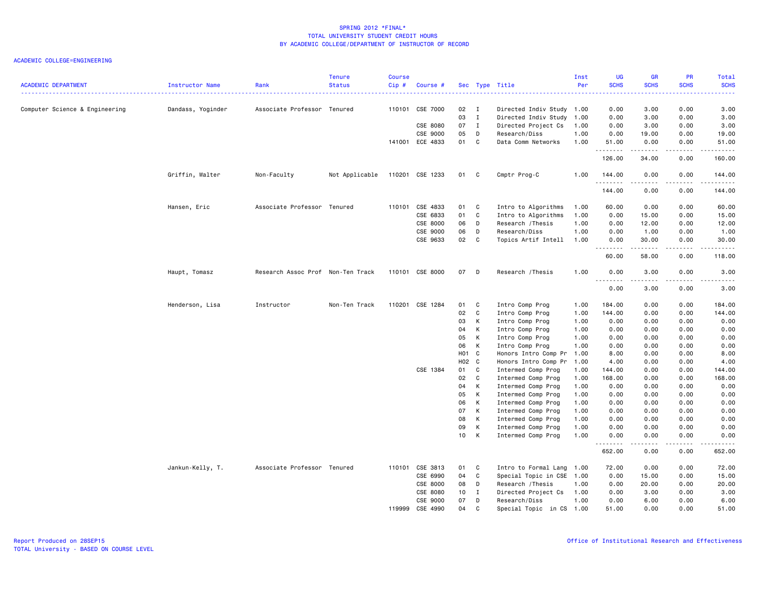| <b>ACADEMIC DEPARTMENT</b>     |                   |                                   | <b>Tenure</b>  | <b>Course</b> |                 |                   |                |                                          | Inst<br>Per  | UG<br><b>SCHS</b> | <b>GR</b><br><b>SCHS</b> | PR<br><b>SCHS</b> | Total<br><b>SCHS</b>                                                                                                                                                                      |
|--------------------------------|-------------------|-----------------------------------|----------------|---------------|-----------------|-------------------|----------------|------------------------------------------|--------------|-------------------|--------------------------|-------------------|-------------------------------------------------------------------------------------------------------------------------------------------------------------------------------------------|
|                                | Instructor Name   | Rank                              | <b>Status</b>  | Cip#          | Course #        |                   |                | Sec Type Title                           |              | . <b>.</b> .      | .                        | <u>.</u>          | $\frac{1}{2} \left( \frac{1}{2} \right) \left( \frac{1}{2} \right) \left( \frac{1}{2} \right) \left( \frac{1}{2} \right)$                                                                 |
| Computer Science & Engineering | Dandass, Yoginder | Associate Professor Tenured       |                | 110101        | CSE 7000        | 02                | $\blacksquare$ | Directed Indiv Study 1.00                |              | 0.00              | 3.00                     | 0.00              | 3.00                                                                                                                                                                                      |
|                                |                   |                                   |                |               |                 | 03                | $\mathbf{I}$   | Directed Indiv Study                     | 1.00         | 0.00              | 3.00                     | 0.00              | 3.00                                                                                                                                                                                      |
|                                |                   |                                   |                |               | CSE 8080        | 07                | $\mathbf{I}$   | Directed Project Cs                      | 1.00         | 0.00              | 3.00                     | 0.00              | 3.00                                                                                                                                                                                      |
|                                |                   |                                   |                |               | CSE 9000        | 05                | D              | Research/Diss                            | 1.00         | 0.00              | 19.00                    | 0.00              | 19.00                                                                                                                                                                                     |
|                                |                   |                                   |                |               | 141001 ECE 4833 | 01                | $\mathbf{C}$   | Data Comm Networks                       | 1.00         | 51.00<br>.        | 0.00<br>.                | 0.00<br>.         | 51.00<br>.                                                                                                                                                                                |
|                                |                   |                                   |                |               |                 |                   |                |                                          |              | 126.00            | 34.00                    | 0.00              | 160.00                                                                                                                                                                                    |
|                                | Griffin, Walter   | Non-Faculty                       | Not Applicable |               | 110201 CSE 1233 | 01                | C.             | Cmptr Prog-C                             | 1.00         | 144.00            | 0.00                     | 0.00              | 144.00                                                                                                                                                                                    |
|                                |                   |                                   |                |               |                 |                   |                |                                          |              | .<br>144.00       | .<br>0.00                | .<br>0.00         | $\frac{1}{2} \left( \frac{1}{2} \right) \left( \frac{1}{2} \right) \left( \frac{1}{2} \right) \left( \frac{1}{2} \right) \left( \frac{1}{2} \right) \left( \frac{1}{2} \right)$<br>144.00 |
|                                | Hansen, Eric      | Associate Professor Tenured       |                | 110101        | CSE 4833        | 01                | C              | Intro to Algorithms                      | 1.00         | 60.00             | 0.00                     | 0.00              | 60.00                                                                                                                                                                                     |
|                                |                   |                                   |                |               | CSE 6833        | 01                | C              | Intro to Algorithms                      | 1.00         | 0.00              | 15.00                    | 0.00              | 15.00                                                                                                                                                                                     |
|                                |                   |                                   |                |               | CSE 8000        | 06                | D              | Research / Thesis                        | 1.00         | 0.00              | 12.00                    | 0.00              | 12.00                                                                                                                                                                                     |
|                                |                   |                                   |                |               | CSE 9000        | 06                | D              | Research/Diss                            | 1.00         | 0.00              | 1.00                     | 0.00              | 1.00                                                                                                                                                                                      |
|                                |                   |                                   |                |               | CSE 9633        | 02                | C              | Topics Artif Intell                      | 1.00         | 0.00<br>.         | 30.00<br>. <b>.</b>      | 0.00<br>.         | 30.00<br>.                                                                                                                                                                                |
|                                |                   |                                   |                |               |                 |                   |                |                                          |              | 60.00             | 58.00                    | 0.00              | 118.00                                                                                                                                                                                    |
|                                | Haupt, Tomasz     | Research Assoc Prof Non-Ten Track |                |               | 110101 CSE 8000 | 07                | D              | Research / Thesis                        | 1.00         | 0.00              | 3.00                     | 0.00              | 3.00                                                                                                                                                                                      |
|                                |                   |                                   |                |               |                 |                   |                |                                          |              | .<br>0.00         | $\frac{1}{2}$<br>3.00    | .<br>0.00         | .<br>3.00                                                                                                                                                                                 |
|                                | Henderson, Lisa   | Instructor                        | Non-Ten Track  | 110201        | CSE 1284        | 01                | C              | Intro Comp Prog                          | 1.00         | 184.00            | 0.00                     | 0.00              | 184.00                                                                                                                                                                                    |
|                                |                   |                                   |                |               |                 | 02                | C              | Intro Comp Prog                          | 1.00         | 144.00            | 0.00                     | 0.00              | 144.00                                                                                                                                                                                    |
|                                |                   |                                   |                |               |                 | 03                | К              | Intro Comp Prog                          | 1.00         | 0.00              | 0.00                     | 0.00              | 0.00                                                                                                                                                                                      |
|                                |                   |                                   |                |               |                 | 04                | К              | Intro Comp Prog                          | 1.00         | 0.00              | 0.00                     | 0.00              | 0.00                                                                                                                                                                                      |
|                                |                   |                                   |                |               |                 | 05                | К              | Intro Comp Prog                          | 1.00         | 0.00              | 0.00                     | 0.00              | 0.00                                                                                                                                                                                      |
|                                |                   |                                   |                |               |                 | 06                | К              | Intro Comp Prog                          | 1.00         | 0.00              | 0.00                     | 0.00              | 0.00                                                                                                                                                                                      |
|                                |                   |                                   |                |               |                 | H <sub>01</sub> C |                | Honors Intro Comp Pr                     | 1.00         | 8.00              | 0.00                     | 0.00              | 8.00                                                                                                                                                                                      |
|                                |                   |                                   |                |               |                 | H02 C             |                | Honors Intro Comp Pr                     | 1.00         | 4.00              | 0.00                     | 0.00              | 4.00                                                                                                                                                                                      |
|                                |                   |                                   |                |               | CSE 1384        | 01                | C              | Intermed Comp Prog                       | 1.00         | 144.00            | 0.00                     | 0.00              | 144.00                                                                                                                                                                                    |
|                                |                   |                                   |                |               |                 | 02                | C              | Intermed Comp Prog                       | 1.00         | 168.00            | 0.00                     | 0.00              | 168.00                                                                                                                                                                                    |
|                                |                   |                                   |                |               |                 | 04                | К              | Intermed Comp Prog                       | 1.00         | 0.00              | 0.00                     | 0.00              | 0.00                                                                                                                                                                                      |
|                                |                   |                                   |                |               |                 | 05<br>06          | К<br>К         | Intermed Comp Prog                       | 1.00         | 0.00              | 0.00                     | 0.00              | 0.00                                                                                                                                                                                      |
|                                |                   |                                   |                |               |                 | 07                | К              | Intermed Comp Prog<br>Intermed Comp Prog | 1.00<br>1.00 | 0.00<br>0.00      | 0.00<br>0.00             | 0.00<br>0.00      | 0.00<br>0.00                                                                                                                                                                              |
|                                |                   |                                   |                |               |                 | 08                | К              | Intermed Comp Prog                       | 1.00         | 0.00              | 0.00                     | 0.00              | 0.00                                                                                                                                                                                      |
|                                |                   |                                   |                |               |                 | 09                | К              | Intermed Comp Prog                       | 1.00         | 0.00              | 0.00                     | 0.00              | 0.00                                                                                                                                                                                      |
|                                |                   |                                   |                |               |                 | 10                | К              | Intermed Comp Prog                       | 1.00         | 0.00              | 0.00                     | 0.00              | 0.00                                                                                                                                                                                      |
|                                |                   |                                   |                |               |                 |                   |                |                                          |              | 652.00            | 0.00                     | 0.00              | .<br>652.00                                                                                                                                                                               |
|                                | Jankun-Kelly, T.  | Associate Professor Tenured       |                | 110101        | CSE 3813        | 01                | C              | Intro to Formal Lang 1.00                |              | 72.00             | 0.00                     | 0.00              | 72.00                                                                                                                                                                                     |
|                                |                   |                                   |                |               | CSE 6990        | 04                | C              | Special Topic in CSE 1.00                |              | 0.00              | 15.00                    | 0.00              | 15.00                                                                                                                                                                                     |
|                                |                   |                                   |                |               | CSE 8000        | 08                | D              | Research / Thesis                        | 1.00         | 0.00              | 20.00                    | 0.00              | 20.00                                                                                                                                                                                     |
|                                |                   |                                   |                |               | CSE 8080        | 10                | $\mathbf{I}$   | Directed Project Cs                      | 1.00         | 0.00              | 3.00                     | 0.00              | 3.00                                                                                                                                                                                      |
|                                |                   |                                   |                |               | CSE 9000        | 07                | D              | Research/Diss                            | 1.00         | 0.00              | 6.00                     | 0.00              | 6.00                                                                                                                                                                                      |
|                                |                   |                                   |                | 119999        | CSE 4990        | 04                | C.             | Special Topic in CS 1.00                 |              | 51.00             | 0.00                     | 0.00              | 51.00                                                                                                                                                                                     |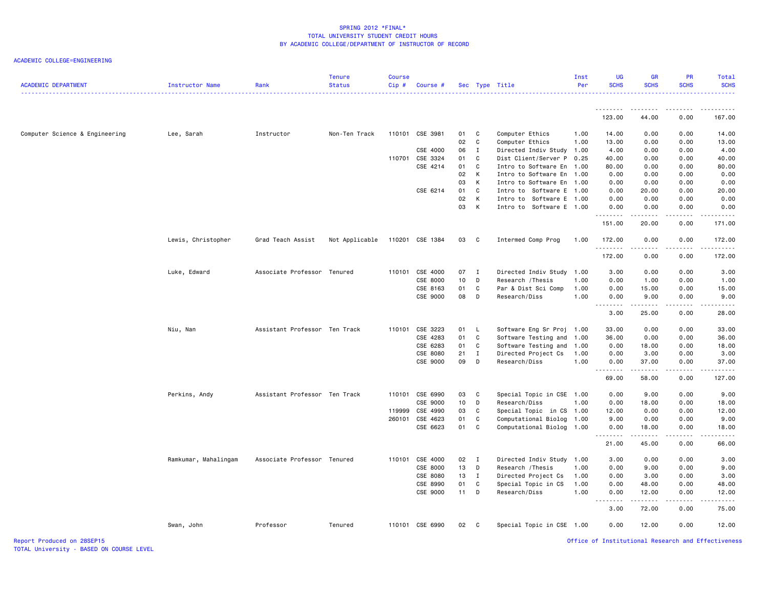ACADEMIC COLLEGE=ENGINEERING

| <b>ACADEMIC DEPARTMENT</b>     | Instructor Name      | Rank                          | <b>Tenure</b><br><b>Status</b> | Course<br>Cip# | Course #        |      |              | Sec Type Title              | Inst<br>Per | <b>UG</b><br><b>SCHS</b>          | <b>GR</b><br><b>SCHS</b>                                                                                                                                     | <b>PR</b><br><b>SCHS</b> | Total<br><b>SCHS</b> |
|--------------------------------|----------------------|-------------------------------|--------------------------------|----------------|-----------------|------|--------------|-----------------------------|-------------|-----------------------------------|--------------------------------------------------------------------------------------------------------------------------------------------------------------|--------------------------|----------------------|
|                                |                      |                               |                                |                |                 |      |              |                             |             | .<br>123.00                       | 44.00                                                                                                                                                        | 0.00                     | 167.00               |
|                                |                      |                               |                                |                |                 |      |              |                             |             |                                   |                                                                                                                                                              |                          |                      |
| Computer Science & Engineering | Lee, Sarah           | Instructor                    | Non-Ten Track                  | 110101         | CSE 3981        | 01   | C            | Computer Ethics             | 1.00        | 14.00                             | 0.00                                                                                                                                                         | 0.00                     | 14.00                |
|                                |                      |                               |                                |                |                 | 02   | C            | Computer Ethics             | 1.00        | 13.00                             | 0.00                                                                                                                                                         | 0.00                     | 13.00                |
|                                |                      |                               |                                |                | CSE 4000        | 06   | $\mathbf{I}$ | Directed Indiv Study 1.00   |             | 4.00                              | 0.00                                                                                                                                                         | 0.00                     | 4.00                 |
|                                |                      |                               |                                | 110701         | CSE 3324        | 01   | C            | Dist Client/Server P        | 0.25        | 40.00                             | 0.00                                                                                                                                                         | 0.00                     | 40.00                |
|                                |                      |                               |                                |                | CSE 4214        | 01   | C            | Intro to Software En 1.00   |             | 80.00                             | 0.00                                                                                                                                                         | 0.00                     | 80.00                |
|                                |                      |                               |                                |                |                 | 02   | к            | Intro to Software En 1.00   |             | 0.00                              | 0.00                                                                                                                                                         | 0.00                     | 0.00                 |
|                                |                      |                               |                                |                |                 | 03   | K            | Intro to Software En 1.00   |             | 0.00                              | 0.00                                                                                                                                                         | 0.00                     | 0.00                 |
|                                |                      |                               |                                |                | CSE 6214        | 01   | C            | Intro to Software E 1.00    |             | 0.00                              | 20.00                                                                                                                                                        | 0.00                     | 20.00                |
|                                |                      |                               |                                |                |                 | 02   | К            | Intro to<br>Software E 1.00 |             | 0.00                              | 0.00                                                                                                                                                         | 0.00                     | 0.00                 |
|                                |                      |                               |                                |                |                 | 03   | К            | Intro to Software E 1.00    |             | 0.00<br>.                         | 0.00                                                                                                                                                         | 0.00                     | 0.00<br>.            |
|                                |                      |                               |                                |                |                 |      |              |                             |             | 151.00                            | 20.00                                                                                                                                                        | 0.00                     | 171.00               |
|                                | Lewis, Christopher   | Grad Teach Assist             | Not Applicable                 |                | 110201 CSE 1384 | 03   | $\mathbf{C}$ | Intermed Comp Prog          | 1.00        | 172.00<br>.                       | 0.00<br>.                                                                                                                                                    | 0.00<br>د د د د          | 172.00<br>.          |
|                                |                      |                               |                                |                |                 |      |              |                             |             | 172.00                            | 0.00                                                                                                                                                         | 0.00                     | 172.00               |
|                                | Luke, Edward         | Associate Professor Tenured   |                                |                | 110101 CSE 4000 | 07 I |              | Directed Indiv Study 1.00   |             | 3.00                              | 0.00                                                                                                                                                         | 0.00                     | 3.00                 |
|                                |                      |                               |                                |                | CSE 8000        | 10   | D            | Research / Thesis           | 1.00        | 0.00                              | 1.00                                                                                                                                                         | 0.00                     | 1.00                 |
|                                |                      |                               |                                |                | CSE 8163        | 01   | C            | Par & Dist Sci Comp         | 1.00        | 0.00                              | 15.00                                                                                                                                                        | 0.00                     | 15.00                |
|                                |                      |                               |                                |                |                 | 08   |              |                             | 1.00        |                                   |                                                                                                                                                              |                          |                      |
|                                |                      |                               |                                |                | CSE 9000        |      | D            | Research/Diss               |             | 0.00<br>$\sim$ $\sim$ $\sim$<br>. | 9.00<br>$\frac{1}{2} \left( \frac{1}{2} \right) \left( \frac{1}{2} \right) \left( \frac{1}{2} \right) \left( \frac{1}{2} \right) \left( \frac{1}{2} \right)$ | 0.00<br>د د د د          | 9.00<br>والمناصبات   |
|                                |                      |                               |                                |                |                 |      |              |                             |             | 3.00                              | 25.00                                                                                                                                                        | 0.00                     | 28.00                |
|                                | Niu, Nan             | Assistant Professor Ten Track |                                | 110101         | CSE 3223        | 01   | - L          | Software Eng Sr Proj        | 1.00        | 33.00                             | 0.00                                                                                                                                                         | 0.00                     | 33.00                |
|                                |                      |                               |                                |                | CSE 4283        | 01   | C            | Software Testing and 1.00   |             | 36.00                             | 0.00                                                                                                                                                         | 0.00                     | 36.00                |
|                                |                      |                               |                                |                | CSE 6283        | 01   | C            | Software Testing and 1.00   |             | 0.00                              | 18.00                                                                                                                                                        | 0.00                     | 18.00                |
|                                |                      |                               |                                |                | CSE 8080        | 21   | $\mathbf I$  | Directed Project Cs         | 1.00        | 0.00                              | 3.00                                                                                                                                                         | 0.00                     | 3.00                 |
|                                |                      |                               |                                |                | CSE 9000        | 09   | D            | Research/Diss               | 1.00        | 0.00                              | 37.00                                                                                                                                                        | 0.00                     | 37.00                |
|                                |                      |                               |                                |                |                 |      |              |                             |             | .<br>69.00                        | 58.00                                                                                                                                                        | .<br>0.00                | .<br>127.00          |
|                                | Perkins, Andy        | Assistant Professor Ten Track |                                | 110101         | CSE 6990        | 03   | C.           | Special Topic in CSE 1.00   |             | 0.00                              | 9.00                                                                                                                                                         | 0.00                     | 9.00                 |
|                                |                      |                               |                                |                | CSE 9000        | 10   | D            | Research/Diss               | 1.00        | 0.00                              | 18.00                                                                                                                                                        | 0.00                     | 18.00                |
|                                |                      |                               |                                | 119999         | CSE 4990        | 03   | C            | Special Topic in CS 1.00    |             | 12.00                             | 0.00                                                                                                                                                         | 0.00                     | 12.00                |
|                                |                      |                               |                                | 260101         | CSE 4623        | 01   | C            | Computational Biolog 1.00   |             | 9.00                              | 0.00                                                                                                                                                         | 0.00                     | 9.00                 |
|                                |                      |                               |                                |                | CSE 6623        | 01   | C            | Computational Biolog 1.00   |             | 0.00<br>.                         | 18.00<br>.                                                                                                                                                   | 0.00<br>.                | 18.00<br>.           |
|                                |                      |                               |                                |                |                 |      |              |                             |             | 21.00                             | 45.00                                                                                                                                                        | 0.00                     | 66.00                |
|                                | Ramkumar, Mahalingam | Associate Professor Tenured   |                                | 110101         | CSE 4000        | 02 I |              | Directed Indiv Study 1.00   |             | 3.00                              | 0.00                                                                                                                                                         | 0.00                     | 3.00                 |
|                                |                      |                               |                                |                | CSE 8000        | 13   | D            | Research / Thesis           | 1.00        | 0.00                              | 9.00                                                                                                                                                         | 0.00                     | 9.00                 |
|                                |                      |                               |                                |                | CSE 8080        | 13   | $\mathbf{I}$ | Directed Project Cs         | 1.00        | 0.00                              | 3.00                                                                                                                                                         | 0.00                     | 3.00                 |
|                                |                      |                               |                                |                | CSE 8990        | 01   | $\mathbf C$  | Special Topic in CS         | 1.00        | 0.00                              | 48.00                                                                                                                                                        | 0.00                     | 48.00                |
|                                |                      |                               |                                |                | CSE 9000        | 11   | D            | Research/Diss               | 1.00        | 0.00<br><u>.</u>                  | 12.00                                                                                                                                                        | 0.00                     | 12.00                |
|                                |                      |                               |                                |                |                 |      |              |                             |             | 3.00                              | 72.00                                                                                                                                                        | 0.00                     | 75.00                |
|                                | Swan, John           | Professor                     | Tenured                        |                | 110101 CSE 6990 | 02   | $\mathbf{C}$ | Special Topic in CSE 1.00   |             | 0.00                              | 12.00                                                                                                                                                        | 0.00                     | 12.00                |

Report Produced on 28SEP15 Office of Institutional Research and Effectiveness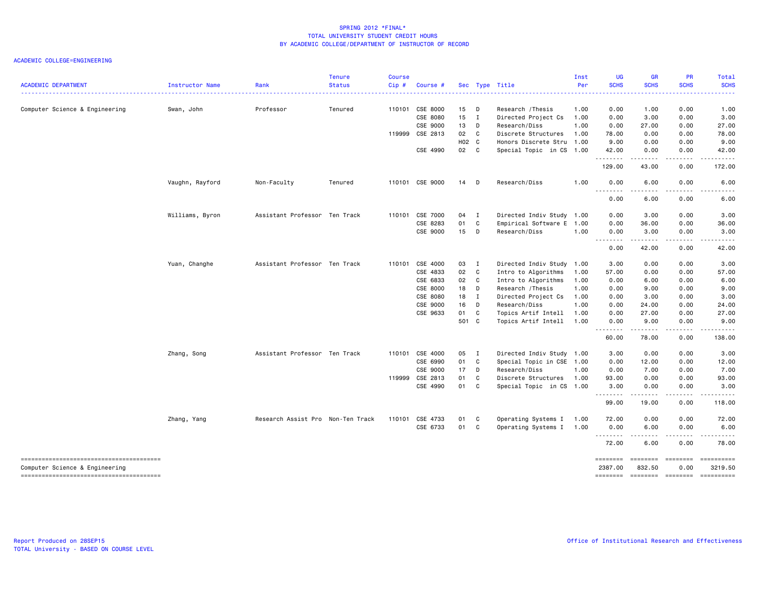| CSE 8000<br>15<br>0.00<br>Professor<br>110101<br>D<br>Research / Thesis<br>1.00<br>1.00<br>Computer Science & Engineering<br>Swan, John<br>Tenured<br>CSE 8080<br>15<br>$\mathbf{I}$<br>Directed Project Cs<br>0.00<br>3.00<br>1.00<br>CSE 9000<br>13<br>D<br>Research/Diss<br>1.00<br>0.00<br>27.00<br>119999 CSE 2813<br>02<br>C<br>Discrete Structures<br>1.00<br>78.00<br>0.00<br>H02 C<br>Honors Discrete Stru<br>1.00<br>9.00<br>0.00<br>CSE 4990<br>02 C<br>Special Topic in CS 1.00<br>0.00<br>42.00<br>.<br>-----<br>43.00<br>129.00<br>110101 CSE 9000<br>Research/Diss<br>1.00<br>0.00<br>6.00<br>Vaughn, Rayford<br>Non-Faculty<br>Tenured<br>14<br>$\Box$<br>.<br>----<br>0.00<br>6.00<br>Williams, Byron<br>Assistant Professor Ten Track<br>110101 CSE 7000<br>04<br>Directed Indiv Study 1.00<br>0.00<br>3.00<br>I<br>CSE 8283<br>01<br>C<br>Empirical Software E 1.00<br>0.00<br>36.00<br>15<br>CSE 9000<br>D<br>Research/Diss<br>1.00<br>0.00<br>3.00<br>.<br>$- - - - -$<br>0.00<br>42.00<br>Yuan, Changhe<br>Assistant Professor Ten Track<br>110101 CSE 4000<br>03 I<br>Directed Indiv Study 1.00<br>3.00<br>0.00<br>02<br>CSE 4833<br>C<br>Intro to Algorithms<br>1.00<br>57.00<br>0.00<br>CSE 6833<br>02<br>C<br>Intro to Algorithms<br>1.00<br>0.00<br>6.00 |                                    |
|-------------------------------------------------------------------------------------------------------------------------------------------------------------------------------------------------------------------------------------------------------------------------------------------------------------------------------------------------------------------------------------------------------------------------------------------------------------------------------------------------------------------------------------------------------------------------------------------------------------------------------------------------------------------------------------------------------------------------------------------------------------------------------------------------------------------------------------------------------------------------------------------------------------------------------------------------------------------------------------------------------------------------------------------------------------------------------------------------------------------------------------------------------------------------------------------------------------------------------------------------------------------------------------|------------------------------------|
|                                                                                                                                                                                                                                                                                                                                                                                                                                                                                                                                                                                                                                                                                                                                                                                                                                                                                                                                                                                                                                                                                                                                                                                                                                                                                     |                                    |
|                                                                                                                                                                                                                                                                                                                                                                                                                                                                                                                                                                                                                                                                                                                                                                                                                                                                                                                                                                                                                                                                                                                                                                                                                                                                                     | 0.00<br>1.00                       |
|                                                                                                                                                                                                                                                                                                                                                                                                                                                                                                                                                                                                                                                                                                                                                                                                                                                                                                                                                                                                                                                                                                                                                                                                                                                                                     | 0.00<br>3.00                       |
|                                                                                                                                                                                                                                                                                                                                                                                                                                                                                                                                                                                                                                                                                                                                                                                                                                                                                                                                                                                                                                                                                                                                                                                                                                                                                     | 0.00<br>27.00                      |
|                                                                                                                                                                                                                                                                                                                                                                                                                                                                                                                                                                                                                                                                                                                                                                                                                                                                                                                                                                                                                                                                                                                                                                                                                                                                                     | 0.00<br>78.00                      |
|                                                                                                                                                                                                                                                                                                                                                                                                                                                                                                                                                                                                                                                                                                                                                                                                                                                                                                                                                                                                                                                                                                                                                                                                                                                                                     | 0.00<br>9.00                       |
|                                                                                                                                                                                                                                                                                                                                                                                                                                                                                                                                                                                                                                                                                                                                                                                                                                                                                                                                                                                                                                                                                                                                                                                                                                                                                     | 0.00<br>42.00<br>$   -$<br>.       |
|                                                                                                                                                                                                                                                                                                                                                                                                                                                                                                                                                                                                                                                                                                                                                                                                                                                                                                                                                                                                                                                                                                                                                                                                                                                                                     | 172.00<br>0.00                     |
|                                                                                                                                                                                                                                                                                                                                                                                                                                                                                                                                                                                                                                                                                                                                                                                                                                                                                                                                                                                                                                                                                                                                                                                                                                                                                     | 0.00<br>6.00                       |
|                                                                                                                                                                                                                                                                                                                                                                                                                                                                                                                                                                                                                                                                                                                                                                                                                                                                                                                                                                                                                                                                                                                                                                                                                                                                                     | ----<br>0.00<br>6.00               |
|                                                                                                                                                                                                                                                                                                                                                                                                                                                                                                                                                                                                                                                                                                                                                                                                                                                                                                                                                                                                                                                                                                                                                                                                                                                                                     | 0.00<br>3.00                       |
|                                                                                                                                                                                                                                                                                                                                                                                                                                                                                                                                                                                                                                                                                                                                                                                                                                                                                                                                                                                                                                                                                                                                                                                                                                                                                     | 0.00<br>36.00                      |
|                                                                                                                                                                                                                                                                                                                                                                                                                                                                                                                                                                                                                                                                                                                                                                                                                                                                                                                                                                                                                                                                                                                                                                                                                                                                                     | 0.00<br>3.00                       |
|                                                                                                                                                                                                                                                                                                                                                                                                                                                                                                                                                                                                                                                                                                                                                                                                                                                                                                                                                                                                                                                                                                                                                                                                                                                                                     | .<br>.<br>0.00<br>42.00            |
|                                                                                                                                                                                                                                                                                                                                                                                                                                                                                                                                                                                                                                                                                                                                                                                                                                                                                                                                                                                                                                                                                                                                                                                                                                                                                     | 0.00<br>3.00                       |
|                                                                                                                                                                                                                                                                                                                                                                                                                                                                                                                                                                                                                                                                                                                                                                                                                                                                                                                                                                                                                                                                                                                                                                                                                                                                                     | 0.00<br>57.00                      |
|                                                                                                                                                                                                                                                                                                                                                                                                                                                                                                                                                                                                                                                                                                                                                                                                                                                                                                                                                                                                                                                                                                                                                                                                                                                                                     | 0.00<br>6.00                       |
| CSE 8000<br>18<br>D<br>Research / Thesis<br>1.00<br>0.00<br>9.00                                                                                                                                                                                                                                                                                                                                                                                                                                                                                                                                                                                                                                                                                                                                                                                                                                                                                                                                                                                                                                                                                                                                                                                                                    | 0.00<br>9.00                       |
| CSE 8080<br>18<br>Directed Project Cs<br>I<br>1.00<br>0.00<br>3.00                                                                                                                                                                                                                                                                                                                                                                                                                                                                                                                                                                                                                                                                                                                                                                                                                                                                                                                                                                                                                                                                                                                                                                                                                  | 0.00<br>3.00                       |
| CSE 9000<br>16<br>D<br>Research/Diss<br>1.00<br>0.00<br>24.00                                                                                                                                                                                                                                                                                                                                                                                                                                                                                                                                                                                                                                                                                                                                                                                                                                                                                                                                                                                                                                                                                                                                                                                                                       | 0.00<br>24.00                      |
| CSE 9633<br>01<br>Topics Artif Intell<br>C<br>1.00<br>0.00<br>27.00                                                                                                                                                                                                                                                                                                                                                                                                                                                                                                                                                                                                                                                                                                                                                                                                                                                                                                                                                                                                                                                                                                                                                                                                                 | 0.00<br>27.00                      |
| 501 C<br>Topics Artif Intell<br>1.00<br>0.00<br>9.00<br>. <b>.</b><br>-----                                                                                                                                                                                                                                                                                                                                                                                                                                                                                                                                                                                                                                                                                                                                                                                                                                                                                                                                                                                                                                                                                                                                                                                                         | 0.00<br>9.00<br>$   -$             |
| 60.00<br>78.00                                                                                                                                                                                                                                                                                                                                                                                                                                                                                                                                                                                                                                                                                                                                                                                                                                                                                                                                                                                                                                                                                                                                                                                                                                                                      | 0.00<br>138.00                     |
| Assistant Professor Ten Track<br>110101 CSE 4000<br>05<br>Directed Indiv Study 1.00<br>0.00<br>Zhang, Song<br>$\blacksquare$<br>3.00                                                                                                                                                                                                                                                                                                                                                                                                                                                                                                                                                                                                                                                                                                                                                                                                                                                                                                                                                                                                                                                                                                                                                | 0.00<br>3.00                       |
| 01<br>C<br>Special Topic in CSE 1.00<br>CSE 6990<br>0.00<br>12.00                                                                                                                                                                                                                                                                                                                                                                                                                                                                                                                                                                                                                                                                                                                                                                                                                                                                                                                                                                                                                                                                                                                                                                                                                   | 0.00<br>12.00                      |
| 17<br>Research/Diss<br>CSE 9000<br>D<br>1.00<br>0.00<br>7.00                                                                                                                                                                                                                                                                                                                                                                                                                                                                                                                                                                                                                                                                                                                                                                                                                                                                                                                                                                                                                                                                                                                                                                                                                        | 0.00<br>7.00                       |
| 01<br>Discrete Structures<br>119999 CSE 2813<br>C.<br>1.00<br>93.00<br>0.00                                                                                                                                                                                                                                                                                                                                                                                                                                                                                                                                                                                                                                                                                                                                                                                                                                                                                                                                                                                                                                                                                                                                                                                                         | 0.00<br>93.00                      |
| 01<br>CSE 4990<br>C<br>Special Topic in CS 1.00<br>3.00<br>0.00<br><u>.</u><br>.                                                                                                                                                                                                                                                                                                                                                                                                                                                                                                                                                                                                                                                                                                                                                                                                                                                                                                                                                                                                                                                                                                                                                                                                    | 0.00<br>3.00<br>$\frac{1}{2}$<br>. |
| 99.00<br>19.00                                                                                                                                                                                                                                                                                                                                                                                                                                                                                                                                                                                                                                                                                                                                                                                                                                                                                                                                                                                                                                                                                                                                                                                                                                                                      | 0.00<br>118.00                     |
| Zhang, Yang<br>Research Assist Pro Non-Ten Track<br>110101<br>CSE 4733<br>01<br>Operating Systems I 1.00<br>72.00<br>0.00<br>C                                                                                                                                                                                                                                                                                                                                                                                                                                                                                                                                                                                                                                                                                                                                                                                                                                                                                                                                                                                                                                                                                                                                                      | 0.00<br>72.00                      |
| 01 C<br>CSE 6733<br>Operating Systems I 1.00<br>0.00<br>6.00<br>.<br>.                                                                                                                                                                                                                                                                                                                                                                                                                                                                                                                                                                                                                                                                                                                                                                                                                                                                                                                                                                                                                                                                                                                                                                                                              | 0.00<br>6.00<br>.<br>.             |
| 72.00<br>6.00                                                                                                                                                                                                                                                                                                                                                                                                                                                                                                                                                                                                                                                                                                                                                                                                                                                                                                                                                                                                                                                                                                                                                                                                                                                                       | 0.00<br>78.00                      |
| ========<br>========<br>Computer Science & Engineering<br>2387.00<br>832.50<br>========                                                                                                                                                                                                                                                                                                                                                                                                                                                                                                                                                                                                                                                                                                                                                                                                                                                                                                                                                                                                                                                                                                                                                                                             | ========                           |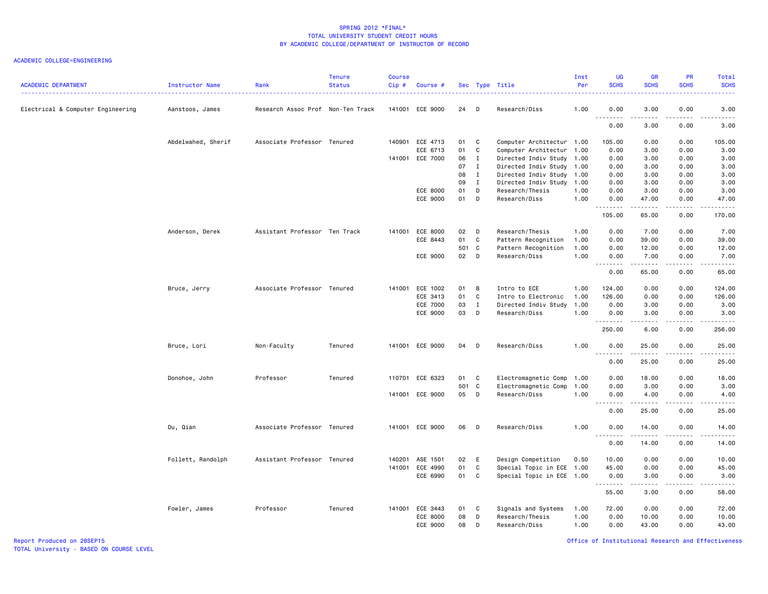#### ACADEMIC COLLEGE=ENGINEERING

| <b>ACADEMIC DEPARTMENT</b>        | Instructor Name    | Rank                              | <b>Tenure</b><br><b>Status</b> | <b>Course</b><br>Cip# | Course #        |       |                | Sec Type Title            | Inst<br>Per | UG<br><b>SCHS</b><br>. <u>.</u>                                                                                                                                                                                                                                                                                                                                                                                                                                                                | GR<br><b>SCHS</b>                                                                                                                                            | <b>PR</b><br><b>SCHS</b>            | Total<br><b>SCHS</b><br>.                                                                                                                                    |
|-----------------------------------|--------------------|-----------------------------------|--------------------------------|-----------------------|-----------------|-------|----------------|---------------------------|-------------|------------------------------------------------------------------------------------------------------------------------------------------------------------------------------------------------------------------------------------------------------------------------------------------------------------------------------------------------------------------------------------------------------------------------------------------------------------------------------------------------|--------------------------------------------------------------------------------------------------------------------------------------------------------------|-------------------------------------|--------------------------------------------------------------------------------------------------------------------------------------------------------------|
| Electrical & Computer Engineering | Aanstoos, James    | Research Assoc Prof Non-Ten Track |                                |                       | 141001 ECE 9000 | 24 D  |                | Research/Diss             | 1.00        | 0.00<br>.                                                                                                                                                                                                                                                                                                                                                                                                                                                                                      | 3.00<br>-----                                                                                                                                                | 0.00<br>.                           | 3.00<br>$\frac{1}{2}$                                                                                                                                        |
|                                   |                    |                                   |                                |                       |                 |       |                |                           |             | 0.00                                                                                                                                                                                                                                                                                                                                                                                                                                                                                           | 3.00                                                                                                                                                         | 0.00                                | 3.00                                                                                                                                                         |
|                                   | Abdelwahed, Sherif | Associate Professor Tenured       |                                | 140901                | ECE 4713        | 01 C  |                | Computer Architectur 1.00 |             | 105.00                                                                                                                                                                                                                                                                                                                                                                                                                                                                                         | 0.00                                                                                                                                                         | 0.00                                | 105.00                                                                                                                                                       |
|                                   |                    |                                   |                                |                       | ECE 6713        | 01    | C              | Computer Architectur 1.00 |             | 0.00                                                                                                                                                                                                                                                                                                                                                                                                                                                                                           | 3.00                                                                                                                                                         | 0.00                                | 3.00                                                                                                                                                         |
|                                   |                    |                                   |                                |                       | 141001 ECE 7000 | 06    | Ι.             | Directed Indiv Study 1.00 |             | 0.00                                                                                                                                                                                                                                                                                                                                                                                                                                                                                           | 3.00                                                                                                                                                         | 0.00                                | 3.00                                                                                                                                                         |
|                                   |                    |                                   |                                |                       |                 | 07    | $\mathbf{I}$   | Directed Indiv Study 1.00 |             | 0.00                                                                                                                                                                                                                                                                                                                                                                                                                                                                                           | 3.00                                                                                                                                                         | 0.00                                | 3.00                                                                                                                                                         |
|                                   |                    |                                   |                                |                       |                 | 08    | $\mathbf{I}$   | Directed Indiv Study 1.00 |             | 0.00                                                                                                                                                                                                                                                                                                                                                                                                                                                                                           | 3.00                                                                                                                                                         | 0.00                                | 3.00                                                                                                                                                         |
|                                   |                    |                                   |                                |                       |                 | 09    | $\mathbf I$    | Directed Indiv Study      | 1.00        | 0.00                                                                                                                                                                                                                                                                                                                                                                                                                                                                                           | 3.00                                                                                                                                                         | 0.00                                | 3.00                                                                                                                                                         |
|                                   |                    |                                   |                                |                       | ECE 8000        | 01    | D              | Research/Thesis           | 1.00        | 0.00                                                                                                                                                                                                                                                                                                                                                                                                                                                                                           | 3.00                                                                                                                                                         | 0.00                                | 3.00                                                                                                                                                         |
|                                   |                    |                                   |                                |                       | ECE 9000        | 01    | D              | Research/Diss             | 1.00        | 0.00<br>.                                                                                                                                                                                                                                                                                                                                                                                                                                                                                      | 47.00<br>$\frac{1}{2}$                                                                                                                                       | 0.00<br>.                           | 47.00<br>.                                                                                                                                                   |
|                                   |                    |                                   |                                |                       |                 |       |                |                           |             | 105.00                                                                                                                                                                                                                                                                                                                                                                                                                                                                                         | 65.00                                                                                                                                                        | 0.00                                | 170.00                                                                                                                                                       |
|                                   | Anderson, Derek    | Assistant Professor Ten Track     |                                | 141001                | ECE 8000        | 02    | D              | Research/Thesis           | 1.00        | 0.00                                                                                                                                                                                                                                                                                                                                                                                                                                                                                           | 7.00                                                                                                                                                         | 0.00                                | 7.00                                                                                                                                                         |
|                                   |                    |                                   |                                |                       | ECE 8443        | 01    | C              | Pattern Recognition       | 1.00        | 0.00                                                                                                                                                                                                                                                                                                                                                                                                                                                                                           | 39.00                                                                                                                                                        | 0.00                                | 39.00                                                                                                                                                        |
|                                   |                    |                                   |                                |                       |                 | 501 C |                | Pattern Recognition       | 1.00        | 0.00                                                                                                                                                                                                                                                                                                                                                                                                                                                                                           | 12.00                                                                                                                                                        | 0.00                                | 12.00                                                                                                                                                        |
|                                   |                    |                                   |                                |                       | ECE 9000        | 02    | D              | Research/Diss             | 1.00        | 0.00<br>$\begin{array}{cccccccccccccc} \multicolumn{2}{c}{} & \multicolumn{2}{c}{} & \multicolumn{2}{c}{} & \multicolumn{2}{c}{} & \multicolumn{2}{c}{} & \multicolumn{2}{c}{} & \multicolumn{2}{c}{} & \multicolumn{2}{c}{} & \multicolumn{2}{c}{} & \multicolumn{2}{c}{} & \multicolumn{2}{c}{} & \multicolumn{2}{c}{} & \multicolumn{2}{c}{} & \multicolumn{2}{c}{} & \multicolumn{2}{c}{} & \multicolumn{2}{c}{} & \multicolumn{2}{c}{} & \multicolumn{2}{c}{} & \multicolumn{2}{c}{} & \$ | 7.00<br>$\frac{1}{2} \left( \frac{1}{2} \right) \left( \frac{1}{2} \right) \left( \frac{1}{2} \right) \left( \frac{1}{2} \right) \left( \frac{1}{2} \right)$ | 0.00<br>$\sim$ $\sim$ $\sim$ $\sim$ | 7.00<br>$\frac{1}{2} \left( \frac{1}{2} \right) \left( \frac{1}{2} \right) \left( \frac{1}{2} \right) \left( \frac{1}{2} \right) \left( \frac{1}{2} \right)$ |
|                                   |                    |                                   |                                |                       |                 |       |                |                           |             | 0.00                                                                                                                                                                                                                                                                                                                                                                                                                                                                                           | 65.00                                                                                                                                                        | 0.00                                | 65.00                                                                                                                                                        |
|                                   | Bruce, Jerry       | Associate Professor Tenured       |                                |                       | 141001 ECE 1002 | 01    | $\overline{B}$ | Intro to ECE              | 1.00        | 124.00                                                                                                                                                                                                                                                                                                                                                                                                                                                                                         | 0.00                                                                                                                                                         | 0.00                                | 124.00                                                                                                                                                       |
|                                   |                    |                                   |                                |                       | ECE 3413        | 01    | $\mathbf{C}$   | Intro to Electronic       | 1.00        | 126.00                                                                                                                                                                                                                                                                                                                                                                                                                                                                                         | 0.00                                                                                                                                                         | 0.00                                | 126.00                                                                                                                                                       |
|                                   |                    |                                   |                                |                       | ECE 7000        | 03    | $\mathbf{I}$   | Directed Indiv Study      | 1.00        | 0.00                                                                                                                                                                                                                                                                                                                                                                                                                                                                                           | 3.00                                                                                                                                                         | 0.00                                | 3.00                                                                                                                                                         |
|                                   |                    |                                   |                                |                       | ECE 9000        | 03    | D              | Research/Diss             | 1.00        | 0.00<br>.                                                                                                                                                                                                                                                                                                                                                                                                                                                                                      | 3.00<br>.                                                                                                                                                    | 0.00<br>$\sim$ $\sim$ $\sim$ $\sim$ | 3.00<br>.                                                                                                                                                    |
|                                   |                    |                                   |                                |                       |                 |       |                |                           |             | 250.00                                                                                                                                                                                                                                                                                                                                                                                                                                                                                         | 6.00                                                                                                                                                         | 0.00                                | 256.00                                                                                                                                                       |
|                                   | Bruce, Lori        | Non-Faculty                       | Tenured                        |                       | 141001 ECE 9000 | 04 D  |                | Research/Diss             | 1.00        | 0.00<br><u>.</u>                                                                                                                                                                                                                                                                                                                                                                                                                                                                               | 25.00                                                                                                                                                        | 0.00<br>.                           | 25.00<br>.                                                                                                                                                   |
|                                   |                    |                                   |                                |                       |                 |       |                |                           |             | 0.00                                                                                                                                                                                                                                                                                                                                                                                                                                                                                           | 25.00                                                                                                                                                        | 0.00                                | 25.00                                                                                                                                                        |
|                                   | Donohoe, John      | Professor                         | Tenured                        | 110701                | ECE 6323        | 01 C  |                | Electromagnetic Comp      | 1.00        | 0.00                                                                                                                                                                                                                                                                                                                                                                                                                                                                                           | 18.00                                                                                                                                                        | 0.00                                | 18.00                                                                                                                                                        |
|                                   |                    |                                   |                                |                       |                 | 501 C |                | Electromagnetic Comp      | 1.00        | 0.00                                                                                                                                                                                                                                                                                                                                                                                                                                                                                           | 3.00                                                                                                                                                         | 0.00                                | 3.00                                                                                                                                                         |
|                                   |                    |                                   |                                |                       | 141001 ECE 9000 | 05 D  |                | Research/Diss             | 1.00        | 0.00<br>.                                                                                                                                                                                                                                                                                                                                                                                                                                                                                      | 4.00                                                                                                                                                         | 0.00<br>.                           | 4.00<br>$\frac{1}{2}$                                                                                                                                        |
|                                   |                    |                                   |                                |                       |                 |       |                |                           |             | 0.00                                                                                                                                                                                                                                                                                                                                                                                                                                                                                           | 25.00                                                                                                                                                        | 0.00                                | 25.00                                                                                                                                                        |
|                                   | Du, Qian           | Associate Professor Tenured       |                                |                       | 141001 ECE 9000 | 06    | $\Box$         | Research/Diss             | 1.00        | 0.00<br><u>.</u>                                                                                                                                                                                                                                                                                                                                                                                                                                                                               | 14.00<br>$- - - - -$                                                                                                                                         | 0.00                                | 14.00                                                                                                                                                        |
|                                   |                    |                                   |                                |                       |                 |       |                |                           |             | 0.00                                                                                                                                                                                                                                                                                                                                                                                                                                                                                           | 14.00                                                                                                                                                        | $- - - -$<br>0.00                   | .<br>14.00                                                                                                                                                   |
|                                   | Follett, Randolph  | Assistant Professor Tenured       |                                |                       | 140201 ASE 1501 | 02 E  |                | Design Competition        | 0.50        | 10.00                                                                                                                                                                                                                                                                                                                                                                                                                                                                                          | 0.00                                                                                                                                                         | 0.00                                | 10.00                                                                                                                                                        |
|                                   |                    |                                   |                                | 141001                | ECE 4990        | 01    | $\mathbf c$    | Special Topic in ECE 1.00 |             | 45.00                                                                                                                                                                                                                                                                                                                                                                                                                                                                                          | 0.00                                                                                                                                                         | 0.00                                | 45.00                                                                                                                                                        |
|                                   |                    |                                   |                                |                       | ECE 6990        | 01    | C.             | Special Topic in ECE 1.00 |             | 0.00<br>.                                                                                                                                                                                                                                                                                                                                                                                                                                                                                      | 3.00<br><b>.</b>                                                                                                                                             | 0.00<br>.                           | 3.00<br>.                                                                                                                                                    |
|                                   |                    |                                   |                                |                       |                 |       |                |                           |             | 55.00                                                                                                                                                                                                                                                                                                                                                                                                                                                                                          | 3.00                                                                                                                                                         | 0.00                                | 58.00                                                                                                                                                        |
|                                   | Fowler, James      | Professor                         | Tenured                        |                       | 141001 ECE 3443 | 01    | C.             | Signals and Systems       | 1.00        | 72.00                                                                                                                                                                                                                                                                                                                                                                                                                                                                                          | 0.00                                                                                                                                                         | 0.00                                | 72.00                                                                                                                                                        |
|                                   |                    |                                   |                                |                       | ECE 8000        | 08    | D              | Research/Thesis           | 1.00        | 0.00                                                                                                                                                                                                                                                                                                                                                                                                                                                                                           | 10.00                                                                                                                                                        | 0.00                                | 10.00                                                                                                                                                        |
|                                   |                    |                                   |                                |                       | ECE 9000        | 08    | D              | Research/Diss             | 1.00        | 0.00                                                                                                                                                                                                                                                                                                                                                                                                                                                                                           | 43.00                                                                                                                                                        | 0.00                                | 43.00                                                                                                                                                        |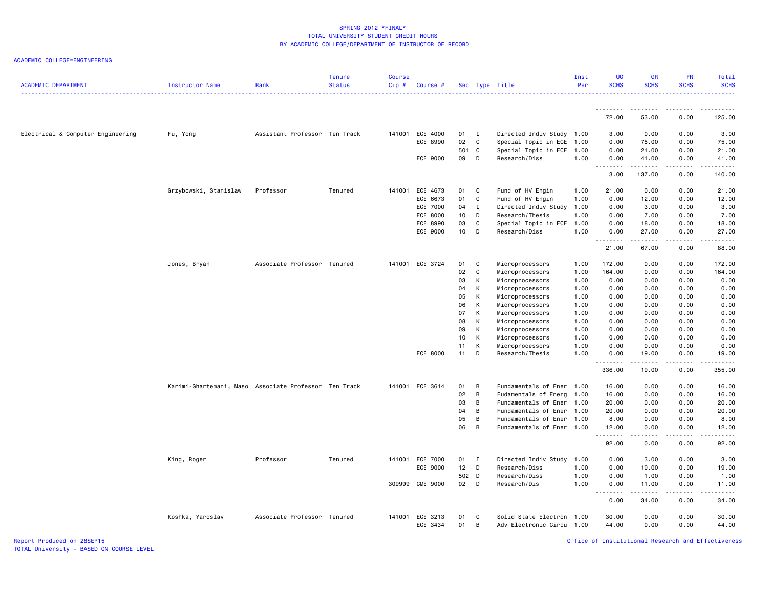ACADEMIC COLLEGE=ENGINEERING

| <b>ACADEMIC DEPARTMENT</b>        | Instructor Name                                       | Rank                          | <b>Tenure</b><br><b>Status</b> | <b>Course</b><br>Cip# | Course #        |                 |                | Sec Type Title            | Inst<br>Per | UG<br><b>SCHS</b>     | <b>GR</b><br><b>SCHS</b> | <b>PR</b><br><b>SCHS</b> | Total<br><b>SCHS</b>   |
|-----------------------------------|-------------------------------------------------------|-------------------------------|--------------------------------|-----------------------|-----------------|-----------------|----------------|---------------------------|-------------|-----------------------|--------------------------|--------------------------|------------------------|
|                                   |                                                       |                               |                                |                       |                 |                 |                |                           |             | <u>.</u>              |                          | .                        |                        |
|                                   |                                                       |                               |                                |                       |                 |                 |                |                           |             | 72.00                 | 53.00                    | 0.00                     | 125.00                 |
| Electrical & Computer Engineering | Fu, Yong                                              | Assistant Professor Ten Track |                                | 141001                | ECE 4000        | 01 I            |                | Directed Indiv Study 1.00 |             | 3.00                  | 0.00                     | 0.00                     | 3.00                   |
|                                   |                                                       |                               |                                |                       | ECE 8990        | 02              | $\mathbf{C}$   | Special Topic in ECE 1.00 |             | 0.00                  | 75.00                    | 0.00                     | 75.00                  |
|                                   |                                                       |                               |                                |                       |                 | 501 C           |                | Special Topic in ECE 1.00 |             | 0.00                  | 21.00                    | 0.00                     | 21.00                  |
|                                   |                                                       |                               |                                |                       | ECE 9000        | 09              | D              | Research/Diss             | 1.00        | 0.00<br><u>.</u>      | 41.00<br><u>.</u>        | 0.00<br>.                | 41.00<br>.             |
|                                   |                                                       |                               |                                |                       |                 |                 |                |                           |             | 3.00                  | 137.00                   | 0.00                     | 140.00                 |
|                                   | Grzybowski, Stanislaw                                 | Professor                     | Tenured                        |                       | 141001 ECE 4673 | 01              | $\mathbf{C}$   | Fund of HV Engin          | 1.00        | 21.00                 | 0.00                     | 0.00                     | 21.00                  |
|                                   |                                                       |                               |                                |                       | ECE 6673        | 01              | C              | Fund of HV Engin          | 1.00        | 0.00                  | 12.00                    | 0.00                     | 12.00                  |
|                                   |                                                       |                               |                                |                       | <b>ECE 7000</b> | 04              | Ι.             | Directed Indiv Study      | 1.00        | 0.00                  | 3.00                     | 0.00                     | 3.00                   |
|                                   |                                                       |                               |                                |                       | ECE 8000        | 10              | D              | Research/Thesis           | 1.00        | 0.00                  | 7.00                     | 0.00                     | 7.00                   |
|                                   |                                                       |                               |                                |                       | ECE 8990        | 03              | $\mathtt{C}$   | Special Topic in ECE      | 1.00        | 0.00                  | 18.00                    | 0.00                     | 18.00                  |
|                                   |                                                       |                               |                                |                       | <b>ECE 9000</b> | 10              | D              | Research/Diss             | 1.00        | 0.00<br>.             | 27.00<br>المتمالين       | 0.00<br>.                | 27.00<br>.             |
|                                   |                                                       |                               |                                |                       |                 |                 |                |                           |             | 21.00                 | 67.00                    | 0.00                     | 88.00                  |
|                                   | Jones, Bryan                                          | Associate Professor Tenured   |                                |                       | 141001 ECE 3724 | 01              | $\mathbf{C}$   | Microprocessors           | 1.00        | 172.00                | 0.00                     | 0.00                     | 172.00                 |
|                                   |                                                       |                               |                                |                       |                 | 02              | C              | Microprocessors           | 1.00        | 164.00                | 0.00                     | 0.00                     | 164.00                 |
|                                   |                                                       |                               |                                |                       |                 | 03              | К              | Microprocessors           | 1.00        | 0.00                  | 0.00                     | 0.00                     | 0.00                   |
|                                   |                                                       |                               |                                |                       |                 | 04              | K              | Microprocessors           | 1.00        | 0.00                  | 0.00                     | 0.00                     | 0.00                   |
|                                   |                                                       |                               |                                |                       |                 | 05              | K              | Microprocessors           | 1.00        | 0.00                  | 0.00                     | 0.00                     | 0.00                   |
|                                   |                                                       |                               |                                |                       |                 | 06              | K              | Microprocessors           | 1.00        | 0.00                  | 0.00                     | 0.00                     | 0.00                   |
|                                   |                                                       |                               |                                |                       |                 | 07              | к              | Microprocessors           | 1.00        | 0.00                  | 0.00                     | 0.00                     | 0.00                   |
|                                   |                                                       |                               |                                |                       |                 | 08              | K              | Microprocessors           | 1.00        | 0.00                  | 0.00                     | 0.00                     | 0.00                   |
|                                   |                                                       |                               |                                |                       |                 | 09              | К              | Microprocessors           | 1.00        | 0.00                  | 0.00                     | 0.00                     | 0.00                   |
|                                   |                                                       |                               |                                |                       |                 | 10 <sub>1</sub> | к              | Microprocessors           | 1.00        | 0.00                  | 0.00                     | 0.00                     | 0.00                   |
|                                   |                                                       |                               |                                |                       |                 | 11              | K              | Microprocessors           | 1.00        | 0.00                  | 0.00                     | 0.00                     | 0.00                   |
|                                   |                                                       |                               |                                |                       | ECE 8000        | 11              | D              | Research/Thesis           | 1.00        | 0.00<br>.             | 19.00<br>.               | 0.00<br>.                | 19.00<br>------        |
|                                   |                                                       |                               |                                |                       |                 |                 |                |                           |             | 336.00                | 19.00                    | 0.00                     | 355.00                 |
|                                   | Karimi-Ghartemani, Maso Associate Professor Ten Track |                               |                                |                       | 141001 ECE 3614 | 01              | $\overline{B}$ | Fundamentals of Ener 1.00 |             | 16.00                 | 0.00                     | 0.00                     | 16.00                  |
|                                   |                                                       |                               |                                |                       |                 | 02              | $\overline{B}$ | Fudamentals of Energ 1.00 |             | 16.00                 | 0.00                     | 0.00                     | 16.00                  |
|                                   |                                                       |                               |                                |                       |                 | 03              | B              | Fundamentals of Ener 1.00 |             | 20.00                 | 0.00                     | 0.00                     | 20.00                  |
|                                   |                                                       |                               |                                |                       |                 | 04              | B              | Fundamentals of Ener 1.00 |             | 20.00                 | 0.00                     | 0.00                     | 20.00                  |
|                                   |                                                       |                               |                                |                       |                 | 05              | B              | Fundamentals of Ener 1.00 |             | 8.00                  | 0.00                     | 0.00                     | 8.00                   |
|                                   |                                                       |                               |                                |                       |                 | 06              | B              | Fundamentals of Ener 1.00 |             | 12.00<br>.            | 0.00                     | 0.00                     | 12.00<br>.             |
|                                   |                                                       |                               |                                |                       |                 |                 |                |                           |             | 92.00                 | 0.00                     | 0.00                     | 92.00                  |
|                                   | King, Roger                                           | Professor                     | Tenured                        | 141001                | ECE 7000        | 01              | $\blacksquare$ | Directed Indiv Study 1.00 |             | 0.00                  | 3.00                     | 0.00                     | 3.00                   |
|                                   |                                                       |                               |                                |                       | ECE 9000        | $12$ D          |                | Research/Diss             | 1.00        | 0.00                  | 19.00                    | 0.00                     | 19.00                  |
|                                   |                                                       |                               |                                |                       |                 | 502 D           |                | Research/Diss             | 1.00        | 0.00                  | 1.00                     | 0.00                     | 1.00                   |
|                                   |                                                       |                               |                                |                       | 309999 CME 9000 | 02 D            |                | Research/Dis              | 1.00        | 0.00<br>$\frac{1}{2}$ | 11.00<br><b>.</b>        | 0.00<br>$- - - -$        | 11.00<br>$\frac{1}{2}$ |
|                                   |                                                       |                               |                                |                       |                 |                 |                |                           |             | 0.00                  | 34.00                    | 0.00                     | 34.00                  |
|                                   | Koshka, Yaroslav                                      | Associate Professor Tenured   |                                | 141001                | ECE 3213        | 01              | C              | Solid State Electron 1.00 |             | 30.00                 | 0.00                     | 0.00                     | 30.00                  |
|                                   |                                                       |                               |                                |                       | ECE 3434        | 01              | B              | Adv Electronic Circu 1.00 |             | 44.00                 | 0.00                     | 0.00                     | 44.00                  |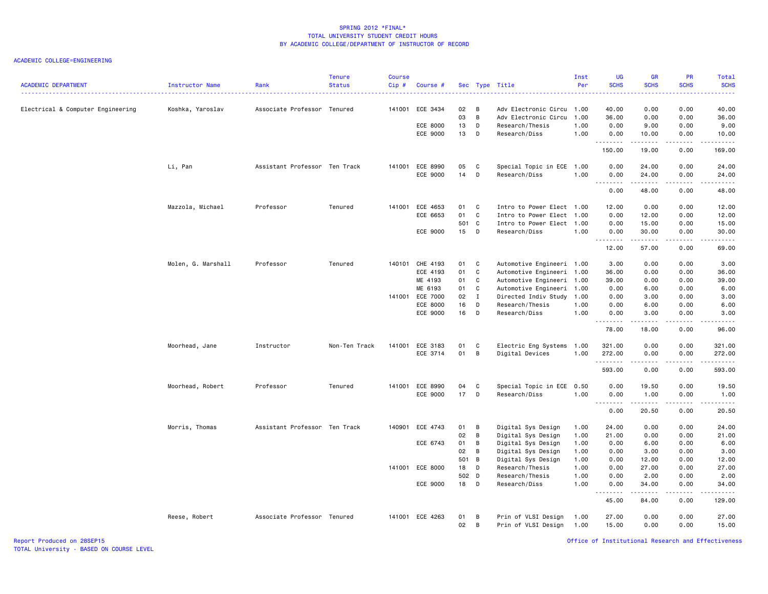#### ACADEMIC COLLEGE=ENGINEERING

| <b>ACADEMIC DEPARTMENT</b>        | Instructor Name    | Rank                          | <b>Tenure</b><br><b>Status</b> | <b>Course</b><br>$Cip$ # | Course #        |       |              | Sec Type Title            | Inst<br>Per | <b>UG</b><br><b>SCHS</b> | <b>GR</b><br><b>SCHS</b>                                                                                                                                      | PR<br><b>SCHS</b> | Total<br><b>SCHS</b><br>2222.                                                                                                                                |
|-----------------------------------|--------------------|-------------------------------|--------------------------------|--------------------------|-----------------|-------|--------------|---------------------------|-------------|--------------------------|---------------------------------------------------------------------------------------------------------------------------------------------------------------|-------------------|--------------------------------------------------------------------------------------------------------------------------------------------------------------|
| Electrical & Computer Engineering | Koshka, Yaroslav   | Associate Professor Tenured   |                                | 141001                   | ECE 3434        | 02    | B            | Adv Electronic Circu 1.00 |             | 40.00                    | 0.00                                                                                                                                                          | 0.00              | 40.00                                                                                                                                                        |
|                                   |                    |                               |                                |                          |                 | 03    | B            | Adv Electronic Circu      | 1.00        | 36.00                    | 0.00                                                                                                                                                          | 0.00              | 36.00                                                                                                                                                        |
|                                   |                    |                               |                                |                          | ECE 8000        | 13    | D            | Research/Thesis           | 1.00        | 0.00                     | 9.00                                                                                                                                                          | 0.00              | 9.00                                                                                                                                                         |
|                                   |                    |                               |                                |                          | ECE 9000        | 13    | D            | Research/Diss             | 1.00        | 0.00<br>.                | 10.00<br>$\frac{1}{2} \left( \frac{1}{2} \right) \left( \frac{1}{2} \right) \left( \frac{1}{2} \right) \left( \frac{1}{2} \right) \left( \frac{1}{2} \right)$ | 0.00<br>د د د د   | 10.00<br>د د د د د                                                                                                                                           |
|                                   |                    |                               |                                |                          |                 |       |              |                           |             | 150.00                   | 19.00                                                                                                                                                         | 0.00              | 169.00                                                                                                                                                       |
|                                   | Li, Pan            | Assistant Professor Ten Track |                                |                          | 141001 ECE 8990 | 05    | C            | Special Topic in ECE      | 1.00        | 0.00                     | 24.00                                                                                                                                                         | 0.00              | 24.00                                                                                                                                                        |
|                                   |                    |                               |                                |                          | ECE 9000        | 14    | D            | Research/Diss             | 1.00        | 0.00<br><u>.</u>         | 24.00<br>.                                                                                                                                                    | 0.00<br>.         | 24.00<br>.                                                                                                                                                   |
|                                   |                    |                               |                                |                          |                 |       |              |                           |             | 0.00                     | 48.00                                                                                                                                                         | 0.00              | 48.00                                                                                                                                                        |
|                                   | Mazzola, Michael   | Professor                     | Tenured                        |                          | 141001 ECE 4653 | 01    | C            | Intro to Power Elect 1.00 |             | 12.00                    | 0.00                                                                                                                                                          | 0.00              | 12.00                                                                                                                                                        |
|                                   |                    |                               |                                |                          | ECE 6653        | 01    | C            | Intro to Power Elect      | 1.00        | 0.00                     | 12.00                                                                                                                                                         | 0.00              | 12.00                                                                                                                                                        |
|                                   |                    |                               |                                |                          |                 | 501 C |              | Intro to Power Elect 1.00 |             | 0.00                     | 15.00                                                                                                                                                         | 0.00              | 15.00                                                                                                                                                        |
|                                   |                    |                               |                                |                          | ECE 9000        | 15    | D            | Research/Diss             | 1.00        | 0.00<br>.                | 30.00<br>$\frac{1}{2} \left( \frac{1}{2} \right) \left( \frac{1}{2} \right) \left( \frac{1}{2} \right) \left( \frac{1}{2} \right) \left( \frac{1}{2} \right)$ | 0.00<br>.         | 30.00<br>.                                                                                                                                                   |
|                                   |                    |                               |                                |                          |                 |       |              |                           |             | 12.00                    | 57.00                                                                                                                                                         | 0.00              | 69.00                                                                                                                                                        |
|                                   | Molen, G. Marshall | Professor                     | Tenured                        |                          | 140101 CHE 4193 | 01    | C            | Automotive Engineeri 1.00 |             | 3.00                     | 0.00                                                                                                                                                          | 0.00              | 3.00                                                                                                                                                         |
|                                   |                    |                               |                                |                          | ECE 4193        | 01    | C            | Automotive Engineeri 1.00 |             | 36.00                    | 0.00                                                                                                                                                          | 0.00              | 36.00                                                                                                                                                        |
|                                   |                    |                               |                                |                          | ME 4193         | 01    | C            | Automotive Engineeri 1.00 |             | 39.00                    | 0.00                                                                                                                                                          | 0.00              | 39.00                                                                                                                                                        |
|                                   |                    |                               |                                |                          | ME 6193         | 01    | C            | Automotive Engineeri 1.00 |             | 0.00                     | 6.00                                                                                                                                                          | 0.00              | 6.00                                                                                                                                                         |
|                                   |                    |                               |                                |                          | 141001 ECE 7000 | 02    | $\mathbf{I}$ | Directed Indiv Study      | 1.00        | 0.00                     | 3.00                                                                                                                                                          | 0.00              | 3.00                                                                                                                                                         |
|                                   |                    |                               |                                |                          | ECE 8000        | 16    | D            | Research/Thesis           | 1.00        | 0.00                     | 6.00                                                                                                                                                          | 0.00              | 6.00                                                                                                                                                         |
|                                   |                    |                               |                                |                          | ECE 9000        | 16    | D            | Research/Diss             | 1.00        | 0.00<br>.                | 3.00<br>.                                                                                                                                                     | 0.00<br>.         | 3.00<br>$\frac{1}{2} \left( \frac{1}{2} \right) \left( \frac{1}{2} \right) \left( \frac{1}{2} \right) \left( \frac{1}{2} \right) \left( \frac{1}{2} \right)$ |
|                                   |                    |                               |                                |                          |                 |       |              |                           |             | 78.00                    | 18.00                                                                                                                                                         | 0.00              | 96.00                                                                                                                                                        |
|                                   | Moorhead, Jane     | Instructor                    | Non-Ten Track                  | 141001                   | ECE 3183        | 01    | C            | Electric Eng Systems      | 1.00        | 321.00                   | 0.00                                                                                                                                                          | 0.00              | 321.00                                                                                                                                                       |
|                                   |                    |                               |                                |                          | ECE 3714        | 01    | B            | Digital Devices           | 1.00        | 272.00                   | 0.00                                                                                                                                                          | 0.00              | 272.00                                                                                                                                                       |
|                                   |                    |                               |                                |                          |                 |       |              |                           |             | .                        |                                                                                                                                                               | .                 | .                                                                                                                                                            |
|                                   |                    |                               |                                |                          |                 |       |              |                           |             | 593.00                   | 0.00                                                                                                                                                          | 0.00              | 593.00                                                                                                                                                       |
|                                   | Moorhead, Robert   | Professor                     | Tenured                        |                          | 141001 ECE 8990 | 04    | C            | Special Topic in ECE      | 0.50        | 0.00                     | 19.50                                                                                                                                                         | 0.00              | 19.50                                                                                                                                                        |
|                                   |                    |                               |                                |                          | ECE 9000        | 17    | D            | Research/Diss             | 1.00        | 0.00<br><u>.</u>         | 1.00<br>$- - - - -$                                                                                                                                           | 0.00<br>.         | 1.00<br>.                                                                                                                                                    |
|                                   |                    |                               |                                |                          |                 |       |              |                           |             | 0.00                     | 20.50                                                                                                                                                         | 0.00              | 20.50                                                                                                                                                        |
|                                   | Morris, Thomas     | Assistant Professor Ten Track |                                | 140901                   | ECE 4743        | 01    | B            | Digital Sys Design        | 1.00        | 24.00                    | 0.00                                                                                                                                                          | 0.00              | 24.00                                                                                                                                                        |
|                                   |                    |                               |                                |                          |                 | 02    | B            | Digital Sys Design        | 1.00        | 21.00                    | 0.00                                                                                                                                                          | 0.00              | 21.00                                                                                                                                                        |
|                                   |                    |                               |                                |                          | ECE 6743        | 01    | B            | Digital Sys Design        | 1.00        | 0.00                     | 6.00                                                                                                                                                          | 0.00              | 6.00                                                                                                                                                         |
|                                   |                    |                               |                                |                          |                 | 02    | B            | Digital Sys Design        | 1.00        | 0.00                     | 3.00                                                                                                                                                          | 0.00              | 3.00                                                                                                                                                         |
|                                   |                    |                               |                                |                          |                 | 501 B |              | Digital Sys Design        | 1.00        | 0.00                     | 12.00                                                                                                                                                         | 0.00              | 12.00                                                                                                                                                        |
|                                   |                    |                               |                                |                          | 141001 ECE 8000 | 18    | D            | Research/Thesis           | 1.00        | 0.00                     | 27.00                                                                                                                                                         | 0.00              | 27.00                                                                                                                                                        |
|                                   |                    |                               |                                |                          |                 | 502 D |              | Research/Thesis           | 1.00        | 0.00                     | 2.00                                                                                                                                                          | 0.00              | 2.00                                                                                                                                                         |
|                                   |                    |                               |                                |                          | ECE 9000        | 18    | D            | Research/Diss             | 1.00        | 0.00<br>.                | 34.00<br>$\frac{1}{2} \left( \frac{1}{2} \right) \left( \frac{1}{2} \right) \left( \frac{1}{2} \right) \left( \frac{1}{2} \right) \left( \frac{1}{2} \right)$ | 0.00<br>د د د د   | 34.00<br><u>.</u>                                                                                                                                            |
|                                   |                    |                               |                                |                          |                 |       |              |                           |             | 45.00                    | 84.00                                                                                                                                                         | 0.00              | 129.00                                                                                                                                                       |
|                                   | Reese, Robert      | Associate Professor Tenured   |                                |                          | 141001 ECE 4263 | 01    | B            | Prin of VLSI Design       | 1.00        | 27.00                    | 0.00                                                                                                                                                          | 0.00              | 27.00                                                                                                                                                        |
|                                   |                    |                               |                                |                          |                 | 02    | B            | Prin of VLSI Design       | 1.00        | 15.00                    | 0.00                                                                                                                                                          | 0.00              | 15.00                                                                                                                                                        |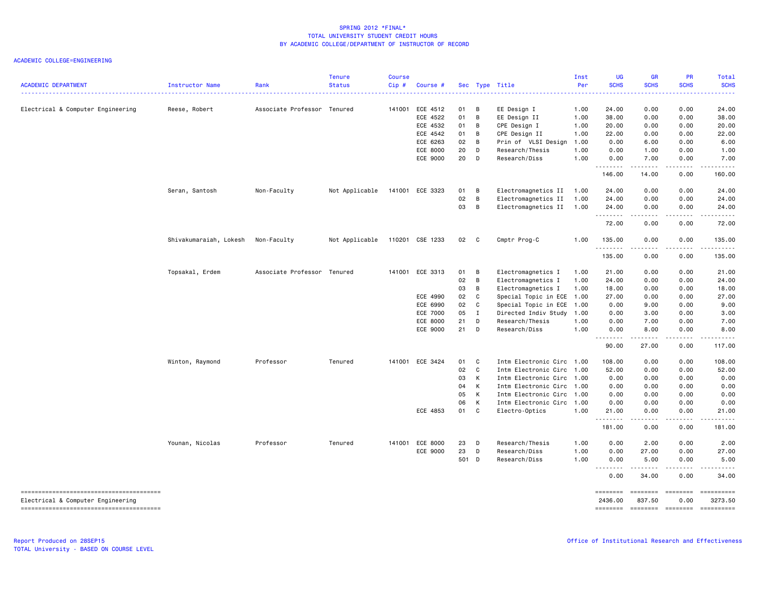| <b>ACADEMIC DEPARTMENT</b>        | Instructor Name        | Rank                        | <b>Tenure</b><br><b>Status</b> | <b>Course</b><br>Cip# | Course #        |    |       | Sec Type Title            | Inst<br>Per | <b>UG</b><br><b>SCHS</b> | <b>GR</b><br><b>SCHS</b> | PR<br><b>SCHS</b>                   | Total<br><b>SCHS</b>                                                                                                                                                                                                                                                                                                                                                                                                             |
|-----------------------------------|------------------------|-----------------------------|--------------------------------|-----------------------|-----------------|----|-------|---------------------------|-------------|--------------------------|--------------------------|-------------------------------------|----------------------------------------------------------------------------------------------------------------------------------------------------------------------------------------------------------------------------------------------------------------------------------------------------------------------------------------------------------------------------------------------------------------------------------|
| Electrical & Computer Engineering | Reese, Robert          | Associate Professor Tenured |                                | 141001                | ECE 4512        | 01 | в     | EE Design I               | 1.00        | 24.00                    | 0.00                     | 0.00                                | 24.00                                                                                                                                                                                                                                                                                                                                                                                                                            |
|                                   |                        |                             |                                |                       | ECE 4522        | 01 | В     | EE Design II              | 1.00        | 38.00                    | 0.00                     | 0.00                                | 38.00                                                                                                                                                                                                                                                                                                                                                                                                                            |
|                                   |                        |                             |                                |                       | ECE 4532        | 01 | B     | CPE Design I              | 1.00        | 20.00                    | 0.00                     | 0.00                                | 20.00                                                                                                                                                                                                                                                                                                                                                                                                                            |
|                                   |                        |                             |                                |                       | ECE 4542        | 01 | B     | CPE Design II             | 1.00        | 22.00                    | 0.00                     | 0.00                                | 22.00                                                                                                                                                                                                                                                                                                                                                                                                                            |
|                                   |                        |                             |                                |                       | ECE 6263        | 02 | B.    | Prin of VLSI Design       | 1.00        | 0.00                     | 6.00                     | 0.00                                | 6.00                                                                                                                                                                                                                                                                                                                                                                                                                             |
|                                   |                        |                             |                                |                       | <b>ECE 8000</b> | 20 | D     | Research/Thesis           | 1.00        | 0.00                     | 1.00                     | 0.00                                | 1.00                                                                                                                                                                                                                                                                                                                                                                                                                             |
|                                   |                        |                             |                                |                       | <b>ECE 9000</b> | 20 | D     | Research/Diss             | 1.00        | 0.00<br>.                | 7.00<br>$- - - - -$      | 0.00<br>.                           | 7.00<br>.                                                                                                                                                                                                                                                                                                                                                                                                                        |
|                                   |                        |                             |                                |                       |                 |    |       |                           |             | 146.00                   | 14.00                    | 0.00                                | 160.00                                                                                                                                                                                                                                                                                                                                                                                                                           |
|                                   | Seran, Santosh         | Non-Faculty                 | Not Applicable                 |                       | 141001 ECE 3323 | 01 | B     | Electromagnetics II       | 1.00        | 24.00                    | 0.00                     | 0.00                                | 24.00                                                                                                                                                                                                                                                                                                                                                                                                                            |
|                                   |                        |                             |                                |                       |                 | 02 | B     | Electromagnetics II       | 1.00        | 24.00                    | 0.00                     | 0.00                                | 24.00                                                                                                                                                                                                                                                                                                                                                                                                                            |
|                                   |                        |                             |                                |                       |                 | 03 | B     | Electromagnetics II       | 1.00        | 24.00<br>.               | 0.00<br>.                | 0.00<br>$- - - -$                   | 24.00<br>.                                                                                                                                                                                                                                                                                                                                                                                                                       |
|                                   |                        |                             |                                |                       |                 |    |       |                           |             | 72.00                    | 0.00                     | 0.00                                | 72.00                                                                                                                                                                                                                                                                                                                                                                                                                            |
|                                   | Shivakumaraiah, Lokesh | Non-Faculty                 | Not Applicable                 |                       | 110201 CSE 1233 | 02 | C     | Cmptr Prog-C              | 1.00        | 135.00<br>.              | 0.00                     | 0.00                                | 135.00<br>.                                                                                                                                                                                                                                                                                                                                                                                                                      |
|                                   |                        |                             |                                |                       |                 |    |       |                           |             | 135.00                   | 0.00                     | 0.00                                | 135.00                                                                                                                                                                                                                                                                                                                                                                                                                           |
|                                   | Topsakal, Erdem        | Associate Professor Tenured |                                |                       | 141001 ECE 3313 | 01 | в     | Electromagnetics I        | 1.00        | 21.00                    | 0.00                     | 0.00                                | 21.00                                                                                                                                                                                                                                                                                                                                                                                                                            |
|                                   |                        |                             |                                |                       |                 | 02 | B     | Electromagnetics I        | 1.00        | 24.00                    | 0.00                     | 0.00                                | 24.00                                                                                                                                                                                                                                                                                                                                                                                                                            |
|                                   |                        |                             |                                |                       |                 | 03 | B     | Electromagnetics I        | 1.00        | 18.00                    | 0.00                     | 0.00                                | 18.00                                                                                                                                                                                                                                                                                                                                                                                                                            |
|                                   |                        |                             |                                |                       | ECE 4990        | 02 | C     | Special Topic in ECE 1.00 |             | 27.00                    | 0.00                     | 0.00                                | 27.00                                                                                                                                                                                                                                                                                                                                                                                                                            |
|                                   |                        |                             |                                |                       | ECE 6990        | 02 | C.    | Special Topic in ECE 1.00 |             | 0.00                     | 9.00                     | 0.00                                | 9.00                                                                                                                                                                                                                                                                                                                                                                                                                             |
|                                   |                        |                             |                                |                       | <b>ECE 7000</b> | 05 | Ι.    | Directed Indiv Study      | 1.00        | 0.00                     | 3.00                     | 0.00                                | 3.00                                                                                                                                                                                                                                                                                                                                                                                                                             |
|                                   |                        |                             |                                |                       | <b>ECE 8000</b> | 21 | D     | Research/Thesis           | 1.00        | 0.00                     | 7.00                     | 0.00                                | 7.00                                                                                                                                                                                                                                                                                                                                                                                                                             |
|                                   |                        |                             |                                |                       | ECE 9000        | 21 | D     | Research/Diss             | 1.00        | 0.00<br>.                | 8.00<br>.                | 0.00<br>$- - - -$                   | 8.00                                                                                                                                                                                                                                                                                                                                                                                                                             |
|                                   |                        |                             |                                |                       |                 |    |       |                           |             | 90.00                    | 27.00                    | 0.00                                | 117.00                                                                                                                                                                                                                                                                                                                                                                                                                           |
|                                   | Winton, Raymond        | Professor                   | Tenured                        |                       | 141001 ECE 3424 | 01 | C     | Intm Electronic Circ 1.00 |             | 108.00                   | 0.00                     | 0.00                                | 108.00                                                                                                                                                                                                                                                                                                                                                                                                                           |
|                                   |                        |                             |                                |                       |                 | 02 | C     | Intm Electronic Circ 1.00 |             | 52.00                    | 0.00                     | 0.00                                | 52.00                                                                                                                                                                                                                                                                                                                                                                                                                            |
|                                   |                        |                             |                                |                       |                 | 03 | К     | Intm Electronic Circ 1.00 |             | 0.00                     | 0.00                     | 0.00                                | 0.00                                                                                                                                                                                                                                                                                                                                                                                                                             |
|                                   |                        |                             |                                |                       |                 | 04 | К     | Intm Electronic Circ 1.00 |             | 0.00                     | 0.00                     | 0.00                                | 0.00                                                                                                                                                                                                                                                                                                                                                                                                                             |
|                                   |                        |                             |                                |                       |                 | 05 | К     | Intm Electronic Circ 1.00 |             | 0.00                     | 0.00                     | 0.00                                | 0.00                                                                                                                                                                                                                                                                                                                                                                                                                             |
|                                   |                        |                             |                                |                       |                 | 06 | К     | Intm Electronic Circ 1.00 |             | 0.00                     | 0.00                     | 0.00                                | 0.00                                                                                                                                                                                                                                                                                                                                                                                                                             |
|                                   |                        |                             |                                |                       | ECE 4853        | 01 | C     | Electro-Optics            | 1.00        | 21.00<br>.               | 0.00                     | 0.00<br>$\sim$ $\sim$ $\sim$ $\sim$ | 21.00<br>د د د د                                                                                                                                                                                                                                                                                                                                                                                                                 |
|                                   |                        |                             |                                |                       |                 |    |       |                           |             | 181.00                   | 0.00                     | 0.00                                | 181.00                                                                                                                                                                                                                                                                                                                                                                                                                           |
|                                   | Younan, Nicolas        | Professor                   | Tenured                        |                       | 141001 ECE 8000 | 23 | D     | Research/Thesis           | 1.00        | 0.00                     | 2.00                     | 0.00                                | 2.00                                                                                                                                                                                                                                                                                                                                                                                                                             |
|                                   |                        |                             |                                |                       | ECE 9000        | 23 | D     | Research/Diss             | 1.00        | 0.00                     | 27.00                    | 0.00                                | 27.00                                                                                                                                                                                                                                                                                                                                                                                                                            |
|                                   |                        |                             |                                |                       |                 |    | 501 D | Research/Diss             | 1.00        | 0.00<br>.<br>- - -       | 5.00                     | 0.00                                | 5.00                                                                                                                                                                                                                                                                                                                                                                                                                             |
|                                   |                        |                             |                                |                       |                 |    |       |                           |             | 0.00                     | 34.00                    | 0.00                                | 34.00                                                                                                                                                                                                                                                                                                                                                                                                                            |
| Electrical & Computer Engineering |                        |                             |                                |                       |                 |    |       |                           |             | ========<br>2436.00      | ========<br>837.50       | $= 10000000000$<br>0.00             | ==========<br>3273.50                                                                                                                                                                                                                                                                                                                                                                                                            |
|                                   |                        |                             |                                |                       |                 |    |       |                           |             | ========                 | ======== =======         |                                     | $\begin{minipage}{0.9\linewidth} \hspace*{-0.2cm} \textbf{m} = \textbf{m} = \textbf{m} = \textbf{m} = \textbf{m} = \textbf{m} = \textbf{m} = \textbf{m} = \textbf{m} = \textbf{m} = \textbf{m} = \textbf{m} = \textbf{m} = \textbf{m} = \textbf{m} = \textbf{m} = \textbf{m} = \textbf{m} = \textbf{m} = \textbf{m} = \textbf{m} = \textbf{m} = \textbf{m} = \textbf{m} = \textbf{m} = \textbf{m} = \textbf{m} = \textbf{m} = \$ |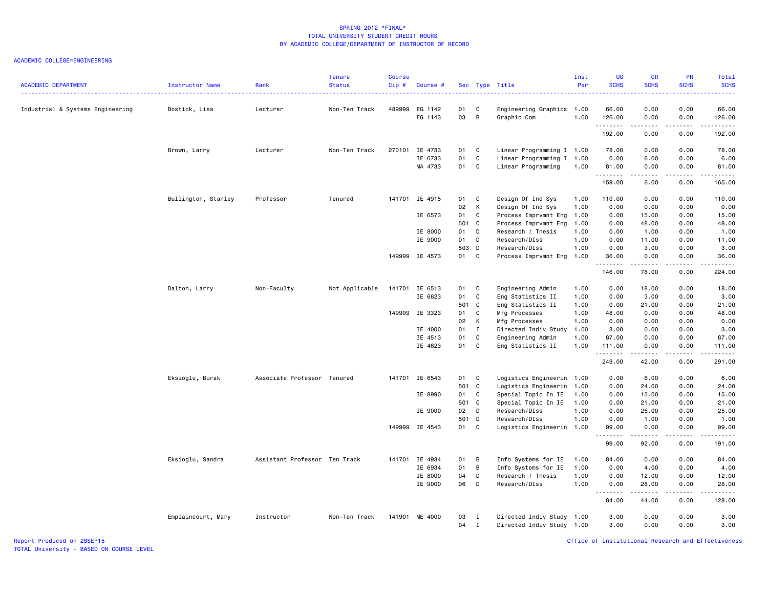| <b>ACADEMIC DEPARTMENT</b>       | Instructor Name     | Rank                          | <b>Tenure</b><br><b>Status</b> | <b>Course</b><br>Cip# | Course #       |               |                | Sec Type Title            | Inst<br>Per | <b>UG</b><br><b>SCHS</b> | <b>GR</b><br><b>SCHS</b> | <b>PR</b><br><b>SCHS</b> | Total<br><b>SCHS</b><br>.                                                                                                                                     |
|----------------------------------|---------------------|-------------------------------|--------------------------------|-----------------------|----------------|---------------|----------------|---------------------------|-------------|--------------------------|--------------------------|--------------------------|---------------------------------------------------------------------------------------------------------------------------------------------------------------|
| Industrial & Systems Engineering | Bostick, Lisa       | Lecturer                      | Non-Ten Track                  | 489999                | EG 1142        | 01            | C              | Engineering Graphics 1.00 |             | 66.00                    | 0.00                     | 0.00                     | 66.00                                                                                                                                                         |
|                                  |                     |                               |                                |                       | EG 1143        | 03            | $\overline{B}$ | Graphic Com               | 1.00        | 126.00<br>.              | 0.00<br>د د د د          | 0.00<br>.                | 126.00<br><b></b>                                                                                                                                             |
|                                  |                     |                               |                                |                       |                |               |                |                           |             | 192.00                   | 0.00                     | 0.00                     | 192.00                                                                                                                                                        |
|                                  | Brown, Larry        | Lecturer                      | Non-Ten Track                  | 270101                | IE 4733        | 01            | $\mathbf{C}$   | Linear Programming I 1.00 |             | 78.00                    | 0.00                     | 0.00                     | 78.00                                                                                                                                                         |
|                                  |                     |                               |                                |                       | IE 6733        | 01            | C              | Linear Programming I 1.00 |             | 0.00                     | 6.00                     | 0.00                     | 6.00                                                                                                                                                          |
|                                  |                     |                               |                                |                       | MA 4733        | 01            | C              | Linear Programming        | 1.00        | 81.00<br>.               | 0.00<br>.                | 0.00<br>.                | 81.00<br>.                                                                                                                                                    |
|                                  |                     |                               |                                |                       |                |               |                |                           |             | 159.00                   | 6.00                     | 0.00                     | 165.00                                                                                                                                                        |
|                                  | Bullington, Stanley | Professor                     | Tenured                        | 141701                | IE 4915        | 01            | C.             | Design Of Ind Sys         | 1.00        | 110.00                   | 0.00                     | 0.00                     | 110.00                                                                                                                                                        |
|                                  |                     |                               |                                |                       |                | 02            | $\mathsf{K}$   | Design Of Ind Sys         | 1.00        | 0.00                     | 0.00                     | 0.00                     | 0.00                                                                                                                                                          |
|                                  |                     |                               |                                |                       | IE 6573        | 01            | $\mathbf{C}$   | Process Imprvmnt Eng      | 1.00        | 0.00                     | 15.00                    | 0.00                     | 15.00                                                                                                                                                         |
|                                  |                     |                               |                                |                       |                | 501 C         |                | Process Imprvmnt Eng      | 1.00        | 0.00                     | 48.00                    | 0.00                     | 48.00                                                                                                                                                         |
|                                  |                     |                               |                                |                       | IE 8000        | 01            | D              | Research / Thesis         | 1.00        | 0.00                     | 1.00                     | 0.00                     | 1.00                                                                                                                                                          |
|                                  |                     |                               |                                |                       | IE 9000        | 01            | D              | Research/DIss             | 1.00        | 0.00                     | 11.00                    | 0.00                     | 11.00                                                                                                                                                         |
|                                  |                     |                               |                                |                       | 149999 IE 4573 | 503 D<br>01 C |                | Research/DIss             | 1.00        | 0.00                     | 3.00                     | 0.00                     | 3.00<br>36.00                                                                                                                                                 |
|                                  |                     |                               |                                |                       |                |               |                | Process Imprvmnt Eng      | 1.00        | 36.00<br>.               | 0.00<br>$- - - - -$      | 0.00<br>.                | $- - - - -$                                                                                                                                                   |
|                                  |                     |                               |                                |                       |                |               |                |                           |             | 146.00                   | 78.00                    | 0.00                     | 224.00                                                                                                                                                        |
|                                  | Dalton, Larry       | Non-Faculty                   | Not Applicable                 |                       | 141701 IE 6513 | 01            | $\mathbf{C}$   | Engineering Admin         | 1.00        | 0.00                     | 18.00                    | 0.00                     | 18.00                                                                                                                                                         |
|                                  |                     |                               |                                |                       | IE 6623        | 01            | C              | Eng Statistics II         | 1.00        | 0.00                     | 3.00                     | 0.00                     | 3.00                                                                                                                                                          |
|                                  |                     |                               |                                |                       |                | 501 C         |                | Eng Statistics II         | 1.00        | 0.00                     | 21.00                    | 0.00                     | 21.00                                                                                                                                                         |
|                                  |                     |                               |                                |                       | 149999 IE 3323 | 01            | $\mathbf{C}$   | Mfg Processes             | 1.00        | 48.00                    | 0.00                     | 0.00                     | 48.00                                                                                                                                                         |
|                                  |                     |                               |                                |                       |                | 02            | K              | Mfg Processes             | 1.00        | 0.00                     | 0.00                     | 0.00                     | 0.00                                                                                                                                                          |
|                                  |                     |                               |                                |                       | IE 4000        | 01            | $\mathbf{I}$   | Directed Indiv Study      | 1.00        | 3.00                     | 0.00                     | 0.00                     | 3.00                                                                                                                                                          |
|                                  |                     |                               |                                |                       | IE 4513        | 01            | $\mathtt{C}$   | Engineering Admin         | 1.00        | 87.00                    | 0.00                     | 0.00                     | 87.00                                                                                                                                                         |
|                                  |                     |                               |                                |                       | IE 4623        | 01            | $\mathbf{C}$   | Eng Statistics II         | 1.00        | 111.00<br>.              | 0.00<br>$- - - - -$      | 0.00<br>.                | 111.00<br>.                                                                                                                                                   |
|                                  |                     |                               |                                |                       |                |               |                |                           |             | 249.00                   | 42.00                    | 0.00                     | 291.00                                                                                                                                                        |
|                                  | Eksioglu, Burak     | Associate Professor Tenured   |                                |                       | 141701 IE 6543 | 01            | $\mathbf{C}$   | Logistics Engineerin 1.00 |             | 0.00                     | 6.00                     | 0.00                     | 6.00                                                                                                                                                          |
|                                  |                     |                               |                                |                       |                | 501 C         |                | Logistics Engineerin 1.00 |             | 0.00                     | 24.00                    | 0.00                     | 24.00                                                                                                                                                         |
|                                  |                     |                               |                                |                       | IE 8990        | 01            | C              | Special Topic In IE       | 1.00        | 0.00                     | 15.00                    | 0.00                     | 15.00                                                                                                                                                         |
|                                  |                     |                               |                                |                       |                | 501 C         |                | Special Topic In IE       | 1.00        | 0.00                     | 21.00                    | 0.00                     | 21.00                                                                                                                                                         |
|                                  |                     |                               |                                |                       | IE 9000        | 02            | $\mathsf{D}$   | Research/DIss             | 1.00        | 0.00                     | 25.00                    | 0.00                     | 25.00                                                                                                                                                         |
|                                  |                     |                               |                                |                       |                | 501 D         |                | Research/DIss             | 1.00        | 0.00                     | 1.00                     | 0.00                     | 1.00                                                                                                                                                          |
|                                  |                     |                               |                                |                       | 149999 IE 4543 | 01 C          |                | Logistics Engineerin 1.00 |             | 99.00<br>.               | 0.00<br><u>.</u>         | 0.00<br>.                | 99.00<br>$\frac{1}{2} \left( \frac{1}{2} \right) \left( \frac{1}{2} \right) \left( \frac{1}{2} \right) \left( \frac{1}{2} \right) \left( \frac{1}{2} \right)$ |
|                                  |                     |                               |                                |                       |                |               |                |                           |             | 99.00                    | 92.00                    | 0.00                     | 191.00                                                                                                                                                        |
|                                  | Eksioglu, Sandra    | Assistant Professor Ten Track |                                |                       | 141701 IE 4934 | 01            | $\overline{B}$ | Info Systems for IE       | 1.00        | 84.00                    | 0.00                     | 0.00                     | 84.00                                                                                                                                                         |
|                                  |                     |                               |                                |                       | IE 6934        | 01            | B              | Info Systems for IE       | 1.00        | 0.00                     | 4.00                     | 0.00                     | 4.00                                                                                                                                                          |
|                                  |                     |                               |                                |                       | IE 8000        | 04            | D              | Research / Thesis         | 1.00        | 0.00                     | 12.00                    | 0.00                     | 12.00                                                                                                                                                         |
|                                  |                     |                               |                                |                       | IE 9000        | 06            | D              | Research/DIss             | 1.00        | 0.00<br>.                | 28.00<br>د د د د د       | 0.00<br>.                | 28.00<br>.                                                                                                                                                    |
|                                  |                     |                               |                                |                       |                |               |                |                           |             | 84.00                    | 44.00                    | 0.00                     | 128.00                                                                                                                                                        |
|                                  | Emplaincourt, Mary  | Instructor                    | Non-Ten Track                  |                       | 141901 ME 4000 | 03            | <b>I</b>       | Directed Indiv Study 1.00 |             | 3.00                     | 0.00                     | 0.00                     | 3.00                                                                                                                                                          |
|                                  |                     |                               |                                |                       |                | 04            | $\mathbf I$    | Directed Indiv Study 1.00 |             | 3.00                     | 0.00                     | 0.00                     | 3.00                                                                                                                                                          |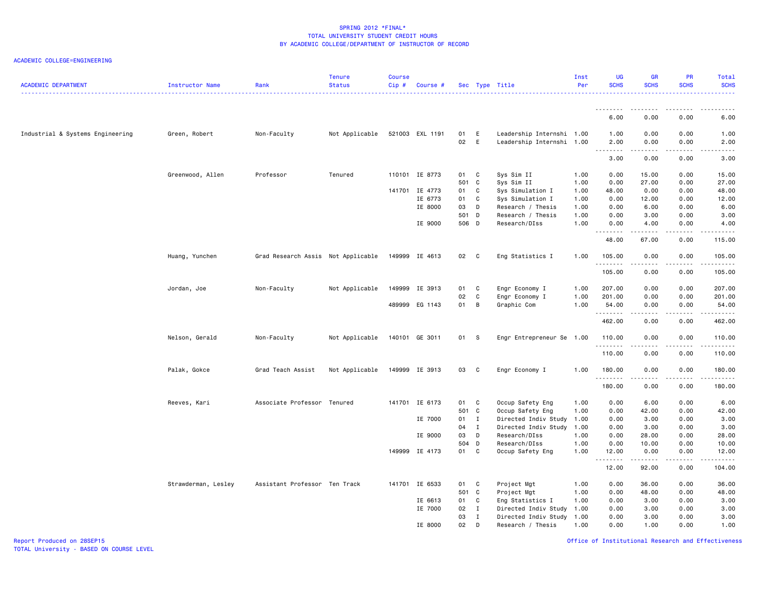ACADEMIC COLLEGE=ENGINEERING

| <b>ACADEMIC DEPARTMENT</b>       | Instructor Name     | Rank                               | <b>Tenure</b><br><b>Status</b> | <b>Course</b><br>$Cip$ # | Course #        |       |              | Sec Type Title            | Inst<br>Per | <b>UG</b><br><b>SCHS</b> | <b>GR</b><br><b>SCHS</b> | <b>PR</b><br><b>SCHS</b>     | Total<br><b>SCHS</b>                                                                                                    |
|----------------------------------|---------------------|------------------------------------|--------------------------------|--------------------------|-----------------|-------|--------------|---------------------------|-------------|--------------------------|--------------------------|------------------------------|-------------------------------------------------------------------------------------------------------------------------|
|                                  |                     |                                    |                                |                          |                 |       |              |                           |             |                          |                          |                              |                                                                                                                         |
|                                  |                     |                                    |                                |                          |                 |       |              |                           |             | 6.00                     | 0.00                     | 0.00                         | 6.00                                                                                                                    |
| Industrial & Systems Engineering | Green, Robert       | Non-Faculty                        | Not Applicable                 |                          | 521003 EXL 1191 | 01    | E            | Leadership Internshi 1.00 |             | 1.00                     | 0.00                     | 0.00                         | 1.00                                                                                                                    |
|                                  |                     |                                    |                                |                          |                 | 02    | E            | Leadership Internshi 1.00 |             | 2.00                     | 0.00<br>.                | 0.00<br>المتمامين            | 2.00<br>$\begin{array}{cccccccccccccc} \bullet & \bullet & \bullet & \bullet & \bullet & \bullet & \bullet \end{array}$ |
|                                  |                     |                                    |                                |                          |                 |       |              |                           |             | 3.00                     | 0.00                     | 0.00                         | 3.00                                                                                                                    |
|                                  | Greenwood, Allen    | Professor                          | Tenured                        |                          | 110101 IE 8773  | 01    | C            | Sys Sim II                | 1.00        | 0.00                     | 15.00                    | 0.00                         | 15.00                                                                                                                   |
|                                  |                     |                                    |                                |                          |                 | 501 C |              | Sys Sim II                | 1.00        | 0.00                     | 27.00                    | 0.00                         | 27.00                                                                                                                   |
|                                  |                     |                                    |                                |                          | 141701 IE 4773  | 01    | C            | Sys Simulation I          | 1.00        | 48.00                    | 0.00                     | 0.00                         | 48.00                                                                                                                   |
|                                  |                     |                                    |                                |                          | IE 6773         | 01    | C            | Sys Simulation I          | 1.00        | 0.00                     | 12.00                    | 0.00                         | 12.00                                                                                                                   |
|                                  |                     |                                    |                                |                          | IE 8000         | 03    | D            | Research / Thesis         | 1.00        | 0.00                     | 6.00                     | 0.00                         | 6.00                                                                                                                    |
|                                  |                     |                                    |                                |                          |                 | 501 D |              | Research / Thesis         | 1.00        | 0.00                     | 3.00                     | 0.00                         | 3.00                                                                                                                    |
|                                  |                     |                                    |                                |                          | IE 9000         | 506 D |              | Research/DIss             | 1.00        | 0.00                     | 4.00                     | 0.00                         | 4.00                                                                                                                    |
|                                  |                     |                                    |                                |                          |                 |       |              |                           |             | 48.00                    | 67.00                    | 0.00                         | 115.00                                                                                                                  |
|                                  | Huang, Yunchen      | Grad Research Assis Not Applicable |                                |                          | 149999 IE 4613  | 02 C  |              | Eng Statistics I          | 1.00        | 105.00                   | 0.00                     | 0.00<br>$\sim$ $\sim$ $\sim$ | 105.00                                                                                                                  |
|                                  |                     |                                    |                                |                          |                 |       |              |                           |             | .<br>105.00              | 0.00                     | 0.00                         | .<br>105.00                                                                                                             |
|                                  | Jordan, Joe         | Non-Faculty                        | Not Applicable                 |                          | 149999 IE 3913  | 01    | C            | Engr Economy I            | 1.00        | 207.00                   | 0.00                     | 0.00                         | 207.00                                                                                                                  |
|                                  |                     |                                    |                                |                          |                 | 02    | $\mathbf c$  | Engr Economy I            | 1.00        | 201.00                   | 0.00                     | 0.00                         | 201.00                                                                                                                  |
|                                  |                     |                                    |                                |                          | 489999 EG 1143  | 01    | B            | Graphic Com               | 1.00        | 54.00<br>.               | 0.00                     | 0.00                         | 54.00                                                                                                                   |
|                                  |                     |                                    |                                |                          |                 |       |              |                           |             | 462.00                   | 0.00                     | 0.00                         | 462.00                                                                                                                  |
|                                  | Nelson, Gerald      | Non-Faculty                        | Not Applicable                 |                          | 140101 GE 3011  | 01 S  |              | Engr Entrepreneur Se 1.00 |             | 110.00<br>.              | 0.00<br>.                | 0.00<br>$\frac{1}{2}$        | 110.00<br><u>.</u>                                                                                                      |
|                                  |                     |                                    |                                |                          |                 |       |              |                           |             | 110.00                   | 0.00                     | 0.00                         | 110.00                                                                                                                  |
|                                  | Palak, Gokce        | Grad Teach Assist                  | Not Applicable                 |                          | 149999 IE 3913  | 03 C  |              | Engr Economy I            | 1.00        | 180.00                   | 0.00                     | 0.00                         | 180.00                                                                                                                  |
|                                  |                     |                                    |                                |                          |                 |       |              |                           |             | .<br>180.00              | 0.00                     | 0.00                         | 180.00                                                                                                                  |
|                                  | Reeves, Kari        | Associate Professor Tenured        |                                |                          | 141701 IE 6173  | 01    | C            | Occup Safety Eng          | 1.00        | 0.00                     | 6.00                     | 0.00                         | 6.00                                                                                                                    |
|                                  |                     |                                    |                                |                          |                 | 501 C |              | Occup Safety Eng          | 1.00        | 0.00                     | 42.00                    | 0.00                         | 42.00                                                                                                                   |
|                                  |                     |                                    |                                |                          | IE 7000         | 01 I  |              | Directed Indiv Study      | 1.00        | 0.00                     | 3.00                     | 0.00                         | 3.00                                                                                                                    |
|                                  |                     |                                    |                                |                          |                 | 04    | $\mathbf{I}$ | Directed Indiv Study      | 1.00        | 0.00                     | 3.00                     | 0.00                         | 3.00                                                                                                                    |
|                                  |                     |                                    |                                |                          | IE 9000         | 03    | D            | Research/DIss             | 1.00        | 0.00                     | 28.00                    | 0.00                         | 28.00                                                                                                                   |
|                                  |                     |                                    |                                |                          |                 | 504   | D            | Research/DIss             | 1.00        | 0.00                     | 10.00                    | 0.00                         | 10.00                                                                                                                   |
|                                  |                     |                                    |                                |                          | 149999 IE 4173  | 01    | C            | Occup Safety Eng          | 1.00        | 12.00<br><u>.</u>        | 0.00<br>.                | 0.00<br>د د د د              | 12.00                                                                                                                   |
|                                  |                     |                                    |                                |                          |                 |       |              |                           |             | 12.00                    | 92.00                    | 0.00                         | 104.00                                                                                                                  |
|                                  | Strawderman, Lesley | Assistant Professor Ten Track      |                                |                          | 141701 IE 6533  | 01    | C            | Project Mgt               | 1.00        | 0.00                     | 36.00                    | 0.00                         | 36.00                                                                                                                   |
|                                  |                     |                                    |                                |                          |                 | 501 C |              | Project Mgt               | 1.00        | 0.00                     | 48.00                    | 0.00                         | 48.00                                                                                                                   |
|                                  |                     |                                    |                                |                          | IE 6613         | 01    | C            | Eng Statistics I          | 1.00        | 0.00                     | 3.00                     | 0.00                         | 3.00                                                                                                                    |
|                                  |                     |                                    |                                |                          | IE 7000         | 02    | I            | Directed Indiv Study      | 1.00        | 0.00                     | 3.00                     | 0.00                         | 3.00                                                                                                                    |
|                                  |                     |                                    |                                |                          |                 | 03    | $\mathbf I$  | Directed Indiv Study 1.00 |             | 0.00                     | 3.00                     | 0.00                         | 3.00                                                                                                                    |
|                                  |                     |                                    |                                |                          | IE 8000         | 02    | D            | Research / Thesis         | 1.00        | 0.00                     | 1.00                     | 0.00                         | 1.00                                                                                                                    |

Report Produced on 28SEP15 Office of Institutional Research and Effectiveness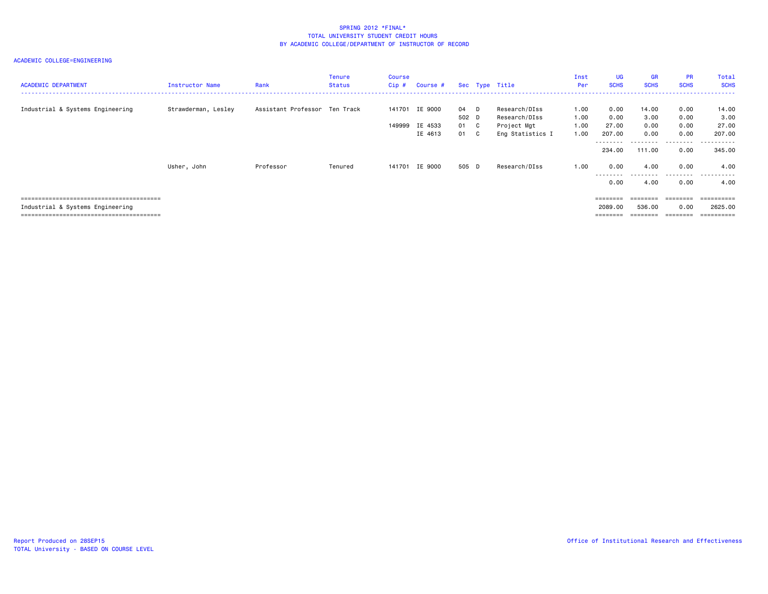| <b>ACADEMIC DEPARTMENT</b>       | Instructor Name     | Rank                          | Tenure<br>Status | Course<br>Cip#   | Course #                      |                               | Sec Type Title                                                    | Inst<br><b>Per</b>           | <b>UG</b><br><b>SCHS</b>                          | <b>GR</b><br><b>SCHS</b>      | <b>PR</b><br><b>SCHS</b>     | Total<br><b>SCHS</b><br>.                   |
|----------------------------------|---------------------|-------------------------------|------------------|------------------|-------------------------------|-------------------------------|-------------------------------------------------------------------|------------------------------|---------------------------------------------------|-------------------------------|------------------------------|---------------------------------------------|
| Industrial & Systems Engineering | Strawderman, Lesley | Assistant Professor Ten Track |                  | 141701<br>149999 | IE 9000<br>IE 4533<br>IE 4613 | 04 D<br>502 D<br>01 C<br>01 C | Research/DIss<br>Research/DIss<br>Project Mgt<br>Eng Statistics I | 1.00<br>1.00<br>1.00<br>1.00 | 0.00<br>0.00<br>27.00<br>207.00                   | 14.00<br>3.00<br>0.00<br>0.00 | 0.00<br>0.00<br>0.00<br>0.00 | 14.00<br>3,00<br>27.00<br>207.00            |
|                                  | Usher, John         | Professor                     | Tenured          | 141701           | IE 9000                       | 505 D                         | Research/DIss                                                     | 1.00                         | .<br>234,00<br>0.00                               | --------<br>111.00<br>4.00    | .<br>0.00<br>0.00            | --------<br>$\sim$ $\sim$<br>345,00<br>4.00 |
|                                  |                     |                               |                  |                  |                               |                               |                                                                   |                              | ---------<br>0.00                                 | 4.00                          | .<br>0.00                    | .<br>4.00                                   |
| Industrial & Systems Engineering |                     |                               |                  |                  |                               |                               |                                                                   |                              | $=$ = = = = = = =<br>2089.00<br>$=$ = = = = = = = | 536.00<br>$=$ = = = = = = =   | 0.00<br>========             | ==========<br>2625,00<br>==========         |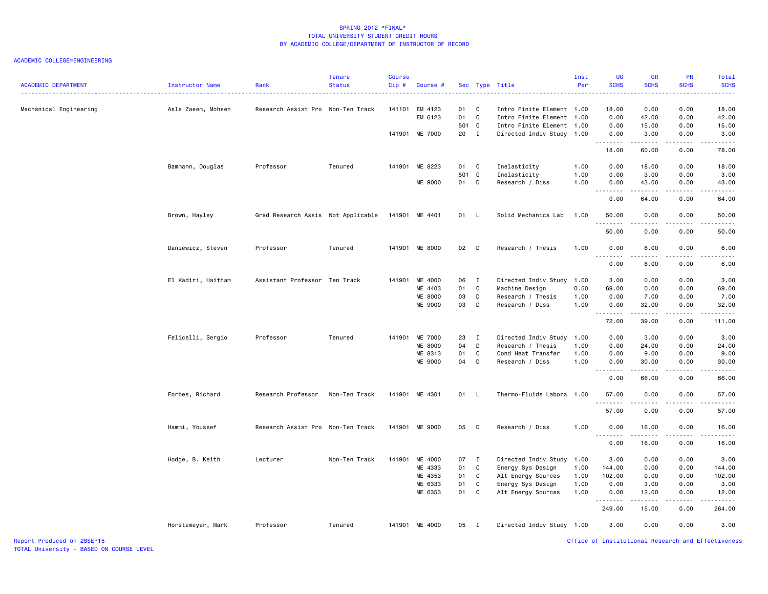ACADEMIC COLLEGE=ENGINEERING

| <b>ACADEMIC DEPARTMENT</b> | Instructor Name    | Rank                               | <b>Tenure</b><br><b>Status</b> | <b>Course</b><br>Cip# | Course #       |       |                | Sec Type Title            | Inst<br>Per | <b>UG</b><br><b>SCHS</b>                                                                                                                                                                                                                                                                                                                                                                                                                                                                       | <b>GR</b><br><b>SCHS</b> | <b>PR</b><br><b>SCHS</b> | Total<br><b>SCHS</b>                                                                                                      |
|----------------------------|--------------------|------------------------------------|--------------------------------|-----------------------|----------------|-------|----------------|---------------------------|-------------|------------------------------------------------------------------------------------------------------------------------------------------------------------------------------------------------------------------------------------------------------------------------------------------------------------------------------------------------------------------------------------------------------------------------------------------------------------------------------------------------|--------------------------|--------------------------|---------------------------------------------------------------------------------------------------------------------------|
|                            |                    |                                    |                                |                       |                |       |                |                           |             |                                                                                                                                                                                                                                                                                                                                                                                                                                                                                                |                          |                          | $\frac{1}{2} \left( \frac{1}{2} \right) \left( \frac{1}{2} \right) \left( \frac{1}{2} \right) \left( \frac{1}{2} \right)$ |
| Mechanical Engineering     | Asle Zaeem, Mohsen | Research Assist Pro Non-Ten Track  |                                |                       | 141101 EM 4123 | 01    | C.             | Intro Finite Element 1.00 |             | 18.00                                                                                                                                                                                                                                                                                                                                                                                                                                                                                          | 0.00                     | 0.00                     | 18.00                                                                                                                     |
|                            |                    |                                    |                                |                       | EM 6123        | 01    | C              | Intro Finite Element 1.00 |             | 0.00                                                                                                                                                                                                                                                                                                                                                                                                                                                                                           | 42.00                    | 0.00                     | 42.00                                                                                                                     |
|                            |                    |                                    |                                |                       |                | 501 C |                | Intro Finite Element 1.00 |             | 0.00                                                                                                                                                                                                                                                                                                                                                                                                                                                                                           | 15.00                    | 0.00                     | 15.00                                                                                                                     |
|                            |                    |                                    |                                |                       | 141901 ME 7000 | 20 I  |                | Directed Indiv Study 1.00 |             | 0.00<br>$\sim$ $\sim$ $\sim$<br>.                                                                                                                                                                                                                                                                                                                                                                                                                                                              | 3.00<br>.                | 0.00                     | 3.00                                                                                                                      |
|                            |                    |                                    |                                |                       |                |       |                |                           |             | 18.00                                                                                                                                                                                                                                                                                                                                                                                                                                                                                          | 60.00                    | 0.00                     | 78.00                                                                                                                     |
|                            | Bammann, Douglas   | Professor                          | Tenured                        |                       | 141901 ME 8223 | 01 C  |                | Inelasticity              | 1.00        | 0.00                                                                                                                                                                                                                                                                                                                                                                                                                                                                                           | 18.00                    | 0.00                     | 18.00                                                                                                                     |
|                            |                    |                                    |                                |                       |                | 501   | C              | Inelasticity              | 1.00        | 0.00                                                                                                                                                                                                                                                                                                                                                                                                                                                                                           | 3.00                     | 0.00                     | 3.00                                                                                                                      |
|                            |                    |                                    |                                |                       | ME 9000        | 01    | D              | Research / Diss           | 1.00        | 0.00<br>.                                                                                                                                                                                                                                                                                                                                                                                                                                                                                      | 43.00<br>.               | 0.00<br>.                | 43.00<br>.                                                                                                                |
|                            |                    |                                    |                                |                       |                |       |                |                           |             | 0.00                                                                                                                                                                                                                                                                                                                                                                                                                                                                                           | 64.00                    | 0.00                     | 64.00                                                                                                                     |
|                            | Brown, Hayley      | Grad Research Assis Not Applicable |                                |                       | 141901 ME 4401 | 01 L  |                | Solid Mechanics Lab       | 1.00        | 50.00                                                                                                                                                                                                                                                                                                                                                                                                                                                                                          | 0.00                     | 0.00                     | 50.00                                                                                                                     |
|                            |                    |                                    |                                |                       |                |       |                |                           |             | $\frac{1}{2} \left( \frac{1}{2} \right) \left( \frac{1}{2} \right) \left( \frac{1}{2} \right) \left( \frac{1}{2} \right)$<br>50.00                                                                                                                                                                                                                                                                                                                                                             | 0.00                     | 0.00                     | 50.00                                                                                                                     |
|                            | Daniewicz, Steven  | Professor                          | Tenured                        |                       | 141901 ME 8000 | 02 D  |                | Research / Thesis         | 1.00        | 0.00                                                                                                                                                                                                                                                                                                                                                                                                                                                                                           | 6.00                     | 0.00                     | 6.00                                                                                                                      |
|                            |                    |                                    |                                |                       |                |       |                |                           |             | .<br>0.00                                                                                                                                                                                                                                                                                                                                                                                                                                                                                      | . <b>.</b><br>6.00       | .<br>0.00                | .<br>6.00                                                                                                                 |
|                            | El Kadiri, Haitham | Assistant Professor Ten Track      |                                | 141901                | ME 4000        | 06    | I              | Directed Indiv Study      | 1.00        | 3.00                                                                                                                                                                                                                                                                                                                                                                                                                                                                                           | 0.00                     | 0.00                     | 3.00                                                                                                                      |
|                            |                    |                                    |                                |                       | ME 4403        | 01    | C              | Machine Design            | 0.50        | 69.00                                                                                                                                                                                                                                                                                                                                                                                                                                                                                          | 0.00                     | 0.00                     | 69.00                                                                                                                     |
|                            |                    |                                    |                                |                       | <b>ME 8000</b> | 03    | D              | Research / Thesis         | 1.00        | 0.00                                                                                                                                                                                                                                                                                                                                                                                                                                                                                           | 7.00                     | 0.00                     | 7.00                                                                                                                      |
|                            |                    |                                    |                                |                       | ME 9000        | 03    | D              | Research / Diss           | 1.00        | 0.00<br>$\begin{array}{cccccccccccccc} \multicolumn{2}{c}{} & \multicolumn{2}{c}{} & \multicolumn{2}{c}{} & \multicolumn{2}{c}{} & \multicolumn{2}{c}{} & \multicolumn{2}{c}{} & \multicolumn{2}{c}{} & \multicolumn{2}{c}{} & \multicolumn{2}{c}{} & \multicolumn{2}{c}{} & \multicolumn{2}{c}{} & \multicolumn{2}{c}{} & \multicolumn{2}{c}{} & \multicolumn{2}{c}{} & \multicolumn{2}{c}{} & \multicolumn{2}{c}{} & \multicolumn{2}{c}{} & \multicolumn{2}{c}{} & \multicolumn{2}{c}{} & \$ | 32.00                    | 0.00                     | 32.00                                                                                                                     |
|                            |                    |                                    |                                |                       |                |       |                |                           |             | 72.00                                                                                                                                                                                                                                                                                                                                                                                                                                                                                          | 39.00                    | 0.00                     | 111.00                                                                                                                    |
|                            | Felicelli, Sergio  | Professor                          | Tenured                        | 141901                | ME 7000        | 23    | $\blacksquare$ | Directed Indiv Study 1.00 |             | 0.00                                                                                                                                                                                                                                                                                                                                                                                                                                                                                           | 3.00                     | 0.00                     | 3.00                                                                                                                      |
|                            |                    |                                    |                                |                       | <b>ME 8000</b> | 04    | D              | Research / Thesis         | 1.00        | 0.00                                                                                                                                                                                                                                                                                                                                                                                                                                                                                           | 24.00                    | 0.00                     | 24.00                                                                                                                     |
|                            |                    |                                    |                                |                       | ME 8313        | 01    | C              | Cond Heat Transfer        | 1.00        | 0.00                                                                                                                                                                                                                                                                                                                                                                                                                                                                                           | 9.00                     | 0.00                     | 9.00                                                                                                                      |
|                            |                    |                                    |                                |                       | ME 9000        | 04    | D              | Research / Diss           | 1.00        | 0.00<br>$  -$<br>.                                                                                                                                                                                                                                                                                                                                                                                                                                                                             | 30.00                    | 0.00                     | 30.00                                                                                                                     |
|                            |                    |                                    |                                |                       |                |       |                |                           |             | 0.00                                                                                                                                                                                                                                                                                                                                                                                                                                                                                           | 66.00                    | 0.00                     | 66.00                                                                                                                     |
|                            | Forbes, Richard    | Research Professor                 | Non-Ten Track                  |                       | 141901 ME 4301 | 01 L  |                | Thermo-Fluids Labora 1.00 |             | 57.00<br>. <b>.</b>                                                                                                                                                                                                                                                                                                                                                                                                                                                                            | 0.00                     | 0.00                     | 57.00                                                                                                                     |
|                            |                    |                                    |                                |                       |                |       |                |                           |             | 57.00                                                                                                                                                                                                                                                                                                                                                                                                                                                                                          | 0.00                     | 0.00                     | 57.00                                                                                                                     |
|                            | Hammi, Youssef     | Research Assist Pro Non-Ten Track  |                                |                       | 141901 ME 9000 | 05 D  |                | Research / Diss           | 1.00        | 0.00<br>$\sim$ $\sim$ $\sim$<br>-----                                                                                                                                                                                                                                                                                                                                                                                                                                                          | 16.00<br>.               | 0.00<br>.                | 16.00                                                                                                                     |
|                            |                    |                                    |                                |                       |                |       |                |                           |             | 0.00                                                                                                                                                                                                                                                                                                                                                                                                                                                                                           | 16.00                    | 0.00                     | 16.00                                                                                                                     |
|                            | Hodge, B. Keith    | Lecturer                           | Non-Ten Track                  |                       | 141901 ME 4000 | 07 I  |                | Directed Indiv Study 1.00 |             | 3.00                                                                                                                                                                                                                                                                                                                                                                                                                                                                                           | 0.00                     | 0.00                     | 3.00                                                                                                                      |
|                            |                    |                                    |                                |                       | ME 4333        | 01    | C              | Energy Sys Design         | 1.00        | 144.00                                                                                                                                                                                                                                                                                                                                                                                                                                                                                         | 0.00                     | 0.00                     | 144.00                                                                                                                    |
|                            |                    |                                    |                                |                       | ME 4353        | 01    | $\mathbf{C}$   | Alt Energy Sources        | 1.00        | 102.00                                                                                                                                                                                                                                                                                                                                                                                                                                                                                         | 0.00                     | 0.00                     | 102.00                                                                                                                    |
|                            |                    |                                    |                                |                       | ME 6333        | 01    | $\mathbf{C}$   | Energy Sys Design         | 1.00        | 0.00                                                                                                                                                                                                                                                                                                                                                                                                                                                                                           | 3.00                     | 0.00                     | 3.00                                                                                                                      |
|                            |                    |                                    |                                |                       | ME 6353        | 01    | C              | Alt Energy Sources        | 1.00        | 0.00<br>.                                                                                                                                                                                                                                                                                                                                                                                                                                                                                      | 12.00                    | 0.00                     | 12.00                                                                                                                     |
|                            |                    |                                    |                                |                       |                |       |                |                           |             | 249.00                                                                                                                                                                                                                                                                                                                                                                                                                                                                                         | 15.00                    | 0.00                     | 264.00                                                                                                                    |
|                            | Horstemeyer, Mark  | Professor                          | Tenured                        |                       | 141901 ME 4000 | 05 I  |                | Directed Indiv Study 1.00 |             | 3.00                                                                                                                                                                                                                                                                                                                                                                                                                                                                                           | 0.00                     | 0.00                     | 3.00                                                                                                                      |

Report Produced on 28SEP15 Office of Institutional Research and Effectiveness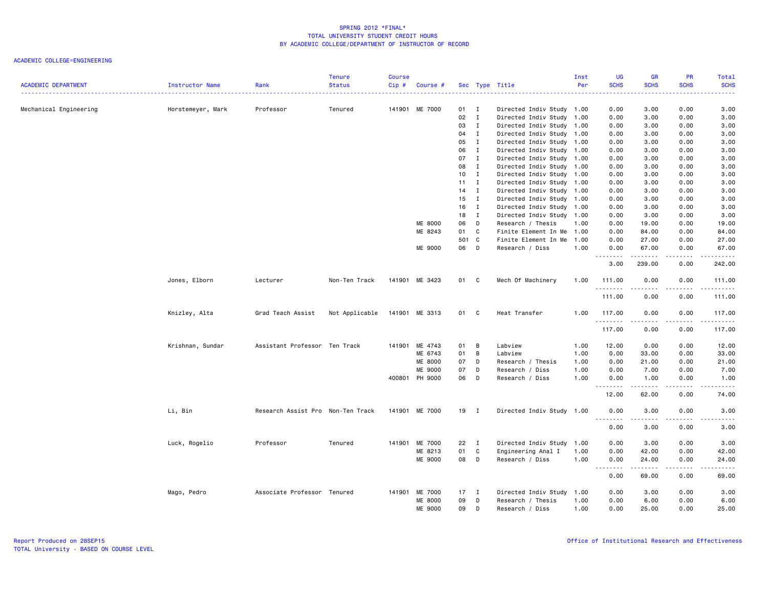| <b>ACADEMIC DEPARTMENT</b> | Instructor Name   | Rank                              | <b>Tenure</b><br><b>Status</b> | <b>Course</b><br>$Cip$ # | Course #       |                 |                | Sec Type Title            | Inst<br>Per | UG<br><b>SCHS</b> | <b>GR</b><br><b>SCHS</b> | PR<br><b>SCHS</b> | Total<br><b>SCHS</b>                                                                                                                                          |
|----------------------------|-------------------|-----------------------------------|--------------------------------|--------------------------|----------------|-----------------|----------------|---------------------------|-------------|-------------------|--------------------------|-------------------|---------------------------------------------------------------------------------------------------------------------------------------------------------------|
|                            |                   |                                   |                                |                          |                |                 |                |                           |             | .                 |                          |                   | 22222                                                                                                                                                         |
| Mechanical Engineering     | Horstemeyer, Mark | Professor                         | Tenured                        |                          | 141901 ME 7000 | 01 I            |                | Directed Indiv Study 1.00 |             | 0.00              | 3.00                     | 0.00              | 3.00                                                                                                                                                          |
|                            |                   |                                   |                                |                          |                | 02              | $\mathbf{I}$   | Directed Indiv Study 1.00 |             | 0.00              | 3.00                     | 0.00              | 3.00                                                                                                                                                          |
|                            |                   |                                   |                                |                          |                | 03              | $\mathbf{I}$   | Directed Indiv Study 1.00 |             | 0.00              | 3.00                     | 0.00              | 3.00                                                                                                                                                          |
|                            |                   |                                   |                                |                          |                | 04              | $\mathbf{I}$   | Directed Indiv Study 1.00 |             | 0.00              | 3.00                     | 0.00              | 3.00                                                                                                                                                          |
|                            |                   |                                   |                                |                          |                | 05              | $\mathbf{I}$   | Directed Indiv Study 1.00 |             | 0.00              | 3.00                     | 0.00              | 3.00                                                                                                                                                          |
|                            |                   |                                   |                                |                          |                | 06              | $\mathbf{I}$   | Directed Indiv Study 1.00 |             | 0.00              | 3.00                     | 0.00              | 3.00                                                                                                                                                          |
|                            |                   |                                   |                                |                          |                | 07              | $\mathbf{I}$   | Directed Indiv Study 1.00 |             | 0.00              | 3.00                     | 0.00              | 3.00                                                                                                                                                          |
|                            |                   |                                   |                                |                          |                | 08              | $\blacksquare$ | Directed Indiv Study 1.00 |             | 0.00              | 3.00                     | 0.00              | 3.00                                                                                                                                                          |
|                            |                   |                                   |                                |                          |                | 10 <sub>1</sub> | $\mathbf{I}$   | Directed Indiv Study 1.00 |             | 0.00              | 3.00                     | 0.00              | 3.00                                                                                                                                                          |
|                            |                   |                                   |                                |                          |                | $11 \quad I$    |                | Directed Indiv Study 1.00 |             | 0.00              | 3.00                     | 0.00              | 3.00                                                                                                                                                          |
|                            |                   |                                   |                                |                          |                | $14$ I          |                | Directed Indiv Study 1.00 |             | 0.00              | 3.00                     | 0.00              | 3.00                                                                                                                                                          |
|                            |                   |                                   |                                |                          |                | 15              | $\mathbf{I}$   | Directed Indiv Study 1.00 |             | 0.00              | 3.00                     | 0.00              | 3.00                                                                                                                                                          |
|                            |                   |                                   |                                |                          |                | 16              | $\mathbf{I}$   | Directed Indiv Study 1.00 |             | 0.00              | 3.00                     | 0.00              | 3.00                                                                                                                                                          |
|                            |                   |                                   |                                |                          |                | 18              | $\mathbf{I}$   | Directed Indiv Study 1.00 |             | 0.00              | 3.00                     | 0.00              | 3.00                                                                                                                                                          |
|                            |                   |                                   |                                |                          | ME 8000        | 06              | D              | Research / Thesis         | 1.00        | 0.00              | 19.00                    | 0.00              | 19.00                                                                                                                                                         |
|                            |                   |                                   |                                |                          | ME 8243        | 01              | C              | Finite Element In Me 1.00 |             | 0.00              | 84.00                    | 0.00              | 84.00                                                                                                                                                         |
|                            |                   |                                   |                                |                          |                | 501 C           |                | Finite Element In Me      | 1.00        | 0.00              | 27.00                    | 0.00              | 27.00                                                                                                                                                         |
|                            |                   |                                   |                                |                          | ME 9000        | 06              | $\Box$         | Research / Diss           | 1.00        | 0.00<br>.         | 67.00<br>.               | 0.00<br>.         | 67.00<br><b></b>                                                                                                                                              |
|                            |                   |                                   |                                |                          |                |                 |                |                           |             | 3.00              | 239.00                   | 0.00              | 242.00                                                                                                                                                        |
|                            | Jones, Elborn     | Lecturer                          | Non-Ten Track                  |                          | 141901 ME 3423 | 01 C            |                | Mech Of Machinery         | 1.00        | 111.00<br>.       | 0.00<br>.                | 0.00<br>.         | 111.00<br>. <b>.</b>                                                                                                                                          |
|                            |                   |                                   |                                |                          |                |                 |                |                           |             | 111.00            | 0.00                     | 0.00              | 111.00                                                                                                                                                        |
|                            | Knizley, Alta     | Grad Teach Assist                 | Not Applicable                 |                          | 141901 ME 3313 | 01 C            |                | Heat Transfer             | 1.00        | 117.00<br>.       | 0.00                     | 0.00<br>.         | 117.00<br>.                                                                                                                                                   |
|                            |                   |                                   |                                |                          |                |                 |                |                           |             | 117.00            | 0.00                     | 0.00              | 117.00                                                                                                                                                        |
|                            | Krishnan, Sundar  | Assistant Professor Ten Track     |                                |                          | 141901 ME 4743 | 01              | B              | Labview                   | 1.00        | 12.00             | 0.00                     | 0.00              | 12.00                                                                                                                                                         |
|                            |                   |                                   |                                |                          | ME 6743        | 01              | B              | Labview                   | 1.00        | 0.00              | 33.00                    | 0.00              | 33.00                                                                                                                                                         |
|                            |                   |                                   |                                |                          | ME 8000        | 07              | D              | Research / Thesis         | 1.00        | 0.00              | 21.00                    | 0.00              | 21.00                                                                                                                                                         |
|                            |                   |                                   |                                |                          | ME 9000        | 07              | D              | Research / Diss           | 1.00        | 0.00              | 7.00                     | 0.00              | 7.00                                                                                                                                                          |
|                            |                   |                                   |                                |                          | 400801 PH 9000 | 06              | D              | Research / Diss           | 1.00        | 0.00<br>.         | 1.00<br>.                | 0.00<br>.         | 1.00<br>.                                                                                                                                                     |
|                            |                   |                                   |                                |                          |                |                 |                |                           |             | 12.00             | 62.00                    | 0.00              | 74.00                                                                                                                                                         |
|                            | Li, Bin           | Research Assist Pro Non-Ten Track |                                |                          | 141901 ME 7000 | 19 I            |                | Directed Indiv Study 1.00 |             | 0.00<br>.         | 3.00<br>.                | 0.00<br>.         | 3.00<br><u>.</u>                                                                                                                                              |
|                            |                   |                                   |                                |                          |                |                 |                |                           |             | 0.00              | 3.00                     | 0.00              | 3.00                                                                                                                                                          |
|                            | Luck, Rogelio     | Professor                         | Tenured                        |                          | 141901 ME 7000 | 22              | $\blacksquare$ | Directed Indiv Study 1.00 |             | 0.00              | 3.00                     | 0.00              | 3.00                                                                                                                                                          |
|                            |                   |                                   |                                |                          | ME 8213        | 01              | C              | Engineering Anal I        | 1.00        | 0.00              | 42.00                    | 0.00              | 42.00                                                                                                                                                         |
|                            |                   |                                   |                                |                          | ME 9000        | 08 D            |                | Research / Diss           | 1.00        | 0.00<br><u>.</u>  | 24.00                    | 0.00<br>.         | 24.00<br>$\frac{1}{2} \left( \frac{1}{2} \right) \left( \frac{1}{2} \right) \left( \frac{1}{2} \right) \left( \frac{1}{2} \right) \left( \frac{1}{2} \right)$ |
|                            |                   |                                   |                                |                          |                |                 |                |                           |             | 0.00              | 69.00                    | 0.00              | 69.00                                                                                                                                                         |
|                            | Mago, Pedro       | Associate Professor Tenured       |                                |                          | 141901 ME 7000 | $17$ I          |                | Directed Indiv Study      | 1.00        | 0.00              | 3.00                     | 0.00              | 3.00                                                                                                                                                          |
|                            |                   |                                   |                                |                          | <b>ME 8000</b> | 09              | D              | Research / Thesis         | 1.00        | 0.00              | 6.00                     | 0.00              | 6.00                                                                                                                                                          |
|                            |                   |                                   |                                |                          | <b>ME 9000</b> | 09              | D              | Research / Diss           | 1.00        | 0.00              | 25.00                    | 0.00              | 25.00                                                                                                                                                         |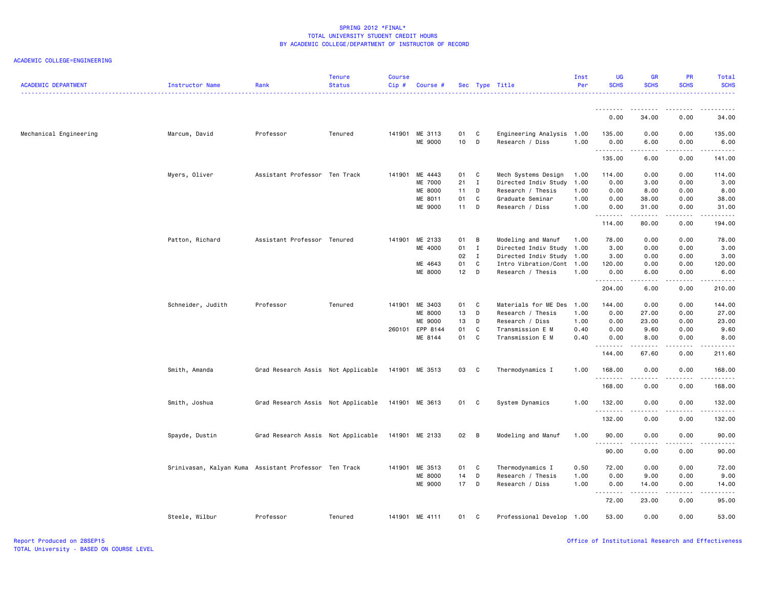| <b>ACADEMIC DEPARTMENT</b> | Instructor Name                                       | Rank                               | <b>Tenure</b><br><b>Status</b> | Course<br>$Cip \#$ | Course #       |        |                | Sec Type Title            | Inst<br>Per | <b>UG</b><br><b>SCHS</b> | <b>GR</b><br><b>SCHS</b> | <b>PR</b><br><b>SCHS</b> | Total<br><b>SCHS</b>    |
|----------------------------|-------------------------------------------------------|------------------------------------|--------------------------------|--------------------|----------------|--------|----------------|---------------------------|-------------|--------------------------|--------------------------|--------------------------|-------------------------|
|                            |                                                       |                                    |                                |                    |                |        |                |                           |             | .                        | ------                   | .                        |                         |
|                            |                                                       |                                    |                                |                    |                |        |                |                           |             | 0.00                     | 34.00                    | 0.00                     | 34.00                   |
| Mechanical Engineering     | Marcum, David                                         | Professor                          | Tenured                        |                    | 141901 ME 3113 | 01     | C              | Engineering Analysis      | 1.00        | 135.00                   | 0.00                     | 0.00                     | 135.00                  |
|                            |                                                       |                                    |                                |                    | ME 9000        | 10     | D              | Research / Diss           | 1.00        | 0.00<br>.                | 6.00<br>.                | 0.00<br>.                | 6.00<br><u>.</u>        |
|                            |                                                       |                                    |                                |                    |                |        |                |                           |             | 135.00                   | 6.00                     | 0.00                     | 141.00                  |
|                            | Myers, Oliver                                         | Assistant Professor Ten Track      |                                | 141901             | ME 4443        | 01     | C              | Mech Systems Design       | 1.00        | 114.00                   | 0.00                     | 0.00                     | 114.00                  |
|                            |                                                       |                                    |                                |                    | ME 7000        | 21     | $\mathbf{I}$   | Directed Indiv Study      | 1.00        | 0.00                     | 3.00                     | 0.00                     | 3.00                    |
|                            |                                                       |                                    |                                |                    | ME 8000        | 11     | D              | Research / Thesis         | 1.00        | 0.00                     | 8.00                     | 0.00                     | 8.00                    |
|                            |                                                       |                                    |                                |                    | ME 8011        | 01     | C              | Graduate Seminar          | 1.00        | 0.00                     | 38.00                    | 0.00                     | 38.00                   |
|                            |                                                       |                                    |                                |                    | ME 9000        | 11     | D              | Research / Diss           | 1.00        | 0.00                     | 31.00                    | 0.00                     | 31.00                   |
|                            |                                                       |                                    |                                |                    |                |        |                |                           |             | .<br>114.00              | .<br>80.00               | .<br>0.00                | .<br>194.00             |
|                            | Patton, Richard                                       | Assistant Professor Tenured        |                                | 141901             | ME 2133        | 01     | $\overline{B}$ | Modeling and Manuf        | 1.00        | 78.00                    | 0.00                     | 0.00                     | 78.00                   |
|                            |                                                       |                                    |                                |                    | ME 4000        | 01     | $\mathbf{I}$   | Directed Indiv Study      | 1.00        | 3.00                     | 0.00                     | 0.00                     | 3.00                    |
|                            |                                                       |                                    |                                |                    |                | 02     | $\mathbf{I}$   | Directed Indiv Study 1.00 |             | 3.00                     | 0.00                     | 0.00                     | 3.00                    |
|                            |                                                       |                                    |                                |                    | ME 4643        | 01     | C              | Intro Vibration/Cont      | 1.00        | 120.00                   | 0.00                     | 0.00                     | 120.00                  |
|                            |                                                       |                                    |                                |                    | ME 8000        | $12$ D |                | Research / Thesis         | 1.00        | 0.00                     | 6.00                     | 0.00                     | 6.00                    |
|                            |                                                       |                                    |                                |                    |                |        |                |                           |             | .<br>204.00              | .<br>6.00                | .<br>0.00                | .<br>210.00             |
|                            | Schneider, Judith                                     | Professor                          | Tenured                        | 141901             | ME 3403        | 01 C   |                | Materials for ME Des      | 1.00        | 144.00                   | 0.00                     | 0.00                     | 144.00                  |
|                            |                                                       |                                    |                                |                    | ME 8000        | 13     | D              | Research / Thesis         | 1.00        | 0.00                     | 27.00                    | 0.00                     | 27.00                   |
|                            |                                                       |                                    |                                |                    | ME 9000        | 13     | D              | Research / Diss           | 1.00        | 0.00                     | 23.00                    | 0.00                     | 23.00                   |
|                            |                                                       |                                    |                                | 260101             | EPP 8144       | 01     | C              | Transmission E M          | 0.40        | 0.00                     | 9.60                     | 0.00                     | 9.60                    |
|                            |                                                       |                                    |                                |                    | ME 8144        | 01     | C              | Transmission E M          | 0.40        | 0.00                     | 8.00                     | 0.00                     | 8.00                    |
|                            |                                                       |                                    |                                |                    |                |        |                |                           |             | <u>.</u><br>144.00       | .<br>67.60               | $\frac{1}{2}$<br>0.00    | . <u>.</u> .<br>211.60  |
|                            | Smith, Amanda                                         | Grad Research Assis Not Applicable |                                |                    | 141901 ME 3513 | 03     | C              | Thermodynamics I          | 1.00        | 168.00                   | 0.00                     | 0.00                     | 168.00                  |
|                            |                                                       |                                    |                                |                    |                |        |                |                           |             | .                        | .                        | .                        | .                       |
|                            |                                                       |                                    |                                |                    |                |        |                |                           |             | 168.00                   | 0.00                     | 0.00                     | 168.00                  |
|                            | Smith, Joshua                                         | Grad Research Assis Not Applicable |                                |                    | 141901 ME 3613 | 01 C   |                | System Dynamics           | 1.00        | 132.00<br>.              | 0.00                     | 0.00                     | 132.00<br>$- - - - - -$ |
|                            |                                                       |                                    |                                |                    |                |        |                |                           |             | 132.00                   | 0.00                     | 0.00                     | 132.00                  |
|                            | Spayde, Dustin                                        | Grad Research Assis Not Applicable |                                |                    | 141901 ME 2133 | 02 B   |                | Modeling and Manuf        | 1.00        | 90.00                    | 0.00                     | 0.00                     | 90.00                   |
|                            |                                                       |                                    |                                |                    |                |        |                |                           |             | <u>.</u><br>90.00        | .<br>0.00                | .<br>0.00                | .<br>90.00              |
|                            | Srinivasan, Kalyan Kuma Assistant Professor Ten Track |                                    |                                | 141901             | ME 3513        | 01     | C              | Thermodynamics I          | 0.50        | 72.00                    | 0.00                     | 0.00                     | 72.00                   |
|                            |                                                       |                                    |                                |                    | <b>ME 8000</b> | 14     | D              | Research / Thesis         | 1.00        | 0.00                     | 9.00                     | 0.00                     | 9.00                    |
|                            |                                                       |                                    |                                |                    | ME 9000        | 17 D   |                | Research / Diss           | 1.00        | 0.00                     | 14.00                    | 0.00                     | 14.00                   |
|                            |                                                       |                                    |                                |                    |                |        |                |                           |             | .                        | .                        | .                        | .                       |
|                            |                                                       |                                    |                                |                    |                |        |                |                           |             | 72.00                    | 23.00                    | 0.00                     | 95.00                   |
|                            | Steele, Wilbur                                        | Professor                          | Tenured                        |                    | 141901 ME 4111 | 01     | C.             | Professional Develop 1.00 |             | 53.00                    | 0.00                     | 0.00                     | 53.00                   |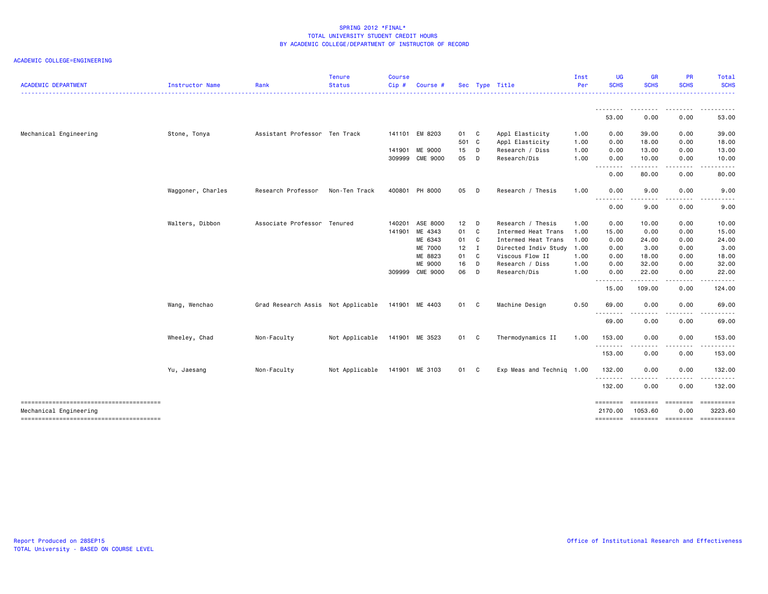| <b>ACADEMIC DEPARTMENT</b>             | <b>Instructor Name</b> | Rank                               | <b>Tenure</b><br><b>Status</b> | <b>Course</b><br>Cip# | Course #        |            |                | Sec Type Title            | Inst<br>Per | <b>UG</b><br><b>SCHS</b> | <b>GR</b><br><b>SCHS</b>                                                                                                                                       | <b>PR</b><br><b>SCHS</b>            | Total<br><b>SCHS</b>                                                                                                                                          |
|----------------------------------------|------------------------|------------------------------------|--------------------------------|-----------------------|-----------------|------------|----------------|---------------------------|-------------|--------------------------|----------------------------------------------------------------------------------------------------------------------------------------------------------------|-------------------------------------|---------------------------------------------------------------------------------------------------------------------------------------------------------------|
|                                        |                        |                                    |                                |                       |                 |            |                |                           |             | ---------<br>53.00       | ---------<br>0.00                                                                                                                                              | 0.00                                | .<br>53.00                                                                                                                                                    |
|                                        |                        |                                    |                                |                       |                 |            |                |                           |             |                          |                                                                                                                                                                |                                     |                                                                                                                                                               |
| Mechanical Engineering                 | Stone, Tonya           | Assistant Professor Ten Track      |                                |                       | 141101 EM 8203  | 01 C       |                | Appl Elasticity           | 1.00        | 0.00                     | 39.00                                                                                                                                                          | 0.00                                | 39.00                                                                                                                                                         |
|                                        |                        |                                    |                                |                       |                 | 501 C      |                | Appl Elasticity           | 1.00        | 0.00                     | 18.00                                                                                                                                                          | 0.00                                | 18,00                                                                                                                                                         |
|                                        |                        |                                    |                                | 141901                | ME 9000         | 15 D<br>05 | D              | Research / Diss           | 1.00        | 0.00                     | 13.00                                                                                                                                                          | 0.00                                | 13.00<br>10.00                                                                                                                                                |
|                                        |                        |                                    |                                |                       | 309999 CME 9000 |            |                | Research/Dis              | 1.00        | 0.00<br>.                | 10.00<br>-----                                                                                                                                                 | 0.00<br>$\sim$ $\sim$ $\sim$ $\sim$ | $\cdots$                                                                                                                                                      |
|                                        |                        |                                    |                                |                       |                 |            |                |                           |             | 0.00                     | 80.00                                                                                                                                                          | 0.00                                | 80.00                                                                                                                                                         |
|                                        | Waggoner, Charles      | Research Professor                 | Non-Ten Track                  |                       | 400801 PH 8000  | 05         | D              | Research / Thesis         | 1.00        | 0.00                     | 9.00                                                                                                                                                           | 0.00                                | 9.00                                                                                                                                                          |
|                                        |                        |                                    |                                |                       |                 |            |                |                           |             | .<br>0.00                | .<br>9.00                                                                                                                                                      | ----<br>0.00                        | $\frac{1}{2}$<br>9.00                                                                                                                                         |
|                                        | Walters, Dibbon        | Associate Professor Tenured        |                                | 140201                | ASE 8000        | 12         | D              | Research / Thesis         | 1.00        | 0.00                     | 10.00                                                                                                                                                          | 0.00                                | 10.00                                                                                                                                                         |
|                                        |                        |                                    |                                | 141901                | ME 4343         | 01         | C <sub>c</sub> | Intermed Heat Trans       | 1.00        | 15.00                    | 0.00                                                                                                                                                           | 0.00                                | 15.00                                                                                                                                                         |
|                                        |                        |                                    |                                |                       | ME 6343         | 01         | $\mathbf{C}$   | Intermed Heat Trans       | 1.00        | 0.00                     | 24.00                                                                                                                                                          | 0.00                                | 24.00                                                                                                                                                         |
|                                        |                        |                                    |                                |                       | <b>ME 7000</b>  | $12$ I     |                | Directed Indiv Study      | 1.00        | 0.00                     | 3.00                                                                                                                                                           | 0.00                                | 3.00                                                                                                                                                          |
|                                        |                        |                                    |                                |                       | ME 8823         | 01         | $\mathbf{C}$   | Viscous Flow II           | 1.00        | 0.00                     | 18.00                                                                                                                                                          | 0.00                                | 18.00                                                                                                                                                         |
|                                        |                        |                                    |                                |                       | ME 9000         | 16         | D              | Research / Diss           | 1.00        | 0.00                     | 32.00                                                                                                                                                          | 0.00                                | 32.00                                                                                                                                                         |
|                                        |                        |                                    |                                |                       | 309999 CME 9000 | 06         | D              | Research/Dis              | 1.00        | 0.00                     | 22.00                                                                                                                                                          | 0.00                                | 22.00                                                                                                                                                         |
|                                        |                        |                                    |                                |                       |                 |            |                |                           |             | .<br>15.00               | $\frac{1}{2} \left( \frac{1}{2} \right) \left( \frac{1}{2} \right) \left( \frac{1}{2} \right) \left( \frac{1}{2} \right) \left( \frac{1}{2} \right)$<br>109.00 | .<br>0.00                           | .<br>124.00                                                                                                                                                   |
|                                        | Wang, Wenchao          | Grad Research Assis Not Applicable |                                |                       | 141901 ME 4403  | 01 C       |                | Machine Design            | 0.50        | 69.00                    | 0.00                                                                                                                                                           | 0.00                                | 69.00                                                                                                                                                         |
|                                        |                        |                                    |                                |                       |                 |            |                |                           |             | .<br>69.00               | . <b>.</b><br>0.00                                                                                                                                             | $\frac{1}{2}$<br>0.00               | $\frac{1}{2} \left( \frac{1}{2} \right) \left( \frac{1}{2} \right) \left( \frac{1}{2} \right) \left( \frac{1}{2} \right) \left( \frac{1}{2} \right)$<br>69.00 |
|                                        | Wheeley, Chad          | Non-Faculty                        | Not Applicable                 |                       | 141901 ME 3523  | 01 C       |                | Thermodynamics II         | 1.00        | 153.00                   | 0.00                                                                                                                                                           | 0.00                                | 153.00                                                                                                                                                        |
|                                        |                        |                                    |                                |                       |                 |            |                |                           |             | .<br>153.00              | 0.00                                                                                                                                                           | 0.00                                | 153.00                                                                                                                                                        |
|                                        | Yu, Jaesang            | Non-Faculty                        | Not Applicable                 |                       | 141901 ME 3103  | 01 C       |                | Exp Meas and Technig 1.00 |             | 132.00                   | 0.00                                                                                                                                                           | 0.00                                | 132.00                                                                                                                                                        |
|                                        |                        |                                    |                                |                       |                 |            |                |                           |             | .<br>132.00              | 0.00                                                                                                                                                           | 0.00                                | 132.00                                                                                                                                                        |
| -------------------------------------- |                        |                                    |                                |                       |                 |            |                |                           |             | ========                 | ======== ========                                                                                                                                              |                                     |                                                                                                                                                               |
| Mechanical Engineering                 |                        |                                    |                                |                       |                 |            |                |                           |             | 2170.00                  | 1053.60                                                                                                                                                        | 0.00                                | 3223.60                                                                                                                                                       |
| -------------------------------------- |                        |                                    |                                |                       |                 |            |                |                           |             | ========                 | sessesse sessesse                                                                                                                                              |                                     | ==========                                                                                                                                                    |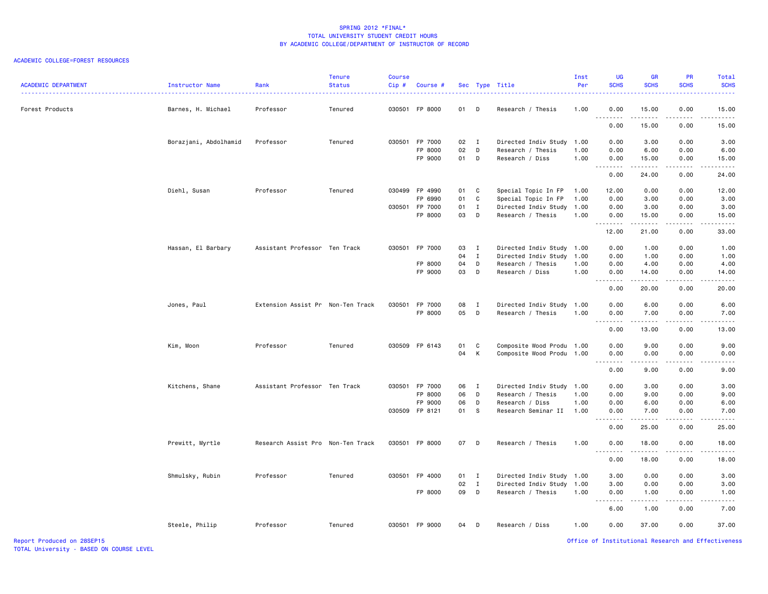#### ACADEMIC COLLEGE=FOREST RESOURCES

| <b>ACADEMIC DEPARTMENT</b> | Instructor Name<br>.  | Rank                              | Tenure<br><b>Status</b> | Course<br>Cip# | Course #           |          |                | Sec Type Title                       | Inst<br>Per  | <b>UG</b><br><b>SCHS</b> | <b>GF</b><br><b>SCHS</b>                                                                                                                                      | <b>PR</b><br><b>SCHS</b> | Total<br><b>SCHS</b><br>.                                                                                                                                     |
|----------------------------|-----------------------|-----------------------------------|-------------------------|----------------|--------------------|----------|----------------|--------------------------------------|--------------|--------------------------|---------------------------------------------------------------------------------------------------------------------------------------------------------------|--------------------------|---------------------------------------------------------------------------------------------------------------------------------------------------------------|
| Forest Products            | Barnes, H. Michael    | Professor                         | Tenured                 |                | 030501 FP 8000     | 01       | D              | Research / Thesis                    | 1.00         | 0.00<br>.                | 15.00<br>.                                                                                                                                                    | 0.00<br>.                | 15.00<br>.                                                                                                                                                    |
|                            |                       |                                   |                         |                |                    |          |                |                                      |              | 0.00                     | 15.00                                                                                                                                                         | 0.00                     | 15.00                                                                                                                                                         |
|                            | Borazjani, Abdolhamid | Professor                         | Tenured                 |                | 030501 FP 7000     | 02       | $\blacksquare$ | Directed Indiv Study 1.00            |              | 0.00                     | 3.00                                                                                                                                                          | 0.00                     | 3.00                                                                                                                                                          |
|                            |                       |                                   |                         |                | FP 8000<br>FP 9000 | 02<br>01 | D<br>D         | Research / Thesis<br>Research / Diss | 1.00<br>1.00 | 0.00<br>0.00             | 6.00<br>15.00                                                                                                                                                 | 0.00<br>0.00             | 6.00<br>15.00                                                                                                                                                 |
|                            |                       |                                   |                         |                |                    |          |                |                                      |              | .<br>0.00                | .<br>24.00                                                                                                                                                    | .<br>0.00                | .<br>24.00                                                                                                                                                    |
|                            | Diehl, Susan          | Professor                         | Tenured                 |                | 030499 FP 4990     | 01 C     |                | Special Topic In FP                  | 1.00         | 12.00                    | 0.00                                                                                                                                                          | 0.00                     | 12.00                                                                                                                                                         |
|                            |                       |                                   |                         |                | FP 6990            | 01       | C              | Special Topic In FP                  | 1.00         | 0.00                     | 3.00                                                                                                                                                          | 0.00                     | 3.00                                                                                                                                                          |
|                            |                       |                                   |                         |                | 030501 FP 7000     | 01       | $\mathbf I$    | Directed Indiv Study                 | 1.00         | 0.00                     | 3.00                                                                                                                                                          | 0.00                     | 3.00                                                                                                                                                          |
|                            |                       |                                   |                         |                | FP 8000            | 03       | D              | Research / Thesis                    | 1.00         | 0.00<br>.                | 15.00<br>-----                                                                                                                                                | 0.00<br>المتمام المنا    | 15.00<br>$\frac{1}{2} \left( \frac{1}{2} \right) \left( \frac{1}{2} \right) \left( \frac{1}{2} \right) \left( \frac{1}{2} \right) \left( \frac{1}{2} \right)$ |
|                            |                       |                                   |                         |                |                    |          |                |                                      |              | 12.00                    | 21.00                                                                                                                                                         | 0.00                     | 33.00                                                                                                                                                         |
|                            | Hassan, El Barbary    | Assistant Professor Ten Track     |                         |                | 030501 FP 7000     | 03       | $\blacksquare$ | Directed Indiv Study 1.00            |              | 0.00                     | 1.00                                                                                                                                                          | 0.00                     | 1.00                                                                                                                                                          |
|                            |                       |                                   |                         |                |                    | 04       | $\mathbf{I}$   | Directed Indiv Study                 | 1.00         | 0.00                     | 1.00                                                                                                                                                          | 0.00                     | 1.00                                                                                                                                                          |
|                            |                       |                                   |                         |                | FP 8000            | 04       | D              | Research / Thesis                    | 1.00         | 0.00                     | 4.00                                                                                                                                                          | 0.00                     | 4.00                                                                                                                                                          |
|                            |                       |                                   |                         |                | FP 9000            | 03       | D              | Research / Diss                      | 1.00         | 0.00<br>.                | 14.00<br>$\frac{1}{2} \left( \frac{1}{2} \right) \left( \frac{1}{2} \right) \left( \frac{1}{2} \right) \left( \frac{1}{2} \right) \left( \frac{1}{2} \right)$ | 0.00<br>.                | 14.00<br>$\sim$                                                                                                                                               |
|                            |                       |                                   |                         |                |                    |          |                |                                      |              | 0.00                     | 20.00                                                                                                                                                         | 0.00                     | 20.00                                                                                                                                                         |
|                            | Jones, Paul           | Extension Assist Pr Non-Ten Track |                         |                | 030501 FP 7000     | 08       | $\blacksquare$ | Directed Indiv Study                 | 1.00         | 0.00                     | 6.00                                                                                                                                                          | 0.00                     | 6.00                                                                                                                                                          |
|                            |                       |                                   |                         |                | FP 8000            | 05       | $\mathsf{D}$   | Research / Thesis                    | 1.00         | 0.00<br>.                | 7.00<br>$- - - - -$                                                                                                                                           | 0.00<br>.                | 7.00<br>$- - - - -$                                                                                                                                           |
|                            |                       |                                   |                         |                |                    |          |                |                                      |              | 0.00                     | 13.00                                                                                                                                                         | 0.00                     | 13.00                                                                                                                                                         |
|                            | Kim, Moon             | Professor                         | Tenured                 |                | 030509 FP 6143     | 01       | C              | Composite Wood Produ 1.00            |              | 0.00                     | 9.00                                                                                                                                                          | 0.00                     | 9.00                                                                                                                                                          |
|                            |                       |                                   |                         |                |                    | 04       | К              | Composite Wood Produ                 | 1.00         | 0.00                     | 0.00                                                                                                                                                          | 0.00                     | 0.00                                                                                                                                                          |
|                            |                       |                                   |                         |                |                    |          |                |                                      |              | .<br>0.00                | .<br>9.00                                                                                                                                                     | .<br>0.00                | .<br>9.00                                                                                                                                                     |
|                            |                       |                                   |                         |                |                    |          |                |                                      |              |                          |                                                                                                                                                               |                          |                                                                                                                                                               |
|                            | Kitchens, Shane       | Assistant Professor Ten Track     |                         |                | 030501 FP 7000     | 06       | $\blacksquare$ | Directed Indiv Study                 | 1.00         | 0.00                     | 3.00                                                                                                                                                          | 0.00                     | 3.00                                                                                                                                                          |
|                            |                       |                                   |                         |                | FP 8000            | 06       | D              | Research / Thesis                    | 1.00         | 0.00                     | 9.00                                                                                                                                                          | 0.00                     | 9.00                                                                                                                                                          |
|                            |                       |                                   |                         |                | FP 9000            | 06       | D              | Research / Diss                      | 1.00         | 0.00                     | 6.00                                                                                                                                                          | 0.00                     | 6.00                                                                                                                                                          |
|                            |                       |                                   |                         |                | 030509 FP 8121     | 01       | - S            | Research Seminar II                  | 1.00         | 0.00<br>.                | 7.00<br>.                                                                                                                                                     | 0.00<br>. <b>.</b>       | 7.00<br>المستمين                                                                                                                                              |
|                            |                       |                                   |                         |                |                    |          |                |                                      |              | 0.00                     | 25.00                                                                                                                                                         | 0.00                     | 25.00                                                                                                                                                         |
|                            | Prewitt, Myrtle       | Research Assist Pro Non-Ten Track |                         |                | 030501 FP 8000     | 07       | D              | Research / Thesis                    | 1.00         | 0.00<br>.                | 18.00<br>.                                                                                                                                                    | 0.00<br>.                | 18.00<br>د د د د د                                                                                                                                            |
|                            |                       |                                   |                         |                |                    |          |                |                                      |              | 0.00                     | 18.00                                                                                                                                                         | 0.00                     | 18.00                                                                                                                                                         |
|                            | Shmulsky, Rubin       | Professor                         | Tenured                 |                | 030501 FP 4000     | $01$ I   |                | Directed Indiv Study 1.00            |              | 3.00                     | 0.00                                                                                                                                                          | 0.00                     | 3.00                                                                                                                                                          |
|                            |                       |                                   |                         |                |                    | 02       | $\mathbf{I}$   | Directed Indiv Study                 | 1.00         | 3.00                     | 0.00                                                                                                                                                          | 0.00                     | 3.00                                                                                                                                                          |
|                            |                       |                                   |                         |                | FP 8000            | 09       | D              | Research / Thesis                    | 1.00         | 0.00<br>.                | 1.00<br>$- - - - -$                                                                                                                                           | 0.00<br>. <b>.</b>       | 1.00<br>$\frac{1}{2} \left( \frac{1}{2} \right) \left( \frac{1}{2} \right) \left( \frac{1}{2} \right) \left( \frac{1}{2} \right) \left( \frac{1}{2} \right)$  |
|                            |                       |                                   |                         |                |                    |          |                |                                      |              | 6.00                     | 1.00                                                                                                                                                          | 0.00                     | 7.00                                                                                                                                                          |
|                            | Steele, Philip        | Professor                         | Tenured                 |                | 030501 FP 9000     | 04       | D              | Research / Diss                      | 1.00         | 0.00                     | 37.00                                                                                                                                                         | 0.00                     | 37.00                                                                                                                                                         |
| Report Produced on 28SEP15 |                       |                                   |                         |                |                    |          |                |                                      |              |                          |                                                                                                                                                               |                          | Office of Institutional Research and Effectiveness                                                                                                            |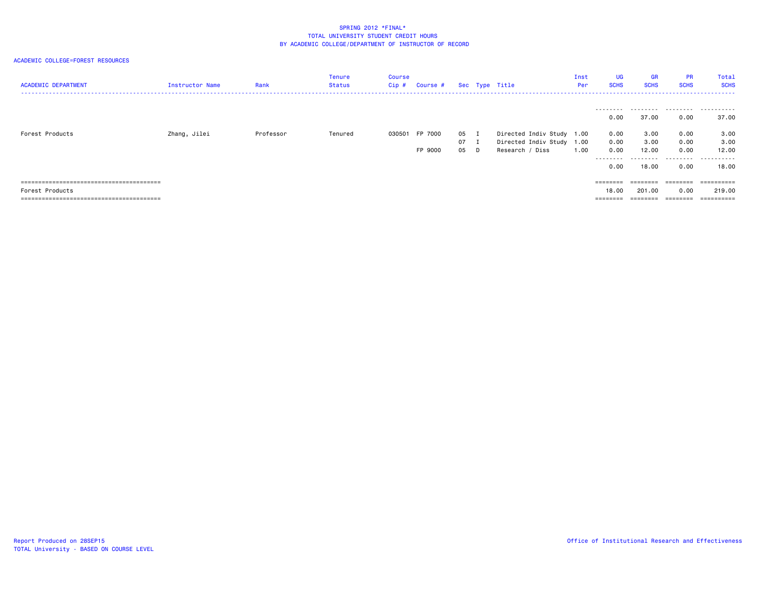ACADEMIC COLLEGE=FOREST RESOURCES

| <b>ACADEMIC DEPARTMENT</b> | Instructor Name | Rank      | Tenure<br>Status | Course<br>Cip# | Course # |    | Sec Type Title |                           | Inst<br><b>Per</b> | <b>UG</b><br><b>SCHS</b> | <b>GR</b><br><b>SCHS</b> | <b>PR</b><br><b>SCHS</b> | Total<br><b>SCHS</b> |
|----------------------------|-----------------|-----------|------------------|----------------|----------|----|----------------|---------------------------|--------------------|--------------------------|--------------------------|--------------------------|----------------------|
|                            |                 |           |                  |                |          |    |                |                           |                    | 0.00                     | 37.00                    | 0.00                     | 37.00                |
| Forest Products            | Zhang, Jilei    | Professor | Tenured          | 030501         | FP 7000  | 05 |                | Directed Indiv Study 1.00 |                    | 0.00                     | 3.00                     | 0.00                     | 3.00                 |
|                            |                 |           |                  |                |          | 07 |                | Directed Indiv Study 1.00 |                    | 0.00                     | 3.00                     | 0.00                     | 3.00                 |
|                            |                 |           |                  |                | FP 9000  | 05 |                | Research / Diss           | 1.00               | 0.00                     | 12.00                    | 0.00                     | 12.00                |
|                            |                 |           |                  |                |          |    |                |                           |                    | .<br>0.00                | .<br>18.00               | 0.00                     | 18,00                |
|                            |                 |           |                  |                |          |    |                |                           |                    | ========                 |                          | ========                 | ==========           |
| Products<br>Forest         |                 |           |                  |                |          |    |                |                           |                    | 18,00                    | 201.00                   | 0.00                     | 219,00               |
|                            |                 |           |                  |                |          |    |                |                           |                    | $=$ = = = = = = =        | ---------<br>--------    |                          | ==========           |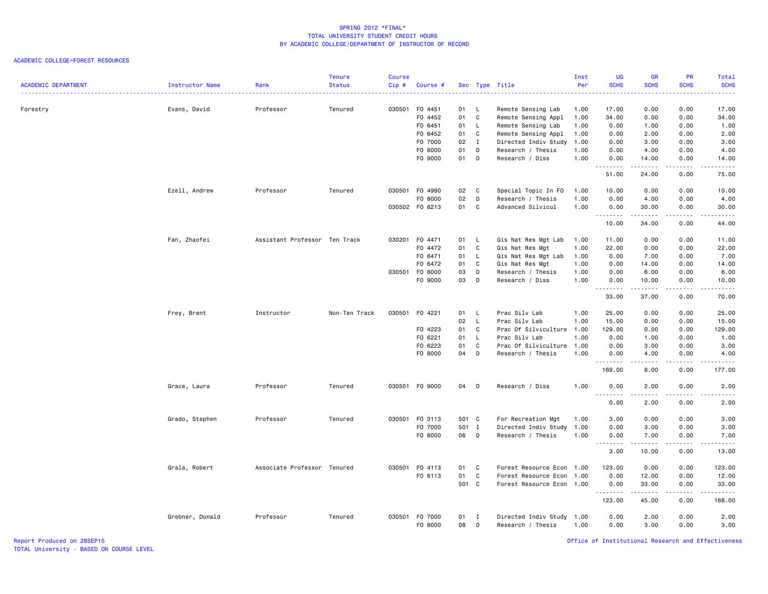#### ACADEMIC COLLEGE=FOREST RESOURCES

| <b>ACADEMIC DEPARTMENT</b> | Instructor Name | Rank                          | <b>Tenure</b><br><b>Status</b> | Course<br>Cip# | Course #       |              |              | Sec Type Title            | Inst<br>Per | <b>UG</b><br><b>SCHS</b>                                                                                                                                                                                                                                                                                                                                                                                                                                                                       | <b>GR</b><br><b>SCHS</b>                                                                                                                                      | PR<br><b>SCHS</b>                   | Total<br><b>SCHS</b>                                                                                                                                          |
|----------------------------|-----------------|-------------------------------|--------------------------------|----------------|----------------|--------------|--------------|---------------------------|-------------|------------------------------------------------------------------------------------------------------------------------------------------------------------------------------------------------------------------------------------------------------------------------------------------------------------------------------------------------------------------------------------------------------------------------------------------------------------------------------------------------|---------------------------------------------------------------------------------------------------------------------------------------------------------------|-------------------------------------|---------------------------------------------------------------------------------------------------------------------------------------------------------------|
| Forestry                   | Evans, David    | Professor                     | Tenured                        | 030501         | F0 4451        | 01 L         |              | Remote Sensing Lab        | 1.00        | 17.00                                                                                                                                                                                                                                                                                                                                                                                                                                                                                          | 0.00                                                                                                                                                          | 0.00                                | 17.00                                                                                                                                                         |
|                            |                 |                               |                                |                | F0 4452        | 01           | C            | Remote Sensing Appl       | 1.00        | 34.00                                                                                                                                                                                                                                                                                                                                                                                                                                                                                          | 0.00                                                                                                                                                          | 0.00                                | 34.00                                                                                                                                                         |
|                            |                 |                               |                                |                | F0 6451        | 01           | - L          | Remote Sensing Lab        | 1.00        | 0.00                                                                                                                                                                                                                                                                                                                                                                                                                                                                                           | 1.00                                                                                                                                                          | 0.00                                | 1.00                                                                                                                                                          |
|                            |                 |                               |                                |                | F0 6452        | 01           | C            | Remote Sensing Appl       | 1.00        | 0.00                                                                                                                                                                                                                                                                                                                                                                                                                                                                                           | 2.00                                                                                                                                                          | 0.00                                | 2.00                                                                                                                                                          |
|                            |                 |                               |                                |                | F0 7000        | 02           | $\mathbf{I}$ | Directed Indiv Study      | 1.00        | 0.00                                                                                                                                                                                                                                                                                                                                                                                                                                                                                           | 3.00                                                                                                                                                          | 0.00                                | 3.00                                                                                                                                                          |
|                            |                 |                               |                                |                | F0 8000        | 01           | D            | Research / Thesis         | 1.00        | 0.00                                                                                                                                                                                                                                                                                                                                                                                                                                                                                           | 4.00                                                                                                                                                          | 0.00                                | 4.00                                                                                                                                                          |
|                            |                 |                               |                                |                | F0 9000        | 01           | D            | Research / Diss           | 1.00        | 0.00<br>.                                                                                                                                                                                                                                                                                                                                                                                                                                                                                      | 14.00                                                                                                                                                         | 0.00<br>.                           | 14.00<br>.                                                                                                                                                    |
|                            |                 |                               |                                |                |                |              |              |                           |             | 51.00                                                                                                                                                                                                                                                                                                                                                                                                                                                                                          | 24.00                                                                                                                                                         | 0.00                                | 75.00                                                                                                                                                         |
|                            | Ezell, Andrew   | Professor                     | Tenured                        |                | 030501 F0 4990 | 02           | $\mathbf{C}$ | Special Topic In FO       | 1.00        | 10.00                                                                                                                                                                                                                                                                                                                                                                                                                                                                                          | 0.00                                                                                                                                                          | 0.00                                | 10.00                                                                                                                                                         |
|                            |                 |                               |                                |                | F0 8000        | 02           | D            | Research / Thesis         | 1.00        | 0.00                                                                                                                                                                                                                                                                                                                                                                                                                                                                                           | 4.00                                                                                                                                                          | 0.00                                | 4.00                                                                                                                                                          |
|                            |                 |                               |                                |                | 030502 F0 8213 | 01           | C            | Advanced Silvicul         | 1.00        | 0.00                                                                                                                                                                                                                                                                                                                                                                                                                                                                                           | 30.00                                                                                                                                                         | 0.00                                | 30.00                                                                                                                                                         |
|                            |                 |                               |                                |                |                |              |              |                           |             | <b></b><br>10.00                                                                                                                                                                                                                                                                                                                                                                                                                                                                               | $\frac{1}{2} \left( \frac{1}{2} \right) \left( \frac{1}{2} \right) \left( \frac{1}{2} \right) \left( \frac{1}{2} \right) \left( \frac{1}{2} \right)$<br>34.00 | $\sim$ $\sim$ $\sim$<br>0.00        | $\frac{1}{2} \left( \frac{1}{2} \right) \left( \frac{1}{2} \right) \left( \frac{1}{2} \right) \left( \frac{1}{2} \right) \left( \frac{1}{2} \right)$<br>44.00 |
|                            |                 |                               |                                |                |                |              |              |                           |             |                                                                                                                                                                                                                                                                                                                                                                                                                                                                                                |                                                                                                                                                               |                                     |                                                                                                                                                               |
|                            | Fan, Zhaofei    | Assistant Professor Ten Track |                                |                | 030201 F0 4471 | 01           | - L          | Gis Nat Res Mgt Lab       | 1.00        | 11.00                                                                                                                                                                                                                                                                                                                                                                                                                                                                                          | 0.00                                                                                                                                                          | 0.00                                | 11.00                                                                                                                                                         |
|                            |                 |                               |                                |                | F0 4472        | 01           | C            | Gis Nat Res Mgt           | 1.00        | 22.00                                                                                                                                                                                                                                                                                                                                                                                                                                                                                          | 0.00                                                                                                                                                          | 0.00                                | 22.00                                                                                                                                                         |
|                            |                 |                               |                                |                | F0 6471        | 01           | $\mathsf{L}$ | Gis Nat Res Mgt Lab       | 1.00        | 0.00                                                                                                                                                                                                                                                                                                                                                                                                                                                                                           | 7.00                                                                                                                                                          | 0.00                                | 7.00                                                                                                                                                          |
|                            |                 |                               |                                |                | F0 6472        | 01           | C            | Gis Nat Res Mgt           | 1.00        | 0.00                                                                                                                                                                                                                                                                                                                                                                                                                                                                                           | 14.00                                                                                                                                                         | 0.00                                | 14.00                                                                                                                                                         |
|                            |                 |                               |                                |                | 030501 F0 8000 | 03           | D            | Research / Thesis         | 1.00        | 0.00                                                                                                                                                                                                                                                                                                                                                                                                                                                                                           | 6.00                                                                                                                                                          | 0.00                                | 6.00                                                                                                                                                          |
|                            |                 |                               |                                |                | F0 9000        | 03           | D            | Research / Diss           | 1.00        | 0.00<br>.                                                                                                                                                                                                                                                                                                                                                                                                                                                                                      | 10.00<br>.                                                                                                                                                    | 0.00<br>$\sim$ $\sim$ $\sim$        | 10.00<br>$\frac{1}{2} \left( \frac{1}{2} \right) \left( \frac{1}{2} \right) \left( \frac{1}{2} \right) \left( \frac{1}{2} \right) \left( \frac{1}{2} \right)$ |
|                            |                 |                               |                                |                |                |              |              |                           |             | 33.00                                                                                                                                                                                                                                                                                                                                                                                                                                                                                          | 37.00                                                                                                                                                         | 0.00                                | 70.00                                                                                                                                                         |
|                            | Frey, Brent     | Instructor                    | Non-Ten Track                  | 030501         | FO 4221        | 01           | - L          | Prac Silv Lab             | 1.00        | 25.00                                                                                                                                                                                                                                                                                                                                                                                                                                                                                          | 0.00                                                                                                                                                          | 0.00                                | 25.00                                                                                                                                                         |
|                            |                 |                               |                                |                |                | 02           | $\mathsf{L}$ | Prac Silv Lab             | 1.00        | 15.00                                                                                                                                                                                                                                                                                                                                                                                                                                                                                          | 0.00                                                                                                                                                          | 0.00                                | 15.00                                                                                                                                                         |
|                            |                 |                               |                                |                | F0 4223        | 01           | C            | Prac Of Silviculture      | 1.00        | 129.00                                                                                                                                                                                                                                                                                                                                                                                                                                                                                         | 0.00                                                                                                                                                          | 0.00                                | 129.00                                                                                                                                                        |
|                            |                 |                               |                                |                | F0 6221        | 01           | L.           | Prac Silv Lab             | 1.00        | 0.00                                                                                                                                                                                                                                                                                                                                                                                                                                                                                           | 1.00                                                                                                                                                          | 0.00                                | 1.00                                                                                                                                                          |
|                            |                 |                               |                                |                | F0 6223        | 01           | C            | Prac Of Silviculture      | 1.00        | 0.00                                                                                                                                                                                                                                                                                                                                                                                                                                                                                           | 3.00                                                                                                                                                          | 0.00                                | 3.00                                                                                                                                                          |
|                            |                 |                               |                                |                | F0 8000        | 04           | D            | Research / Thesis         | 1.00        | 0.00<br><u>.</u>                                                                                                                                                                                                                                                                                                                                                                                                                                                                               | 4.00                                                                                                                                                          | 0.00                                | 4.00                                                                                                                                                          |
|                            |                 |                               |                                |                |                |              |              |                           |             | 169.00                                                                                                                                                                                                                                                                                                                                                                                                                                                                                         | 8.00                                                                                                                                                          | 0.00                                | 177.00                                                                                                                                                        |
|                            | Grace, Laura    | Professor                     | Tenured                        |                | 030501 F0 9000 | 04           | D            | Research / Diss           | 1.00        | 0.00                                                                                                                                                                                                                                                                                                                                                                                                                                                                                           | 2.00                                                                                                                                                          | 0.00                                | 2.00                                                                                                                                                          |
|                            |                 |                               |                                |                |                |              |              |                           |             | .<br>0.00                                                                                                                                                                                                                                                                                                                                                                                                                                                                                      | .<br>2.00                                                                                                                                                     | $\sim$ $\sim$ $\sim$ $\sim$<br>0.00 | .<br>2.00                                                                                                                                                     |
|                            | Grado, Stephen  | Professor                     | Tenured                        | 030501         | FO 3113        | 501 C        |              | For Recreation Mgt        | 1.00        | 3.00                                                                                                                                                                                                                                                                                                                                                                                                                                                                                           | 0.00                                                                                                                                                          | 0.00                                | 3.00                                                                                                                                                          |
|                            |                 |                               |                                |                | F0 7000        | 501 I        |              | Directed Indiv Study      | 1.00        | 0.00                                                                                                                                                                                                                                                                                                                                                                                                                                                                                           | 3.00                                                                                                                                                          | 0.00                                | 3.00                                                                                                                                                          |
|                            |                 |                               |                                |                | F0 8000        | 06           | D            | Research / Thesis         | 1.00        | 0.00                                                                                                                                                                                                                                                                                                                                                                                                                                                                                           | 7.00                                                                                                                                                          | 0.00                                | 7.00                                                                                                                                                          |
|                            |                 |                               |                                |                |                |              |              |                           |             | $\begin{array}{cccccccccccccc} \multicolumn{2}{c}{} & \multicolumn{2}{c}{} & \multicolumn{2}{c}{} & \multicolumn{2}{c}{} & \multicolumn{2}{c}{} & \multicolumn{2}{c}{} & \multicolumn{2}{c}{} & \multicolumn{2}{c}{} & \multicolumn{2}{c}{} & \multicolumn{2}{c}{} & \multicolumn{2}{c}{} & \multicolumn{2}{c}{} & \multicolumn{2}{c}{} & \multicolumn{2}{c}{} & \multicolumn{2}{c}{} & \multicolumn{2}{c}{} & \multicolumn{2}{c}{} & \multicolumn{2}{c}{} & \multicolumn{2}{c}{} & \$<br>3.00 | .<br>10.00                                                                                                                                                    | .<br>0.00                           | وبالمحام<br>13.00                                                                                                                                             |
|                            |                 |                               |                                |                |                |              |              |                           |             |                                                                                                                                                                                                                                                                                                                                                                                                                                                                                                |                                                                                                                                                               |                                     |                                                                                                                                                               |
|                            | Grala, Robert   | Associate Professor Tenured   |                                |                | 030501 F0 4113 | 01           | C            | Forest Resource Econ      | 1.00        | 123.00                                                                                                                                                                                                                                                                                                                                                                                                                                                                                         | 0.00                                                                                                                                                          | 0.00                                | 123.00                                                                                                                                                        |
|                            |                 |                               |                                |                | F0 6113        | 01           | C            | Forest Resource Econ      | 1.00        | 0.00                                                                                                                                                                                                                                                                                                                                                                                                                                                                                           | 12.00                                                                                                                                                         | 0.00                                | 12.00                                                                                                                                                         |
|                            |                 |                               |                                |                |                | 501 C        |              | Forest Resource Econ 1.00 |             | 0.00<br>.                                                                                                                                                                                                                                                                                                                                                                                                                                                                                      | 33.00<br>.                                                                                                                                                    | 0.00<br>.                           | 33.00<br><u>.</u>                                                                                                                                             |
|                            |                 |                               |                                |                |                |              |              |                           |             | 123.00                                                                                                                                                                                                                                                                                                                                                                                                                                                                                         | 45.00                                                                                                                                                         | 0.00                                | 168.00                                                                                                                                                        |
|                            | Grebner, Donald | Professor                     | Tenured                        |                | 030501 FO 7000 | $01 \quad I$ |              | Directed Indiv Study      | 1.00        | 0.00                                                                                                                                                                                                                                                                                                                                                                                                                                                                                           | 2.00                                                                                                                                                          | 0.00                                | 2.00                                                                                                                                                          |
|                            |                 |                               |                                |                | F0 8000        | 08           | D            | Research / Thesis         | 1.00        | 0.00                                                                                                                                                                                                                                                                                                                                                                                                                                                                                           | 3.00                                                                                                                                                          | 0.00                                | 3.00                                                                                                                                                          |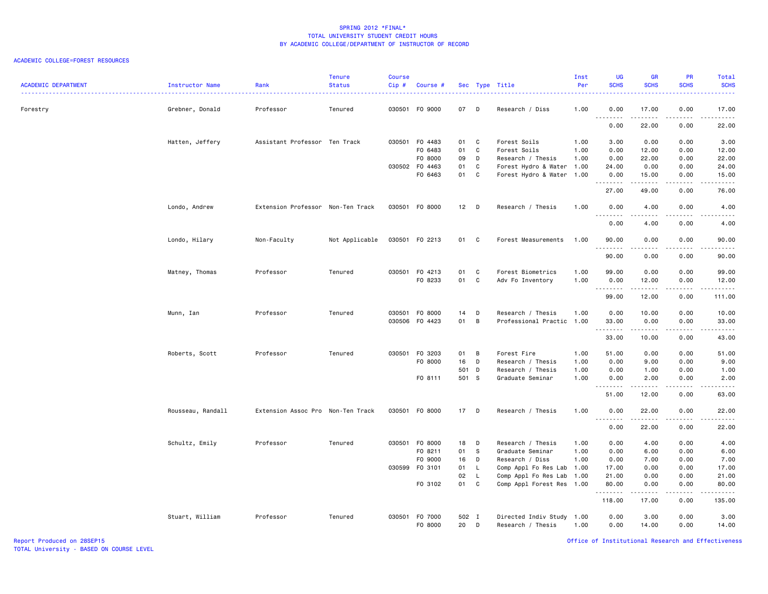#### ACADEMIC COLLEGE=FOREST RESOURCES

| <b>ACADEMIC DEPARTMENT</b> | Instructor Name   | Rank                              | <b>Tenure</b><br><b>Status</b> | Course<br>Cip# | Course #       |        |                | Sec Type Title            | Inst<br>Per | <b>UG</b><br><b>SCHS</b> | <b>GR</b><br><b>SCHS</b> | PR<br><b>SCHS</b>            | Total<br><b>SCHS</b>                                                                                                                                          |
|----------------------------|-------------------|-----------------------------------|--------------------------------|----------------|----------------|--------|----------------|---------------------------|-------------|--------------------------|--------------------------|------------------------------|---------------------------------------------------------------------------------------------------------------------------------------------------------------|
| Forestry                   | Grebner, Donald   | Professor                         | Tenured                        |                | 030501 F0 9000 | 07 D   |                | Research / Diss           | 1.00        | 0.00                     | 17.00                    | 0.00<br>.                    | 17.00<br>$\frac{1}{2}$                                                                                                                                        |
|                            |                   |                                   |                                |                |                |        |                |                           |             | 0.00                     | 22.00                    | 0.00                         | 22.00                                                                                                                                                         |
|                            | Hatten, Jeffery   | Assistant Professor Ten Track     |                                |                | 030501 F0 4483 | 01     | $\mathbf{C}$   | Forest Soils              | 1.00        | 3.00                     | 0.00                     | 0.00                         | 3.00                                                                                                                                                          |
|                            |                   |                                   |                                |                | F0 6483        | 01     | C              | Forest Soils              | 1.00        | 0.00                     | 12.00                    | 0.00                         | 12.00                                                                                                                                                         |
|                            |                   |                                   |                                |                | F0 8000        | 09     | D              | Research / Thesis         | 1.00        | 0.00                     | 22.00                    | 0.00                         | 22.00                                                                                                                                                         |
|                            |                   |                                   |                                |                | 030502 F0 4463 | 01     | C              | Forest Hydro & Water 1.00 |             | 24.00                    | 0.00                     | 0.00                         | 24.00                                                                                                                                                         |
|                            |                   |                                   |                                |                | F0 6463        | 01 C   |                | Forest Hydro & Water      | 1.00        | 0.00<br>.                | 15.00<br>.               | 0.00<br>.                    | 15.00<br>د د د د د                                                                                                                                            |
|                            |                   |                                   |                                |                |                |        |                |                           |             | 27.00                    | 49.00                    | 0.00                         | 76.00                                                                                                                                                         |
|                            | Londo, Andrew     | Extension Professor Non-Ten Track |                                |                | 030501 F0 8000 | $12$ D |                | Research / Thesis         | 1.00        | 0.00                     | 4.00<br>.                | 0.00<br>$\sim$ $\sim$ $\sim$ | 4.00<br>.                                                                                                                                                     |
|                            |                   |                                   |                                |                |                |        |                |                           |             | 0.00                     | 4.00                     | 0.00                         | 4.00                                                                                                                                                          |
|                            | Londo, Hilary     | Non-Faculty                       | Not Applicable                 |                | 030501 F0 2213 | 01 C   |                | Forest Measurements       | 1.00        | 90.00<br>.               | 0.00<br>.                | 0.00<br>.                    | 90.00<br>د د د د د                                                                                                                                            |
|                            |                   |                                   |                                |                |                |        |                |                           |             | 90.00                    | 0.00                     | 0.00                         | 90.00                                                                                                                                                         |
|                            | Matney, Thomas    | Professor                         | Tenured                        |                | 030501 F0 4213 | 01     | $\mathbf{C}$   | Forest Biometrics         | 1.00        | 99.00                    | 0.00                     | 0.00                         | 99.00                                                                                                                                                         |
|                            |                   |                                   |                                |                | F0 8233        | 01 C   |                | Adv Fo Inventory          | 1.00        | 0.00                     | 12.00                    | 0.00                         | 12.00                                                                                                                                                         |
|                            |                   |                                   |                                |                |                |        |                |                           |             | .                        | .                        | .                            | .                                                                                                                                                             |
|                            |                   |                                   |                                |                |                |        |                |                           |             | 99.00                    | 12.00                    | 0.00                         | 111.00                                                                                                                                                        |
|                            | Munn, Ian         | Professor                         | Tenured                        |                | 030501 F0 8000 | 14     | D              | Research / Thesis         | 1.00        | 0.00                     | 10.00                    | 0.00                         | 10.00                                                                                                                                                         |
|                            |                   |                                   |                                |                | 030506 F0 4423 | 01     | $\overline{B}$ | Professional Practic      | 1.00        | 33.00                    | 0.00                     | 0.00                         | 33.00                                                                                                                                                         |
|                            |                   |                                   |                                |                |                |        |                |                           |             | .                        | .                        | .                            | د د د د د                                                                                                                                                     |
|                            |                   |                                   |                                |                |                |        |                |                           |             | 33.00                    | 10.00                    | 0.00                         | 43.00                                                                                                                                                         |
|                            | Roberts, Scott    | Professor                         | Tenured                        |                | 030501 F0 3203 | 01     | $\overline{B}$ | Forest Fire               | 1.00        | 51.00                    | 0.00                     | 0.00                         | 51.00                                                                                                                                                         |
|                            |                   |                                   |                                |                | F0 8000        | 16     | D              | Research / Thesis         | 1.00        | 0.00                     | 9.00                     | 0.00                         | 9.00                                                                                                                                                          |
|                            |                   |                                   |                                |                |                | 501 D  |                | Research / Thesis         | 1.00        | 0.00                     | 1.00                     | 0.00                         | 1.00                                                                                                                                                          |
|                            |                   |                                   |                                |                | FO 8111        | 501 S  |                | Graduate Seminar          | 1.00        | 0.00                     | 2.00                     | 0.00                         | 2.00                                                                                                                                                          |
|                            |                   |                                   |                                |                |                |        |                |                           |             | <u>.</u><br>51.00        | -----<br>12.00           | .<br>0.00                    | -----<br>63.00                                                                                                                                                |
|                            | Rousseau, Randall | Extension Assoc Pro Non-Ten Track |                                |                | 030501 FO 8000 | $17$ D |                | Research / Thesis         | 1.00        | 0.00                     | 22.00                    | 0.00                         | 22.00                                                                                                                                                         |
|                            |                   |                                   |                                |                |                |        |                |                           |             | <u>.</u><br>0.00         | .<br>22.00               | .<br>0.00                    | $\frac{1}{2} \left( \frac{1}{2} \right) \left( \frac{1}{2} \right) \left( \frac{1}{2} \right) \left( \frac{1}{2} \right) \left( \frac{1}{2} \right)$<br>22.00 |
|                            | Schultz, Emily    | Professor                         | Tenured                        |                | 030501 F0 8000 | 18     | $\mathsf{D}$   | Research / Thesis         | 1.00        | 0.00                     | 4.00                     | 0.00                         | 4.00                                                                                                                                                          |
|                            |                   |                                   |                                |                | F0 8211        | 01     | s.             | Graduate Seminar          | 1.00        | 0.00                     | 6.00                     | 0.00                         | 6.00                                                                                                                                                          |
|                            |                   |                                   |                                |                | F0 9000        | 16     | $\mathsf{D}$   | Research / Diss           | 1.00        | 0.00                     | 7.00                     | 0.00                         | 7.00                                                                                                                                                          |
|                            |                   |                                   |                                |                | 030599 F0 3101 | 01     | L.             | Comp Appl Fo Res Lab      | 1.00        | 17.00                    | 0.00                     | 0.00                         | 17.00                                                                                                                                                         |
|                            |                   |                                   |                                |                |                | 02     | - L            | Comp Appl Fo Res Lab      | 1.00        | 21.00                    | 0.00                     | 0.00                         | 21.00                                                                                                                                                         |
|                            |                   |                                   |                                |                | F0 3102        | 01 C   |                | Comp Appl Forest Res 1.00 |             | 80.00<br>.               | 0.00<br>.                | 0.00<br>.                    | 80.00<br>.                                                                                                                                                    |
|                            |                   |                                   |                                |                |                |        |                |                           |             | 118.00                   | 17.00                    | 0.00                         | 135.00                                                                                                                                                        |
|                            | Stuart, William   | Professor                         | Tenured                        |                | 030501 F0 7000 | 502 I  |                | Directed Indiv Study 1.00 |             | 0.00                     | 3.00                     | 0.00                         | 3.00                                                                                                                                                          |
|                            |                   |                                   |                                |                | F0 8000        | 20     | D              | Research / Thesis         | 1.00        | 0.00                     | 14.00                    | 0.00                         | 14.00                                                                                                                                                         |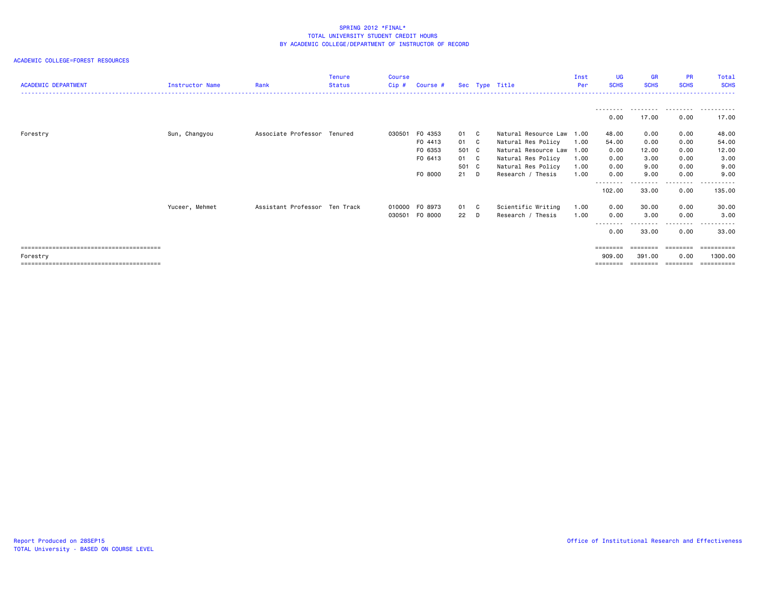ACADEMIC COLLEGE=FOREST RESOURCES

| <b>ACADEMIC DEPARTMENT</b> | Instructor Name | Rank                          | <b>Tenure</b><br><b>Status</b> | <b>Course</b><br>Cip# | Course #       |       |    | Sec Type Title            | Inst<br>Per | <b>UG</b><br><b>SCHS</b> | <b>GR</b><br><b>SCHS</b> | <b>PR</b><br><b>SCHS</b> | Total<br><b>SCHS</b> |
|----------------------------|-----------------|-------------------------------|--------------------------------|-----------------------|----------------|-------|----|---------------------------|-------------|--------------------------|--------------------------|--------------------------|----------------------|
|                            |                 |                               |                                |                       |                |       |    |                           |             |                          |                          |                          |                      |
|                            |                 |                               |                                |                       |                |       |    |                           |             | 0.00                     | 17.00                    | 0.00                     | 17.00                |
| Forestry                   | Sun, Changyou   | Associate Professor Tenured   |                                | 030501                | F0 4353        | 01 C  |    | Natural Resource Law 1.00 |             | 48.00                    | 0.00                     | 0.00                     | 48.00                |
|                            |                 |                               |                                |                       | F0 4413        | 01 C  |    | Natural Res Policy        | 1.00        | 54.00                    | 0.00                     | 0.00                     | 54.00                |
|                            |                 |                               |                                |                       | F0 6353        | 501 C |    | Natural Resource Law 1.00 |             | 0.00                     | 12.00                    | 0.00                     | 12.00                |
|                            |                 |                               |                                |                       | F0 6413        | 01 C  |    | Natural Res Policy        | 1.00        | 0.00                     | 3.00                     | 0.00                     | 3.00                 |
|                            |                 |                               |                                |                       |                | 501 C |    | Natural Res Policy        | 1.00        | 0.00                     | 9.00                     | 0.00                     | 9.00                 |
|                            |                 |                               |                                |                       | F0 8000        | 21    | D. | Research / Thesis         | 1.00        | 0.00                     | 9.00                     | 0.00                     | 9.00                 |
|                            |                 |                               |                                |                       |                |       |    |                           |             | 102.00                   | 33.00                    | .<br>0.00                | 135.00               |
|                            | Yuceer, Mehmet  | Assistant Professor Ten Track |                                | 010000                | FO 8973        | 01 C  |    | Scientific Writing        | 1.00        | 0.00                     | 30.00                    | 0.00                     | 30.00                |
|                            |                 |                               |                                |                       | 030501 F0 8000 | 22 D  |    | Research / Thesis         | 1.00        | 0.00                     | 3.00                     | 0.00                     | 3.00                 |
|                            |                 |                               |                                |                       |                |       |    |                           |             | --------                 |                          | ----                     |                      |
|                            |                 |                               |                                |                       |                |       |    |                           |             | 0.00                     | 33.00                    | 0.00                     | 33.00                |
|                            |                 |                               |                                |                       |                |       |    |                           |             | ========                 |                          |                          | =======              |
| Forestry                   |                 |                               |                                |                       |                |       |    |                           |             | 909.00                   | 391,00                   | 0.00                     | 1300.00              |
|                            |                 |                               |                                |                       |                |       |    |                           |             |                          |                          |                          | ==========           |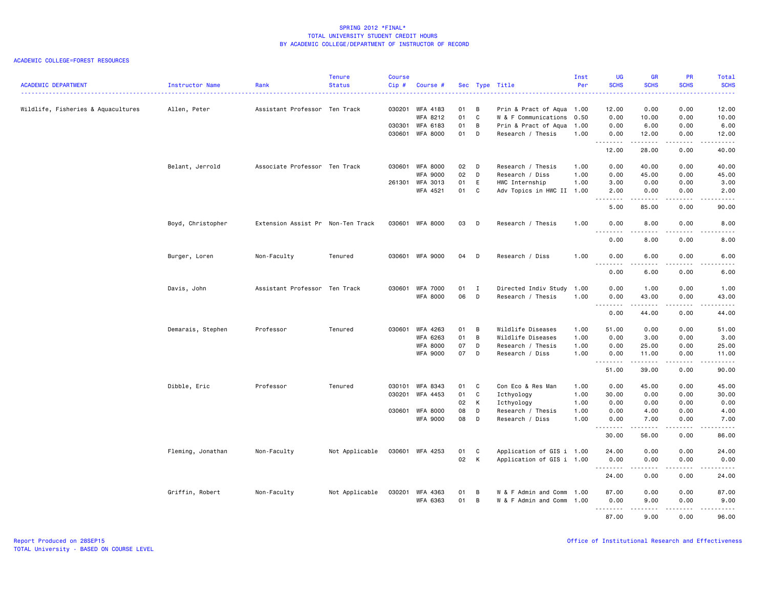#### ACADEMIC COLLEGE=FOREST RESOURCES

| <b>ACADEMIC DEPARTMENT</b>         | Instructor Name   | Rank                              | <b>Tenure</b><br><b>Status</b> | <b>Course</b><br>Cip# | Course #        |    |              | Sec Type Title            | Inst<br>Per | <b>UG</b><br><b>SCHS</b> | <b>GR</b><br><b>SCHS</b> | PR<br><b>SCHS</b>                                                                                                                 | Total<br><b>SCHS</b>                                                                                                                                 |
|------------------------------------|-------------------|-----------------------------------|--------------------------------|-----------------------|-----------------|----|--------------|---------------------------|-------------|--------------------------|--------------------------|-----------------------------------------------------------------------------------------------------------------------------------|------------------------------------------------------------------------------------------------------------------------------------------------------|
|                                    |                   |                                   |                                |                       |                 |    |              |                           |             |                          |                          |                                                                                                                                   | 22222                                                                                                                                                |
| Wildlife, Fisheries & Aquacultures | Allen, Peter      | Assistant Professor Ten Track     |                                | 030201                | WFA 4183        | 01 | B            | Prin & Pract of Aqua 1.00 |             | 12.00                    | 0.00                     | 0.00                                                                                                                              | 12.00                                                                                                                                                |
|                                    |                   |                                   |                                |                       | WFA 8212        | 01 | C            | W & F Communications      | 0.50        | 0.00                     | 10.00                    | 0.00                                                                                                                              | 10.00                                                                                                                                                |
|                                    |                   |                                   |                                | 030301                | WFA 6183        | 01 | B            | Prin & Pract of Aqua      | 1.00        | 0.00                     | 6.00                     | 0.00                                                                                                                              | 6.00                                                                                                                                                 |
|                                    |                   |                                   |                                | 030601                | <b>WFA 8000</b> | 01 | D            | Research / Thesis         | 1.00        | 0.00<br><u>.</u>         | 12.00<br>.               | 0.00<br>.                                                                                                                         | 12.00<br>د د د د د                                                                                                                                   |
|                                    |                   |                                   |                                |                       |                 |    |              |                           |             | 12.00                    | 28.00                    | 0.00                                                                                                                              | 40.00                                                                                                                                                |
|                                    | Belant, Jerrold   | Associate Professor Ten Track     |                                | 030601                | WFA 8000        | 02 | D            | Research / Thesis         | 1.00        | 0.00                     | 40.00                    | 0.00                                                                                                                              | 40.00                                                                                                                                                |
|                                    |                   |                                   |                                |                       | <b>WFA 9000</b> | 02 | D            | Research / Diss           | 1.00        | 0.00                     | 45.00                    | 0.00                                                                                                                              | 45.00                                                                                                                                                |
|                                    |                   |                                   |                                |                       | 261301 WFA 3013 | 01 | $\mathsf E$  | HWC Internship            | 1.00        | 3.00                     | 0.00                     | 0.00                                                                                                                              | 3.00                                                                                                                                                 |
|                                    |                   |                                   |                                |                       | WFA 4521        | 01 | $\mathbf{C}$ | Adv Topics in HWC II 1.00 |             | 2.00                     | 0.00                     | 0.00                                                                                                                              | 2.00                                                                                                                                                 |
|                                    |                   |                                   |                                |                       |                 |    |              |                           |             | .<br>5.00                | 85.00                    | 0.00                                                                                                                              | .<br>90.00                                                                                                                                           |
|                                    | Boyd, Christopher | Extension Assist Pr Non-Ten Track |                                |                       | 030601 WFA 8000 | 03 | D            | Research / Thesis         | 1.00        | 0.00                     | 8.00                     | 0.00                                                                                                                              | 8.00                                                                                                                                                 |
|                                    |                   |                                   |                                |                       |                 |    |              |                           |             | .<br>0.00                | .<br>8.00                | ----<br>0.00                                                                                                                      | .<br>8.00                                                                                                                                            |
|                                    | Burger, Loren     | Non-Faculty                       | Tenured                        | 030601                | WFA 9000        | 04 | D            | Research / Diss           | 1.00        | 0.00<br><u>.</u>         | 6.00                     | 0.00                                                                                                                              | 6.00<br>.                                                                                                                                            |
|                                    |                   |                                   |                                |                       |                 |    |              |                           |             | 0.00                     | 6.00                     | 0.00                                                                                                                              | 6.00                                                                                                                                                 |
|                                    | Davis, John       | Assistant Professor Ten Track     |                                | 030601                | WFA 7000        | 01 | I            | Directed Indiv Study      | 1.00        | 0.00                     | 1.00                     | 0.00                                                                                                                              | 1.00                                                                                                                                                 |
|                                    |                   |                                   |                                |                       | <b>WFA 8000</b> | 06 | D            | Research / Thesis         | 1.00        | 0.00<br>.                | 43.00<br>.               | 0.00<br>.                                                                                                                         | 43.00<br>.                                                                                                                                           |
|                                    |                   |                                   |                                |                       |                 |    |              |                           |             | 0.00                     | 44.00                    | 0.00                                                                                                                              | 44.00                                                                                                                                                |
|                                    | Demarais, Stephen | Professor                         | Tenured                        | 030601                | WFA 4263        | 01 | B            | Wildlife Diseases         | 1.00        | 51.00                    | 0.00                     | 0.00                                                                                                                              | 51.00                                                                                                                                                |
|                                    |                   |                                   |                                |                       | WFA 6263        | 01 | B            | Wildlife Diseases         | 1.00        | 0.00                     | 3.00                     | 0.00                                                                                                                              | 3.00                                                                                                                                                 |
|                                    |                   |                                   |                                |                       | WFA 8000        | 07 | D            | Research / Thesis         | 1.00        | 0.00                     | 25.00                    | 0.00                                                                                                                              | 25.00                                                                                                                                                |
|                                    |                   |                                   |                                |                       | <b>WFA 9000</b> | 07 | D            | Research / Diss           | 1.00        | 0.00                     | 11.00                    | 0.00                                                                                                                              | 11.00                                                                                                                                                |
|                                    |                   |                                   |                                |                       |                 |    |              |                           |             | <u>.</u><br>51.00        | .<br>39.00               | .<br>0.00                                                                                                                         | .<br>90.00                                                                                                                                           |
|                                    | Dibble, Eric      | Professor                         | Tenured                        | 030101                | WFA 8343        | 01 | C            | Con Eco & Res Man         | 1.00        | 0.00                     | 45.00                    | 0.00                                                                                                                              | 45.00                                                                                                                                                |
|                                    |                   |                                   |                                | 030201                | WFA 4453        | 01 | C            | Icthyology                | 1.00        | 30.00                    | 0.00                     | 0.00                                                                                                                              | 30.00                                                                                                                                                |
|                                    |                   |                                   |                                |                       |                 | 02 | К            | Icthyology                | 1.00        | 0.00                     | 0.00                     | 0.00                                                                                                                              | 0.00                                                                                                                                                 |
|                                    |                   |                                   |                                |                       | 030601 WFA 8000 | 08 | D            | Research / Thesis         | 1.00        | 0.00                     | 4.00                     | 0.00                                                                                                                              | 4.00                                                                                                                                                 |
|                                    |                   |                                   |                                |                       | <b>WFA 9000</b> | 08 | D            | Research / Diss           | 1.00        | 0.00                     | 7.00                     | 0.00                                                                                                                              | 7.00                                                                                                                                                 |
|                                    |                   |                                   |                                |                       |                 |    |              |                           |             | .<br>30.00               | 56.00                    | .<br>0.00                                                                                                                         | .<br>86.00                                                                                                                                           |
|                                    | Fleming, Jonathan | Non-Faculty                       | Not Applicable                 |                       | 030601 WFA 4253 | 01 | C            | Application of GIS i 1.00 |             | 24.00                    | 0.00                     | 0.00                                                                                                                              | 24.00                                                                                                                                                |
|                                    |                   |                                   |                                |                       |                 | 02 | K            | Application of GIS i 1.00 |             | 0.00                     | 0.00                     | 0.00                                                                                                                              | 0.00                                                                                                                                                 |
|                                    |                   |                                   |                                |                       |                 |    |              |                           |             | <u>.</u>                 | .                        | .                                                                                                                                 | $\frac{1}{2} \left( \frac{1}{2} \right) \left( \frac{1}{2} \right) \left( \frac{1}{2} \right) \left( \frac{1}{2} \right) \left( \frac{1}{2} \right)$ |
|                                    |                   |                                   |                                |                       |                 |    |              |                           |             | 24.00                    | 0.00                     | 0.00                                                                                                                              | 24.00                                                                                                                                                |
|                                    | Griffin, Robert   | Non-Faculty                       | Not Applicable                 | 030201                | WFA 4363        | 01 | B            | W & F Admin and Comm      | 1.00        | 87.00                    | 0.00                     | 0.00                                                                                                                              | 87.00                                                                                                                                                |
|                                    |                   |                                   |                                |                       | <b>WFA 6363</b> | 01 | B            | W & F Admin and Comm      | 1.00        | 0.00<br>.                | 9.00<br>.                | 0.00<br>$\frac{1}{2} \left( \frac{1}{2} \right) \left( \frac{1}{2} \right) \left( \frac{1}{2} \right) \left( \frac{1}{2} \right)$ | 9.00<br>.                                                                                                                                            |
|                                    |                   |                                   |                                |                       |                 |    |              |                           |             | 87.00                    | 9.00                     | 0.00                                                                                                                              | 96.00                                                                                                                                                |

Report Produced on 28SEP15 Office of Institutional Research and Effectiveness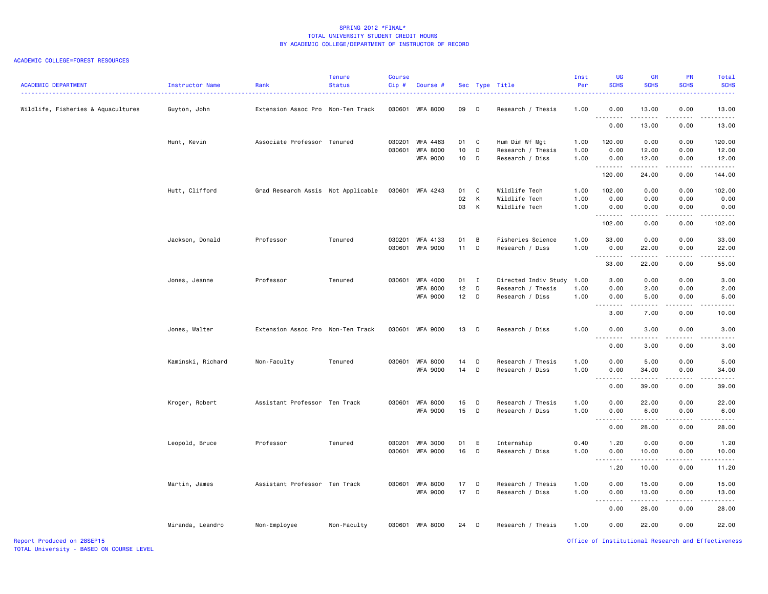#### ACADEMIC COLLEGE=FOREST RESOURCES

| <b>ACADEMIC DEPARTMENT</b>         | Instructor Name<br><u>.</u> | Rank                               | <b>Tenure</b><br><b>Status</b> | <b>Course</b><br>Cip# | Course #                           |              |                | Sec Type Title                       | Inst<br>Per  | <b>UG</b><br><b>SCHS</b>                                                                                                                                                                                                                                                                                                                                                                                                                                                                        | <b>GR</b><br><b>SCHS</b>                                                                                                                                      | <b>PR</b><br><b>SCHS</b>         | Total<br><b>SCHS</b>                                                                                                                                          |
|------------------------------------|-----------------------------|------------------------------------|--------------------------------|-----------------------|------------------------------------|--------------|----------------|--------------------------------------|--------------|-------------------------------------------------------------------------------------------------------------------------------------------------------------------------------------------------------------------------------------------------------------------------------------------------------------------------------------------------------------------------------------------------------------------------------------------------------------------------------------------------|---------------------------------------------------------------------------------------------------------------------------------------------------------------|----------------------------------|---------------------------------------------------------------------------------------------------------------------------------------------------------------|
| Wildlife, Fisheries & Aquacultures | Guyton, John                | Extension Assoc Pro Non-Ten Track  |                                |                       | 030601 WFA 8000                    | 09           | D              | Research / Thesis                    | 1.00         | 0.00<br>.                                                                                                                                                                                                                                                                                                                                                                                                                                                                                       | 13.00<br>.                                                                                                                                                    | 0.00<br>.                        | 13.00<br>.                                                                                                                                                    |
|                                    |                             |                                    |                                |                       |                                    |              |                |                                      |              | 0.00                                                                                                                                                                                                                                                                                                                                                                                                                                                                                            | 13.00                                                                                                                                                         | 0.00                             | 13.00                                                                                                                                                         |
|                                    | Hunt, Kevin                 | Associate Professor Tenured        |                                |                       | 030201 WFA 4463                    | 01 C         |                | Hum Dim Wf Mgt                       | 1.00         | 120.00                                                                                                                                                                                                                                                                                                                                                                                                                                                                                          | 0.00                                                                                                                                                          | 0.00                             | 120.00                                                                                                                                                        |
|                                    |                             |                                    |                                | 030601                | <b>WFA 8000</b><br><b>WFA 9000</b> | 10<br>10     | D<br>D         | Research / Thesis<br>Research / Diss | 1.00<br>1.00 | 0.00<br>0.00                                                                                                                                                                                                                                                                                                                                                                                                                                                                                    | 12.00<br>12.00                                                                                                                                                | 0.00<br>0.00                     | 12.00<br>12.00                                                                                                                                                |
|                                    |                             |                                    |                                |                       |                                    |              |                |                                      |              | 120.00                                                                                                                                                                                                                                                                                                                                                                                                                                                                                          | .<br>24.00                                                                                                                                                    | .<br>0.00                        | .<br>144.00                                                                                                                                                   |
|                                    |                             | Grad Research Assis Not Applicable |                                |                       | 030601 WFA 4243                    | 01           | C              | Wildlife Tech                        | 1.00         | 102.00                                                                                                                                                                                                                                                                                                                                                                                                                                                                                          | 0.00                                                                                                                                                          | 0.00                             | 102.00                                                                                                                                                        |
|                                    | Hutt, Clifford              |                                    |                                |                       |                                    | 02           | K              | Wildlife Tech                        | 1.00         | 0.00                                                                                                                                                                                                                                                                                                                                                                                                                                                                                            | 0.00                                                                                                                                                          | 0.00                             | 0.00                                                                                                                                                          |
|                                    |                             |                                    |                                |                       |                                    | 03           | K              | Wildlife Tech                        | 1.00         | 0.00                                                                                                                                                                                                                                                                                                                                                                                                                                                                                            | 0.00                                                                                                                                                          | 0.00                             | 0.00                                                                                                                                                          |
|                                    |                             |                                    |                                |                       |                                    |              |                |                                      |              | .<br>102.00                                                                                                                                                                                                                                                                                                                                                                                                                                                                                     | 0.00                                                                                                                                                          | .<br>0.00                        | .<br>102.00                                                                                                                                                   |
|                                    | Jackson, Donald             | Professor                          | Tenured                        |                       | 030201 WFA 4133                    | 01           | B              | Fisheries Science                    | 1.00         | 33.00                                                                                                                                                                                                                                                                                                                                                                                                                                                                                           | 0.00                                                                                                                                                          | 0.00                             | 33.00                                                                                                                                                         |
|                                    |                             |                                    |                                |                       | 030601 WFA 9000                    | $11$ D       |                | Research / Diss                      | 1.00         | 0.00                                                                                                                                                                                                                                                                                                                                                                                                                                                                                            | 22.00                                                                                                                                                         | 0.00                             | 22.00                                                                                                                                                         |
|                                    |                             |                                    |                                |                       |                                    |              |                |                                      |              | $\begin{array}{cccccccccccccc} \multicolumn{2}{c}{} & \multicolumn{2}{c}{} & \multicolumn{2}{c}{} & \multicolumn{2}{c}{} & \multicolumn{2}{c}{} & \multicolumn{2}{c}{} & \multicolumn{2}{c}{} & \multicolumn{2}{c}{} & \multicolumn{2}{c}{} & \multicolumn{2}{c}{} & \multicolumn{2}{c}{} & \multicolumn{2}{c}{} & \multicolumn{2}{c}{} & \multicolumn{2}{c}{} & \multicolumn{2}{c}{} & \multicolumn{2}{c}{} & \multicolumn{2}{c}{} & \multicolumn{2}{c}{} & \multicolumn{2}{c}{} & \$<br>33.00 | .<br>22.00                                                                                                                                                    | .<br>0.00                        | .<br>55.00                                                                                                                                                    |
|                                    | Jones, Jeanne               | Professor                          | Tenured                        |                       | 030601 WFA 4000                    | 01           | $\blacksquare$ | Directed Indiv Study                 | 1.00         | 3.00                                                                                                                                                                                                                                                                                                                                                                                                                                                                                            | 0.00                                                                                                                                                          | 0.00                             | 3.00                                                                                                                                                          |
|                                    |                             |                                    |                                |                       | <b>WFA 8000</b>                    | 12           | D              | Research / Thesis                    | 1.00         | 0.00                                                                                                                                                                                                                                                                                                                                                                                                                                                                                            | 2.00                                                                                                                                                          | 0.00                             | 2.00                                                                                                                                                          |
|                                    |                             |                                    |                                |                       | <b>WFA 9000</b>                    | $12$ D       |                | Research / Diss                      | 1.00         | 0.00<br>.                                                                                                                                                                                                                                                                                                                                                                                                                                                                                       | 5.00<br>.                                                                                                                                                     | 0.00<br>.                        | 5.00<br><b>.</b>                                                                                                                                              |
|                                    |                             |                                    |                                |                       |                                    |              |                |                                      |              | 3.00                                                                                                                                                                                                                                                                                                                                                                                                                                                                                            | 7.00                                                                                                                                                          | 0.00                             | 10.00                                                                                                                                                         |
|                                    | Jones, Walter               | Extension Assoc Pro Non-Ten Track  |                                |                       | 030601 WFA 9000                    | 13           | D              | Research / Diss                      | 1.00         | 0.00<br>.                                                                                                                                                                                                                                                                                                                                                                                                                                                                                       | 3.00<br>.                                                                                                                                                     | 0.00<br>الدامات ب                | 3,00<br>22222                                                                                                                                                 |
|                                    |                             |                                    |                                |                       |                                    |              |                |                                      |              | 0.00                                                                                                                                                                                                                                                                                                                                                                                                                                                                                            | 3.00                                                                                                                                                          | 0.00                             | 3.00                                                                                                                                                          |
|                                    | Kaminski, Richard           | Non-Faculty                        | Tenured                        |                       | 030601 WFA 8000                    | 14           | D              | Research / Thesis                    | 1.00         | 0.00                                                                                                                                                                                                                                                                                                                                                                                                                                                                                            | 5.00                                                                                                                                                          | 0.00                             | 5.00                                                                                                                                                          |
|                                    |                             |                                    |                                |                       | <b>WFA 9000</b>                    | 14           | $\Box$         | Research / Diss                      | 1.00         | 0.00                                                                                                                                                                                                                                                                                                                                                                                                                                                                                            | 34.00                                                                                                                                                         | 0.00                             | 34.00                                                                                                                                                         |
|                                    |                             |                                    |                                |                       |                                    |              |                |                                      |              | 0.00                                                                                                                                                                                                                                                                                                                                                                                                                                                                                            | المتمامين<br>39.00                                                                                                                                            | د د د د<br>0.00                  | $\frac{1}{2} \left( \frac{1}{2} \right) \left( \frac{1}{2} \right) \left( \frac{1}{2} \right) \left( \frac{1}{2} \right) \left( \frac{1}{2} \right)$<br>39.00 |
|                                    | Kroger, Robert              | Assistant Professor Ten Track      |                                |                       | 030601 WFA 8000                    | 15           | D              | Research / Thesis                    | 1.00         | 0.00                                                                                                                                                                                                                                                                                                                                                                                                                                                                                            | 22.00                                                                                                                                                         | 0.00                             | 22.00                                                                                                                                                         |
|                                    |                             |                                    |                                |                       | <b>WFA 9000</b>                    | 15           | D              | Research / Diss                      | 1.00         | 0.00                                                                                                                                                                                                                                                                                                                                                                                                                                                                                            | 6.00                                                                                                                                                          | 0.00                             | 6.00                                                                                                                                                          |
|                                    |                             |                                    |                                |                       |                                    |              |                |                                      |              | .<br>0.00                                                                                                                                                                                                                                                                                                                                                                                                                                                                                       | -----<br>28.00                                                                                                                                                | $\omega = \omega/\omega$<br>0.00 | .<br>28.00                                                                                                                                                    |
|                                    | Leopold, Bruce              | Professor                          | Tenured                        |                       | 030201 WFA 3000                    | 01           | E              | Internship                           | 0.40         | 1.20                                                                                                                                                                                                                                                                                                                                                                                                                                                                                            | 0.00                                                                                                                                                          | 0.00                             | 1.20                                                                                                                                                          |
|                                    |                             |                                    |                                |                       | 030601 WFA 9000                    | 16           | D              | Research / Diss                      | 1.00         | 0.00                                                                                                                                                                                                                                                                                                                                                                                                                                                                                            | 10.00                                                                                                                                                         | 0.00                             | 10.00                                                                                                                                                         |
|                                    |                             |                                    |                                |                       |                                    |              |                |                                      |              | .<br>1.20                                                                                                                                                                                                                                                                                                                                                                                                                                                                                       | $\frac{1}{2} \left( \frac{1}{2} \right) \left( \frac{1}{2} \right) \left( \frac{1}{2} \right) \left( \frac{1}{2} \right) \left( \frac{1}{2} \right)$<br>10.00 | د د د د<br>0.00                  | $\frac{1}{2} \left( \frac{1}{2} \right) \left( \frac{1}{2} \right) \left( \frac{1}{2} \right) \left( \frac{1}{2} \right) \left( \frac{1}{2} \right)$<br>11.20 |
|                                    |                             |                                    |                                |                       |                                    |              |                |                                      |              |                                                                                                                                                                                                                                                                                                                                                                                                                                                                                                 |                                                                                                                                                               |                                  |                                                                                                                                                               |
|                                    | Martin, James               | Assistant Professor Ten Track      |                                |                       | 030601 WFA 8000<br><b>WFA 9000</b> | 17<br>$17$ D | D              | Research / Thesis<br>Research / Diss | 1.00<br>1.00 | 0.00<br>0.00                                                                                                                                                                                                                                                                                                                                                                                                                                                                                    | 15.00<br>13.00                                                                                                                                                | 0.00<br>0.00                     | 15.00<br>13.00                                                                                                                                                |
|                                    |                             |                                    |                                |                       |                                    |              |                |                                      |              | .<br>0.00                                                                                                                                                                                                                                                                                                                                                                                                                                                                                       | 28.00                                                                                                                                                         | 0.00                             | $\frac{1}{2} \left( \frac{1}{2} \right) \left( \frac{1}{2} \right) \left( \frac{1}{2} \right) \left( \frac{1}{2} \right) \left( \frac{1}{2} \right)$<br>28.00 |
|                                    | Miranda, Leandro            | Non-Employee                       | Non-Faculty                    |                       | 030601 WFA 8000                    | 24           | D              | Research / Thesis                    | 1.00         | 0.00                                                                                                                                                                                                                                                                                                                                                                                                                                                                                            | 22.00                                                                                                                                                         | 0.00                             | 22.00                                                                                                                                                         |
|                                    |                             |                                    |                                |                       |                                    |              |                |                                      |              |                                                                                                                                                                                                                                                                                                                                                                                                                                                                                                 |                                                                                                                                                               |                                  |                                                                                                                                                               |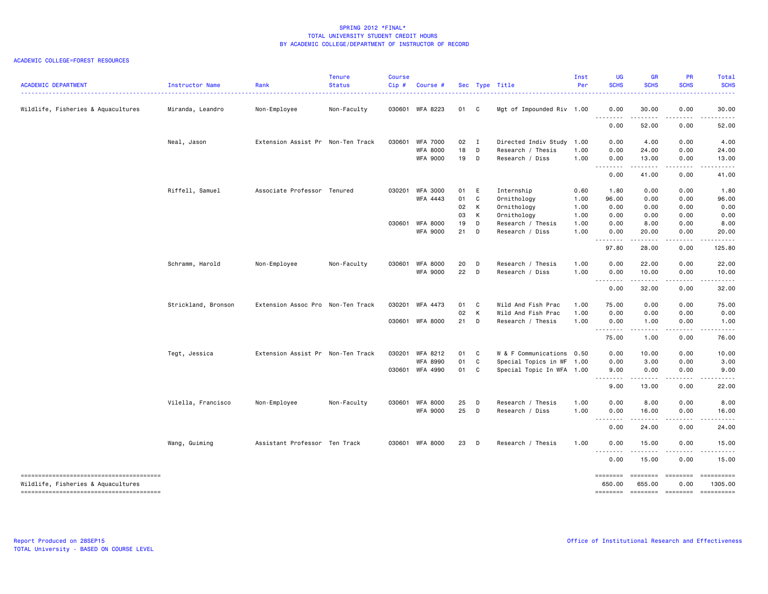#### ACADEMIC COLLEGE=FOREST RESOURCES

| <b>ACADEMIC DEPARTMENT</b>         | Instructor Name<br>. <b>.</b> . | Rank                              | <b>Tenure</b><br><b>Status</b> | Course<br>Cip# | Course #        |              |              | Sec Type Title            | Inst<br>Per | <b>UG</b><br><b>SCHS</b>          | <b>GR</b><br><b>SCHS</b>                                                                                                                                      | PR<br><b>SCHS</b>                                                                                                                                                                                                                                                                                                                                                                                                                                                                              | Total<br><b>SCHS</b><br>$\frac{1}{2} \left( \frac{1}{2} \right) \left( \frac{1}{2} \right) \left( \frac{1}{2} \right) \left( \frac{1}{2} \right) \left( \frac{1}{2} \right)$ |
|------------------------------------|---------------------------------|-----------------------------------|--------------------------------|----------------|-----------------|--------------|--------------|---------------------------|-------------|-----------------------------------|---------------------------------------------------------------------------------------------------------------------------------------------------------------|------------------------------------------------------------------------------------------------------------------------------------------------------------------------------------------------------------------------------------------------------------------------------------------------------------------------------------------------------------------------------------------------------------------------------------------------------------------------------------------------|------------------------------------------------------------------------------------------------------------------------------------------------------------------------------|
| Wildlife, Fisheries & Aquacultures | Miranda, Leandro                | Non-Employee                      | Non-Faculty                    |                | 030601 WFA 8223 | 01           | $\mathbf{C}$ | Mgt of Impounded Riv 1.00 |             | 0.00                              | 30.00                                                                                                                                                         | 0.00                                                                                                                                                                                                                                                                                                                                                                                                                                                                                           | 30.00                                                                                                                                                                        |
|                                    |                                 |                                   |                                |                |                 |              |              |                           |             | .<br>0.00                         | 52.00                                                                                                                                                         | 0.00                                                                                                                                                                                                                                                                                                                                                                                                                                                                                           | 52.00                                                                                                                                                                        |
|                                    | Neal, Jason                     | Extension Assist Pr Non-Ten Track |                                |                | 030601 WFA 7000 | $02 \quad I$ |              | Directed Indiv Study      | 1.00        | 0.00                              | 4.00                                                                                                                                                          | 0.00                                                                                                                                                                                                                                                                                                                                                                                                                                                                                           | 4.00                                                                                                                                                                         |
|                                    |                                 |                                   |                                |                | <b>WFA 8000</b> | 18           | D            | Research / Thesis         | 1.00        | 0.00                              | 24.00                                                                                                                                                         | 0.00                                                                                                                                                                                                                                                                                                                                                                                                                                                                                           | 24.00                                                                                                                                                                        |
|                                    |                                 |                                   |                                |                | <b>WFA 9000</b> | 19 D         |              | Research / Diss           | 1.00        | 0.00                              | 13.00                                                                                                                                                         | 0.00                                                                                                                                                                                                                                                                                                                                                                                                                                                                                           | 13.00                                                                                                                                                                        |
|                                    |                                 |                                   |                                |                |                 |              |              |                           |             | .<br>0.00                         | .<br>41.00                                                                                                                                                    | المستما<br>0.00                                                                                                                                                                                                                                                                                                                                                                                                                                                                                | .<br>41.00                                                                                                                                                                   |
|                                    | Riffell, Samuel                 | Associate Professor Tenured       |                                |                | 030201 WFA 3000 | 01           | E            | Internship                | 0.60        | 1.80                              | 0.00                                                                                                                                                          | 0.00                                                                                                                                                                                                                                                                                                                                                                                                                                                                                           | 1.80                                                                                                                                                                         |
|                                    |                                 |                                   |                                |                | WFA 4443        | 01           | C            | Ornithology               | 1.00        | 96.00                             | 0.00                                                                                                                                                          | 0.00                                                                                                                                                                                                                                                                                                                                                                                                                                                                                           | 96.00                                                                                                                                                                        |
|                                    |                                 |                                   |                                |                |                 | 02           | K            | Ornithology               | 1.00        | 0.00                              | 0.00                                                                                                                                                          | 0.00                                                                                                                                                                                                                                                                                                                                                                                                                                                                                           | 0.00                                                                                                                                                                         |
|                                    |                                 |                                   |                                |                |                 | 03           | K            | Ornithology               | 1.00        | 0.00                              | 0.00                                                                                                                                                          | 0.00                                                                                                                                                                                                                                                                                                                                                                                                                                                                                           | 0.00                                                                                                                                                                         |
|                                    |                                 |                                   |                                | 030601         | <b>WFA 8000</b> | 19           | D            | Research / Thesis         | 1.00        | 0.00                              | 8.00                                                                                                                                                          | 0.00                                                                                                                                                                                                                                                                                                                                                                                                                                                                                           | 8.00                                                                                                                                                                         |
|                                    |                                 |                                   |                                |                | <b>WFA 9000</b> | 21           | D            | Research / Diss           | 1.00        | 0.00                              | 20.00                                                                                                                                                         | 0.00                                                                                                                                                                                                                                                                                                                                                                                                                                                                                           | 20.00                                                                                                                                                                        |
|                                    |                                 |                                   |                                |                |                 |              |              |                           |             | <u>.</u><br>97.80                 | .<br>28.00                                                                                                                                                    | المتمالين<br>0.00                                                                                                                                                                                                                                                                                                                                                                                                                                                                              | .<br>125.80                                                                                                                                                                  |
|                                    | Schramm, Harold                 | Non-Employee                      | Non-Faculty                    | 030601         | <b>WFA 8000</b> | 20           | D            | Research / Thesis         | 1.00        | 0.00                              | 22.00                                                                                                                                                         | 0.00                                                                                                                                                                                                                                                                                                                                                                                                                                                                                           | 22.00                                                                                                                                                                        |
|                                    |                                 |                                   |                                |                | <b>WFA 9000</b> | 22           | $\Box$       | Research / Diss           | 1.00        | 0.00<br>.                         | 10.00<br>$\frac{1}{2} \left( \frac{1}{2} \right) \left( \frac{1}{2} \right) \left( \frac{1}{2} \right) \left( \frac{1}{2} \right) \left( \frac{1}{2} \right)$ | 0.00<br>$\sim$ $\sim$ $\sim$                                                                                                                                                                                                                                                                                                                                                                                                                                                                   | 10.00<br>.                                                                                                                                                                   |
|                                    |                                 |                                   |                                |                |                 |              |              |                           |             | 0.00                              | 32.00                                                                                                                                                         | 0.00                                                                                                                                                                                                                                                                                                                                                                                                                                                                                           | 32.00                                                                                                                                                                        |
|                                    | Strickland, Bronson             | Extension Assoc Pro Non-Ten Track |                                |                | 030201 WFA 4473 | 01           | C            | Wild And Fish Prac        | 1.00        | 75.00                             | 0.00                                                                                                                                                          | 0.00                                                                                                                                                                                                                                                                                                                                                                                                                                                                                           | 75.00                                                                                                                                                                        |
|                                    |                                 |                                   |                                |                |                 | 02           | K            | Wild And Fish Prac        | 1.00        | 0.00                              | 0.00                                                                                                                                                          | 0.00                                                                                                                                                                                                                                                                                                                                                                                                                                                                                           | 0.00                                                                                                                                                                         |
|                                    |                                 |                                   |                                |                | 030601 WFA 8000 | 21           | D            | Research / Thesis         | 1.00        | 0.00<br>.                         | 1.00<br>$\begin{array}{cccccccccccccc} \bullet & \bullet & \bullet & \bullet & \bullet & \bullet & \bullet \end{array}$                                       | 0.00<br>د د د د                                                                                                                                                                                                                                                                                                                                                                                                                                                                                | 1.00<br>.                                                                                                                                                                    |
|                                    |                                 |                                   |                                |                |                 |              |              |                           |             | 75.00                             | 1.00                                                                                                                                                          | 0.00                                                                                                                                                                                                                                                                                                                                                                                                                                                                                           | 76.00                                                                                                                                                                        |
|                                    | Tegt, Jessica                   | Extension Assist Pr Non-Ten Track |                                | 030201         | WFA 8212        | 01           | C            | W & F Communications 0.50 |             | 0.00                              | 10.00                                                                                                                                                         | 0.00                                                                                                                                                                                                                                                                                                                                                                                                                                                                                           | 10.00                                                                                                                                                                        |
|                                    |                                 |                                   |                                |                | WFA 8990        | 01           | C            | Special Topics in WF 1.00 |             | 0.00                              | 3.00                                                                                                                                                          | 0.00                                                                                                                                                                                                                                                                                                                                                                                                                                                                                           | 3.00                                                                                                                                                                         |
|                                    |                                 |                                   |                                |                | 030601 WFA 4990 | 01           | C            | Special Topic In WFA 1.00 |             | 9.00<br>.                         | 0.00<br>.                                                                                                                                                     | 0.00<br>.                                                                                                                                                                                                                                                                                                                                                                                                                                                                                      | 9.00<br>.                                                                                                                                                                    |
|                                    |                                 |                                   |                                |                |                 |              |              |                           |             | 9.00                              | 13.00                                                                                                                                                         | 0.00                                                                                                                                                                                                                                                                                                                                                                                                                                                                                           | 22.00                                                                                                                                                                        |
|                                    | Vilella, Francisco              | Non-Employee                      | Non-Faculty                    | 030601         | <b>WFA 8000</b> | 25           | $\mathsf{D}$ | Research / Thesis         | 1.00        | 0.00                              | 8.00                                                                                                                                                          | 0.00                                                                                                                                                                                                                                                                                                                                                                                                                                                                                           | 8.00                                                                                                                                                                         |
|                                    |                                 |                                   |                                |                | <b>WFA 9000</b> | 25           | <b>D</b>     | Research / Diss           | 1.00        | 0.00<br>$\sim$ $\sim$ $\sim$<br>. | 16.00                                                                                                                                                         | 0.00                                                                                                                                                                                                                                                                                                                                                                                                                                                                                           | 16.00                                                                                                                                                                        |
|                                    |                                 |                                   |                                |                |                 |              |              |                           |             | 0.00                              | 24.00                                                                                                                                                         | 0.00                                                                                                                                                                                                                                                                                                                                                                                                                                                                                           | 24.00                                                                                                                                                                        |
|                                    | Wang, Guiming                   | Assistant Professor Ten Track     |                                |                | 030601 WFA 8000 | 23           | <b>D</b>     | Research / Thesis         | 1.00        | 0.00                              | 15.00                                                                                                                                                         | 0.00                                                                                                                                                                                                                                                                                                                                                                                                                                                                                           | 15.00                                                                                                                                                                        |
|                                    |                                 |                                   |                                |                |                 |              |              |                           |             | --------<br>0.00                  | 15.00                                                                                                                                                         | 0.00                                                                                                                                                                                                                                                                                                                                                                                                                                                                                           | .<br>15.00                                                                                                                                                                   |
| Wildlife, Fisheries & Aquacultures |                                 |                                   |                                |                |                 |              |              |                           |             | ========<br>650.00                | ========<br>655.00                                                                                                                                            | $\begin{array}{cccccccccc} \multicolumn{2}{c}{} & \multicolumn{2}{c}{} & \multicolumn{2}{c}{} & \multicolumn{2}{c}{} & \multicolumn{2}{c}{} & \multicolumn{2}{c}{} & \multicolumn{2}{c}{} & \multicolumn{2}{c}{} & \multicolumn{2}{c}{} & \multicolumn{2}{c}{} & \multicolumn{2}{c}{} & \multicolumn{2}{c}{} & \multicolumn{2}{c}{} & \multicolumn{2}{c}{} & \multicolumn{2}{c}{} & \multicolumn{2}{c}{} & \multicolumn{2}{c}{} & \multicolumn{2}{c}{} & \multicolumn{2}{c}{} & \mult$<br>0.00 | ==========<br>1305.00                                                                                                                                                        |
|                                    |                                 |                                   |                                |                |                 |              |              |                           |             |                                   |                                                                                                                                                               |                                                                                                                                                                                                                                                                                                                                                                                                                                                                                                | -------- ------- -------- ---------                                                                                                                                          |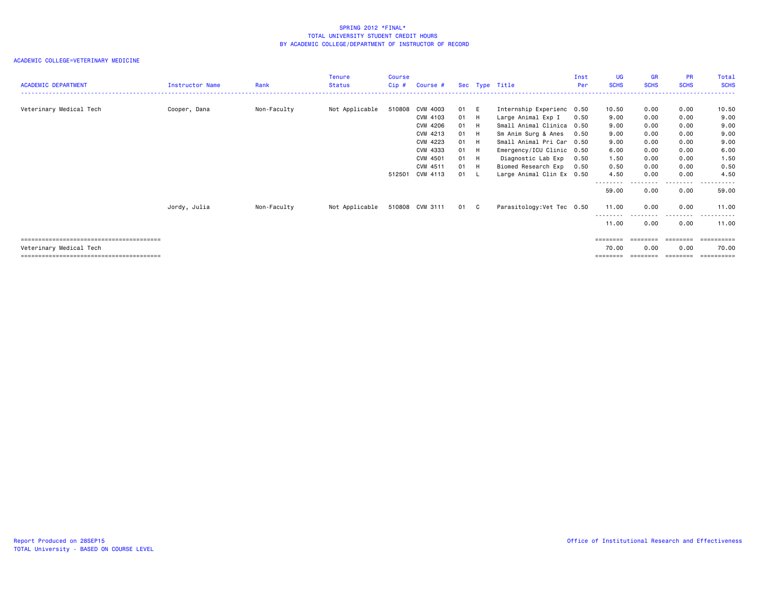|                            |                 |             | Tenure         | <b>Course</b> |                 |      |                            | Inst | <b>UG</b>   | <b>GR</b>   | <b>PR</b>    | Total           |
|----------------------------|-----------------|-------------|----------------|---------------|-----------------|------|----------------------------|------|-------------|-------------|--------------|-----------------|
| <b>ACADEMIC DEPARTMENT</b> | Instructor Name | Rank        | Status         | $Cip$ #       | Course #        |      | Sec Type Title             | Per  | <b>SCHS</b> | <b>SCHS</b> | <b>SCHS</b>  | <b>SCHS</b>     |
|                            |                 |             |                |               |                 |      |                            |      |             |             |              |                 |
| Veterinary Medical Tech    | Cooper, Dana    | Non-Faculty | Not Applicable |               | 510808 CVM 4003 | 01 E | Internship Experienc 0.50  |      | 10.50       | 0.00        | 0.00         | 10.50           |
|                            |                 |             |                |               | CVM 4103        | 01 H | Large Animal Exp I         | 0.50 | 9.00        | 0.00        | 0.00         | 9.00            |
|                            |                 |             |                |               | CVM 4206        | 01 H | Small Animal Clinica 0.50  |      | 9.00        | 0.00        | 0.00         | 9.00            |
|                            |                 |             |                |               | CVM 4213        | 01 H | Sm Anim Surg & Anes        | 0.50 | 9.00        | 0.00        | 0.00         | 9.00            |
|                            |                 |             |                |               | CVM 4223        | 01 H | Small Animal Pri Car 0.50  |      | 9.00        | 0.00        | 0.00         | 9.00            |
|                            |                 |             |                |               | CVM 4333        | 01 H | Emergency/ICU Clinic 0.50  |      | 6.00        | 0.00        | 0.00         | 6.00            |
|                            |                 |             |                |               | CVM 4501        | 01 H | Diagnostic Lab Exp         | 0.50 | 1.50        | 0.00        | 0.00         | 1.50            |
|                            |                 |             |                |               | CVM 4511        | 01 H | Biomed Research Exp        | 0.50 | 0.50        | 0.00        | 0.00         | 0.50            |
|                            |                 |             |                |               | 512501 CVM 4113 | 01 L | Large Animal Clin Ex 0.50  |      | 4.50        | 0.00        | 0.00         | 4.50            |
|                            |                 |             |                |               |                 |      |                            |      | 59.00       | 0.00        | .<br>0.00    | ------<br>59.00 |
|                            | Jordy, Julia    | Non-Faculty | Not Applicable |               | 510808 CVM 3111 | 01 C | Parasitology: Vet Tec 0.50 |      | 11.00       | 0.00        | 0.00         | 11.00           |
|                            |                 |             |                |               |                 |      |                            |      | 11.00       | 0.00        | ----<br>0.00 | 11.00           |
|                            |                 |             |                |               |                 |      |                            |      | ========    | ========    | ---------    | -----------     |
| Veterinary Medical Tech    |                 |             |                |               |                 |      |                            |      | 70.00       | 0.00        | 0.00         | 70.00           |
|                            |                 |             |                |               |                 |      |                            |      | ========    | ========    | ---------    | ==========      |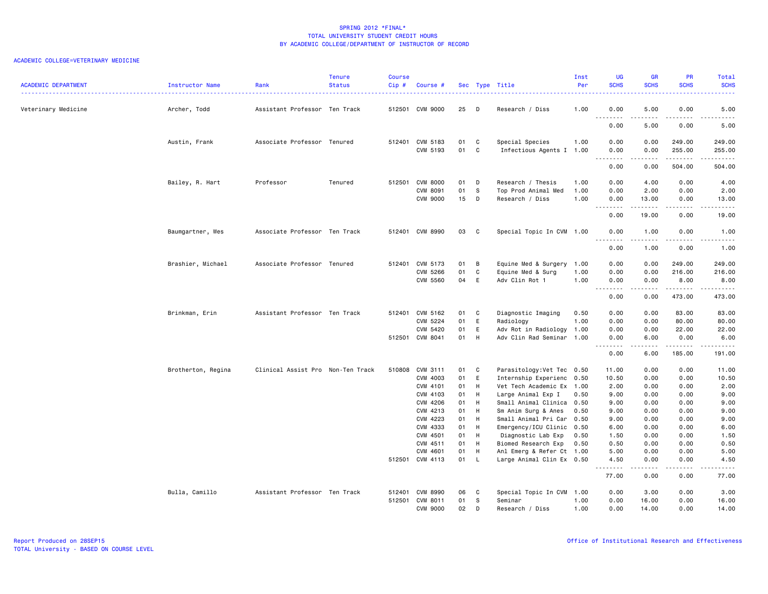| <b>ACADEMIC DEPARTMENT</b> | Instructor Name    | Rank                              | <b>Tenure</b><br><b>Status</b> | <b>Course</b><br>Cip# | Course #                    |          |                | Sec Type Title                                         | Inst<br>Per<br>. | <b>UG</b><br><b>SCHS</b> | <b>GR</b><br><b>SCHS</b> | <b>PR</b><br><b>SCHS</b> | Total<br><b>SCHS</b><br><u>.</u> |
|----------------------------|--------------------|-----------------------------------|--------------------------------|-----------------------|-----------------------------|----------|----------------|--------------------------------------------------------|------------------|--------------------------|--------------------------|--------------------------|----------------------------------|
| Veterinary Medicine        | Archer, Todd       | Assistant Professor Ten Track     |                                |                       | 512501 CVM 9000             | 25       | $\Box$         | Research / Diss                                        | 1.00             | 0.00                     | 5.00                     | 0.00                     | 5.00                             |
|                            |                    |                                   |                                |                       |                             |          |                |                                                        |                  | .<br>0.00                | .<br>5.00                | لأعاجب<br>0.00           | .<br>5.00                        |
|                            | Austin, Frank      | Associate Professor Tenured       |                                |                       | 512401 CVM 5183             | 01       | C C            | Special Species                                        | 1.00             | 0.00                     | 0.00                     | 249.00                   | 249.00                           |
|                            |                    |                                   |                                |                       | CVM 5193                    | 01 C     |                | Infectious Agents I 1.00                               |                  | 0.00<br>.                | 0.00<br>$- - - - -$      | 255.00<br><b></b>        | 255.00<br>.                      |
|                            |                    |                                   |                                |                       |                             |          |                |                                                        |                  | 0.00                     | 0.00                     | 504.00                   | 504.00                           |
|                            | Bailey, R. Hart    | Professor                         | Tenured                        |                       | 512501 CVM 8000             | 01       | D              | Research / Thesis                                      | 1.00             | 0.00                     | 4.00                     | 0.00                     | 4.00                             |
|                            |                    |                                   |                                |                       | CVM 8091                    | 01       | <b>S</b>       | Top Prod Animal Med                                    | 1.00             | 0.00                     | 2.00                     | 0.00                     | 2.00                             |
|                            |                    |                                   |                                |                       | <b>CVM 9000</b>             | 15       | $\mathsf{D}$   | Research / Diss                                        | 1.00             | 0.00<br>.                | 13.00<br>.               | 0.00<br>.                | 13.00<br>$\sim$                  |
|                            |                    |                                   |                                |                       |                             |          |                |                                                        |                  | 0.00                     | 19.00                    | 0.00                     | 19.00                            |
|                            | Baumgartner, Wes   | Associate Professor Ten Track     |                                |                       | 512401 CVM 8990             | 03       | C)             | Special Topic In CVM 1.00                              |                  | 0.00                     | 1.00                     | 0.00<br>.                | 1.00<br>.                        |
|                            |                    |                                   |                                |                       |                             |          |                |                                                        |                  | 0.00                     | 1.00                     | 0.00                     | 1.00                             |
|                            | Brashier, Michael  | Associate Professor Tenured       |                                |                       | 512401 CVM 5173             | 01       | $\overline{B}$ | Equine Med & Surgery                                   | 1.00             | 0.00                     | 0.00                     | 249.00                   | 249.00                           |
|                            |                    |                                   |                                |                       | CVM 5266                    | 01       | C              | Equine Med & Surg                                      | 1.00             | 0.00                     | 0.00                     | 216.00                   | 216.00                           |
|                            |                    |                                   |                                |                       | <b>CVM 5560</b>             | 04       | E              | Adv Clin Rot 1                                         | 1.00             | 0.00<br>.                | 0.00<br>-----            | 8.00<br>.                | 8.00<br>.                        |
|                            |                    |                                   |                                |                       |                             |          |                |                                                        |                  | 0.00                     | 0.00                     | 473.00                   | 473.00                           |
|                            | Brinkman, Erin     | Assistant Professor Ten Track     |                                |                       | 512401 CVM 5162             | 01       | C.             | Diagnostic Imaging                                     | 0.50             | 0.00                     | 0.00                     | 83.00                    | 83.00                            |
|                            |                    |                                   |                                |                       | CVM 5224                    | 01       | E              | Radiology                                              | 1.00             | 0.00                     | 0.00                     | 80.00                    | 80.00                            |
|                            |                    |                                   |                                |                       | CVM 5420                    | 01       | E              | Adv Rot in Radiology                                   | 1.00             | 0.00                     | 0.00                     | 22.00                    | 22.00                            |
|                            |                    |                                   |                                |                       | 512501 CVM 8041             | 01       | - н            | Adv Clin Rad Seminar 1.00                              |                  | 0.00<br>.                | 6.00<br>.                | 0.00<br>.                | 6.00<br>.                        |
|                            |                    |                                   |                                |                       |                             |          |                |                                                        |                  | 0.00                     | 6.00                     | 185.00                   | 191.00                           |
|                            | Brotherton, Regina | Clinical Assist Pro Non-Ten Track |                                |                       | 510808 CVM 3111             | 01       | $\mathbf{C}$   | Parasitology: Vet Tec 0.50                             |                  | 11.00                    | 0.00                     | 0.00                     | 11.00                            |
|                            |                    |                                   |                                |                       | CVM 4003                    | 01       | E              | Internship Experienc 0.50                              |                  | 10.50                    | 0.00                     | 0.00                     | 10.50                            |
|                            |                    |                                   |                                |                       | CVM 4101                    | 01       | H              | Vet Tech Academic Ex 1.00                              |                  | 2.00                     | 0.00                     | 0.00                     | 2.00                             |
|                            |                    |                                   |                                |                       | CVM 4103                    | 01       | H              | Large Animal Exp I                                     | 0.50             | 9.00                     | 0.00                     | 0.00                     | 9.00                             |
|                            |                    |                                   |                                |                       | CVM 4206                    | 01       | H              | Small Animal Clinica                                   | 0.50             | 9.00                     | 0.00                     | 0.00                     | 9.00                             |
|                            |                    |                                   |                                |                       | CVM 4213                    | 01       | H              | Sm Anim Surg & Anes                                    | 0.50             | 9.00                     | 0.00                     | 0.00                     | 9.00                             |
|                            |                    |                                   |                                |                       | CVM 4223                    | 01       | H              | Small Animal Pri Car                                   | 0.50             | 9.00                     | 0.00                     | 0.00                     | 9.00                             |
|                            |                    |                                   |                                |                       | CVM 4333                    | 01       | H              | Emergency/ICU Clinic                                   | 0.50             | 6.00                     | 0.00                     | 0.00                     | 6.00                             |
|                            |                    |                                   |                                |                       | CVM 4501                    | 01       | H              | Diagnostic Lab Exp                                     | 0.50             | 1.50                     | 0.00                     | 0.00                     | 1.50                             |
|                            |                    |                                   |                                |                       | CVM 4511                    | 01       | H              | Biomed Research Exp                                    | 0.50             | 0.50                     | 0.00                     | 0.00                     | 0.50                             |
|                            |                    |                                   |                                |                       | CVM 4601<br>512501 CVM 4113 | 01<br>01 | H<br>- L       | Anl Emerg & Refer Ct 1.00<br>Large Animal Clin Ex 0.50 |                  | 5.00<br>4.50             | 0.00<br>0.00             | 0.00<br>0.00             | 5.00<br>4.50                     |
|                            |                    |                                   |                                |                       |                             |          |                |                                                        |                  | .<br>77.00               | 0.00                     | 0.00                     | -----<br>77.00                   |
|                            | Bulla, Camillo     | Assistant Professor Ten Track     |                                |                       | 512401 CVM 8990             | 06       | C.             | Special Topic In CVM 1.00                              |                  | 0.00                     | 3.00                     | 0.00                     | 3.00                             |
|                            |                    |                                   |                                | 512501                | CVM 8011                    | 01       | s.             | Seminar                                                | 1.00             | 0.00                     | 16.00                    | 0.00                     | 16.00                            |
|                            |                    |                                   |                                |                       | <b>CVM 9000</b>             | 02       | D              | Research / Diss                                        | 1.00             | 0.00                     | 14.00                    | 0.00                     | 14.00                            |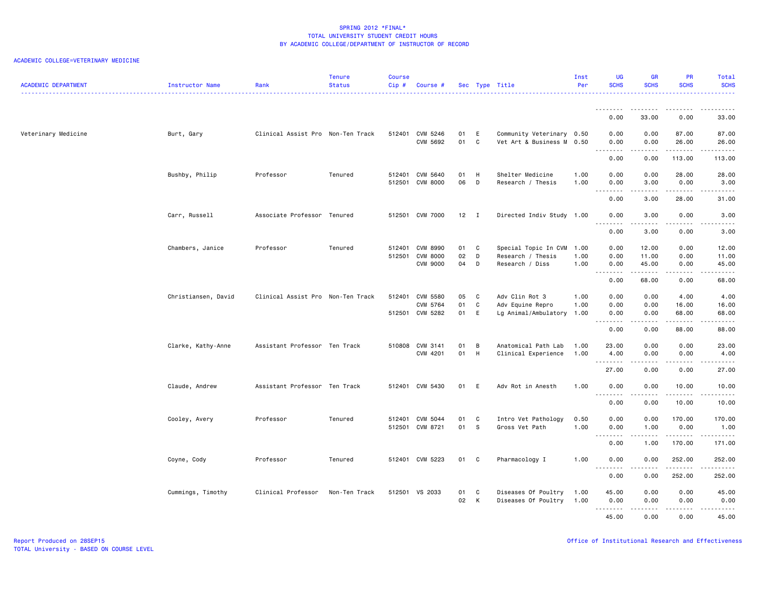| <b>ACADEMIC DEPARTMENT</b> | Instructor Name     | Rank                              | <b>Tenure</b><br><b>Status</b> | <b>Course</b><br>Cip# | Course #                                              |                  |                | Sec Type Title                                               | Inst<br>Per          | <b>UG</b><br><b>SCHS</b>  | <b>GR</b><br><b>SCHS</b>                                                                                                                                                        | PR<br><b>SCHS</b>                            | Total<br><b>SCHS</b>                |
|----------------------------|---------------------|-----------------------------------|--------------------------------|-----------------------|-------------------------------------------------------|------------------|----------------|--------------------------------------------------------------|----------------------|---------------------------|---------------------------------------------------------------------------------------------------------------------------------------------------------------------------------|----------------------------------------------|-------------------------------------|
|                            |                     |                                   |                                |                       |                                                       |                  |                |                                                              |                      | 0.00                      | 33.00                                                                                                                                                                           | 0.00                                         | 33.00                               |
| Veterinary Medicine        | Burt, Gary          | Clinical Assist Pro Non-Ten Track |                                |                       | 512401 CVM 5246<br>CVM 5692                           | 01<br>01         | E<br>C         | Community Veterinary 0.50<br>Vet Art & Business M 0.50       |                      | 0.00<br>0.00              | 0.00<br>0.00                                                                                                                                                                    | 87.00<br>26.00                               | 87.00<br>26.00                      |
|                            |                     |                                   |                                |                       |                                                       |                  |                |                                                              |                      | <u>.</u><br>0.00          | 0.00                                                                                                                                                                            | .<br>113.00                                  | .<br>113.00                         |
|                            | Bushby, Philip      | Professor                         | Tenured                        |                       | 512401 CVM 5640<br>512501 CVM 8000                    | 01<br>06         | H<br>D         | Shelter Medicine<br>Research / Thesis                        | 1.00<br>1.00         | 0.00<br>0.00<br><u>.</u>  | 0.00<br>3.00<br>.                                                                                                                                                               | 28.00<br>0.00<br>.                           | 28.00<br>3.00<br>$- - - - -$        |
|                            |                     |                                   |                                |                       |                                                       |                  |                |                                                              |                      | 0.00                      | 3.00                                                                                                                                                                            | 28.00                                        | 31.00                               |
|                            | Carr, Russell       | Associate Professor Tenured       |                                |                       | 512501 CVM 7000                                       | 12               | $\blacksquare$ | Directed Indiv Study 1.00                                    |                      | 0.00<br><u>.</u>          | 3.00<br>.                                                                                                                                                                       | 0.00                                         | 3.00<br>.                           |
|                            |                     |                                   |                                |                       |                                                       |                  |                |                                                              |                      | 0.00                      | 3.00                                                                                                                                                                            | 0.00                                         | 3.00                                |
|                            | Chambers, Janice    | Professor                         | Tenured                        | 512501                | 512401 CVM 8990<br><b>CVM 8000</b><br><b>CVM 9000</b> | 01 C<br>02<br>04 | D<br>D         | Special Topic In CVM<br>Research / Thesis<br>Research / Diss | 1.00<br>1.00<br>1.00 | 0.00<br>0.00<br>0.00<br>. | 12.00<br>11.00<br>45.00<br>$\frac{1}{2} \left( \frac{1}{2} \right) \left( \frac{1}{2} \right) \left( \frac{1}{2} \right) \left( \frac{1}{2} \right) \left( \frac{1}{2} \right)$ | 0.00<br>0.00<br>0.00<br>$\sim$ $\sim$ $\sim$ | 12.00<br>11.00<br>45.00<br><b>.</b> |
|                            |                     |                                   |                                |                       |                                                       |                  |                |                                                              |                      | 0.00                      | 68.00                                                                                                                                                                           | 0.00                                         | 68.00                               |
|                            | Christiansen, David | Clinical Assist Pro Non-Ten Track |                                |                       | 512401 CVM 5580<br>CVM 5764<br>512501 CVM 5282        | 05<br>01<br>01   | C<br>C<br>E    | Adv Clin Rot 3<br>Adv Equine Repro<br>Lg Animal/Ambulatory   | 1.00<br>1.00<br>1.00 | 0.00<br>0.00<br>0.00      | 0.00<br>0.00<br>0.00                                                                                                                                                            | 4.00<br>16.00<br>68.00                       | 4.00<br>16.00<br>68.00              |
|                            |                     |                                   |                                |                       |                                                       |                  |                |                                                              |                      | <u>.</u><br>0.00          | -----<br>0.00                                                                                                                                                                   | $   -$<br>88.00                              | د د د د د<br>88.00                  |
|                            | Clarke, Kathy-Anne  | Assistant Professor Ten Track     |                                | 510808                | CVM 3141<br>CVM 4201                                  | 01<br>01         | B<br>H         | Anatomical Path Lab<br>Clinical Experience                   | 1.00<br>1.00         | 23.00<br>4.00<br>.        | 0.00<br>0.00                                                                                                                                                                    | 0.00<br>0.00<br>$\sim$ $\sim$ $\sim$         | 23.00<br>4.00<br><b>.</b>           |
|                            |                     |                                   |                                |                       |                                                       |                  |                |                                                              |                      | 27.00                     | د د د د<br>0.00                                                                                                                                                                 | 0.00                                         | 27.00                               |
|                            | Claude, Andrew      | Assistant Professor Ten Track     |                                |                       | 512401 CVM 5430                                       | 01 E             |                | Adv Rot in Anesth                                            | 1.00                 | 0.00<br>.                 | 0.00                                                                                                                                                                            | 10.00                                        | 10.00<br>22222                      |
|                            |                     |                                   |                                |                       |                                                       |                  |                |                                                              |                      | 0.00                      | 0.00                                                                                                                                                                            | 10.00                                        | 10.00                               |
|                            | Cooley, Avery       | Professor                         | Tenured                        |                       | 512401 CVM 5044<br>512501 CVM 8721                    | 01<br>01         | C<br>- S       | Intro Vet Pathology<br>Gross Vet Path                        | 0.50<br>1.00         | 0.00<br>0.00<br>.         | 0.00<br>1.00<br>$\frac{1}{2} \left( \frac{1}{2} \right) \left( \frac{1}{2} \right) \left( \frac{1}{2} \right) \left( \frac{1}{2} \right) \left( \frac{1}{2} \right)$            | 170.00<br>0.00<br>.                          | 170.00<br>1.00<br>.                 |
|                            |                     |                                   |                                |                       |                                                       |                  |                |                                                              |                      | 0.00                      | 1.00                                                                                                                                                                            | 170.00                                       | 171.00                              |
|                            | Coyne, Cody         | Professor                         | Tenured                        |                       | 512401 CVM 5223                                       | 01 C             |                | Pharmacology I                                               | 1.00                 | 0.00                      | 0.00                                                                                                                                                                            | 252.00                                       | 252.00<br>.                         |
|                            |                     |                                   |                                |                       |                                                       |                  |                |                                                              |                      | 0.00                      | 0.00                                                                                                                                                                            | 252.00                                       | 252.00                              |
|                            | Cummings, Timothy   | Clinical Professor                | Non-Ten Track                  |                       | 512501 VS 2033                                        | 01<br>02         | C<br>K         | Diseases Of Poultry<br>Diseases Of Poultry                   | 1.00<br>1.00         | 45.00<br>0.00<br>.        | 0.00<br>0.00                                                                                                                                                                    | 0.00<br>0.00                                 | 45.00<br>0.00                       |
|                            |                     |                                   |                                |                       |                                                       |                  |                |                                                              |                      | 45.00                     | 0.00                                                                                                                                                                            | 0.00                                         | 45.00                               |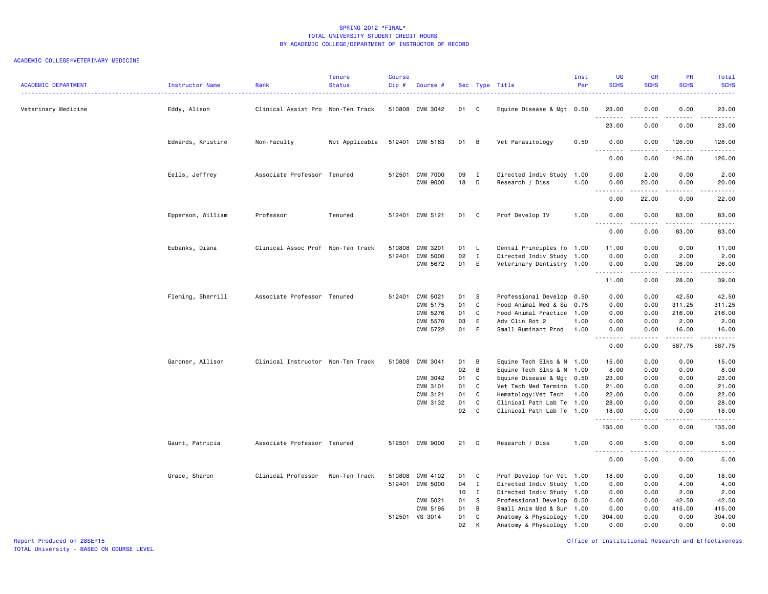# ACADEMIC COLLEGE=VETERINARY MEDICINE

| <b>ACADEMIC DEPARTMENT</b> | Instructor Name   | Rank                              | <b>Tenure</b><br><b>Status</b> | Course<br>$Cip$ # | Course #                           |          |                              | Sec Type Title                          | Inst<br>Per  | UG<br><b>SCHS</b>        | <b>GR</b><br><b>SCHS</b>   | PR<br><b>SCHS</b> | <b>Total</b><br><b>SCHS</b><br>.                    |
|----------------------------|-------------------|-----------------------------------|--------------------------------|-------------------|------------------------------------|----------|------------------------------|-----------------------------------------|--------------|--------------------------|----------------------------|-------------------|-----------------------------------------------------|
| Veterinary Medicine        | Eddy, Alison      | Clinical Assist Pro Non-Ten Track |                                |                   | 510808 CVM 3042                    | 01 C     |                              | Equine Disease & Mgt 0.50               |              | 23.00                    | 0.00<br>.                  | 0.00<br>$- - - -$ | 23.00<br>$\frac{1}{2}$                              |
|                            |                   |                                   |                                |                   |                                    |          |                              |                                         |              | 23.00                    | 0.00                       | 0.00              | 23.00                                               |
|                            | Edwards, Kristine | Non-Faculty                       | Not Applicable                 |                   | 512401 CVM 5163                    | 01       | B                            | Vet Parasitology                        | 0.50         | 0.00<br>.                | 0.00                       | 126.00<br>.       | 126.00<br>$- - - - - -$                             |
|                            |                   |                                   |                                |                   |                                    |          |                              |                                         |              | 0.00                     | 0.00                       | 126.00            | 126.00                                              |
|                            | Eells, Jeffrey    | Associate Professor Tenured       |                                |                   | 512501 CVM 7000<br><b>CVM 9000</b> | 09<br>18 | $\mathbf{I}$<br>$\mathsf{D}$ | Directed Indiv Study<br>Research / Diss | 1.00<br>1.00 | 0.00<br>0.00<br><u>.</u> | 2.00<br>20.00<br>.         | 0.00<br>0.00<br>. | 2.00<br>20.00<br>$\sim$ $\sim$ $\sim$ $\sim$ $\sim$ |
|                            |                   |                                   |                                |                   |                                    |          |                              |                                         |              | 0.00                     | 22.00                      | 0.00              | 22.00                                               |
|                            | Epperson, William | Professor                         | Tenured                        |                   | 512401 CVM 5121                    | 01       | C                            | Prof Develop IV                         | 1.00         | 0.00<br><u>.</u>         | 0.00<br>.                  | 83.00<br>.        | 83.00<br>.                                          |
|                            |                   |                                   |                                |                   |                                    |          |                              |                                         |              | 0.00                     | 0.00                       | 83.00             | 83.00                                               |
|                            | Eubanks, Diana    | Clinical Assoc Prof Non-Ten Track |                                | 510808            | CVM 3201                           | 01       | $\mathsf{L}$                 | Dental Principles fo 1.00               |              | 11.00                    | 0.00                       | 0.00              | 11.00                                               |
|                            |                   |                                   |                                | 512401            | CVM 5000                           | 02       | $\mathbf I$                  | Directed Indiv Study 1.00               |              | 0.00                     | 0.00                       | 2.00              | 2.00                                                |
|                            |                   |                                   |                                |                   | CVM 5672                           | 01       | E                            | Veterinary Dentistry 1.00               |              | 0.00<br><u>.</u>         | 0.00<br>المالية المالية ال | 26.00<br>.        | 26.00<br>بالالالالا                                 |
|                            |                   |                                   |                                |                   |                                    |          |                              |                                         |              | 11.00                    | 0.00                       | 28.00             | 39.00                                               |
|                            | Fleming, Sherrill | Associate Professor Tenured       |                                |                   | 512401 CVM 5021                    | 01       | <b>S</b>                     | Professional Develop 0.50               |              | 0.00                     | 0.00                       | 42.50             | 42.50                                               |
|                            |                   |                                   |                                |                   | CVM 5175                           | 01       | C                            | Food Animal Med & Su                    | 0.75         | 0.00                     | 0.00                       | 311.25            | 311.25                                              |
|                            |                   |                                   |                                |                   | CVM 5276                           | 01       | C                            | Food Animal Practice                    | 1.00         | 0.00                     | 0.00                       | 216.00            | 216.00                                              |
|                            |                   |                                   |                                |                   | <b>CVM 5570</b>                    | 03       | E                            | Adv Clin Rot 2                          | 1.00         | 0.00                     | 0.00                       | 2.00              | 2.00                                                |
|                            |                   |                                   |                                |                   | CVM 5722                           | 01       | E                            | Small Ruminant Prod                     | 1.00         | 0.00<br><u>.</u>         | 0.00<br>.                  | 16.00<br><u>.</u> | 16.00<br>.                                          |
|                            |                   |                                   |                                |                   |                                    |          |                              |                                         |              | 0.00                     | 0.00                       | 587.75            | 587.75                                              |
|                            | Gardner, Allison  | Clinical Instructor Non-Ten Track |                                |                   | 510808 CVM 3041                    | 01       | B                            | Equine Tech Slks & N 1.00               |              | 15.00                    | 0.00                       | 0.00              | 15.00                                               |
|                            |                   |                                   |                                |                   |                                    | 02       | B                            | Equine Tech Slks & N 1.00               |              | 8.00                     | 0.00                       | 0.00              | 8.00                                                |
|                            |                   |                                   |                                |                   | CVM 3042                           | 01       | C                            | Equine Disease & Mgt 0.50               |              | 23.00                    | 0.00                       | 0.00              | 23.00                                               |
|                            |                   |                                   |                                |                   | CVM 3101                           | 01       | C                            | Vet Tech Med Termino 1.00               |              | 21.00                    | 0.00                       | 0.00              | 21.00                                               |
|                            |                   |                                   |                                |                   | CVM 3121                           | 01       | C                            | Hematology: Vet Tech                    | 1.00         | 22.00                    | 0.00                       | 0.00              | 22.00                                               |
|                            |                   |                                   |                                |                   | CVM 3132                           | 01       | C                            | Clinical Path Lab Te                    | 1.00         | 28.00                    | 0.00                       | 0.00              | 28.00                                               |
|                            |                   |                                   |                                |                   |                                    | 02       | C                            | Clinical Path Lab Te 1.00               |              | 18.00<br>.               | 0.00<br>.                  | 0.00<br>.         | 18.00<br>.                                          |
|                            |                   |                                   |                                |                   |                                    |          |                              |                                         |              | 135.00                   | 0.00                       | 0.00              | 135.00                                              |
|                            | Gaunt, Patricia   | Associate Professor Tenured       |                                |                   | 512501 CVM 9000                    | 21       | D                            | Research / Diss                         | 1.00         | 0.00<br><u>.</u>         | 5.00                       | 0.00              | 5.00<br>.                                           |
|                            |                   |                                   |                                |                   |                                    |          |                              |                                         |              | 0.00                     | 5.00                       | 0.00              | 5.00                                                |
|                            | Grace, Sharon     | Clinical Professor                | Non-Ten Track                  | 510808            | CVM 4102                           | 01       | C                            | Prof Develop for Vet 1.00               |              | 18.00                    | 0.00                       | 0.00              | 18.00                                               |
|                            |                   |                                   |                                |                   | 512401 CVM 5000                    | 04       | $\mathbf{I}$                 | Directed Indiv Study 1.00               |              | 0.00                     | 0.00                       | 4.00              | 4.00                                                |
|                            |                   |                                   |                                |                   |                                    | 10       | $\mathbf{I}$                 | Directed Indiv Study 1.00               |              | 0.00                     | 0.00                       | 2.00              | 2.00                                                |
|                            |                   |                                   |                                |                   | CVM 5021                           | 01       | S                            | Professional Develop 0.50               |              | 0.00                     | 0.00                       | 42.50             | 42.50                                               |
|                            |                   |                                   |                                |                   | CVM 5195                           | 01       | B                            | Small Anim Med & Sur                    | 1.00         | 0.00                     | 0.00                       | 415.00            | 415.00                                              |
|                            |                   |                                   |                                |                   | 512501 VS 3014                     | 01       | C                            | Anatomy & Physiology 1.00               |              | 304.00                   | 0.00                       | 0.00              | 304.00                                              |
|                            |                   |                                   |                                |                   |                                    | 02       | K                            | Anatomy & Physiology 1.00               |              | 0.00                     | 0.00                       | 0.00              | 0.00                                                |

Report Produced on 28SEP15 Office of Institutional Research and Effectiveness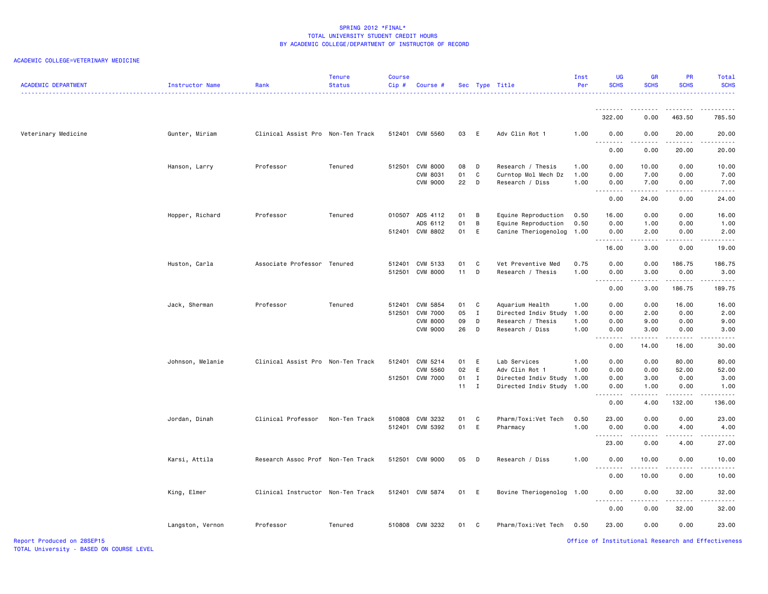| <b>ACADEMIC DEPARTMENT</b> | Instructor Name  | Rank                              | <b>Tenure</b><br><b>Status</b> | <b>Course</b><br>Cip# | Course #                           |              |              | Sec Type Title                             | Inst<br>Per  | UG<br><b>SCHS</b> | <b>GR</b><br><b>SCHS</b> | <b>PR</b><br><b>SCHS</b>                                                                                                           | Total<br><b>SCHS</b>                                                                                                                                          |
|----------------------------|------------------|-----------------------------------|--------------------------------|-----------------------|------------------------------------|--------------|--------------|--------------------------------------------|--------------|-------------------|--------------------------|------------------------------------------------------------------------------------------------------------------------------------|---------------------------------------------------------------------------------------------------------------------------------------------------------------|
|                            |                  |                                   |                                |                       |                                    |              |              |                                            |              | .<br>322.00       | 0.00                     | .<br>463.50                                                                                                                        | 785.50                                                                                                                                                        |
| Veterinary Medicine        | Gunter, Miriam   | Clinical Assist Pro Non-Ten Track |                                |                       | 512401 CVM 5560                    | 03           | E            | Adv Clin Rot 1                             | 1.00         | 0.00              | 0.00                     | 20.00                                                                                                                              | 20.00                                                                                                                                                         |
|                            |                  |                                   |                                |                       |                                    |              |              |                                            |              | .<br>0.00         | .<br>0.00                | $\frac{1}{2} \left( \frac{1}{2} \right) \left( \frac{1}{2} \right) \left( \frac{1}{2} \right) \left( \frac{1}{2} \right)$<br>20.00 | .<br>20.00                                                                                                                                                    |
|                            | Hanson, Larry    | Professor                         | Tenured                        |                       | 512501 CVM 8000                    | 08           | D            | Research / Thesis                          | 1.00         | 0.00              | 10.00                    | 0.00                                                                                                                               | 10.00                                                                                                                                                         |
|                            |                  |                                   |                                |                       | CVM 8031<br><b>CVM 9000</b>        | 01<br>22     | C<br>D       | Curntop Mol Mech Dz<br>Research / Diss     | 1.00<br>1.00 | 0.00<br>0.00      | 7.00<br>7.00             | 0.00<br>0.00                                                                                                                       | 7.00<br>7.00                                                                                                                                                  |
|                            |                  |                                   |                                |                       |                                    |              |              |                                            |              | .<br>0.00         | .<br>24.00               | $\cdots$<br>0.00                                                                                                                   | $\sim$ $\sim$ $\sim$ $\sim$<br>24.00                                                                                                                          |
|                            |                  |                                   |                                |                       |                                    |              |              |                                            |              |                   |                          |                                                                                                                                    |                                                                                                                                                               |
|                            | Hopper, Richard  | Professor                         | Tenured                        |                       | 010507 ADS 4112<br>ADS 6112        | 01<br>01     | B<br>В       | Equine Reproduction<br>Equine Reproduction | 0.50<br>0.50 | 16.00<br>0.00     | 0.00<br>1.00             | 0.00<br>0.00                                                                                                                       | 16.00<br>1.00                                                                                                                                                 |
|                            |                  |                                   |                                |                       | 512401 CVM 8802                    | 01           | E            | Canine Theriogenolog                       | 1.00         | 0.00              | 2.00                     | 0.00                                                                                                                               | 2.00                                                                                                                                                          |
|                            |                  |                                   |                                |                       |                                    |              |              |                                            |              | .<br>16.00        | .<br>3.00                | $- - - - -$<br>0.00                                                                                                                | .<br>19.00                                                                                                                                                    |
|                            |                  |                                   |                                |                       |                                    |              |              |                                            |              |                   |                          |                                                                                                                                    |                                                                                                                                                               |
|                            | Huston, Carla    | Associate Professor Tenured       |                                | 512401<br>512501      | CVM 5133<br><b>CVM 8000</b>        | 01<br>11     | C<br>D       | Vet Preventive Med<br>Research / Thesis    | 0.75<br>1.00 | 0.00<br>0.00      | 0.00<br>3.00             | 186.75<br>0.00                                                                                                                     | 186.75<br>3.00                                                                                                                                                |
|                            |                  |                                   |                                |                       |                                    |              |              |                                            |              | <u>.</u><br>0.00  | .<br>3.00                | .<br>186.75                                                                                                                        | .<br>189.75                                                                                                                                                   |
|                            |                  |                                   |                                |                       |                                    |              |              |                                            |              |                   |                          |                                                                                                                                    |                                                                                                                                                               |
|                            | Jack, Sherman    | Professor                         | Tenured                        | 512401                | CVM 5854                           | 01           | C            | Aquarium Health                            | 1.00         | 0.00              | 0.00                     | 16.00                                                                                                                              | 16.00                                                                                                                                                         |
|                            |                  |                                   |                                | 512501                | <b>CVM 7000</b>                    | 05           | I            | Directed Indiv Study                       | 1.00         | 0.00              | 2.00                     | 0.00                                                                                                                               | 2.00                                                                                                                                                          |
|                            |                  |                                   |                                |                       | <b>CVM 8000</b><br><b>CVM 9000</b> | 09<br>26     | D<br>D       | Research / Thesis<br>Research / Diss       | 1.00<br>1.00 | 0.00<br>0.00      | 9.00<br>3.00             | 0.00<br>0.00                                                                                                                       | 9.00<br>3.00                                                                                                                                                  |
|                            |                  |                                   |                                |                       |                                    |              |              |                                            |              | .                 | .                        | -----                                                                                                                              | .                                                                                                                                                             |
|                            |                  |                                   |                                |                       |                                    |              |              |                                            |              | 0.00              | 14.00                    | 16.00                                                                                                                              | 30.00                                                                                                                                                         |
|                            | Johnson, Melanie | Clinical Assist Pro Non-Ten Track |                                |                       | 512401 CVM 5214                    | 01           | E            | Lab Services                               | 1.00         | 0.00              | 0.00                     | 80.00                                                                                                                              | 80.00                                                                                                                                                         |
|                            |                  |                                   |                                |                       | <b>CVM 5560</b>                    | 02           | E            | Adv Clin Rot 1                             | 1.00         | 0.00              | 0.00                     | 52.00                                                                                                                              | 52.00                                                                                                                                                         |
|                            |                  |                                   |                                |                       | 512501 CVM 7000                    | 01           | $\mathbf{I}$ | Directed Indiv Study                       | 1.00         | 0.00              | 3.00                     | 0.00                                                                                                                               | 3.00                                                                                                                                                          |
|                            |                  |                                   |                                |                       |                                    | $11 \quad I$ |              | Directed Indiv Study                       | 1.00         | 0.00<br>.         | 1.00                     | 0.00<br>$- - - - -$                                                                                                                | 1.00<br>.                                                                                                                                                     |
|                            |                  |                                   |                                |                       |                                    |              |              |                                            |              | 0.00              | 4.00                     | 132.00                                                                                                                             | 136.00                                                                                                                                                        |
|                            | Jordan, Dinah    | Clinical Professor                | Non-Ten Track                  |                       | 510808 CVM 3232                    | 01           | C            | Pharm/Toxi:Vet Tech                        | 0.50         | 23.00             | 0.00                     | 0.00                                                                                                                               | 23.00                                                                                                                                                         |
|                            |                  |                                   |                                |                       | 512401 CVM 5392                    | 01           | E            | Pharmacy                                   | 1.00         | 0.00              | 0.00                     | 4.00                                                                                                                               | 4.00                                                                                                                                                          |
|                            |                  |                                   |                                |                       |                                    |              |              |                                            |              | .<br>23.00        | د د د د<br>0.00          | 4.00                                                                                                                               | $\frac{1}{2} \left( \frac{1}{2} \right) \left( \frac{1}{2} \right) \left( \frac{1}{2} \right) \left( \frac{1}{2} \right) \left( \frac{1}{2} \right)$<br>27.00 |
|                            | Karsi, Attila    | Research Assoc Prof Non-Ten Track |                                |                       | 512501 CVM 9000                    | 05           | D            | Research / Diss                            | 1.00         | 0.00              | 10.00                    | 0.00                                                                                                                               | 10.00                                                                                                                                                         |
|                            |                  |                                   |                                |                       |                                    |              |              |                                            |              | <u>.</u><br>0.00  | .<br>10.00               | .<br>0.00                                                                                                                          | .<br>10.00                                                                                                                                                    |
|                            | King, Elmer      | Clinical Instructor Non-Ten Track |                                |                       | 512401 CVM 5874                    | 01           | E            | Bovine Theriogenolog 1.00                  |              | 0.00              | 0.00                     | 32.00                                                                                                                              | 32.00                                                                                                                                                         |
|                            |                  |                                   |                                |                       |                                    |              |              |                                            |              | .                 | .                        |                                                                                                                                    | الداليات الدالية ال                                                                                                                                           |
|                            |                  |                                   |                                |                       |                                    |              |              |                                            |              | 0.00              | 0.00                     | 32.00                                                                                                                              | 32.00                                                                                                                                                         |
|                            | Langston, Vernon | Professor                         | Tenured                        |                       | 510808 CVM 3232                    | 01           | C            | Pharm/Toxi:Vet Tech                        | 0.50         | 23.00             | 0.00                     | 0.00                                                                                                                               | 23.00                                                                                                                                                         |
| Report Produced on 28SEP15 |                  |                                   |                                |                       |                                    |              |              |                                            |              |                   |                          |                                                                                                                                    | Office of Institutional Research and Effectiveness                                                                                                            |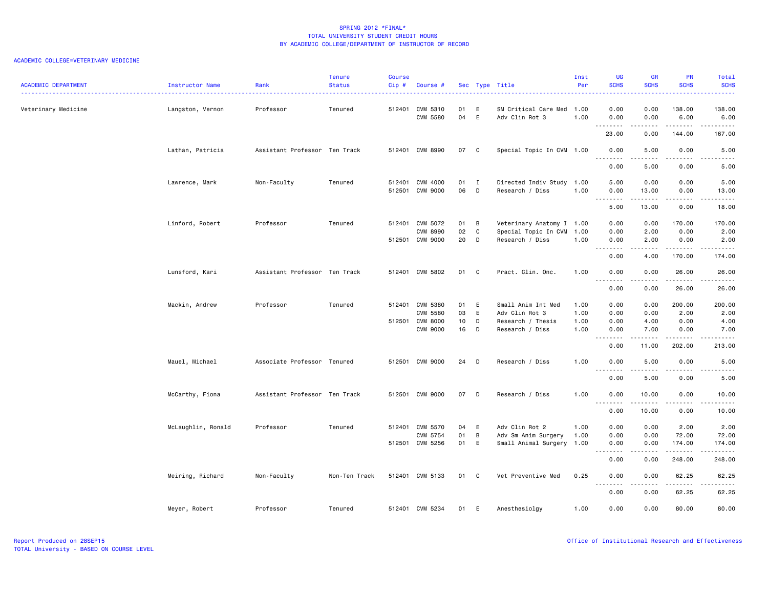| <b>ACADEMIC DEPARTMENT</b> | Instructor Name    | Rank                          | <b>Tenure</b><br><b>Status</b> | <b>Course</b><br>$Cip$ # | Course #                                                          |                      |                     | Sec Type Title                                                               | Inst<br>Per                  | <b>UG</b><br><b>SCHS</b>     | <b>GR</b><br><b>SCHS</b>                                                                                                          | PR<br><b>SCHS</b>              | Total<br><b>SCHS</b><br>.      |
|----------------------------|--------------------|-------------------------------|--------------------------------|--------------------------|-------------------------------------------------------------------|----------------------|---------------------|------------------------------------------------------------------------------|------------------------------|------------------------------|-----------------------------------------------------------------------------------------------------------------------------------|--------------------------------|--------------------------------|
| Veterinary Medicine        | Langston, Vernon   | Professor                     | Tenured                        |                          | 512401 CVM 5310<br><b>CVM 5580</b>                                | 01<br>04             | E<br>E              | SM Critical Care Med 1.00<br>Adv Clin Rot 3                                  | 1.00                         | 0.00<br>0.00                 | 0.00<br>0.00                                                                                                                      | 138.00<br>6.00                 | 138.00<br>6.00<br>.            |
|                            |                    |                               |                                |                          |                                                                   |                      |                     |                                                                              |                              | 23.00                        | 0.00                                                                                                                              | 144.00                         | 167.00                         |
|                            | Lathan, Patricia   | Assistant Professor Ten Track |                                |                          | 512401 CVM 8990                                                   | 07                   | $\mathbf{C}$        | Special Topic In CVM 1.00                                                    |                              | 0.00                         | 5.00                                                                                                                              | 0.00                           | 5.00                           |
|                            |                    |                               |                                |                          |                                                                   |                      |                     |                                                                              |                              | 0.00                         | 5.00                                                                                                                              | 0.00                           | 5.00                           |
|                            | Lawrence, Mark     | Non-Faculty                   | Tenured                        | 512401                   | CVM 4000<br>512501 CVM 9000                                       | 01<br>06             | $\blacksquare$<br>D | Directed Indiv Study<br>Research / Diss                                      | 1.00<br>1.00                 | 5.00<br>0.00<br>.            | 0.00<br>13.00<br>$- - - - -$                                                                                                      | 0.00<br>0.00<br>.              | 5.00<br>13.00<br>د د د د د     |
|                            |                    |                               |                                |                          |                                                                   |                      |                     |                                                                              |                              | 5.00                         | 13.00                                                                                                                             | 0.00                           | 18.00                          |
|                            | Linford, Robert    | Professor                     | Tenured                        |                          | 512401 CVM 5072<br><b>CVM 8990</b><br>512501 CVM 9000             | 01<br>02<br>20       | B<br>C<br>D         | Veterinary Anatomy I 1.00<br>Special Topic In CVM<br>Research / Diss         | 1.00<br>1.00                 | 0.00<br>0.00<br>0.00         | 0.00<br>2.00<br>2.00                                                                                                              | 170.00<br>0.00<br>0.00         | 170.00<br>2.00<br>2.00         |
|                            |                    |                               |                                |                          |                                                                   |                      |                     |                                                                              |                              | .<br>0.00                    | .<br>4.00                                                                                                                         | $- - - - -$<br>170.00          | .<br>174.00                    |
|                            | Lunsford, Kari     | Assistant Professor Ten Track |                                |                          | 512401 CVM 5802                                                   | 01 C                 |                     | Pract. Clin. Onc.                                                            | 1.00                         | 0.00                         | 0.00                                                                                                                              | 26.00                          | 26.00<br>د د د د د             |
|                            |                    |                               |                                |                          |                                                                   |                      |                     |                                                                              |                              | 0.00                         | 0.00                                                                                                                              | 26.00                          | 26.00                          |
|                            | Mackin, Andrew     | Professor                     | Tenured                        |                          | 512401 CVM 5380<br>CVM 5580<br>512501 CVM 8000<br><b>CVM 9000</b> | 01<br>03<br>10<br>16 | E<br>E<br>D<br>D    | Small Anim Int Med<br>Adv Clin Rot 3<br>Research / Thesis<br>Research / Diss | 1.00<br>1.00<br>1.00<br>1.00 | 0.00<br>0.00<br>0.00<br>0.00 | 0.00<br>0.00<br>4.00<br>7.00                                                                                                      | 200.00<br>2.00<br>0.00<br>0.00 | 200.00<br>2.00<br>4.00<br>7.00 |
|                            |                    |                               |                                |                          |                                                                   |                      |                     |                                                                              |                              | .<br>0.00                    | .<br>11.00                                                                                                                        | .<br>202.00                    | .<br>213.00                    |
|                            | Mauel, Michael     | Associate Professor Tenured   |                                |                          | 512501 CVM 9000                                                   | 24 D                 |                     | Research / Diss                                                              | 1.00                         | 0.00<br><u>.</u>             | 5.00                                                                                                                              | 0.00<br>.                      | 5.00<br>$- - -$                |
|                            |                    |                               |                                |                          |                                                                   |                      |                     |                                                                              |                              | 0.00                         | .<br>5.00                                                                                                                         | 0.00                           | .<br>5.00                      |
|                            | McCarthy, Fiona    | Assistant Professor Ten Track |                                |                          | 512501 CVM 9000                                                   | 07                   | D                   | Research / Diss                                                              | 1.00                         | 0.00<br>.                    | 10.00<br>. <b>.</b>                                                                                                               | 0.00<br>.                      | 10.00<br>.                     |
|                            |                    |                               |                                |                          |                                                                   |                      |                     |                                                                              |                              | 0.00                         | 10.00                                                                                                                             | 0.00                           | 10.00                          |
|                            | McLaughlin, Ronald | Professor                     | Tenured                        | 512401                   | CVM 5570<br>CVM 5754<br>512501 CVM 5256                           | 04<br>01<br>01       | E<br>B<br>E         | Adv Clin Rot 2<br>Adv Sm Anim Surgery<br>Small Animal Surgery 1.00           | 1.00<br>1.00                 | 0.00<br>0.00<br>0.00         | 0.00<br>0.00<br>0.00                                                                                                              | 2.00<br>72.00<br>174.00        | 2.00<br>72.00<br>174.00        |
|                            |                    |                               |                                |                          |                                                                   |                      |                     |                                                                              |                              | .<br>0.00                    | .<br>0.00                                                                                                                         | .<br>248.00                    | <b>.</b><br>248.00             |
|                            | Meiring, Richard   | Non-Faculty                   | Non-Ten Track                  |                          | 512401 CVM 5133                                                   | 01                   | $\mathbf{C}$        | Vet Preventive Med                                                           | 0.25                         | 0.00                         | 0.00                                                                                                                              | 62.25                          | 62.25                          |
|                            |                    |                               |                                |                          |                                                                   |                      |                     |                                                                              |                              | <u>.</u><br>0.00             | $\frac{1}{2} \left( \frac{1}{2} \right) \left( \frac{1}{2} \right) \left( \frac{1}{2} \right) \left( \frac{1}{2} \right)$<br>0.00 | 62.25                          | .<br>62.25                     |
|                            | Meyer, Robert      | Professor                     | Tenured                        |                          | 512401 CVM 5234                                                   | 01                   | E                   | Anesthesiolay                                                                | 1.00                         | 0.00                         | 0.00                                                                                                                              | 80.00                          | 80.00                          |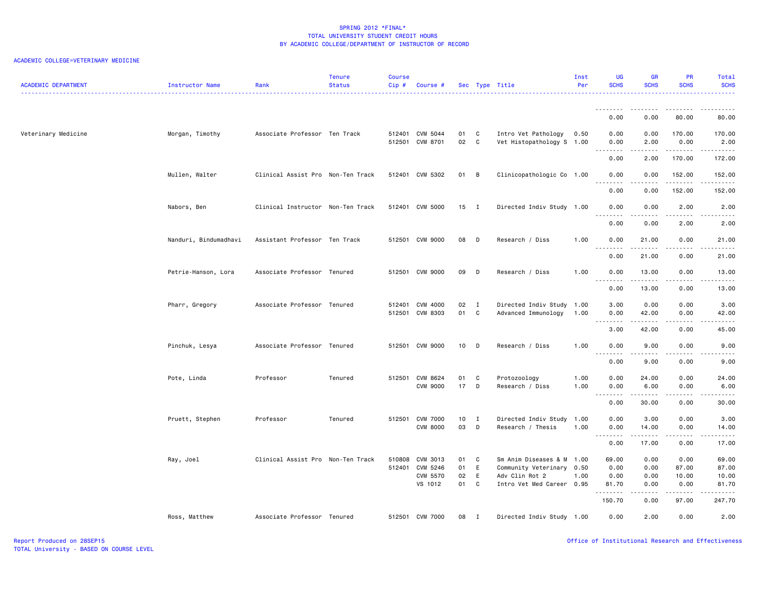| <b>ACADEMIC DEPARTMENT</b> | Instructor Name       | Rank                              | <b>Tenure</b><br><b>Status</b> | <b>Course</b><br>Cip# | Course #                           |          |                     | Sec Type Title                                   | Inst<br>Per  | <b>UG</b><br><b>SCHS</b>                                                                                                                                                                                                                                                                                                                                                                                                                                                                       | <b>GR</b><br><b>SCHS</b> | <b>PR</b><br><b>SCHS</b> | Total<br><b>SCHS</b>                        |
|----------------------------|-----------------------|-----------------------------------|--------------------------------|-----------------------|------------------------------------|----------|---------------------|--------------------------------------------------|--------------|------------------------------------------------------------------------------------------------------------------------------------------------------------------------------------------------------------------------------------------------------------------------------------------------------------------------------------------------------------------------------------------------------------------------------------------------------------------------------------------------|--------------------------|--------------------------|---------------------------------------------|
|                            |                       |                                   |                                |                       |                                    |          |                     |                                                  |              | .<br>0.00                                                                                                                                                                                                                                                                                                                                                                                                                                                                                      | 0.00                     | .<br>80.00               | 80.00                                       |
| Veterinary Medicine        | Morgan, Timothy       | Associate Professor Ten Track     |                                |                       | 512401 CVM 5044                    | 01       | C                   | Intro Vet Pathology                              | 0.50         | 0.00                                                                                                                                                                                                                                                                                                                                                                                                                                                                                           | 0.00                     | 170.00                   | 170.00                                      |
|                            |                       |                                   |                                |                       | 512501 CVM 8701                    | 02       | $\mathbf{C}$        | Vet Histopathology S 1.00                        |              | 0.00<br>.                                                                                                                                                                                                                                                                                                                                                                                                                                                                                      | 2.00                     | 0.00<br>.                | 2.00<br>.                                   |
|                            |                       |                                   |                                |                       |                                    |          |                     |                                                  |              | 0.00                                                                                                                                                                                                                                                                                                                                                                                                                                                                                           | 2.00                     | 170.00                   | 172.00                                      |
|                            | Mullen, Walter        | Clinical Assist Pro Non-Ten Track |                                |                       | 512401 CVM 5302                    | 01       | B                   | Clinicopathologic Co 1.00                        |              | 0.00<br><u>.</u>                                                                                                                                                                                                                                                                                                                                                                                                                                                                               | 0.00<br>.                | 152.00<br>1.1.1.1.1      | 152.00<br>.                                 |
|                            |                       |                                   |                                |                       |                                    |          |                     |                                                  |              | 0.00                                                                                                                                                                                                                                                                                                                                                                                                                                                                                           | 0.00                     | 152.00                   | 152.00                                      |
|                            | Nabors, Ben           | Clinical Instructor Non-Ten Track |                                |                       | 512401 CVM 5000                    | 15       | $\blacksquare$      | Directed Indiv Study 1.00                        |              | 0.00<br>$\begin{array}{cccccccccccccc} \multicolumn{2}{c}{} & \multicolumn{2}{c}{} & \multicolumn{2}{c}{} & \multicolumn{2}{c}{} & \multicolumn{2}{c}{} & \multicolumn{2}{c}{} & \multicolumn{2}{c}{} & \multicolumn{2}{c}{} & \multicolumn{2}{c}{} & \multicolumn{2}{c}{} & \multicolumn{2}{c}{} & \multicolumn{2}{c}{} & \multicolumn{2}{c}{} & \multicolumn{2}{c}{} & \multicolumn{2}{c}{} & \multicolumn{2}{c}{} & \multicolumn{2}{c}{} & \multicolumn{2}{c}{} & \multicolumn{2}{c}{} & \$ | 0.00<br>د د د د د        | 2.00<br>.                | 2.00<br>$\sim$<br>.                         |
|                            |                       |                                   |                                |                       |                                    |          |                     |                                                  |              | 0.00                                                                                                                                                                                                                                                                                                                                                                                                                                                                                           | 0.00                     | 2.00                     | 2.00                                        |
|                            | Nanduri, Bindumadhavi | Assistant Professor Ten Track     |                                |                       | 512501 CVM 9000                    | 08       | - D                 | Research / Diss                                  | 1.00         | 0.00                                                                                                                                                                                                                                                                                                                                                                                                                                                                                           | 21.00                    | 0.00                     | 21.00<br>.                                  |
|                            |                       |                                   |                                |                       |                                    |          |                     |                                                  |              | 0.00                                                                                                                                                                                                                                                                                                                                                                                                                                                                                           | 21.00                    | 0.00                     | 21.00                                       |
|                            | Petrie-Hanson, Lora   | Associate Professor Tenured       |                                |                       | 512501 CVM 9000                    | 09       | D                   | Research / Diss                                  | 1.00         | 0.00                                                                                                                                                                                                                                                                                                                                                                                                                                                                                           | 13.00                    | 0.00<br>.                | 13.00<br>$- - - -$                          |
|                            |                       |                                   |                                |                       |                                    |          |                     |                                                  |              | 0.00                                                                                                                                                                                                                                                                                                                                                                                                                                                                                           | 13.00                    | 0.00                     | 13.00                                       |
|                            | Pharr, Gregory        | Associate Professor Tenured       |                                |                       | 512401 CVM 4000<br>512501 CVM 8303 | 02<br>01 | $\blacksquare$<br>C | Directed Indiv Study 1.00<br>Advanced Immunology | 1.00         | 3.00<br>0.00                                                                                                                                                                                                                                                                                                                                                                                                                                                                                   | 0.00<br>42.00            | 0.00<br>0.00             | 3.00<br>42.00                               |
|                            |                       |                                   |                                |                       |                                    |          |                     |                                                  |              | $\begin{array}{cccccccccccccc} \multicolumn{2}{c}{} & \multicolumn{2}{c}{} & \multicolumn{2}{c}{} & \multicolumn{2}{c}{} & \multicolumn{2}{c}{} & \multicolumn{2}{c}{} & \multicolumn{2}{c}{} & \multicolumn{2}{c}{} & \multicolumn{2}{c}{} & \multicolumn{2}{c}{} & \multicolumn{2}{c}{} & \multicolumn{2}{c}{} & \multicolumn{2}{c}{} & \multicolumn{2}{c}{} & \multicolumn{2}{c}{} & \multicolumn{2}{c}{} & \multicolumn{2}{c}{} & \multicolumn{2}{c}{} & \multicolumn{2}{c}{} & \$<br>3.00 | 42.00                    | د د د د<br>0.00          | $\sim$ $\sim$ $\sim$ $\sim$ $\sim$<br>45.00 |
|                            | Pinchuk, Lesya        | Associate Professor Tenured       |                                |                       | 512501 CVM 9000                    | 10       | <b>D</b>            | Research / Diss                                  | 1.00         | 0.00                                                                                                                                                                                                                                                                                                                                                                                                                                                                                           | 9.00                     | 0.00                     | 9.00                                        |
|                            |                       |                                   |                                |                       |                                    |          |                     |                                                  |              | <u>.</u><br>0.00                                                                                                                                                                                                                                                                                                                                                                                                                                                                               | $- - - - -$<br>9.00      | .<br>0.00                | -----<br>9.00                               |
|                            | Pote, Linda           | Professor                         | Tenured                        |                       | 512501 CVM 8624                    | 01       | <b>C</b>            | Protozoology                                     | 1.00         | 0.00                                                                                                                                                                                                                                                                                                                                                                                                                                                                                           | 24.00                    | 0.00                     | 24.00                                       |
|                            |                       |                                   |                                |                       | <b>CVM 9000</b>                    | 17       | D                   | Research / Diss                                  | 1.00         | 0.00<br>.                                                                                                                                                                                                                                                                                                                                                                                                                                                                                      | 6.00<br>. <b>.</b>       | 0.00<br>.                | 6.00<br>$- - - - -$                         |
|                            |                       |                                   |                                |                       |                                    |          |                     |                                                  |              | 0.00                                                                                                                                                                                                                                                                                                                                                                                                                                                                                           | 30.00                    | 0.00                     | 30.00                                       |
|                            | Pruett, Stephen       | Professor                         | Tenured                        |                       | 512501 CVM 7000<br><b>CVM 8000</b> | 10<br>03 | $\blacksquare$<br>D | Directed Indiv Study<br>Research / Thesis        | 1.00<br>1.00 | 0.00<br>0.00                                                                                                                                                                                                                                                                                                                                                                                                                                                                                   | 3.00<br>14.00            | 0.00<br>0.00             | 3.00<br>14.00                               |
|                            |                       |                                   |                                |                       |                                    |          |                     |                                                  |              | <u>.</u><br>0.00                                                                                                                                                                                                                                                                                                                                                                                                                                                                               | . <u>.</u><br>17.00      | .<br>0.00                | .<br>17.00                                  |
|                            |                       | Clinical Assist Pro Non-Ten Track |                                |                       | 510808 CVM 3013                    | 01       | C                   | Sm Anim Diseases & M                             | 1.00         | 69.00                                                                                                                                                                                                                                                                                                                                                                                                                                                                                          | 0.00                     | 0.00                     | 69.00                                       |
|                            | Ray, Joel             |                                   |                                |                       | 512401 CVM 5246                    | 01       | E                   | Community Veterinary 0.50                        |              | 0.00                                                                                                                                                                                                                                                                                                                                                                                                                                                                                           | 0.00                     | 87.00                    | 87.00                                       |
|                            |                       |                                   |                                |                       | CVM 5570<br>VS 1012                | 02<br>01 | E<br>C              | Adv Clin Rot 2<br>Intro Vet Med Career 0.95      | 1.00         | 0.00<br>81.70                                                                                                                                                                                                                                                                                                                                                                                                                                                                                  | 0.00<br>0.00             | 10.00<br>0.00            | 10.00<br>81.70                              |
|                            |                       |                                   |                                |                       |                                    |          |                     |                                                  |              | .<br>150.70                                                                                                                                                                                                                                                                                                                                                                                                                                                                                    | 0.00                     | .<br>97.00               | $\omega$ is $\omega$ in .<br>247.70         |
|                            | Ross, Matthew         | Associate Professor Tenured       |                                |                       | 512501 CVM 7000                    | 08       | $\mathbf{I}$        | Directed Indiv Study 1.00                        |              | 0.00                                                                                                                                                                                                                                                                                                                                                                                                                                                                                           | 2.00                     | 0.00                     | 2.00                                        |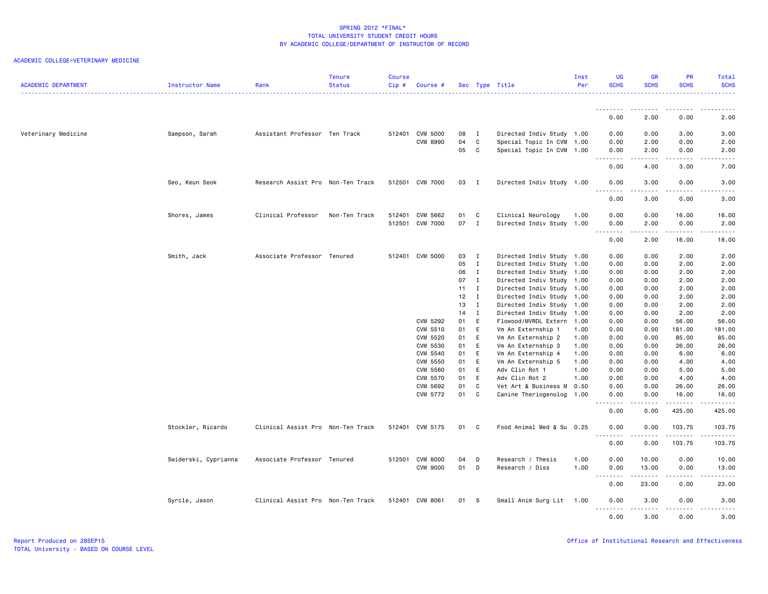| <b>ACADEMIC DEPARTMENT</b> | Instructor Name      | Rank                              | <b>Tenure</b><br><b>Status</b> | <b>Course</b><br>Cip# | Course #        |      |                | Sec Type Title            | Inst<br>Per | <b>UG</b><br><b>SCHS</b> | <b>GR</b><br><b>SCHS</b>                                                                                                | <b>PR</b><br><b>SCHS</b> | Total<br><b>SCHS</b>   |
|----------------------------|----------------------|-----------------------------------|--------------------------------|-----------------------|-----------------|------|----------------|---------------------------|-------------|--------------------------|-------------------------------------------------------------------------------------------------------------------------|--------------------------|------------------------|
|                            |                      |                                   |                                |                       |                 |      |                |                           |             | .                        | .                                                                                                                       | .                        |                        |
|                            |                      |                                   |                                |                       |                 |      |                |                           |             | 0.00                     | 2.00                                                                                                                    | 0.00                     | 2.00                   |
| Veterinary Medicine        | Sampson, Sarah       | Assistant Professor Ten Track     |                                |                       | 512401 CVM 5000 | 08   | $\blacksquare$ | Directed Indiv Study 1.00 |             | 0.00                     | 0.00                                                                                                                    | 3.00                     | 3.00                   |
|                            |                      |                                   |                                |                       | <b>CVM 8990</b> | 04   | C              | Special Topic In CVM 1.00 |             | 0.00                     | 2.00                                                                                                                    | 0.00                     | 2.00                   |
|                            |                      |                                   |                                |                       |                 | 05   | C              | Special Topic In CVM 1.00 |             | 0.00                     | 2.00                                                                                                                    | 0.00                     | 2.00                   |
|                            |                      |                                   |                                |                       |                 |      |                |                           |             | .<br>0.00                | .<br>4.00                                                                                                               | .<br>3.00                | .<br>7.00              |
|                            | Seo, Keun Seok       | Research Assist Pro Non-Ten Track |                                |                       | 512501 CVM 7000 | 03   | $\mathbf{I}$   | Directed Indiv Study 1.00 |             | 0.00<br>.                | 3.00<br>.                                                                                                               | 0.00<br>.                | 3.00<br>22222          |
|                            |                      |                                   |                                |                       |                 |      |                |                           |             | 0.00                     | 3.00                                                                                                                    | 0.00                     | 3.00                   |
|                            | Shores, James        | Clinical Professor                | Non-Ten Track                  |                       | 512401 CVM 5662 | 01   | $\mathbf{C}$   | Clinical Neurology        | 1.00        | 0.00                     | 0.00                                                                                                                    | 16.00                    | 16.00                  |
|                            |                      |                                   |                                |                       | 512501 CVM 7000 | 07 I |                | Directed Indiv Study 1.00 |             | 0.00<br>--------         | 2.00<br>$\begin{array}{cccccccccccccc} \bullet & \bullet & \bullet & \bullet & \bullet & \bullet & \bullet \end{array}$ | 0.00<br>.                | 2.00<br>د د د د د      |
|                            |                      |                                   |                                |                       |                 |      |                |                           |             | 0.00                     | 2.00                                                                                                                    | 16.00                    | 18.00                  |
|                            | Smith, Jack          | Associate Professor Tenured       |                                |                       | 512401 CVM 5000 | 03   | $\mathbf{I}$   | Directed Indiv Study 1.00 |             | 0.00                     | 0.00                                                                                                                    | 2.00                     | 2.00                   |
|                            |                      |                                   |                                |                       |                 | 05   | $\mathbf{I}$   | Directed Indiv Study 1.00 |             | 0.00                     | 0.00                                                                                                                    | 2.00                     | 2.00                   |
|                            |                      |                                   |                                |                       |                 | 06   | $\mathbf{I}$   | Directed Indiv Study 1.00 |             | 0.00                     | 0.00                                                                                                                    | 2.00                     | 2.00                   |
|                            |                      |                                   |                                |                       |                 | 07   | $\mathbf{I}$   | Directed Indiv Study 1.00 |             | 0.00                     | 0.00                                                                                                                    | 2.00                     | 2.00                   |
|                            |                      |                                   |                                |                       |                 | 11   | $\mathbf{I}$   | Directed Indiv Study 1.00 |             | 0.00                     | 0.00                                                                                                                    | 2.00                     | 2.00                   |
|                            |                      |                                   |                                |                       |                 | 12   | $\mathbf{I}$   | Directed Indiv Study 1.00 |             | 0.00                     | 0.00                                                                                                                    | 2.00                     | 2.00                   |
|                            |                      |                                   |                                |                       |                 | 13   | $\mathbf{I}$   | Directed Indiv Study      | 1.00        | 0.00                     | 0.00                                                                                                                    | 2.00                     | 2.00                   |
|                            |                      |                                   |                                |                       |                 | 14   | $\mathbf{I}$   | Directed Indiv Study 1.00 |             | 0.00                     | 0.00                                                                                                                    | 2.00                     | 2.00                   |
|                            |                      |                                   |                                |                       | CVM 5292        | 01   | E              | Flowood/MVRDL Extern      | 1.00        | 0.00                     | 0.00                                                                                                                    | 56.00                    | 56.00                  |
|                            |                      |                                   |                                |                       | CVM 5510        | 01   | E              | Vm An Externship 1        | 1.00        | 0.00                     | 0.00                                                                                                                    | 181.00                   | 181.00                 |
|                            |                      |                                   |                                |                       | CVM 5520        | 01   | E              | Vm An Externship 2        | 1.00        | 0.00                     | 0.00                                                                                                                    | 85.00                    | 85.00                  |
|                            |                      |                                   |                                |                       | CVM 5530        | 01   | E              | Vm An Externship 3        | 1.00        | 0.00                     | 0.00                                                                                                                    | 26.00                    | 26.00                  |
|                            |                      |                                   |                                |                       | CVM 5540        | 01   | E              | Vm An Externship 4        | 1.00        | 0.00                     | 0.00                                                                                                                    | 6.00                     | 6.00                   |
|                            |                      |                                   |                                |                       | CVM 5550        | 01   | E              | Vm An Externship 5        | 1.00        | 0.00                     | 0.00                                                                                                                    | 4.00                     | 4.00                   |
|                            |                      |                                   |                                |                       | CVM 5560        | 01   | E              | Adv Clin Rot 1            | 1.00        | 0.00                     | 0.00                                                                                                                    | 5.00                     | 5.00                   |
|                            |                      |                                   |                                |                       | CVM 5570        | 01   | E              | Adv Clin Rot 2            | 1.00        | 0.00                     | 0.00                                                                                                                    | 4.00                     | 4.00                   |
|                            |                      |                                   |                                |                       | CVM 5692        | 01   | C              | Vet Art & Business M      | 0.50        | 0.00                     | 0.00                                                                                                                    | 26.00                    | 26.00                  |
|                            |                      |                                   |                                |                       | CVM 5772        | 01   | C              | Canine Theriogenolog      | 1.00        | 0.00                     | 0.00                                                                                                                    | 16.00                    | 16.00                  |
|                            |                      |                                   |                                |                       |                 |      |                |                           |             | .                        |                                                                                                                         | $\omega$ is a set of     | .                      |
|                            |                      |                                   |                                |                       |                 |      |                |                           |             | 0.00                     | 0.00                                                                                                                    | 425.00                   | 425.00                 |
|                            | Stockler, Ricardo    | Clinical Assist Pro Non-Ten Track |                                |                       | 512401 CVM 5175 | 01   | C              | Food Animal Med & Su 0.25 |             | 0.00<br><u>.</u>         | 0.00<br>.                                                                                                               | 103.75<br>.              | 103.75<br><u>.</u>     |
|                            |                      |                                   |                                |                       |                 |      |                |                           |             | 0.00                     | 0.00                                                                                                                    | 103.75                   | 103.75                 |
|                            | Swiderski, Cyprianna | Associate Professor Tenured       |                                |                       | 512501 CVM 8000 | 04   | D              | Research / Thesis         | 1.00        | 0.00                     | 10.00                                                                                                                   | 0.00                     | 10.00                  |
|                            |                      |                                   |                                |                       | <b>CVM 9000</b> | 01   | D              | Research / Diss           | 1.00        | 0.00<br>.                | 13.00                                                                                                                   | 0.00<br>.                | 13.00<br>$\frac{1}{2}$ |
|                            |                      |                                   |                                |                       |                 |      |                |                           |             | 0.00                     | 23.00                                                                                                                   | 0.00                     | 23.00                  |
|                            | Syrcle, Jason        | Clinical Assist Pro Non-Ten Track |                                |                       | 512401 CVM 8061 | 01   | $\mathbf{s}$   | Small Anim Surg Lit       | 1.00        | 0.00                     | 3.00<br>.                                                                                                               | 0.00<br>$\frac{1}{2}$    | 3.00<br>-----          |
|                            |                      |                                   |                                |                       |                 |      |                |                           |             | 0.00                     | 3.00                                                                                                                    | 0.00                     | 3.00                   |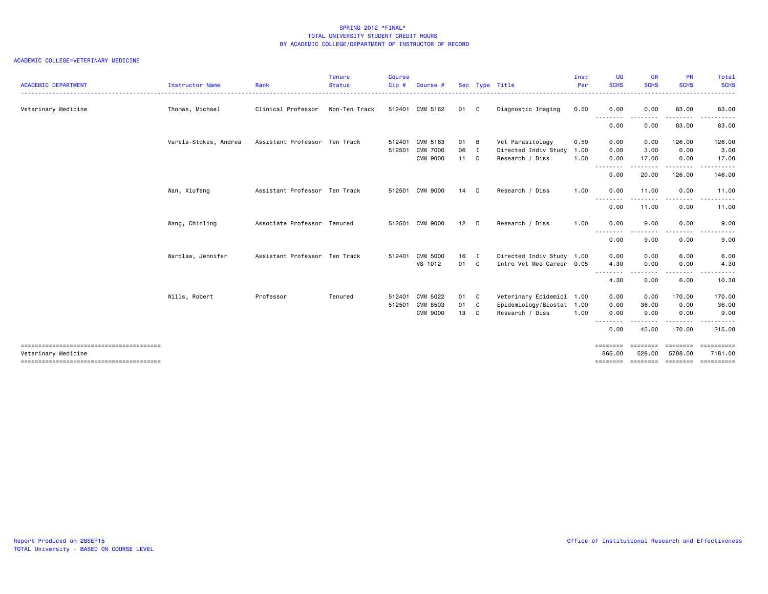| <b>ACADEMIC DEPARTMENT</b> | Instructor Name       | Rank                          | Tenure<br><b>Status</b> | Course<br>Cip# | Course #        |        |   | Sec Type Title            | Inst<br>Per | <b>UG</b><br><b>SCHS</b>  | <b>GR</b><br><b>SCHS</b> | <b>PR</b><br><b>SCHS</b> | Total<br><b>SCHS</b>        |
|----------------------------|-----------------------|-------------------------------|-------------------------|----------------|-----------------|--------|---|---------------------------|-------------|---------------------------|--------------------------|--------------------------|-----------------------------|
| Veterinary Medicine        | Thomas, Michael       | Clinical Professor            | Non-Ten Track           |                | 512401 CVM 5162 | 01 C   |   | Diagnostic Imaging        | 0.50        | 0.00                      | 0.00                     | 83.00                    | 83.00                       |
|                            |                       |                               |                         |                |                 |        |   |                           |             | <u>.</u><br>0.00          | 0.00                     | 83.00                    | 83.00                       |
|                            | Varela-Stokes, Andrea | Assistant Professor Ten Track |                         | 512401         | CVM 5163        | 01 B   |   | Vet Parasitology          | 0.50        | 0.00                      | 0.00                     | 126.00                   | 126.00                      |
|                            |                       |                               |                         | 512501         | <b>CVM 7000</b> | 06 I   |   | Directed Indiv Study      | 1.00        | 0.00                      | 3.00                     | 0.00                     | 3.00                        |
|                            |                       |                               |                         |                | <b>CVM 9000</b> | $11$ D |   | Research / Diss           | 1.00        | 0.00<br>-----<br>$\cdots$ | 17.00                    | 0.00<br>-----            | 17.00<br>.                  |
|                            |                       |                               |                         |                |                 |        |   |                           |             | 0.00                      | 20.00                    | 126.00                   | 146.00                      |
|                            | Wan, Xiufeng          | Assistant Professor Ten Track |                         |                | 512501 CVM 9000 | $14$ D |   | Research / Diss           | 1.00        | 0.00                      | 11.00                    | 0.00                     | 11.00                       |
|                            |                       |                               |                         |                |                 |        |   |                           |             | 0.00                      | 11.00                    | 0.00                     | 11.00                       |
|                            | Wang, Chinling        | Associate Professor Tenured   |                         |                | 512501 CVM 9000 | $12$ D |   | Research / Diss           | 1.00        | 0.00                      | 9.00                     | 0.00                     | 9.00                        |
|                            |                       |                               |                         |                |                 |        |   |                           |             | - - - - - - - -<br>0.00   | 9.00                     | $\cdots$<br>0.00         | 9.00                        |
|                            | Wardlaw, Jennifer     | Assistant Professor Ten Track |                         | 512401         | <b>CVM 5000</b> | $16$ I |   | Directed Indiv Study 1.00 |             | 0.00                      | 0.00                     | 6.00                     | 6.00                        |
|                            |                       |                               |                         |                | VS 1012         | 01 C   |   | Intro Vet Med Career 0.05 |             | 4.30                      | 0.00                     | 0.00                     | 4.30                        |
|                            |                       |                               |                         |                |                 |        |   |                           |             | --------<br>4.30          | .<br>0.00                | .<br>6.00                | 10.30                       |
|                            | Wills, Robert         | Professor                     | Tenured                 | 512401         | CVM 5022        | 01 C   |   | Veterinary Epidemiol 1.00 |             | 0.00                      | 0.00                     | 170.00                   | 170.00                      |
|                            |                       |                               |                         | 512501         | CVM 8503        | 01     | C | Epidemiology/Biostat 1.00 |             | 0.00                      | 36.00                    | 0.00                     | 36.00                       |
|                            |                       |                               |                         |                | <b>CVM 9000</b> | 13     | D | Research / Diss           | 1.00        | 0.00                      | 9.00<br><u>.</u>         | 0.00<br><u>.</u>         | 9.00<br>.                   |
|                            |                       |                               |                         |                |                 |        |   |                           |             | .<br>0.00                 | 45.00                    | 170.00                   | 215.00                      |
|                            |                       |                               |                         |                |                 |        |   |                           |             | ========                  | ---------                | <b>EEEEEEE</b>           | ==========                  |
| Veterinary Medicine        |                       |                               |                         |                |                 |        |   |                           |             | 865,00<br>========        | 528,00<br><b>EDDEDED</b> | 5788.00<br>========      | 7181.00<br><b>ESSESSEES</b> |